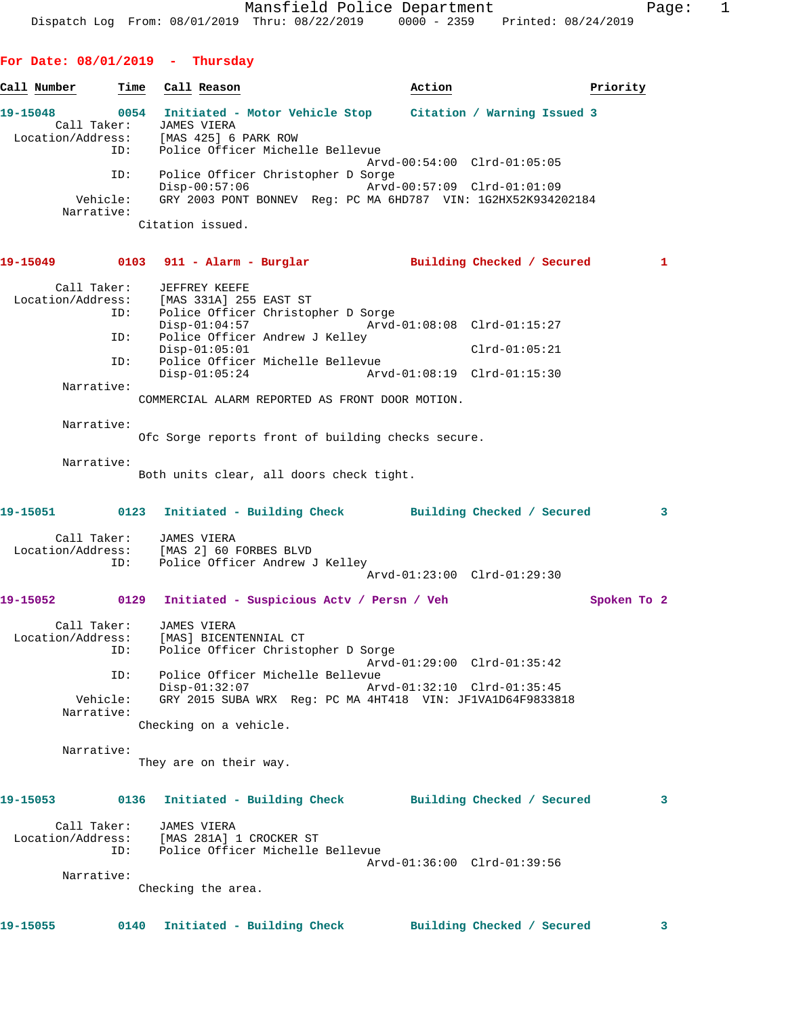| Call Number       | Time                                                | Call Reason                                                                                                                                                                                                                                                     | Action                                                     | Priority        |              |
|-------------------|-----------------------------------------------------|-----------------------------------------------------------------------------------------------------------------------------------------------------------------------------------------------------------------------------------------------------------------|------------------------------------------------------------|-----------------|--------------|
| 19-15048          | Call Taker:<br>ID:                                  | 0054 Initiated - Motor Vehicle Stop Citation / Warning Issued 3<br><b>JAMES VIERA</b><br>Location/Address: [MAS 425] 6 PARK ROW<br>Police Officer Michelle Bellevue                                                                                             |                                                            |                 |              |
|                   | ID:<br>Vehicle:<br>Narrative:                       | Police Officer Christopher D Sorge<br>$Disp-00:57:06$<br>GRY 2003 PONT BONNEV Reg: PC MA 6HD787 VIN: 1G2HX52K934202184<br>Citation issued.                                                                                                                      | Arvd-00:54:00 Clrd-01:05:05<br>Arvd-00:57:09 Clrd-01:01:09 |                 |              |
|                   |                                                     | 19-15049      0103   911 - Alarm - Burglar         Building Checked / Secured                                                                                                                                                                                   |                                                            |                 | $\mathbf{1}$ |
| Location/Address: | Call Taker:<br>ID:<br>ID:<br>ID:<br>Narrative:      | JEFFREY KEEFE<br>[MAS 331A] 255 EAST ST<br>Police Officer Christopher D Sorge<br>$Disp-01:04:57$<br>Police Officer Andrew J Kelley<br>$Disp-01:05:01$<br>Police Officer Michelle Bellevue<br>$Disp-01:05:24$<br>COMMERCIAL ALARM REPORTED AS FRONT DOOR MOTION. | Arvd-01:08:19 Clrd-01:15:30                                | $Clrd-01:05:21$ |              |
|                   | Narrative:                                          | Ofc Sorge reports front of building checks secure.                                                                                                                                                                                                              |                                                            |                 |              |
|                   | Narrative:                                          | Both units clear, all doors check tight.                                                                                                                                                                                                                        |                                                            |                 |              |
|                   |                                                     | 19-15051 0123 Initiated - Building Check Building Checked / Secured                                                                                                                                                                                             |                                                            |                 | 3            |
|                   | Call Taker:<br>ID:                                  | JAMES VIERA<br>Location/Address: [MAS 2] 60 FORBES BLVD<br>ID: Police Officer Andrew<br>Police Officer Andrew J Kelley                                                                                                                                          | Arvd-01:23:00 Clrd-01:29:30                                |                 |              |
| 19-15052          |                                                     | 0129 Initiated - Suspicious Actv / Persn / Veh                                                                                                                                                                                                                  |                                                            | Spoken To 2     |              |
| Location/Address: | Call Taker:<br>ID:<br>ID:<br>Vehicle:<br>Narrative: | JAMES VIERA<br>[MAS] BICENTENNIAL CT<br>Police Officer Christopher D Sorge<br>Police Officer Michelle Bellevue<br>$Disp-01:32:07$<br>GRY 2015 SUBA WRX Reg: PC MA 4HT418 VIN: JF1VA1D64F9833818<br>Checking on a vehicle.                                       | Arvd-01:29:00 Clrd-01:35:42<br>Arvd-01:32:10 Clrd-01:35:45 |                 |              |
|                   | Narrative:                                          | They are on their way.                                                                                                                                                                                                                                          |                                                            |                 |              |
|                   |                                                     |                                                                                                                                                                                                                                                                 |                                                            |                 |              |
| 19-15053          | 0136<br>Call Taker:<br>ID:                          | Initiated - Building Check Building Checked / Secured<br>JAMES VIERA<br>Location/Address: [MAS 281A] 1 CROCKER ST<br>Police Officer Michelle Bellevue                                                                                                           | Arvd-01:36:00 Clrd-01:39:56                                |                 | 3            |
|                   | Narrative:                                          | Checking the area.                                                                                                                                                                                                                                              |                                                            |                 |              |
| 19-15055          | 0140                                                | Initiated - Building Check Building Checked / Secured                                                                                                                                                                                                           |                                                            |                 | 3            |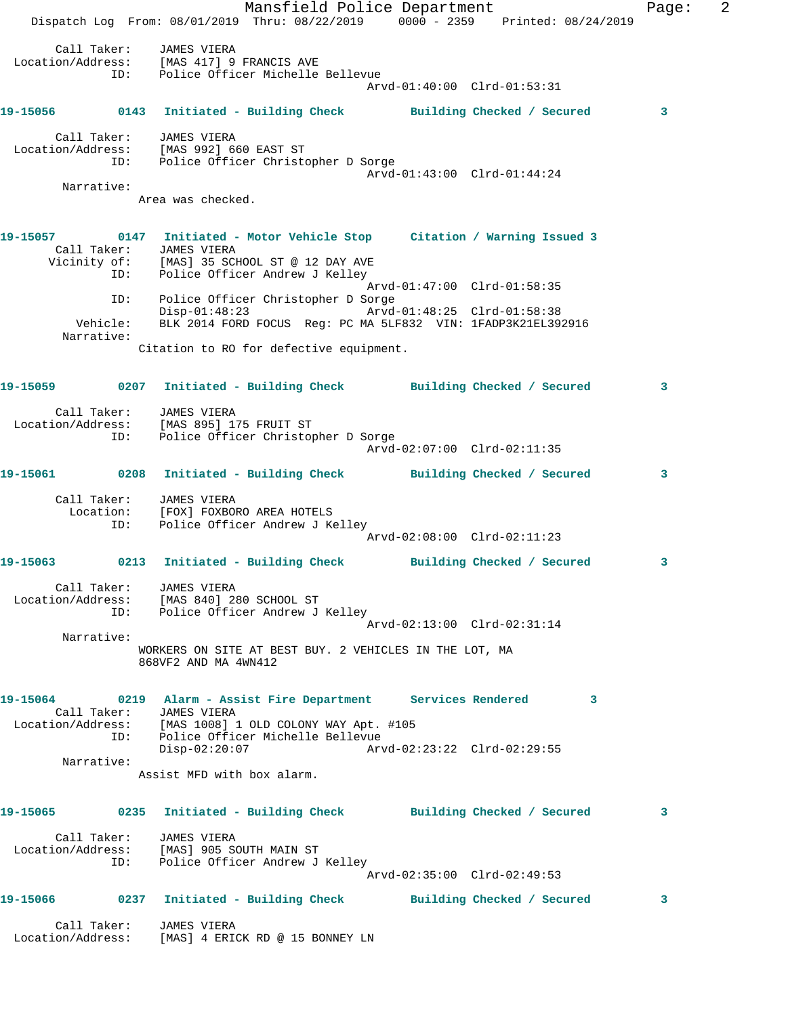Mansfield Police Department Fage: 2 Dispatch Log From: 08/01/2019 Thru: 08/22/2019 0000 - 2359 Printed: 08/24/2019 Call Taker: JAMES VIERA Location/Address: [MAS 417] 9 FRANCIS AVE ID: Police Officer Michelle Bellevue Arvd-01:40:00 Clrd-01:53:31 **19-15056 0143 Initiated - Building Check Building Checked / Secured 3** Call Taker: JAMES VIERA Location/Address: [MAS 992] 660 EAST ST ID: Police Officer Christopher D Sorge Arvd-01:43:00 Clrd-01:44:24 Narrative: Area was checked. **19-15057 0147 Initiated - Motor Vehicle Stop Citation / Warning Issued 3**  Call Taker: JAMES VIERA Vicinity of: [MAS] 35 SCHOOL ST @ 12 DAY AVE ID: Police Officer Andrew J Kelley Arvd-01:47:00 Clrd-01:58:35 ID: Police Officer Christopher D Sorge Disp-01:48:23 Arvd-01:48:25 Clrd-01:58:38 Vehicle: BLK 2014 FORD FOCUS Reg: PC MA 5LF832 VIN: 1FADP3K21EL392916 Narrative: Citation to RO for defective equipment. **19-15059 0207 Initiated - Building Check Building Checked / Secured 3** Call Taker: JAMES VIERA Location/Address: [MAS 895] 175 FRUIT ST ID: Police Officer Christopher D Sorge Arvd-02:07:00 Clrd-02:11:35 **19-15061 0208 Initiated - Building Check Building Checked / Secured 3** Call Taker: JAMES VIERA Location: [FOX] FOXBORO AREA HOTELS ID: Police Officer Andrew J Kelley Arvd-02:08:00 Clrd-02:11:23 **19-15063 0213 Initiated - Building Check Building Checked / Secured 3** Call Taker: JAMES VIERA Location/Address: [MAS 840] 280 SCHOOL ST ID: Police Officer Andrew J Kelley Arvd-02:13:00 Clrd-02:31:14 Narrative: WORKERS ON SITE AT BEST BUY. 2 VEHICLES IN THE LOT, MA 868VF2 AND MA 4WN412 **19-15064 0219 Alarm - Assist Fire Department Services Rendered 3**  Call Taker: JAMES VIERA Location/Address: [MAS 1008] 1 OLD COLONY WAY Apt. #105 ID: Police Officer Michelle Bellevue Disp-02:20:07 Arvd-02:23:22 Clrd-02:29:55 Narrative: Assist MFD with box alarm. **19-15065 0235 Initiated - Building Check Building Checked / Secured 3** Call Taker: JAMES VIERA Location/Address: [MAS] 905 SOUTH MAIN ST ID: Police Officer Andrew J Kelley Arvd-02:35:00 Clrd-02:49:53 **19-15066 0237 Initiated - Building Check Building Checked / Secured 3** Call Taker: JAMES VIERA Location/Address: [MAS] 4 ERICK RD @ 15 BONNEY LN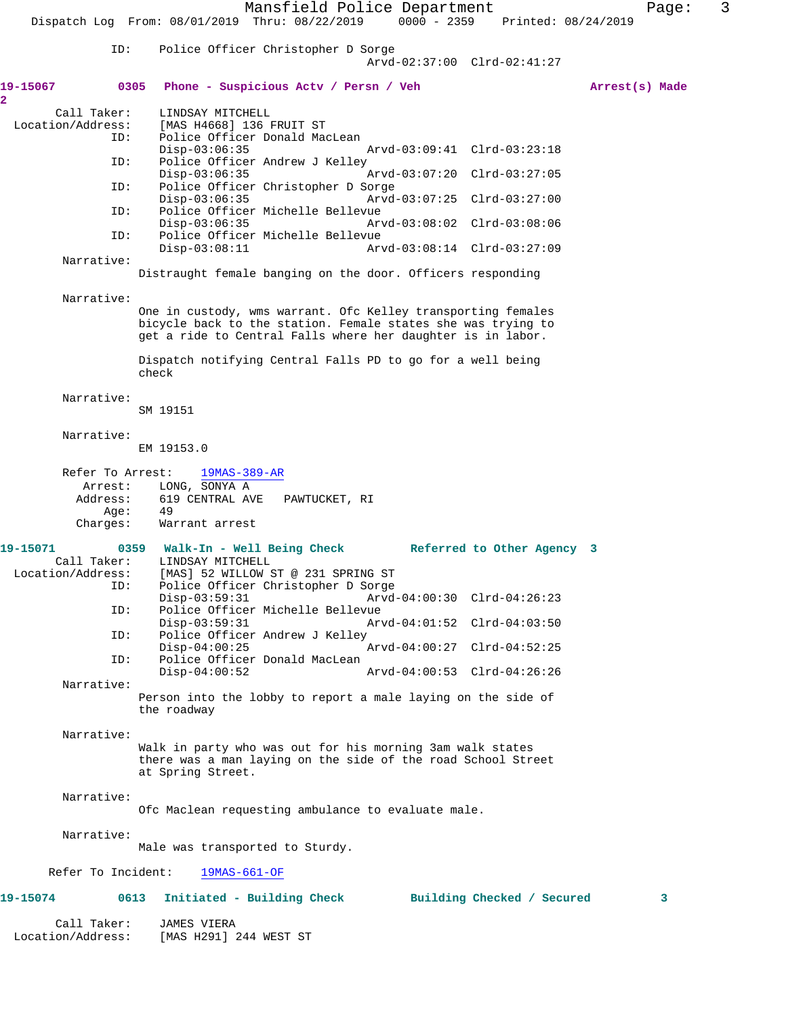Mansfield Police Department Fage: 3 Dispatch Log From: 08/01/2019 Thru: 08/22/2019 0000 - 2359 Printed: 08/24/2019 ID: Police Officer Christopher D Sorge Arvd-02:37:00 Clrd-02:41:27 **19-15067 0305 Phone - Suspicious Actv / Persn / Veh Arrest(s) Made 2**  Call Taker: LINDSAY MITCHELL<br>Location/Address: [MAS H4668] 136 Location/Address: [MAS H4668] 136 FRUIT ST ID: Police Officer Donald MacLean Disp-03:06:35 Arvd-03:09:41 Clrd-03:23:18<br>ID: Police Officer Andrew J Kelley Police Officer Andrew J Kelley Disp-03:06:35 Arvd-03:07:20 Clrd-03:27:05 ID: Police Officer Christopher D Sorge Disp-03:06:35 Arvd-03:07:25 Clrd-03:27:00 ID: Police Officer Michelle Bellevue Disp-03:06:35 Arvd-03:08:02 Clrd-03:08:06 ID: Police Officer Michelle Bellevue Disp-03:08:11 Arvd-03:08:14 Clrd-03:27:09 Narrative: Distraught female banging on the door. Officers responding Narrative: One in custody, wms warrant. Ofc Kelley transporting females bicycle back to the station. Female states she was trying to get a ride to Central Falls where her daughter is in labor. Dispatch notifying Central Falls PD to go for a well being check Narrative: SM 19151 Narrative: EM 19153.0 Refer To Arrest: 19MAS-389-AR Arrest: LONG, SONYA A Address: 619 CENTRAL AVE PAWTUCKET, RI Age: Charges: Warrant arrest 19-15071 0359 Walk-In - Well Being Check Referred to Other Agency 3<br>Call Taker: LINDSAY MITCHELL Call Taker: LINDSAY MITCHELL<br>Location/Address: [MAS] 52 WILLOW ess: [MAS] 52 WILLOW ST @ 231 SPRING ST<br>ID: Police Officer Christopher D Sorge Police Officer Christopher D Sorge Disp-03:59:31 Arvd-04:00:30 Clrd-04:26:23<br>ID: Police Officer Michelle Bellevue Police Officer Michelle Bellevue<br>Disp-03:59:31 Ar Disp-03:59:31 Arvd-04:01:52 Clrd-04:03:50 ID: Police Officer Andrew J Kelley Disp-04:00:25 Arvd-04:00:27 Clrd-04:52:25 ID: Police Officer Donald MacLean Disp-04:00:52 Arvd-04:00:53 Clrd-04:26:26 Narrative: Person into the lobby to report a male laying on the side of the roadway Narrative: Walk in party who was out for his morning 3am walk states there was a man laying on the side of the road School Street at Spring Street. Narrative: Ofc Maclean requesting ambulance to evaluate male. Narrative: Male was transported to Sturdy. Refer To Incident: 19MAS-661-OF **19-15074 0613 Initiated - Building Check Building Checked / Secured 3** Call Taker: JAMES VIERA<br>Location/Address: [MAS H291] [MAS H291] 244 WEST ST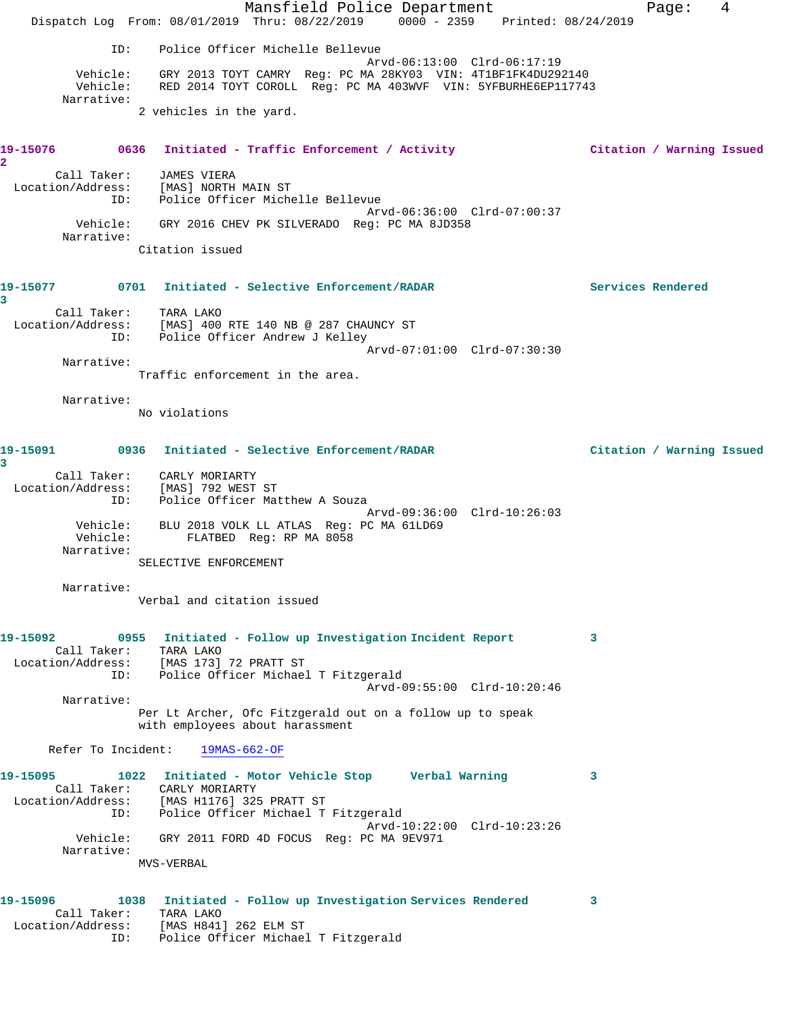Mansfield Police Department Fage: 4 Dispatch Log From: 08/01/2019 Thru: 08/22/2019 0000 - 2359 Printed: 08/24/2019 ID: Police Officer Michelle Bellevue Arvd-06:13:00 Clrd-06:17:19 Vehicle: GRY 2013 TOYT CAMRY Reg: PC MA 28KY03 VIN: 4T1BF1FK4DU292140 Vehicle: RED 2014 TOYT COROLL Reg: PC MA 403WVF VIN: 5YFBURHE6EP117743 Narrative: 2 vehicles in the yard. **19-15076 0636 Initiated - Traffic Enforcement / Activity Citation / Warning Issued 2**  Call Taker: JAMES VIERA Location/Address: [MAS] NORTH MAIN ST ID: Police Officer Michelle Bellevue Arvd-06:36:00 Clrd-07:00:37 Vehicle: GRY 2016 CHEV PK SILVERADO Reg: PC MA 8JD358 Narrative: Citation issued **19-15077 0701 Initiated - Selective Enforcement/RADAR Services Rendered 3**  Call Taker: TARA LAKO Location/Address: [MAS] 400 RTE 140 NB @ 287 CHAUNCY ST ID: Police Officer Andrew J Kelley Arvd-07:01:00 Clrd-07:30:30 Narrative: Traffic enforcement in the area. Narrative: No violations **19-15091 0936 Initiated - Selective Enforcement/RADAR Citation / Warning Issued 3**  Call Taker: CARLY MORIARTY Location/Address: [MAS] 792 WEST ST ID: Police Officer Matthew A Souza Arvd-09:36:00 Clrd-10:26:03 Vehicle: BLU 2018 VOLK LL ATLAS Reg: PC MA 61LD69 Vehicle: FLATBED Reg: RP MA 8058 Narrative: SELECTIVE ENFORCEMENT Narrative: Verbal and citation issued **19-15092 0955 Initiated - Follow up Investigation Incident Report 3**  Call Taker: TARA LAKO Location/Address: [MAS 173] 72 PRATT ST ID: Police Officer Michael T Fitzgerald Arvd-09:55:00 Clrd-10:20:46 Narrative: Per Lt Archer, Ofc Fitzgerald out on a follow up to speak with employees about harassment Refer To Incident: 19MAS-662-OF **19-15095 1022 Initiated - Motor Vehicle Stop Verbal Warning 3**  Call Taker: CARLY MORIARTY Location/Address: [MAS H1176] 325 PRATT ST ID: Police Officer Michael T Fitzgerald Arvd-10:22:00 Clrd-10:23:26 Vehicle: GRY 2011 FORD 4D FOCUS Reg: PC MA 9EV971 Narrative: MVS-VERBAL **19-15096 1038 Initiated - Follow up Investigation Services Rendered 3**  Call Taker: TARA LAKO Location/Address: [MAS H841] 262 ELM ST ID: Police Officer Michael T Fitzgerald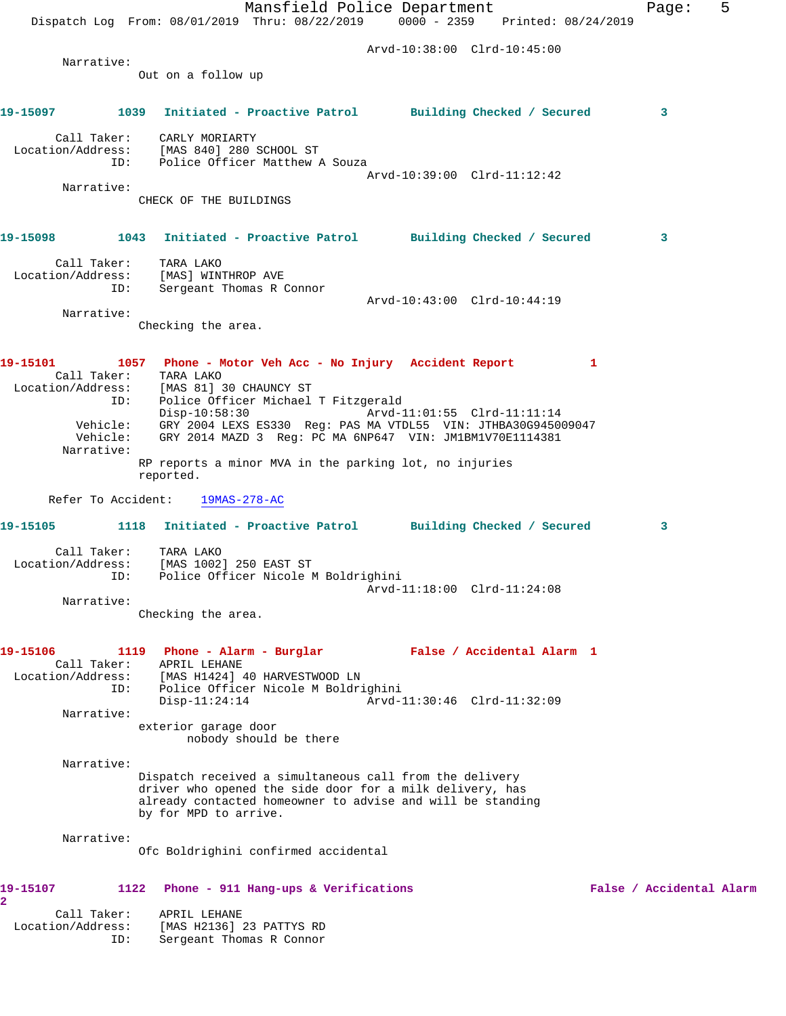Mansfield Police Department Fage: 5 Dispatch Log From: 08/01/2019 Thru: 08/22/2019 0000 - 2359 Printed: 08/24/2019 Arvd-10:38:00 Clrd-10:45:00 Narrative: Out on a follow up **19-15097 1039 Initiated - Proactive Patrol Building Checked / Secured 3** Call Taker: CARLY MORIARTY Location/Address: [MAS 840] 280 SCHOOL ST ID: Police Officer Matthew A Souza Arvd-10:39:00 Clrd-11:12:42 Narrative: CHECK OF THE BUILDINGS **19-15098 1043 Initiated - Proactive Patrol Building Checked / Secured 3** Call Taker: TARA LAKO Location/Address: [MAS] WINTHROP AVE ID: Sergeant Thomas R Connor Arvd-10:43:00 Clrd-10:44:19 Narrative: Checking the area. **19-15101 1057 Phone - Motor Veh Acc - No Injury Accident Report 1**  Call Taker: TARA LAKO Location/Address: [MAS 81] 30 CHAUNCY ST ID: Police Officer Michael T Fitzgerald Disp-10:58:30 Arvd-11:01:55 Clrd-11:11:14 Vehicle: GRY 2004 LEXS ES330 Reg: PAS MA VTDL55 VIN: JTHBA30G945009047 Vehicle: GRY 2014 MAZD 3 Reg: PC MA 6NP647 VIN: JM1BM1V70E1114381 Narrative: RP reports a minor MVA in the parking lot, no injuries reported. Refer To Accident: 19MAS-278-AC **19-15105 1118 Initiated - Proactive Patrol Building Checked / Secured 3** Call Taker: TARA LAKO Location/Address: [MAS 1002] 250 EAST ST ID: Police Officer Nicole M Boldrighini Arvd-11:18:00 Clrd-11:24:08 Narrative: Checking the area. **19-15106 1119 Phone - Alarm - Burglar False / Accidental Alarm 1**  Call Taker: APRIL LEHANE Location/Address: [MAS H1424] 40 HARVESTWOOD LN ID: Police Officer Nicole M Boldrighini Disp-11:24:14 Arvd-11:30:46 Clrd-11:32:09 Narrative: exterior garage door nobody should be there Narrative: Dispatch received a simultaneous call from the delivery driver who opened the side door for a milk delivery, has already contacted homeowner to advise and will be standing by for MPD to arrive. Narrative: Ofc Boldrighini confirmed accidental **19-15107 1122 Phone - 911 Hang-ups & Verifications False / Accidental Alarm 2**  Call Taker: APRIL LEHANE Location/Address: [MAS H2136] 23 PATTYS RD ID: Sergeant Thomas R Connor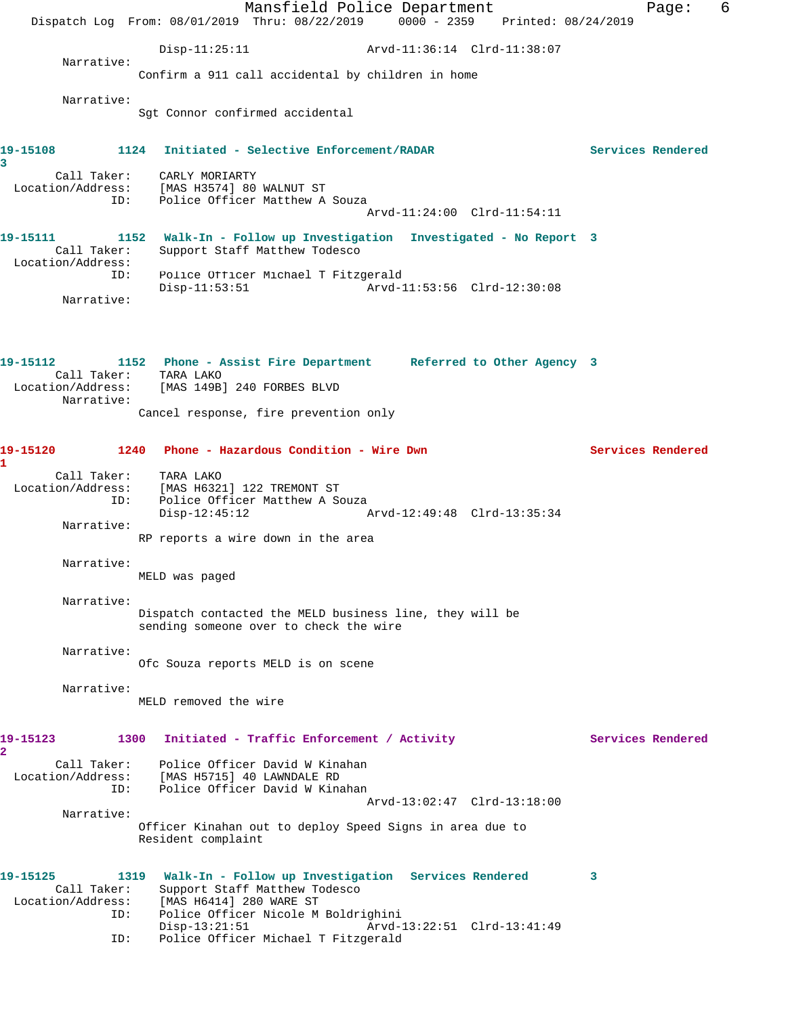Mansfield Police Department Fage: 6 Dispatch Log From: 08/01/2019 Thru: 08/22/2019 0000 - 2359 Printed: 08/24/2019 Disp-11:25:11 Arvd-11:36:14 Clrd-11:38:07 Narrative: Confirm a 911 call accidental by children in home Narrative: Sgt Connor confirmed accidental **19-15108 1124 Initiated - Selective Enforcement/RADAR Services Rendered 3**  Call Taker: CARLY MORIARTY Location/Address: [MAS H3574] 80 WALNUT ST ID: Police Officer Matthew A Souza Arvd-11:24:00 Clrd-11:54:11 **19-15111 1152 Walk-In - Follow up Investigation Investigated - No Report 3**  Call Taker: Support Staff Matthew Todesco Location/Address: ID: Police Officer Michael T Fitzgerald Disp-11:53:51 Arvd-11:53:56 Clrd-12:30:08 Narrative: **19-15112 1152 Phone - Assist Fire Department Referred to Other Agency 3**  Call Taker: TARA LAKO Location/Address: [MAS 149B] 240 FORBES BLVD Narrative: Cancel response, fire prevention only **19-15120 1240 Phone - Hazardous Condition - Wire Dwn Services Rendered 1**  Call Taker: TARA LAKO Location/Address: [MAS H6321] 122 TREMONT ST ID: Police Officer Matthew A Souza Disp-12:45:12 Arvd-12:49:48 Clrd-13:35:34 Narrative: RP reports a wire down in the area Narrative: MELD was paged Narrative: Dispatch contacted the MELD business line, they will be sending someone over to check the wire Narrative: Ofc Souza reports MELD is on scene Narrative: MELD removed the wire 19-15123 1300 Initiated - Traffic Enforcement / Activity **Services Rendered 2**  Call Taker: Police Officer David W Kinahan Location/Address: [MAS H5715] 40 LAWNDALE RD ID: Police Officer David W Kinahan Arvd-13:02:47 Clrd-13:18:00 Narrative: Officer Kinahan out to deploy Speed Signs in area due to Resident complaint **19-15125 1319 Walk-In - Follow up Investigation Services Rendered 3**  Call Taker: Support Staff Matthew Todesco Location/Address: [MAS H6414] 280 WARE ST ID: Police Officer Nicole M Boldrighini Disp-13:21:51 Arvd-13:22:51 Clrd-13:41:49 ID: Police Officer Michael T Fitzgerald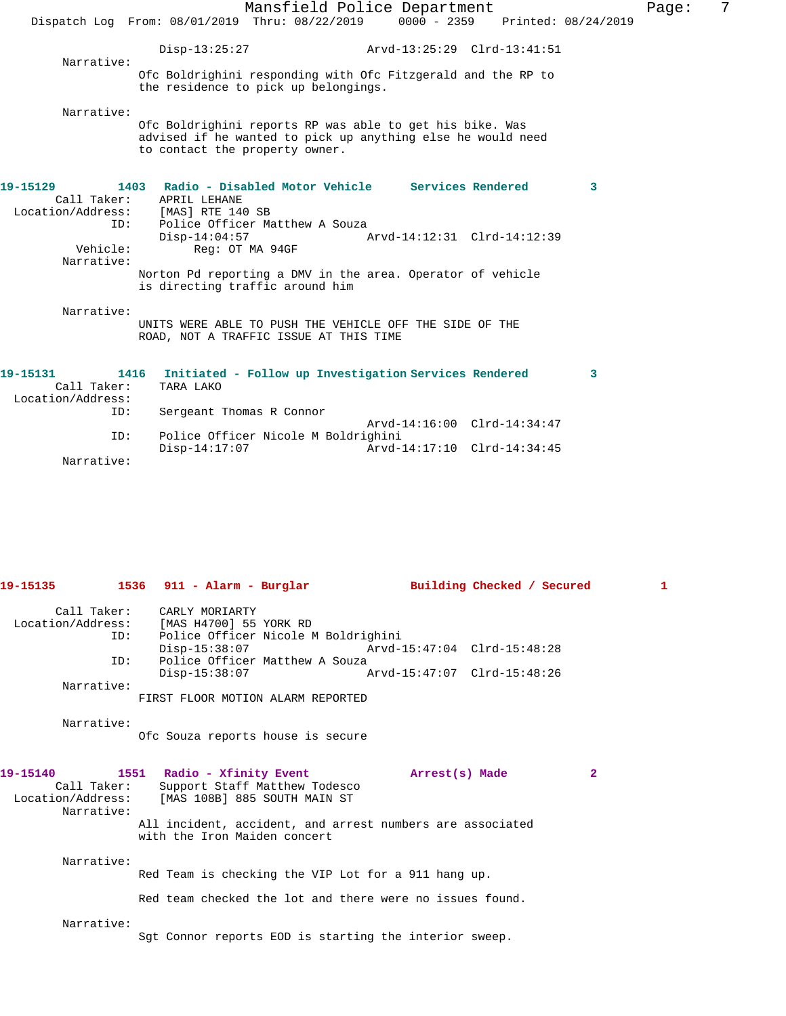|                                                                                 |                                                                |                                                                   | Mansfield Police Department                                                                                                                        |   |
|---------------------------------------------------------------------------------|----------------------------------------------------------------|-------------------------------------------------------------------|----------------------------------------------------------------------------------------------------------------------------------------------------|---|
|                                                                                 |                                                                | Dispatch Log From: 08/01/2019 Thru: 08/22/2019                    | 0000 - 2359 Printed: 08/24/2019                                                                                                                    |   |
| Narrative:                                                                      | $Disp-13:25:27$                                                |                                                                   |                                                                                                                                                    |   |
|                                                                                 |                                                                | the residence to pick up belongings.                              | Ofc Boldrighini responding with Ofc Fitzgerald and the RP to                                                                                       |   |
| Narrative:                                                                      | to contact the property owner.                                 |                                                                   | Ofc Boldrighini reports RP was able to get his bike. Was<br>advised if he wanted to pick up anything else he would need                            |   |
| 19-15129<br>Location/Address: [MAS] RTE 140 SB<br>ID:<br>Vehicle:<br>Narrative: | Call Taker: APRIL LEHANE<br>$Disp-14:04:57$<br>Reg: OT MA 94GF | Police Officer Matthew A Souza<br>is directing traffic around him | 1403 Radio - Disabled Motor Vehicle Services Rendered<br>Arvd-14:12:31 Clrd-14:12:39<br>Norton Pd reporting a DMV in the area. Operator of vehicle | 3 |
| Narrative:                                                                      |                                                                | ROAD, NOT A TRAFFIC ISSUE AT THIS TIME                            | UNITS WERE ABLE TO PUSH THE VEHICLE OFF THE SIDE OF THE                                                                                            |   |
| 19-15131<br>1416<br>Call Taker:<br>Location/Address:                            | TARA LAKO                                                      |                                                                   | Initiated - Follow up Investigation Services Rendered                                                                                              | 3 |
| ID:                                                                             | Sergeant Thomas R Connor                                       |                                                                   | Arvd-14:16:00 Clrd-14:34:47                                                                                                                        |   |

Disp-14:17:07 Arvd-14:17:10 Clrd-14:34:45

ID: Police Officer Nicole M Boldrighini

Narrative:

|                           |                                                                                                                                                                    | 19-15135 1536 911 - Alarm - Burglar 19 - Building Checked / Secured | 1 |
|---------------------------|--------------------------------------------------------------------------------------------------------------------------------------------------------------------|---------------------------------------------------------------------|---|
|                           | Call Taker: CARLY MORIARTY<br>Location/Address: [MAS H4700] 55 YORK RD<br>ID: Police Officer Nicole M Boldrighini                                                  |                                                                     |   |
|                           |                                                                                                                                                                    | Disp-15:38:07 Arvd-15:47:04 Clrd-15:48:28                           |   |
| ID:                       | Police Officer Matthew A Souza<br>$Disp-15:38:07$                                                                                                                  |                                                                     |   |
| Narrative:                |                                                                                                                                                                    |                                                                     |   |
|                           | FIRST FLOOR MOTION ALARM REPORTED                                                                                                                                  |                                                                     |   |
| Narrative:                | Ofc Souza reports house is secure                                                                                                                                  |                                                                     |   |
| Call Taker:<br>Narrative: | 19-15140           1551    Radio - Xfinity Event                 Arrest(s) Made<br>Support Staff Matthew Todesco<br>Location/Address: [MAS 108B] 885 SOUTH MAIN ST |                                                                     | 2 |
|                           | with the Iron Maiden concert                                                                                                                                       | All incident, accident, and arrest numbers are associated           |   |
| Narrative:                |                                                                                                                                                                    |                                                                     |   |
|                           | Red Team is checking the VIP Lot for a 911 hang up.                                                                                                                |                                                                     |   |
|                           | Red team checked the lot and there were no issues found.                                                                                                           |                                                                     |   |
| Narrative:                | Sqt Connor reports EOD is starting the interior sweep.                                                                                                             |                                                                     |   |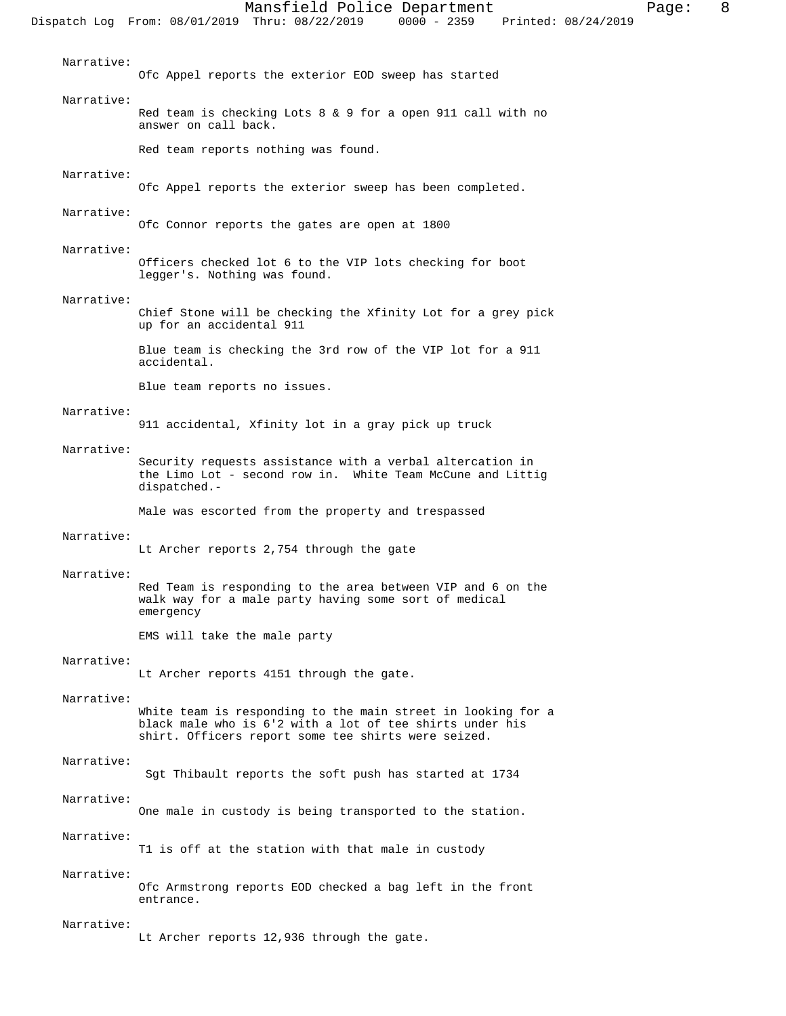| Narrative: | Ofc Appel reports the exterior EOD sweep has started                                                                                                                            |
|------------|---------------------------------------------------------------------------------------------------------------------------------------------------------------------------------|
| Narrative: | Red team is checking Lots 8 & 9 for a open 911 call with no<br>answer on call back.                                                                                             |
|            | Red team reports nothing was found.                                                                                                                                             |
| Narrative: | Ofc Appel reports the exterior sweep has been completed.                                                                                                                        |
| Narrative: | Ofc Connor reports the gates are open at 1800                                                                                                                                   |
| Narrative: | Officers checked lot 6 to the VIP lots checking for boot<br>legger's. Nothing was found.                                                                                        |
| Narrative: | Chief Stone will be checking the Xfinity Lot for a grey pick<br>up for an accidental 911                                                                                        |
|            | Blue team is checking the 3rd row of the VIP lot for a 911<br>accidental.                                                                                                       |
|            | Blue team reports no issues.                                                                                                                                                    |
| Narrative: | 911 accidental, Xfinity lot in a gray pick up truck                                                                                                                             |
| Narrative: | Security requests assistance with a verbal altercation in<br>the Limo Lot - second row in. White Team McCune and Littiq<br>dispatched.-                                         |
|            | Male was escorted from the property and trespassed                                                                                                                              |
| Narrative: | Lt Archer reports 2,754 through the gate                                                                                                                                        |
| Narrative: | Red Team is responding to the area between VIP and 6 on the<br>walk way for a male party having some sort of medical<br>emergency                                               |
|            | EMS will take the male party                                                                                                                                                    |
| Narrative: | Lt Archer reports 4151 through the gate.                                                                                                                                        |
| Narrative: | White team is responding to the main street in looking for a<br>black male who is 6'2 with a lot of tee shirts under his<br>shirt. Officers report some tee shirts were seized. |
| Narrative: | Sgt Thibault reports the soft push has started at 1734                                                                                                                          |
| Narrative: | One male in custody is being transported to the station.                                                                                                                        |
| Narrative: | T1 is off at the station with that male in custody                                                                                                                              |
| Narrative: | Ofc Armstrong reports EOD checked a bag left in the front<br>entrance.                                                                                                          |
| Narrative: | Lt Archer reports 12,936 through the gate.                                                                                                                                      |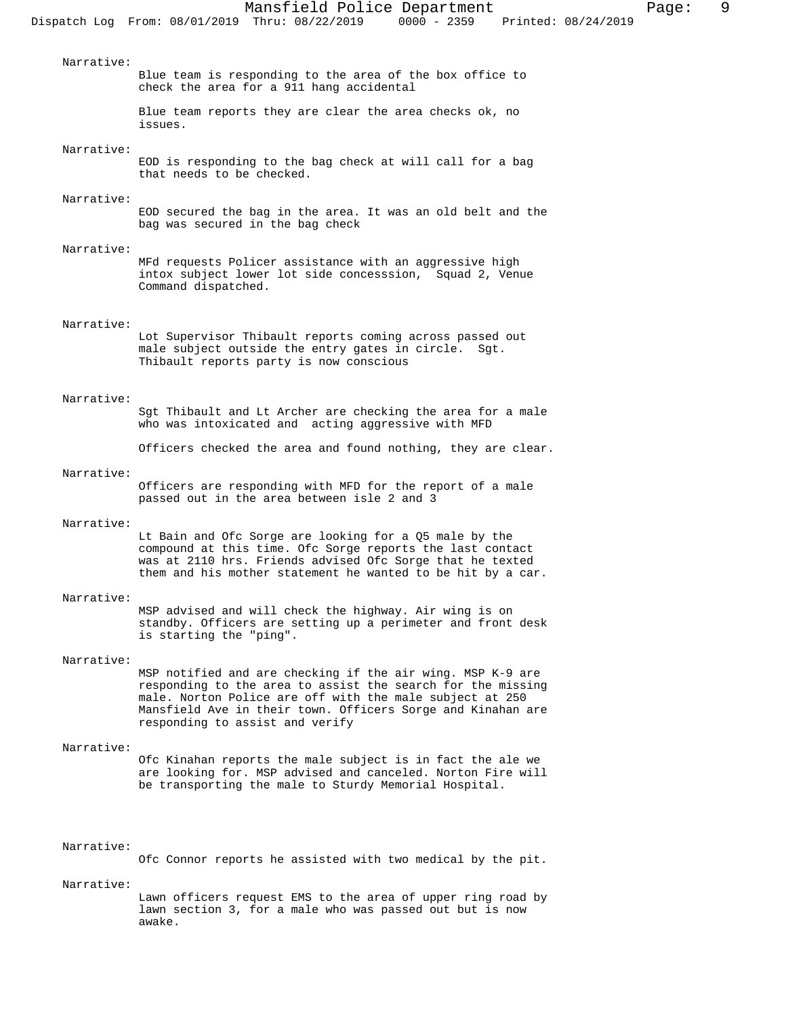Blue team is responding to the area of the box office to

Blue team reports they are clear the area checks ok, no

EOD is responding to the bag check at will call for a bag

EOD secured the bag in the area. It was an old belt and the

MFd requests Policer assistance with an aggressive high intox subject lower lot side concesssion, Squad 2, Venue

Lot Supervisor Thibault reports coming across passed out male subject outside the entry gates in circle. Sgt.

Sgt Thibault and Lt Archer are checking the area for a male

Officers checked the area and found nothing, they are clear.

who was intoxicated and acting aggressive with MFD

check the area for a 911 hang accidental

that needs to be checked.

Command dispatched.

bag was secured in the bag check

Thibault reports party is now conscious

 Narrative: Officers are responding with MFD for the report of a male passed out in the area between isle 2 and 3 Narrative:

Lt Bain and Ofc Sorge are looking for a Q5 male by the compound at this time. Ofc Sorge reports the last contact was at 2110 hrs. Friends advised Ofc Sorge that he texted them and his mother statement he wanted to be hit by a car.

### Narrative:

Narrative:

Narrative:

Narrative:

Narrative:

Narrative:

Narrative:

issues.

MSP advised and will check the highway. Air wing is on standby. Officers are setting up a perimeter and front desk is starting the "ping".

#### Narrative:

MSP notified and are checking if the air wing. MSP K-9 are responding to the area to assist the search for the missing male. Norton Police are off with the male subject at 250 Mansfield Ave in their town. Officers Sorge and Kinahan are responding to assist and verify

### Narrative:

Ofc Kinahan reports the male subject is in fact the ale we are looking for. MSP advised and canceled. Norton Fire will be transporting the male to Sturdy Memorial Hospital.

### Narrative:

Ofc Connor reports he assisted with two medical by the pit.

Narrative:

Lawn officers request EMS to the area of upper ring road by lawn section 3, for a male who was passed out but is now awake.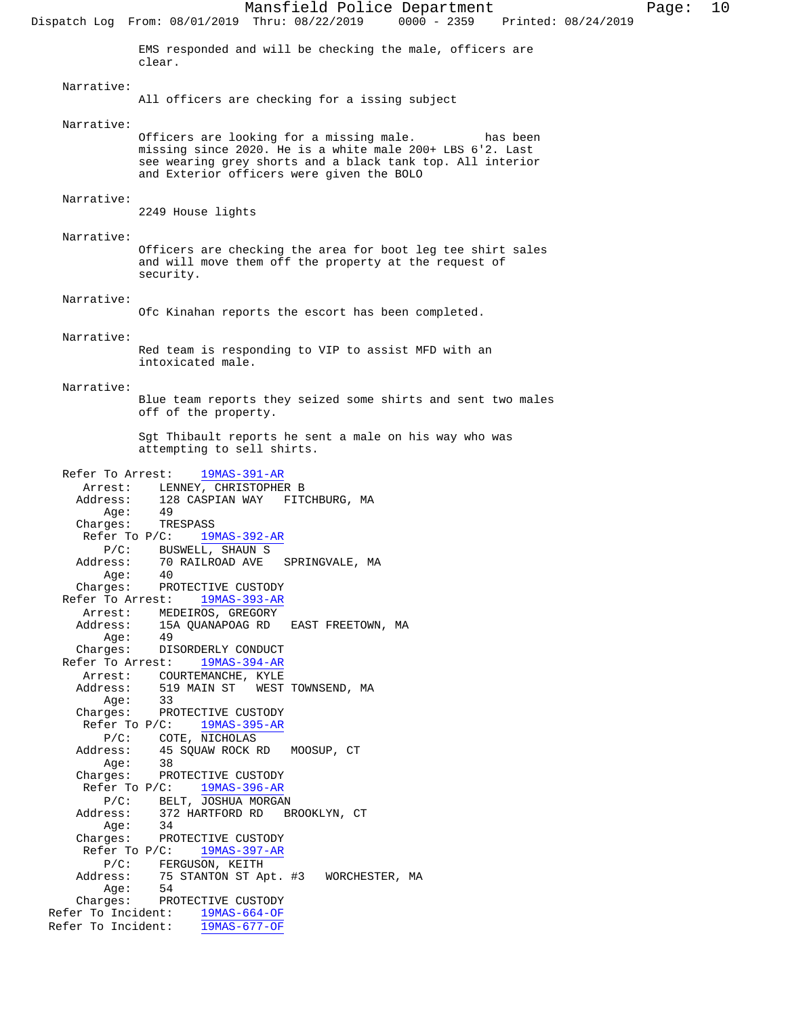Mansfield Police Department Page: 10 Dispatch Log From: 08/01/2019 Thru: 08/22/2019 EMS responded and will be checking the male, officers are clear. Narrative: All officers are checking for a issing subject Narrative: Officers are looking for a missing male. has been missing since 2020. He is a white male 200+ LBS 6'2. Last see wearing grey shorts and a black tank top. All interior and Exterior officers were given the BOLO Narrative: 2249 House lights Narrative: Officers are checking the area for boot leg tee shirt sales and will move them off the property at the request of security. Narrative: Ofc Kinahan reports the escort has been completed. Narrative: Red team is responding to VIP to assist MFD with an intoxicated male. Narrative: Blue team reports they seized some shirts and sent two males off of the property. Sgt Thibault reports he sent a male on his way who was attempting to sell shirts. Refer To Arrest: 19MAS-391-AR Arrest: LENNEY, CHRISTOPHER B Address: 128 CASPIAN WAY FITCHBURG, MA Age: 49 Charges: TRESPASS Refer To P/C: 19MAS-392-AR P/C: BUSWELL, SHAUN S<br>Address: 70 RAILROAD AVE 70 RAILROAD AVE SPRINGVALE, MA<br>40  $Age:$  Charges: PROTECTIVE CUSTODY Refer To Arrest: 19MAS-393-AR Arrest: MEDEIROS, GREGORY Address: 15A QUANAPOAG RD EAST FREETOWN, MA Age: 49 Charges: DISORDERLY CONDUCT Refer To Arrest: 19MAS-394-AR Arrest: COURTEMANCHE, KYLE Address: 519 MAIN ST WEST TOWNSEND, MA Age: 33 Charges: PROTECTIVE CUSTODY Refer To P/C: 19MAS-395-AR P/C: COTE, NICHOLAS Address: 45 SQUAW ROCK RD MOOSUP, CT Age: 38 Charges: PROTECTIVE CUSTODY Refer To P/C: 19MAS-396-AR P/C: BELT, JOSHUA MORGAN Address: 372 HARTFORD RD BROOKLYN, CT Age: 34 Charges: PROTECTIVE CUSTODY Refer To P/C: 19MAS-397-AR P/C: FERGUSON, KEITH<br>Address: 75 STANTON ST Ap 75 STANTON ST Apt. #3 WORCHESTER, MA Age: 54 Charges: PROTECTIVE CUSTODY Refer To Incident: 19MAS-664-OF Refer To Incident: 19MAS-677-OF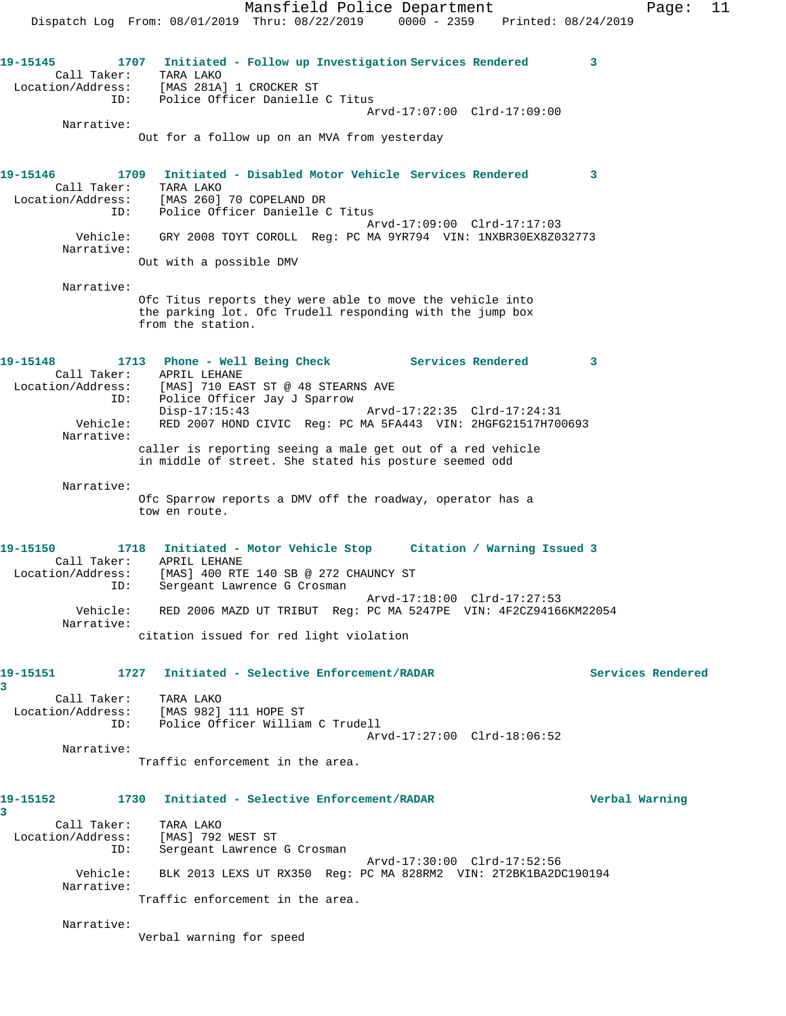Narrative:

Out for a follow up on an MVA from yesterday

**19-15146 1709 Initiated - Disabled Motor Vehicle Services Rendered 3**  Call Taker: TARA LAKO Location/Address: [MAS 260] 70 COPELAND DR ID: Police Officer Danielle C Titus Arvd-17:09:00 Clrd-17:17:03 Vehicle: GRY 2008 TOYT COROLL Reg: PC MA 9YR794 VIN: 1NXBR30EX8Z032773 Narrative: Out with a possible DMV

 Narrative: Ofc Titus reports they were able to move the vehicle into the parking lot. Ofc Trudell responding with the jump box from the station.

**19-15148 1713 Phone - Well Being Check Services Rendered 3**  Call Taker: APRIL LEHANE Location/Address: [MAS] 710 EAST ST @ 48 STEARNS AVE ID: Police Officer Jay J Sparrow Disp-17:15:43 Arvd-17:22:35 Clrd-17:24:31 Vehicle: RED 2007 HOND CIVIC Reg: PC MA 5FA443 VIN: 2HGFG21517H700693 Narrative: caller is reporting seeing a male get out of a red vehicle in middle of street. She stated his posture seemed odd

 Narrative: Ofc Sparrow reports a DMV off the roadway, operator has a tow en route.

**19-15150 1718 Initiated - Motor Vehicle Stop Citation / Warning Issued 3**  Call Taker: APRIL LEHANE Location/Address: [MAS] 400 RTE 140 SB @ 272 CHAUNCY ST ID: Sergeant Lawrence G Crosman Arvd-17:18:00 Clrd-17:27:53 Vehicle: RED 2006 MAZD UT TRIBUT Reg: PC MA 5247PE VIN: 4F2CZ94166KM22054 Narrative: citation issued for red light violation

**19-15151 1727 Initiated - Selective Enforcement/RADAR Services Rendered**

**3** 

Call Taker: TARA LAKO

 Location/Address: [MAS 982] 111 HOPE ST ID: Police Officer William C Trudell Arvd-17:27:00 Clrd-18:06:52

Narrative:

Traffic enforcement in the area.

# **19-15152 1730 Initiated - Selective Enforcement/RADAR Verbal Warning**

**3** 

 Call Taker: TARA LAKO Location/Address: [MAS] 792 WEST ST ID: Sergeant Lawrence G Crosman Arvd-17:30:00 Clrd-17:52:56

 Vehicle: BLK 2013 LEXS UT RX350 Reg: PC MA 828RM2 VIN: 2T2BK1BA2DC190194 Narrative:

Traffic enforcement in the area.

Narrative:

Verbal warning for speed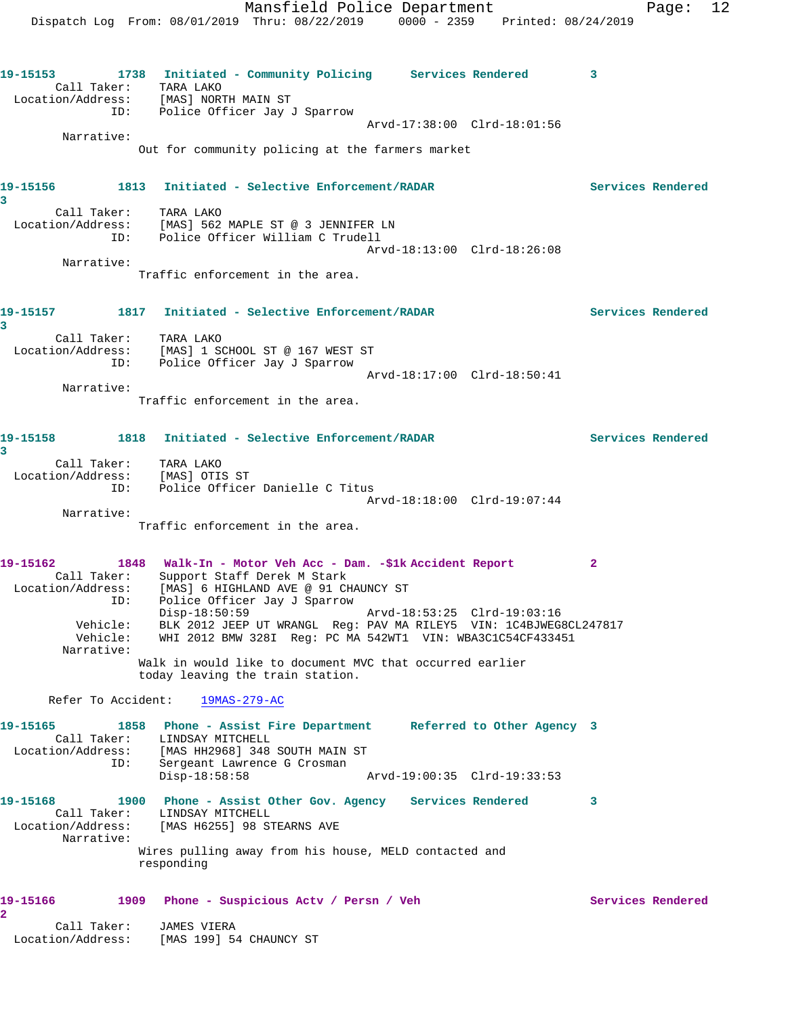Dispatch Log From: 08/01/2019 Thru: 08/22/2019 0000 - 2359 Printed: 08/24/2019 **19-15153 1738 Initiated - Community Policing Services Rendered 3**  Call Taker: TARA LAKO Location/Address: [MAS] NORTH MAIN ST ID: Police Officer Jay J Sparrow Arvd-17:38:00 Clrd-18:01:56 Narrative: Out for community policing at the farmers market **19-15156 1813 Initiated - Selective Enforcement/RADAR Services Rendered 3**  Call Taker: TARA LAKO Location/Address: [MAS] 562 MAPLE ST @ 3 JENNIFER LN ID: Police Officer William C Trudell Arvd-18:13:00 Clrd-18:26:08 Narrative: Traffic enforcement in the area. **19-15157 1817 Initiated - Selective Enforcement/RADAR Services Rendered 3**  Call Taker: TARA LAKO Location/Address: [MAS] 1 SCHOOL ST @ 167 WEST ST ID: Police Officer Jay J Sparrow Arvd-18:17:00 Clrd-18:50:41 Narrative: Traffic enforcement in the area. **19-15158 1818 Initiated - Selective Enforcement/RADAR Services Rendered 3**  Call Taker: TARA LAKO Location/Address: [MAS] OTIS ST ID: Police Officer Danielle C Titus Arvd-18:18:00 Clrd-19:07:44 Narrative: Traffic enforcement in the area. **19-15162 1848 Walk-In - Motor Veh Acc - Dam. -\$1k Accident Report 2**  Call Taker: Support Staff Derek M Stark Location/Address: [MAS] 6 HIGHLAND AVE @ 91 CHAUNCY ST ID: Police Officer Jay J Sparrow Disp-18:50:59 Arvd-18:53:25 Clrd-19:03:16 Vehicle: BLK 2012 JEEP UT WRANGL Reg: PAV MA RILEY5 VIN: 1C4BJWEG8CL247817 Vehicle: WHI 2012 BMW 328I Reg: PC MA 542WT1 VIN: WBA3C1C54CF433451 Narrative: Walk in would like to document MVC that occurred earlier today leaving the train station. Refer To Accident: 19MAS-279-AC **19-15165 1858 Phone - Assist Fire Department Referred to Other Agency 3**  Call Taker: LINDSAY MITCHELL Location/Address: [MAS HH2968] 348 SOUTH MAIN ST ID: Sergeant Lawrence G Crosman Disp-18:58:58 Arvd-19:00:35 Clrd-19:33:53 **19-15168 1900 Phone - Assist Other Gov. Agency Services Rendered 3**  Call Taker: LINDSAY MITCHELL Location/Address: [MAS H6255] 98 STEARNS AVE Narrative: Wires pulling away from his house, MELD contacted and responding 19-15166 1909 Phone - Suspicious Actv / Persn / Veh Services Rendered **2**  Call Taker: JAMES VIERA Location/Address: [MAS 199] 54 CHAUNCY ST

Mansfield Police Department Fage: 12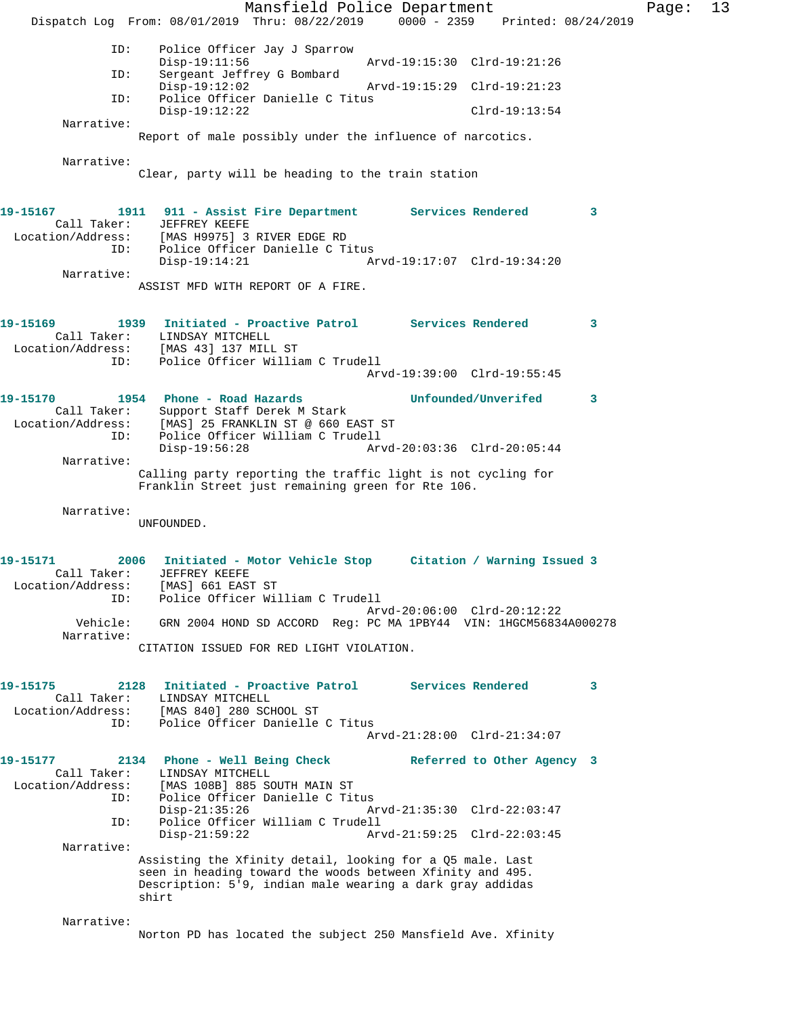Mansfield Police Department Page: 13 Dispatch Log From: 08/01/2019 Thru: 08/22/2019 0000 - 2359 Printed: 08/24/2019 ID: Police Officer Jay J Sparrow Disp-19:11:56 Arvd-19:15:30 Clrd-19:21:26 ID: Sergeant Jeffrey G Bombard Disp-19:12:02 Arvd-19:15:29 Clrd-19:21:23<br>ID: Police Officer Danielle C Titus Police Officer Danielle C Titus Disp-19:12:22 Clrd-19:13:54 Narrative: Report of male possibly under the influence of narcotics. Narrative: Clear, party will be heading to the train station **19-15167 1911 911 - Assist Fire Department Services Rendered 3**  Call Taker: JEFFREY KEEFE Location/Address: [MAS H9975] 3 RIVER EDGE RD ID: المحمد المحمد العربية و IMAS العربية العربية و ID: Police Officer Danielle C Titus<br>Disp-19:14:21 Ar Disp-19:14:21 Arvd-19:17:07 Clrd-19:34:20 Narrative: ASSIST MFD WITH REPORT OF A FIRE. **19-15169 1939 Initiated - Proactive Patrol Services Rendered 3**  Call Taker: LINDSAY MITCHELL Location/Address: [MAS 43] 137 MILL ST ID: Police Officer William C Trudell Arvd-19:39:00 Clrd-19:55:45 **19-15170 1954 Phone - Road Hazards Unfounded/Unverifed 3**  Call Taker: Support Staff Derek M Stark Location/Address: [MAS] 25 FRANKLIN ST @ 660 EAST ST ID: Police Officer William C Trudell Disp-19:56:28 Arvd-20:03:36 Clrd-20:05:44 Narrative: Calling party reporting the traffic light is not cycling for Franklin Street just remaining green for Rte 106. Narrative: UNFOUNDED. **19-15171 2006 Initiated - Motor Vehicle Stop Citation / Warning Issued 3**  Call Taker: JEFFREY KEEFE Location/Address: [MAS] 661 EAST ST ID: Police Officer William C Trudell Arvd-20:06:00 Clrd-20:12:22 Vehicle: GRN 2004 HOND SD ACCORD Reg: PC MA 1PBY44 VIN: 1HGCM56834A000278 Narrative: CITATION ISSUED FOR RED LIGHT VIOLATION. **19-15175 2128 Initiated - Proactive Patrol Services Rendered 3**  Call Taker: LINDSAY MITCHELL Location/Address: [MAS 840] 280 SCHOOL ST ID: Police Officer Danielle C Titus Arvd-21:28:00 Clrd-21:34:07 **19-15177 2134 Phone - Well Being Check Referred to Other Agency 3**  Call Taker: LINDSAY MITCHELL<br>Location/Address: [MAS 108B] 885 SO ess: [MAS 108B] 885 SOUTH MAIN ST<br>ID: Police Officer Danielle C Tit Police Officer Danielle C Titus<br>Disp-21:35:26 A Disp-21:35:26 Arvd-21:35:30 Clrd-22:03:47 ID: Police Officer William C Trudell Disp-21:59:22 Arvd-21:59:25 Clrd-22:03:45 Narrative: Assisting the Xfinity detail, looking for a Q5 male. Last seen in heading toward the woods between Xfinity and 495. Description: 5'9, indian male wearing a dark gray addidas shirt Narrative: Norton PD has located the subject 250 Mansfield Ave. Xfinity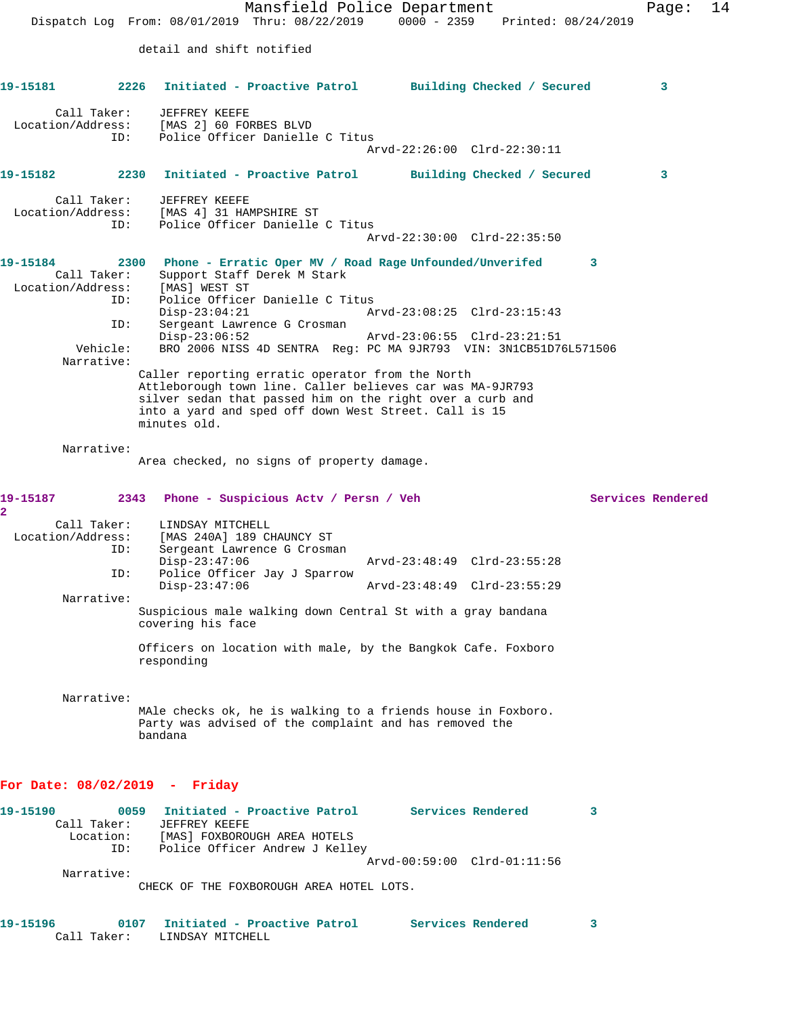Mansfield Police Department Page: 14 Dispatch Log From: 08/01/2019 Thru: 08/22/2019 0000 - 2359 Printed: 08/24/2019 detail and shift notified **19-15181 2226 Initiated - Proactive Patrol Building Checked / Secured 3** Call Taker: JEFFREY KEEFE Location/Address: [MAS 2] 60 FORBES BLVD ID: Police Officer Danielle C Titus Arvd-22:26:00 Clrd-22:30:11 **19-15182 2230 Initiated - Proactive Patrol Building Checked / Secured 3** Call Taker: JEFFREY KEEFE Location/Address: [MAS 4] 31 HAMPSHIRE ST ID: Police Officer Danielle C Titus Arvd-22:30:00 Clrd-22:35:50 **19-15184 2300 Phone - Erratic Oper MV / Road Rage Unfounded/Unverifed 3**  Call Taker: Support Staff Derek M Stark Location/Address: [MAS] WEST ST ID: Police Officer Danielle C Titus<br>Disp-23:04:21 Ar Disp-23:04:21 Arvd-23:08:25 Clrd-23:15:43<br>ID: Sergeant Lawrence G Crosman Sergeant Lawrence G Crosman<br>Disp-23:06:52 Disp-23:06:52 Arvd-23:06:55 Clrd-23:21:51 Vehicle: BRO 2006 NISS 4D SENTRA Reg: PC MA 9JR793 VIN: 3N1CB51D76L571506 Narrative: Caller reporting erratic operator from the North Attleborough town line. Caller believes car was MA-9JR793 silver sedan that passed him on the right over a curb and into a yard and sped off down West Street. Call is 15 minutes old. Narrative: Area checked, no signs of property damage. **19-15187 2343 Phone - Suspicious Actv / Persn / Veh Services Rendered 2**  Call Taker: LINDSAY MITCHELL Location/Address: [MAS 240A] 189 CHAUNCY ST<br>ID: Sergeant Lawrence G Crosma Sergeant Lawrence G Crosman Disp-23:47:06 Arvd-23:48:49 Clrd-23:55:28 ID: Police Officer Jay J Sparrow<br>Disp-23:47:06 Arvd-23:48:49 Clrd-23:55:29 Narrative: Suspicious male walking down Central St with a gray bandana covering his face Officers on location with male, by the Bangkok Cafe. Foxboro responding Narrative: MAle checks ok, he is walking to a friends house in Foxboro. Party was advised of the complaint and has removed the bandana **For Date: 08/02/2019 - Friday 19-15190 0059 Initiated - Proactive Patrol Services Rendered 3**  Call Taker: JEFFREY KEEFE Location: [MAS] FOXBOROUGH AREA HOTELS ID: Police Officer Andrew J Kelley

Narrative:

CHECK OF THE FOXBOROUGH AREA HOTEL LOTS.

| 19–15196 |             | / Initiated - Proactive Patrol | Services Rendered |  |
|----------|-------------|--------------------------------|-------------------|--|
|          | Call Taker: | LINDSAY MITCHELL               |                   |  |

Arvd-00:59:00 Clrd-01:11:56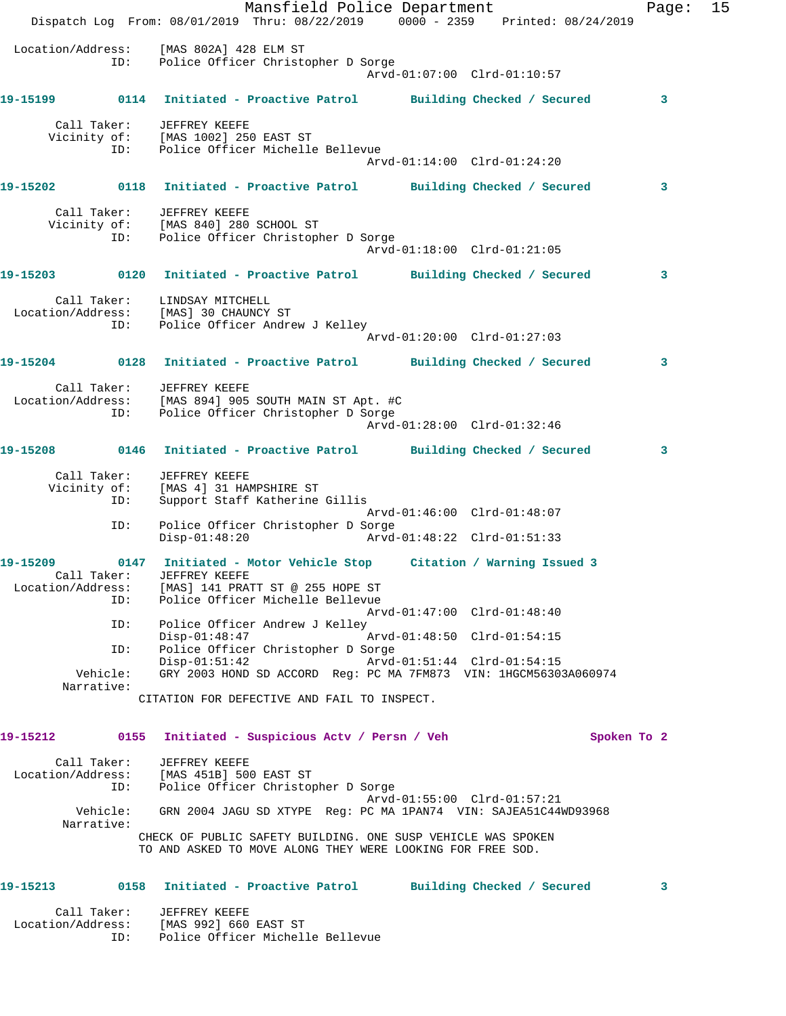Mansfield Police Department Franch Page: 15 Dispatch Log From: 08/01/2019 Thru: 08/22/2019 0000 - 2359 Printed: 08/24/2019 Location/Address: [MAS 802A] 428 ELM ST ID: Police Officer Christopher D Sorge Arvd-01:07:00 Clrd-01:10:57 **19-15199 0114 Initiated - Proactive Patrol Building Checked / Secured 3** Call Taker: JEFFREY KEEFE Vicinity of: [MAS 1002] 250 EAST ST ID: Police Officer Michelle Bellevue Arvd-01:14:00 Clrd-01:24:20 **19-15202 0118 Initiated - Proactive Patrol Building Checked / Secured 3** Call Taker: JEFFREY KEEFE Vicinity of: [MAS 840] 280 SCHOOL ST ID: Police Officer Christopher D Sorge Arvd-01:18:00 Clrd-01:21:05 **19-15203 0120 Initiated - Proactive Patrol Building Checked / Secured 3** Call Taker: LINDSAY MITCHELL Location/Address: [MAS] 30 CHAUNCY ST ID: Police Officer Andrew J Kelley Arvd-01:20:00 Clrd-01:27:03 **19-15204 0128 Initiated - Proactive Patrol Building Checked / Secured 3** Call Taker: JEFFREY KEEFE Location/Address: [MAS 894] 905 SOUTH MAIN ST Apt. #C ID: Police Officer Christopher D Sorge Arvd-01:28:00 Clrd-01:32:46 **19-15208 0146 Initiated - Proactive Patrol Building Checked / Secured 3** Call Taker: JEFFREY KEEFE Vicinity of: [MAS 4] 31 HAMPSHIRE ST ID: Support Staff Katherine Gillis Arvd-01:46:00 Clrd-01:48:07 ID: Police Officer Christopher D Sorge Disp-01:48:20 Arvd-01:48:22 Clrd-01:51:33 **19-15209 0147 Initiated - Motor Vehicle Stop Citation / Warning Issued 3**  Call Taker: JEFFREY KEEFE Location/Address: [MAS] 141 PRATT ST @ 255 HOPE ST ID: Police Officer Michelle Bellevue Arvd-01:47:00 Clrd-01:48:40 ID: Police Officer Andrew J Kelley<br>Disp-01:48:47<br>ID: Police Officer Christopher D Sc<br>Disp-01:51:42 Arvd-01:48:50 Clrd-01:54:15 Police Officer Christopher D Sorge Disp-01:51:42 Arvd-01:51:44 Clrd-01:54:15 Vehicle: GRY 2003 HOND SD ACCORD Reg: PC MA 7FM873 VIN: 1HGCM56303A060974 Narrative: CITATION FOR DEFECTIVE AND FAIL TO INSPECT. **19-15212 0155 Initiated - Suspicious Actv / Persn / Veh Spoken To 2** Call Taker: JEFFREY KEEFE Location/Address: [MAS 451B] 500 EAST ST ID: Police Officer Christopher D Sorge Arvd-01:55:00 Clrd-01:57:21 Vehicle: GRN 2004 JAGU SD XTYPE Reg: PC MA 1PAN74 VIN: SAJEA51C44WD93968 Narrative: CHECK OF PUBLIC SAFETY BUILDING. ONE SUSP VEHICLE WAS SPOKEN TO AND ASKED TO MOVE ALONG THEY WERE LOOKING FOR FREE SOD. **19-15213 0158 Initiated - Proactive Patrol Building Checked / Secured 3**

 Call Taker: JEFFREY KEEFE Location/Address: [MAS 992] 660 EAST ST ID: Police Officer Michelle Bellevue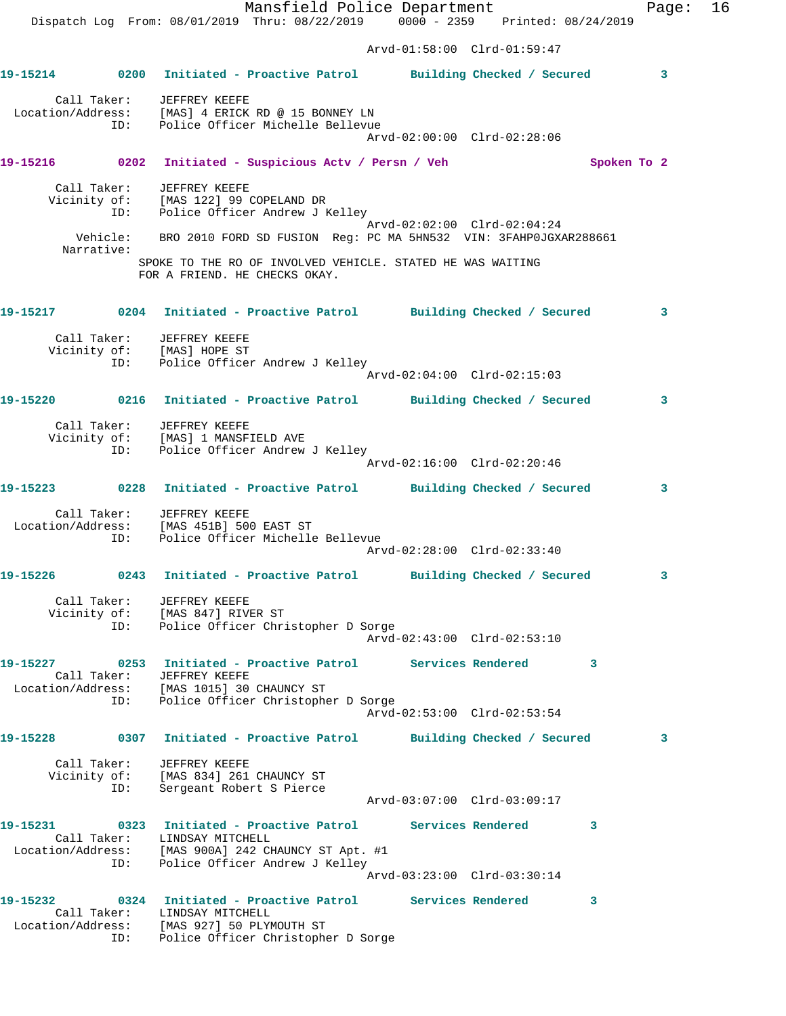Mansfield Police Department Fage: 16 Dispatch Log From: 08/01/2019 Thru: 08/22/2019 0000 - 2359 Printed: 08/24/2019 Arvd-01:58:00 Clrd-01:59:47 **19-15214 0200 Initiated - Proactive Patrol Building Checked / Secured 3** Call Taker: JEFFREY KEEFE Location/Address: [MAS] 4 ERICK RD @ 15 BONNEY LN ID: Police Officer Michelle Bellevue Arvd-02:00:00 Clrd-02:28:06 **19-15216 0202 Initiated - Suspicious Actv / Persn / Veh Spoken To 2** Call Taker: JEFFREY KEEFE Vicinity of: [MAS 122] 99 COPELAND DR ID: Police Officer Andrew J Kelley Arvd-02:02:00 Clrd-02:04:24 Vehicle: BRO 2010 FORD SD FUSION Reg: PC MA 5HN532 VIN: 3FAHP0JGXAR288661 Narrative: SPOKE TO THE RO OF INVOLVED VEHICLE. STATED HE WAS WAITING FOR A FRIEND. HE CHECKS OKAY. **19-15217 0204 Initiated - Proactive Patrol Building Checked / Secured 3** Call Taker: JEFFREY KEEFE Vicinity of: [MAS] HOPE ST ID: Police Officer Andrew J Kelley Arvd-02:04:00 Clrd-02:15:03 **19-15220 0216 Initiated - Proactive Patrol Building Checked / Secured 3** Call Taker: JEFFREY KEEFE Vicinity of: [MAS] 1 MANSFIELD AVE ID: Police Officer Andrew J Kelley Arvd-02:16:00 Clrd-02:20:46 **19-15223 0228 Initiated - Proactive Patrol Building Checked / Secured 3** Call Taker: JEFFREY KEEFE Location/Address: [MAS 451B] 500 EAST ST ID: Police Officer Michelle Bellevue Arvd-02:28:00 Clrd-02:33:40 **19-15226 0243 Initiated - Proactive Patrol Building Checked / Secured 3** Call Taker: JEFFREY KEEFE Vicinity of: [MAS 847] RIVER ST ID: Police Officer Christopher D Sorge Arvd-02:43:00 Clrd-02:53:10 **19-15227 0253 Initiated - Proactive Patrol Services Rendered 3**  Call Taker: JEFFREY KEEFE Location/Address: [MAS 1015] 30 CHAUNCY ST ID: Police Officer Christopher D Sorge Arvd-02:53:00 Clrd-02:53:54 **19-15228 0307 Initiated - Proactive Patrol Building Checked / Secured 3** Call Taker: JEFFREY KEEFE Vicinity of: [MAS 834] 261 CHAUNCY ST ID: Sergeant Robert S Pierce Arvd-03:07:00 Clrd-03:09:17 **19-15231 0323 Initiated - Proactive Patrol Services Rendered 3**  Call Taker: LINDSAY MITCHELL Location/Address: [MAS 900A] 242 CHAUNCY ST Apt. #1 ID: Police Officer Andrew J Kelley Arvd-03:23:00 Clrd-03:30:14 **19-15232 0324 Initiated - Proactive Patrol Services Rendered 3**  Call Taker: LINDSAY MITCHELL

 Location/Address: [MAS 927] 50 PLYMOUTH ST ID: Police Officer Christopher D Sorge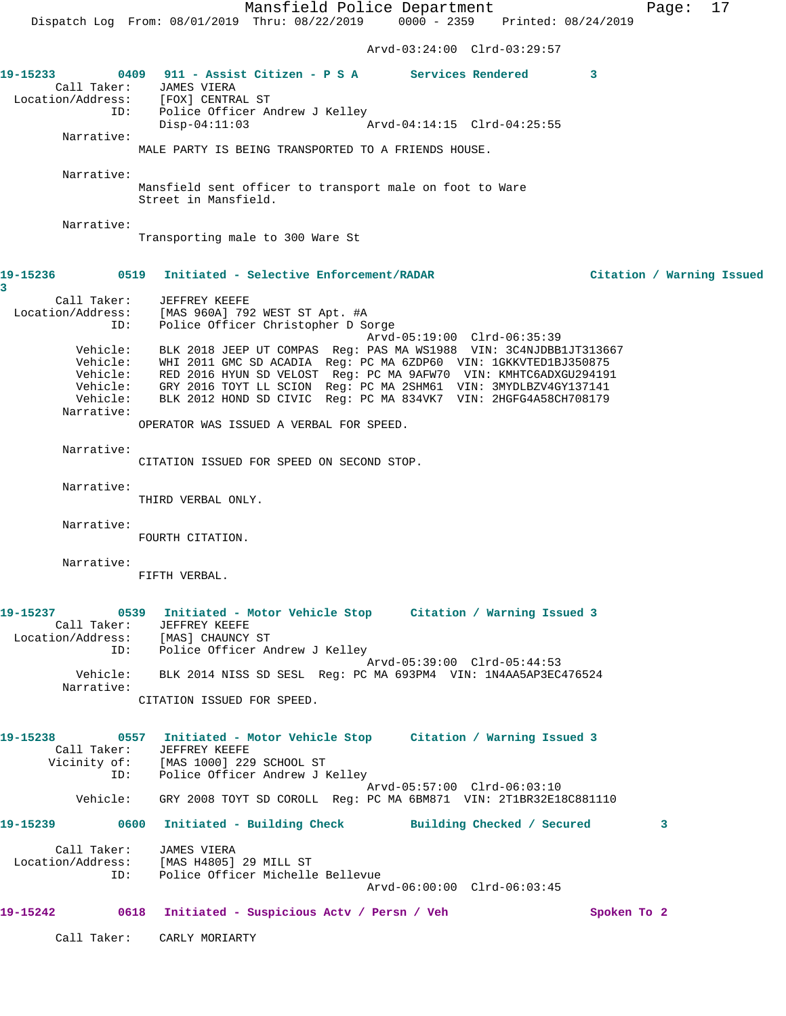Mansfield Police Department Page: 17 Dispatch Log From: 08/01/2019 Thru: 08/22/2019 0000 - 2359 Printed: 08/24/2019 Arvd-03:24:00 Clrd-03:29:57 **19-15233 0409 911 - Assist Citizen - P S A Services Rendered 3**  Call Taker: JAMES VIERA Location/Address: [FOX] CENTRAL ST ID: Police Officer Andrew J Kelley<br>Disp-04:11:03 Arvd-04:14:15 Clrd-04:25:55 Narrative: MALE PARTY IS BEING TRANSPORTED TO A FRIENDS HOUSE. Narrative: Mansfield sent officer to transport male on foot to Ware Street in Mansfield. Narrative: Transporting male to 300 Ware St **19-15236 0519 Initiated - Selective Enforcement/RADAR Citation / Warning Issued 3**  Call Taker: JEFFREY KEEFE Location/Address: [MAS 960A] 792 WEST ST Apt. #A ID: Police Officer Christopher D Sorge Arvd-05:19:00 Clrd-06:35:39 Vehicle: BLK 2018 JEEP UT COMPAS Reg: PAS MA WS1988 VIN: 3C4NJDBB1JT313667 Vehicle: WHI 2011 GMC SD ACADIA Reg: PC MA 6ZDP60 VIN: 1GKKVTED1BJ350875 Vehicle: RED 2016 HYUN SD VELOST Reg: PC MA 9AFW70 VIN: KMHTC6ADXGU294191 Vehicle: GRY 2016 TOYT LL SCION Reg: PC MA 2SHM61 VIN: 3MYDLBZV4GY137141 Vehicle: BLK 2012 HOND SD CIVIC Reg: PC MA 834VK7 VIN: 2HGFG4A58CH708179 Narrative: OPERATOR WAS ISSUED A VERBAL FOR SPEED. Narrative: CITATION ISSUED FOR SPEED ON SECOND STOP. Narrative: THIRD VERBAL ONLY. Narrative: FOURTH CITATION. Narrative: FIFTH VERBAL. **19-15237 0539 Initiated - Motor Vehicle Stop Citation / Warning Issued 3**  Call Taker: JEFFREY KEEFE Location/Address: [MAS] CHAUNCY ST ID: Police Officer Andrew J Kelley Arvd-05:39:00 Clrd-05:44:53 Vehicle: BLK 2014 NISS SD SESL Reg: PC MA 693PM4 VIN: 1N4AA5AP3EC476524 Narrative: CITATION ISSUED FOR SPEED. **19-15238 0557 Initiated - Motor Vehicle Stop Citation / Warning Issued 3**  Call Taker: JEFFREY KEEFE Vicinity of: [MAS 1000] 229 SCHOOL ST ID: Police Officer Andrew J Kelley Arvd-05:57:00 Clrd-06:03:10 Vehicle: GRY 2008 TOYT SD COROLL Reg: PC MA 6BM871 VIN: 2T1BR32E18C881110 **19-15239 0600 Initiated - Building Check Building Checked / Secured 3** Call Taker: JAMES VIERA Location/Address: [MAS H4805] 29 MILL ST ID: Police Officer Michelle Bellevue Arvd-06:00:00 Clrd-06:03:45 19-15242 0618 Initiated - Suspicious Actv / Persn / Veh Spoken To 2 Call Taker: CARLY MORIARTY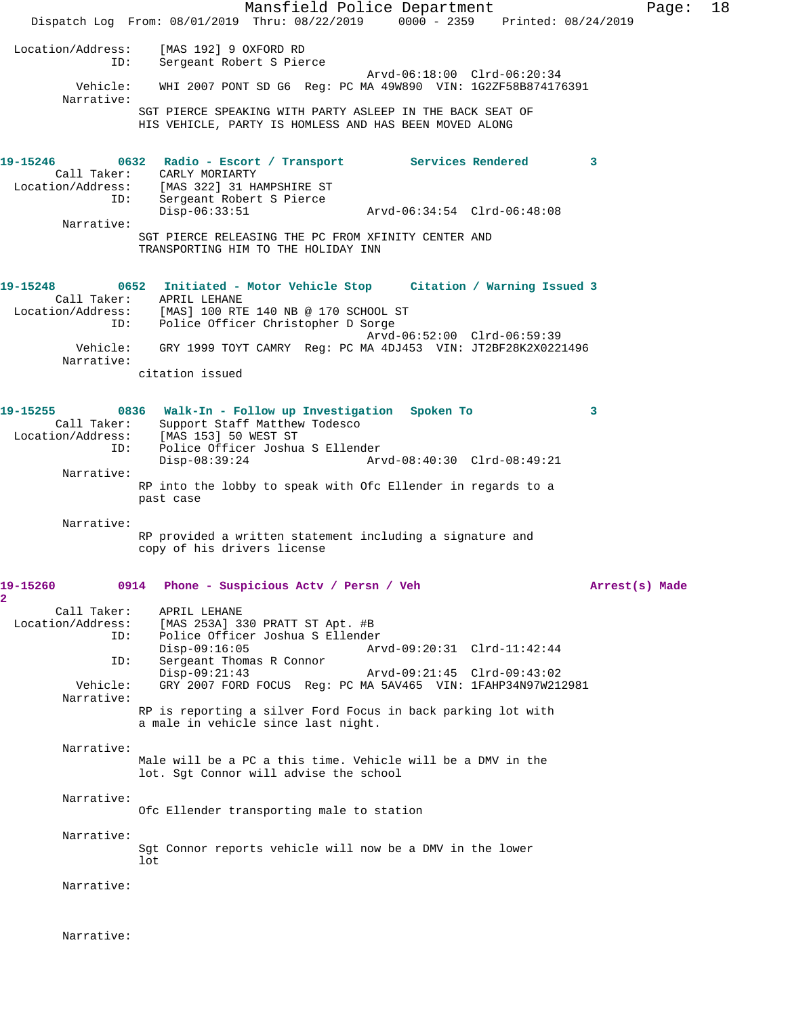Mansfield Police Department Fage: 18 Dispatch Log From: 08/01/2019 Thru: 08/22/2019 0000 - 2359 Printed: 08/24/2019 Location/Address: [MAS 192] 9 OXFORD RD Sergeant Robert S Pierce Arvd-06:18:00 Clrd-06:20:34 Vehicle: WHI 2007 PONT SD G6 Reg: PC MA 49W890 VIN: 1G2ZF58B874176391 Narrative: SGT PIERCE SPEAKING WITH PARTY ASLEEP IN THE BACK SEAT OF HIS VEHICLE, PARTY IS HOMLESS AND HAS BEEN MOVED ALONG **19-15246 0632 Radio - Escort / Transport Services Rendered 3**  Call Taker: CARLY MORIARTY Location/Address: [MAS 322] 31 HAMPSHIRE ST ID: Sergeant Robert S Pierce Disp-06:33:51 Arvd-06:34:54 Clrd-06:48:08 Narrative: SGT PIERCE RELEASING THE PC FROM XFINITY CENTER AND TRANSPORTING HIM TO THE HOLIDAY INN **19-15248 0652 Initiated - Motor Vehicle Stop Citation / Warning Issued 3**  Call Taker: APRIL LEHANE<br>Location/Address: [MAS] 100 RTI<br>ID: Police Office [MAS] 100 RTE 140 NB @ 170 SCHOOL ST Police Officer Christopher D Sorge Arvd-06:52:00 Clrd-06:59:39 Vehicle: GRY 1999 TOYT CAMRY Reg: PC MA 4DJ453 VIN: JT2BF28K2X0221496 Narrative: citation issued **19-15255 0836 Walk-In - Follow up Investigation Spoken To 3**  Call Taker: Support Staff Matthew Todesco Location/Address: [MAS 153] 50 WEST ST ID: Police Officer Joshua S Ellender Disp-08:39:24 Arvd-08:40:30 Clrd-08:49:21 Narrative: RP into the lobby to speak with Ofc Ellender in regards to a past case Narrative: RP provided a written statement including a signature and copy of his drivers license **19-15260 0914 Phone - Suspicious Actv / Persn / Veh Arrest(s) Made 2**  Call Taker: APRIL LEHANE<br>Location/Address: [MAS 253A] 3 ess: [MAS 253A] 330 PRATT ST Apt. #B<br>ID: Police Officer Joshua S Ellende: Police Officer Joshua S Ellender<br>Disp-09:16:05 Ar Disp-09:16:05 Arvd-09:20:31 Clrd-11:42:44<br>TD: Sergeant Thomas R Connor Sergeant Thomas R Connor Disp-09:21:43 Arvd-09:21:45 Clrd-09:43:02 GRY 2007 FORD FOCUS Reg: PC MA 5AV465 VIN: 1FAHP34N97W212981 Narrative: RP is reporting a silver Ford Focus in back parking lot with a male in vehicle since last night. Narrative: Male will be a PC a this time. Vehicle will be a DMV in the lot. Sgt Connor will advise the school Narrative: Ofc Ellender transporting male to station Narrative: Sgt Connor reports vehicle will now be a DMV in the lower lot Narrative:

Narrative: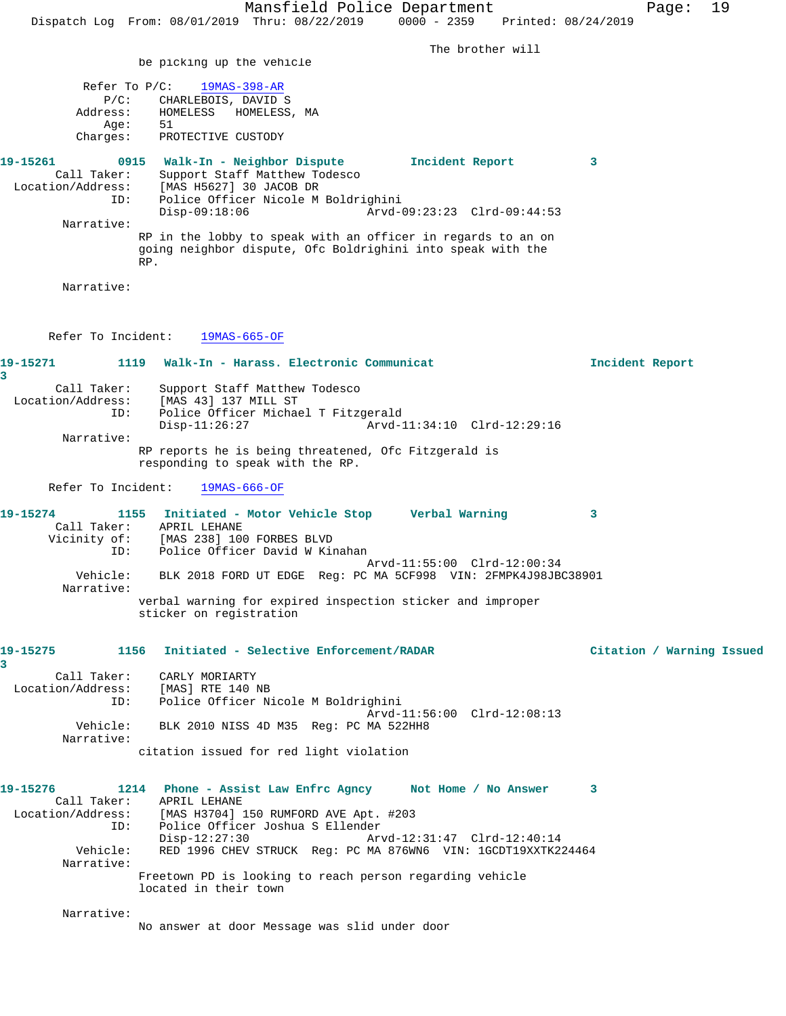The brother will

be picking up the vehicle

|          |          | Refer To $P/C:$ 19MAS-398-AR |              |                 |   |
|----------|----------|------------------------------|--------------|-----------------|---|
|          | $P/C$ :  | CHARLEBOIS, DAVID S          |              |                 |   |
|          | Address: | HOMELESS                     | HOMELESS, MA |                 |   |
|          | Aae:     | 51                           |              |                 |   |
|          | Charges: | PROTECTIVE CUSTODY           |              |                 |   |
|          |          |                              |              |                 |   |
| 19-15261 | 0915     | Walk-In - Neighbor Dispute   |              | Incident Report | 3 |

 Call Taker: Support Staff Matthew Todesco Location/Address: [MAS H5627] 30 JACOB DR ID: Police Officer Nicole M Boldrighini Disp-09:18:06 Arvd-09:23:23 Clrd-09:44:53 Narrative: RP in the lobby to speak with an officer in regards to an on

going neighbor dispute, Ofc Boldrighini into speak with the RP.

Narrative:

Refer To Incident: 19MAS-665-OF

## **19-15271 1119 Walk-In - Harass. Electronic Communicat Incident Report 3**  Call Taker: Support Staff Matthew Todesco<br>Location/Address: [MAS 43] 137 MILL ST ess: [MAS 43] 137 MILL ST<br>ID: Police Officer Michae Police Officer Michael T Fitzgerald Disp-11:26:27 Arvd-11:34:10 Clrd-12:29:16 Narrative: RP reports he is being threatened, Ofc Fitzgerald is responding to speak with the RP.

Refer To Incident: 19MAS-666-OF

| 19-15274     |          |              | 1155 Initiated - Motor Vehicle Stop |  | Verbal Warning                                                 |  |
|--------------|----------|--------------|-------------------------------------|--|----------------------------------------------------------------|--|
| Call Taker:  |          | APRIL LEHANE |                                     |  |                                                                |  |
| Vicinity of: |          |              | [MAS 238] 100 FORBES BLVD           |  |                                                                |  |
|              | ID:      |              | Police Officer David W Kinahan      |  |                                                                |  |
|              |          |              |                                     |  | Arvd-11:55:00 Clrd-12:00:34                                    |  |
| Narrative:   | Vehicle: |              |                                     |  | BLK 2018 FORD UT EDGE Req: PC MA 5CF998 VIN: 2FMPK4J98JBC38901 |  |
|              |          |              | sticker on registration             |  | verbal warning for expired inspection sticker and improper     |  |

### **19-15275 1156 Initiated - Selective Enforcement/RADAR Citation / Warning Issued**

**3**  Call Taker: CARLY MORIARTY Location/Address: [MAS] RTE 140 NB ID: Police Officer Nicole M Boldrighini Arvd-11:56:00 Clrd-12:08:13 Vehicle: BLK 2010 NISS 4D M35 Reg: PC MA 522HH8 Narrative: citation issued for red light violation

**19-15276 1214 Phone - Assist Law Enfrc Agncy Not Home / No Answer 3**  Call Taker: APRIL LEHANE Location/Address: [MAS H3704] 150 RUMFORD AVE Apt. #203 ID: Police Officer Joshua S Ellender Disp-12:27:30 Arvd-12:31:47 Clrd-12:40:14<br>Vehicle: RED 1996 CHEV STRUCK Reg: PC MA 876WN6 VIN: 1GCDT19XXTK2 RED 1996 CHEV STRUCK Reg: PC MA 876WN6 VIN: 1GCDT19XXTK224464 Narrative: Freetown PD is looking to reach person regarding vehicle located in their town

Narrative:

No answer at door Message was slid under door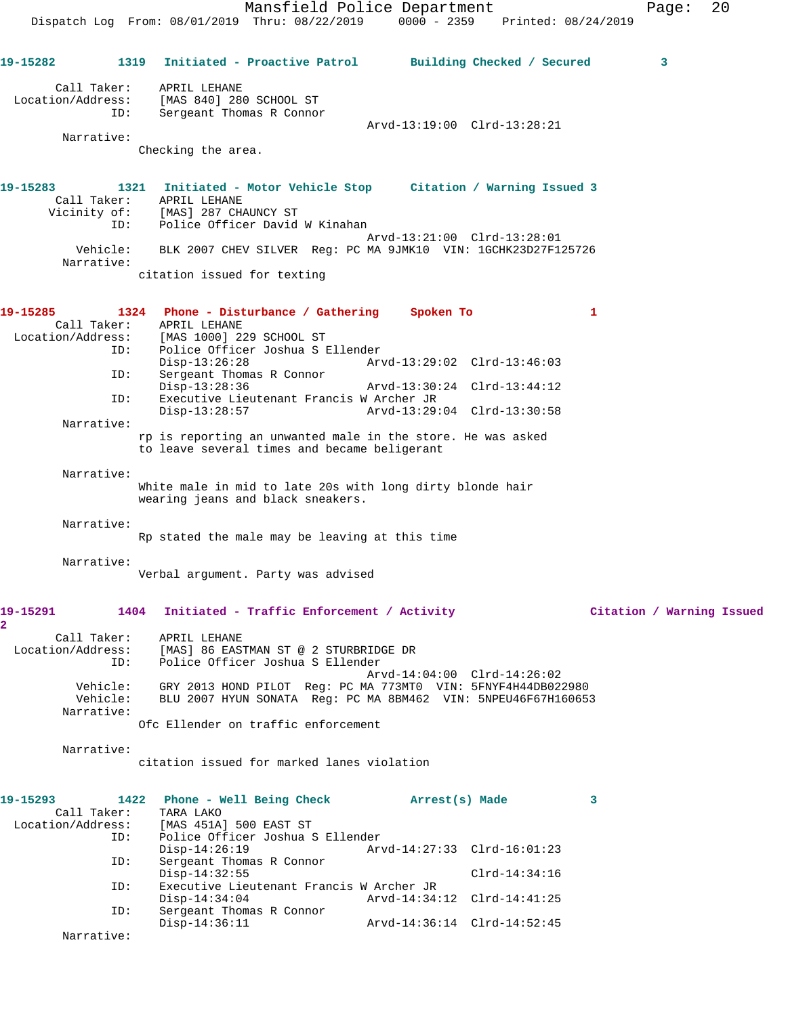Mansfield Police Department Form Page: 20 Dispatch Log From: 08/01/2019 Thru: 08/22/2019 0000 - 2359 Printed: 08/24/2019 **19-15282 1319 Initiated - Proactive Patrol Building Checked / Secured 3** Call Taker: APRIL LEHANE Location/Address: [MAS 840] 280 SCHOOL ST ID: Sergeant Thomas R Connor Arvd-13:19:00 Clrd-13:28:21 Narrative: Checking the area. **19-15283 1321 Initiated - Motor Vehicle Stop Citation / Warning Issued 3**  Call Taker: APRIL LEHANE Vicinity of: [MAS] 287 CHAUNCY ST ID: Police Officer David W Kinahan Arvd-13:21:00 Clrd-13:28:01 Vehicle: BLK 2007 CHEV SILVER Reg: PC MA 9JMK10 VIN: 1GCHK23D27F125726 Narrative: citation issued for texting **19-15285 1324 Phone - Disturbance / Gathering Spoken To 1**  Call Taker: APRIL LEHANE<br>Location/Address: [MAS 1000] 22 [MAS 1000] 229 SCHOOL ST ID: Police Officer Joshua S Ellender Disp-13:26:28 Arvd-13:29:02 Clrd-13:46:03 ID: Sergeant Thomas R Connor Disp-13:28:36 Arvd-13:30:24 Clrd-13:44:12<br>ID: Executive Lieutenant Francis W Archer JR Executive Lieutenant Francis W Archer JR Disp-13:28:57 Arvd-13:29:04 Clrd-13:30:58 Narrative: rp is reporting an unwanted male in the store. He was asked to leave several times and became beligerant Narrative: White male in mid to late 20s with long dirty blonde hair wearing jeans and black sneakers. Narrative: Rp stated the male may be leaving at this time Narrative: Verbal argument. Party was advised **19-15291 1404 Initiated - Traffic Enforcement / Activity Citation / Warning Issued 2**  Call Taker: APRIL LEHANE Location/Address: [MAS] 86 EASTMAN ST @ 2 STURBRIDGE DR ID: Police Officer Joshua S Ellender Arvd-14:04:00 Clrd-14:26:02 Vehicle: GRY 2013 HOND PILOT Reg: PC MA 773MT0 VIN: 5FNYF4H44DB022980 Vehicle: BLU 2007 HYUN SONATA Reg: PC MA 8BM462 VIN: 5NPEU46F67H160653 Narrative: Ofc Ellender on traffic enforcement Narrative: citation issued for marked lanes violation **19-15293 1422 Phone - Well Being Check Arrest(s) Made 3**  Call Taker: Location/Address: [MAS 451A] 500 EAST ST ID: Police Officer Joshua S Ellender Disp-14:26:19 Arvd-14:27:33 Clrd-16:01:23 ID: Sergeant Thomas R Connor Disp-14:32:55 Clrd-14:34:16<br>ID: Executive Lieutenant Francis W Archer JR Executive Lieutenant Francis W Archer JR<br>Disp-14:34:04 <br>Arvd-14:34:12 Clrd-14:41:25 Disp-14:34:04 Arvd-14:34:12 Clrd-14:41:25 ID: Sergeant Thomas R Connor

Narrative:

Disp-14:36:11 Arvd-14:36:14 Clrd-14:52:45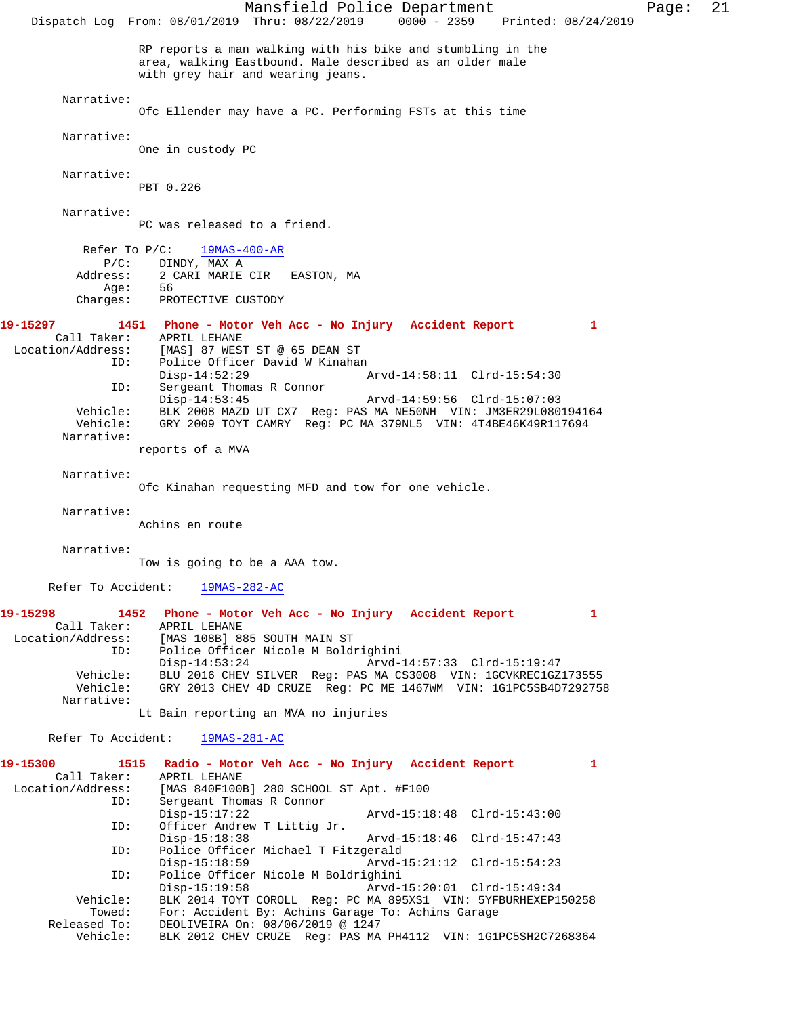Mansfield Police Department Page: 21 Dispatch Log From: 08/01/2019 Thru: 08/22/2019 0000 - 2359 Printed: 08/24/2019 RP reports a man walking with his bike and stumbling in the area, walking Eastbound. Male described as an older male with grey hair and wearing jeans. Narrative: Ofc Ellender may have a PC. Performing FSTs at this time Narrative: One in custody PC Narrative: PBT 0.226 Narrative: PC was released to a friend. Refer To P/C:  $\frac{19MAS-400-AR}{}$ P/C: DINDY, MAX A<br>Address: 2 CARI MARIE 2 CARI MARIE CIR EASTON, MA Age: Charges: PROTECTIVE CUSTODY **19-15297 1451 Phone - Motor Veh Acc - No Injury Accident Report 1**  Call Taker: APRIL LEHANE<br>Location/Address: [MAS] 87 WES [MAS] 87 WEST ST @ 65 DEAN ST ID: Police Officer David W Kinahan Disp-14:52:29 Arvd-14:58:11 Clrd-15:54:30<br>TD: Sergeant Thomas R Connor Sergeant Thomas R Connor<br>Disp-14:53:45 Disp-14:53:45 Arvd-14:59:56 Clrd-15:07:03 Vehicle: BLK 2008 MAZD UT CX7 Reg: PAS MA NE50NH VIN: JM3ER29L080194164 GRY 2009 TOYT CAMRY Reg: PC MA 379NL5 VIN: 4T4BE46K49R117694 Narrative: reports of a MVA Narrative: Ofc Kinahan requesting MFD and tow for one vehicle. Narrative: Achins en route Narrative: Tow is going to be a AAA tow. Refer To Accident: 19MAS-282-AC **19-15298 1452 Phone - Motor Veh Acc - No Injury Accident Report 1**  Call Taker: APRIL LEHANE<br>Location/Address: [MAS 108B] 8 [MAS 108B] 885 SOUTH MAIN ST ID: Police Officer Nicole M Boldrighini Disp-14:53:24 Arvd-14:57:33 Clrd-15:19:47<br>Vehicle: BLU 2016 CHEV SILVER Reg: PAS MA CS3008 VIN: 1GCVKREC1GZ BLU 2016 CHEV SILVER Reg: PAS MA CS3008 VIN: 1GCVKREC1GZ173555 Vehicle: GRY 2013 CHEV 4D CRUZE Reg: PC ME 1467WM VIN: 1G1PC5SB4D7292758 Narrative: Lt Bain reporting an MVA no injuries Refer To Accident: 19MAS-281-AC **19-15300 1515 Radio - Motor Veh Acc - No Injury Accident Report 1**  Call Taker: APRIL LEHANE<br>Location/Address: [MAS 840F100] ess: [MAS 840F100B] 280 SCHOOL ST Apt. #F100<br>ID: Sergeant Thomas R Connor Sergeant Thomas R Connor<br>Disp-15:17:22 Arvd-15:18:48 Clrd-15:43:00 ID: Officer Andrew T Littig Jr. Disp-15:18:38 Arvd-15:18:46 Clrd-15:47:43 ID: Police Officer Michael T Fitzgerald Disp-15:18:59 Arvd-15:21:12 Clrd-15:54:23<br>ID: Police Officer Nicole M Boldrighini Police Officer Nicole M Boldrighini Disp-15:19:58 Arvd-15:20:01 Clrd-15:49:34 Vehicle: BLK 2014 TOYT COROLL Reg: PC MA 895XS1 VIN: 5YFBURHEXEP150258 For: Accident By: Achins Garage To: Achins Garage Released To: DEOLIVEIRA On: 08/06/2019 @ 1247<br>Vehicle: BLK 2012 CHEV CRUZE Reg: PAS MA BLK 2012 CHEV CRUZE Reg: PAS MA PH4112 VIN: 1G1PC5SH2C7268364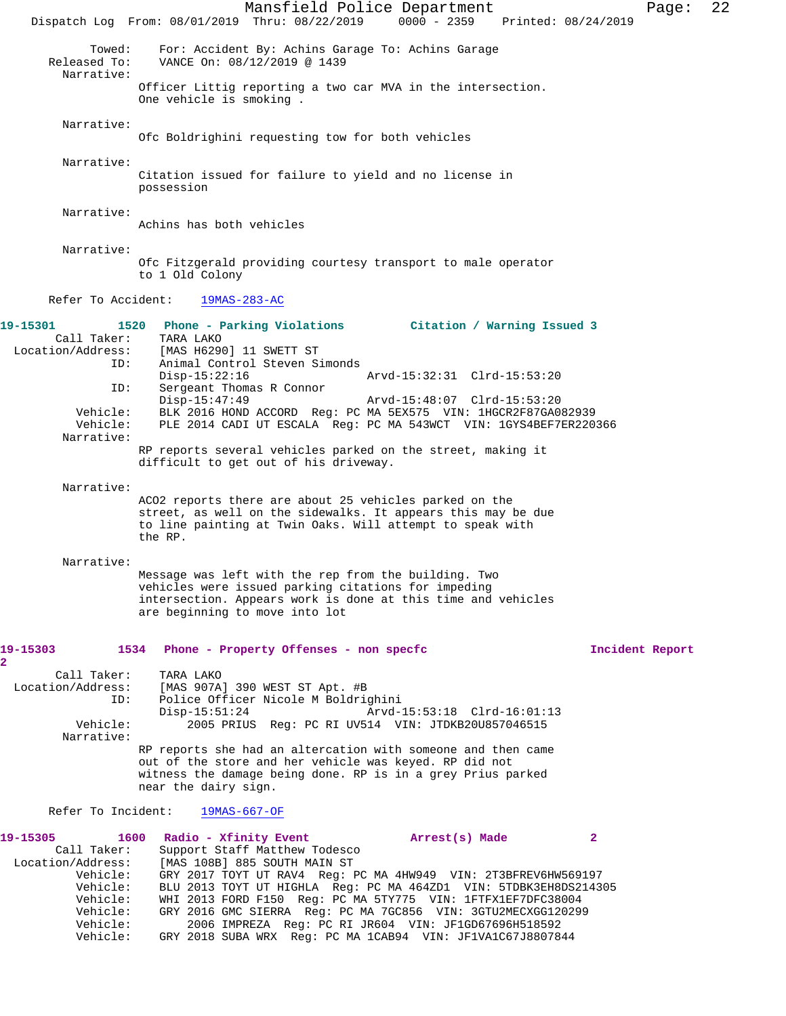Mansfield Police Department Page: 22 Dispatch Log From: 08/01/2019 Thru: 08/22/2019 0000 - 2359 Printed: 08/24/2019 Towed: For: Accident By: Achins Garage To: Achins Garage Released To: VANCE On: 08/12/2019 @ 1439 VANCE On: 08/12/2019 @ 1439 Narrative: Officer Littig reporting a two car MVA in the intersection. One vehicle is smoking . Narrative: Ofc Boldrighini requesting tow for both vehicles Narrative: Citation issued for failure to yield and no license in possession Narrative: Achins has both vehicles Narrative: Ofc Fitzgerald providing courtesy transport to male operator to 1 Old Colony Refer To Accident: 19MAS-283-AC **19-15301 1520 Phone - Parking Violations Citation / Warning Issued 3**  Call Taker: TARA LAKO<br>Location/Address: [MAS H6290 ess: [MAS H6290] 11 SWETT ST<br>ID: Animal Control Steven S Animal Control Steven Simonds<br>Disp-15:22:16 Disp-15:22:16 Arvd-15:32:31 Clrd-15:53:20<br>TD: Sergeant Thomas R Connor Sergeant Thomas R Connor<br>Disp-15:47:49 Disp-15:47:49 Arvd-15:48:07 Clrd-15:53:20 Vehicle: BLK 2016 HOND ACCORD Reg: PC MA 5EX575 VIN: 1HGCR2F87GA082939 Vehicle: PLE 2014 CADI UT ESCALA Reg: PC MA 543WCT VIN: 1GYS4BEF7ER220366 Narrative: RP reports several vehicles parked on the street, making it difficult to get out of his driveway. Narrative: ACO2 reports there are about 25 vehicles parked on the street, as well on the sidewalks. It appears this may be due to line painting at Twin Oaks. Will attempt to speak with the RP. Narrative: Message was left with the rep from the building. Two vehicles were issued parking citations for impeding intersection. Appears work is done at this time and vehicles are beginning to move into lot **19-15303 1534 Phone - Property Offenses - non specfc Incident Report 2**  Call Taker: TARA LAKO Location/Address: [MAS 907A] 390 WEST ST Apt. #B ID: Police Officer Nicole M Boldrighini Disp-15:51:24 Arvd-15:53:18 Clrd-16:01:13<br>
Vehicle: 2005 PRIUS Reg: PC RI UV514 VIN: JTDKB20U857046515 2005 PRIUS Reg: PC RI UV514 VIN: JTDKB20U857046515 Narrative: RP reports she had an altercation with someone and then came out of the store and her vehicle was keyed. RP did not witness the damage being done. RP is in a grey Prius parked near the dairy sign. Refer To Incident: 19MAS-667-OF **19-15305 1600 Radio - Xfinity Event Arrest(s) Made 2**  Call Taker: Support Staff Matthew Todesco Location/Address: [MAS 108B] 885 SOUTH MAIN ST Vehicle: GRY 2017 TOYT UT RAV4 Reg: PC MA 4HW949 VIN: 2T3BFREV6HW569197 Vehicle: BLU 2013 TOYT UT HIGHLA Reg: PC MA 464ZD1 VIN: 5TDBK3EH8DS214305 Vehicle: WHI 2013 FORD F150 Reg: PC MA 5TY775 VIN: 1FTFX1EF7DFC38004 Vehicle: GRY 2016 GMC SIERRA Reg: PC MA 7GC856 VIN: 3GTU2MECXGG120299 Vehicle: 2006 IMPREZA Reg: PC RI JR604 VIN: JF1GD67696H518592 Vehicle: GRY 2018 SUBA WRX Reg: PC MA 1CAB94 VIN: JF1VA1C67J8807844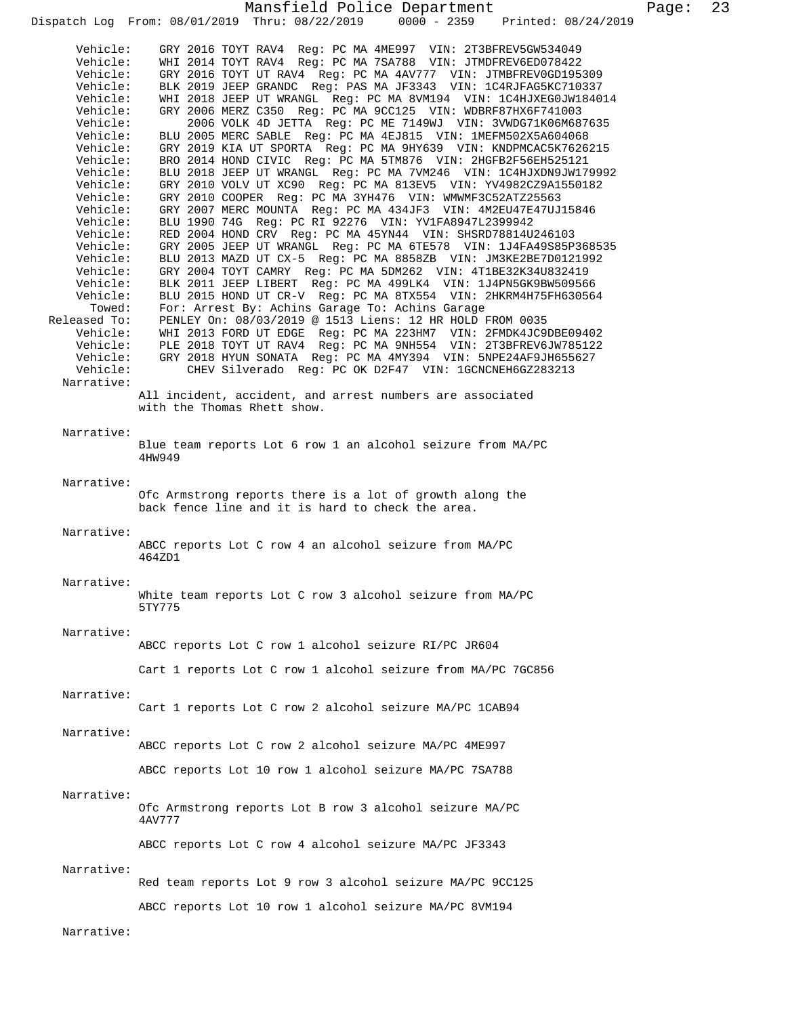Mansfield Police Department Page: 23 Dispatch Log From: 08/01/2019 Thru: 08/22/2019 Vehicle: GRY 2016 TOYT RAV4 Reg: PC MA 4ME997 VIN: 2T3BFREV5GW534049 Vehicle: WHI 2014 TOYT RAV4 Reg: PC MA 7SA788 VIN: JTMDFREV6ED078422 Vehicle: GRY 2016 TOYT UT RAV4 Reg: PC MA 4AV777 VIN: JTMBFREV0GD195309 Vehicle: BLK 2019 JEEP GRANDC Reg: PAS MA JF3343 VIN: 1C4RJFAG5KC710337 Vehicle: WHI 2018 JEEP UT WRANGL Reg: PC MA 8VM194 VIN: 1C4HJXEG0JW184014 Vehicle: GRY 2006 MERZ C350 Reg: PC MA 9CC125 VIN: WDBRF87HX6F741003 Vehicle: 2006 VOLK 4D JETTA Reg: PC ME 7149WJ VIN: 3VWDG71K06M687635 Vehicle: BLU 2005 MERC SABLE Reg: PC MA 4EJ815 VIN: 1MEFM502X5A604068 Vehicle: GRY 2019 KIA UT SPORTA Reg: PC MA 9HY639 VIN: KNDPMCAC5K7626215 Vehicle: BRO 2014 HOND CIVIC Reg: PC MA 5TM876 VIN: 2HGFB2F56EH525121 Vehicle: BLU 2018 JEEP UT WRANGL Reg: PC MA 7VM246 VIN: 1C4HJXDN9JW179992 Vehicle: GRY 2010 VOLV UT XC90 Reg: PC MA 813EV5 VIN: YV4982CZ9A1550182 Vehicle: GRY 2010 COOPER Reg: PC MA 3YH476 VIN: WMWMF3C52ATZ25563 Vehicle: GRY 2007 MERC MOUNTA Reg: PC MA 434JF3 VIN: 4M2EU47E47UJ15846 Vehicle: BLU 1990 74G Reg: PC RI 92276 VIN: YV1FA8947L2399942 Vehicle: RED 2004 HOND CRV Reg: PC MA 45YN44 VIN: SHSRD78814U246103 Vehicle: GRY 2005 JEEP UT WRANGL Reg: PC MA 6TE578 VIN: 1J4FA49S85P368535 Vehicle: BLU 2013 MAZD UT CX-5 Reg: PC MA 8858ZB VIN: JM3KE2BE7D0121992 Vehicle: GRY 2004 TOYT CAMRY Reg: PC MA 5DM262 VIN: 4T1BE32K34U832419 Vehicle: BLK 2011 JEEP LIBERT Reg: PC MA 499LK4 VIN: 1J4PN5GK9BW509566 Vehicle: BLU 2015 HOND UT CR-V Reg: PC MA 8TX554 VIN: 2HKRM4H75FH630564 Towed: For: Arrest By: Achins Garage To: Achins Garage Released To: PENLEY On: 08/03/2019 @ 1513 Liens: 12 HR HOLD FROM 0035 Vehicle: WHI 2013 FORD UT EDGE Reg: PC MA 223HM7 VIN: 2FMDK4JC9DBE09402 Vehicle: PLE 2018 TOYT UT RAV4 Reg: PC MA 9NH554 VIN: 2T3BFREV6JW785122 Vehicle: GRY 2018 HYUN SONATA Reg: PC MA 4MY394 VIN: 5NPE24AF9JH655627 Vehicle: CHEV Silverado Reg: PC OK D2F47 VIN: 1GCNCNEH6GZ283213 Narrative: All incident, accident, and arrest numbers are associated with the Thomas Rhett show. Narrative: Blue team reports Lot 6 row 1 an alcohol seizure from MA/PC 4HW949 Narrative: Ofc Armstrong reports there is a lot of growth along the back fence line and it is hard to check the area. Narrative: ABCC reports Lot C row 4 an alcohol seizure from MA/PC 464ZD1 Narrative: White team reports Lot C row 3 alcohol seizure from MA/PC 5TY775 Narrative: ABCC reports Lot C row 1 alcohol seizure RI/PC JR604 Cart 1 reports Lot C row 1 alcohol seizure from MA/PC 7GC856 Narrative: Cart 1 reports Lot C row 2 alcohol seizure MA/PC 1CAB94 Narrative: ABCC reports Lot C row 2 alcohol seizure MA/PC 4ME997 ABCC reports Lot 10 row 1 alcohol seizure MA/PC 7SA788 Narrative: Ofc Armstrong reports Lot B row 3 alcohol seizure MA/PC 4AV777 ABCC reports Lot C row 4 alcohol seizure MA/PC JF3343 Narrative: Red team reports Lot 9 row 3 alcohol seizure MA/PC 9CC125 ABCC reports Lot 10 row 1 alcohol seizure MA/PC 8VM194 Narrative: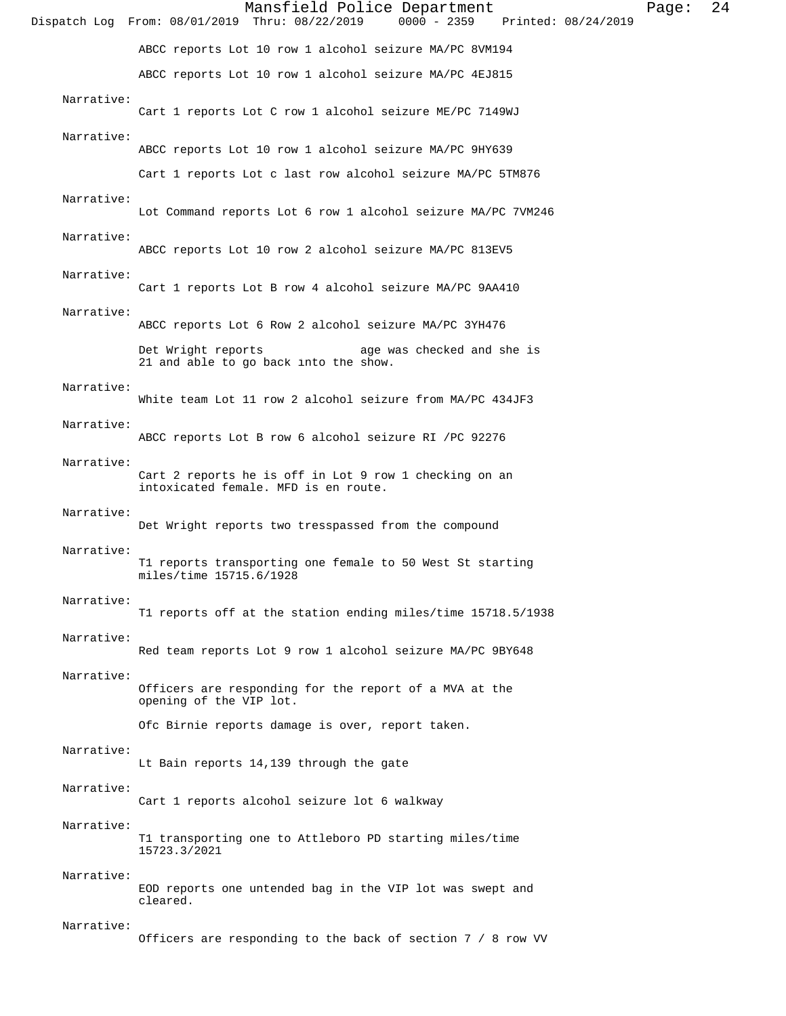|            | Mansfield Police Department<br>$0000 - 2359$<br>Dispatch Log From: 08/01/2019 Thru: 08/22/2019<br>Printed: 08/24/2019 | Page: | 24 |
|------------|-----------------------------------------------------------------------------------------------------------------------|-------|----|
|            | ABCC reports Lot 10 row 1 alcohol seizure MA/PC 8VM194                                                                |       |    |
|            | ABCC reports Lot 10 row 1 alcohol seizure MA/PC 4EJ815                                                                |       |    |
| Narrative: | Cart 1 reports Lot C row 1 alcohol seizure ME/PC 7149WJ                                                               |       |    |
| Narrative: | ABCC reports Lot 10 row 1 alcohol seizure MA/PC 9HY639                                                                |       |    |
|            | Cart 1 reports Lot c last row alcohol seizure MA/PC 5TM876                                                            |       |    |
| Narrative: | Lot Command reports Lot 6 row 1 alcohol seizure MA/PC 7VM246                                                          |       |    |
| Narrative: | ABCC reports Lot 10 row 2 alcohol seizure MA/PC 813EV5                                                                |       |    |
| Narrative: | Cart 1 reports Lot B row 4 alcohol seizure MA/PC 9AA410                                                               |       |    |
| Narrative: | ABCC reports Lot 6 Row 2 alcohol seizure MA/PC 3YH476                                                                 |       |    |
|            | Det Wright reports<br>age was checked and she is<br>21 and able to go back into the show.                             |       |    |
| Narrative: | White team Lot 11 row 2 alcohol seizure from MA/PC 434JF3                                                             |       |    |
| Narrative: | ABCC reports Lot B row 6 alcohol seizure RI / PC 92276                                                                |       |    |
| Narrative: | Cart 2 reports he is off in Lot 9 row 1 checking on an<br>intoxicated female. MFD is en route.                        |       |    |
| Narrative: | Det Wright reports two tresspassed from the compound                                                                  |       |    |
| Narrative: | T1 reports transporting one female to 50 West St starting<br>miles/time 15715.6/1928                                  |       |    |
| Narrative: | T1 reports off at the station ending miles/time 15718.5/1938                                                          |       |    |
| Narrative: | Red team reports Lot 9 row 1 alcohol seizure MA/PC 9BY648                                                             |       |    |
| Narrative: | Officers are responding for the report of a MVA at the<br>opening of the VIP lot.                                     |       |    |
|            | Ofc Birnie reports damage is over, report taken.                                                                      |       |    |
| Narrative: | Lt Bain reports 14,139 through the gate                                                                               |       |    |
| Narrative: | Cart 1 reports alcohol seizure lot 6 walkway                                                                          |       |    |
| Narrative: | T1 transporting one to Attleboro PD starting miles/time<br>15723.3/2021                                               |       |    |
| Narrative: | EOD reports one untended bag in the VIP lot was swept and<br>cleared.                                                 |       |    |
| Narrative: | Officers are responding to the back of section 7 / 8 row VV                                                           |       |    |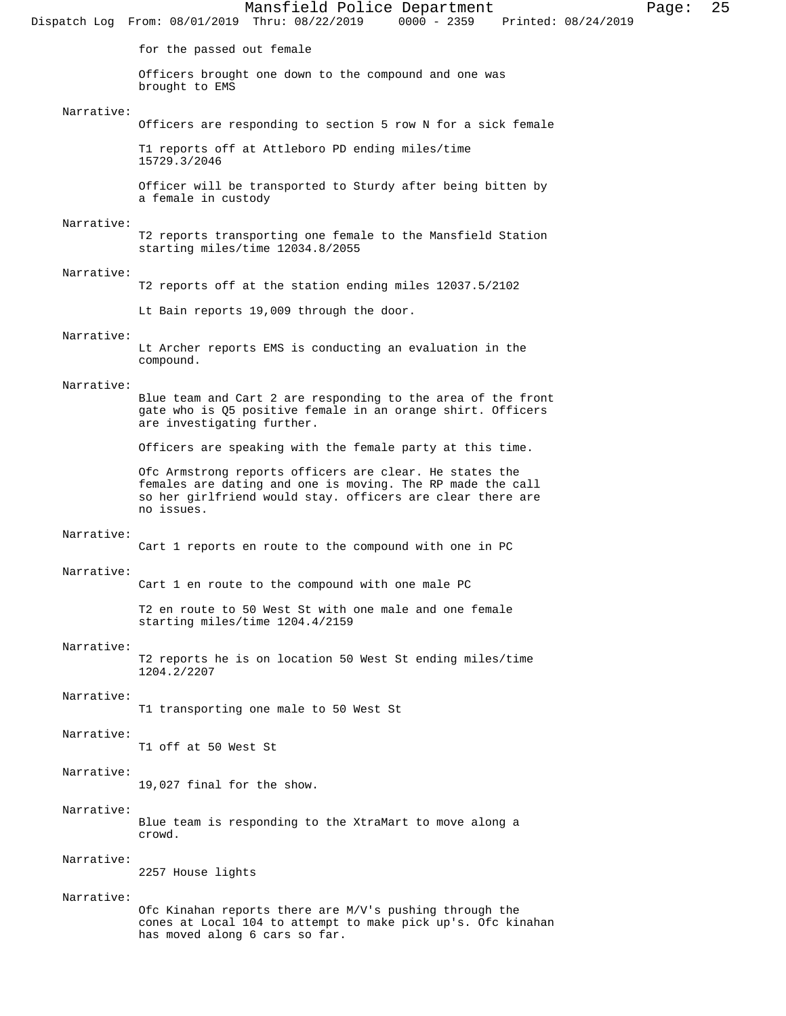Mansfield Police Department Page: 25 Dispatch Log From: 08/01/2019 Thru: 08/22/2019 for the passed out female Officers brought one down to the compound and one was brought to EMS Narrative: Officers are responding to section 5 row N for a sick female T1 reports off at Attleboro PD ending miles/time 15729.3/2046 Officer will be transported to Sturdy after being bitten by a female in custody Narrative: T2 reports transporting one female to the Mansfield Station starting miles/time 12034.8/2055 Narrative: T2 reports off at the station ending miles 12037.5/2102 Lt Bain reports 19,009 through the door. Narrative: Lt Archer reports EMS is conducting an evaluation in the compound. Narrative: Blue team and Cart 2 are responding to the area of the front gate who is Q5 positive female in an orange shirt. Officers are investigating further. Officers are speaking with the female party at this time. Ofc Armstrong reports officers are clear. He states the females are dating and one is moving. The RP made the call so her girlfriend would stay. officers are clear there are no issues. Narrative: Cart 1 reports en route to the compound with one in PC Narrative: Cart 1 en route to the compound with one male PC T2 en route to 50 West St with one male and one female starting miles/time 1204.4/2159 Narrative: T2 reports he is on location 50 West St ending miles/time 1204.2/2207 Narrative: T1 transporting one male to 50 West St Narrative: T1 off at 50 West St Narrative: 19,027 final for the show. Narrative: Blue team is responding to the XtraMart to move along a crowd. Narrative: 2257 House lights Narrative: Ofc Kinahan reports there are M/V's pushing through the cones at Local 104 to attempt to make pick up's. Ofc kinahan has moved along 6 cars so far.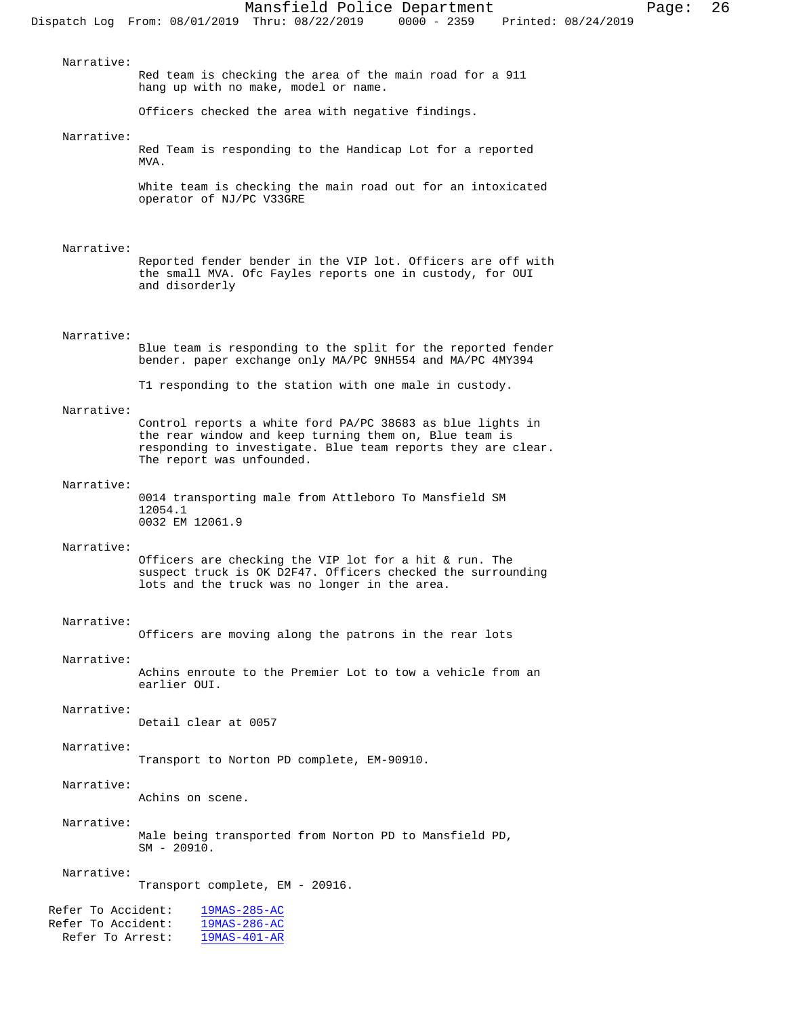Narrative: Red team is checking the area of the main road for a 911 hang up with no make, model or name. Officers checked the area with negative findings. Narrative: Red Team is responding to the Handicap Lot for a reported MVA. White team is checking the main road out for an intoxicated operator of NJ/PC V33GRE Narrative: Reported fender bender in the VIP lot. Officers are off with the small MVA. Ofc Fayles reports one in custody, for OUI and disorderly Narrative: Blue team is responding to the split for the reported fender bender. paper exchange only MA/PC 9NH554 and MA/PC 4MY394 T1 responding to the station with one male in custody. Narrative: Control reports a white ford PA/PC 38683 as blue lights in the rear window and keep turning them on, Blue team is responding to investigate. Blue team reports they are clear. The report was unfounded. Narrative: 0014 transporting male from Attleboro To Mansfield SM 12054.1 0032 EM 12061.9 Narrative: Officers are checking the VIP lot for a hit & run. The suspect truck is OK D2F47. Officers checked the surrounding lots and the truck was no longer in the area. Narrative: Officers are moving along the patrons in the rear lots Narrative: Achins enroute to the Premier Lot to tow a vehicle from an earlier OUI. Narrative: Detail clear at 0057 Narrative: Transport to Norton PD complete, EM-90910. Narrative: Achins on scene. Narrative: Male being transported from Norton PD to Mansfield PD, SM - 20910. Narrative: Transport complete, EM - 20916. Refer To Accident:  $\frac{19MAS-285-AC}{19MAS-286-AC}$ 

Refer To Accident:  $\frac{19\text{MAS}-286-\text{AC}}{19\text{MAS}-401-\text{AR}}$ Refer To Arrest: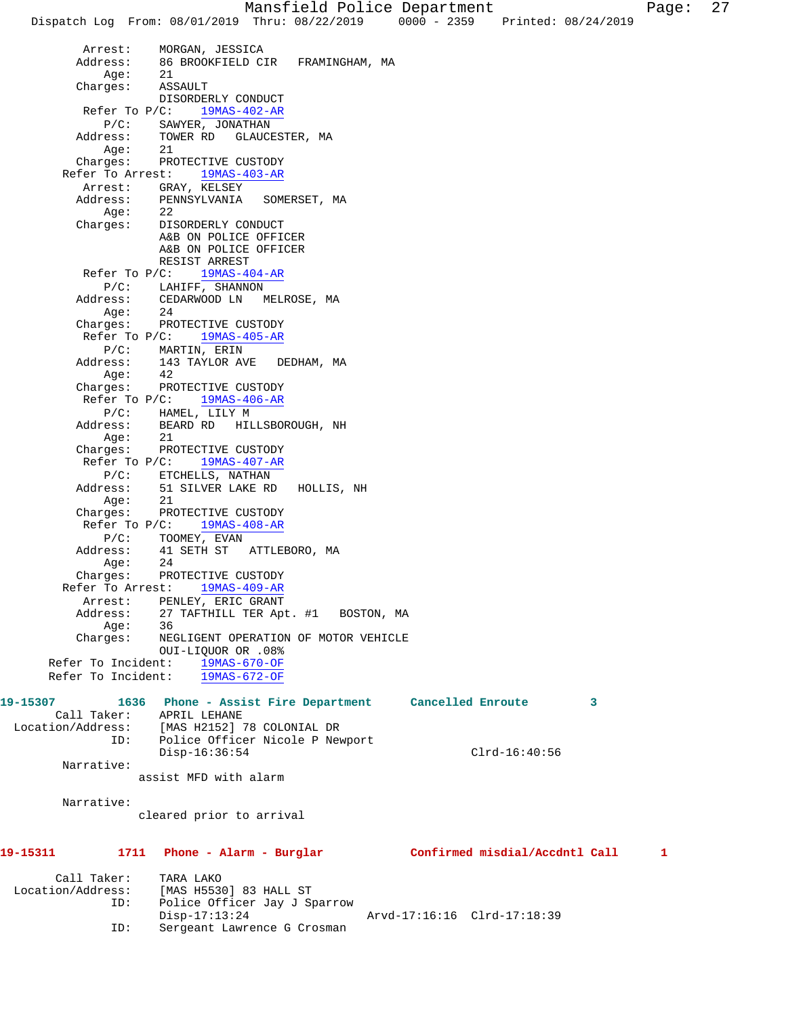Mansfield Police Department Page: 27 Dispatch Log From: 08/01/2019 Thru: 08/22/2019 0000 - 2359 Printed: 08/24/2019 Arrest: MORGAN, JESSICA Address: 86 BROOKFIELD CIR FRAMINGHAM, MA Age: 21 Charges: ASSAULT DISORDERLY CONDUCT Refer To P/C: 19MAS-402-AR P/C: SAWYER, JONATHAN<br>Address: TOWER RD GLAUCH TOWER RD GLAUCESTER, MA Age: 21 Charges: PROTECTIVE CUSTODY Refer To Arrest: 19MAS-403-AR Arrest: GRAY, KELSEY Address: PENNSYLVANIA SOMERSET, MA Age: 22 Charges: DISORDERLY CONDUCT A&B ON POLICE OFFICER A&B ON POLICE OFFICER RESIST ARREST Refer To P/C: 19MAS-404-AR P/C: LAHIFF, SHANNON<br>Address: CEDARWOOD LN CEDARWOOD LN MELROSE, MA Age: 24 Charges: PROTECTIVE CUSTODY Refer To P/C: 19MAS-405-AR P/C: MARTIN, ERIN Address: 143 TAYLOR AVE DEDHAM, MA Age: 42 Charges: PROTECTIVE CUSTODY Refer To P/C: 19MAS-406-AR P/C: HAMEL, LILY M Address: BEARD RD HILLSBOROUGH, NH Age: 21 Charges: PROTECTIVE CUSTODY

P/C: ETCHELLS, NATHAN Address: 51 SILVER LAKE RD HOLLIS, NH Age: 21 Charges: PROTECTIVE CUSTODY Refer To P/C: 19MAS-408-AR P/C: TOOMEY, EVAN Address: 41 SETH ST ATTLEBORO, MA Age: 24 Charges: PROTECTIVE CUSTODY Refer To Arrest: 19MAS-409-AR Arrest: PENLEY, ERIC GRANT Address: 27 TAFTHILL TER Apt. #1 BOSTON, MA Age: 36 Charges: NEGLIGENT OPERATION OF MOTOR VEHICLE OUI-LIQUOR OR .08% Refer To Incident: 19MAS-670-OF Refer To Incident: 19MAS-672-OF

Refer To P/C: 19MAS-407-AR

## **19-15307 1636 Phone - Assist Fire Department Cancelled Enroute 3**  Call Taker: APRIL LEHANE Location/Address: [MAS H2152] 78 COLONIAL DR ID: Police Officer Nicole P Newport Disp-16:36:54 Clrd-16:40:56 Narrative: assist MFD with alarm

Narrative:

cleared prior to arrival

## **19-15311 1711 Phone - Alarm - Burglar Confirmed misdial/Accdntl Call 1**

| Call Taker:<br>Location/Address:<br>ID: | TARA LAKO<br>[MAS H5530] 83 HALL ST<br>Police Officer Jay J Sparrow<br>Disp-17:13:24 | Arvd-17:16:16 Clrd-17:18:39 |  |
|-----------------------------------------|--------------------------------------------------------------------------------------|-----------------------------|--|
| ID:                                     | Sergeant Lawrence G Crosman                                                          |                             |  |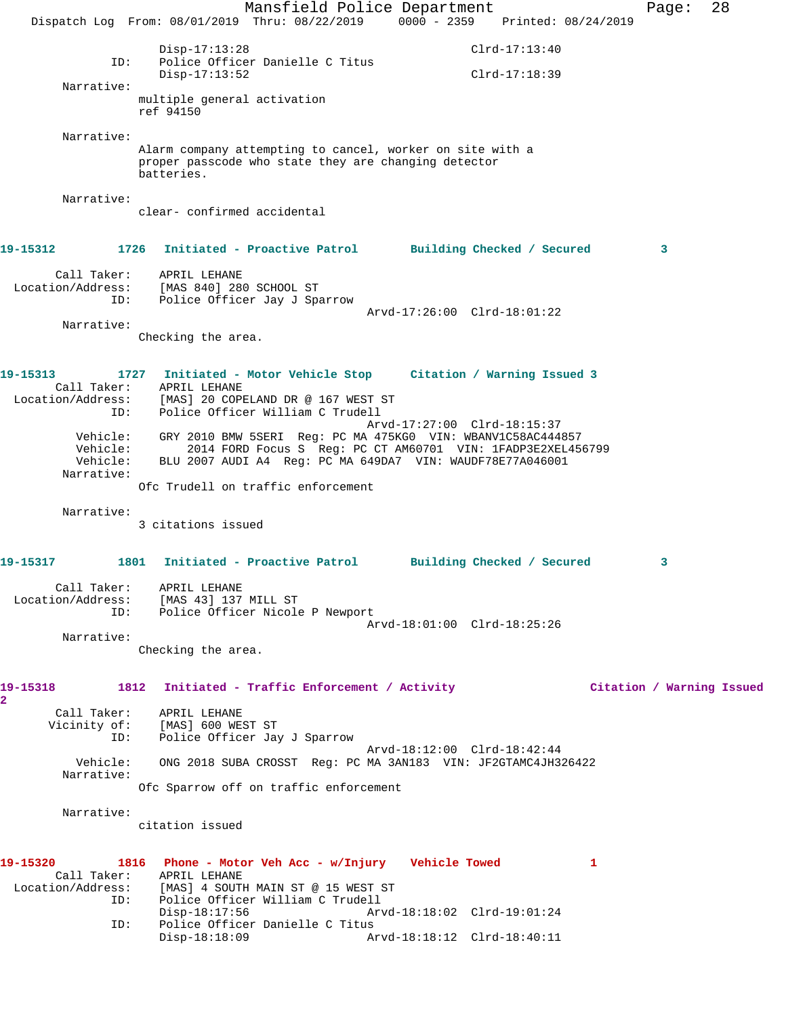Mansfield Police Department Form Page: 28 Dispatch Log From: 08/01/2019 Thru: 08/22/2019 0000 - 2359 Printed: 08/24/2019 Disp-17:13:28 Clrd-17:13:40 ID: Police Officer Danielle C Titus Disp-17:13:52 Clrd-17:18:39 Narrative: multiple general activation ref 94150 Narrative: Alarm company attempting to cancel, worker on site with a proper passcode who state they are changing detector batteries. Narrative: clear- confirmed accidental **19-15312 1726 Initiated - Proactive Patrol Building Checked / Secured 3** Call Taker: APRIL LEHANE Location/Address: [MAS 840] 280 SCHOOL ST ID: Police Officer Jay J Sparrow Arvd-17:26:00 Clrd-18:01:22 Narrative: Checking the area. **19-15313 1727 Initiated - Motor Vehicle Stop Citation / Warning Issued 3**  Call Taker: APRIL LEHANE Location/Address: [MAS] 20 COPELAND DR @ 167 WEST ST ID: Police Officer William C Trudell Arvd-17:27:00 Clrd-18:15:37 Vehicle: GRY 2010 BMW 5SERI Reg: PC MA 475KG0 VIN: WBANV1C58AC444857 Vehicle: 2014 FORD Focus S Reg: PC CT AM60701 VIN: 1FADP3E2XEL456799 Vehicle: BLU 2007 AUDI A4 Reg: PC MA 649DA7 VIN: WAUDF78E77A046001 Narrative: Ofc Trudell on traffic enforcement Narrative: 3 citations issued **19-15317 1801 Initiated - Proactive Patrol Building Checked / Secured 3** Call Taker: APRIL LEHANE Location/Address: [MAS 43] 137 MILL ST ID: Police Officer Nicole P Newport Arvd-18:01:00 Clrd-18:25:26 Narrative: Checking the area. **19-15318 1812 Initiated - Traffic Enforcement / Activity Citation / Warning Issued 2**  Call Taker: APRIL LEHANE Vicinity of: [MAS] 600 WEST ST ID: Police Officer Jay J Sparrow Arvd-18:12:00 Clrd-18:42:44 Vehicle: ONG 2018 SUBA CROSST Reg: PC MA 3AN183 VIN: JF2GTAMC4JH326422 Narrative: Ofc Sparrow off on traffic enforcement Narrative: citation issued **19-15320 1816 Phone - Motor Veh Acc - w/Injury Vehicle Towed 1**  Call Taker: APRIL LEHANE<br>Location/Address: [MAS] 4 SOUTH [MAS] 4 SOUTH MAIN ST @ 15 WEST ST ID: Police Officer William C Trudell Arvd-18:18:02 Clrd-19:01:24 ID: Police Officer Danielle C Titus Disp-18:18:09 Arvd-18:18:12 Clrd-18:40:11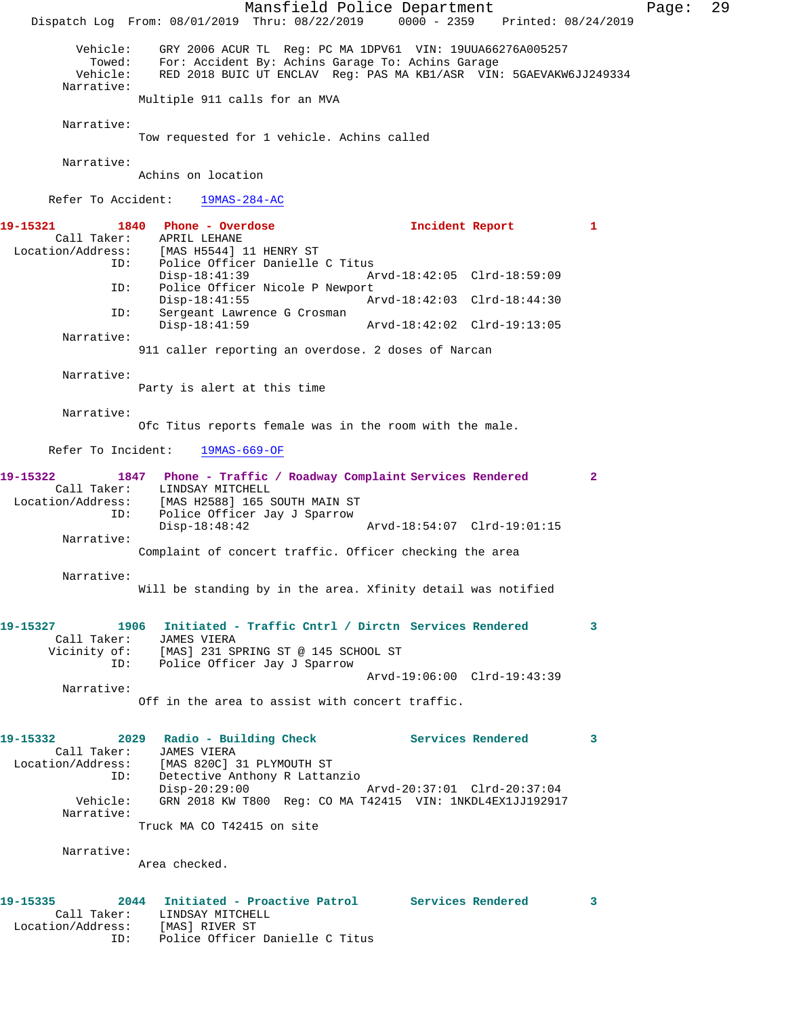Mansfield Police Department Page: 29 Dispatch Log From: 08/01/2019 Thru: 08/22/2019 0000 - 2359 Printed: 08/24/2019 Vehicle: GRY 2006 ACUR TL Reg: PC MA 1DPV61 VIN: 19UUA66276A005257 Towed: For: Accident By: Achins Garage To: Achins Garage RED 2018 BUIC UT ENCLAV Reg: PAS MA KB1/ASR VIN: 5GAEVAKW6JJ249334 Narrative: Multiple 911 calls for an MVA Narrative: Tow requested for 1 vehicle. Achins called Narrative: Achins on location Refer To Accident: 19MAS-284-AC **19-15321 1840 Phone - Overdose Incident Report 1**  Call Taker: APRIL LEHANE<br>1 Location/Address: [MAS H5544]  $[MAS H5544] 11 HENRY ST$ ID: Police Officer Danielle C Titus<br>Disp-18:41:39 A Disp-18:41:39 Arvd-18:42:05 Clrd-18:59:09<br>ID: Police Officer Nicole P Newport Police Officer Nicole P Newport Disp-18:41:55 Arvd-18:42:03 Clrd-18:44:30 ID: Sergeant Lawrence G Crosman Disp-18:41:59 Arvd-18:42:02 Clrd-19:13:05 Narrative: 911 caller reporting an overdose. 2 doses of Narcan Narrative: Party is alert at this time Narrative: Ofc Titus reports female was in the room with the male. Refer To Incident: 19MAS-669-OF **19-15322 1847 Phone - Traffic / Roadway Complaint Services Rendered 2**  Call Taker: LINDSAY MITCHELL<br>Location/Address: [MAS H2588] 165 2 ess: [MAS H2588] 165 SOUTH MAIN ST<br>ID: Police Officer Jay J Sparrow Police Officer Jay J Sparrow<br>Disp-18:48:42 Disp-18:48:42 Arvd-18:54:07 Clrd-19:01:15 Narrative: Complaint of concert traffic. Officer checking the area Narrative: Will be standing by in the area. Xfinity detail was notified **19-15327 1906 Initiated - Traffic Cntrl / Dirctn Services Rendered 3**  Call Taker: JAMES VIERA Vicinity of: [MAS] 231 SPRING ST @ 145 SCHOOL ST<br>ID: Police Officer Jay J Sparrow Police Officer Jay J Sparrow Arvd-19:06:00 Clrd-19:43:39 Narrative: Off in the area to assist with concert traffic. 19-15332 2029 Radio - Building Check **Services Rendered** 3 Call Taker: JAMES VIERA Location/Address: [MAS 820C] 31 PLYMOUTH ST ID: Detective Anthony R Lattanzio Disp-20:29:00 Arvd-20:37:01 Clrd-20:37:04<br>Vehicle: GRN 2018 KW T800 Req: CO MA T42415 VIN: 1NKDL4EX1JJ19291 GRN 2018 KW T800 Reg: CO MA T42415 VIN: 1NKDL4EX1JJ192917 Narrative: Truck MA CO T42415 on site Narrative: Area checked. **19-15335 2044 Initiated - Proactive Patrol Services Rendered 3**  Call Taker: LINDSAY MITCHELL Location/Address: [MAS] RIVER ST ID: Police Officer Danielle C Titus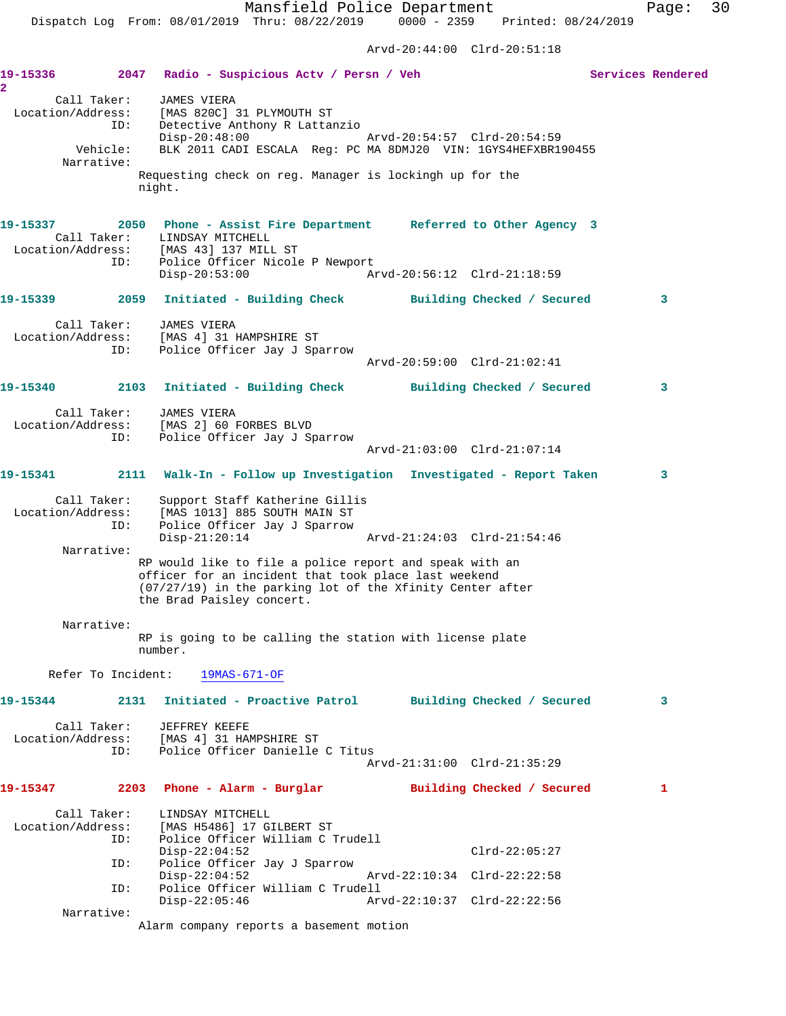Arvd-20:44:00 Clrd-20:51:18 **19-15336 2047 Radio - Suspicious Actv / Persn / Veh Services Rendered 2**  Call Taker: JAMES VIERA Location/Address: [MAS 820C] 31 PLYMOUTH ST ID: Detective Anthony R Lattanzio Disp-20:48:00 Arvd-20:54:57 Clrd-20:54:59 Vehicle: BLK 2011 CADI ESCALA Reg: PC MA 8DMJ20 VIN: 1GYS4HEFXBR190455 Narrative: Requesting check on reg. Manager is lockingh up for the night. **19-15337 2050 Phone - Assist Fire Department Referred to Other Agency 3**  Call Taker: LINDSAY MITCHELL Location/Address: [MAS 43] 137 MILL ST ID: Police Officer Nicole P Newport Disp-20:53:00 Arvd-20:56:12 Clrd-21:18:59 **19-15339 2059 Initiated - Building Check Building Checked / Secured 3** Call Taker: JAMES VIERA Location/Address: [MAS 4] 31 HAMPSHIRE ST ID: Police Officer Jay J Sparrow Arvd-20:59:00 Clrd-21:02:41 **19-15340 2103 Initiated - Building Check Building Checked / Secured 3** Call Taker: JAMES VIERA Location/Address: [MAS 2] 60 FORBES BLVD ID: Police Officer Jay J Sparrow Arvd-21:03:00 Clrd-21:07:14 **19-15341 2111 Walk-In - Follow up Investigation Investigated - Report Taken 3** Call Taker: Support Staff Katherine Gillis Location/Address: [MAS 1013] 885 SOUTH MAIN ST ID: Police Officer Jay J Sparrow<br>Disp-21:20:14 Disp-21:20:14 Arvd-21:24:03 Clrd-21:54:46 Narrative: RP would like to file a police report and speak with an officer for an incident that took place last weekend (07/27/19) in the parking lot of the Xfinity Center after the Brad Paisley concert. Narrative: RP is going to be calling the station with license plate number. Refer To Incident: 19MAS-671-OF **19-15344 2131 Initiated - Proactive Patrol Building Checked / Secured 3** Call Taker: JEFFREY KEEFE Location/Address: [MAS 4] 31 HAMPSHIRE ST ID: Police Officer Danielle C Titus Arvd-21:31:00 Clrd-21:35:29 **19-15347 2203 Phone - Alarm - Burglar Building Checked / Secured 1** Call Taker: LINDSAY MITCHELL<br>Location/Address: [MAS H5486] 17 GI Location/Address: [MAS H5486] 17 GILBERT ST Police Officer William C Trudell<br>Disp-22:04:52 Disp-22:04:52 Clrd-22:05:27 ID: Police Officer Jay J Sparrow Disp-22:04:52 Arvd-22:10:34 Clrd-22:22:58 ID: Police Officer William C Trudell Disp-22:05:46 Arvd-22:10:37 Clrd-22:22:56

Narrative:

Alarm company reports a basement motion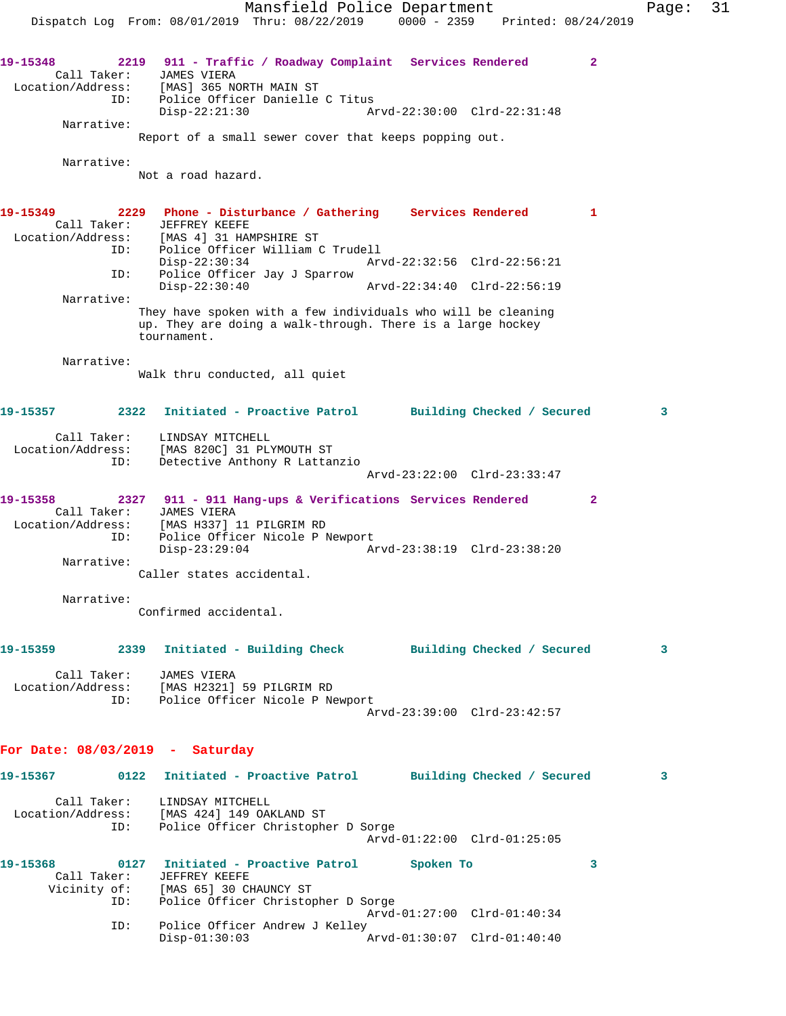Mansfield Police Department Page: 31 Dispatch Log From: 08/01/2019 Thru: 08/22/2019 0000 - 2359 Printed: 08/24/2019 **19-15348 2219 911 - Traffic / Roadway Complaint Services Rendered 2**  Call Taker: JAMES VIERA Location/Address: [MAS] 365 NORTH MAIN ST ID: Police Officer Danielle C Titus Disp-22:21:30 Arvd-22:30:00 Clrd-22:31:48 Narrative: Report of a small sewer cover that keeps popping out. Narrative: Not a road hazard. **19-15349 2229 Phone - Disturbance / Gathering Services Rendered 1**  Call Taker: JEFFREY KEEFE<br>Location/Address: [MAS 4] 31 HAI [MAS 4] 31 HAMPSHIRE ST ID: Police Officer William C Trudell Disp-22:30:34 Arvd-22:32:56 Clrd-22:56:21 ID: Police Officer Jay J Sparrow<br>Disp-22:30:40 Disp-22:30:40 Arvd-22:34:40 Clrd-22:56:19 Narrative: They have spoken with a few individuals who will be cleaning up. They are doing a walk-through. There is a large hockey tournament. Narrative: Walk thru conducted, all quiet **19-15357 2322 Initiated - Proactive Patrol Building Checked / Secured 3** Call Taker: LINDSAY MITCHELL Location/Address: [MAS 820C] 31 PLYMOUTH ST ID: Detective Anthony R Lattanzio Arvd-23:22:00 Clrd-23:33:47 **19-15358 2327 911 - 911 Hang-ups & Verifications Services Rendered 2**  Call Taker: JAMES VIERA Location/Address: [MAS H337] 11 PILGRIM RD ID: Police Officer Nicole P Newport<br>Disp-23:29:04 Ar Disp-23:29:04 Arvd-23:38:19 Clrd-23:38:20 Narrative: Caller states accidental. Narrative: Confirmed accidental. **19-15359 2339 Initiated - Building Check Building Checked / Secured 3** Call Taker: JAMES VIERA Location/Address: [MAS H2321] 59 PILGRIM RD ID: Police Officer Nicole P Newport Arvd-23:39:00 Clrd-23:42:57 **For Date: 08/03/2019 - Saturday 19-15367 0122 Initiated - Proactive Patrol Building Checked / Secured 3** Call Taker: LINDSAY MITCHELL Location/Address: [MAS 424] 149 OAKLAND ST ID: Police Officer Christopher D Sorge Arvd-01:22:00 Clrd-01:25:05 **19-15368 0127 Initiated - Proactive Patrol Spoken To 3**  Call Taker: JEFFREY KEEFE Vicinity of: [MAS 65] 30 CHAUNCY ST ID: Police Officer Christopher D Sorge Arvd-01:27:00 Clrd-01:40:34 ID: Police Officer Andrew J Kelley Disp-01:30:03 Arvd-01:30:07 Clrd-01:40:40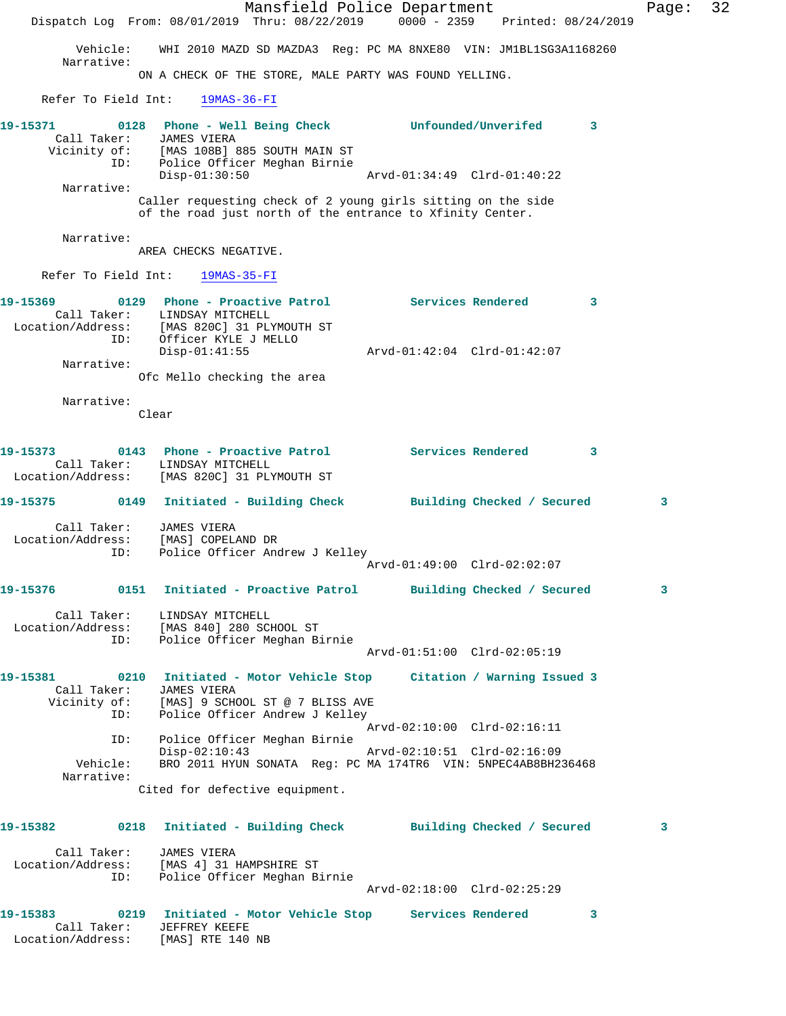|                          | Dispatch Log From: 08/01/2019 Thru: 08/22/2019                                                                                                                            | Mansfield Police Department |                             | 0000 - 2359 Printed: 08/24/2019 |   | Page: | 32 |
|--------------------------|---------------------------------------------------------------------------------------------------------------------------------------------------------------------------|-----------------------------|-----------------------------|---------------------------------|---|-------|----|
|                          | Vehicle: WHI 2010 MAZD SD MAZDA3 Req: PC MA 8NXE80 VIN: JM1BL1SG3A1168260                                                                                                 |                             |                             |                                 |   |       |    |
| Narrative:               | ON A CHECK OF THE STORE, MALE PARTY WAS FOUND YELLING.                                                                                                                    |                             |                             |                                 |   |       |    |
|                          | Refer To Field Int: 19MAS-36-FI                                                                                                                                           |                             |                             |                                 |   |       |    |
| 19-15371<br>ID:          | 0128 Phone - Well Being Check britain Unfounded/Unverifed<br>Call Taker: JAMES VIERA<br>Vicinity of: [MAS 108B] 885 SOUTH MAIN ST<br>.<br>Police Officer Meghan Birnie    |                             |                             |                                 | 3 |       |    |
| Narrative:               | $Disp-01:30:50$<br>Caller requesting check of 2 young girls sitting on the side<br>of the road just north of the entrance to Xfinity Center.                              |                             | Arvd-01:34:49 Clrd-01:40:22 |                                 |   |       |    |
| Narrative:               |                                                                                                                                                                           |                             |                             |                                 |   |       |    |
|                          | AREA CHECKS NEGATIVE.                                                                                                                                                     |                             |                             |                                 |   |       |    |
|                          | Refer To Field Int: 19MAS-35-FI                                                                                                                                           |                             |                             |                                 |   |       |    |
| 19-15369                 | 0129 Phone - Proactive Patrol Services Rendered<br>Call Taker: LINDSAY MITCHELL<br>Location/Address: [MAS 820C] 31 PLYMOUTH ST                                            |                             |                             | $\sim$ $\sim$ 3                 |   |       |    |
| ID:                      | Officer KYLE J MELLO<br>$Disp-01:41:55$                                                                                                                                   |                             |                             |                                 |   |       |    |
| Narrative:               | Ofc Mello checking the area                                                                                                                                               |                             |                             |                                 |   |       |    |
| Narrative:               | Clear                                                                                                                                                                     |                             |                             |                                 |   |       |    |
| 19-15373                 | 0143 Phone - Proactive Patrol                   Services Rendered<br>Call Taker: LINDSAY MITCHELL<br>Location/Address: [MAS 820C] 31 PLYMOUTH ST                          |                             |                             |                                 | 3 |       |    |
|                          | 19-15375 0149 Initiated - Building Check Building Checked / Secured                                                                                                       |                             |                             |                                 |   | 3     |    |
| Location/Address:<br>ID: | Call Taker: JAMES VIERA<br>[MAS] COPELAND DR<br>Police Officer Andrew J Kelley                                                                                            |                             | Arvd-01:49:00 Clrd-02:02:07 |                                 |   |       |    |
|                          | 19-15376 0151 Initiated - Proactive Patrol Building Checked / Secured                                                                                                     |                             |                             |                                 |   | 3     |    |
| Location/Address:<br>ID: | Call Taker: LINDSAY MITCHELL<br>[MAS 840] 280 SCHOOL ST<br>Police Officer Meghan Birnie                                                                                   |                             |                             |                                 |   |       |    |
|                          |                                                                                                                                                                           |                             | Arvd-01:51:00 Clrd-02:05:19 |                                 |   |       |    |
| Call Taker:<br>ID:       | 19-15381 0210 Initiated - Motor Vehicle Stop Citation / Warning Issued 3<br>JAMES VIERA<br>Vicinity of: [MAS] 9 SCHOOL ST @ 7 BLISS AVE<br>Police Officer Andrew J Kelley |                             |                             |                                 |   |       |    |
| ID:                      | Police Officer Meghan Birnie                                                                                                                                              |                             | Arvd-02:10:00 Clrd-02:16:11 |                                 |   |       |    |
| Vehicle:<br>Narrative:   | $Disp-02:10:43$<br>BRO 2011 HYUN SONATA Reg: PC MA 174TR6 VIN: 5NPEC4AB8BH236468                                                                                          |                             | Arvd-02:10:51 Clrd-02:16:09 |                                 |   |       |    |
|                          | Cited for defective equipment.                                                                                                                                            |                             |                             |                                 |   |       |    |
| 19-15382                 | 0218 Initiated - Building Check Building Checked / Secured                                                                                                                |                             |                             |                                 |   | 3     |    |
| Call Taker:<br>ID:       | JAMES VIERA<br>Location/Address: [MAS 4] 31 HAMPSHIRE ST<br>Police Officer Meghan Birnie                                                                                  |                             |                             |                                 |   |       |    |
|                          |                                                                                                                                                                           |                             |                             | Arvd-02:18:00 Clrd-02:25:29     |   |       |    |
|                          | 19-15383 0219 Initiated - Motor Vehicle Stop Services Rendered<br>Call Taker: JEFFREY KEEFE<br>Location/Address: [MAS] RTE 140 NB                                         |                             |                             |                                 | 3 |       |    |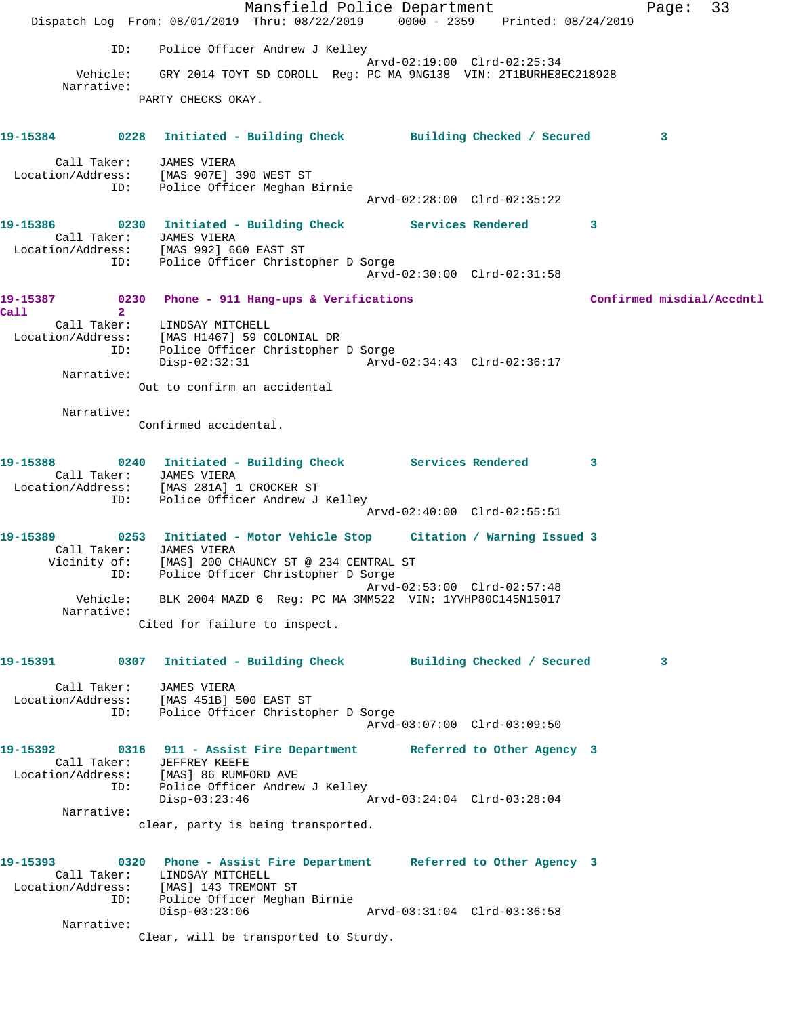Mansfield Police Department Fage: 33 Dispatch Log From: 08/01/2019 Thru: 08/22/2019 0000 - 2359 Printed: 08/24/2019 ID: Police Officer Andrew J Kelley Arvd-02:19:00 Clrd-02:25:34 Vehicle: GRY 2014 TOYT SD COROLL Reg: PC MA 9NG138 VIN: 2T1BURHE8EC218928 Narrative: PARTY CHECKS OKAY. **19-15384 0228 Initiated - Building Check Building Checked / Secured 3** Call Taker: JAMES VIERA Location/Address: [MAS 907E] 390 WEST ST ID: Police Officer Meghan Birnie Arvd-02:28:00 Clrd-02:35:22 **19-15386 0230 Initiated - Building Check Services Rendered 3**  Call Taker: JAMES VIERA Location/Address: [MAS 992] 660 EAST ST ID: Police Officer Christopher D Sorge Arvd-02:30:00 Clrd-02:31:58 **19-15387 0230 Phone - 911 Hang-ups & Verifications Confirmed misdial/Accdntl Call 2**  Call Taker: LINDSAY MITCHELL Location/Address: [MAS H1467] 59 COLONIAL DR ID: Police Officer Christopher D Sorge Disp-02:32:31 Arvd-02:34:43 Clrd-02:36:17 Narrative: Out to confirm an accidental Narrative: Confirmed accidental. **19-15388 0240 Initiated - Building Check Services Rendered 3**  Call Taker: JAMES VIERA Location/Address: [MAS 281A] 1 CROCKER ST ID: Police Officer Andrew J Kelley Arvd-02:40:00 Clrd-02:55:51 **19-15389 0253 Initiated - Motor Vehicle Stop Citation / Warning Issued 3**  Call Taker: JAMES VIERA Vicinity of: [MAS] 200 CHAUNCY ST @ 234 CENTRAL ST ID: Police Officer Christopher D Sorge Arvd-02:53:00 Clrd-02:57:48 Vehicle: BLK 2004 MAZD 6 Reg: PC MA 3MM522 VIN: 1YVHP80C145N15017 Narrative: Cited for failure to inspect. **19-15391 0307 Initiated - Building Check Building Checked / Secured 3** Call Taker: JAMES VIERA Location/Address: [MAS 451B] 500 EAST ST ID: Police Officer Christopher D Sorge Arvd-03:07:00 Clrd-03:09:50 **19-15392 0316 911 - Assist Fire Department Referred to Other Agency 3**  Call Taker: JEFFREY KEEFE Location/Address: [MAS] 86 RUMFORD AVE ID: Police Officer Andrew J Kelley Disp-03:23:46 Arvd-03:24:04 Clrd-03:28:04 Narrative: clear, party is being transported. **19-15393 0320 Phone - Assist Fire Department Referred to Other Agency 3**  Call Taker: LINDSAY MITCHELL Location/Address: [MAS] 143 TREMONT ST ID: Police Officer Meghan Birnie Disp-03:23:06 Arvd-03:31:04 Clrd-03:36:58 Narrative: Clear, will be transported to Sturdy.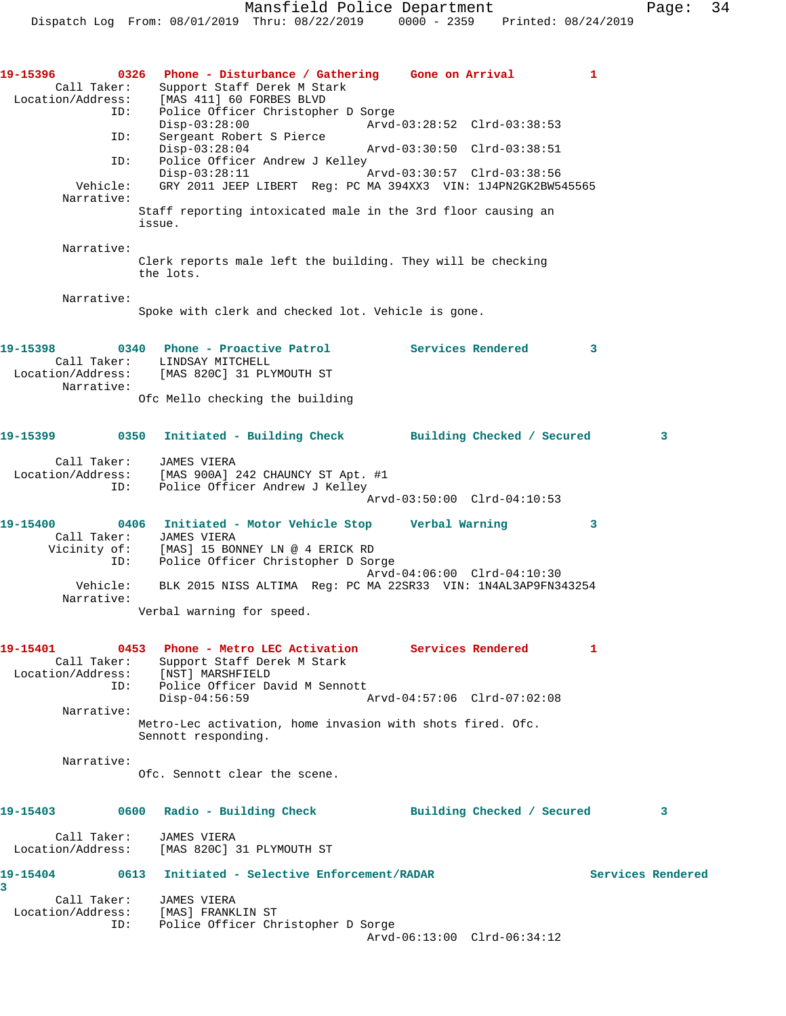| 19–15396<br>Call Taker:                 | 0326 Phone - Disturbance / Gathering Gone on Arrival<br>Support Staff Derek M Stark<br>Location/Address: [MAS 411] 60 FORBES BLVD |                             | 1                       |
|-----------------------------------------|-----------------------------------------------------------------------------------------------------------------------------------|-----------------------------|-------------------------|
| ID:                                     | Police Officer Christopher D Sorge<br>$Disp-03:28:00$                                                                             | Arvd-03:28:52 Clrd-03:38:53 |                         |
| ID:                                     | Sergeant Robert S Pierce<br>$Disp-03:28:04$                                                                                       | Arvd-03:30:50 Clrd-03:38:51 |                         |
| ID:                                     | Police Officer Andrew J Kelley                                                                                                    |                             |                         |
| Vehicle:                                | $Disp-03:28:11$<br>GRY 2011 JEEP LIBERT Reg: PC MA 394XX3 VIN: 1J4PN2GK2BW545565                                                  | Arvd-03:30:57 Clrd-03:38:56 |                         |
| Narrative:                              | Staff reporting intoxicated male in the 3rd floor causing an<br>issue.                                                            |                             |                         |
| Narrative:                              | Clerk reports male left the building. They will be checking<br>the lots.                                                          |                             |                         |
| Narrative:                              |                                                                                                                                   |                             |                         |
|                                         | Spoke with clerk and checked lot. Vehicle is gone.                                                                                |                             |                         |
| 19-15398                                | 0340 Phone - Proactive Patrol<br>Call Taker: LINDSAY MITCHELL                                                                     | <b>Services Rendered</b>    | 3                       |
| Narrative:                              | Location/Address: [MAS 820C] 31 PLYMOUTH ST                                                                                       |                             |                         |
|                                         | Ofc Mello checking the building                                                                                                   |                             |                         |
|                                         | 19-15399 		 0350 Initiated - Building Check 		 Building Checked / Secured                                                         |                             | $\overline{\mathbf{3}}$ |
| Call Taker:                             | JAMES VIERA<br>Location/Address: [MAS 900A] 242 CHAUNCY ST Apt. #1                                                                |                             |                         |
| ID:                                     | Police Officer Andrew J Kelley                                                                                                    | Arvd-03:50:00 Clrd-04:10:53 |                         |
| 19-15400<br>Call Taker:<br>Vicinity of: | 0406 Initiated - Motor Vehicle Stop       Verbal Warning<br>JAMES VIERA<br>[MAS] 15 BONNEY LN @ 4 ERICK RD                        |                             | 3                       |
| ID:                                     | Police Officer Christopher D Sorge                                                                                                | Arvd-04:06:00 Clrd-04:10:30 |                         |
| Vehicle:<br>Narrative:                  | BLK 2015 NISS ALTIMA Req: PC MA 22SR33 VIN: 1N4AL3AP9FN343254                                                                     |                             |                         |
|                                         | Verbal warning for speed.                                                                                                         |                             |                         |
| 19-15401<br>Call Taker:                 | 0453 Phone - Metro LEC Activation Services Rendered<br>Support Staff Derek M Stark<br>Location/Address: [NST] MARSHFIELD          |                             | 1                       |
| ID:                                     | Police Officer David M Sennott<br>$Disp-04:56:59$                                                                                 | Arvd-04:57:06 Clrd-07:02:08 |                         |
| Narrative:                              |                                                                                                                                   |                             |                         |
|                                         | Metro-Lec activation, home invasion with shots fired. Ofc.<br>Sennott responding.                                                 |                             |                         |
| Narrative:                              | Ofc. Sennott clear the scene.                                                                                                     |                             |                         |
| 19-15403                                | 0600 Radio - Building Check                                                                                                       | Building Checked / Secured  | 3                       |
| Call Taker:                             | JAMES VIERA<br>Location/Address: [MAS 820C] 31 PLYMOUTH ST                                                                        |                             |                         |
| 19-15404                                | 0613 Initiated - Selective Enforcement/RADAR                                                                                      |                             | Services Rendered       |
| 3                                       | Call Taker: JAMES VIERA                                                                                                           |                             |                         |
| ID:                                     | Location/Address: [MAS] FRANKLIN ST<br>Police Officer Christopher D Sorge                                                         |                             |                         |
|                                         |                                                                                                                                   | Arvd-06:13:00 Clrd-06:34:12 |                         |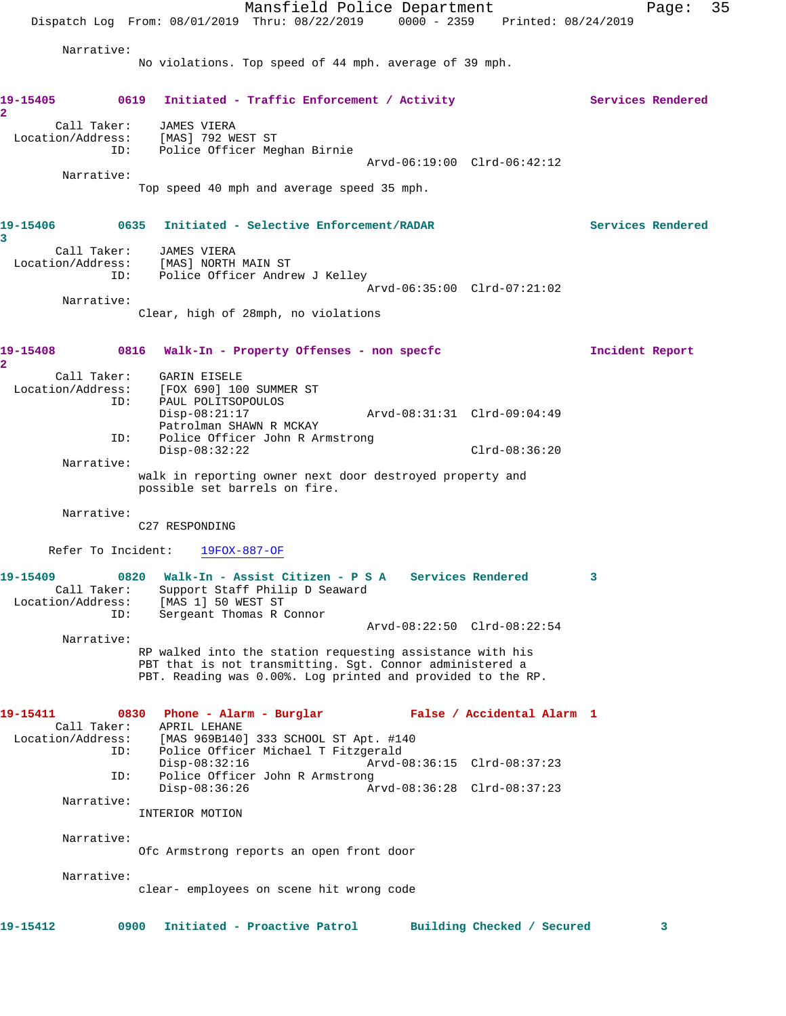|                                              |      | Dispatch Log From: 08/01/2019 Thru: 08/22/2019 0000 - 2359 Printed: 08/24/2019                                        | Mansfield Police Department |                             |                            |                   | Page:             | 35 |
|----------------------------------------------|------|-----------------------------------------------------------------------------------------------------------------------|-----------------------------|-----------------------------|----------------------------|-------------------|-------------------|----|
| Narrative:                                   |      |                                                                                                                       |                             |                             |                            |                   |                   |    |
|                                              |      | No violations. Top speed of 44 mph. average of 39 mph.                                                                |                             |                             |                            |                   |                   |    |
| 19-15405<br>$\overline{\mathbf{2}}$          |      | 0619 Initiated - Traffic Enforcement / Activity                                                                       |                             |                             |                            | Services Rendered |                   |    |
| Call Taker:<br>Location/Address:             | ID:  | JAMES VIERA<br>[MAS] 792 WEST ST<br>Police Officer Meghan Birnie                                                      |                             |                             |                            |                   |                   |    |
| Narrative:                                   |      |                                                                                                                       |                             | Arvd-06:19:00 Clrd-06:42:12 |                            |                   |                   |    |
|                                              |      | Top speed 40 mph and average speed 35 mph.                                                                            |                             |                             |                            |                   |                   |    |
| 19-15406<br>3                                |      | 0635 Initiated - Selective Enforcement/RADAR                                                                          |                             |                             |                            |                   | Services Rendered |    |
| Location/Address: [MAS] NORTH MAIN ST        | ID:  | Call Taker: JAMES VIERA<br>Police Officer Andrew J Kelley                                                             |                             | Arvd-06:35:00 Clrd-07:21:02 |                            |                   |                   |    |
| Narrative:                                   |      |                                                                                                                       |                             |                             |                            |                   |                   |    |
|                                              |      | Clear, high of 28mph, no violations                                                                                   |                             |                             |                            |                   |                   |    |
| 19-15408<br>$\mathbf{2}^-$                   | 0816 | Walk-In - Property Offenses - non specfc                                                                              |                             |                             |                            | Incident Report   |                   |    |
| Location/Address: [FOX 690] 100 SUMMER ST    |      | Call Taker: GARIN EISELE                                                                                              |                             |                             |                            |                   |                   |    |
|                                              | ID:  | PAUL POLITSOPOULOS<br>$Disp-08:21:17$<br>Patrolman SHAWN R MCKAY                                                      |                             | Arvd-08:31:31 Clrd-09:04:49 |                            |                   |                   |    |
|                                              | ID:  | Police Officer John R Armstrong                                                                                       |                             |                             |                            |                   |                   |    |
| Narrative:                                   |      | $Disp-08:32:22$                                                                                                       |                             |                             | $Clrd-08:36:20$            |                   |                   |    |
|                                              |      | walk in reporting owner next door destroyed property and<br>possible set barrels on fire.                             |                             |                             |                            |                   |                   |    |
| Narrative:                                   |      |                                                                                                                       |                             |                             |                            |                   |                   |    |
|                                              |      | C27 RESPONDING                                                                                                        |                             |                             |                            |                   |                   |    |
|                                              |      | Refer To Incident: 19FOX-887-OF                                                                                       |                             |                             |                            |                   |                   |    |
| 19-15409<br>Call Taker:<br>Location/Address: |      | 0820 Walk-In - Assist Citizen - P S A Services Rendered<br>Support Staff Philip D Seaward<br>[MAS 1] 50 WEST ST       |                             |                             |                            |                   |                   |    |
|                                              | ID:  | Sergeant Thomas R Connor                                                                                              |                             | Arvd-08:22:50 Clrd-08:22:54 |                            |                   |                   |    |
| Narrative:                                   |      | RP walked into the station requesting assistance with his<br>PBT that is not transmitting. Sgt. Connor administered a |                             |                             |                            |                   |                   |    |
|                                              |      | PBT. Reading was 0.00%. Log printed and provided to the RP.                                                           |                             |                             |                            |                   |                   |    |
| 19-15411<br>Call Taker:                      |      | 0830 Phone - Alarm - Burglar Mark False / Accidental Alarm 1<br>APRIL LEHANE                                          |                             |                             |                            |                   |                   |    |
| Location/Address:                            | ID:  | [MAS 969B140] 333 SCHOOL ST Apt. #140<br>Police Officer Michael T Fitzgerald<br>$Disp-08:32:16$                       |                             | Arvd-08:36:15 Clrd-08:37:23 |                            |                   |                   |    |
|                                              | ID:  | Police Officer John R Armstrong                                                                                       |                             |                             |                            |                   |                   |    |
| Narrative:                                   |      | $Disp-08:36:26$                                                                                                       |                             | Arvd-08:36:28 Clrd-08:37:23 |                            |                   |                   |    |
|                                              |      | INTERIOR MOTION                                                                                                       |                             |                             |                            |                   |                   |    |
| Narrative:                                   |      | Ofc Armstrong reports an open front door                                                                              |                             |                             |                            |                   |                   |    |
| Narrative:                                   |      |                                                                                                                       |                             |                             |                            |                   |                   |    |
|                                              |      | clear- employees on scene hit wrong code                                                                              |                             |                             |                            |                   |                   |    |
| 19-15412                                     | 0900 | Initiated - Proactive Patrol                                                                                          |                             |                             | Building Checked / Secured |                   | 3                 |    |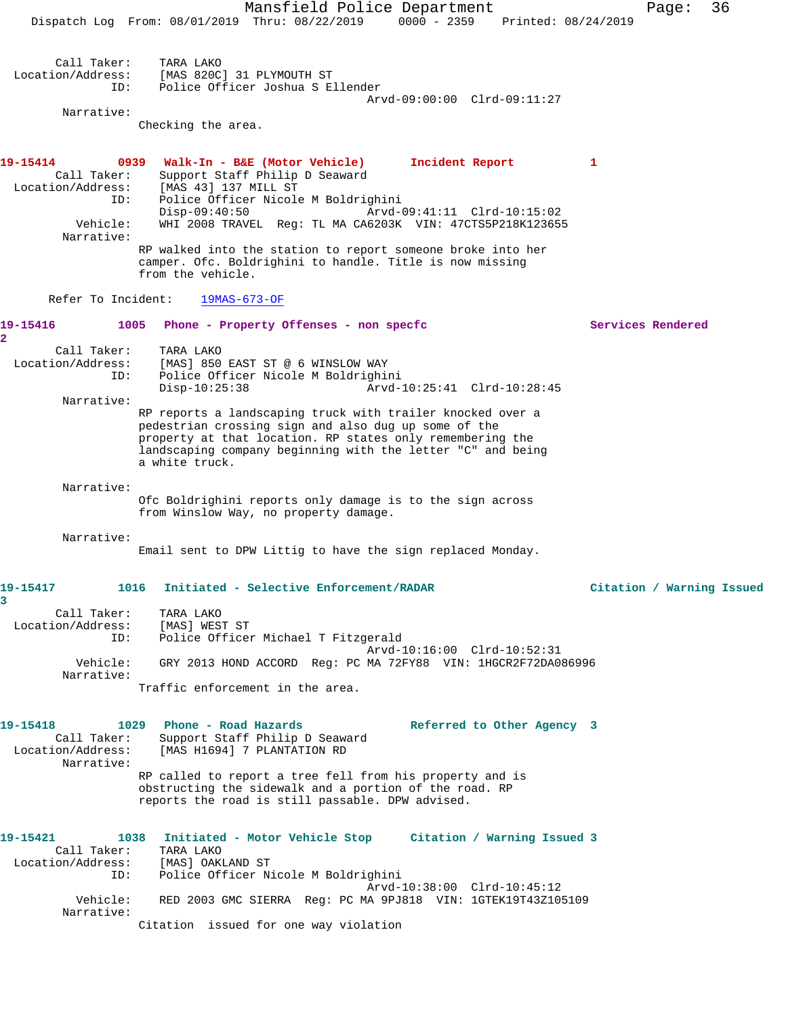Mansfield Police Department Fage: 36 Dispatch Log From: 08/01/2019 Thru: 08/22/2019 0000 - 2359 Printed: 08/24/2019 Call Taker: TARA LAKO Location/Address: [MAS 820C] 31 PLYMOUTH ST ID: Police Officer Joshua S Ellender Arvd-09:00:00 Clrd-09:11:27 Narrative: Checking the area. **19-15414 0939 Walk-In - B&E (Motor Vehicle) Incident Report 1**  Call Taker: Support Staff Philip D Seaward Location/Address: [MAS 43] 137 MILL ST ID: Police Officer Nicole M Boldrighini Disp-09:40:50 Arvd-09:41:11 Clrd-10:15:02 Vehicle: WHI 2008 TRAVEL Reg: TL MA CA6203K VIN: 47CTS5P218K123655 Narrative: RP walked into the station to report someone broke into her camper. Ofc. Boldrighini to handle. Title is now missing from the vehicle. Refer To Incident: 19MAS-673-OF **19-15416 1005 Phone - Property Offenses - non specfc Services Rendered 2**  Call Taker: TARA LAKO Location/Address: [MAS] 850 EAST ST @ 6 WINSLOW WAY ID: Police Officer Nicole M Boldrighini Disp-10:25:38 Arvd-10:25:41 Clrd-10:28:45 Narrative: RP reports a landscaping truck with trailer knocked over a pedestrian crossing sign and also dug up some of the property at that location. RP states only remembering the landscaping company beginning with the letter "C" and being a white truck. Narrative: Ofc Boldrighini reports only damage is to the sign across from Winslow Way, no property damage. Narrative: Email sent to DPW Littig to have the sign replaced Monday. **19-15417 1016 Initiated - Selective Enforcement/RADAR Citation / Warning Issued 3**  Call Taker: TARA LAKO Location/Address: [MAS] WEST ST ID: Police Officer Michael T Fitzgerald Arvd-10:16:00 Clrd-10:52:31 Vehicle: GRY 2013 HOND ACCORD Reg: PC MA 72FY88 VIN: 1HGCR2F72DA086996 Narrative: Traffic enforcement in the area. **19-15418 1029 Phone - Road Hazards Referred to Other Agency 3**  Call Taker: Support Staff Philip D Seaward Location/Address: [MAS H1694] 7 PLANTATION RD Narrative: RP called to report a tree fell from his property and is obstructing the sidewalk and a portion of the road. RP reports the road is still passable. DPW advised. **19-15421 1038 Initiated - Motor Vehicle Stop Citation / Warning Issued 3**  Call Taker: TARA LAKO Location/Address: [MAS] OAKLAND ST ID: Police Officer Nicole M Boldrighini Arvd-10:38:00 Clrd-10:45:12 Vehicle: RED 2003 GMC SIERRA Reg: PC MA 9PJ818 VIN: 1GTEK19T43Z105109 Narrative: Citation issued for one way violation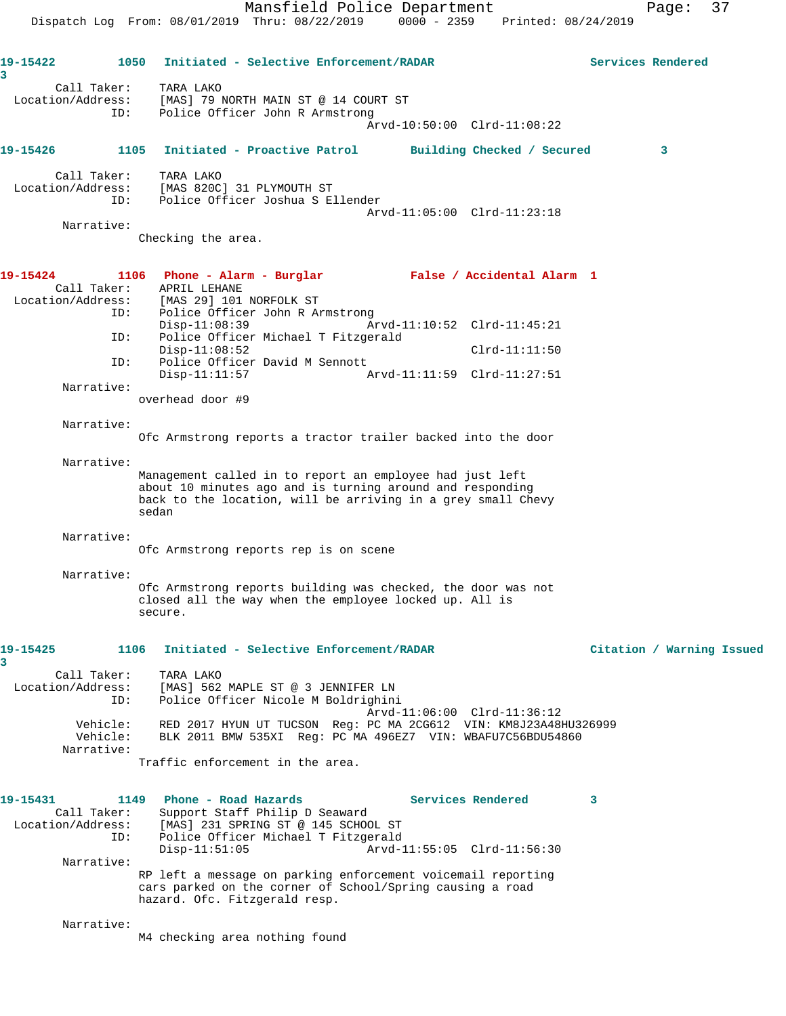**19-15422 1050 Initiated - Selective Enforcement/RADAR Services Rendered 3**  Call Taker: TARA LAKO Location/Address: [MAS] 79 NORTH MAIN ST @ 14 COURT ST ID: Police Officer John R Armstrong Arvd-10:50:00 Clrd-11:08:22 **19-15426 1105 Initiated - Proactive Patrol Building Checked / Secured 3** Call Taker: TARA LAKO Location/Address: [MAS 820C] 31 PLYMOUTH ST ID: Police Officer Joshua S Ellender Arvd-11:05:00 Clrd-11:23:18 Narrative: Checking the area. **19-15424 1106 Phone - Alarm - Burglar False / Accidental Alarm 1**  Call Taker: APRIL LEHANE Location/Address: [MAS 29] 101 NORFOLK ST ID: Police Officer John R Armstrong<br>Disp-11:08:39 Ar Disp-11:08:39 Arvd-11:10:52 Clrd-11:45:21<br>ID: Police Officer Michael T Fitzgerald Police Officer Michael T Fitzgerald Disp-11:08:52 Clrd-11:11:50 ID: Police Officer David M Sennott Arvd-11:11:59 Clrd-11:27:51 Narrative: overhead door #9 Narrative: Ofc Armstrong reports a tractor trailer backed into the door Narrative: Management called in to report an employee had just left about 10 minutes ago and is turning around and responding back to the location, will be arriving in a grey small Chevy sedan Narrative: Ofc Armstrong reports rep is on scene Narrative: Ofc Armstrong reports building was checked, the door was not closed all the way when the employee locked up. All is secure. **19-15425 1106 Initiated - Selective Enforcement/RADAR Citation / Warning Issued 3**  Call Taker: TARA LAKO Location/Address: [MAS] 562 MAPLE ST @ 3 JENNIFER LN ID: Police Officer Nicole M Boldrighini Arvd-11:06:00 Clrd-11:36:12 Vehicle: RED 2017 HYUN UT TUCSON Reg: PC MA 2CG612 VIN: KM8J23A48HU326999 Vehicle: BLK 2011 BMW 535XI Reg: PC MA 496EZ7 VIN: WBAFU7C56BDU54860 Narrative: Traffic enforcement in the area. **19-15431 1149 Phone - Road Hazards Services Rendered 3**  Call Taker: Support Staff Philip D Seaward Location/Address: [MAS] 231 SPRING ST @ 145 SCHOOL ST ID: Police Officer Michael T Fitzgerald Disp-11:51:05 Arvd-11:55:05 Clrd-11:56:30 Narrative: RP left a message on parking enforcement voicemail reporting cars parked on the corner of School/Spring causing a road hazard. Ofc. Fitzgerald resp. Narrative: M4 checking area nothing found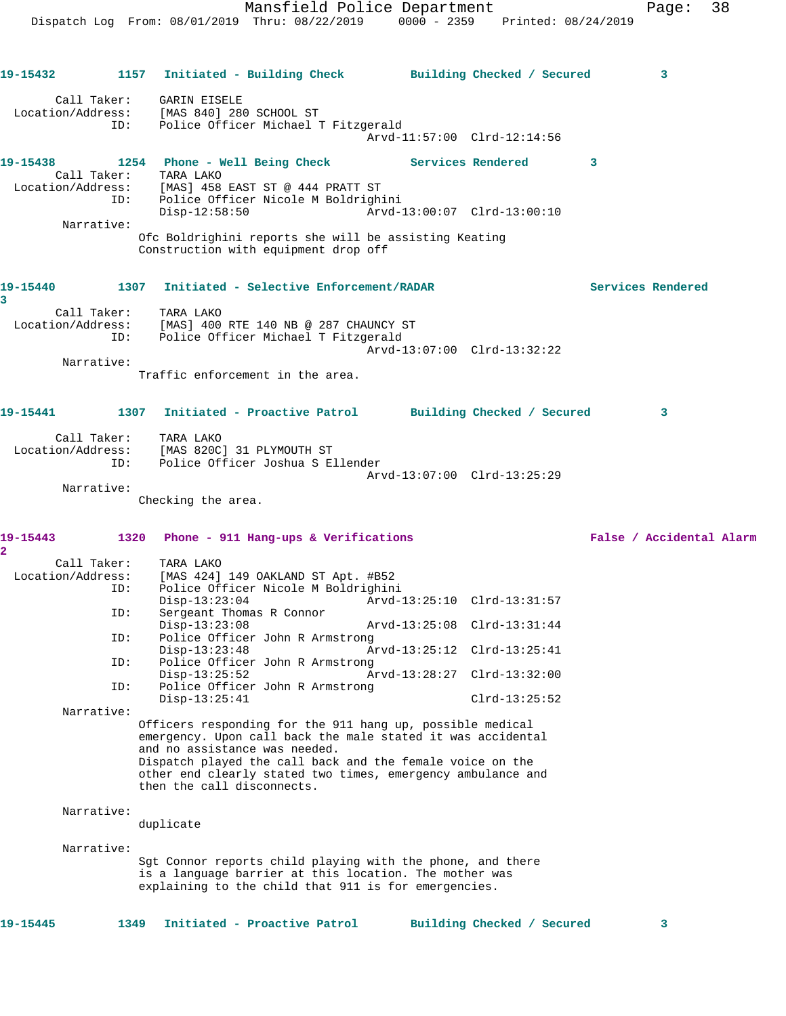**19-15432 1157 Initiated - Building Check Building Checked / Secured 3**

 Location/Address: [MAS 840] 280 SCHOOL ST ID: Police Officer Michael T Fitzgerald Arvd-11:57:00 Clrd-12:14:56 **19-15438 1254 Phone - Well Being Check Services Rendered 3**  Call Taker: TARA LAKO<br>Location/Address: [MAS] 458 [MAS] 458 EAST ST @ 444 PRATT ST ID: Police Officer Nicole M Boldrighini Disp-12:58:50 Arvd-13:00:07 Clrd-13:00:10 Narrative: Ofc Boldrighini reports she will be assisting Keating Construction with equipment drop off **19-15440 1307 Initiated - Selective Enforcement/RADAR Services Rendered 3**  Call Taker: TARA LAKO Location/Address: [MAS] 400 RTE 140 NB @ 287 CHAUNCY ST ID: Police Officer Michael T Fitzgerald Arvd-13:07:00 Clrd-13:32:22 Narrative: Traffic enforcement in the area. **19-15441 1307 Initiated - Proactive Patrol Building Checked / Secured 3** Call Taker: TARA LAKO Location/Address: [MAS 820C] 31 PLYMOUTH ST ID: Police Officer Joshua S Ellender Arvd-13:07:00 Clrd-13:25:29 Narrative: Checking the area. **19-15443 1320 Phone - 911 Hang-ups & Verifications False / Accidental Alarm** Call Taker: TARA LAKO<br>Location/Address: [MAS 424] [MAS 424] 149 OAKLAND ST Apt. #B52 ID: Police Officer Nicole M Boldrighini Disp-13:23:04 Arvd-13:25:10 Clrd-13:31:57<br>ID: Sergeant Thomas R Connor Sergeant Thomas R Connor<br>Disp-13:23:08 Disp-13:23:08 Arvd-13:25:08 Clrd-13:31:44 ID: Police Officer John R Armstrong Disp-13:23:48 Arvd-13:25:12 Clrd-13:25:41<br>TD: Police Officer John R Armstrong Police Officer John R Armstrong<br>Disp-13:25:52 A Disp-13:25:52 Arvd-13:28:27 Clrd-13:32:00 ID: Police Officer John R Armstrong Disp-13:25:41 Clrd-13:25:52 Narrative: Officers responding for the 911 hang up, possible medical emergency. Upon call back the male stated it was accidental and no assistance was needed. Dispatch played the call back and the female voice on the other end clearly stated two times, emergency ambulance and then the call disconnects. Narrative: duplicate Narrative: Sgt Connor reports child playing with the phone, and there is a language barrier at this location. The mother was explaining to the child that 911 is for emergencies.

**19-15445 1349 Initiated - Proactive Patrol Building Checked / Secured 3**

Call Taker: GARIN EISELE

**2**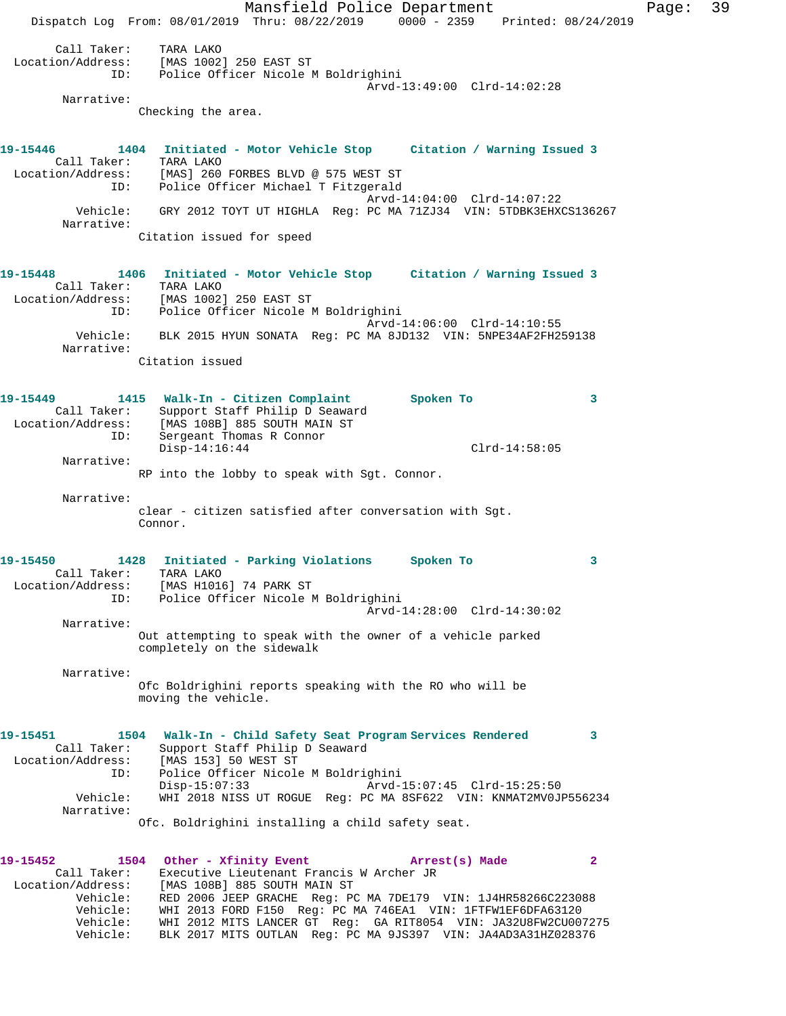Mansfield Police Department Fage: 39 Dispatch Log From: 08/01/2019 Thru: 08/22/2019 0000 - 2359 Printed: 08/24/2019 Call Taker: TARA LAKO Location/Address: [MAS 1002] 250 EAST ST ID: Police Officer Nicole M Boldrighini Arvd-13:49:00 Clrd-14:02:28 Narrative: Checking the area. **19-15446 1404 Initiated - Motor Vehicle Stop Citation / Warning Issued 3**  Call Taker: TARA LAKO Location/Address: [MAS] 260 FORBES BLVD @ 575 WEST ST ID: Police Officer Michael T Fitzgerald Arvd-14:04:00 Clrd-14:07:22 Vehicle: GRY 2012 TOYT UT HIGHLA Reg: PC MA 71ZJ34 VIN: 5TDBK3EHXCS136267 Narrative: Citation issued for speed **19-15448 1406 Initiated - Motor Vehicle Stop Citation / Warning Issued 3**  Call Taker: TARA LAKO Location/Address: [MAS 1002] 250 EAST ST ID: Police Officer Nicole M Boldrighini Arvd-14:06:00 Clrd-14:10:55 Vehicle: BLK 2015 HYUN SONATA Reg: PC MA 8JD132 VIN: 5NPE34AF2FH259138 Narrative: Citation issued **19-15449 1415 Walk-In - Citizen Complaint Spoken To 3**  Call Taker: Support Staff Philip D Seaward Location/Address: [MAS 108B] 885 SOUTH MAIN ST ID: Sergeant Thomas R Connor Disp-14:16:44 Clrd-14:58:05 Narrative: RP into the lobby to speak with Sgt. Connor. Narrative: clear - citizen satisfied after conversation with Sgt. Connor. **19-15450 1428 Initiated - Parking Violations Spoken To 3**  Call Taker: TARA LAKO Location/Address: [MAS H1016] 74 PARK ST ID: Police Officer Nicole M Boldrighini Arvd-14:28:00 Clrd-14:30:02 Narrative: Out attempting to speak with the owner of a vehicle parked completely on the sidewalk Narrative: Ofc Boldrighini reports speaking with the RO who will be moving the vehicle. **19-15451 1504 Walk-In - Child Safety Seat Program Services Rendered 3**  Call Taker: Support Staff Philip D Seaward Location/Address: [MAS 153] 50 WEST ST ID: Police Officer Nicole M Boldrighini Disp-15:07:33 Arvd-15:07:45 Clrd-15:25:50 Vehicle: WHI 2018 NISS UT ROGUE Reg: PC MA 8SF622 VIN: KNMAT2MV0JP556234 Narrative: Ofc. Boldrighini installing a child safety seat. **19-15452 1504 Other - Xfinity Event Arrest(s) Made 2**  Call Taker: Executive Lieutenant Francis W Archer JR Location/Address: [MAS 108B] 885 SOUTH MAIN ST Vehicle: RED 2006 JEEP GRACHE Reg: PC MA 7DE179 VIN: 1J4HR58266C223088 Vehicle: WHI 2013 FORD F150 Reg: PC MA 746EA1 VIN: 1FTFW1EF6DFA63120 Vehicle: WHI 2012 MITS LANCER GT Reg: GA RIT8054 VIN: JA32U8FW2CU007275

Vehicle: BLK 2017 MITS OUTLAN Reg: PC MA 9JS397 VIN: JA4AD3A31HZ028376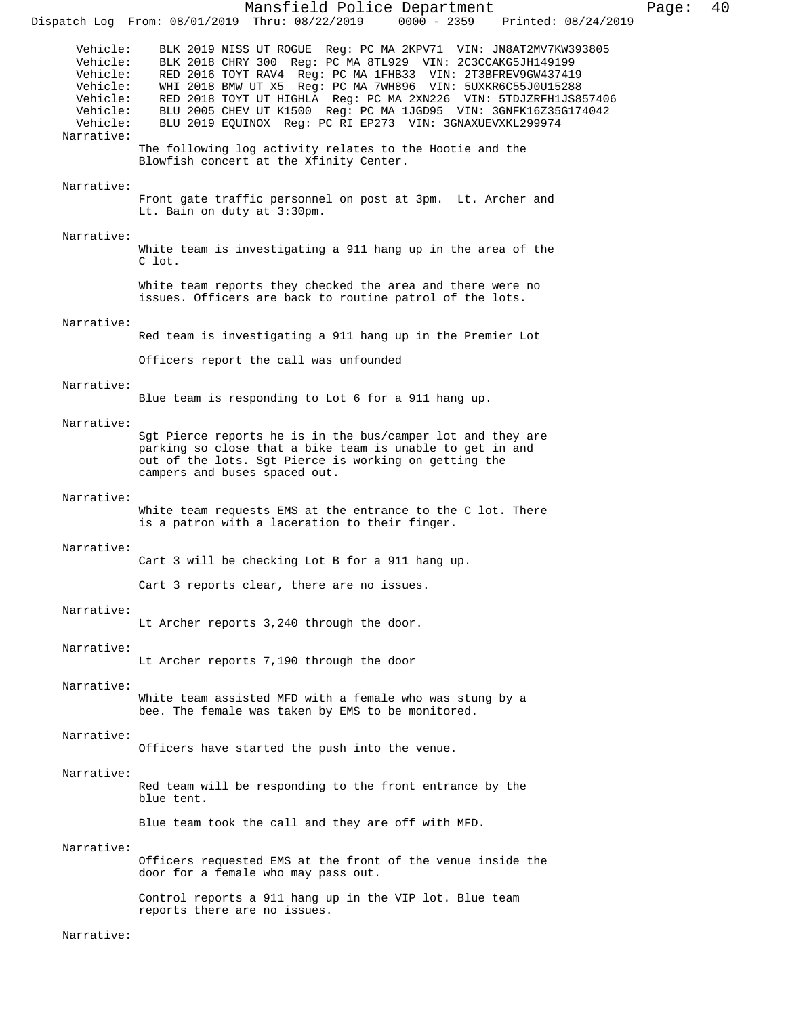Mansfield Police Department Page: 40 Dispatch Log From: 08/01/2019 Thru: 08/22/2019 Vehicle: BLK 2019 NISS UT ROGUE Reg: PC MA 2KPV71 VIN: JN8AT2MV7KW393805<br>Vehicle: BLK 2018 CHRY 300 Reg: PC MA 8TL929 VIN: 2C3CCAKG5JH149199 Vehicle: BLK 2018 CHRY 300 Reg: PC MA 8TL929 VIN: 2C3CCAKG5JH149199 Vehicle: RED 2016 TOYT RAV4 Reg: PC MA 1FHB33 VIN: 2T3BFREV9GW437419 Vehicle: WHI 2018 BMW UT X5 Reg: PC MA 7WH896 VIN: 5UXKR6C55J0U15288 Vehicle: RED 2018 TOYT UT HIGHLA Reg: PC MA 2XN226 VIN: 5TDJZRFH1JS857406 Vehicle: BLU 2005 CHEV UT K1500 Reg: PC MA 1JGD95 VIN: 3GNFK16Z35G174042 Vehicle: BLU 2019 EQUINOX Reg: PC RI EP273 VIN: 3GNAXUEVXKL299974 Narrative: The following log activity relates to the Hootie and the Blowfish concert at the Xfinity Center. Narrative: Front gate traffic personnel on post at 3pm. Lt. Archer and Lt. Bain on duty at 3:30pm. Narrative: White team is investigating a 911 hang up in the area of the C lot. White team reports they checked the area and there were no issues. Officers are back to routine patrol of the lots. Narrative: Red team is investigating a 911 hang up in the Premier Lot Officers report the call was unfounded Narrative: Blue team is responding to Lot 6 for a 911 hang up. Narrative: Sgt Pierce reports he is in the bus/camper lot and they are parking so close that a bike team is unable to get in and out of the lots. Sgt Pierce is working on getting the campers and buses spaced out. Narrative: White team requests EMS at the entrance to the C lot. There is a patron with a laceration to their finger. Narrative: Cart 3 will be checking Lot B for a 911 hang up. Cart 3 reports clear, there are no issues. Narrative: Lt Archer reports 3,240 through the door. Narrative: Lt Archer reports 7,190 through the door Narrative: White team assisted MFD with a female who was stung by a bee. The female was taken by EMS to be monitored. Narrative: Officers have started the push into the venue. Narrative: Red team will be responding to the front entrance by the blue tent. Blue team took the call and they are off with MFD. Narrative: Officers requested EMS at the front of the venue inside the door for a female who may pass out. Control reports a 911 hang up in the VIP lot. Blue team reports there are no issues. Narrative: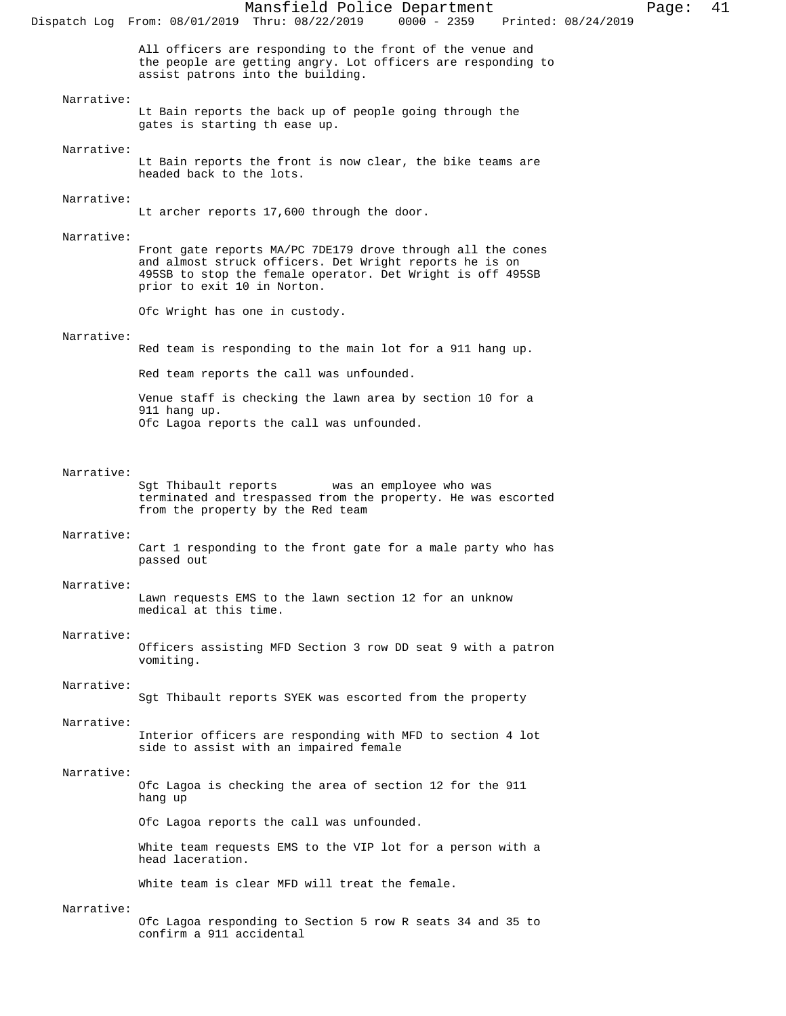All officers are responding to the front of the venue and the people are getting angry. Lot officers are responding to assist patrons into the building.

### Narrative:

Lt Bain reports the back up of people going through the gates is starting th ease up.

#### Narrative:

Lt Bain reports the front is now clear, the bike teams are headed back to the lots.

# Narrative:

Lt archer reports 17,600 through the door.

#### Narrative:

Front gate reports MA/PC 7DE179 drove through all the cones and almost struck officers. Det Wright reports he is on 495SB to stop the female operator. Det Wright is off 495SB prior to exit 10 in Norton.

Ofc Wright has one in custody.

#### Narrative:

Red team is responding to the main lot for a 911 hang up. Red team reports the call was unfounded. Venue staff is checking the lawn area by section 10 for a 911 hang up. Ofc Lagoa reports the call was unfounded.

Narrative:<br>Sgt Thibault reports was an employee who was terminated and trespassed from the property. He was escorted from the property by the Red team

#### Narrative:

Cart 1 responding to the front gate for a male party who has passed out

#### Narrative:

Lawn requests EMS to the lawn section 12 for an unknow medical at this time.

#### Narrative:

Officers assisting MFD Section 3 row DD seat 9 with a patron vomiting.

#### Narrative:

Sgt Thibault reports SYEK was escorted from the property

#### Narrative:

Interior officers are responding with MFD to section 4 lot side to assist with an impaired female

#### Narrative:

Ofc Lagoa is checking the area of section 12 for the 911 hang up

Ofc Lagoa reports the call was unfounded.

White team requests EMS to the VIP lot for a person with a head laceration.

White team is clear MFD will treat the female.

#### Narrative:

Ofc Lagoa responding to Section 5 row R seats 34 and 35 to confirm a 911 accidental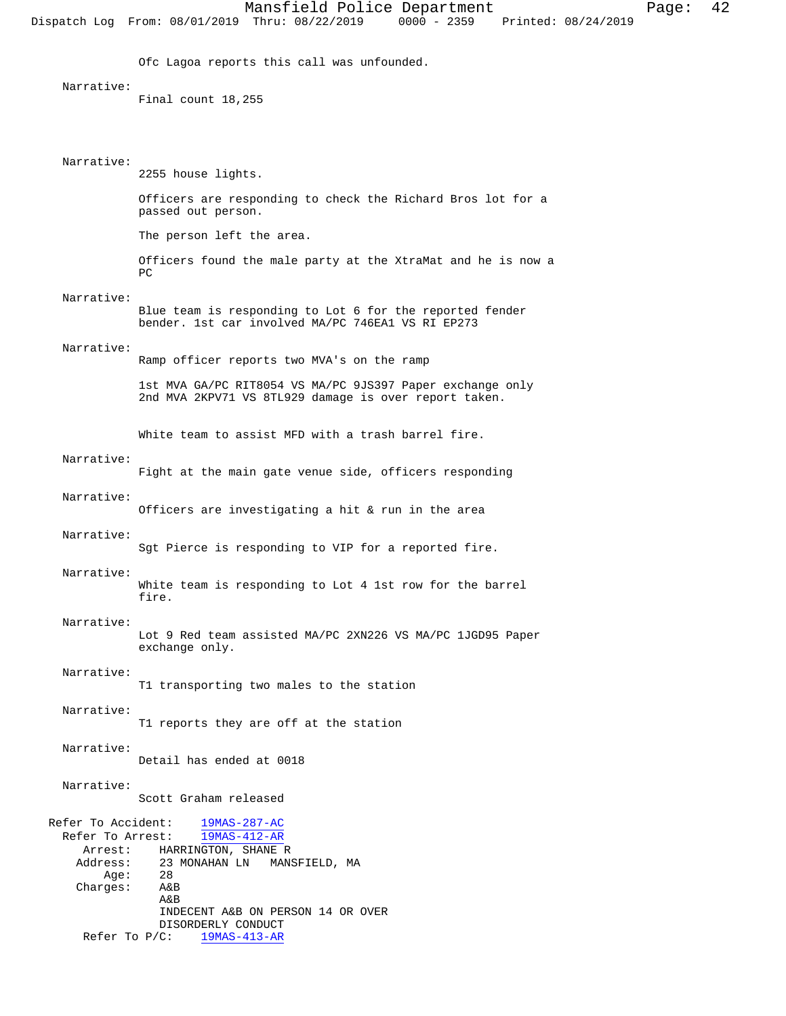Ofc Lagoa reports this call was unfounded.

#### Narrative:

Final count 18,255

#### Narrative:

2255 house lights.

Officers are responding to check the Richard Bros lot for a passed out person.

The person left the area.

Officers found the male party at the XtraMat and he is now a PC

#### Narrative:

Blue team is responding to Lot 6 for the reported fender bender. 1st car involved MA/PC 746EA1 VS RI EP273

#### Narrative:

Ramp officer reports two MVA's on the ramp

1st MVA GA/PC RIT8054 VS MA/PC 9JS397 Paper exchange only 2nd MVA 2KPV71 VS 8TL929 damage is over report taken.

White team to assist MFD with a trash barrel fire.

#### Narrative:

Fight at the main gate venue side, officers responding

#### Narrative:

Officers are investigating a hit & run in the area

#### Narrative:

Sgt Pierce is responding to VIP for a reported fire.

#### Narrative:

White team is responding to Lot 4 1st row for the barrel fire.

# Narrative:

Lot 9 Red team assisted MA/PC 2XN226 VS MA/PC 1JGD95 Paper exchange only.

#### Narrative:

T1 transporting two males to the station

#### Narrative:

T1 reports they are off at the station

#### Narrative:

Detail has ended at 0018

#### Narrative:

Scott Graham released

```
 Refer To Accident: 19MAS-287-AC
   Refer To Arrest: 19MAS-412-AR
      Arrest: HARRINGTON, SHANE R 
    Address: 23 MONAHAN LN MANSFIELD, MA<br>Age: 28
        Age: 28<br>rges: A&B
    Charges:
                   A&B
                   INDECENT A&B ON PERSON 14 OR OVER
                  DISORDERLY CONDUCT<br>C: 19MAS-413-AR
     Refer To P/C:
```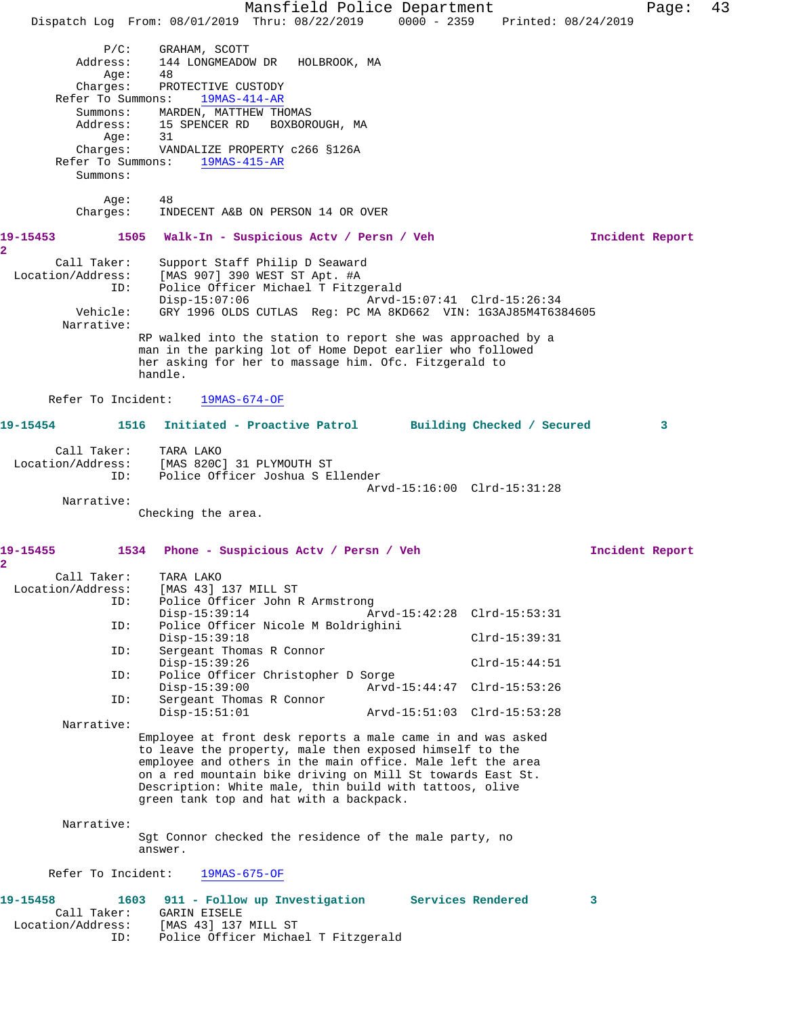Mansfield Police Department Page: 43 Dispatch Log From: 08/01/2019 Thru: 08/22/2019 0000 - 2359 Printed: 08/24/2019 P/C: GRAHAM, SCOTT<br>Address: 144 LONGMEADOW 144 LONGMEADOW DR HOLBROOK, MA<br>48 Age: 48 Charges: PROTECTIVE CUSTODY Refer To Summons: 19MAS-414-AR Summons: MARDEN, MATTHEW THOMAS Address: 15 SPENCER RD BOXBOROUGH, MA<br>Age: 31 Age: Charges: VANDALIZE PROPERTY c266 §126A Refer To Summons: 19MAS-415-AR Summons: Age: 48 Charges: INDECENT A&B ON PERSON 14 OR OVER **19-15453 1505 Walk-In - Suspicious Actv / Persn / Veh Incident Report 2**  Call Taker: Support Staff Philip D Seaward Location/Address: [MAS 907] 390 WEST ST Apt. #A ID: Police Officer Michael T Fitzgerald Disp-15:07:06 Arvd-15:07:41 Clrd-15:26:34 Vehicle: GRY 1996 OLDS CUTLAS Reg: PC MA 8KD662 VIN: 1G3AJ85M4T6384605 Narrative: RP walked into the station to report she was approached by a man in the parking lot of Home Depot earlier who followed her asking for her to massage him. Ofc. Fitzgerald to handle. Refer To Incident: 19MAS-674-OF **19-15454 1516 Initiated - Proactive Patrol Building Checked / Secured 3** Call Taker: TARA LAKO Location/Address: [MAS 820C] 31 PLYMOUTH ST ID: Police Officer Joshua S Ellender Arvd-15:16:00 Clrd-15:31:28 Narrative: Checking the area. **19-15455 1534 Phone - Suspicious Actv / Persn / Veh Incident Report 2**  Call Taker: TARA LAKO<br>Location/Address: [MAS 43] [MAS 43] 137 MILL ST ID: Police Officer John R Armstrong Disp-15:39:14 Arvd-15:42:28 Clrd-15:53:31 ID: Police Officer Nicole M Boldrighini Disp-15:39:18 Clrd-15:39:31<br>ID: Sergeant Thomas R Connor Sergeant Thomas R Connor Disp-15:39:26 Clrd-15:44:51<br>TD: Police Officer Christopher D Sorge Police Officer Christopher D Sorge<br>Disp-15:39:00 Arvd-Disp-15:39:00 Arvd-15:44:47 Clrd-15:53:26<br>ID: Sergeant Thomas R Connor Sergeant Thomas R Connor<br>Disp-15:51:01 Disp-15:51:01 Arvd-15:51:03 Clrd-15:53:28 Narrative: Employee at front desk reports a male came in and was asked to leave the property, male then exposed himself to the employee and others in the main office. Male left the area on a red mountain bike driving on Mill St towards East St. Description: White male, thin build with tattoos, olive green tank top and hat with a backpack. Narrative: Sgt Connor checked the residence of the male party, no answer. Refer To Incident: 19MAS-675-OF **19-15458 1603 911 - Follow up Investigation Services Rendered 3**  Call Taker: GARIN EISELE Location/Address: [MAS 43] 137 MILL ST ID: Police Officer Michael T Fitzgerald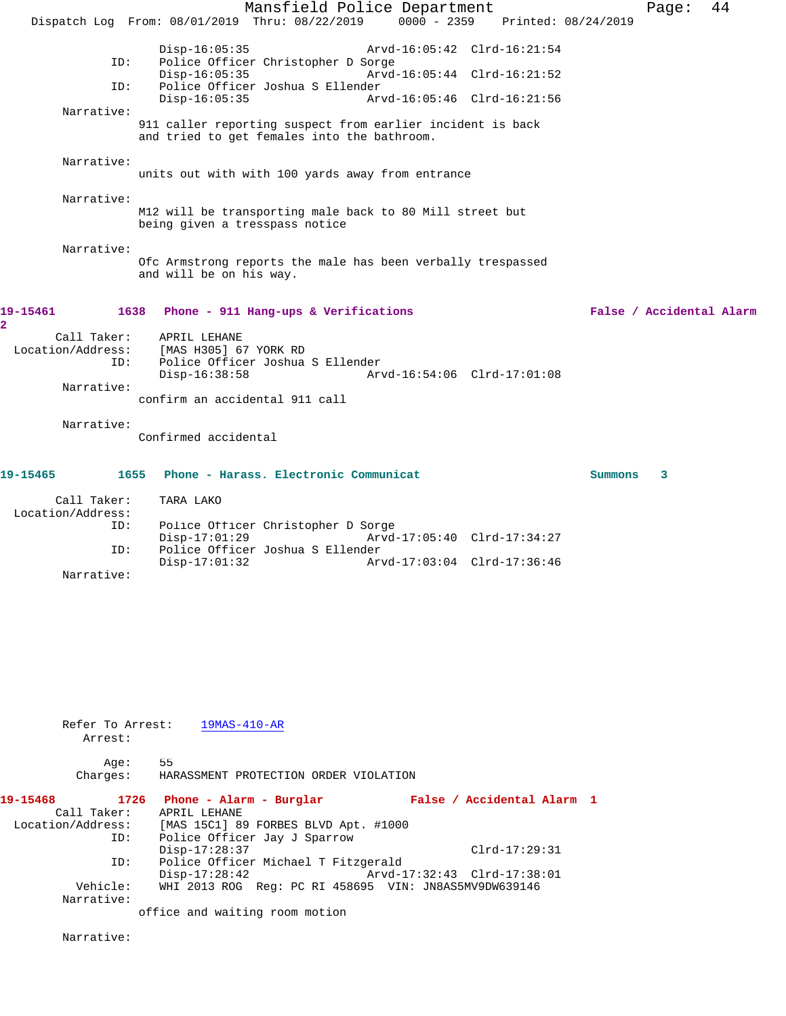|                                         | Mansfield Police Department                                                                                                                                                                                                  | 44<br>Page:              |
|-----------------------------------------|------------------------------------------------------------------------------------------------------------------------------------------------------------------------------------------------------------------------------|--------------------------|
|                                         | $0000 - 2359$<br>Dispatch Log From: 08/01/2019 Thru: 08/22/2019<br>Printed: 08/24/2019                                                                                                                                       |                          |
| ID:<br>ID:                              | $Disp-16:05:35$<br>Arvd-16:05:42 Clrd-16:21:54<br>Police Officer Christopher D Sorge<br>$Disp-16:05:35$<br>Arvd-16:05:44 Clrd-16:21:52<br>Police Officer Joshua S Ellender<br>Arvd-16:05:46 Clrd-16:21:56<br>$Disp-16:05:35$ |                          |
| Narrative:                              |                                                                                                                                                                                                                              |                          |
|                                         | 911 caller reporting suspect from earlier incident is back<br>and tried to get females into the bathroom.                                                                                                                    |                          |
| Narrative:                              | units out with with 100 yards away from entrance                                                                                                                                                                             |                          |
| Narrative:                              |                                                                                                                                                                                                                              |                          |
|                                         | M12 will be transporting male back to 80 Mill street but<br>being given a tresspass notice                                                                                                                                   |                          |
| Narrative:                              | Ofc Armstrong reports the male has been verbally trespassed<br>and will be on his way.                                                                                                                                       |                          |
| 19-15461<br>$\mathbf{2}$                | 1638<br>Phone - 911 Hang-ups & Verifications                                                                                                                                                                                 | False / Accidental Alarm |
| Call Taker:<br>Location/Address:<br>ID: | APRIL LEHANE<br>[MAS H305] 67 YORK RD<br>Police Officer Joshua S Ellender<br>$Disp-16:38:58$<br>Arvd-16:54:06 Clrd-17:01:08                                                                                                  |                          |
| Narrative:                              | confirm an accidental 911 call                                                                                                                                                                                               |                          |
| Narrative:                              | Confirmed accidental                                                                                                                                                                                                         |                          |
| 19-15465<br>1655                        | Phone - Harass. Electronic Communicat                                                                                                                                                                                        | Summons<br>3             |
| Call Taker:                             | TARA LAKO                                                                                                                                                                                                                    |                          |
| Location/Address:<br>ID:                | Police Officer Christopher D Sorge<br>$Disp-17:01:29$<br>Arvd-17:05:40 Clrd-17:34:27                                                                                                                                         |                          |
| ID:                                     | Police Officer Joshua S Ellender<br>$Disp-17:01:32$<br>Arvd-17:03:04 Clrd-17:36:46                                                                                                                                           |                          |
| Narrative:                              |                                                                                                                                                                                                                              |                          |
|                                         |                                                                                                                                                                                                                              |                          |
|                                         |                                                                                                                                                                                                                              |                          |
|                                         |                                                                                                                                                                                                                              |                          |
|                                         |                                                                                                                                                                                                                              |                          |

Refer To Arrest:  $\frac{19MAS-410-AR}{}$ Arrest:

Age: 55

Charges: HARASSMENT PROTECTION ORDER VIOLATION

| 19-15468          |     | 1726 Phone - Alarm - Burglar                          | False / Accidental Alarm 1  |  |
|-------------------|-----|-------------------------------------------------------|-----------------------------|--|
| Call Taker:       |     | APRIL LEHANE                                          |                             |  |
| Location/Address: |     | [MAS 15C1] 89 FORBES BLVD Apt. #1000                  |                             |  |
|                   | ID: | Police Officer Jay J Sparrow                          |                             |  |
|                   |     | $Disp-17:28:37$                                       | $Clrd-17:29:31$             |  |
|                   | ID: | Police Officer Michael T Fitzgerald                   |                             |  |
|                   |     | $Disp-17:28:42$                                       | Arvd-17:32:43 Clrd-17:38:01 |  |
| Vehicle:          |     | WHI 2013 ROG Reg: PC RI 458695 VIN: JN8AS5MV9DW639146 |                             |  |
| Narrative:        |     |                                                       |                             |  |
|                   |     | office and waiting room motion                        |                             |  |

Narrative: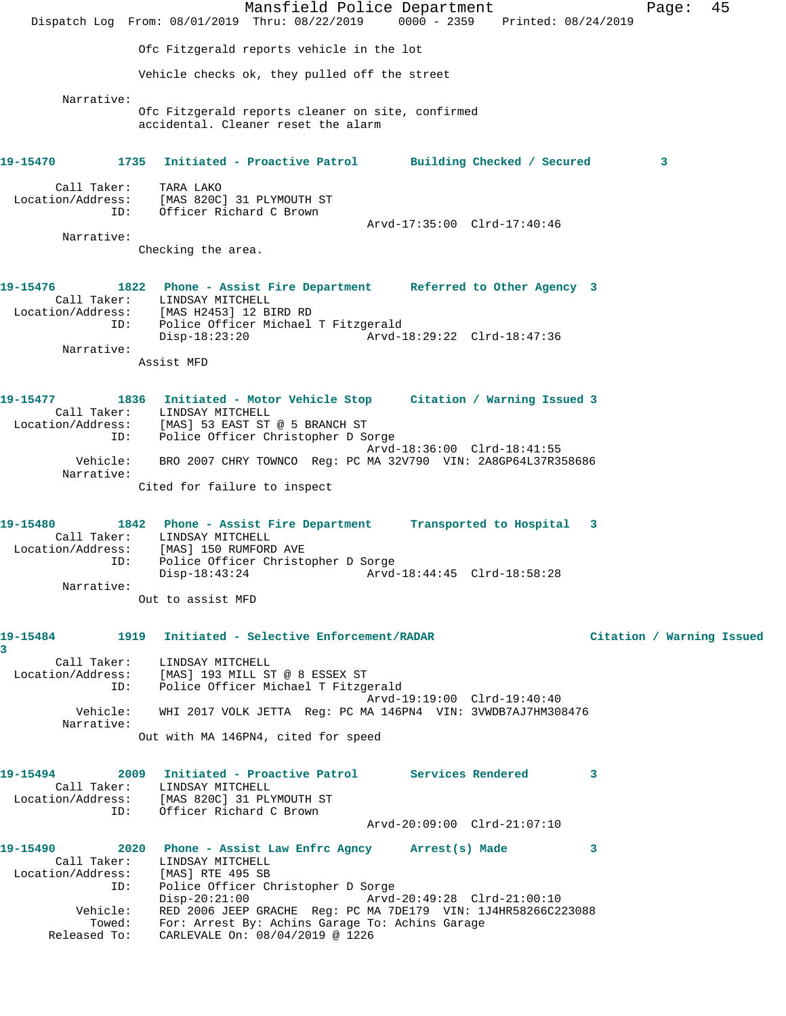Mansfield Police Department Fage: 45 Dispatch Log From: 08/01/2019 Thru: 08/22/2019 0000 - 2359 Printed: 08/24/2019 Ofc Fitzgerald reports vehicle in the lot Vehicle checks ok, they pulled off the street Narrative: Ofc Fitzgerald reports cleaner on site, confirmed accidental. Cleaner reset the alarm **19-15470 1735 Initiated - Proactive Patrol Building Checked / Secured 3** Call Taker: TARA LAKO Location/Address: [MAS 820C] 31 PLYMOUTH ST ID: Officer Richard C Brown Arvd-17:35:00 Clrd-17:40:46 Narrative: Checking the area. **19-15476 1822 Phone - Assist Fire Department Referred to Other Agency 3**  Call Taker: LINDSAY MITCHELL Location/Address: [MAS H2453] 12 BIRD RD ID: Police Officer Michael T Fitzgerald Disp-18:23:20 Arvd-18:29:22 Clrd-18:47:36 Narrative: Assist MFD **19-15477 1836 Initiated - Motor Vehicle Stop Citation / Warning Issued 3**  Call Taker: LINDSAY MITCHELL Location/Address: [MAS] 53 EAST ST @ 5 BRANCH ST ID: Police Officer Christopher D Sorge Arvd-18:36:00 Clrd-18:41:55 Vehicle: BRO 2007 CHRY TOWNCO Reg: PC MA 32V790 VIN: 2A8GP64L37R358686 Narrative: Cited for failure to inspect **19-15480 1842 Phone - Assist Fire Department Transported to Hospital 3**  Call Taker: LINDSAY MITCHELL Location/Address: [MAS] 150 RUMFORD AVE ID: Police Officer Christopher D Sorge Disp-18:43:24 Arvd-18:44:45 Clrd-18:58:28 Narrative: Out to assist MFD **19-15484 1919 Initiated - Selective Enforcement/RADAR Citation / Warning Issued 3**  Call Taker: LINDSAY MITCHELL Location/Address: [MAS] 193 MILL ST @ 8 ESSEX ST ID: Police Officer Michael T Fitzgerald Arvd-19:19:00 Clrd-19:40:40 Vehicle: WHI 2017 VOLK JETTA Reg: PC MA 146PN4 VIN: 3VWDB7AJ7HM308476 Narrative: Out with MA 146PN4, cited for speed **19-15494 2009 Initiated - Proactive Patrol Services Rendered 3**  Call Taker: LINDSAY MITCHELL Location/Address: [MAS 820C] 31 PLYMOUTH ST ID: Officer Richard C Brown Prima b2001 31 Fernoom 01<br>Officer Richard C Brown<br>Arvd-20:09:00 Clrd-21:07:10 **19-15490 2020 Phone - Assist Law Enfrc Agncy Arrest(s) Made 3**  Call Taker: LINDSAY MITCHELL Location/Address: [MAS] RTE 495 SB ID: Police Officer Christopher D Sorge Disp-20:21:00 Arvd-20:49:28 Clrd-21:00:10 Vehicle: RED 2006 JEEP GRACHE Reg: PC MA 7DE179 VIN: 1J4HR58266C223088 Towed: For: Arrest By: Achins Garage To: Achins Garage Released To: CARLEVALE On: 08/04/2019 @ 1226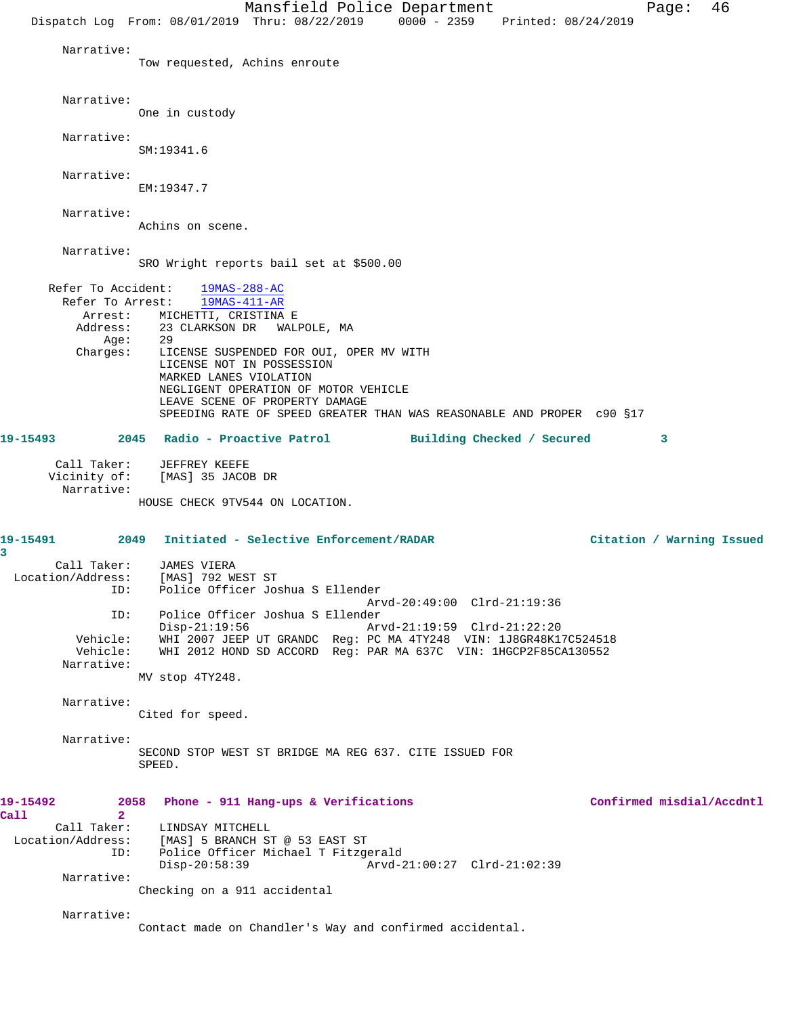Mansfield Police Department Fage: 46 Dispatch Log From: 08/01/2019 Thru: 08/22/2019 0000 - 2359 Printed: 08/24/2019 Narrative: Tow requested, Achins enroute Narrative: One in custody Narrative: SM:19341.6 Narrative: EM:19347.7 Narrative: Achins on scene. Narrative: SRO Wright reports bail set at \$500.00 Refer To Accident:  $\frac{19MAS-288-AC}{19MAS-411-AR}$ Refer To Arrest: Arrest: MICHETTI, CRISTINA E Address: 23 CLARKSON DR WALPOLE, MA Age: 29<br>Charges: LI LICENSE SUSPENDED FOR OUI, OPER MV WITH LICENSE NOT IN POSSESSION MARKED LANES VIOLATION NEGLIGENT OPERATION OF MOTOR VEHICLE LEAVE SCENE OF PROPERTY DAMAGE SPEEDING RATE OF SPEED GREATER THAN WAS REASONABLE AND PROPER c90 §17 **19-15493 2045 Radio - Proactive Patrol Building Checked / Secured 3** Call Taker: JEFFREY KEEFE Vicinity of: [MAS] 35 JACOB DR Narrative: HOUSE CHECK 9TV544 ON LOCATION. **19-15491 2049 Initiated - Selective Enforcement/RADAR Citation / Warning Issued 3**  Call Taker: JAMES VIERA Location/Address: [MAS] 792 WEST ST<br>ID: Police Officer Jos Police Officer Joshua S Ellender Arvd-20:49:00 Clrd-21:19:36 ID: Police Officer Joshua S Ellender Arvd-21:19:59 Clrd-21:22:20 Vehicle: WHI 2007 JEEP UT GRANDC Reg: PC MA 4TY248 VIN: 1J8GR48K17C524518 WHI 2012 HOND SD ACCORD Reg: PAR MA 637C VIN: 1HGCP2F85CA130552 Narrative: MV stop 4TY248. Narrative: Cited for speed. Narrative: SECOND STOP WEST ST BRIDGE MA REG 637. CITE ISSUED FOR SPEED. **19-15492 2058 Phone - 911 Hang-ups & Verifications Confirmed misdial/Accdntl Call 2**  Call Taker: LINDSAY MITCHELL Location/Address: [MAS] 5 BRANCH ST @ 53 EAST ST ID: Police Officer Michael T Fitzgerald Disp-20:58:39 Arvd-21:00:27 Clrd-21:02:39 Narrative: Checking on a 911 accidental Narrative: Contact made on Chandler's Way and confirmed accidental.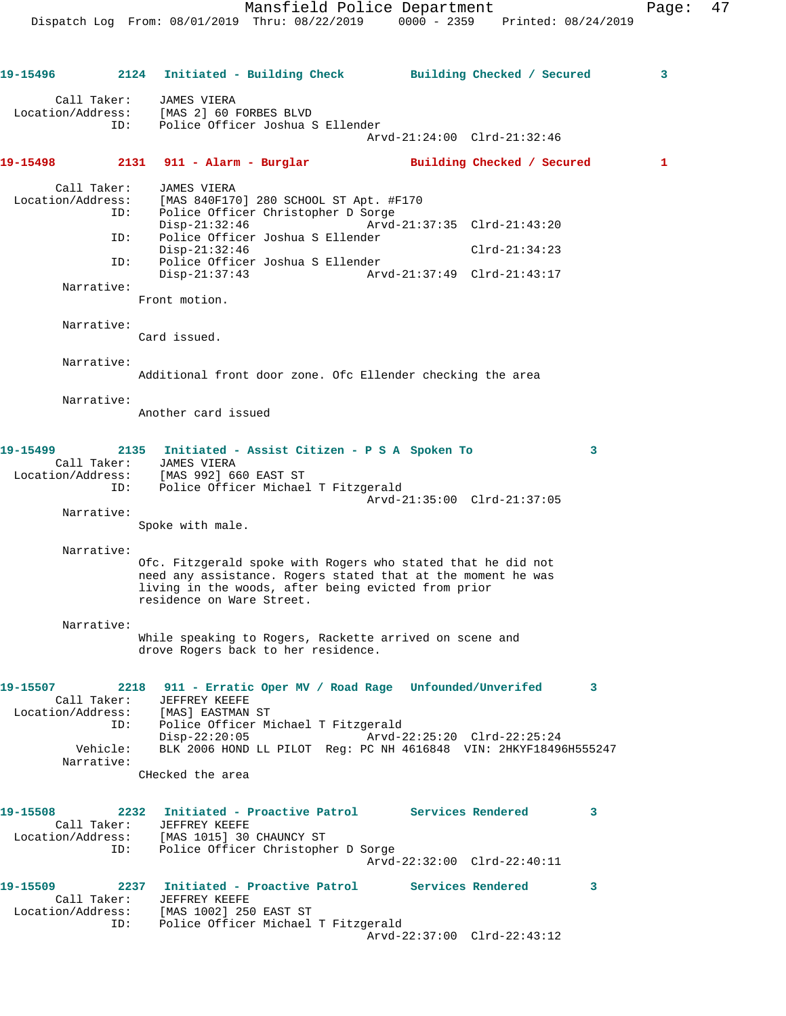**19-15496 2124 Initiated - Building Check Building Checked / Secured 3** Call Taker: JAMES VIERA Location/Address: [MAS 2] 60 FORBES BLVD ID: Police Officer Joshua S Ellender Arvd-21:24:00 Clrd-21:32:46 **19-15498 2131 911 - Alarm - Burglar Building Checked / Secured 1** Call Taker: JAMES VIERA Location/Address: [MAS 840F170] 280 SCHOOL ST Apt. #F170 ID: Police Officer Christopher D Sorge Disp-21:32:46 Arvd-21:37:35 Clrd-21:43:20 ID: Police Officer Joshua S Ellender Disp-21:32:46 Clrd-21:34:23 ID: Police Officer Joshua S Ellender Disp-21:37:43 Arvd-21:37:49 Clrd-21:43:17 Narrative: Front motion. Narrative: Card issued. Narrative: Additional front door zone. Ofc Ellender checking the area Narrative: Another card issued **19-15499 2135 Initiated - Assist Citizen - P S A Spoken To 3**  Call Taker: JAMES VIERA Location/Address: [MAS 992] 660 EAST ST ID: Police Officer Michael T Fitzgerald Arvd-21:35:00 Clrd-21:37:05 Narrative: Spoke with male. Narrative: Ofc. Fitzgerald spoke with Rogers who stated that he did not need any assistance. Rogers stated that at the moment he was living in the woods, after being evicted from prior residence on Ware Street. Narrative: While speaking to Rogers, Rackette arrived on scene and drove Rogers back to her residence. **19-15507 2218 911 - Erratic Oper MV / Road Rage Unfounded/Unverifed 3**  Call Taker: JEFFREY KEEFE Location/Address: [MAS] EASTMAN ST ID: Police Officer Michael T Fitzgerald Disp-22:20:05 Arvd-22:25:20 Clrd-22:25:24 Vehicle: BLK 2006 HOND LL PILOT Reg: PC NH 4616848 VIN: 2HKYF18496H555247 Narrative: CHecked the area **19-15508 2232 Initiated - Proactive Patrol Services Rendered 3**  Call Taker: JEFFREY KEEFE Location/Address: [MAS 1015] 30 CHAUNCY ST ID: Police Officer Christopher D Sorge Arvd-22:32:00 Clrd-22:40:11 **19-15509 2237 Initiated - Proactive Patrol Services Rendered 3**  Call Taker: JEFFREY KEEFE Location/Address: [MAS 1002] 250 EAST ST ID: Police Officer Michael T Fitzgerald Arvd-22:37:00 Clrd-22:43:12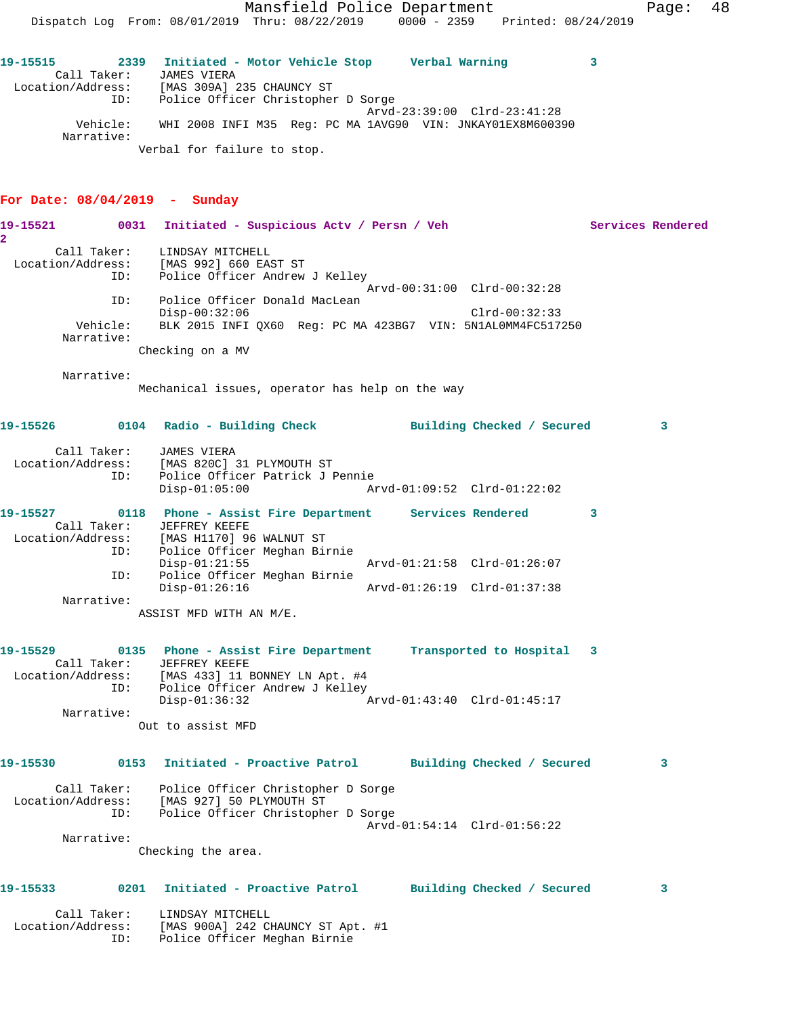**19-15515 2339 Initiated - Motor Vehicle Stop Verbal Warning 3**  Call Taker: JAMES VIERA Location/Address: [MAS 309A] 235 CHAUNCY ST ID: Police Officer Christopher D Sorge Arvd-23:39:00 Clrd-23:41:28 Vehicle: WHI 2008 INFI M35 Reg: PC MA 1AVG90 VIN: JNKAY01EX8M600390 Narrative: Verbal for failure to stop.

#### **For Date: 08/04/2019 - Sunday**

19-15521 0031 Initiated - Suspicious Actv / Persn / Veh Services Rendered **2**  Call Taker: LINDSAY MITCHELL Location/Address: [MAS 992] 660 EAST ST ID: Police Officer Andrew J Kelley Arvd-00:31:00 Clrd-00:32:28 ID: Police Officer Donald MacLean Disp-00:32:06 Clrd-00:32:33 Vehicle: BLK 2015 INFI QX60 Reg: PC MA 423BG7 VIN: 5N1AL0MM4FC517250 Narrative: Checking on a MV Narrative: Mechanical issues, operator has help on the way **19-15526 0104 Radio - Building Check Building Checked / Secured 3** Call Taker: JAMES VIERA Location/Address: [MAS 820C] 31 PLYMOUTH ST ID: Police Officer Patrick J Pennie Disp-01:05:00 Arvd-01:09:52 Clrd-01:22:02 **19-15527 0118 Phone - Assist Fire Department Services Rendered 3**  Call Taker: JEFFREY KEEFE Location/Address: [MAS H1170] 96 WALNUT ST ID: Police Officer Meghan Birnie Disp-01:21:55 Arvd-01:21:58 Clrd-01:26:07 ID: Police Officer Meghan Birnie Disp-01:26:16 Arvd-01:26:19 Clrd-01:37:38 Narrative: ASSIST MFD WITH AN M/E. **19-15529 0135 Phone - Assist Fire Department Transported to Hospital 3**  Call Taker: JEFFREY KEEFE Location/Address: [MAS 433] 11 BONNEY LN Apt. #4 ID: Police Officer Andrew J Kelley Disp-01:36:32 Arvd-01:43:40 Clrd-01:45:17 Narrative: Out to assist MFD **19-15530 0153 Initiated - Proactive Patrol Building Checked / Secured 3** Call Taker: Police Officer Christopher D Sorge Location/Address: [MAS 927] 50 PLYMOUTH ST ID: Police Officer Christopher D Sorge Arvd-01:54:14 Clrd-01:56:22 Narrative: Checking the area. **19-15533 0201 Initiated - Proactive Patrol Building Checked / Secured 3** Call Taker: LINDSAY MITCHELL Location/Address: [MAS 900A] 242 CHAUNCY ST Apt. #1 ID: Police Officer Meghan Birnie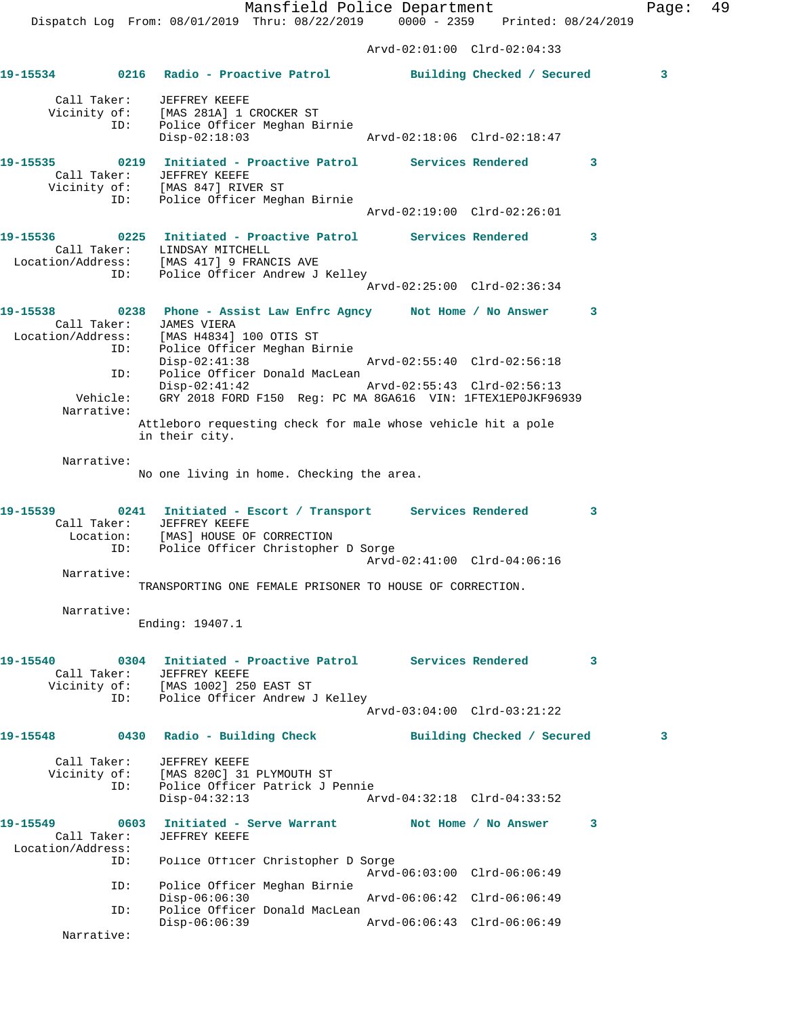Arvd-02:01:00 Clrd-02:04:33

|                                              |                    | 19-15534 0216 Radio - Proactive Patrol Building Checked / Secured                                                                                                                                                                                                                                                                                                                                                     |                                                            |                            | $\mathbf{3}$ |
|----------------------------------------------|--------------------|-----------------------------------------------------------------------------------------------------------------------------------------------------------------------------------------------------------------------------------------------------------------------------------------------------------------------------------------------------------------------------------------------------------------------|------------------------------------------------------------|----------------------------|--------------|
|                                              | ID:                | Call Taker: JEFFREY KEEFE<br>Vicinity of: [MAS 281A] 1 CROCKER ST<br>Police Officer Meghan Birnie<br>$Disp-02:18:03$                                                                                                                                                                                                                                                                                                  |                                                            |                            |              |
|                                              | ID:                | 19-15535 0219 Initiated - Proactive Patrol Services Rendered 3<br>Call Taker: JEFFREY KEEFE<br>Vicinity of: [MAS 847] RIVER ST<br>Police Officer Meghan Birnie                                                                                                                                                                                                                                                        | Arvd-02:19:00 Clrd-02:26:01                                |                            |              |
|                                              |                    | 19-15536 		 0225 Initiated - Proactive Patrol Services Rendered<br>Call Taker: LINDSAY MITCHELL<br>Location/Address: [MAS 417] 9 FRANCIS AVE<br>ID: Police Officer Andrew J Kelley                                                                                                                                                                                                                                    | Arvd-02:25:00 Clrd-02:36:34                                |                            | 3            |
|                                              | Narrative:         | 19-15538 		 0238 Phone - Assist Law Enfrc Agncy Mot Home / No Answer<br>Call Taker: JAMES VIERA<br>Location/Address: [MAS H4834] 100 OTIS ST<br>ID: Police Officer Meghan Birnie<br>$Disp-02:41:38$<br>ID: Police Officer Donald MacLean<br>$Disp-02:41:42$<br>Vehicle: GRY 2018 FORD F150 Reg: PC MA 8GA616 VIN: 1FTEX1EP0JKF96939<br>Attleboro requesting check for male whose vehicle hit a pole<br>in their city. | Arvd-02:55:40 Clrd-02:56:18<br>Arvd-02:55:43 Clrd-02:56:13 |                            | 3            |
| Narrative:                                   |                    | No one living in home. Checking the area.                                                                                                                                                                                                                                                                                                                                                                             |                                                            |                            |              |
| 19-15539                                     | ID:                | 0241 Initiated - Escort / Transport Services Rendered<br>Call Taker: JEFFREY KEEFE<br>Location: [MAS] HOUSE OF CORRECTION<br>Police Officer Christopher D Sorge                                                                                                                                                                                                                                                       | Arvd-02:41:00 Clrd-04:06:16                                |                            | 3            |
|                                              | Narrative:         | TRANSPORTING ONE FEMALE PRISONER TO HOUSE OF CORRECTION.                                                                                                                                                                                                                                                                                                                                                              |                                                            |                            |              |
| Narrative:                                   |                    | Ending: 19407.1                                                                                                                                                                                                                                                                                                                                                                                                       |                                                            |                            |              |
| 19-15540                                     |                    | Call Taker: JEFFREY KEEFE<br>Vicinity of: [MAS 1002] 250 EAST ST<br>ID: Police Officer Andrew J Kelley                                                                                                                                                                                                                                                                                                                | Arvd-03:04:00 Clrd-03:21:22                                |                            | 3            |
| 19-15548                                     |                    | 0430 Radio - Building Check                                                                                                                                                                                                                                                                                                                                                                                           |                                                            | Building Checked / Secured | $\mathbf{3}$ |
|                                              | Call Taker:<br>ID: | JEFFREY KEEFE<br>Vicinity of: [MAS 820C] 31 PLYMOUTH ST<br>Police Officer Patrick J Pennie<br>$Disp-04:32:13$                                                                                                                                                                                                                                                                                                         | Arvd-04:32:18 Clrd-04:33:52                                |                            |              |
| 19-15549<br>Call Taker:<br>Location/Address: | 0603               | Initiated - Serve Warrant             Not Home / No Answer<br>JEFFREY KEEFE                                                                                                                                                                                                                                                                                                                                           |                                                            |                            | 3            |
|                                              | ID:                | Police Officer Christopher D Sorge                                                                                                                                                                                                                                                                                                                                                                                    | Arvd-06:03:00 Clrd-06:06:49                                |                            |              |
|                                              | ID:<br>ID:         | Police Officer Meghan Birnie<br>$Disp-06:06:30$<br>Police Officer Donald MacLean                                                                                                                                                                                                                                                                                                                                      | Arvd-06:06:42 Clrd-06:06:49                                |                            |              |
|                                              | Narrative:         | $Disp-06:06:39$                                                                                                                                                                                                                                                                                                                                                                                                       | Arvd-06:06:43 Clrd-06:06:49                                |                            |              |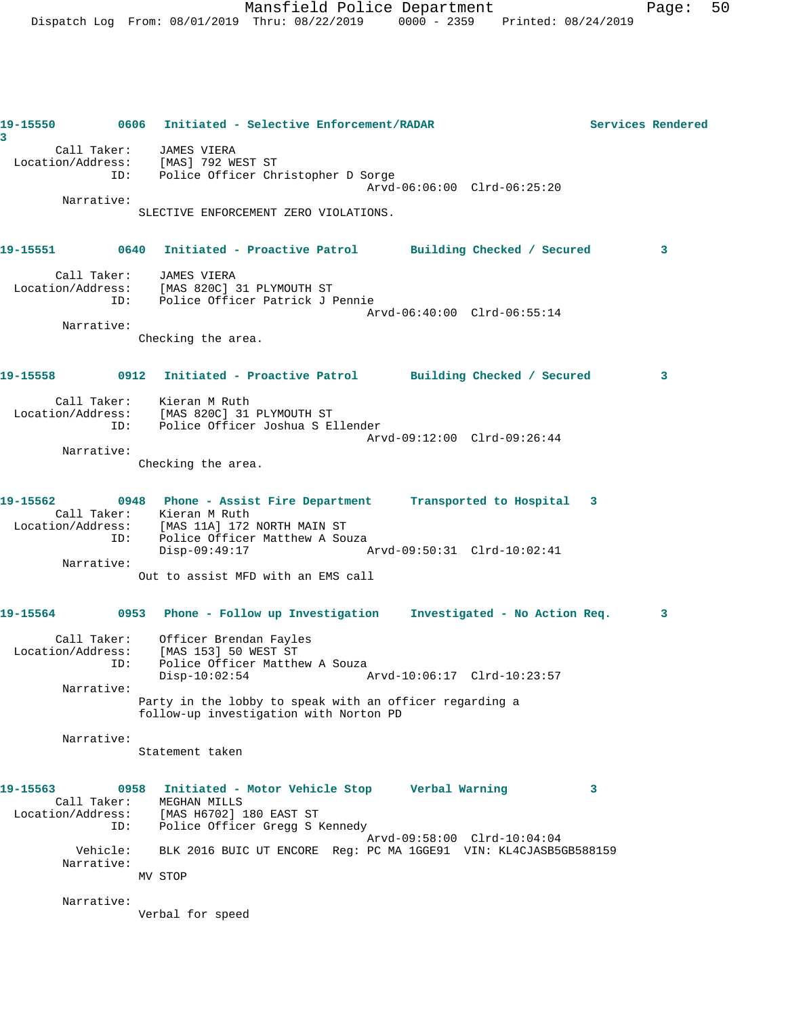**19-15550 0606 Initiated - Selective Enforcement/RADAR Services Rendered 3**  Call Taker: JAMES VIERA Location/Address: [MAS] 792 WEST ST ID: Police Officer Christopher D Sorge Arvd-06:06:00 Clrd-06:25:20 Narrative: SLECTIVE ENFORCEMENT ZERO VIOLATIONS. **19-15551 0640 Initiated - Proactive Patrol Building Checked / Secured 3** Call Taker: JAMES VIERA Location/Address: [MAS 820C] 31 PLYMOUTH ST ID: Police Officer Patrick J Pennie Arvd-06:40:00 Clrd-06:55:14 Narrative: Checking the area. **19-15558 0912 Initiated - Proactive Patrol Building Checked / Secured 3** Call Taker: Kieran M Ruth Location/Address: [MAS 820C] 31 PLYMOUTH ST ID: Police Officer Joshua S Ellender Arvd-09:12:00 Clrd-09:26:44 Narrative: Checking the area. **19-15562 0948 Phone - Assist Fire Department Transported to Hospital 3**  Call Taker: Kieran M Ruth Location/Address: [MAS 11A] 172 NORTH MAIN ST ID: Police Officer Matthew A Souza<br>Disp-09:49:17 Disp-09:49:17 Arvd-09:50:31 Clrd-10:02:41 Narrative: Out to assist MFD with an EMS call **19-15564 0953 Phone - Follow up Investigation Investigated - No Action Req. 3** Call Taker: Officer Brendan Fayles Location/Address: [MAS 153] 50 WEST ST ID: Police Officer Matthew A Souza Disp-10:02:54 Arvd-10:06:17 Clrd-10:23:57 Narrative: Party in the lobby to speak with an officer regarding a follow-up investigation with Norton PD Narrative: Statement taken **19-15563 0958 Initiated - Motor Vehicle Stop Verbal Warning 3**  Call Taker: MEGHAN MILLS Location/Address: [MAS H6702] 180 EAST ST ID: Police Officer Gregg S Kennedy Arvd-09:58:00 Clrd-10:04:04 Vehicle: BLK 2016 BUIC UT ENCORE Reg: PC MA 1GGE91 VIN: KL4CJASB5GB588159 Narrative: MV STOP Narrative: Verbal for speed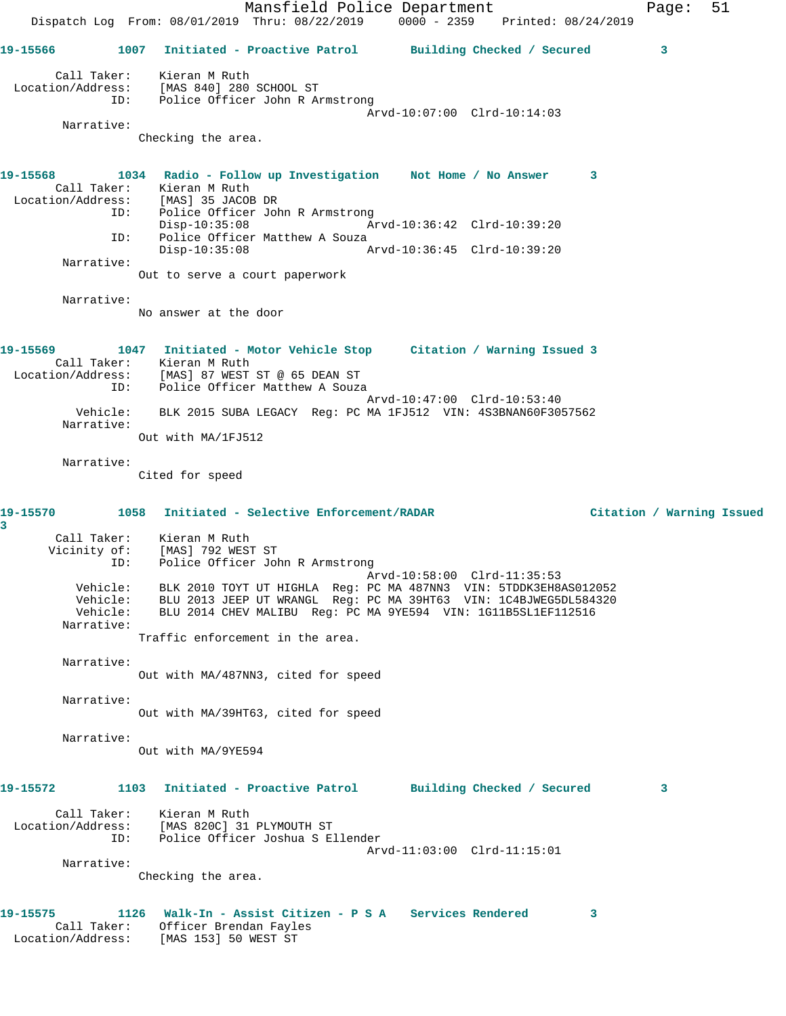Mansfield Police Department Form Page: 51 Dispatch Log From: 08/01/2019 Thru: 08/22/2019 0000 - 2359 Printed: 08/24/2019 **19-15566 1007 Initiated - Proactive Patrol Building Checked / Secured 3** Call Taker: Kieran M Ruth Location/Address: [MAS 840] 280 SCHOOL ST ID: Police Officer John R Armstrong Arvd-10:07:00 Clrd-10:14:03 Narrative: Checking the area. **19-15568 1034 Radio - Follow up Investigation Not Home / No Answer 3**  Call Taker: Kieran M Ruth Location/Address: [MAS] 35 JACOB DR ID: Police Officer John R Armstrong<br>Disp-10:35:08 Mrvd-10:36:42 Clrd-10:39:20  $Disp-10:35:08$  ID: Police Officer Matthew A Souza Disp-10:35:08 Arvd-10:36:45 Clrd-10:39:20 Narrative: Out to serve a court paperwork Narrative: No answer at the door **19-15569 1047 Initiated - Motor Vehicle Stop Citation / Warning Issued 3**  Call Taker: Kieran M Ruth Location/Address: [MAS] 87 WEST ST @ 65 DEAN ST ID: Police Officer Matthew A Souza Arvd-10:47:00 Clrd-10:53:40 Vehicle: BLK 2015 SUBA LEGACY Reg: PC MA 1FJ512 VIN: 4S3BNAN60F3057562 Narrative: Out with MA/1FJ512 Narrative: Cited for speed **19-15570 1058 Initiated - Selective Enforcement/RADAR Citation / Warning Issued 3**  Call Taker: Kieran M Ruth Vicinity of: [MAS] 792 WEST ST ID: Police Officer John R Armstrong Arvd-10:58:00 Clrd-11:35:53 Vehicle: BLK 2010 TOYT UT HIGHLA Reg: PC MA 487NN3 VIN: 5TDDK3EH8AS012052 Vehicle: BLU 2013 JEEP UT WRANGL Reg: PC MA 39HT63 VIN: 1C4BJWEG5DL584320 Vehicle: BLU 2014 CHEV MALIBU Reg: PC MA 9YE594 VIN: 1G11B5SL1EF112516 Narrative: Traffic enforcement in the area. Narrative: Out with MA/487NN3, cited for speed Narrative: Out with MA/39HT63, cited for speed Narrative: Out with MA/9YE594 **19-15572 1103 Initiated - Proactive Patrol Building Checked / Secured 3** Call Taker: Kieran M Ruth Location/Address: [MAS 820C] 31 PLYMOUTH ST ID: Police Officer Joshua S Ellender Arvd-11:03:00 Clrd-11:15:01 Narrative: Checking the area. **19-15575 1126 Walk-In - Assist Citizen - P S A Services Rendered 3**  Call Taker: Officer Brendan Fayles Location/Address: [MAS 153] 50 WEST ST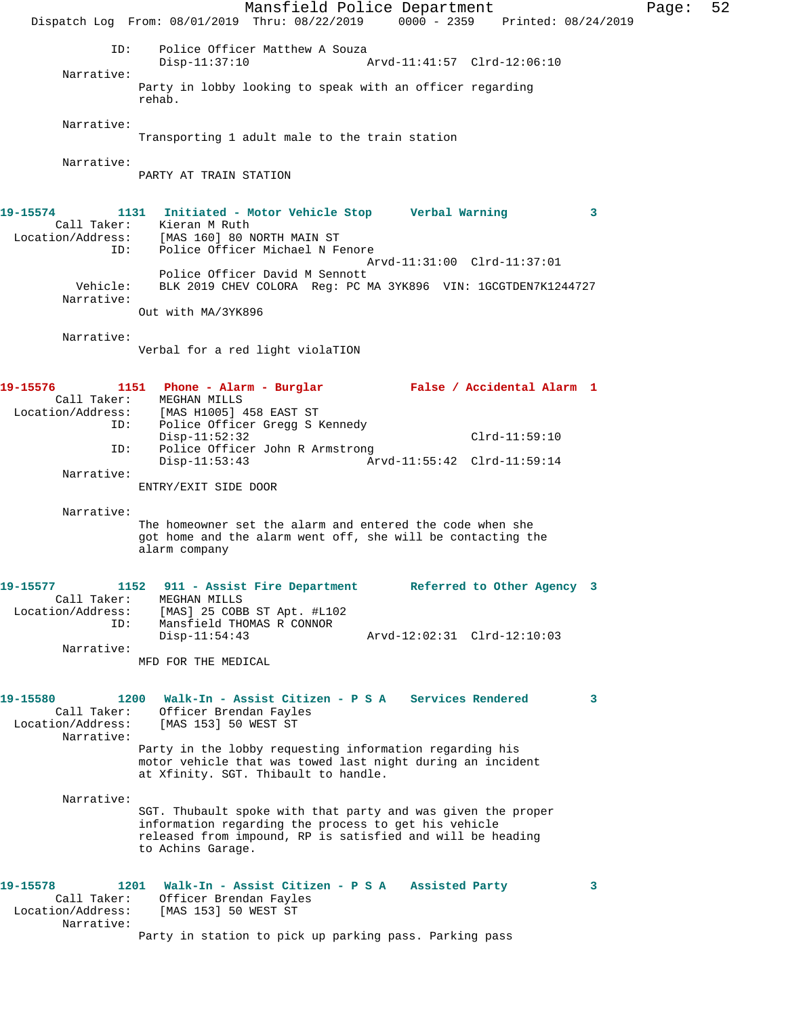Mansfield Police Department Page: 52 Dispatch Log From: 08/01/2019 Thru: 08/22/2019 0000 - 2359 Printed: 08/24/2019 ID: Police Officer Matthew A Souza<br>Disp-11:37:10 Disp-11:37:10 Arvd-11:41:57 Clrd-12:06:10 Narrative: Party in lobby looking to speak with an officer regarding rehab. Narrative: Transporting 1 adult male to the train station Narrative: PARTY AT TRAIN STATION **19-15574 1131 Initiated - Motor Vehicle Stop Verbal Warning 3**  Call Taker: Kieran M Ruth Location/Address: [MAS 160] 80 NORTH MAIN ST ID: Police Officer Michael N Fenore Arvd-11:31:00 Clrd-11:37:01 Police Officer David M Sennott Vehicle: BLK 2019 CHEV COLORA Reg: PC MA 3YK896 VIN: 1GCGTDEN7K1244727 Narrative: Out with MA/3YK896 Narrative: Verbal for a red light violaTION **19-15576 1151 Phone - Alarm - Burglar False / Accidental Alarm 1**  Call Taker: MEGHAN MILLS Location/Address: [MAS H1005] 458 EAST ST ID: Police Officer Gregg S Kennedy Disp-11:52:32 Clrd-11:59:10 ID: Police Officer John R Armstrong Disp-11:53:43 Arvd-11:55:42 Clrd-11:59:14 Narrative: ENTRY/EXIT SIDE DOOR Narrative: The homeowner set the alarm and entered the code when she got home and the alarm went off, she will be contacting the alarm company **19-15577 1152 911 - Assist Fire Department Referred to Other Agency 3**  Call Taker: MEGHAN MILLS Location/Address: [MAS] 25 COBB ST Apt. #L102 ID: Mansfield THOMAS R CONNOR Disp-11:54:43 Arvd-12:02:31 Clrd-12:10:03 Narrative: MFD FOR THE MEDICAL **19-15580 1200 Walk-In - Assist Citizen - P S A Services Rendered 3**  Call Taker: Officer Brendan Fayles Location/Address: [MAS 153] 50 WEST ST Narrative: Party in the lobby requesting information regarding his motor vehicle that was towed last night during an incident at Xfinity. SGT. Thibault to handle. Narrative: SGT. Thubault spoke with that party and was given the proper information regarding the process to get his vehicle released from impound, RP is satisfied and will be heading to Achins Garage. **19-15578 1201 Walk-In - Assist Citizen - P S A Assisted Party 3**  Call Taker: Officer Brendan Fayles Location/Address: [MAS 153] 50 WEST ST Narrative: Party in station to pick up parking pass. Parking pass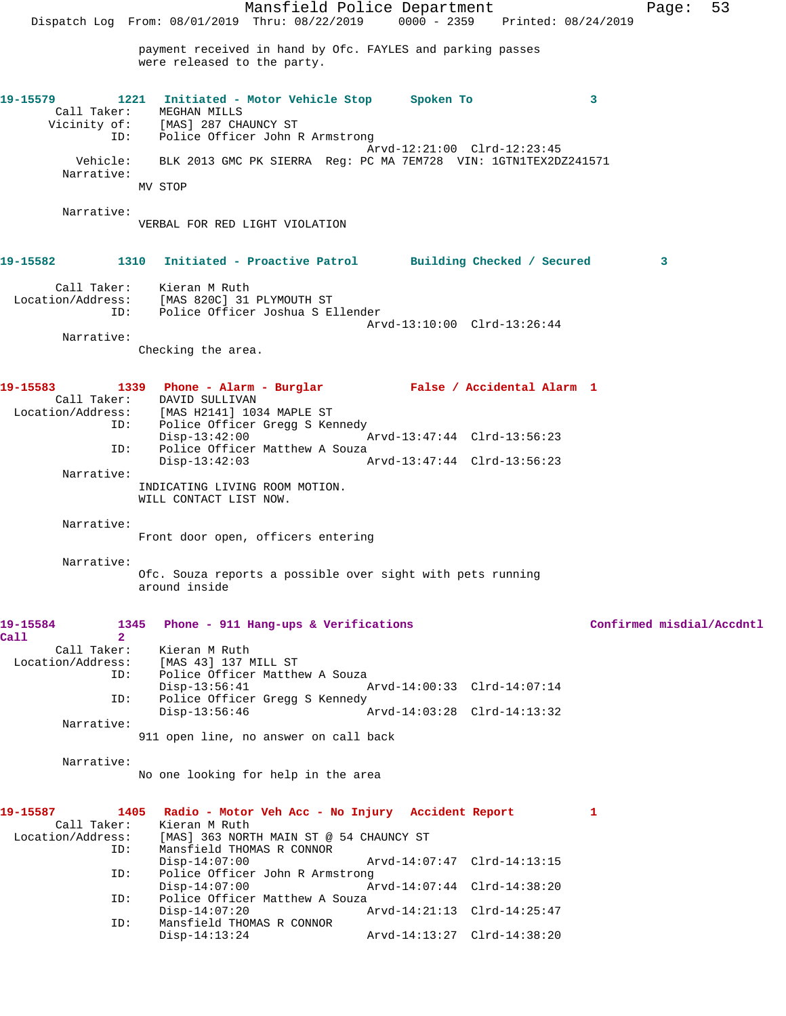Dispatch Log From: 08/01/2019 Thru: 08/22/2019 0000 - 2359 Printed: 08/24/2019 payment received in hand by Ofc. FAYLES and parking passes were released to the party. **19-15579 1221 Initiated - Motor Vehicle Stop Spoken To 3**  Call Taker: MEGHAN MILLS Vicinity of: [MAS] 287 CHAUNCY ST ID: Police Officer John R Armstrong Arvd-12:21:00 Clrd-12:23:45 Vehicle: BLK 2013 GMC PK SIERRA Reg: PC MA 7EM728 VIN: 1GTN1TEX2DZ241571 Narrative: MV STOP Narrative: VERBAL FOR RED LIGHT VIOLATION **19-15582 1310 Initiated - Proactive Patrol Building Checked / Secured 3** Call Taker: Kieran M Ruth Location/Address: [MAS 820C] 31 PLYMOUTH ST<br>ID: Police Officer Joshua S E Police Officer Joshua S Ellender Arvd-13:10:00 Clrd-13:26:44 Narrative: Checking the area. **19-15583 1339 Phone - Alarm - Burglar False / Accidental Alarm 1**  Call Taker: DAVID SULLIVAN Location/Address: [MAS H2141] 1034 MAPLE ST ID: Police Officer Gregg S Kennedy<br>Disp-13:42:00 Disp-13:42:00 Arvd-13:47:44 Clrd-13:56:23 ID: Police Officer Matthew A Souza Disp-13:42:03 Arvd-13:47:44 Clrd-13:56:23 Narrative: INDICATING LIVING ROOM MOTION. WILL CONTACT LIST NOW. Narrative: Front door open, officers entering Narrative: Ofc. Souza reports a possible over sight with pets running around inside **19-15584 1345 Phone - 911 Hang-ups & Verifications Confirmed misdial/Accdntl Call 2**  Call Taker: Kieran M Ruth Location/Address: [MAS 43] 137 MILL ST ID: Police Officer Matthew A Souza Disp-13:56:41 Arvd-14:00:33 Clrd-14:07:14 ID: Police Officer Gregg S Kennedy Disp-13:56:46 Arvd-14:03:28 Clrd-14:13:32 Narrative: 911 open line, no answer on call back Narrative: No one looking for help in the area **19-15587 1405 Radio - Motor Veh Acc - No Injury Accident Report 1**  Call Taker: Kieran M Ruth<br>Location/Address: [MAS] 363 NORT [MAS] 363 NORTH MAIN ST @ 54 CHAUNCY ST ID: Mansfield THOMAS R CONNOR Disp-14:07:00 Arvd-14:07:47 Clrd-14:13:15<br>TD: Police Officer John R Armstrong Police Officer John R Armstrong<br>Disp-14:07:00 Ar Disp-14:07:00 Arvd-14:07:44 Clrd-14:38:20

Disp-14:07:20 Arvd-14:21:13 Clrd-14:25:47

Disp-14:13:24 Arvd-14:13:27 Clrd-14:38:20

ID: Police Officer Matthew A Souza<br>Disp-14:07:20 A

ID: Mansfield THOMAS R CONNOR

Mansfield Police Department Page: 53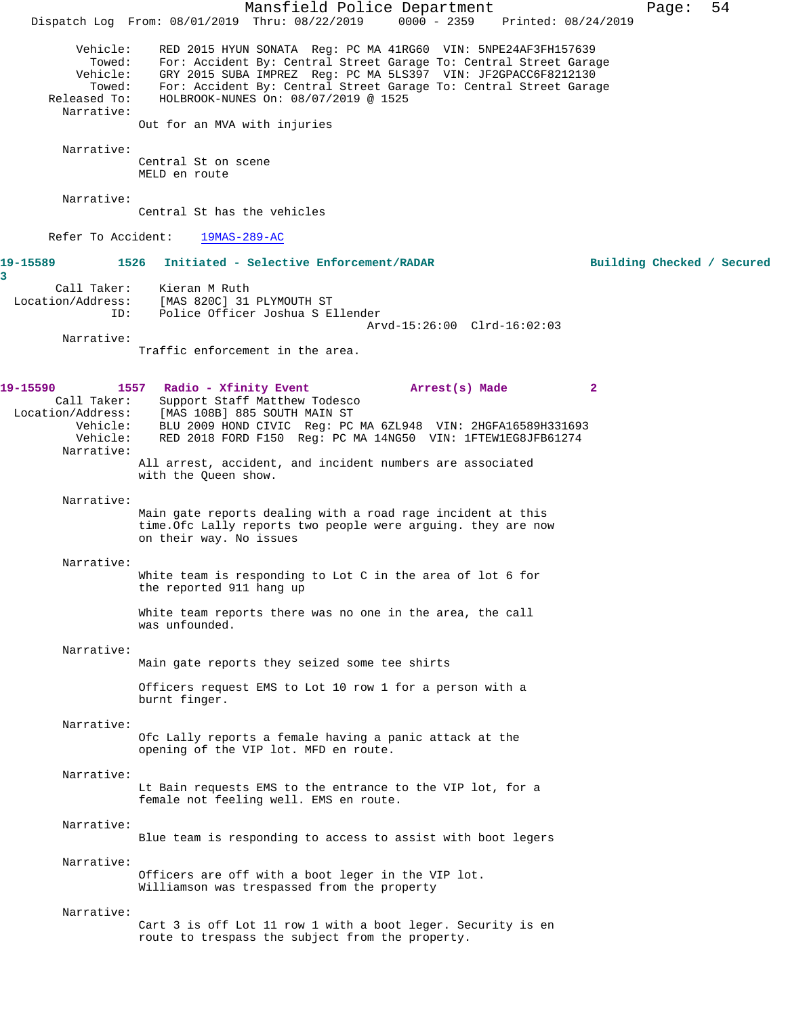Mansfield Police Department Fage: 54 Dispatch Log From: 08/01/2019 Thru: 08/22/2019 0000 - 2359 Printed: 08/24/2019 Vehicle: RED 2015 HYUN SONATA Reg: PC MA 41RG60 VIN: 5NPE24AF3FH157639 Towed: For: Accident By: Central Street Garage To: Central Street Garage Vehicle: GRY 2015 SUBA IMPREZ Reg: PC MA 5LS397 VIN: JF2GPACC6F8212130 Towed: For: Accident By: Central Street Garage To: Central Street Garage Released To: HOLBROOK-NUNES On: 08/07/2019 @ 1525 Narrative: Out for an MVA with injuries Narrative: Central St on scene MELD en route Narrative: Central St has the vehicles Refer To Accident: 19MAS-289-AC **19-15589 1526 Initiated - Selective Enforcement/RADAR Building Checked / Secured** Call Taker: Kieran M Ruth Location/Address: [MAS 820C] 31 PLYMOUTH ST ID: Police Officer Joshua S Ellender Arvd-15:26:00 Clrd-16:02:03 Narrative: Traffic enforcement in the area. **19-15590 1557 Radio - Xfinity Event Arrest(s) Made 2**  Call Taker: Support Staff Matthew Todesco Location/Address: [MAS 108B] 885 SOUTH MAIN ST Vehicle: BLU 2009 HOND CIVIC Reg: PC MA 6ZL948 VIN: 2HGFA16589H331693 Vehicle: RED 2018 FORD F150 Reg: PC MA 14NG50 VIN: 1FTEW1EG8JFB61274 Narrative: All arrest, accident, and incident numbers are associated with the Queen show. Narrative: Main gate reports dealing with a road rage incident at this time.Ofc Lally reports two people were arguing. they are now on their way. No issues Narrative: White team is responding to Lot C in the area of lot 6 for the reported 911 hang up White team reports there was no one in the area, the call was unfounded. Narrative: Main gate reports they seized some tee shirts Officers request EMS to Lot 10 row 1 for a person with a burnt finger. Narrative: Ofc Lally reports a female having a panic attack at the opening of the VIP lot. MFD en route. Narrative: Lt Bain requests EMS to the entrance to the VIP lot, for a female not feeling well. EMS en route. Narrative: Blue team is responding to access to assist with boot legers Narrative: Officers are off with a boot leger in the VIP lot. Williamson was trespassed from the property Narrative: Cart 3 is off Lot 11 row 1 with a boot leger. Security is en route to trespass the subject from the property.

**3**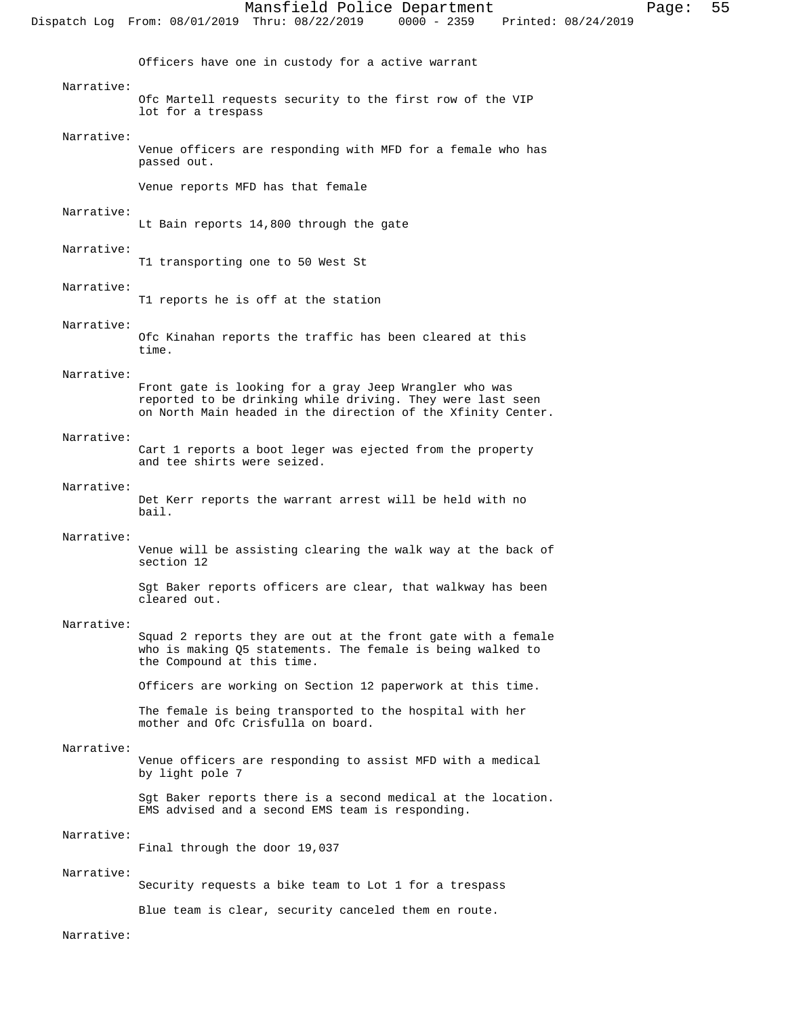Officers have one in custody for a active warrant

#### Narrative:

Ofc Martell requests security to the first row of the VIP lot for a trespass

#### Narrative:

Venue officers are responding with MFD for a female who has passed out.

Venue reports MFD has that female

#### Narrative:

Lt Bain reports 14,800 through the gate

# Narrative:

T1 transporting one to 50 West St

#### Narrative:

T1 reports he is off at the station

#### Narrative:

Ofc Kinahan reports the traffic has been cleared at this time.

#### Narrative:

Front gate is looking for a gray Jeep Wrangler who was reported to be drinking while driving. They were last seen on North Main headed in the direction of the Xfinity Center.

#### Narrative:

Cart 1 reports a boot leger was ejected from the property and tee shirts were seized.

#### Narrative:

Det Kerr reports the warrant arrest will be held with no bail.

#### Narrative:

Venue will be assisting clearing the walk way at the back of section 12

Sgt Baker reports officers are clear, that walkway has been cleared out.

#### Narrative:

Squad 2 reports they are out at the front gate with a female who is making Q5 statements. The female is being walked to the Compound at this time.

Officers are working on Section 12 paperwork at this time.

The female is being transported to the hospital with her mother and Ofc Crisfulla on board.

#### Narrative:

Venue officers are responding to assist MFD with a medical by light pole 7

Sgt Baker reports there is a second medical at the location. EMS advised and a second EMS team is responding.

#### Narrative:

Final through the door 19,037

#### Narrative:

Security requests a bike team to Lot 1 for a trespass

Blue team is clear, security canceled them en route.

# Narrative: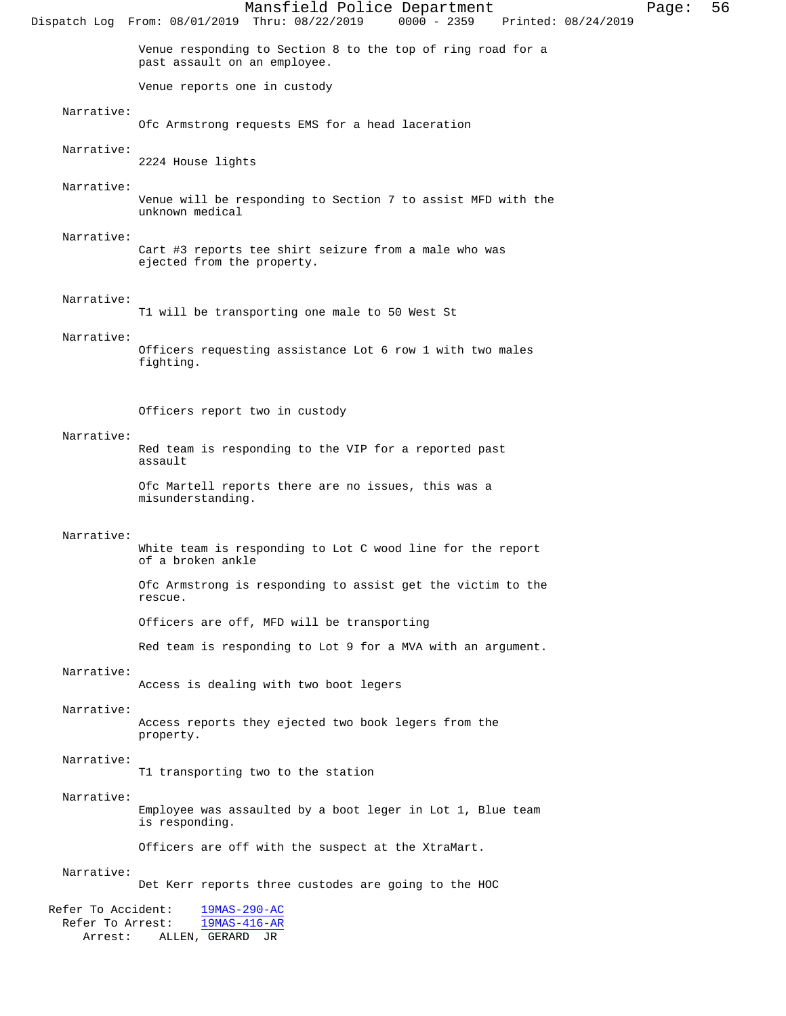Mansfield Police Department Page: 56 Dispatch Log From: 08/01/2019 Thru: 08/22/2019 Venue responding to Section 8 to the top of ring road for a past assault on an employee. Venue reports one in custody Narrative: Ofc Armstrong requests EMS for a head laceration Narrative: 2224 House lights Narrative: Venue will be responding to Section 7 to assist MFD with the unknown medical Narrative: Cart #3 reports tee shirt seizure from a male who was ejected from the property. Narrative: T1 will be transporting one male to 50 West St Narrative: Officers requesting assistance Lot 6 row 1 with two males fighting. Officers report two in custody Narrative: Red team is responding to the VIP for a reported past assault Ofc Martell reports there are no issues, this was a misunderstanding. Narrative: White team is responding to Lot C wood line for the report of a broken ankle Ofc Armstrong is responding to assist get the victim to the rescue. Officers are off, MFD will be transporting Red team is responding to Lot 9 for a MVA with an argument. Narrative: Access is dealing with two boot legers Narrative: Access reports they ejected two book legers from the property. Narrative: T1 transporting two to the station Narrative: Employee was assaulted by a boot leger in Lot 1, Blue team is responding. Officers are off with the suspect at the XtraMart. Narrative: Det Kerr reports three custodes are going to the HOC Refer To Accident:  $\frac{19MAS-290-AC}{19MAS-416-AR}$ Refer To Arrest: Arrest: ALLEN, GERARD JR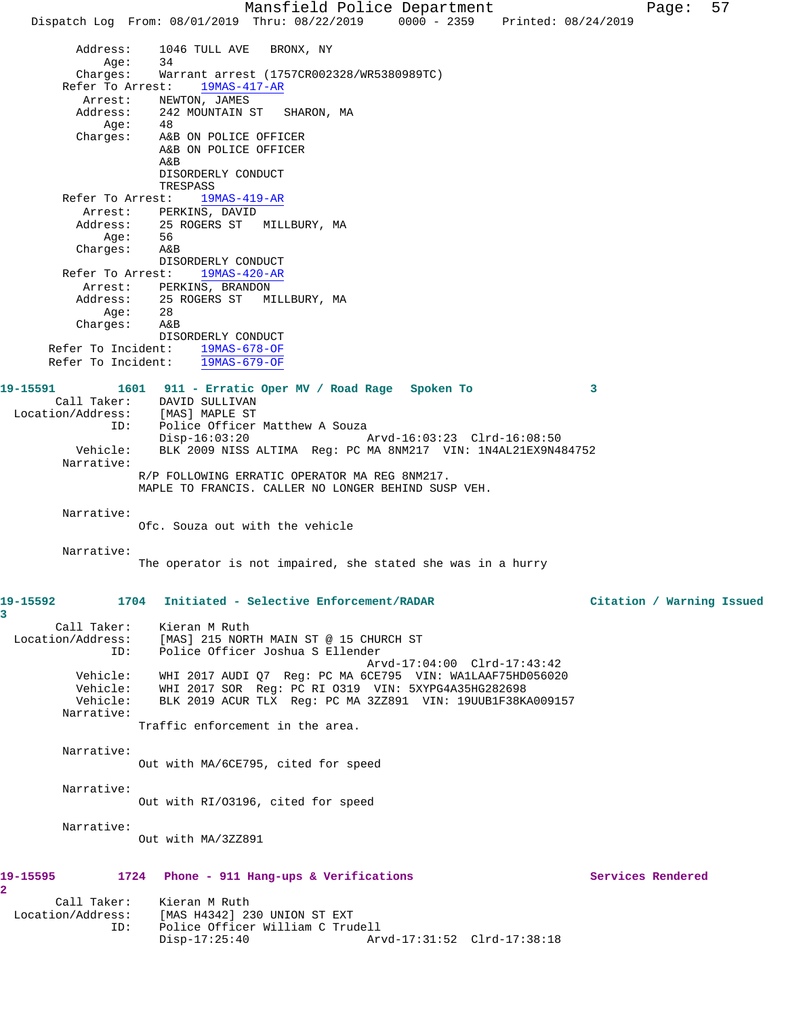Mansfield Police Department Page: 57 Dispatch Log From: 08/01/2019 Thru: 08/22/2019 0000 - 2359 Printed: 08/24/2019 Address: 1046 TULL AVE BRONX, NY Age: 34 Charges: Warrant arrest (1757CR002328/WR5380989TC) Refer To Arrest: 19MAS-417-AR Arrest: NEWTON, JAMES Address: 242 MOUNTAIN ST SHARON, MA Age: 48 Charges: A&B ON POLICE OFFICER A&B ON POLICE OFFICER A&B DISORDERLY CONDUCT TRESPASS Refer To Arrest: 19MAS-419-AR Arrest: PERKINS, DAVID Address: 25 ROGERS ST MILLBURY, MA Age: 56 Charges: A&B DISORDERLY CONDUCT Refer To Arrest: 19MAS-420-AR Arrest: PERKINS, BRANDON Address: 25 ROGERS ST MILLBURY, MA Age: 28 Charges: A&B DISORDERLY CONDUCT Refer To Incident: 19MAS-678-OF Refer To Incident: 19MAS-679-OF **19-15591 1601 911 - Erratic Oper MV / Road Rage Spoken To 3**  Call Taker: DAVID SULLIVAN Location/Address: [MAS] MAPLE ST ID: Police Officer Matthew A Souza Disp-16:03:20 Arvd-16:03:23 Clrd-16:08:50 Vehicle: BLK 2009 NISS ALTIMA Reg: PC MA 8NM217 VIN: 1N4AL21EX9N484752 Narrative: R/P FOLLOWING ERRATIC OPERATOR MA REG 8NM217. MAPLE TO FRANCIS. CALLER NO LONGER BEHIND SUSP VEH. Narrative: Ofc. Souza out with the vehicle Narrative: The operator is not impaired, she stated she was in a hurry **19-15592 1704 Initiated - Selective Enforcement/RADAR Citation / Warning Issued 3**  Call Taker: Kieran M Ruth Location/Address: [MAS] 215 NORTH MAIN ST @ 15 CHURCH ST ID: Police Officer Joshua S Ellender Arvd-17:04:00 Clrd-17:43:42 Vehicle: WHI 2017 AUDI Q7 Reg: PC MA 6CE795 VIN: WA1LAAF75HD056020 Vehicle: WHI 2017 SOR Reg: PC RI O319 VIN: 5XYPG4A35HG282698 Vehicle: BLK 2019 ACUR TLX Reg: PC MA 3ZZ891 VIN: 19UUB1F38KA009157 Narrative: Traffic enforcement in the area. Narrative: Out with MA/6CE795, cited for speed Narrative: Out with RI/O3196, cited for speed Narrative: Out with MA/3ZZ891 **19-15595 1724 Phone - 911 Hang-ups & Verifications Services Rendered 2**  Call Taker: Kieran M Ruth Location/Address: [MAS H4342] 230 UNION ST EXT ID: Police Officer William C Trudell

Disp-17:25:40 Arvd-17:31:52 Clrd-17:38:18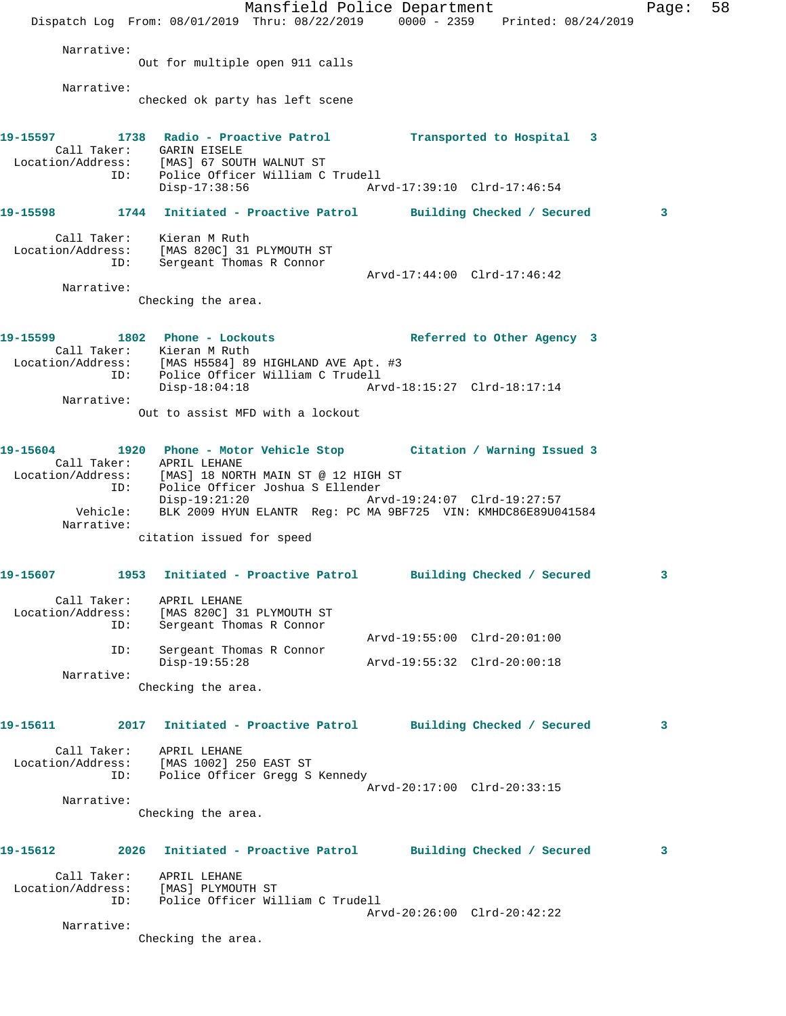Mansfield Police Department Fage: 58 Dispatch Log From: 08/01/2019 Thru: 08/22/2019 0000 - 2359 Printed: 08/24/2019 Narrative: Out for multiple open 911 calls Narrative: checked ok party has left scene **19-15597 1738 Radio - Proactive Patrol Transported to Hospital 3**  Call Taker: GARIN EISELE Location/Address: [MAS] 67 SOUTH WALNUT ST ID: Police Officer William C Trudell Disp-17:38:56 Arvd-17:39:10 Clrd-17:46:54 **19-15598 1744 Initiated - Proactive Patrol Building Checked / Secured 3** Call Taker: Kieran M Ruth Location/Address: [MAS 820C] 31 PLYMOUTH ST ID: Sergeant Thomas R Connor Arvd-17:44:00 Clrd-17:46:42 Narrative: Checking the area. **19-15599 1802 Phone - Lockouts Referred to Other Agency 3**  Call Taker: Kieran M Ruth Location/Address: [MAS H5584] 89 HIGHLAND AVE Apt. #3 ID: Police Officer William C Trudell Disp-18:04:18 Arvd-18:15:27 Clrd-18:17:14 Narrative: Out to assist MFD with a lockout **19-15604 1920 Phone - Motor Vehicle Stop Citation / Warning Issued 3**  Call Taker: APRIL LEHANE Location/Address: [MAS] 18 NORTH MAIN ST @ 12 HIGH ST ID: Police Officer Joshua S Ellender Disp-19:21:20 Arvd-19:24:07 Clrd-19:27:57 Vehicle: BLK 2009 HYUN ELANTR Reg: PC MA 9BF725 VIN: KMHDC86E89U041584 Narrative: citation issued for speed **19-15607 1953 Initiated - Proactive Patrol Building Checked / Secured 3** Call Taker: APRIL LEHANE Location/Address: [MAS 820C] 31 PLYMOUTH ST ID: Sergeant Thomas R Connor Arvd-19:55:00 Clrd-20:01:00<br>
Disn-19:55:28<br>
Disn-19:55:28<br>
Arvd-19:55:32 Clrd-20:00:18 Sergeant Thomas R Connor Disp-19:55:28 Arvd-19:55:32 Clrd-20:00:18 Narrative: Checking the area. **19-15611 2017 Initiated - Proactive Patrol Building Checked / Secured 3** Call Taker: APRIL LEHANE Location/Address: [MAS 1002] 250 EAST ST ID: Police Officer Gregg S Kennedy Arvd-20:17:00 Clrd-20:33:15 Narrative: Checking the area. **19-15612 2026 Initiated - Proactive Patrol Building Checked / Secured 3** Call Taker: APRIL LEHANE Location/Address: [MAS] PLYMOUTH ST ID: Police Officer William C Trudell Arvd-20:26:00 Clrd-20:42:22 Narrative: Checking the area.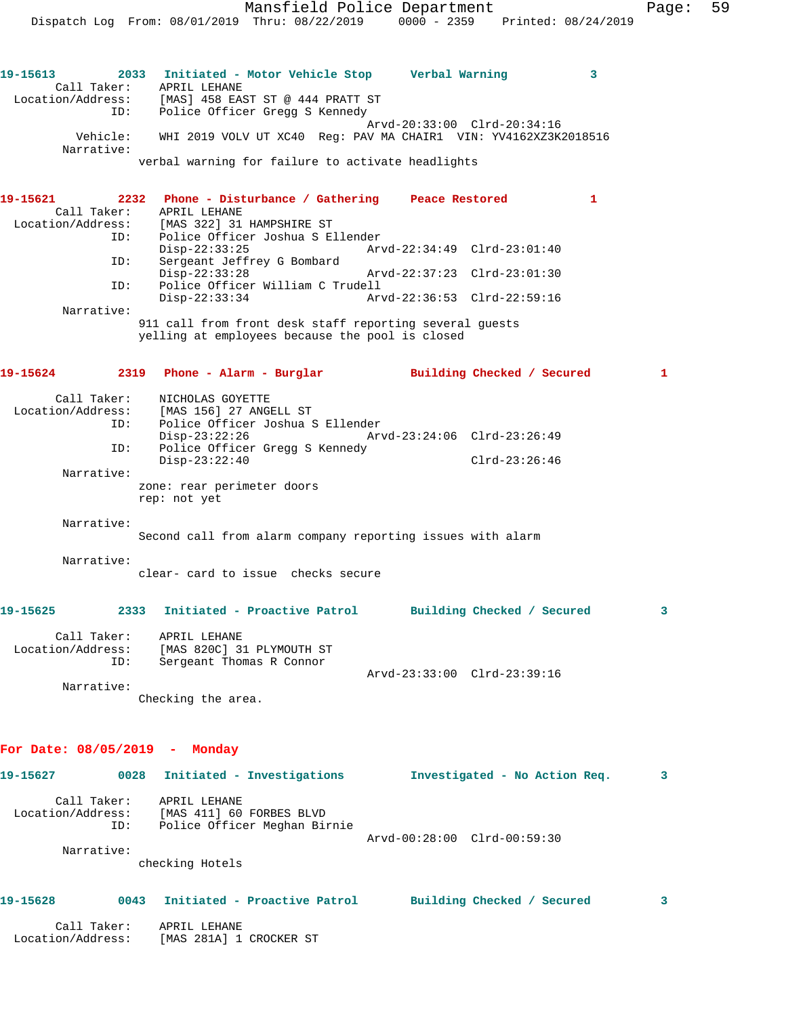Arvd-20:33:00 Clrd-20:34:16<br>Vehicle: WHI 2019 VOLV UT XC40 Req: PAV MA CHAIR1 VIN: YV4162XZ3K. Vehicle: WHI 2019 VOLV UT XC40 Reg: PAV MA CHAIR1 VIN: YV4162XZ3K2018516 Narrative: verbal warning for failure to activate headlights

| 19-15621          |            | 2232 Phone - Disturbance / Gathering                    | Peace Restored |                             |  |
|-------------------|------------|---------------------------------------------------------|----------------|-----------------------------|--|
| Call Taker:       |            | APRIL LEHANE                                            |                |                             |  |
| Location/Address: |            | [MAS 322] 31 HAMPSHIRE ST                               |                |                             |  |
|                   | ID:        | Police Officer Joshua S Ellender                        |                |                             |  |
|                   |            | $Disp-22:33:25$                                         |                | Arvd-22:34:49 Clrd-23:01:40 |  |
| ID:               |            | Sergeant Jeffrey G Bombard                              |                |                             |  |
|                   |            | $Disp-22:33:28$                                         |                | Arvd-22:37:23 Clrd-23:01:30 |  |
|                   | ID:        | Police Officer William C Trudell                        |                |                             |  |
|                   |            | $Disp-22:33:34$                                         |                | Arvd-22:36:53 Clrd-22:59:16 |  |
|                   | Narrative: |                                                         |                |                             |  |
|                   |            | 011 STI CORRECTED INTO SERCH CONTRIGENT SERVICE SOCIETY |                |                             |  |

911 call from front desk staff reporting several guests yelling at employees because the pool is closed

| 19-15624          |     | 2319 Phone - Alarm - Burglar     |                             | Building Checked / Secured |  |
|-------------------|-----|----------------------------------|-----------------------------|----------------------------|--|
| Call Taker:       |     | NICHOLAS GOYETTE                 |                             |                            |  |
| Location/Address: |     | [MAS 156] 27 ANGELL ST           |                             |                            |  |
|                   | ID: | Police Officer Joshua S Ellender |                             |                            |  |
|                   |     | $Disp-23:22:26$                  | Arvd-23:24:06 Clrd-23:26:49 |                            |  |
|                   | ID: | Police Officer Gregg S Kennedy   |                             |                            |  |
|                   |     | $Disp-23:22:40$                  |                             | $Clrd-23:26:46$            |  |
| Narrative:        |     |                                  |                             |                            |  |
|                   |     | zone: rear perimeter doors       |                             |                            |  |
|                   |     | rep: not yet                     |                             |                            |  |

Narrative:

Second call from alarm company reporting issues with alarm

Narrative:

clear- card to issue checks secure

| 19-15625                         | 2333 | Initiated - Proactive Patrol                                          |                             | Building Checked / Secured |  |
|----------------------------------|------|-----------------------------------------------------------------------|-----------------------------|----------------------------|--|
| Call Taker:<br>Location/Address: | ID:  | APRIL LEHANE<br>[MAS 820C] 31 PLYMOUTH ST<br>Sergeant Thomas R Connor |                             |                            |  |
|                                  |      |                                                                       | Arvd-23:33:00 Clrd-23:39:16 |                            |  |

 Narrative: Checking the area.

# **For Date: 08/05/2019 - Monday**

| 19-15627                                              | 0028 | Initiated - Investigations                                                                  | Investigated - No Action Req. | 3  |
|-------------------------------------------------------|------|---------------------------------------------------------------------------------------------|-------------------------------|----|
| Call Taker:<br>Location/Address:<br>ID:<br>Narrative: |      | APRIL LEHANE<br>[MAS 411] 60 FORBES BLVD<br>Police Officer Meghan Birnie<br>checking Hotels | Arvd-00:28:00 Clrd-00:59:30   |    |
| 19-15628                                              | 0043 | Initiated - Proactive Patrol                                                                | Building Checked /<br>Secured | 3. |

 Call Taker: APRIL LEHANE Location/Address: [MAS 281A] 1 CROCKER ST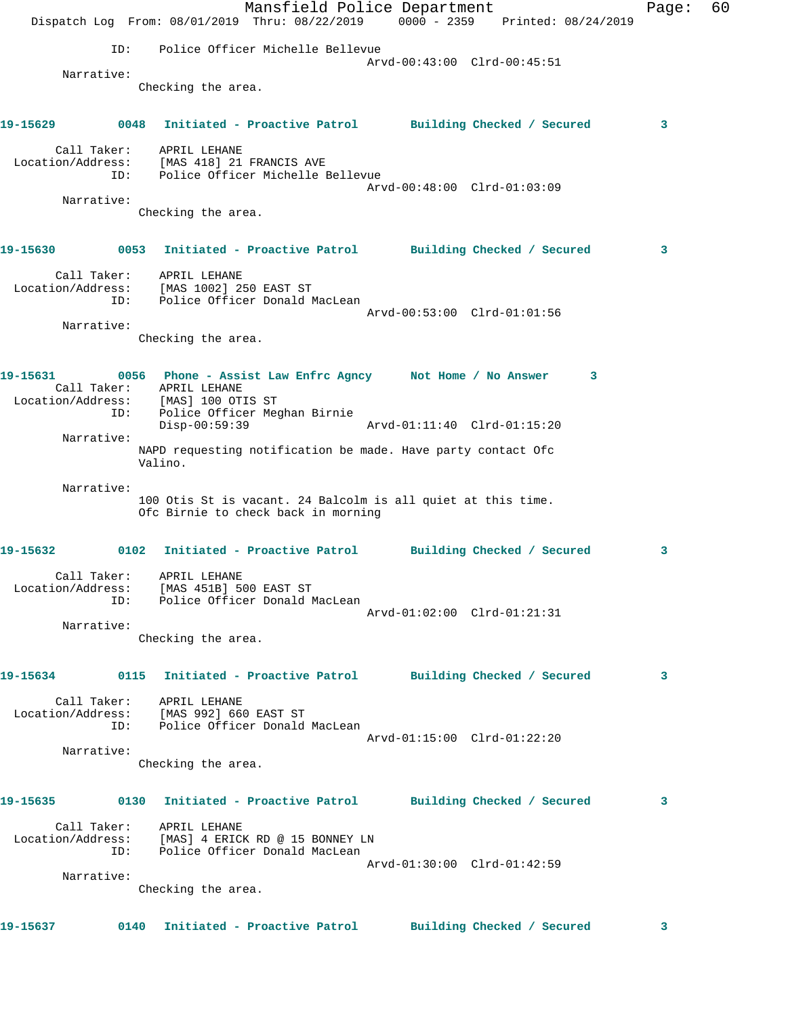Mansfield Police Department Fage: 60 Dispatch Log From: 08/01/2019 Thru: 08/22/2019 0000 - 2359 Printed: 08/24/2019 ID: Police Officer Michelle Bellevue Arvd-00:43:00 Clrd-00:45:51 Narrative: Checking the area. **19-15629 0048 Initiated - Proactive Patrol Building Checked / Secured 3** Call Taker: APRIL LEHANE Location/Address: [MAS 418] 21 FRANCIS AVE ID: Police Officer Michelle Bellevue Arvd-00:48:00 Clrd-01:03:09 Narrative: Checking the area. **19-15630 0053 Initiated - Proactive Patrol Building Checked / Secured 3** Call Taker: APRIL LEHANE Location/Address: [MAS 1002] 250 EAST ST ID: Police Officer Donald MacLean Arvd-00:53:00 Clrd-01:01:56 Narrative: Checking the area. **19-15631 0056 Phone - Assist Law Enfrc Agncy Not Home / No Answer 3**  Call Taker: APRIL LEHANE Location/Address: [MAS] 100 OTIS ST ID: Police Officer Meghan Birnie Disp-00:59:39 Arvd-01:11:40 Clrd-01:15:20 Narrative: NAPD requesting notification be made. Have party contact Ofc Valino. Narrative: 100 Otis St is vacant. 24 Balcolm is all quiet at this time. Ofc Birnie to check back in morning **19-15632 0102 Initiated - Proactive Patrol Building Checked / Secured 3** Call Taker: APRIL LEHANE Location/Address: [MAS 451B] 500 EAST ST ID: Police Officer Donald MacLean Arvd-01:02:00 Clrd-01:21:31 Narrative: Checking the area. **19-15634 0115 Initiated - Proactive Patrol Building Checked / Secured 3** Call Taker: APRIL LEHANE Location/Address: [MAS 992] 660 EAST ST ID: Police Officer Donald MacLean Arvd-01:15:00 Clrd-01:22:20 Narrative: Checking the area. **19-15635 0130 Initiated - Proactive Patrol Building Checked / Secured 3** Call Taker: APRIL LEHANE Location/Address: [MAS] 4 ERICK RD @ 15 BONNEY LN ID: Police Officer Donald MacLean Arvd-01:30:00 Clrd-01:42:59 Narrative: Checking the area. **19-15637 0140 Initiated - Proactive Patrol Building Checked / Secured 3**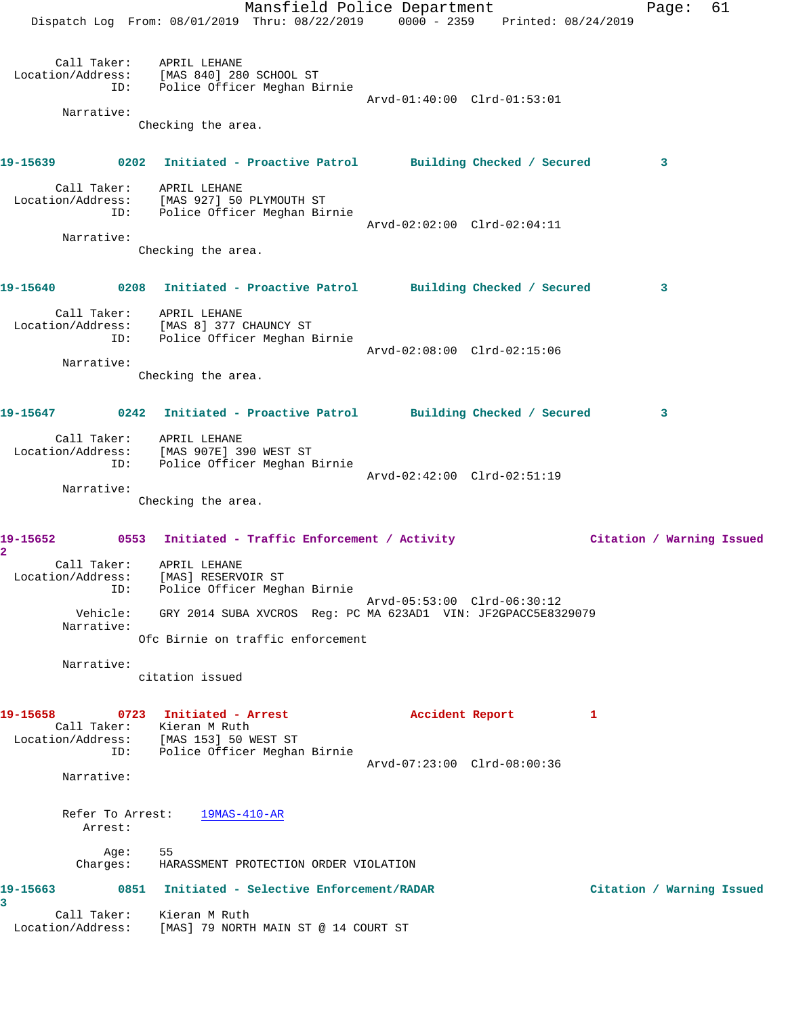|                                               | Mansfield Police Department<br>Dispatch Log From: 08/01/2019 Thru: 08/22/2019 0000 - 2359 Printed: 08/24/2019                      |                             | Page:                     | 61 |
|-----------------------------------------------|------------------------------------------------------------------------------------------------------------------------------------|-----------------------------|---------------------------|----|
| ID:<br>Narrative:                             | Call Taker: APRIL LEHANE<br>Location/Address: [MAS 840] 280 SCHOOL ST<br>Police Officer Meghan Birnie<br>Checking the area.        | Arvd-01:40:00 Clrd-01:53:01 |                           |    |
|                                               |                                                                                                                                    |                             |                           |    |
|                                               | 19-15639 0202 Initiated - Proactive Patrol Building Checked / Secured 3                                                            |                             |                           |    |
|                                               | Call Taker: APRIL LEHANE<br>Location/Address: [MAS 927] 50 PLYMOUTH ST<br>ID: Police Officer Meghan Birnie                         | Arvd-02:02:00 Clrd-02:04:11 |                           |    |
| Narrative:                                    |                                                                                                                                    |                             |                           |    |
|                                               | Checking the area.                                                                                                                 |                             |                           |    |
|                                               | 19-15640 0208 Initiated - Proactive Patrol Building Checked / Secured                                                              |                             | $\overline{\mathbf{3}}$   |    |
|                                               | Call Taker: APRIL LEHANE<br>Location/Address: [MAS 8] 377 CHAUNCY ST<br>ID: Police Officer Meghan Birnie                           |                             |                           |    |
| Narrative:                                    | Checking the area.                                                                                                                 | Arvd-02:08:00 Clrd-02:15:06 |                           |    |
|                                               | 19-15647 0242 Initiated - Proactive Patrol Building Checked / Secured                                                              |                             | $\mathbf{3}$              |    |
|                                               | Call Taker: APRIL LEHANE<br>Location/Address: [MAS 907E] 390 WEST ST<br>ID: Police Officer Meghan Birnie                           | Arvd-02:42:00 Clrd-02:51:19 |                           |    |
| Narrative:                                    | Checking the area.                                                                                                                 |                             |                           |    |
|                                               | 19-15652 0553 Initiated - Traffic Enforcement / Activity Citation / Warning Issued                                                 |                             |                           |    |
| $\overline{\mathbf{2}}$<br>Call Taker:<br>ID: | APRIL LEHANE<br>Location/Address: [MAS] RESERVOIR ST<br>Police Officer Meghan Birnie                                               |                             |                           |    |
| Narrative:                                    | Vehicle: GRY 2014 SUBA XVCROS Req: PC MA 623AD1 VIN: JF2GPACC5E8329079                                                             | Arvd-05:53:00 Clrd-06:30:12 |                           |    |
|                                               | Ofc Birnie on traffic enforcement                                                                                                  |                             |                           |    |
| Narrative:                                    | citation issued                                                                                                                    |                             |                           |    |
| 19-15658                                      | 0723 Initiated - Arrest<br>Call Taker: Kieran M Ruth<br>Location/Address: [MAS 153] 50 WEST ST<br>ID: Police Officer Meghan Birnie | Accident Report             | 1                         |    |
| Narrative:                                    |                                                                                                                                    | Arvd-07:23:00 Clrd-08:00:36 |                           |    |
| Arrest:                                       | Refer To Arrest: 19MAS-410-AR                                                                                                      |                             |                           |    |
| Age:<br>Charges:                              | 55<br>HARASSMENT PROTECTION ORDER VIOLATION                                                                                        |                             |                           |    |
| 19-15663<br>3                                 | 0851 Initiated - Selective Enforcement/RADAR                                                                                       |                             | Citation / Warning Issued |    |
| Location/Address:                             | Call Taker: Kieran M Ruth<br>[MAS] 79 NORTH MAIN ST @ 14 COURT ST                                                                  |                             |                           |    |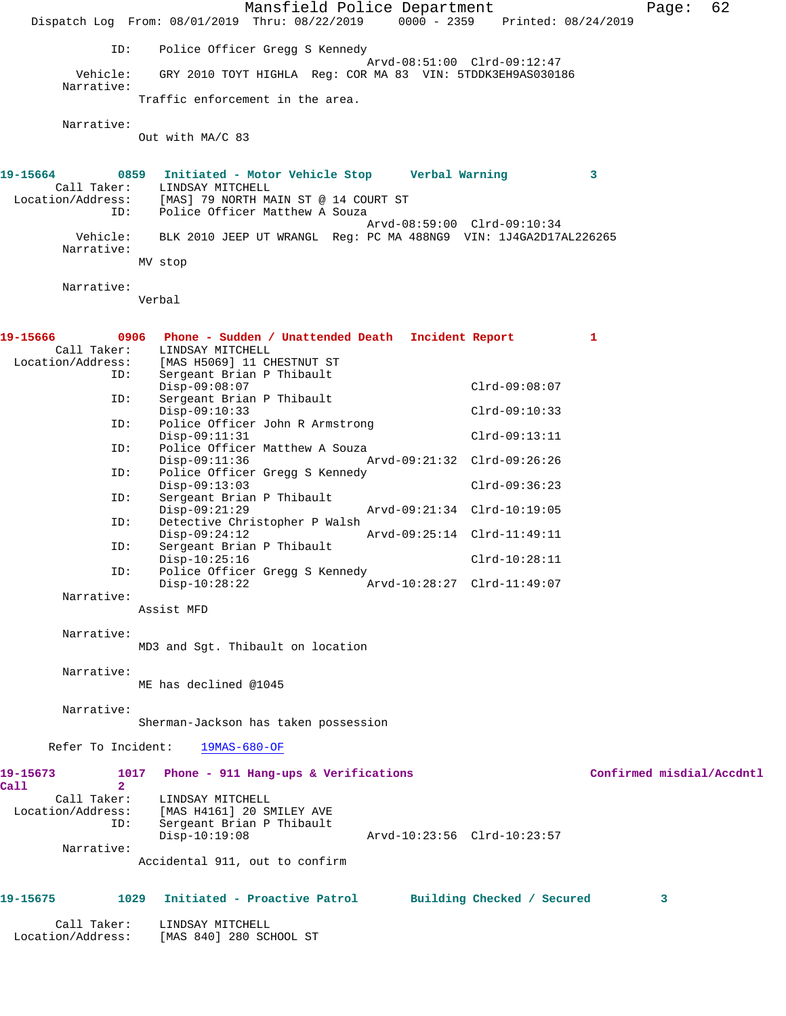Mansfield Police Department Fage: 62 Dispatch Log From: 08/01/2019 Thru: 08/22/2019 0000 - 2359 Printed: 08/24/2019 ID: Police Officer Gregg S Kennedy Arvd-08:51:00 Clrd-09:12:47 Vehicle: GRY 2010 TOYT HIGHLA Reg: COR MA 83 VIN: 5TDDK3EH9AS030186 Narrative: Traffic enforcement in the area. Narrative: Out with MA/C 83 **19-15664 0859 Initiated - Motor Vehicle Stop Verbal Warning 3**  Call Taker: LINDSAY MITCHELL Location/Address: [MAS] 79 NORTH MAIN ST @ 14 COURT ST ID: Police Officer Matthew A Souza Arvd-08:59:00 Clrd-09:10:34 Vehicle: BLK 2010 JEEP UT WRANGL Reg: PC MA 488NG9 VIN: 1J4GA2D17AL226265 Narrative: MV stop Narrative: Verbal **19-15666 0906 Phone - Sudden / Unattended Death Incident Report 1**  Call Taker: LINDSAY MITCHELL Location/Address: [MAS H5069] 11 CHESTNUT ST ID: Sergeant Brian P Thibault Disp-09:08:07<br>ID: Sergeant Brian P Thibault Clrd-09:08:07 Sergeant Brian P Thibault Disp-09:10:33 Clrd-09:10:33<br>ID: Police Officer John R Armstrong Police Officer John R Armstrong Disp-09:11:31 Clrd-09:13:11 ID: Police Officer Matthew A Souza<br>Disp-09:11:36 A Disp-09:11:36 Arvd-09:21:32 Clrd-09:26:26 ID: Police Officer Gregg S Kennedy Disp-09:13:03 Clrd-09:36:23 ID: Sergeant Brian P Thibault Disp-09:21:29 Arvd-09:21:34 Clrd-10:19:05<br>ID: Detective Christopher P Walsh Detective Christopher P Walsh<br>Disp-09:24:12 Disp-09:24:12 Arvd-09:25:14 Clrd-11:49:11 ID: Sergeant Brian P Thibault Disp-10:25:16 Clrd-10:28:11 ID: Police Officer Gregg S Kennedy Disp-10:28:22 Arvd-10:28:27 Clrd-11:49:07 Narrative: Assist MFD Narrative: MD3 and Sgt. Thibault on location Narrative: ME has declined @1045 Narrative: Sherman-Jackson has taken possession Refer To Incident: 19MAS-680-OF **19-15673 1017 Phone - 911 Hang-ups & Verifications Confirmed misdial/Accdntl Call 2**  Call Taker: LINDSAY MITCHELL Location/Address: [MAS H4161] 20 SMILEY AVE ID: Sergeant Brian P Thibault<br>Disp-10:19:08 Disp-10:19:08 Arvd-10:23:56 Clrd-10:23:57 Narrative: Accidental 911, out to confirm **19-15675 1029 Initiated - Proactive Patrol Building Checked / Secured 3** Call Taker: LINDSAY MITCHELL Location/Address: [MAS 840] 280 SCHOOL ST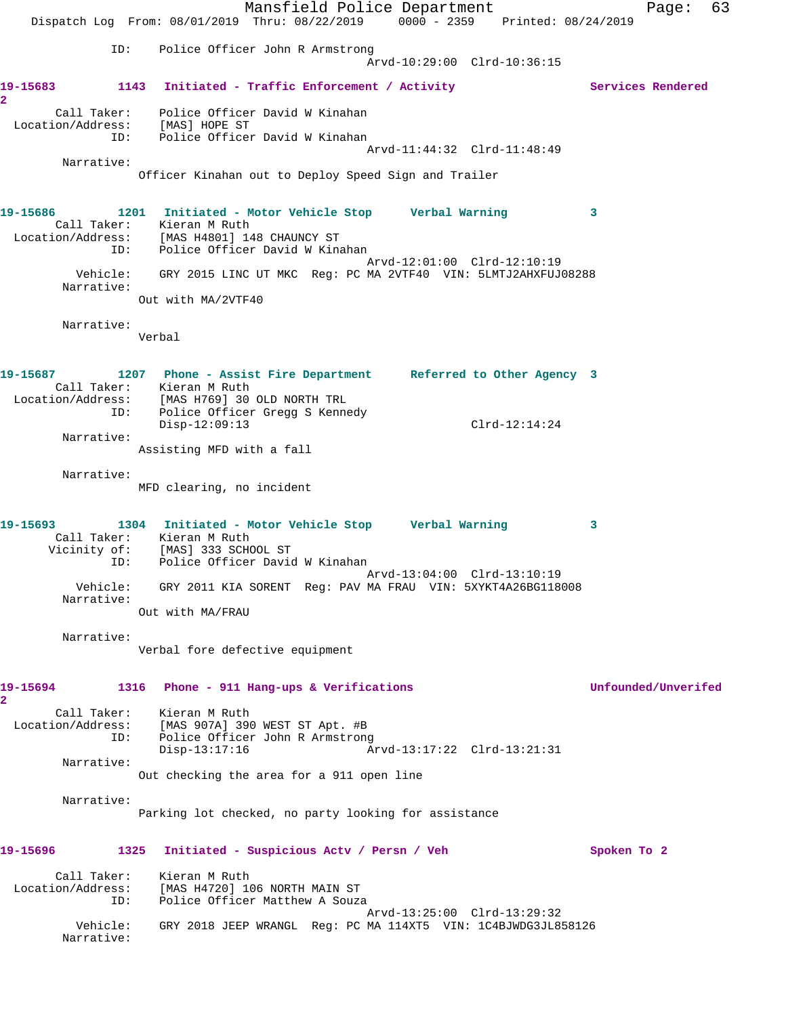Mansfield Police Department Fage: 63 Dispatch Log From: 08/01/2019 Thru: 08/22/2019 0000 - 2359 Printed: 08/24/2019 ID: Police Officer John R Armstrong Arvd-10:29:00 Clrd-10:36:15 19-15683 1143 Initiated - Traffic Enforcement / Activity **Services Rendered 2**  Call Taker: Police Officer David W Kinahan Location/Address: [MAS] HOPE ST ID: Police Officer David W Kinahan Arvd-11:44:32 Clrd-11:48:49 Narrative: Officer Kinahan out to Deploy Speed Sign and Trailer **19-15686 1201 Initiated - Motor Vehicle Stop Verbal Warning 3**  Call Taker: Kieran M Ruth Location/Address: [MAS H4801] 148 CHAUNCY ST ID: Police Officer David W Kinahan Arvd-12:01:00 Clrd-12:10:19 Vehicle: GRY 2015 LINC UT MKC Reg: PC MA 2VTF40 VIN: 5LMTJ2AHXFUJ08288 Narrative: Out with MA/2VTF40 Narrative: Verbal **19-15687 1207 Phone - Assist Fire Department Referred to Other Agency 3**  Call Taker: Kieran M Ruth Location/Address: [MAS H769] 30 OLD NORTH TRL ID: Police Officer Gregg S Kennedy Disp-12:09:13 Clrd-12:14:24 Narrative: Assisting MFD with a fall Narrative: MFD clearing, no incident **19-15693 1304 Initiated - Motor Vehicle Stop Verbal Warning 3**  Call Taker: Kieran M Ruth Vicinity of: [MAS] 333 SCHOOL ST ID: Police Officer David W Kinahan Arvd-13:04:00 Clrd-13:10:19 Vehicle: GRY 2011 KIA SORENT Reg: PAV MA FRAU VIN: 5XYKT4A26BG118008 Narrative: Out with MA/FRAU Narrative: Verbal fore defective equipment **19-15694 1316 Phone - 911 Hang-ups & Verifications Unfounded/Unverifed 2**  Call Taker: Kieran M Ruth Location/Address: [MAS 907A] 390 WEST ST Apt. #B ID: Police Officer John R Armstrong Police Office Communications<br>Disp-13:17:16 Arvd-13:17:22 Clrd-13:21:31 Narrative: Out checking the area for a 911 open line Narrative: Parking lot checked, no party looking for assistance **19-15696 1325 Initiated - Suspicious Actv / Persn / Veh Spoken To 2** Call Taker: Kieran M Ruth Location/Address: [MAS H4720] 106 NORTH MAIN ST ID: Police Officer Matthew A Souza Arvd-13:25:00 Clrd-13:29:32 Vehicle: GRY 2018 JEEP WRANGL Reg: PC MA 114XT5 VIN: 1C4BJWDG3JL858126 Narrative: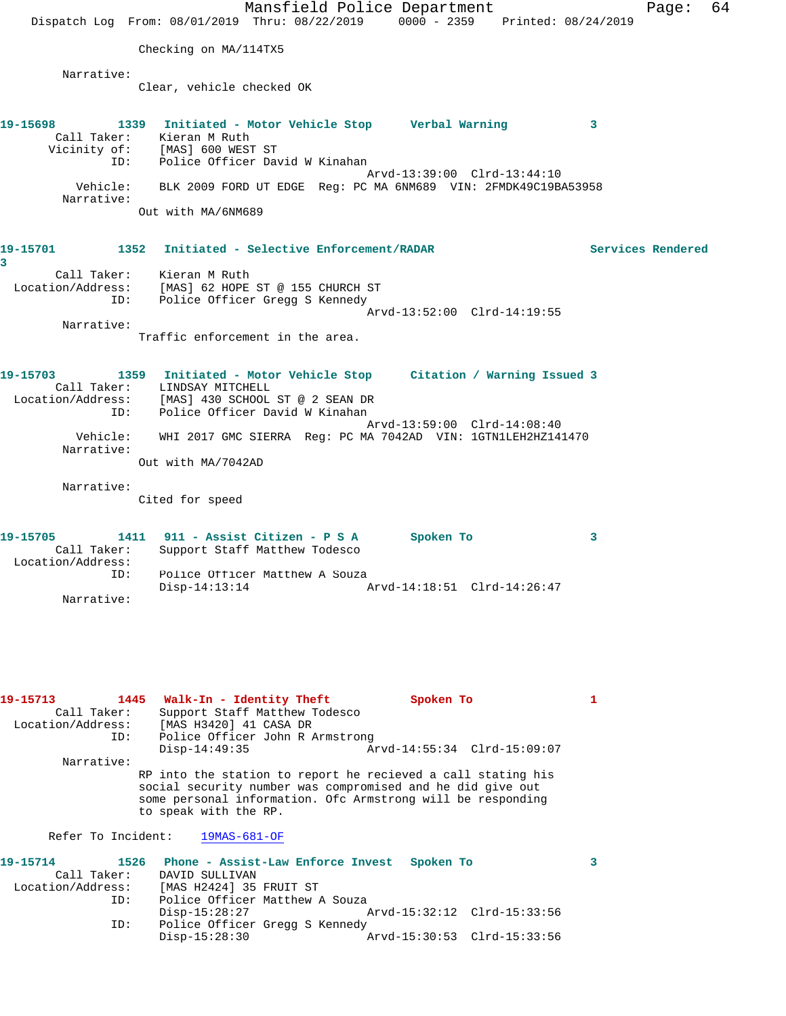Mansfield Police Department Fage: 64 Dispatch Log From: 08/01/2019 Thru: 08/22/2019 0000 - 2359 Printed: 08/24/2019 Checking on MA/114TX5 Narrative: Clear, vehicle checked OK **19-15698 1339 Initiated - Motor Vehicle Stop Verbal Warning 3**  Call Taker: Kieran M Ruth Vicinity of: [MAS] 600 WEST ST ID: Police Officer David W Kinahan Arvd-13:39:00 Clrd-13:44:10 Vehicle: BLK 2009 FORD UT EDGE Reg: PC MA 6NM689 VIN: 2FMDK49C19BA53958 Narrative: Out with MA/6NM689 **19-15701 1352 Initiated - Selective Enforcement/RADAR Services Rendered 3**  Call Taker: Kieran M Ruth Location/Address: [MAS] 62 HOPE ST @ 155 CHURCH ST ID: Police Officer Gregg S Kennedy Arvd-13:52:00 Clrd-14:19:55 Narrative: Traffic enforcement in the area. **19-15703 1359 Initiated - Motor Vehicle Stop Citation / Warning Issued 3**  Call Taker: LINDSAY MITCHELL Location/Address: [MAS] 430 SCHOOL ST @ 2 SEAN DR ID: Police Officer David W Kinahan Arvd-13:59:00 Clrd-14:08:40 Vehicle: WHI 2017 GMC SIERRA Reg: PC MA 7042AD VIN: 1GTN1LEH2HZ141470 Narrative: Out with MA/7042AD Narrative: Cited for speed **19-15705 1411 911 - Assist Citizen - P S A Spoken To 3**  Call Taker: Support Staff Matthew Todesco Location/Address: ID: Police Officer Matthew A Souza<br>Disp-14:13:14 Disp-14:13:14 Arvd-14:18:51 Clrd-14:26:47 Narrative: 19-15713 1445 Walk-In - Identity Theft Spoken To 1 Call Taker: Support Staff Matthew Todesco Location/Address: [MAS H3420] 41 CASA DR ID: Police Officer John R Armstrong Disp-14:49:35 Arvd-14:55:34 Clrd-15:09:07 Narrative: RP into the station to report he recieved a call stating his social security number was compromised and he did give out some personal information. Ofc Armstrong will be responding to speak with the RP. Refer To Incident: 19MAS-681-OF **19-15714 1526 Phone - Assist-Law Enforce Invest Spoken To 3**  Call Taker: DAVID SULLIVAN Location/Address: [MAS H2424] 35 FRUIT ST ID: Police Officer Matthew A Souza Disp-15:28:27 Arvd-15:32:12 Clrd-15:33:56 ID: Police Officer Gregg S Kennedy

Disp-15:28:30 Arvd-15:30:53 Clrd-15:33:56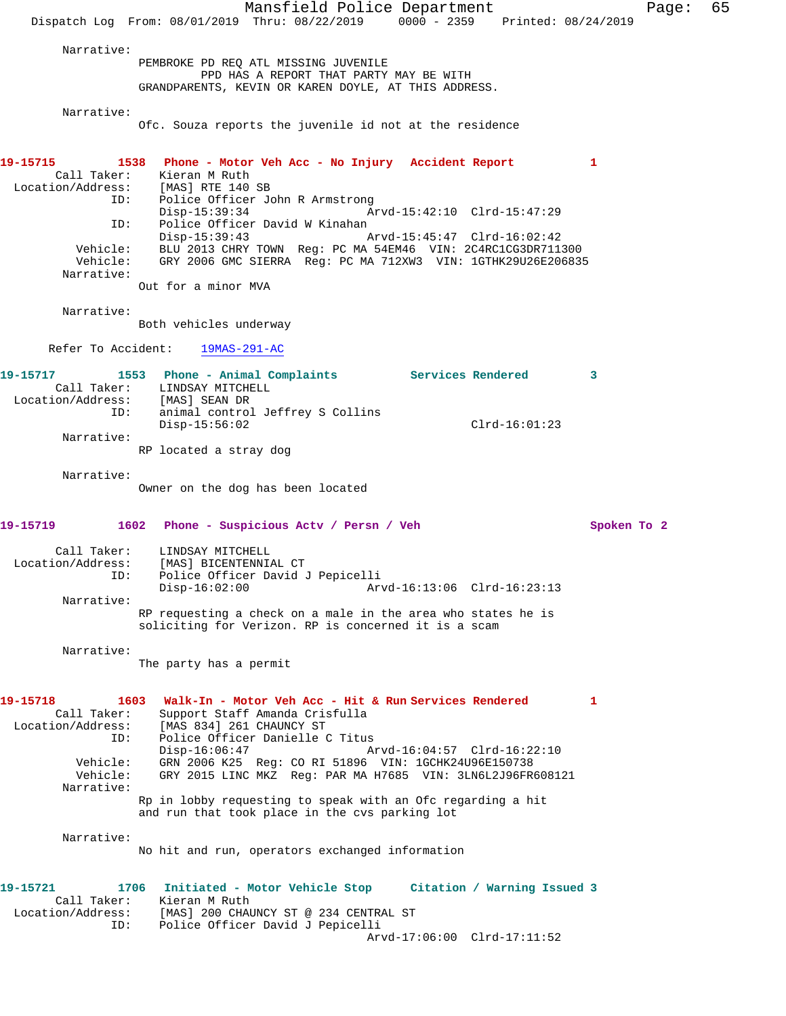Mansfield Police Department Fage: 65 Dispatch Log From: 08/01/2019 Thru: 08/22/2019 0000 - 2359 Printed: 08/24/2019 Narrative: PEMBROKE PD REQ ATL MISSING JUVENILE PPD HAS A REPORT THAT PARTY MAY BE WITH GRANDPARENTS, KEVIN OR KAREN DOYLE, AT THIS ADDRESS. Narrative: Ofc. Souza reports the juvenile id not at the residence **19-15715 1538 Phone - Motor Veh Acc - No Injury Accident Report 1**  Call Taker: Kieran M Ruth Location/Address: [MAS] RTE 140 SB ID: Police Officer John R Armstrong Disp-15:39:34 Arvd-15:42:10 Clrd-15:47:29 ID: Police Officer David W Kinahan<br>Disp-15:39:43 Arvd-15:45:47 Clrd-16:02:42 Disp-15:39:43 Arvd-15:45:47 Clrd-16:02:42 Vehicle: BLU 2013 CHRY TOWN Reg: PC MA 54EM46 VIN: 2C4RC1CG3DR711300 Vehicle: GRY 2006 GMC SIERRA Reg: PC MA 712XW3 VIN: 1GTHK29U26E206835 Narrative: Out for a minor MVA Narrative: Both vehicles underway Refer To Accident: 19MAS-291-AC **19-15717 1553 Phone - Animal Complaints Services Rendered 3**  Call Taker: LINDSAY MITCHELL Location/Address: [MAS] SEAN DR ID: animal control Jeffrey S Collins Disp-15:56:02 Clrd-16:01:23 Narrative: RP located a stray dog Narrative: Owner on the dog has been located **19-15719 1602 Phone - Suspicious Actv / Persn / Veh Spoken To 2** Call Taker: LINDSAY MITCHELL Location/Address: [MAS] BICENTENNIAL CT ID: Police Officer David J Pepicelli Arvd-16:13:06 Clrd-16:23:13 Narrative: RP requesting a check on a male in the area who states he is soliciting for Verizon. RP is concerned it is a scam Narrative: The party has a permit **19-15718 1603 Walk-In - Motor Veh Acc - Hit & Run Services Rendered 1**  Call Taker: Support Staff Amanda Crisfulla Location/Address: [MAS 834] 261 CHAUNCY ST ID: Police Officer Danielle C Titus Disp-16:06:47 Arvd-16:04:57 Clrd-16:22:10 Vehicle: GRN 2006 K25 Reg: CO RI 51896 VIN: 1GCHK24U96E150738 Vehicle: GRY 2015 LINC MKZ Reg: PAR MA H7685 VIN: 3LN6L2J96FR608121 Narrative: Rp in lobby requesting to speak with an Ofc regarding a hit and run that took place in the cvs parking lot Narrative: No hit and run, operators exchanged information **19-15721 1706 Initiated - Motor Vehicle Stop Citation / Warning Issued 3**  Call Taker: Kieran M Ruth Location/Address: [MAS] 200 CHAUNCY ST @ 234 CENTRAL ST ESS: INDITE: INCREASED PROPERTY DAVID JP POLICE Arvd-17:06:00 Clrd-17:11:52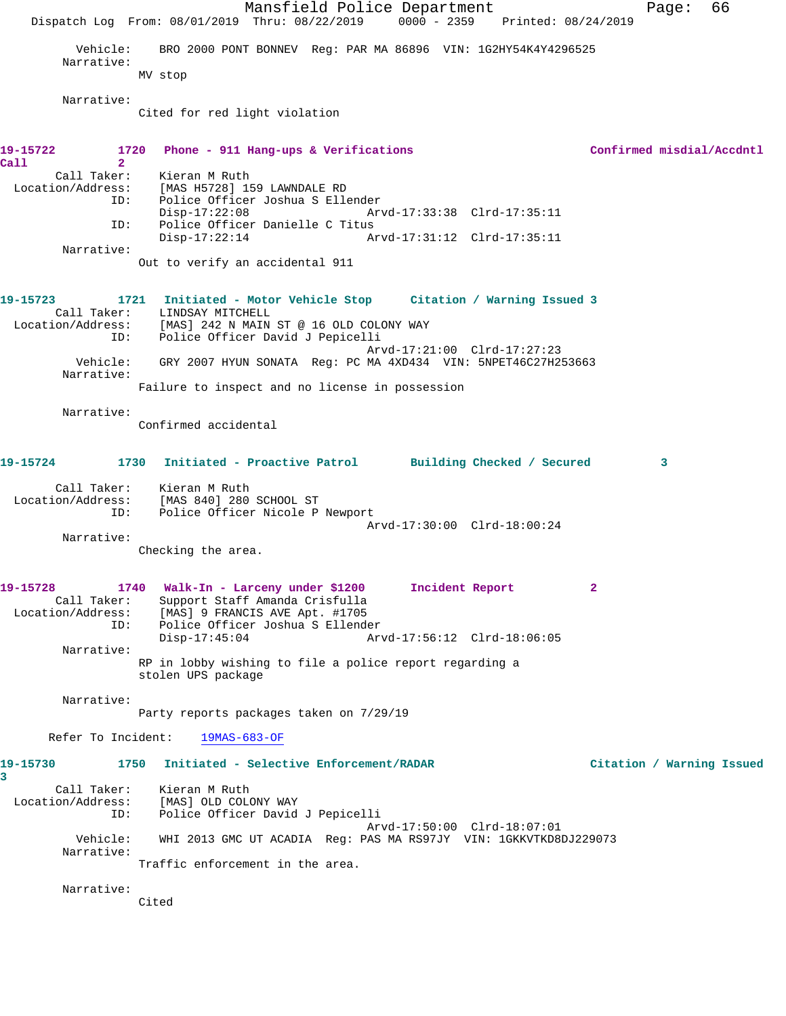Mansfield Police Department Fage: 66 Dispatch Log From: 08/01/2019 Thru: 08/22/2019 0000 - 2359 Printed: 08/24/2019 Vehicle: BRO 2000 PONT BONNEV Reg: PAR MA 86896 VIN: 1G2HY54K4Y4296525 Narrative: MV stop Narrative: Cited for red light violation **19-15722 1720 Phone - 911 Hang-ups & Verifications Confirmed misdial/Accdntl Call 2**  Call Taker: Kieran M Ruth Location/Address: [MAS H5728] 159 LAWNDALE RD ID: Police Officer Joshua S Ellender Disp-17:22:08 Arvd-17:33:38 Clrd-17:35:11 ID: Police Officer Danielle C Titus Arvd-17:31:12 Clrd-17:35:11 Narrative: Out to verify an accidental 911 **19-15723 1721 Initiated - Motor Vehicle Stop Citation / Warning Issued 3**  Call Taker: LINDSAY MITCHELL Location/Address: [MAS] 242 N MAIN ST @ 16 OLD COLONY WAY ID: Police Officer David J Pepicelli Arvd-17:21:00 Clrd-17:27:23 Vehicle: GRY 2007 HYUN SONATA Reg: PC MA 4XD434 VIN: 5NPET46C27H253663 Narrative: Failure to inspect and no license in possession Narrative: Confirmed accidental **19-15724 1730 Initiated - Proactive Patrol Building Checked / Secured 3** Call Taker: Kieran M Ruth Location/Address: [MAS 840] 280 SCHOOL ST ID: Police Officer Nicole P Newport Arvd-17:30:00 Clrd-18:00:24 Narrative: Checking the area. **19-15728 1740 Walk-In - Larceny under \$1200 Incident Report 2**  Call Taker: Support Staff Amanda Crisfulla Location/Address: [MAS] 9 FRANCIS AVE Apt. #1705 ID: Police Officer Joshua S Ellender Disp-17:45:04 Arvd-17:56:12 Clrd-18:06:05 Narrative: RP in lobby wishing to file a police report regarding a stolen UPS package Narrative: Party reports packages taken on 7/29/19 Refer To Incident: 19MAS-683-OF **19-15730 1750 Initiated - Selective Enforcement/RADAR Citation / Warning Issued 3**  Call Taker: Kieran M Ruth Location/Address: [MAS] OLD COLONY WAY ID: Police Officer David J Pepicelli Arvd-17:50:00 Clrd-18:07:01 Vehicle: WHI 2013 GMC UT ACADIA Reg: PAS MA RS97JY VIN: 1GKKVTKD8DJ229073 Narrative: Traffic enforcement in the area. Narrative: Cited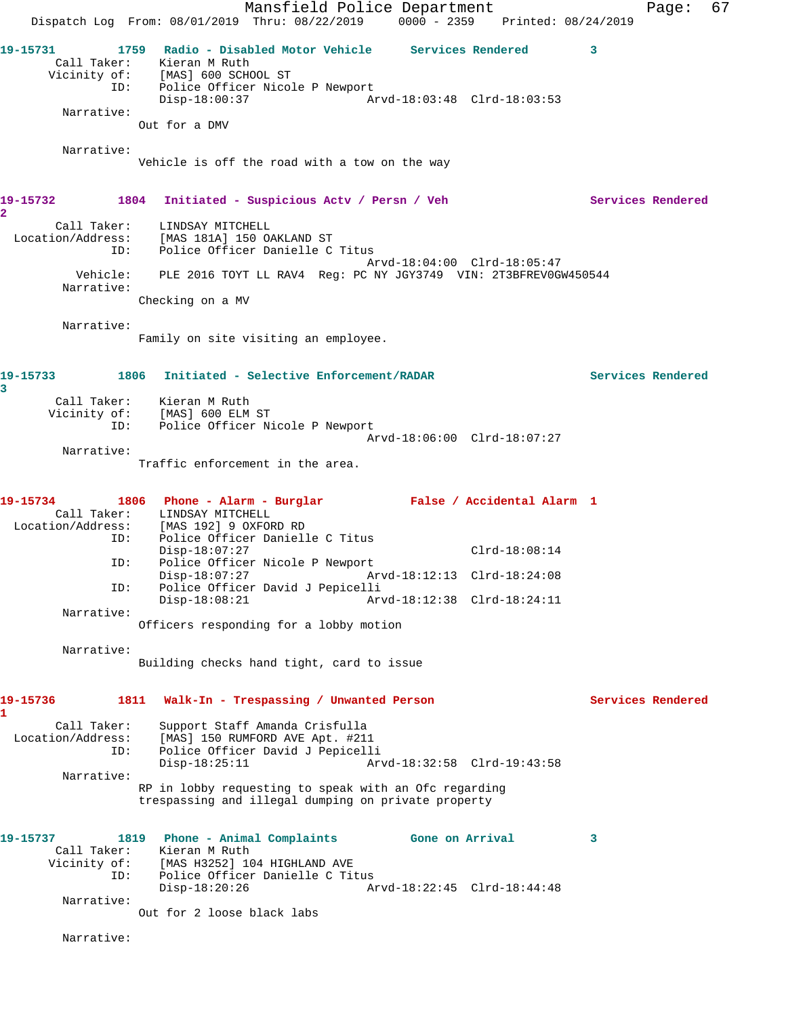Mansfield Police Department Fage: 67 Dispatch Log From: 08/01/2019 Thru: 08/22/2019 0000 - 2359 Printed: 08/24/2019 **19-15731 1759 Radio - Disabled Motor Vehicle Services Rendered 3**  Call Taker: Kieran M Ruth Vicinity of: [MAS] 600 SCHOOL ST ID: Police Officer Nicole P Newport Disp-18:00:37 Arvd-18:03:48 Clrd-18:03:53 Narrative: Out for a DMV Narrative: Vehicle is off the road with a tow on the way **19-15732 1804 Initiated - Suspicious Actv / Persn / Veh Services Rendered 2**  Call Taker: LINDSAY MITCHELL Location/Address: [MAS 181A] 150 OAKLAND ST ID: Police Officer Danielle C Titus Arvd-18:04:00 Clrd-18:05:47 Vehicle: PLE 2016 TOYT LL RAV4 Reg: PC NY JGY3749 VIN: 2T3BFREV0GW450544 Narrative: Checking on a MV Narrative: Family on site visiting an employee. **19-15733 1806 Initiated - Selective Enforcement/RADAR Services Rendered 3**  Call Taker: Kieran M Ruth Vicinity of: [MAS] 600 ELM ST ID: Police Officer Nicole P Newport Arvd-18:06:00 Clrd-18:07:27 Narrative: Traffic enforcement in the area. **19-15734 1806 Phone - Alarm - Burglar False / Accidental Alarm 1**  Call Taker: LINDSAY MITCHELL Location/Address: [MAS 192] 9 OXFORD RD ID: Police Officer Danielle C Titus Disp-18:07:27 Clrd-18:08:14 ID: Police Officer Nicole P Newport<br>Disp-18:07:27 Ar Arvd-18:12:13 Clrd-18:24:08 ID: Police Officer David J Pepicelli Disp-18:08:21 Arvd-18:12:38 Clrd-18:24:11 Narrative: Officers responding for a lobby motion Narrative: Building checks hand tight, card to issue **19-15736 1811 Walk-In - Trespassing / Unwanted Person Services Rendered 1**  Call Taker: Support Staff Amanda Crisfulla Location/Address: [MAS] 150 RUMFORD AVE Apt. #211 ID: Police Officer David J Pepicelli Disp-18:25:11 Arvd-18:32:58 Clrd-19:43:58 Narrative: RP in lobby requesting to speak with an Ofc regarding trespassing and illegal dumping on private property **19-15737 1819 Phone - Animal Complaints Gone on Arrival 3**  Call Taker: Kieran M Ruth Vicinity of: [MAS H3252] 104 HIGHLAND AVE ID: Police Officer Danielle C Titus Disp-18:20:26 Arvd-18:22:45 Clrd-18:44:48 Narrative: Out for 2 loose black labs

Narrative: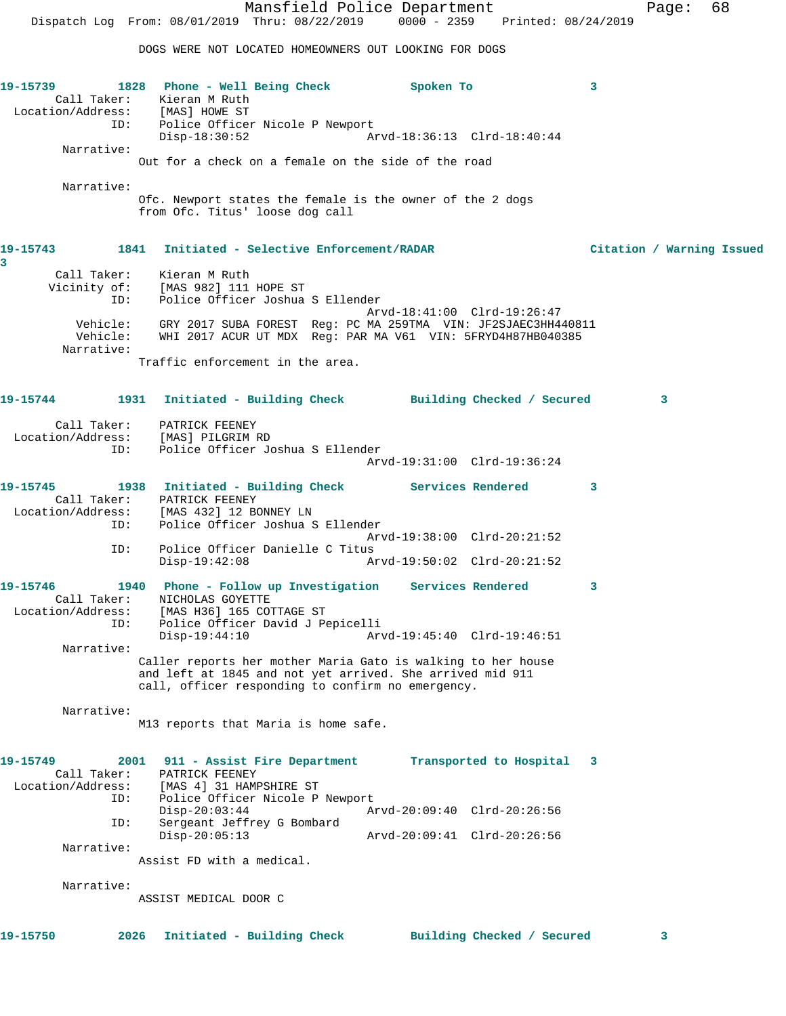DOGS WERE NOT LOCATED HOMEOWNERS OUT LOOKING FOR DOGS

**19-15739 1828 Phone - Well Being Check Spoken To 3**  Call Taker: Kieran M Ruth Location/Address: [MAS] HOWE ST ID: Police Officer Nicole P Newport<br>Disp-18:30:52 A Disp-18:30:52 Arvd-18:36:13 Clrd-18:40:44 Narrative: Out for a check on a female on the side of the road Narrative: Ofc. Newport states the female is the owner of the 2 dogs from Ofc. Titus' loose dog call **19-15743 1841 Initiated - Selective Enforcement/RADAR Citation / Warning Issued 3**  Call Taker: Kieran M Ruth Vicinity of: [MAS 982] 111 HOPE ST ID: Police Officer Joshua S Ellender Arvd-18:41:00 Clrd-19:26:47 Vehicle: GRY 2017 SUBA FOREST Reg: PC MA 259TMA VIN: JF2SJAEC3HH440811 Vehicle: WHI 2017 ACUR UT MDX Reg: PAR MA V61 VIN: 5FRYD4H87HB040385 Narrative: Traffic enforcement in the area. **19-15744 1931 Initiated - Building Check Building Checked / Secured 3** Call Taker: PATRICK FEENEY Location/Address: [MAS] PILGRIM RD ID: Police Officer Joshua S Ellender Arvd-19:31:00 Clrd-19:36:24 **19-15745 1938 Initiated - Building Check Services Rendered 3**  Call Taker: PATRICK FEENEY Location/Address: [MAS 432] 12 BONNEY LN ID: Police Officer Joshua S Ellender Arvd-19:38:00 Clrd-20:21:52 ID: Police Officer Danielle C Titus Disp-19:42:08 Arvd-19:50:02 Clrd-20:21:52 **19-15746 1940 Phone - Follow up Investigation Services Rendered 3**  Call Taker: NICHOLAS GOYETTE Location/Address: [MAS H36] 165 COTTAGE ST ID: Police Officer David J Pepicelli Disp-19:44:10 Arvd-19:45:40 Clrd-19:46:51 Narrative: Caller reports her mother Maria Gato is walking to her house and left at 1845 and not yet arrived. She arrived mid 911 call, officer responding to confirm no emergency. Narrative: M13 reports that Maria is home safe. **19-15749 2001 911 - Assist Fire Department Transported to Hospital 3**  Call Taker: PATRICK FEENEY Location/Address: [MAS 4] 31 HAMPSHIRE ST ID: Police Officer Nicole P Newport Disp-20:03:44 Arvd-20:09:40 Clrd-20:26:56 ID: Sergeant Jeffrey G Bombard Disp-20:05:13 Arvd-20:09:41 Clrd-20:26:56 Narrative: Assist FD with a medical. Narrative: ASSIST MEDICAL DOOR C **19-15750 2026 Initiated - Building Check Building Checked / Secured 3**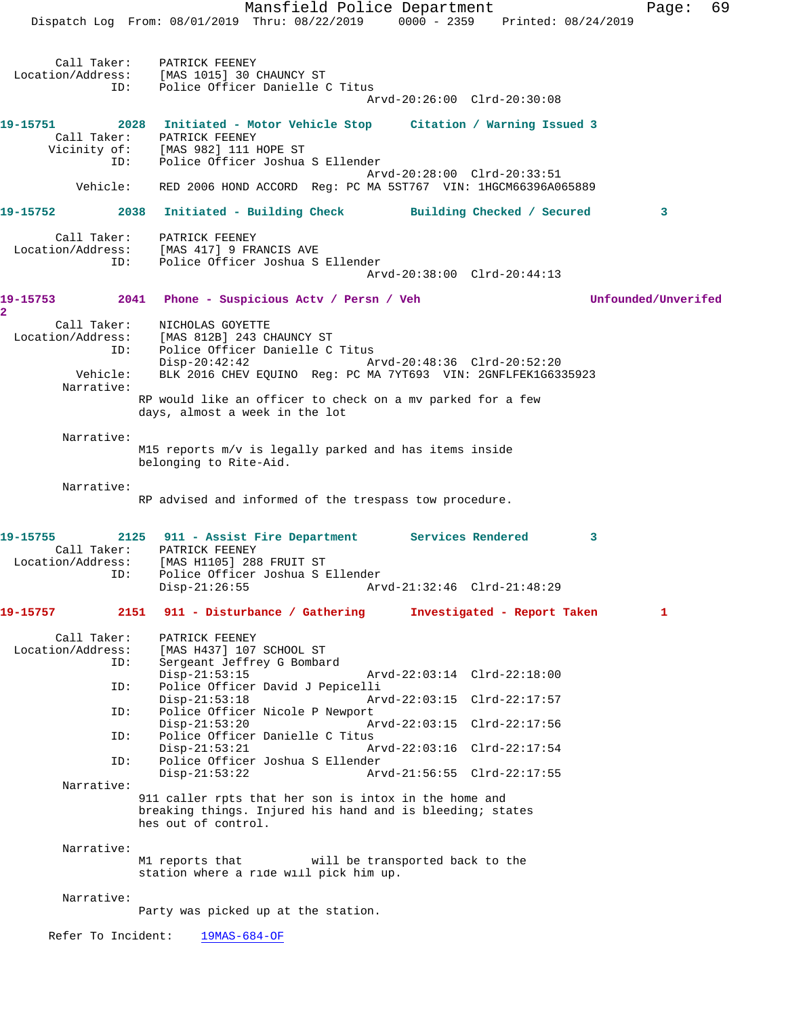Dispatch Log From: 08/01/2019 Thru: 08/22/2019 0000 - 2359 Printed: 08/24/2019 Call Taker: PATRICK FEENEY Location/Address: [MAS 1015] 30 CHAUNCY ST ID: Police Officer Danielle C Titus Arvd-20:26:00 Clrd-20:30:08 **19-15751 2028 Initiated - Motor Vehicle Stop Citation / Warning Issued 3**  Call Taker: PATRICK FEENEY<br>Vicinity of: [MAS 982] 111 I<br>ID: Police Officer [MAS 982] 111 HOPE ST Police Officer Joshua S Ellender Arvd-20:28:00 Clrd-20:33:51 Vehicle: RED 2006 HOND ACCORD Reg: PC MA 5ST767 VIN: 1HGCM66396A065889 **19-15752 2038 Initiated - Building Check Building Checked / Secured 3** Call Taker: PATRICK FEENEY Location/Address: [MAS 417] 9 FRANCIS AVE ID: Police Officer Joshua S Ellender Arvd-20:38:00 Clrd-20:44:13 **19-15753 2041 Phone - Suspicious Actv / Persn / Veh Unfounded/Unverifed 2**  Call Taker: NICHOLAS GOYETTE Location/Address: [MAS 812B] 243 CHAUNCY ST ID: Police Officer Danielle C Titus Disp-20:42:42 Arvd-20:48:36 Clrd-20:52:20 Vehicle: BLK 2016 CHEV EQUINO Reg: PC MA 7YT693 VIN: 2GNFLFEK1G6335923 Narrative: RP would like an officer to check on a mv parked for a few days, almost a week in the lot Narrative: M15 reports m/v is legally parked and has items inside belonging to Rite-Aid. Narrative: RP advised and informed of the trespass tow procedure. **19-15755 2125 911 - Assist Fire Department Services Rendered 3**  Call Taker: PATRICK FEENEY Location/Address: [MAS H1105] 288 FRUIT ST ID: Police Officer Joshua S Ellender<br>Disp-21:26:55 Arv Disp-21:26:55 Arvd-21:32:46 Clrd-21:48:29 **19-15757 2151 911 - Disturbance / Gathering Investigated - Report Taken 1** Call Taker: PATRICK FEENEY Location/Address: [MAS H437] 107 SCHOOL ST<br>ID: Sergeant Jeffrey C Bombor Sergeant Jeffrey G Bombard<br>Disp-21:53:15 Disp-21:53:15 Arvd-22:03:14 Clrd-22:18:00 ID: Police Officer David J Pepicelli Disp-21:53:18 Arvd-22:03:15 Clrd-22:17:57<br>ID: Police Officer Nicole P Newport Police Officer Nicole P Newport Disp-21:53:20 Arvd-22:03:15 Clrd-22:17:56 ID: Police Officer Danielle C Titus Disp-21:53:21 Arvd-22:03:16 Clrd-22:17:54<br>ID: Police Officer Joshua S Ellender Police Officer Joshua S Ellender<br>Disp-21:53:22 Ar Arvd-21:56:55 Clrd-22:17:55 Narrative: 911 caller rpts that her son is intox in the home and breaking things. Injured his hand and is bleeding; states hes out of control. Narrative: M1 reports that will be transported back to the station where a ride will pick him up. Narrative: Party was picked up at the station. Refer To Incident: 19MAS-684-OF

Mansfield Police Department Fage: 69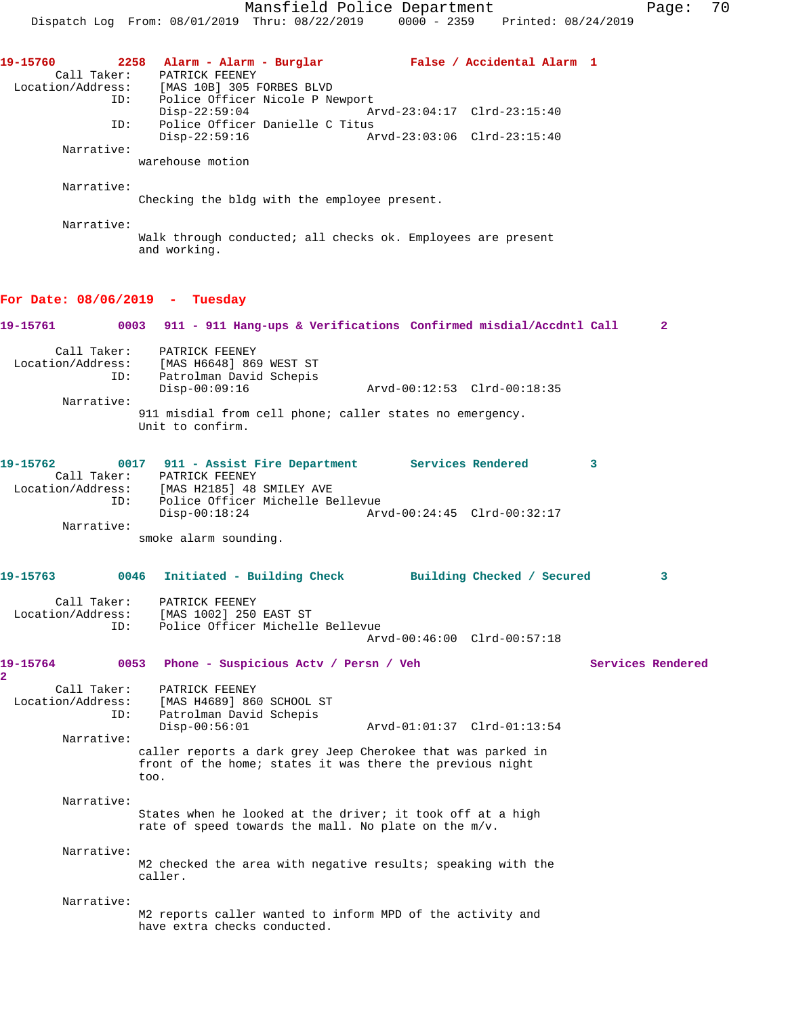**19-15760 2258 Alarm - Alarm - Burglar False / Accidental Alarm 1**  Call Taker: PATRICK FEENEY Location/Address: [MAS 10B] 305 FORBES BLVD ID: Police Officer Nicole P Newport<br>Disp-22:59:04 Am Arvd-23:04:17 Clrd-23:15:40 ID: Police Officer Danielle C Titus Disp-22:59:16 Arvd-23:03:06 Clrd-23:15:40 Narrative: warehouse motion Narrative: Checking the bldg with the employee present. Narrative: Walk through conducted; all checks ok. Employees are present and working. **For Date: 08/06/2019 - Tuesday 19-15761 0003 911 - 911 Hang-ups & Verifications Confirmed misdial/Accdntl Call 2** Call Taker: PATRICK FEENEY Location/Address: [MAS H6648] 869 WEST ST ID: Patrolman David Schepis<br>Disp-00:09:16 Arvd-00:12:53 Clrd-00:18:35 Narrative: 911 misdial from cell phone; caller states no emergency. Unit to confirm. **19-15762 0017 911 - Assist Fire Department Services Rendered 3**  Call Taker: PATRICK FEENEY Location/Address: [MAS H2185] 48 SMILEY AVE ID: Police Officer Michelle Bellevue Disp-00:18:24 Arvd-00:24:45 Clrd-00:32:17 Narrative: smoke alarm sounding. **19-15763 0046 Initiated - Building Check Building Checked / Secured 3** Call Taker: PATRICK FEENEY Location/Address: [MAS 1002] 250 EAST ST ID: Police Officer Michelle Bellevue Arvd-00:46:00 Clrd-00:57:18 **19-15764 0053 Phone - Suspicious Actv / Persn / Veh Services Rendered 2**  Call Taker: PATRICK FEENEY Location/Address: [MAS H4689] 860 SCHOOL ST ID: Patrolman David Schepis Arvd-01:01:37 Clrd-01:13:54 Narrative: caller reports a dark grey Jeep Cherokee that was parked in front of the home; states it was there the previous night too. Narrative: States when he looked at the driver; it took off at a high rate of speed towards the mall. No plate on the m/v. Narrative: M2 checked the area with negative results; speaking with the caller. Narrative: M2 reports caller wanted to inform MPD of the activity and have extra checks conducted.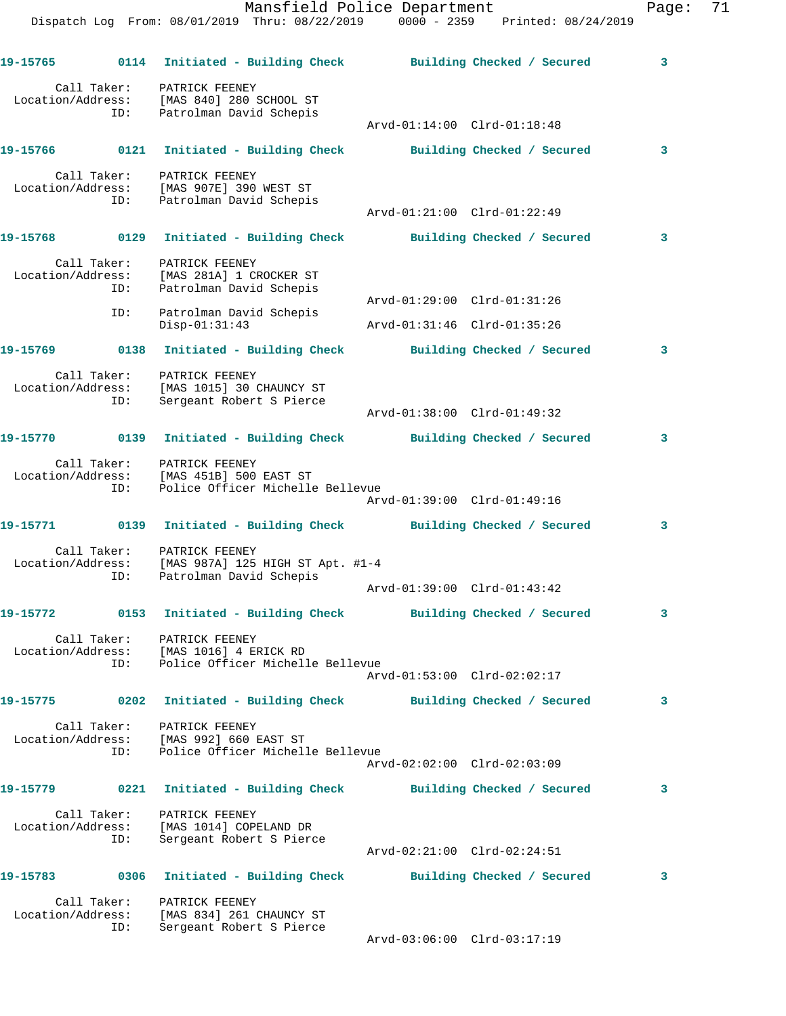|     | Dispatch Log From: 08/01/2019 Thru: 08/22/2019 0000 - 2359 Printed: 08/24/2019                                                                | - - -                                                      |                            |
|-----|-----------------------------------------------------------------------------------------------------------------------------------------------|------------------------------------------------------------|----------------------------|
|     | 19-15765 0114 Initiated - Building Check Building Checked / Secured 3                                                                         |                                                            |                            |
|     | Call Taker: PATRICK FEENEY<br>Location/Address: [MAS 840] 280 SCHOOL ST<br>ID: Patrolman David Schepis                                        |                                                            |                            |
|     | 19-15766 0121 Initiated - Building Check Building Checked / Secured                                                                           | Arvd-01:14:00 Clrd-01:18:48                                | $\overline{\mathbf{3}}$    |
|     |                                                                                                                                               |                                                            |                            |
| ID: | Call Taker: PATRICK FEENEY<br>Location/Address: [MAS 907E] 390 WEST ST<br>Patrolman David Schepis                                             | Arvd-01:21:00 Clrd-01:22:49                                |                            |
|     | 19-15768 0129 Initiated - Building Check Building Checked / Secured 3                                                                         |                                                            |                            |
|     | Call Taker: PATRICK FEENEY<br>Location/Address: [MAS 281A] 1 CROCKER ST<br>ID: Patrolman David Schepis                                        |                                                            |                            |
| ID: | Patrolman David Schepis<br>$Disp-01:31:43$                                                                                                    | Arvd-01:29:00 Clrd-01:31:26<br>Arvd-01:31:46 Clrd-01:35:26 |                            |
|     | 19-15769 0138 Initiated - Building Check Building Checked / Secured                                                                           |                                                            | $\overline{\mathbf{3}}$    |
| ID: | Call Taker: PATRICK FEENEY<br>Location/Address: [MAS 1015] 30 CHAUNCY ST<br>Sergeant Robert S Pierce                                          |                                                            |                            |
|     |                                                                                                                                               | Arvd-01:38:00 Clrd-01:49:32                                |                            |
|     | 19-15770 0139 Initiated - Building Check Building Checked / Secured 3                                                                         |                                                            |                            |
|     | Call Taker: PATRICK FEENEY<br>Location/Address: [MAS 451B] 500 EAST ST<br>ID: Police Officer Michelle Bellevue                                | Arvd-01:39:00 Clrd-01:49:16                                |                            |
|     | 19-15771 0139 Initiated - Building Check Building Checked / Secured                                                                           |                                                            |                            |
| ID: | Call Taker: PATRICK FEENEY<br>Location/Address: [MAS 987A] 125 HIGH ST Apt. #1-4<br>Patrolman David Schepis                                   |                                                            |                            |
|     | 19-15772 0153 Initiated - Building Check Building Checked / Secured                                                                           |                                                            | $\overline{\mathbf{3}}$    |
|     | Call Taker: PATRICK FEENEY<br>Location/Address: [MAS 1016] 4 ERICK RD<br>ID: Police Officer Michelle Bellevue                                 | Arvd-01:53:00 Clrd-02:02:17                                |                            |
|     | 19-15775 0202 Initiated - Building Check Building Checked / Secured                                                                           |                                                            | $\overline{\phantom{a}}$ 3 |
|     | Call Taker: PATRICK FEENEY<br>Location/Address: [MAS 992] 660 EAST ST<br>ID: Police Officer Michell<br>Police Officer Michelle Bellevue       |                                                            |                            |
|     |                                                                                                                                               | Arvd-02:02:00 Clrd-02:03:09                                |                            |
| ID: | 19-15779 0221 Initiated - Building Check Building Checked / Secured<br>Call Taker: PATRICK FEENEY<br>Location/Address: [MAS 1014] COPELAND DR |                                                            | $\overline{\mathbf{3}}$    |
|     | Sergeant Robert S Pierce                                                                                                                      | Arvd-02:21:00 Clrd-02:24:51                                |                            |
|     | 19-15783 0306 Initiated - Building Check Building Checked / Secured 3                                                                         |                                                            |                            |
| ID: | Call Taker: PATRICK FEENEY<br>Location/Address: [MAS 834] 261 CHAUNCY ST<br>Sergeant Robert S Pierce                                          |                                                            |                            |

Arvd-03:06:00 Clrd-03:17:19

Mansfield Police Department Page: 71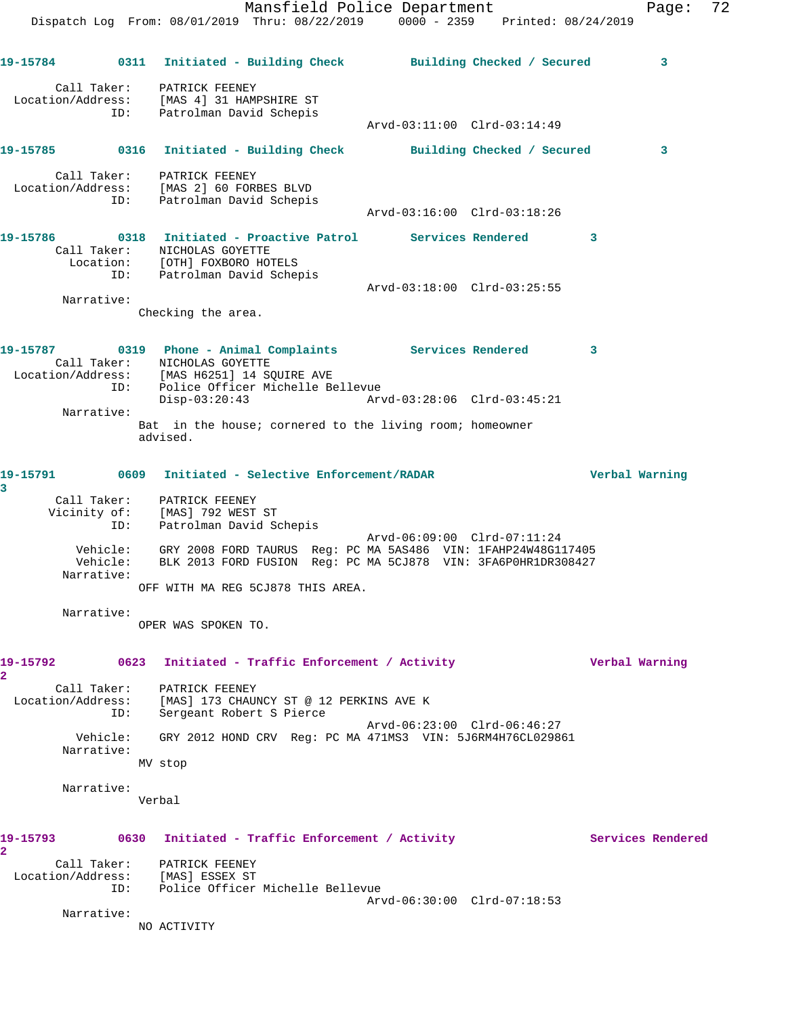Mansfield Police Department Fage: 72 Dispatch Log From: 08/01/2019 Thru: 08/22/2019 0000 - 2359 Printed: 08/24/2019 **19-15784 0311 Initiated - Building Check Building Checked / Secured 3** Call Taker: PATRICK FEENEY Location/Address: [MAS 4] 31 HAMPSHIRE ST ID: Patrolman David Schepis Arvd-03:11:00 Clrd-03:14:49 **19-15785 0316 Initiated - Building Check Building Checked / Secured 3** Call Taker: PATRICK FEENEY Location/Address: [MAS 2] 60 FORBES BLVD ID: Patrolman David Schepis Arvd-03:16:00 Clrd-03:18:26 **19-15786 0318 Initiated - Proactive Patrol Services Rendered 3**  Call Taker: NICHOLAS GOYETTE Location: [OTH] FOXBORO HOTELS ID: Patrolman David Schepis Arvd-03:18:00 Clrd-03:25:55 Narrative: Checking the area. **19-15787 0319 Phone - Animal Complaints Services Rendered 3**  Call Taker: NICHOLAS GOYETTE Location/Address: [MAS H6251] 14 SQUIRE AVE ID: Police Officer Michelle Bellevue Disp-03:20:43 Arvd-03:28:06 Clrd-03:45:21 Narrative: Bat in the house; cornered to the living room; homeowner advised. **19-15791 0609 Initiated - Selective Enforcement/RADAR Verbal Warning 3**  Call Taker: PATRICK FEENEY Vicinity of: [MAS] 792 WEST ST ID: Patrolman David Schepis Arvd-06:09:00 Clrd-07:11:24 Vehicle: GRY 2008 FORD TAURUS Reg: PC MA 5AS486 VIN: 1FAHP24W48G117405 Vehicle: BLK 2013 FORD FUSION Reg: PC MA 5CJ878 VIN: 3FA6P0HR1DR308427 Narrative: OFF WITH MA REG 5CJ878 THIS AREA. Narrative: OPER WAS SPOKEN TO. **19-15792 0623 Initiated - Traffic Enforcement / Activity Verbal Warning 2**  Call Taker: PATRICK FEENEY Location/Address: [MAS] 173 CHAUNCY ST @ 12 PERKINS AVE K ID: Sergeant Robert S Pierce Arvd-06:23:00 Clrd-06:46:27 Vehicle: GRY 2012 HOND CRV Reg: PC MA 471MS3 VIN: 5J6RM4H76CL029861 Narrative: MV stop Narrative: Verbal 19-15793 0630 Initiated - Traffic Enforcement / Activity **Services Rendered 2**  Call Taker: PATRICK FEENEY Location/Address: [MAS] ESSEX ST ID: Police Officer Michelle Bellevue Arvd-06:30:00 Clrd-07:18:53 Narrative: NO ACTIVITY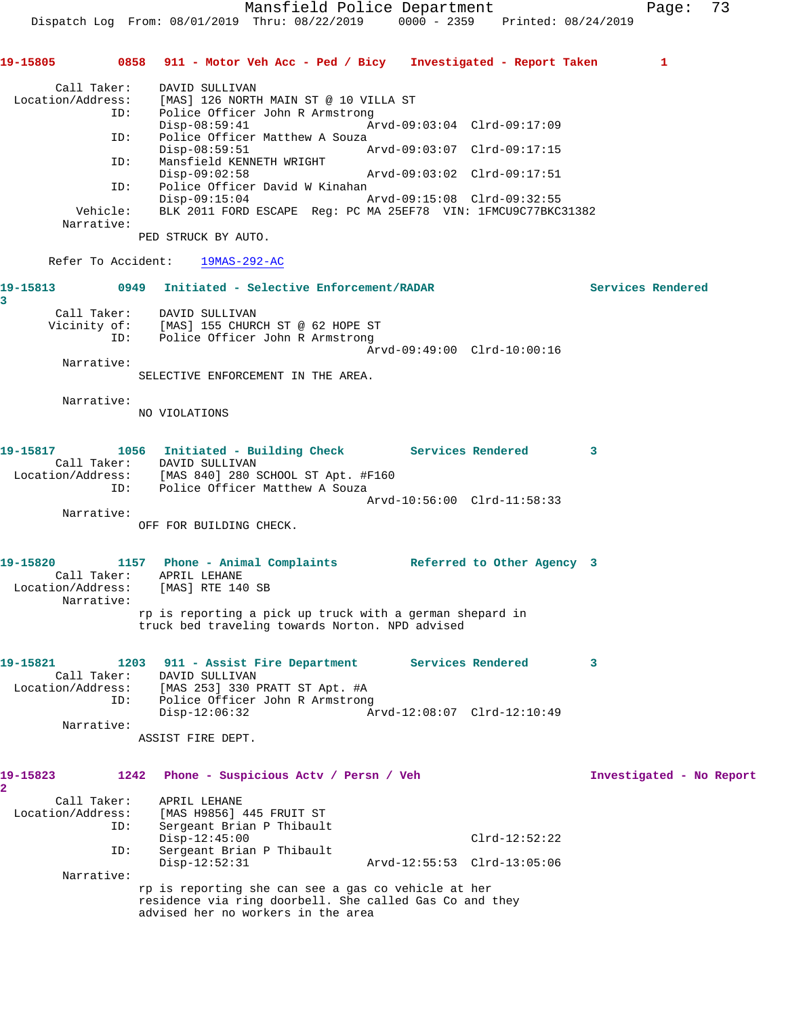Mansfield Police Department Page: 73 Dispatch Log From: 08/01/2019 Thru: 08/22/2019 0000 - 2359 Printed: 08/24/2019 **19-15805 0858 911 - Motor Veh Acc - Ped / Bicy Investigated - Report Taken 1** Call Taker: DAVID SULLIVAN Location/Address: [MAS] 126 NORTH MAIN ST @ 10 VILLA ST ID: Police Officer John R Armstrong<br>Disp-08:59:41 Ar Disp-08:59:41 Arvd-09:03:04 Clrd-09:17:09 ID: Police Officer Matthew A Souza<br>Disp-08:59:51 Disp-08:59:51 Arvd-09:03:07 Clrd-09:17:15<br>ID: Mansfield KENNETH WRIGHT Mansfield KENNETH WRIGHT<br>Disp-09:02:58 Disp-09:02:58 Arvd-09:03:02 Clrd-09:17:51 ID: Police Officer David W Kinahan<br>Disp-09:15:04 Arvd-09:15:08 Clrd-09:32:55  $Disp-09:15:04$  Vehicle: BLK 2011 FORD ESCAPE Reg: PC MA 25EF78 VIN: 1FMCU9C77BKC31382 Narrative: PED STRUCK BY AUTO. Refer To Accident: 19MAS-292-AC **19-15813 0949 Initiated - Selective Enforcement/RADAR Services Rendered 3**  Call Taker: DAVID SULLIVAN Vicinity of: [MAS] 155 CHURCH ST @ 62 HOPE ST ID: Police Officer John R Armstrong Arvd-09:49:00 Clrd-10:00:16 Narrative: SELECTIVE ENFORCEMENT IN THE AREA. Narrative: NO VIOLATIONS **19-15817 1056 Initiated - Building Check Services Rendered 3**  Call Taker: DAVID SULLIVAN Location/Address: [MAS 840] 280 SCHOOL ST Apt. #F160 ID: Police Officer Matthew A Souza Arvd-10:56:00 Clrd-11:58:33 Narrative: OFF FOR BUILDING CHECK. **19-15820 1157 Phone - Animal Complaints Referred to Other Agency 3**  Call Taker: APRIL LEHANE Location/Address: [MAS] RTE 140 SB Narrative: rp is reporting a pick up truck with a german shepard in truck bed traveling towards Norton. NPD advised **19-15821 1203 911 - Assist Fire Department Services Rendered 3**  Call Taker: DAVID SULLIVAN Location/Address: [MAS 253] 330 PRATT ST Apt. #A ID: Police Officer John R Armstrong<br>Disp-12:06:32 Ar Disp-12:06:32 Arvd-12:08:07 Clrd-12:10:49 Narrative: ASSIST FIRE DEPT. **19-15823 1242 Phone - Suspicious Actv / Persn / Veh Investigated - No Report 2**  Call Taker: APRIL LEHANE Location/Address: [MAS H9856] 445 FRUIT ST ID: Sergeant Brian P Thibault Disp-12:45:00 Clrd-12:52:22 ID: Sergeant Brian P Thibault Disp-12:52:31 Arvd-12:55:53 Clrd-13:05:06 Narrative: rp is reporting she can see a gas co vehicle at her residence via ring doorbell. She called Gas Co and they advised her no workers in the area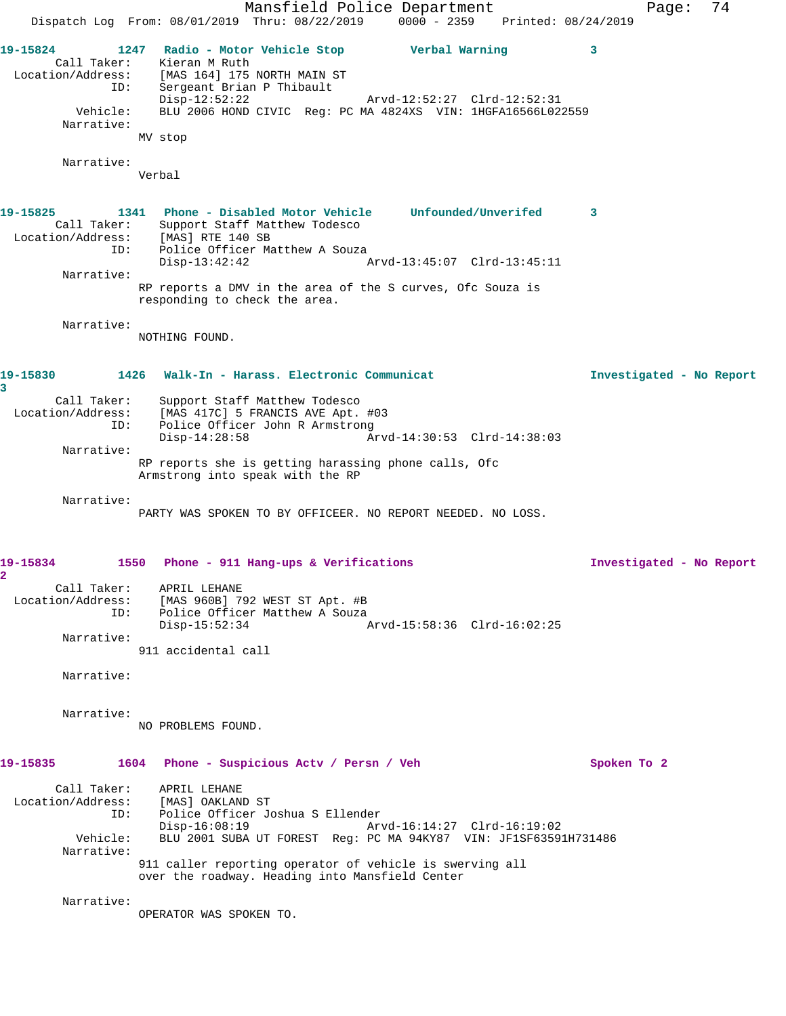Mansfield Police Department Page: 74 Dispatch Log From: 08/01/2019 Thru: 08/22/2019 0000 - 2359 Printed: 08/24/2019 **19-15824 1247 Radio - Motor Vehicle Stop Verbal Warning 3**  Call Taker: Kieran M Ruth Location/Address: [MAS 164] 175 NORTH MAIN ST ID: Sergeant Brian P Thibault Disp-12:52:22 Arvd-12:52:27 Clrd-12:52:31 Vehicle: BLU 2006 HOND CIVIC Reg: PC MA 4824XS VIN: 1HGFA16566L022559 Narrative: MV stop Narrative: Verbal **19-15825 1341 Phone - Disabled Motor Vehicle Unfounded/Unverifed 3**  Call Taker: Support Staff Matthew Todesco<br>Location/Address: [MAS] RTE 140 SB ess: [MAS] RTE 140 SB<br>ID: Police Additional RD: Police Officer Matthew A Souza<br>Disp-13:42:42 Disp-13:42:42 Arvd-13:45:07 Clrd-13:45:11 Narrative: RP reports a DMV in the area of the S curves, Ofc Souza is responding to check the area. Narrative: NOTHING FOUND. **19-15830 1426 Walk-In - Harass. Electronic Communicat Investigated - No Report 3**  Call Taker: Support Staff Matthew Todesco Location/Address: [MAS 417C] 5 FRANCIS AVE Apt. #03 ID: Police Officer John R Armstrong Disp-14:28:58 Arvd-14:30:53 Clrd-14:38:03 Narrative: RP reports she is getting harassing phone calls, Ofc Armstrong into speak with the RP Narrative: PARTY WAS SPOKEN TO BY OFFICEER. NO REPORT NEEDED. NO LOSS. **19-15834 1550 Phone - 911 Hang-ups & Verifications Investigated - No Report 2**  Call Taker: APRIL LEHANE Location/Address: [MAS 960B] 792 WEST ST Apt. #B ID: Police Officer Matthew A Souza Disp-15:52:34 Arvd-15:58:36 Clrd-16:02:25 Narrative: 911 accidental call Narrative: Narrative: NO PROBLEMS FOUND. **19-15835 1604 Phone - Suspicious Actv / Persn / Veh Spoken To 2** Call Taker: APRIL LEHANE Location/Address: [MAS] OAKLAND ST ID: Police Officer Joshua S Ellender Disp-16:08:19 Arvd-16:14:27 Clrd-16:19:02 Vehicle: BLU 2001 SUBA UT FOREST Reg: PC MA 94KY87 VIN: JF1SF63591H731486 Narrative: 911 caller reporting operator of vehicle is swerving all over the roadway. Heading into Mansfield Center Narrative: OPERATOR WAS SPOKEN TO.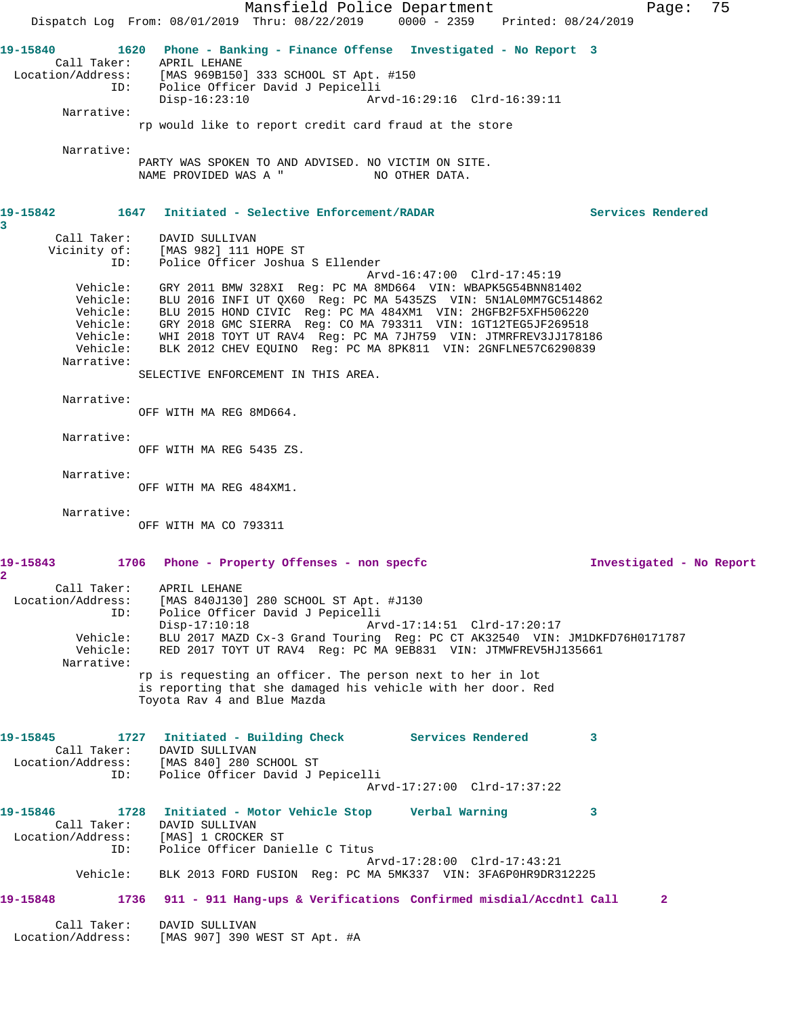Mansfield Police Department Fage: 75 Dispatch Log From: 08/01/2019 Thru: 08/22/2019 0000 - 2359 Printed: 08/24/2019 **19-15840 1620 Phone - Banking - Finance Offense Investigated - No Report 3**  Call Taker: APRIL LEHANE Location/Address: [MAS 969B150] 333 SCHOOL ST Apt. #150 ID: Police Officer David J Pepicelli Disp-16:23:10 Arvd-16:29:16 Clrd-16:39:11 Narrative: rp would like to report credit card fraud at the store Narrative: PARTY WAS SPOKEN TO AND ADVISED. NO VICTIM ON SITE.<br>NAME PROVIDED WAS A " NO OTHER DATA. NAME PROVIDED WAS A " **19-15842 1647 Initiated - Selective Enforcement/RADAR Services Rendered 3**  Call Taker: DAVID SULLIVAN Vicinity of: [MAS 982] 111 HOPE ST ID: Police Officer Joshua S Ellender Arvd-16:47:00 Clrd-17:45:19 Vehicle: GRY 2011 BMW 328XI Reg: PC MA 8MD664 VIN: WBAPK5G54BNN81402 Vehicle: BLU 2016 INFI UT QX60 Reg: PC MA 5435ZS VIN: 5N1AL0MM7GC514862 Vehicle: BLU 2015 HOND CIVIC Reg: PC MA 484XM1 VIN: 2HGFB2F5XFH506220 Vehicle: GRY 2018 GMC SIERRA Reg: CO MA 793311 VIN: 1GT12TEG5JF269518 Vehicle: WHI 2018 TOYT UT RAV4 Reg: PC MA 7JH759 VIN: JTMRFREV3JJ178186 Vehicle: BLK 2012 CHEV EQUINO Reg: PC MA 8PK811 VIN: 2GNFLNE57C6290839 Narrative: SELECTIVE ENFORCEMENT IN THIS AREA. Narrative: OFF WITH MA REG 8MD664. Narrative: OFF WITH MA REG 5435 ZS. Narrative: OFF WITH MA REG 484XM1. Narrative: OFF WITH MA CO 793311 **19-15843 1706 Phone - Property Offenses - non specfc Investigated - No Report 2**  Call Taker: APRIL LEHANE Location/Address: [MAS 840J130] 280 SCHOOL ST Apt. #J130 ID: Police Officer David J Pepicelli<br>Disp-17:10:18 Arv Disp-17:10:18 Arvd-17:14:51 Clrd-17:20:17 Vehicle: BLU 2017 MAZD Cx-3 Grand Touring Reg: PC CT AK32540 VIN: JM1DKFD76H0171787 Vehicle: RED 2017 TOYT UT RAV4 Reg: PC MA 9EB831 VIN: JTMWFREV5HJ135661 Narrative: rp is requesting an officer. The person next to her in lot is reporting that she damaged his vehicle with her door. Red Toyota Rav 4 and Blue Mazda **19-15845 1727 Initiated - Building Check Services Rendered 3**  Call Taker: DAVID SULLIVAN Location/Address: [MAS 840] 280 SCHOOL ST ID: Police Officer David J Pepicelli Arvd-17:27:00 Clrd-17:37:22 **19-15846 1728 Initiated - Motor Vehicle Stop Verbal Warning 3**  Call Taker: DAVID SULLIVAN Location/Address: [MAS] 1 CROCKER ST ID: Police Officer Danielle C Titus Arvd-17:28:00 Clrd-17:43:21 Vehicle: BLK 2013 FORD FUSION Reg: PC MA 5MK337 VIN: 3FA6P0HR9DR312225 **19-15848 1736 911 - 911 Hang-ups & Verifications Confirmed misdial/Accdntl Call 2** Call Taker: DAVID SULLIVAN Location/Address: [MAS 907] 390 WEST ST Apt. #A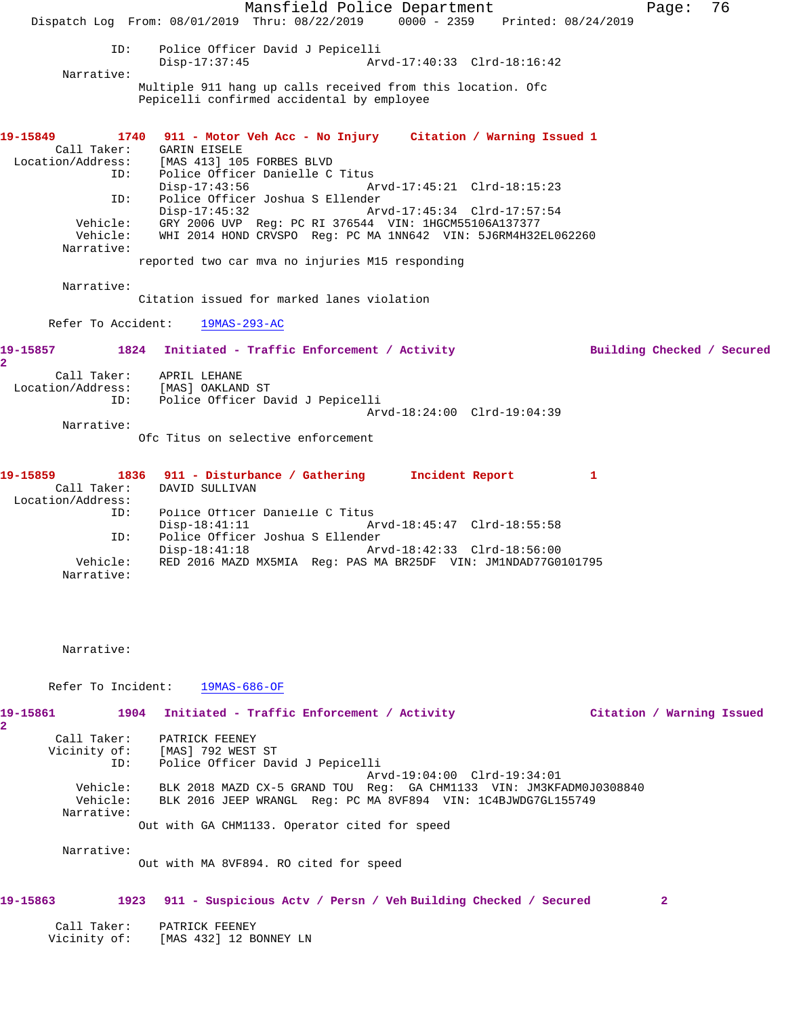Mansfield Police Department Fage: 76 Dispatch Log From: 08/01/2019 Thru: 08/22/2019 0000 - 2359 Printed: 08/24/2019 ID: Police Officer David J Pepicelli Disp-17:37:45 Arvd-17:40:33 Clrd-18:16:42 Narrative: Multiple 911 hang up calls received from this location. Ofc Pepicelli confirmed accidental by employee **19-15849 1740 911 - Motor Veh Acc - No Injury Citation / Warning Issued 1**  Call Taker: GARIN EISELE Location/Address: [MAS 413] 105 FORBES BLVD ESS: ادلیه علمی ادلیه Police Officer Danielle C Titus<br>ID: Police Officer Danielle C Titus<br>Disp-17:43:56 Ar Disp-17:43:56 Arvd-17:45:21 Clrd-18:15:23 ID: Police Officer Joshua S Ellender Disp-17:45:32 Arvd-17:45:34 Clrd-17:57:54 Vehicle: GRY 2006 UVP Reg: PC RI 376544 VIN: 1HGCM55106A137377 Vehicle: WHI 2014 HOND CRVSPO Reg: PC MA 1NN642 VIN: 5J6RM4H32EL062260 Narrative: reported two car mva no injuries M15 responding Narrative: Citation issued for marked lanes violation Refer To Accident: 19MAS-293-AC **19-15857 1824 Initiated - Traffic Enforcement / Activity Building Checked / Secured 2**  Call Taker: APRIL LEHANE Location/Address: [MAS] OAKLAND ST ID: Police Officer David J Pepicelli Arvd-18:24:00 Clrd-19:04:39 Narrative: Ofc Titus on selective enforcement **19-15859 1836 911 - Disturbance / Gathering Incident Report 1**  Call Taker: DAVID SULLIVAN Location/Address: ID: Police Officer Danielle C Titus Disp-18:41:11 Arvd-18:45:47 Clrd-18:55:58 ID: Police Officer Joshua S Ellender Disp-18:41:18 Vehicle: RED 2016 MAZD MX5MIA Reg: PAS MA BR25DF VIN: JM1NDAD77G0101795

Narrative:

Narrative:

Narrative:

Refer To Incident: 19MAS-686-OF

**19-15861 1904 Initiated - Traffic Enforcement / Activity Citation / Warning Issued 2**  Call Taker: PATRICK FEENEY Vicinity of: [MAS] 792 WEST ST ID: Police Officer David J Pepicelli Arvd-19:04:00 Clrd-19:34:01 Vehicle: BLK 2018 MAZD CX-5 GRAND TOU Reg: GA CHM1133 VIN: JM3KFADM0J0308840 Vehicle: BLK 2016 JEEP WRANGL Reg: PC MA 8VF894 VIN: 1C4BJWDG7GL155749 Narrative: Out with GA CHM1133. Operator cited for speed

Out with MA 8VF894. RO cited for speed

# **19-15863 1923 911 - Suspicious Actv / Persn / Veh Building Checked / Secured 2**

| Call Taker:  | PATRICK FEENEY         |
|--------------|------------------------|
| Vicinity of: | [MAS 432] 12 BONNEY LN |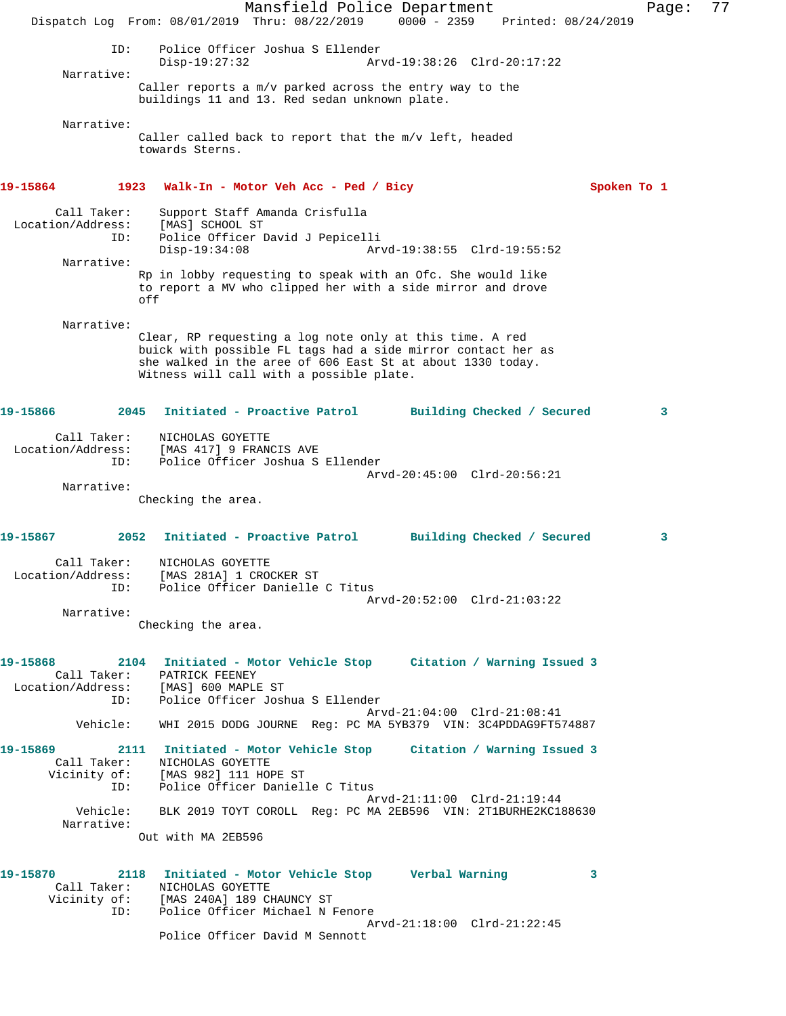Mansfield Police Department Fage: 77 Dispatch Log From: 08/01/2019 Thru: 08/22/2019 0000 - 2359 Printed: 08/24/2019 ID: Police Officer Joshua S Ellender Disp-19:27:32 Arvd-19:38:26 Clrd-20:17:22 Narrative: Caller reports a m/v parked across the entry way to the buildings 11 and 13. Red sedan unknown plate. Narrative: Caller called back to report that the m/v left, headed towards Sterns. **19-15864 1923 Walk-In - Motor Veh Acc - Ped / Bicy Spoken To 1** Call Taker: Support Staff Amanda Crisfulla Location/Address: [MAS] SCHOOL ST ID: Police Officer David J Pepicelli Disp-19:34:08 Arvd-19:38:55 Clrd-19:55:52 Narrative: Rp in lobby requesting to speak with an Ofc. She would like to report a MV who clipped her with a side mirror and drove off Narrative: Clear, RP requesting a log note only at this time. A red buick with possible FL tags had a side mirror contact her as she walked in the aree of 606 East St at about 1330 today. Witness will call with a possible plate. **19-15866 2045 Initiated - Proactive Patrol Building Checked / Secured 3** Call Taker: NICHOLAS GOYETTE Location/Address: [MAS 417] 9 FRANCIS AVE ID: Police Officer Joshua S Ellender Arvd-20:45:00 Clrd-20:56:21 Narrative: Checking the area. **19-15867 2052 Initiated - Proactive Patrol Building Checked / Secured 3** Call Taker: NICHOLAS GOYETTE Location/Address: [MAS 281A] 1 CROCKER ST ID: Police Officer Danielle C Titus Arvd-20:52:00 Clrd-21:03:22 Narrative: Checking the area. **19-15868 2104 Initiated - Motor Vehicle Stop Citation / Warning Issued 3**  Call Taker: PATRICK FEENEY Location/Address: [MAS] 600 MAPLE ST ID: Police Officer Joshua S Ellender Arvd-21:04:00 Clrd-21:08:41 Vehicle: WHI 2015 DODG JOURNE Reg: PC MA 5YB379 VIN: 3C4PDDAG9FT574887 **19-15869 2111 Initiated - Motor Vehicle Stop Citation / Warning Issued 3**  Call Taker: NICHOLAS GOYETTE Vicinity of: [MAS 982] 111 HOPE ST ID: Police Officer Danielle C Titus Arvd-21:11:00 Clrd-21:19:44 Vehicle: BLK 2019 TOYT COROLL Reg: PC MA 2EB596 VIN: 2T1BURHE2KC188630 Narrative: Out with MA 2EB596 **19-15870 2118 Initiated - Motor Vehicle Stop Verbal Warning 3**  Call Taker: NICHOLAS GOYETTE Vicinity of: [MAS 240A] 189 CHAUNCY ST ID: Police Officer Michael N Fenore Arvd-21:18:00 Clrd-21:22:45 Police Officer David M Sennott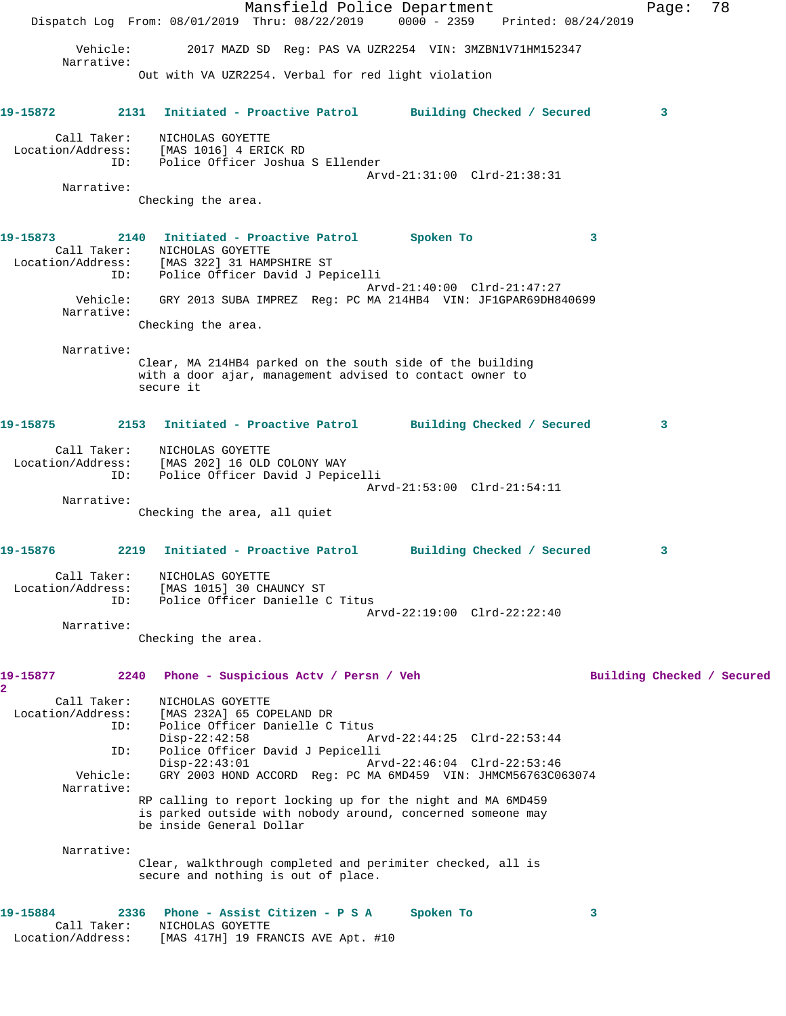Mansfield Police Department Fage: 78 Dispatch Log From: 08/01/2019 Thru: 08/22/2019 0000 - 2359 Printed: 08/24/2019 Vehicle: 2017 MAZD SD Reg: PAS VA UZR2254 VIN: 3MZBN1V71HM152347 Narrative: Out with VA UZR2254. Verbal for red light violation **19-15872 2131 Initiated - Proactive Patrol Building Checked / Secured 3** Call Taker: NICHOLAS GOYETTE Location/Address: [MAS 1016] 4 ERICK RD ID: Police Officer Joshua S Ellender Arvd-21:31:00 Clrd-21:38:31 Narrative: Checking the area. **19-15873 2140 Initiated - Proactive Patrol Spoken To 3**  Call Taker: NICHOLAS GOYETTE Location/Address: [MAS 322] 31 HAMPSHIRE ST ID: Police Officer David J Pepicelli Arvd-21:40:00 Clrd-21:47:27 Vehicle: GRY 2013 SUBA IMPREZ Reg: PC MA 214HB4 VIN: JF1GPAR69DH840699 Narrative: Checking the area. Narrative: Clear, MA 214HB4 parked on the south side of the building with a door ajar, management advised to contact owner to secure it **19-15875 2153 Initiated - Proactive Patrol Building Checked / Secured 3** Call Taker: NICHOLAS GOYETTE Location/Address: [MAS 202] 16 OLD COLONY WAY ID: Police Officer David J Pepicelli Arvd-21:53:00 Clrd-21:54:11 Narrative: Checking the area, all quiet **19-15876 2219 Initiated - Proactive Patrol Building Checked / Secured 3** Call Taker: NICHOLAS GOYETTE Location/Address: [MAS 1015] 30 CHAUNCY ST ID: Police Officer Danielle C Titus Arvd-22:19:00 Clrd-22:22:40 Narrative: Checking the area. 19-15877 2240 Phone - Suspicious Actv / Persn / Veh Building Checked / Secured **2**  Call Taker: NICHOLAS GOYETTE Location/Address: [MAS 232A] 65 COPELAND DR ID: Police Officer Danielle C Titus<br>Disp-22:42:58 Mrvd-22:44:25 Clrd-22:53:44 Disp-22:42:58 Arvd-22:44:25 Clrd-22:53:44 ID: Police Officer David J Pepicelli Disp-22:43:01 Arvd-22:46:04 Clrd-22:53:46 Vehicle: GRY 2003 HOND ACCORD Reg: PC MA 6MD459 VIN: JHMCM56763C063074 Narrative: RP calling to report locking up for the night and MA 6MD459 is parked outside with nobody around, concerned someone may be inside General Dollar Narrative: Clear, walkthrough completed and perimiter checked, all is secure and nothing is out of place. **19-15884 2336 Phone - Assist Citizen - P S A Spoken To 3**  Call Taker: NICHOLAS GOYETTE Location/Address: [MAS 417H] 19 FRANCIS AVE Apt. #10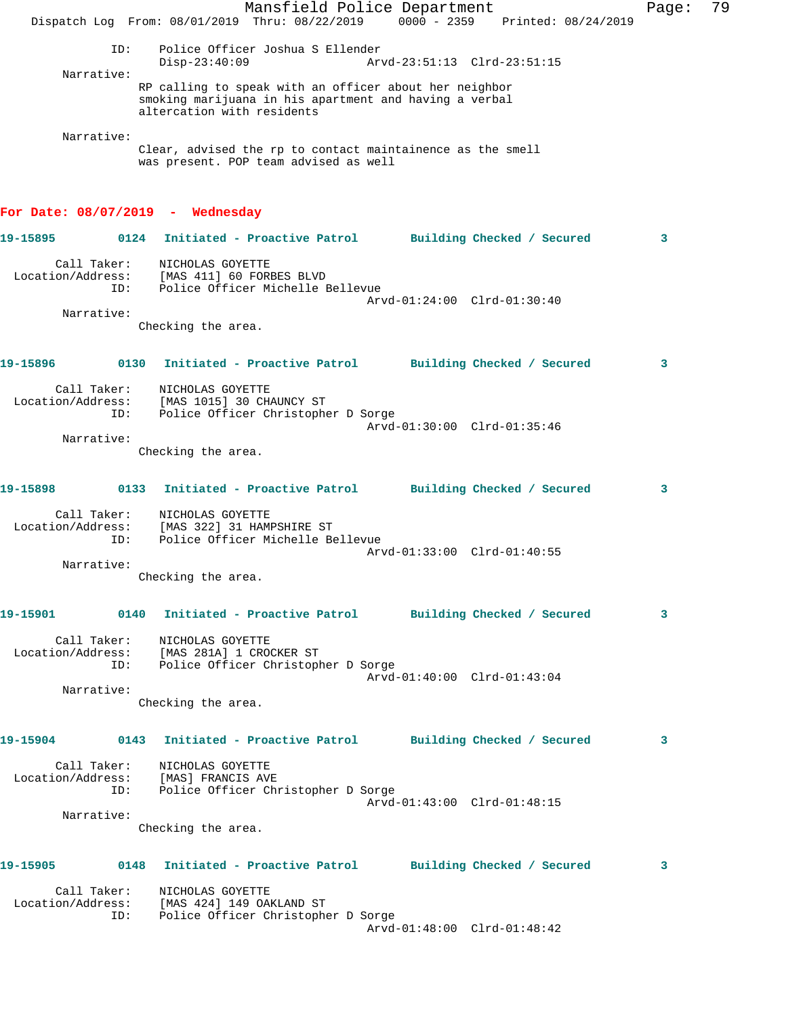|                                                                       |                                                                                                                                                | Mansfield Police Department        |                             |  | Page: | 79 |
|-----------------------------------------------------------------------|------------------------------------------------------------------------------------------------------------------------------------------------|------------------------------------|-----------------------------|--|-------|----|
|                                                                       | Dispatch Log From: 08/01/2019 Thru: 08/22/2019 0000 - 2359 Printed: 08/24/2019                                                                 |                                    |                             |  |       |    |
| ID:                                                                   | $Disp-23:40:09$                                                                                                                                | Police Officer Joshua S Ellender   | Arvd-23:51:13 Clrd-23:51:15 |  |       |    |
| Narrative:                                                            |                                                                                                                                                |                                    |                             |  |       |    |
|                                                                       | RP calling to speak with an officer about her neighbor<br>smoking marijuana in his apartment and having a verbal<br>altercation with residents |                                    |                             |  |       |    |
| Narrative:                                                            |                                                                                                                                                |                                    |                             |  |       |    |
|                                                                       | Clear, advised the rp to contact maintainence as the smell<br>was present. POP team advised as well                                            |                                    |                             |  |       |    |
| For Date: $08/07/2019$ - Wednesday                                    |                                                                                                                                                |                                    |                             |  |       |    |
| 19-15895                                                              | 0124 Initiated - Proactive Patrol Building Checked / Secured                                                                                   |                                    |                             |  | 3     |    |
| Call Taker:<br>Location/Address:<br>ID:                               | NICHOLAS GOYETTE<br>[MAS 411] 60 FORBES BLVD                                                                                                   | Police Officer Michelle Bellevue   |                             |  |       |    |
| Narrative:                                                            |                                                                                                                                                |                                    | Arvd-01:24:00 Clrd-01:30:40 |  |       |    |
|                                                                       | Checking the area.                                                                                                                             |                                    |                             |  |       |    |
| 19-15896                                                              | 0130 Initiated - Proactive Patrol Building Checked / Secured                                                                                   |                                    |                             |  | 3     |    |
| Call Taker:                                                           | NICHOLAS GOYETTE                                                                                                                               |                                    |                             |  |       |    |
| Location/Address:<br>ID:                                              | [MAS 1015] 30 CHAUNCY ST                                                                                                                       | Police Officer Christopher D Sorge |                             |  |       |    |
|                                                                       |                                                                                                                                                |                                    | Arvd-01:30:00 Clrd-01:35:46 |  |       |    |
| Narrative:                                                            |                                                                                                                                                |                                    |                             |  |       |    |
|                                                                       | Checking the area.                                                                                                                             |                                    |                             |  |       |    |
| 19-15898                                                              | 0133 Initiated - Proactive Patrol Building Checked / Secured                                                                                   |                                    |                             |  | 3     |    |
| Call Taker:<br>Location/Address:<br>ID:                               | NICHOLAS GOYETTE<br>[MAS 322] 31 HAMPSHIRE ST                                                                                                  | Police Officer Michelle Bellevue   |                             |  |       |    |
|                                                                       |                                                                                                                                                |                                    | Arvd-01:33:00 Clrd-01:40:55 |  |       |    |
| Narrative:                                                            | Checking the area.                                                                                                                             |                                    |                             |  |       |    |
|                                                                       |                                                                                                                                                |                                    |                             |  |       |    |
| 19-15901 0140 Initiated - Proactive Patrol Building Checked / Secured |                                                                                                                                                |                                    |                             |  | 3     |    |
| ID:                                                                   | Call Taker: NICHOLAS GOYETTE<br>Location/Address: [MAS 281A] 1 CROCKER ST<br>Police Officer Christopher D Sorge                                |                                    |                             |  |       |    |
|                                                                       |                                                                                                                                                |                                    | Arvd-01:40:00 Clrd-01:43:04 |  |       |    |
| Narrative:                                                            |                                                                                                                                                |                                    |                             |  |       |    |
|                                                                       | Checking the area.                                                                                                                             |                                    |                             |  |       |    |
| 19-15904 0143 Initiated - Proactive Patrol Building Checked / Secured |                                                                                                                                                |                                    |                             |  | 3     |    |
| ID:                                                                   | Call Taker: NICHOLAS GOYETTE<br>Location/Address: [MAS] FRANCIS AVE<br>Police Officer Christopher D Sorge                                      |                                    |                             |  |       |    |
|                                                                       |                                                                                                                                                |                                    | Arvd-01:43:00 Clrd-01:48:15 |  |       |    |
| Narrative:                                                            | Checking the area.                                                                                                                             |                                    |                             |  |       |    |
| 19-15905 0148 Initiated - Proactive Patrol Building Checked / Secured |                                                                                                                                                |                                    |                             |  | 3     |    |
|                                                                       | Call Taker: NICHOLAS GOYETTE                                                                                                                   |                                    |                             |  |       |    |
| ID:                                                                   | Location/Address: [MAS 424] 149 OAKLAND ST<br>Police Officer Christopher D Sorge                                                               |                                    | Arvd-01:48:00 Clrd-01:48:42 |  |       |    |
|                                                                       |                                                                                                                                                |                                    |                             |  |       |    |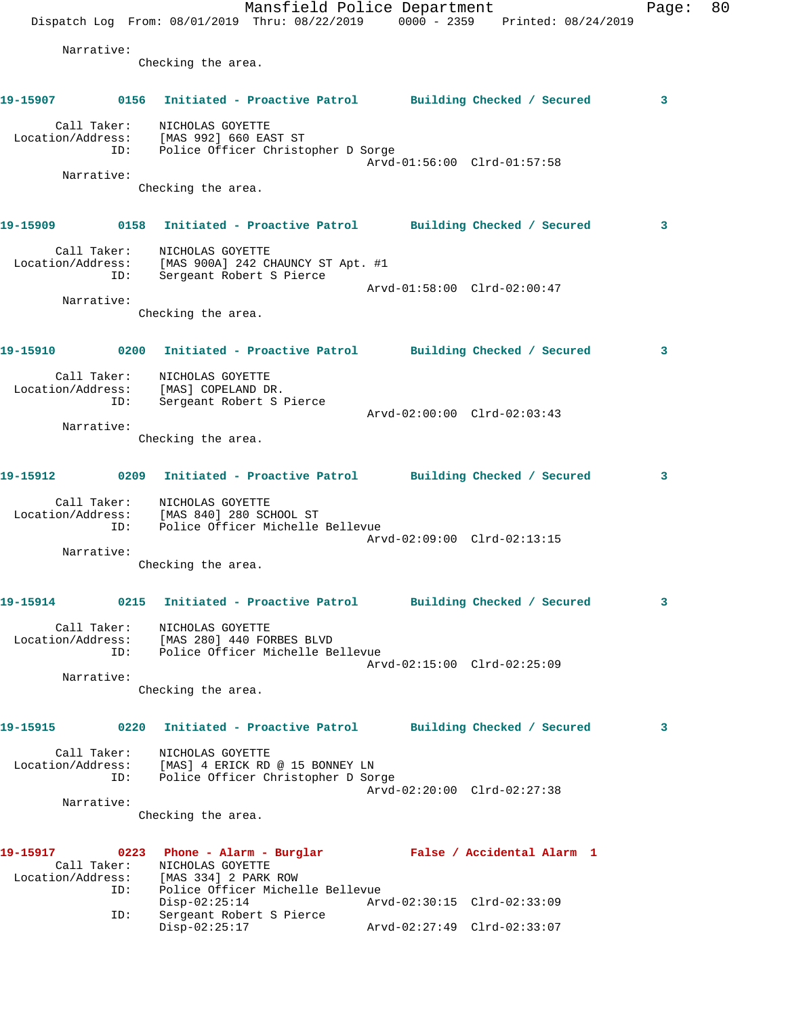Mansfield Police Department Page: 80 Dispatch Log From:  $08/01/2019$  Thru:  $08/22/2019$  0000 - 2359 Printed:  $08/24/2019$  Narrative: Checking the area. **19-15907 0156 Initiated - Proactive Patrol Building Checked / Secured 3** Call Taker: NICHOLAS GOYETTE Location/Address: [MAS 992] 660 EAST ST ID: Police Officer Christopher D Sorge Arvd-01:56:00 Clrd-01:57:58 Narrative: Checking the area. **19-15909 0158 Initiated - Proactive Patrol Building Checked / Secured 3** Call Taker: NICHOLAS GOYETTE Location/Address: [MAS 900A] 242 CHAUNCY ST Apt. #1 ID: Sergeant Robert S Pierce Arvd-01:58:00 Clrd-02:00:47 Narrative: Checking the area. **19-15910 0200 Initiated - Proactive Patrol Building Checked / Secured 3** Call Taker: NICHOLAS GOYETTE Location/Address: [MAS] COPELAND DR. ID: Sergeant Robert S Pierce Arvd-02:00:00 Clrd-02:03:43 Narrative: Checking the area. **19-15912 0209 Initiated - Proactive Patrol Building Checked / Secured 3** Call Taker: NICHOLAS GOYETTE Location/Address: [MAS 840] 280 SCHOOL ST ID: Police Officer Michelle Bellevue Arvd-02:09:00 Clrd-02:13:15 Narrative: Checking the area. **19-15914 0215 Initiated - Proactive Patrol Building Checked / Secured 3** Call Taker: NICHOLAS GOYETTE Location/Address: [MAS 280] 440 FORBES BLVD ID: Police Officer Michelle Bellevue Arvd-02:15:00 Clrd-02:25:09 Narrative: Checking the area. **19-15915 0220 Initiated - Proactive Patrol Building Checked / Secured 3** Call Taker: NICHOLAS GOYETTE Location/Address: [MAS] 4 ERICK RD @ 15 BONNEY LN ID: Police Officer Christopher D Sorge Arvd-02:20:00 Clrd-02:27:38 Narrative: Checking the area. **19-15917 0223 Phone - Alarm - Burglar False / Accidental Alarm 1**  Call Taker: NICHOLAS GOYETTE Location/Address: [MAS 334] 2 PARK ROW ID: Police Officer Michelle Bellevue<br>Disp-02:25:14 Arvd-02:30:15 Clrd-02:33:09 Disp-02:25:14 Arvd-02:30:15 Clrd-02:33:09 ID: Sergeant Robert S Pierce Disp-02:25:17 Arvd-02:27:49 Clrd-02:33:07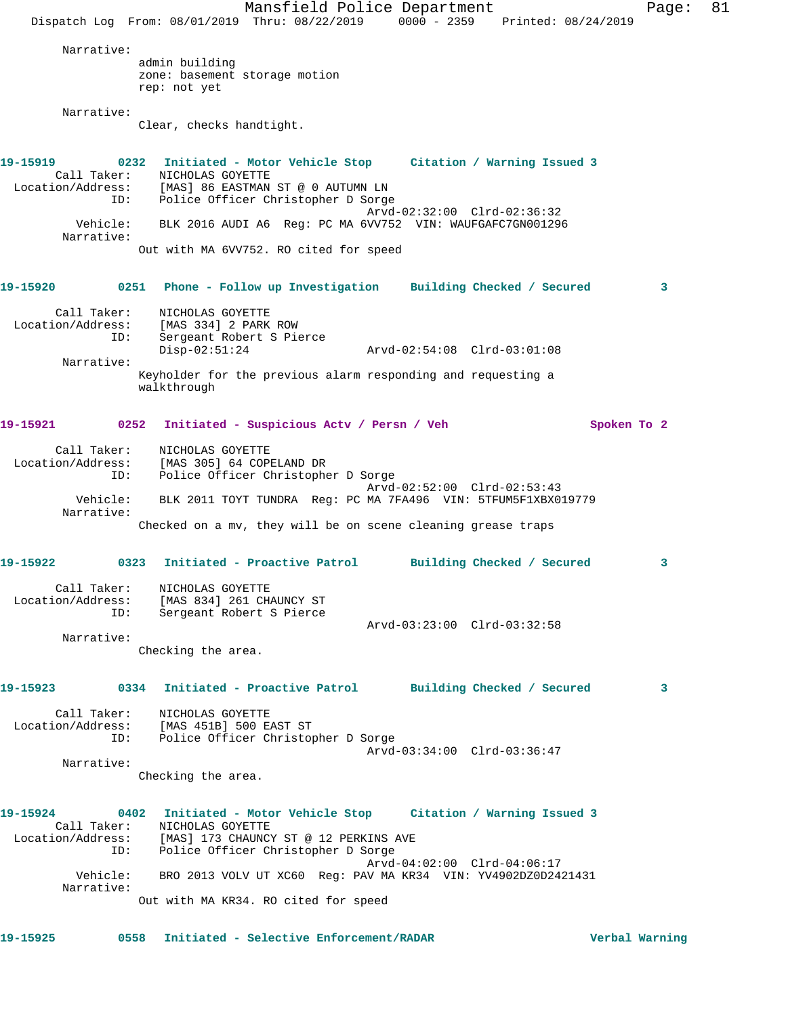Mansfield Police Department Fage: 81 Dispatch Log From: 08/01/2019 Thru: 08/22/2019 0000 - 2359 Printed: 08/24/2019 Narrative: admin building zone: basement storage motion rep: not yet Narrative: Clear, checks handtight. **19-15919 0232 Initiated - Motor Vehicle Stop Citation / Warning Issued 3**  Call Taker: NICHOLAS GOYETTE Location/Address: [MAS] 86 EASTMAN ST @ 0 AUTUMN LN ID: Police Officer Christopher D Sorge Arvd-02:32:00 Clrd-02:36:32 Vehicle: BLK 2016 AUDI A6 Reg: PC MA 6VV752 VIN: WAUFGAFC7GN001296 Narrative: Out with MA 6VV752. RO cited for speed **19-15920 0251 Phone - Follow up Investigation Building Checked / Secured 3** Call Taker: NICHOLAS GOYETTE Location/Address: [MAS 334] 2 PARK ROW ID: Sergeant Robert S Pierce Disp-02:51:24 Arvd-02:54:08 Clrd-03:01:08 Narrative: Keyholder for the previous alarm responding and requesting a walkthrough 19-15921 0252 Initiated - Suspicious Actv / Persn / Veh Spoken To 2 Call Taker: NICHOLAS GOYETTE Location/Address: [MAS 305] 64 COPELAND DR ID: Police Officer Christopher D Sorge Arvd-02:52:00 Clrd-02:53:43 Vehicle: BLK 2011 TOYT TUNDRA Reg: PC MA 7FA496 VIN: 5TFUM5F1XBX019779 Narrative: Checked on a mv, they will be on scene cleaning grease traps **19-15922 0323 Initiated - Proactive Patrol Building Checked / Secured 3** Call Taker: NICHOLAS GOYETTE Location/Address: [MAS 834] 261 CHAUNCY ST ID: Sergeant Robert S Pierce Arvd-03:23:00 Clrd-03:32:58 Narrative: Checking the area. **19-15923 0334 Initiated - Proactive Patrol Building Checked / Secured 3** Call Taker: NICHOLAS GOYETTE Location/Address: [MAS 451B] 500 EAST ST ID: Police Officer Christopher D Sorge Arvd-03:34:00 Clrd-03:36:47 Narrative: Checking the area. **19-15924 0402 Initiated - Motor Vehicle Stop Citation / Warning Issued 3**  Call Taker: NICHOLAS GOYETTE Location/Address: [MAS] 173 CHAUNCY ST @ 12 PERKINS AVE ID: Police Officer Christopher D Sorge Arvd-04:02:00 Clrd-04:06:17 Vehicle: BRO 2013 VOLV UT XC60 Reg: PAV MA KR34 VIN: YV4902DZ0D2421431 Narrative: Out with MA KR34. RO cited for speed **19-15925 0558 Initiated - Selective Enforcement/RADAR Verbal Warning**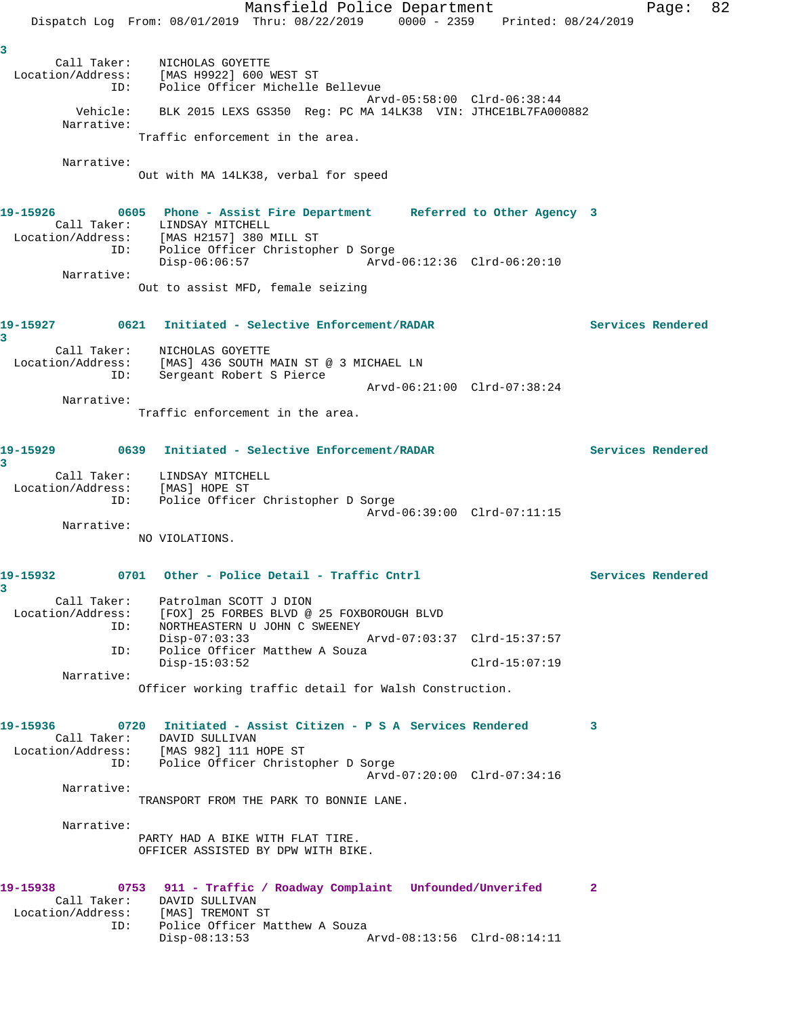Mansfield Police Department Fage: 82 Dispatch Log From: 08/01/2019 Thru: 08/22/2019 0000 - 2359 Printed: 08/24/2019 **3**  Call Taker: NICHOLAS GOYETTE Location/Address: [MAS H9922] 600 WEST ST ID: Police Officer Michelle Bellevue Arvd-05:58:00 Clrd-06:38:44 Vehicle: BLK 2015 LEXS GS350 Reg: PC MA 14LK38 VIN: JTHCE1BL7FA000882 Narrative: Traffic enforcement in the area. Narrative: Out with MA 14LK38, verbal for speed **19-15926 0605 Phone - Assist Fire Department Referred to Other Agency 3**  Call Taker: LINDSAY MITCHELL Location/Address: [MAS H2157] 380 MILL ST ID: Police Officer Christopher D Sorge Disp-06:06:57 Arvd-06:12:36 Clrd-06:20:10 Narrative: Out to assist MFD, female seizing **19-15927 0621 Initiated - Selective Enforcement/RADAR Services Rendered 3**  Call Taker: NICHOLAS GOYETTE Location/Address: [MAS] 436 SOUTH MAIN ST @ 3 MICHAEL LN ID: Sergeant Robert S Pierce Arvd-06:21:00 Clrd-07:38:24 Narrative: Traffic enforcement in the area. **19-15929 0639 Initiated - Selective Enforcement/RADAR Services Rendered 3**  Call Taker: LINDSAY MITCHELL Location/Address: [MAS] HOPE ST ID: Police Officer Christopher D Sorge Arvd-06:39:00 Clrd-07:11:15 Narrative: NO VIOLATIONS. 19-15932 0701 Other - Police Detail - Traffic Cntrl **19-15932** Services Rendered **3**  Call Taker: Patrolman SCOTT J DION Location/Address: [FOX] 25 FORBES BLVD @ 25 FOXBOROUGH BLVD ID: NORTHEASTERN U JOHN C SWEENEY Disp-07:03:33 Arvd-07:03:37 Clrd-15:37:57<br>ID: Police Officer Matthew A Souza Police Officer Matthew A Souza Disp-15:03:52 Clrd-15:07:19 Narrative: Officer working traffic detail for Walsh Construction. **19-15936 0720 Initiated - Assist Citizen - P S A Services Rendered 3**  Call Taker: DAVID SULLIVAN Location/Address: [MAS 982] 111 HOPE ST ID: Police Officer Christopher D Sorge Arvd-07:20:00 Clrd-07:34:16 Narrative: TRANSPORT FROM THE PARK TO BONNIE LANE. Narrative: PARTY HAD A BIKE WITH FLAT TIRE. OFFICER ASSISTED BY DPW WITH BIKE. **19-15938 0753 911 - Traffic / Roadway Complaint Unfounded/Unverifed 2**  Call Taker: DAVID SULLIVAN Location/Address: [MAS] TREMONT ST ID: Police Officer Matthew A Souza<br>Disp-08:13:53 Disp-08:13:53 Arvd-08:13:56 Clrd-08:14:11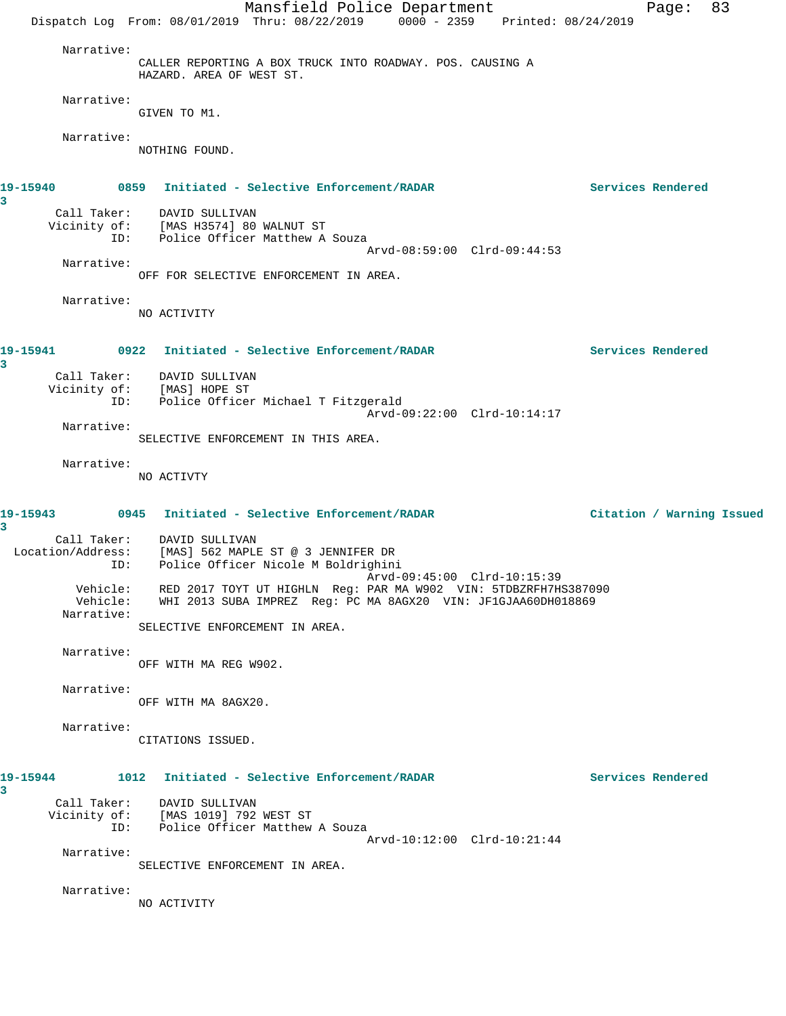|                                    | Mansfield Police Department<br>Dispatch Log From: 08/01/2019 Thru: 08/22/2019 0000 - 2359 Printed: 08/24/2019                      |                   | Page:                     | 83 |
|------------------------------------|------------------------------------------------------------------------------------------------------------------------------------|-------------------|---------------------------|----|
| Narrative:                         | CALLER REPORTING A BOX TRUCK INTO ROADWAY. POS. CAUSING A<br>HAZARD. AREA OF WEST ST.                                              |                   |                           |    |
| Narrative:                         | GIVEN TO M1.                                                                                                                       |                   |                           |    |
| Narrative:                         | NOTHING FOUND.                                                                                                                     |                   |                           |    |
| 3                                  |                                                                                                                                    | Services Rendered |                           |    |
|                                    | Call Taker: DAVID SULLIVAN<br>Vicinity of: [MAS H3574] 80 WALNUT ST<br>ID: Police Officer Matthew A Souza                          |                   |                           |    |
| Narrative:                         | Arvd-08:59:00 Clrd-09:44:53<br>OFF FOR SELECTIVE ENFORCEMENT IN AREA.                                                              |                   |                           |    |
| Narrative:                         | NO ACTIVITY                                                                                                                        |                   |                           |    |
| 3                                  |                                                                                                                                    | Services Rendered |                           |    |
|                                    | Call Taker: DAVID SULLIVAN<br>Vicinity of: [MAS] HOPE ST<br>ID: Police Officer Michael T Fitzgerald<br>Arvd-09:22:00 Clrd-10:14:17 |                   |                           |    |
| Narrative:                         | SELECTIVE ENFORCEMENT IN THIS AREA.                                                                                                |                   |                           |    |
| Narrative:                         | NO ACTIVTY                                                                                                                         |                   |                           |    |
| 3                                  | 19-15943 0945 Initiated - Selective Enforcement/RADAR                                                                              |                   | Citation / Warning Issued |    |
| ID:                                | Call Taker: DAVID SULLIVAN<br>Location/Address: [MAS] 562 MAPLE ST @ 3 JENNIFER DR<br>Police Officer Nicole M Boldrighini          |                   |                           |    |
| Vehicle:<br>Vehicle:<br>Narrative: | RED 2017 TOYT UT HIGHLN Req: PAR MA W902 VIN: 5TDBZRFH7HS387090<br>WHI 2013 SUBA IMPREZ Reg: PC MA 8AGX20 VIN: JF1GJAA60DH018869   |                   |                           |    |
| Narrative:                         | SELECTIVE ENFORCEMENT IN AREA.                                                                                                     |                   |                           |    |
| Narrative:                         | OFF WITH MA REG W902.                                                                                                              |                   |                           |    |
|                                    | OFF WITH MA 8AGX20.                                                                                                                |                   |                           |    |
| Narrative:                         | CITATIONS ISSUED.                                                                                                                  |                   |                           |    |
| 19-15944<br>3                      | 1012 Initiated - Selective Enforcement/RADAR                                                                                       | Services Rendered |                           |    |
| ID:                                | Call Taker: DAVID SULLIVAN<br>Vicinity of: [MAS 1019] 792 WEST ST<br>Police Officer Matthew A Souza<br>Arvd-10:12:00 Clrd-10:21:44 |                   |                           |    |
| Narrative:                         | SELECTIVE ENFORCEMENT IN AREA.                                                                                                     |                   |                           |    |
| Narrative:                         | NO ACTIVITY                                                                                                                        |                   |                           |    |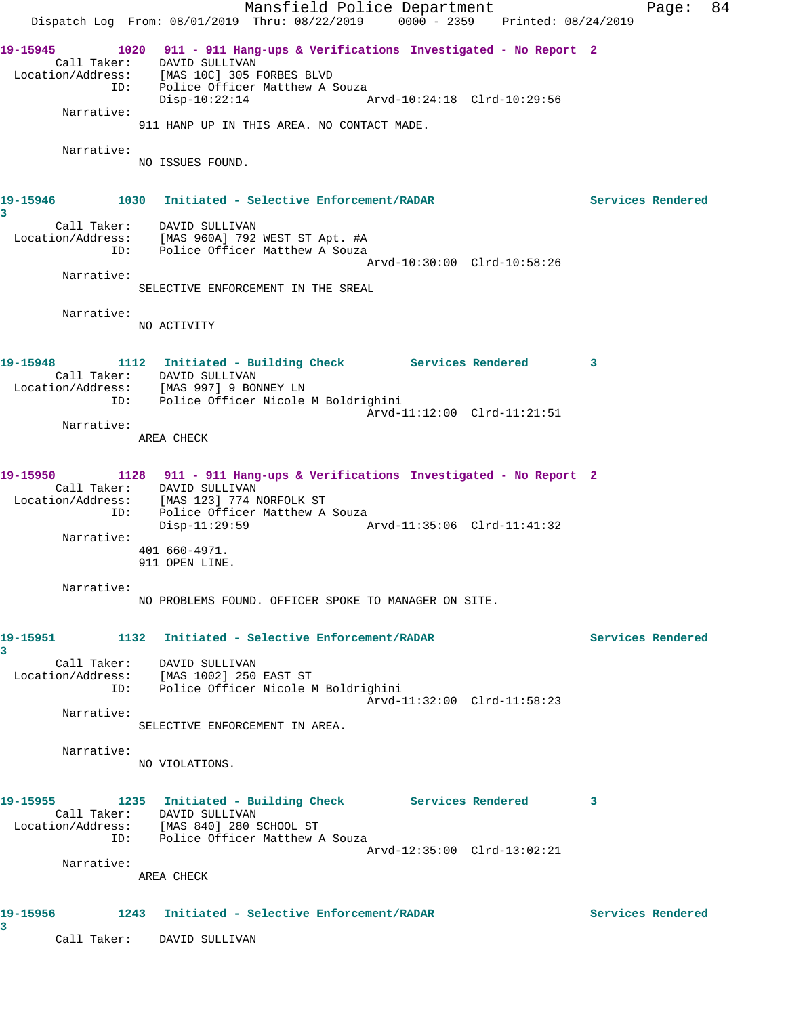Mansfield Police Department Page: 84 Dispatch Log From: 08/01/2019 Thru: 08/22/2019 0000 - 2359 Printed: 08/24/2019 **19-15945 1020 911 - 911 Hang-ups & Verifications Investigated - No Report 2**  Call Taker: DAVID SULLIVAN Location/Address: [MAS 10C] 305 FORBES BLVD ID: Police Officer Matthew A Souza Disp-10:22:14 Arvd-10:24:18 Clrd-10:29:56 Narrative: 911 HANP UP IN THIS AREA. NO CONTACT MADE. Narrative: NO ISSUES FOUND. **19-15946 1030 Initiated - Selective Enforcement/RADAR Services Rendered 3**  Call Taker: DAVID SULLIVAN Location/Address: [MAS 960A] 792 WEST ST Apt. #A ID: Police Officer Matthew A Souza Arvd-10:30:00 Clrd-10:58:26 Narrative: SELECTIVE ENFORCEMENT IN THE SREAL Narrative: NO ACTIVITY **19-15948 1112 Initiated - Building Check Services Rendered 3**  Call Taker: DAVID SULLIVAN Location/Address: [MAS 997] 9 BONNEY LN ID: Police Officer Nicole M Boldrighini Arvd-11:12:00 Clrd-11:21:51 Narrative: AREA CHECK **19-15950 1128 911 - 911 Hang-ups & Verifications Investigated - No Report 2**  Call Taker: DAVID SULLIVAN Location/Address: [MAS 123] 774 NORFOLK ST ID: Police Officer Matthew A Souza Disp-11:29:59 Arvd-11:35:06 Clrd-11:41:32 Narrative: 401 660-4971. 911 OPEN LINE. Narrative: NO PROBLEMS FOUND. OFFICER SPOKE TO MANAGER ON SITE. **19-15951 1132 Initiated - Selective Enforcement/RADAR Services Rendered 3**  Call Taker: DAVID SULLIVAN Location/Address: [MAS 1002] 250 EAST ST ID: Police Officer Nicole M Boldrighini Arvd-11:32:00 Clrd-11:58:23 Narrative: SELECTIVE ENFORCEMENT IN AREA. Narrative: NO VIOLATIONS. **19-15955 1235 Initiated - Building Check Services Rendered 3**  Call Taker: DAVID SULLIVAN Location/Address: [MAS 840] 280 SCHOOL ST ID: Police Officer Matthew A Souza Arvd-12:35:00 Clrd-13:02:21 Narrative: AREA CHECK **19-15956 1243 Initiated - Selective Enforcement/RADAR Services Rendered 3**  Call Taker: DAVID SULLIVAN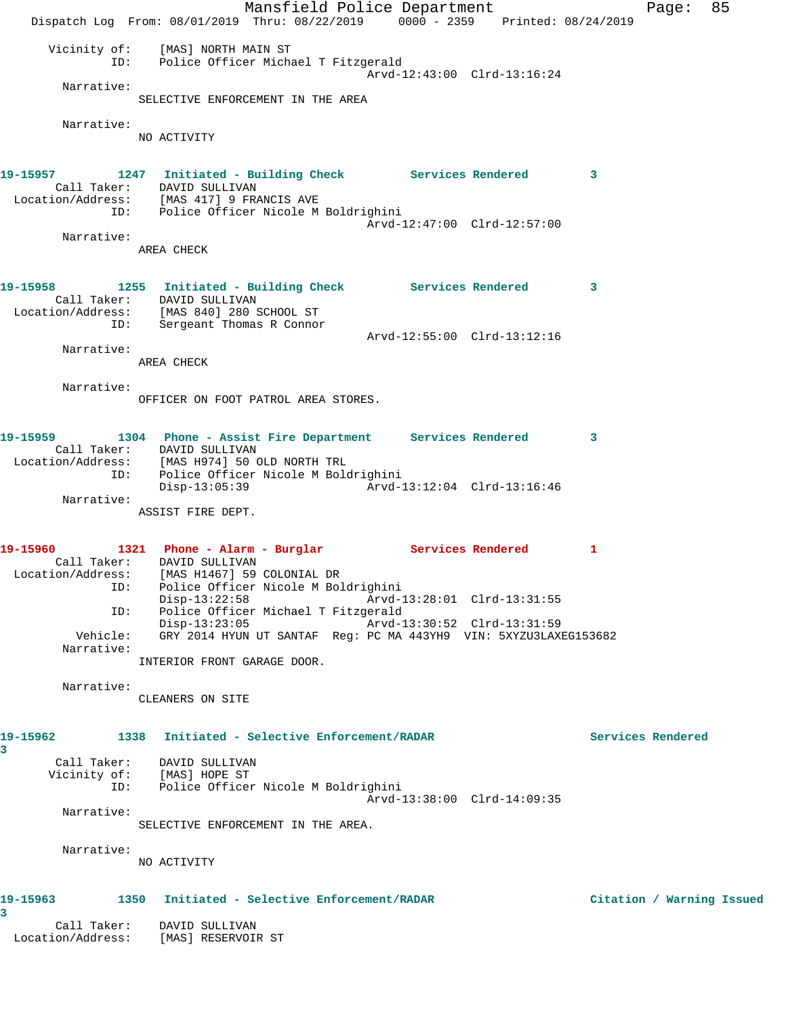Mansfield Police Department Fage: 85 Dispatch Log From: 08/01/2019 Thru: 08/22/2019 0000 - 2359 Printed: 08/24/2019 Vicinity of: [MAS] NORTH MAIN ST ID: Police Officer Michael T Fitzgerald Arvd-12:43:00 Clrd-13:16:24 Narrative: SELECTIVE ENFORCEMENT IN THE AREA Narrative: NO ACTIVITY **19-15957 1247 Initiated - Building Check Services Rendered 3**  Call Taker: DAVID SULLIVAN Location/Address: [MAS 417] 9 FRANCIS AVE ID: Police Officer Nicole M Boldrighini Arvd-12:47:00 Clrd-12:57:00 Narrative: AREA CHECK **19-15958 1255 Initiated - Building Check Services Rendered 3**  Call Taker: DAVID SULLIVAN Location/Address: [MAS 840] 280 SCHOOL ST ID: Sergeant Thomas R Connor Arvd-12:55:00 Clrd-13:12:16 Narrative: AREA CHECK Narrative: OFFICER ON FOOT PATROL AREA STORES. **19-15959 1304 Phone - Assist Fire Department Services Rendered 3**  Call Taker: DAVID SULLIVAN Location/Address: [MAS H974] 50 OLD NORTH TRL ID: Police Officer Nicole M Boldrighini Disp-13:05:39 Arvd-13:12:04 Clrd-13:16:46 Narrative: ASSIST FIRE DEPT. 19-15960 1321 Phone - Alarm - Burglar **Services Rendered** 1 Call Taker: DAVID SULLIVAN Location/Address: [MAS H1467] 59 COLONIAL DR ID: Police Officer Nicole M Boldrighini Disp-13:22:58 Arvd-13:28:01 Clrd-13:31:55 ID: Police Officer Michael T Fitzgerald Disp-13:23:05 Arvd-13:30:52 Clrd-13:31:59 Vehicle: GRY 2014 HYUN UT SANTAF Reg: PC MA 443YH9 VIN: 5XYZU3LAXEG153682 Narrative: INTERIOR FRONT GARAGE DOOR. Narrative: CLEANERS ON SITE **19-15962 1338 Initiated - Selective Enforcement/RADAR Services Rendered 3**  Call Taker: DAVID SULLIVAN Vicinity of: [MAS] HOPE ST ID: Police Officer Nicole M Boldrighini Arvd-13:38:00 Clrd-14:09:35 Narrative: SELECTIVE ENFORCEMENT IN THE AREA. Narrative: NO ACTIVITY **19-15963 1350 Initiated - Selective Enforcement/RADAR Citation / Warning Issued 3**  Call Taker: DAVID SULLIVAN Location/Address: [MAS] RESERVOIR ST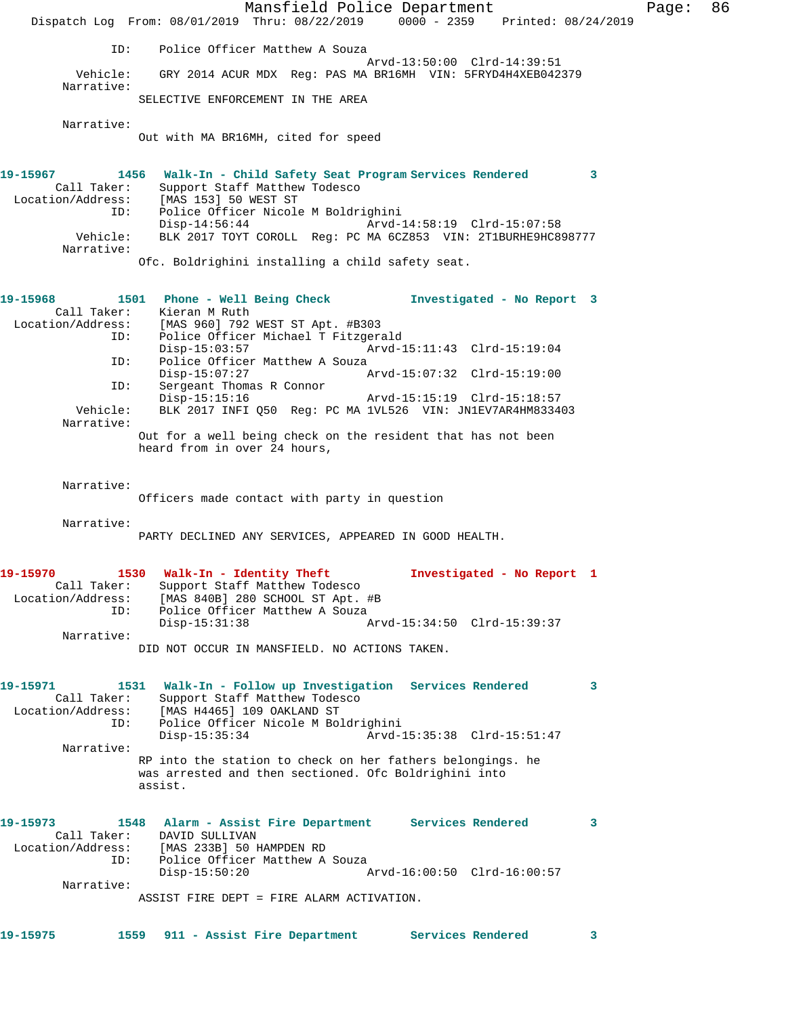|                                                                                                                              | Dispatch Log From: 08/01/2019 Thru: 08/22/2019 0000 - 2359 Printed: 08/24/2019                                                                                                                                                              | Mansfield Police Department                                                                                                           |                             |                            |          | Page: | 86 |
|------------------------------------------------------------------------------------------------------------------------------|---------------------------------------------------------------------------------------------------------------------------------------------------------------------------------------------------------------------------------------------|---------------------------------------------------------------------------------------------------------------------------------------|-----------------------------|----------------------------|----------|-------|----|
| ID:                                                                                                                          |                                                                                                                                                                                                                                             | Police Officer Matthew A Souza                                                                                                        |                             |                            |          |       |    |
| Vehicle:                                                                                                                     |                                                                                                                                                                                                                                             | GRY 2014 ACUR MDX Reg: PAS MA BR16MH VIN: 5FRYD4H4XEB042379                                                                           | Arvd-13:50:00 Clrd-14:39:51 |                            |          |       |    |
| Narrative:                                                                                                                   | SELECTIVE ENFORCEMENT IN THE AREA                                                                                                                                                                                                           |                                                                                                                                       |                             |                            |          |       |    |
| Narrative:                                                                                                                   | Out with MA BR16MH, cited for speed                                                                                                                                                                                                         |                                                                                                                                       |                             |                            |          |       |    |
| 19-15967<br>Call Taker:<br>Location/Address:<br>ID:<br>Vehicle:<br>Narrative:                                                | 1456 Walk-In - Child Safety Seat Program Services Rendered<br>[MAS 153] 50 WEST ST<br>Disp-14:56:44<br>Ofc. Boldrighini installing a child safety seat.                                                                                     | Support Staff Matthew Todesco<br>Police Officer Nicole M Boldrighini<br>BLK 2017 TOYT COROLL Reg: PC MA 6CZ853 VIN: 2T1BURHE9HC898777 | Arvd-14:58:19 Clrd-15:07:58 |                            | $\sim$ 3 |       |    |
| 19-15968<br>Call Taker:<br>Location/Address: [MAS 960] 792 WEST ST Apt. #B303<br>ID:<br>ID:<br>ID:<br>Vehicle:<br>Narrative: | 1501 Phone - Well Being Check<br>Kieran M Ruth<br>$Disp-15:03:57$<br>$Disp-15:07:27$<br>Sergeant Thomas R Connor<br>Disp-15:15:16<br>Out for a well being check on the resident that has not been<br>heard from in over 24 hours,           | Police Officer Michael T Fitzgerald<br>Police Officer Matthew A Souza<br>BLK 2017 INFI Q50 Req: PC MA 1VL526 VIN: JN1EV7AR4HM833403   | Arvd-15:11:43 Clrd-15:19:04 | Investigated - No Report 3 |          |       |    |
| Narrative:                                                                                                                   | Officers made contact with party in question                                                                                                                                                                                                |                                                                                                                                       |                             |                            |          |       |    |
| Narrative:                                                                                                                   | PARTY DECLINED ANY SERVICES, APPEARED IN GOOD HEALTH.                                                                                                                                                                                       |                                                                                                                                       |                             |                            |          |       |    |
| 19-15970<br>Call Taker:<br>Location/Address:<br>ID:<br>Narrative:                                                            | 1530 Walk-In - Identity Theft<br>$Disp-15:31:38$<br>DID NOT OCCUR IN MANSFIELD. NO ACTIONS TAKEN.                                                                                                                                           | Support Staff Matthew Todesco<br>[MAS 840B] 280 SCHOOL ST Apt. #B<br>Police Officer Matthew A Souza                                   | Arvd-15:34:50 Clrd-15:39:37 | Investigated - No Report 1 |          |       |    |
| 19-15971<br>Call Taker:<br>Location/Address:<br>ID:<br>Narrative:                                                            | 1531 Walk-In - Follow up Investigation Services Rendered<br>[MAS H4465] 109 OAKLAND ST<br>$Disp-15:35:34$<br>RP into the station to check on her fathers belongings. he<br>was arrested and then sectioned. Ofc Boldrighini into<br>assist. | Support Staff Matthew Todesco<br>Police Officer Nicole M Boldrighini                                                                  | Arvd-15:35:38 Clrd-15:51:47 |                            | 3        |       |    |
| 19-15973<br>Call Taker:<br>Location/Address:<br>ID:<br>Narrative:                                                            | 1548 Alarm - Assist Fire Department Services Rendered<br>DAVID SULLIVAN<br>[MAS 233B] 50 HAMPDEN RD<br>$Disp-15:50:20$                                                                                                                      | Police Officer Matthew A Souza                                                                                                        | Arvd-16:00:50 Clrd-16:00:57 |                            | 3        |       |    |
|                                                                                                                              | ASSIST FIRE DEPT = FIRE ALARM ACTIVATION.                                                                                                                                                                                                   |                                                                                                                                       |                             |                            |          |       |    |
| 19-15975                                                                                                                     | 1559 911 - Assist Fire Department                                                                                                                                                                                                           |                                                                                                                                       |                             | Services Rendered          | 3        |       |    |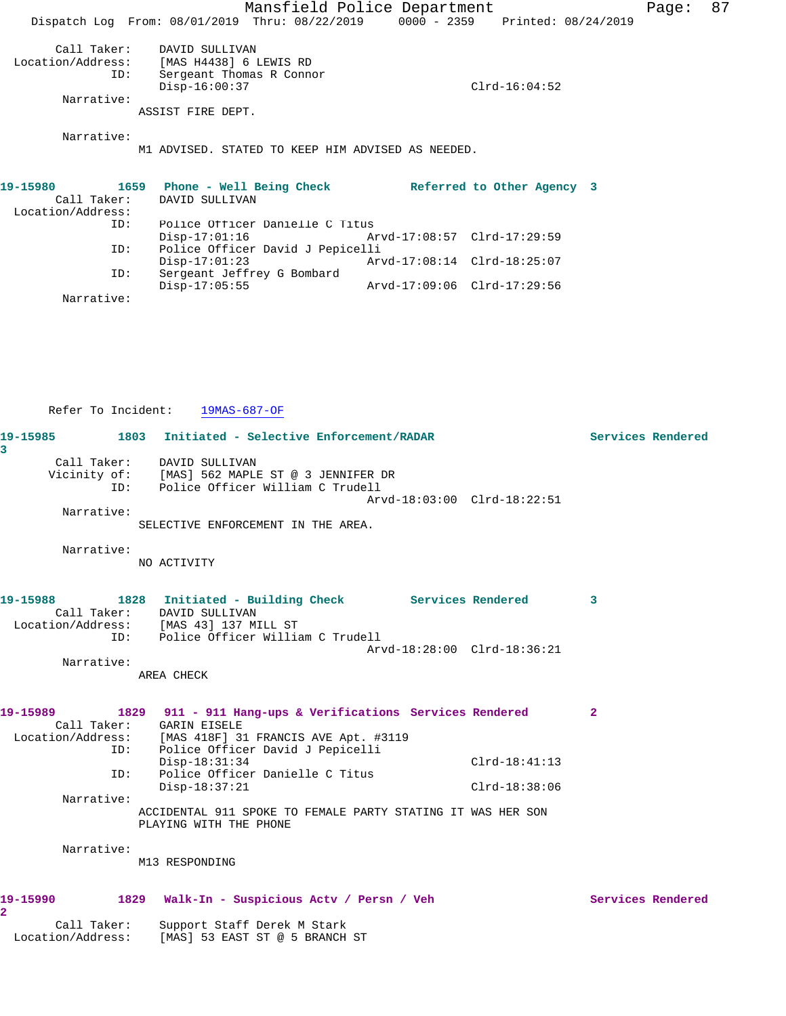Mansfield Police Department Fage: 87 Dispatch Log From: 08/01/2019 Thru: 08/22/2019 0000 - 2359 Printed: 08/24/2019 Call Taker: DAVID SULLIVAN Location/Address: [MAS H4438] 6 LEWIS RD ID: Sergeant Thomas R Connor Disp-16:00:37 Clrd-16:04:52 Narrative: ASSIST FIRE DEPT. Narrative: M1 ADVISED. STATED TO KEEP HIM ADVISED AS NEEDED. **19-15980 1659 Phone - Well Being Check Referred to Other Agency 3**  Call Taker: DAVID SULLIVAN Location/Address: ID: Police Officer Danielle C Titus Arvd-17:08:57 Clrd-17:29:59 ID: Police Officer David J Pepicelli<br>Disp-17:01:23 Art Arvd-17:08:14 Clrd-18:25:07 ID: Sergeant Jeffrey G Bombard Disp-17:05:55 Arvd-17:09:06 Clrd-17:29:56 Narrative:

Refer To Incident: 19MAS-687-OF

| 19-15985<br>3              |     | 1803 Initiated - Selective Enforcement/RADAR                                                                                                                               |                 |                   | Services Rendered |
|----------------------------|-----|----------------------------------------------------------------------------------------------------------------------------------------------------------------------------|-----------------|-------------------|-------------------|
|                            |     | Call Taker: DAVID SULLIVAN<br>Vicinity of: [MAS] 562 MAPLE ST @ 3 JENNIFER DR<br>ID: Police Officer William C Trudell<br>Arvd-18:03:00 Clrd-18:22:51                       |                 |                   |                   |
| Narrative:                 |     | SELECTIVE ENFORCEMENT IN THE AREA.                                                                                                                                         |                 |                   |                   |
| Narrative:                 |     | NO ACTIVITY                                                                                                                                                                |                 |                   |                   |
|                            |     | 19-15988 1828 Initiated - Building Check Services Rendered<br>Call Taker: DAVID SULLIVAN<br>Location/Address: [MAS 43] 137 MILL ST<br>ID: Police Officer William C Trudell |                 | 3                 |                   |
| Narrative:                 |     | Arvd-18:28:00 Clrd-18:36:21<br>AREA CHECK                                                                                                                                  |                 |                   |                   |
| 19-15989                   |     | 1829 911 - 911 Hang-ups & Verifications Services Rendered<br>Call Taker: GARIN EISELE<br>Location/Address: [MAS 418F] 31 FRANCIS AVE Apt. #3119                            |                 | $\mathbf{2}$      |                   |
|                            | ID: | ID: Police Officer David J Pepicelli<br>$Disp-18:31:34$<br>Police Officer Danielle C Titus                                                                                 | $Clrd-18:41:13$ |                   |                   |
| Narrative:                 |     | $Disp-18:37:21$<br>ACCIDENTAL 911 SPOKE TO FEMALE PARTY STATING IT WAS HER SON<br>PLAYING WITH THE PHONE                                                                   | $Clrd-18:38:06$ |                   |                   |
| Narrative:                 |     | M13 RESPONDING                                                                                                                                                             |                 |                   |                   |
| 19-15990<br>$\overline{2}$ |     | 1829 Walk-In - Suspicious Actv / Persn / Veh                                                                                                                               |                 | Services Rendered |                   |

 Call Taker: Support Staff Derek M Stark Location/Address: [MAS] 53 EAST ST @ 5 BRANCH ST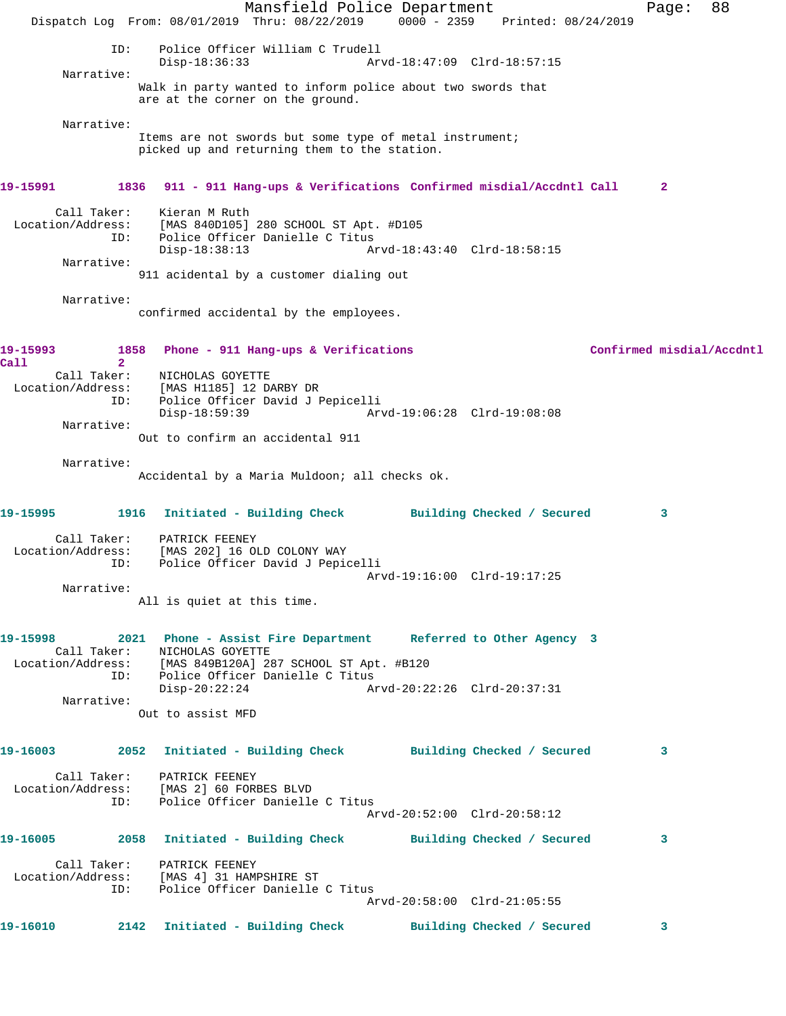Mansfield Police Department The Page: 88 Dispatch Log From: 08/01/2019 Thru: 08/22/2019 0000 - 2359 Printed: 08/24/2019 ID: Police Officer William C Trudell Disp-18:36:33 Arvd-18:47:09 Clrd-18:57:15 Narrative: Walk in party wanted to inform police about two swords that are at the corner on the ground. Narrative: Items are not swords but some type of metal instrument; picked up and returning them to the station. **19-15991 1836 911 - 911 Hang-ups & Verifications Confirmed misdial/Accdntl Call 2** Call Taker: Kieran M Ruth Location/Address: [MAS 840D105] 280 SCHOOL ST Apt. #D105 ID: Police Officer Danielle C Titus Disp-18:38:13 Arvd-18:43:40 Clrd-18:58:15 Narrative: 911 acidental by a customer dialing out Narrative: confirmed accidental by the employees. **19-15993 1858 Phone - 911 Hang-ups & Verifications Confirmed misdial/Accdntl Call 2**  Call Taker: NICHOLAS GOYETTE Location/Address: [MAS H1185] 12 DARBY DR ID: Police Officer David J Pepicelli Disp-18:59:39 Arvd-19:06:28 Clrd-19:08:08 Narrative: Out to confirm an accidental 911 Narrative: Accidental by a Maria Muldoon; all checks ok. **19-15995 1916 Initiated - Building Check Building Checked / Secured 3** Call Taker: PATRICK FEENEY Location/Address: [MAS 202] 16 OLD COLONY WAY ID: Police Officer David J Pepicelli Arvd-19:16:00 Clrd-19:17:25 Narrative: All is quiet at this time. **19-15998 2021 Phone - Assist Fire Department Referred to Other Agency 3**  Call Taker: NICHOLAS GOYETTE Location/Address: [MAS 849B120A] 287 SCHOOL ST Apt. #B120 ID: Police Officer Danielle C Titus Disp-20:22:24 Arvd-20:22:26 Clrd-20:37:31 Narrative: Out to assist MFD **19-16003 2052 Initiated - Building Check Building Checked / Secured 3** Call Taker: PATRICK FEENEY Location/Address: [MAS 2] 60 FORBES BLVD ID: Police Officer Danielle C Titus Arvd-20:52:00 Clrd-20:58:12 **19-16005 2058 Initiated - Building Check Building Checked / Secured 3** Call Taker: PATRICK FEENEY Location/Address: [MAS 4] 31 HAMPSHIRE ST ID: Police Officer Danielle C Titus Arvd-20:58:00 Clrd-21:05:55 **19-16010 2142 Initiated - Building Check Building Checked / Secured 3**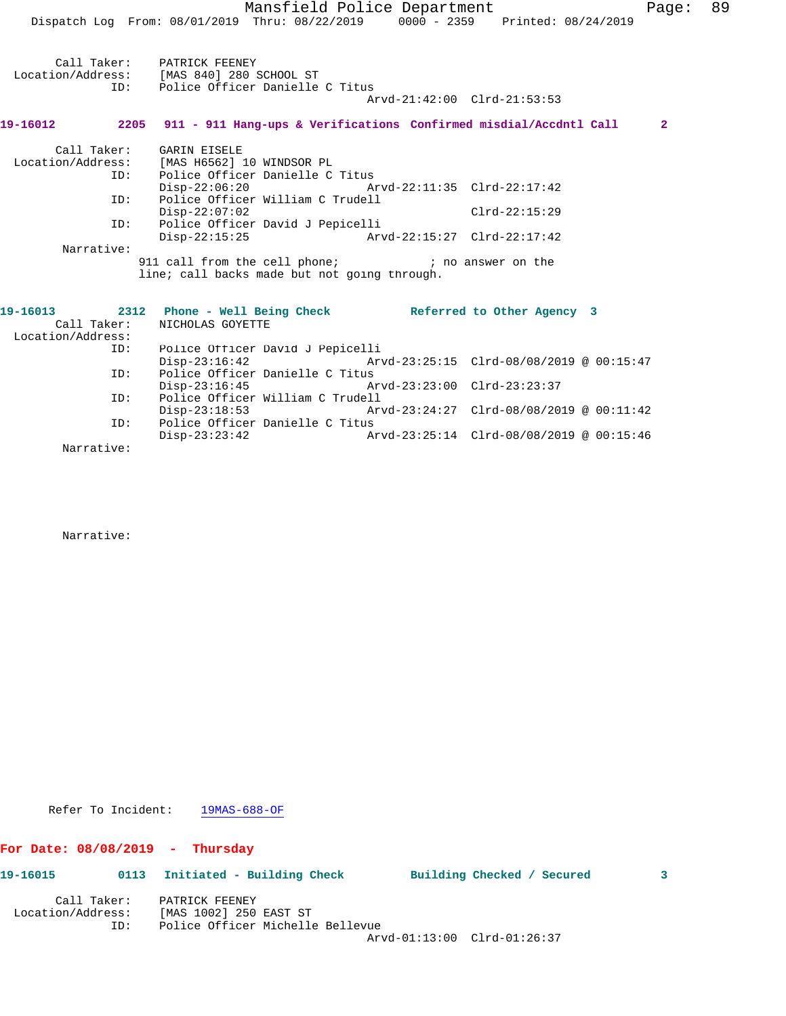|                   | Dispatch Log From: 08/01/2019 Thru: 08/22/2019 0000 - 2359 Printed: 08/24/2019                       | Mansfield Police Department |                                          | Page:          | 89 |
|-------------------|------------------------------------------------------------------------------------------------------|-----------------------------|------------------------------------------|----------------|----|
|                   | Call Taker: PATRICK FEENEY                                                                           |                             |                                          |                |    |
| ID:               | Location/Address: [MAS 840] 280 SCHOOL ST                                                            |                             |                                          |                |    |
|                   | Police Officer Danielle C Titus                                                                      |                             | Arvd-21:42:00 Clrd-21:53:53              |                |    |
|                   | 19-16012 2205 911 - 911 Hang-ups & Verifications Confirmed misdial/Accdntl Call                      |                             |                                          | $\overline{2}$ |    |
|                   | Call Taker: GARIN EISELE                                                                             |                             |                                          |                |    |
|                   | Location/Address: [MAS H6562] 10 WINDSOR PL                                                          |                             |                                          |                |    |
| ID:               | Police Officer Danielle C Titus                                                                      |                             |                                          |                |    |
|                   | Disp-22:06:20 Arvd-22:11:35 Clrd-22:17:42                                                            |                             |                                          |                |    |
| ID:               | Police Officer William C Trudell                                                                     |                             |                                          |                |    |
|                   | $Disp-22:07:02$                                                                                      |                             | $Clrd-22:15:29$                          |                |    |
| ID:               | Police Officer David J Pepicelli                                                                     |                             |                                          |                |    |
|                   | Disp-22:15:25 Arvd-22:15:27 Clrd-22:17:42                                                            |                             |                                          |                |    |
| Narrative:        |                                                                                                      |                             |                                          |                |    |
|                   | 911 call from the cell phone; he is no answer on the<br>line; call backs made but not going through. |                             |                                          |                |    |
|                   | 19-16013 2312 Phone - Well Being Check Referred to Other Agency 3                                    |                             |                                          |                |    |
| Call Taker:       | NICHOLAS GOYETTE                                                                                     |                             |                                          |                |    |
| Location/Address: |                                                                                                      |                             |                                          |                |    |
| ID:               | Police Officer David J Pepicelli                                                                     |                             |                                          |                |    |
|                   | $Disp-23:16:42$                                                                                      |                             |                                          |                |    |
| ID:               | Police Officer Danielle C Titus                                                                      |                             |                                          |                |    |
|                   | Disp-23:16:45 Arvd-23:23:00 Clrd-23:23:37                                                            |                             |                                          |                |    |
| ID:               | Police Officer William C Trudell                                                                     |                             |                                          |                |    |
|                   | $Divd-23:24:27$ $Clrd-08/08/2019$ @ 00:11:42                                                         |                             |                                          |                |    |
| ID:               | Police Officer Danielle C Titus                                                                      |                             |                                          |                |    |
|                   | $Disp-23:23:42$                                                                                      |                             | Arvd-23:25:14 Clrd-08/08/2019 @ 00:15:46 |                |    |

Narrative:

Narrative:

Refer To Incident: 19MAS-688-OF

# **For Date: 08/08/2019 - Thursday**

| 19-16015          | 0113        | Initiated - Building Check |                                  | Building Checked / Secured |  |
|-------------------|-------------|----------------------------|----------------------------------|----------------------------|--|
|                   | Call Taker: | PATRICK FEENEY             |                                  |                            |  |
| Location/Address: |             | [MAS 1002] 250 EAST ST     |                                  |                            |  |
|                   | ID:         |                            | Police Officer Michelle Bellevue |                            |  |

Arvd-01:13:00 Clrd-01:26:37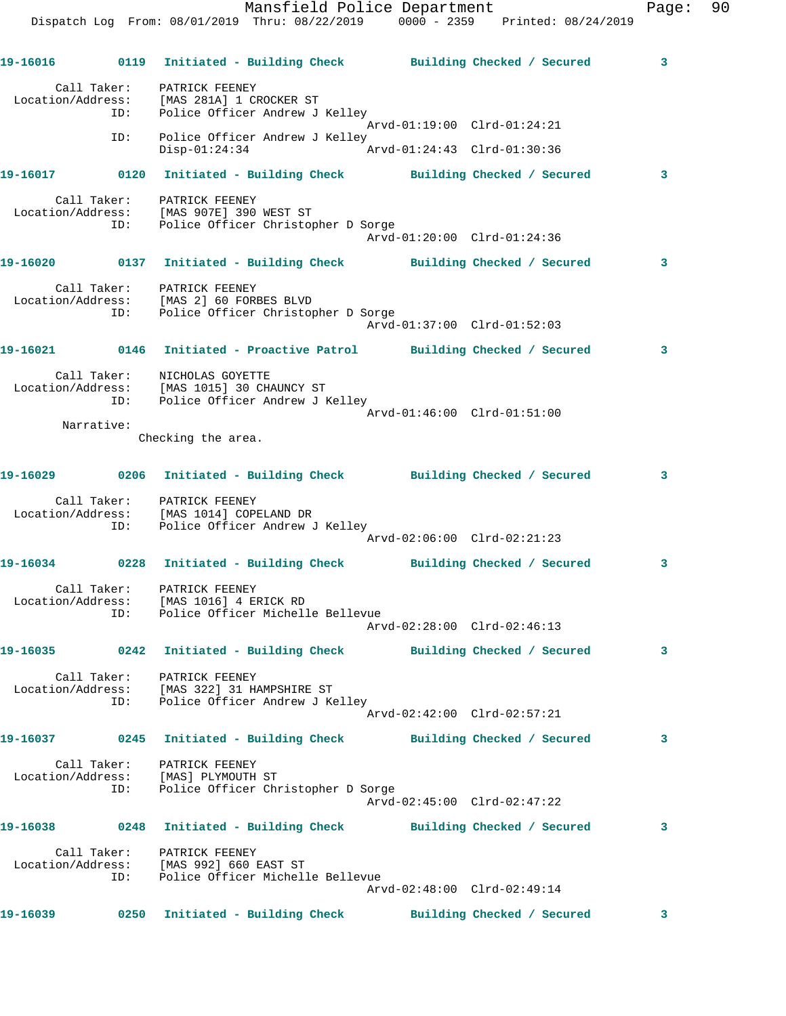|          |            | Dispatch Log From: 08/01/2019 Thru: 08/22/2019 0000 - 2359 Printed: 08/24/2019                                                              | Mansfield Police Department | Page: | 90 |
|----------|------------|---------------------------------------------------------------------------------------------------------------------------------------------|-----------------------------|-------|----|
|          |            | 19-16016      0119 Initiated - Building Check      Building Checked / Secured                                                               |                             | 3     |    |
|          |            | Call Taker: PATRICK FEENEY<br>Location/Address: [MAS 281A] 1 CROCKER ST<br>ID: Police Officer Andrew J<br>Police Officer Andrew J Kelley    |                             |       |    |
|          | ID:        | Police Officer Andrew J Kelley<br>$Disp-01:24:34$ $Arvd-01:24:43$ $Clrd-01:30:36$                                                           | Arvd-01:19:00 Clrd-01:24:21 |       |    |
|          |            | 19-16017 0120 Initiated - Building Check Building Checked / Secured                                                                         |                             | 3     |    |
|          | ID:        | Call Taker: PATRICK FEENEY<br>Location/Address: [MAS 907E] 390 WEST ST<br>Police Officer Christopher D Sorge                                | Arvd-01:20:00 Clrd-01:24:36 |       |    |
|          |            | 19-16020 0137 Initiated - Building Check Building Checked / Secured                                                                         |                             | 3     |    |
|          |            | Call Taker: PATRICK FEENEY<br>Location/Address: [MAS 2] 60 FORBES BLVD<br>ID: Police Officer Christop<br>Police Officer Christopher D Sorge | Arvd-01:37:00 Clrd-01:52:03 |       |    |
|          |            | 19-16021 0146 Initiated - Proactive Patrol Building Checked / Secured                                                                       |                             | 3     |    |
|          |            | Call Taker: NICHOLAS GOYETTE<br>Location/Address: [MAS 1015] 30 CHAUNCY ST<br>ID: Police Officer Andrew J Kelley                            |                             |       |    |
|          | Narrative: |                                                                                                                                             | Arvd-01:46:00 Clrd-01:51:00 |       |    |
|          |            | Checking the area.                                                                                                                          |                             |       |    |
|          |            | 19-16029 0206 Initiated - Building Check Building Checked / Secured                                                                         |                             | 3     |    |
|          | ID:        | Call Taker: PATRICK FEENEY<br>Location/Address: [MAS 1014] COPELAND DR<br>Police Officer Andrew J Kelley                                    | Arvd-02:06:00 Clrd-02:21:23 |       |    |
|          |            | 19-16034 0228 Initiated - Building Check Building Checked / Secured                                                                         |                             | 3     |    |
|          | ID:        | Call Taker: PATRICK FEENEY<br>Location/Address: [MAS 1016] 4 ERICK RD<br>Police Officer Michelle Bellevue                                   | Arvd-02:28:00 Clrd-02:46:13 |       |    |
|          |            | 19-16035 0242 Initiated - Building Check Building Checked / Secured                                                                         |                             | 3     |    |
|          |            | Call Taker: PATRICK FEENEY<br>Location/Address: [MAS 322] 31 HAMPSHIRE ST<br>ID: Police Officer Andrew J Kelley                             | Arvd-02:42:00 Clrd-02:57:21 |       |    |
|          |            | 19-16037      0245   Initiated - Building Check      Building Checked / Secured                                                             |                             | 3     |    |
|          |            | Call Taker: PATRICK FEENEY<br>Location/Address: [MAS] PLYMOUTH ST<br>ID: Police Officer Christopher D Sorge                                 | Arvd-02:45:00 Clrd-02:47:22 |       |    |
| 19-16038 |            | 0248 Initiated - Building Check Building Checked / Secured                                                                                  |                             | 3     |    |
|          |            | Call Taker: PATRICK FEENEY<br>Location/Address: [MAS 992] 660 EAST ST<br>ID: Police Officer Michelle Bellevue                               | Arvd-02:48:00 Clrd-02:49:14 |       |    |
| 19-16039 |            | 0250 Initiated - Building Check Building Checked / Secured                                                                                  |                             | 3     |    |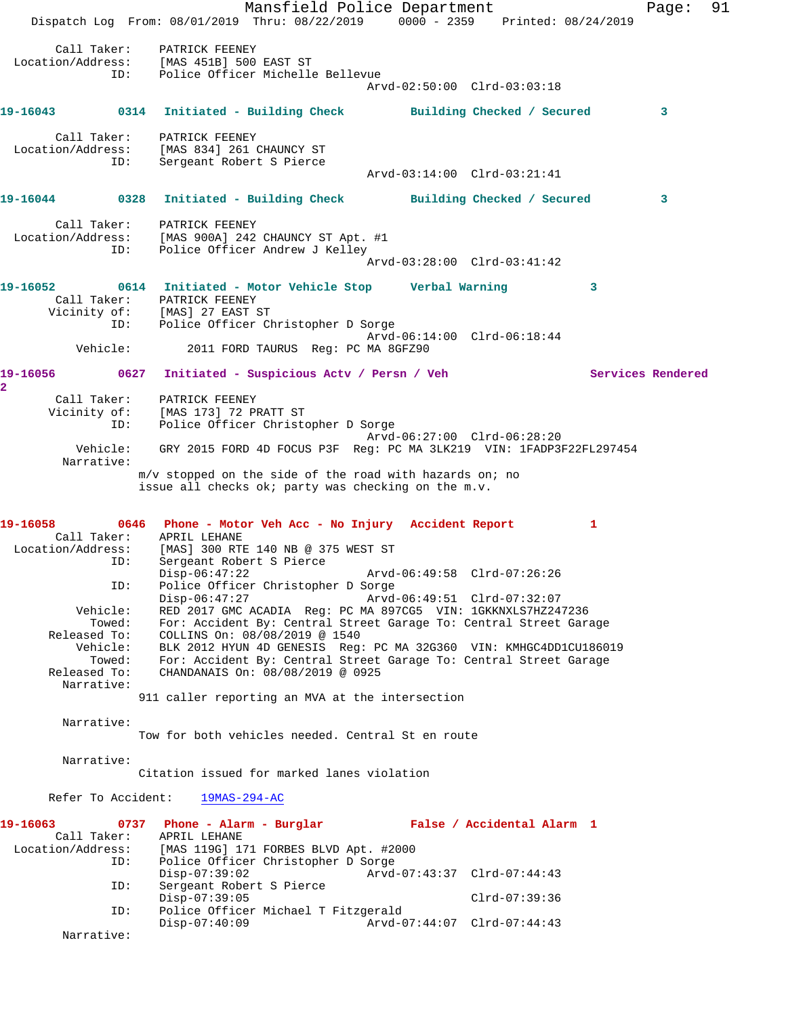Mansfield Police Department Fage: 91 Dispatch Log From: 08/01/2019 Thru: 08/22/2019 0000 - 2359 Printed: 08/24/2019 Call Taker: PATRICK FEENEY Location/Address: [MAS 451B] 500 EAST ST ID: Police Officer Michelle Bellevue Arvd-02:50:00 Clrd-03:03:18 **19-16043 0314 Initiated - Building Check Building Checked / Secured 3** Call Taker: PATRICK FEENEY Location/Address: [MAS 834] 261 CHAUNCY ST ID: Sergeant Robert S Pierce Arvd-03:14:00 Clrd-03:21:41 **19-16044 0328 Initiated - Building Check Building Checked / Secured 3** Call Taker: PATRICK FEENEY Location/Address: [MAS 900A] 242 CHAUNCY ST Apt. #1 ID: Police Officer Andrew J Kelley Arvd-03:28:00 Clrd-03:41:42 **19-16052 0614 Initiated - Motor Vehicle Stop Verbal Warning 3**  Call Taker: PATRICK FEENEY<br>Vicinity of: [MAS] 27 EAST ST Vicinity of:<br>ID: Police Officer Christopher D Sorge Arvd-06:14:00 Clrd-06:18:44<br>Vehicle: 2011 FORD TAURUS Req: PC MA 8GFZ90 2011 FORD TAURUS Reg: PC MA 8GFZ90 **19-16056 0627 Initiated - Suspicious Actv / Persn / Veh Services Rendered 2**  Call Taker: PATRICK FEENEY Vicinity of: [MAS 173] 72 PRATT ST ID: Police Officer Christopher D Sorge Arvd-06:27:00 Clrd-06:28:20 Vehicle: GRY 2015 FORD 4D FOCUS P3F Reg: PC MA 3LK219 VIN: 1FADP3F22FL297454 Narrative: m/v stopped on the side of the road with hazards on; no issue all checks ok; party was checking on the m.v. **19-16058 0646 Phone - Motor Veh Acc - No Injury Accident Report 1**  Call Taker: APRIL LEHANE Location/Address: [MAS] 300 RTE 140 NB @ 375 WEST ST ID: Sergeant Robert S Pierce Disp-06:47:22 Arvd-06:49:58 Clrd-07:26:26 ID: Police Officer Christopher D Sorge Disp-06:47:27 Arvd-06:49:51 Clrd-07:32:07 Vehicle: RED 2017 GMC ACADIA Reg: PC MA 897CG5 VIN: 1GKKNXLS7HZ247236 Towed: For: Accident By: Central Street Garage To: Central Street Garage Released To: COLLINS On: 08/08/2019 @ 1540 Vehicle: BLK 2012 HYUN 4D GENESIS Reg: PC MA 32G360 VIN: KMHGC4DD1CU186019 Towed: For: Accident By: Central Street Garage To: Central Street Garage Released To: CHANDANAIS On: 08/08/2019 @ 0925 Narrative: 911 caller reporting an MVA at the intersection Narrative: Tow for both vehicles needed. Central St en route Narrative: Citation issued for marked lanes violation Refer To Accident: 19MAS-294-AC **19-16063 0737 Phone - Alarm - Burglar False / Accidental Alarm 1**  Call Taker: APRIL LEHANE Location/Address: [MAS 119G] 171 FORBES BLVD Apt. #2000 Police Officer Christopher D Sorge<br>Disp-07:39:02 Arvd-Disp-07:39:02 Arvd-07:43:37 Clrd-07:44:43<br>ID: Sergeant Robert S Pierce Sergeant Robert S Pierce Disp-07:39:05 Clrd-07:39:36 ID: Police Officer Michael T Fitzgerald Disp-07:40:09 Arvd-07:44:07 Clrd-07:44:43 Narrative: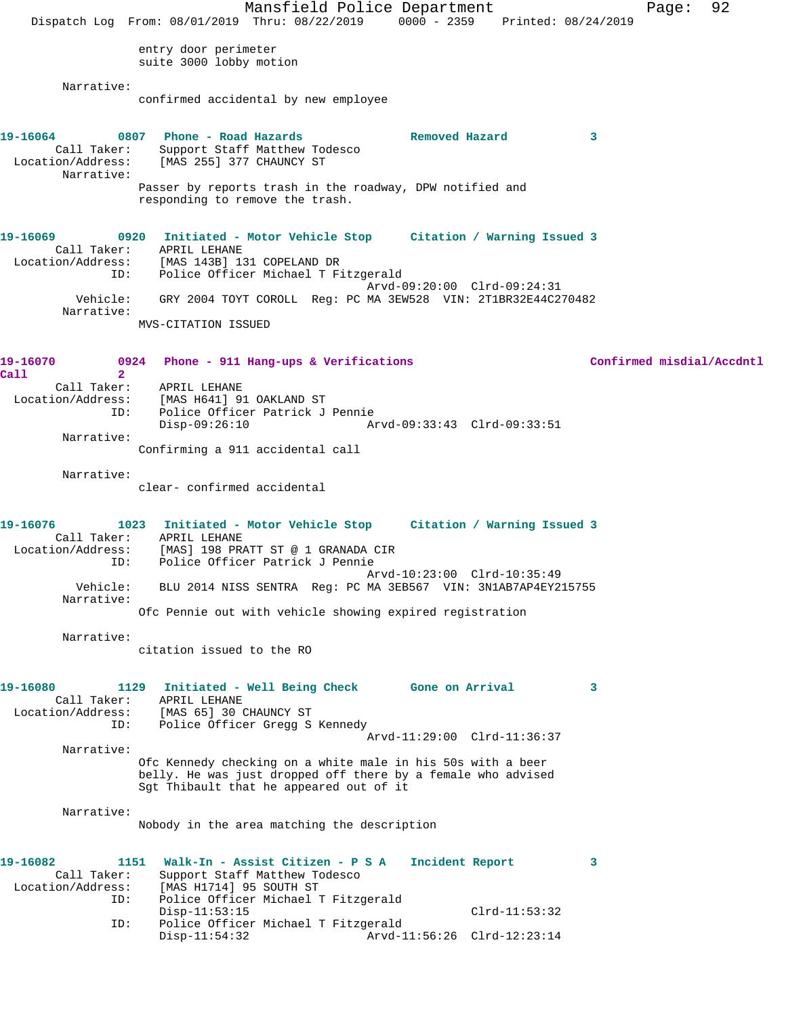Mansfield Police Department Fage: 92 Dispatch Log From: 08/01/2019 Thru: 08/22/2019 0000 - 2359 Printed: 08/24/2019 entry door perimeter suite 3000 lobby motion Narrative: confirmed accidental by new employee **19-16064 0807 Phone - Road Hazards Removed Hazard 3**  Call Taker: Support Staff Matthew Todesco Location/Address: [MAS 255] 377 CHAUNCY ST Narrative: Passer by reports trash in the roadway, DPW notified and responding to remove the trash. **19-16069 0920 Initiated - Motor Vehicle Stop Citation / Warning Issued 3**  Call Taker: APRIL LEHANE Location/Address: [MAS 143B] 131 COPELAND DR ID: Police Officer Michael T Fitzgerald Arvd-09:20:00 Clrd-09:24:31 Vehicle: GRY 2004 TOYT COROLL Reg: PC MA 3EW528 VIN: 2T1BR32E44C270482 Narrative: MVS-CITATION ISSUED **19-16070 0924 Phone - 911 Hang-ups & Verifications Confirmed misdial/Accdntl Call 2**  APRIL LEHANE Location/Address: [MAS H641] 91 OAKLAND ST ID: Police Officer Patrick J Pennie Disp-09:26:10 Arvd-09:33:43 Clrd-09:33:51 Narrative: Confirming a 911 accidental call Narrative: clear- confirmed accidental **19-16076 1023 Initiated - Motor Vehicle Stop Citation / Warning Issued 3**  Call Taker: APRIL LEHANE Location/Address: [MAS] 198 PRATT ST @ 1 GRANADA CIR ID: Police Officer Patrick J Pennie Arvd-10:23:00 Clrd-10:35:49 Vehicle: BLU 2014 NISS SENTRA Reg: PC MA 3EB567 VIN: 3N1AB7AP4EY215755 Narrative: Ofc Pennie out with vehicle showing expired registration Narrative: citation issued to the RO **19-16080 1129 Initiated - Well Being Check Gone on Arrival 3**  Call Taker: APRIL LEHANE Location/Address: [MAS 65] 30 CHAUNCY ST ID: Police Officer Gregg S Kennedy Arvd-11:29:00 Clrd-11:36:37 Narrative: Ofc Kennedy checking on a white male in his 50s with a beer belly. He was just dropped off there by a female who advised Sgt Thibault that he appeared out of it Narrative: Nobody in the area matching the description **19-16082 1151 Walk-In - Assist Citizen - P S A Incident Report 3**  Call Taker: Support Staff Matthew Todesco<br>Location/Address: [MAS H1714] 95 SOUTH ST Location/Address: [MAS H1714] 95 SOUTH ST ID: Police Officer Michael T Fitzgerald Disp-11:53:15 Clrd-11:53:32 ID: Police Officer Michael T Fitzgerald Arvd-11:56:26 Clrd-12:23:14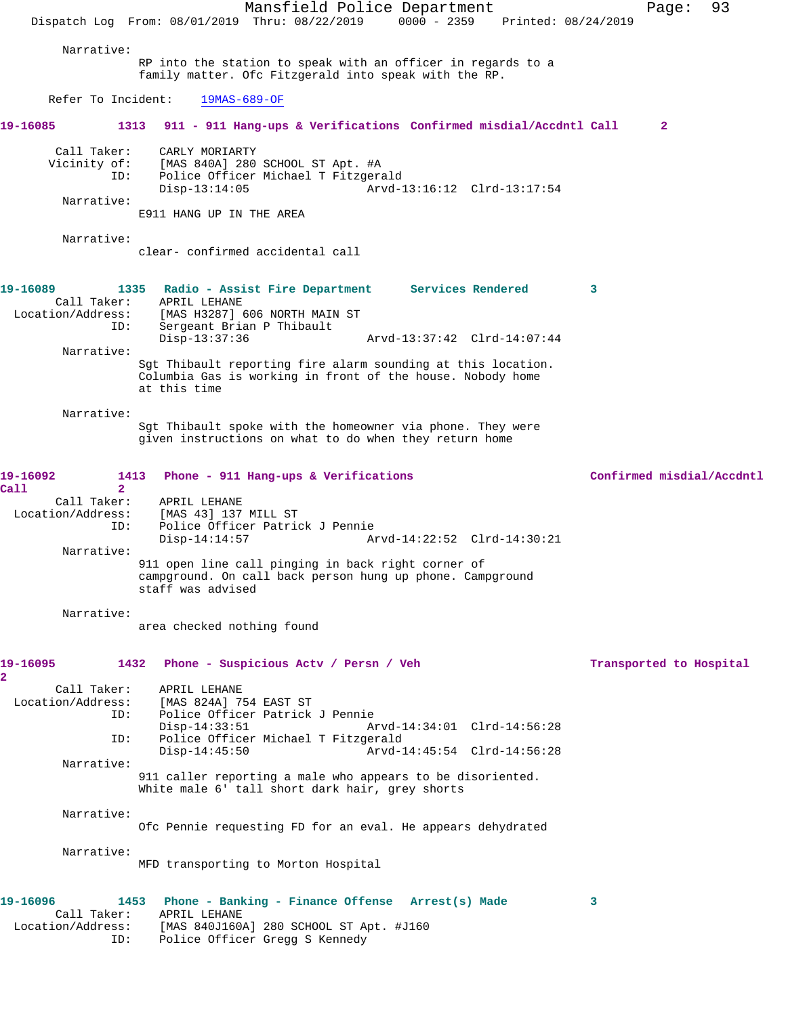Mansfield Police Department Page: 93 Dispatch Log From: 08/01/2019 Thru: 08/22/2019 0000 - 2359 Printed: 08/24/2019 Narrative: RP into the station to speak with an officer in regards to a family matter. Ofc Fitzgerald into speak with the RP. Refer To Incident: 19MAS-689-OF **19-16085 1313 911 - 911 Hang-ups & Verifications Confirmed misdial/Accdntl Call 2** Call Taker: CARLY MORIARTY Vicinity of: [MAS 840A] 280 SCHOOL ST Apt. #A Police Officer Michael T Fitzgerald<br>Disp-13:14:05 Arvd-1 Arvd-13:16:12 Clrd-13:17:54 Narrative: E911 HANG UP IN THE AREA Narrative: clear- confirmed accidental call **19-16089 1335 Radio - Assist Fire Department Services Rendered 3**  Call Taker: APRIL LEHANE Location/Address: [MAS H3287] 606 NORTH MAIN ST ID: Sergeant Brian P Thibault<br>Disp-13:37:36 Disp-13:37:36 Arvd-13:37:42 Clrd-14:07:44 Narrative: Sgt Thibault reporting fire alarm sounding at this location. Columbia Gas is working in front of the house. Nobody home at this time Narrative: Sgt Thibault spoke with the homeowner via phone. They were given instructions on what to do when they return home **19-16092 1413 Phone - 911 Hang-ups & Verifications Confirmed misdial/Accdntl Call 2**  Call Taker: APRIL LEHANE<br>Location/Address: [MAS 43] 137 ess: [MAS 43] 137 MILL ST<br>ID: Police Officer Patrio Police Officer Patrick J Pennie<br>Disp-14:14:57 A Disp-14:14:57 Arvd-14:22:52 Clrd-14:30:21 Narrative: 911 open line call pinging in back right corner of campground. On call back person hung up phone. Campground staff was advised Narrative: area checked nothing found 19-16095 1432 Phone - Suspicious Actv / Persn / Veh Transported to Hospital **2**  Call Taker: APRIL LEHANE Location/Address: [MAS 824A] 754 EAST ST ID: Police Officer Patrick J Pennie Disp-14:33:51 Arvd-14:34:01 Clrd-14:56:28<br>TD: Police Officer Michael T Fitzgerald Police Officer Michael T Fitzgerald<br>1-Disp-14:45:50 Arvd Arvd-14:45:54 Clrd-14:56:28 Narrative: 911 caller reporting a male who appears to be disoriented. White male 6' tall short dark hair, grey shorts Narrative: Ofc Pennie requesting FD for an eval. He appears dehydrated Narrative: MFD transporting to Morton Hospital **19-16096 1453 Phone - Banking - Finance Offense Arrest(s) Made 3**  Call Taker: APRIL LEHANE<br>Location/Address: [MAS 840J1602 [MAS 840J160A] 280 SCHOOL ST Apt. #J160 ID: Police Officer Gregg S Kennedy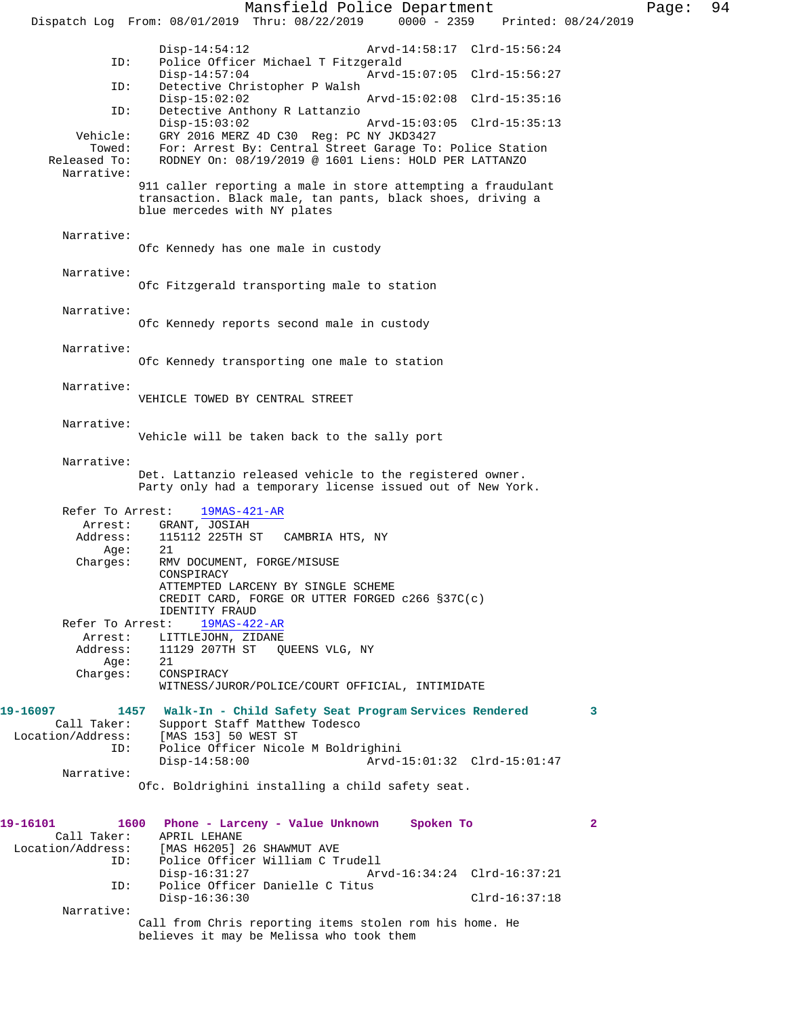Mansfield Police Department Page: 94 Dispatch Log From: 08/01/2019 Thru: 08/22/2019 0000 - 2359 Disp-14:54:12 Arvd-14:58:17 Clrd-15:56:24<br>ID: Police Officer Michael T Fitzgerald Police Officer Michael T Fitzgerald Disp-14:57:04 Arvd-15:07:05 Clrd-15:56:27 ID: Detective Christopher P Walsh Disp-15:02:02 Arvd-15:02:08 Clrd-15:35:16 ID: Detective Anthony R Lattanzio Disp-15:03:02 Arvd-15:03:05 Clrd-15:35:13<br>Vehicle: GRY 2016 MERZ 4D C30 Req: PC NY JKD3427 GRY 2016 MERZ 4D C30 Reg: PC NY JKD3427 Towed: For: Arrest By: Central Street Garage To: Police Station Released To: RODNEY On: 08/19/2019 @ 1601 Liens: HOLD PER LATTANZO RODNEY On: 08/19/2019 @ 1601 Liens: HOLD PER LATTANZO Narrative: 911 caller reporting a male in store attempting a fraudulant transaction. Black male, tan pants, black shoes, driving a blue mercedes with NY plates Narrative: Ofc Kennedy has one male in custody Narrative: Ofc Fitzgerald transporting male to station Narrative: Ofc Kennedy reports second male in custody Narrative: Ofc Kennedy transporting one male to station Narrative: VEHICLE TOWED BY CENTRAL STREET Narrative: Vehicle will be taken back to the sally port Narrative: Det. Lattanzio released vehicle to the registered owner. Party only had a temporary license issued out of New York. Refer To Arrest: 19MAS-421-AR Arrest: GRANT, JOSIAH Address: 115112 225TH ST CAMBRIA HTS, NY<br>Age: 21 Age:<br>:Charges RMV DOCUMENT, FORGE/MISUSE CONSPIRACY ATTEMPTED LARCENY BY SINGLE SCHEME CREDIT CARD, FORGE OR UTTER FORGED c266 §37C(c) IDENTITY FRAUD<br>st: 19MAS-422-AR Refer To Arrest: Arrest: LITTLEJOHN, ZIDANE<br>Address: 11129 207TH ST QU 11129 207TH ST QUEENS VLG, NY Age: 21 Charges: CONSPIRACY WITNESS/JUROR/POLICE/COURT OFFICIAL, INTIMIDATE **19-16097 1457 Walk-In - Child Safety Seat Program Services Rendered 3**  Call Taker: Support Staff Matthew Todesco<br>Location/Address: [MAS 153] 50 WEST ST ess: [MAS 153] 50 WEST ST<br>ID: Police Officer Nicole Police Officer Nicole M Boldrighini<br>Disp-14:58:00 Arvd- Disp-14:58:00 Arvd-15:01:32 Clrd-15:01:47 Narrative: Ofc. Boldrighini installing a child safety seat. **19-16101 1600 Phone - Larceny - Value Unknown Spoken To 2**  Call Taker: Location/Address: [MAS H6205] 26 SHAWMUT AVE ID: Police Officer William C Trudell Disp-16:31:27 Arvd-16:34:24 Clrd-16:37:21 ID: Police Officer Danielle C Titus Disp-16:36:30 Clrd-16:37:18 Narrative: Call from Chris reporting items stolen rom his home. He believes it may be Melissa who took them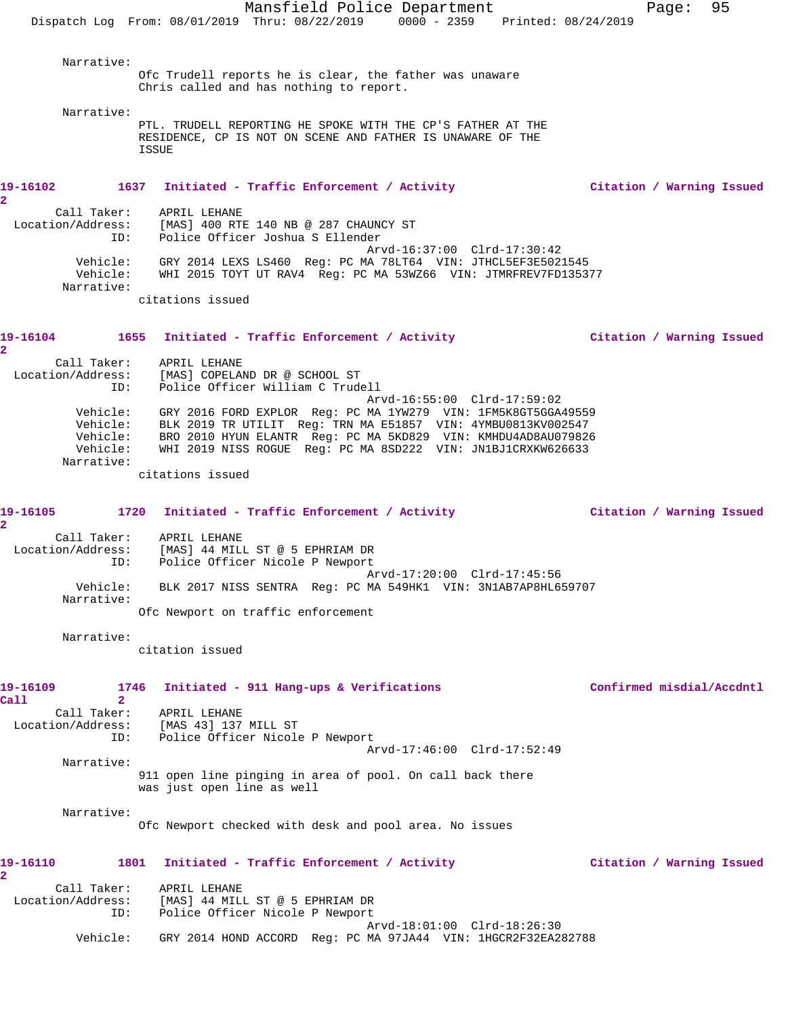Mansfield Police Department Fage: 95 Dispatch Log From: 08/01/2019 Thru: 08/22/2019 0000 - 2359 Printed: 08/24/2019 Narrative: Ofc Trudell reports he is clear, the father was unaware Chris called and has nothing to report. Narrative: PTL. TRUDELL REPORTING HE SPOKE WITH THE CP'S FATHER AT THE RESIDENCE, CP IS NOT ON SCENE AND FATHER IS UNAWARE OF THE ISSUE **19-16102 1637 Initiated - Traffic Enforcement / Activity Citation / Warning Issued 2**  Call Taker: APRIL LEHANE Location/Address: [MAS] 400 RTE 140 NB @ 287 CHAUNCY ST ID: Police Officer Joshua S Ellender Arvd-16:37:00 Clrd-17:30:42 Vehicle: GRY 2014 LEXS LS460 Reg: PC MA 78LT64 VIN: JTHCL5EF3E5021545 Vehicle: WHI 2015 TOYT UT RAV4 Reg: PC MA 53WZ66 VIN: JTMRFREV7FD135377 Narrative: citations issued **19-16104 1655 Initiated - Traffic Enforcement / Activity Citation / Warning Issued 2**  Call Taker: APRIL LEHANE Location/Address: [MAS] COPELAND DR @ SCHOOL ST ID: Police Officer William C Trudell Arvd-16:55:00 Clrd-17:59:02 Vehicle: GRY 2016 FORD EXPLOR Reg: PC MA 1YW279 VIN: 1FM5K8GT5GGA49559 Vehicle: BLK 2019 TR UTILIT Reg: TRN MA E51857 VIN: 4YMBU0813KV002547 Vehicle: BRO 2010 HYUN ELANTR Reg: PC MA 5KD829 VIN: KMHDU4AD8AU079826 Vehicle: WHI 2019 NISS ROGUE Reg: PC MA 8SD222 VIN: JN1BJ1CRXKW626633 Narrative: citations issued **19-16105 1720 Initiated - Traffic Enforcement / Activity Citation / Warning Issued 2**  Call Taker: APRIL LEHANE Location/Address: [MAS] 44 MILL ST @ 5 EPHRIAM DR ID: Police Officer Nicole P Newport Arvd-17:20:00 Clrd-17:45:56 Vehicle: BLK 2017 NISS SENTRA Reg: PC MA 549HK1 VIN: 3N1AB7AP8HL659707 Narrative: Ofc Newport on traffic enforcement Narrative: citation issued **19-16109 1746 Initiated - 911 Hang-ups & Verifications Confirmed misdial/Accdntl Call 2**  Call Taker: APRIL LEHANE Location/Address: [MAS 43] 137 MILL ST ID: Police Officer Nicole P Newport Arvd-17:46:00 Clrd-17:52:49 Narrative: 911 open line pinging in area of pool. On call back there was just open line as well Narrative: Ofc Newport checked with desk and pool area. No issues **19-16110 1801 Initiated - Traffic Enforcement / Activity Citation / Warning Issued 2**  Call Taker: APRIL LEHANE Location/Address: [MAS] 44 MILL ST @ 5 EPHRIAM DR ID: Police Officer Nicole P Newport Arvd-18:01:00 Clrd-18:26:30 Vehicle: GRY 2014 HOND ACCORD Reg: PC MA 97JA44 VIN: 1HGCR2F32EA282788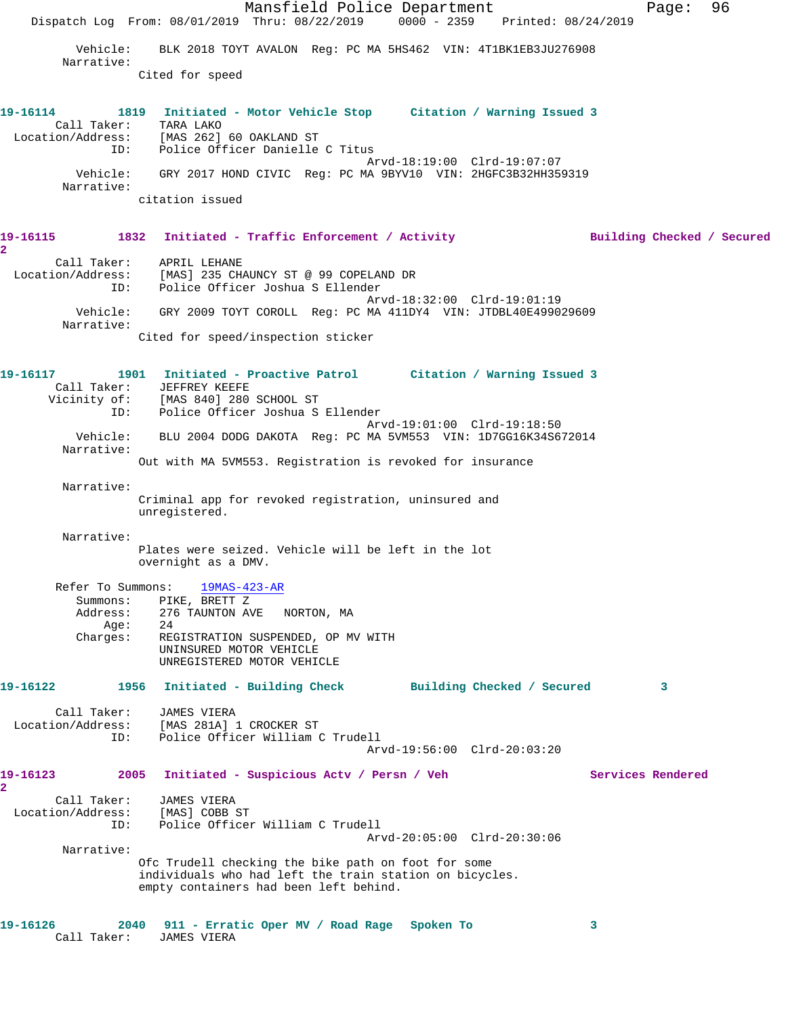Mansfield Police Department Page: 96 Dispatch Log From: 08/01/2019 Thru: 08/22/2019 0000 - 2359 Printed: 08/24/2019 Vehicle: BLK 2018 TOYT AVALON Reg: PC MA 5HS462 VIN: 4T1BK1EB3JU276908 Narrative: Cited for speed **19-16114 1819 Initiated - Motor Vehicle Stop Citation / Warning Issued 3**  Call Taker: TARA LAKO Location/Address: [MAS 262] 60 OAKLAND ST ID: Police Officer Danielle C Titus Arvd-18:19:00 Clrd-19:07:07 Vehicle: GRY 2017 HOND CIVIC Reg: PC MA 9BYV10 VIN: 2HGFC3B32HH359319 Narrative: citation issued **19-16115 1832 Initiated - Traffic Enforcement / Activity Building Checked / Secured 2**  Call Taker: APRIL LEHANE Location/Address: [MAS] 235 CHAUNCY ST @ 99 COPELAND DR ID: Police Officer Joshua S Ellender Arvd-18:32:00 Clrd-19:01:19 Vehicle: GRY 2009 TOYT COROLL Reg: PC MA 411DY4 VIN: JTDBL40E499029609 Narrative: Cited for speed/inspection sticker **19-16117 1901 Initiated - Proactive Patrol Citation / Warning Issued 3**  Call Taker: JEFFREY KEEFE Vicinity of: [MAS 840] 280 SCHOOL ST ID: Police Officer Joshua S Ellender Arvd-19:01:00 Clrd-19:18:50 Vehicle: BLU 2004 DODG DAKOTA Reg: PC MA 5VM553 VIN: 1D7GG16K34S672014 Narrative: Out with MA 5VM553. Registration is revoked for insurance Narrative: Criminal app for revoked registration, uninsured and unregistered. Narrative: Plates were seized. Vehicle will be left in the lot overnight as a DMV. Refer To Summons: 19MAS-423-AR Summons: PIKE, BRETT Z Address: 276 TAUNTON AVE NORTON, MA Age: 24<br>Charges: REG REGISTRATION SUSPENDED, OP MV WITH UNINSURED MOTOR VEHICLE UNREGISTERED MOTOR VEHICLE **19-16122 1956 Initiated - Building Check Building Checked / Secured 3** Call Taker: JAMES VIERA Location/Address: [MAS 281A] 1 CROCKER ST ID: Police Officer William C Trudell Arvd-19:56:00 Clrd-20:03:20 **19-16123 2005 Initiated - Suspicious Actv / Persn / Veh Services Rendered 2**  Call Taker: JAMES VIERA Location/Address: [MAS] COBB ST ID: Police Officer William C Trudell Arvd-20:05:00 Clrd-20:30:06 Narrative: Ofc Trudell checking the bike path on foot for some individuals who had left the train station on bicycles. empty containers had been left behind. **19-16126 2040 911 - Erratic Oper MV / Road Rage Spoken To 3**  Call Taker: JAMES VIERA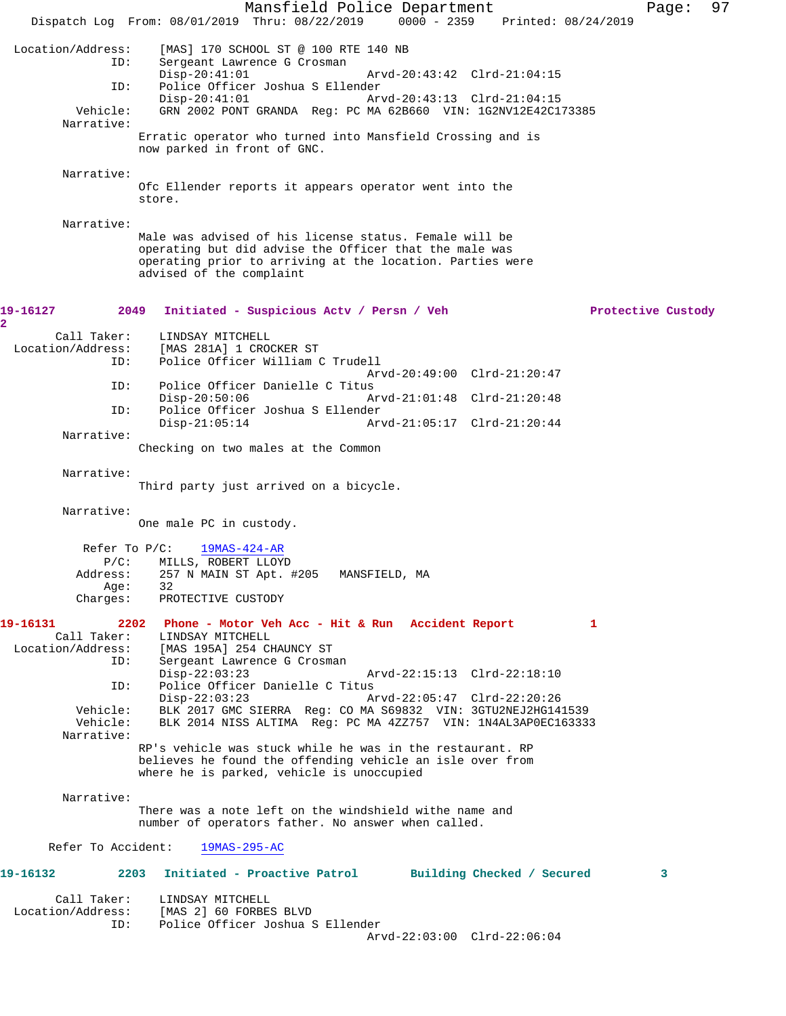Mansfield Police Department Page: 97 Dispatch Log From: 08/01/2019 Thru: 08/22/2019 0000 - 2359 Printed: 08/24/2019 Location/Address: [MAS] 170 SCHOOL ST @ 100 RTE 140 NB Sergeant Lawrence G Crosman<br>Disp-20:41:01 Disp-20:41:01 Arvd-20:43:42 Clrd-21:04:15 ID: Police Officer Joshua S Ellender Disp-20:41:01 Arvd-20:43:13 Clrd-21:04:15 Vehicle: GRN 2002 PONT GRANDA Reg: PC MA 62B660 VIN: 1G2NV12E42C173385 Narrative: Erratic operator who turned into Mansfield Crossing and is now parked in front of GNC. Narrative: Ofc Ellender reports it appears operator went into the store. Narrative: Male was advised of his license status. Female will be operating but did advise the Officer that the male was operating prior to arriving at the location. Parties were advised of the complaint **19-16127 2049 Initiated - Suspicious Actv / Persn / Veh Protective Custody 2**  Call Taker: LINDSAY MITCHELL Location/Address: [MAS 281A] 1 CROCKER ST ID: Police Officer William C Trudell Arvd-20:49:00 Clrd-21:20:47<br>TD: Police Officer Danielle C Titus Police Officer Danielle C Titus Disp-20:50:06 Arvd-21:01:48 Clrd-21:20:48 ID: Police Officer Joshua S Ellender Disp-21:05:14 Arvd-21:05:17 Clrd-21:20:44 Narrative: Checking on two males at the Common Narrative: Third party just arrived on a bicycle. Narrative: One male PC in custody. Refer To P/C:  $\frac{19MAS-424-AR}{}$ P/C: MILLS, ROBERT LLOYD<br>Address: 257 N MAIN ST Apt. 257 N MAIN ST Apt. #205 MANSFIELD, MA Age: 32 Charges: PROTECTIVE CUSTODY **19-16131 2202 Phone - Motor Veh Acc - Hit & Run Accident Report 1**  Call Taker: LINDSAY MITCHELL Location/Address: [MAS 195A] 254 CHAUNCY ST ID: Sergeant Lawrence G Crosman<br>Disp-22:03:23 Disp-22:03:23 Arvd-22:15:13 Clrd-22:18:10 ID: Police Officer Danielle C Titus<br>Disp-22:03:23 Ar Disp-22:03:23 Arvd-22:05:47 Clrd-22:20:26 Vehicle: BLK 2017 GMC SIERRA Reg: CO MA S69832 VIN: 3GTU2NEJ2HG141539 Vehicle: BLK 2014 NISS ALTIMA Reg: PC MA 4ZZ757 VIN: 1N4AL3AP0EC163333 Narrative: RP's vehicle was stuck while he was in the restaurant. RP believes he found the offending vehicle an isle over from where he is parked, vehicle is unoccupied Narrative: There was a note left on the windshield withe name and number of operators father. No answer when called. Refer To Accident: 19MAS-295-AC **19-16132 2203 Initiated - Proactive Patrol Building Checked / Secured 3** Call Taker: LINDSAY MITCHELL Location/Address: [MAS 2] 60 FORBES BLVD ID: Police Officer Joshua S Ellender Arvd-22:03:00 Clrd-22:06:04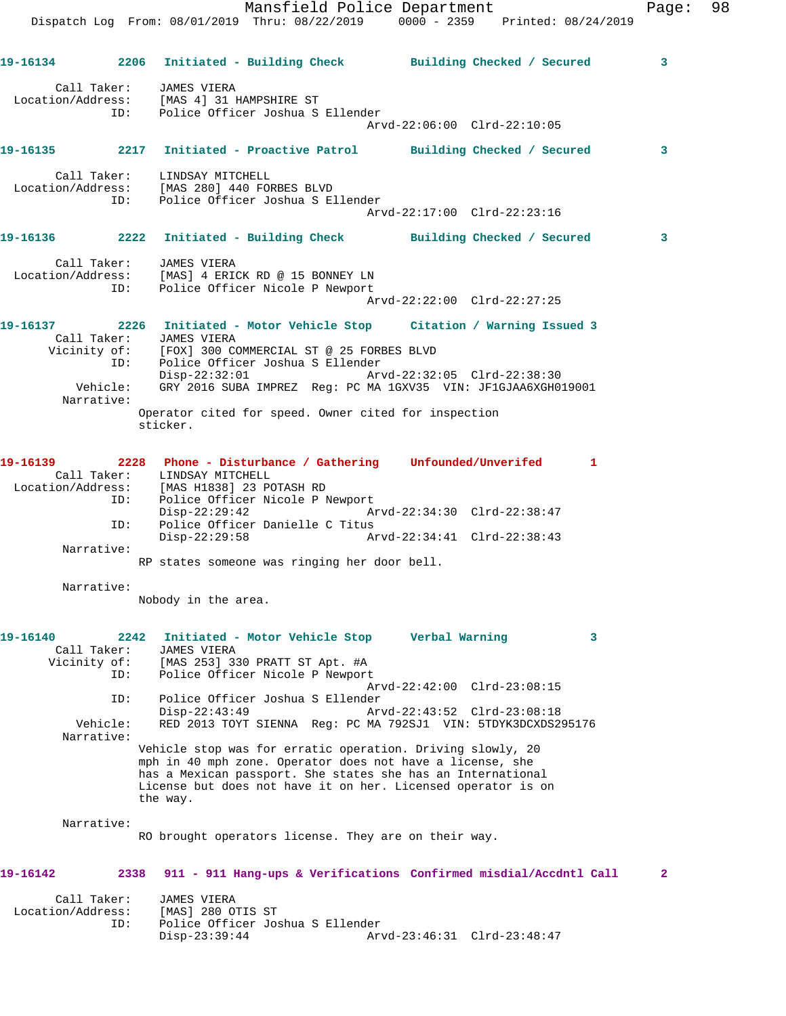Mansfield Police Department Fage: 98 Dispatch Log From: 08/01/2019 Thru: 08/22/2019 0000 - 2359 Printed: 08/24/2019 **19-16134 2206 Initiated - Building Check Building Checked / Secured 3** Call Taker: JAMES VIERA Location/Address: [MAS 4] 31 HAMPSHIRE ST ID: Police Officer Joshua S Ellender Arvd-22:06:00 Clrd-22:10:05 **19-16135 2217 Initiated - Proactive Patrol Building Checked / Secured 3** Call Taker: LINDSAY MITCHELL Location/Address: [MAS 280] 440 FORBES BLVD ID: Police Officer Joshua S Ellender Arvd-22:17:00 Clrd-22:23:16 **19-16136 2222 Initiated - Building Check Building Checked / Secured 3** Call Taker: JAMES VIERA Location/Address: [MAS] 4 ERICK RD @ 15 BONNEY LN ID: Police Officer Nicole P Newport Arvd-22:22:00 Clrd-22:27:25 **19-16137 2226 Initiated - Motor Vehicle Stop Citation / Warning Issued 3**  Call Taker: JAMES VIERA Vicinity of: [FOX] 300 COMMERCIAL ST @ 25 FORBES BLVD ID: Police Officer Joshua S Ellender<br>Disp-22:32:01 Arv Disp-22:32:01 Arvd-22:32:05 Clrd-22:38:30 Vehicle: GRY 2016 SUBA IMPREZ Reg: PC MA 1GXV35 VIN: JF1GJAA6XGH019001 Narrative: Operator cited for speed. Owner cited for inspection sticker. **19-16139 2228 Phone - Disturbance / Gathering Unfounded/Unverifed 1**  Call Taker: LINDSAY MITCHELL Location/Address: [MAS H1838] 23 POTASH RD ID: Police Officer Nicole P Newport Disp-22:29:42 Arvd-22:34:30 Clrd-22:38:47 ID: Police Officer Danielle C Titus<br>Disp-22:29:58 Am Disp-22:29:58 Arvd-22:34:41 Clrd-22:38:43 Narrative: RP states someone was ringing her door bell. Narrative: Nobody in the area. **19-16140 2242 Initiated - Motor Vehicle Stop Verbal Warning 3**  Call Taker: JAMES VIERA Vicinity of: [MAS 253] 330 PRATT ST Apt. #A ID: Police Officer Nicole P Newport Arvd-22:42:00 Clrd-23:08:15 ID: Police Officer Joshua S Ellender Disp-22:43:49 Arvd-22:43:52 Clrd-23:08:18 Vehicle: RED 2013 TOYT SIENNA Reg: PC MA 792SJ1 VIN: 5TDYK3DCXDS295176 Narrative: Vehicle stop was for erratic operation. Driving slowly, 20 mph in 40 mph zone. Operator does not have a license, she has a Mexican passport. She states she has an International License but does not have it on her. Licensed operator is on the way. Narrative: RO brought operators license. They are on their way. **19-16142 2338 911 - 911 Hang-ups & Verifications Confirmed misdial/Accdntl Call 2** Call Taker: JAMES VIERA Location/Address: [MAS] 280 OTIS ST ID: Police Officer Joshua S Ellender

Disp-23:39:44 Arvd-23:46:31 Clrd-23:48:47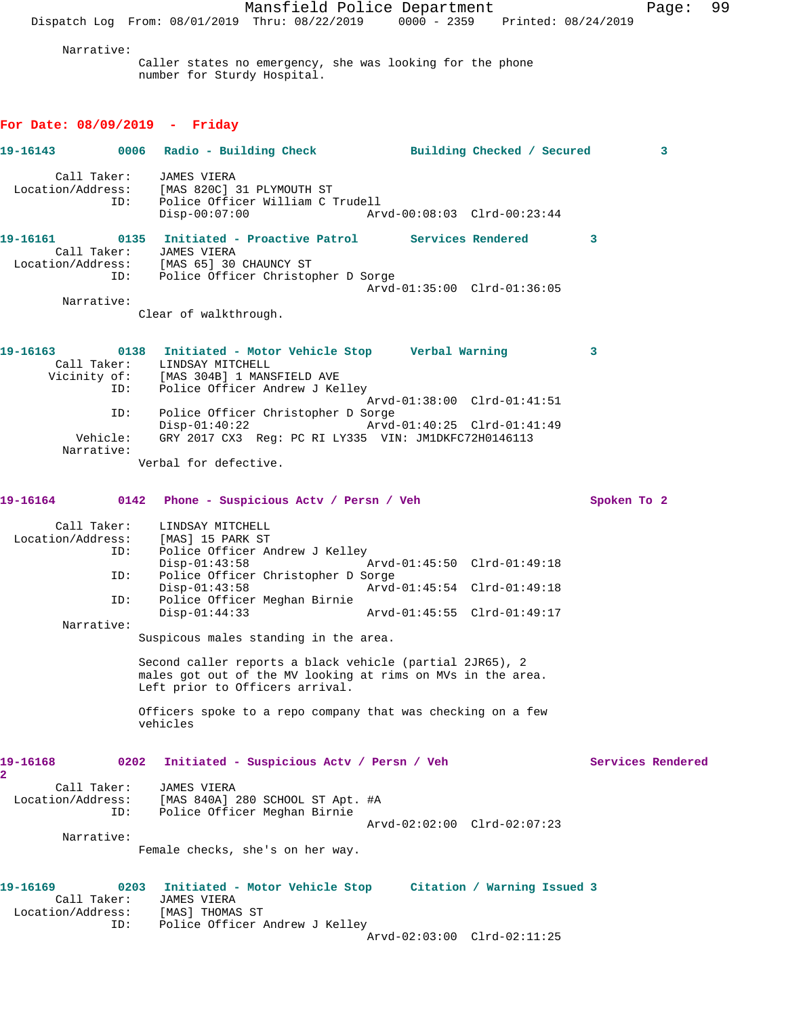Mansfield Police Department Page: 99 Dispatch Log From: 08/01/2019 Thru: 08/22/2019 0000 - 2359 Printed: 08/24/2019 Narrative: Caller states no emergency, she was looking for the phone number for Sturdy Hospital. **For Date: 08/09/2019 - Friday 19-16143 0006 Radio - Building Check Building Checked / Secured 3** Call Taker: JAMES VIERA Location/Address: [MAS 820C] 31 PLYMOUTH ST ID: Police Officer William C Trudell Disp-00:07:00 Arvd-00:08:03 Clrd-00:23:44 **19-16161 0135 Initiated - Proactive Patrol Services Rendered 3**  Call Taker: JAMES VIERA Location/Address: [MAS 65] 30 CHAUNCY ST ID: Police Officer Christopher D Sorge Arvd-01:35:00 Clrd-01:36:05 Narrative: Clear of walkthrough. **19-16163 0138 Initiated - Motor Vehicle Stop Verbal Warning 3**  Call Taker: LINDSAY MITCHELL Vicinity of: [MAS 304B] 1 MANSFIELD AVE ID: Police Officer Andrew J Kelley Arvd-01:38:00 Clrd-01:41:51 ID: Police Officer Christopher D Sorge Disp-01:40:22 Arvd-01:40:25 Clrd-01:41:49 Vehicle: GRY 2017 CX3 Reg: PC RI LY335 VIN: JM1DKFC72H0146113 Narrative: Verbal for defective. **19-16164 0142 Phone - Suspicious Actv / Persn / Veh Spoken To 2** Call Taker: LINDSAY MITCHELL Location/Address: [MAS] 15 PARK ST ID: Police Officer Andrew J Kelley<br>Disp-01:43:58 Disp-01:43:58 Arvd-01:45:50 Clrd-01:49:18 ID: Police Officer Christopher D Sorge Disp-01:43:58 Arvd-01:45:54 Clrd-01:49:18 ID: Police Officer Meghan Birnie Disp-01:44:33 Arvd-01:45:55 Clrd-01:49:17 Narrative: Suspicous males standing in the area. Second caller reports a black vehicle (partial 2JR65), 2 males got out of the MV looking at rims on MVs in the area. Left prior to Officers arrival. Officers spoke to a repo company that was checking on a few vehicles **19-16168 0202 Initiated - Suspicious Actv / Persn / Veh Services Rendered 2**  Call Taker: JAMES VIERA Location/Address: [MAS 840A] 280 SCHOOL ST Apt. #A ID: Police Officer Meghan Birnie Arvd-02:02:00 Clrd-02:07:23 Narrative: Female checks, she's on her way. **19-16169 0203 Initiated - Motor Vehicle Stop Citation / Warning Issued 3**  Call Taker: JAMES VIERA Location/Address: [MAS] THOMAS ST ID: Police Officer Andrew J Kelley Arvd-02:03:00 Clrd-02:11:25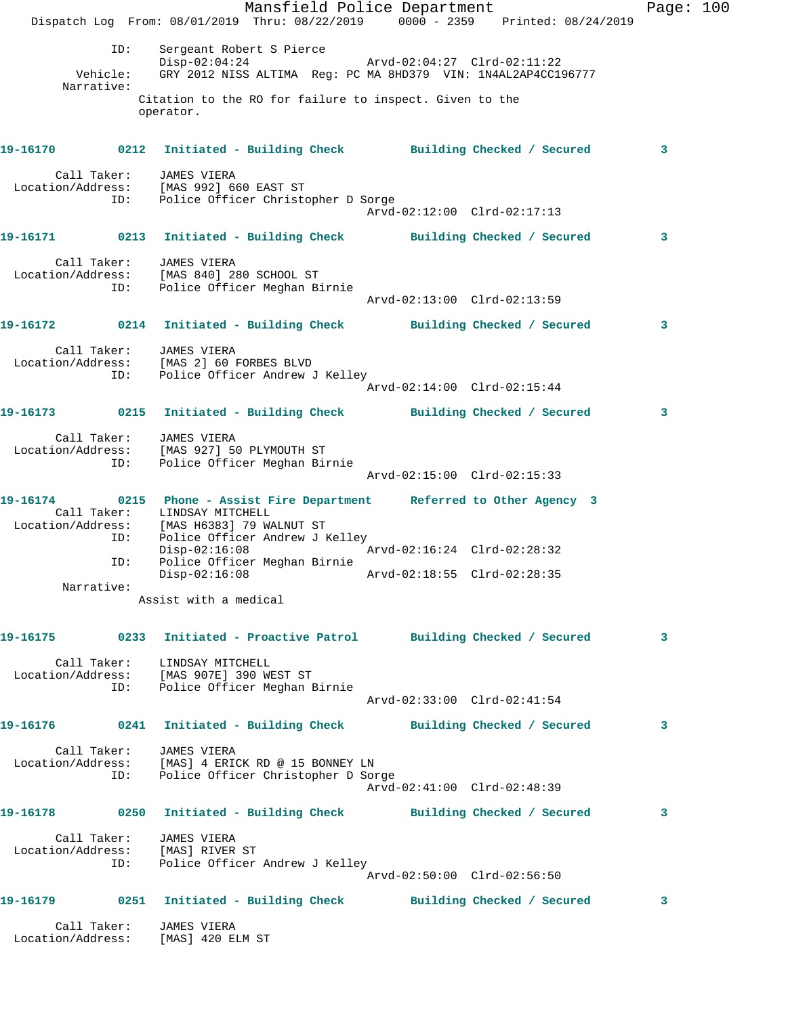Mansfield Police Department Page: 100 Dispatch Log From: 08/01/2019 Thru: 08/22/2019 0000 - 2359 Printed: 08/24/2019 ID: Sergeant Robert S Pierce<br>
Display: 04:24<br>
Arvd-02:04:27 Clrd-02:11:22 Disp-02:04:24 Arvd-02:04:27 Clrd-02:11:22 Vehicle: GRY 2012 NISS ALTIMA Reg: PC MA 8HD379 VIN: 1N4AL2AP4CC196777 Narrative: Citation to the RO for failure to inspect. Given to the operator. **19-16170 0212 Initiated - Building Check Building Checked / Secured 3** Call Taker: JAMES VIERA Location/Address: [MAS 992] 660 EAST ST ID: Police Officer Christopher D Sorge Arvd-02:12:00 Clrd-02:17:13 **19-16171 0213 Initiated - Building Check Building Checked / Secured 3** Call Taker: JAMES VIERA Location/Address: [MAS 840] 280 SCHOOL ST ID: Police Officer Meghan Birnie Arvd-02:13:00 Clrd-02:13:59 **19-16172 0214 Initiated - Building Check Building Checked / Secured 3** Call Taker: JAMES VIERA Location/Address: [MAS 2] 60 FORBES BLVD ID: Police Officer Andrew J Kelley Arvd-02:14:00 Clrd-02:15:44 **19-16173 0215 Initiated - Building Check Building Checked / Secured 3** Call Taker: JAMES VIERA Location/Address: [MAS 927] 50 PLYMOUTH ST ID: Police Officer Meghan Birnie Arvd-02:15:00 Clrd-02:15:33 **19-16174 0215 Phone - Assist Fire Department Referred to Other Agency 3**  Call Taker: LINDSAY MITCHELL Location/Address: [MAS H6383] 79 WALNUT ST ID: Police Officer Andrew J Kelley<br>Disp-02:16:08 Arvd-02:16:24 Clrd-02:28:32 Disp-02:16:08 Arvd-02:16:24 Clrd-02:28:32 ID: Police Officer Meghan Birnie Disp-02:16:08 Arvd-02:18:55 Clrd-02:28:35 Narrative: Assist with a medical **19-16175 0233 Initiated - Proactive Patrol Building Checked / Secured 3** Call Taker: LINDSAY MITCHELL Location/Address: [MAS 907E] 390 WEST ST ID: Police Officer Meghan Birnie Arvd-02:33:00 Clrd-02:41:54 **19-16176 0241 Initiated - Building Check Building Checked / Secured 3** Call Taker: JAMES VIERA Location/Address: [MAS] 4 ERICK RD @ 15 BONNEY LN ID: Police Officer Christopher D Sorge Arvd-02:41:00 Clrd-02:48:39 **19-16178 0250 Initiated - Building Check Building Checked / Secured 3** Call Taker: JAMES VIERA Location/Address: [MAS] RIVER ST ID: Police Officer Andrew J Kelley Arvd-02:50:00 Clrd-02:56:50 **19-16179 0251 Initiated - Building Check Building Checked / Secured 3** Call Taker: JAMES VIERA Location/Address: [MAS] 420 ELM ST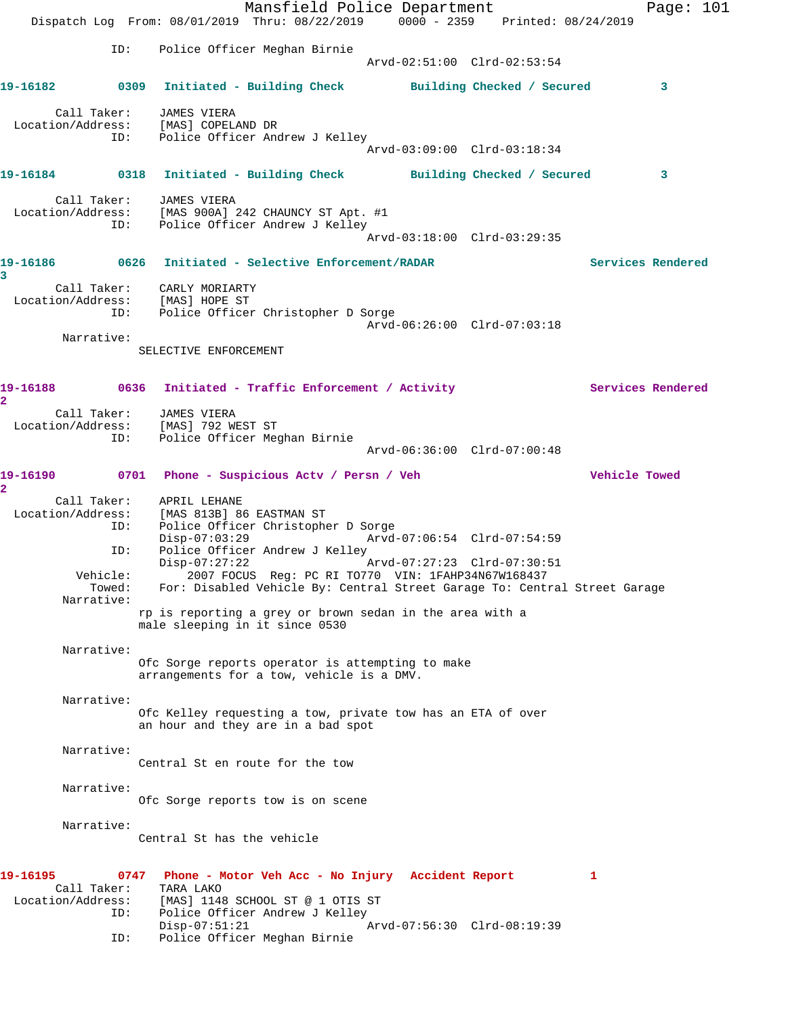Mansfield Police Department Page: 101 Dispatch Log From: 08/01/2019 Thru: 08/22/2019 0000 - 2359 Printed: 08/24/2019 ID: Police Officer Meghan Birnie Arvd-02:51:00 Clrd-02:53:54 **19-16182 0309 Initiated - Building Check Building Checked / Secured 3** Call Taker: JAMES VIERA Location/Address: [MAS] COPELAND DR ID: Police Officer Andrew J Kelley Arvd-03:09:00 Clrd-03:18:34 **19-16184 0318 Initiated - Building Check Building Checked / Secured 3** Call Taker: JAMES VIERA Location/Address: [MAS 900A] 242 CHAUNCY ST Apt. #1 ID: Police Officer Andrew J Kelley Arvd-03:18:00 Clrd-03:29:35 **19-16186 0626 Initiated - Selective Enforcement/RADAR Services Rendered 3**  Call Taker: CARLY MORIARTY Location/Address: [MAS] HOPE ST ID: Police Officer Christopher D Sorge Arvd-06:26:00 Clrd-07:03:18 Narrative: SELECTIVE ENFORCEMENT 19-16188 0636 Initiated - Traffic Enforcement / Activity **Services Rendered 2**  Call Taker: JAMES VIERA Location/Address: [MAS] 792 WEST ST ID: Police Officer Meghan Birnie Arvd-06:36:00 Clrd-07:00:48 **19-16190 0701 Phone - Suspicious Actv / Persn / Veh Vehicle Towed 2**  Call Taker: APRIL LEHANE Location/Address: [MAS 813B] 86 EASTMAN ST ID: Police Officer Christopher D Sorge Disp-07:03:29 Arvd-07:06:54 Clrd-07:54:59 ID: Police Officer Andrew J Kelley Disp-07:27:22 Arvd-07:27:23 Clrd-07:30:51 Vehicle: 2007 FOCUS Reg: PC RI TO770 VIN: 1FAHP34N67W168437 Towed: For: Disabled Vehicle By: Central Street Garage To: Central Street Garage Narrative: rp is reporting a grey or brown sedan in the area with a male sleeping in it since 0530 Narrative: Ofc Sorge reports operator is attempting to make arrangements for a tow, vehicle is a DMV. Narrative: Ofc Kelley requesting a tow, private tow has an ETA of over an hour and they are in a bad spot Narrative: Central St en route for the tow Narrative: Ofc Sorge reports tow is on scene Narrative: Central St has the vehicle **19-16195 0747 Phone - Motor Veh Acc - No Injury Accident Report 1**  Call Taker: TARA LAKO Location/Address: [MAS] 1148 SCHOOL ST @ 1 OTIS ST ID: Police Officer Andrew J Kelley Disp-07:51:21 Arvd-07:56:30 Clrd-08:19:39 ID: Police Officer Meghan Birnie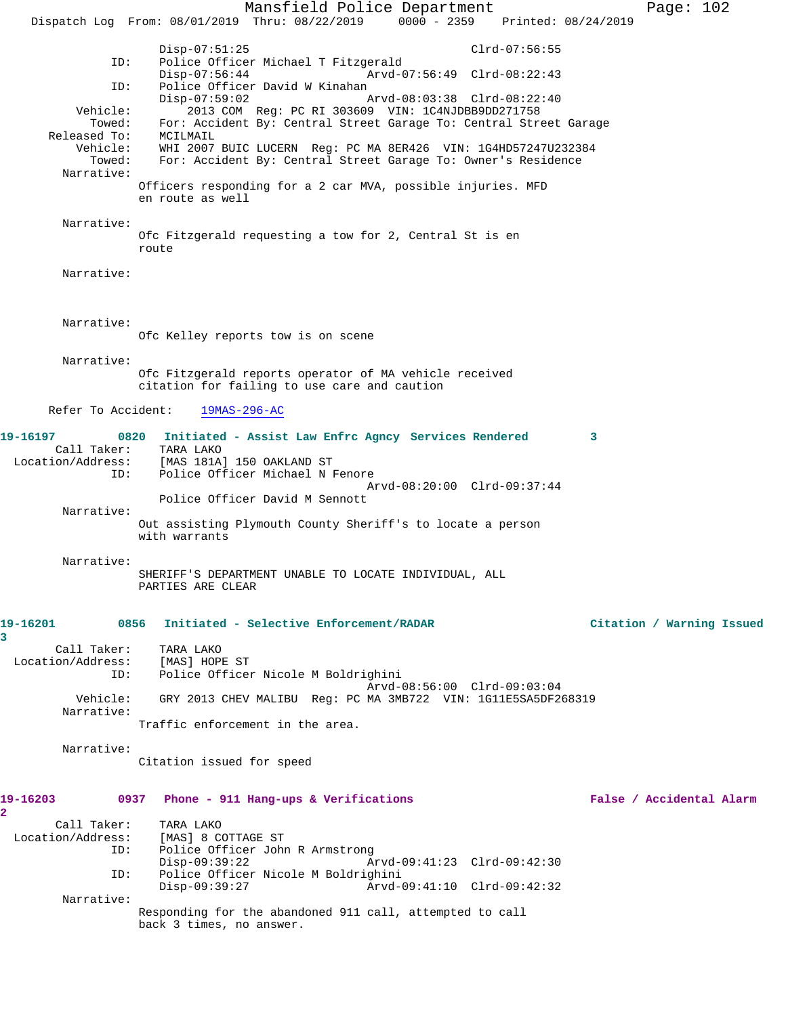Mansfield Police Department Page: 102 Dispatch Log From: 08/01/2019 Thru: 08/22/2019 0000 - 2359 Printed: 08/24/2019 Disp-07:51:25 Clrd-07:56:55<br>ID: Police Officer Michael T Fitzgerald Police Officer Michael T Fitzgerald Disp-07:56:44 Arvd-07:56:49 Clrd-08:22:43 ID: Police Officer David W Kinahan<br>Disp-07:59:02 P Disp-07:59:02 Arvd-08:03:38 Clrd-08:22:40 Vehicle: 2013 COM Reg: PC RI 303609 VIN: 1C4NJDBB9DD271758 Towed: For: Accident By: Central Street Garage To: Central Street Garage Released To: MCILMAIL<br>Vehicle: WHI 2007 WHI 2007 BUIC LUCERN Reg: PC MA 8ER426 VIN: 1G4HD57247U232384 Towed: For: Accident By: Central Street Garage To: Owner's Residence Narrative: Officers responding for a 2 car MVA, possible injuries. MFD en route as well Narrative: Ofc Fitzgerald requesting a tow for 2, Central St is en route Narrative: Narrative: Ofc Kelley reports tow is on scene Narrative: Ofc Fitzgerald reports operator of MA vehicle received citation for failing to use care and caution Refer To Accident: 19MAS-296-AC **19-16197 0820 Initiated - Assist Law Enfrc Agncy Services Rendered 3**  Call Taker: TARA LAKO Location/Address: [MAS 181A] 150 OAKLAND ST Police Officer Michael N Fenore Arvd-08:20:00 Clrd-09:37:44 Police Officer David M Sennott Narrative: Out assisting Plymouth County Sheriff's to locate a person with warrants Narrative: SHERIFF'S DEPARTMENT UNABLE TO LOCATE INDIVIDUAL, ALL PARTIES ARE CLEAR **19-16201 0856 Initiated - Selective Enforcement/RADAR Citation / Warning Issued 3**  Call Taker: TARA LAKO<br>ion/Address: [MAS] HOPE ST Location/Address: ID: Police Officer Nicole M Boldrighini Arvd-08:56:00 Clrd-09:03:04 Vehicle: GRY 2013 CHEV MALIBU Reg: PC MA 3MB722 VIN: 1G11E5SA5DF268319 Narrative: Traffic enforcement in the area. Narrative: Citation issued for speed **19-16203 0937 Phone - 911 Hang-ups & Verifications False / Accidental Alarm 2**  Call Taker: TARA LAKO<br>Location/Address: [MAS] 8 C [MAS] 8 COTTAGE ST ID: Police Officer John R Armstrong Disp-09:39:22 Arvd-09:41:23 Clrd-09:42:30<br>TD: Police Officer Nicole M Boldrighini ID: Police Officer Nicole M Boldrighini Disp-09:39:27 Arvd-09:41:10 Clrd-09:42:32 Narrative: Responding for the abandoned 911 call, attempted to call back 3 times, no answer.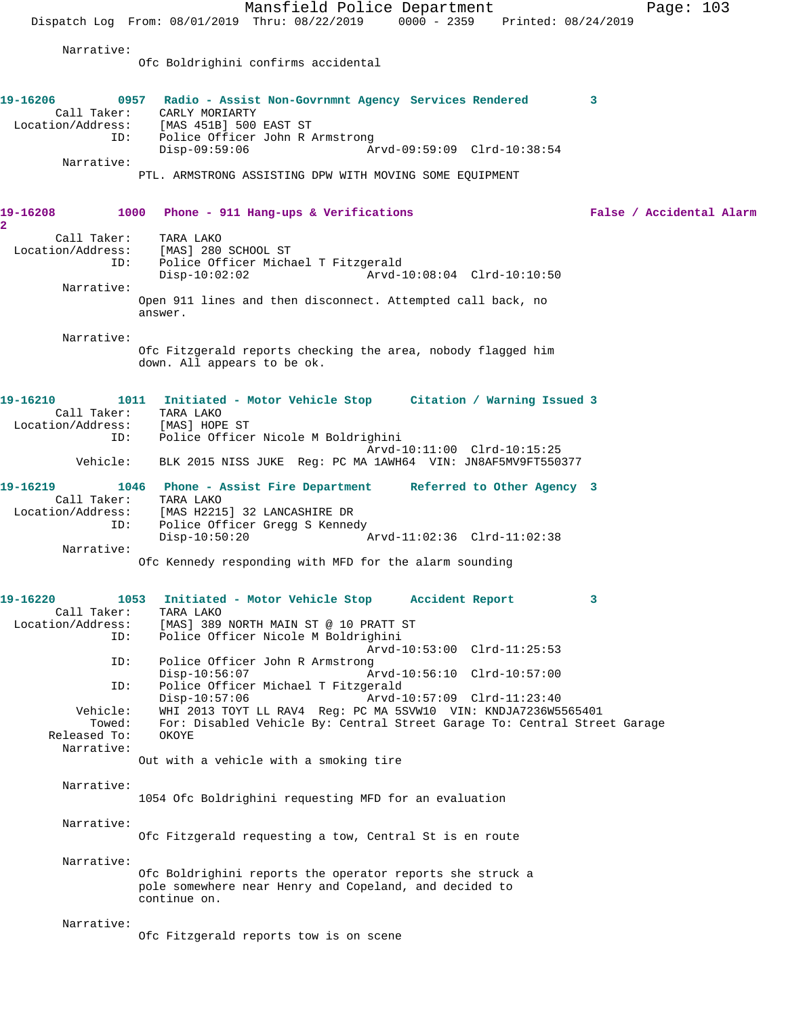Mansfield Police Department Page: 103 Dispatch Log From: 08/01/2019 Thru: 08/22/2019 0000 - 2359 Printed: 08/24/2019 Narrative: Ofc Boldrighini confirms accidental **19-16206 0957 Radio - Assist Non-Govrnmnt Agency Services Rendered 3**  Call Taker: CARLY MORIARTY<br>Location/Address: [MAS 451B] 500 [MAS 451B] 500 EAST ST ID: Police Officer John R Armstrong Disp-09:59:06 Arvd-09:59:09 Clrd-10:38:54 Narrative: PTL. ARMSTRONG ASSISTING DPW WITH MOVING SOME EQUIPMENT **19-16208 1000 Phone - 911 Hang-ups & Verifications False / Accidental Alarm 2**  Call Taker: TARA LAKO Location/Address: [MAS] 280 SCHOOL ST ID: Police Officer Michael T Fitzgerald Disp-10:02:02 Arvd-10:08:04 Clrd-10:10:50 Narrative: Open 911 lines and then disconnect. Attempted call back, no answer. Narrative: Ofc Fitzgerald reports checking the area, nobody flagged him down. All appears to be ok. **19-16210 1011 Initiated - Motor Vehicle Stop Citation / Warning Issued 3**  Call Taker: TARA LAKO<br>.on/Address: [MAS] HOPE ST Location/Address: ID: Police Officer Nicole M Boldrighini Arvd-10:11:00 Clrd-10:15:25 Vehicle: BLK 2015 NISS JUKE Reg: PC MA 1AWH64 VIN: JN8AF5MV9FT550377 **19-16219 1046 Phone - Assist Fire Department Referred to Other Agency 3**  Call Taker: TARA LAKO<br>Location/Address: [MAS H221] [MAS H2215] 32 LANCASHIRE DR ID: Police Officer Gregg S Kennedy Disp-10:50:20 Arvd-11:02:36 Clrd-11:02:38 Narrative: Ofc Kennedy responding with MFD for the alarm sounding **19-16220 1053 Initiated - Motor Vehicle Stop Accident Report 3**  Call Taker:<br>Location/Address: ess: [MAS] 389 NORTH MAIN ST @ 10 PRATT ST<br>ID: Police Officer Nicole M Boldrighini Police Officer Nicole M Boldrighini Arvd-10:53:00 Clrd-11:25:53 ID: Police Officer John R Armstrong Disp-10:56:07 Arvd-10:56:10 Clrd-10:57:00 ID: Police Officer Michael T Fitzgerald Disp-10:57:06 Arvd-10:57:09 Clrd-11:23:40<br>Vehicle: WHI 2013 TOYT LL RAV4 Reg: PC MA 5SVW10 VIN: KNDJA7236W5 WHI 2013 TOYT LL RAV4 Reg: PC MA 5SVW10 VIN: KNDJA7236W5565401 Towed: For: Disabled Vehicle By: Central Street Garage To: Central Street Garage<br>sed To: 0KOYE Released To: Narrative: Out with a vehicle with a smoking tire Narrative: 1054 Ofc Boldrighini requesting MFD for an evaluation Narrative: Ofc Fitzgerald requesting a tow, Central St is en route Narrative: Ofc Boldrighini reports the operator reports she struck a pole somewhere near Henry and Copeland, and decided to continue on. Narrative: Ofc Fitzgerald reports tow is on scene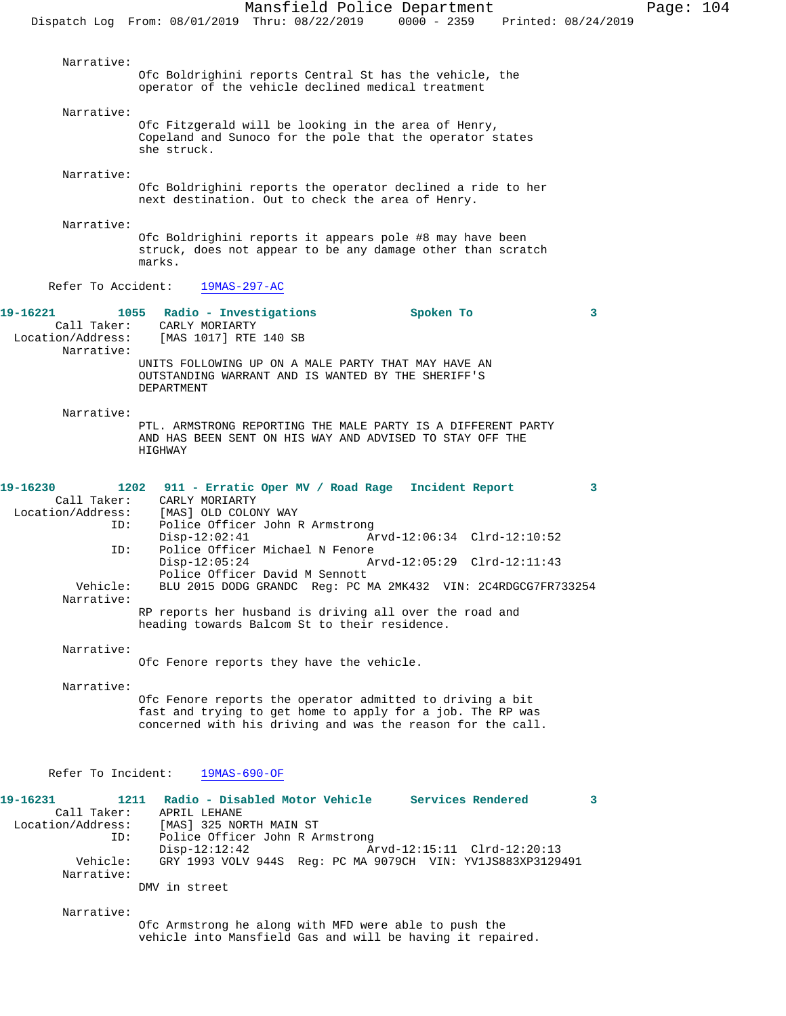Narrative: Ofc Boldrighini reports Central St has the vehicle, the operator of the vehicle declined medical treatment Narrative: Ofc Fitzgerald will be looking in the area of Henry, Copeland and Sunoco for the pole that the operator states she struck. Narrative: Ofc Boldrighini reports the operator declined a ride to her next destination. Out to check the area of Henry. Narrative: Ofc Boldrighini reports it appears pole #8 may have been struck, does not appear to be any damage other than scratch marks. Refer To Accident: 19MAS-297-AC **19-16221 1055 Radio - Investigations Spoken To 3**  Call Taker: CARLY MORIARTY<br>Location/Address: [MAS 1017] RTE [MAS 1017] RTE 140 SB Narrative: UNITS FOLLOWING UP ON A MALE PARTY THAT MAY HAVE AN OUTSTANDING WARRANT AND IS WANTED BY THE SHERIFF'S DEPARTMENT Narrative: PTL. ARMSTRONG REPORTING THE MALE PARTY IS A DIFFERENT PARTY AND HAS BEEN SENT ON HIS WAY AND ADVISED TO STAY OFF THE HIGHWAY **19-16230 1202 911 - Erratic Oper MV / Road Rage Incident Report 3**  Call Taker: CARLY MORIARTY<br>Location/Address: [MAS] OLD COLON [MAS] OLD COLONY WAY ID: Police Officer John R Armstrong Disp-12:02:41 Arvd-12:06:34 Clrd-12:10:52<br>TD: Police Officer Michael N Fenore Police Officer Michael N Fenore<br>Disp-12:05:24 Ar Disp-12:05:24 Arvd-12:05:29 Clrd-12:11:43 Police Officer David M Sennott Vehicle: BLU 2015 DODG GRANDC Reg: PC MA 2MK432 VIN: 2C4RDGCG7FR733254 Narrative: RP reports her husband is driving all over the road and heading towards Balcom St to their residence. Narrative: Ofc Fenore reports they have the vehicle. Narrative: Ofc Fenore reports the operator admitted to driving a bit fast and trying to get home to apply for a job. The RP was concerned with his driving and was the reason for the call. Refer To Incident: 19MAS-690-OF **19-16231 1211 Radio - Disabled Motor Vehicle Services Rendered 3**  APRIL LEHANE Location/Address: [MAS] 325 NORTH MAIN ST ID: Police Officer John R Armstrong<br>Disp-12:12:42 Ar

 Vehicle: GRY 1993 VOLV 944S Reg: PC MA 9079CH VIN: YV1JS883XP3129491 Narrative:

DMV in street

Narrative:

Ofc Armstrong he along with MFD were able to push the vehicle into Mansfield Gas and will be having it repaired.

Arvd-12:15:11 Clrd-12:20:13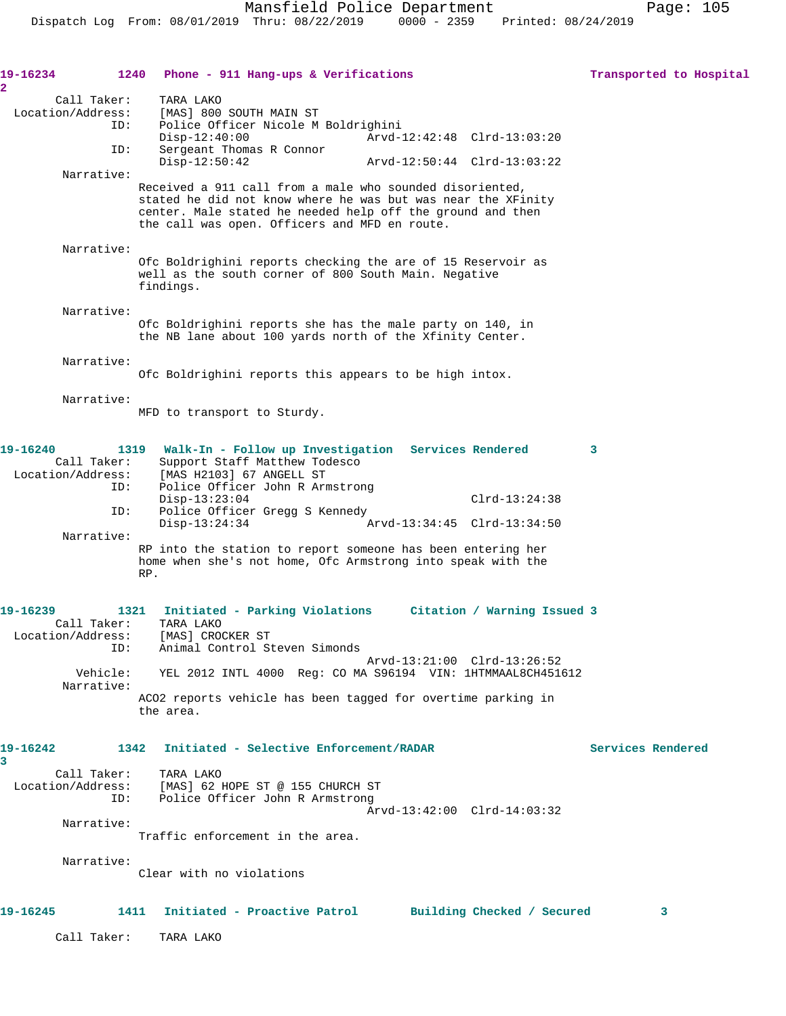| 19-16234<br>$\overline{\mathbf{2}}$     | 1240 Phone - 911 Hang-ups & Verifications                                                                                                                                                                                               | Transported to Hospital |  |
|-----------------------------------------|-----------------------------------------------------------------------------------------------------------------------------------------------------------------------------------------------------------------------------------------|-------------------------|--|
| Call Taker:<br>Location/Address:<br>ID: | TARA LAKO<br>[MAS] 800 SOUTH MAIN ST<br>Police Officer Nicole M Boldrighini<br>$Disp-12:40:00$<br>Arvd-12:42:48 Clrd-13:03:20                                                                                                           |                         |  |
| ID:                                     | Sergeant Thomas R Connor<br>$Disp-12:50:42$<br>Arvd-12:50:44 Clrd-13:03:22                                                                                                                                                              |                         |  |
| Narrative:                              |                                                                                                                                                                                                                                         |                         |  |
|                                         | Received a 911 call from a male who sounded disoriented,<br>stated he did not know where he was but was near the XFinity<br>center. Male stated he needed help off the ground and then<br>the call was open. Officers and MFD en route. |                         |  |
| Narrative:                              |                                                                                                                                                                                                                                         |                         |  |
|                                         | Ofc Boldrighini reports checking the are of 15 Reservoir as<br>well as the south corner of 800 South Main. Negative<br>findings.                                                                                                        |                         |  |
| Narrative:                              | Ofc Boldrighini reports she has the male party on 140, in<br>the NB lane about 100 yards north of the Xfinity Center.                                                                                                                   |                         |  |
| Narrative:                              | Ofc Boldrighini reports this appears to be high intox.                                                                                                                                                                                  |                         |  |
| Narrative:                              | MFD to transport to Sturdy.                                                                                                                                                                                                             |                         |  |
| 19-16240<br>Call Taker:                 | Walk-In - Follow up Investigation Services Rendered<br>1319<br>Support Staff Matthew Todesco                                                                                                                                            | 3                       |  |
| Location/Address:<br>ID:                | [MAS H2103] 67 ANGELL ST<br>Police Officer John R Armstrong<br>$Disp-13:23:04$<br>$Clrd-13:24:38$                                                                                                                                       |                         |  |
| ID:                                     | Police Officer Gregg S Kennedy<br>$Disp-13:24:34$<br>Arvd-13:34:45 Clrd-13:34:50                                                                                                                                                        |                         |  |
| Narrative:                              | RP into the station to report someone has been entering her<br>home when she's not home, Ofc Armstrong into speak with the<br>RP.                                                                                                       |                         |  |
| 19-16239<br>Call Taker:                 | 1321<br>Initiated - Parking Violations<br>Citation / Warning Issued 3<br>TARA LAKO                                                                                                                                                      |                         |  |
| ID:                                     | Location/Address: [MAS] CROCKER ST<br>Animal Control Steven Simonds                                                                                                                                                                     |                         |  |
| Vehicle:                                | Arvd-13:21:00 Clrd-13:26:52<br>YEL 2012 INTL 4000 Req: CO MA S96194 VIN: 1HTMMAAL8CH451612                                                                                                                                              |                         |  |
| Narrative:                              | ACO2 reports vehicle has been tagged for overtime parking in<br>the area.                                                                                                                                                               |                         |  |
| 19-16242<br>3                           | Initiated - Selective Enforcement/RADAR<br>1342                                                                                                                                                                                         | Services Rendered       |  |
| Call Taker:<br>Location/Address:<br>ID: | TARA LAKO<br>[MAS] 62 HOPE ST @ 155 CHURCH ST<br>Police Officer John R Armstrong                                                                                                                                                        |                         |  |
| Narrative:                              | Arvd-13:42:00 Clrd-14:03:32                                                                                                                                                                                                             |                         |  |
|                                         | Traffic enforcement in the area.                                                                                                                                                                                                        |                         |  |
| Narrative:                              | Clear with no violations                                                                                                                                                                                                                |                         |  |
|                                         |                                                                                                                                                                                                                                         |                         |  |
| 19-16245                                | 1411<br>Initiated - Proactive Patrol<br>Building Checked / Secured                                                                                                                                                                      | 3                       |  |
| Call Taker:                             | TARA LAKO                                                                                                                                                                                                                               |                         |  |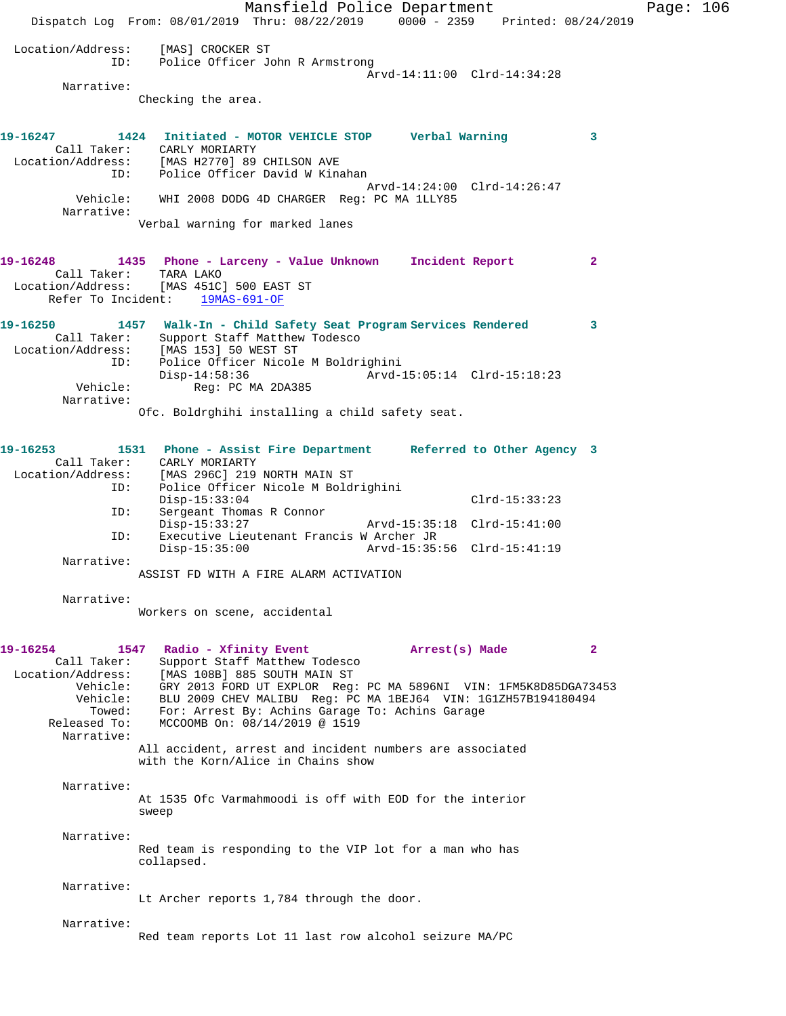Mansfield Police Department Page: 106 Dispatch Log From: 08/01/2019 Thru: 08/22/2019 0000 - 2359 Printed: 08/24/2019 Location/Address: [MAS] CROCKER ST<br>ID: Police Officer Jo Police Officer John R Armstrong Arvd-14:11:00 Clrd-14:34:28 Narrative: Checking the area. **19-16247 1424 Initiated - MOTOR VEHICLE STOP Verbal Warning 3**  Call Taker: CARLY MORIARTY Location/Address: [MAS H2770] 89 CHILSON AVE ID: Police Officer David W Kinahan Arvd-14:24:00 Clrd-14:26:47 Vehicle: WHI 2008 DODG 4D CHARGER Reg: PC MA 1LLY85 Narrative: Verbal warning for marked lanes **19-16248 1435 Phone - Larceny - Value Unknown Incident Report 2**  Call Taker: TARA LAKO Location/Address: [MAS 451C] 500 EAST ST Refer To Incident: 19MAS-691-OF **19-16250 1457 Walk-In - Child Safety Seat Program Services Rendered 3**  Call Taker: Support Staff Matthew Todesco Location/Address: [MAS 153] 50 WEST ST ID: Police Officer Nicole M Boldrighini Disp-14:58:36 Arvd-15:05:14 Clrd-15:18:23<br>Vehicle: Req: PC MA 2DA385 Reg: PC MA 2DA385 Narrative: Ofc. Boldrghihi installing a child safety seat. **19-16253 1531 Phone - Assist Fire Department Referred to Other Agency 3**  Call Taker: CARLY MORIARTY Location/Address: [MAS 296C] 219 NORTH MAIN ST ID: Police Officer Nicole M Boldrighini Disp-15:33:04 Clrd-15:33:23<br>ID: Sergeant Thomas R Connor Sergeant Thomas R Connor<br>Disp-15:33:27 Disp-15:33:27 Arvd-15:35:18 Clrd-15:41:00 ID: Executive Lieutenant Francis W Archer JR Disp-15:35:00 Arvd-15:35:56 Clrd-15:41:19 Narrative: ASSIST FD WITH A FIRE ALARM ACTIVATION Narrative: Workers on scene, accidental **19-16254 1547 Radio - Xfinity Event Arrest(s) Made 2**  Call Taker: Support Staff Matthew Todesco Location/Address: [MAS 108B] 885 SOUTH MAIN ST Vehicle: GRY 2013 FORD UT EXPLOR Reg: PC MA 5896NI VIN: 1FM5K8D85DGA73453 Vehicle: BLU 2009 CHEV MALIBU Reg: PC MA 1BEJ64 VIN: 1G1ZH57B194180494 Towed: For: Arrest By: Achins Garage To: Achins Garage Released To: MCCOOMB On: 08/14/2019 @ 1519 Narrative: All accident, arrest and incident numbers are associated with the Korn/Alice in Chains show Narrative: At 1535 Ofc Varmahmoodi is off with EOD for the interior sweep Narrative: Red team is responding to the VIP lot for a man who has collapsed. Narrative: Lt Archer reports 1,784 through the door. Narrative: Red team reports Lot 11 last row alcohol seizure MA/PC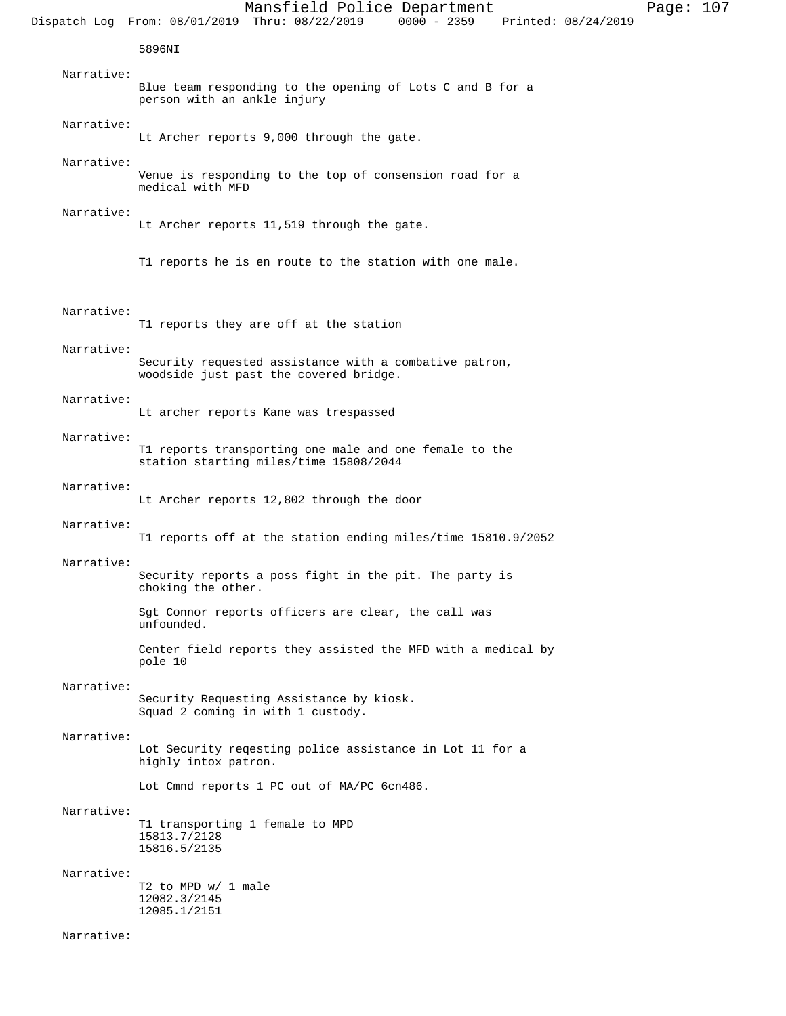#### Narrative:

Lt Archer reports 11,519 through the gate.

T1 reports he is en route to the station with one male.

# Narrative:

T1 reports they are off at the station

#### Narrative:

Security requested assistance with a combative patron, woodside just past the covered bridge.

# Narrative:

Lt archer reports Kane was trespassed

# Narrative:

T1 reports transporting one male and one female to the station starting miles/time 15808/2044

## Narrative:

Lt Archer reports 12,802 through the door

### Narrative:

T1 reports off at the station ending miles/time 15810.9/2052

# Narrative:

Security reports a poss fight in the pit. The party is choking the other.

Sgt Connor reports officers are clear, the call was unfounded.

Center field reports they assisted the MFD with a medical by pole 10

# Narrative:

Security Requesting Assistance by kiosk. Squad 2 coming in with 1 custody.

#### Narrative:

Lot Security reqesting police assistance in Lot 11 for a highly intox patron.

Lot Cmnd reports 1 PC out of MA/PC 6cn486.

#### Narrative:

T1 transporting 1 female to MPD 15813.7/2128 15816.5/2135

# Narrative:

T2 to MPD w/ 1 male 12082.3/2145 12085.1/2151

Narrative: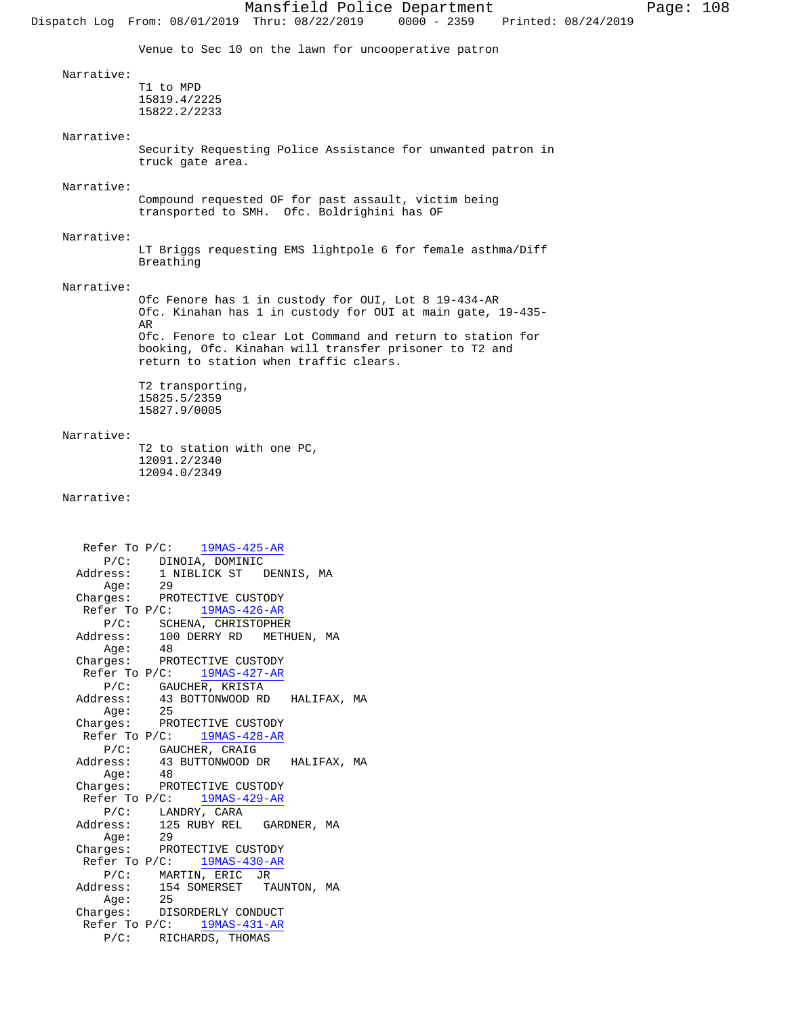Dispatch Log From: 08/01/2019 Thru: 08/22/2019 0000 - 2359 Printed: 08/24/2019 Venue to Sec 10 on the lawn for uncooperative patron Narrative: T1 to MPD 15819.4/2225 15822.2/2233 Narrative: Security Requesting Police Assistance for unwanted patron in truck gate area. Narrative: Compound requested OF for past assault, victim being transported to SMH. Ofc. Boldrighini has OF Narrative: LT Briggs requesting EMS lightpole 6 for female asthma/Diff Breathing Narrative: Ofc Fenore has 1 in custody for OUI, Lot 8 19-434-AR Ofc. Kinahan has 1 in custody for OUI at main gate, 19-435- AR Ofc. Fenore to clear Lot Command and return to station for booking, Ofc. Kinahan will transfer prisoner to T2 and return to station when traffic clears. T2 transporting, 15825.5/2359 15827.9/0005 Narrative: T2 to station with one PC, 12091.2/2340 12094.0/2349 Narrative: Refer To P/C: 19MAS-425-AR P/C: DINOIA, DOMINIC Address: 1 NIBLICK ST DENNIS, MA Age: 29 Charges: PROTECTIVE CUSTODY Refer To P/C: 19MAS-426-AR P/C: SCHENA, CHRISTOPHER<br>Address: 100 DERRY RD METH 100 DERRY RD METHUEN, MA<br>48 Age: 48 Charges: PROTECTIVE CUSTODY Refer To P/C: 19MAS-427-AR P/C: GAUCHER, KRISTA<br>Address: 43 BOTTONWOOD RD 43 BOTTONWOOD RD HALIFAX, MA Age: 25 Charges: PROTECTIVE CUSTODY Refer To P/C: 19MAS-428-AR P/C: GAUCHER, CRAIG Address: 43 BUTTONWOOD DR HALIFAX, MA Age: 48 Charges: PROTECTIVE CUSTODY<br>Refer To P/C: 19MAS-429-AR Refer To  $P/C$ : P/C: LANDRY, CARA Address: 125 RUBY REL GARDNER, MA Age: 29 Charges: PROTECTIVE CUSTODY Refer To  $P/C:$  19MAS-430-AR P/C: MARTIN, ERIC JR 154 SOMERSET TAUNTON, MA<br>25 Address:<br>Age: Charges: DISORDERLY CONDUCT

> Refer To P/C: 19MAS-431-AR P/C: RICHARDS, THOMAS

Mansfield Police Department Page: 108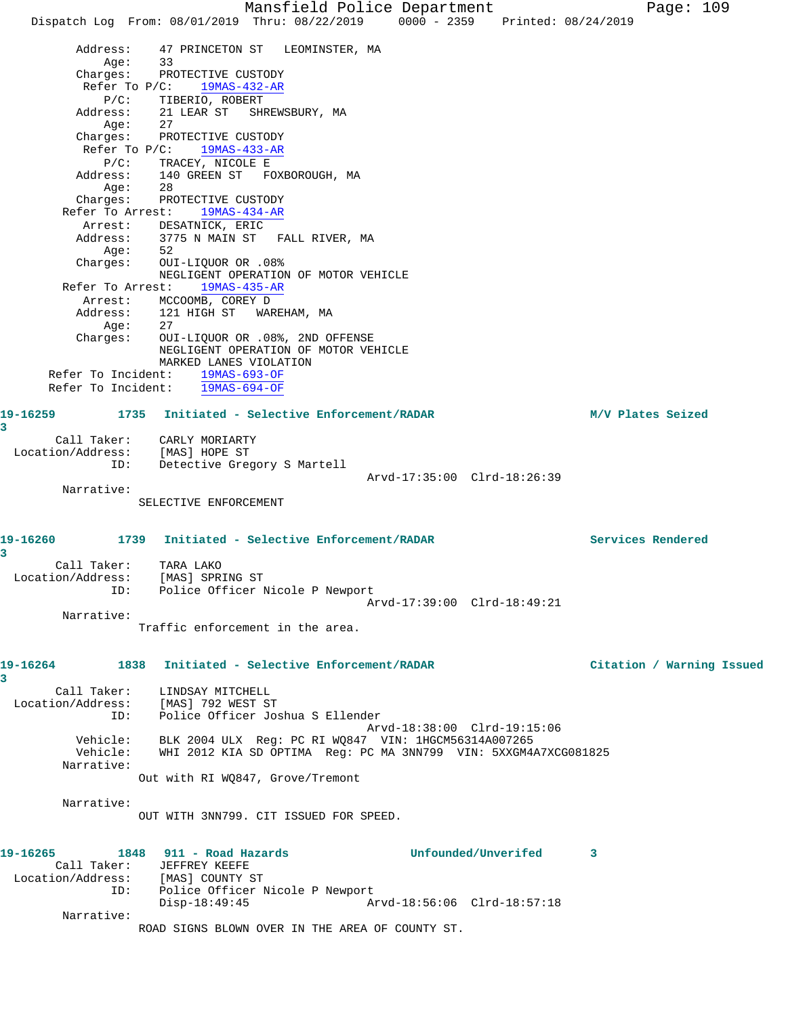Mansfield Police Department Fage: 109 Dispatch Log From: 08/01/2019 Thru: 08/22/2019 0000 - 2359 Printed: 08/24/2019 Address: 47 PRINCETON ST LEOMINSTER, MA Age: 33 Charges: PROTECTIVE CUSTODY Refer To P/C: 19MAS-432-AR P/C: TIBERIO, ROBERT Address: 21 LEAR ST SHREWSBURY, MA Age: 27 Charges: PROTECTIVE CUSTODY Refer To P/C: 19MAS-433-AR P/C: TRACEY, NICOLE E Address: 140 GREEN ST FOXBOROUGH, MA Age: 28 Charges: PROTECTIVE CUSTODY Refer To Arrest: 19MAS-434-AR Arrest: DESATNICK, ERIC Address: 3775 N MAIN ST FALL RIVER, MA Age: 52 Charges: OUI-LIQUOR OR .08% NEGLIGENT OPERATION OF MOTOR VEHICLE Refer To Arrest: 19MAS-435-AR Arrest: MCCOOMB, COREY D Address: 121 HIGH ST WAREHAM, MA Age: 27 Charges: OUI-LIQUOR OR .08%, 2ND OFFENSE NEGLIGENT OPERATION OF MOTOR VEHICLE MARKED LANES VIOLATION Refer To Incident: 19MAS-693-OF Refer To Incident: 19MAS-694-OF **19-16259 1735 Initiated - Selective Enforcement/RADAR M/V Plates Seized 3**  Call Taker: CARLY MORIARTY Location/Address: [MAS] HOPE ST ID: Detective Gregory S Martell Arvd-17:35:00 Clrd-18:26:39 Narrative: SELECTIVE ENFORCEMENT **19-16260 1739 Initiated - Selective Enforcement/RADAR Services Rendered 3**  Call Taker: TARA LAKO Location/Address: [MAS] SPRING ST ID: Police Officer Nicole P Newport Arvd-17:39:00 Clrd-18:49:21 Narrative: Traffic enforcement in the area. **19-16264 1838 Initiated - Selective Enforcement/RADAR Citation / Warning Issued 3**  Call Taker: LINDSAY MITCHELL Location/Address: [MAS] 792 WEST ST ID: Police Officer Joshua S Ellender Arvd-18:38:00 Clrd-19:15:06 Vehicle: BLK 2004 ULX Reg: PC RI WQ847 VIN: 1HGCM56314A007265 Vehicle: WHI 2012 KIA SD OPTIMA Reg: PC MA 3NN799 VIN: 5XXGM4A7XCG081825 Narrative: Out with RI WQ847, Grove/Tremont Narrative: OUT WITH 3NN799. CIT ISSUED FOR SPEED. **19-16265 1848 911 - Road Hazards Unfounded/Unverifed 3**  Call Taker: JEFFREY KEEFE Location/Address: [MAS] COUNTY ST ID: Police Officer Nicole P Newport Disp-18:49:45 Arvd-18:56:06 Clrd-18:57:18 Narrative: ROAD SIGNS BLOWN OVER IN THE AREA OF COUNTY ST.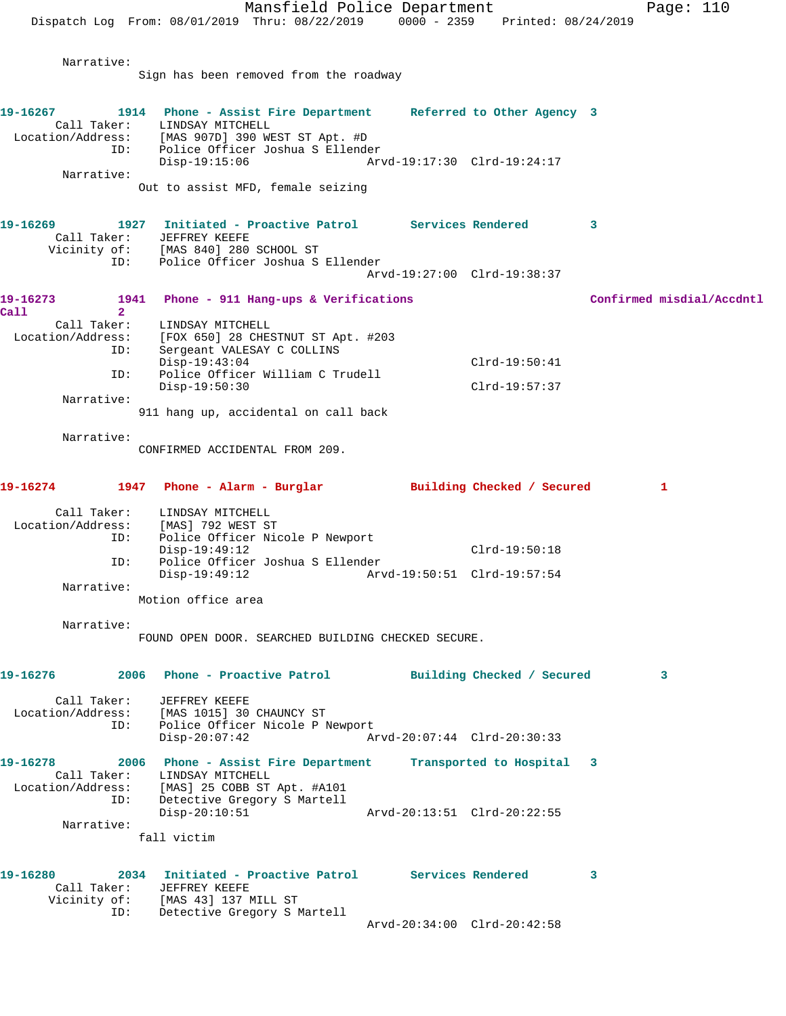Mansfield Police Department Page: 110 Dispatch Log From: 08/01/2019 Thru: 08/22/2019 0000 - 2359 Printed: 08/24/2019 Narrative: Sign has been removed from the roadway **19-16267 1914 Phone - Assist Fire Department Referred to Other Agency 3**  Call Taker: LINDSAY MITCHELL Location/Address: [MAS 907D] 390 WEST ST Apt. #D ID: Police Officer Joshua S Ellender Disp-19:15:06 Arvd-19:17:30 Clrd-19:24:17 Narrative: Out to assist MFD, female seizing **19-16269 1927 Initiated - Proactive Patrol Services Rendered 3**  Call Taker: JEFFREY KEEFE Vicinity of: [MAS 840] 280 SCHOOL ST ID: Police Officer Joshua S Ellender Arvd-19:27:00 Clrd-19:38:37 19-16273 1941 Phone - 911 Hang-ups & Verifications **Confirmed misdial/Accdntl Call 2**  Call Taker: LINDSAY MITCHELL<br>Location/Address: [FOX 650] 28 CHES [FOX 650] 28 CHESTNUT ST Apt. #203 ID: Sergeant VALESAY C COLLINS Disp-19:43:04 Clrd-19:50:41 ID: Police Officer William C Trudell Disp-19:50:30 Clrd-19:57:37 Narrative: 911 hang up, accidental on call back Narrative: CONFIRMED ACCIDENTAL FROM 209. **19-16274 1947 Phone - Alarm - Burglar Building Checked / Secured 1** Call Taker: LINDSAY MITCHELL Location/Address: [MAS] 792 WEST ST ID: Police Officer Nicole P Newport Disp-19:49:12 Clrd-19:50:18 ID: Police Officer Joshua S Ellender Disp-19:49:12 Arvd-19:50:51 Clrd-19:57:54 Narrative: Motion office area Narrative: FOUND OPEN DOOR. SEARCHED BUILDING CHECKED SECURE. **19-16276 2006 Phone - Proactive Patrol Building Checked / Secured 3** Call Taker: JEFFREY KEEFE Location/Address: [MAS 1015] 30 CHAUNCY ST ID: Police Officer Nicole P Newport<br>Disp-20:07:42 A Disp-20:07:42 Arvd-20:07:44 Clrd-20:30:33 **19-16278 2006 Phone - Assist Fire Department Transported to Hospital 3**  Call Taker: LINDSAY MITCHELL Location/Address: [MAS] 25 COBB ST Apt. #A101 ID: Detective Gregory S Martell Disp-20:10:51 Arvd-20:13:51 Clrd-20:22:55 Narrative: fall victim **19-16280 2034 Initiated - Proactive Patrol Services Rendered 3**  Call Taker: JEFFREY KEEFE Vicinity of: [MAS 43] 137 MILL ST ID: Detective Gregory S Martell Arvd-20:34:00 Clrd-20:42:58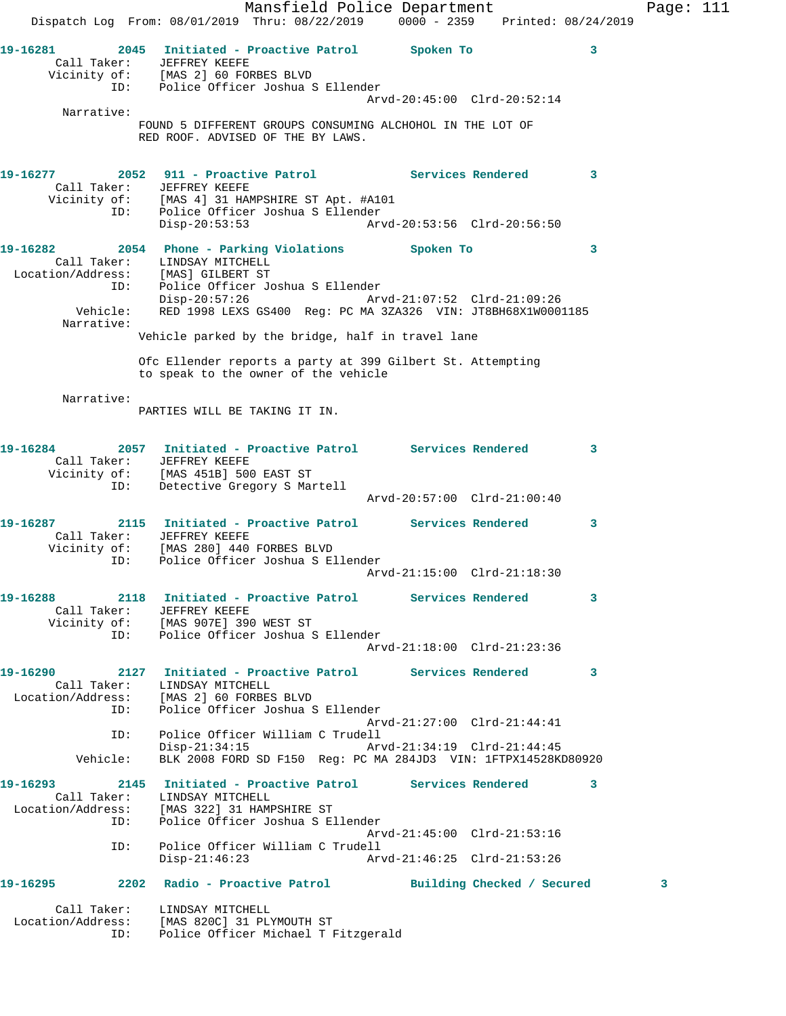Mansfield Police Department Fage: 111 Dispatch Log From: 08/01/2019 Thru: 08/22/2019 0000 - 2359 Printed: 08/24/2019 **19-16281 2045 Initiated - Proactive Patrol Spoken To 3**  Call Taker: JEFFREY KEEFE Vicinity of: [MAS 2] 60 FORBES BLVD ID: Police Officer Joshua S Ellender Arvd-20:45:00 Clrd-20:52:14 Narrative: FOUND 5 DIFFERENT GROUPS CONSUMING ALCHOHOL IN THE LOT OF RED ROOF. ADVISED OF THE BY LAWS. **19-16277 2052 911 - Proactive Patrol Services Rendered 3**  Call Taker: JEFFREY KEEFE Vicinity of: [MAS 4] 31 HAMPSHIRE ST Apt. #A101 ID: Police Officer Joshua S Ellender Disp-20:53:53 Arvd-20:53:56 Clrd-20:56:50 **19-16282 2054 Phone - Parking Violations Spoken To 3**  Call Taker: LINDSAY MITCHELL Location/Address: [MAS] GILBERT ST ID: Police Officer Joshua S Ellender Disp-20:57:26 Arvd-21:07:52 Clrd-21:09:26 Vehicle: RED 1998 LEXS GS400 Reg: PC MA 3ZA326 VIN: JT8BH68X1W0001185 Narrative: Vehicle parked by the bridge, half in travel lane Ofc Ellender reports a party at 399 Gilbert St. Attempting to speak to the owner of the vehicle Narrative: PARTIES WILL BE TAKING IT IN. **19-16284 2057 Initiated - Proactive Patrol Services Rendered 3**  Call Taker: JEFFREY KEEFE Vicinity of: [MAS 451B] 500 EAST ST ID: Detective Gregory S Martell Arvd-20:57:00 Clrd-21:00:40 **19-16287 2115 Initiated - Proactive Patrol Services Rendered 3**  Call Taker: JEFFREY KEEFE Vicinity of: [MAS 280] 440 FORBES BLVD ID: Police Officer Joshua S Ellender Arvd-21:15:00 Clrd-21:18:30 **19-16288 2118 Initiated - Proactive Patrol Services Rendered 3**  Call Taker: JEFFREY KEEFE Vicinity of: [MAS 907E] 390 WEST ST ID: Police Officer Joshua S Ellender Arvd-21:18:00 Clrd-21:23:36 **19-16290 2127 Initiated - Proactive Patrol Services Rendered 3**  Call Taker: LINDSAY MITCHELL Location/Address: [MAS 2] 60 FORBES BLVD ID: Police Officer Joshua S Ellender Arvd-21:27:00 Clrd-21:44:41 ID: Police Officer William C Trudell Disp-21:34:15 Arvd-21:34:19 Clrd-21:44:45 Vehicle: BLK 2008 FORD SD F150 Reg: PC MA 284JD3 VIN: 1FTPX14528KD80920 **19-16293 2145 Initiated - Proactive Patrol Services Rendered 3**  Call Taker: LINDSAY MITCHELL Location/Address: [MAS 322] 31 HAMPSHIRE ST ID: Police Officer Joshua S Ellender Arvd-21:45:00 Clrd-21:53:16 ID: Police Officer William C Trudell Disp-21:46:23 Arvd-21:46:25 Clrd-21:53:26 **19-16295 2202 Radio - Proactive Patrol Building Checked / Secured 3** Call Taker: LINDSAY MITCHELL Location/Address: [MAS 820C] 31 PLYMOUTH ST ID: Police Officer Michael T Fitzgerald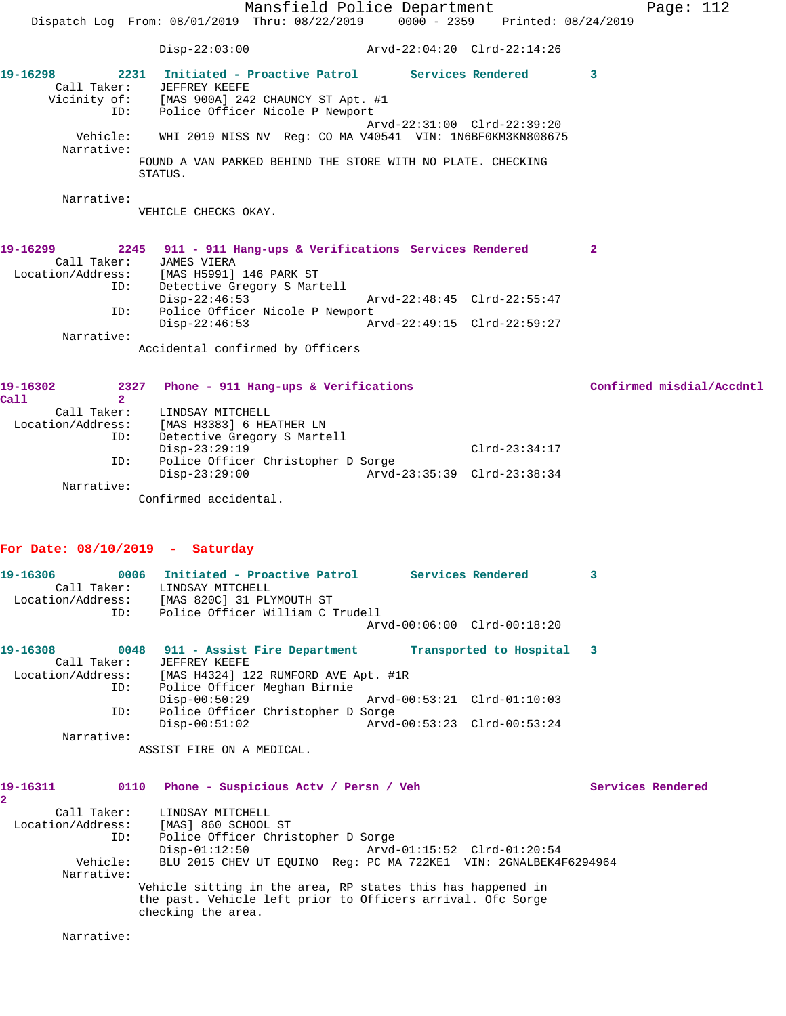Mansfield Police Department Fage: 112 Dispatch Log From: 08/01/2019 Thru: 08/22/2019 0000 - 2359 Printed: 08/24/2019 Disp-22:03:00 Arvd-22:04:20 Clrd-22:14:26 **19-16298 2231 Initiated - Proactive Patrol Services Rendered 3**  Call Taker: JEFFREY KEEFE Vicinity of: [MAS 900A] 242 CHAUNCY ST Apt. #1 ID: Police Officer Nicole P Newport Arvd-22:31:00 Clrd-22:39:20 Vehicle: WHI 2019 NISS NV Reg: CO MA V40541 VIN: 1N6BF0KM3KN808675 Narrative: FOUND A VAN PARKED BEHIND THE STORE WITH NO PLATE. CHECKING STATUS. Narrative: VEHICLE CHECKS OKAY. **19-16299 2245 911 - 911 Hang-ups & Verifications Services Rendered 2**  Call Taker: JAMES VIERA Location/Address: [MAS H5991] 146 PARK ST ID: Detective Gregory S Martell Disp-22:46:53 Arvd-22:48:45 Clrd-22:55:47 ID: Police Officer Nicole P Newport Disp-22:46:53 Arvd-22:49:15 Clrd-22:59:27

Narrative:

Accidental confirmed by Officers

| 2327                                          |                                                                            | Confirmed misdial/Accdntl   |
|-----------------------------------------------|----------------------------------------------------------------------------|-----------------------------|
|                                               |                                                                            |                             |
| LINDSAY MITCHELL                              |                                                                            |                             |
| Location/Address:<br>[MAS H3383] 6 HEATHER LN |                                                                            |                             |
| Detective Gregory S Martell<br>ID:            |                                                                            |                             |
| $Disp-23:29:19$                               | $Clrd-23:34:17$                                                            |                             |
| ID:                                           |                                                                            |                             |
| $Disp-23:29:00$                               |                                                                            |                             |
|                                               |                                                                            |                             |
| Confirmed accidental.                         |                                                                            |                             |
|                                               | Phone - 911 Hang-ups & Verifications<br>Police Officer Christopher D Sorge | Arvd-23:35:39 Clrd-23:38:34 |

# **For Date: 08/10/2019 - Saturday**

| 19-16306          | 0006        | Initiated - Proactive Patrol     |  | Services Rendered           |  |
|-------------------|-------------|----------------------------------|--|-----------------------------|--|
|                   | Call Taker: | LINDSAY MITCHELL                 |  |                             |  |
| Location/Address: |             | [MAS 820C] 31 PLYMOUTH ST        |  |                             |  |
|                   | ID:         | Police Officer William C Trudell |  |                             |  |
|                   |             |                                  |  | Arvd-00:06:00 Clrd-00:18:20 |  |
| 19-16308          | 0048        | 911 - Assist Fire Department     |  | Transported to Hospital     |  |

| Call Taker:       | JEFFREY KEEFE                        |                             |  |
|-------------------|--------------------------------------|-----------------------------|--|
| Location/Address: | [MAS H4324] 122 RUMFORD AVE Apt. #1R |                             |  |
| ID:               | Police Officer Meghan Birnie         |                             |  |
|                   | $Disp-00:50:29$                      | Arvd-00:53:21 Clrd-01:10:03 |  |
| ID:               | Police Officer Christopher D Sorge   |                             |  |
|                   | $Disp-00:51:02$                      | Arvd-00:53:23 Clrd-00:53:24 |  |
| Narrative:        |                                      |                             |  |
|                   | ASSIST FIRE ON A MEDICAL.            |                             |  |

| 19-16311          | 0110     | Phone - Suspicious Actv / Persn / Veh                                             | Services Rendered |
|-------------------|----------|-----------------------------------------------------------------------------------|-------------------|
|                   |          |                                                                                   |                   |
| Call Taker:       |          | LINDSAY MITCHELL                                                                  |                   |
| Location/Address: |          | [MAS] 860 SCHOOL ST                                                               |                   |
|                   | ID:      | Police Officer Christopher D Sorge                                                |                   |
|                   |          | $Disp-01:12:50$                                                                   |                   |
|                   | Vehicle: | BLU 2015 CHEV UT EOUINO Req: PC MA 722KE1 VIN: 2GNALBEK4F6294964                  |                   |
| Narrative:        |          |                                                                                   |                   |
|                   |          | Vehicle sitting in the area, RP states this has happened in                       |                   |
|                   |          | the past. Vehicle left prior to Officers arrival. Ofc Sorge<br>checking the area. |                   |

Narrative: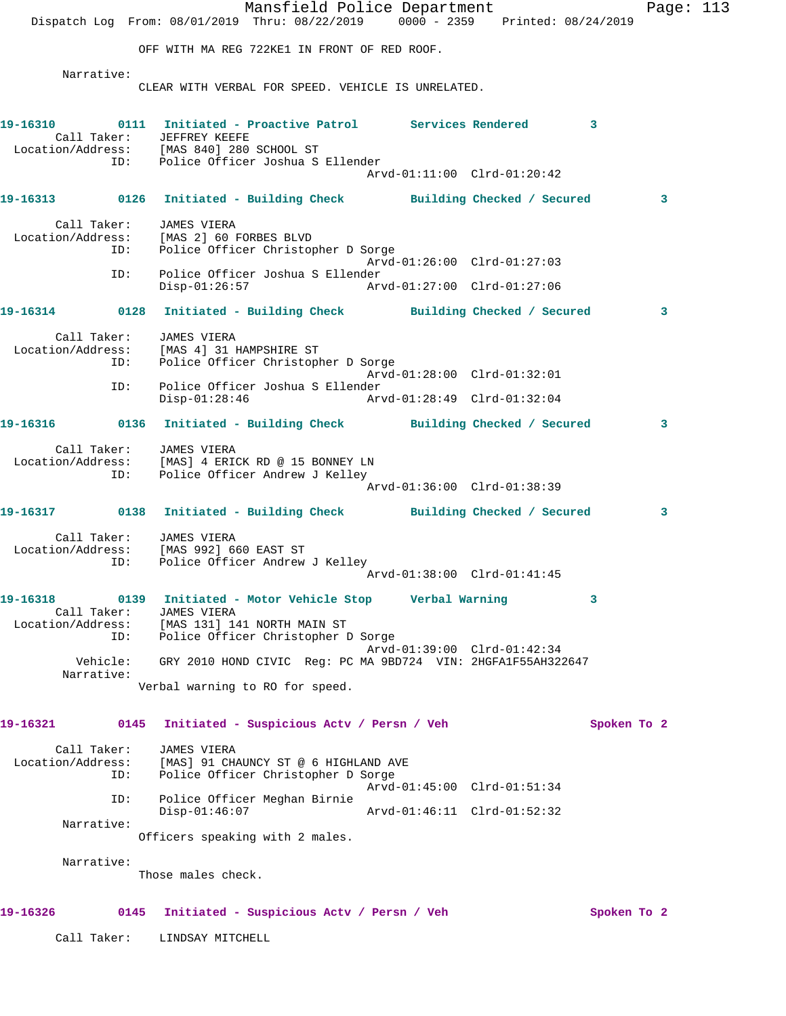Mansfield Police Department Fage: 113 Dispatch Log From: 08/01/2019 Thru: 08/22/2019 0000 - 2359 Printed: 08/24/2019 OFF WITH MA REG 722KE1 IN FRONT OF RED ROOF. Narrative: CLEAR WITH VERBAL FOR SPEED. VEHICLE IS UNRELATED. **19-16310 0111 Initiated - Proactive Patrol Services Rendered 3**  Call Taker: JEFFREY KEEFE Location/Address: [MAS 840] 280 SCHOOL ST ID: Police Officer Joshua S Ellender Arvd-01:11:00 Clrd-01:20:42 **19-16313 0126 Initiated - Building Check Building Checked / Secured 3** Call Taker: JAMES VIERA Location/Address: [MAS 2] 60 FORBES BLVD ID: Police Officer Christopher D Sorge Arvd-01:26:00 Clrd-01:27:03 ID: Police Officer Joshua S Ellender Disp-01:26:57 Arvd-01:27:00 Clrd-01:27:06 **19-16314 0128 Initiated - Building Check Building Checked / Secured 3** Call Taker: JAMES VIERA Location/Address: [MAS 4] 31 HAMPSHIRE ST ID: Police Officer Christopher D Sorge Arvd-01:28:00 Clrd-01:32:01 ID: Police Officer Joshua S Ellender Disp-01:28:46 Arvd-01:28:49 Clrd-01:32:04 **19-16316 0136 Initiated - Building Check Building Checked / Secured 3** Call Taker: JAMES VIERA Location/Address: [MAS] 4 ERICK RD @ 15 BONNEY LN ID: Police Officer Andrew J Kelley Arvd-01:36:00 Clrd-01:38:39 **19-16317 0138 Initiated - Building Check Building Checked / Secured 3** Call Taker: JAMES VIERA Location/Address: [MAS 992] 660 EAST ST ID: Police Officer Andrew J Kelley Arvd-01:38:00 Clrd-01:41:45 **19-16318 0139 Initiated - Motor Vehicle Stop Verbal Warning 3**  Call Taker: JAMES VIERA Location/Address: [MAS 131] 141 NORTH MAIN ST ID: Police Officer Christopher D Sorge Arvd-01:39:00 Clrd-01:42:34 Vehicle: GRY 2010 HOND CIVIC Reg: PC MA 9BD724 VIN: 2HGFA1F55AH322647 Narrative: Verbal warning to RO for speed. **19-16321 0145 Initiated - Suspicious Actv / Persn / Veh Spoken To 2** Call Taker: JAMES VIERA Location/Address: [MAS] 91 CHAUNCY ST @ 6 HIGHLAND AVE ID: Police Officer Christopher D Sorge Arvd-01:45:00 Clrd-01:51:34 ID: Police Officer Meghan Birnie Disp-01:46:07 Arvd-01:46:11 Clrd-01:52:32 Narrative: Officers speaking with 2 males. Narrative: Those males check. **19-16326 0145 Initiated - Suspicious Actv / Persn / Veh Spoken To 2** Call Taker: LINDSAY MITCHELL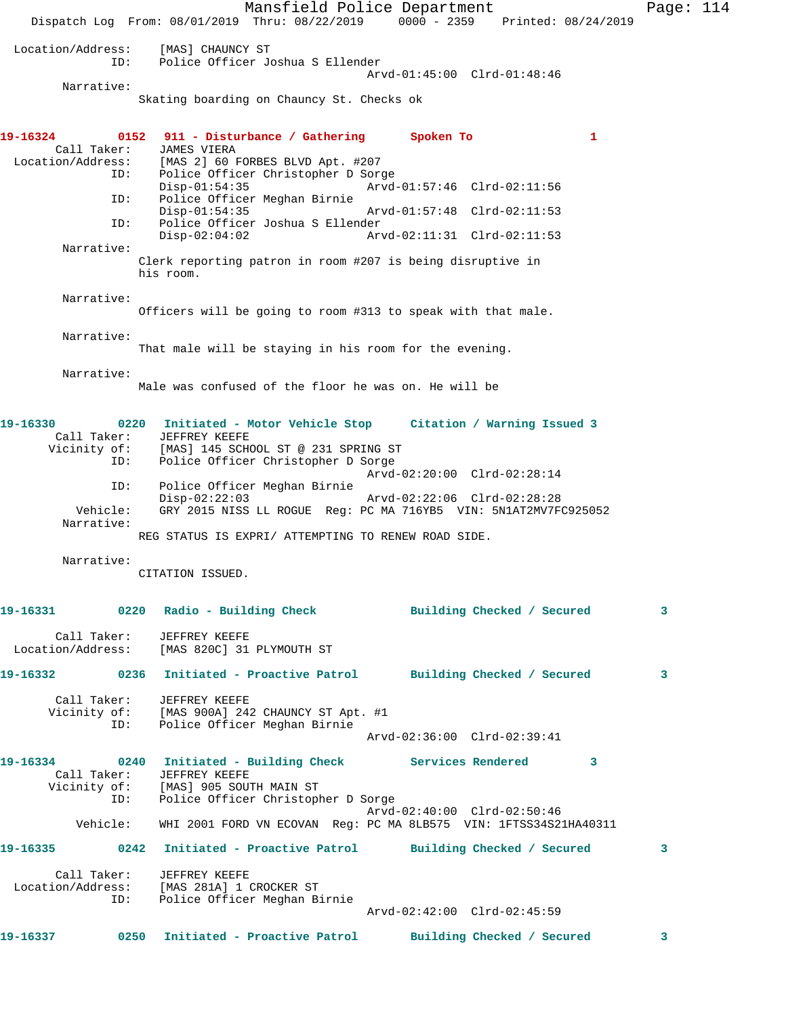Mansfield Police Department Fage: 114 Dispatch Log From: 08/01/2019 Thru: 08/22/2019 0000 - 2359 Printed: 08/24/2019 Location/Address: [MAS] CHAUNCY ST ID: Police Officer Joshua S Ellender Arvd-01:45:00 Clrd-01:48:46 Narrative: Skating boarding on Chauncy St. Checks ok **19-16324 0152 911 - Disturbance / Gathering Spoken To 1**  Call Taker: JAMES VIERA<br>Location/Address: [MAS 2] 60 B [MAS 2] 60 FORBES BLVD Apt. #207 ID: Police Officer Christopher D Sorge<br>Disp-01:54:35 Arvd- Disp-01:54:35 Arvd-01:57:46 Clrd-02:11:56 ID: Police Officer Meghan Birnie Disp-01:54:35 Arvd-01:57:48 Clrd-02:11:53<br>TD: Police Officer Joshua S Ellender Police Officer Joshua S Ellender Disp-02:04:02 Arvd-02:11:31 Clrd-02:11:53 Narrative: Clerk reporting patron in room #207 is being disruptive in his room. Narrative: Officers will be going to room #313 to speak with that male. Narrative: That male will be staying in his room for the evening. Narrative: Male was confused of the floor he was on. He will be **19-16330 0220 Initiated - Motor Vehicle Stop Citation / Warning Issued 3**  Call Taker: JEFFREY KEEFE<br>Vicinity of: [MAS] 145 SCH [MAS] 145 SCHOOL ST @ 231 SPRING ST ID: Police Officer Christopher D Sorge Arvd-02:20:00 Clrd-02:28:14 ID: Police Officer Meghan Birnie Disp-02:22:03 Arvd-02:22:06 Clrd-02:28:28 Vehicle: GRY 2015 NISS LL ROGUE Reg: PC MA 716YB5 VIN: 5N1AT2MV7FC925052 Narrative: REG STATUS IS EXPRI/ ATTEMPTING TO RENEW ROAD SIDE. Narrative: CITATION ISSUED. **19-16331 0220 Radio - Building Check Building Checked / Secured 3** Call Taker: JEFFREY KEEFE Location/Address: [MAS 820C] 31 PLYMOUTH ST **19-16332 0236 Initiated - Proactive Patrol Building Checked / Secured 3** Call Taker: JEFFREY KEEFE Vicinity of: [MAS 900A] 242 CHAUNCY ST Apt. #1 ID: Police Officer Meghan Birnie Arvd-02:36:00 Clrd-02:39:41 **19-16334 0240 Initiated - Building Check Services Rendered 3**  Call Taker: JEFFREY KEEFE<br>Vicinity of: [MAS] 905 SOU [MAS] 905 SOUTH MAIN ST ID: Police Officer Christopher D Sorge Arvd-02:40:00 Clrd-02:50:46 Vehicle: WHI 2001 FORD VN ECOVAN Reg: PC MA 8LB575 VIN: 1FTSS34S21HA40311 **19-16335 0242 Initiated - Proactive Patrol Building Checked / Secured 3** Call Taker: JEFFREY KEEFE Location/Address: [MAS 281A] 1 CROCKER ST ID: Police Officer Meghan Birnie Arvd-02:42:00 Clrd-02:45:59 **19-16337 0250 Initiated - Proactive Patrol Building Checked / Secured 3**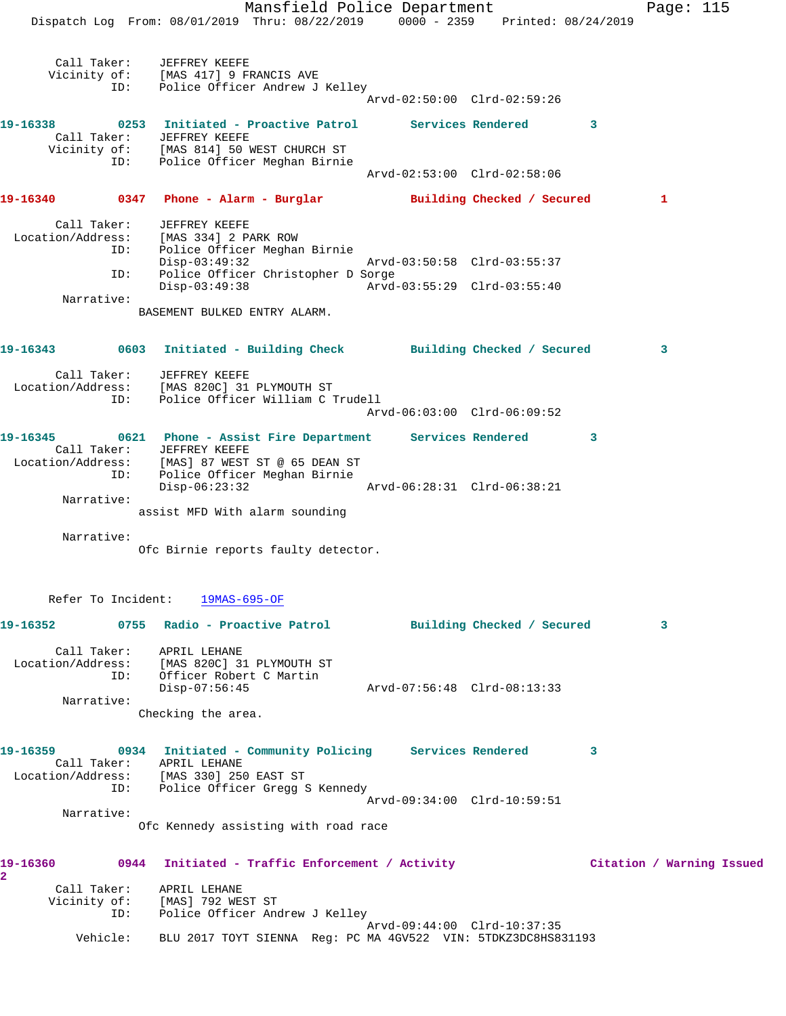Mansfield Police Department Fage: 115 Dispatch Log From: 08/01/2019 Thru: 08/22/2019 0000 - 2359 Printed: 08/24/2019 Call Taker: JEFFREY KEEFE Vicinity of: [MAS 417] 9 FRANCIS AVE ID: Police Officer Andrew J Kelley Arvd-02:50:00 Clrd-02:59:26 **19-16338 0253 Initiated - Proactive Patrol Services Rendered 3**  Call Taker: JEFFREY KEEFE Vicinity of: [MAS 814] 50 WEST CHURCH ST ID: Police Officer Meghan Birnie Arvd-02:53:00 Clrd-02:58:06 **19-16340 0347 Phone - Alarm - Burglar Building Checked / Secured 1** Call Taker: JEFFREY KEEFE Location/Address: [MAS 334] 2 PARK ROW ID: Police Officer Meghan Birnie Police Officer Meghan Birnie<br>Disp-03:49:32 Arvd-03:50:58 Clrd-03:55:37 ID: Police Officer Christopher D Sorge<br>Disp-03:49:38 Arvd- Disp-03:49:38 Arvd-03:55:29 Clrd-03:55:40 Narrative: BASEMENT BULKED ENTRY ALARM. **19-16343 0603 Initiated - Building Check Building Checked / Secured 3** Call Taker: JEFFREY KEEFE Location/Address: [MAS 820C] 31 PLYMOUTH ST ID: Police Officer William C Trudell Arvd-06:03:00 Clrd-06:09:52 **19-16345 0621 Phone - Assist Fire Department Services Rendered 3**  Call Taker: JEFFREY KEEFE Location/Address: [MAS] 87 WEST ST @ 65 DEAN ST ID: Police Officer Meghan Birnie Disp-06:23:32 Arvd-06:28:31 Clrd-06:38:21 Narrative: assist MFD With alarm sounding Narrative: Ofc Birnie reports faulty detector. Refer To Incident: 19MAS-695-OF **19-16352 0755 Radio - Proactive Patrol Building Checked / Secured 3** Call Taker: APRIL LEHANE Location/Address: [MAS 820C] 31 PLYMOUTH ST ID: Officer Robert C Martin Disp-07:56:45 Arvd-07:56:48 Clrd-08:13:33 Narrative: Checking the area. **19-16359 0934 Initiated - Community Policing Services Rendered 3**  Call Taker: APRIL LEHANE Location/Address: [MAS 330] 250 EAST ST ID: Police Officer Gregg S Kennedy Arvd-09:34:00 Clrd-10:59:51 Narrative: Ofc Kennedy assisting with road race **19-16360 0944 Initiated - Traffic Enforcement / Activity Citation / Warning Issued 2**  Call Taker: APRIL LEHANE Vicinity of: [MAS] 792 WEST ST ID: Police Officer Andrew J Kelley Arvd-09:44:00 Clrd-10:37:35 Vehicle: BLU 2017 TOYT SIENNA Reg: PC MA 4GV522 VIN: 5TDKZ3DC8HS831193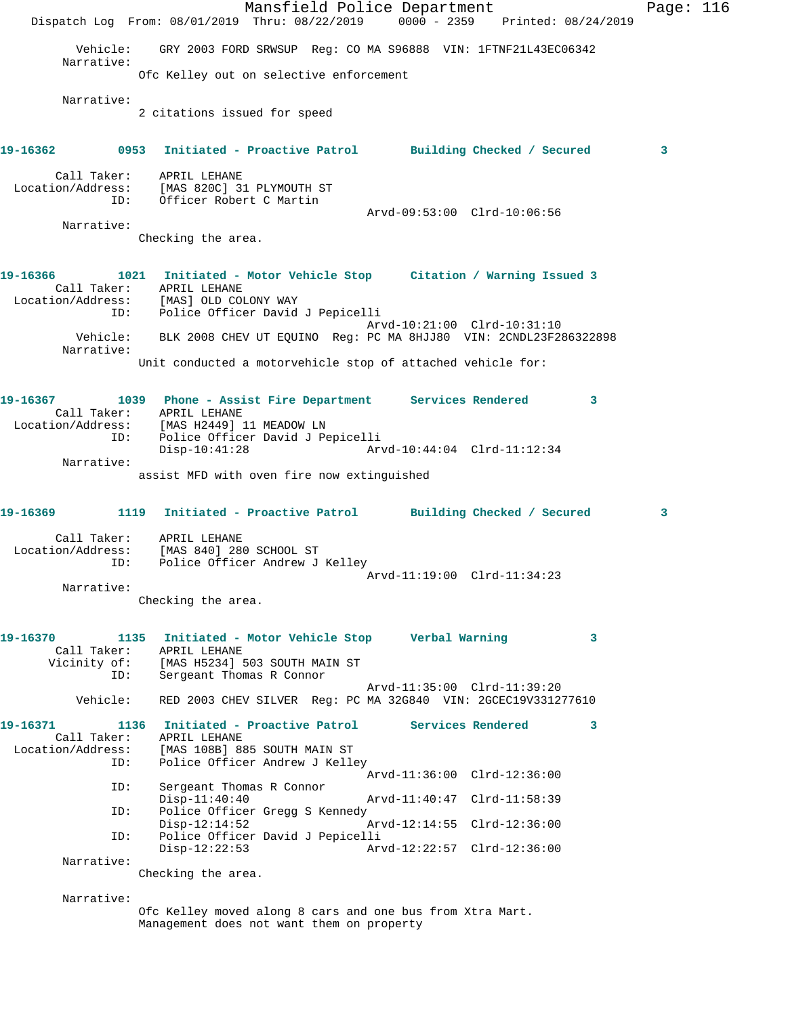Mansfield Police Department Page: 116 Dispatch Log From: 08/01/2019 Thru: 08/22/2019 0000 - 2359 Printed: 08/24/2019 Vehicle: GRY 2003 FORD SRWSUP Reg: CO MA S96888 VIN: 1FTNF21L43EC06342 Narrative: Ofc Kelley out on selective enforcement Narrative: 2 citations issued for speed **19-16362 0953 Initiated - Proactive Patrol Building Checked / Secured 3** Call Taker: APRIL LEHANE Location/Address: [MAS 820C] 31 PLYMOUTH ST ID: Officer Robert C Martin Arvd-09:53:00 Clrd-10:06:56 Narrative: Checking the area. **19-16366 1021 Initiated - Motor Vehicle Stop Citation / Warning Issued 3**  Call Taker: APRIL LEHANE Location/Address: [MAS] OLD COLONY WAY ID: Police Officer David J Pepicelli Arvd-10:21:00 Clrd-10:31:10 Vehicle: BLK 2008 CHEV UT EQUINO Reg: PC MA 8HJJ80 VIN: 2CNDL23F286322898 Narrative: Unit conducted a motorvehicle stop of attached vehicle for: **19-16367 1039 Phone - Assist Fire Department Services Rendered 3**  Call Taker: APRIL LEHANE Location/Address: [MAS H2449] 11 MEADOW LN ID: Police Officer David J Pepicelli Disp-10:41:28 Arvd-10:44:04 Clrd-11:12:34 Narrative: assist MFD with oven fire now extinguished **19-16369 1119 Initiated - Proactive Patrol Building Checked / Secured 3** Call Taker: APRIL LEHANE Location/Address: [MAS 840] 280 SCHOOL ST ID: Police Officer Andrew J Kelley Arvd-11:19:00 Clrd-11:34:23 Narrative: Checking the area. **19-16370 1135 Initiated - Motor Vehicle Stop Verbal Warning 3**  Call Taker: APRIL LEHANE<br>Vicinity of: [MAS H5234] ! of: [MAS H5234] 503 SOUTH MAIN ST<br>ID: Sergeant Thomas R Connor Sergeant Thomas R Connor Arvd-11:35:00 Clrd-11:39:20 Vehicle: RED 2003 CHEV SILVER Reg: PC MA 32G840 VIN: 2GCEC19V331277610 **19-16371 1136 Initiated - Proactive Patrol Services Rendered 3**  Call Taker: APRIL LEHANE Location/Address: [MAS 108B] 885 SOUTH MAIN ST ID: Police Officer Andrew J Kelley Arvd-11:36:00 Clrd-12:36:00 ID: Sergeant Thomas R Connor Arvd-11:40:47 Clrd-11:58:39 ID: Police Officer Gregg S Kennedy<br>Disp-12:14:52 Disp-12:14:52 Arvd-12:14:55 Clrd-12:36:00 ID: Police Officer David J Pepicelli Disp-12:22:53 Arvd-12:22:57 Clrd-12:36:00 Narrative: Checking the area. Narrative: Ofc Kelley moved along 8 cars and one bus from Xtra Mart.

Management does not want them on property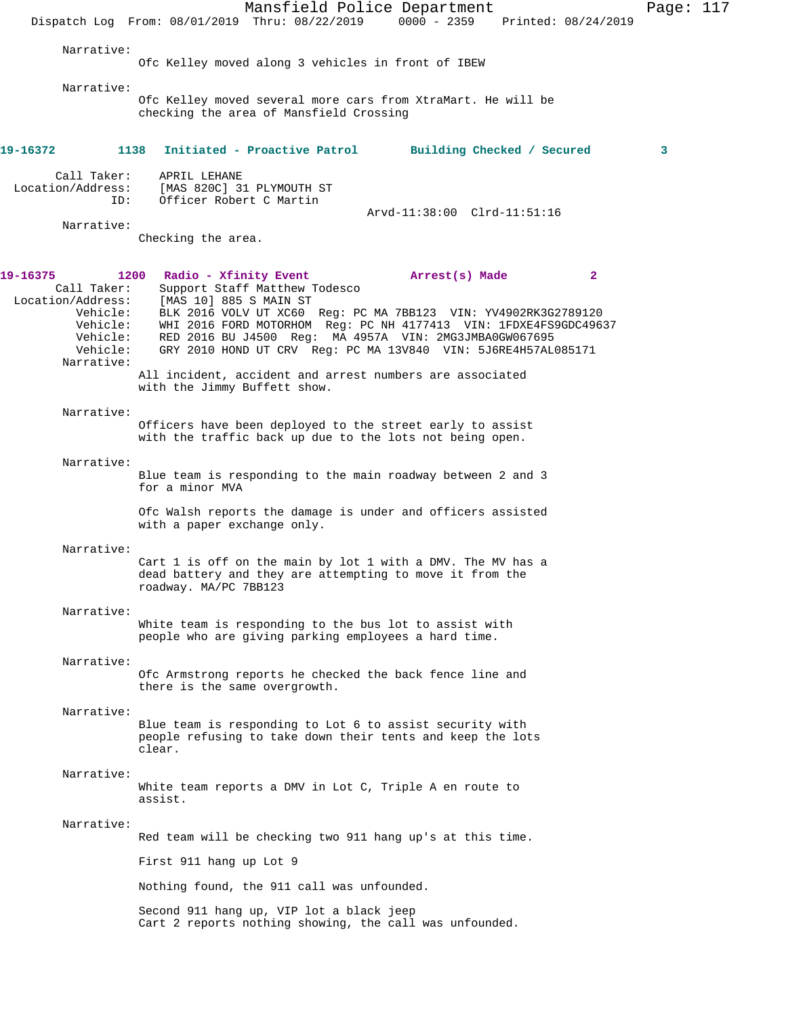Mansfield Police Department Page: 117 Dispatch Log From: 08/01/2019 Thru: 08/22/2019 0000 - 2359 Printed: 08/24/2019 Narrative: Ofc Kelley moved along 3 vehicles in front of IBEW Narrative: Ofc Kelley moved several more cars from XtraMart. He will be checking the area of Mansfield Crossing **19-16372 1138 Initiated - Proactive Patrol Building Checked / Secured 3** Call Taker: APRIL LEHANE Location/Address: [MAS 820C] 31 PLYMOUTH ST<br>ID: Officer Robert C Martin Officer Robert C Martin Arvd-11:38:00 Clrd-11:51:16 Narrative: Checking the area. **19-16375 1200 Radio - Xfinity Event Arrest(s) Made 2**  Call Taker: Support Staff Matthew Todesco Location/Address: [MAS 10] 885 S MAIN ST Vehicle: BLK 2016 VOLV UT XC60 Reg: PC MA 7BB123 VIN: YV4902RK3G2789120 Vehicle: WHI 2016 FORD MOTORHOM Reg: PC NH 4177413 VIN: 1FDXE4FS9GDC49637 Vehicle: RED 2016 BU J4500 Reg: MA 4957A VIN: 2MG3JMBA0GW067695 Vehicle: KED 2010 DO 0300 NOS. MA 13001 10.<br>Vehicle: GRY 2010 HOND UT CRV Reg: PC MA 13V840 VIN: 5J6RE4H57AL085171 Narrative: All incident, accident and arrest numbers are associated with the Jimmy Buffett show. Narrative: Officers have been deployed to the street early to assist with the traffic back up due to the lots not being open. Narrative: Blue team is responding to the main roadway between 2 and 3 for a minor MVA Ofc Walsh reports the damage is under and officers assisted with a paper exchange only. Narrative: Cart 1 is off on the main by lot 1 with a DMV. The MV has a dead battery and they are attempting to move it from the roadway. MA/PC 7BB123 Narrative: White team is responding to the bus lot to assist with people who are giving parking employees a hard time. Narrative: Ofc Armstrong reports he checked the back fence line and there is the same overgrowth. Narrative: Blue team is responding to Lot 6 to assist security with people refusing to take down their tents and keep the lots clear. Narrative: White team reports a DMV in Lot C, Triple A en route to assist. Narrative: Red team will be checking two 911 hang up's at this time. First 911 hang up Lot 9 Nothing found, the 911 call was unfounded. Second 911 hang up, VIP lot a black jeep Cart 2 reports nothing showing, the call was unfounded.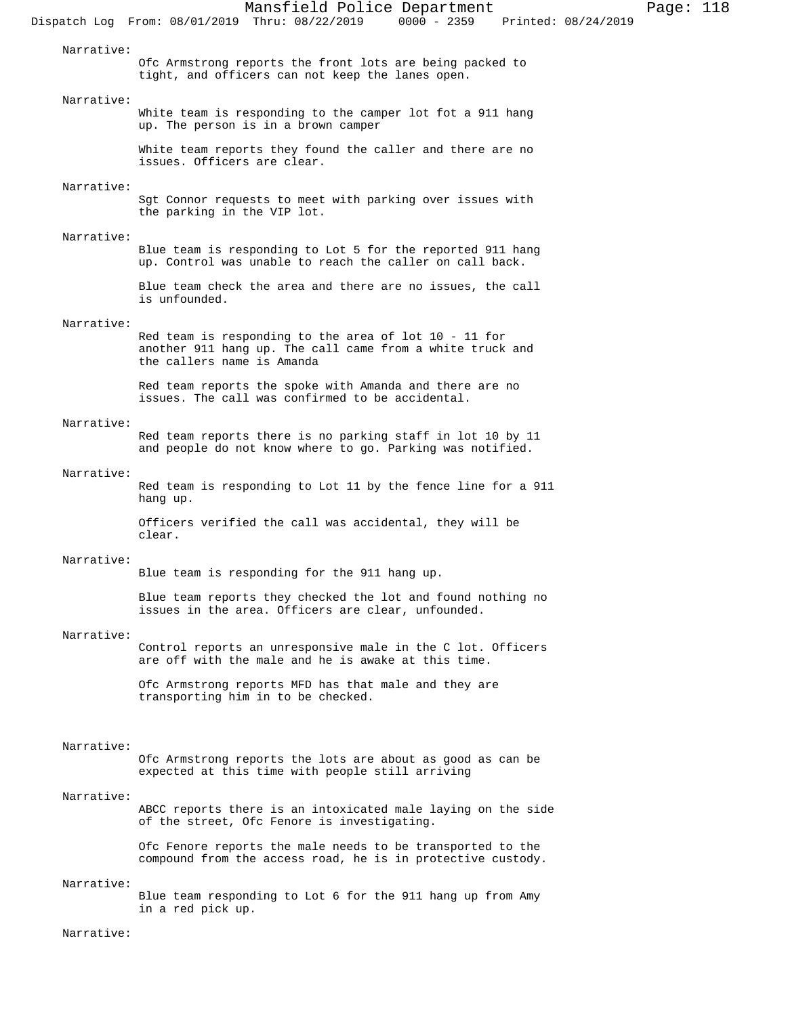Narrative:

Ofc Armstrong reports the front lots are being packed to tight, and officers can not keep the lanes open.

#### Narrative:

White team is responding to the camper lot fot a 911 hang up. The person is in a brown camper

White team reports they found the caller and there are no issues. Officers are clear.

### Narrative:

Sgt Connor requests to meet with parking over issues with the parking in the VIP lot.

### Narrative:

Blue team is responding to Lot 5 for the reported 911 hang up. Control was unable to reach the caller on call back.

Blue team check the area and there are no issues, the call is unfounded.

### Narrative:

Red team is responding to the area of lot 10 - 11 for another 911 hang up. The call came from a white truck and the callers name is Amanda

Red team reports the spoke with Amanda and there are no issues. The call was confirmed to be accidental.

### Narrative:

Red team reports there is no parking staff in lot 10 by 11 and people do not know where to go. Parking was notified.

### Narrative:

Red team is responding to Lot 11 by the fence line for a 911 hang up.

Officers verified the call was accidental, they will be clear.

## Narrative:

Blue team is responding for the 911 hang up.

Blue team reports they checked the lot and found nothing no issues in the area. Officers are clear, unfounded.

#### Narrative:

Control reports an unresponsive male in the C lot. Officers are off with the male and he is awake at this time.

Ofc Armstrong reports MFD has that male and they are transporting him in to be checked.

# Narrative:

Ofc Armstrong reports the lots are about as good as can be expected at this time with people still arriving

#### Narrative:

ABCC reports there is an intoxicated male laying on the side of the street, Ofc Fenore is investigating.

Ofc Fenore reports the male needs to be transported to the compound from the access road, he is in protective custody.

### Narrative:

Blue team responding to Lot 6 for the 911 hang up from Amy in a red pick up.

### Narrative: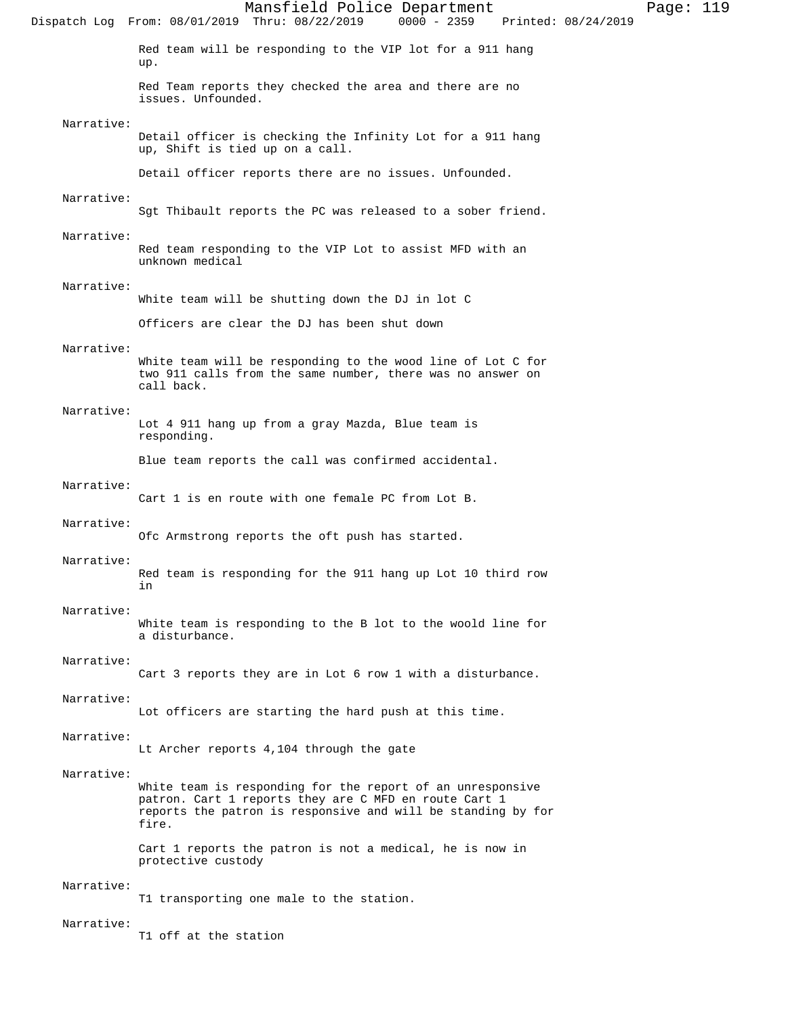Mansfield Police Department Page: 119 Dispatch Log From: 08/01/2019 Thru: 08/22/2019 Red team will be responding to the VIP lot for a 911 hang up. Red Team reports they checked the area and there are no issues. Unfounded. Narrative: Detail officer is checking the Infinity Lot for a 911 hang up, Shift is tied up on a call. Detail officer reports there are no issues. Unfounded. Narrative: Sgt Thibault reports the PC was released to a sober friend. Narrative: Red team responding to the VIP Lot to assist MFD with an unknown medical Narrative: White team will be shutting down the DJ in lot C Officers are clear the DJ has been shut down Narrative: White team will be responding to the wood line of Lot C for two 911 calls from the same number, there was no answer on call back. Narrative: Lot 4 911 hang up from a gray Mazda, Blue team is responding. Blue team reports the call was confirmed accidental. Narrative: Cart 1 is en route with one female PC from Lot B. Narrative: Ofc Armstrong reports the oft push has started. Narrative: Red team is responding for the 911 hang up Lot 10 third row in Narrative: White team is responding to the B lot to the woold line for a disturbance. Narrative: Cart 3 reports they are in Lot 6 row 1 with a disturbance. Narrative: Lot officers are starting the hard push at this time. Narrative: Lt Archer reports 4,104 through the gate Narrative: White team is responding for the report of an unresponsive patron. Cart 1 reports they are C MFD en route Cart 1 reports the patron is responsive and will be standing by for fire. Cart 1 reports the patron is not a medical, he is now in protective custody Narrative: T1 transporting one male to the station. Narrative: T1 off at the station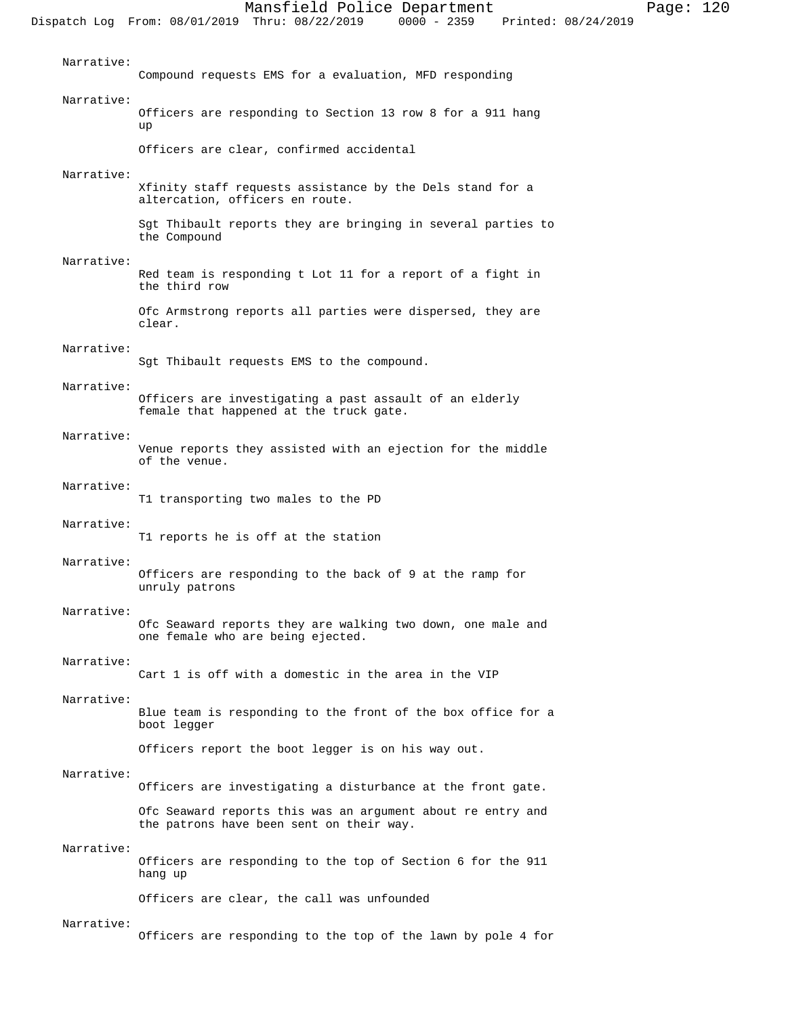| Narrative: | Compound requests EMS for a evaluation, MFD responding                                                  |
|------------|---------------------------------------------------------------------------------------------------------|
| Narrative: | Officers are responding to Section 13 row 8 for a 911 hang<br>up                                        |
|            | Officers are clear, confirmed accidental                                                                |
| Narrative: | Xfinity staff requests assistance by the Dels stand for a<br>altercation, officers en route.            |
|            | Sqt Thibault reports they are bringing in several parties to<br>the Compound                            |
| Narrative: | Red team is responding t Lot 11 for a report of a fight in<br>the third row                             |
|            | Ofc Armstrong reports all parties were dispersed, they are<br>clear.                                    |
| Narrative: | Sgt Thibault requests EMS to the compound.                                                              |
| Narrative: | Officers are investigating a past assault of an elderly<br>female that happened at the truck gate.      |
| Narrative: | Venue reports they assisted with an ejection for the middle<br>of the venue.                            |
| Narrative: | T1 transporting two males to the PD                                                                     |
| Narrative: | T1 reports he is off at the station                                                                     |
| Narrative: | Officers are responding to the back of 9 at the ramp for<br>unruly patrons                              |
| Narrative: | Ofc Seaward reports they are walking two down, one male and<br>one female who are being ejected.        |
| Narrative: | Cart 1 is off with a domestic in the area in the VIP                                                    |
| Narrative: | Blue team is responding to the front of the box office for a<br>boot legger                             |
|            | Officers report the boot legger is on his way out.                                                      |
| Narrative: | Officers are investigating a disturbance at the front gate.                                             |
|            | Ofc Seaward reports this was an argument about re entry and<br>the patrons have been sent on their way. |
| Narrative: | Officers are responding to the top of Section 6 for the 911<br>hang up                                  |
|            | Officers are clear, the call was unfounded                                                              |
| Narrative: | Officers are responding to the top of the lawn by pole 4 for                                            |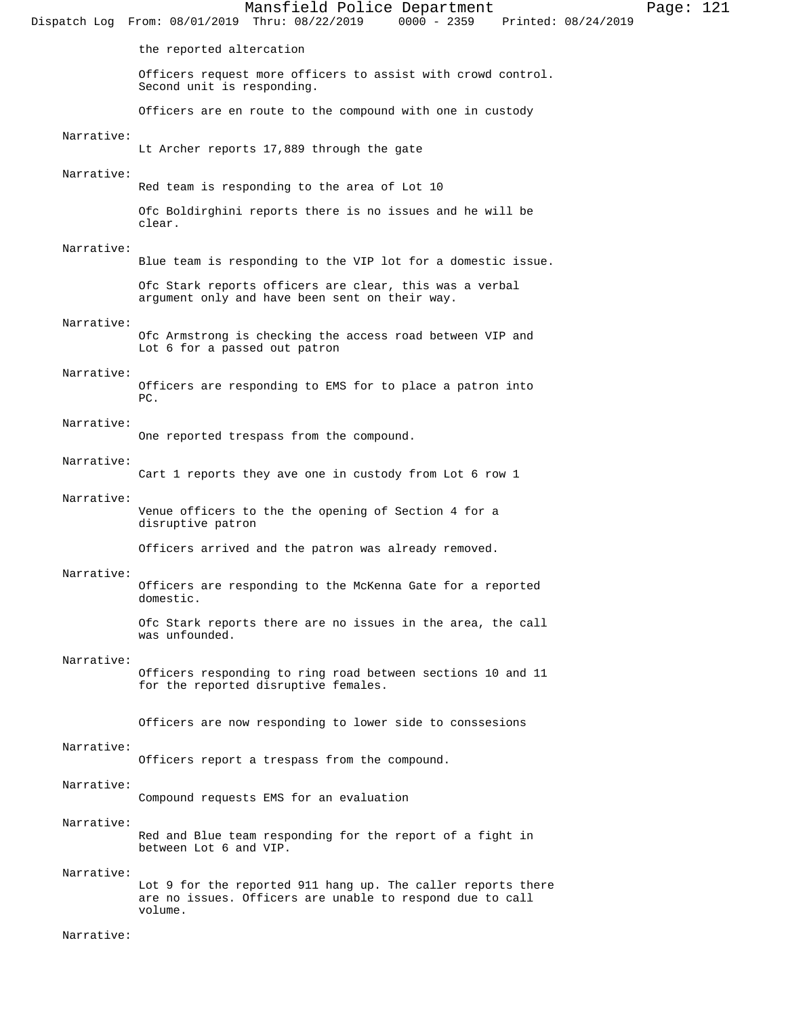Mansfield Police Department Page: 121 Dispatch Log From: 08/01/2019 Thru: 08/22/2019 the reported altercation Officers request more officers to assist with crowd control. Second unit is responding. Officers are en route to the compound with one in custody Narrative: Lt Archer reports 17,889 through the gate Narrative: Red team is responding to the area of Lot 10 Ofc Boldirghini reports there is no issues and he will be clear. Narrative: Blue team is responding to the VIP lot for a domestic issue. Ofc Stark reports officers are clear, this was a verbal argument only and have been sent on their way. Narrative: Ofc Armstrong is checking the access road between VIP and Lot 6 for a passed out patron Narrative: Officers are responding to EMS for to place a patron into PC. Narrative: One reported trespass from the compound. Narrative: Cart 1 reports they ave one in custody from Lot 6 row 1 Narrative: Venue officers to the the opening of Section 4 for a disruptive patron Officers arrived and the patron was already removed. Narrative: Officers are responding to the McKenna Gate for a reported domestic. Ofc Stark reports there are no issues in the area, the call was unfounded. Narrative: Officers responding to ring road between sections 10 and 11 for the reported disruptive females. Officers are now responding to lower side to conssesions Narrative: Officers report a trespass from the compound. Narrative: Compound requests EMS for an evaluation Narrative: Red and Blue team responding for the report of a fight in between Lot 6 and VIP. Narrative: Lot 9 for the reported 911 hang up. The caller reports there are no issues. Officers are unable to respond due to call volume.

Narrative: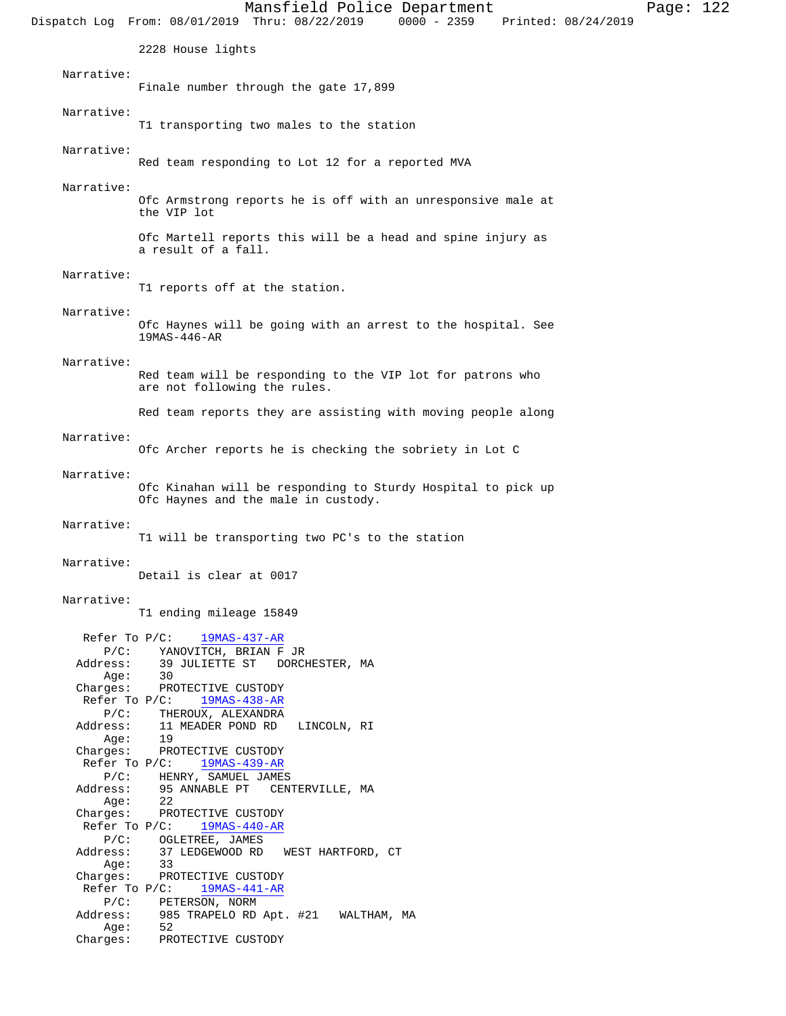Mansfield Police Department Page: 122 Dispatch Log From: 08/01/2019 Thru: 08/22/2019 0000 - 2359 Printed: 08/24/2019 2228 House lights Narrative: Finale number through the gate 17,899 Narrative: T1 transporting two males to the station Narrative: Red team responding to Lot 12 for a reported MVA Narrative: Ofc Armstrong reports he is off with an unresponsive male at the VIP lot Ofc Martell reports this will be a head and spine injury as a result of a fall. Narrative: T1 reports off at the station. Narrative: Ofc Haynes will be going with an arrest to the hospital. See 19MAS-446-AR Narrative: Red team will be responding to the VIP lot for patrons who are not following the rules. Red team reports they are assisting with moving people along Narrative: Ofc Archer reports he is checking the sobriety in Lot C Narrative: Ofc Kinahan will be responding to Sturdy Hospital to pick up Ofc Haynes and the male in custody. Narrative: T1 will be transporting two PC's to the station Narrative: Detail is clear at 0017 Narrative: T1 ending mileage 15849 Refer To P/C:  $\frac{19MAS-437-AR}{}$  P/C: YANOVITCH, BRIAN F JR Address: 39 JULIETTE ST DORCHESTER, MA<br>Age: 30 Age: 30 Charges: PROTECTIVE CUSTODY Refer To P/C: 19MAS-438-AR P/C: THEROUX, ALEXANDRA Address: 11 MEADER POND RD LINCOLN, RI Age: 19 Charges: PROTECTIVE CUSTODY Refer To P/C: 19MAS-439-AR P/C: HENRY, SAMUEL JAMES Address: 95 ANNABLE PT CENTERVILLE, MA Age: 22 Charges: PROTECTIVE CUSTODY<br>Refer To P/C: 19MAS-440-AR Refer To  $P/C$ : P/C: OGLETREE, JAMES Address: 37 LEDGEWOOD RD WEST HARTFORD, CT Age: 33 Charges: PROTECTIVE CUSTODY Refer To P/C:  $\frac{19MAS-441-AR}{}$  P/C: PETERSON, NORM 985 TRAPELO RD Apt. #21 WALTHAM, MA Address: 98!<br>Age: 52 Charges: PROTECTIVE CUSTODY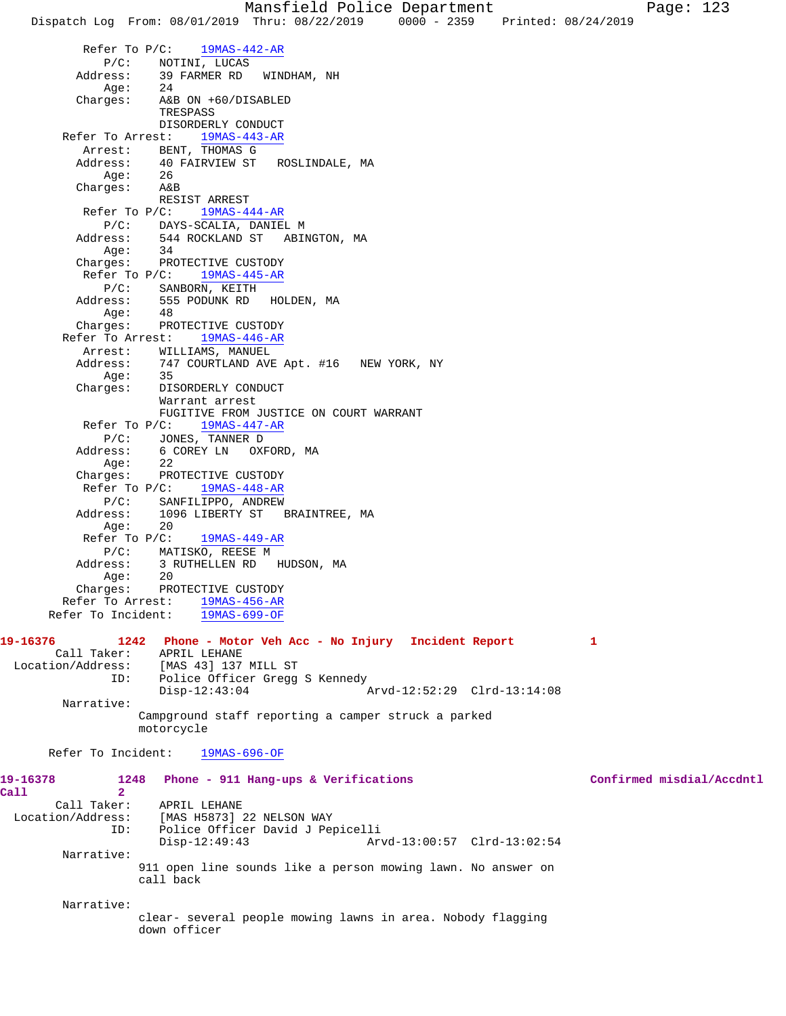Mansfield Police Department Page: 123 Dispatch Log From: 08/01/2019 Thru: 08/22/2019 0000 - 2359 Printed: 08/24/2019 Refer To P/C: 19MAS-442-AR P/C: NOTINI, LUCAS<br>Address: 39 FARMER RD 39 FARMER RD WINDHAM, NH Age: 24 Charges: A&B ON +60/DISABLED TRESPASS DISORDERLY CONDUCT Refer To Arrest: 19MAS-443-AR Arrest: BENT, THOMAS G<br>Address: 40 FAIRVIEW ST ROSLINDALE, MA 40 FAIRVIEW ST<br>26 Age: Charges: A&B RESIST ARREST Refer To P/C: 19MAS-444-AR P/C: DAYS-SCALIA, DANIEL M<br>Address: 544 ROCKLAND ST ABI 544 ROCKLAND ST ABINGTON, MA Age: 34 Charges: PROTECTIVE CUSTODY Refer To P/C: 19MAS-445-AR P/C: SANBORN, KEITH Address: 555 PODUNK RD HOLDEN, MA Age: 48 Charges: PROTECTIVE CUSTODY Refer To Arrest: 19MAS-446-AR Arrest: WILLIAMS, MANUEL<br>Address: 747 COURTLAND AVE 747 COURTLAND AVE Apt. #16 NEW YORK, NY Age: 35 Charges: DISORDERLY CONDUCT Warrant arrest FUGITIVE FROM JUSTICE ON COURT WARRANT Refer To P/C: 19MAS-447-AR P/C: JONES, TANNER D Address: 6 COREY LN OXFORD, MA Age: 22<br>Charges: PRC PROTECTIVE CUSTODY Refer To P/C: 19MAS-448-AR P/C: SANFILIPPO, ANDREW Address: 1096 LIBERTY ST BRAINTREE, MA Age: 20 Refer To P/C: 19MAS-449-AR P/C: MATISKO, REESE M<br>Address: 3 RUTHELLEN RD 3 RUTHELLEN RD HUDSON, MA Age: 20 Charges: PROTECTIVE CUSTODY Refer To Arrest: 19MAS-456-AR Refer To Incident: 19MAS-699-OF **19-16376 1242 Phone - Motor Veh Acc - No Injury Incident Report 1**  Call Taker: APRIL LEHANE Location/Address: [MAS 43] 137 MILL ST ID: Police Officer Gregg S Kennedy<br>Disp-12:43:04 Arvd-12:52:29 Clrd-13:14:08 Narrative: Campground staff reporting a camper struck a parked motorcycle Refer To Incident: 19MAS-696-OF **19-16378 1248 Phone - 911 Hang-ups & Verifications Confirmed misdial/Accdntl Call 2**  Call Taker: APRIL LEHANE<br>Location/Address: [MAS H5873] [MAS H5873] 22 NELSON WAY ID: Police Officer David J Pepicelli Disp-12:49:43 Arvd-13:00:57 Clrd-13:02:54 Narrative: 911 open line sounds like a person mowing lawn. No answer on call back Narrative: clear- several people mowing lawns in area. Nobody flagging down officer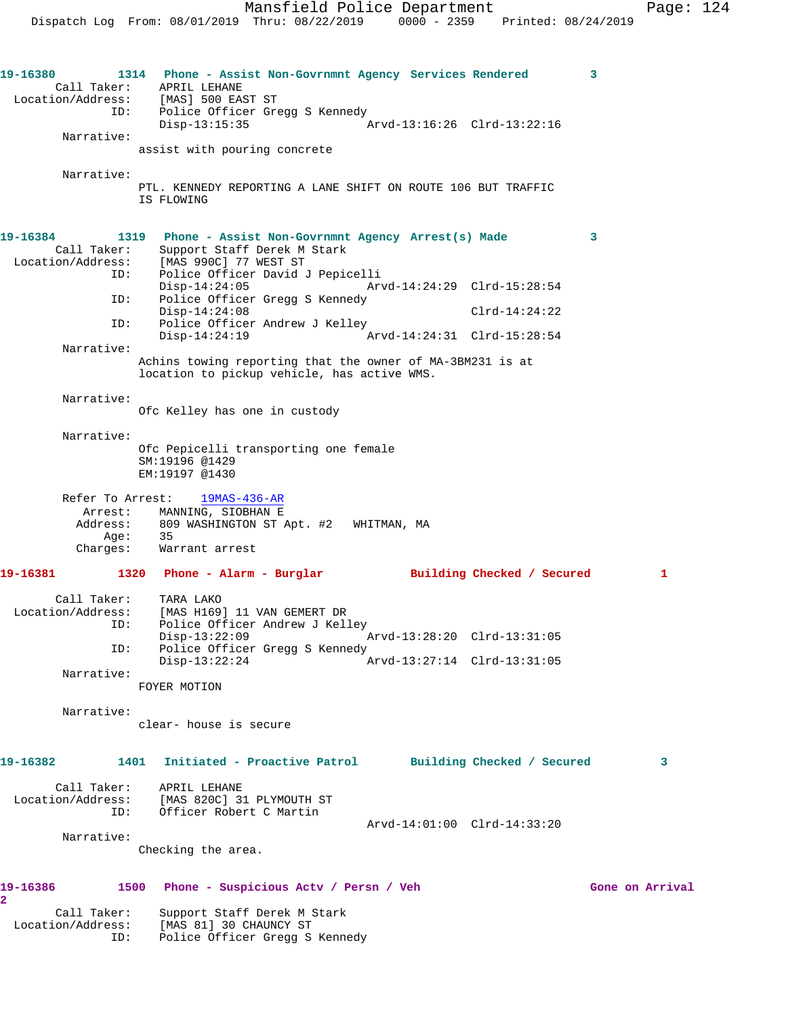**19-16380 1314 Phone - Assist Non-Govrnmnt Agency Services Rendered 3**  Call Taker: APRIL LEHANE Location/Address: [MAS] 500 EAST ST ID: Police Officer Gregg S Kennedy<br>Disp-13:15:35 Disp-13:15:35 Arvd-13:16:26 Clrd-13:22:16 Narrative: assist with pouring concrete Narrative: PTL. KENNEDY REPORTING A LANE SHIFT ON ROUTE 106 BUT TRAFFIC IS FLOWING **19-16384 1319 Phone - Assist Non-Govrnmnt Agency Arrest(s) Made 3**  Call Taker: Support Staff Derek M Stark Location/Address: [MAS 990C] 77 WEST ST ID: Police Officer David J Pepicelli Disp-14:24:05 Arvd-14:24:29 Clrd-15:28:54 ID: Police Officer Gregg S Kennedy Disp-14:24:08 Clrd-14:24:22 ID: Police Officer Andrew J Kelley Disp-14:24:19 Arvd-14:24:31 Clrd-15:28:54 Narrative: Achins towing reporting that the owner of MA-3BM231 is at location to pickup vehicle, has active WMS. Narrative: Ofc Kelley has one in custody Narrative: Ofc Pepicelli transporting one female SM:19196 @1429 EM:19197 @1430 Refer To Arrest: 19MAS-436-AR Arrest: MANNING, SIOBHAN E Address: 809 WASHINGTON ST Apt. #2 WHITMAN, MA Age: 35 Charges: Warrant arrest **19-16381 1320 Phone - Alarm - Burglar Building Checked / Secured 1** Call Taker: TARA LAKO Location/Address: [MAS H169] 11 VAN GEMERT DR<br>ID: Police Officer Andrew J Kell<br>Disp-13:22:09<br>ID: Police Office ID: Police Officer Andrew J Kelley Disp-13:22:09 Arvd-13:28:20 Clrd-13:31:05 Police Officer Gregg S Kennedy<br>Disp-13:22:24 Disp-13:22:24 Arvd-13:27:14 Clrd-13:31:05 Narrative: FOYER MOTION Narrative: clear- house is secure **19-16382 1401 Initiated - Proactive Patrol Building Checked / Secured 3** Call Taker: APRIL LEHANE Location/Address: [MAS 820C] 31 PLYMOUTH ST ID: Officer Robert C Martin Arvd-14:01:00 Clrd-14:33:20 Narrative: Checking the area. **19-16386 1500 Phone - Suspicious Actv / Persn / Veh Gone on Arrival 2**  Call Taker: Support Staff Derek M Stark Location/Address: [MAS 81] 30 CHAUNCY ST ID: Police Officer Gregg S Kennedy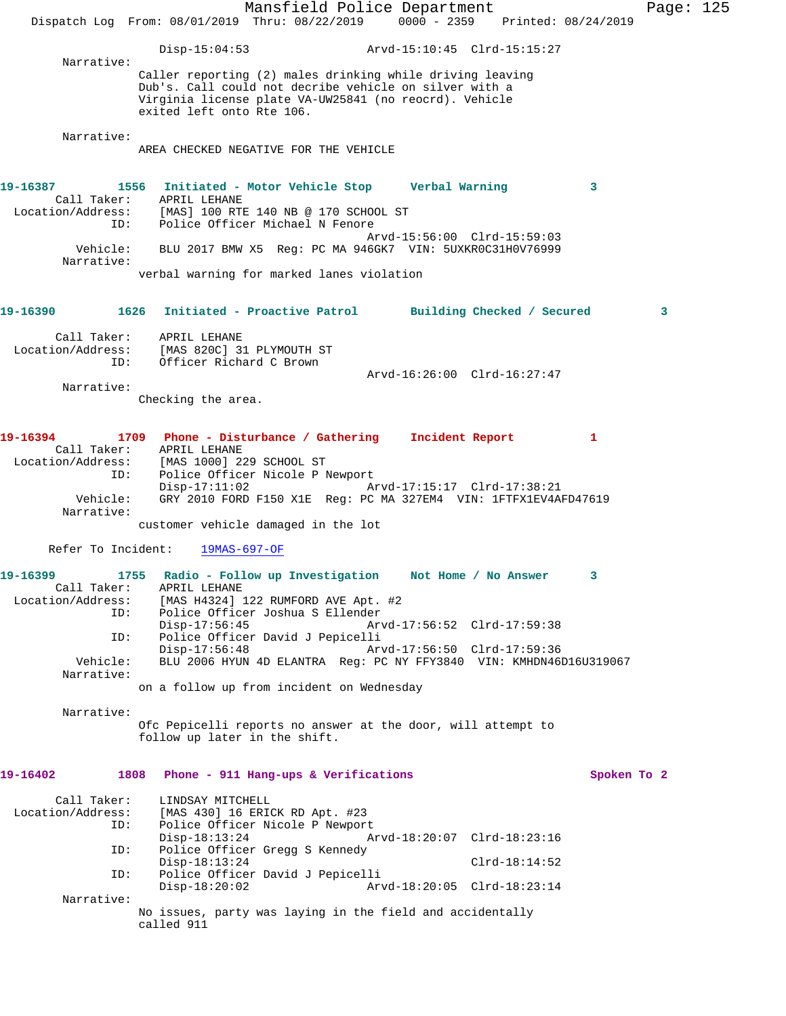|                                                                                                                                          |                                                                         | Mansfield Police Department<br>Dispatch Log From: 08/01/2019 Thru: 08/22/2019 0000 - 2359 Printed: 08/24/2019                                                                 |                                                            |                 |                | Page: 125 |  |
|------------------------------------------------------------------------------------------------------------------------------------------|-------------------------------------------------------------------------|-------------------------------------------------------------------------------------------------------------------------------------------------------------------------------|------------------------------------------------------------|-----------------|----------------|-----------|--|
|                                                                                                                                          | $Disp-15:04:53$                                                         |                                                                                                                                                                               |                                                            |                 |                |           |  |
| Narrative:                                                                                                                               | exited left onto Rte 106.                                               | Caller reporting (2) males drinking while driving leaving<br>Dub's. Call could not decribe vehicle on silver with a<br>Virginia license plate VA-UW25841 (no reocrd). Vehicle |                                                            |                 |                |           |  |
| Narrative:                                                                                                                               |                                                                         | AREA CHECKED NEGATIVE FOR THE VEHICLE                                                                                                                                         |                                                            |                 |                |           |  |
| 19-16387<br>ID:                                                                                                                          | Call Taker: APRIL LEHANE                                                | 1556 Initiated - Motor Vehicle Stop Verbal Warning<br>Location/Address: [MAS] 100 RTE 140 NB @ 170 SCHOOL ST<br>Police Officer Michael N Fenore                               | Arvd-15:56:00 Clrd-15:59:03                                |                 | 3              |           |  |
| Vehicle:<br>Narrative:                                                                                                                   |                                                                         | BLU 2017 BMW X5 Reg: PC MA 946GK7 VIN: 5UXKR0C31H0V76999                                                                                                                      |                                                            |                 |                |           |  |
|                                                                                                                                          |                                                                         | verbal warning for marked lanes violation                                                                                                                                     |                                                            |                 |                |           |  |
| 19-16390                                                                                                                                 |                                                                         | 1626 Initiated - Proactive Patrol Building Checked / Secured                                                                                                                  |                                                            |                 |                | 3         |  |
| Call Taker:<br>Location/Address: [MAS 820C] 31 PLYMOUTH ST<br>ID:                                                                        | APRIL LEHANE<br>Officer Richard C Brown                                 |                                                                                                                                                                               | Arvd-16:26:00 Clrd-16:27:47                                |                 |                |           |  |
| Narrative:                                                                                                                               | Checking the area.                                                      |                                                                                                                                                                               |                                                            |                 |                |           |  |
| 19-16394<br>Location/Address:<br>ID:<br>Vehicle:<br>Narrative:                                                                           | Call Taker: APRIL LEHANE<br>[MAS 1000] 229 SCHOOL ST<br>$Disp-17:11:02$ | 1709 Phone - Disturbance / Gathering Incident Report<br>Police Officer Nicole P Newport<br>GRY 2010 FORD F150 X1E Req: PC MA 327EM4 VIN: 1FTFX1EV4AFD47619                    | Arvd-17:15:17 Clrd-17:38:21                                |                 | $\blacksquare$ |           |  |
|                                                                                                                                          | Refer To Incident: 19MAS-697-OF                                         | customer vehicle damaged in the lot                                                                                                                                           |                                                            |                 |                |           |  |
|                                                                                                                                          |                                                                         |                                                                                                                                                                               |                                                            |                 |                |           |  |
| 19-16399              1755   Radio - Follow up Investigation      Not Home / No Answer<br>Call Taker:<br>Location/Address:<br>ID:<br>ID: | APRIL LEHANE<br>$Disp-17:56:45$<br>$Disp-17:56:48$                      | [MAS H4324] 122 RUMFORD AVE Apt. #2<br>Police Officer Joshua S Ellender<br>Police Officer David J Pepicelli                                                                   | Arvd-17:56:52 Clrd-17:59:38<br>Arvd-17:56:50 Clrd-17:59:36 |                 |                |           |  |
| Vehicle:<br>Narrative:                                                                                                                   |                                                                         | BLU 2006 HYUN 4D ELANTRA Reg: PC NY FFY3840 VIN: KMHDN46D16U319067                                                                                                            |                                                            |                 |                |           |  |
|                                                                                                                                          |                                                                         | on a follow up from incident on Wednesday                                                                                                                                     |                                                            |                 |                |           |  |
| Narrative:                                                                                                                               | follow up later in the shift.                                           | Ofc Pepicelli reports no answer at the door, will attempt to                                                                                                                  |                                                            |                 |                |           |  |
| 19-16402                                                                                                                                 | 1808                                                                    | Phone - 911 Hang-ups & Verifications                                                                                                                                          |                                                            |                 | Spoken To 2    |           |  |
| Call Taker:<br>Location/Address:<br>ID:<br>ID:<br>ID:                                                                                    | LINDSAY MITCHELL<br>$Disp-18:13:24$<br>$Disp-18:13:24$                  | [MAS 430] 16 ERICK RD Apt. #23<br>Police Officer Nicole P Newport<br>Police Officer Gregg S Kennedy<br>Police Officer David J Pepicelli                                       | Arvd-18:20:07 Clrd-18:23:16                                | $Clrd-18:14:52$ |                |           |  |
| Narrative:                                                                                                                               | $Disp-18:20:02$<br>called 911                                           | No issues, party was laying in the field and accidentally                                                                                                                     | Arvd-18:20:05 Clrd-18:23:14                                |                 |                |           |  |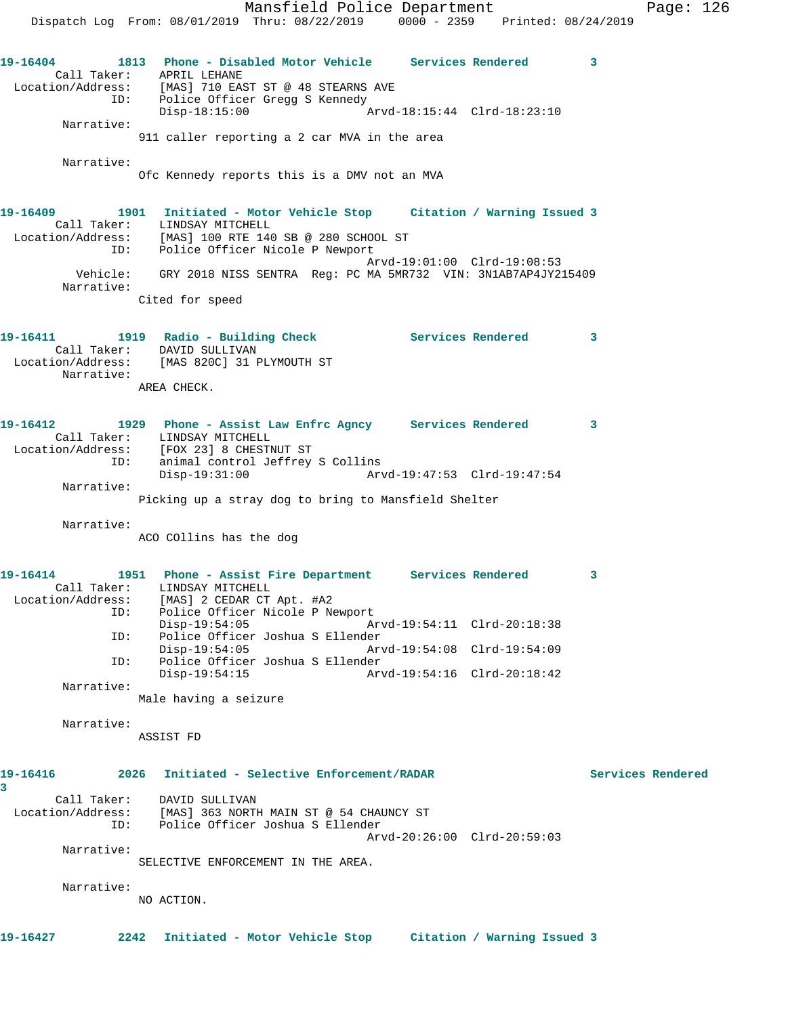Mansfield Police Department Fage: 126 Dispatch Log From: 08/01/2019 Thru: 08/22/2019 0000 - 2359 Printed: 08/24/2019 **19-16404 1813 Phone - Disabled Motor Vehicle Services Rendered 3**  Call Taker: APRIL LEHANE Location/Address: [MAS] 710 EAST ST @ 48 STEARNS AVE ID: Police Officer Gregg S Kennedy Disp-18:15:00 Arvd-18:15:44 Clrd-18:23:10 Narrative: 911 caller reporting a 2 car MVA in the area Narrative: Ofc Kennedy reports this is a DMV not an MVA **19-16409 1901 Initiated - Motor Vehicle Stop Citation / Warning Issued 3**  Call Taker: LINDSAY MITCHELL Location/Address: [MAS] 100 RTE 140 SB @ 280 SCHOOL ST ID: Police Officer Nicole P Newport Arvd-19:01:00 Clrd-19:08:53 Vehicle: GRY 2018 NISS SENTRA Reg: PC MA 5MR732 VIN: 3N1AB7AP4JY215409 Narrative: Cited for speed **19-16411 1919 Radio - Building Check Services Rendered 3**  Call Taker: DAVID SULLIVAN Location/Address: [MAS 820C] 31 PLYMOUTH ST Narrative: AREA CHECK. **19-16412 1929 Phone - Assist Law Enfrc Agncy Services Rendered 3**  Call Taker: LINDSAY MITCHELL Location/Address: [FOX 23] 8 CHESTNUT ST ID: animal control Jeffrey S Collins Disp-19:31:00 Arvd-19:47:53 Clrd-19:47:54 Narrative: Picking up a stray dog to bring to Mansfield Shelter Narrative: ACO COllins has the dog **19-16414 1951 Phone - Assist Fire Department Services Rendered 3**  Call Taker: LINDSAY MITCHELL Location/Address: [MAS] 2 CEDAR CT Apt. #A2 ID: Police Officer Nicole P Newport Disp-19:54:05 Arvd-19:54:11 Clrd-20:18:38<br>ID: Police Officer Joshua S Ellender Police Officer Joshua S Ellender<br>Disp-19:54:05 Ar Disp-19:54:05 Arvd-19:54:08 Clrd-19:54:09<br>ID: Police Officer Joshua S Ellender Police Officer Joshua S Ellender<br>Disp-19:54:15 Ar Disp-19:54:15 Arvd-19:54:16 Clrd-20:18:42 Narrative: Male having a seizure Narrative: ASSIST FD **19-16416 2026 Initiated - Selective Enforcement/RADAR Services Rendered 3**  Call Taker: DAVID SULLIVAN Location/Address: [MAS] 363 NORTH MAIN ST @ 54 CHAUNCY ST ID: Police Officer Joshua S Ellender Arvd-20:26:00 Clrd-20:59:03 Narrative: SELECTIVE ENFORCEMENT IN THE AREA. Narrative: NO ACTION. **19-16427 2242 Initiated - Motor Vehicle Stop Citation / Warning Issued 3**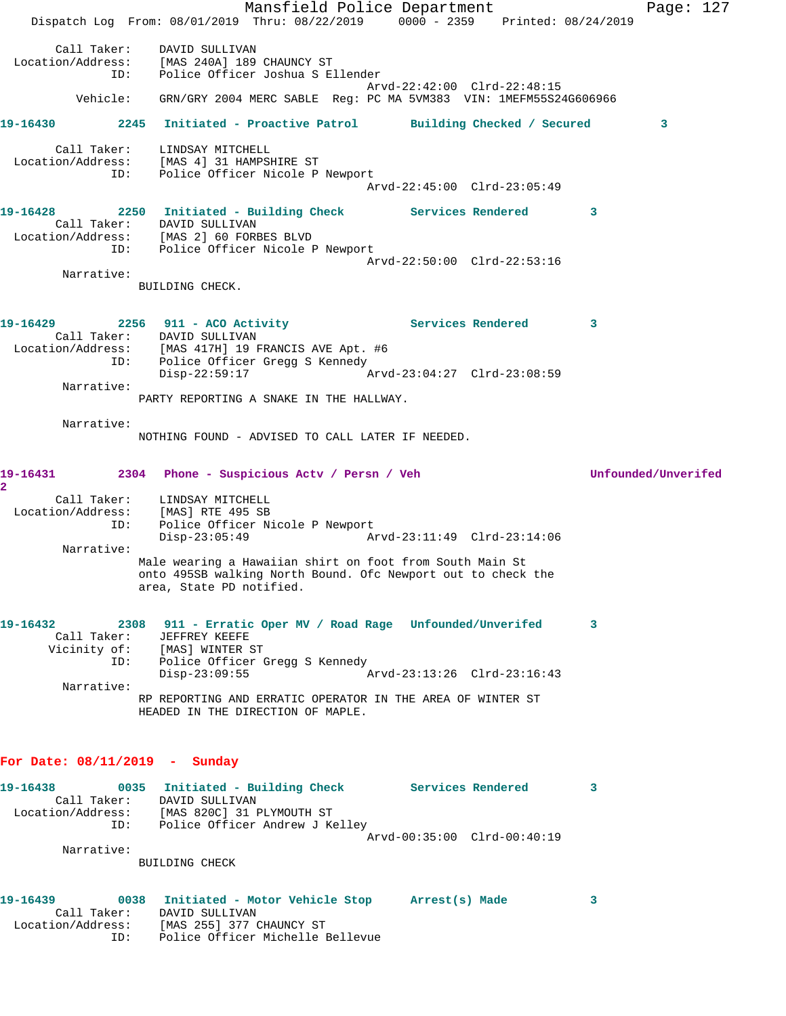Mansfield Police Department Page: 127 Dispatch Log From: 08/01/2019 Thru: 08/22/2019 0000 - 2359 Printed: 08/24/2019 Call Taker: DAVID SULLIVAN Location/Address: [MAS 240A] 189 CHAUNCY ST ID: Police Officer Joshua S Ellender Arvd-22:42:00 Clrd-22:48:15 Vehicle: GRN/GRY 2004 MERC SABLE Reg: PC MA 5VM383 VIN: 1MEFM55S24G606966 **19-16430 2245 Initiated - Proactive Patrol Building Checked / Secured 3** Call Taker: LINDSAY MITCHELL Location/Address: [MAS 4] 31 HAMPSHIRE ST ID: Police Officer Nicole P Newport Arvd-22:45:00 Clrd-23:05:49 **19-16428 2250 Initiated - Building Check Services Rendered 3**  Call Taker: DAVID SULLIVAN Location/Address: [MAS 2] 60 FORBES BLVD ID: Police Officer Nicole P Newport Arvd-22:50:00 Clrd-22:53:16 Narrative: BUILDING CHECK. 19-16429 **2256** 911 - ACO Activity **19-16429** Services Rendered 3 Call Taker: DAVID SULLIVAN Location/Address: [MAS 417H] 19 FRANCIS AVE Apt. #6 ID: Police Officer Gregg S Kennedy<br>Disp-22:59:17 A  $\bar{x}$  Arvd-23:04:27 Clrd-23:08:59 Narrative: PARTY REPORTING A SNAKE IN THE HALLWAY. Narrative: NOTHING FOUND - ADVISED TO CALL LATER IF NEEDED. **19-16431 2304 Phone - Suspicious Actv / Persn / Veh Unfounded/Unverifed 2**  Call Taker: LINDSAY MITCHELL Location/Address: [MAS] RTE 495 SB ID: Police Officer Nicole P Newport<br>Disp-23:05:49 Am Disp-23:05:49 Arvd-23:11:49 Clrd-23:14:06 Narrative: Male wearing a Hawaiian shirt on foot from South Main St onto 495SB walking North Bound. Ofc Newport out to check the area, State PD notified. **19-16432 2308 911 - Erratic Oper MV / Road Rage Unfounded/Unverifed 3**  Call Taker: JEFFREY KEEFE Vicinity of: [MAS] WINTER ST ID: Police Officer Gregg S Kennedy Disp-23:09:55 Arvd-23:13:26 Clrd-23:16:43 Narrative: RP REPORTING AND ERRATIC OPERATOR IN THE AREA OF WINTER ST HEADED IN THE DIRECTION OF MAPLE. **For Date: 08/11/2019 - Sunday 19-16438 0035 Initiated - Building Check Services Rendered 3**  Call Taker: DAVID SULLIVAN Location/Address: [MAS 820C] 31 PLYMOUTH ST ID: Police Officer Andrew J Kelley Arvd-00:35:00 Clrd-00:40:19 Narrative: BUILDING CHECK **19-16439 0038 Initiated - Motor Vehicle Stop Arrest(s) Made 3**  Call Taker: DAVID SULLIVAN Location/Address: [MAS 255] 377 CHAUNCY ST ID: Police Officer Michelle Bellevue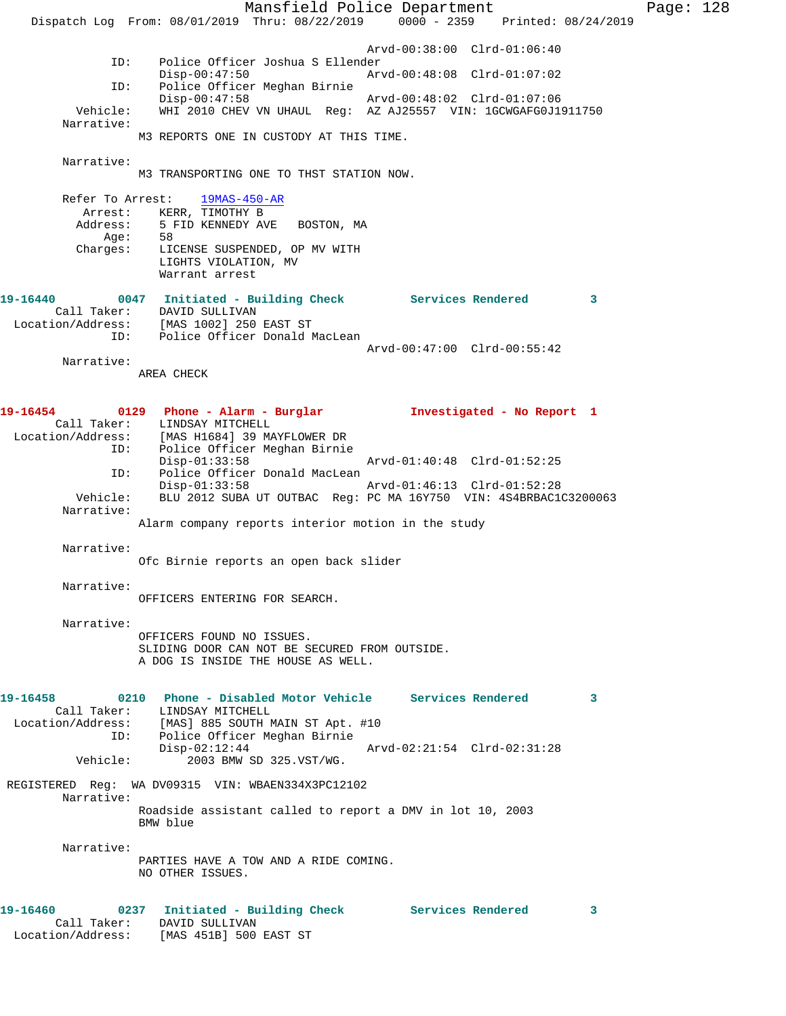Mansfield Police Department Page: 128 Dispatch Log From: 08/01/2019 Thru: 08/22/2019 0000 - 2359 Printed: 08/24/2019 Arvd-00:38:00 Clrd-01:06:40<br>TD: Police Officer Joshua S Ellender Police Officer Joshua S Ellender<br>Disp-00:47:50 Arv Disp-00:47:50 Arvd-00:48:08 Clrd-01:07:02 ID: Police Officer Meghan Birnie Disp-00:47:58 Arvd-00:48:02 Clrd-01:07:06 Vehicle: WHI 2010 CHEV VN UHAUL Reg: AZ AJ25557 VIN: 1GCWGAFG0J1911750 Narrative: M3 REPORTS ONE IN CUSTODY AT THIS TIME. Narrative: M3 TRANSPORTING ONE TO THST STATION NOW. Refer To Arrest: 19MAS-450-AR Arrest: KERR, TIMOTHY B Address: 5 FID KENNEDY AVE BOSTON, MA Age: 58 Charges: LICENSE SUSPENDED, OP MV WITH LIGHTS VIOLATION, MV Warrant arrest **19-16440 0047 Initiated - Building Check Services Rendered 3**  Call Taker: DAVID SULLIVAN Location/Address: [MAS 1002] 250 EAST ST ID: Police Officer Donald MacLean Arvd-00:47:00 Clrd-00:55:42 Narrative: AREA CHECK **19-16454 0129 Phone - Alarm - Burglar Investigated - No Report 1**  Call Taker: LINDSAY MITCHELL Location/Address: [MAS H1684] 39 MAYFLOWER DR ID: Police Officer Meghan Birnie Disp-01:33:58 Arvd-01:40:48 Clrd-01:52:25<br>ID: Police Officer Donald MacLean Police Officer Donald MacLean Disp-01:33:58 Arvd-01:46:13 Clrd-01:52:28 Vehicle: BLU 2012 SUBA UT OUTBAC Reg: PC MA 16Y750 VIN: 4S4BRBAC1C3200063 Narrative: Alarm company reports interior motion in the study Narrative: Ofc Birnie reports an open back slider Narrative: OFFICERS ENTERING FOR SEARCH. Narrative: OFFICERS FOUND NO ISSUES. SLIDING DOOR CAN NOT BE SECURED FROM OUTSIDE. A DOG IS INSIDE THE HOUSE AS WELL. **19-16458 0210 Phone - Disabled Motor Vehicle Services Rendered 3**  Call Taker: LINDSAY MITCHELL Location/Address: [MAS] 885 SOUTH MAIN ST Apt. #10 ID: Police Officer Meghan Birnie<br>Disp-02:12:44 Disp-02:12:44 Arvd-02:21:54 Clrd-02:31:28<br>Vehicle: 2003 BMW SD 325.VST/WG. 2003 BMW SD 325.VST/WG. REGISTERED Reg: WA DV09315 VIN: WBAEN334X3PC12102 Narrative: Roadside assistant called to report a DMV in lot 10, 2003 BMW blue Narrative: PARTIES HAVE A TOW AND A RIDE COMING. NO OTHER ISSUES. **19-16460 0237 Initiated - Building Check Services Rendered 3**  Call Taker: DAVID SULLIVAN Location/Address: [MAS 451B] 500 EAST ST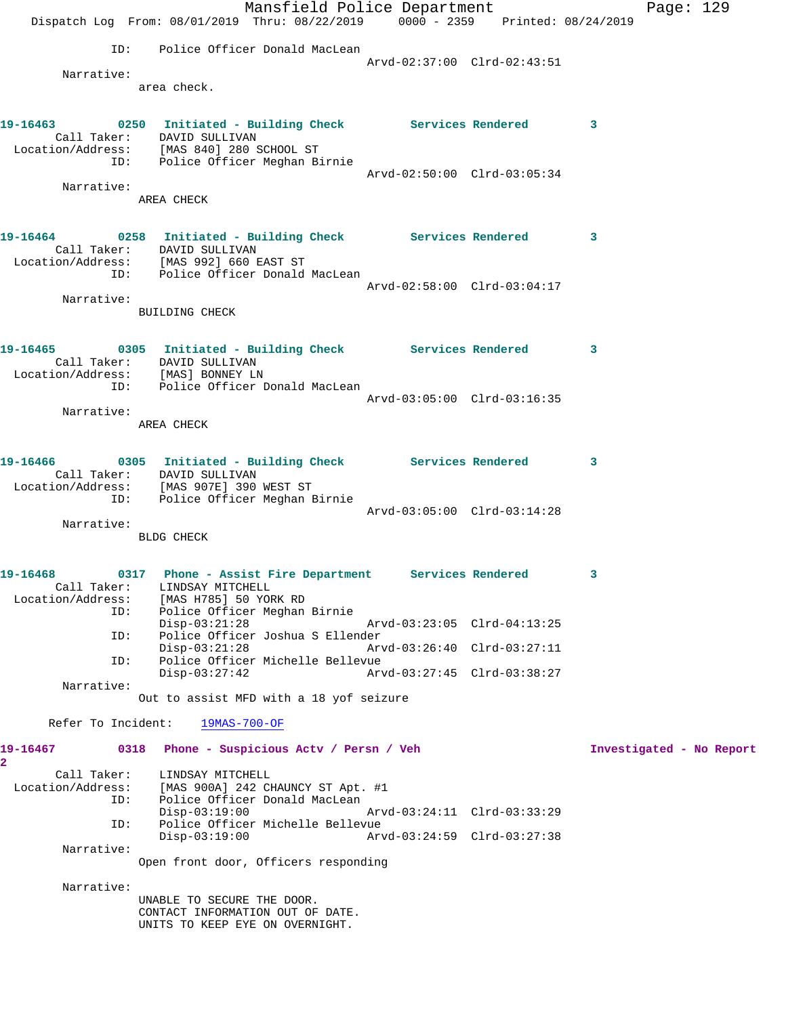|                                   | Mansfield Police Department                                                                |                             |                          | Page: $129$ |
|-----------------------------------|--------------------------------------------------------------------------------------------|-----------------------------|--------------------------|-------------|
|                                   | Dispatch Log From: 08/01/2019 Thru: 08/22/2019 0000 - 2359 Printed: 08/24/2019             |                             |                          |             |
| ID:                               | Police Officer Donald MacLean                                                              |                             |                          |             |
| Narrative:                        |                                                                                            | Arvd-02:37:00 Clrd-02:43:51 |                          |             |
|                                   | area check.                                                                                |                             |                          |             |
|                                   | 19-16463 0250 Initiated - Building Check Services Rendered 3                               |                             |                          |             |
|                                   | Call Taker: DAVID SULLIVAN                                                                 |                             |                          |             |
|                                   | Location/Address: [MAS 840] 280 SCHOOL ST<br>ID: Police Officer Meghan Birnie              |                             |                          |             |
|                                   |                                                                                            | Arvd-02:50:00 Clrd-03:05:34 |                          |             |
| Narrative:                        | AREA CHECK                                                                                 |                             |                          |             |
|                                   |                                                                                            |                             |                          |             |
|                                   | 19-16464 0258 Initiated - Building Check Services Rendered 3<br>Call Taker: DAVID SULLIVAN |                             |                          |             |
|                                   | Location/Address: [MAS 992] 660 EAST ST                                                    |                             |                          |             |
|                                   | ID: Police Officer Donald MacLean                                                          | Arvd-02:58:00 Clrd-03:04:17 |                          |             |
| Narrative:                        |                                                                                            |                             |                          |             |
|                                   | BUILDING CHECK                                                                             |                             |                          |             |
|                                   | 19-16465 0305 Initiated - Building Check Services Rendered 3                               |                             |                          |             |
|                                   | Call Taker: DAVID SULLIVAN                                                                 |                             |                          |             |
| Location/Address: [MAS] BONNEY LN | ID: Police Officer Donald MacLean                                                          |                             |                          |             |
|                                   |                                                                                            | Arvd-03:05:00 Clrd-03:16:35 |                          |             |
| Narrative:                        | AREA CHECK                                                                                 |                             |                          |             |
|                                   |                                                                                            |                             |                          |             |
|                                   | 19-16466 0305 Initiated - Building Check Services Rendered 3<br>Call Taker: DAVID SULLIVAN |                             |                          |             |
|                                   | Location/Address: [MAS 907E] 390 WEST ST                                                   |                             |                          |             |
|                                   | ID: Police Officer Meghan Birnie                                                           | Arvd-03:05:00 Clrd-03:14:28 |                          |             |
| Narrative:                        |                                                                                            |                             |                          |             |
|                                   | BLDG CHECK                                                                                 |                             |                          |             |
| 19-16468                          | 0317 Phone - Assist Fire Department Services Rendered                                      |                             | 3                        |             |
| Call Taker:                       | LINDSAY MITCHELL                                                                           |                             |                          |             |
| Location/Address:<br>ID:          | [MAS H785] 50 YORK RD<br>Police Officer Meghan Birnie                                      |                             |                          |             |
|                                   | $Disp-03:21:28$                                                                            | Arvd-03:23:05 Clrd-04:13:25 |                          |             |
| ID:                               | Police Officer Joshua S Ellender<br>$Disp-03:21:28$                                        | Arvd-03:26:40 Clrd-03:27:11 |                          |             |
| ID:                               | Police Officer Michelle Bellevue<br>$Disp-03:27:42$                                        | Arvd-03:27:45 Clrd-03:38:27 |                          |             |
| Narrative:                        |                                                                                            |                             |                          |             |
|                                   | Out to assist MFD with a 18 yof seizure                                                    |                             |                          |             |
| Refer To Incident:                | 19MAS-700-OF                                                                               |                             |                          |             |
| 19-16467<br>2                     | 0318 Phone - Suspicious Acty / Persn / Veh                                                 |                             | Investigated - No Report |             |
| Call Taker:                       | LINDSAY MITCHELL                                                                           |                             |                          |             |
| Location/Address:<br>ID:          | [MAS 900A] 242 CHAUNCY ST Apt. #1<br>Police Officer Donald MacLean                         |                             |                          |             |
|                                   | $Disp-03:19:00$<br>Police Officer Michelle Bellevue                                        | Arvd-03:24:11 Clrd-03:33:29 |                          |             |
| ID:                               | $Disp-03:19:00$                                                                            | Arvd-03:24:59 Clrd-03:27:38 |                          |             |
| Narrative:                        | Open front door, Officers responding                                                       |                             |                          |             |
|                                   |                                                                                            |                             |                          |             |
| Narrative:                        | UNABLE TO SECURE THE DOOR.                                                                 |                             |                          |             |
|                                   | CONTACT INFORMATION OUT OF DATE.                                                           |                             |                          |             |
|                                   | UNITS TO KEEP EYE ON OVERNIGHT.                                                            |                             |                          |             |
|                                   |                                                                                            |                             |                          |             |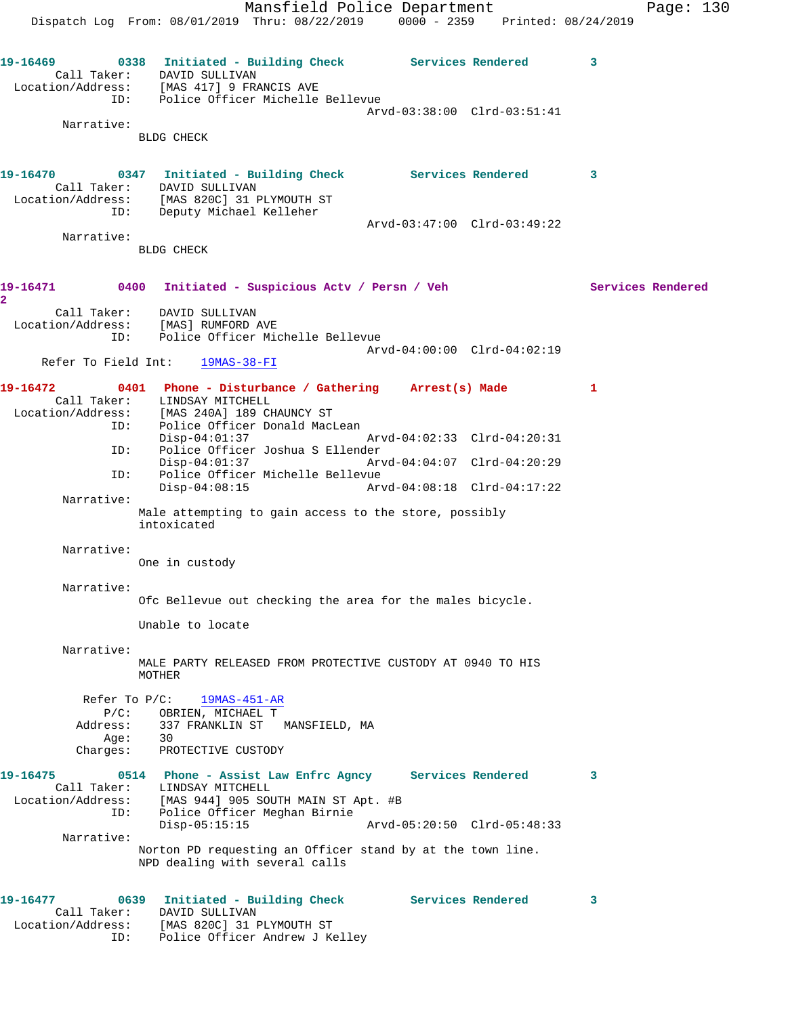Mansfield Police Department Fage: 130 Dispatch Log From: 08/01/2019 Thru: 08/22/2019 0000 - 2359 Printed: 08/24/2019 19-16469 **0338** Initiated - Building Check Services Rendered 3 Call Taker: DAVID SULLIVAN Location/Address: [MAS 417] 9 FRANCIS AVE ID: Police Officer Michelle Bellevue Arvd-03:38:00 Clrd-03:51:41 Narrative: BLDG CHECK **19-16470 0347 Initiated - Building Check Services Rendered 3**  Call Taker: DAVID SULLIVAN Location/Address: [MAS 820C] 31 PLYMOUTH ST ID: Deputy Michael Kelleher Arvd-03:47:00 Clrd-03:49:22 Narrative: BLDG CHECK **19-16471 0400 Initiated - Suspicious Actv / Persn / Veh Services Rendered 2**  Call Taker: DAVID SULLIVAN Location/Address: [MAS] RUMFORD AVE ID: Police Officer Michelle Bellevue Arvd-04:00:00 Clrd-04:02:19 Refer To Field Int: 19MAS-38-FI **19-16472 0401 Phone - Disturbance / Gathering Arrest(s) Made 1**  Call Taker: LINDSAY MITCHELL Location/Address: [MAS 240A] 189 CHAUNCY ST ID: Police Officer Donald MacLean Disp-04:01:37 Arvd-04:02:33 Clrd-04:20:31 ID: Police Officer Joshua S Ellender Disp-04:01:37 Arvd-04:04:07 Clrd-04:20:29 ID: Police Officer Michelle Bellevue Disp-04:08:15 Arvd-04:08:18 Clrd-04:17:22 Narrative: Male attempting to gain access to the store, possibly intoxicated Narrative: One in custody Narrative: Ofc Bellevue out checking the area for the males bicycle. Unable to locate Narrative: MALE PARTY RELEASED FROM PROTECTIVE CUSTODY AT 0940 TO HIS MOTHER Refer To P/C: 19MAS-451-AR P/C: OBRIEN, MICHAEL T Address: 337 FRANKLIN ST MANSFIELD, MA Age: 30 Charges: PROTECTIVE CUSTODY **19-16475 0514 Phone - Assist Law Enfrc Agncy Services Rendered 3**  Call Taker: LINDSAY MITCHELL Location/Address: [MAS 944] 905 SOUTH MAIN ST Apt. #B ID: Police Officer Meghan Birnie Disp-05:15:15 Arvd-05:20:50 Clrd-05:48:33 Narrative: Norton PD requesting an Officer stand by at the town line. NPD dealing with several calls **19-16477 0639 Initiated - Building Check Services Rendered 3**  Call Taker: DAVID SULLIVAN Location/Address: [MAS 820C] 31 PLYMOUTH ST ID: Police Officer Andrew J Kelley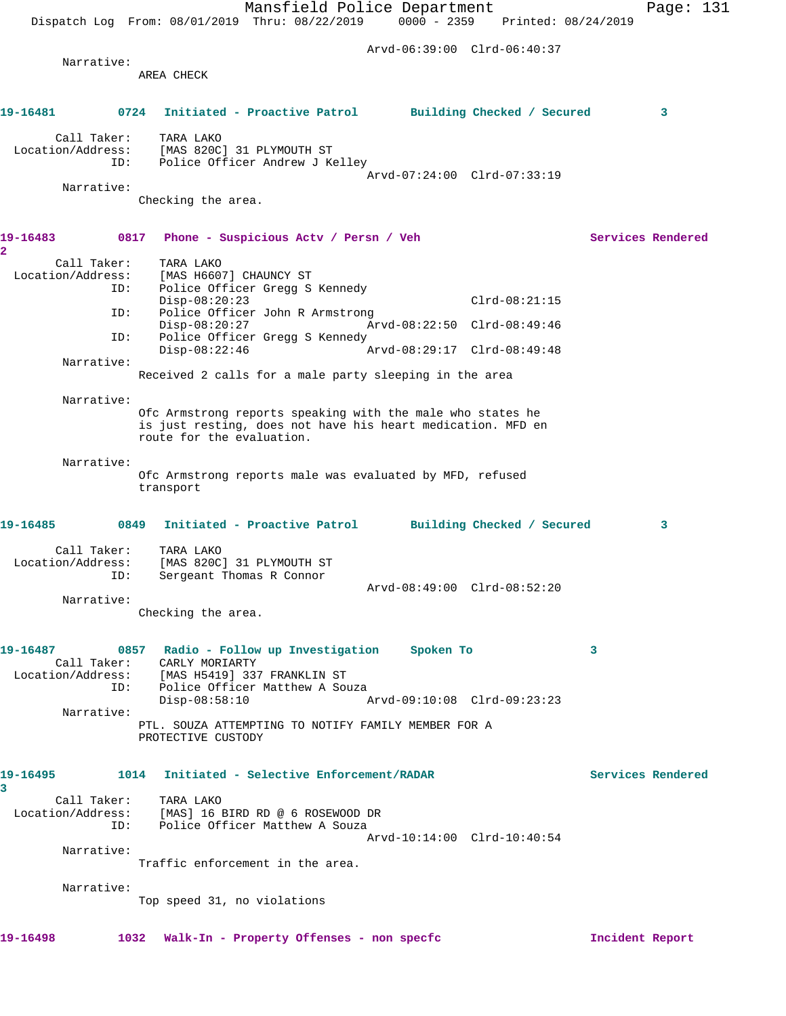Mansfield Police Department Page: 131 Dispatch Log From: 08/01/2019 Thru: 08/22/2019 0000 - 2359 Printed: 08/24/2019 Arvd-06:39:00 Clrd-06:40:37 Narrative: AREA CHECK **19-16481 0724 Initiated - Proactive Patrol Building Checked / Secured 3** Call Taker: TARA LAKO Location/Address: [MAS 820C] 31 PLYMOUTH ST ID: Police Officer Andrew J Kelley Arvd-07:24:00 Clrd-07:33:19 Narrative: Checking the area. **19-16483 0817 Phone - Suspicious Actv / Persn / Veh Services Rendered 2**  Call Taker: TARA LAKO Location/Address: [MAS H6607] CHAUNCY ST ID: Police Officer Gregg S Kennedy Disp-08:20:23 Clrd-08:21:15<br>TD: Police Officer John R Armstrong Clrd-08:21:15 Police Officer John R Armstrong<br>Disp-08:20:27 Ar Disp-08:20:27 Arvd-08:22:50 Clrd-08:49:46<br>ID: Police Officer Gregg S Kennedy Police Officer Gregg S Kennedy Disp-08:22:46 Arvd-08:29:17 Clrd-08:49:48 Narrative: Received 2 calls for a male party sleeping in the area Narrative: Ofc Armstrong reports speaking with the male who states he is just resting, does not have his heart medication. MFD en route for the evaluation. Narrative: Ofc Armstrong reports male was evaluated by MFD, refused transport **19-16485 0849 Initiated - Proactive Patrol Building Checked / Secured 3** Call Taker: TARA LAKO Location/Address: [MAS 820C] 31 PLYMOUTH ST ID: Sergeant Thomas R Connor Arvd-08:49:00 Clrd-08:52:20 Narrative: Checking the area. **19-16487 0857 Radio - Follow up Investigation Spoken To 3**  Call Taker: CARLY MORIARTY Location/Address: [MAS H5419] 337 FRANKLIN ST ID: Police Officer Matthew A Souza Disp-08:58:10 Arvd-09:10:08 Clrd-09:23:23 Narrative: PTL. SOUZA ATTEMPTING TO NOTIFY FAMILY MEMBER FOR A PROTECTIVE CUSTODY **19-16495 1014 Initiated - Selective Enforcement/RADAR Services Rendered 3**  Call Taker: TARA LAKO<br>Location/Address: [MAS] 16 I<br>ID: Police Off [MAS] 16 BIRD RD @ 6 ROSEWOOD DR Police Officer Matthew A Souza Arvd-10:14:00 Clrd-10:40:54 Narrative: Traffic enforcement in the area. Narrative: Top speed 31, no violations **19-16498 1032 Walk-In - Property Offenses - non specfc Incident Report**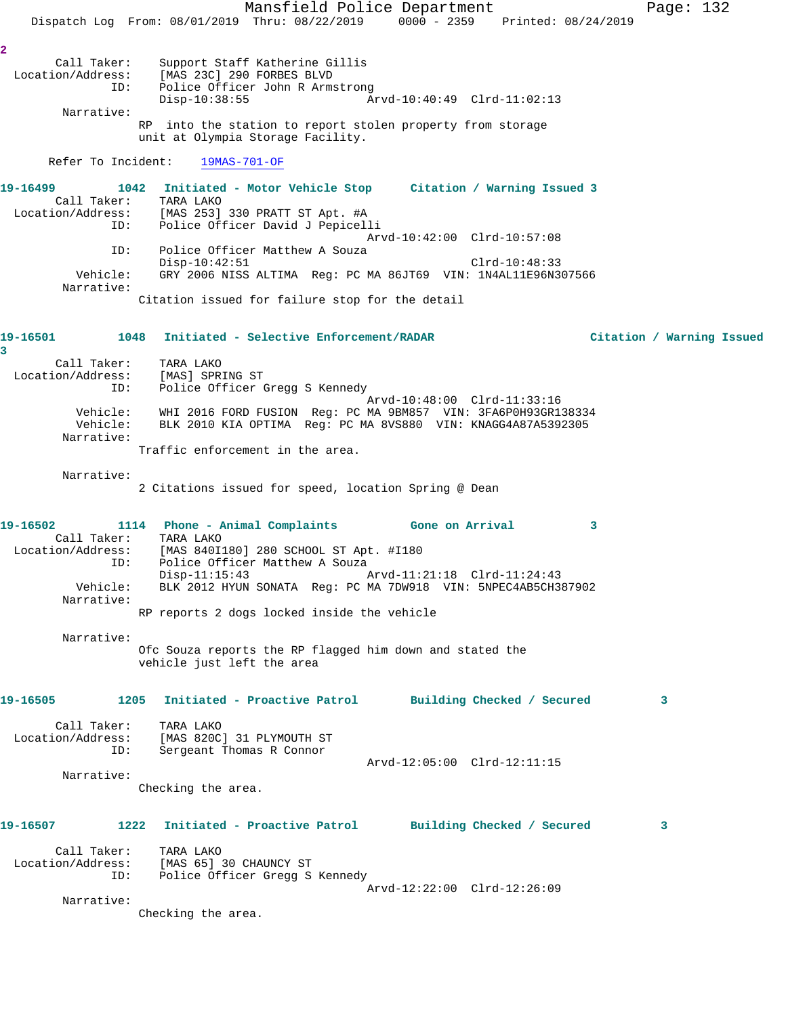Mansfield Police Department Page: 132 Dispatch Log From: 08/01/2019 Thru: 08/22/2019 0000 - 2359 Printed: 08/24/2019 **2**  Call Taker: Support Staff Katherine Gillis Location/Address: [MAS 23C] 290 FORBES BLVD ID: Police Officer John R Armstrong Disp-10:38:55 Arvd-10:40:49 Clrd-11:02:13 Narrative: RP into the station to report stolen property from storage unit at Olympia Storage Facility. Refer To Incident: 19MAS-701-OF **19-16499 1042 Initiated - Motor Vehicle Stop Citation / Warning Issued 3**  Call Taker: TARA LAKO Location/Address: [MAS 253] 330 PRATT ST Apt. #A ID: Police Officer David J Pepicelli Arvd-10:42:00 Clrd-10:57:08 ID: Police Officer Matthew A Souza Disp-10:42:51 Clrd-10:48:33 Vehicle: GRY 2006 NISS ALTIMA Reg: PC MA 86JT69 VIN: 1N4AL11E96N307566 Narrative: Citation issued for failure stop for the detail **19-16501 1048 Initiated - Selective Enforcement/RADAR Citation / Warning Issued 3**  Call Taker: TARA LAKO Location/Address: [MAS] SPRING ST ID: Police Officer Gregg S Kennedy Arvd-10:48:00 Clrd-11:33:16 Vehicle: WHI 2016 FORD FUSION Reg: PC MA 9BM857 VIN: 3FA6P0H93GR138334 Vehicle: BLK 2010 KIA OPTIMA Reg: PC MA 8VS880 VIN: KNAGG4A87A5392305 Narrative: Traffic enforcement in the area. Narrative: 2 Citations issued for speed, location Spring @ Dean **19-16502 1114 Phone - Animal Complaints Gone on Arrival 3**  Call Taker: TARA LAKO Location/Address: [MAS 840I180] 280 SCHOOL ST Apt. #I180 ID: Police Officer Matthew A Souza Disp-11:15:43 Arvd-11:21:18 Clrd-11:24:43 Vehicle: BLK 2012 HYUN SONATA Reg: PC MA 7DW918 VIN: 5NPEC4AB5CH387902 Narrative: RP reports 2 dogs locked inside the vehicle Narrative: Ofc Souza reports the RP flagged him down and stated the vehicle just left the area **19-16505 1205 Initiated - Proactive Patrol Building Checked / Secured 3** Call Taker: TARA LAKO Location/Address: [MAS 820C] 31 PLYMOUTH ST ID: Sergeant Thomas R Connor Arvd-12:05:00 Clrd-12:11:15 Narrative: Checking the area. **19-16507 1222 Initiated - Proactive Patrol Building Checked / Secured 3** Call Taker: TARA LAKO Location/Address: [MAS 65] 30 CHAUNCY ST ID: Police Officer Gregg S Kennedy Arvd-12:22:00 Clrd-12:26:09 Narrative: Checking the area.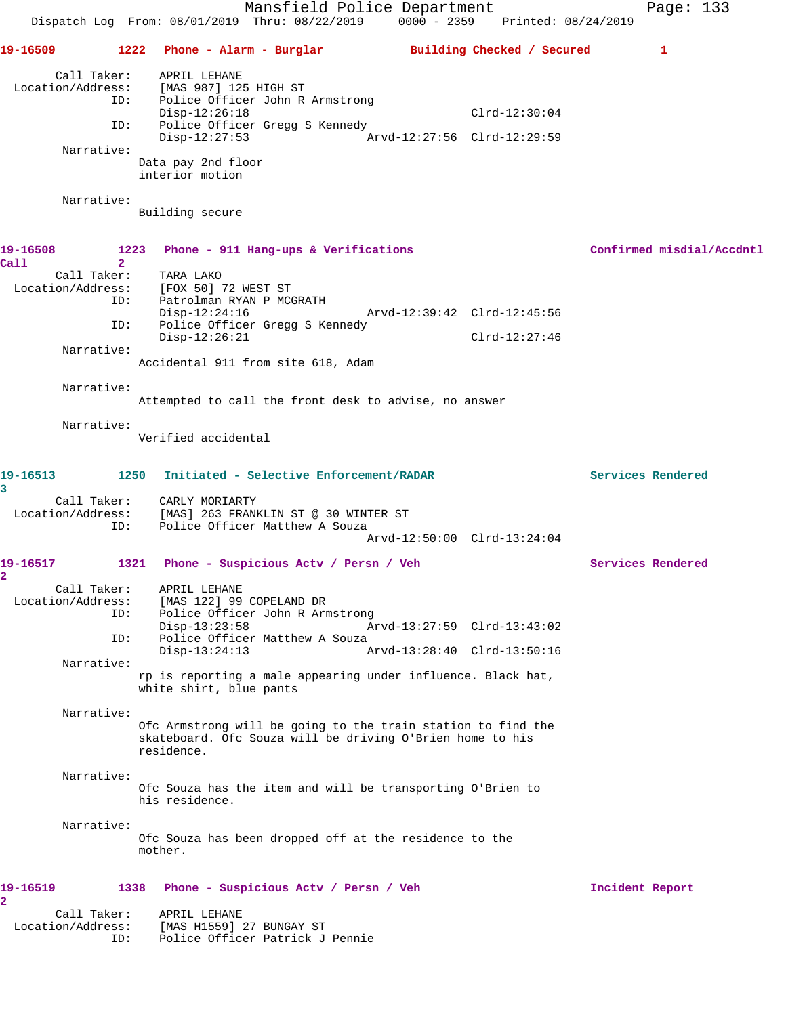|                                         | Mansfield Police Department<br>$0000 - 2359$<br>Dispatch Log From: 08/01/2019 Thru: 08/22/2019<br>Printed: 08/24/2019                                                  | Page: 133                 |
|-----------------------------------------|------------------------------------------------------------------------------------------------------------------------------------------------------------------------|---------------------------|
| 19-16509                                | 1222<br>Phone - Alarm - Burglar               Building Checked / Secured                                                                                               | 1                         |
| Call Taker:<br>Location/Address:        | APRIL LEHANE<br>[MAS 987] 125 HIGH ST<br>ID:<br>Police Officer John R Armstrong<br>$Clrd-12:30:04$<br>$Disp-12:26:18$                                                  |                           |
| ID:                                     | Police Officer Gregg S Kennedy<br>$Disp-12:27:53$<br>Arvd-12:27:56 Clrd-12:29:59                                                                                       |                           |
| Narrative:                              |                                                                                                                                                                        |                           |
|                                         | Data pay 2nd floor<br>interior motion                                                                                                                                  |                           |
| Narrative:                              | Building secure                                                                                                                                                        |                           |
| 19-16508<br>Call                        | 1223<br>Phone - 911 Hang-ups & Verifications<br>$\overline{2}$                                                                                                         | Confirmed misdial/Accdntl |
| Call Taker:<br>Location/Address:        | TARA LAKO<br>[FOX 50] 72 WEST ST<br>ID:<br>Patrolman RYAN P MCGRATH                                                                                                    |                           |
| ID:                                     | Arvd-12:39:42 Clrd-12:45:56<br>$Disp-12:24:16$<br>Police Officer Gregg S Kennedy<br>$Disp-12:26:21$<br>$Clrd-12:27:46$                                                 |                           |
| Narrative:                              | Accidental 911 from site 618, Adam                                                                                                                                     |                           |
|                                         |                                                                                                                                                                        |                           |
| Narrative:                              | Attempted to call the front desk to advise, no answer                                                                                                                  |                           |
| Narrative:                              | Verified accidental                                                                                                                                                    |                           |
| 19-16513<br>3                           | 1250<br>Initiated - Selective Enforcement/RADAR                                                                                                                        | Services Rendered         |
| Location/Address:<br>ID:                | Call Taker: CARLY MORIARTY<br>[MAS] 263 FRANKLIN ST @ 30 WINTER ST<br>Police Officer Matthew A Souza                                                                   |                           |
|                                         | Arvd-12:50:00 Clrd-13:24:04                                                                                                                                            |                           |
| 19-16517<br>2                           | 1321<br>Phone - Suspicious Actv / Persn / Veh                                                                                                                          | Services Rendered         |
| Call Taker:<br>Location/Address:<br>ID: | APRIL LEHANE<br>[MAS 122] 99 COPELAND DR<br>Police Officer John R Armstrong<br>ID:<br>Arvd-13:27:59 Clrd-13:43:02<br>$Disp-13:23:58$<br>Police Officer Matthew A Souza |                           |
|                                         | $Disp-13:24:13$<br>Arvd-13:28:40 Clrd-13:50:16                                                                                                                         |                           |
| Narrative:                              | rp is reporting a male appearing under influence. Black hat,<br>white shirt, blue pants                                                                                |                           |
| Narrative:                              | Ofc Armstrong will be going to the train station to find the<br>skateboard. Ofc Souza will be driving O'Brien home to his<br>residence.                                |                           |
| Narrative:                              | Ofc Souza has the item and will be transporting O'Brien to<br>his residence.                                                                                           |                           |
| Narrative:                              | Ofc Souza has been dropped off at the residence to the<br>mother.                                                                                                      |                           |
| 19-16519<br>$\overline{a}$              | 1338<br>Phone - Suspicious Acty / Persn / Veh                                                                                                                          | Incident Report           |
| Call Taker:<br>Location/Address:<br>ID: | APRIL LEHANE<br>[MAS H1559] 27 BUNGAY ST<br>Police Officer Patrick J Pennie                                                                                            |                           |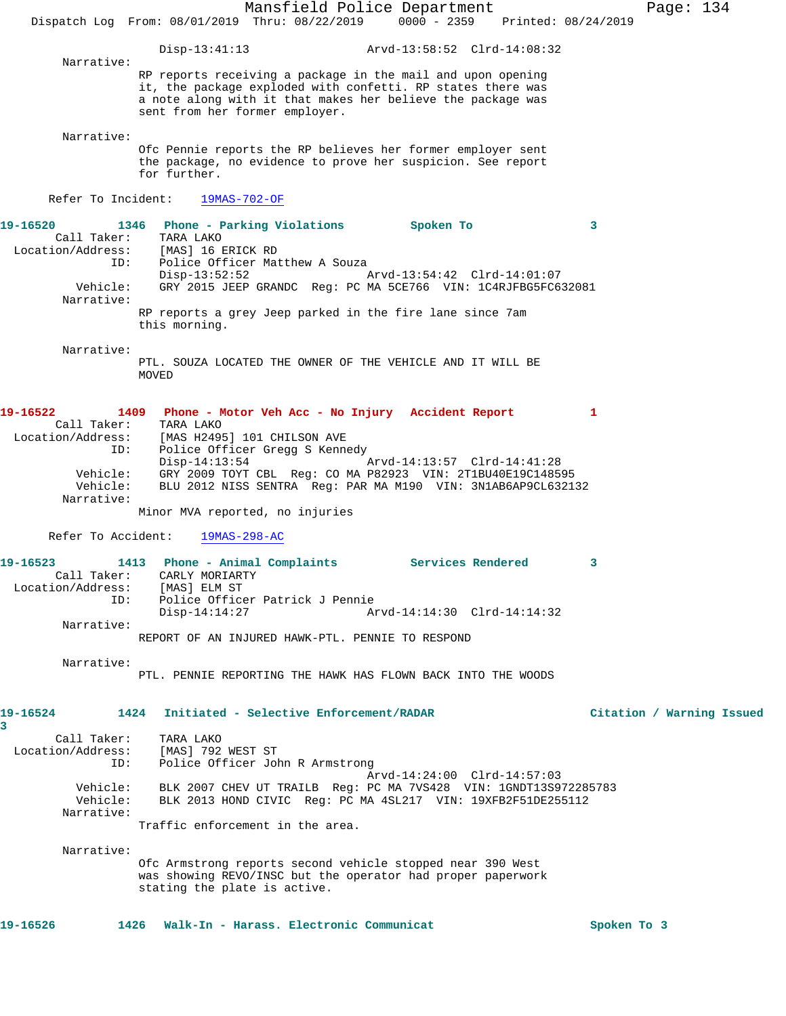Mansfield Police Department Page: 134 Dispatch Log From: 08/01/2019 Thru: 08/22/2019 0000 - 2359 Printed: 08/24/2019 Disp-13:41:13 Arvd-13:58:52 Clrd-14:08:32 Narrative: RP reports receiving a package in the mail and upon opening it, the package exploded with confetti. RP states there was a note along with it that makes her believe the package was sent from her former employer. Narrative: Ofc Pennie reports the RP believes her former employer sent the package, no evidence to prove her suspicion. See report for further. Refer To Incident: 19MAS-702-OF **19-16520 1346 Phone - Parking Violations Spoken To 3**  Call Taker: TARA LAKO Location/Address: [MAS] 16 ERICK RD ID: Police Officer Matthew A Souza Disp-13:52:52 Arvd-13:54:42 Clrd-14:01:07 Vehicle: GRY 2015 JEEP GRANDC Reg: PC MA 5CE766 VIN: 1C4RJFBG5FC632081 Narrative: RP reports a grey Jeep parked in the fire lane since 7am this morning. Narrative: PTL. SOUZA LOCATED THE OWNER OF THE VEHICLE AND IT WILL BE MOVED **19-16522 1409 Phone - Motor Veh Acc - No Injury Accident Report 1**  Call Taker: TARA LAKO Location/Address: [MAS H2495] 101 CHILSON AVE ID: Police Officer Gregg S Kennedy<br>Disp-14:13:54 Disp-14:13:54 Arvd-14:13:57 Clrd-14:41:28 Vehicle: GRY 2009 TOYT CBL Reg: CO MA P82923 VIN: 2T1BU40E19C148595 Vehicle: BLU 2012 NISS SENTRA Reg: PAR MA M190 VIN: 3N1AB6AP9CL632132 Narrative: Minor MVA reported, no injuries Refer To Accident: 19MAS-298-AC **19-16523 1413 Phone - Animal Complaints Services Rendered 3**  Call Taker: CARLY MORIARTY Location/Address: [MAS] ELM ST ID: Police Officer Patrick J Pennie Disp-14:14:27 Arvd-14:14:30 Clrd-14:14:32 Narrative: REPORT OF AN INJURED HAWK-PTL. PENNIE TO RESPOND Narrative: PTL. PENNIE REPORTING THE HAWK HAS FLOWN BACK INTO THE WOODS **19-16524 1424 Initiated - Selective Enforcement/RADAR Citation / Warning Issued 3**  Call Taker: TARA LAKO Location/Address: [MAS] 792 WEST ST ID: Police Officer John R Armstrong Arvd-14:24:00 Clrd-14:57:03 Vehicle: BLK 2007 CHEV UT TRAILB Reg: PC MA 7VS428 VIN: 1GNDT13S972285783 Vehicle: BLK 2013 HOND CIVIC Reg: PC MA 4SL217 VIN: 19XFB2F51DE255112 Narrative: Traffic enforcement in the area. Narrative: Ofc Armstrong reports second vehicle stopped near 390 West was showing REVO/INSC but the operator had proper paperwork stating the plate is active. 19-16526 1426 Walk-In - Harass. Electronic Communicat **Spoken To 3**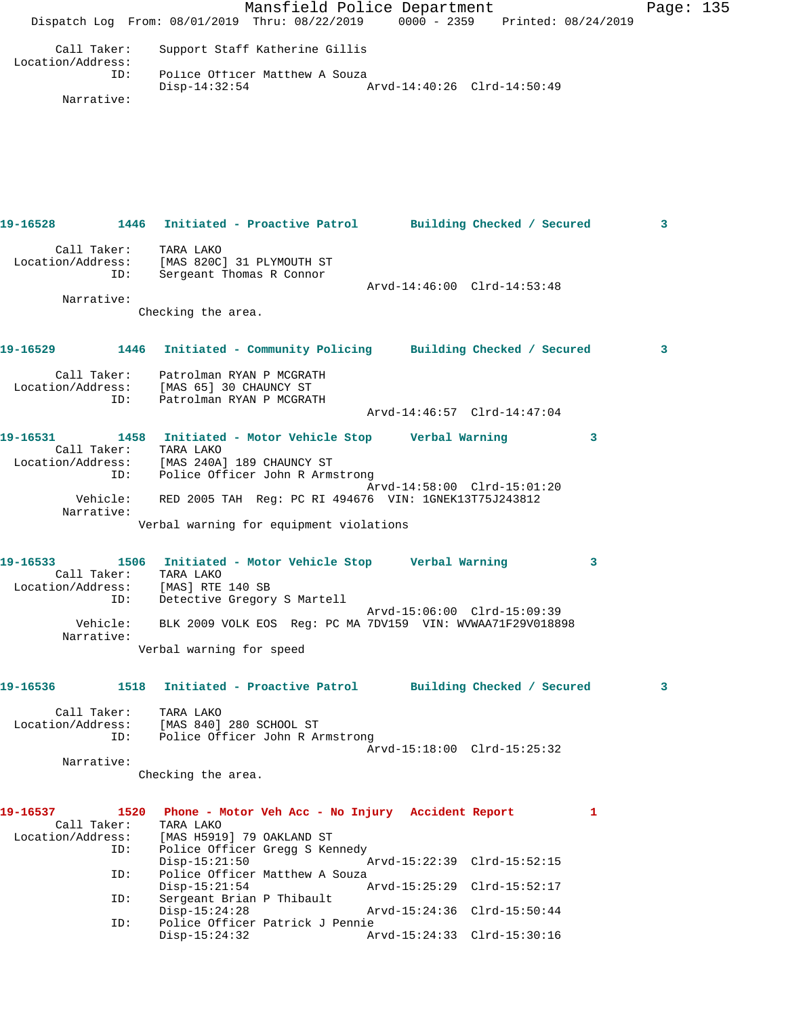Mansfield Police Department Page: 135 Dispatch Log From: 08/01/2019 Thru: 08/22/2019 0000 - 2359 Printed: 08/24/2019 Call Taker: Support Staff Katherine Gillis Location/Address: ID: Police Officer Matthew A Souza Disp-14:32:54 Arvd-14:40:26 Clrd-14:50:49 Narrative: **19-16528 1446 Initiated - Proactive Patrol Building Checked / Secured 3** Call Taker: TARA LAKO Location/Address: [MAS 820C] 31 PLYMOUTH ST ID: Sergeant Thomas R Connor Arvd-14:46:00 Clrd-14:53:48 Narrative: Checking the area. **19-16529 1446 Initiated - Community Policing Building Checked / Secured 3** Call Taker: Patrolman RYAN P MCGRATH Location/Address: [MAS 65] 30 CHAUNCY ST ID: Patrolman RYAN P MCGRATH Arvd-14:46:57 Clrd-14:47:04 **19-16531 1458 Initiated - Motor Vehicle Stop Verbal Warning 3**  Call Taker: TARA LAKO Location/Address: [MAS 240A] 189 CHAUNCY ST ID: Police Officer John R Armstrong Arvd-14:58:00 Clrd-15:01:20 Vehicle: RED 2005 TAH Reg: PC RI 494676 VIN: 1GNEK13T75J243812 Narrative: Verbal warning for equipment violations **19-16533 1506 Initiated - Motor Vehicle Stop Verbal Warning 3**  Call Taker: TARA LAKO Location/Address: [MAS] RTE 140 SB ID: Detective Gregory S Martell Arvd-15:06:00 Clrd-15:09:39 Vehicle: BLK 2009 VOLK EOS Reg: PC MA 7DV159 VIN: WVWAA71F29V018898 Narrative: Verbal warning for speed **19-16536 1518 Initiated - Proactive Patrol Building Checked / Secured 3** Call Taker: TARA LAKO Location/Address: [MAS 840] 280 SCHOOL ST ID: Police Officer John R Armstrong Arvd-15:18:00 Clrd-15:25:32 Narrative: Checking the area. **19-16537 1520 Phone - Motor Veh Acc - No Injury Accident Report 1**  Call Taker: TARA LAKO Location/Address: [MAS H5919] 79 OAKLAND ST ID: Police Officer Gregg S Kennedy Disp-15:21:50 Arvd-15:22:39 Clrd-15:52:15 ID: Police Officer Matthew A Souza<br>Disp-15:21:54 A Arvd-15:25:29 Clrd-15:52:17 ID: Sergeant Brian P Thibault Disp-15:24:28 Arvd-15:24:36 Clrd-15:50:44 ID: Police Officer Patrick J Pennie Disp-15:24:32 Arvd-15:24:33 Clrd-15:30:16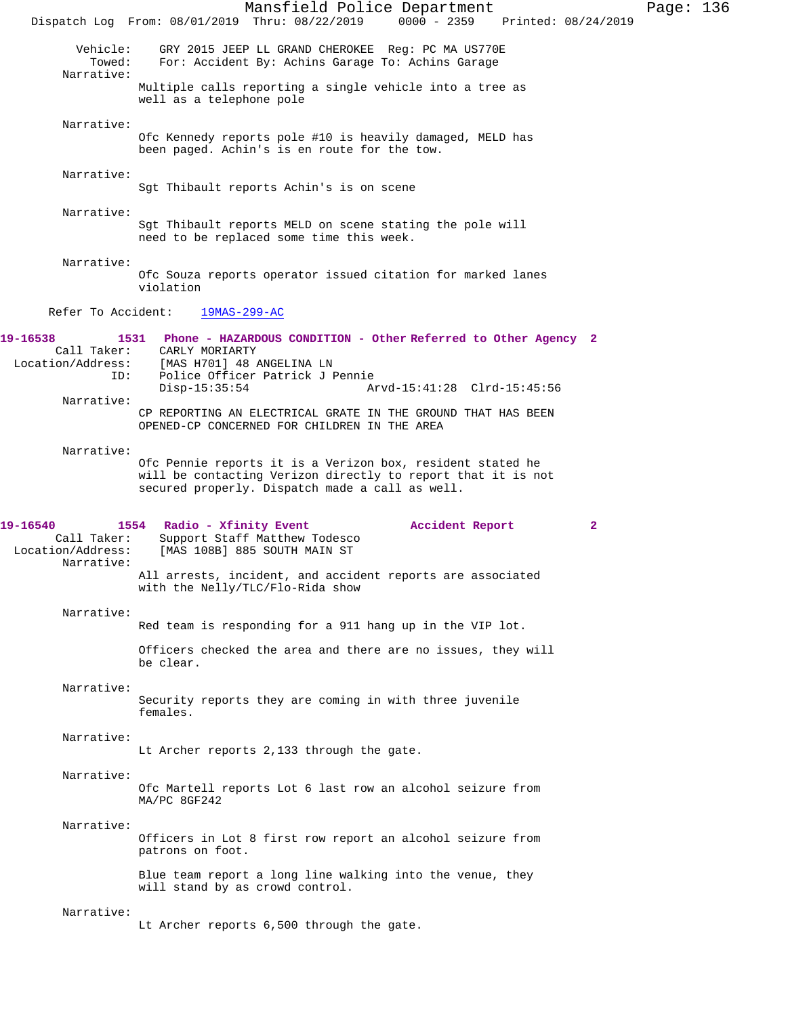|                                                            | Mansfield Police Department<br>$0000 - 2359$<br>Dispatch Log From: 08/01/2019 Thru: 08/22/2019<br>Printed: 08/24/2019                                                         | Page: 136 |  |
|------------------------------------------------------------|-------------------------------------------------------------------------------------------------------------------------------------------------------------------------------|-----------|--|
| Vehicle:<br>Towed:<br>Narrative:                           | GRY 2015 JEEP LL GRAND CHEROKEE Reg: PC MA US770E<br>For: Accident By: Achins Garage To: Achins Garage                                                                        |           |  |
|                                                            | Multiple calls reporting a single vehicle into a tree as<br>well as a telephone pole                                                                                          |           |  |
| Narrative:                                                 | Ofc Kennedy reports pole #10 is heavily damaged, MELD has<br>been paged. Achin's is en route for the tow.                                                                     |           |  |
| Narrative:                                                 | Sgt Thibault reports Achin's is on scene                                                                                                                                      |           |  |
| Narrative:                                                 | Sgt Thibault reports MELD on scene stating the pole will<br>need to be replaced some time this week.                                                                          |           |  |
| Narrative:                                                 | Ofc Souza reports operator issued citation for marked lanes<br>violation                                                                                                      |           |  |
| Refer To Accident:                                         | 19MAS-299-AC                                                                                                                                                                  |           |  |
| 19-16538<br>Call Taker:<br>Location/Address:<br>ID:        | 1531 Phone - HAZARDOUS CONDITION - Other Referred to Other Agency 2<br>CARLY MORIARTY<br>[MAS H701] 48 ANGELINA LN<br>Police Officer Patrick J Pennie                         |           |  |
| Narrative:                                                 | $Disp-15:35:54$<br>Arvd-15:41:28 Clrd-15:45:56<br>CP REPORTING AN ELECTRICAL GRATE IN THE GROUND THAT HAS BEEN<br>OPENED-CP CONCERNED FOR CHILDREN IN THE AREA                |           |  |
| Narrative:                                                 | Ofc Pennie reports it is a Verizon box, resident stated he<br>will be contacting Verizon directly to report that it is not<br>secured properly. Dispatch made a call as well. |           |  |
| 19-16540<br>Call Taker:<br>Location/Address:<br>Narrative: | 1554 Radio - Xfinity Event<br>Accident Report<br>2<br>Support Staff Matthew Todesco<br>[MAS 108B] 885 SOUTH MAIN ST                                                           |           |  |
|                                                            | All arrests, incident, and accident reports are associated<br>with the Nelly/TLC/Flo-Rida show                                                                                |           |  |
| Narrative:                                                 | Red team is responding for a 911 hang up in the VIP lot.                                                                                                                      |           |  |
|                                                            | Officers checked the area and there are no issues, they will<br>be clear.                                                                                                     |           |  |
| Narrative:                                                 | Security reports they are coming in with three juvenile<br>females.                                                                                                           |           |  |
| Narrative:                                                 | Lt Archer reports 2,133 through the gate.                                                                                                                                     |           |  |
| Narrative:                                                 | Ofc Martell reports Lot 6 last row an alcohol seizure from<br>MA/PC 8GF242                                                                                                    |           |  |
| Narrative:                                                 | Officers in Lot 8 first row report an alcohol seizure from<br>patrons on foot.                                                                                                |           |  |
|                                                            | Blue team report a long line walking into the venue, they<br>will stand by as crowd control.                                                                                  |           |  |
| Narrative:                                                 | Lt Archer reports 6,500 through the gate.                                                                                                                                     |           |  |
|                                                            |                                                                                                                                                                               |           |  |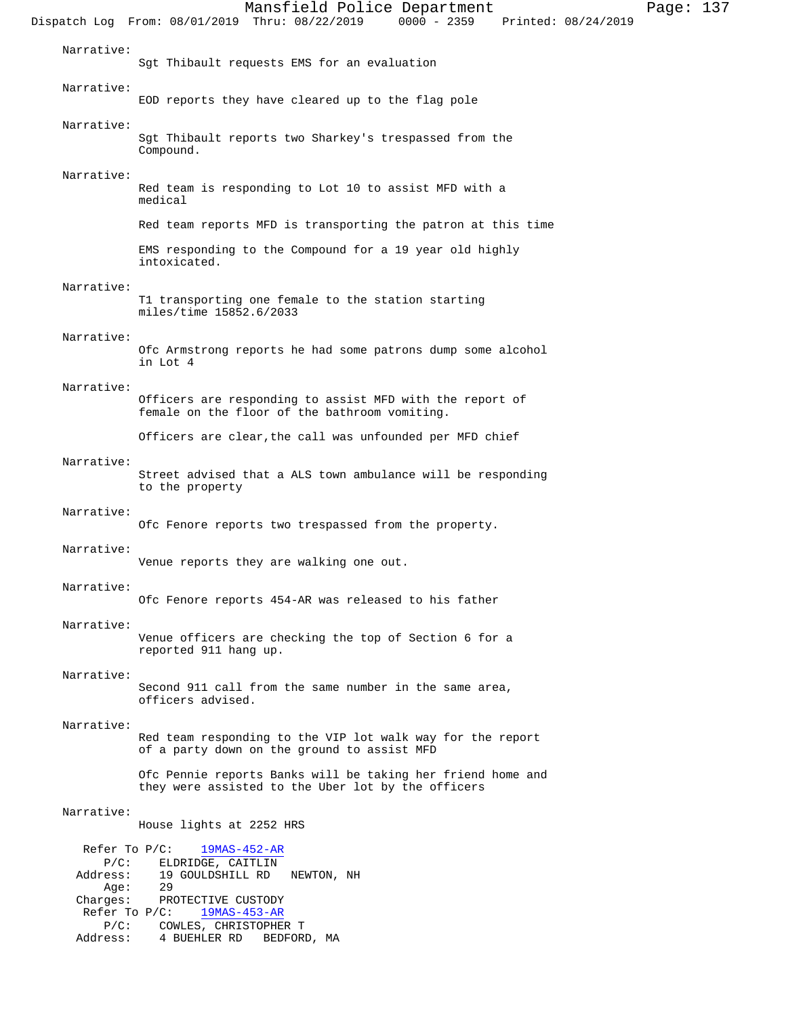| Narrative:                  | Sgt Thibault requests EMS for an evaluation                                                                       |
|-----------------------------|-------------------------------------------------------------------------------------------------------------------|
| Narrative:                  | EOD reports they have cleared up to the flag pole                                                                 |
|                             |                                                                                                                   |
| Narrative:                  | Sgt Thibault reports two Sharkey's trespassed from the<br>Compound.                                               |
| Narrative:                  | Red team is responding to Lot 10 to assist MFD with a<br>medical                                                  |
|                             | Red team reports MFD is transporting the patron at this time                                                      |
|                             | EMS responding to the Compound for a 19 year old highly<br>intoxicated.                                           |
| Narrative:                  | T1 transporting one female to the station starting<br>miles/time 15852.6/2033                                     |
| Narrative:                  | Ofc Armstrong reports he had some patrons dump some alcohol<br>in Lot 4                                           |
| Narrative:                  |                                                                                                                   |
|                             | Officers are responding to assist MFD with the report of<br>female on the floor of the bathroom vomiting.         |
|                             | Officers are clear, the call was unfounded per MFD chief                                                          |
| Narrative:                  |                                                                                                                   |
|                             | Street advised that a ALS town ambulance will be responding<br>to the property                                    |
| Narrative:                  |                                                                                                                   |
|                             | Ofc Fenore reports two trespassed from the property.                                                              |
| Narrative:                  | Venue reports they are walking one out.                                                                           |
| Narrative:                  | Ofc Fenore reports 454-AR was released to his father                                                              |
| Narrative:                  |                                                                                                                   |
|                             | Venue officers are checking the top of Section 6 for a<br>reported 911 hang up.                                   |
| Narrative:                  | Second 911 call from the same number in the same area,<br>officers advised.                                       |
| Narrative:                  |                                                                                                                   |
|                             | Red team responding to the VIP lot walk way for the report<br>of a party down on the ground to assist MFD         |
|                             | Ofc Pennie reports Banks will be taking her friend home and<br>they were assisted to the Uber lot by the officers |
| Narrative:                  | House lights at 2252 HRS                                                                                          |
| Refer To $P/C$ :            | $19MAS-452-AR$                                                                                                    |
| $P/C$ :<br>Address:         | ELDRIDGE, CAITLIN<br>19 GOULDSHILL RD<br>NEWTON, NH                                                               |
| Age:<br>Charges:            | -29<br>PROTECTIVE CUSTODY                                                                                         |
| Refer To $P/C$ :<br>$P/C$ : | $19MAS-453-AR$<br>COWLES, CHRISTOPHER T                                                                           |
| Address:                    | 4 BUEHLER RD<br>BEDFORD, MA                                                                                       |

Mansfield Police Department Fage: 137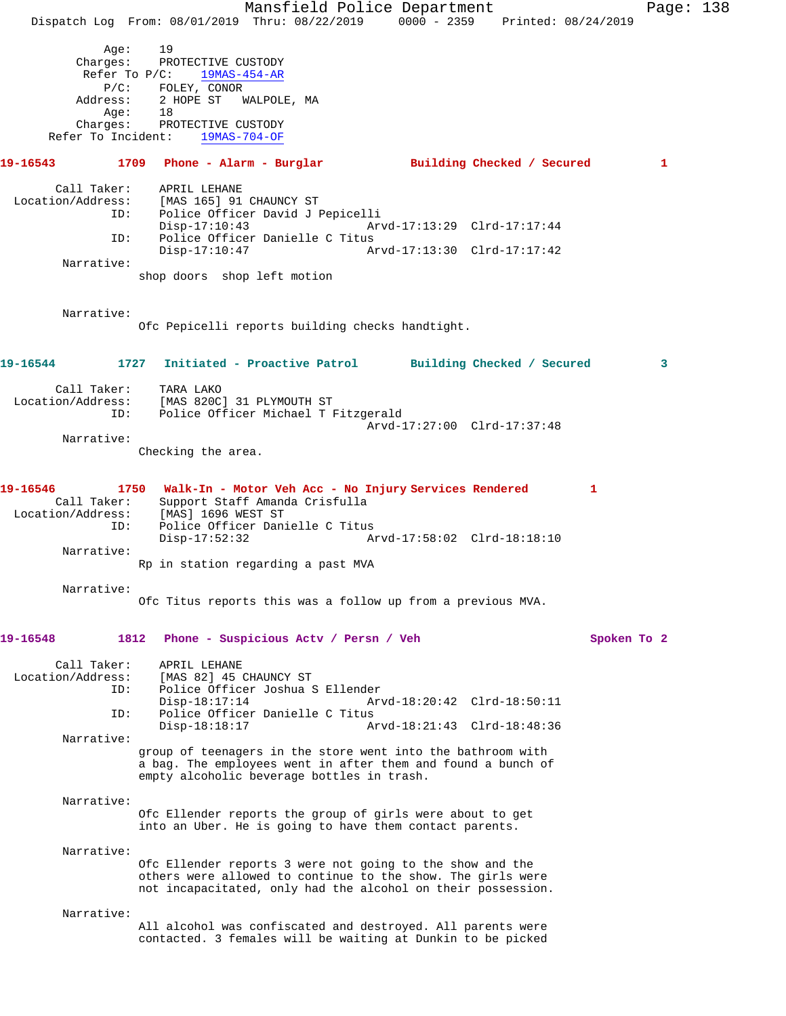Mansfield Police Department Page: 138 Dispatch Log From: 08/01/2019 Thru: 08/22/2019 0000 - 2359 Printed: 08/24/2019 Age: 19 Charges: PROTECTIVE CUSTODY Refer To P/C: 19MAS-454-AR P/C: FOLEY, CONOR Address: 2 HOPE ST WALPOLE, MA Age: 18 Charges: PROTECTIVE CUSTODY<br>r To Incident: 19MAS-704-OF Refer To Incident: **19-16543 1709 Phone - Alarm - Burglar Building Checked / Secured 1** Call Taker: APRIL LEHANE Location/Address: [MAS 165] 91 CHAUNCY ST ID: Police Officer David J Pepicelli Disp-17:10:43 Arvd-17:13:29 Clrd-17:17:44 ID: Police Officer Danielle C Titus Disp-17:10:47 Arvd-17:13:30 Clrd-17:17:42 Narrative: shop doors shop left motion Narrative: Ofc Pepicelli reports building checks handtight. **19-16544 1727 Initiated - Proactive Patrol Building Checked / Secured 3** Call Taker: TARA LAKO Location/Address: [MAS 820C] 31 PLYMOUTH ST ID: Police Officer Michael T Fitzgerald Arvd-17:27:00 Clrd-17:37:48 Narrative: Checking the area. **19-16546 1750 Walk-In - Motor Veh Acc - No Injury Services Rendered 1**  Call Taker: Support Staff Amanda Crisfulla Location/Address: [MAS] 1696 WEST ST ess. تسلم المحمد العطائر العداء .<br>ID: Police Officer Danielle C Titus<br>Disp-17:52:32 Disp-17:52:32 Arvd-17:58:02 Clrd-18:18:10 Narrative: Rp in station regarding a past MVA Narrative: Ofc Titus reports this was a follow up from a previous MVA. **19-16548 1812 Phone - Suspicious Actv / Persn / Veh Spoken To 2** Call Taker: APRIL LEHANE<br>Location/Address: [MAS 82] 45 ( ESS: [MAS 82] 45 CHAUNCY ST<br>ID: Police Officer Joshua Police Officer Joshua S Ellender<br>Disp-18:17:14 Ary Disp-18:17:14 Arvd-18:20:42 Clrd-18:50:11 ID: Police Officer Danielle C Titus Arvd-18:21:43 Clrd-18:48:36 Narrative: group of teenagers in the store went into the bathroom with a bag. The employees went in after them and found a bunch of empty alcoholic beverage bottles in trash. Narrative: Ofc Ellender reports the group of girls were about to get into an Uber. He is going to have them contact parents. Narrative: Ofc Ellender reports 3 were not going to the show and the others were allowed to continue to the show. The girls were not incapacitated, only had the alcohol on their possession. Narrative: All alcohol was confiscated and destroyed. All parents were contacted. 3 females will be waiting at Dunkin to be picked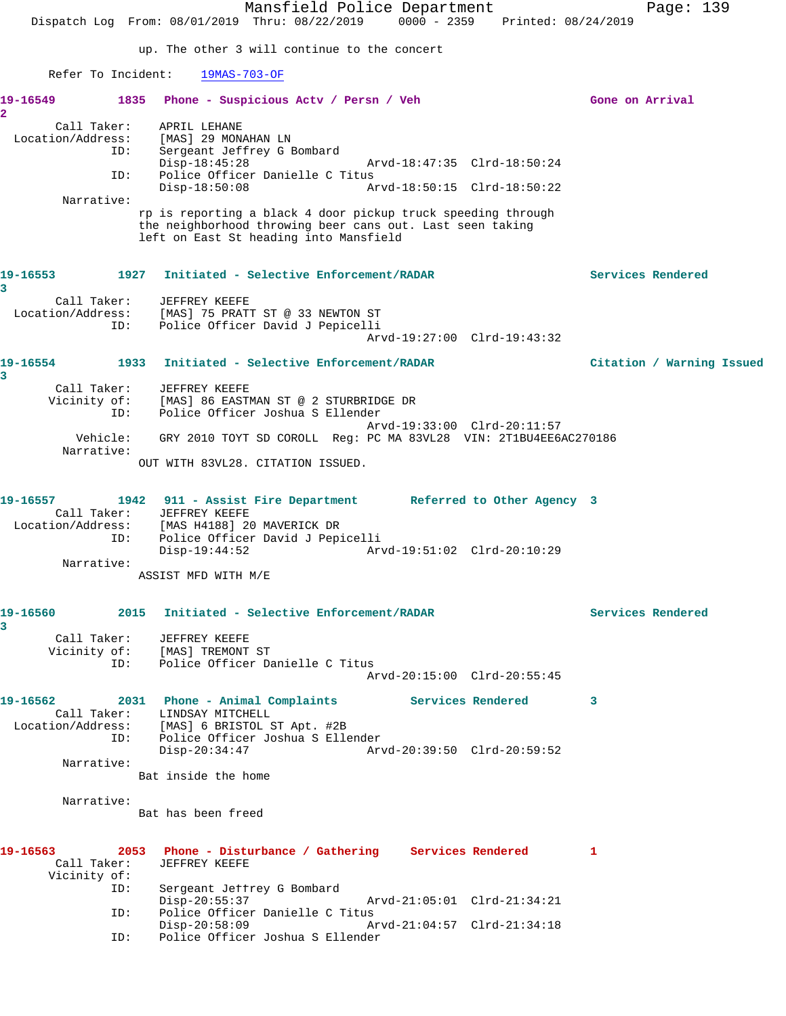Mansfield Police Department Page: 139 Dispatch Log From: 08/01/2019 Thru: 08/22/2019 0000 - 2359 Printed: 08/24/2019 up. The other 3 will continue to the concert Refer To Incident: 19MAS-703-OF 19-16549 1835 Phone - Suspicious Actv / Persn / Veh Gone on Arrival **2**  Call Taker: APRIL LEHANE Location/Address: [MAS] 29 MONAHAN LN ID: Sergeant Jeffrey G Bombard Disp-18:45:28 Arvd-18:47:35 Clrd-18:50:24<br>ID: Police Officer Danielle C Titus Police Officer Danielle C Titus<br>Disp-18:50:08 A Arvd-18:50:15 Clrd-18:50:22 Narrative: rp is reporting a black 4 door pickup truck speeding through the neighborhood throwing beer cans out. Last seen taking left on East St heading into Mansfield **19-16553 1927 Initiated - Selective Enforcement/RADAR Services Rendered 3**  Call Taker: JEFFREY KEEFE Location/Address: [MAS] 75 PRATT ST @ 33 NEWTON ST Police Officer David J Pepicelli Arvd-19:27:00 Clrd-19:43:32 **19-16554 1933 Initiated - Selective Enforcement/RADAR Citation / Warning Issued 3**  Call Taker: JEFFREY KEEFE Vicinity of: [MAS] 86 EASTMAN ST @ 2 STURBRIDGE DR ID: Police Officer Joshua S Ellender Arvd-19:33:00 Clrd-20:11:57 Vehicle: GRY 2010 TOYT SD COROLL Reg: PC MA 83VL28 VIN: 2T1BU4EE6AC270186 Narrative: OUT WITH 83VL28. CITATION ISSUED. **19-16557 1942 911 - Assist Fire Department Referred to Other Agency 3**  Call Taker: JEFFREY KEEFE Location/Address: [MAS H4188] 20 MAVERICK DR ID: Police Officer David J Pepicelli Disp-19:44:52 Arvd-19:51:02 Clrd-20:10:29 Narrative: ASSIST MFD WITH M/E **19-16560 2015 Initiated - Selective Enforcement/RADAR Services Rendered 3**  Call Taker: JEFFREY KEEFE Vicinity of: [MAS] TREMONT ST<br>ID: Police Officer Da Police Officer Danielle C Titus Arvd-20:15:00 Clrd-20:55:45 **19-16562 2031 Phone - Animal Complaints Services Rendered 3**  Call Taker: LINDSAY MITCHELL Location/Address: [MAS] 6 BRISTOL ST Apt. #2B ID: Police Officer Joshua S Ellender Disp-20:34:47 Arvd-20:39:50 Clrd-20:59:52 Narrative: Bat inside the home Narrative: Bat has been freed **19-16563 2053 Phone - Disturbance / Gathering Services Rendered 1**  JEFFREY KEEFE Vicinity of: Sergeant Jeffrey G Bombard<br>Disp-20:55:37 Disp-20:55:37 Arvd-21:05:01 Clrd-21:34:21 ID: Police Officer Danielle C Titus<br>Disp-20:58:09 Am Disp-20:58:09 Arvd-21:04:57 Clrd-21:34:18 ID: Police Officer Joshua S Ellender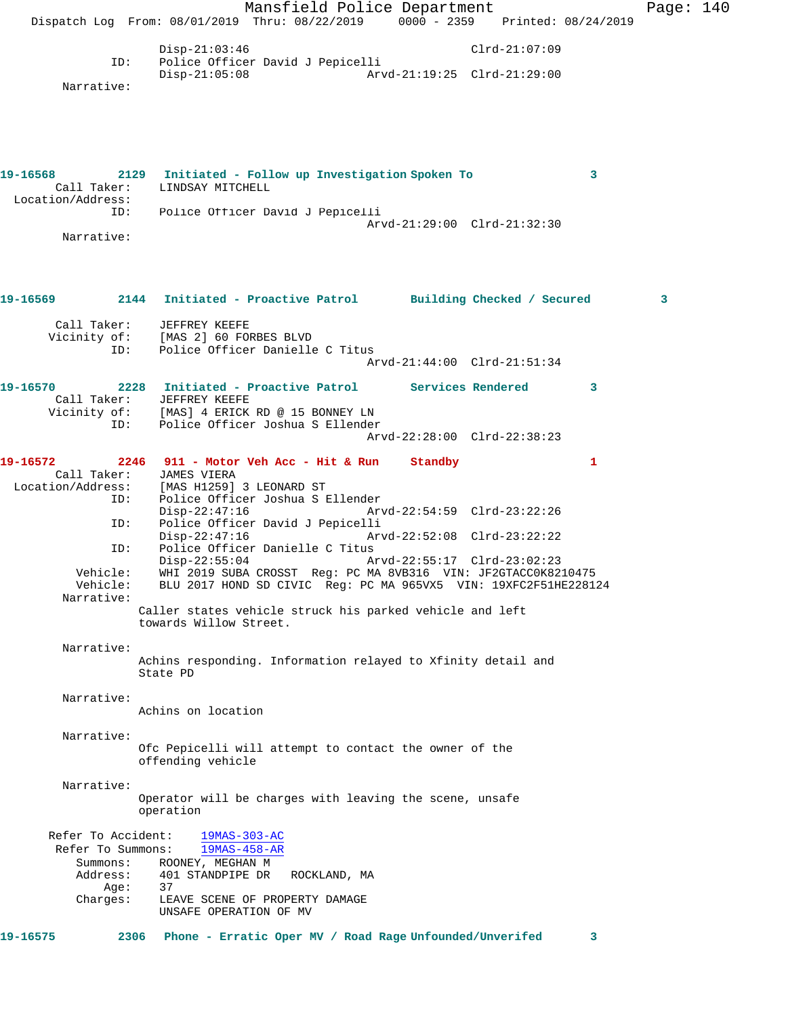|                                                                                                                   | Dispatch Log From: 08/01/2019 Thru: 08/22/2019 0000 - 2359 Printed: 08/24/2019                                                                             | Mansfield Police Department                                                                                                                                                                                                                                                                             |                                                                                           |                 |   | Page: 140 |  |
|-------------------------------------------------------------------------------------------------------------------|------------------------------------------------------------------------------------------------------------------------------------------------------------|---------------------------------------------------------------------------------------------------------------------------------------------------------------------------------------------------------------------------------------------------------------------------------------------------------|-------------------------------------------------------------------------------------------|-----------------|---|-----------|--|
| ID:<br>Narrative:                                                                                                 | $Disp-21:03:46$<br>$Disp-21:05:08$                                                                                                                         | Police Officer David J Pepicelli                                                                                                                                                                                                                                                                        |                                                                                           | $Clrd-21:07:09$ |   |           |  |
| 19-16568<br>Call Taker:<br>Location/Address:<br>ID:<br>Narrative:                                                 | 2129 Initiated - Follow up Investigation Spoken To<br>LINDSAY MITCHELL                                                                                     | Police Officer David J Pepicelli                                                                                                                                                                                                                                                                        | Arvd-21:29:00 Clrd-21:32:30                                                               |                 | 3 |           |  |
| 19-16569 2144 Initiated - Proactive Patrol Building Checked / Secured                                             |                                                                                                                                                            |                                                                                                                                                                                                                                                                                                         |                                                                                           |                 |   | 3         |  |
| ID:                                                                                                               | Call Taker: JEFFREY KEEFE<br>Vicinity of: [MAS 2] 60 FORBES BLVD                                                                                           | Police Officer Danielle C Titus                                                                                                                                                                                                                                                                         | Arvd-21:44:00 Clrd-21:51:34                                                               |                 |   |           |  |
| ID:                                                                                                               | 2228 Initiated - Proactive Patrol Services Rendered<br>Call Taker: JEFFREY KEEFE<br>Vicinity of: [MAS] 4 ERICK RD @ 15 BONNEY LN                           | Police Officer Joshua S Ellender                                                                                                                                                                                                                                                                        | Arvd-22:28:00 Clrd-22:38:23                                                               |                 | 3 |           |  |
| 19-16572<br>Location/Address: [MAS H1259] 3 LEONARD ST<br>ID:<br>ID:<br>ID:<br>Vehicle:<br>Vehicle:<br>Narrative: | 2246 911 - Motor Veh Acc - Hit & Run Standby<br>Call Taker: JAMES VIERA<br>$Disp-22:47:16$<br>$Disp-22:47:16$<br>$Disp-22:55:04$<br>towards Willow Street. | Police Officer Joshua S Ellender<br>Police Officer David J Pepicelli<br>Police Officer Danielle C Titus<br>WHI 2019 SUBA CROSST Reg: PC MA 8VB316 VIN: JF2GTACC0K8210475<br>BLU 2017 HOND SD CIVIC Req: PC MA 965VX5 VIN: 19XFC2F51HE228124<br>Caller states vehicle struck his parked vehicle and left | Arvd-22:54:59 Clrd-23:22:26<br>Arvd-22:52:08 Clrd-23:22:22<br>Arvd-22:55:17 Clrd-23:02:23 |                 | 1 |           |  |
| Narrative:<br>Narrative:                                                                                          | State PD                                                                                                                                                   | Achins responding. Information relayed to Xfinity detail and                                                                                                                                                                                                                                            |                                                                                           |                 |   |           |  |
| Narrative:                                                                                                        | Achins on location<br>offending vehicle                                                                                                                    | Ofc Pepicelli will attempt to contact the owner of the                                                                                                                                                                                                                                                  |                                                                                           |                 |   |           |  |
| Narrative:                                                                                                        | operation                                                                                                                                                  | Operator will be charges with leaving the scene, unsafe                                                                                                                                                                                                                                                 |                                                                                           |                 |   |           |  |
| Refer To Accident:<br>Refer To Summons:<br>Summons:<br>Address:<br>Age:<br>Charges:                               | $19MAS-303-AC$<br>$19MAS-458-AR$<br>ROONEY, MEGHAN M<br>401 STANDPIPE DR<br>37<br>UNSAFE OPERATION OF MV                                                   | ROCKLAND, MA<br>LEAVE SCENE OF PROPERTY DAMAGE                                                                                                                                                                                                                                                          |                                                                                           |                 |   |           |  |
| 19-16575<br>2306                                                                                                  |                                                                                                                                                            | Phone - Erratic Oper MV / Road Rage Unfounded/Unverifed                                                                                                                                                                                                                                                 |                                                                                           |                 | 3 |           |  |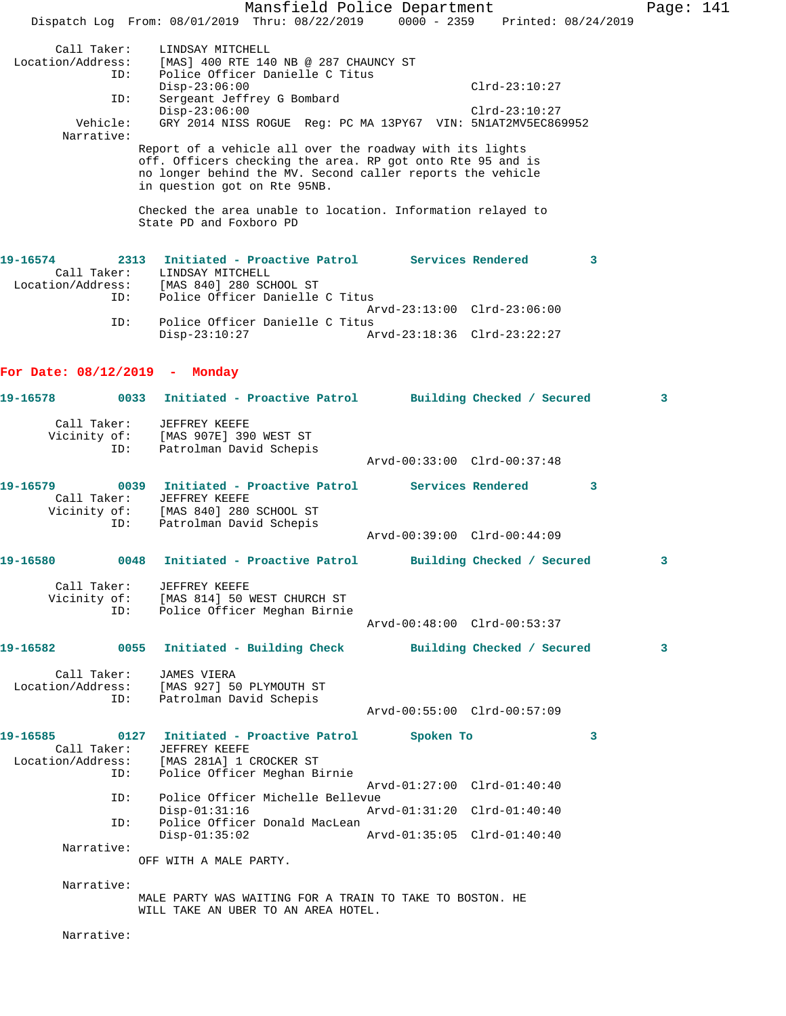Mansfield Police Department Page: 141 Dispatch Log From: 08/01/2019 Thru: 08/22/2019 0000 - 2359 Printed: 08/24/2019 Call Taker: LINDSAY MITCHELL Location/Address: [MAS] 400 RTE 140 NB @ 287 CHAUNCY ST ID: Police Officer Danielle C Titus Disp-23:06:00 Clrd-23:10:27 ID: Sergeant Jeffrey G Bombard Disp-23:06:00 Clrd-23:10:27 Vehicle: GRY 2014 NISS ROGUE Reg: PC MA 13PY67 VIN: 5N1AT2MV5EC869952 Narrative: Report of a vehicle all over the roadway with its lights off. Officers checking the area. RP got onto Rte 95 and is no longer behind the MV. Second caller reports the vehicle in question got on Rte 95NB. Checked the area unable to location. Information relayed to State PD and Foxboro PD **19-16574 2313 Initiated - Proactive Patrol Services Rendered 3**  Call Taker: LINDSAY MITCHELL Location/Address: [MAS 840] 280 SCHOOL ST ID: Police Officer Danielle C Titus Arvd-23:13:00 Clrd-23:06:00 ID: Police Officer Danielle C Titus Disp-23:10:27 Arvd-23:18:36 Clrd-23:22:27 **For Date: 08/12/2019 - Monday 19-16578 0033 Initiated - Proactive Patrol Building Checked / Secured 3** Call Taker: JEFFREY KEEFE Vicinity of: [MAS 907E] 390 WEST ST ID: Patrolman David Schepis Arvd-00:33:00 Clrd-00:37:48 **19-16579 0039 Initiated - Proactive Patrol Services Rendered 3**  Call Taker: JEFFREY KEEFE Vicinity of: [MAS 840] 280 SCHOOL ST ID: Patrolman David Schepis Arvd-00:39:00 Clrd-00:44:09 **19-16580 0048 Initiated - Proactive Patrol Building Checked / Secured 3** Call Taker: JEFFREY KEEFE Vicinity of: [MAS 814] 50 WEST CHURCH ST ID: Police Officer Meghan Birnie Arvd-00:48:00 Clrd-00:53:37 **19-16582 0055 Initiated - Building Check Building Checked / Secured 3** Call Taker: JAMES VIERA Location/Address: [MAS 927] 50 PLYMOUTH ST ID: Patrolman David Schepis Arvd-00:55:00 Clrd-00:57:09 **19-16585 0127 Initiated - Proactive Patrol Spoken To 3**  Call Taker: JEFFREY KEEFE Location/Address: [MAS 281A] 1 CROCKER ST ID: Police Officer Meghan Birnie Arvd-01:27:00 Clrd-01:40:40 ID: Police Officer Michelle Bellevue Disp-01:31:16 Arvd-01:31:20 Clrd-01:40:40 ID: Police Officer Donald MacLean Disp-01:35:02 Arvd-01:35:05 Clrd-01:40:40 Narrative: OFF WITH A MALE PARTY. Narrative: MALE PARTY WAS WAITING FOR A TRAIN TO TAKE TO BOSTON. HE WILL TAKE AN UBER TO AN AREA HOTEL. Narrative: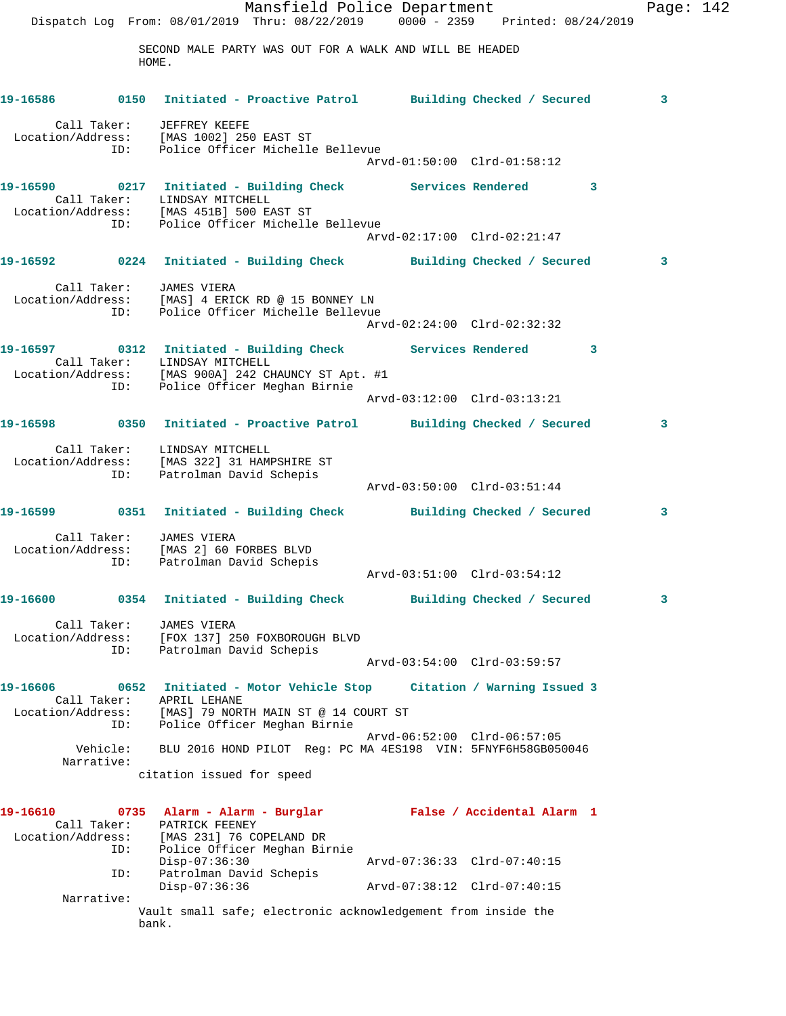Mansfield Police Department Fage: 142 Dispatch Log From: 08/01/2019 Thru: 08/22/2019 0000 - 2359 Printed: 08/24/2019 SECOND MALE PARTY WAS OUT FOR A WALK AND WILL BE HEADED HOME. **19-16586 0150 Initiated - Proactive Patrol Building Checked / Secured 3** Call Taker: JEFFREY KEEFE Location/Address: [MAS 1002] 250 EAST ST ID: Police Officer Michelle Bellevue Arvd-01:50:00 Clrd-01:58:12 **19-16590 0217 Initiated - Building Check Services Rendered 3**  Call Taker: LINDSAY MITCHELL Location/Address: [MAS 451B] 500 EAST ST ID: Police Officer Michelle Bellevue Arvd-02:17:00 Clrd-02:21:47 **19-16592 0224 Initiated - Building Check Building Checked / Secured 3** Call Taker: JAMES VIERA Location/Address: [MAS] 4 ERICK RD @ 15 BONNEY LN ID: Police Officer Michelle Bellevue Arvd-02:24:00 Clrd-02:32:32 **19-16597 0312 Initiated - Building Check Services Rendered 3**  Call Taker: LINDSAY MITCHELL Location/Address: [MAS 900A] 242 CHAUNCY ST Apt. #1 ID: Police Officer Meghan Birnie Arvd-03:12:00 Clrd-03:13:21 **19-16598 0350 Initiated - Proactive Patrol Building Checked / Secured 3** Call Taker: LINDSAY MITCHELL Location/Address: [MAS 322] 31 HAMPSHIRE ST ID: Patrolman David Schepis Arvd-03:50:00 Clrd-03:51:44 **19-16599 0351 Initiated - Building Check Building Checked / Secured 3** Call Taker: JAMES VIERA Location/Address: [MAS 2] 60 FORBES BLVD ID: Patrolman David Schepis Arvd-03:51:00 Clrd-03:54:12 **19-16600 0354 Initiated - Building Check Building Checked / Secured 3** Call Taker: JAMES VIERA Location/Address: [FOX 137] 250 FOXBOROUGH BLVD ID: Patrolman David Schepis Arvd-03:54:00 Clrd-03:59:57 **19-16606 0652 Initiated - Motor Vehicle Stop Citation / Warning Issued 3**  Call Taker: APRIL LEHANE Location/Address: [MAS] 79 NORTH MAIN ST @ 14 COURT ST ID: Police Officer Meghan Birnie Arvd-06:52:00 Clrd-06:57:05 Vehicle: BLU 2016 HOND PILOT Reg: PC MA 4ES198 VIN: 5FNYF6H58GB050046 Narrative: citation issued for speed **19-16610 0735 Alarm - Alarm - Burglar False / Accidental Alarm 1**  Call Taker: PATRICK FEENEY Location/Address: [MAS 231] 76 COPELAND DR ID: Police Officer Meghan Birnie Disp-07:36:30 Arvd-07:36:33 Clrd-07:40:15 ID: Patrolman David Schepis Disp-07:36:36 Arvd-07:38:12 Clrd-07:40:15 Narrative: Vault small safe; electronic acknowledgement from inside the bank.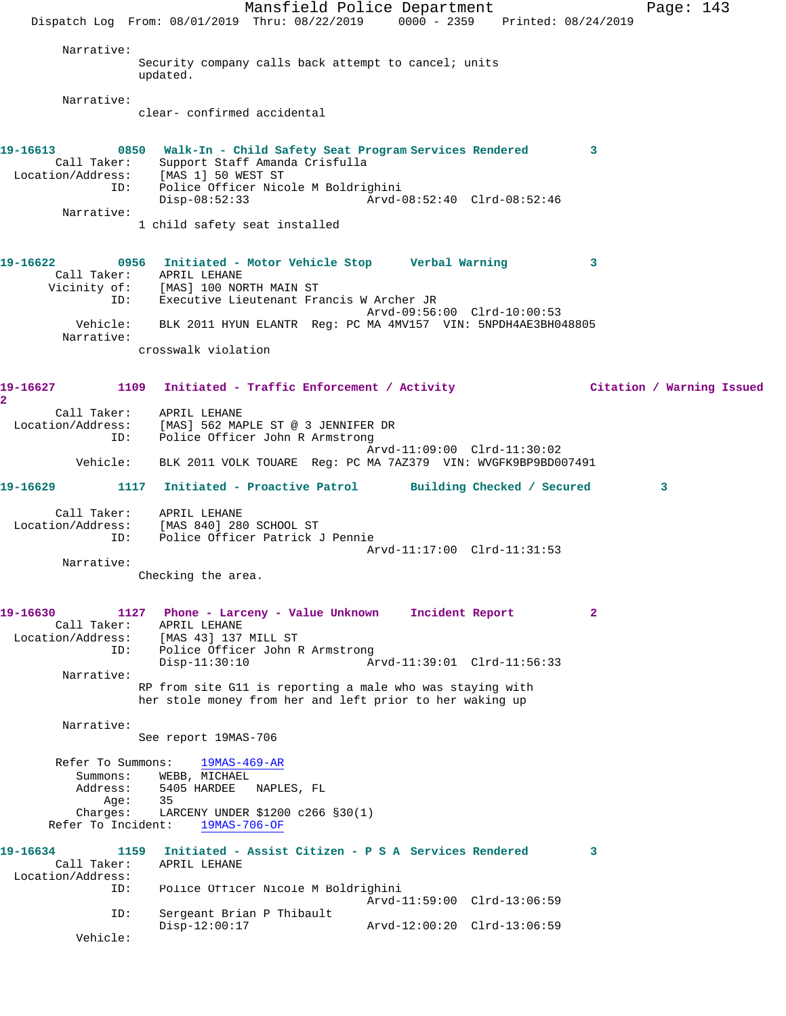Mansfield Police Department Page: 143 Dispatch Log From: 08/01/2019 Thru: 08/22/2019 0000 - 2359 Printed: 08/24/2019 Narrative: Security company calls back attempt to cancel; units updated. Narrative: clear- confirmed accidental **19-16613 0850 Walk-In - Child Safety Seat Program Services Rendered 3**  Call Taker: Support Staff Amanda Crisfulla Location/Address: [MAS 1] 50 WEST ST ID: Police Officer Nicole M Boldrighini<br>Disp-08:52:33 Arvd-0 Disp-08:52:33 Arvd-08:52:40 Clrd-08:52:46 Narrative: 1 child safety seat installed **19-16622 0956 Initiated - Motor Vehicle Stop Verbal Warning 3**  Call Taker: APRIL LEHANE Vicinity of: [MAS] 100 NORTH MAIN ST ID: Executive Lieutenant Francis W Archer JR Arvd-09:56:00 Clrd-10:00:53 Vehicle: BLK 2011 HYUN ELANTR Reg: PC MA 4MV157 VIN: 5NPDH4AE3BH048805 Narrative: crosswalk violation **19-16627 1109 Initiated - Traffic Enforcement / Activity Citation / Warning Issued 2**  Call Taker: APRIL LEHANE Location/Address: [MAS] 562 MAPLE ST @ 3 JENNIFER DR ID: Police Officer John R Armstrong Arvd-11:09:00 Clrd-11:30:02 Vehicle: BLK 2011 VOLK TOUARE Reg: PC MA 7AZ379 VIN: WVGFK9BP9BD007491 **19-16629 1117 Initiated - Proactive Patrol Building Checked / Secured 3** Call Taker: APRIL LEHANE Location/Address: [MAS 840] 280 SCHOOL ST ID: Police Officer Patrick J Pennie Arvd-11:17:00 Clrd-11:31:53 Narrative: Checking the area. **19-16630 1127 Phone - Larceny - Value Unknown Incident Report 2**  Call Taker: APRIL LEHANE Location/Address: [MAS 43] 137 MILL ST ID: Police Officer John R Armstrong Disp-11:30:10 Arvd-11:39:01 Clrd-11:56:33 Narrative: RP from site G11 is reporting a male who was staying with her stole money from her and left prior to her waking up Narrative: See report 19MAS-706 Refer To Summons: 19MAS-469-AR Summons: WEBB, MICHAEL Address: 5405 HARDEE NAPLES, FL Age: 35<br>Charges: LAR LARCENY UNDER \$1200 c266 §30(1) Refer To Incident: 19MAS-706-OF **19-16634 1159 Initiated - Assist Citizen - P S A Services Rendered 3**  Call Taker: APRIL LEHANE Location/Address: ID: Police Officer Nicole M Boldrighini Arvd-11:59:00 Clrd-13:06:59 ID: Sergeant Brian P Thibault Disp-12:00:17 Arvd-12:00:20 Clrd-13:06:59 Vehicle: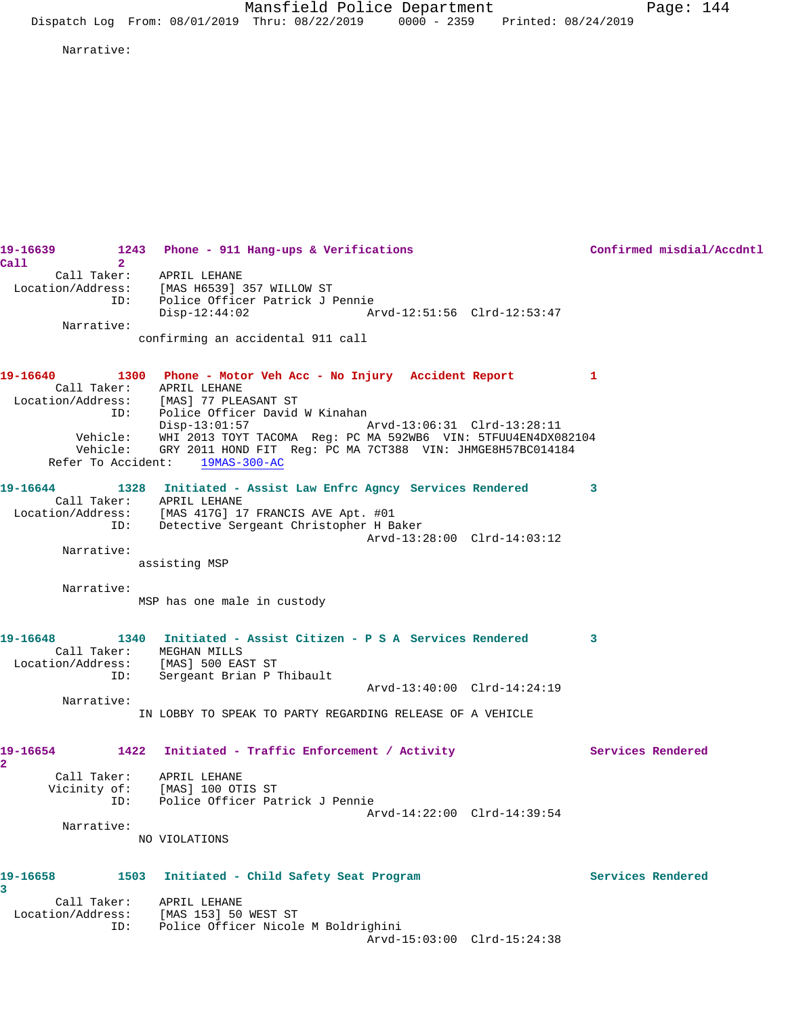Narrative:

**19-16639 1243 Phone - 911 Hang-ups & Verifications Confirmed misdial/Accdntl Call 2**  Call Taker: APRIL LEHANE Location/Address: [MAS H6539] 357 WILLOW ST ID: Police Officer Patrick J Pennie Disp-12:44:02 Arvd-12:51:56 Clrd-12:53:47 Narrative: confirming an accidental 911 call **19-16640 1300 Phone - Motor Veh Acc - No Injury Accident Report 1**  Call Taker: APRIL LEHANE Location/Address: [MAS] 77 PLEASANT ST ID: Police Officer David W Kinahan Disp-13:01:57 Arvd-13:06:31 Clrd-13:28:11 Vehicle: WHI 2013 TOYT TACOMA Reg: PC MA 592WB6 VIN: 5TFUU4EN4DX082104 Vehicle: GRY 2011 HOND FIT Reg: PC MA 7CT388 VIN: JHMGE8H57BC014184 Refer To Accident: 19MAS-300-AC **19-16644 1328 Initiated - Assist Law Enfrc Agncy Services Rendered 3**  Call Taker: APRIL LEHANE Location/Address: [MAS 417G] 17 FRANCIS AVE Apt. #01 ID: Detective Sergeant Christopher H Baker Arvd-13:28:00 Clrd-14:03:12 Narrative: assisting MSP Narrative: MSP has one male in custody **19-16648 1340 Initiated - Assist Citizen - P S A Services Rendered 3**  Call Taker: MEGHAN MILLS Location/Address: [MAS] 500 EAST ST ID: Sergeant Brian P Thibault Arvd-13:40:00 Clrd-14:24:19 Narrative: IN LOBBY TO SPEAK TO PARTY REGARDING RELEASE OF A VEHICLE **19-16654 1422 Initiated - Traffic Enforcement / Activity Services Rendered 2**  Call Taker: APRIL LEHANE Vicinity of: [MAS] 100 OTIS ST ID: Police Officer Patrick J Pennie Arvd-14:22:00 Clrd-14:39:54 Narrative: NO VIOLATIONS **19-16658 1503 Initiated - Child Safety Seat Program Services Rendered 3**  Call Taker: APRIL LEHANE Location/Address: [MAS 153] 50 WEST ST ID: Police Officer Nicole M Boldrighini Arvd-15:03:00 Clrd-15:24:38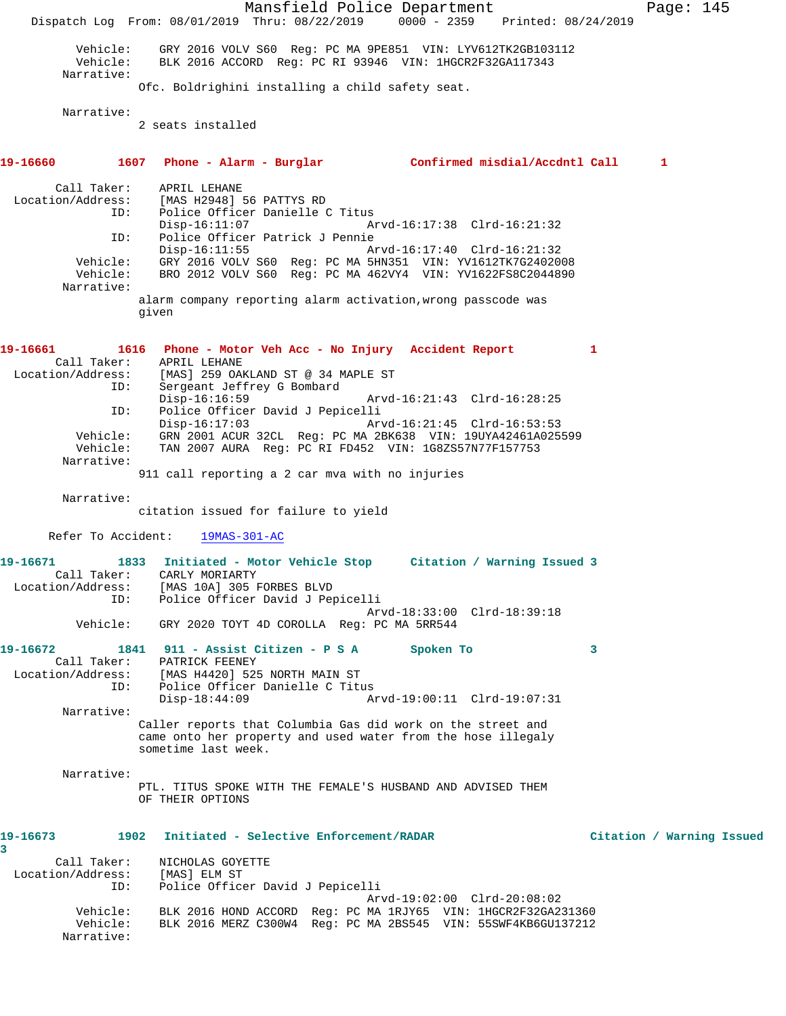Mansfield Police Department Page: 145 Dispatch Log From: 08/01/2019 Thru: 08/22/2019 0000 - 2359 Printed: 08/24/2019 Vehicle: GRY 2016 VOLV S60 Reg: PC MA 9PE851 VIN: LYV612TK2GB103112<br>Vehicle: BLK 2016 ACCORD Reg: PC RI 93946 VIN: 1HGCR2F32GA117343 BLK 2016 ACCORD Reg: PC RI 93946 VIN: 1HGCR2F32GA117343 Narrative: Ofc. Boldrighini installing a child safety seat. Narrative: 2 seats installed **19-16660 1607 Phone - Alarm - Burglar Confirmed misdial/Accdntl Call 1** Call Taker: APRIL LEHANE Location/Address: [MAS H2948] 56 PATTYS RD ID: Police Officer Danielle C Titus Disp-16:11:07 Arvd-16:17:38 Clrd-16:21:32 ID: Police Officer Patrick J Pennie Disp-16:11:55 Arvd-16:17:40 Clrd-16:21:32 Vehicle: GRY 2016 VOLV S60 Reg: PC MA 5HN351 VIN: YV1612TK7G2402008 Vehicle: BRO 2012 VOLV S60 Reg: PC MA 462VY4 VIN: YV1622FS8C2044890 Narrative: alarm company reporting alarm activation,wrong passcode was given **19-16661 1616 Phone - Motor Veh Acc - No Injury Accident Report 1**  Call Taker: APRIL LEHANE Location/Address: [MAS] 259 OAKLAND ST @ 34 MAPLE ST Sergeant Jeffrey G Bombard<br>Disp-16:16:59 Arvd-16:21:43 Clrd-16:28:25 ID: Police Officer David J Pepicelli Disp-16:17:03 Arvd-16:21:45 Clrd-16:53:53 Vehicle: GRN 2001 ACUR 32CL Reg: PC MA 2BK638 VIN: 19UYA42461A025599 Vehicle: TAN 2007 AURA Reg: PC RI FD452 VIN: 1G8ZS57N77F157753 Narrative: 911 call reporting a 2 car mva with no injuries Narrative: citation issued for failure to yield Refer To Accident: 19MAS-301-AC **19-16671 1833 Initiated - Motor Vehicle Stop Citation / Warning Issued 3**  Call Taker: CARLY MORIARTY Location/Address: [MAS 10A] 305 FORBES BLVD ID: Police Officer David J Pepicelli Arvd-18:33:00 Clrd-18:39:18 Vehicle: GRY 2020 TOYT 4D COROLLA Reg: PC MA 5RR544 **19-16672 1841 911 - Assist Citizen - P S A Spoken To 3**  Call Taker: PATRICK FEENEY Location/Address: [MAS H4420] 525 NORTH MAIN ST ID: Police Officer Danielle C Titus<br>Disp-18:44:09 Ar Disp-18:44:09 Arvd-19:00:11 Clrd-19:07:31 Narrative: Caller reports that Columbia Gas did work on the street and came onto her property and used water from the hose illegaly sometime last week. Narrative: PTL. TITUS SPOKE WITH THE FEMALE'S HUSBAND AND ADVISED THEM OF THEIR OPTIONS **19-16673 1902 Initiated - Selective Enforcement/RADAR Citation / Warning Issued 3**  Call Taker: NICHOLAS GOYETTE Location/Address: [MAS] ELM ST ID: Police Officer David J Pepicelli Arvd-19:02:00 Clrd-20:08:02 Vehicle: BLK 2016 HOND ACCORD Reg: PC MA 1RJY65 VIN: 1HGCR2F32GA231360 Vehicle: BLK 2016 MERZ C300W4 Reg: PC MA 2BS545 VIN: 55SWF4KB6GU137212 Narrative: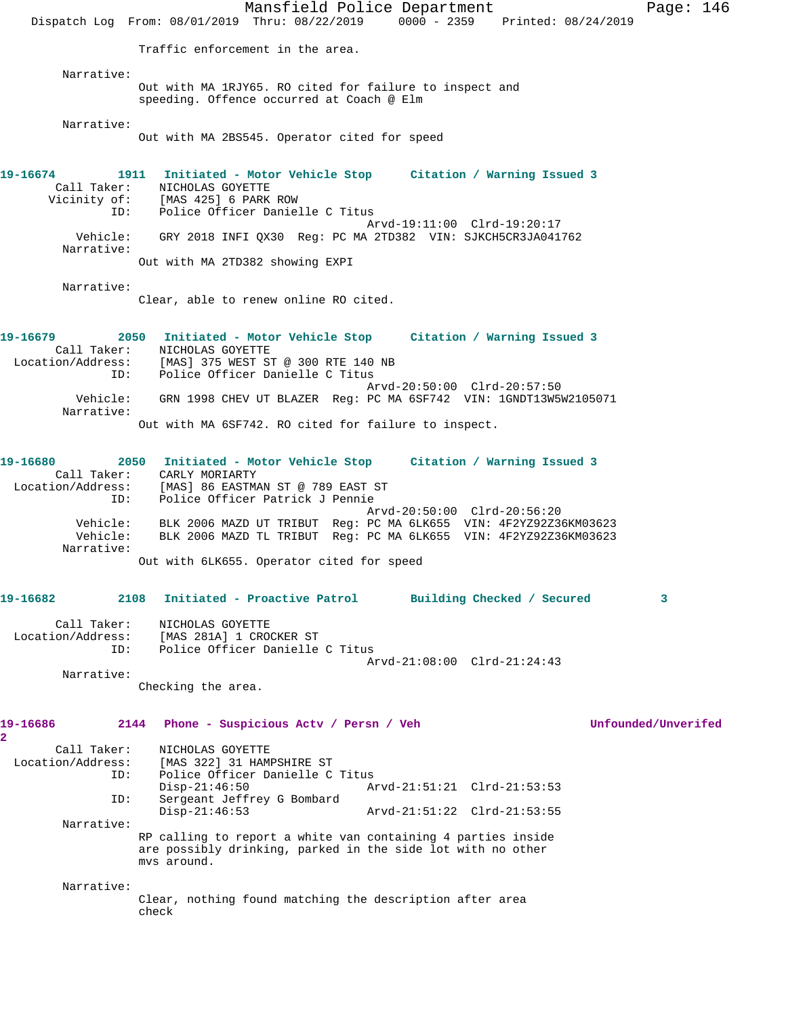Mansfield Police Department Page: 146 Dispatch Log From: 08/01/2019 Thru: 08/22/2019 0000 - 2359 Printed: 08/24/2019 Traffic enforcement in the area. Narrative: Out with MA 1RJY65. RO cited for failure to inspect and speeding. Offence occurred at Coach @ Elm Narrative: Out with MA 2BS545. Operator cited for speed **19-16674 1911 Initiated - Motor Vehicle Stop Citation / Warning Issued 3**  Call Taker: NICHOLAS GOYETTE Vicinity of: [MAS 425] 6 PARK ROW ID: Police Officer Danielle C Titus Arvd-19:11:00 Clrd-19:20:17 Vehicle: GRY 2018 INFI QX30 Reg: PC MA 2TD382 VIN: SJKCH5CR3JA041762 Narrative: Out with MA 2TD382 showing EXPI Narrative: Clear, able to renew online RO cited. **19-16679 2050 Initiated - Motor Vehicle Stop Citation / Warning Issued 3**  Call Taker: NICHOLAS GOYETTE Location/Address: [MAS] 375 WEST ST @ 300 RTE 140 NB ID: Police Officer Danielle C Titus Arvd-20:50:00 Clrd-20:57:50 Vehicle: GRN 1998 CHEV UT BLAZER Reg: PC MA 6SF742 VIN: 1GNDT13W5W2105071 Narrative: Out with MA 6SF742. RO cited for failure to inspect. **19-16680 2050 Initiated - Motor Vehicle Stop Citation / Warning Issued 3**  Call Taker: CARLY MORIARTY Location/Address: [MAS] 86 EASTMAN ST @ 789 EAST ST ID: Police Officer Patrick J Pennie Arvd-20:50:00 Clrd-20:56:20 Vehicle: BLK 2006 MAZD UT TRIBUT Reg: PC MA 6LK655 VIN: 4F2YZ92Z36KM03623 Vehicle: BLK 2006 MAZD TL TRIBUT Reg: PC MA 6LK655 VIN: 4F2YZ92Z36KM03623 Narrative: Out with 6LK655. Operator cited for speed **19-16682 2108 Initiated - Proactive Patrol Building Checked / Secured 3** Call Taker: NICHOLAS GOYETTE Location/Address: [MAS 281A] 1 CROCKER ST<br>ID: Police Officer Danielle Police Officer Danielle C Titus Arvd-21:08:00 Clrd-21:24:43 Narrative: Checking the area. **19-16686 2144 Phone - Suspicious Actv / Persn / Veh Unfounded/Unverifed 2**  Call Taker: NICHOLAS GOYETTE Location/Address: [MAS 322] 31 HAMPSHIRE ST ID: Police Officer Danielle C Titus Disp-21:46:50 Arvd-21:51:21 Clrd-21:53:53<br>ID: Sergeant Jeffrey G Bombard Sergeant Jeffrey G Bombard Disp-21:46:53 Arvd-21:51:22 Clrd-21:53:55 Narrative: RP calling to report a white van containing 4 parties inside are possibly drinking, parked in the side lot with no other mvs around. Narrative: Clear, nothing found matching the description after area check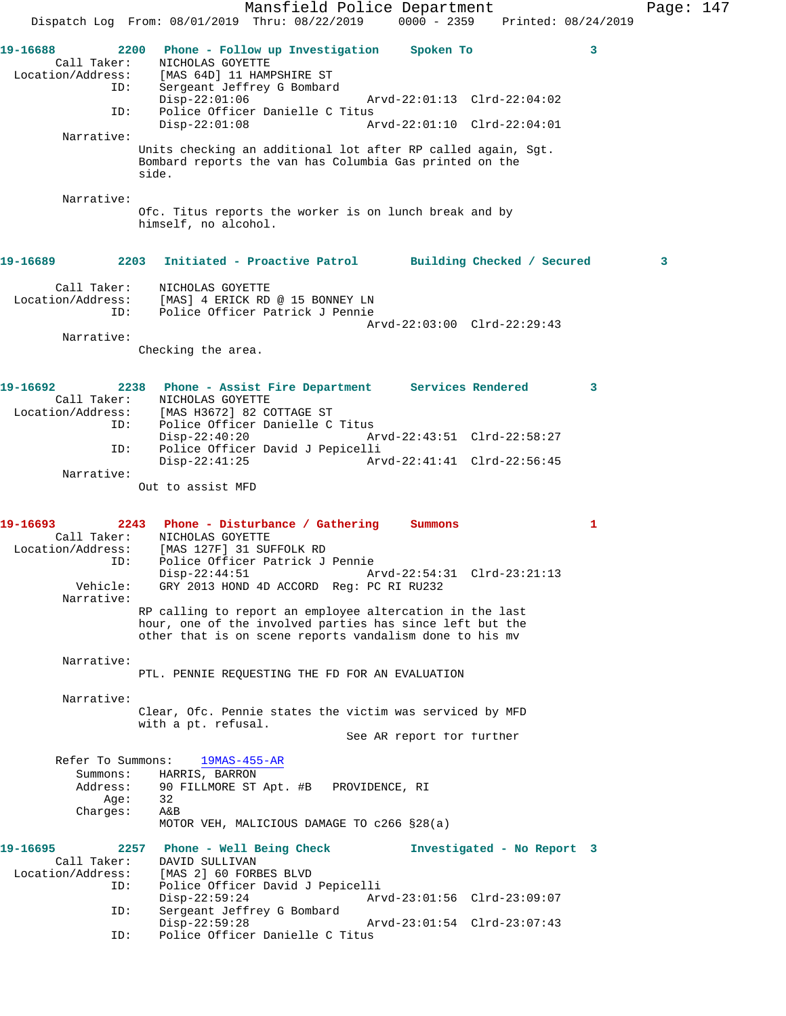Mansfield Police Department Page: 147 Dispatch Log From: 08/01/2019 Thru: 08/22/2019 0000 - 2359 Printed: 08/24/2019 **19-16688 2200 Phone - Follow up Investigation Spoken To 3**  Call Taker: <br> NICHOLAS GOYETTE<br>
Location/Address: [MAS 64D] 11 HAM! [MAS 64D] 11 HAMPSHIRE ST ID: Sergeant Jeffrey G Bombard Disp-22:01:06 Arvd-22:01:13 Clrd-22:04:02<br>TD: Police Officer Danielle C Titus Police Officer Danielle C Titus<br>Disp-22:01:08 Ar Disp-22:01:08 Arvd-22:01:10 Clrd-22:04:01 Narrative: Units checking an additional lot after RP called again, Sgt. Bombard reports the van has Columbia Gas printed on the side. Narrative: Ofc. Titus reports the worker is on lunch break and by himself, no alcohol. **19-16689 2203 Initiated - Proactive Patrol Building Checked / Secured 3** Call Taker: NICHOLAS GOYETTE Location/Address: [MAS] 4 ERICK RD @ 15 BONNEY LN ID: Police Officer Patrick J Pennie Arvd-22:03:00 Clrd-22:29:43 Narrative: Checking the area. **19-16692 2238 Phone - Assist Fire Department Services Rendered 3**  Call Taker: NICHOLAS GOYETTE Location/Address: [MAS H3672] 82 COTTAGE ST ID: Police Officer Danielle C Titus<br>Disp-22:40:20 A: Disp-22:40:20 Arvd-22:43:51 Clrd-22:58:27 ID: Police Officer David J Pepicelli Disp-22:41:25 Arvd-22:41:41 Clrd-22:56:45 Narrative: Out to assist MFD **19-16693 2243 Phone - Disturbance / Gathering Summons 1**  Call Taker: NICHOLAS GOYETTE Location/Address: [MAS 127F] 31 SUFFOLK RD ID: Police Officer Patrick J Pennie Disp-22:44:51 Arvd-22:54:31 Clrd-23:21:13<br>Vehicle: GRY 2013 HOND 4D ACCORD Req: PC RI RU232 GRY 2013 HOND 4D ACCORD Reg: PC RI RU232 Narrative: RP calling to report an employee altercation in the last hour, one of the involved parties has since left but the other that is on scene reports vandalism done to his mv Narrative: PTL. PENNIE REQUESTING THE FD FOR AN EVALUATION Narrative: Clear, Ofc. Pennie states the victim was serviced by MFD with a pt. refusal. See AR report for further Refer To Summons: 19MAS-455-AR Summons: HARRIS, BARRON<br>Address: 90 FILLMORE ST 90 FILLMORE ST Apt. #B PROVIDENCE, RI<br>32 Age: Charges: A&B MOTOR VEH, MALICIOUS DAMAGE TO c266 §28(a) **19-16695 2257 Phone - Well Being Check Investigated - No Report 3**  Call Taker: DAVID SULLIVAN<br>Location/Address: [MAS 2] 60 FORE ess: [MAS 2] 60 FORBES BLVD<br>ID: Police Officer David J Police Officer David J Pepicelli Disp-22:59:24 Arvd-23:01:56 Clrd-23:09:07<br>ID: Sergeant Jeffrey G Bombard Sergeant Jeffrey G Bombard<br>Disp-22:59:28 Disp-22:59:28 Arvd-23:01:54 Clrd-23:07:43<br>ID: Police Officer Danielle C Titus Police Officer Danielle C Titus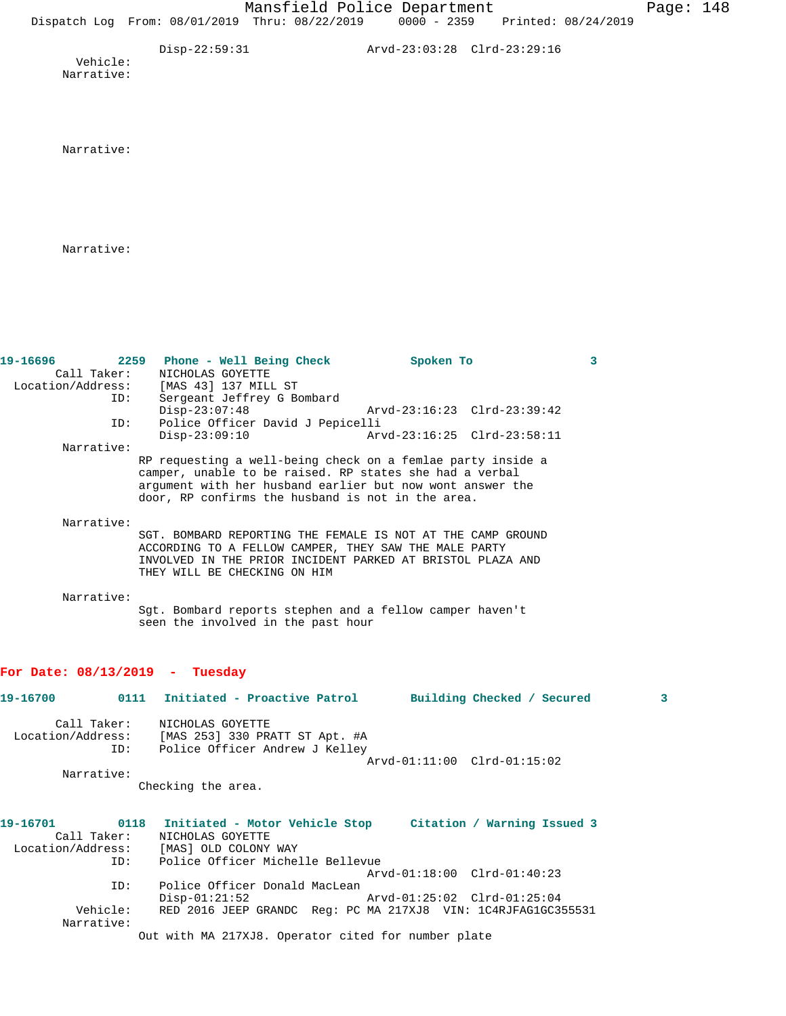Disp-22:59:31 Arvd-23:03:28 Clrd-23:29:16 Vehicle: Narrative:

Narrative:

Narrative:

| 19-16696                         | 2259<br>Phone - Well Being Check                                                                                                                                                                                                         | Spoken To                   | 3                               |
|----------------------------------|------------------------------------------------------------------------------------------------------------------------------------------------------------------------------------------------------------------------------------------|-----------------------------|---------------------------------|
| Call Taker:                      | NICHOLAS GOYETTE                                                                                                                                                                                                                         |                             |                                 |
|                                  | Location/Address: [MAS 43] 137 MILL ST                                                                                                                                                                                                   |                             |                                 |
| ID:                              | Sergeant Jeffrey G Bombard                                                                                                                                                                                                               |                             |                                 |
|                                  | $Disp-23:07:48$                                                                                                                                                                                                                          | Arvd-23:16:23 Clrd-23:39:42 |                                 |
| ID:                              | Police Officer David J Pepicelli                                                                                                                                                                                                         |                             |                                 |
|                                  | $Disp-23:09:10$                                                                                                                                                                                                                          | Arvd-23:16:25 Clrd-23:58:11 |                                 |
| Narrative:                       |                                                                                                                                                                                                                                          |                             |                                 |
|                                  | RP requesting a well-being check on a femlae party inside a<br>camper, unable to be raised. RP states she had a verbal<br>argument with her husband earlier but now wont answer the<br>door, RP confirms the husband is not in the area. |                             |                                 |
| Narrative:                       |                                                                                                                                                                                                                                          |                             |                                 |
|                                  | SGT. BOMBARD REPORTING THE FEMALE IS NOT AT THE CAMP GROUND                                                                                                                                                                              |                             |                                 |
|                                  | ACCORDING TO A FELLOW CAMPER, THEY SAW THE MALE PARTY                                                                                                                                                                                    |                             |                                 |
|                                  | INVOLVED IN THE PRIOR INCIDENT PARKED AT BRISTOL PLAZA AND                                                                                                                                                                               |                             |                                 |
|                                  | THEY WILL BE CHECKING ON HIM                                                                                                                                                                                                             |                             |                                 |
|                                  |                                                                                                                                                                                                                                          |                             |                                 |
| Narrative:                       |                                                                                                                                                                                                                                          |                             |                                 |
|                                  | Sgt. Bombard reports stephen and a fellow camper haven't                                                                                                                                                                                 |                             |                                 |
|                                  | seen the involved in the past hour                                                                                                                                                                                                       |                             |                                 |
|                                  |                                                                                                                                                                                                                                          |                             |                                 |
|                                  |                                                                                                                                                                                                                                          |                             |                                 |
| For Date: $08/13/2019$ - Tuesday |                                                                                                                                                                                                                                          |                             |                                 |
| 19-16700                         | Initiated - Proactive Patrol<br>0111                                                                                                                                                                                                     |                             | 3<br>Building Checked / Secured |
| Call Taker:                      | NICHOLAS GOYETTE                                                                                                                                                                                                                         |                             |                                 |
| Location/Address:                | [MAS 253] 330 PRATT ST Apt. #A                                                                                                                                                                                                           |                             |                                 |

Arvd-01:11:00 Clrd-01:15:02

 Narrative: Checking the area.

ID: Police Officer Andrew J Kelley

| 19-16701          | Citation / Warning Issued 3<br>Initiated - Motor Vehicle Stop<br>0118 |
|-------------------|-----------------------------------------------------------------------|
| Call Taker:       | NICHOLAS GOYETTE                                                      |
| Location/Address: | [MAS] OLD COLONY WAY                                                  |
| ID:               | Police Officer Michelle Bellevue                                      |
|                   | Arvd-01:18:00 Clrd-01:40:23                                           |
| ID:               | Police Officer Donald MacLean                                         |
|                   | $Disp-01:21:52$<br>Arvd-01:25:02 Clrd-01:25:04                        |
| Vehicle:          | RED 2016 JEEP GRANDC Req: PC MA 217XJ8 VIN: 1C4RJFAG1GC355531         |
| Narrative:        |                                                                       |
|                   | Out with MA 217XJ8. Operator cited for number plate                   |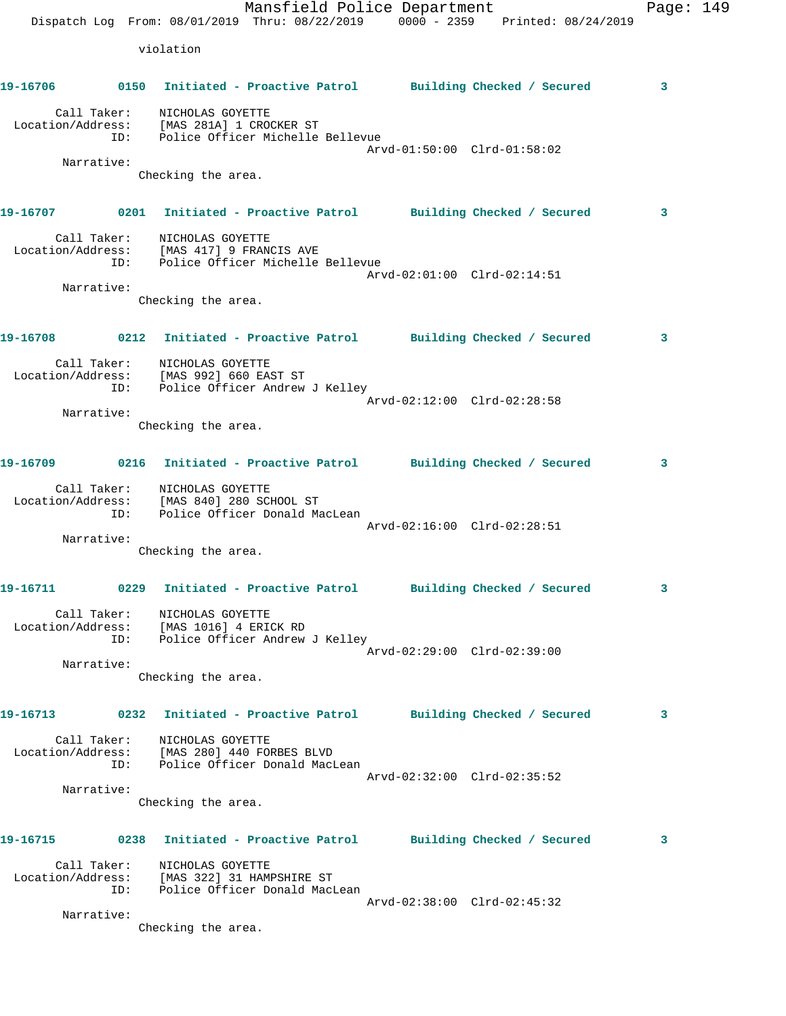Mansfield Police Department Fage: 149 Dispatch Log From: 08/01/2019 Thru: 08/22/2019 0000 - 2359 Printed: 08/24/2019 violation **19-16706 0150 Initiated - Proactive Patrol Building Checked / Secured 3** Call Taker: NICHOLAS GOYETTE Location/Address: [MAS 281A] 1 CROCKER ST ID: Police Officer Michelle Bellevue Arvd-01:50:00 Clrd-01:58:02 Narrative: Checking the area. **19-16707 0201 Initiated - Proactive Patrol Building Checked / Secured 3** Call Taker: NICHOLAS GOYETTE Location/Address: [MAS 417] 9 FRANCIS AVE ID: Police Officer Michelle Bellevue Arvd-02:01:00 Clrd-02:14:51 Narrative: Checking the area. **19-16708 0212 Initiated - Proactive Patrol Building Checked / Secured 3** Call Taker: NICHOLAS GOYETTE Location/Address: [MAS 992] 660 EAST ST ID: Police Officer Andrew J Kelley Arvd-02:12:00 Clrd-02:28:58 Narrative: Checking the area. **19-16709 0216 Initiated - Proactive Patrol Building Checked / Secured 3** Call Taker: NICHOLAS GOYETTE Location/Address: [MAS 840] 280 SCHOOL ST ID: Police Officer Donald MacLean Arvd-02:16:00 Clrd-02:28:51 Narrative: Checking the area. **19-16711 0229 Initiated - Proactive Patrol Building Checked / Secured 3** Call Taker: NICHOLAS GOYETTE Location/Address: [MAS 1016] 4 ERICK RD ID: Police Officer Andrew J Kelley Arvd-02:29:00 Clrd-02:39:00 Narrative: Checking the area. **19-16713 0232 Initiated - Proactive Patrol Building Checked / Secured 3** Call Taker: NICHOLAS GOYETTE Location/Address: [MAS 280] 440 FORBES BLVD ID: Police Officer Donald MacLean Arvd-02:32:00 Clrd-02:35:52 Narrative: Checking the area. **19-16715 0238 Initiated - Proactive Patrol Building Checked / Secured 3** Call Taker: NICHOLAS GOYETTE Location/Address: [MAS 322] 31 HAMPSHIRE ST ID: Police Officer Donald MacLean Arvd-02:38:00 Clrd-02:45:32 Narrative: Checking the area.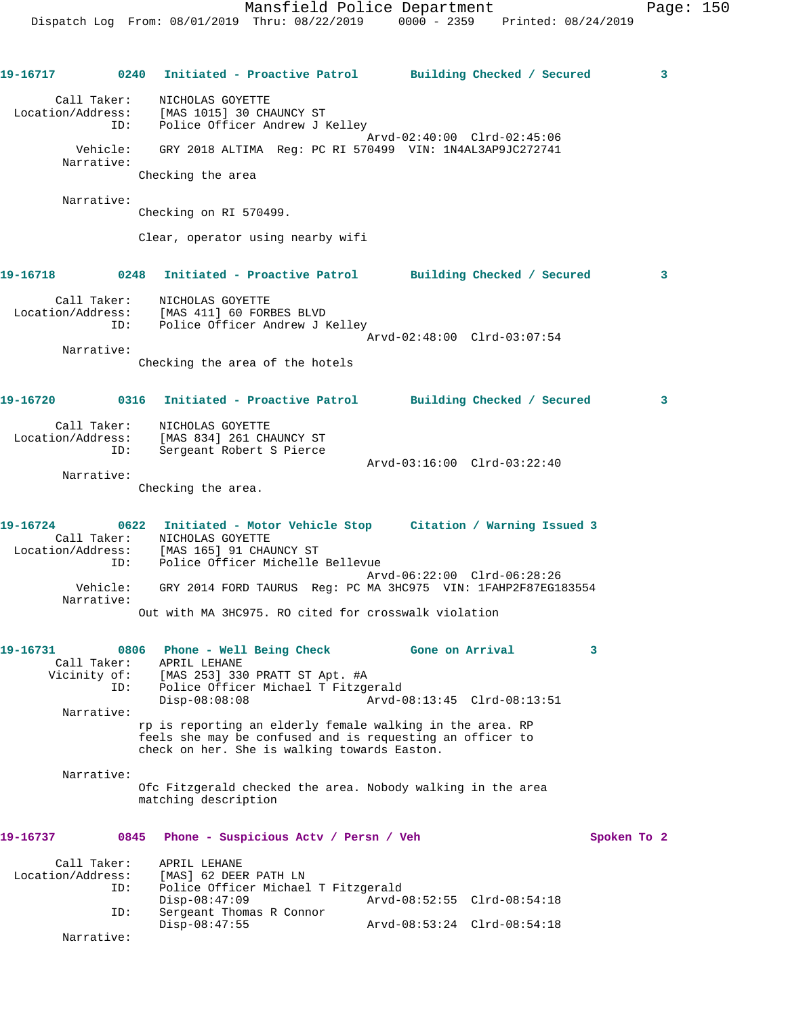**19-16717 0240 Initiated - Proactive Patrol Building Checked / Secured 3** Call Taker: NICHOLAS GOYETTE Location/Address: [MAS 1015] 30 CHAUNCY ST ID: Police Officer Andrew J Kelley Arvd-02:40:00 Clrd-02:45:06 Vehicle: GRY 2018 ALTIMA Reg: PC RI 570499 VIN: 1N4AL3AP9JC272741 Narrative: Checking the area Narrative: Checking on RI 570499. Clear, operator using nearby wifi **19-16718 0248 Initiated - Proactive Patrol Building Checked / Secured 3** Call Taker: NICHOLAS GOYETTE Location/Address: [MAS 411] 60 FORBES BLVD ID: Police Officer Andrew J Kelley Arvd-02:48:00 Clrd-03:07:54 Narrative: Checking the area of the hotels **19-16720 0316 Initiated - Proactive Patrol Building Checked / Secured 3** Call Taker: NICHOLAS GOYETTE Location/Address: [MAS 834] 261 CHAUNCY ST ID: Sergeant Robert S Pierce Arvd-03:16:00 Clrd-03:22:40 Narrative: Checking the area. **19-16724 0622 Initiated - Motor Vehicle Stop Citation / Warning Issued 3**  Call Taker: NICHOLAS GOYETTE Location/Address: [MAS 165] 91 CHAUNCY ST ID: Police Officer Michelle Bellevue Arvd-06:22:00 Clrd-06:28:26 Vehicle: GRY 2014 FORD TAURUS Reg: PC MA 3HC975 VIN: 1FAHP2F87EG183554 Narrative: Out with MA 3HC975. RO cited for crosswalk violation **19-16731 0806 Phone - Well Being Check Gone on Arrival 3**  Call Taker: APRIL LEHANE Vicinity of: [MAS 253] 330 PRATT ST Apt. #A ID: Police Officer Michael T Fitzgerald Disp-08:08:08 Arvd-08:13:45 Clrd-08:13:51 Narrative: rp is reporting an elderly female walking in the area. RP feels she may be confused and is requesting an officer to check on her. She is walking towards Easton. Narrative: Ofc Fitzgerald checked the area. Nobody walking in the area matching description **19-16737 0845 Phone - Suspicious Actv / Persn / Veh Spoken To 2** Call Taker: APRIL LEHANE Location/Address: [MAS] 62 DEER PATH LN Police Officer Michael T Fitzgerald Disp-08:47:09 Arvd-08:52:55 Clrd-08:54:18 ID: Sergeant Thomas R Connor Arvd-08:53:24 Clrd-08:54:18 Narrative: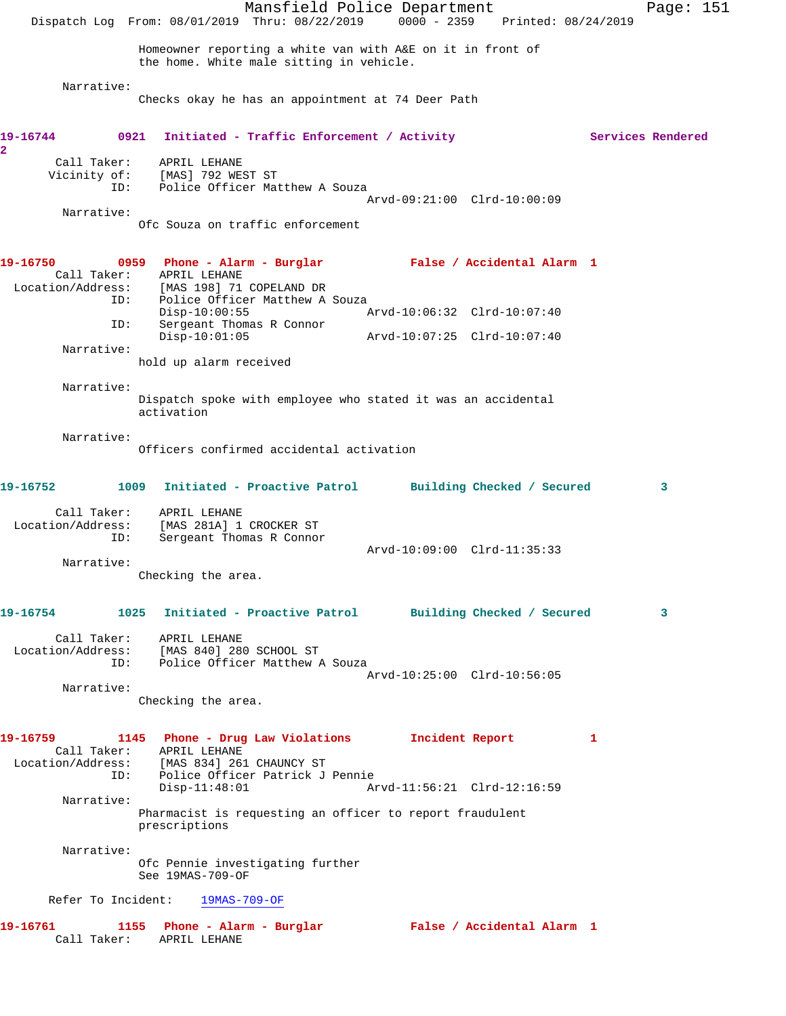Mansfield Police Department Page: 151 Dispatch Log From: 08/01/2019 Thru: 08/22/2019 0000 - 2359 Printed: 08/24/2019 Homeowner reporting a white van with A&E on it in front of the home. White male sitting in vehicle. Narrative: Checks okay he has an appointment at 74 Deer Path 19-16744 0921 Initiated - Traffic Enforcement / Activity **Services Rendered 2**  Call Taker: APRIL LEHANE Vicinity of: [MAS] 792 WEST ST OL: ITHOT IS NEW YOUR MATTLE POLICE Officer Matthew A Souza Arvd-09:21:00 Clrd-10:00:09 Narrative: Ofc Souza on traffic enforcement **19-16750 0959 Phone - Alarm - Burglar False / Accidental Alarm 1**  Call Taker: APRIL LEHANE Location/Address: [MAS 198] 71 COPELAND DR ID: Police Officer Matthew A Souza<br>Disp-10:00:55 Mrvd-10:06:32 Clrd-10:07:40 Disp-10:00:55 Arvd-10:06:32 Clrd-10:07:40 ID: Sergeant Thomas R Connor Disp-10:01:05 Arvd-10:07:25 Clrd-10:07:40 ID: Sergeand ...<br>Disp-10:01:05<br>Narrative: hold up alarm received Narrative: Dispatch spoke with employee who stated it was an accidental activation Narrative: Officers confirmed accidental activation **19-16752 1009 Initiated - Proactive Patrol Building Checked / Secured 3** Call Taker: APRIL LEHANE Location/Address: [MAS 281A] 1 CROCKER ST ID: Sergeant Thomas R Connor Arvd-10:09:00 Clrd-11:35:33 Narrative: Checking the area. **19-16754 1025 Initiated - Proactive Patrol Building Checked / Secured 3** Call Taker: APRIL LEHANE Location/Address: [MAS 840] 280 SCHOOL ST ID: Police Officer Matthew A Souza Arvd-10:25:00 Clrd-10:56:05 Narrative: Checking the area. **19-16759 1145 Phone - Drug Law Violations Incident Report 1**  Call Taker: APRIL LEHANE Location/Address: [MAS 834] 261 CHAUNCY ST ID: Police Officer Patrick J Pennie Arvd-11:56:21 Clrd-12:16:59 Narrative: Pharmacist is requesting an officer to report fraudulent prescriptions Narrative: Ofc Pennie investigating further See 19MAS-709-OF Refer To Incident: 19MAS-709-OF **19-16761 1155 Phone - Alarm - Burglar False / Accidental Alarm 1**  Call Taker: APRIL LEHANE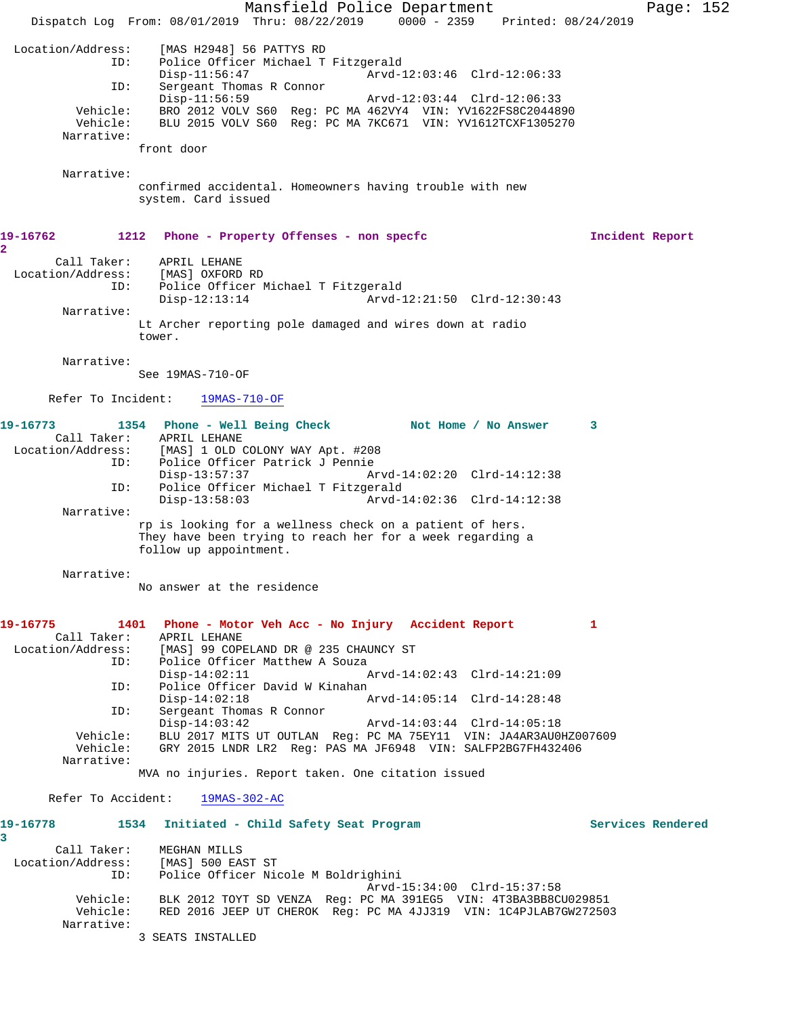Mansfield Police Department Page: 152 Dispatch Log From: 08/01/2019 Thru: 08/22/2019 0000 - 2359 Printed: 08/24/2019 Location/Address: [MAS H2948] 56 PATTYS RD Police Officer Michael T Fitzgerald<br>:-Disp-11:56:47 Arvd Disp-11:56:47 Arvd-12:03:46 Clrd-12:06:33<br>ID: Sergeant Thomas R Connor Sergeant Thomas R Connor<br>Disp-11:56:59 Disp-11:56:59 Arvd-12:03:44 Clrd-12:06:33 Vehicle: BRO 2012 VOLV S60 Reg: PC MA 462VY4 VIN: YV1622FS8C2044890 Vehicle: BLU 2015 VOLV S60 Reg: PC MA 7KC671 VIN: YV1612TCXF1305270 Narrative: front door Narrative: confirmed accidental. Homeowners having trouble with new system. Card issued **19-16762 1212 Phone - Property Offenses - non specfc Incident Report 2**  Call Taker: APRIL LEHANE Location/Address: [MAS] OXFORD RD ID: Police Officer Michael T Fitzgerald Arvd-12:21:50 Clrd-12:30:43 Narrative: Lt Archer reporting pole damaged and wires down at radio tower. Narrative: See 19MAS-710-OF Refer To Incident: 19MAS-710-OF **19-16773 1354 Phone - Well Being Check Not Home / No Answer 3**  Call Taker: APRIL LEHANE Location/Address: [MAS] 1 OLD COLONY WAY Apt. #208 ID: Police Officer Patrick J Pennie Disp-13:57:37 Arvd-14:02:20 Clrd-14:12:38<br>ID: Police Officer Michael T Fitzgerald Police Officer Michael T Fitzgerald<br>Disp-13:58:03 Arvd-1 Arvd-14:02:36 Clrd-14:12:38 Narrative: rp is looking for a wellness check on a patient of hers. They have been trying to reach her for a week regarding a follow up appointment. Narrative: No answer at the residence **19-16775 1401 Phone - Motor Veh Acc - No Injury Accident Report 1**  Call Taker: APRIL LEHANE<br>Location/Address: [MAS] 99 COPP [MAS] 99 COPELAND DR @ 235 CHAUNCY ST ess. [المسسطة عن المحمد العدم العدم العدم العدم العدم العدم العدم العدم العدم العدم العدم العدم العد<br>ID: Police Officer Matthew A Souza<br>I Disp-14:02:11 Arvd-14:02:43 Clrd-14:21:09 ID: Police Officer David W Kinahan Disp-14:02:18 Arvd-14:05:14 Clrd-14:28:48<br>ID: Sergeant Thomas R Connor Sergeant Thomas R Connor Disp-14:03:42 Arvd-14:03:44 Clrd-14:05:18 Vehicle: BLU 2017 MITS UT OUTLAN Reg: PC MA 75EY11 VIN: JA4AR3AU0HZ007609 Vehicle: GRY 2015 LNDR LR2 Reg: PAS MA JF6948 VIN: SALFP2BG7FH432406 Narrative: MVA no injuries. Report taken. One citation issued Refer To Accident: 19MAS-302-AC **19-16778 1534 Initiated - Child Safety Seat Program Services Rendered 3**  Call Taker: MEGHAN MILLS Location/Address: [MAS] 500 EAST ST ID: Police Officer Nicole M Boldrighini Arvd-15:34:00 Clrd-15:37:58 Vehicle: BLK 2012 TOYT SD VENZA Reg: PC MA 391EG5 VIN: 4T3BA3BB8CU029851 Vehicle: RED 2016 JEEP UT CHEROK Reg: PC MA 4JJ319 VIN: 1C4PJLAB7GW272503 Narrative: 3 SEATS INSTALLED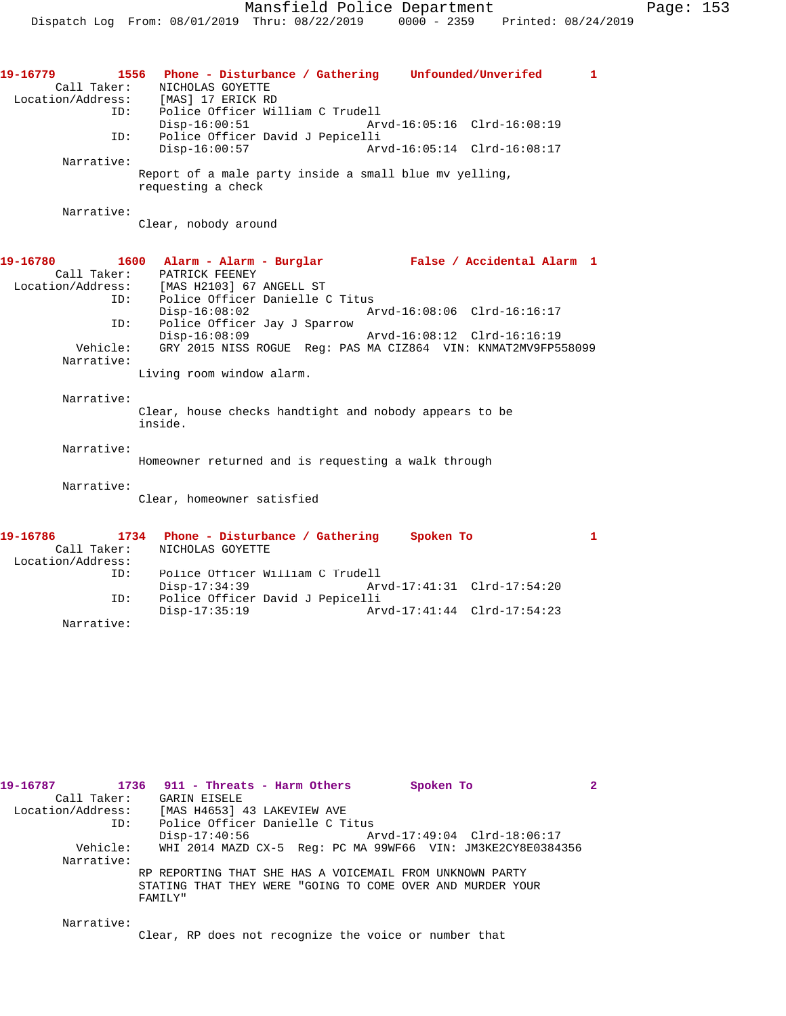| 19-16779<br>Location/Address:<br>ID: | 1556 Phone - Disturbance / Gathering Unfounded/Unverifed<br>1<br>Call Taker: NICHOLAS GOYETTE<br>[MAS] 17 ERICK RD<br>Police Officer William C Trudell |  |
|--------------------------------------|--------------------------------------------------------------------------------------------------------------------------------------------------------|--|
|                                      | Arvd-16:05:16 Clrd-16:08:19<br>$Disp-16:00:51$                                                                                                         |  |
| ID:                                  | Police Officer David J Pepicelli<br>$Disp-16:00:57$<br>Arvd-16:05:14 Clrd-16:08:17                                                                     |  |
| Narrative:                           |                                                                                                                                                        |  |
|                                      | Report of a male party inside a small blue mv yelling,<br>requesting a check                                                                           |  |
| Narrative:                           |                                                                                                                                                        |  |
|                                      | Clear, nobody around                                                                                                                                   |  |
|                                      | 19-16780 1600 Alarm - Alarm - Burglar Nealse / Accidental Alarm 1                                                                                      |  |
|                                      | Call Taker: PATRICK FEENEY                                                                                                                             |  |
|                                      | Location/Address: [MAS H2103] 67 ANGELL ST                                                                                                             |  |
| ID:                                  | Police Officer Danielle C Titus                                                                                                                        |  |
|                                      | $Disp-16:08:02$<br>Arvd-16:08:06 Clrd-16:16:17                                                                                                         |  |
| ID:                                  | Police Officer Jay J Sparrow                                                                                                                           |  |
|                                      | $Disp-16:08:09$<br>Arvd-16:08:12 Clrd-16:16:19                                                                                                         |  |
| Vehicle:                             | GRY 2015 NISS ROGUE Reg: PAS MA CIZ864 VIN: KNMAT2MV9FP558099                                                                                          |  |
| Narrative:                           |                                                                                                                                                        |  |
|                                      | Living room window alarm.                                                                                                                              |  |
|                                      |                                                                                                                                                        |  |
| Narrative:                           | Clear, house checks handtight and nobody appears to be<br>inside.                                                                                      |  |
| Narrative:                           |                                                                                                                                                        |  |
|                                      | Homeowner returned and is requesting a walk through                                                                                                    |  |
| Narrative:                           |                                                                                                                                                        |  |
|                                      | Clear, homeowner satisfied                                                                                                                             |  |
| 19-16786                             | $\mathbf{1}$<br>1734 Phone - Disturbance / Gathering Spoken To                                                                                         |  |
| Call Taker:                          | NICHOLAS GOYETTE                                                                                                                                       |  |
| Location/Address:                    |                                                                                                                                                        |  |
| ID:                                  | Police Officer William C Trudell                                                                                                                       |  |
|                                      | $Disp-17:34:39$<br>Arvd-17:41:31 Clrd-17:54:20                                                                                                         |  |
| ID:                                  | Police Officer David J Pepicelli                                                                                                                       |  |
|                                      | $Disp-17:35:19$<br>Arvd-17:41:44 Clrd-17:54:23                                                                                                         |  |
| Narrative:                           |                                                                                                                                                        |  |

| 19-16787                                      |             | 1736 911 - Threats - Harm Others                                      |  | Spoken To |                             |                                                             |  |
|-----------------------------------------------|-------------|-----------------------------------------------------------------------|--|-----------|-----------------------------|-------------------------------------------------------------|--|
|                                               | Call Taker: | GARIN EISELE                                                          |  |           |                             |                                                             |  |
| Location/Address: [MAS H4653] 43 LAKEVIEW AVE |             |                                                                       |  |           |                             |                                                             |  |
|                                               | ID:         | Police Officer Danielle C Titus                                       |  |           |                             |                                                             |  |
|                                               |             | $Disp-17:40:56$                                                       |  |           | Arvd-17:49:04 Clrd-18:06:17 |                                                             |  |
|                                               | Vehicle:    |                                                                       |  |           |                             | WHI 2014 MAZD CX-5 Reg: PC MA 99WF66 VIN: JM3KE2CY8E0384356 |  |
|                                               | Narrative:  |                                                                       |  |           |                             |                                                             |  |
|                                               |             | RP REPORTING THAT SHE HAS A VOICEMAIL FROM UNKNOWN PARTY              |  |           |                             |                                                             |  |
|                                               |             | STATING THAT THEY WERE "GOING TO COME OVER AND MURDER YOUR<br>FAMILY" |  |           |                             |                                                             |  |
|                                               | Narrative:  |                                                                       |  |           |                             |                                                             |  |

Clear, RP does not recognize the voice or number that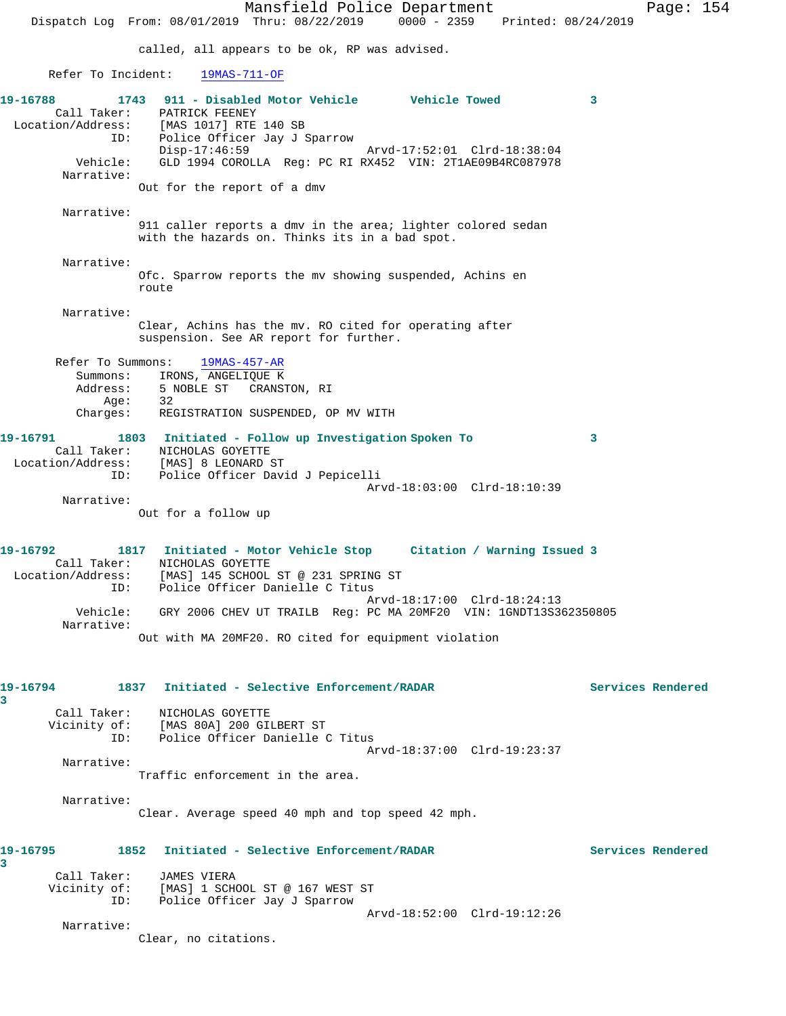Mansfield Police Department Page: 154 Dispatch Log From: 08/01/2019 Thru: 08/22/2019 0000 - 2359 Printed: 08/24/2019 called, all appears to be ok, RP was advised. Refer To Incident: 19MAS-711-OF **19-16788 1743 911 - Disabled Motor Vehicle Vehicle Towed 3**  Call Taker: PATRICK FEENEY Location/Address: [MAS 1017] RTE 140 SB ID: Police Officer Jay J Sparrow Disp-17:46:59 Arvd-17:52:01 Clrd-18:38:04 Vehicle: GLD 1994 COROLLA Reg: PC RI RX452 VIN: 2T1AE09B4RC087978 Narrative: Out for the report of a dmv Narrative: 911 caller reports a dmv in the area; lighter colored sedan with the hazards on. Thinks its in a bad spot. Narrative: Ofc. Sparrow reports the mv showing suspended, Achins en route Narrative: Clear, Achins has the mv. RO cited for operating after suspension. See AR report for further. Refer To Summons: 19MAS-457-AR Summons: IRONS, ANGELIQUE K Address: 5 NOBLE ST CRANSTON, RI<br>Age: 32 Age: Charges: REGISTRATION SUSPENDED, OP MV WITH **19-16791 1803 Initiated - Follow up Investigation Spoken To 3**  Call Taker: NICHOLAS GOYETTE Location/Address: [MAS] 8 LEONARD ST ID: Police Officer David J Pepicelli Arvd-18:03:00 Clrd-18:10:39 Narrative: Out for a follow up **19-16792 1817 Initiated - Motor Vehicle Stop Citation / Warning Issued 3**  Call Taker: NICHOLAS GOYETTE Location/Address: [MAS] 145 SCHOOL ST @ 231 SPRING ST ID: Police Officer Danielle C Titus Arvd-18:17:00 Clrd-18:24:13 Vehicle: GRY 2006 CHEV UT TRAILB Reg: PC MA 20MF20 VIN: 1GNDT13S362350805 Narrative: Out with MA 20MF20. RO cited for equipment violation **19-16794 1837 Initiated - Selective Enforcement/RADAR Services Rendered 3**  Call Taker: NICHOLAS GOYETTE Vicinity of: [MAS 80A] 200 GILBERT ST ID: Police Officer Danielle C Titus Arvd-18:37:00 Clrd-19:23:37 Narrative: Traffic enforcement in the area. Narrative: Clear. Average speed 40 mph and top speed 42 mph. **19-16795 1852 Initiated - Selective Enforcement/RADAR Services Rendered 3**  Call Taker: JAMES VIERA Vicinity of: [MAS] 1 SCHOOL ST @ 167 WEST ST ID: Police Officer Jay J Sparrow Arvd-18:52:00 Clrd-19:12:26 Narrative: Clear, no citations.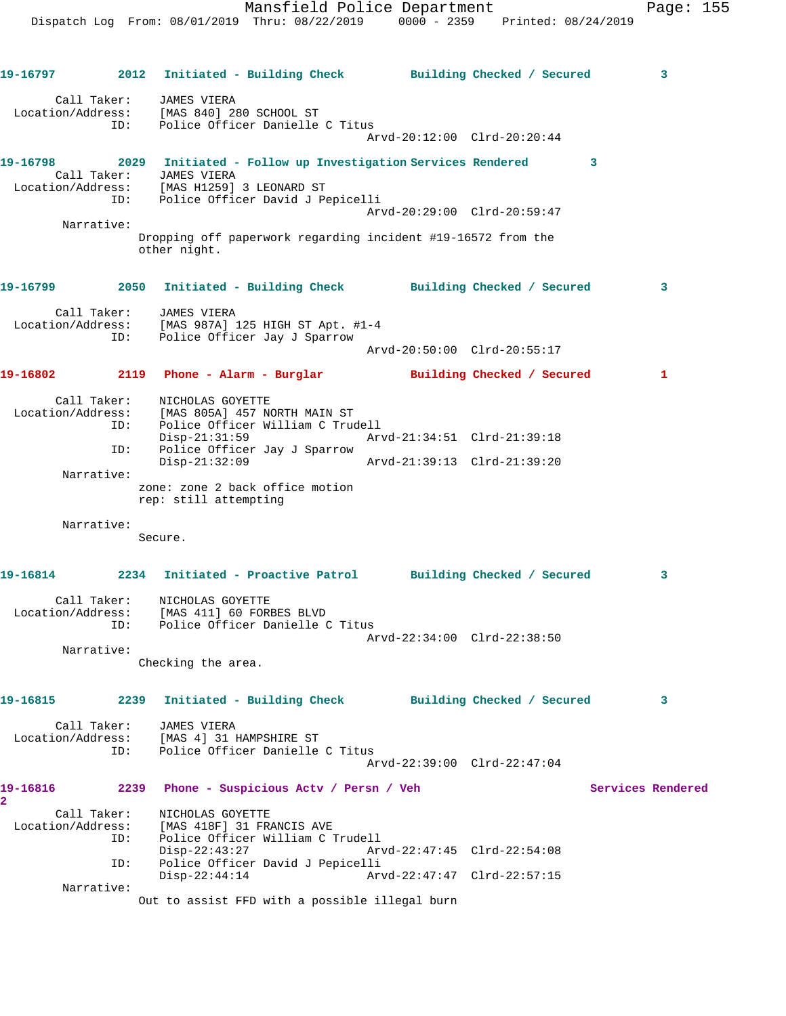|                                        |      | 19-16797 2012 Initiated - Building Check Building Checked / Secured                                               |                             | 3                 |
|----------------------------------------|------|-------------------------------------------------------------------------------------------------------------------|-----------------------------|-------------------|
|                                        |      | Call Taker: JAMES VIERA<br>Location/Address: [MAS 840] 280 SCHOOL ST                                              |                             |                   |
|                                        |      | ID: Police Officer Danielle C Titus                                                                               | Arvd-20:12:00 Clrd-20:20:44 |                   |
| 19-16798                               |      | 2029 Initiated - Follow up Investigation Services Rendered                                                        |                             | 3                 |
|                                        |      | Call Taker: JAMES VIERA<br>Location/Address: [MAS H1259] 3 LEONARD ST<br>ID: Police Officer David J Pepicelli     |                             |                   |
| Narrative:                             |      |                                                                                                                   | Arvd-20:29:00 Clrd-20:59:47 |                   |
|                                        |      | Dropping off paperwork regarding incident #19-16572 from the<br>other night.                                      |                             |                   |
|                                        |      |                                                                                                                   |                             | 3                 |
|                                        |      | Call Taker: JAMES VIERA<br>Location/Address: [MAS 987A] 125 HIGH ST Apt. #1-4<br>ID: Police Officer Jay J Sparrow |                             |                   |
|                                        |      |                                                                                                                   | Arvd-20:50:00 Clrd-20:55:17 |                   |
|                                        |      | 19-16802 2119 Phone - Alarm - Burglar Building Checked / Secured                                                  |                             | $\mathbf{1}$      |
| Call Taker:                            |      | NICHOLAS GOYETTE<br>Location/Address: [MAS 805A] 457 NORTH MAIN ST                                                |                             |                   |
|                                        | ID:  | Police Officer William C Trudell<br>Disp-21:31:59                                                                 |                             |                   |
|                                        | ID:  | Police Officer Jay J Sparrow<br>$Disp-21:32:09$                                                                   |                             |                   |
| Narrative:                             |      | zone: zone 2 back office motion<br>rep: still attempting                                                          |                             |                   |
| Narrative:                             |      |                                                                                                                   |                             |                   |
|                                        |      | Secure.                                                                                                           |                             |                   |
|                                        |      | 19-16814 2234 Initiated - Proactive Patrol Building Checked / Secured                                             |                             | 3                 |
| Call Taker:                            | ID:  | NICHOLAS GOYETTE<br>Location/Address: [MAS 411] 60 FORBES BLVD<br>Police Officer Danielle C Titus                 |                             |                   |
| Narrative:                             |      |                                                                                                                   | Arvd-22:34:00 Clrd-22:38:50 |                   |
|                                        |      | Checking the area.                                                                                                |                             |                   |
| 19-16815                               | 2239 | Initiated - Building Check Building Checked / Secured                                                             |                             | 3                 |
| Call Taker:<br>Location/Address:       |      | JAMES VIERA<br>[MAS 4] 31 HAMPSHIRE ST                                                                            |                             |                   |
|                                        | ID:  | Police Officer Danielle C Titus                                                                                   | Arvd-22:39:00 Clrd-22:47:04 |                   |
| 19-16816                               | 2239 | Phone - Suspicious Actv / Persn / Veh                                                                             |                             | Services Rendered |
| $\overline{\mathbf{2}}$<br>Call Taker: |      | NICHOLAS GOYETTE                                                                                                  |                             |                   |
| Location/Address:                      |      | [MAS 418F] 31 FRANCIS AVE                                                                                         |                             |                   |
|                                        | ID:  | Police Officer William C Trudell<br>$Disp-22:43:27$                                                               | Arvd-22:47:45 Clrd-22:54:08 |                   |
|                                        | ID:  | Police Officer David J Pepicelli<br>$Disp-22:44:14$                                                               | Arvd-22:47:47 Clrd-22:57:15 |                   |
| Narrative:                             |      | Out to assist FFD with a possible illegal burn                                                                    |                             |                   |
|                                        |      |                                                                                                                   |                             |                   |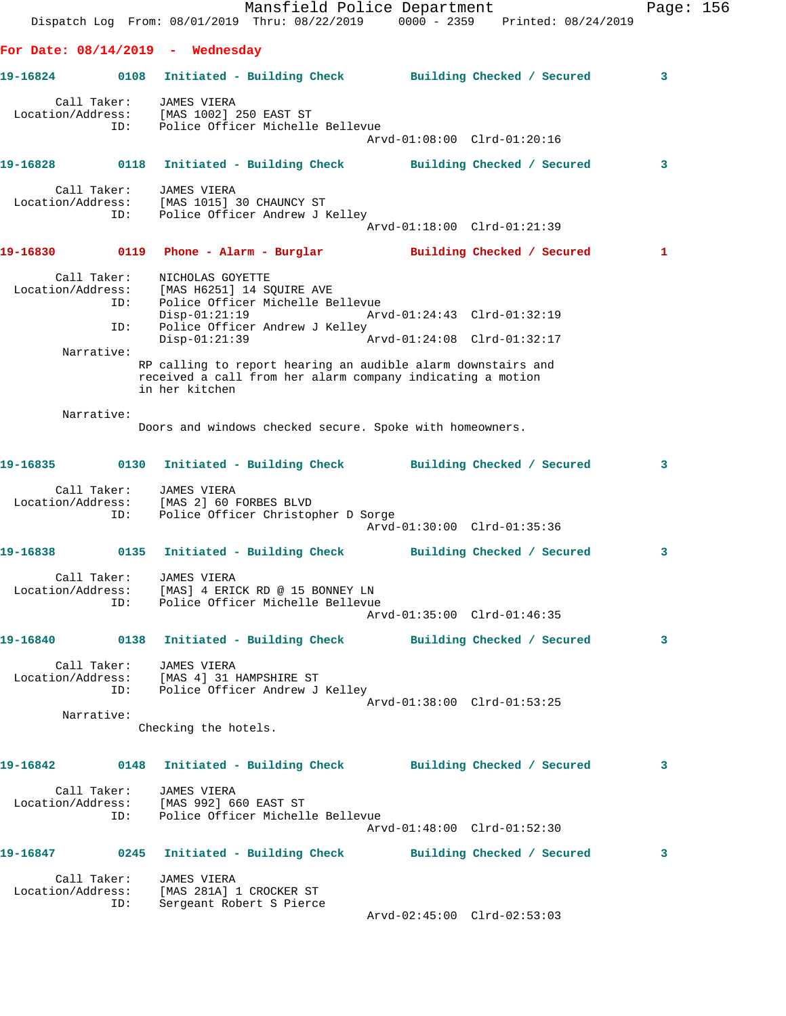|          |                                         |                                                                                                                         | Mansfield Police Department                                                                                                                                                                      |                                                            | Dispatch Log From: 08/01/2019 Thru: 08/22/2019 0000 - 2359 Printed: 08/24/2019   | Page: 156 |  |
|----------|-----------------------------------------|-------------------------------------------------------------------------------------------------------------------------|--------------------------------------------------------------------------------------------------------------------------------------------------------------------------------------------------|------------------------------------------------------------|----------------------------------------------------------------------------------|-----------|--|
|          |                                         | For Date: $08/14/2019$ - Wednesday                                                                                      |                                                                                                                                                                                                  |                                                            |                                                                                  |           |  |
| 19-16824 |                                         |                                                                                                                         |                                                                                                                                                                                                  |                                                            | 0108 Initiated - Building Check Building Checked / Secured                       | 3         |  |
|          | Call Taker:<br>ID:                      | JAMES VIERA<br>Location/Address: [MAS 1002] 250 EAST ST                                                                 | Police Officer Michelle Bellevue                                                                                                                                                                 | Arvd-01:08:00 Clrd-01:20:16                                |                                                                                  |           |  |
|          |                                         |                                                                                                                         |                                                                                                                                                                                                  |                                                            | 19-16828 0118 Initiated - Building Check Building Checked / Secured              | 3         |  |
|          | Call Taker: JAMES VIERA<br>ID:          | Location/Address: [MAS 1015] 30 CHAUNCY ST                                                                              | Police Officer Andrew J Kelley                                                                                                                                                                   | Arvd-01:18:00 Clrd-01:21:39                                |                                                                                  |           |  |
| 19-16830 |                                         |                                                                                                                         |                                                                                                                                                                                                  |                                                            | 0119 Phone - Alarm - Burglar Marilding Checked / Secured                         | 1         |  |
|          | Call Taker:<br>ID:<br>ID:<br>Narrative: | NICHOLAS GOYETTE<br>Location/Address: [MAS H6251] 14 SQUIRE AVE<br>$Disp-01:21:19$<br>$Disp-01:21:39$<br>in her kitchen | Police Officer Michelle Bellevue<br>Police Officer Andrew J Kelley<br>RP calling to report hearing an audible alarm downstairs and<br>received a call from her alarm company indicating a motion | Arvd-01:24:43 Clrd-01:32:19<br>Arvd-01:24:08 Clrd-01:32:17 |                                                                                  |           |  |
|          | Narrative:                              |                                                                                                                         |                                                                                                                                                                                                  |                                                            |                                                                                  |           |  |
|          |                                         |                                                                                                                         | Doors and windows checked secure. Spoke with homeowners.                                                                                                                                         |                                                            |                                                                                  |           |  |
| 19-16835 |                                         |                                                                                                                         |                                                                                                                                                                                                  |                                                            | 0130 Initiated - Building Check Building Checked / Secured                       | 3         |  |
|          | Call Taker:<br>Location/Address:<br>ID: | JAMES VIERA<br>[MAS 2] 60 FORBES BLVD                                                                                   | Police Officer Christopher D Sorge                                                                                                                                                               | Arvd-01:30:00 Clrd-01:35:36                                |                                                                                  |           |  |
| 19-16838 |                                         |                                                                                                                         |                                                                                                                                                                                                  |                                                            | 0135 Initiated - Building Check Building Checked / Secured                       | 3         |  |
|          |                                         | Call Taker: JAMES VIERA                                                                                                 | Location/Address: [MAS] 4 ERICK RD @ 15 BONNEY LN<br>ID: Police Officer Michelle Bellevue                                                                                                        | Arvd-01:35:00 Clrd-01:46:35                                |                                                                                  |           |  |
|          |                                         |                                                                                                                         |                                                                                                                                                                                                  |                                                            | 19-16840      0138 Initiated - Building Check      Building Checked / Secured    | 3         |  |
|          |                                         | Call Taker: JAMES VIERA<br>Location/Address: [MAS 4] 31 HAMPSHIRE ST                                                    | ID: Police Officer Andrew J Kelley                                                                                                                                                               | Arvd-01:38:00 Clrd-01:53:25                                |                                                                                  |           |  |
|          | Narrative:                              | Checking the hotels.                                                                                                    |                                                                                                                                                                                                  |                                                            |                                                                                  |           |  |
|          |                                         |                                                                                                                         |                                                                                                                                                                                                  |                                                            |                                                                                  |           |  |
|          |                                         |                                                                                                                         |                                                                                                                                                                                                  |                                                            | 19-16842      0148   Initiated - Building Check       Building Checked / Secured | 3         |  |
|          |                                         | Call Taker: JAMES VIERA<br>Location/Address: [MAS 992] 660 EAST ST                                                      | ID: Police Officer Michelle Bellevue                                                                                                                                                             | Arvd-01:48:00 Clrd-01:52:30                                |                                                                                  |           |  |
|          |                                         |                                                                                                                         |                                                                                                                                                                                                  |                                                            | 19-16847 		 0245 Initiated - Building Check 		 Building Checked / Secured        | 3         |  |
|          | Call Taker:<br>ID:                      | JAMES VIERA<br>Location/Address: [MAS 281A] 1 CROCKER ST<br>Sergeant Robert S Pierce                                    |                                                                                                                                                                                                  |                                                            |                                                                                  |           |  |
|          |                                         |                                                                                                                         |                                                                                                                                                                                                  | Arvd-02:45:00 Clrd-02:53:03                                |                                                                                  |           |  |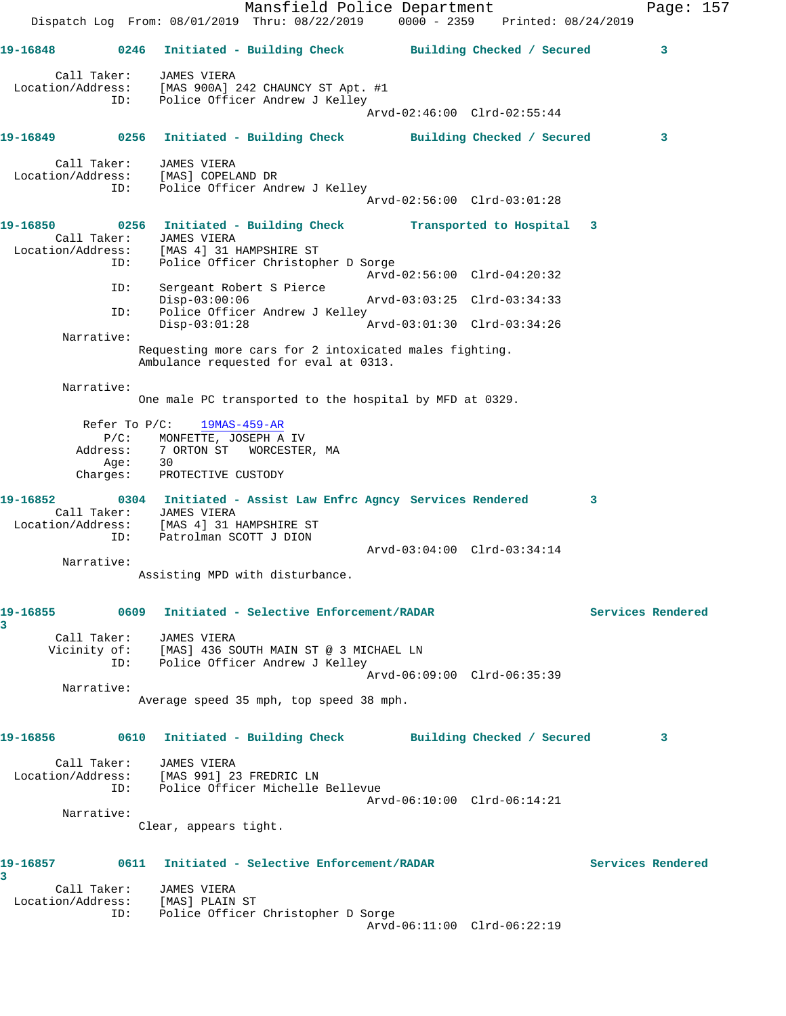Mansfield Police Department Fage: 157 Dispatch Log From: 08/01/2019 Thru: 08/22/2019 0000 - 2359 Printed: 08/24/2019 **19-16848 0246 Initiated - Building Check Building Checked / Secured 3** Call Taker: JAMES VIERA Location/Address: [MAS 900A] 242 CHAUNCY ST Apt. #1 ID: Police Officer Andrew J Kelley Arvd-02:46:00 Clrd-02:55:44 **19-16849 0256 Initiated - Building Check Building Checked / Secured 3** Call Taker: JAMES VIERA Location/Address: [MAS] COPELAND DR ID: Police Officer Andrew J Kelley Arvd-02:56:00 Clrd-03:01:28 **19-16850 0256 Initiated - Building Check Transported to Hospital 3**  Call Taker: JAMES VIERA Location/Address: [MAS 4] 31 HAMPSHIRE ST ID: Police Officer Christopher D Sorge Arvd-02:56:00 Clrd-04:20:32 ID: Sergeant Robert S Pierce Disp-03:00:06 Arvd-03:03:25 Clrd-03:34:33<br>ID: Police Officer Andrew J Kelley Police Officer Andrew J Kelley<br>Disp-03:01:28 Disp-03:01:28 Arvd-03:01:30 Clrd-03:34:26 Narrative: Requesting more cars for 2 intoxicated males fighting. Ambulance requested for eval at 0313. Narrative: One male PC transported to the hospital by MFD at 0329. Refer To P/C: 19MAS-459-AR P/C: MONFETTE, JOSEPH A IV<br>Address: 7 ORTON ST WORCESTEE 7 ORTON ST WORCESTER, MA Age: 30 Charges: PROTECTIVE CUSTODY **19-16852 0304 Initiated - Assist Law Enfrc Agncy Services Rendered 3**  Call Taker: JAMES VIERA Location/Address: [MAS 4] 31 HAMPSHIRE ST ID: Patrolman SCOTT J DION Arvd-03:04:00 Clrd-03:34:14 Narrative: Assisting MPD with disturbance. **19-16855 0609 Initiated - Selective Enforcement/RADAR Services Rendered 3**  Call Taker: JAMES VIERA Vicinity of: [MAS] 436 SOUTH MAIN ST @ 3 MICHAEL LN ID: Police Officer Andrew J Kelley Arvd-06:09:00 Clrd-06:35:39 Narrative: Average speed 35 mph, top speed 38 mph. **19-16856 0610 Initiated - Building Check Building Checked / Secured 3** Call Taker: JAMES VIERA Location/Address: [MAS 991] 23 FREDRIC LN ID: Police Officer Michelle Bellevue Arvd-06:10:00 Clrd-06:14:21 Narrative: Clear, appears tight. **19-16857 0611 Initiated - Selective Enforcement/RADAR Services Rendered 3**  Call Taker: JAMES VIERA Location/Address: [MAS] PLAIN ST ID: Police Officer Christopher D Sorge Arvd-06:11:00 Clrd-06:22:19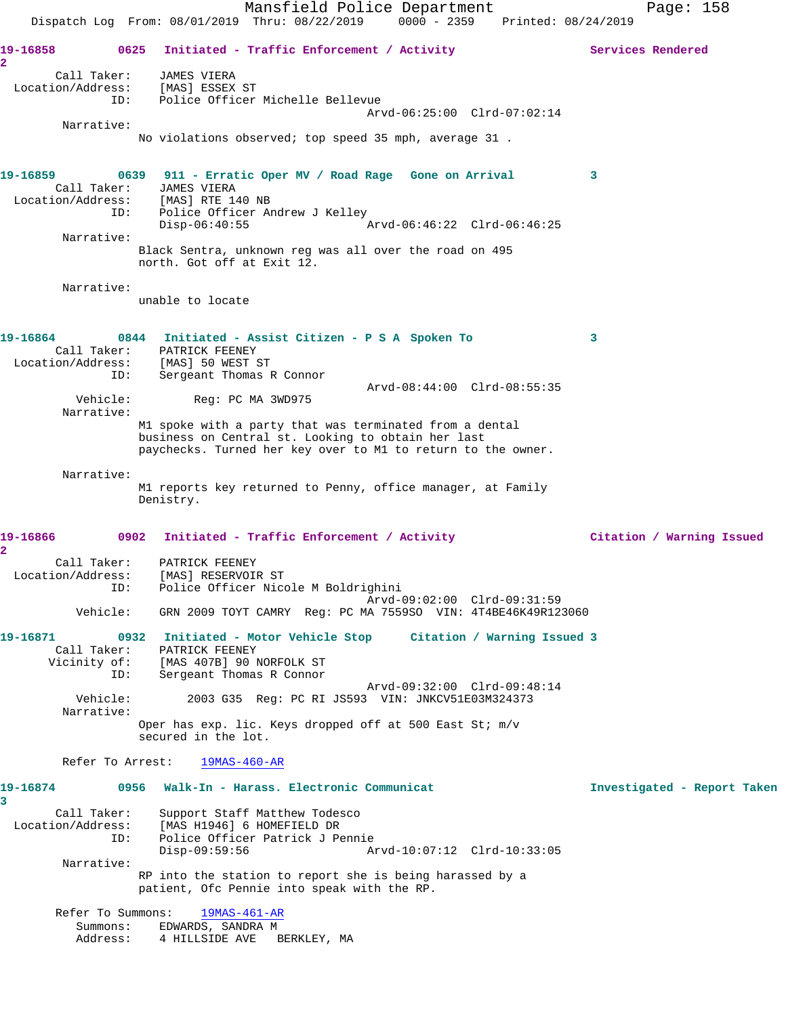Mansfield Police Department Page: 158 Dispatch Log From: 08/01/2019 Thru: 08/22/2019 0000 - 2359 Printed: 08/24/2019 19-16858 **0625** Initiated - Traffic Enforcement / Activity **Services Rendered 2**  Call Taker: JAMES VIERA Location/Address: [MAS] ESSEX ST ID: Police Officer Michelle Bellevue Arvd-06:25:00 Clrd-07:02:14 Narrative: No violations observed; top speed 35 mph, average 31 . **19-16859 0639 911 - Erratic Oper MV / Road Rage Gone on Arrival 3**  Call Taker: JAMES VIERA Location/Address: [MAS] RTE 140 NB ID: Police Officer Andrew J Kelley<br>Disp-06:40:55 Disp-06:40:55 Arvd-06:46:22 Clrd-06:46:25 Narrative: Black Sentra, unknown reg was all over the road on 495 north. Got off at Exit 12. Narrative: unable to locate **19-16864 0844 Initiated - Assist Citizen - P S A Spoken To 3**  Call Taker: PATRICK FEENEY Location/Address: [MAS] 50 WEST ST ID: Sergeant Thomas R Connor Arvd-08:44:00 Clrd-08:55:35 Vehicle: Reg: PC MA 3WD975 Narrative: M1 spoke with a party that was terminated from a dental business on Central st. Looking to obtain her last paychecks. Turned her key over to M1 to return to the owner. Narrative: M1 reports key returned to Penny, office manager, at Family Denistry. **19-16866 0902 Initiated - Traffic Enforcement / Activity Citation / Warning Issued 2**  Call Taker: PATRICK FEENEY Location/Address: [MAS] RESERVOIR ST ID: Police Officer Nicole M Boldrighini Arvd-09:02:00 Clrd-09:31:59 Vehicle: GRN 2009 TOYT CAMRY Reg: PC MA 7559SO VIN: 4T4BE46K49R123060 **19-16871 0932 Initiated - Motor Vehicle Stop Citation / Warning Issued 3**  Call Taker: PATRICK FEENEY Vicinity of: [MAS 407B] 90 NORFOLK ST ID: Sergeant Thomas R Connor Arvd-09:32:00 Clrd-09:48:14 Vehicle: 2003 G35 Reg: PC RI JS593 VIN: JNKCV51E03M324373 Narrative: Oper has exp. lic. Keys dropped off at 500 East St; m/v secured in the lot. Refer To Arrest: 19MAS-460-AR **19-16874 0956 Walk-In - Harass. Electronic Communicat Investigated - Report Taken 3**  Call Taker: Support Staff Matthew Todesco<br>Location/Address: [MAS H1946] 6 HOMEFIELD DR [MAS H1946] 6 HOMEFIELD DR ESS. THE RIZE OF HONDERTIES SAN INC.<br>ID: Police Officer Patrick J Pennie<br>Disp-09:59:56 Ar Disp-09:59:56 Arvd-10:07:12 Clrd-10:33:05 Narrative: RP into the station to report she is being harassed by a patient, Ofc Pennie into speak with the RP. Refer To Summons: 19MAS-461-AR Summons: EDWARDS, SANDRA M Address: 4 HILLSIDE AVE BERKLEY, MA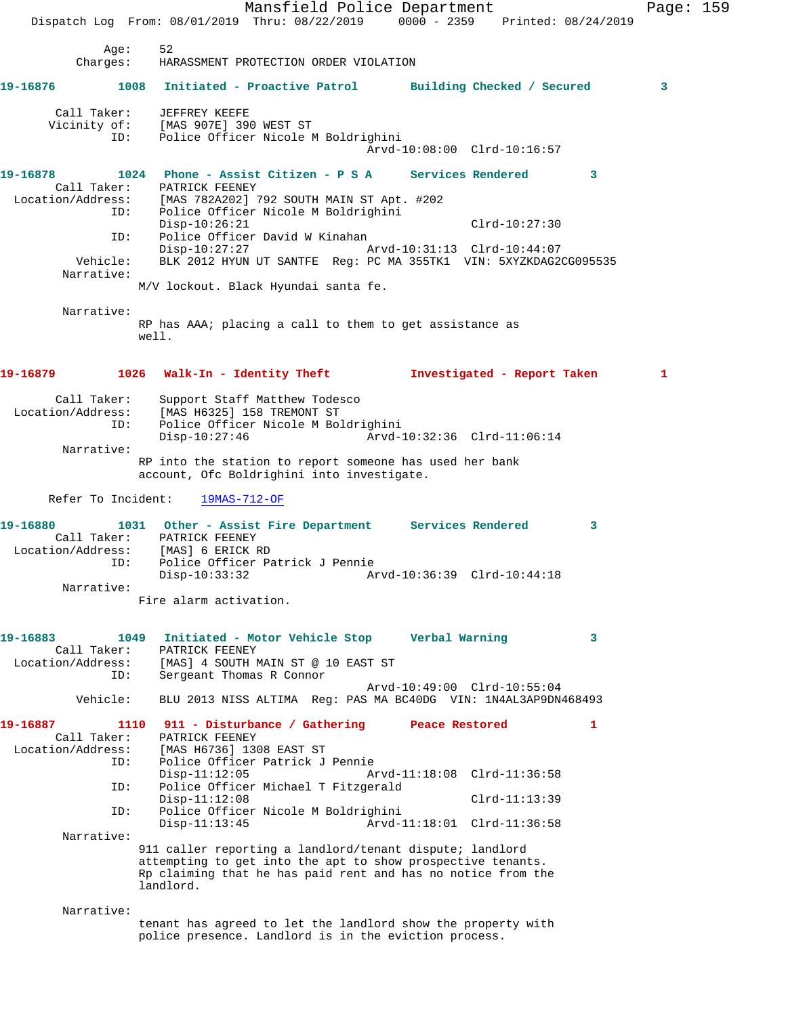Mansfield Police Department Page: 159 Dispatch Log From: 08/01/2019 Thru: 08/22/2019 0000 - 2359 Printed: 08/24/2019 Age: 52 Charges: HARASSMENT PROTECTION ORDER VIOLATION **19-16876 1008 Initiated - Proactive Patrol Building Checked / Secured 3** Call Taker: JEFFREY KEEFE Vicinity of: [MAS 907E] 390 WEST ST ID: Police Officer Nicole M Boldrighini Arvd-10:08:00 Clrd-10:16:57 **19-16878 1024 Phone - Assist Citizen - P S A Services Rendered 3**  Call Taker: PATRICK FEENEY Location/Address: [MAS 782A202] 792 SOUTH MAIN ST Apt. #202 ID: Police Officer Nicole M Boldrighini Disp-10:26:21 Clrd-10:27:30 ID: Police Officer David W Kinahan Disp-10:27:27 Arvd-10:31:13 Clrd-10:44:07 Vehicle: BLK 2012 HYUN UT SANTFE Reg: PC MA 355TK1 VIN: 5XYZKDAG2CG095535 Narrative: M/V lockout. Black Hyundai santa fe. Narrative: RP has AAA; placing a call to them to get assistance as well. **19-16879 1026 Walk-In - Identity Theft Investigated - Report Taken 1** Call Taker: Support Staff Matthew Todesco Location/Address: [MAS H6325] 158 TREMONT ST ID: Police Officer Nicole M Boldrighini Disp-10:27:46 Arvd-10:32:36 Clrd-11:06:14 Narrative: RP into the station to report someone has used her bank account, Ofc Boldrighini into investigate. Refer To Incident: 19MAS-712-OF **19-16880 1031 Other - Assist Fire Department Services Rendered 3**  Call Taker: PATRICK FEENEY Location/Address: [MAS] 6 ERICK RD ID: Police Officer Patrick J Pennie Disp-10:33:32 Arvd-10:36:39 Clrd-10:44:18 Narrative: Fire alarm activation. **19-16883 1049 Initiated - Motor Vehicle Stop Verbal Warning 3**  Call Taker: PATRICK FEENEY<br>Location/Address: [MAS] 4 SOUTH I ess: [MAS] 4 SOUTH MAIN ST @ 10 EAST ST<br>ID: Sergeant Thomas R Connor Sergeant Thomas R Connor Arvd-10:49:00 Clrd-10:55:04 Vehicle: BLU 2013 NISS ALTIMA Reg: PAS MA BC40DG VIN: 1N4AL3AP9DN468493 **19-16887 1110 911 - Disturbance / Gathering Peace Restored 1**  Call Taker: PATRICK FEENEY Location/Address: [MAS H6736] 1308 EAST ST ID: Police Officer Patrick J Pennie Arvd-11:18:08 Clrd-11:36:58 ID: Police Officer Michael T Fitzgerald Disp-11:12:08 Clrd-11:13:39<br>ID: Police Officer Nicole M Boldrighini ID: Police Officer Nicole M Boldrighini Arvd-11:18:01 Clrd-11:36:58 Narrative: 911 caller reporting a landlord/tenant dispute; landlord attempting to get into the apt to show prospective tenants. Rp claiming that he has paid rent and has no notice from the landlord. Narrative: tenant has agreed to let the landlord show the property with police presence. Landlord is in the eviction process.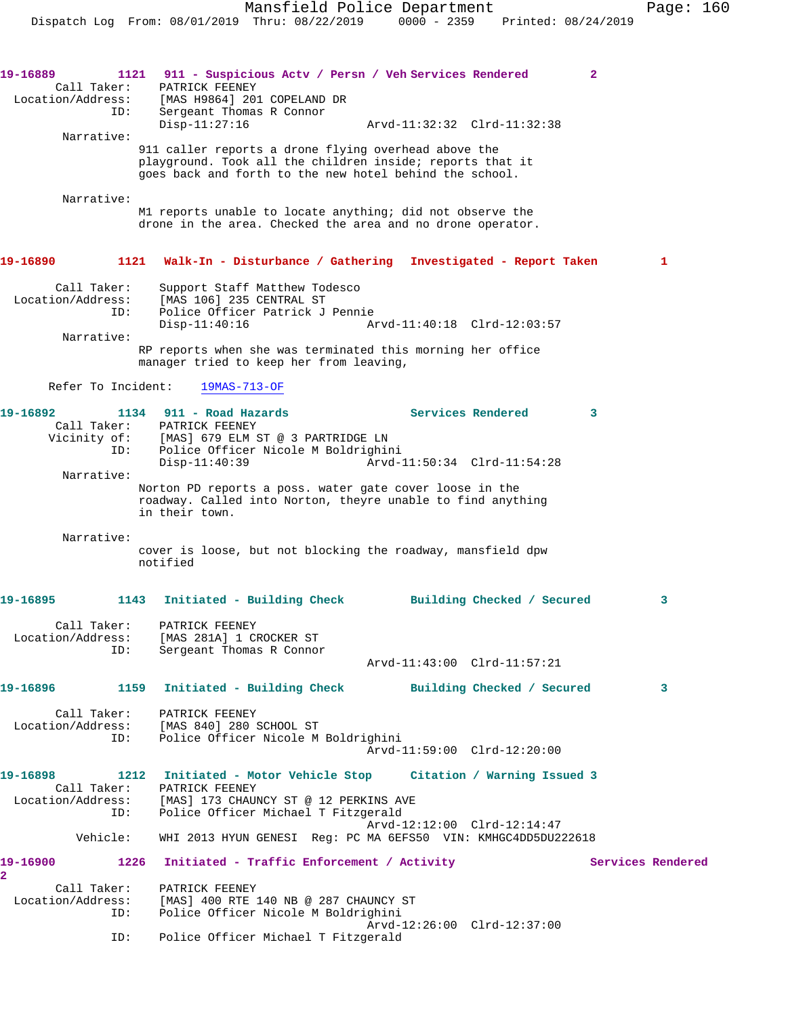**19-16889 1121 911 - Suspicious Actv / Persn / Veh Services Rendered 2**  Call Taker: PATRICK FEENEY Location/Address: [MAS H9864] 201 COPELAND DR ID: Sergeant Thomas R Connor Disp-11:27:16 Arvd-11:32:32 Clrd-11:32:38 Narrative: 911 caller reports a drone flying overhead above the playground. Took all the children inside; reports that it goes back and forth to the new hotel behind the school. Narrative: M1 reports unable to locate anything; did not observe the drone in the area. Checked the area and no drone operator. **19-16890 1121 Walk-In - Disturbance / Gathering Investigated - Report Taken 1** Call Taker: Support Staff Matthew Todesco Location/Address: [MAS 106] 235 CENTRAL ST ID: Police Officer Patrick J Pennie Disp-11:40:16 Arvd-11:40:18 Clrd-12:03:57 Narrative: RP reports when she was terminated this morning her office manager tried to keep her from leaving, Refer To Incident: 19MAS-713-OF **19-16892 1134 911 - Road Hazards Services Rendered 3**  Call Taker: PATRICK FEENEY Vicinity of: [MAS] 679 ELM ST @ 3 PARTRIDGE LN ID: Police Officer Nicole M Boldrighini Arvd-11:50:34 Clrd-11:54:28 Narrative: Norton PD reports a poss. water gate cover loose in the roadway. Called into Norton, theyre unable to find anything in their town. Narrative: cover is loose, but not blocking the roadway, mansfield dpw notified **19-16895 1143 Initiated - Building Check Building Checked / Secured 3** Call Taker: PATRICK FEENEY Location/Address: [MAS 281A] 1 CROCKER ST Sergeant Thomas R Connor Arvd-11:43:00 Clrd-11:57:21 **19-16896 1159 Initiated - Building Check Building Checked / Secured 3** Call Taker: PATRICK FEENEY Location/Address: [MAS 840] 280 SCHOOL ST ID: Police Officer Nicole M Boldrighini Arvd-11:59:00 Clrd-12:20:00 **19-16898 1212 Initiated - Motor Vehicle Stop Citation / Warning Issued 3**  Call Taker: PATRICK FEENEY Location/Address: [MAS] 173 CHAUNCY ST @ 12 PERKINS AVE ID: Police Officer Michael T Fitzgerald Arvd-12:12:00 Clrd-12:14:47 Vehicle: WHI 2013 HYUN GENESI Reg: PC MA 6EFS50 VIN: KMHGC4DD5DU222618 19-16900 1226 Initiated - Traffic Enforcement / Activity **Services Rendered 2**  Call Taker: PATRICK FEENEY<br>Location/Address: [MAS] 400 RTE External MAS] 400 RTE 140 NB @ 287 CHAUNCY ST<br>ID: Police Officer Nicole M Boldrighini Police Officer Nicole M Boldrighini Arvd-12:26:00 Clrd-12:37:00 ID: Police Officer Michael T Fitzgerald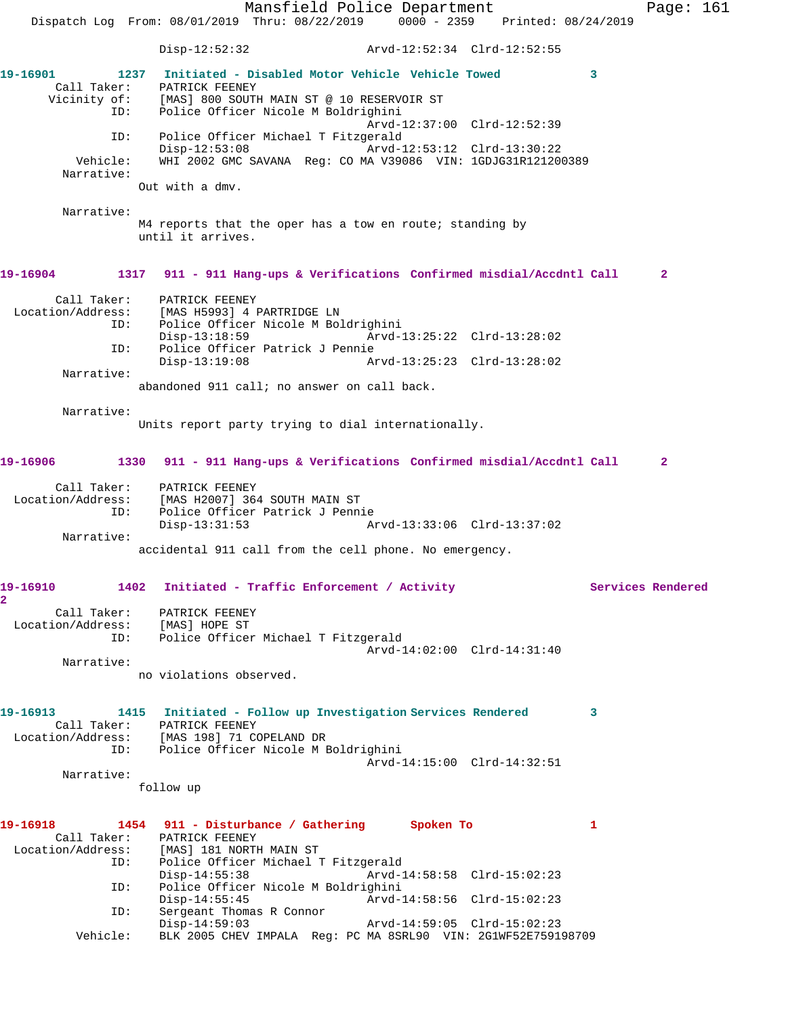Mansfield Police Department Page: 161 Dispatch Log From: 08/01/2019 Thru: 08/22/2019 0000 - 2359 Printed: 08/24/2019 Disp-12:52:32 Arvd-12:52:34 Clrd-12:52:55 **19-16901 1237 Initiated - Disabled Motor Vehicle Vehicle Towed 3**  Call Taker: PATRICK FEENEY<br>Vicinity of: [MAS] 800 SOUTI [MAS] 800 SOUTH MAIN ST @ 10 RESERVOIR ST ID: Police Officer Nicole M Boldrighini Arvd-12:37:00 Clrd-12:52:39 ID: Police Officer Michael T Fitzgerald Disp-12:53:08 Arvd-12:53:12 Clrd-13:30:22 Vehicle: WHI 2002 GMC SAVANA Reg: CO MA V39086 VIN: 1GDJG31R121200389 Narrative: Out with a dmv. Narrative: M4 reports that the oper has a tow en route; standing by until it arrives. **19-16904 1317 911 - 911 Hang-ups & Verifications Confirmed misdial/Accdntl Call 2** Call Taker: PATRICK FEENEY<br>Location/Address: [MAS H5993] 4 1 ess: [MAS H5993] 4 PARTRIDGE LN<br>ID: Police Officer Nicole M Bo Police Officer Nicole M Boldrighini Disp-13:18:59 Arvd-13:25:22 Clrd-13:28:02 ID: Police Officer Patrick J Pennie Disp-13:19:08 Arvd-13:25:23 Clrd-13:28:02 Narrative: abandoned 911 call; no answer on call back. Narrative: Units report party trying to dial internationally. **19-16906 1330 911 - 911 Hang-ups & Verifications Confirmed misdial/Accdntl Call 2** Call Taker: PATRICK FEENEY Location/Address: [MAS H2007] 364 SOUTH MAIN ST ID: Police Officer Patrick J Pennie<br>Disp-13:31:53 Disp-13:31:53 Arvd-13:33:06 Clrd-13:37:02 Narrative: accidental 911 call from the cell phone. No emergency. **19-16910 1402 Initiated - Traffic Enforcement / Activity Services Rendered 2**  Call Taker: PATRICK FEENEY Location/Address: [MAS] HOPE ST ID: Police Officer Michael T Fitzgerald Arvd-14:02:00 Clrd-14:31:40 Narrative: no violations observed. **19-16913 1415 Initiated - Follow up Investigation Services Rendered 3**  Call Taker: PATRICK FEENEY Location/Address: [MAS 198] 71 COPELAND DR ess: [MAS 198] 71 COPELAND DR<br>ID: Police Officer Nicole M Boldrighini Arvd-14:15:00 Clrd-14:32:51 Narrative: follow up **19-16918 1454 911 - Disturbance / Gathering Spoken To 1**  Call Taker: PATRICK FEENEY Location/Address: [MAS] 181 NORTH MAIN ST ID: Police Officer Michael T Fitzgerald Disp-14:55:38 Arvd-14:58:58 Clrd-15:02:23<br>TD: Police Officer Nicole M Boldrighini Police Officer Nicole M Boldrighini Disp-14:55:45 Arvd-14:58:56 Clrd-15:02:23 ID: Sergeant Thomas R Connor Disp-14:59:03 Arvd-14:59:05 Clrd-15:02:23 Vehicle: BLK 2005 CHEV IMPALA Reg: PC MA 8SRL90 VIN: 2G1WF52E759198709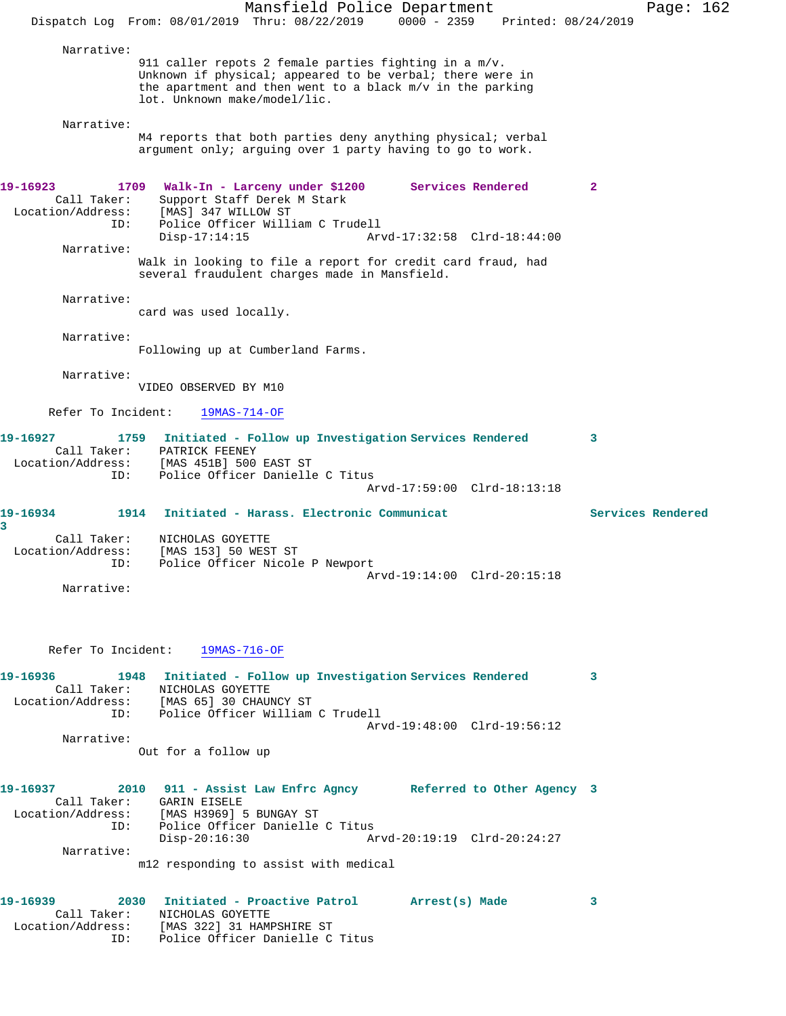|                                                             | Dispatch Log From: 08/01/2019 Thru: 08/22/2019                                                                                                                                                                     | Mansfield Police Department | $0000 - 2359$               | Printed: 08/24/2019 |                   | Page: 162 |  |
|-------------------------------------------------------------|--------------------------------------------------------------------------------------------------------------------------------------------------------------------------------------------------------------------|-----------------------------|-----------------------------|---------------------|-------------------|-----------|--|
| Narrative:                                                  |                                                                                                                                                                                                                    |                             |                             |                     |                   |           |  |
|                                                             | 911 caller repots 2 female parties fighting in a $m/v$ .<br>Unknown if physical; appeared to be verbal; there were in<br>the apartment and then went to a black m/v in the parking<br>lot. Unknown make/model/lic. |                             |                             |                     |                   |           |  |
| Narrative:                                                  | M4 reports that both parties deny anything physical; verbal<br>argument only; arguing over 1 party having to go to work.                                                                                           |                             |                             |                     |                   |           |  |
| 19-16923<br>1709<br>Call Taker:<br>Location/Address:<br>ID: | Walk-In - Larceny under \$1200<br>Support Staff Derek M Stark<br>[MAS] 347 WILLOW ST<br>Police Officer William C Trudell                                                                                           |                             |                             | Services Rendered   | 2                 |           |  |
| Narrative:                                                  | $Disp-17:14:15$<br>Walk in looking to file a report for credit card fraud, had                                                                                                                                     |                             | Arvd-17:32:58 Clrd-18:44:00 |                     |                   |           |  |
| Narrative:                                                  | several fraudulent charges made in Mansfield.<br>card was used locally.                                                                                                                                            |                             |                             |                     |                   |           |  |
| Narrative:                                                  | Following up at Cumberland Farms.                                                                                                                                                                                  |                             |                             |                     |                   |           |  |
| Narrative:                                                  | VIDEO OBSERVED BY M10                                                                                                                                                                                              |                             |                             |                     |                   |           |  |
| Refer To Incident:                                          | $19MAS-714-OF$                                                                                                                                                                                                     |                             |                             |                     |                   |           |  |
| 19-16927<br>1759<br>Call Taker:<br>Location/Address:<br>ID: | Initiated - Follow up Investigation Services Rendered<br>PATRICK FEENEY<br>[MAS 451B] 500 EAST ST<br>Police Officer Danielle C Titus                                                                               |                             | Arvd-17:59:00 Clrd-18:13:18 |                     | 3                 |           |  |
| 1914<br>19-16934<br>3                                       | Initiated - Harass, Electronic Communicat                                                                                                                                                                          |                             |                             |                     | Services Rendered |           |  |
| Call Taker:<br>Location/Address:<br>ID:                     | NICHOLAS GOYETTE<br>[MAS 153] 50 WEST ST<br>Police Officer Nicole P Newport                                                                                                                                        |                             | Arvd-19:14:00 Clrd-20:15:18 |                     |                   |           |  |
| Narrative:                                                  |                                                                                                                                                                                                                    |                             |                             |                     |                   |           |  |
|                                                             | Refer To Incident: 19MAS-716-OF                                                                                                                                                                                    |                             |                             |                     |                   |           |  |
| 19-16936<br>Call Taker:<br>ID:                              | 1948 Initiated - Follow up Investigation Services Rendered<br>NICHOLAS GOYETTE<br>Location/Address: [MAS 65] 30 CHAUNCY ST<br>Police Officer William C Trudell                                                     |                             |                             |                     | 3                 |           |  |
| Narrative:                                                  | Out for a follow up                                                                                                                                                                                                |                             | Arvd-19:48:00 Clrd-19:56:12 |                     |                   |           |  |
| 19-16937<br>ID:                                             | 2010 911 - Assist Law Enfrc Agncy Referred to Other Agency 3<br>Call Taker: GARIN EISELE<br>Location/Address: [MAS H3969] 5 BUNGAY ST<br>Police Officer Danielle C Titus                                           |                             |                             |                     |                   |           |  |
| Narrative:                                                  | $Disp-20:16:30$<br>m12 responding to assist with medical                                                                                                                                                           |                             | Arvd-20:19:19 Clrd-20:24:27 |                     |                   |           |  |
| 19-16939<br>ID:                                             | 2030 Initiated - Proactive Patrol Marrest(s) Made<br>Call Taker: NICHOLAS GOYETTE<br>Location/Address: [MAS 322] 31 HAMPSHIRE ST<br>Police Officer Danielle C Titus                                                |                             |                             |                     | 3                 |           |  |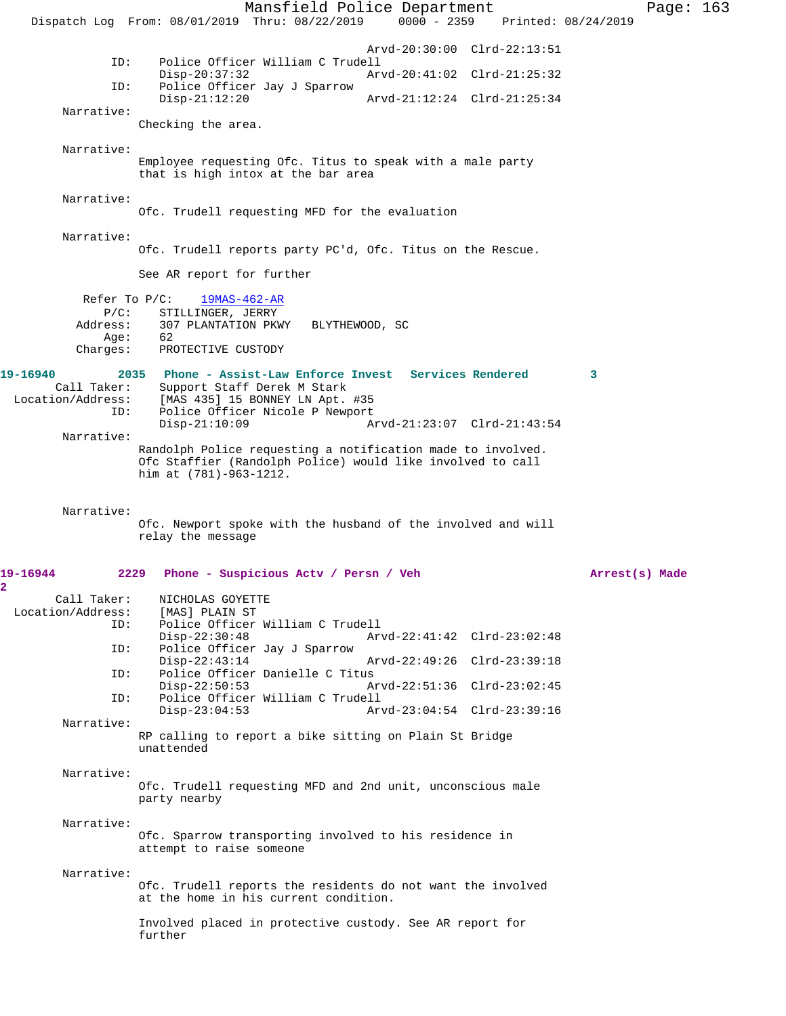Mansfield Police Department Page: 163 Dispatch Log From: 08/01/2019 Thru: 08/22/2019 0000 - 2359 Printed: 08/24/2019 Arvd-20:30:00 Clrd-22:13:51<br>ID: Police Officer William C Trudell Police Officer William C Trudell<br>Disp-20:37:32 Arv Disp-20:37:32 Arvd-20:41:02 Clrd-21:25:32 ID: Police Officer Jay J Sparrow Disp-21:12:20 Arvd-21:12:24 Clrd-21:25:34 Narrative: Checking the area. Narrative: Employee requesting Ofc. Titus to speak with a male party that is high intox at the bar area Narrative: Ofc. Trudell requesting MFD for the evaluation Narrative: Ofc. Trudell reports party PC'd, Ofc. Titus on the Rescue. See AR report for further Refer To P/C: 19MAS-462-AR P/C: STILLINGER, JERRY Address: 307 PLANTATION PKWY BLYTHEWOOD, SC Age: 62 Charges: PROTECTIVE CUSTODY **19-16940 2035 Phone - Assist-Law Enforce Invest Services Rendered 3**  Call Taker: Support Staff Derek M Stark<br>Location/Address: [MAS 435] 15 BONNEY LN Apt. [MAS 435] 15 BONNEY LN Apt. #35 ID: Police Officer Nicole P Newport<br>Disp-21:10:09 A Disp-21:10:09 Arvd-21:23:07 Clrd-21:43:54 Narrative: Randolph Police requesting a notification made to involved. Ofc Staffier (Randolph Police) would like involved to call him at (781)-963-1212. Narrative: Ofc. Newport spoke with the husband of the involved and will relay the message **19-16944 2229 Phone - Suspicious Actv / Persn / Veh Arrest(s) Made** Call Taker: NICHOLAS GOYETTE<br>.on/Address: [MAS] PLAIN ST Location/Address: ID: Police Officer William C Trudell Disp-22:30:48 Arvd-22:41:42 Clrd-23:02:48 ID: Police Officer Jay J Sparrow Disp-22:43:14 Arvd-22:49:26 Clrd-23:39:18 ID: Police Officer Danielle C Titus Disp-22:50:53 Arvd-22:51:36 Clrd-23:02:45 ID: Police Officer William C Trudell Disp-23:04:53 Arvd-23:04:54 Clrd-23:39:16 Narrative: RP calling to report a bike sitting on Plain St Bridge unattended Narrative: Ofc. Trudell requesting MFD and 2nd unit, unconscious male party nearby Narrative: Ofc. Sparrow transporting involved to his residence in attempt to raise someone Narrative: Ofc. Trudell reports the residents do not want the involved at the home in his current condition. Involved placed in protective custody. See AR report for further

**2**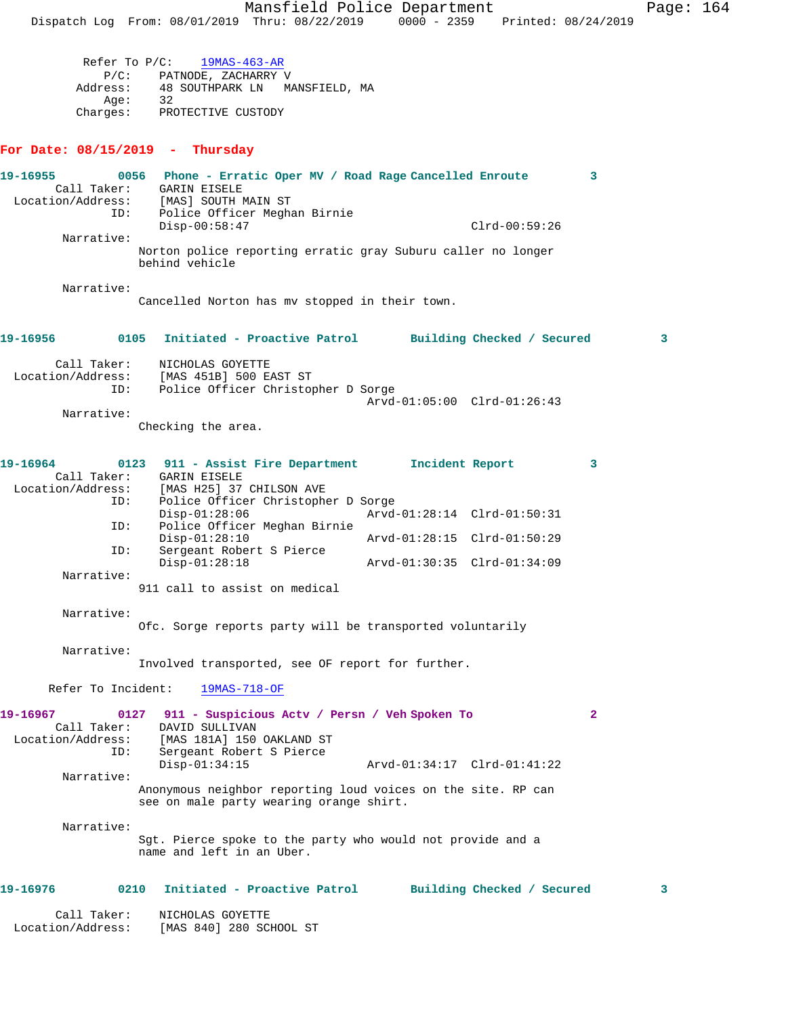Mansfield Police Department Page: 164 Dispatch Log From: 08/01/2019 Thru: 08/22/2019 0000 - 2359 Printed: 08/24/2019 Refer To P/C: 19MAS-463-AR P/C: PATNODE, ZACHARRY V Address: 48 SOUTHPARK LN MANSFIELD, MA Age: 32 Charges: PROTECTIVE CUSTODY **For Date: 08/15/2019 - Thursday 19-16955 0056 Phone - Erratic Oper MV / Road Rage Cancelled Enroute 3**  Call Taker: GARIN EISELE Location/Address: [MAS] SOUTH MAIN ST ID: Police Officer Meghan Birnie Disp-00:58:47 Clrd-00:59:26 Narrative: Norton police reporting erratic gray Suburu caller no longer behind vehicle Narrative: Cancelled Norton has mv stopped in their town. **19-16956 0105 Initiated - Proactive Patrol Building Checked / Secured 3** Call Taker: NICHOLAS GOYETTE Location/Address: [MAS 451B] 500 EAST ST ID: Police Officer Christopher D Sorge Arvd-01:05:00 Clrd-01:26:43 Narrative: Checking the area. **19-16964 0123 911 - Assist Fire Department Incident Report 3**  Call Taker: GARIN EISELE Location/Address: [MAS H25] 37 CHILSON AVE<br>ID: Police Officer Christophe Police Officer Christopher D Sorge<br>Disp-01:28:06 Arvd-Disp-01:28:06 Arvd-01:28:14 Clrd-01:50:31<br>ID: Police Officer Meghan Birnie Police Officer Meghan Birnie Disp-01:28:10 Arvd-01:28:15 Clrd-01:50:29<br>ID: Sergeant Robert S Pierce Sergeant Robert S Pierce<br>Disp-01:28:18 Disp-01:28:18 Arvd-01:30:35 Clrd-01:34:09 Narrative: 911 call to assist on medical Narrative: Ofc. Sorge reports party will be transported voluntarily Narrative: Involved transported, see OF report for further. Refer To Incident: 19MAS-718-OF **19-16967 0127 911 - Suspicious Actv / Persn / Veh Spoken To 2**  Call Taker: DAVID SULLIVAN Location/Address: [MAS 181A] 150 OAKLAND ST ID: Sergeant Robert S Pierce<br>- CAMAMA Disp-01:34:15 Arvd-01:34:17 Clrd-01:41:22 Narrative: Anonymous neighbor reporting loud voices on the site. RP can see on male party wearing orange shirt. Narrative: Sgt. Pierce spoke to the party who would not provide and a name and left in an Uber. **19-16976 0210 Initiated - Proactive Patrol Building Checked / Secured 3** Call Taker: NICHOLAS GOYETTE

Location/Address: [MAS 840] 280 SCHOOL ST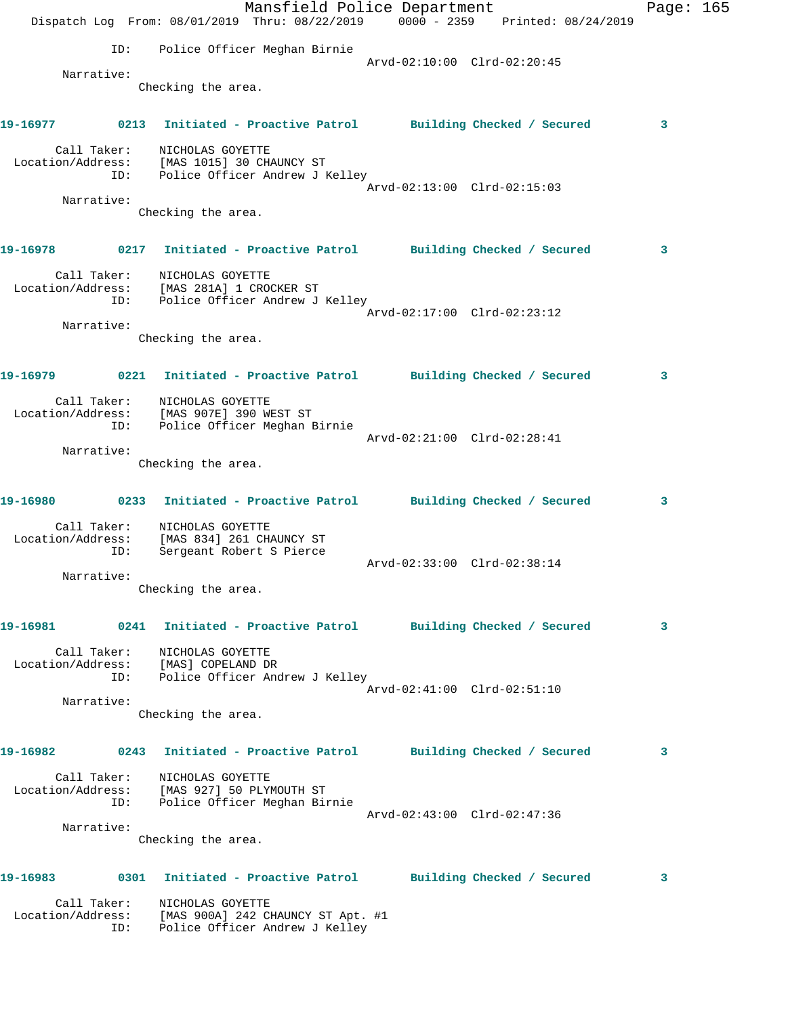|          |                    | Dispatch Log From: 08/01/2019 Thru: 08/22/2019 0000 - 2359 Printed: 08/24/2019                                                         | Mansfield Police Department |                             | Page: 165 |  |
|----------|--------------------|----------------------------------------------------------------------------------------------------------------------------------------|-----------------------------|-----------------------------|-----------|--|
|          | ID:                | Police Officer Meghan Birnie                                                                                                           |                             |                             |           |  |
|          |                    |                                                                                                                                        |                             | Arvd-02:10:00 Clrd-02:20:45 |           |  |
|          | Narrative:         | Checking the area.                                                                                                                     |                             |                             |           |  |
| 19-16977 |                    | 0213 Initiated - Proactive Patrol Building Checked / Secured                                                                           |                             |                             | 3         |  |
|          | Call Taker:        | NICHOLAS GOYETTE                                                                                                                       |                             |                             |           |  |
|          |                    | Location/Address: [MAS 1015] 30 CHAUNCY ST<br>ID: Police Officer Andrew J Kelley                                                       |                             |                             |           |  |
|          |                    |                                                                                                                                        |                             | Arvd-02:13:00 Clrd-02:15:03 |           |  |
|          | Narrative:         | Checking the area.                                                                                                                     |                             |                             |           |  |
|          |                    | 19-16978              0217 Initiated - Proactive Patrol          Building Checked / Secured                                            |                             |                             | 3         |  |
|          | Call Taker:        | NICHOLAS GOYETTE<br>Location/Address: [MAS 281A] 1 CROCKER ST                                                                          |                             |                             |           |  |
|          | ID:                | Police Officer Andrew J Kelley                                                                                                         |                             | Arvd-02:17:00 Clrd-02:23:12 |           |  |
|          | Narrative:         |                                                                                                                                        |                             |                             |           |  |
|          |                    | Checking the area.                                                                                                                     |                             |                             |           |  |
|          |                    | 19-16979             0221 Initiated - Proactive Patrol         Building Checked / Secured                                              |                             |                             | 3         |  |
|          | Call Taker:<br>ID: | NICHOLAS GOYETTE<br>Location/Address: [MAS 907E] 390 WEST ST<br>Police Officer Meghan Birnie                                           |                             |                             |           |  |
|          |                    |                                                                                                                                        |                             | Arvd-02:21:00 Clrd-02:28:41 |           |  |
|          | Narrative:         |                                                                                                                                        |                             |                             |           |  |
|          |                    | Checking the area.                                                                                                                     |                             |                             |           |  |
|          |                    | 19-16980 0233 Initiated - Proactive Patrol Building Checked / Secured                                                                  |                             |                             | 3         |  |
|          | ID:                | Call Taker: NICHOLAS GOYETTE<br>Location/Address: [MAS 834] 261 CHAUNCY ST<br>ID: Sergeant Robert S Pierce<br>Sergeant Robert S Pierce |                             |                             |           |  |
|          |                    |                                                                                                                                        |                             | Arvd-02:33:00 Clrd-02:38:14 |           |  |
|          | Narrative:         | Checking the area.                                                                                                                     |                             |                             |           |  |
| 19-16981 |                    | 0241 Initiated - Proactive Patrol Building Checked / Secured                                                                           |                             |                             | 3         |  |
|          | Call Taker:        | NICHOLAS GOYETTE                                                                                                                       |                             |                             |           |  |
|          | ID:                | Location/Address: [MAS] COPELAND DR<br>Police Officer Andrew J Kelley                                                                  |                             |                             |           |  |
|          |                    |                                                                                                                                        |                             | Arvd-02:41:00 Clrd-02:51:10 |           |  |
|          | Narrative:         | Checking the area.                                                                                                                     |                             |                             |           |  |
| 19-16982 |                    | 0243 Initiated - Proactive Patrol Building Checked / Secured                                                                           |                             |                             | 3         |  |
|          | Call Taker:<br>ID: | NICHOLAS GOYETTE<br>Location/Address: [MAS 927] 50 PLYMOUTH ST                                                                         |                             |                             |           |  |
|          |                    | Police Officer Meghan Birnie                                                                                                           |                             | Arvd-02:43:00 Clrd-02:47:36 |           |  |
|          | Narrative:         | Checking the area.                                                                                                                     |                             |                             |           |  |
|          |                    |                                                                                                                                        |                             |                             |           |  |
| 19-16983 |                    | 0301 Initiated - Proactive Patrol                                                                                                      |                             | Building Checked / Secured  | 3         |  |
|          | Call Taker:<br>ID: | NICHOLAS GOYETTE<br>Location/Address: [MAS 900A] 242 CHAUNCY ST Apt. #1<br>Police Officer Andrew J Kelley                              |                             |                             |           |  |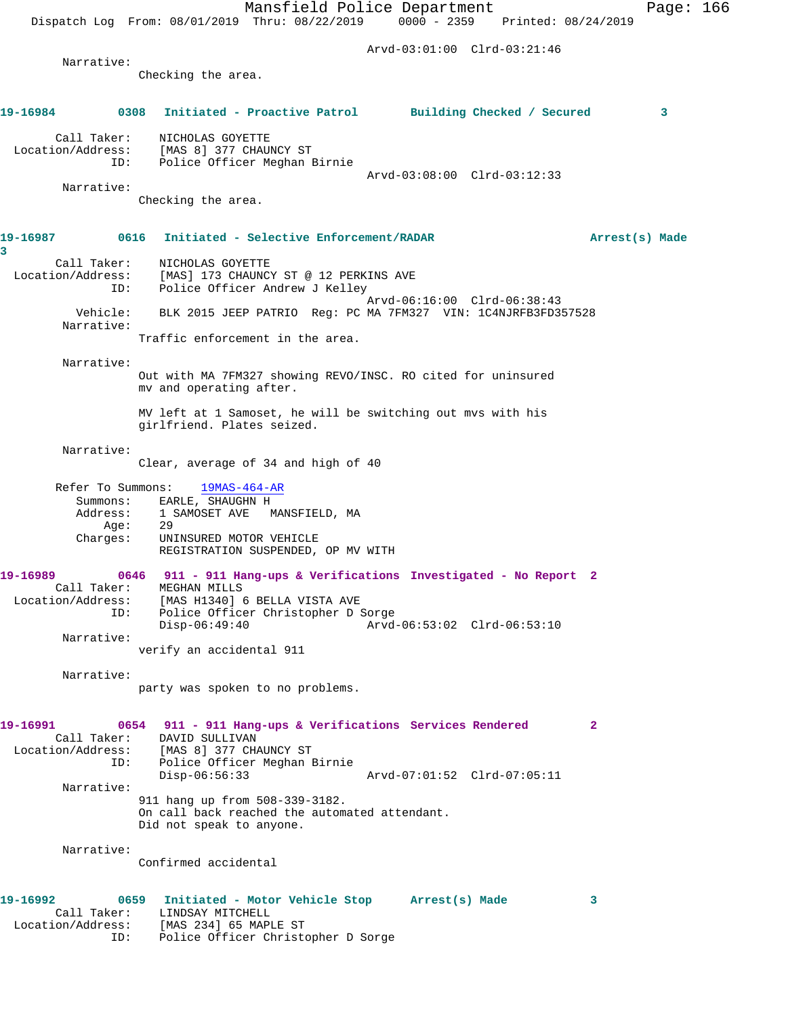Mansfield Police Department Page: 166 Dispatch Log From: 08/01/2019 Thru: 08/22/2019 0000 - 2359 Printed: 08/24/2019 Arvd-03:01:00 Clrd-03:21:46 Narrative: Checking the area. **19-16984 0308 Initiated - Proactive Patrol Building Checked / Secured 3** Call Taker: NICHOLAS GOYETTE Location/Address: [MAS 8] 377 CHAUNCY ST ID: Police Officer Meghan Birnie Arvd-03:08:00 Clrd-03:12:33 Narrative: Checking the area. **19-16987 0616 Initiated - Selective Enforcement/RADAR Arrest(s) Made 3**  Call Taker: NICHOLAS GOYETTE Location/Address: [MAS] 173 CHAUNCY ST @ 12 PERKINS AVE ID: Police Officer Andrew J Kelley Arvd-06:16:00 Clrd-06:38:43 Vehicle: BLK 2015 JEEP PATRIO Reg: PC MA 7FM327 VIN: 1C4NJRFB3FD357528 Narrative: Traffic enforcement in the area. Narrative: Out with MA 7FM327 showing REVO/INSC. RO cited for uninsured mv and operating after. MV left at 1 Samoset, he will be switching out mvs with his girlfriend. Plates seized. Narrative: Clear, average of 34 and high of 40 Refer To Summons:  $19MAS-464-AR$ Summons: EARLE, SHAUGHN H<br>Address: 1 SAMOSET AVE M 1 SAMOSET AVE MANSFIELD, MA  $Age: 29$  Charges: UNINSURED MOTOR VEHICLE REGISTRATION SUSPENDED, OP MV WITH **19-16989 0646 911 - 911 Hang-ups & Verifications Investigated - No Report 2**  Call Taker: MEGHAN MILLS Location/Address: [MAS H1340] 6 BELLA VISTA AVE ID: Police Officer Christopher D Sorge Disp-06:49:40 Arvd-06:53:02 Clrd-06:53:10 Narrative: verify an accidental 911 Narrative: party was spoken to no problems. **19-16991 0654 911 - 911 Hang-ups & Verifications Services Rendered 2**  Call Taker: DAVID SULLIVAN Location/Address: [MAS 8] 377 CHAUNCY ST ID: Police Officer Meghan Birnie Disp-06:56:33 Arvd-07:01:52 Clrd-07:05:11 Narrative: 911 hang up from 508-339-3182. On call back reached the automated attendant. Did not speak to anyone. Narrative: Confirmed accidental **19-16992 0659 Initiated - Motor Vehicle Stop Arrest(s) Made 3**  Call Taker: LINDSAY MITCHELL Location/Address: [MAS 234] 65 MAPLE ST ID: Police Officer Christopher D Sorge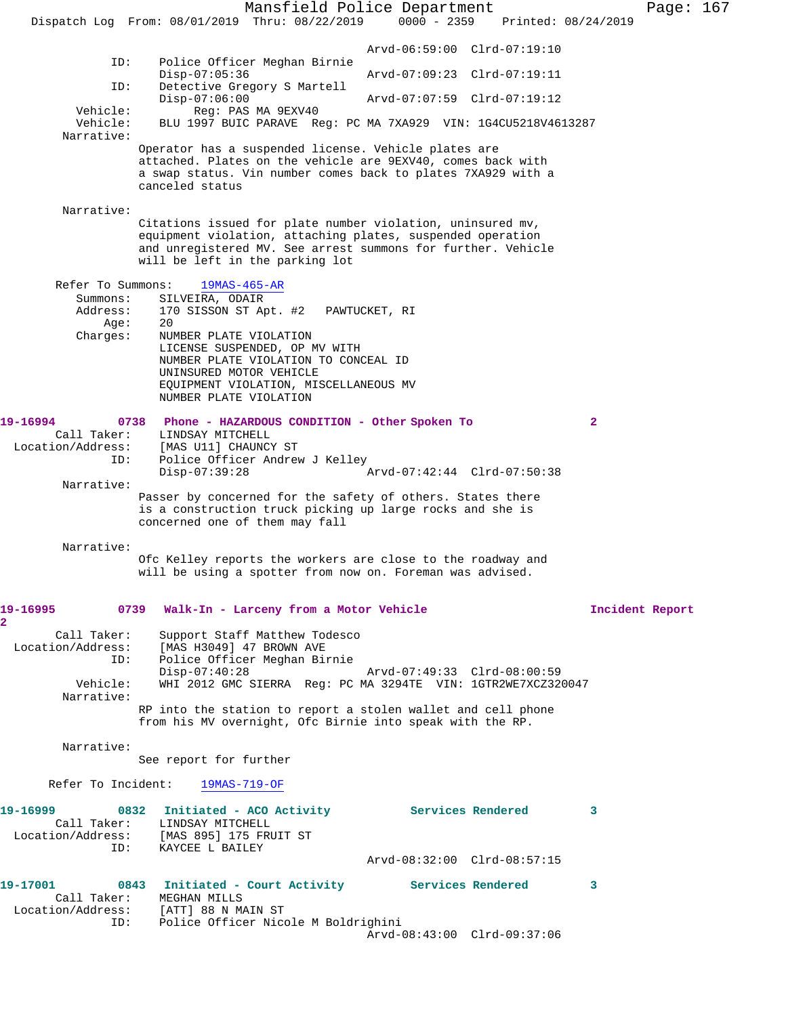Mansfield Police Department Page: 167 Dispatch Log From: 08/01/2019 Thru: 08/22/2019 0000 - 2359 Printed: 08/24/2019 Arvd-06:59:00 Clrd-07:19:10<br>TD: Police Officer Meghan Birnie Police Officer Meghan Birnie<br>Disp-07:05:36 Disp-07:05:36 Arvd-07:09:23 Clrd-07:19:11 ID: Detective Gregory S Martell Disp-07:06:00 Arvd-07:07:59 Clrd-07:19:12<br>Vehicle: Reg: PAS MA 9EXV40 Reg: PAS MA 9EXV40 Vehicle: BLU 1997 BUIC PARAVE Reg: PC MA 7XA929 VIN: 1G4CU5218V4613287 Narrative: Operator has a suspended license. Vehicle plates are attached. Plates on the vehicle are 9EXV40, comes back with a swap status. Vin number comes back to plates 7XA929 with a canceled status Narrative: Citations issued for plate number violation, uninsured mv, equipment violation, attaching plates, suspended operation and unregistered MV. See arrest summons for further. Vehicle will be left in the parking lot Refer To Summons: 19MAS-465-AR Summons: SILVEIRA, ODAIR<br>Address: 170 SISSON ST Ap 170 SISSON ST Apt. #2 PAWTUCKET, RI<br>20 Age: Charges: NUMBER PLATE VIOLATION LICENSE SUSPENDED, OP MV WITH NUMBER PLATE VIOLATION TO CONCEAL ID UNINSURED MOTOR VEHICLE EQUIPMENT VIOLATION, MISCELLANEOUS MV NUMBER PLATE VIOLATION **19-16994 0738 Phone - HAZARDOUS CONDITION - Other Spoken To 2**  Call Taker: LINDSAY MITCHELL<br>Location/Address: [MAS U11] CHAUNCY ess: [MAS U11] CHAUNCY ST<br>ID: Police Officer Andrew Police Officer Andrew J Kelley<br>Disp-07:39:28  $Arvd-07:42:44$  Clrd-07:50:38 Narrative: Passer by concerned for the safety of others. States there is a construction truck picking up large rocks and she is concerned one of them may fall Narrative: Ofc Kelley reports the workers are close to the roadway and will be using a spotter from now on. Foreman was advised. **19-16995 0739 Walk-In - Larceny from a Motor Vehicle Incident Report** Call Taker: Support Staff Matthew Todesco Location/Address: [MAS H3049] 47 BROWN AVE ID: Police Officer Meghan Birnie Disp-07:40:28 Arvd-07:49:33 Clrd-08:00:59<br>Vehicle: WHI 2012 GMC SIERRA Req: PC MA 3294TE VIN: 1GTR2WE7XCZ32 WHI 2012 GMC SIERRA Reg: PC MA 3294TE VIN: 1GTR2WE7XCZ320047 Narrative: RP into the station to report a stolen wallet and cell phone from his MV overnight, Ofc Birnie into speak with the RP. Narrative: See report for further Refer To Incident: 19MAS-719-OF **19-16999 0832 Initiated - ACO Activity Services Rendered 3**  Call Taker: LINDSAY MITCHELL Location/Address: [MAS 895] 175 FRUIT ST ID: KAYCEE L BAILEY Arvd-08:32:00 Clrd-08:57:15 **19-17001 0843 Initiated - Court Activity Services Rendered 3**  Call Taker: MEGHAN MILLS Location/Address: [ATT] 88 N MAIN ST ID: Police Officer Nicole M Boldrighini Arvd-08:43:00 Clrd-09:37:06

**2**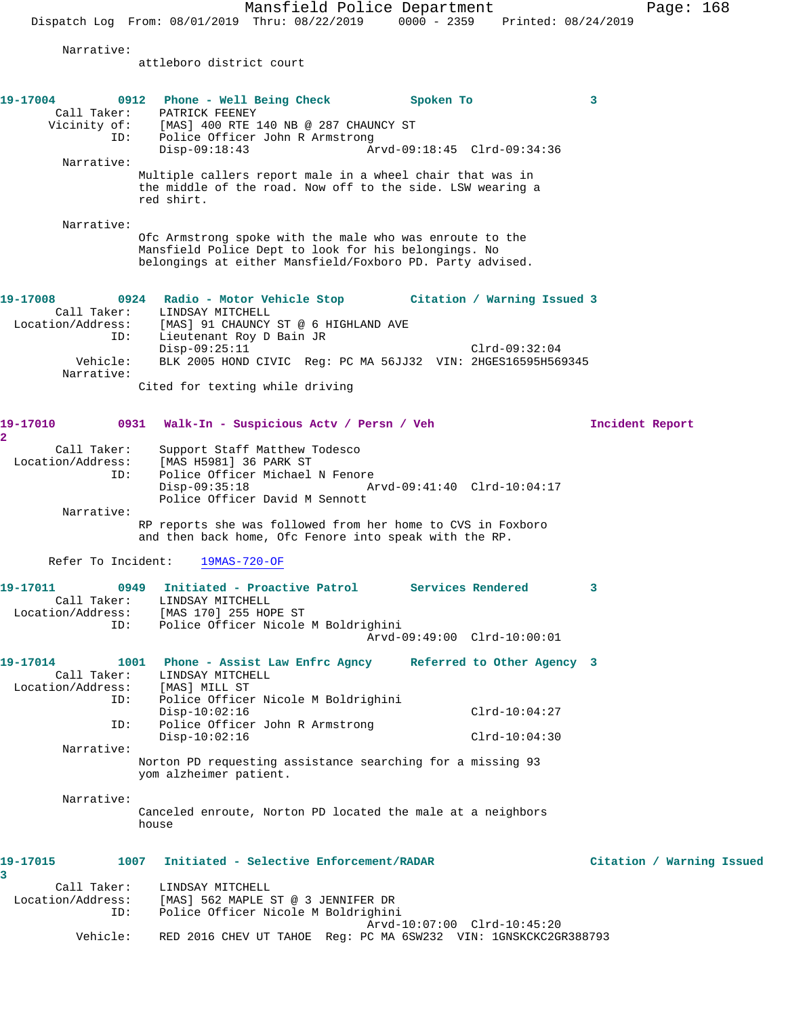Mansfield Police Department Page: 168 Dispatch Log From: 08/01/2019 Thru: 08/22/2019 0000 - 2359 Printed: 08/24/2019 Narrative: attleboro district court **19-17004 0912 Phone - Well Being Check Spoken To 3**  Call Taker: PATRICK FEENEY Vicinity of: [MAS] 400 RTE 140 NB @ 287 CHAUNCY ST ID: Police Officer John R Armstrong Disp-09:18:43 Arvd-09:18:45 Clrd-09:34:36 Narrative: Multiple callers report male in a wheel chair that was in the middle of the road. Now off to the side. LSW wearing a red shirt. Narrative: Ofc Armstrong spoke with the male who was enroute to the Mansfield Police Dept to look for his belongings. No belongings at either Mansfield/Foxboro PD. Party advised. **19-17008 0924 Radio - Motor Vehicle Stop Citation / Warning Issued 3**  Call Taker: LINDSAY MITCHELL Location/Address: [MAS] 91 CHAUNCY ST @ 6 HIGHLAND AVE ID: Lieutenant Roy D Bain JR Disp-09:25:11 Clrd-09:32:04 Vehicle: BLK 2005 HOND CIVIC Reg: PC MA 56JJ32 VIN: 2HGES16595H569345 Narrative: Cited for texting while driving **19-17010 0931 Walk-In - Suspicious Actv / Persn / Veh Incident Report 2**  Call Taker: Support Staff Matthew Todesco Location/Address: [MAS H5981] 36 PARK ST Police Officer Michael N Fenore<br>Disp-09:35:18 A Disp-09:35:18 Arvd-09:41:40 Clrd-10:04:17 Police Officer David M Sennott Narrative: RP reports she was followed from her home to CVS in Foxboro and then back home, Ofc Fenore into speak with the RP. Refer To Incident: 19MAS-720-OF **19-17011 0949 Initiated - Proactive Patrol Services Rendered 3**  Call Taker: LINDSAY MITCHELL Location/Address: [MAS 170] 255 HOPE ST ID: Police Officer Nicole M Boldrighini Arvd-09:49:00 Clrd-10:00:01 **19-17014 1001 Phone - Assist Law Enfrc Agncy Referred to Other Agency 3**  Call Taker: LINDSAY MITCHELL Location/Address: [MAS] MILL ST ID: Police Officer Nicole M Boldrighini Disp-10:02:16 Clrd-10:04:27 ID: Police Officer John R Armstrong Disp-10:02:16 Clrd-10:04:30 Narrative: Norton PD requesting assistance searching for a missing 93 yom alzheimer patient. Narrative: Canceled enroute, Norton PD located the male at a neighbors house **19-17015 1007 Initiated - Selective Enforcement/RADAR Citation / Warning Issued 3**  Call Taker: LINDSAY MITCHELL Location/Address: [MAS] 562 MAPLE ST @ 3 JENNIFER DR ID: Police Officer Nicole M Boldrighini Arvd-10:07:00 Clrd-10:45:20 Vehicle: RED 2016 CHEV UT TAHOE Reg: PC MA 6SW232 VIN: 1GNSKCKC2GR388793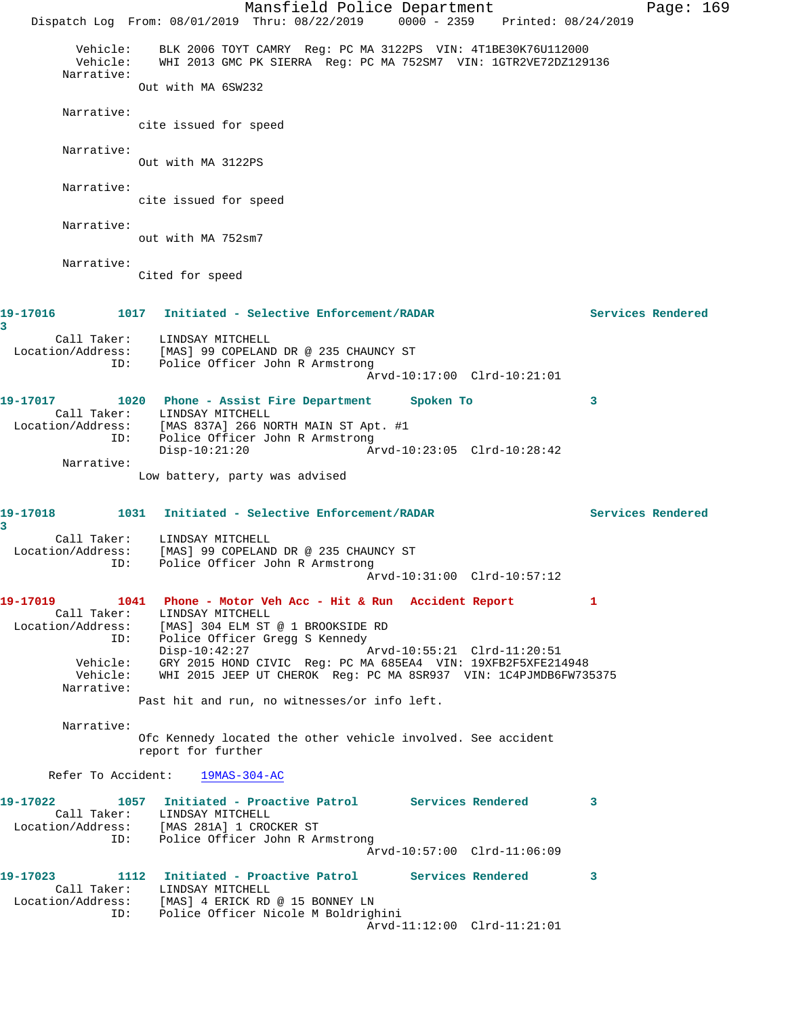Mansfield Police Department Fage: 169 Dispatch Log From: 08/01/2019 Thru: 08/22/2019 0000 - 2359 Printed: 08/24/2019 Vehicle: BLK 2006 TOYT CAMRY Reg: PC MA 3122PS VIN: 4T1BE30K76U112000 Vehicle: WHI 2013 GMC PK SIERRA Reg: PC MA 752SM7 VIN: 1GTR2VE72DZ129136 Narrative: Out with MA 6SW232 Narrative: cite issued for speed Narrative: Out with MA 3122PS Narrative: cite issued for speed Narrative: out with MA 752sm7 Narrative: Cited for speed **19-17016 1017 Initiated - Selective Enforcement/RADAR Services Rendered 3**  Call Taker: LINDSAY MITCHELL Location/Address: [MAS] 99 COPELAND DR @ 235 CHAUNCY ST ID: Police Officer John R Armstrong Arvd-10:17:00 Clrd-10:21:01 **19-17017 1020 Phone - Assist Fire Department Spoken To 3**  Call Taker: LINDSAY MITCHELL Location/Address: [MAS 837A] 266 NORTH MAIN ST Apt. #1 ID: Police Officer John R Armstrong Disp-10:21:20 Arvd-10:23:05 Clrd-10:28:42 Narrative: Low battery, party was advised **19-17018 1031 Initiated - Selective Enforcement/RADAR Services Rendered 3**  Call Taker: LINDSAY MITCHELL Location/Address: [MAS] 99 COPELAND DR @ 235 CHAUNCY ST ID: Police Officer John R Armstrong Arvd-10:31:00 Clrd-10:57:12 **19-17019 1041 Phone - Motor Veh Acc - Hit & Run Accident Report 1**  Call Taker: LINDSAY MITCHELL Location/Address: [MAS] 304 ELM ST @ 1 BROOKSIDE RD ID: Police Officer Gregg S Kennedy Disp-10:42:27 Arvd-10:55:21 Clrd-11:20:51 Vehicle: GRY 2015 HOND CIVIC Reg: PC MA 685EA4 VIN: 19XFB2F5XFE214948 Vehicle: WHI 2015 JEEP UT CHEROK Reg: PC MA 8SR937 VIN: 1C4PJMDB6FW735375 Narrative: Past hit and run, no witnesses/or info left. Narrative: Ofc Kennedy located the other vehicle involved. See accident report for further Refer To Accident: 19MAS-304-AC **19-17022 1057 Initiated - Proactive Patrol Services Rendered 3**  Call Taker: LINDSAY MITCHELL<br>Location/Address: [MAS 281A] 1 CRO<br>ID: Police Officer Jo [MAS 281A] 1 CROCKER ST Police Officer John R Armstrong Arvd-10:57:00 Clrd-11:06:09 **19-17023 1112 Initiated - Proactive Patrol Services Rendered 3**  Call Taker: LINDSAY MITCHELL Location/Address: [MAS] 4 ERICK RD @ 15 BONNEY LN ID: Police Officer Nicole M Boldrighini Arvd-11:12:00 Clrd-11:21:01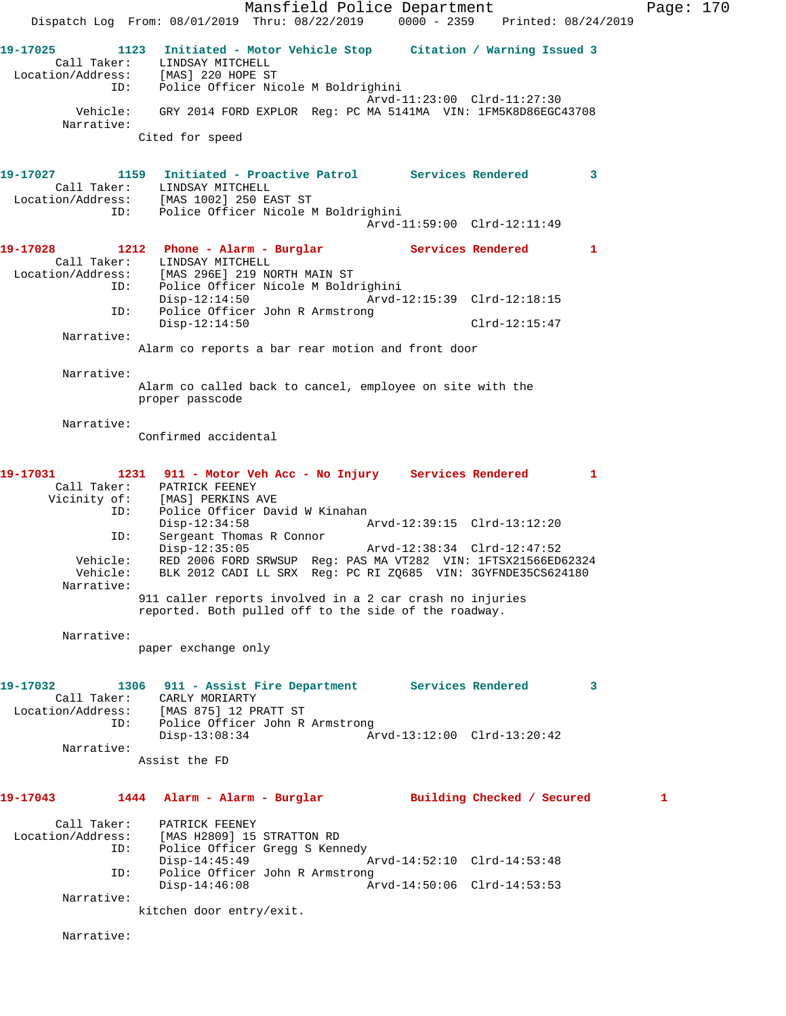Mansfield Police Department Fage: 170 Dispatch Log From: 08/01/2019 Thru: 08/22/2019 0000 - 2359 Printed: 08/24/2019 **19-17025 1123 Initiated - Motor Vehicle Stop Citation / Warning Issued 3**  Call Taker: LINDSAY MITCHELL Location/Address: [MAS] 220 HOPE ST ID: Police Officer Nicole M Boldrighini Arvd-11:23:00 Clrd-11:27:30 Vehicle: GRY 2014 FORD EXPLOR Reg: PC MA 5141MA VIN: 1FM5K8D86EGC43708 Narrative: Cited for speed **19-17027 1159 Initiated - Proactive Patrol Services Rendered 3**  Call Taker: LINDSAY MITCHELL Location/Address: [MAS 1002] 250 EAST ST ID: Police Officer Nicole M Boldrighini Arvd-11:59:00 Clrd-12:11:49 **19-17028 1212 Phone - Alarm - Burglar Services Rendered 1**  Call Taker: LINDSAY MITCHELL Location/Address: [MAS 296E] 219 NORTH MAIN ST ID: Police Officer Nicole M Boldrighini Disp-12:14:50 Arvd-12:15:39 Clrd-12:18:15 Police Officer John R Armstrong ID: Police Officer John R Armstrong<br>Disp-12:14:50 Clrd-12:15:47 Narrative: Alarm co reports a bar rear motion and front door Narrative: Alarm co called back to cancel, employee on site with the proper passcode Narrative: Confirmed accidental **19-17031 1231 911 - Motor Veh Acc - No Injury Services Rendered 1**  Call Taker: PATRICK FEENEY Vicinity of: [MAS] PERKINS AVE ID: Police Officer David W Kinahan<br>Disp-12:34:58 Arvd-12:39:15 Clrd-13:12:20 Disp-12:34:58 Arvd-12:39:15 Clrd-13:12:20 ID: Sergeant Thomas R Connor Disp-12:35:05 Arvd-12:38:34 Clrd-12:47:52 Vehicle: RED 2006 FORD SRWSUP Reg: PAS MA VT282 VIN: 1FTSX21566ED62324 Vehicle: BLK 2012 CADI LL SRX Reg: PC RI ZQ685 VIN: 3GYFNDE35CS624180 Narrative: 911 caller reports involved in a 2 car crash no injuries reported. Both pulled off to the side of the roadway. Narrative: paper exchange only **19-17032 1306 911 - Assist Fire Department Services Rendered 3**  Call Taker: CARLY MORIARTY Location/Address: [MAS 875] 12 PRATT ST ID: Police Officer John R Armstrong Disp-13:08:34 Arvd-13:12:00 Clrd-13:20:42 Narrative: Assist the FD **19-17043 1444 Alarm - Alarm - Burglar Building Checked / Secured 1** Call Taker: PATRICK FEENEY Location/Address: [MAS H2809] 15 STRATTON RD ID: Police Officer Gregg S Kennedy Disp-14:45:49 Arvd-14:52:10 Clrd-14:53:48 ID: Police Officer John R Armstrong Disp-14:46:08 Arvd-14:50:06 Clrd-14:53:53 Narrative: kitchen door entry/exit.

Narrative: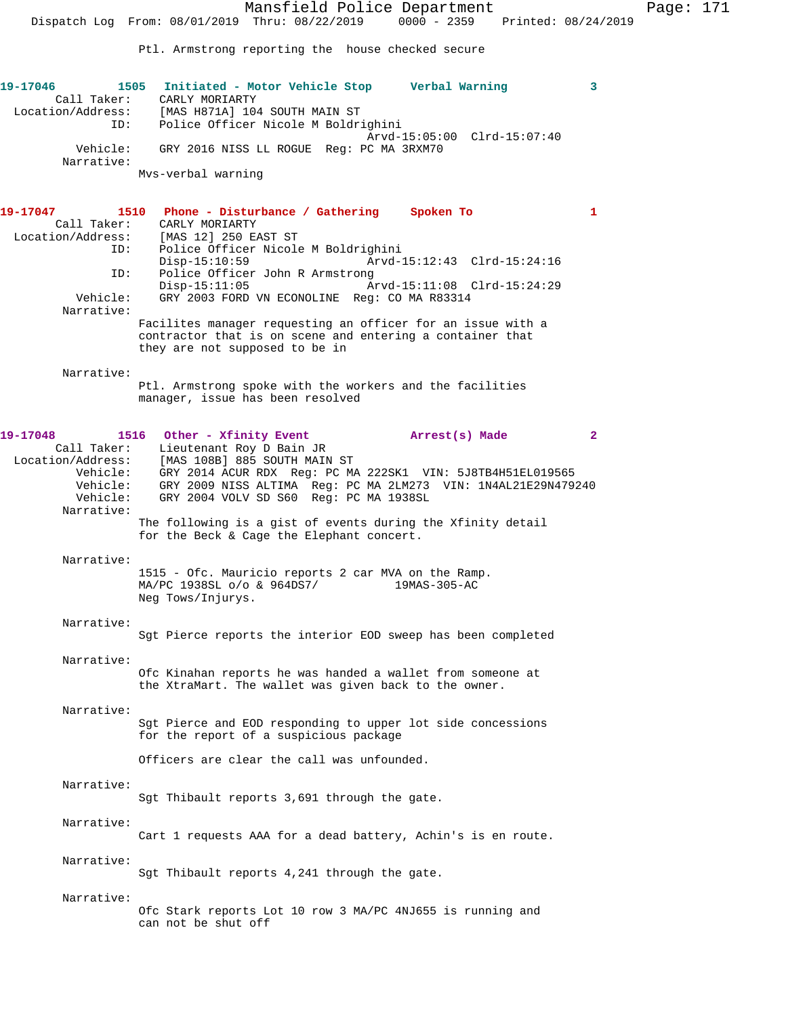Mansfield Police Department Page: 171 Dispatch Log From: 08/01/2019 Thru: 08/22/2019 0000 - 2359 Printed: 08/24/2019 Ptl. Armstrong reporting the house checked secure **19-17046 1505 Initiated - Motor Vehicle Stop Verbal Warning 3**  Call Taker: CARLY MORIARTY Location/Address: [MAS H871A] 104 SOUTH MAIN ST ID: Police Officer Nicole M Boldrighini Arvd-15:05:00 Clrd-15:07:40 Vehicle: GRY 2016 NISS LL ROGUE Reg: PC MA 3RXM70 Narrative: Mvs-verbal warning **19-17047 1510 Phone - Disturbance / Gathering Spoken To 1**  Call Taker: CARLY MORIARTY Location/Address: [MAS 12] 250 EAST ST<br>ID: Police Officer Nicole Police Officer Nicole M Boldrighini Disp-15:10:59 Arvd-15:12:43 Clrd-15:24:16<br>TD: Police Officer John R Armstrong Police Officer John R Armstrong<br>Disp-15:11:05 A Disp-15:11:05<br>Vehicle: GRY 2003 FORD VN ECONOLINE Req: CO MA R83314 GRY 2003 FORD VN ECONOLINE Reg: CO MA R83314 Narrative: Facilites manager requesting an officer for an issue with a contractor that is on scene and entering a container that they are not supposed to be in Narrative: Ptl. Armstrong spoke with the workers and the facilities manager, issue has been resolved 19-17048 1516 Other - Xfinity Event **Arrest(s)** Made 2 Call Taker: Lieutenant Roy D Bain JR Location/Address: [MAS 108B] 885 SOUTH MAIN ST Vehicle: GRY 2014 ACUR RDX Reg: PC MA 222SK1 VIN: 5J8TB4H51EL019565 Vehicle: GRY 2009 NISS ALTIMA Reg: PC MA 2LM273 VIN: 1N4AL21E29N479240 Vehicle: GRY 2004 VOLV SD S60 Reg: PC MA 1938SL Narrative: The following is a gist of events during the Xfinity detail for the Beck & Cage the Elephant concert. Narrative: 1515 - Ofc. Mauricio reports 2 car MVA on the Ramp. MA/PC 1938SL o/o & 964DS7/ Neg Tows/Injurys. Narrative: Sgt Pierce reports the interior EOD sweep has been completed Narrative: Ofc Kinahan reports he was handed a wallet from someone at the XtraMart. The wallet was given back to the owner. Narrative: Sgt Pierce and EOD responding to upper lot side concessions for the report of a suspicious package Officers are clear the call was unfounded. Narrative: Sgt Thibault reports 3,691 through the gate. Narrative: Cart 1 requests AAA for a dead battery, Achin's is en route. Narrative: Sgt Thibault reports 4,241 through the gate. Narrative: Ofc Stark reports Lot 10 row 3 MA/PC 4NJ655 is running and can not be shut off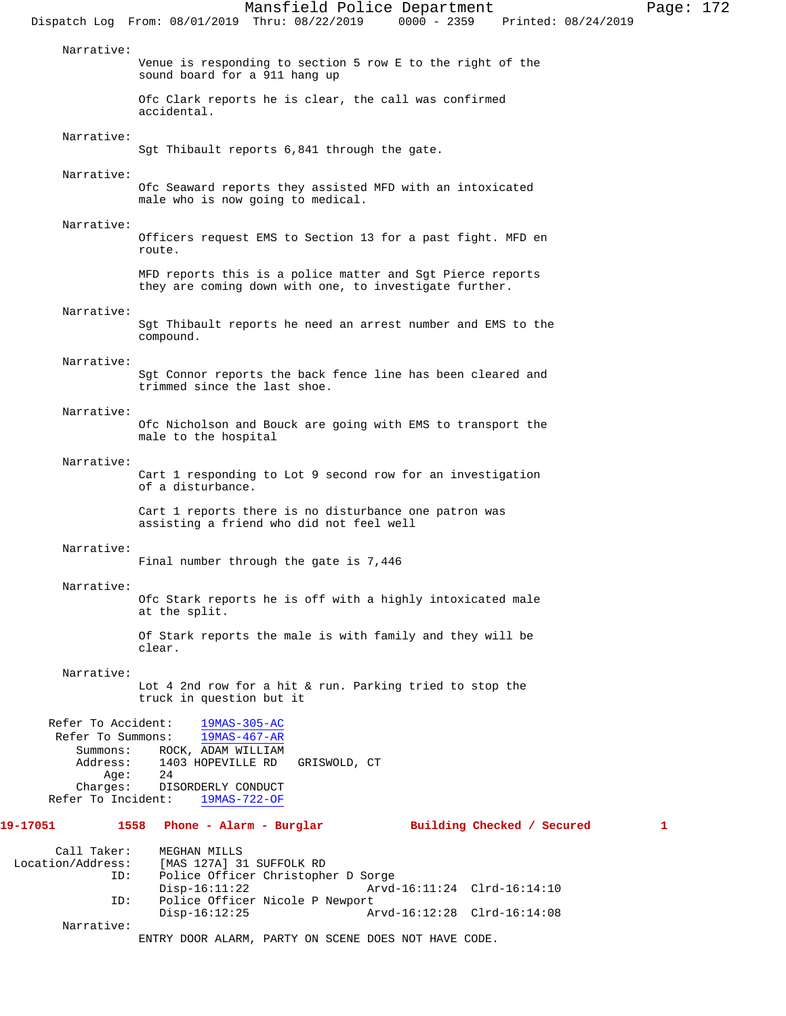Mansfield Police Department Page: 172 Dispatch Log From: 08/01/2019 Thru: 08/22/2019 0000 - 2359 Printed: 08/24/2019 Narrative: Venue is responding to section 5 row E to the right of the sound board for a 911 hang up Ofc Clark reports he is clear, the call was confirmed accidental. Narrative: Sgt Thibault reports 6,841 through the gate. Narrative: Ofc Seaward reports they assisted MFD with an intoxicated male who is now going to medical. Narrative: Officers request EMS to Section 13 for a past fight. MFD en route. MFD reports this is a police matter and Sgt Pierce reports they are coming down with one, to investigate further. Narrative: Sgt Thibault reports he need an arrest number and EMS to the compound. Narrative: Sgt Connor reports the back fence line has been cleared and trimmed since the last shoe. Narrative: Ofc Nicholson and Bouck are going with EMS to transport the male to the hospital Narrative: Cart 1 responding to Lot 9 second row for an investigation of a disturbance. Cart 1 reports there is no disturbance one patron was assisting a friend who did not feel well Narrative: Final number through the gate is 7,446 Narrative: Ofc Stark reports he is off with a highly intoxicated male at the split. Of Stark reports the male is with family and they will be clear. Narrative: Lot 4 2nd row for a hit & run. Parking tried to stop the truck in question but it Refer To Accident:  $\frac{19MAS-305-AC}{19MAS-467-AR}$ Refer To Summons: Summons: ROCK, ADAM WILLIAM Address: 1403 HOPEVILLE RD GRISWOLD, CT<br>Age: 24 Age: Charges: DISORDERLY CONDUCT<br>er To Incident: 19MAS-722-OF Refer To Incident: **19-17051 1558 Phone - Alarm - Burglar Building Checked / Secured 1** Call Taker: MEGHAN MILLS<br>Location/Address: [MAS 127A] 3 [MAS 127A] 31 SUFFOLK RD ID: Police Officer Christopher D Sorge Disp-16:11:22 Arvd-16:11:24 Clrd-16:14:10<br>TD: Police Officer Nicole P Newport Police Officer Nicole P Newport Disp-16:12:25 Arvd-16:12:28 Clrd-16:14:08 Narrative: ENTRY DOOR ALARM, PARTY ON SCENE DOES NOT HAVE CODE.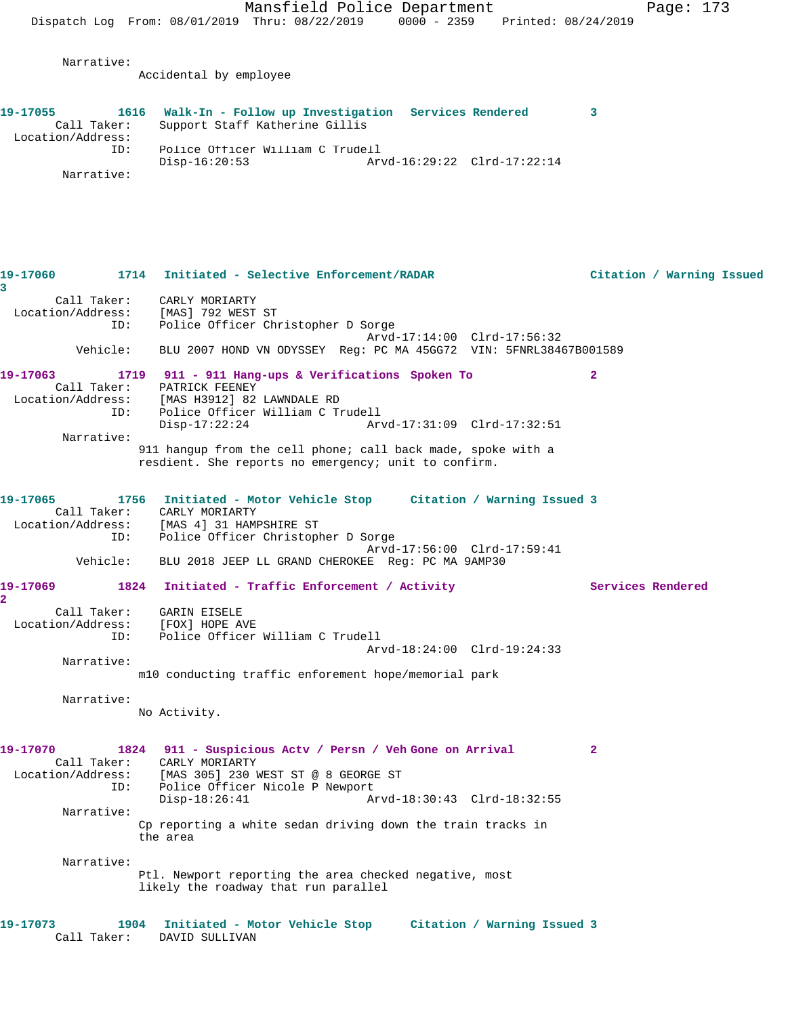**19-17055 1616 Walk-In - Follow up Investigation Services Rendered 3** 

Narrative:

Accidental by employee

| Call Taker:<br>Location/Address: | Support Staff Katherine Gillis                                                                                       |                             |                   |                           |
|----------------------------------|----------------------------------------------------------------------------------------------------------------------|-----------------------------|-------------------|---------------------------|
| ID:                              | Police Officer William C Trudell                                                                                     |                             |                   |                           |
|                                  | $Disp-16:20:53$                                                                                                      | Arvd-16:29:22 Clrd-17:22:14 |                   |                           |
| Narrative:                       |                                                                                                                      |                             |                   |                           |
|                                  |                                                                                                                      |                             |                   |                           |
| 19-17060<br>3                    | 1714 Initiated - Selective Enforcement/RADAR                                                                         |                             |                   | Citation / Warning Issued |
|                                  | Call Taker: CARLY MORIARTY                                                                                           |                             |                   |                           |
| Location/Address:                | [MAS] 792 WEST ST                                                                                                    |                             |                   |                           |
| ID:                              | Police Officer Christopher D Sorge                                                                                   |                             |                   |                           |
|                                  |                                                                                                                      | Arvd-17:14:00 Clrd-17:56:32 |                   |                           |
| Vehicle:                         | BLU 2007 HOND VN ODYSSEY Reg: PC MA 45GG72 VIN: 5FNRL38467B001589                                                    |                             |                   |                           |
| 19-17063                         | 1719 911 - 911 Hang-ups & Verifications Spoken To                                                                    |                             | $\overline{2}$    |                           |
|                                  | Call Taker: PATRICK FEENEY                                                                                           |                             |                   |                           |
|                                  | Location/Address: [MAS H3912] 82 LAWNDALE RD                                                                         |                             |                   |                           |
| ID:                              | Police Officer William C Trudell                                                                                     |                             |                   |                           |
|                                  | Disp-17:22:24                                                                                                        | Arvd-17:31:09 Clrd-17:32:51 |                   |                           |
| Narrative:                       |                                                                                                                      |                             |                   |                           |
|                                  | 911 hangup from the cell phone; call back made, spoke with a<br>resdient. She reports no emergency; unit to confirm. |                             |                   |                           |
|                                  |                                                                                                                      |                             |                   |                           |
| 19-17065                         | 1756 Initiated - Motor Vehicle Stop Citation / Warning Issued 3                                                      |                             |                   |                           |
| Call Taker:                      | CARLY MORIARTY                                                                                                       |                             |                   |                           |
|                                  | Location/Address: [MAS 4] 31 HAMPSHIRE ST                                                                            |                             |                   |                           |
| ID:                              | Police Officer Christopher D Sorge                                                                                   |                             |                   |                           |
| Vehicle:                         | BLU 2018 JEEP LL GRAND CHEROKEE Req: PC MA 9AMP30                                                                    | Arvd-17:56:00 Clrd-17:59:41 |                   |                           |
|                                  |                                                                                                                      |                             |                   |                           |
| 19-17069<br>$\overline{2}$       | 1824 Initiated - Traffic Enforcement / Activity                                                                      |                             | Services Rendered |                           |
| Call Taker: GARIN EISELE         |                                                                                                                      |                             |                   |                           |
| Location/Address:                | [FOX] HOPE AVE                                                                                                       |                             |                   |                           |
| ID:                              | Police Officer William C Trudell                                                                                     |                             |                   |                           |
|                                  |                                                                                                                      | Arvd-18:24:00 Clrd-19:24:33 |                   |                           |
| Narrative:                       |                                                                                                                      |                             |                   |                           |
|                                  | m10 conducting traffic enforement hope/memorial park                                                                 |                             |                   |                           |
| Narrative:                       |                                                                                                                      |                             |                   |                           |
|                                  | No Activity.                                                                                                         |                             |                   |                           |

**19-17070 1824 911 - Suspicious Actv / Persn / Veh Gone on Arrival 2**  Call Taker: CARLY MORIARTY Location/Address: [MAS 305] 230 WEST ST @ 8 GEORGE ST ID: Police Officer Nicole P Newport<br>Disp-18:26:41 Az Disp-18:26:41 Arvd-18:30:43 Clrd-18:32:55 Narrative: Cp reporting a white sedan driving down the train tracks in the area Narrative: Ptl. Newport reporting the area checked negative, most

likely the roadway that run parallel

**19-17073 1904 Initiated - Motor Vehicle Stop Citation / Warning Issued 3**  Call Taker: DAVID SULLIVAN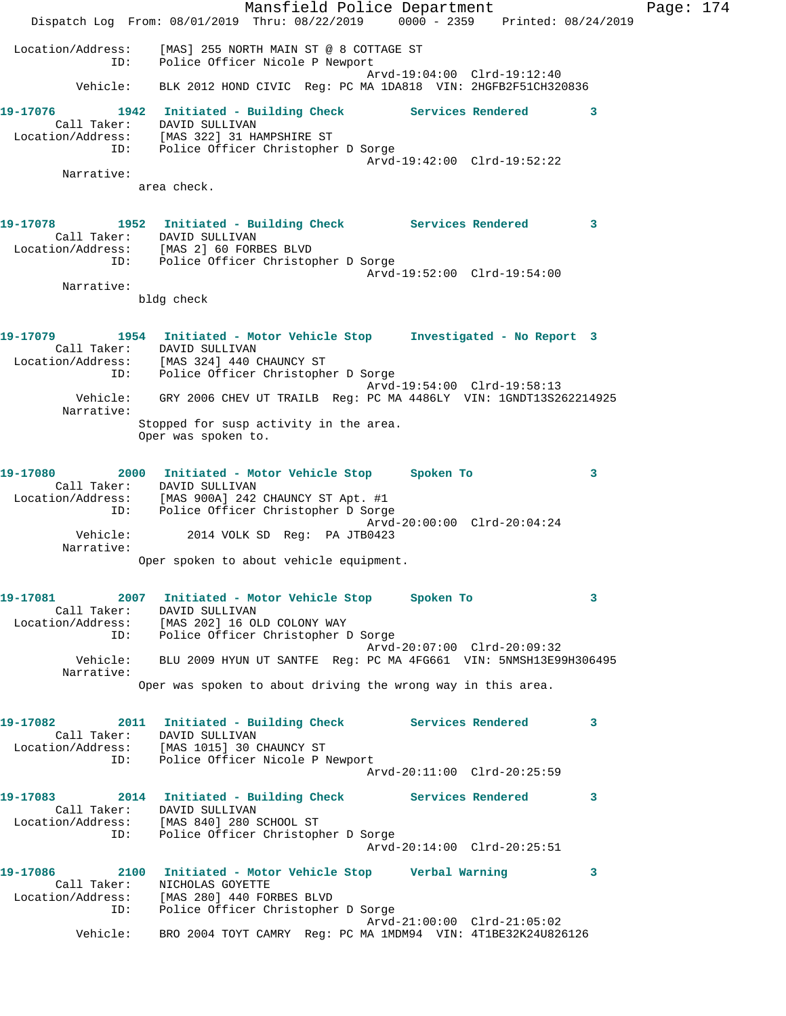Mansfield Police Department Fage: 174 Dispatch Log From: 08/01/2019 Thru: 08/22/2019 0000 - 2359 Printed: 08/24/2019 Location/Address: [MAS] 255 NORTH MAIN ST @ 8 COTTAGE ST ID: Police Officer Nicole P Newport Arvd-19:04:00 Clrd-19:12:40 Vehicle: BLK 2012 HOND CIVIC Reg: PC MA 1DA818 VIN: 2HGFB2F51CH320836 **19-17076 1942 Initiated - Building Check Services Rendered 3**  Call Taker: DAVID SULLIVAN Location/Address: [MAS 322] 31 HAMPSHIRE ST ID: Police Officer Christopher D Sorge Arvd-19:42:00 Clrd-19:52:22 Narrative: area check. **19-17078 1952 Initiated - Building Check Services Rendered 3**  Call Taker: DAVID SULLIVAN Location/Address: [MAS 2] 60 FORBES BLVD ID: Police Officer Christopher D Sorge Arvd-19:52:00 Clrd-19:54:00 Narrative: bldg check **19-17079 1954 Initiated - Motor Vehicle Stop Investigated - No Report 3**  Call Taker: DAVID SULLIVAN Location/Address: [MAS 324] 440 CHAUNCY ST ID: Police Officer Christopher D Sorge Arvd-19:54:00 Clrd-19:58:13 Vehicle: GRY 2006 CHEV UT TRAILB Reg: PC MA 4486LY VIN: 1GNDT13S262214925 Narrative: Stopped for susp activity in the area. Oper was spoken to. **19-17080 2000 Initiated - Motor Vehicle Stop Spoken To 3**  Call Taker: DAVID SULLIVAN Location/Address: [MAS 900A] 242 CHAUNCY ST Apt. #1 ID: Police Officer Christopher D Sorge Arvd-20:00:00 Clrd-20:04:24 Vehicle: 2014 VOLK SD Reg: PA JTB0423 Narrative: Oper spoken to about vehicle equipment. **19-17081 2007 Initiated - Motor Vehicle Stop Spoken To 3**  Call Taker: DAVID SULLIVAN Location/Address: [MAS 202] 16 OLD COLONY WAY ID: Police Officer Christopher D Sorge Arvd-20:07:00 Clrd-20:09:32 Vehicle: BLU 2009 HYUN UT SANTFE Reg: PC MA 4FG661 VIN: 5NMSH13E99H306495 Narrative: Oper was spoken to about driving the wrong way in this area. **19-17082 2011 Initiated - Building Check Services Rendered 3**  Call Taker: DAVID SULLIVAN Location/Address: [MAS 1015] 30 CHAUNCY ST ID: Police Officer Nicole P Newport Arvd-20:11:00 Clrd-20:25:59 **19-17083 2014 Initiated - Building Check Services Rendered 3**  Call Taker: DAVID SULLIVAN Location/Address: [MAS 840] 280 SCHOOL ST ID: Police Officer Christopher D Sorge Arvd-20:14:00 Clrd-20:25:51 **19-17086 2100 Initiated - Motor Vehicle Stop Verbal Warning 3**  Call Taker: NICHOLAS GOYETTE Location/Address: [MAS 280] 440 FORBES BLVD ID: Police Officer Christopher D Sorge Arvd-21:00:00 Clrd-21:05:02 Vehicle: BRO 2004 TOYT CAMRY Reg: PC MA 1MDM94 VIN: 4T1BE32K24U826126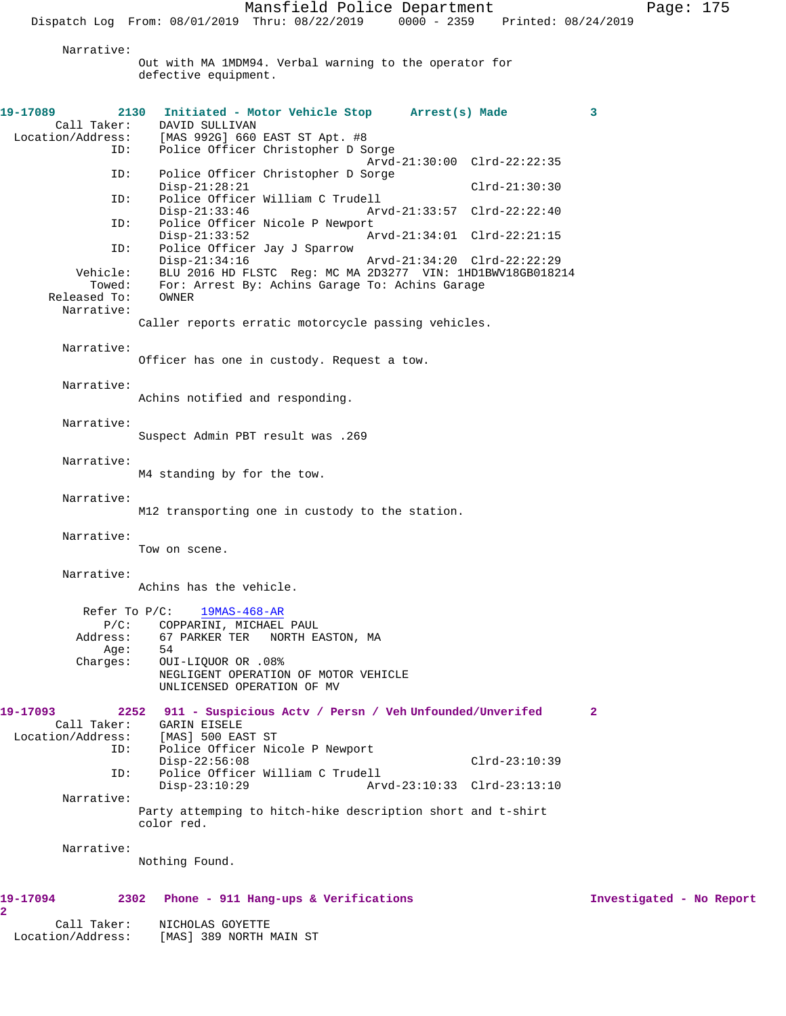Narrative:

Out with MA 1MDM94. Verbal warning to the operator for defective equipment.

| 19-17089                                | 2130 Initiated - Motor Vehicle Stop Arrest(s) Made                                                                     | 3                        |
|-----------------------------------------|------------------------------------------------------------------------------------------------------------------------|--------------------------|
| Call Taker:<br>Location/Address:<br>ID: | DAVID SULLIVAN<br>[MAS 992G] 660 EAST ST Apt. #8<br>Police Officer Christopher D Sorge                                 |                          |
| ID:                                     | Arvd-21:30:00 Clrd-22:22:35<br>Police Officer Christopher D Sorge                                                      |                          |
|                                         | $Disp-21:28:21$<br>$Clrd-21:30:30$                                                                                     |                          |
| ID:                                     | Police Officer William C Trudell<br>Arvd-21:33:57 Clrd-22:22:40<br>$Disp-21:33:46$                                     |                          |
| ID:                                     | Police Officer Nicole P Newport<br>$Disp-21:33:52$<br>Arvd-21:34:01 Clrd-22:21:15                                      |                          |
| ID:                                     | Police Officer Jay J Sparrow<br>$Disp-21:34:16$<br>Arvd-21:34:20 Clrd-22:22:29                                         |                          |
| Vehicle:<br>Towed:<br>Released To:      | BLU 2016 HD FLSTC Req: MC MA 2D3277 VIN: 1HD1BWV18GB018214<br>For: Arrest By: Achins Garage To: Achins Garage<br>OWNER |                          |
| Narrative:                              | Caller reports erratic motorcycle passing vehicles.                                                                    |                          |
| Narrative:                              | Officer has one in custody. Request a tow.                                                                             |                          |
| Narrative:                              |                                                                                                                        |                          |
|                                         | Achins notified and responding.                                                                                        |                          |
| Narrative:                              | Suspect Admin PBT result was .269                                                                                      |                          |
| Narrative:                              | M4 standing by for the tow.                                                                                            |                          |
| Narrative:                              | M12 transporting one in custody to the station.                                                                        |                          |
| Narrative:                              | Tow on scene.                                                                                                          |                          |
| Narrative:                              | Achins has the vehicle.                                                                                                |                          |
| Refer To $P/C$ :                        | $19MAS-468-AR$                                                                                                         |                          |
| $P/C$ :<br>Address:                     | COPPARINI, MICHAEL PAUL<br>67 PARKER TER NORTH EASTON, MA                                                              |                          |
| Age:                                    | 54                                                                                                                     |                          |
| Charges:                                | OUI-LIQUOR OR .08%<br>NEGLIGENT OPERATION OF MOTOR VEHICLE<br>UNLICENSED OPERATION OF MV                               |                          |
| 19-17093                                | 911 - Suspicious Actv / Persn / Veh Unfounded/Unverifed<br>2252                                                        | $\mathbf{2}$             |
| Call Taker:<br>Location/Address:        | GARIN EISELE<br>[MAS] 500 EAST ST                                                                                      |                          |
| ID:                                     | Police Officer Nicole P Newport<br>$Disp-22:56:08$<br>$Clrd-23:10:39$                                                  |                          |
| ID:                                     | Police Officer William C Trudell<br>$Disp-23:10:29$<br>Arvd-23:10:33 Clrd-23:13:10                                     |                          |
| Narrative:                              |                                                                                                                        |                          |
|                                         | Party attemping to hitch-hike description short and t-shirt<br>color red.                                              |                          |
| Narrative:                              |                                                                                                                        |                          |
|                                         | Nothing Found.                                                                                                         |                          |
| 19-17094                                | 2302<br>Phone - 911 Hang-ups & Verifications                                                                           | Investigated - No Report |

**2** 

 Call Taker: NICHOLAS GOYETTE Location/Address: [MAS] 389 NORTH MAIN ST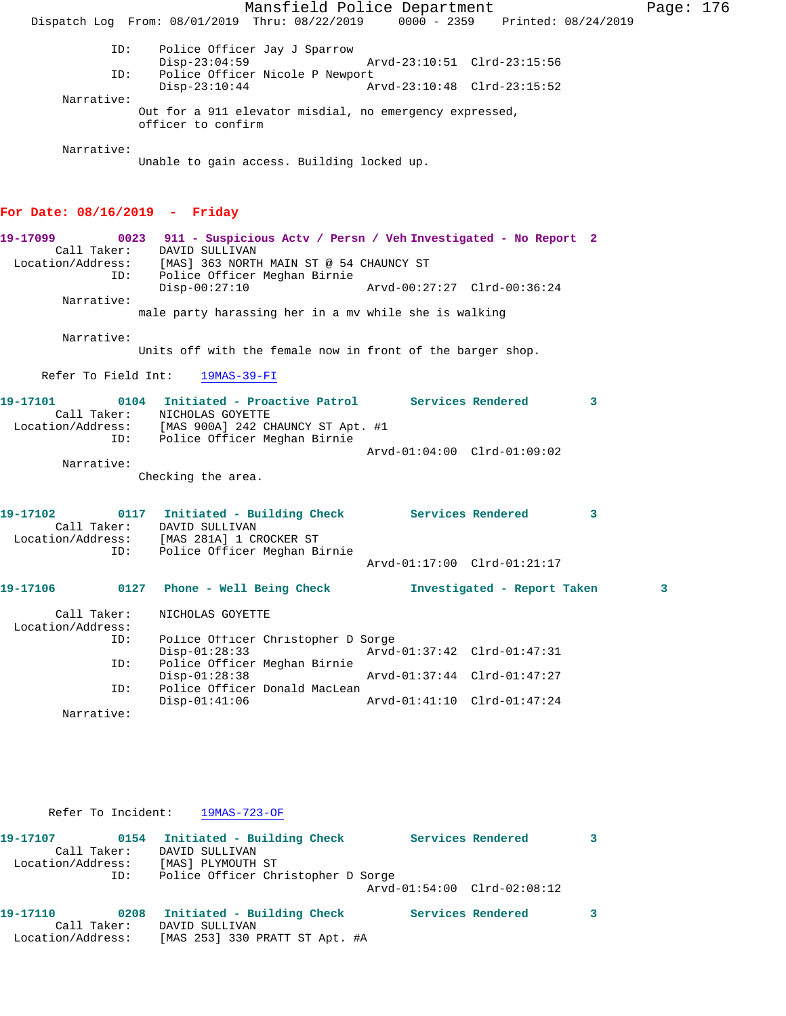Mansfield Police Department Page: 176 Dispatch Log From: 08/01/2019 Thru: 08/22/2019 0000 - 2359 Printed: 08/24/2019 ID: Police Officer Jay J Sparrow Disp-23:04:59 Arvd-23:10:51 Clrd-23:15:56 ID: Police Officer Nicole P Newport Disp-23:10:44 Arvd-23:10:48 Clrd-23:15:52 Narrative: Out for a 911 elevator misdial, no emergency expressed, officer to confirm Narrative: Unable to gain access. Building locked up. **For Date: 08/16/2019 - Friday 19-17099 0023 911 - Suspicious Actv / Persn / Veh Investigated - No Report 2**  Call Taker: DAVID SULLIVAN Location/Address: [MAS] 363 NORTH MAIN ST @ 54 CHAUNCY ST ID: Police Officer Meghan Birnie Disp-00:27:10 Arvd-00:27:27 Clrd-00:36:24 Narrative: male party harassing her in a mv while she is walking Narrative: Units off with the female now in front of the barger shop. Refer To Field Int: 19MAS-39-FI **19-17101 0104 Initiated - Proactive Patrol Services Rendered 3**  Call Taker: NICHOLAS GOYETTE Location/Address: [MAS 900A] 242 CHAUNCY ST Apt. #1 ID: Police Officer Meghan Birnie Arvd-01:04:00 Clrd-01:09:02 Narrative: Checking the area. **19-17102 0117 Initiated - Building Check Services Rendered 3**  Call Taker: DAVID SULLIVAN Location/Address: [MAS 281A] 1 CROCKER ST ID: Police Officer Meghan Birnie Arvd-01:17:00 Clrd-01:21:17 **19-17106 0127 Phone - Well Being Check Investigated - Report Taken 3** Call Taker: NICHOLAS GOYETTE Location/Address: ID: Police Officer Christopher D Sorge Disp-01:28:33 Arvd-01:37:42 Clrd-01:47:31<br>ID: Police Officer Meghan Birnie Police Officer Meghan Birnie<br>Disp-01:28:38 Disp-01:28:38 Arvd-01:37:44 Clrd-01:47:27 ID: Police Officer Donald MacLean Disp-01:41:06 Arvd-01:41:10 Clrd-01:47:24 Narrative:

Refer To Incident: 19MAS-723-OF

| 19-17107          | 0154        | Initiated - Building Check         | Services Rendered |                             |  |
|-------------------|-------------|------------------------------------|-------------------|-----------------------------|--|
|                   | Call Taker: | DAVID SULLIVAN                     |                   |                             |  |
| Location/Address: |             | [MAS] PLYMOUTH ST                  |                   |                             |  |
|                   | ID:         | Police Officer Christopher D Sorge |                   |                             |  |
|                   |             |                                    |                   | Arvd-01:54:00 Clrd-02:08:12 |  |
| 19-17110          | 0208        | Initiated - Building Check         |                   | Services Rendered           |  |
|                   | Call Taker: | DAVID SULLIVAN                     |                   |                             |  |
| Location/Address: |             | [MAS 253] 330 PRATT ST Apt. #A     |                   |                             |  |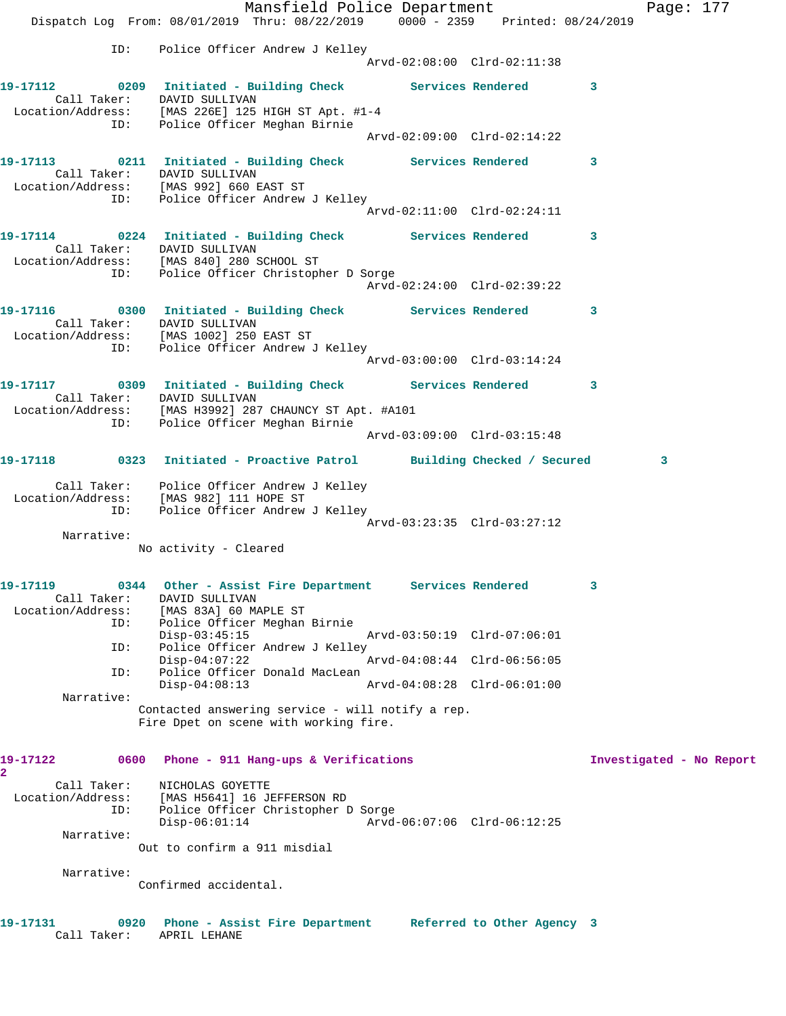Mansfield Police Department Fage: 177 Dispatch Log From: 08/01/2019 Thru: 08/22/2019 0000 - 2359 Printed: 08/24/2019 ID: Police Officer Andrew J Kelley Arvd-02:08:00 Clrd-02:11:38 **19-17112 0209 Initiated - Building Check Services Rendered 3**  Call Taker: DAVID SULLIVAN Location/Address: [MAS 226E] 125 HIGH ST Apt. #1-4 ID: Police Officer Meghan Birnie Arvd-02:09:00 Clrd-02:14:22 **19-17113 0211 Initiated - Building Check Services Rendered 3**  Call Taker: DAVID SULLIVAN Location/Address: [MAS 992] 660 EAST ST ID: Police Officer Andrew J Kelley Arvd-02:11:00 Clrd-02:24:11 **19-17114 0224 Initiated - Building Check Services Rendered 3**  Call Taker: DAVID SULLIVAN Location/Address: [MAS 840] 280 SCHOOL ST ID: Police Officer Christopher D Sorge Arvd-02:24:00 Clrd-02:39:22 **19-17116 0300 Initiated - Building Check Services Rendered 3**  Call Taker: DAVID SULLIVAN Location/Address: [MAS 1002] 250 EAST ST ID: Police Officer Andrew J Kelley Arvd-03:00:00 Clrd-03:14:24 **19-17117 0309 Initiated - Building Check Services Rendered 3**  Call Taker: DAVID SULLIVAN Location/Address: [MAS H3992] 287 CHAUNCY ST Apt. #A101 ID: Police Officer Meghan Birnie Arvd-03:09:00 Clrd-03:15:48 **19-17118 0323 Initiated - Proactive Patrol Building Checked / Secured 3** Call Taker: Police Officer Andrew J Kelley Location/Address: [MAS 982] 111 HOPE ST ID: Police Officer Andrew J Kelley Arvd-03:23:35 Clrd-03:27:12 Narrative: No activity - Cleared **19-17119 0344 Other - Assist Fire Department Services Rendered 3**  Call Taker: DAVID SULLIVAN Location/Address: [MAS 83A] 60 MAPLE ST ID: Police Officer Meghan Birnie Disp-03:45:15 Arvd-03:50:19 Clrd-07:06:01 ID: Police Officer Andrew J Kelley<br>Disp-04:07:22 A Arvd-04:08:44 Clrd-06:56:05 ID: Police Officer Donald MacLean<br>Disp-04:08:13 Arvd-04:08:28 Clrd-06:01:00  $Disp-04:08:13$  Narrative: Contacted answering service - will notify a rep. Fire Dpet on scene with working fire. **19-17122 0600 Phone - 911 Hang-ups & Verifications Investigated - No Report 2**  Call Taker: NICHOLAS GOYETTE Location/Address: [MAS H5641] 16 JEFFERSON RD ID: Police Officer Christopher D Sorge<br>Disp-06:01:14 Arvd- Disp-06:01:14 Arvd-06:07:06 Clrd-06:12:25 Narrative: Out to confirm a 911 misdial Narrative: Confirmed accidental. **19-17131 0920 Phone - Assist Fire Department Referred to Other Agency 3**  Call Taker: APRIL LEHANE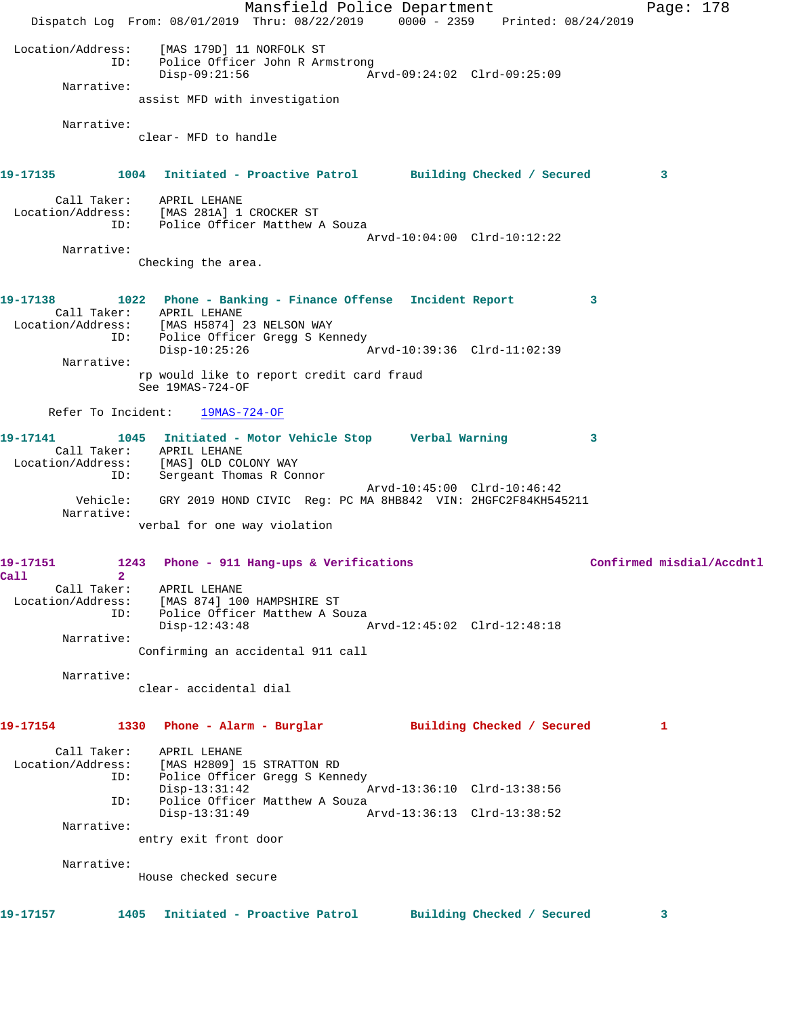Mansfield Police Department Page: 178 Dispatch Log From: 08/01/2019 Thru: 08/22/2019 0000 - 2359 Printed: 08/24/2019 Location/Address: [MAS 179D] 11 NORFOLK ST ID: Police Officer John R Armstrong Disp-09:21:56 Arvd-09:24:02 Clrd-09:25:09 Narrative: assist MFD with investigation Narrative: clear- MFD to handle **19-17135 1004 Initiated - Proactive Patrol Building Checked / Secured 3** Call Taker: APRIL LEHANE Location/Address: [MAS 281A] 1 CROCKER ST ID: Police Officer Matthew A Souza Arvd-10:04:00 Clrd-10:12:22 Narrative: Checking the area. **19-17138 1022 Phone - Banking - Finance Offense Incident Report 3**  Call Taker: APRIL LEHANE Location/Address: [MAS H5874] 23 NELSON WAY ID: Police Officer Gregg S Kennedy Disp-10:25:26 Arvd-10:39:36 Clrd-11:02:39 Narrative: rp would like to report credit card fraud See 19MAS-724-OF Refer To Incident: 19MAS-724-OF **19-17141 1045 Initiated - Motor Vehicle Stop Verbal Warning 3**  Call Taker: APRIL LEHANE Location/Address: [MAS] OLD COLONY WAY ID: Sergeant Thomas R Connor Arvd-10:45:00 Clrd-10:46:42 Vehicle: GRY 2019 HOND CIVIC Reg: PC MA 8HB842 VIN: 2HGFC2F84KH545211 Narrative: verbal for one way violation 19-17151 1243 Phone - 911 Hang-ups & Verifications **1996** Confirmed misdial/Accdntl **Call 2**  Call Taker: APRIL LEHANE Location/Address: [MAS 874] 100 HAMPSHIRE ST ID: Police Officer Matthew A Souza Disp-12:43:48 Arvd-12:45:02 Clrd-12:48:18 Narrative: Confirming an accidental 911 call Narrative: clear- accidental dial **19-17154 1330 Phone - Alarm - Burglar Building Checked / Secured 1** Call Taker: APRIL LEHANE Location/Address: [MAS H2809] 15 STRATTON RD ID: Police Officer Gregg S Kennedy Disp-13:31:42 Arvd-13:36:10 Clrd-13:38:56 ID: Police Officer Matthew A Souza Disp-13:31:49 Arvd-13:36:13 Clrd-13:38:52 Narrative: entry exit front door Narrative: House checked secure **19-17157 1405 Initiated - Proactive Patrol Building Checked / Secured 3**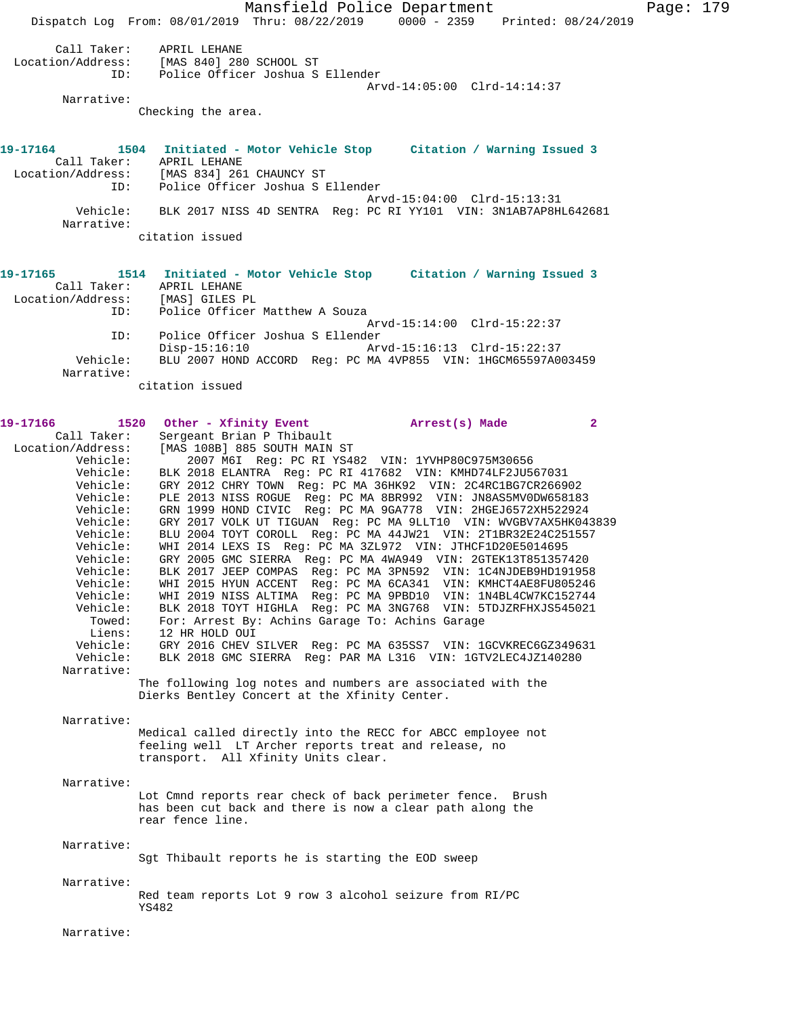Mansfield Police Department Page: 179 Dispatch Log From: 08/01/2019 Thru: 08/22/2019 0000 - 2359 Printed: 08/24/2019 Call Taker: APRIL LEHANE Location/Address: [MAS 840] 280 SCHOOL ST ID: Police Officer Joshua S Ellender Arvd-14:05:00 Clrd-14:14:37 Narrative: Checking the area. **19-17164 1504 Initiated - Motor Vehicle Stop Citation / Warning Issued 3**  Call Taker: APRIL LEHANE Location/Address: [MAS 834] 261 CHAUNCY ST ID: Police Officer Joshua S Ellender Arvd-15:04:00 Clrd-15:13:31 Vehicle: BLK 2017 NISS 4D SENTRA Reg: PC RI YY101 VIN: 3N1AB7AP8HL642681 Narrative: citation issued **19-17165 1514 Initiated - Motor Vehicle Stop Citation / Warning Issued 3**  Call Taker: APRIL LEHANE Location/Address: [MAS] GILES PL ID: Police Officer Matthew A Souza Arvd-15:14:00 Clrd-15:22:37 ID: Police Officer Joshua S Ellender Arvd-15:16:13 Clrd-15:22:37 Vehicle: BLU 2007 HOND ACCORD Reg: PC MA 4VP855 VIN: 1HGCM65597A003459 Narrative: citation issued **19-17166 1520 Other - Xfinity Event Arrest(s) Made 2**  Call Taker: Sergeant Brian P Thibault Location/Address: [MAS 108B] 885 SOUTH MAIN ST Vehicle: 2007 M6I Reg: PC RI YS482 VIN: 1YVHP80C975M30656 Vehicle: BLK 2018 ELANTRA Reg: PC RI 417682 VIN: KMHD74LF2JU567031 Vehicle: GRY 2012 CHRY TOWN Reg: PC MA 36HK92 VIN: 2C4RC1BG7CR266902 Vehicle: PLE 2013 NISS ROGUE Reg: PC MA 8BR992 VIN: JN8AS5MV0DW658183 Vehicle: GRN 1999 HOND CIVIC Reg: PC MA 9GA778 VIN: 2HGEJ6572XH522924 Vehicle: GRY 2017 VOLK UT TIGUAN Reg: PC MA 9LLT10 VIN: WVGBV7AX5HK043839 Vehicle: BLU 2004 TOYT COROLL Reg: PC MA 44JW21 VIN: 2T1BR32E24C251557 Vehicle: WHI 2014 LEXS IS Reg: PC MA 3ZL972 VIN: JTHCF1D20E5014695 Vehicle: Mil 2011 BBC 10 Neg: 10 M. 3227.2 Ten Senet ESSESSISST420<br>Vehicle: GRY 2005 GMC SIERRA Reg: PC MA 4WA949 VIN: 2GTEK13T851357420 Vehicle: BLK 2017 JEEP COMPAS Reg: PC MA 3PN592 VIN: 1C4NJDEB9HD191958 Vehicle: WHI 2015 HYUN ACCENT Reg: PC MA 6CA341 VIN: KMHCT4AE8FU805246 Vehicle: WHI 2019 NISS ALTIMA Reg: PC MA 9PBD10 VIN: 1N4BL4CW7KC152744 Vehicle: BLK 2018 TOYT HIGHLA Reg: PC MA 3NG768 VIN: 5TDJZRFHXJS545021 Towed: For: Arrest By: Achins Garage To: Achins Garage Liens: 12 HR HOLD OUI Vehicle: GRY 2016 CHEV SILVER Reg: PC MA 635SS7 VIN: 1GCVKREC6GZ349631 Vehicle: BLK 2018 GMC SIERRA Reg: PAR MA L316 VIN: 1GTV2LEC4JZ140280 Narrative: The following log notes and numbers are associated with the Dierks Bentley Concert at the Xfinity Center. Narrative: Medical called directly into the RECC for ABCC employee not feeling well LT Archer reports treat and release, no transport. All Xfinity Units clear. Narrative: Lot Cmnd reports rear check of back perimeter fence. Brush has been cut back and there is now a clear path along the rear fence line. Narrative: Sgt Thibault reports he is starting the EOD sweep Narrative: Red team reports Lot 9 row 3 alcohol seizure from RI/PC YS482 Narrative: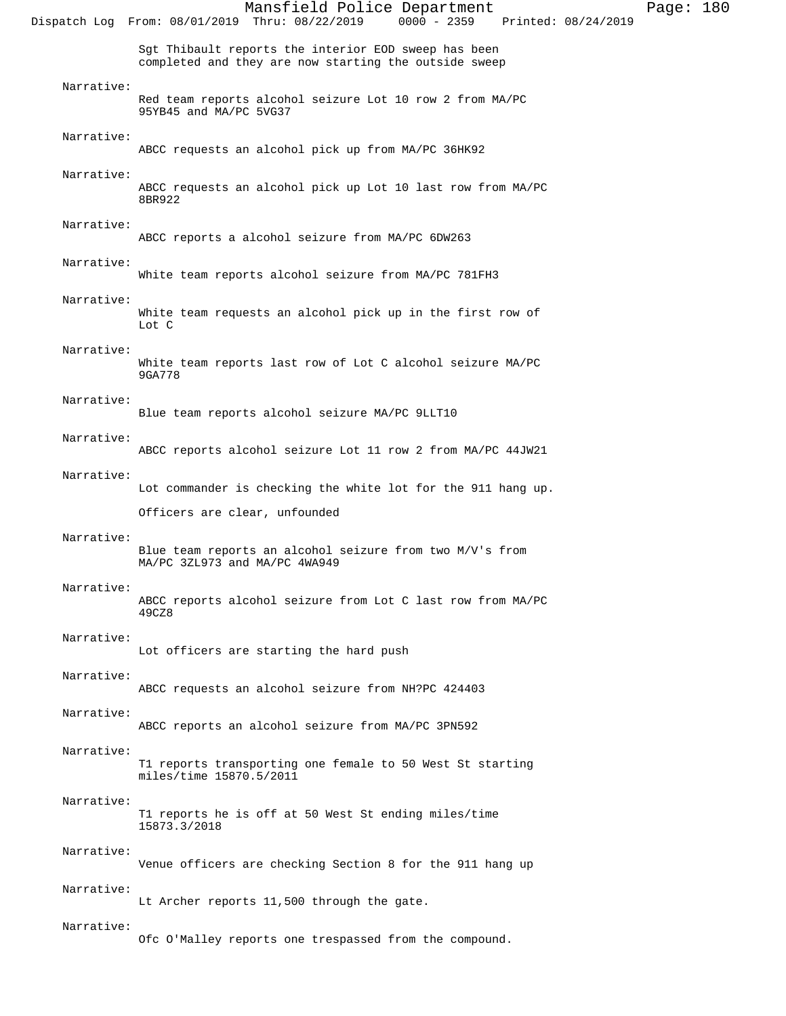|            | Mansfield Police Department<br>$0000 - 2359$<br>Dispatch Log From: 08/01/2019 Thru: 08/22/2019<br>Printed: 08/24/2019 | Page: 180 |
|------------|-----------------------------------------------------------------------------------------------------------------------|-----------|
|            | Sgt Thibault reports the interior EOD sweep has been<br>completed and they are now starting the outside sweep         |           |
| Narrative: | Red team reports alcohol seizure Lot 10 row 2 from MA/PC<br>95YB45 and MA/PC 5VG37                                    |           |
| Narrative: | ABCC requests an alcohol pick up from MA/PC 36HK92                                                                    |           |
| Narrative: | ABCC requests an alcohol pick up Lot 10 last row from MA/PC<br>8BR922                                                 |           |
| Narrative: | ABCC reports a alcohol seizure from MA/PC 6DW263                                                                      |           |
| Narrative: | White team reports alcohol seizure from MA/PC 781FH3                                                                  |           |
| Narrative: | White team requests an alcohol pick up in the first row of<br>Lot C                                                   |           |
| Narrative: | White team reports last row of Lot C alcohol seizure MA/PC<br>9GA778                                                  |           |
| Narrative: | Blue team reports alcohol seizure MA/PC 9LLT10                                                                        |           |
| Narrative: | ABCC reports alcohol seizure Lot 11 row 2 from MA/PC 44JW21                                                           |           |
| Narrative: | Lot commander is checking the white lot for the 911 hang up.                                                          |           |
|            | Officers are clear, unfounded                                                                                         |           |
| Narrative: | Blue team reports an alcohol seizure from two M/V's from<br>MA/PC 3ZL973 and MA/PC 4WA949                             |           |
| Narrative: | ABCC reports alcohol seizure from Lot C last row from MA/PC<br>49CZ8                                                  |           |
| Narrative: | Lot officers are starting the hard push                                                                               |           |
| Narrative: | ABCC requests an alcohol seizure from NH?PC 424403                                                                    |           |
| Narrative: | ABCC reports an alcohol seizure from MA/PC 3PN592                                                                     |           |
| Narrative: | T1 reports transporting one female to 50 West St starting<br>miles/time 15870.5/2011                                  |           |
| Narrative: | T1 reports he is off at 50 West St ending miles/time<br>15873.3/2018                                                  |           |
| Narrative: | Venue officers are checking Section 8 for the 911 hang up                                                             |           |
| Narrative: | Lt Archer reports 11,500 through the gate.                                                                            |           |
| Narrative: | Ofc O'Malley reports one trespassed from the compound.                                                                |           |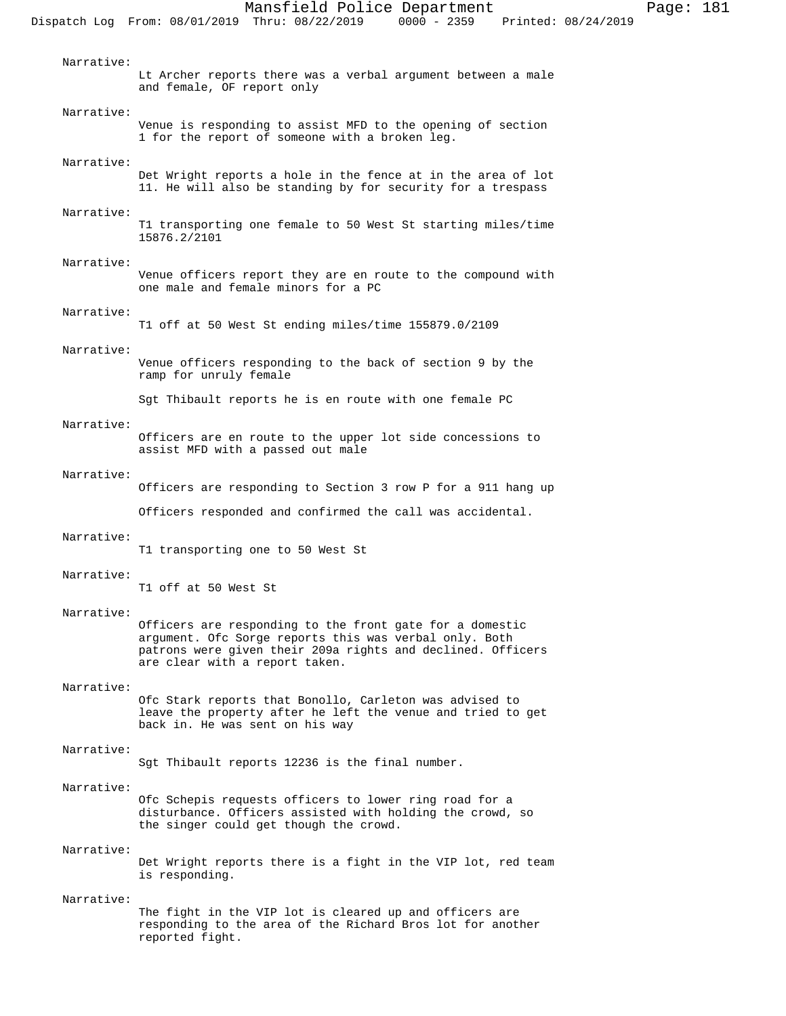Narrative: Lt Archer reports there was a verbal argument between a male and female, OF report only Narrative: Venue is responding to assist MFD to the opening of section 1 for the report of someone with a broken leg. Narrative: Det Wright reports a hole in the fence at in the area of lot 11. He will also be standing by for security for a trespass Narrative: T1 transporting one female to 50 West St starting miles/time 15876.2/2101 Narrative: Venue officers report they are en route to the compound with one male and female minors for a PC Narrative: T1 off at 50 West St ending miles/time 155879.0/2109 Narrative: Venue officers responding to the back of section 9 by the ramp for unruly female Sgt Thibault reports he is en route with one female PC Narrative: Officers are en route to the upper lot side concessions to assist MFD with a passed out male Narrative: Officers are responding to Section 3 row P for a 911 hang up Officers responded and confirmed the call was accidental. Narrative: T1 transporting one to 50 West St Narrative: T1 off at 50 West St Narrative: Officers are responding to the front gate for a domestic argument. Ofc Sorge reports this was verbal only. Both patrons were given their 209a rights and declined. Officers are clear with a report taken. Narrative: Ofc Stark reports that Bonollo, Carleton was advised to leave the property after he left the venue and tried to get back in. He was sent on his way Narrative: Sgt Thibault reports 12236 is the final number. Narrative:

Narrative:

Det Wright reports there is a fight in the VIP lot, red team is responding.

Ofc Schepis requests officers to lower ring road for a disturbance. Officers assisted with holding the crowd, so

the singer could get though the crowd.

## Narrative:

The fight in the VIP lot is cleared up and officers are responding to the area of the Richard Bros lot for another reported fight.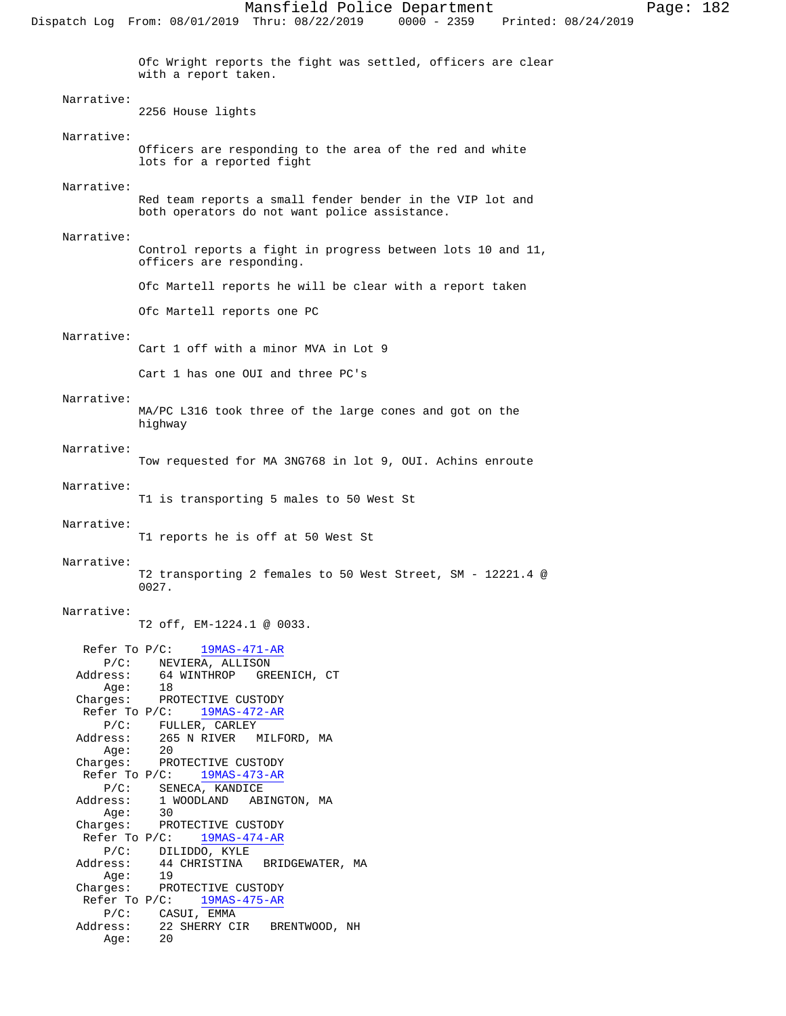Ofc Wright reports the fight was settled, officers are clear with a report taken. Narrative: 2256 House lights Narrative: Officers are responding to the area of the red and white lots for a reported fight Narrative: Red team reports a small fender bender in the VIP lot and both operators do not want police assistance. Narrative: Control reports a fight in progress between lots 10 and 11, officers are responding. Ofc Martell reports he will be clear with a report taken Ofc Martell reports one PC Narrative: Cart 1 off with a minor MVA in Lot 9 Cart 1 has one OUI and three PC's Narrative: MA/PC L316 took three of the large cones and got on the highway Narrative: Tow requested for MA 3NG768 in lot 9, OUI. Achins enroute Narrative: T1 is transporting 5 males to 50 West St Narrative: T1 reports he is off at 50 West St Narrative: T2 transporting 2 females to 50 West Street, SM - 12221.4 @ 0027. Narrative: T2 off, EM-1224.1 @ 0033. Refer To P/C: 19MAS-471-AR P/C: NEVIERA, ALLISON<br>Address: 64 WINTHROP GRE 64 WINTHROP GREENICH, CT Age: 18 Charges: PROTECTIVE CUSTODY Refer To P/C:  $\frac{19MAS-472-AR}{}$ P/C: FULLER, CARLEY<br>Address: 265 N RIVER M 265 N RIVER – MILFORD, MA<br>20 Age:<br>:Charges PROTECTIVE CUSTODY<br>P/C: 19MAS-473-AR Refer To  $P/C$ : P/C: SENECA, KANDICE Address: 1 WOODLAND ABINGTON, MA Age: Charges: PROTECTIVE CUSTODY Refer To P/C: 19MAS-474-AR P/C: DILIDDO, KYLE Address: 44 CHRISTINA BRIDGEWATER, MA Age: 19 Charges: PROTECTIVE CUSTODY Refer To P/C:  $\frac{19MAS-475-AR}{}$ P/C: CASUI, EMMA<br>Address: 22 SHERRY CI 22 SHERRY CIR BRENTWOOD, NH

Age: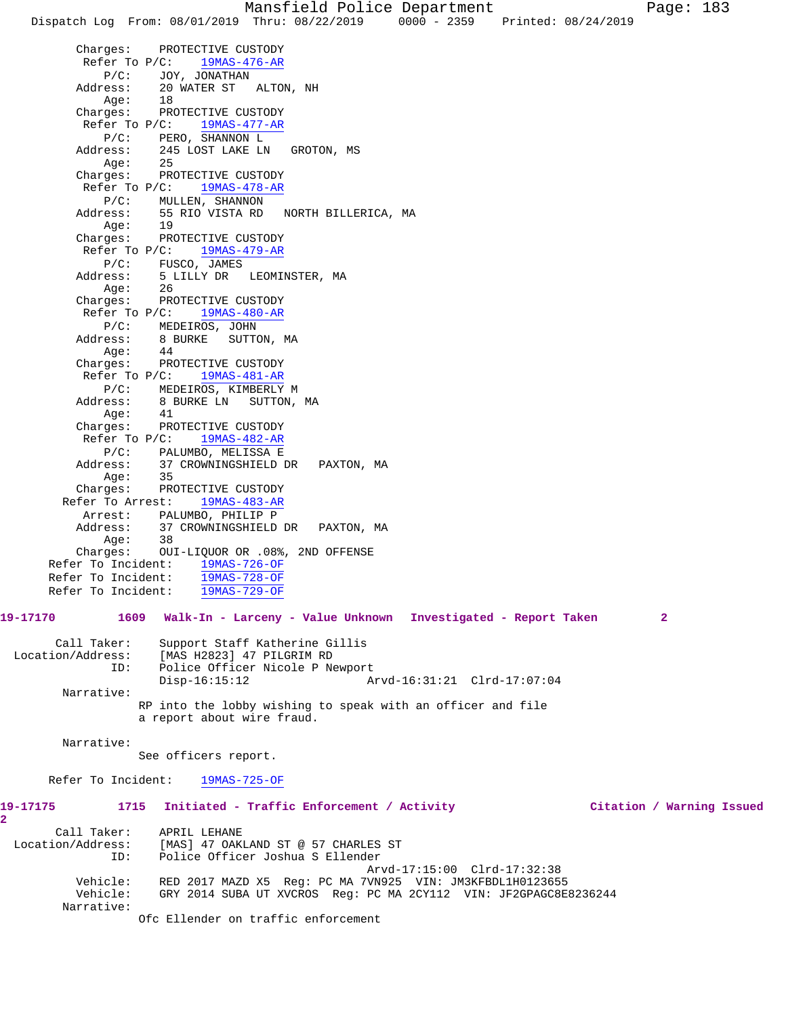Dispatch Log From: 08/01/2019 Thru: 08/22/2019 0000 - 2359 Printed: 08/24/2019

 Charges: PROTECTIVE CUSTODY Refer To  $P/C:$  19MAS-476-AR P/C: JOY, JONATHAN<br>Address: 20 WATER ST 20 WATER ST ALTON, NH<br>18 Age: Charges: PROTECTIVE CUSTODY Refer To P/C: 19MAS-477-AR P/C: PERO, SHANNON L<br>Address: 245 LOST LAKE LN 245 LOST LAKE LN GROTON, MS Age: 25 Charges: PROTECTIVE CUSTODY Refer To P/C: 19MAS-478-AR P/C: MULLEN, SHANNON Address: 55 RIO VISTA RD NORTH BILLERICA, MA Age: 19 Charges: PROTECTIVE CUSTODY Refer To P/C: 19MAS-479-AR P/C: FUSCO, JAMES Address: 5 LILLY DR LEOMINSTER, MA Age: 26 Charges: PROTECTIVE CUSTODY Refer To P/C: 19MAS-480-AR P/C: MEDEIROS, JOHN Address: 8 BURKE SUTTON, MA Age: 44 Charges: PROTECTIVE CUSTODY Refer To P/C: 19MAS-481-AR P/C: MEDEIROS, KIMBERLY M Address: 8 BURKE LN SUTTON, MA Age: 41 Charges: PROTECTIVE CUSTODY Refer To P/C: 19MAS-482-AR P/C: PALUMBO, MELISSA E Address: 37 CROWNINGSHIELD DR PAXTON, MA Age: 35 Charges: PROTECTIVE CUSTODY Refer To Arrest: 19MAS-483-AR Arrest: PALUMBO, PHILIP P<br>Address: 37 CROWNINGSHIELD 37 CROWNINGSHIELD DR PAXTON, MA Age: 38 Charges: OUI-LIQUOR OR .08%, 2ND OFFENSE Refer To Incident: 19MAS-726-OF Refer To Incident: 19MAS-728-OF Refer To Incident: 19MAS-729-OF **19-17170 1609 Walk-In - Larceny - Value Unknown Investigated - Report Taken 2** Call Taker: Support Staff Katherine Gillis Location/Address: [MAS H2823] 47 PILGRIM RD ID: Police Officer Nicole P Newport Disp-16:15:12 Arvd-16:31:21 Clrd-17:07:04 Narrative: RP into the lobby wishing to speak with an officer and file a report about wire fraud. Narrative: See officers report. Refer To Incident: 19MAS-725-OF **19-17175 1715 Initiated - Traffic Enforcement / Activity Citation / Warning Issued** Call Taker: APRIL LEHANE Location/Address: [MAS] 47 OAKLAND ST @ 57 CHARLES ST ID: Police Officer Joshua S Ellender Arvd-17:15:00 Clrd-17:32:38<br>Vehicle: RED 2017 MAZD X5 Req: PC MA 7VN925 VIN: JM3KFBDL1H012365! Vehicle: RED 2017 MAZD X5 Reg: PC MA 7VN925 VIN: JM3KFBDL1H0123655 GRY 2014 SUBA UT XVCROS Reg: PC MA 2CY112 VIN: JF2GPAGC8E8236244 Narrative: Ofc Ellender on traffic enforcement

**2**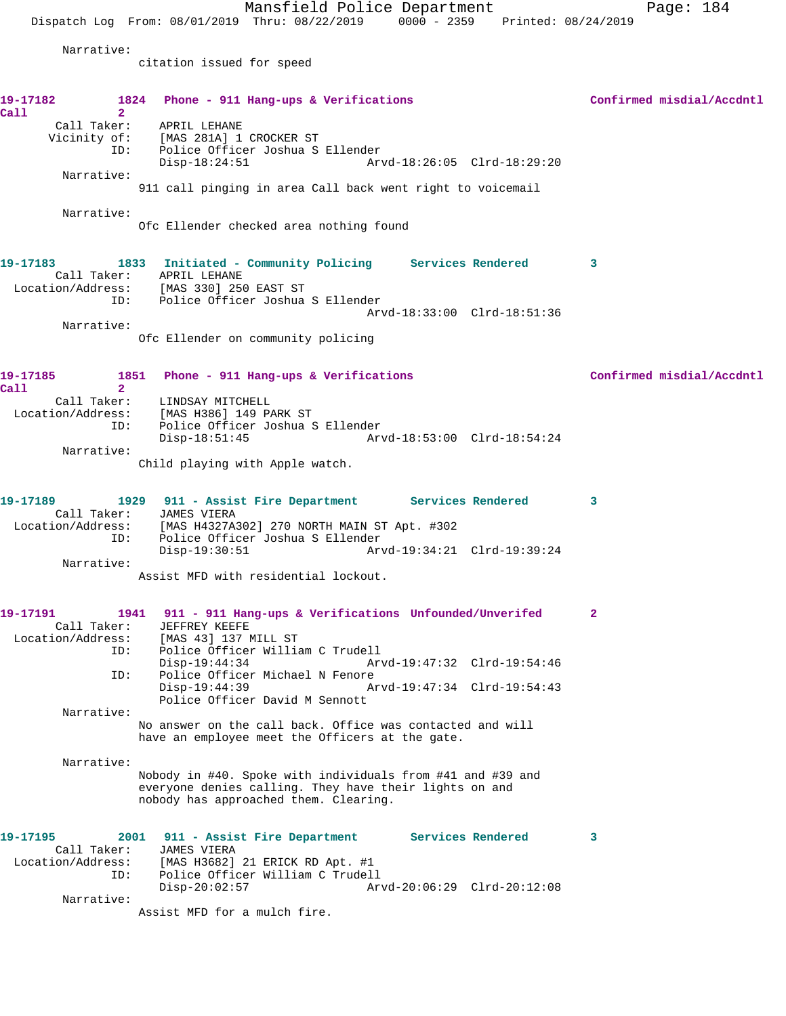Mansfield Police Department Page: 184 Dispatch Log From: 08/01/2019 Thru: 08/22/2019 0000 - 2359 Printed: 08/24/2019 Narrative: citation issued for speed **19-17182 1824 Phone - 911 Hang-ups & Verifications Confirmed misdial/Accdntl Call 2**  Call Taker: APRIL LEHANE Vicinity of: [MAS 281A] 1 CROCKER ST ID: Police Officer Joshua S Ellender Disp-18:24:51 Arvd-18:26:05 Clrd-18:29:20 Narrative: 911 call pinging in area Call back went right to voicemail Narrative: Ofc Ellender checked area nothing found **19-17183 1833 Initiated - Community Policing Services Rendered 3**  Call Taker: APRIL LEHANE Location/Address: [MAS 330] 250 EAST ST ID: Police Officer Joshua S Ellender Arvd-18:33:00 Clrd-18:51:36 Narrative: Ofc Ellender on community policing 19-17185 1851 Phone - 911 Hang-ups & Verifications **1851 Confirmed misdial/Accdntl Call 2**  Call Taker: LINDSAY MITCHELL Location/Address: [MAS H386] 149 PARK ST ID: Police Officer Joshua S Ellender Disp-18:51:45 Arvd-18:53:00 Clrd-18:54:24 Narrative: Child playing with Apple watch. **19-17189 1929 911 - Assist Fire Department Services Rendered 3**  Call Taker: JAMES VIERA<br>Location/Address: [MAS H4327A3 [MAS H4327A302] 270 NORTH MAIN ST Apt. #302 ID: Police Officer Joshua S Ellender Disp-19:30:51 Arvd-19:34:21 Clrd-19:39:24 Narrative: Assist MFD with residential lockout. **19-17191 1941 911 - 911 Hang-ups & Verifications Unfounded/Unverifed 2**  Call Taker: JEFFREY KEEFE Location/Address: [MAS 43] 137 MILL ST Police Officer William C Trudell<br>Disp-19:44:34 Arv Disp-19:44:34 Arvd-19:47:32 Clrd-19:54:46 ID: Police Officer Michael N Fenore<br>Disp-19:44:39 Am Disp-19:44:39 Arvd-19:47:34 Clrd-19:54:43 Police Officer David M Sennott Narrative: No answer on the call back. Office was contacted and will have an employee meet the Officers at the gate. Narrative: Nobody in #40. Spoke with individuals from #41 and #39 and everyone denies calling. They have their lights on and nobody has approached them. Clearing. **19-17195 2001 911 - Assist Fire Department Services Rendered 3**  Call Taker: JAMES VIERA Location/Address: [MAS H3682] 21 ERICK RD Apt. #1 ID: Police Officer William C Trudell Disp-20:02:57 Arvd-20:06:29 Clrd-20:12:08 Narrative: Assist MFD for a mulch fire.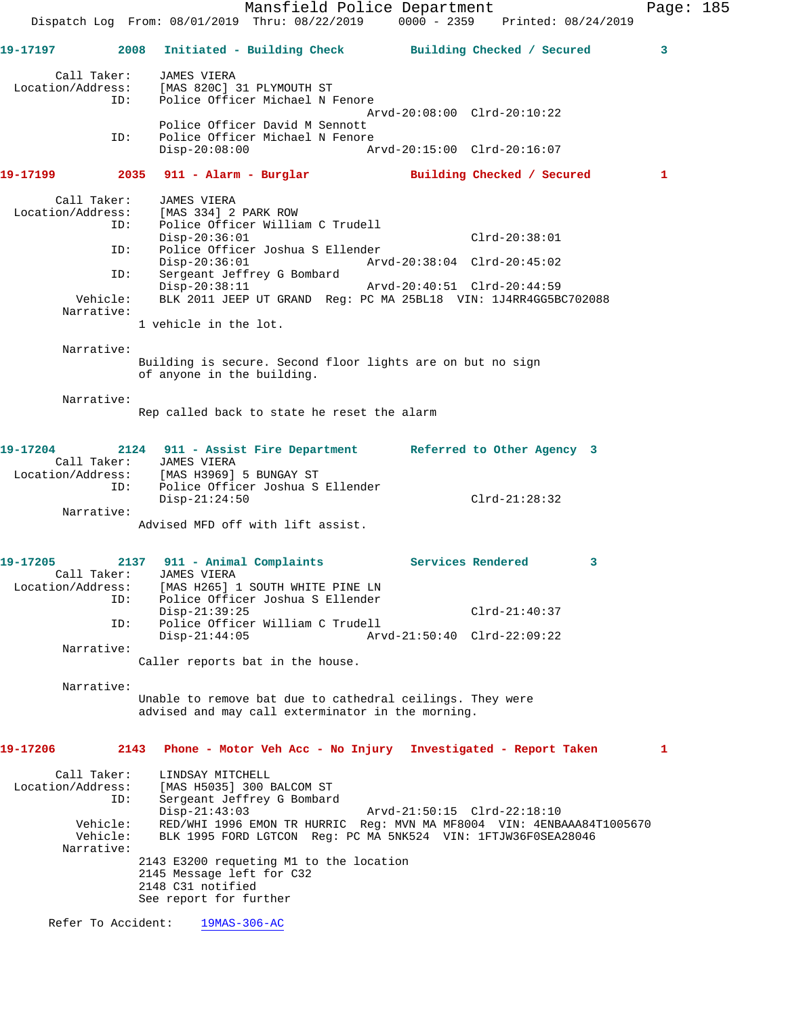Mansfield Police Department Page: 185 Dispatch Log From: 08/01/2019 Thru: 08/22/2019 0000 - 2359 Printed: 08/24/2019 **19-17197 2008 Initiated - Building Check Building Checked / Secured 3** Call Taker: JAMES VIERA Location/Address: [MAS 820C] 31 PLYMOUTH ST ID: Police Officer Michael N Fenore Arvd-20:08:00 Clrd-20:10:22 Police Officer David M Sennott ID: Police Officer Michael N Fenore<br>Disp-20:08:00 Am Disp-20:08:00 Arvd-20:15:00 Clrd-20:16:07 **19-17199 2035 911 - Alarm - Burglar Building Checked / Secured 1** Call Taker: JAMES VIERA Location/Address: [MAS 334] 2 PARK ROW ID: Police Officer William C Trudell Disp-20:36:01 Clrd-20:38:01 ID: Police Officer Joshua S Ellender Disp-20:36:01 Arvd-20:38:04 Clrd-20:45:02 ID: Sergeant Jeffrey G Bombard Disp-20:38:11 Arvd-20:40:51 Clrd-20:44:59 Vehicle: BLK 2011 JEEP UT GRAND Reg: PC MA 25BL18 VIN: 1J4RR4GG5BC702088 Narrative: 1 vehicle in the lot. Narrative: Building is secure. Second floor lights are on but no sign of anyone in the building. Narrative: Rep called back to state he reset the alarm **19-17204 2124 911 - Assist Fire Department Referred to Other Agency 3**  Call Taker: JAMES VIERA Location/Address: [MAS H3969] 5 BUNGAY ST ID: Police Officer Joshua S Ellender Disp-21:24:50 Clrd-21:28:32 Narrative: Advised MFD off with lift assist. **19-17205 2137 911 - Animal Complaints Services Rendered 3**  Call Taker: JAMES VIERA Location/Address: [MAS H265] 1 SOUTH WHITE PINE LN ID: Police Officer Joshua S Ellender Disp-21:39:25 Clrd-21:40:37 ID: Police Officer William C Trudell Arvd-21:50:40 Clrd-22:09:22 Narrative: Caller reports bat in the house. Narrative: Unable to remove bat due to cathedral ceilings. They were advised and may call exterminator in the morning. **19-17206 2143 Phone - Motor Veh Acc - No Injury Investigated - Report Taken 1** Call Taker: LINDSAY MITCHELL Location/Address: [MAS H5035] 300 BALCOM ST ID: Sergeant Jeffrey G Bombard Disp-21:43:03 Arvd-21:50:15 Clrd-22:18:10 Vehicle: RED/WHI 1996 EMON TR HURRIC Reg: MVN MA MF8004 VIN: 4ENBAAA84T1005670 Vehicle: BLK 1995 FORD LGTCON Reg: PC MA 5NK524 VIN: 1FTJW36F0SEA28046 Narrative: 2143 E3200 requeting M1 to the location 2145 Message left for C32 2148 C31 notified See report for further Refer To Accident: 19MAS-306-AC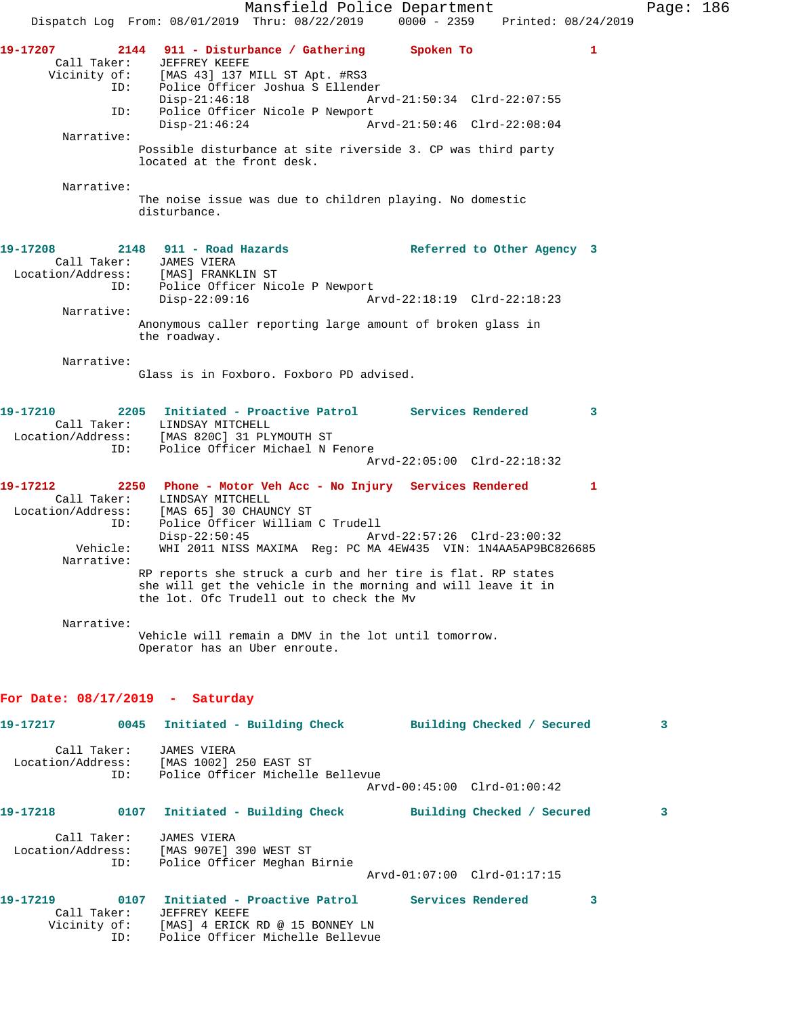Mansfield Police Department Page: 186 Dispatch Log From: 08/01/2019 Thru: 08/22/2019 0000 - 2359 Printed: 08/24/2019 **19-17207 2144 911 - Disturbance / Gathering Spoken To 1**  Call Taker: JEFFREY KEEFE<br>Vicinity of: [MAS 43] 137 N [MAS 43] 137 MILL ST Apt. #RS3 ID: Police Officer Joshua S Ellender Disp-21:46:18 Arvd-21:50:34 Clrd-22:07:55 ID: Police Officer Nicole P Newport<br>Disp-21:46:24 Ar Arvd-21:50:46 Clrd-22:08:04 Narrative: Possible disturbance at site riverside 3. CP was third party located at the front desk. Narrative: The noise issue was due to children playing. No domestic disturbance. **19-17208 2148 911 - Road Hazards Referred to Other Agency 3**  Call Taker: JAMES VIERA Location/Address: [MAS] FRANKLIN ST ID: Police Officer Nicole P Newport<br>Disp-22:09:16 Mrvd-22:18:19 Clrd-22:18:23  $Disp-22:09:16$  Narrative: Anonymous caller reporting large amount of broken glass in the roadway. Narrative: Glass is in Foxboro. Foxboro PD advised. **19-17210 2205 Initiated - Proactive Patrol Services Rendered 3**  Call Taker: LINDSAY MITCHELL Location/Address: [MAS 820C] 31 PLYMOUTH ST ID: Police Officer Michael N Fenore Arvd-22:05:00 Clrd-22:18:32 **19-17212 2250 Phone - Motor Veh Acc - No Injury Services Rendered 1**  Call Taker: LINDSAY MITCHELL Location/Address: [MAS 65] 30 CHAUNCY ST ID: Police Officer William C Trudell Disp-22:50:45 Arvd-22:57:26 Clrd-23:00:32 Vehicle: WHI 2011 NISS MAXIMA Reg: PC MA 4EW435 VIN: 1N4AA5AP9BC826685 Narrative: RP reports she struck a curb and her tire is flat. RP states she will get the vehicle in the morning and will leave it in the lot. Ofc Trudell out to check the Mv Narrative: Vehicle will remain a DMV in the lot until tomorrow. Operator has an Uber enroute. **For Date: 08/17/2019 - Saturday 19-17217 0045 Initiated - Building Check Building Checked / Secured 3** Call Taker: JAMES VIERA Location/Address: [MAS 1002] 250 EAST ST ID: Police Officer Michelle Bellevue Arvd-00:45:00 Clrd-01:00:42 **19-17218 0107 Initiated - Building Check Building Checked / Secured 3** Call Taker: JAMES VIERA Location/Address: [MAS 907E] 390 WEST ST ID: Police Officer Meghan Birnie Arvd-01:07:00 Clrd-01:17:15 **19-17219 0107 Initiated - Proactive Patrol Services Rendered 3**  Call Taker: JEFFREY KEEFE Vicinity of: [MAS] 4 ERICK RD @ 15 BONNEY LN ID: Police Officer Michelle Bellevue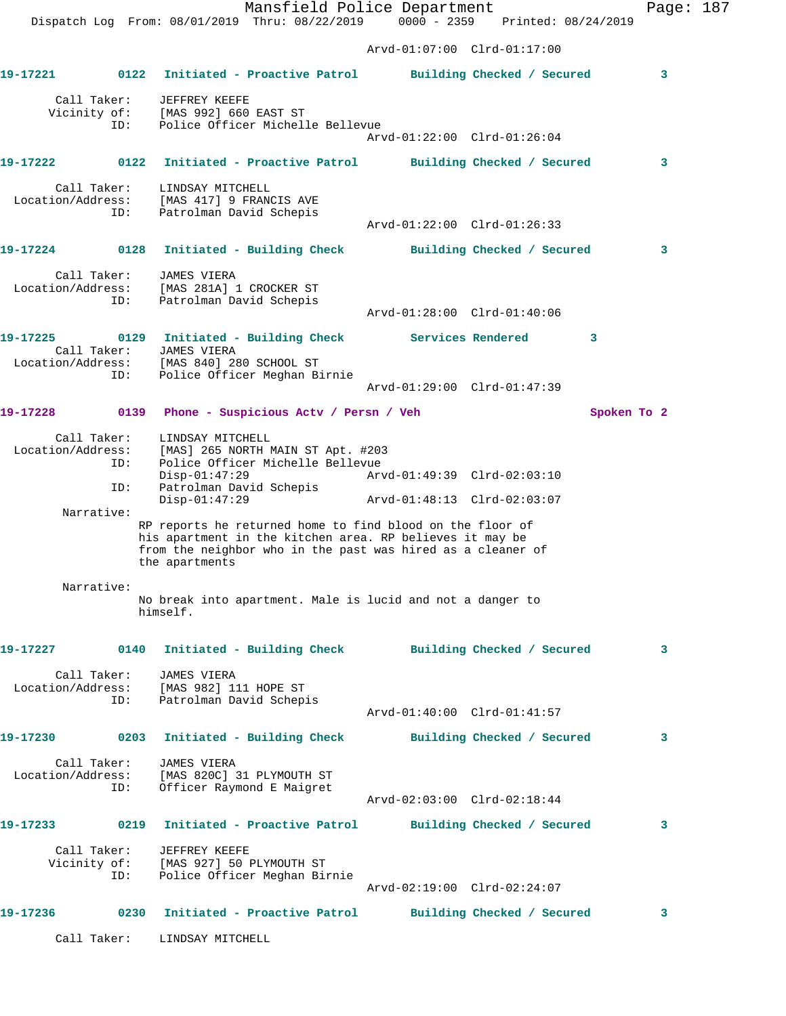Mansfield Police Department Page: 187 Dispatch Log From: 08/01/2019 Thru: 08/22/2019 0000 - 2359 Printed: 08/24/2019 Arvd-01:07:00 Clrd-01:17:00 **19-17221 0122 Initiated - Proactive Patrol Building Checked / Secured 3** Call Taker: JEFFREY KEEFE Vicinity of: [MAS 992] 660 EAST ST ID: Police Officer Michelle Bellevue Arvd-01:22:00 Clrd-01:26:04 **19-17222 0122 Initiated - Proactive Patrol Building Checked / Secured 3** Call Taker: LINDSAY MITCHELL Location/Address: [MAS 417] 9 FRANCIS AVE ID: Patrolman David Schepis Arvd-01:22:00 Clrd-01:26:33 **19-17224 0128 Initiated - Building Check Building Checked / Secured 3** Call Taker: JAMES VIERA Location/Address: [MAS 281A] 1 CROCKER ST ID: Patrolman David Schepis Arvd-01:28:00 Clrd-01:40:06 **19-17225 0129 Initiated - Building Check Services Rendered 3**  Call Taker: JAMES VIERA Location/Address: [MAS 840] 280 SCHOOL ST ID: Police Officer Meghan Birnie Arvd-01:29:00 Clrd-01:47:39 **19-17228 0139 Phone - Suspicious Actv / Persn / Veh Spoken To 2** Call Taker: LINDSAY MITCHELL Location/Address: [MAS] 265 NORTH MAIN ST Apt. #203 ID: Police Officer Michelle Bellevue Disp-01:47:29 Arvd-01:49:39 Clrd-02:03:10 ID: Patrolman David Schepis Disp-01:47:29 Arvd-01:48:13 Clrd-02:03:07 Narrative: RP reports he returned home to find blood on the floor of his apartment in the kitchen area. RP believes it may be from the neighbor who in the past was hired as a cleaner of the apartments Narrative: No break into apartment. Male is lucid and not a danger to himself. **19-17227 0140 Initiated - Building Check Building Checked / Secured 3** Call Taker: JAMES VIERA Location/Address: [MAS 982] 111 HOPE ST ID: Patrolman David Schepis Arvd-01:40:00 Clrd-01:41:57 **19-17230 0203 Initiated - Building Check Building Checked / Secured 3** Call Taker: JAMES VIERA Location/Address: [MAS 820C] 31 PLYMOUTH ST ID: Officer Raymond E Maigret Arvd-02:03:00 Clrd-02:18:44 **19-17233 0219 Initiated - Proactive Patrol Building Checked / Secured 3** Call Taker: JEFFREY KEEFE Vicinity of: [MAS 927] 50 PLYMOUTH ST ID: Police Officer Meghan Birnie Arvd-02:19:00 Clrd-02:24:07 **19-17236 0230 Initiated - Proactive Patrol Building Checked / Secured 3**

Call Taker: LINDSAY MITCHELL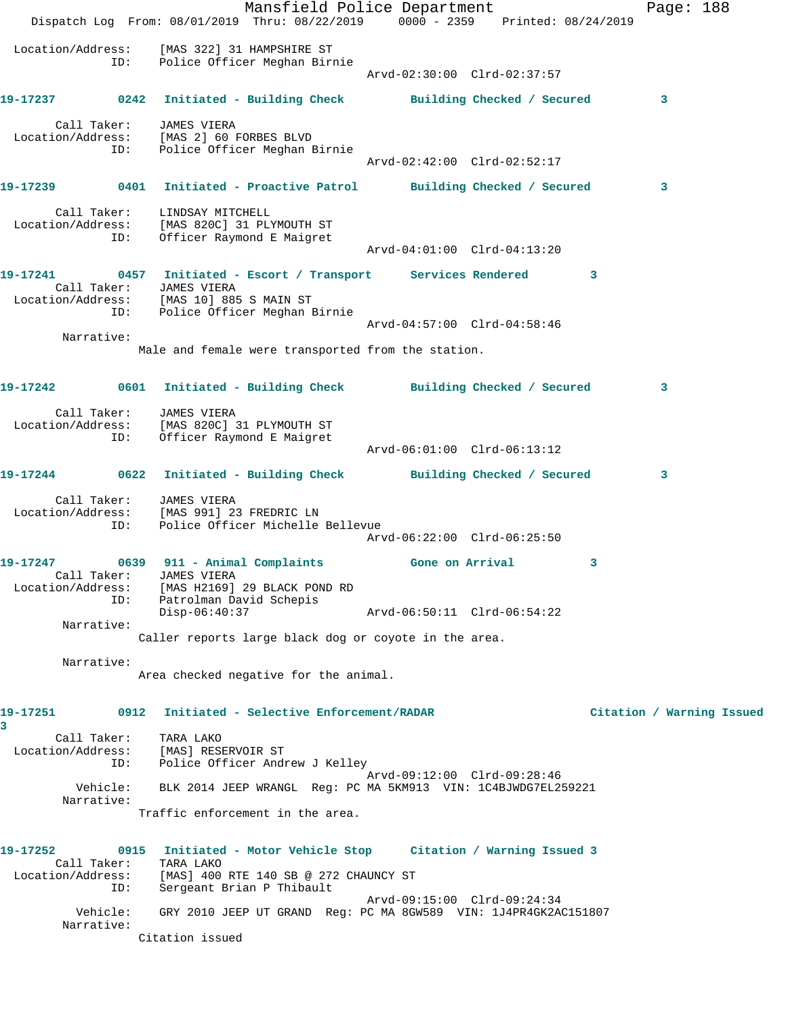Mansfield Police Department Page: 188 Dispatch Log From: 08/01/2019 Thru: 08/22/2019 0000 - 2359 Printed: 08/24/2019 Location/Address: [MAS 322] 31 HAMPSHIRE ST ID: Police Officer Meghan Birnie Arvd-02:30:00 Clrd-02:37:57 **19-17237 0242 Initiated - Building Check Building Checked / Secured 3** Call Taker: JAMES VIERA Location/Address: [MAS 2] 60 FORBES BLVD ID: Police Officer Meghan Birnie Arvd-02:42:00 Clrd-02:52:17 **19-17239 0401 Initiated - Proactive Patrol Building Checked / Secured 3** Call Taker: LINDSAY MITCHELL Location/Address: [MAS 820C] 31 PLYMOUTH ST ID: Officer Raymond E Maigret Arvd-04:01:00 Clrd-04:13:20 **19-17241 0457 Initiated - Escort / Transport Services Rendered 3**  Call Taker: JAMES VIERA Location/Address: [MAS 10] 885 S MAIN ST ID: Police Officer Meghan Birnie Arvd-04:57:00 Clrd-04:58:46 Narrative: Male and female were transported from the station. **19-17242 0601 Initiated - Building Check Building Checked / Secured 3** Call Taker: JAMES VIERA Location/Address: [MAS 820C] 31 PLYMOUTH ST ID: Officer Raymond E Maigret Arvd-06:01:00 Clrd-06:13:12 **19-17244 0622 Initiated - Building Check Building Checked / Secured 3** Call Taker: JAMES VIERA Location/Address: [MAS 991] 23 FREDRIC LN ID: Police Officer Michelle Bellevue Arvd-06:22:00 Clrd-06:25:50 **19-17247 0639 911 - Animal Complaints Gone on Arrival 3**  Call Taker: JAMES VIERA Location/Address: [MAS H2169] 29 BLACK POND RD ID: Patrolman David Schepis<br>Disp-06:40:37 Disp-06:40:37 Arvd-06:50:11 Clrd-06:54:22 Narrative: Caller reports large black dog or coyote in the area. Narrative: Area checked negative for the animal. **19-17251 0912 Initiated - Selective Enforcement/RADAR Citation / Warning Issued 3**  Call Taker: TARA LAKO Location/Address: [MAS] RESERVOIR ST ID: Police Officer Andrew J Kelley Arvd-09:12:00 Clrd-09:28:46 Vehicle: BLK 2014 JEEP WRANGL Reg: PC MA 5KM913 VIN: 1C4BJWDG7EL259221 Narrative: Traffic enforcement in the area. **19-17252 0915 Initiated - Motor Vehicle Stop Citation / Warning Issued 3**  Call Taker: TARA LAKO Location/Address: [MAS] 400 RTE 140 SB @ 272 CHAUNCY ST ID: Sergeant Brian P Thibault Arvd-09:15:00 Clrd-09:24:34 Vehicle: GRY 2010 JEEP UT GRAND Reg: PC MA 8GW589 VIN: 1J4PR4GK2AC151807 Narrative: Citation issued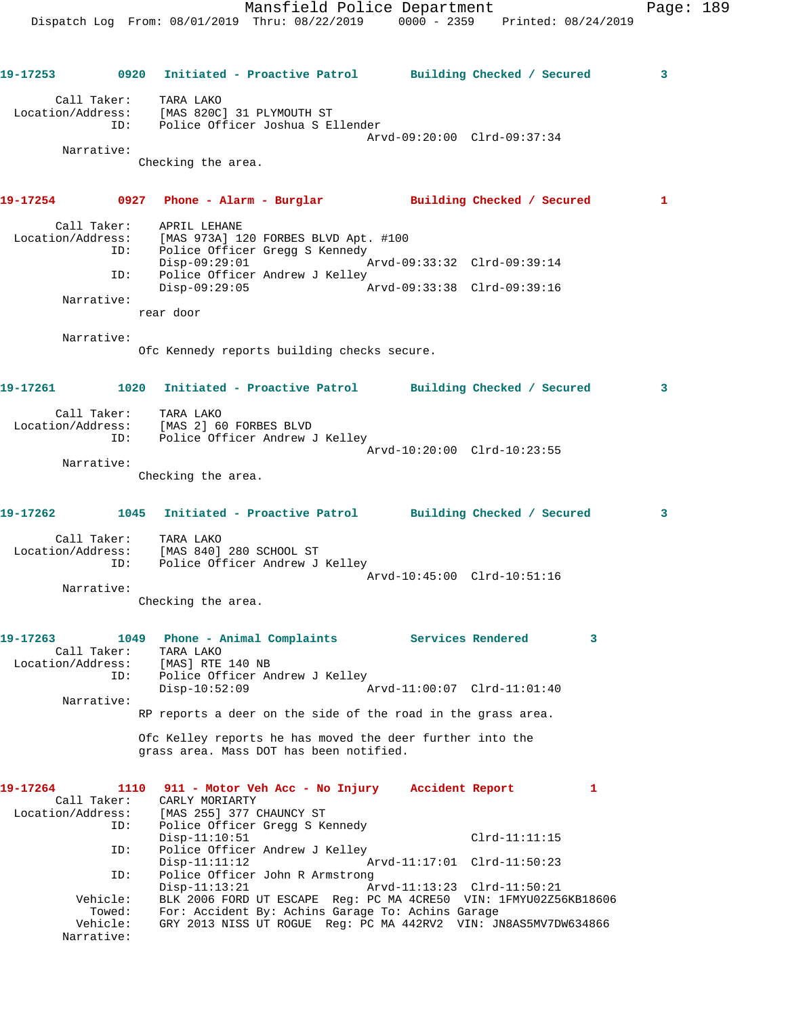Dispatch Log From: 08/01/2019 Thru: 08/22/2019 0000 - 2359 Printed: 08/24/2019 **19-17253 0920 Initiated - Proactive Patrol Building Checked / Secured 3** Call Taker: TARA LAKO Location/Address: [MAS 820C] 31 PLYMOUTH ST ID: Police Officer Joshua S Ellender Arvd-09:20:00 Clrd-09:37:34 Narrative: Checking the area. **19-17254 0927 Phone - Alarm - Burglar Building Checked / Secured 1** Call Taker: APRIL LEHANE Location/Address: [MAS 973A] 120 FORBES BLVD Apt. #100 ID: Police Officer Gregg S Kennedy Disp-09:29:01 Arvd-09:33:32 Clrd-09:39:14 ID: Police Officer Andrew J Kelley<br>Disp-09:29:05 Disp-09:29:05 Arvd-09:33:38 Clrd-09:39:16 Narrative: rear door Narrative: Ofc Kennedy reports building checks secure. **19-17261 1020 Initiated - Proactive Patrol Building Checked / Secured 3** Call Taker: TARA LAKO Location/Address: [MAS 2] 60 FORBES BLVD ID: Police Officer Andrew J Kelley Arvd-10:20:00 Clrd-10:23:55 Narrative: Checking the area. **19-17262 1045 Initiated - Proactive Patrol Building Checked / Secured 3** Call Taker: TARA LAKO Location/Address: [MAS 840] 280 SCHOOL ST ID: Police Officer Andrew J Kelley Arvd-10:45:00 Clrd-10:51:16 Narrative: Checking the area. **19-17263 1049 Phone - Animal Complaints Services Rendered 3**  Call Taker: TARA LAKO<br>ion/Address: [MAS] RTE 140 NB Location/Address:<br>ID: Police Officer Andrew J Kelley Disp-10:52:09 Arvd-11:00:07 Clrd-11:01:40 Narrative: RP reports a deer on the side of the road in the grass area. Ofc Kelley reports he has moved the deer further into the grass area. Mass DOT has been notified. **19-17264 1110 911 - Motor Veh Acc - No Injury Accident Report 1**  Call Taker: CARLY MORIARTY<br>Location/Address: [MAS 255] 377 ( ess: [MAS 255] 377 CHAUNCY ST<br>ID: Police Officer Gregg S K Police Officer Gregg S Kennedy Disp-11:10:51 Clrd-11:11:15 ID: Police Officer Andrew J Kelley Disp-11:11:12 Arvd-11:17:01 Clrd-11:50:23 ID: Police Officer John R Armstrong Disp-11:13:21 Arvd-11:13:23 Clrd-11:50:21<br>Vehicle: BLK 2006 FORD UT ESCAPE Reg: PC MA 4CRE50 VIN: 1FMYU02Z5 BLK 2006 FORD UT ESCAPE Reg: PC MA 4CRE50 VIN: 1FMYU02Z56KB18606 Towed: For: Accident By: Achins Garage To: Achins Garage Vehicle: GRY 2013 NISS UT ROGUE Reg: PC MA 442RV2 VIN: JN8AS5MV7DW634866 Narrative:

Mansfield Police Department Page: 189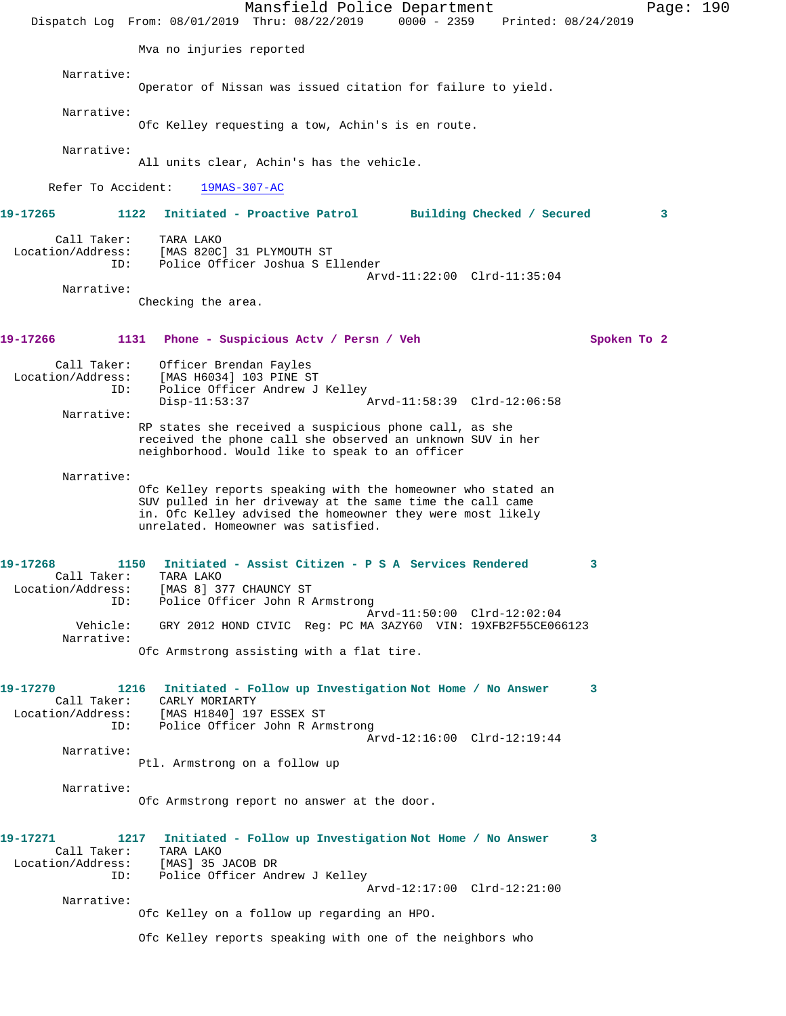|                                                     | Mansfield Police Department<br>Dispatch Log From: 08/01/2019 Thru: 08/22/2019                                                                                                                                                  | 0000 - 2359 Printed: 08/24/2019 | Page: 190   |  |
|-----------------------------------------------------|--------------------------------------------------------------------------------------------------------------------------------------------------------------------------------------------------------------------------------|---------------------------------|-------------|--|
|                                                     | Mva no injuries reported                                                                                                                                                                                                       |                                 |             |  |
| Narrative:                                          | Operator of Nissan was issued citation for failure to yield.                                                                                                                                                                   |                                 |             |  |
| Narrative:                                          | Ofc Kelley requesting a tow, Achin's is en route.                                                                                                                                                                              |                                 |             |  |
| Narrative:                                          | All units clear, Achin's has the vehicle.                                                                                                                                                                                      |                                 |             |  |
| Refer To Accident:                                  | $19MAS-307-AC$                                                                                                                                                                                                                 |                                 |             |  |
| 19-17265<br>1122                                    | Initiated - Proactive Patrol                                                                                                                                                                                                   | Building Checked / Secured      | 3           |  |
| Call Taker:<br>Location/Address:<br>ID:             | TARA LAKO<br>[MAS 820C] 31 PLYMOUTH ST<br>Police Officer Joshua S Ellender<br>Arvd-11:22:00 Clrd-11:35:04                                                                                                                      |                                 |             |  |
| Narrative:                                          | Checking the area.                                                                                                                                                                                                             |                                 |             |  |
| 19-17266<br>1131                                    | Phone - Suspicious Actv / Persn / Veh                                                                                                                                                                                          |                                 | Spoken To 2 |  |
| Call Taker:<br>Location/Address:<br>ID:             | Officer Brendan Fayles<br>[MAS H6034] 103 PINE ST<br>Police Officer Andrew J Kelley<br>$Disp-11:53:37$<br>Arvd-11:58:39 Clrd-12:06:58                                                                                          |                                 |             |  |
| Narrative:                                          | RP states she received a suspicious phone call, as she<br>received the phone call she observed an unknown SUV in her<br>neighborhood. Would like to speak to an officer                                                        |                                 |             |  |
| Narrative:                                          | Ofc Kelley reports speaking with the homeowner who stated an<br>SUV pulled in her driveway at the same time the call came<br>in. Ofc Kelley advised the homeowner they were most likely<br>unrelated. Homeowner was satisfied. |                                 |             |  |
| 19-17268<br>1150<br>Location/Address:<br>ID:        | Initiated - Assist Citizen - P S A Services Rendered<br>Call Taker: TARA LAKO<br>[MAS 8] 377 CHAUNCY ST<br>Police Officer John R Armstrong                                                                                     | 3                               |             |  |
| Vehicle:<br>Narrative:                              | Arvd-11:50:00 Clrd-12:02:04<br>GRY 2012 HOND CIVIC Reg: PC MA 3AZY60 VIN: 19XFB2F55CE066123<br>Ofc Armstrong assisting with a flat tire.                                                                                       |                                 |             |  |
| 19-17270<br>Call Taker:<br>Location/Address:<br>ID: | 1216<br>Initiated - Follow up Investigation Not Home / No Answer<br>CARLY MORIARTY<br>[MAS H1840] 197 ESSEX ST<br>Police Officer John R Armstrong<br>Arvd-12:16:00 Clrd-12:19:44                                               | 3                               |             |  |
| Narrative:                                          | Ptl. Armstrong on a follow up                                                                                                                                                                                                  |                                 |             |  |
| Narrative:                                          | Ofc Armstrong report no answer at the door.                                                                                                                                                                                    |                                 |             |  |
| 19-17271<br>Call Taker:<br>Location/Address:<br>ID: | 1217<br>Initiated - Follow up Investigation Not Home / No Answer<br>TARA LAKO<br>[MAS] 35 JACOB DR<br>Police Officer Andrew J Kelley                                                                                           | 3                               |             |  |
| Narrative:                                          | Arvd-12:17:00 Clrd-12:21:00                                                                                                                                                                                                    |                                 |             |  |
|                                                     | Ofc Kelley on a follow up regarding an HPO.<br>Ofc Kelley reports speaking with one of the neighbors who                                                                                                                       |                                 |             |  |
|                                                     |                                                                                                                                                                                                                                |                                 |             |  |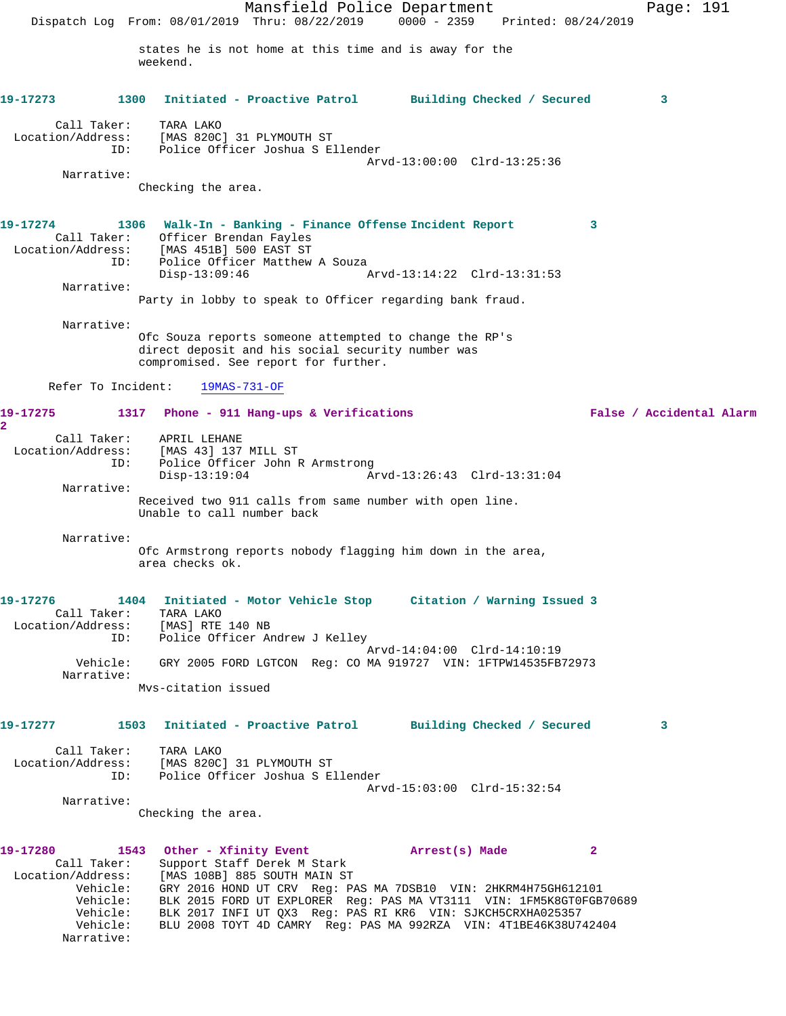Mansfield Police Department Page: 191 Dispatch Log From: 08/01/2019 Thru: 08/22/2019 0000 - 2359 Printed: 08/24/2019 states he is not home at this time and is away for the weekend. **19-17273 1300 Initiated - Proactive Patrol Building Checked / Secured 3** Call Taker: TARA LAKO Location/Address: [MAS 820C] 31 PLYMOUTH ST ID: Police Officer Joshua S Ellender Arvd-13:00:00 Clrd-13:25:36 Narrative: Checking the area. **19-17274 1306 Walk-In - Banking - Finance Offense Incident Report 3**  Call Taker: Officer Brendan Fayles Location/Address: [MAS 451B] 500 EAST ST ess: تصدر العادة العام العام العام العام العام العام العام العام العام العام العام العام العام العام العام ال<br>ID: Police Officer Matthew A Souza Arvd-13:14:22 Clrd-13:31:53 Narrative: Party in lobby to speak to Officer regarding bank fraud. Narrative: Ofc Souza reports someone attempted to change the RP's direct deposit and his social security number was compromised. See report for further. Refer To Incident: 19MAS-731-OF **19-17275 1317 Phone - 911 Hang-ups & Verifications False / Accidental Alarm 2**  Call Taker: APRIL LEHANE Location/Address: [MAS 43] 137 MILL ST ID: Police Officer John R Armstrong Disp-13:19:04 Arvd-13:26:43 Clrd-13:31:04 Narrative: Received two 911 calls from same number with open line. Unable to call number back Narrative: Ofc Armstrong reports nobody flagging him down in the area, area checks ok. **19-17276 1404 Initiated - Motor Vehicle Stop Citation / Warning Issued 3**  Call Taker: TARA LAKO Location/Address: [MAS] RTE 140 NB ID: Police Officer Andrew J Kelley Arvd-14:04:00 Clrd-14:10:19 Vehicle: GRY 2005 FORD LGTCON Reg: CO MA 919727 VIN: 1FTPW14535FB72973 Narrative: Mvs-citation issued **19-17277 1503 Initiated - Proactive Patrol Building Checked / Secured 3** Call Taker: TARA LAKO Location/Address: [MAS 820C] 31 PLYMOUTH ST ID: Police Officer Joshua S Ellender Arvd-15:03:00 Clrd-15:32:54 Narrative: Checking the area. **19-17280 1543 Other - Xfinity Event Arrest(s) Made 2**  Call Taker: Support Staff Derek M Stark Location/Address: [MAS 108B] 885 SOUTH MAIN ST Vehicle: GRY 2016 HOND UT CRV Reg: PAS MA 7DSB10 VIN: 2HKRM4H75GH612101 Vehicle: BLK 2015 FORD UT EXPLORER Reg: PAS MA VT3111 VIN: 1FM5K8GT0FGB70689 Vehicle: BLK 2017 INFI UT QX3 Reg: PAS RI KR6 VIN: SJKCH5CRXHA025357 Vehicle: BLU 2008 TOYT 4D CAMRY Reg: PAS MA 992RZA VIN: 4T1BE46K38U742404 Narrative: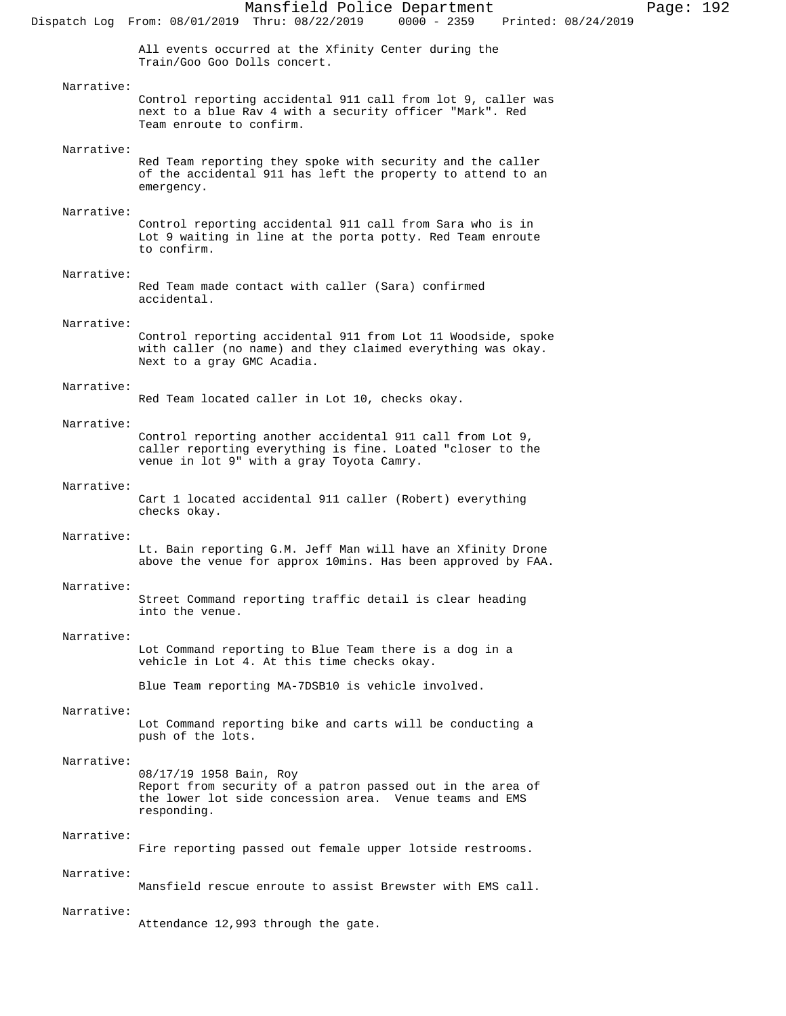# Narrative:

Control reporting accidental 911 call from lot 9, caller was next to a blue Rav 4 with a security officer "Mark". Red Team enroute to confirm.

# Narrative:

Red Team reporting they spoke with security and the caller of the accidental 911 has left the property to attend to an emergency.

#### Narrative:

Control reporting accidental 911 call from Sara who is in Lot 9 waiting in line at the porta potty. Red Team enroute to confirm.

## Narrative:

Red Team made contact with caller (Sara) confirmed accidental.

## Narrative:

Control reporting accidental 911 from Lot 11 Woodside, spoke with caller (no name) and they claimed everything was okay. Next to a gray GMC Acadia.

## Narrative:

Red Team located caller in Lot 10, checks okay.

# Narrative:

Control reporting another accidental 911 call from Lot 9, caller reporting everything is fine. Loated "closer to the venue in lot 9" with a gray Toyota Camry.

## Narrative:

Cart 1 located accidental 911 caller (Robert) everything checks okay.

#### Narrative:

Lt. Bain reporting G.M. Jeff Man will have an Xfinity Drone above the venue for approx 10mins. Has been approved by FAA.

#### Narrative:

Street Command reporting traffic detail is clear heading into the venue.

## Narrative:

Lot Command reporting to Blue Team there is a dog in a vehicle in Lot 4. At this time checks okay.

Blue Team reporting MA-7DSB10 is vehicle involved.

# Narrative:

Lot Command reporting bike and carts will be conducting a push of the lots.

## Narrative:

08/17/19 1958 Bain, Roy Report from security of a patron passed out in the area of the lower lot side concession area. Venue teams and EMS responding.

## Narrative:

Fire reporting passed out female upper lotside restrooms.

## Narrative:

Mansfield rescue enroute to assist Brewster with EMS call.

#### Narrative:

Attendance 12,993 through the gate.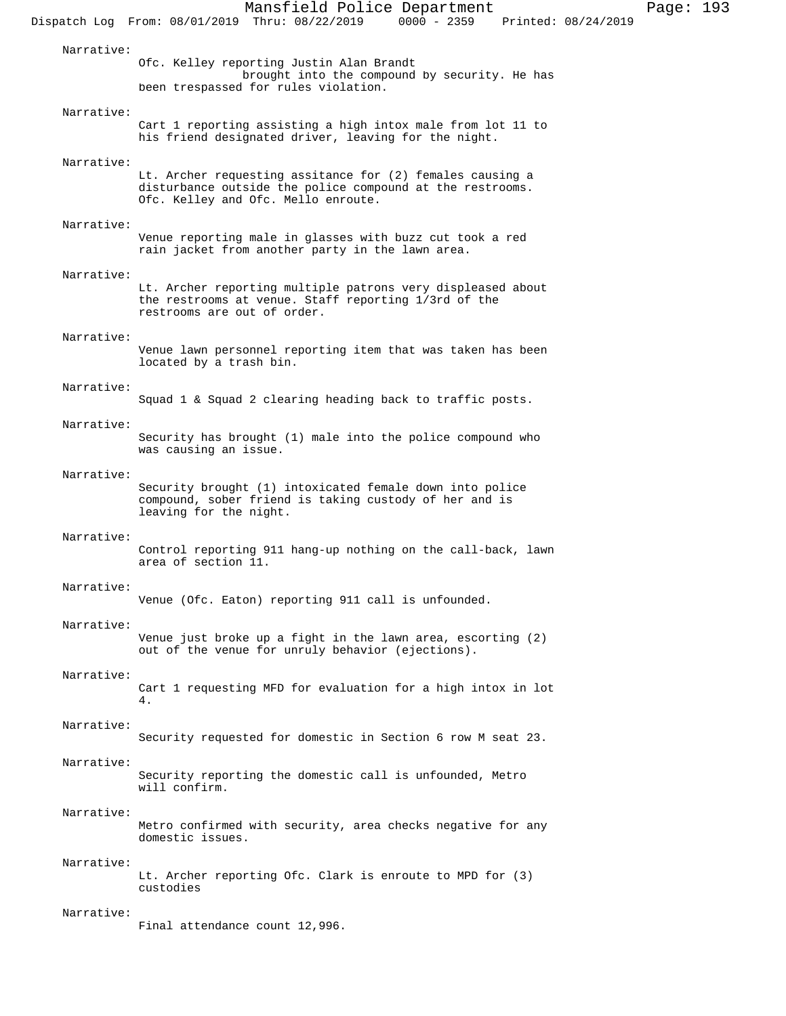Mansfield Police Department Page: 193 Dispatch Log From: 08/01/2019 Thru: 08/22/2019 Narrative: Ofc. Kelley reporting Justin Alan Brandt brought into the compound by security. He has been trespassed for rules violation. Narrative: Cart 1 reporting assisting a high intox male from lot 11 to his friend designated driver, leaving for the night. Narrative: Lt. Archer requesting assitance for (2) females causing a disturbance outside the police compound at the restrooms. Ofc. Kelley and Ofc. Mello enroute. Narrative: Venue reporting male in glasses with buzz cut took a red rain jacket from another party in the lawn area. Narrative: Lt. Archer reporting multiple patrons very displeased about the restrooms at venue. Staff reporting 1/3rd of the restrooms are out of order. Narrative: Venue lawn personnel reporting item that was taken has been located by a trash bin. Narrative: Squad 1 & Squad 2 clearing heading back to traffic posts. Narrative: Security has brought (1) male into the police compound who was causing an issue. Narrative: Security brought (1) intoxicated female down into police compound, sober friend is taking custody of her and is leaving for the night. Narrative: Control reporting 911 hang-up nothing on the call-back, lawn area of section 11. Narrative: Venue (Ofc. Eaton) reporting 911 call is unfounded. Narrative: Venue just broke up a fight in the lawn area, escorting (2) out of the venue for unruly behavior (ejections). Narrative: Cart 1 requesting MFD for evaluation for a high intox in lot 4. Narrative: Security requested for domestic in Section 6 row M seat 23. Narrative: Security reporting the domestic call is unfounded, Metro will confirm. Narrative: Metro confirmed with security, area checks negative for any domestic issues. Narrative: Lt. Archer reporting Ofc. Clark is enroute to MPD for (3) custodies Narrative: Final attendance count 12,996.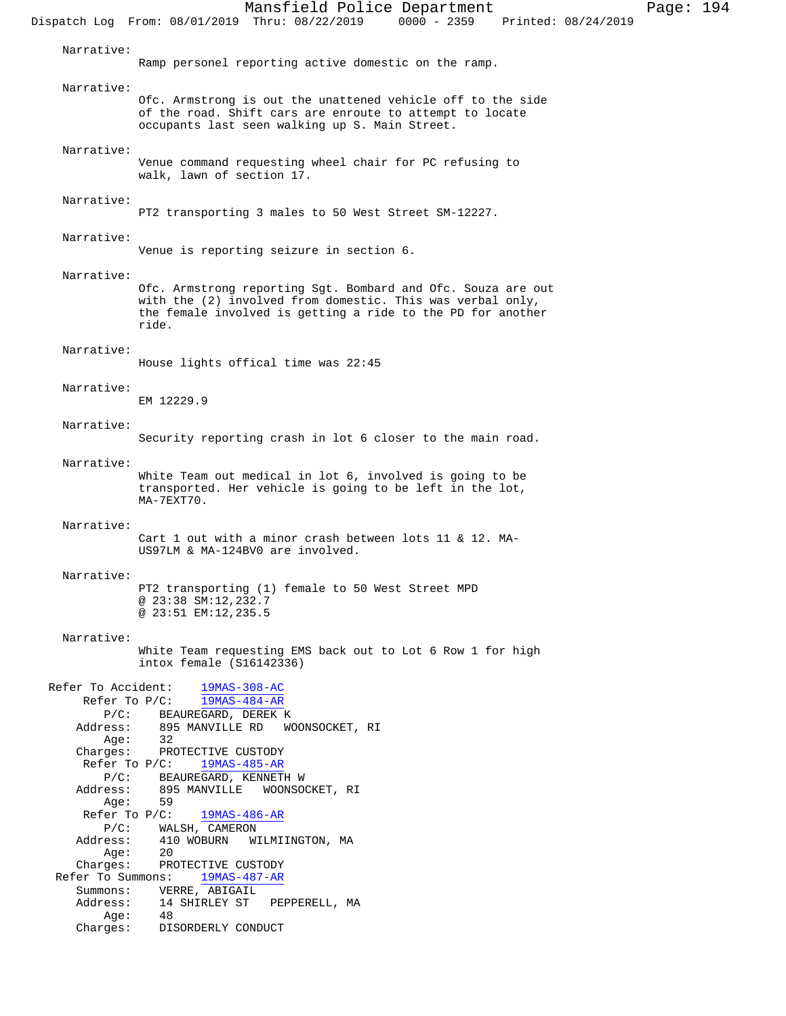Mansfield Police Department Page: 194 Dispatch Log From: 08/01/2019 Thru: 08/22/2019 0000 - 2359 Printed: 08/24/2019 Narrative: Ramp personel reporting active domestic on the ramp. Narrative: Ofc. Armstrong is out the unattened vehicle off to the side of the road. Shift cars are enroute to attempt to locate occupants last seen walking up S. Main Street. Narrative: Venue command requesting wheel chair for PC refusing to walk, lawn of section 17. Narrative: PT2 transporting 3 males to 50 West Street SM-12227. Narrative: Venue is reporting seizure in section 6. Narrative: Ofc. Armstrong reporting Sgt. Bombard and Ofc. Souza are out with the (2) involved from domestic. This was verbal only, the female involved is getting a ride to the PD for another ride. Narrative: House lights offical time was 22:45 Narrative: EM 12229.9 Narrative: Security reporting crash in lot 6 closer to the main road. Narrative: White Team out medical in lot 6, involved is going to be transported. Her vehicle is going to be left in the lot, MA-7EXT70. Narrative: Cart 1 out with a minor crash between lots 11 & 12. MA-US97LM & MA-124BV0 are involved. Narrative: PT2 transporting (1) female to 50 West Street MPD @ 23:38 SM:12,232.7 @ 23:51 EM:12,235.5 Narrative: White Team requesting EMS back out to Lot 6 Row 1 for high intox female (S16142336) Refer To Accident: 19MAS-308-AC Refer To P/C: 19MAS-484-AR P/C: BEAUREGARD, DEREK K<br>Address: 895 MANVILLE RD WO 895 MANVILLE RD WOONSOCKET, RI Age: 32 Charges: PROTECTIVE CUSTODY Refer To P/C: 19MAS-485-AR P/C: BEAUREGARD, KENNETH W Address: 895 MANVILLE WOONSOCKET, RI Age: 59 Refer To P/C: 19MAS-486-AR P/C: WALSH, CAMERON<br>Address: 410 WOBURN W 410 WOBURN WILMIINGTON, MA<br>20 Age: 20 Charges: PROTECTIVE CUSTODY Refer To Summons: 19MAS-487-AR Summons: VERRE, ABIGAIL<br>Address: 14 SHIRLEY ST PEPPERELL, MA Address: 14 SHIRLEY ST<br>Age: 48  $Age:$ Charges: DISORDERLY CONDUCT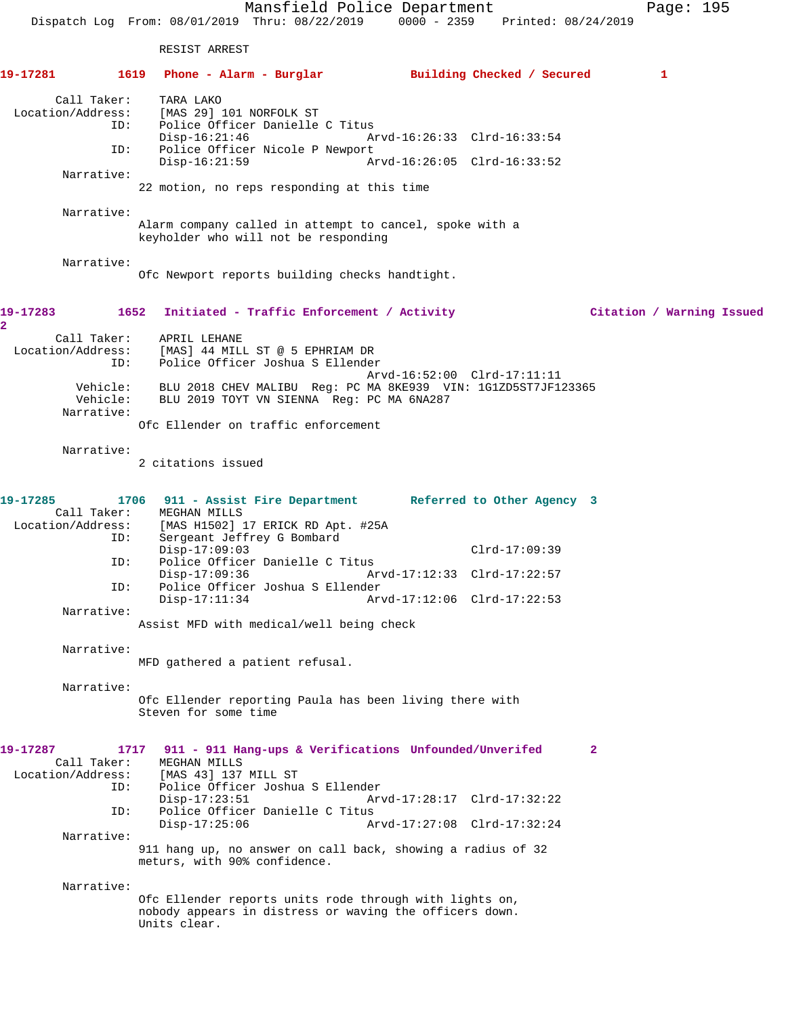Mansfield Police Department Page: 195 Dispatch Log From: 08/01/2019 Thru: 08/22/2019 0000 - 2359 Printed: 08/24/2019 RESIST ARREST **19-17281 1619 Phone - Alarm - Burglar Building Checked / Secured 1** Call Taker: TARA LAKO<br>Location/Address: [MAS 29] ess: [MAS 29] 101 NORFOLK ST<br>ID: Police Officer Danielle Police Officer Danielle C Titus Disp-16:21:46 Arvd-16:26:33 Clrd-16:33:54 ID: Police Officer Nicole P Newport Arvd-16:26:05 Clrd-16:33:52 Narrative: 22 motion, no reps responding at this time Narrative: Alarm company called in attempt to cancel, spoke with a keyholder who will not be responding Narrative: Ofc Newport reports building checks handtight. **19-17283 1652 Initiated - Traffic Enforcement / Activity Citation / Warning Issued 2**  Call Taker: APRIL LEHANE Location/Address: [MAS] 44 MILL ST @ 5 EPHRIAM DR ID: Police Officer Joshua S Ellender Arvd-16:52:00 Clrd-17:11:11 Vehicle: BLU 2018 CHEV MALIBU Reg: PC MA 8KE939 VIN: 1G1ZD5ST7JF123365 Vehicle: BLU 2019 TOYT VN SIENNA Reg: PC MA 6NA287 Narrative: Ofc Ellender on traffic enforcement Narrative: 2 citations issued **19-17285 1706 911 - Assist Fire Department Referred to Other Agency 3**  Call Taker: MEGHAN MILLS<br>Location/Address: [MAS H1502] [MAS H1502] 17 ERICK RD Apt. #25A ID: Sergeant Jeffrey G Bombard Disp-17:09:03 Clrd-17:09:39<br>TD: Police Officer Danielle C Titus Police Officer Danielle C Titus Disp-17:09:36 Arvd-17:12:33 Clrd-17:22:57 ID: Police Officer Joshua S Ellender Arvd-17:12:06 Clrd-17:22:53 Narrative: Assist MFD with medical/well being check Narrative: MFD gathered a patient refusal. Narrative: Ofc Ellender reporting Paula has been living there with Steven for some time **19-17287 1717 911 - 911 Hang-ups & Verifications Unfounded/Unverifed 2**  Call Taker: MEGHAN MILLS<br>Location/Address: [MAS 43] 137 ess: [MAS 43] 137 MILL ST<br>ID: Police Officer Joshua Police Officer Joshua S Ellender<br>Disp-17:23:51 Arv Disp-17:23:51 Arvd-17:28:17 Clrd-17:32:22 ID: Police Officer Danielle C Titus Disp-17:25:06 Arvd-17:27:08 Clrd-17:32:24 Narrative: 911 hang up, no answer on call back, showing a radius of 32 meturs, with 90% confidence. Narrative: Ofc Ellender reports units rode through with lights on, nobody appears in distress or waving the officers down. Units clear.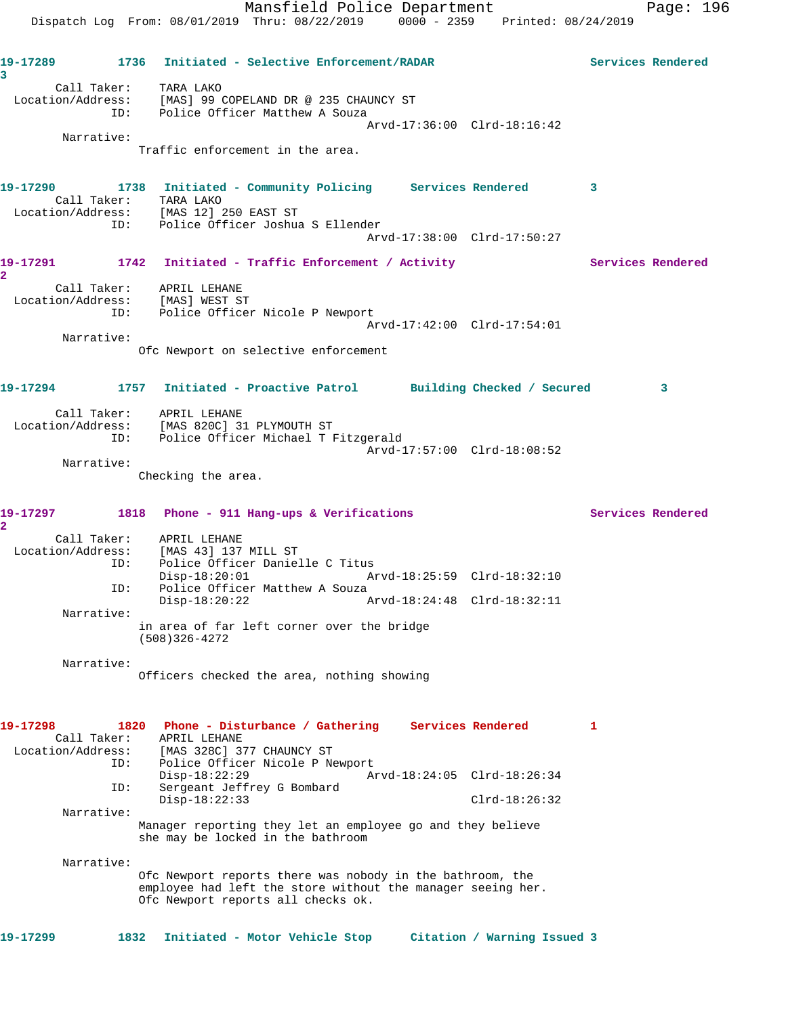Mansfield Police Department Page: 196 Dispatch Log From: 08/01/2019 Thru: 08/22/2019 0000 - 2359 Printed: 08/24/2019 **19-17289 1736 Initiated - Selective Enforcement/RADAR Services Rendered 3**  Call Taker: TARA LAKO Location/Address: [MAS] 99 COPELAND DR @ 235 CHAUNCY ST ID: Police Officer Matthew A Souza Arvd-17:36:00 Clrd-18:16:42 Narrative: Traffic enforcement in the area. **19-17290 1738 Initiated - Community Policing Services Rendered 3**  Call Taker: TARA LAKO Location/Address: [MAS 12] 250 EAST ST ID: Police Officer Joshua S Ellender Arvd-17:38:00 Clrd-17:50:27 19-17291 1742 Initiated - Traffic Enforcement / Activity **Services Rendered 2**  Call Taker: APRIL LEHANE Location/Address: [MAS] WEST ST ID: Police Officer Nicole P Newport Arvd-17:42:00 Clrd-17:54:01 Narrative: Ofc Newport on selective enforcement **19-17294 1757 Initiated - Proactive Patrol Building Checked / Secured 3** Call Taker: APRIL LEHANE Location/Address: [MAS 820C] 31 PLYMOUTH ST ID: Police Officer Michael T Fitzgerald Arvd-17:57:00 Clrd-18:08:52 Narrative: Checking the area. **19-17297 1818 Phone - 911 Hang-ups & Verifications Services Rendered 2**  Call Taker: APRIL LEHANE Location/Address: [MAS 43] 137 MILL ST ID: Police Officer Danielle C Titus Disp-18:20:01 Arvd-18:25:59 Clrd-18:32:10 ID: Police Officer Matthew A Souza Disp-18:20:22 Arvd-18:24:48 Clrd-18:32:11 Narrative: in area of far left corner over the bridge (508)326-4272 Narrative: Officers checked the area, nothing showing **19-17298 1820 Phone - Disturbance / Gathering Services Rendered 1**  Call Taker: APRIL LEHANE Location/Address: [MAS 328C] 377 CHAUNCY ST ID: Police Officer Nicole P Newport Disp-18:22:29 Arvd-18:24:05 Clrd-18:26:34 ID: Sergeant Jeffrey G Bombard Disp-18:22:33 Clrd-18:26:32 Narrative: Manager reporting they let an employee go and they believe she may be locked in the bathroom Narrative: Ofc Newport reports there was nobody in the bathroom, the employee had left the store without the manager seeing her. Ofc Newport reports all checks ok. **19-17299 1832 Initiated - Motor Vehicle Stop Citation / Warning Issued 3**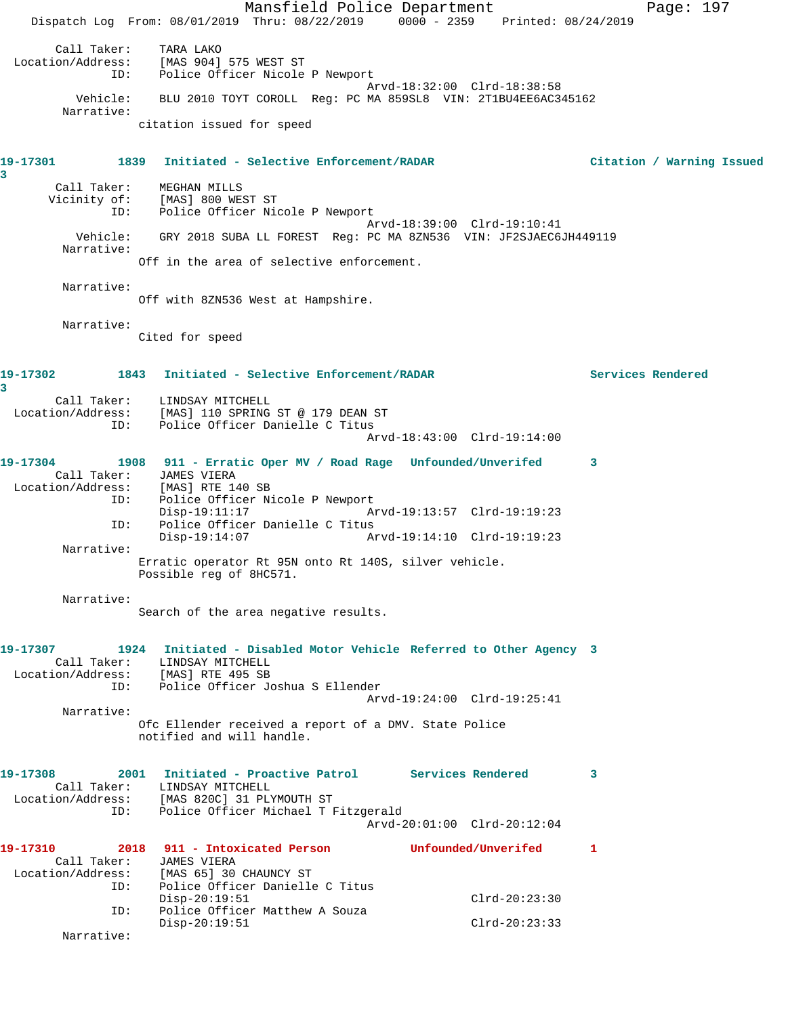Mansfield Police Department Page: 197 Dispatch Log From: 08/01/2019 Thru: 08/22/2019 0000 - 2359 Printed: 08/24/2019 Call Taker: TARA LAKO Location/Address: [MAS 904] 575 WEST ST ID: Police Officer Nicole P Newport Arvd-18:32:00 Clrd-18:38:58 Vehicle: BLU 2010 TOYT COROLL Reg: PC MA 859SL8 VIN: 2T1BU4EE6AC345162 Narrative: citation issued for speed **19-17301 1839 Initiated - Selective Enforcement/RADAR Citation / Warning Issued 3**  Call Taker: MEGHAN MILLS Vicinity of: [MAS] 800 WEST ST ID: Police Officer Nicole P Newport Arvd-18:39:00 Clrd-19:10:41 Vehicle: GRY 2018 SUBA LL FOREST Reg: PC MA 8ZN536 VIN: JF2SJAEC6JH449119 Narrative: Off in the area of selective enforcement. Narrative: Off with 8ZN536 West at Hampshire. Narrative: Cited for speed **19-17302 1843 Initiated - Selective Enforcement/RADAR Services Rendered 3**  Call Taker: LINDSAY MITCHELL Location/Address: [MAS] 110 SPRING ST @ 179 DEAN ST ID: Police Officer Danielle C Titus Arvd-18:43:00 Clrd-19:14:00 **19-17304 1908 911 - Erratic Oper MV / Road Rage Unfounded/Unverifed 3**  Call Taker: JAMES VIERA<br>Location/Address: [MAS] RTE 14 ess: [MAS] RTE 140 SB<br>ID: Police Officer Ni Police Officer Nicole P Newport<br>Disp-19:11:17 A Disp-19:11:17 Arvd-19:13:57 Clrd-19:19:23 ID: Police Officer Danielle C Titus Disp-19:14:07 Arvd-19:14:10 Clrd-19:19:23 Narrative: Erratic operator Rt 95N onto Rt 140S, silver vehicle. Possible reg of 8HC571. Narrative: Search of the area negative results. **19-17307 1924 Initiated - Disabled Motor Vehicle Referred to Other Agency 3**  Call Taker: LINDSAY MITCHELL Location/Address: [MAS] RTE 495 SB ID: Police Officer Joshua S Ellender Arvd-19:24:00 Clrd-19:25:41 Narrative: Ofc Ellender received a report of a DMV. State Police notified and will handle. **19-17308 2001 Initiated - Proactive Patrol Services Rendered 3**  Call Taker: LINDSAY MITCHELL<br>Location/Address: [MAS 820C] 31 PLY<br>ID: Police Officer Mi [MAS 820C] 31 PLYMOUTH ST Police Officer Michael T Fitzgerald Arvd-20:01:00 Clrd-20:12:04 **19-17310 2018 911 - Intoxicated Person Unfounded/Unverifed 1**  Call Taker: JAMES VIERA<br>Location/Address: [MAS 65] 30 ess: [MAS 65] 30 CHAUNCY ST<br>ID: Police Officer Danielle Police Officer Danielle C Titus Disp-20:19:51 Clrd-20:23:30<br>ID: Police Officer Matthew A Souza Police Officer Matthew A Souza Disp-20:19:51 Clrd-20:23:33 Narrative: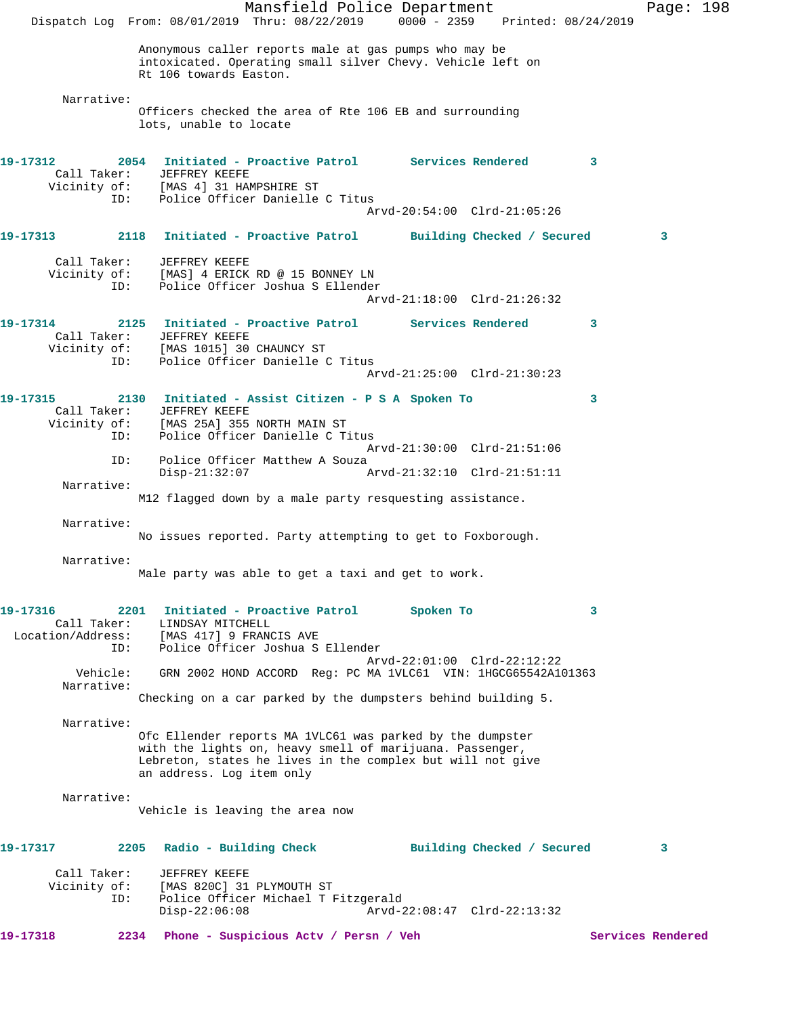Mansfield Police Department Fage: 198 Dispatch Log From: 08/01/2019 Thru: 08/22/2019 0000 - 2359 Printed: 08/24/2019 Anonymous caller reports male at gas pumps who may be intoxicated. Operating small silver Chevy. Vehicle left on Rt 106 towards Easton. Narrative: Officers checked the area of Rte 106 EB and surrounding lots, unable to locate **19-17312 2054 Initiated - Proactive Patrol Services Rendered 3**  Call Taker: JEFFREY KEEFE Vicinity of: [MAS 4] 31 HAMPSHIRE ST ID: Police Officer Danielle C Titus Arvd-20:54:00 Clrd-21:05:26 **19-17313 2118 Initiated - Proactive Patrol Building Checked / Secured 3** Call Taker: JEFFREY KEEFE Vicinity of: [MAS] 4 ERICK RD @ 15 BONNEY LN ID: Police Officer Joshua S Ellender Arvd-21:18:00 Clrd-21:26:32 **19-17314 2125 Initiated - Proactive Patrol Services Rendered 3**  Call Taker: JEFFREY KEEFE Vicinity of: [MAS 1015] 30 CHAUNCY ST ID: Police Officer Danielle C Titus Arvd-21:25:00 Clrd-21:30:23 **19-17315 2130 Initiated - Assist Citizen - P S A Spoken To 3**  Call Taker: JEFFREY KEEFE Vicinity of: [MAS 25A] 355 NORTH MAIN ST ID: Police Officer Danielle C Titus Arvd-21:30:00 Clrd-21:51:06<br>ID: Police Officer Matthew A Souza Police Officer Matthew A Souza Disp-21:32:07 Arvd-21:32:10 Clrd-21:51:11 Narrative: M12 flagged down by a male party resquesting assistance. Narrative: No issues reported. Party attempting to get to Foxborough. Narrative: Male party was able to get a taxi and get to work. **19-17316 2201 Initiated - Proactive Patrol Spoken To 3**  Call Taker: LINDSAY MITCHELL<br>Location/Address: [MAS 417] 9 FRANG<br>ID: Police Officer Jo [MAS 417] 9 FRANCIS AVE Police Officer Joshua S Ellender Arvd-22:01:00 Clrd-22:12:22 Vehicle: GRN 2002 HOND ACCORD Reg: PC MA 1VLC61 VIN: 1HGCG65542A101363 Narrative: Checking on a car parked by the dumpsters behind building 5. Narrative: Ofc Ellender reports MA 1VLC61 was parked by the dumpster with the lights on, heavy smell of marijuana. Passenger, Lebreton, states he lives in the complex but will not give an address. Log item only Narrative: Vehicle is leaving the area now **19-17317 2205 Radio - Building Check Building Checked / Secured 3** Call Taker: JEFFREY KEEFE<br>Vicinity of: [MAS 820C] 31 [MAS 820C] 31 PLYMOUTH ST ID: Police Officer Michael T Fitzgerald Disp-22:06:08 Arvd-22:08:47 Clrd-22:13:32 **19-17318 2234 Phone - Suspicious Actv / Persn / Veh Services Rendered**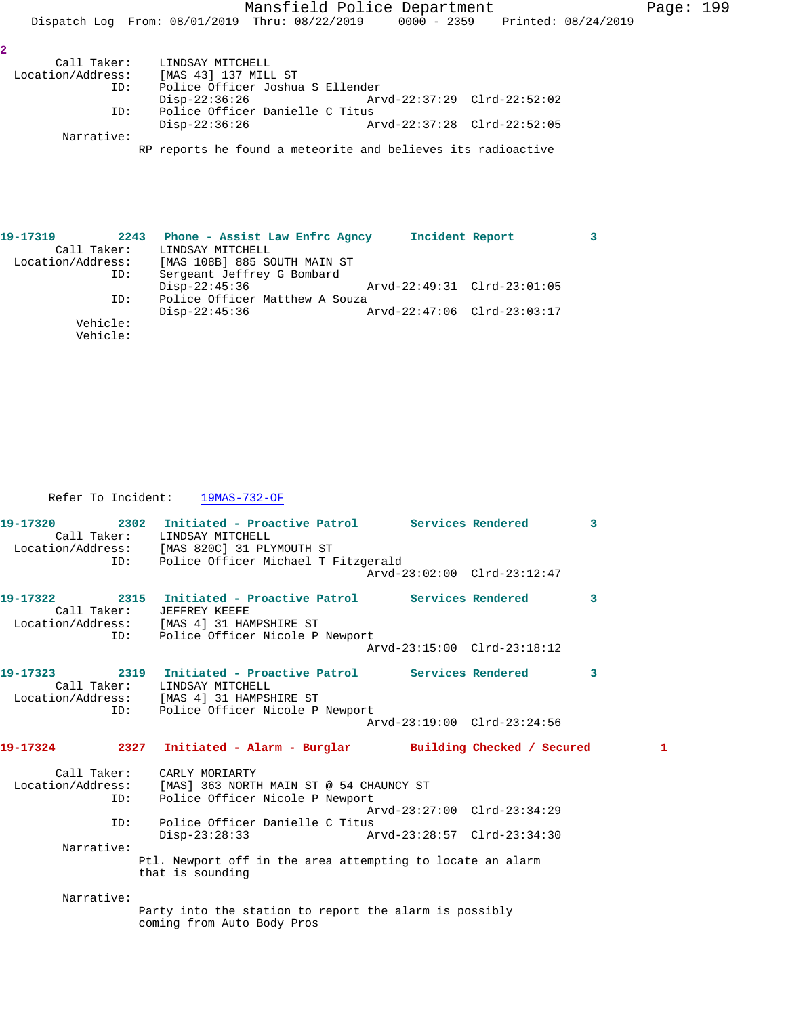Mansfield Police Department Page: 199

Dispatch Log From: 08/01/2019 Thru: 08/22/2019 0000 - 2359 Printed: 08/24/2019

| I |  |
|---|--|
|   |  |
|   |  |
|   |  |

| Call Taker:       | LINDSAY MITCHELL                                             |                             |  |
|-------------------|--------------------------------------------------------------|-----------------------------|--|
| Location/Address: | [MAS 43] 137 MILL ST                                         |                             |  |
| ID:               | Police Officer Joshua S Ellender                             |                             |  |
|                   | Disp-22:36:26                                                | Arvd-22:37:29 Clrd-22:52:02 |  |
| ID:               | Police Officer Danielle C Titus                              |                             |  |
|                   | Disp-22:36:26                                                | Arvd-22:37:28 Clrd-22:52:05 |  |
| Narrative:        |                                                              |                             |  |
|                   | RP reports he found a meteorite and believes its radioactive |                             |  |

| 19-17319          | 2243                 | Phone - Assist Law Enfrc Agncy |  | Incident Report |                             |  |
|-------------------|----------------------|--------------------------------|--|-----------------|-----------------------------|--|
|                   | Call Taker:          | LINDSAY MITCHELL               |  |                 |                             |  |
| Location/Address: |                      | [MAS 108B] 885 SOUTH MAIN ST   |  |                 |                             |  |
|                   | ID:                  | Sergeant Jeffrey G Bombard     |  |                 |                             |  |
|                   |                      | $Disp-22:45:36$                |  |                 | Arvd-22:49:31 Clrd-23:01:05 |  |
|                   | ID:                  | Police Officer Matthew A Souza |  |                 |                             |  |
|                   |                      | Disp-22:45:36                  |  |                 | Arvd-22:47:06 Clrd-23:03:17 |  |
|                   | Vehicle:<br>Vehicle: |                                |  |                 |                             |  |

Refer To Incident: 19MAS-732-OF

| 19-17320    | 2302 Initiated - Proactive Patrol Services Rendered<br>Call Taker: LINDSAY MITCHELL<br>Location/Address: [MAS 820C] 31 PLYMOUTH ST |                             | $\overline{\mathbf{3}}$ |
|-------------|------------------------------------------------------------------------------------------------------------------------------------|-----------------------------|-------------------------|
|             | ID: Police Officer Michael T Fitzgerald                                                                                            | Arvd-23:02:00 Clrd-23:12:47 |                         |
| Call Taker: | 19-17322 2315 Initiated - Proactive Patrol Services Rendered<br>JEFFREY KEEFE<br>Location/Address: [MAS 4] 31 HAMPSHIRE ST         |                             | 3                       |
|             | ID: Police Officer Nicole P Newport                                                                                                | Arvd-23:15:00 Clrd-23:18:12 |                         |
|             | Call Taker: LINDSAY MITCHELL<br>Location/Address: [MAS 4] 31 HAMPSHIRE ST<br>ID: Police Officer Nicole P Newport                   |                             | 3                       |
|             |                                                                                                                                    | Arvd-23:19:00 Clrd-23:24:56 |                         |
|             | 19-17324 2327 Initiated - Alarm - Burglar Building Checked / Secured                                                               |                             | 1                       |
|             | Call Taker: CARLY MORIARTY<br>Location/Address: [MAS] 363 NORTH MAIN ST @ 54 CHAUNCY ST<br>ID: Police Officer Nicole P Newport     |                             |                         |
| ID:         | Police Officer Danielle C Titus                                                                                                    | Arvd-23:27:00 Clrd-23:34:29 |                         |
| Narrative:  | Disp-23:28:33 Arvd-23:28:57 Clrd-23:34:30<br>Ptl. Newport off in the area attempting to locate an alarm<br>that is sounding        |                             |                         |
| Narrative:  | Party into the station to report the alarm is possibly<br>coming from Auto Body Pros                                               |                             |                         |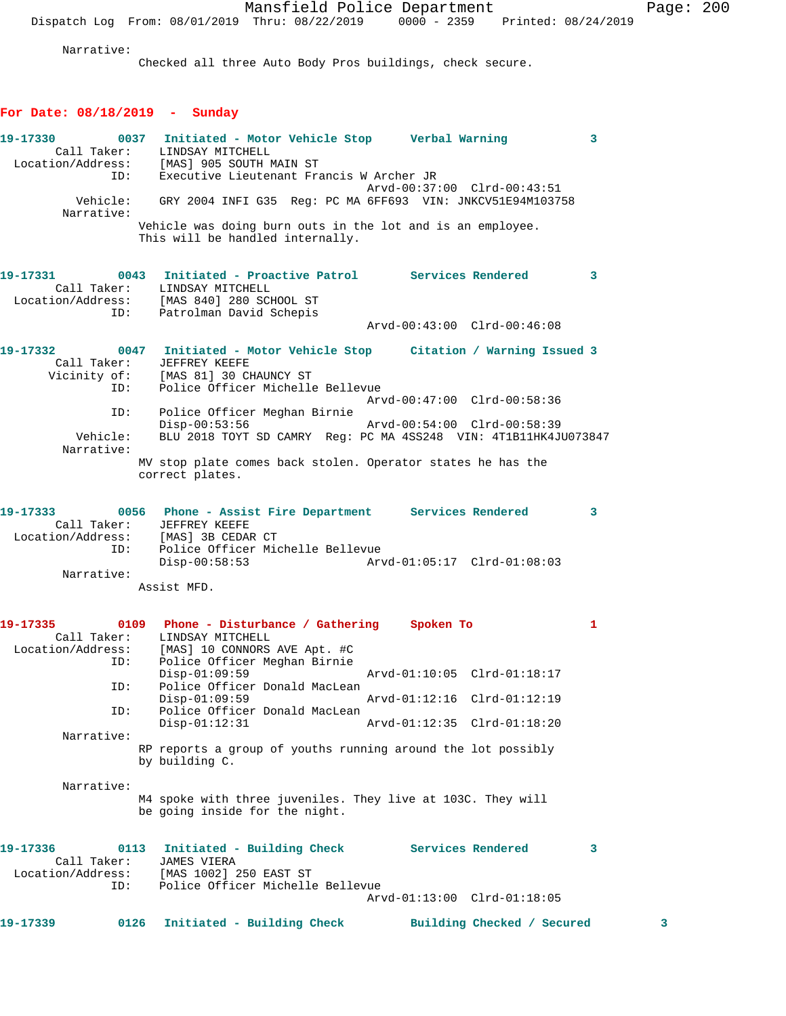Narrative:

Checked all three Auto Body Pros buildings, check secure.

# **For Date: 08/18/2019 - Sunday**

| 19-17330                                | ID:  | 0037 Initiated - Motor Vehicle Stop Verbal Warning<br>Call Taker: LINDSAY MITCHELL<br>Location/Address: [MAS] 905 SOUTH MAIN ST<br>Executive Lieutenant Francis W Archer JR | Arvd-00:37:00 Clrd-00:43:51             | 3                       |
|-----------------------------------------|------|-----------------------------------------------------------------------------------------------------------------------------------------------------------------------------|-----------------------------------------|-------------------------|
| Vehicle:<br>Narrative:                  |      | GRY 2004 INFI G35 Req: PC MA 6FF693 VIN: JNKCV51E94M103758<br>Vehicle was doing burn outs in the lot and is an employee.<br>This will be handled internally.                |                                         |                         |
|                                         | ID:  | 19-17331 6043 Initiated - Proactive Patrol Services Rendered<br>Call Taker: LINDSAY MITCHELL<br>Location/Address: [MAS 840] 280 SCHOOL ST<br>Patrolman David Schepis        | $\sim$ 3<br>Arvd-00:43:00 Clrd-00:46:08 |                         |
|                                         |      |                                                                                                                                                                             |                                         |                         |
| 19-17332<br>Call Taker:<br>Vicinity of: | ID:  | 0047 Initiated - Motor Vehicle Stop Citation / Warning Issued 3<br>JEFFREY KEEFE<br>[MAS 81] 30 CHAUNCY ST<br>Police Officer Michelle Bellevue                              |                                         |                         |
|                                         |      |                                                                                                                                                                             | Arvd-00:47:00 Clrd-00:58:36             |                         |
| ID:                                     |      | Police Officer Meghan Birnie<br>$Disp-00:53:56$                                                                                                                             | Arvd-00:54:00 Clrd-00:58:39             |                         |
| Vehicle:<br>Narrative:                  |      | BLU 2018 TOYT SD CAMRY Reg: PC MA 4SS248 VIN: 4T1B11HK4JU073847                                                                                                             |                                         |                         |
|                                         |      | MV stop plate comes back stolen. Operator states he has the<br>correct plates.                                                                                              |                                         |                         |
| 19-17333<br>Location/Address:<br>ID:    |      | 0056 Phone - Assist Fire Department Services Rendered<br>Call Taker: JEFFREY KEEFE<br>[MAS] 3B CEDAR CT<br>Police Officer Michelle Bellevue                                 |                                         | $\overline{\mathbf{3}}$ |
|                                         |      | $Disp-00:58:53$                                                                                                                                                             |                                         |                         |
| Narrative:                              |      | Assist MFD.                                                                                                                                                                 |                                         |                         |
| 19-17335<br>Call Taker:                 |      | 0109 Phone - Disturbance / Gathering Spoken To<br>LINDSAY MITCHELL<br>Location/Address: [MAS] 10 CONNORS AVE Apt. #C                                                        |                                         | 1                       |
| ID:                                     |      | Police Officer Meghan Birnie<br>$Disp-01:09:59$                                                                                                                             | Arvd-01:10:05 Clrd-01:18:17             |                         |
| ID:                                     |      | Police Officer Donald MacLean<br>$Disp-01:09:59$                                                                                                                            | Arvd-01:12:16 Clrd-01:12:19             |                         |
| ID:                                     |      | Police Officer Donald MacLean                                                                                                                                               |                                         |                         |
| Narrative:                              |      | $Disp-01:12:31$                                                                                                                                                             | Arvd-01:12:35 Clrd-01:18:20             |                         |
|                                         |      | RP reports a group of youths running around the lot possibly<br>by building C.                                                                                              |                                         |                         |
| Narrative:                              |      | M4 spoke with three juveniles. They live at 103C. They will<br>be going inside for the night.                                                                               |                                         |                         |
| 19-17336<br>Call Taker:                 | 0113 | Initiated - Building Check Services Rendered<br><b>JAMES VIERA</b>                                                                                                          |                                         | 3                       |
| Location/Address:<br>ID:                |      | [MAS 1002] 250 EAST ST<br>Police Officer Michelle Bellevue                                                                                                                  | Arvd-01:13:00 Clrd-01:18:05             |                         |
| 19-17339                                | 0126 | Initiated - Building Check                                                                                                                                                  | Building Checked / Secured              | з                       |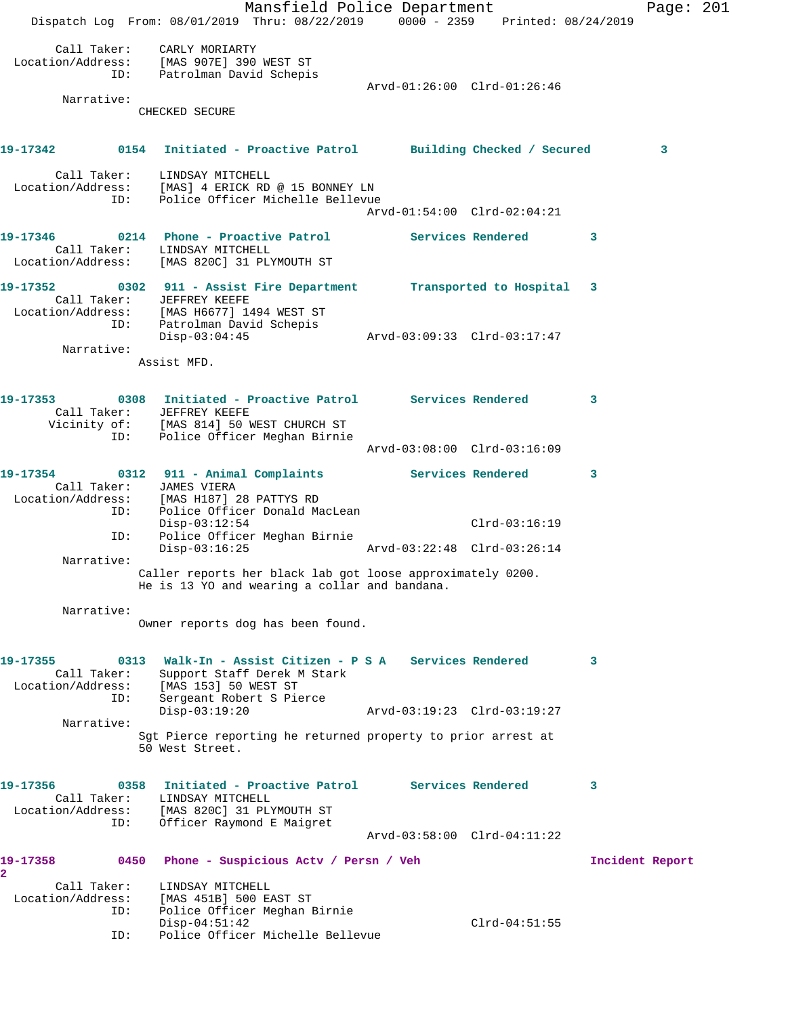Mansfield Police Department Page: 201 Dispatch Log From: 08/01/2019 Thru: 08/22/2019 0000 - 2359 Printed: 08/24/2019 Call Taker: CARLY MORIARTY Location/Address: [MAS 907E] 390 WEST ST ID: Patrolman David Schepis Arvd-01:26:00 Clrd-01:26:46 Narrative: CHECKED SECURE **19-17342 0154 Initiated - Proactive Patrol Building Checked / Secured 3** Call Taker: LINDSAY MITCHELL Location/Address: [MAS] 4 ERICK RD @ 15 BONNEY LN ID: Police Officer Michelle Bellevue Arvd-01:54:00 Clrd-02:04:21 **19-17346 0214 Phone - Proactive Patrol Services Rendered 3**  Call Taker: LINDSAY MITCHELL Location/Address: [MAS 820C] 31 PLYMOUTH ST **19-17352 0302 911 - Assist Fire Department Transported to Hospital 3**  Call Taker: JEFFREY KEEFE Location/Address: [MAS H6677] 1494 WEST ST ID: Patrolman David Schepis Disp-03:04:45 Arvd-03:09:33 Clrd-03:17:47 Narrative: Assist MFD. **19-17353 0308 Initiated - Proactive Patrol Services Rendered 3**  Call Taker: JEFFREY KEEFE Vicinity of: [MAS 814] 50 WEST CHURCH ST ID: Police Officer Meghan Birnie Arvd-03:08:00 Clrd-03:16:09 **19-17354 0312 911 - Animal Complaints Services Rendered 3**  Call Taker: JAMES VIERA Location/Address: [MAS H187] 28 PATTYS RD ID: Police Officer Donald MacLean Disp-03:12:54 Clrd-03:16:19 ID: Police Officer Meghan Birnie Disp-03:16:25 Arvd-03:22:48 Clrd-03:26:14 Narrative: Caller reports her black lab got loose approximately 0200. He is 13 YO and wearing a collar and bandana. Narrative: Owner reports dog has been found. **19-17355 0313 Walk-In - Assist Citizen - P S A Services Rendered 3**  Call Taker: Support Staff Derek M Stark Location/Address: [MAS 153] 50 WEST ST ID: Sergeant Robert S Pierce Disp-03:19:20 Arvd-03:19:23 Clrd-03:19:27 Narrative: Sgt Pierce reporting he returned property to prior arrest at 50 West Street. **19-17356 0358 Initiated - Proactive Patrol Services Rendered 3**  Call Taker: LINDSAY MITCHELL Location/Address: [MAS 820C] 31 PLYMOUTH ST ID: Officer Raymond E Maigret Arvd-03:58:00 Clrd-04:11:22 **19-17358 0450 Phone - Suspicious Actv / Persn / Veh Incident Report 2**  Call Taker: LINDSAY MITCHELL Location/Address: [MAS 451B] 500 EAST ST ID: Police Officer Meghan Birnie Disp-04:51:42 Clrd-04:51:55 ID: Police Officer Michelle Bellevue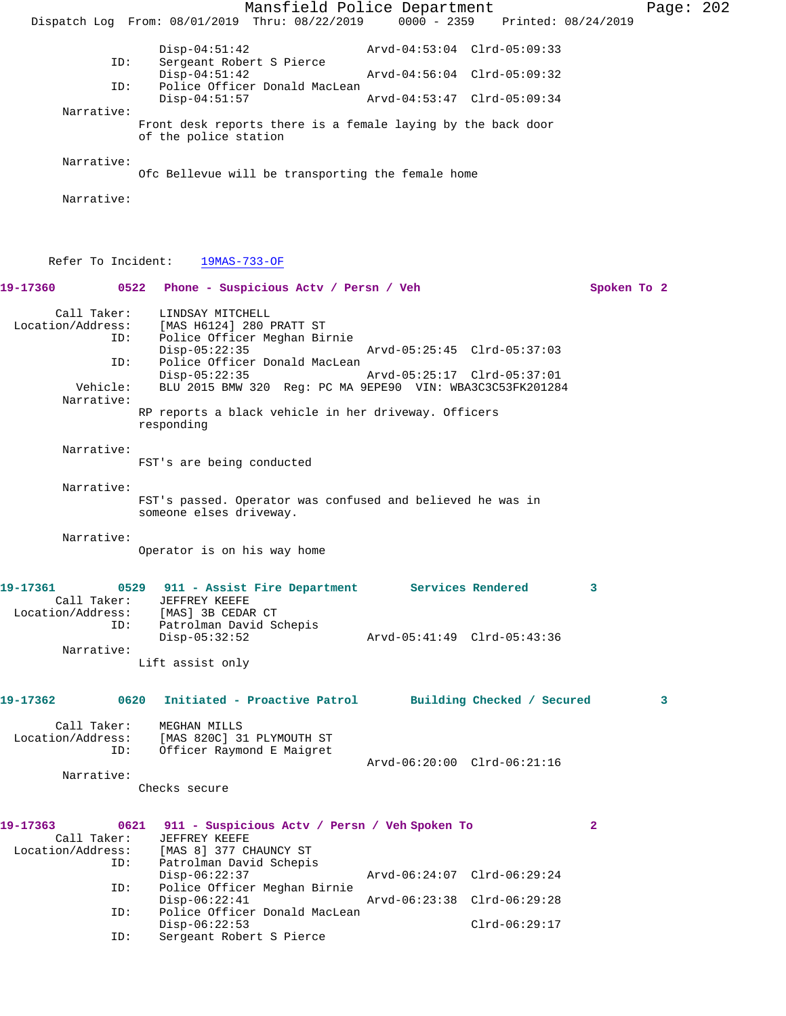Mansfield Police Department Page: 202 Dispatch Log From: 08/01/2019 Thru: 08/22/2019 0000 - 2359 Printed: 08/24/2019 Disp-04:51:42 Arvd-04:53:04 Clrd-05:09:33<br>ID: Sergeant Robert S Pierce Sergeant Robert S Pierce<br>Disp-04:51:42 Arvd-04:56:04 Clrd-05:09:32 ID: Police Officer Donald MacLean Disp-04:51:57 Arvd-04:53:47 Clrd-05:09:34 Narrative: Front desk reports there is a female laying by the back door of the police station Narrative: Ofc Bellevue will be transporting the female home Narrative: Refer To Incident: 19MAS-733-OF **19-17360 0522 Phone - Suspicious Actv / Persn / Veh Spoken To 2** Call Taker: LINDSAY MITCHELL<br>Location/Address: [MAS H6124] 280 I ess: [MAS H6124] 280 PRATT ST<br>ID: Police Officer Meghan Bi: Police Officer Meghan Birnie<br>Disp-05:22:35 Disp-05:22:35 Arvd-05:25:45 Clrd-05:37:03 ID: Police Officer Donald MacLean Disp-05:22:35 Arvd-05:25:17 Clrd-05:37:01<br>Vehicle: BLU 2015 BMW 320 Req: PC MA 9EPE90 VIN: WBA3C3C53FK20128 BLU 2015 BMW 320 Reg: PC MA 9EPE90 VIN: WBA3C3C53FK201284 Narrative: RP reports a black vehicle in her driveway. Officers responding Narrative: FST's are being conducted Narrative: FST's passed. Operator was confused and believed he was in someone elses driveway. Narrative: Operator is on his way home **19-17361 0529 911 - Assist Fire Department Services Rendered 3**  Call Taker: JEFFREY KEEFE Location/Address: [MAS] 3B CEDAR CT ID: Patrolman David Schepis Disp-05:32:52 Arvd-05:41:49 Clrd-05:43:36 Narrative: Lift assist only **19-17362 0620 Initiated - Proactive Patrol Building Checked / Secured 3** Call Taker: MEGHAN MILLS Location/Address: [MAS 820C] 31 PLYMOUTH ST ID: Officer Raymond E Maigret Arvd-06:20:00 Clrd-06:21:16 Narrative: Checks secure **19-17363 0621 911 - Suspicious Actv / Persn / Veh Spoken To 2**  Call Taker: JEFFREY KEEFE<br>Location/Address: [MAS 8] 377 CI [MAS 8] 377 CHAUNCY ST ID: Patrolman David Schepis<br>Disp-06:22:37 Disp-06:22:37 Arvd-06:24:07 Clrd-06:29:24<br>ID: Police Officer Meghan Birnie Police Officer Meghan Birnie Disp-06:22:41 Arvd-06:23:38 Clrd-06:29:28 ID: Police Officer Donald MacLean Disp-06:22:53 Clrd-06:29:17<br>ID: Sergeant Robert S Pierce Sergeant Robert S Pierce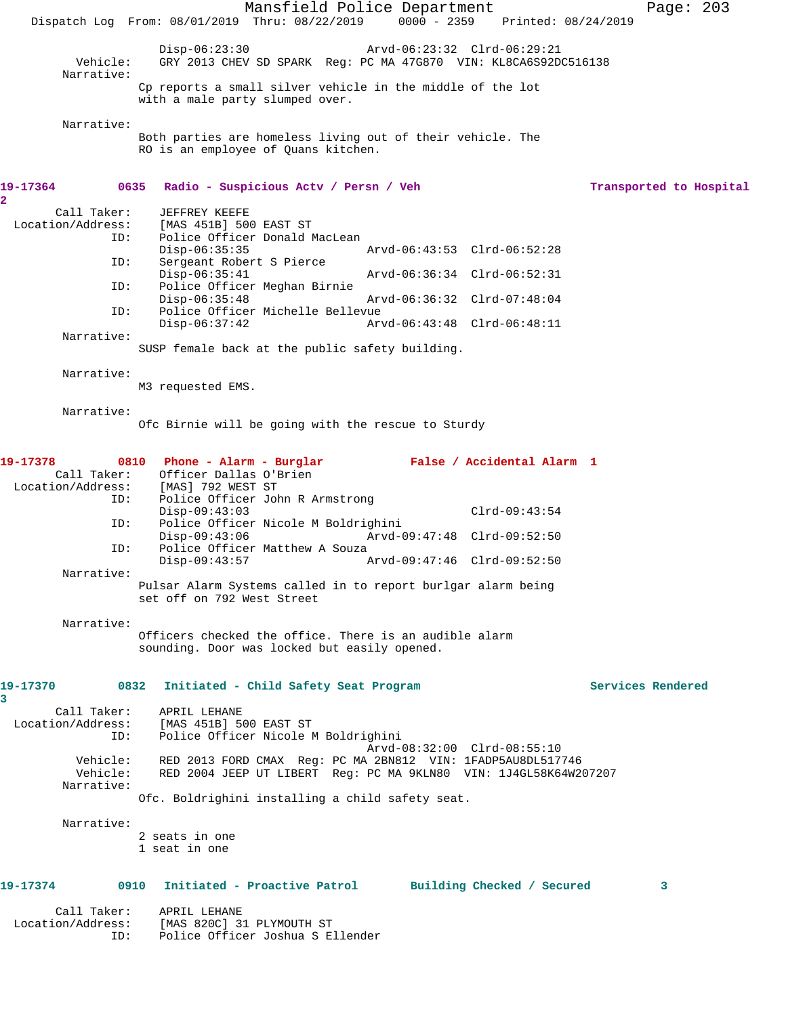Mansfield Police Department Page: 203 Dispatch Log From: 08/01/2019 Thru: 08/22/2019 0000 - 2359 Printed: 08/24/2019 Disp-06:23:30 Arvd-06:23:32 Clrd-06:29:21<br>Vehicle: GRY 2013 CHEV SD SPARK Reg: PC MA 47G870 VIN: KL8CA6S92D Vehicle: GRY 2013 CHEV SD SPARK Reg: PC MA 47G870 VIN: KL8CA6S92DC516138 Narrative: Cp reports a small silver vehicle in the middle of the lot with a male party slumped over. Narrative: Both parties are homeless living out of their vehicle. The RO is an employee of Quans kitchen. **19-17364 0635 Radio - Suspicious Actv / Persn / Veh Transported to Hospital 2**  Call Taker: JEFFREY KEEFE Location/Address: [MAS 451B] 500 EAST ST Police Officer Donald MacLean Disp-06:35:35 <br>Disp-06:52:28 Arvd-06:43:53 Clrd-06:52:28<br>Displacement Robert S Pierce Sergeant Robert S Pierce<br>Disp-06:35:41 Disp-06:35:41 Arvd-06:36:34 Clrd-06:52:31 Police Officer Meghan Birnie<br>Disp-06:35:48 Disp-06:35:48 Arvd-06:36:32 Clrd-07:48:04 ID: Police Officer Michelle Bellevue Disp-06:37:42 Arvd-06:43:48 Clrd-06:48:11 Narrative: SUSP female back at the public safety building. Narrative: M3 requested EMS. Narrative: Ofc Birnie will be going with the rescue to Sturdy **19-17378 0810 Phone - Alarm - Burglar False / Accidental Alarm 1**  Call Taker: Officer Dallas O'Brien<br>Location/Address: [MAS] 792 WEST ST ess: [MAS] 792 WEST ST<br>ID: Police Officer Jol Police Officer John R Armstrong Disp-09:43:03 Clrd-09:43:54<br>TD: Police Officer Nicole M Boldrighini Police Officer Nicole M Boldrighini<br>Disp-09:43:06 Arvd-0 Disp-09:43:06 <br>Disp-09:43:06 Arvd-09:47:48 Clrd-09:52:50<br>Dice Officer Matthew A Souza Police Officer Matthew A Souza Disp-09:43:57 Arvd-09:47:46 Clrd-09:52:50 Narrative: Pulsar Alarm Systems called in to report burlgar alarm being set off on 792 West Street Narrative: Officers checked the office. There is an audible alarm sounding. Door was locked but easily opened. **19-17370 0832 Initiated - Child Safety Seat Program Services Rendered 3**  Call Taker: APRIL LEHANE Location/Address: [MAS 451B] 500 EAST ST ID: Police Officer Nicole M Boldrighini Arvd-08:32:00 Clrd-08:55:10 Vehicle: RED 2013 FORD CMAX Reg: PC MA 2BN812 VIN: 1FADP5AU8DL517746 Vehicle: RED 2004 JEEP UT LIBERT Reg: PC MA 9KLN80 VIN: 1J4GL58K64W207207 Narrative: Ofc. Boldrighini installing a child safety seat. Narrative: 2 seats in one 1 seat in one **19-17374 0910 Initiated - Proactive Patrol Building Checked / Secured 3** Call Taker: APRIL LEHANE Location/Address: [MAS 820C] 31 PLYMOUTH ST ID: Police Officer Joshua S Ellender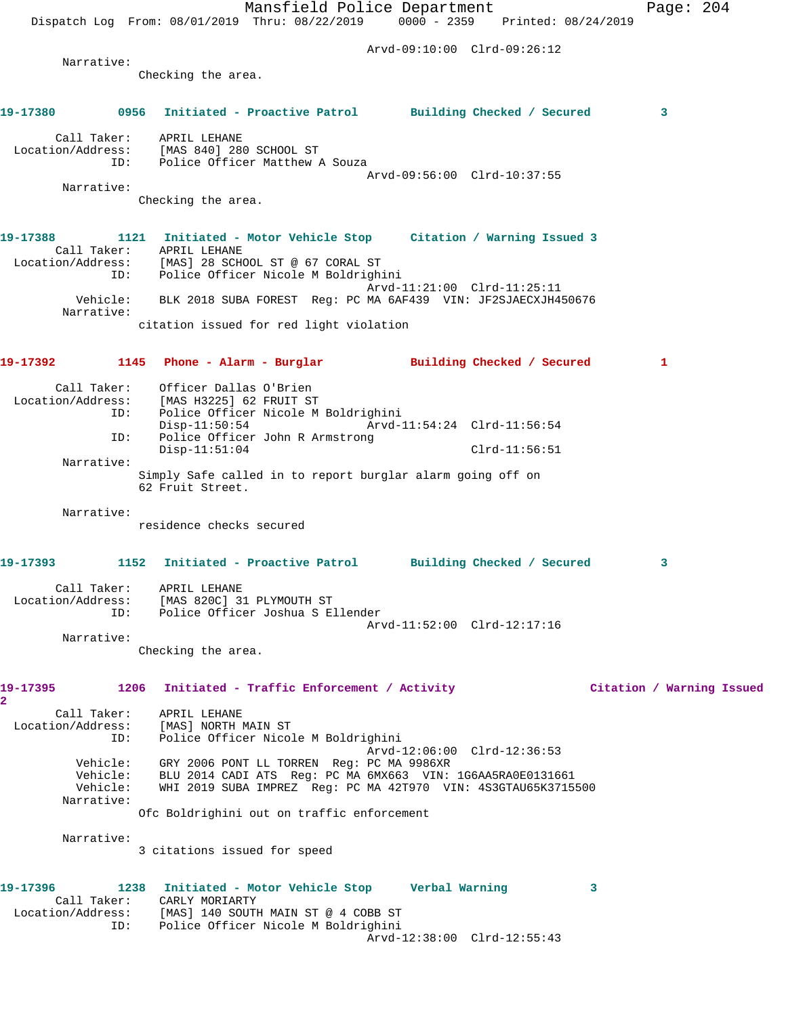Mansfield Police Department Page: 204 Dispatch Log From: 08/01/2019 Thru: 08/22/2019 0000 - 2359 Printed: 08/24/2019 Arvd-09:10:00 Clrd-09:26:12 Narrative: Checking the area. **19-17380 0956 Initiated - Proactive Patrol Building Checked / Secured 3** Call Taker: APRIL LEHANE Location/Address: [MAS 840] 280 SCHOOL ST ID: Police Officer Matthew A Souza Arvd-09:56:00 Clrd-10:37:55 Narrative: Checking the area. **19-17388 1121 Initiated - Motor Vehicle Stop Citation / Warning Issued 3**  Call Taker: APRIL LEHANE Location/Address: [MAS] 28 SCHOOL ST @ 67 CORAL ST ID: Police Officer Nicole M Boldrighini Arvd-11:21:00 Clrd-11:25:11 Vehicle: BLK 2018 SUBA FOREST Reg: PC MA 6AF439 VIN: JF2SJAECXJH450676 Narrative: citation issued for red light violation **19-17392 1145 Phone - Alarm - Burglar Building Checked / Secured 1** Call Taker: Officer Dallas O'Brien Location/Address: [MAS H3225] 62 FRUIT ST ID: Police Officer Nicole M Boldrighini Disp-11:50:54 Arvd-11:54:24 Clrd-11:56:54 ID: Police Officer John R Armstrong Disp-11:51:04 Clrd-11:56:51 Narrative: Simply Safe called in to report burglar alarm going off on 62 Fruit Street. Narrative: residence checks secured **19-17393 1152 Initiated - Proactive Patrol Building Checked / Secured 3** Call Taker: APRIL LEHANE Location/Address: [MAS 820C] 31 PLYMOUTH ST ID: Police Officer Joshua S Ellender Arvd-11:52:00 Clrd-12:17:16 Narrative: Checking the area. **19-17395 1206 Initiated - Traffic Enforcement / Activity Citation / Warning Issued 2**  Call Taker: APRIL LEHANE Location/Address: [MAS] NORTH MAIN ST ID: Police Officer Nicole M Boldrighini Arvd-12:06:00 Clrd-12:36:53 Vehicle: GRY 2006 PONT LL TORREN Reg: PC MA 9986XR Vehicle: BLU 2014 CADI ATS Reg: PC MA 6MX663 VIN: 1G6AA5RA0E0131661 Vehicle: WHI 2019 SUBA IMPREZ Reg: PC MA 42T970 VIN: 4S3GTAU65K3715500 Narrative: Ofc Boldrighini out on traffic enforcement Narrative: 3 citations issued for speed **19-17396 1238 Initiated - Motor Vehicle Stop Verbal Warning 3**  Call Taker: CARLY MORIARTY Location/Address: [MAS] 140 SOUTH MAIN ST @ 4 COBB ST ID: INHORE DISCOUNSING THE SERVICE OF THE POLICE OF THE POLICE MEDICINE. Arvd-12:38:00 Clrd-12:55:43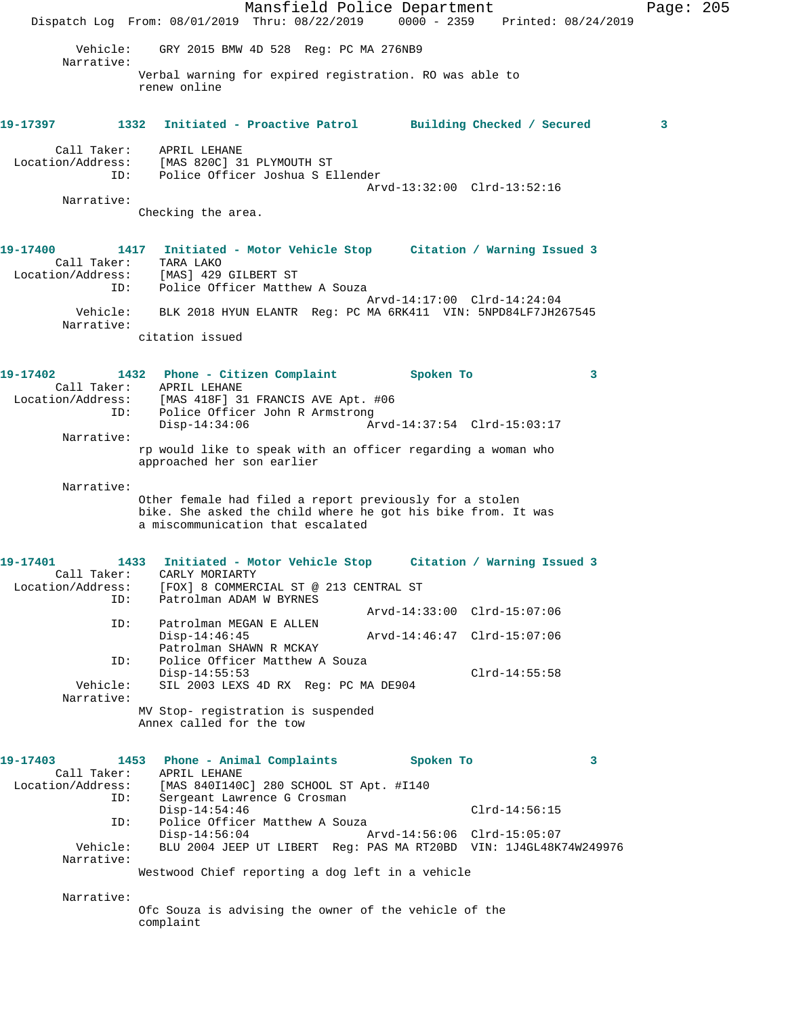Mansfield Police Department Page: 205 Dispatch Log From: 08/01/2019 Thru: 08/22/2019 0000 - 2359 Printed: 08/24/2019 Vehicle: GRY 2015 BMW 4D 528 Reg: PC MA 276NB9 Narrative: Verbal warning for expired registration. RO was able to renew online **19-17397 1332 Initiated - Proactive Patrol Building Checked / Secured 3** Call Taker: APRIL LEHANE<br>Location/Address: [MAS 820C] 3<br>ID: Police Office [MAS 820C] 31 PLYMOUTH ST Police Officer Joshua S Ellender Arvd-13:32:00 Clrd-13:52:16 Narrative: Checking the area. **19-17400 1417 Initiated - Motor Vehicle Stop Citation / Warning Issued 3**  Call Taker: TARA LAKO Location/Address: [MAS] 429 GILBERT ST ID: Police Officer Matthew A Souza Arvd-14:17:00 Clrd-14:24:04 Vehicle: BLK 2018 HYUN ELANTR Reg: PC MA 6RK411 VIN: 5NPD84LF7JH267545 Narrative: citation issued **19-17402 1432 Phone - Citizen Complaint Spoken To 3**  Call Taker: APRIL LEHANE<br>Location/Address: [MAS 418F] 3<br>ID: Police Office Location/Address: [MAS 418F] 31 FRANCIS AVE Apt. #06 ID: Police Officer John R Armstrong Disp-14:34:06 Arvd-14:37:54 Clrd-15:03:17 Narrative: rp would like to speak with an officer regarding a woman who approached her son earlier Narrative: Other female had filed a report previously for a stolen bike. She asked the child where he got his bike from. It was a miscommunication that escalated **19-17401 1433 Initiated - Motor Vehicle Stop Citation / Warning Issued 3**  CARLY MORIARTY Location/Address: [FOX] 8 COMMERCIAL ST @ 213 CENTRAL ST ID: Patrolman ADAM W BYRNES Arvd-14:33:00 Clrd-15:07:06<br>ID: Patrolman MEGAN E ALLEN Patrolman MEGAN E ALLEN<br>Disp-14:46:45 Disp-14:46:45 Arvd-14:46:47 Clrd-15:07:06 Patrolman SHAWN R MCKAY<br>ID: Police Officer Matthew A Police Officer Matthew A Souza Disp-14:55:53 Clrd-14:55:58<br>Vehicle: SIL 2003 LEXS 4D RX Req: PC MA DE904 SIL 2003 LEXS 4D RX Reg: PC MA DE904 Narrative: MV Stop- registration is suspended Annex called for the tow **19-17403 1453 Phone - Animal Complaints Spoken To 3**  Call Taker: APRIL LEHANE<br>Location/Address: [MAS 840I1400 [MAS 840I140C] 280 SCHOOL ST Apt. #I140 ID: Sergeant Lawrence G Crosman Disp-14:54:46 Clrd-14:56:15<br>D: Police Officer Matthew A Souza Police Officer Matthew A Souza Disp-14:56:04 Arvd-14:56:06 Clrd-15:05:07 Vehicle: BLU 2004 JEEP UT LIBERT Reg: PAS MA RT20BD VIN: 1J4GL48K74W249976 Narrative: Westwood Chief reporting a dog left in a vehicle Narrative: Ofc Souza is advising the owner of the vehicle of the complaint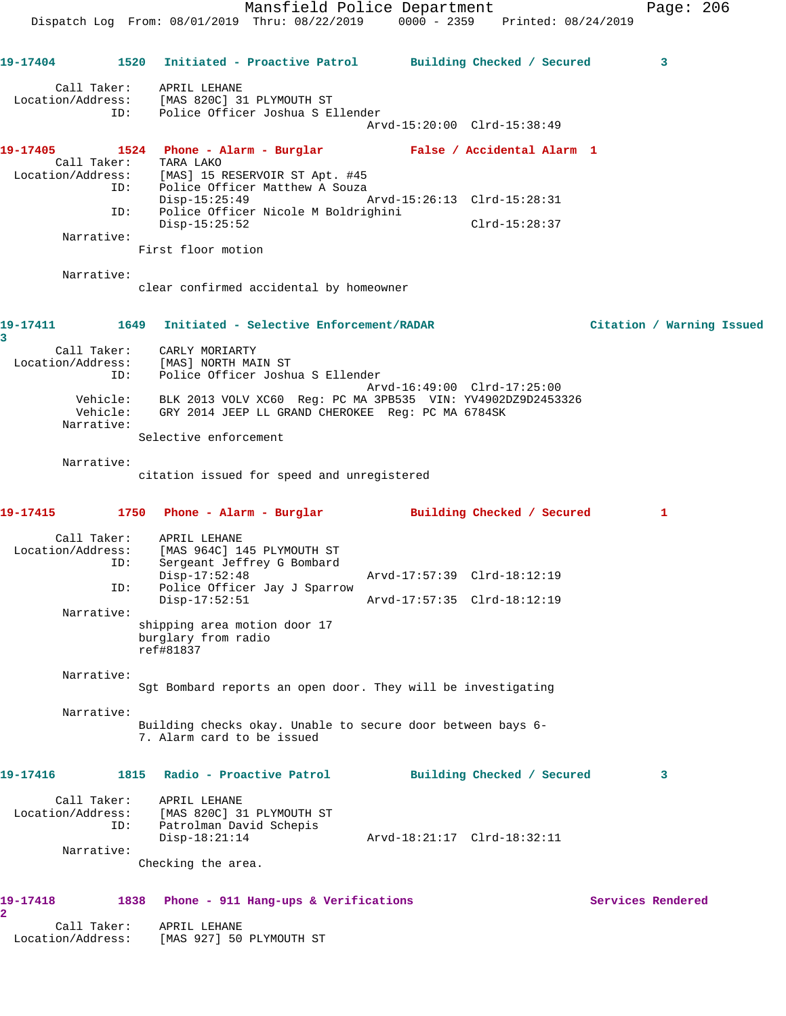Mansfield Police Department Page: 206 Dispatch Log From: 08/01/2019 Thru: 08/22/2019 0000 - 2359 Printed: 08/24/2019 **19-17404 1520 Initiated - Proactive Patrol Building Checked / Secured 3** Call Taker: APRIL LEHANE Location/Address: [MAS 820C] 31 PLYMOUTH ST ID: Police Officer Joshua S Ellender Arvd-15:20:00 Clrd-15:38:49 **19-17405 1524 Phone - Alarm - Burglar False / Accidental Alarm 1**  Call Taker: TARA LAKO<br>Location/Address: [MAS] 15 H [MAS] 15 RESERVOIR ST Apt. #45 ID: Police Officer Matthew A Souza Disp-15:25:49 Arvd-15:26:13 Clrd-15:28:31 ID: Police Officer Nicole M Boldrighini Disp-15:25:52 Clrd-15:28:37 Narrative: First floor motion Narrative: clear confirmed accidental by homeowner **19-17411 1649 Initiated - Selective Enforcement/RADAR Citation / Warning Issued 3**  Call Taker: CARLY MORIARTY Location/Address: [MAS] NORTH MAIN ST ID: Police Officer Joshua S Ellender Arvd-16:49:00 Clrd-17:25:00 Vehicle: BLK 2013 VOLV XC60 Reg: PC MA 3PB535 VIN: YV4902DZ9D2453326 Vehicle: GRY 2014 JEEP LL GRAND CHEROKEE Reg: PC MA 6784SK Narrative: Selective enforcement Narrative: citation issued for speed and unregistered **19-17415 1750 Phone - Alarm - Burglar Building Checked / Secured 1** Call Taker: APRIL LEHANE Location/Address: [MAS 964C] 145 PLYMOUTH ST Sergeant Jeffrey G Bombard<br>Disp-17:52:48 Disp-17:52:48 Arvd-17:57:39 Clrd-18:12:19 ID: Police Officer Jay J Sparrow<br>Disp-17:52:51 Disp-17:52:51 Arvd-17:57:35 Clrd-18:12:19 Narrative: shipping area motion door 17 burglary from radio ref#81837 Narrative: Sgt Bombard reports an open door. They will be investigating Narrative: Building checks okay. Unable to secure door between bays 6- 7. Alarm card to be issued **19-17416 1815 Radio - Proactive Patrol Building Checked / Secured 3** Call Taker: APRIL LEHANE Location/Address: [MAS 820C] 31 PLYMOUTH ST ID: Patrolman David Schepis Disp-18:21:14 Arvd-18:21:17 Clrd-18:32:11 Narrative: Checking the area. **19-17418 1838 Phone - 911 Hang-ups & Verifications Services Rendered 2**  Call Taker: APRIL LEHANE Location/Address: [MAS 927] 50 PLYMOUTH ST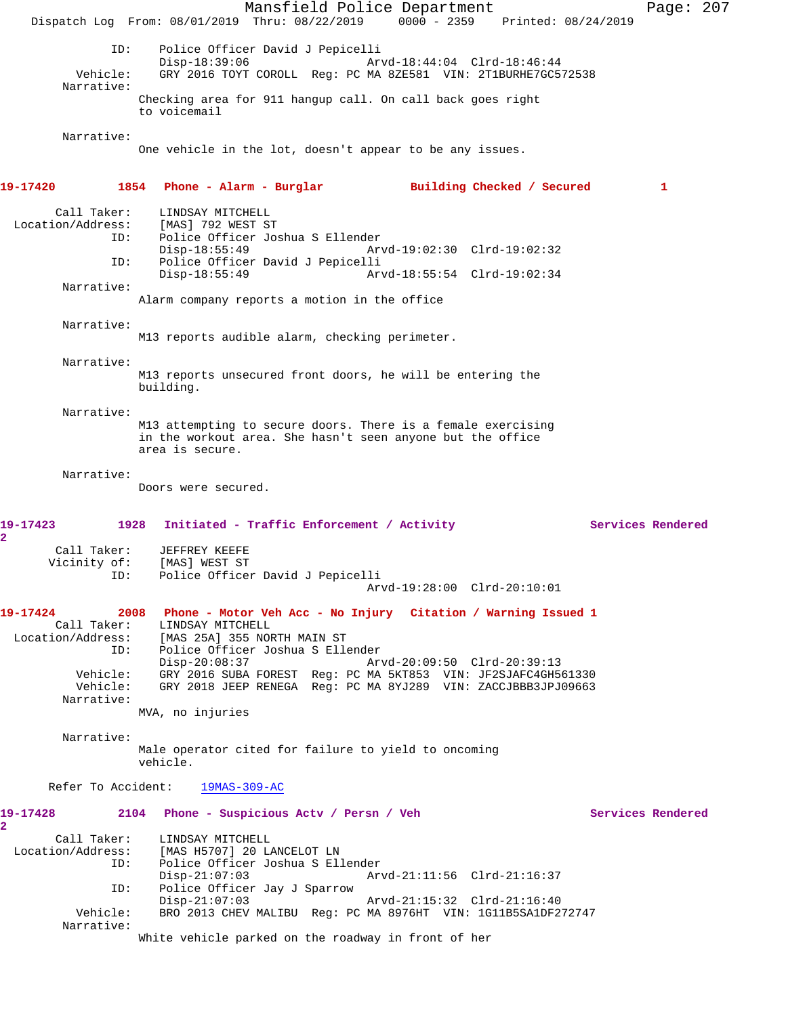Mansfield Police Department Page: 207 Dispatch Log From: 08/01/2019 Thru: 08/22/2019 0000 - 2359 Printed: 08/24/2019 ID: Police Officer David J Pepicelli Disp-18:39:06 <br>Vehicle: GRY 2016 TOYT COROLL Reg: PC MA 8ZE581 VIN: 2T1BURHE7GC5 GRY 2016 TOYT COROLL Reg: PC MA 8ZE581 VIN: 2T1BURHE7GC572538 Narrative: Checking area for 911 hangup call. On call back goes right to voicemail Narrative: One vehicle in the lot, doesn't appear to be any issues. **19-17420 1854 Phone - Alarm - Burglar Building Checked / Secured 1** Call Taker: LINDSAY MITCHELL Location/Address: [MAS] 792 WEST ST<br>ID: Police Officer Jos Police Officer Joshua S Ellender Disp-18:55:49 Arvd-19:02:30 Clrd-19:02:32<br>TD: Police Officer David J Pepicelli Police Officer David J Pepicelli<br>Disp-18:55:49 Ary Arvd-18:55:54 Clrd-19:02:34 Narrative: Alarm company reports a motion in the office Narrative: M13 reports audible alarm, checking perimeter. Narrative: M13 reports unsecured front doors, he will be entering the building. Narrative: M13 attempting to secure doors. There is a female exercising in the workout area. She hasn't seen anyone but the office area is secure. Narrative: Doors were secured. 19-17423 1928 Initiated - Traffic Enforcement / Activity **Services Rendered 2**  Call Taker: JEFFREY KEEFE<br>Vicinity of: [MAS] WEST ST of: [MAS] WEST ST<br>ID: Police Office: Police Officer David J Pepicelli Arvd-19:28:00 Clrd-20:10:01 **19-17424 2008 Phone - Motor Veh Acc - No Injury Citation / Warning Issued 1**  Call Taker: LINDSAY MITCHELL Location/Address: [MAS 25A] 355 NORTH MAIN ST ID: Police Officer Joshua S Ellender Disp-20:08:37 Arvd-20:09:50 Clrd-20:39:13 Vehicle: GRY 2016 SUBA FOREST Reg: PC MA 5KT853 VIN: JF2SJAFC4GH561330 Vehicle: GRY 2018 JEEP RENEGA Reg: PC MA 8YJ289 VIN: ZACCJBBB3JPJ09663 Narrative: MVA, no injuries Narrative: Male operator cited for failure to yield to oncoming vehicle. Refer To Accident: 19MAS-309-AC **19-17428 2104 Phone - Suspicious Actv / Persn / Veh Services Rendered 2**  Call Taker: LINDSAY MITCHELL<br>Location/Address: [MAS H5707] 20 L [MAS H5707] 20 LANCELOT LN ID: Police Officer Joshua S Ellender Disp-21:07:03 Arvd-21:11:56 Clrd-21:16:37 ID: Police Officer Jay J Sparrow Disp-21:07:03 Arvd-21:15:32 Clrd-21:16:40 Vehicle: BRO 2013 CHEV MALIBU Reg: PC MA 8976HT VIN: 1G11B5SA1DF272747 Narrative: White vehicle parked on the roadway in front of her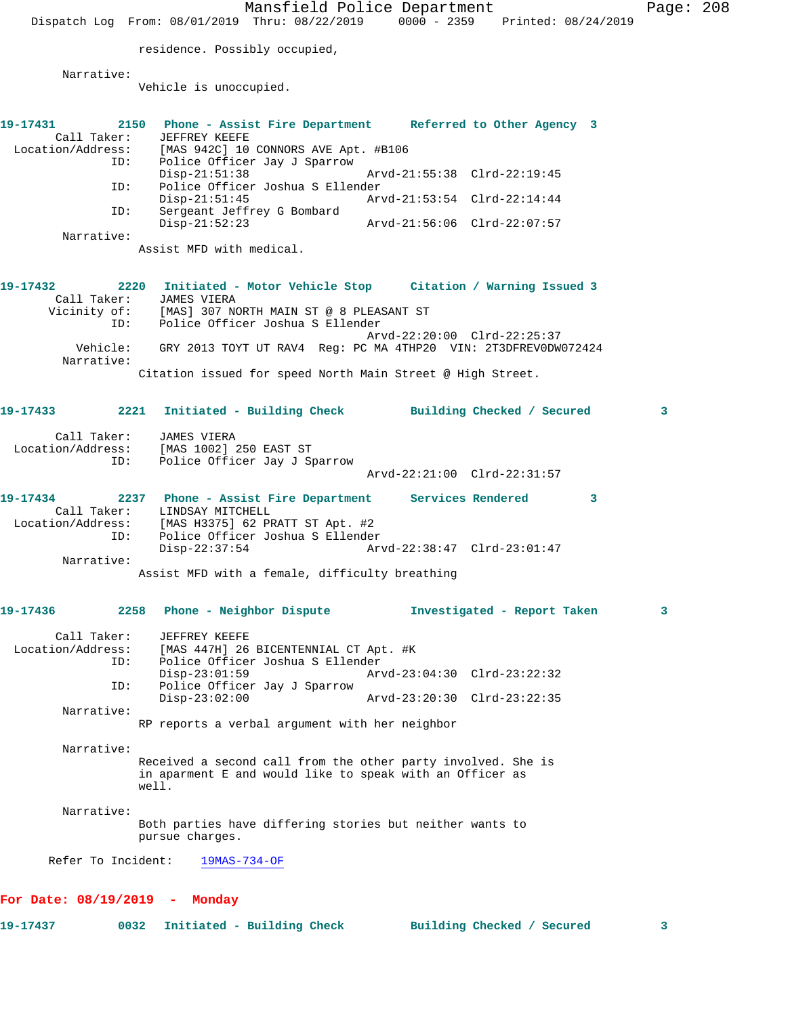Mansfield Police Department Page: 208 Dispatch Log From: 08/01/2019 Thru: 08/22/2019 0000 - 2359 Printed: 08/24/2019 residence. Possibly occupied, Narrative: Vehicle is unoccupied. **19-17431 2150 Phone - Assist Fire Department Referred to Other Agency 3**  Call Taker: JEFFREY KEEFE Location/Address: [MAS 942C] 10 CONNORS AVE Apt. #B106 ID: Police Officer Jay J Sparrow Arvd-21:55:38 Clrd-22:19:45 ID: Police Officer Joshua S Ellender Arvd-21:53:54 Clrd-22:14:44 ID: Sergeant Jeffrey G Bombard Disp-21:52:23 Arvd-21:56:06 Clrd-22:07:57 Narrative: Assist MFD with medical. **19-17432 2220 Initiated - Motor Vehicle Stop Citation / Warning Issued 3**  Call Taker: JAMES VIERA Vicinity of: [MAS] 307 NORTH MAIN ST @ 8 PLEASANT ST ID: Police Officer Joshua S Ellender Arvd-22:20:00 Clrd-22:25:37 Vehicle: GRY 2013 TOYT UT RAV4 Reg: PC MA 4THP20 VIN: 2T3DFREV0DW072424 Narrative: Citation issued for speed North Main Street @ High Street. **19-17433 2221 Initiated - Building Check Building Checked / Secured 3** Call Taker: JAMES VIERA Location/Address: [MAS 1002] 250 EAST ST ID: Police Officer Jay J Sparrow Arvd-22:21:00 Clrd-22:31:57 **19-17434 2237 Phone - Assist Fire Department Services Rendered 3**  Call Taker: LINDSAY MITCHELL Location/Address: [MAS H3375] 62 PRATT ST Apt. #2 ID: Police Officer Joshua S Ellender Arvd-22:38:47 Clrd-23:01:47 Narrative: Assist MFD with a female, difficulty breathing **19-17436 2258 Phone - Neighbor Dispute Investigated - Report Taken 3** Call Taker: JEFFREY KEEFE<br>Location/Address: [MAS 447H] 26 ess: [MAS 447H] 26 BICENTENNIAL CT Apt. #K<br>ID: Police Officer Joshua S Ellender Police Officer Joshua S Ellender<br>Disp-23:01:59 Ar Disp-23:01:59 Arvd-23:04:30 Clrd-23:22:32 ID: Police Officer Jay J Sparrow Disp-23:02:00 Arvd-23:20:30 Clrd-23:22:35 Narrative: RP reports a verbal argument with her neighbor Narrative: Received a second call from the other party involved. She is in aparment E and would like to speak with an Officer as well. Narrative: Both parties have differing stories but neither wants to pursue charges. Refer To Incident: 19MAS-734-OF **For Date: 08/19/2019 - Monday**

**19-17437 0032 Initiated - Building Check Building Checked / Secured 3**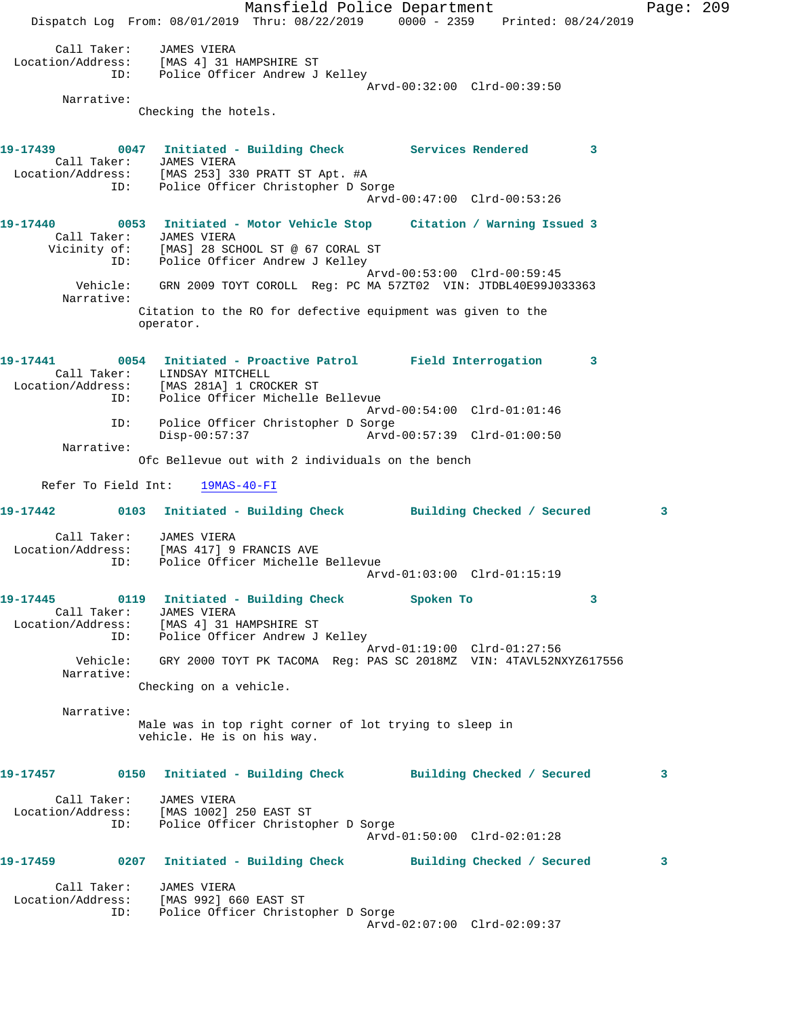Mansfield Police Department Page: 209 Dispatch Log From: 08/01/2019 Thru: 08/22/2019 0000 - 2359 Printed: 08/24/2019 Call Taker: JAMES VIERA Location/Address: [MAS 4] 31 HAMPSHIRE ST ID: Police Officer Andrew J Kelley Arvd-00:32:00 Clrd-00:39:50 Narrative: Checking the hotels. **19-17439 0047 Initiated - Building Check Services Rendered 3**  Call Taker: JAMES VIERA Location/Address: [MAS 253] 330 PRATT ST Apt. #A ID: Police Officer Christopher D Sorge Arvd-00:47:00 Clrd-00:53:26 **19-17440 0053 Initiated - Motor Vehicle Stop Citation / Warning Issued 3**  Call Taker: JAMES VIERA Vicinity of: [MAS] 28 SCHOOL ST @ 67 CORAL ST ID: Police Officer Andrew J Kelley Arvd-00:53:00 Clrd-00:59:45 Vehicle: GRN 2009 TOYT COROLL Reg: PC MA 57ZT02 VIN: JTDBL40E99J033363 Narrative: Citation to the RO for defective equipment was given to the operator. **19-17441 0054 Initiated - Proactive Patrol Field Interrogation 3**  Call Taker: LINDSAY MITCHELL Location/Address: [MAS 281A] 1 CROCKER ST ID: Police Officer Michelle Bellevue Arvd-00:54:00 Clrd-01:01:46 ID: Police Officer Christopher D Sorge Disp-00:57:37 Arvd-00:57:39 Clrd-01:00:50 Narrative: Ofc Bellevue out with 2 individuals on the bench Refer To Field Int: 19MAS-40-FI **19-17442 0103 Initiated - Building Check Building Checked / Secured 3** Call Taker: JAMES VIERA Location/Address: [MAS 417] 9 FRANCIS AVE ID: Police Officer Michelle Bellevue Arvd-01:03:00 Clrd-01:15:19 **19-17445 0119 Initiated - Building Check Spoken To 3**  Call Taker: JAMES VIERA Location/Address: [MAS 4] 31 HAMPSHIRE ST ID: Police Officer Andrew J Kelley Arvd-01:19:00 Clrd-01:27:56 Vehicle: GRY 2000 TOYT PK TACOMA Reg: PAS SC 2018MZ VIN: 4TAVL52NXYZ617556 Narrative: Checking on a vehicle. Narrative: Male was in top right corner of lot trying to sleep in vehicle. He is on his way. **19-17457 0150 Initiated - Building Check Building Checked / Secured 3** Call Taker: JAMES VIERA Location/Address: [MAS 1002] 250 EAST ST ID: Police Officer Christopher D Sorge Arvd-01:50:00 Clrd-02:01:28 **19-17459 0207 Initiated - Building Check Building Checked / Secured 3** Call Taker: JAMES VIERA Location/Address: [MAS 992] 660 EAST ST ID: Police Officer Christopher D Sorge Arvd-02:07:00 Clrd-02:09:37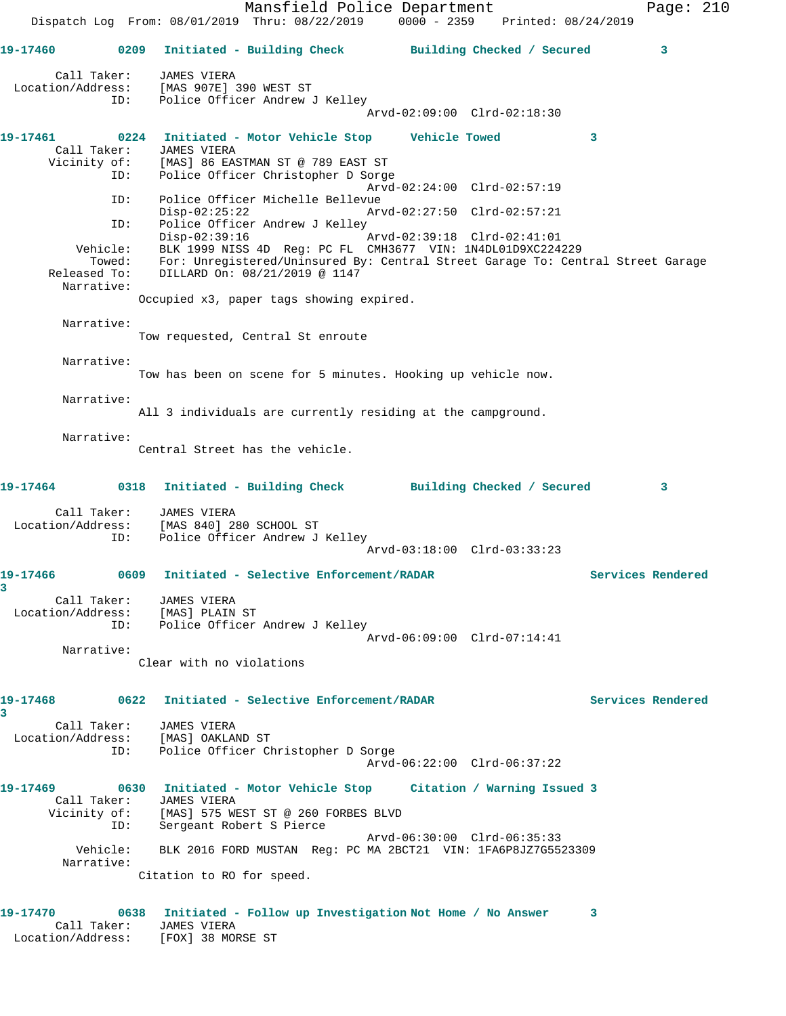Mansfield Police Department Fage: 210 Dispatch Log From: 08/01/2019 Thru: 08/22/2019 0000 - 2359 Printed: 08/24/2019 **19-17460 0209 Initiated - Building Check Building Checked / Secured 3** Call Taker: JAMES VIERA Location/Address: [MAS 907E] 390 WEST ST ID: Police Officer Andrew J Kelley Arvd-02:09:00 Clrd-02:18:30 **19-17461 0224 Initiated - Motor Vehicle Stop Vehicle Towed 3**  Call Taker: JAMES VIERA Vicinity of: [MAS] 86 EASTMAN ST @ 789 EAST ST ID: Police Officer Christopher D Sorge Arvd-02:24:00 Clrd-02:57:19 ID: Police Officer Michelle Bellevue Disp-02:25:22 Arvd-02:27:50 Clrd-02:57:21 ID: Police Officer Andrew J Kelley<br>Disp-02:39:16 Arvd-02:39:18 Clrd-02:41:01 Disp-02:39:16 Arvd-02:39:18 Clrd-02:41:01 Vehicle: BLK 1999 NISS 4D Reg: PC FL CMH3677 VIN: 1N4DL01D9XC224229 Towed: For: Unregistered/Uninsured By: Central Street Garage To: Central Street Garage Released To: DILLARD On: 08/21/2019 @ 1147 Narrative: Occupied x3, paper tags showing expired. Narrative: Tow requested, Central St enroute Narrative: Tow has been on scene for 5 minutes. Hooking up vehicle now. Narrative: All 3 individuals are currently residing at the campground. Narrative: Central Street has the vehicle. **19-17464 0318 Initiated - Building Check Building Checked / Secured 3** Call Taker: JAMES VIERA Location/Address: [MAS 840] 280 SCHOOL ST ID: Police Officer Andrew J Kelley Arvd-03:18:00 Clrd-03:33:23 **19-17466 0609 Initiated - Selective Enforcement/RADAR Services Rendered 3**  Call Taker: JAMES VIERA Location/Address: [MAS] PLAIN ST ID: Police Officer Andrew J Kelley Arvd-06:09:00 Clrd-07:14:41 Narrative: Clear with no violations **19-17468 0622 Initiated - Selective Enforcement/RADAR Services Rendered 3**  Call Taker: JAMES VIERA Location/Address: [MAS] OAKLAND ST ID: Police Officer Christopher D Sorge Arvd-06:22:00 Clrd-06:37:22 **19-17469 0630 Initiated - Motor Vehicle Stop Citation / Warning Issued 3**  Call Taker: JAMES VIERA Vicinity of: [MAS] 575 WEST ST @ 260 FORBES BLVD ID: Sergeant Robert S Pierce Arvd-06:30:00 Clrd-06:35:33 Vehicle: BLK 2016 FORD MUSTAN Reg: PC MA 2BCT21 VIN: 1FA6P8JZ7G5523309 Narrative: Citation to RO for speed. **19-17470 0638 Initiated - Follow up Investigation Not Home / No Answer 3** 

 Call Taker: JAMES VIERA Location/Address: [FOX] 38 MORSE ST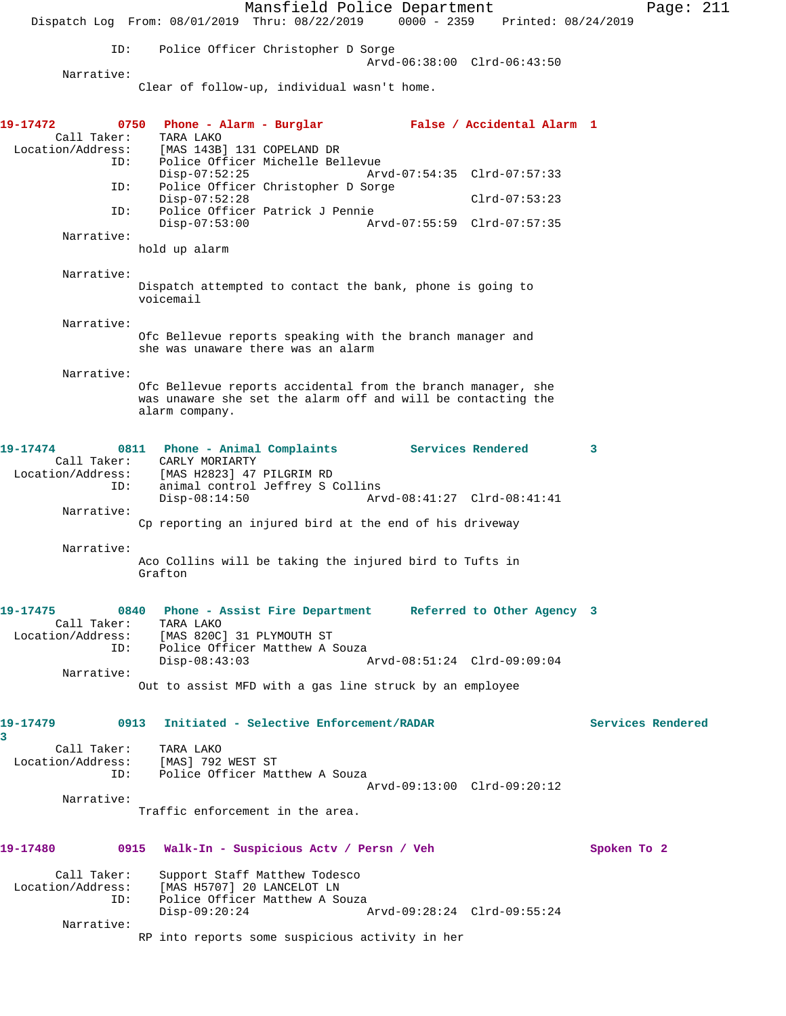Mansfield Police Department Page: 211 Dispatch Log From: 08/01/2019 Thru: 08/22/2019 0000 - 2359 Printed: 08/24/2019 ID: Police Officer Christopher D Sorge Arvd-06:38:00 Clrd-06:43:50 Narrative: Clear of follow-up, individual wasn't home. **19-17472 0750 Phone - Alarm - Burglar False / Accidental Alarm 1**  Call Taker: TARA LAKO Location/Address: [MAS 143B] 131 COPELAND DR ID: Police Officer Michelle Bellevue Disp-07:52:25 Arvd-07:54:35 Clrd-07:57:33 ID: Police Officer Christopher D Sorge Disp-07:52:28 Clrd-07:53:23 ID: Police Officer Patrick J Pennie Disp-07:53:00 Arvd-07:55:59 Clrd-07:57:35 Narrative: hold up alarm Narrative: Dispatch attempted to contact the bank, phone is going to voicemail Narrative: Ofc Bellevue reports speaking with the branch manager and she was unaware there was an alarm Narrative: Ofc Bellevue reports accidental from the branch manager, she was unaware she set the alarm off and will be contacting the alarm company. **19-17474 0811 Phone - Animal Complaints Services Rendered 3**  Call Taker: CARLY MORIARTY<br>Location/Address: [MAS H2823] 47 Location/Address: [MAS H2823] 47 PILGRIM RD ID: animal control Jeffrey S Collins Disp-08:14:50 Arvd-08:41:27 Clrd-08:41:41 Narrative: Cp reporting an injured bird at the end of his driveway Narrative: Aco Collins will be taking the injured bird to Tufts in Grafton **19-17475 0840 Phone - Assist Fire Department Referred to Other Agency 3**  Call Taker: TARA LAKO<br>[MAS 820C] Location/Address: [MAS 820C] [MAS 820C] 31 PLYMOUTH ST ID: Police Officer Matthew A Souza<br>Disp-08:43:03 A Disp-08:43:03 Arvd-08:51:24 Clrd-09:09:04 Narrative: Out to assist MFD with a gas line struck by an employee **19-17479 0913 Initiated - Selective Enforcement/RADAR Services Rendered 3**  Call Taker: TARA LAKO Location/Address: [MAS] 792 WEST ST ID: Police Officer Matthew A Souza Arvd-09:13:00 Clrd-09:20:12 Narrative: Traffic enforcement in the area. **19-17480 0915 Walk-In - Suspicious Actv / Persn / Veh Spoken To 2** Call Taker: Support Staff Matthew Todesco<br>Location/Address: [MAS H5707] 20 LANCELOT LN External Matthew Todes<br>External (MAS H5707] 20 LANCELOT LN<br>ID: Police Officer Matthew A So Police Officer Matthew A Souza Disp-09:20:24 Arvd-09:28:24 Clrd-09:55:24 Narrative: RP into reports some suspicious activity in her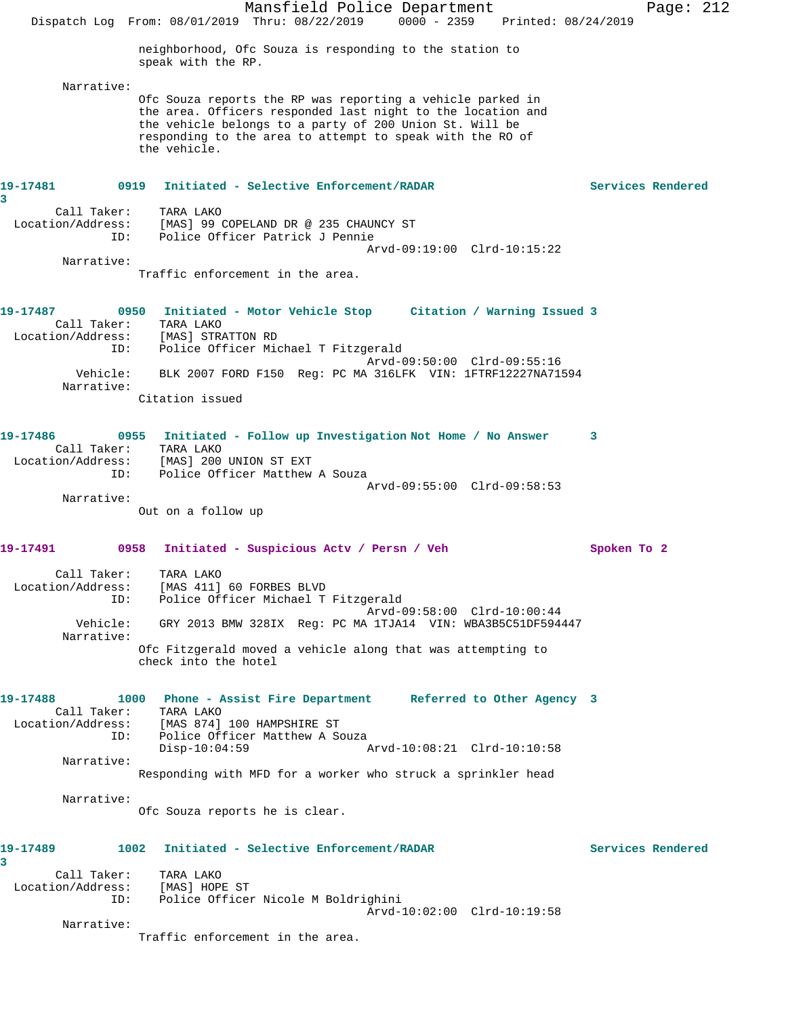Mansfield Police Department Fage: 212 Dispatch Log From: 08/01/2019 Thru: 08/22/2019 0000 - 2359 Printed: 08/24/2019 neighborhood, Ofc Souza is responding to the station to speak with the RP. Narrative: Ofc Souza reports the RP was reporting a vehicle parked in the area. Officers responded last night to the location and the vehicle belongs to a party of 200 Union St. Will be responding to the area to attempt to speak with the RO of the vehicle. **19-17481 0919 Initiated - Selective Enforcement/RADAR Services Rendered 3**  Call Taker: TARA LAKO Location/Address: [MAS] 99 COPELAND DR @ 235 CHAUNCY ST ID: Police Officer Patrick J Pennie Arvd-09:19:00 Clrd-10:15:22 Narrative: Traffic enforcement in the area. **19-17487 0950 Initiated - Motor Vehicle Stop Citation / Warning Issued 3**  Call Taker: TARA LAKO Location/Address: [MAS] STRATTON RD ID: Police Officer Michael T Fitzgerald Arvd-09:50:00 Clrd-09:55:16 Vehicle: BLK 2007 FORD F150 Reg: PC MA 316LFK VIN: 1FTRF12227NA71594 Narrative: Citation issued **19-17486 0955 Initiated - Follow up Investigation Not Home / No Answer 3**  Call Taker: TARA LAKO Location/Address: [MAS] 200 UNION ST EXT ID: Police Officer Matthew A Souza Arvd-09:55:00 Clrd-09:58:53 Narrative: Out on a follow up **19-17491 0958 Initiated - Suspicious Actv / Persn / Veh Spoken To 2** Call Taker: TARA LAKO Location/Address: [MAS 411] 60 FORBES BLVD ID: Police Officer Michael T Fitzgerald Arvd-09:58:00 Clrd-10:00:44 Vehicle: GRY 2013 BMW 328IX Reg: PC MA 1TJA14 VIN: WBA3B5C51DF594447 Narrative: Ofc Fitzgerald moved a vehicle along that was attempting to check into the hotel **19-17488 1000 Phone - Assist Fire Department Referred to Other Agency 3**  Call Taker: TARA LAKO Location/Address: [MAS 874] 100 HAMPSHIRE ST ID: Police Officer Matthew A Souza<br>Disp-10:04:59 Disp-10:04:59 Arvd-10:08:21 Clrd-10:10:58 Narrative: Responding with MFD for a worker who struck a sprinkler head Narrative: Ofc Souza reports he is clear. **19-17489 1002 Initiated - Selective Enforcement/RADAR Services Rendered 3**  Call Taker: TARA LAKO Location/Address: [MAS] HOPE ST ID: Police Officer Nicole M Boldrighini Arvd-10:02:00 Clrd-10:19:58 Narrative: Traffic enforcement in the area.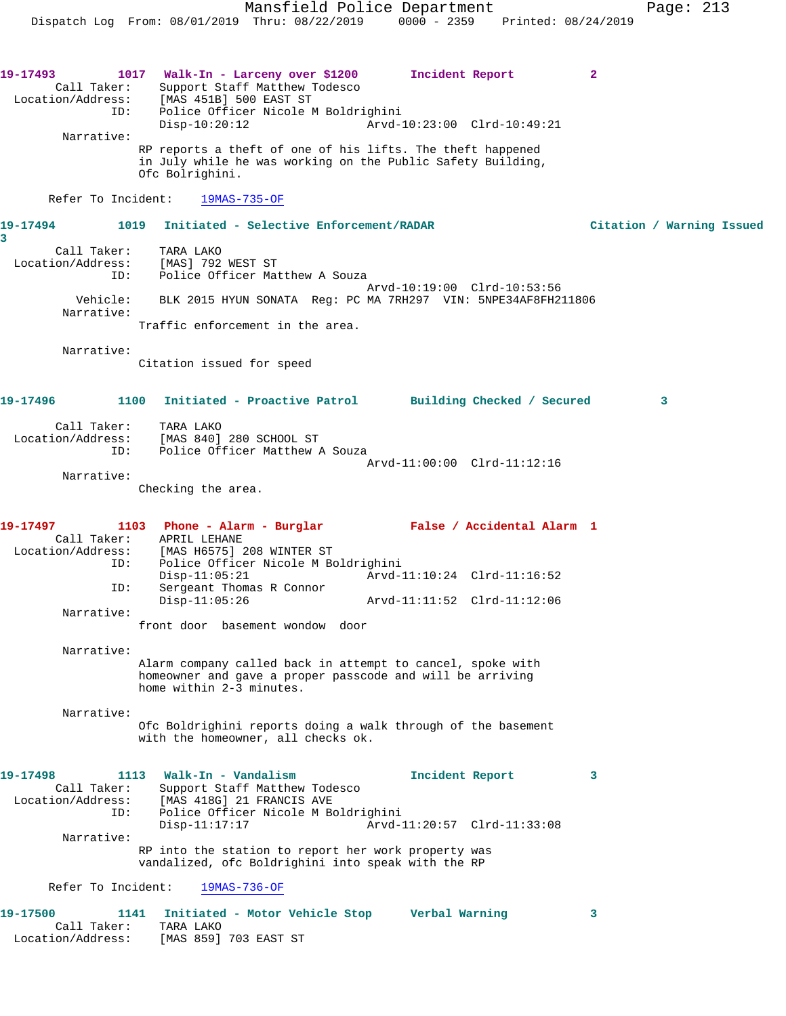Mansfield Police Department Page: 213 Dispatch Log From: 08/01/2019 Thru: 08/22/2019 0000 - 2359 Printed: 08/24/2019 **19-17493 1017 Walk-In - Larceny over \$1200 Incident Report 2**  Call Taker: Support Staff Matthew Todesco Location/Address: [MAS 451B] 500 EAST ST ID: Police Officer Nicole M Boldrighini Disp-10:20:12 Arvd-10:23:00 Clrd-10:49:21 Narrative: RP reports a theft of one of his lifts. The theft happened in July while he was working on the Public Safety Building, Ofc Bolrighini. Refer To Incident: 19MAS-735-OF **19-17494 1019 Initiated - Selective Enforcement/RADAR Citation / Warning Issued 3**  Call Taker: TARA LAKO Location/Address: [MAS] 792 WEST ST ID: Police Officer Matthew A Souza Arvd-10:19:00 Clrd-10:53:56 Vehicle: BLK 2015 HYUN SONATA Reg: PC MA 7RH297 VIN: 5NPE34AF8FH211806 Narrative: Traffic enforcement in the area. Narrative: Citation issued for speed **19-17496 1100 Initiated - Proactive Patrol Building Checked / Secured 3** Call Taker: TARA LAKO Location/Address: [MAS 840] 280 SCHOOL ST ID: Police Officer Matthew A Souza Arvd-11:00:00 Clrd-11:12:16 Narrative: Checking the area. **19-17497 1103 Phone - Alarm - Burglar False / Accidental Alarm 1**  Call Taker: APRIL LEHANE Location/Address: [MAS H6575] 208 WINTER ST ID: Police Officer Nicole M Boldrighini Disp-11:05:21 Arvd-11:10:24 Clrd-11:16:52 ID: Sergeant Thomas R Connor<br>Disp-11:05:26 Arvd-11:11:52 Clrd-11:12:06 Narrative: front door basement wondow door Narrative: Alarm company called back in attempt to cancel, spoke with homeowner and gave a proper passcode and will be arriving home within 2-3 minutes. Narrative: Ofc Boldrighini reports doing a walk through of the basement with the homeowner, all checks ok. **19-17498 1113 Walk-In - Vandalism Incident Report 3**  Call Taker: Support Staff Matthew Todesco Location/Address: [MAS 418G] 21 FRANCIS AVE Police Officer Nicole M Boldrighini Disp-11:17:17 Arvd-11:20:57 Clrd-11:33:08 Narrative: RP into the station to report her work property was vandalized, ofc Boldrighini into speak with the RP Refer To Incident: 19MAS-736-OF **19-17500 1141 Initiated - Motor Vehicle Stop Verbal Warning 3**  Call Taker: TARA LAKO

Location/Address: [MAS 859] 703 EAST ST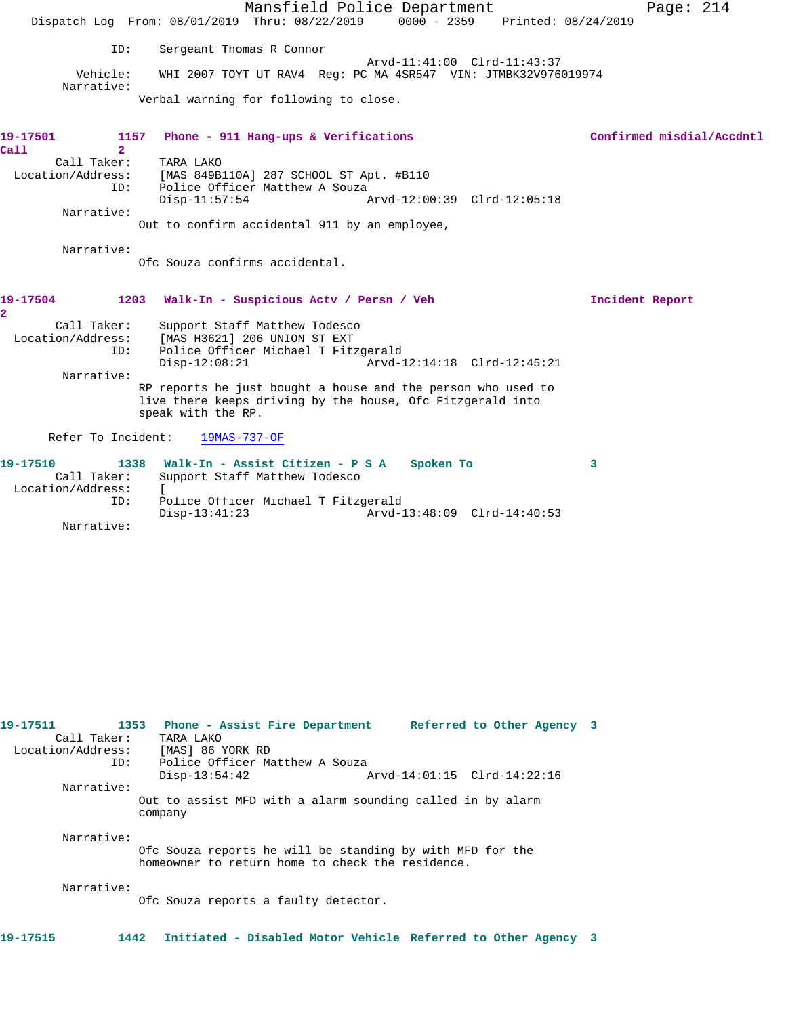|                                       | Mansfield Police Department                                                       | Page: $214$               |
|---------------------------------------|-----------------------------------------------------------------------------------|---------------------------|
|                                       | Dispatch Log From: 08/01/2019 Thru: 08/22/2019 0000 - 2359<br>Printed: 08/24/2019 |                           |
|                                       |                                                                                   |                           |
| ID:                                   | Sergeant Thomas R Connor                                                          |                           |
|                                       | Arvd-11:41:00 Clrd-11:43:37                                                       |                           |
| Vehicle:<br>Narrative:                | WHI 2007 TOYT UT RAV4 Req: PC MA 4SR547 VIN: JTMBK32V976019974                    |                           |
|                                       | Verbal warning for following to close.                                            |                           |
|                                       |                                                                                   |                           |
|                                       |                                                                                   |                           |
| 19-17501                              | Phone - 911 Hang-ups & Verifications<br>1157                                      | Confirmed misdial/Accdntl |
| $\overline{2}$<br>Call<br>Call Taker: | TARA LAKO                                                                         |                           |
| Location/Address:                     | [MAS 849B110A] 287 SCHOOL ST Apt. #B110                                           |                           |
| ID:                                   | Police Officer Matthew A Souza                                                    |                           |
|                                       | $Disp-11:57:54$<br>Arvd-12:00:39 Clrd-12:05:18                                    |                           |
| Narrative:                            | Out to confirm accidental 911 by an employee,                                     |                           |
|                                       |                                                                                   |                           |
| Narrative:                            |                                                                                   |                           |
|                                       | Ofc Souza confirms accidental.                                                    |                           |
|                                       |                                                                                   |                           |
| 19-17504                              | 1203 Walk-In - Suspicious Actv / Persn / Veh                                      | Incident Report           |
| 2                                     |                                                                                   |                           |
| Call Taker:                           | Support Staff Matthew Todesco                                                     |                           |
| Location/Address:                     | [MAS H3621] 206 UNION ST EXT                                                      |                           |
| ID:                                   | Police Officer Michael T Fitzgerald                                               |                           |
| Narrative:                            | $Disp-12:08:21$<br>Arvd-12:14:18 Clrd-12:45:21                                    |                           |
|                                       | RP reports he just bought a house and the person who used to                      |                           |
|                                       | live there keeps driving by the house, Ofc Fitzgerald into                        |                           |
|                                       | speak with the RP.                                                                |                           |
| Refer To Incident:                    | 19MAS-737-OF                                                                      |                           |
|                                       |                                                                                   |                           |
| 19-17510                              | 1338 Walk-In - Assist Citizen - P S A<br>Spoken To                                | 3                         |
| Call Taker:                           | Support Staff Matthew Todesco                                                     |                           |
| Location/Address:                     | $\mathbf{r}$                                                                      |                           |
| ID:                                   | Police Officer Michael T Fitzgerald<br>$Disp-13:41:23$                            |                           |
| Narrative:                            |                                                                                   |                           |
|                                       |                                                                                   |                           |
|                                       |                                                                                   |                           |
|                                       |                                                                                   |                           |
|                                       |                                                                                   |                           |
|                                       |                                                                                   |                           |
|                                       |                                                                                   |                           |
|                                       |                                                                                   |                           |
|                                       |                                                                                   |                           |
|                                       |                                                                                   |                           |
|                                       |                                                                                   |                           |

| 19-17511 | Call Taker: | 1353 Phone - Assist Fire Department Referred to Other Agency 3<br>TARA LAKO                                   |  |
|----------|-------------|---------------------------------------------------------------------------------------------------------------|--|
|          |             | Location/Address: [MAS] 86 YORK RD                                                                            |  |
|          | ID:         | Police Officer Matthew A Souza<br>Arvd-14:01:15 Clrd-14:22:16<br>$Disp-13:54:42$                              |  |
|          | Narrative:  |                                                                                                               |  |
|          |             | Out to assist MFD with a alarm sounding called in by alarm<br>company                                         |  |
|          | Narrative:  | Ofc Souza reports he will be standing by with MFD for the<br>homeowner to return home to check the residence. |  |
|          | Narrative:  | Ofc Souza reports a faulty detector.                                                                          |  |
| 19-17515 | 1442        | Initiated - Disabled Motor Vehicle Referred to Other Agency 3                                                 |  |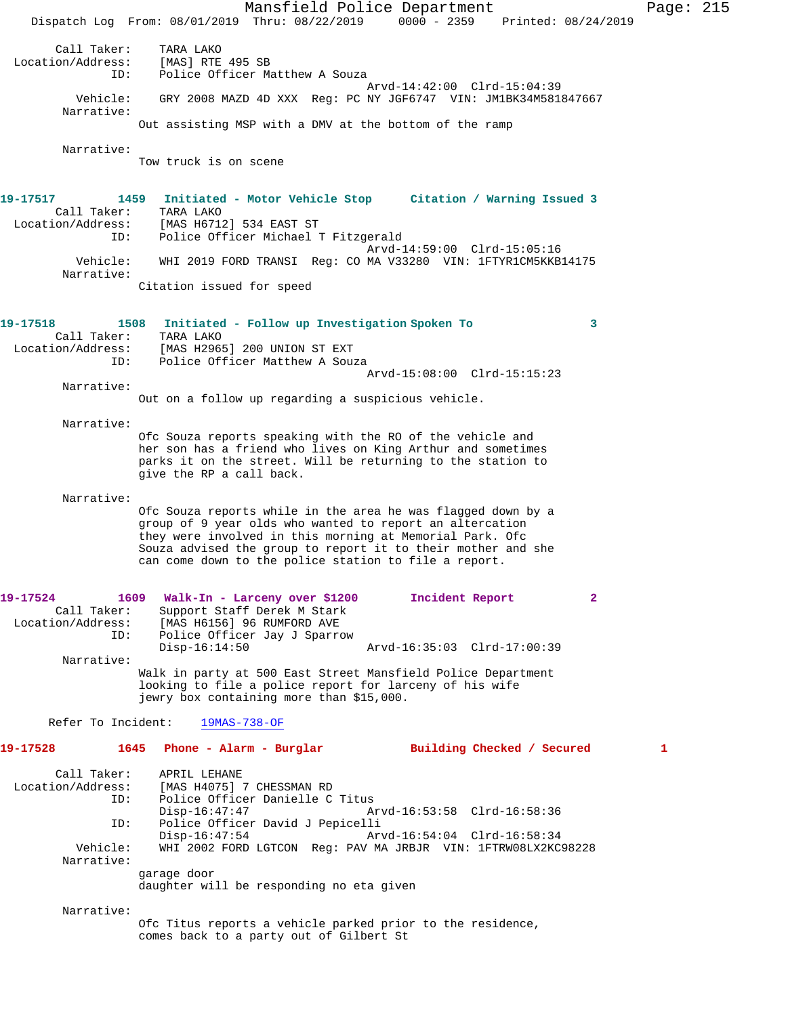Mansfield Police Department Page: 215 Dispatch Log From: 08/01/2019 Thru: 08/22/2019 0000 - 2359 Printed: 08/24/2019 Call Taker: TARA LAKO<br>on/Address: [MAS] RTE 495 SB Location/Address:<br>ID: Police Officer Matthew A Souza Arvd-14:42:00 Clrd-15:04:39 Vehicle: GRY 2008 MAZD 4D XXX Reg: PC NY JGF6747 VIN: JM1BK34M581847667 Narrative: Out assisting MSP with a DMV at the bottom of the ramp Narrative: Tow truck is on scene **19-17517 1459 Initiated - Motor Vehicle Stop Citation / Warning Issued 3**  Call Taker: TARA LAKO<br>Location/Address: [MAS H671 ess: [MAS H6712] 534 EAST ST<br>ID: Police Officer Michael ! Police Officer Michael T Fitzgerald Arvd-14:59:00 Clrd-15:05:16 Vehicle: WHI 2019 FORD TRANSI Reg: CO MA V33280 VIN: 1FTYR1CM5KKB14175 Narrative: Citation issued for speed **19-17518 1508 Initiated - Follow up Investigation Spoken To 3**  Call Taker: TARA LAKO<br>Location/Address: [MAS H296! [MAS H2965] 200 UNION ST EXT ID: Police Officer Matthew A Souza Arvd-15:08:00 Clrd-15:15:23 Narrative: Out on a follow up regarding a suspicious vehicle. Narrative: Ofc Souza reports speaking with the RO of the vehicle and her son has a friend who lives on King Arthur and sometimes parks it on the street. Will be returning to the station to give the RP a call back. Narrative: Ofc Souza reports while in the area he was flagged down by a group of 9 year olds who wanted to report an altercation they were involved in this morning at Memorial Park. Ofc Souza advised the group to report it to their mother and she can come down to the police station to file a report. **19-17524 1609 Walk-In - Larceny over \$1200 Incident Report 2**  Call Taker: Support Staff Derek M Stark<br>Location/Address: [MAS H6156] 96 RUMFORD AVE<br>ID: Police Officer Jay J Sparrow [MAS H6156] 96 RUMFORD AVE Police Officer Jay J Sparrow<br>Disp-16:14:50 Disp-16:14:50 Arvd-16:35:03 Clrd-17:00:39 Narrative: Walk in party at 500 East Street Mansfield Police Department looking to file a police report for larceny of his wife jewry box containing more than \$15,000. Refer To Incident: 19MAS-738-OF **19-17528 1645 Phone - Alarm - Burglar Building Checked / Secured 1** Call Taker: APRIL LEHANE Location/Address: [MAS H4075] 7 CHESSMAN RD ID: Police Officer Danielle C Titus Disp-16:47:47 Arvd-16:53:58 Clrd-16:58:36<br>TD: Police Officer David J Pepicelli Police Officer David J Pepicelli Disp-16:47:54 Arvd-16:54:04 Clrd-16:58:34 Vehicle: WHI 2002 FORD LGTCON Reg: PAV MA JRBJR VIN: 1FTRW08LX2KC98228 Narrative: garage door daughter will be responding no eta given Narrative: Ofc Titus reports a vehicle parked prior to the residence, comes back to a party out of Gilbert St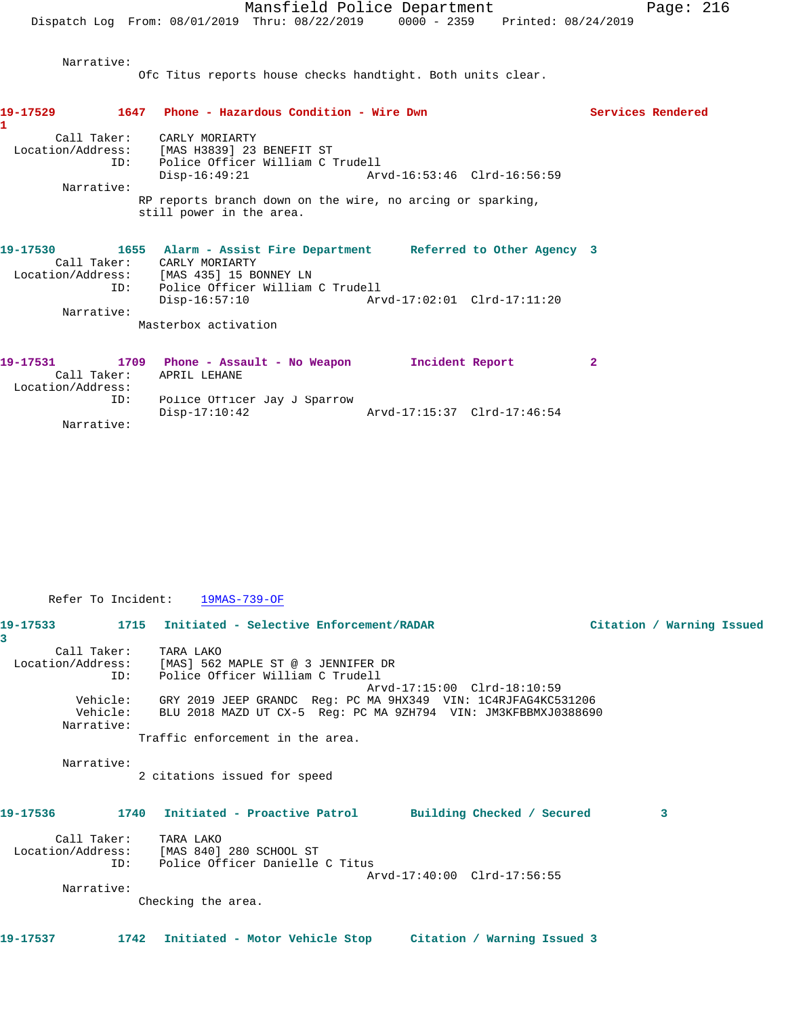Narrative:

Ofc Titus reports house checks handtight. Both units clear.

| 19-17529                 | 1647 Phone - Hazardous Condition - Wire Dwn                                                                              | Services Rendered |
|--------------------------|--------------------------------------------------------------------------------------------------------------------------|-------------------|
| Call Taker:              | CARLY MORIARTY<br>Location/Address: [MAS H3839] 23 BENEFIT ST<br>ID: Police Officer William C Trudell<br>$Disp-16:49:21$ |                   |
| Narrative:               |                                                                                                                          |                   |
|                          | RP reports branch down on the wire, no arcing or sparking,<br>still power in the area.                                   |                   |
| 19-17530                 | 1655 Alarm - Assist Fire Department Referred to Other Agency 3<br>Call Taker: CARLY MORIARTY                             |                   |
|                          | Location/Address: [MAS 435] 15 BONNEY LN<br>ID: Police Officer William C Trudell<br>$Disp-16:57:10$                      |                   |
| Narrative:               |                                                                                                                          |                   |
|                          | Masterbox activation                                                                                                     |                   |
| 19-17531                 | 1709 Phone - Assault - No Weapon               Incident Report                                                           | $\mathbf{2}$      |
| Call Taker:              | APRIL LEHANE                                                                                                             |                   |
| Location/Address:<br>ID: | Police Officer Jay J Sparrow<br>$Disp-17:10:42$                                                                          |                   |
| Narrative:               |                                                                                                                          |                   |

Refer To Incident: 19MAS-739-OF

|                       | 19-17533 1715 Initiated - Selective Enforcement/RADAR                   |                             | Citation / Warning Issued |  |
|-----------------------|-------------------------------------------------------------------------|-----------------------------|---------------------------|--|
| 3                     |                                                                         |                             |                           |  |
| Call Taker: TARA LAKO |                                                                         |                             |                           |  |
|                       | Location/Address: [MAS] 562 MAPLE ST @ 3 JENNIFER DR                    |                             |                           |  |
| ID:                   | Police Officer William C Trudell                                        |                             |                           |  |
|                       |                                                                         | Arvd-17:15:00 Clrd-18:10:59 |                           |  |
| Vehicle:              | GRY 2019 JEEP GRANDC Req: PC MA 9HX349 VIN: 1C4RJFAG4KC531206           |                             |                           |  |
|                       | Vehicle: BLU 2018 MAZD UT CX-5 Req: PC MA 9ZH794 VIN: JM3KFBBMXJ0388690 |                             |                           |  |
| Narrative:            |                                                                         |                             |                           |  |
|                       | Traffic enforcement in the area.                                        |                             |                           |  |
| Narrative:            |                                                                         |                             |                           |  |
|                       | 2 citations issued for speed                                            |                             |                           |  |
|                       |                                                                         |                             |                           |  |
| 19-17536              | 1740 Initiated - Proactive Patrol Building Checked / Secured            |                             | 3                         |  |
| Call Taker: TARA LAKO |                                                                         |                             |                           |  |
|                       | Location/Address: [MAS 840] 280 SCHOOL ST                               |                             |                           |  |
| TD:                   | Police Officer Danielle C Titus                                         |                             |                           |  |
|                       |                                                                         | Arvd-17:40:00 Clrd-17:56:55 |                           |  |
| Narrative:            |                                                                         |                             |                           |  |
|                       | Checking the area.                                                      |                             |                           |  |
|                       |                                                                         |                             |                           |  |
| 19-17537              | 1742 Initiated - Motor Vehicle Stop Citation / Warning Issued 3         |                             |                           |  |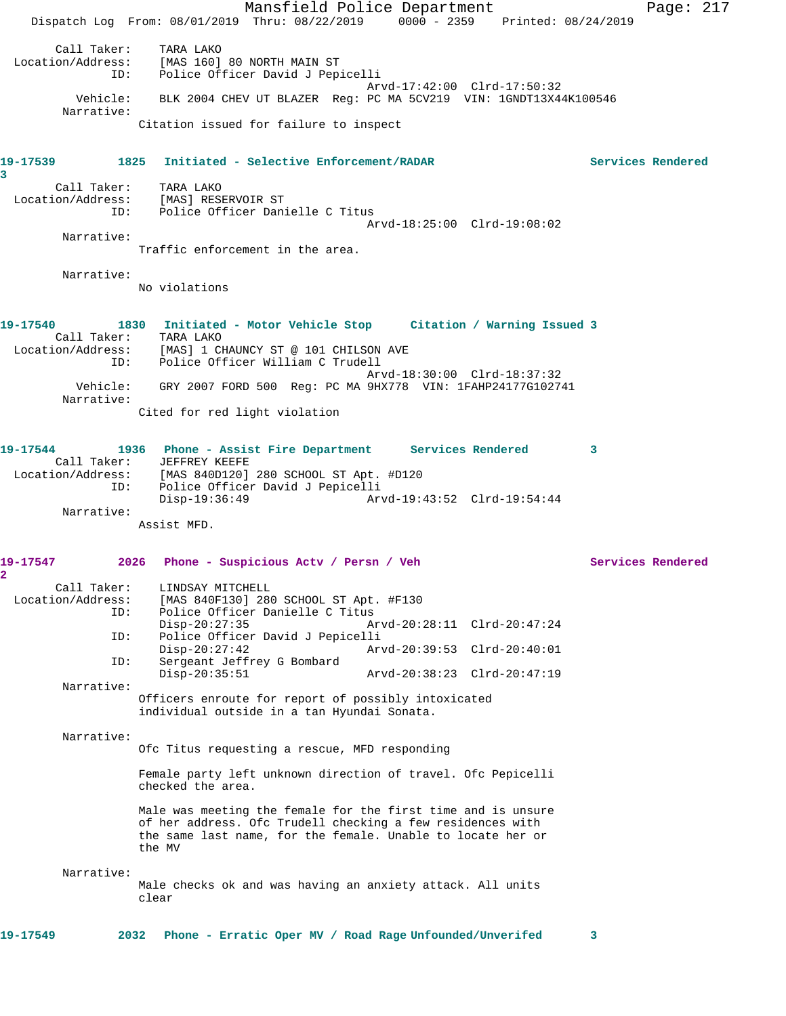Mansfield Police Department Page: 217 Dispatch Log From: 08/01/2019 Thru: 08/22/2019 0000 - 2359 Printed: 08/24/2019 Call Taker: TARA LAKO<br>Location/Address: [MAS 160] ess: [MAS 160] 80 NORTH MAIN ST<br>ID: Police Officer David J Pep Police Officer David J Pepicelli Arvd-17:42:00 Clrd-17:50:32 Vehicle: BLK 2004 CHEV UT BLAZER Reg: PC MA 5CV219 VIN: 1GNDT13X44K100546 Narrative: Citation issued for failure to inspect **19-17539 1825 Initiated - Selective Enforcement/RADAR Services Rendered 3**  Call Taker: TARA LAKO Location/Address: [MAS] RESERVOIR ST ID: Police Officer Danielle C Titus Arvd-18:25:00 Clrd-19:08:02 Narrative: Traffic enforcement in the area. Narrative: No violations **19-17540 1830 Initiated - Motor Vehicle Stop Citation / Warning Issued 3**  Call Taker: TARA LAKO<br>Location/Address: [MAS] 1 CH [MAS] 1 CHAUNCY ST @ 101 CHILSON AVE ID: Police Officer William C Trudell Arvd-18:30:00 Clrd-18:37:32 Vehicle: GRY 2007 FORD 500 Reg: PC MA 9HX778 VIN: 1FAHP24177G102741 Narrative: Cited for red light violation **19-17544 1936 Phone - Assist Fire Department Services Rendered 3**  Call Taker: JEFFREY KEEFE<br>Location/Address: [MAS 840D120] ess: [MAS 840D120] 280 SCHOOL ST Apt. #D120<br>ID: Police Officer David J Pepicelli ID: Police Officer David J Pepicelli Disp-19:36:49 Arvd-19:43:52 Clrd-19:54:44 Narrative: Assist MFD. **19-17547 2026 Phone - Suspicious Actv / Persn / Veh Services Rendered 2**  Call Taker: LINDSAY MITCHELL Location/Address: [MAS 840F130] 280 SCHOOL ST Apt. #F130 ID: Police Officer Danielle C Titus Disp-20:27:35 Arvd-20:28:11 Clrd-20:47:24<br>ID: Police Officer David J Pepicelli Police Officer David J Pepicelli<br>Disp-20:27:42 Arv Disp-20:27:42 Arvd-20:39:53 Clrd-20:40:01 ID: Sergeant Jeffrey G Bombard Disp-20:35:51 Arvd-20:38:23 Clrd-20:47:19 Narrative: Officers enroute for report of possibly intoxicated individual outside in a tan Hyundai Sonata. Narrative: Ofc Titus requesting a rescue, MFD responding Female party left unknown direction of travel. Ofc Pepicelli checked the area. Male was meeting the female for the first time and is unsure of her address. Ofc Trudell checking a few residences with the same last name, for the female. Unable to locate her or the MV Narrative: Male checks ok and was having an anxiety attack. All units clear **19-17549 2032 Phone - Erratic Oper MV / Road Rage Unfounded/Unverifed 3**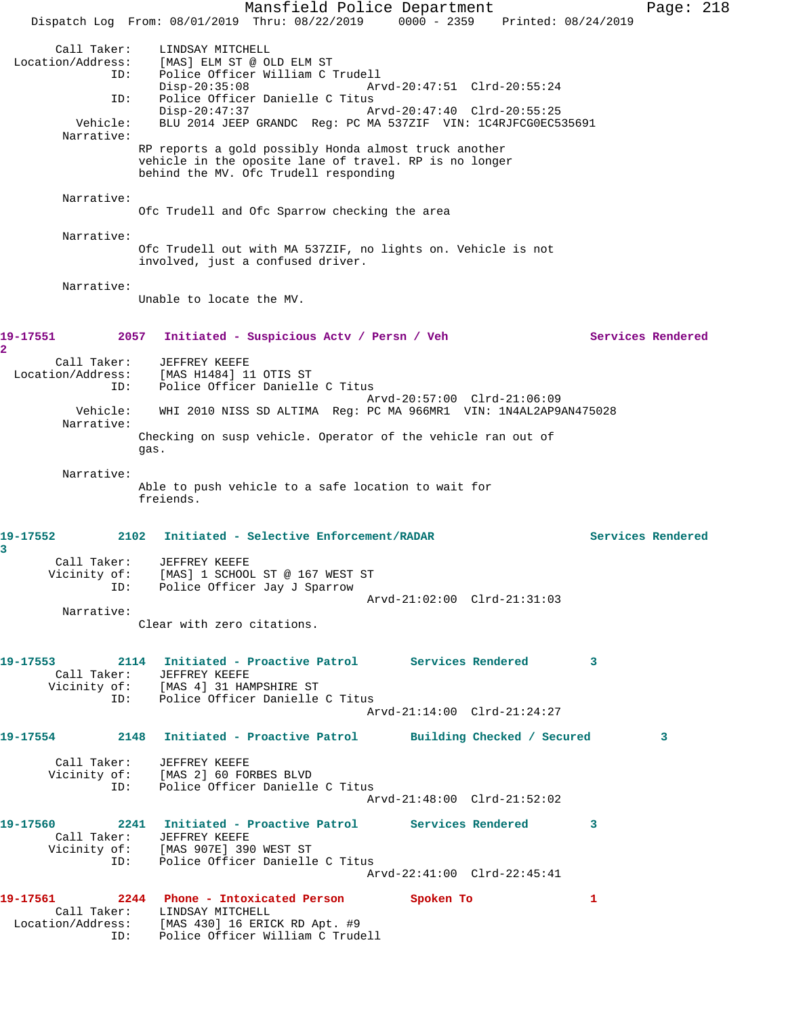Mansfield Police Department Fage: 218 Dispatch Log From: 08/01/2019 Thru: 08/22/2019 0000 - 2359 Printed: 08/24/2019 Call Taker: LINDSAY MITCHELL Location/Address: [MAS] ELM ST @ OLD ELM ST ID: Police Officer William C Trudell Disp-20:35:08 Arvd-20:47:51 Clrd-20:55:24 ID: Police Officer Danielle C Titus Disp-20:47:37 Arvd-20:47:40 Clrd-20:55:25 Vehicle: BLU 2014 JEEP GRANDC Reg: PC MA 537ZIF VIN: 1C4RJFCG0EC535691 Narrative: RP reports a gold possibly Honda almost truck another vehicle in the oposite lane of travel. RP is no longer behind the MV. Ofc Trudell responding Narrative: Ofc Trudell and Ofc Sparrow checking the area Narrative: Ofc Trudell out with MA 537ZIF, no lights on. Vehicle is not involved, just a confused driver. Narrative: Unable to locate the MV. 19-17551 2057 Initiated - Suspicious Actv / Persn / Veh Services Rendered **2**  Call Taker: JEFFREY KEEFE Location/Address: [MAS H1484] 11 OTIS ST ID: Police Officer Danielle C Titus Arvd-20:57:00 Clrd-21:06:09 Vehicle: WHI 2010 NISS SD ALTIMA Reg: PC MA 966MR1 VIN: 1N4AL2AP9AN475028 Narrative: Checking on susp vehicle. Operator of the vehicle ran out of gas. Narrative: Able to push vehicle to a safe location to wait for freiends. **19-17552 2102 Initiated - Selective Enforcement/RADAR Services Rendered 3**  Call Taker: JEFFREY KEEFE Vicinity of: [MAS] 1 SCHOOL ST @ 167 WEST ST ID: Police Officer Jay J Sparrow Arvd-21:02:00 Clrd-21:31:03 Narrative: Clear with zero citations. **19-17553 2114 Initiated - Proactive Patrol Services Rendered 3**  Call Taker: JEFFREY KEEFE Vicinity of: [MAS 4] 31 HAMPSHIRE ST ID: Police Officer Danielle C Titus Arvd-21:14:00 Clrd-21:24:27 **19-17554 2148 Initiated - Proactive Patrol Building Checked / Secured 3** Call Taker: JEFFREY KEEFE Vicinity of: [MAS 2] 60 FORBES BLVD ID: Police Officer Danielle C Titus Arvd-21:48:00 Clrd-21:52:02 **19-17560 2241 Initiated - Proactive Patrol Services Rendered 3**  Call Taker: JEFFREY KEEFE Vicinity of: [MAS 907E] 390 WEST ST ID: Police Officer Danielle C Titus Arvd-22:41:00 Clrd-22:45:41 **19-17561 2244 Phone - Intoxicated Person Spoken To 1**  Call Taker: LINDSAY MITCHELL Location/Address: [MAS 430] 16 ERICK RD Apt. #9 ID: Police Officer William C Trudell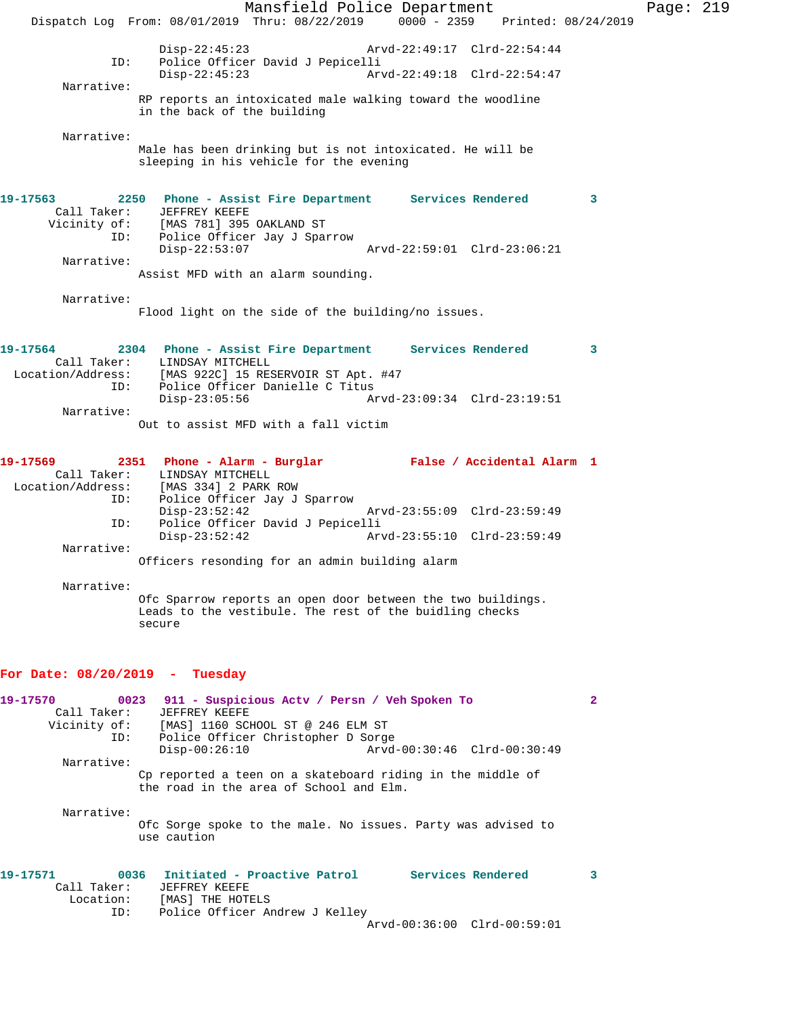Mansfield Police Department Page: 219 Dispatch Log From: 08/01/2019 Thru: 08/22/2019 0000 - 2359 Printed: 08/24/2019 Disp-22:45:23 Arvd-22:49:17 Clrd-22:54:44<br>ID: Police Officer David J Pepicelli ID: Police Officer David J Pepicelli Disp-22:45:23 Arvd-22:49:18 Clrd-22:54:47 Narrative: RP reports an intoxicated male walking toward the woodline in the back of the building Narrative: Male has been drinking but is not intoxicated. He will be sleeping in his vehicle for the evening **19-17563 2250 Phone - Assist Fire Department Services Rendered 3**  Call Taker: JEFFREY KEEFE Vicinity of: [MAS 781] 395 OAKLAND ST ID: Police Officer Jay J Sparrow Disp-22:53:07 Arvd-22:59:01 Clrd-23:06:21 Narrative: Assist MFD with an alarm sounding. Narrative: Flood light on the side of the building/no issues. **19-17564 2304 Phone - Assist Fire Department Services Rendered 3**  Call Taker: LINDSAY MITCHELL Location/Address: [MAS 922C] 15 RESERVOIR ST Apt. #47 ID: Police Officer Danielle C Titus<br>Disp-23:05:56 A Disp-23:05:56 Arvd-23:09:34 Clrd-23:19:51 Narrative: Out to assist MFD with a fall victim **19-17569 2351 Phone - Alarm - Burglar False / Accidental Alarm 1**  Call Taker: LINDSAY MITCHELL<br>Location/Address: [MAS 334] 2 PARK Location: [MAS 334] 2 PARK ROW:<br>ID: Police Officer Tav Police Officer Jay J Sparrow Disp-23:52:42 Arvd-23:55:09 Clrd-23:59:49<br>TD: Police Officer David J Pepicelli ID: Police Officer David J Pepicelli Disp-23:52:42 Arvd-23:55:10 Clrd-23:59:49 Narrative: Officers resonding for an admin building alarm Narrative: Ofc Sparrow reports an open door between the two buildings. Leads to the vestibule. The rest of the buidling checks secure **For Date: 08/20/2019 - Tuesday 19-17570 0023 911 - Suspicious Actv / Persn / Veh Spoken To 2**  Call Taker: JEFFREY KEEFE Vicinity of: [MAS] 1160 SCHOOL ST @ 246 ELM ST ID: Police Officer Christopher D Sorge Disp-00:26:10 Arvd-00:30:46 Clrd-00:30:49 Narrative: Cp reported a teen on a skateboard riding in the middle of the road in the area of School and Elm. Narrative: Ofc Sorge spoke to the male. No issues. Party was advised to use caution **19-17571 0036 Initiated - Proactive Patrol Services Rendered 3**  Call Taker: JEFFREY KEEFE Location: [MAS] THE HOTELS ID: Police Officer Andrew J Kelley

Arvd-00:36:00 Clrd-00:59:01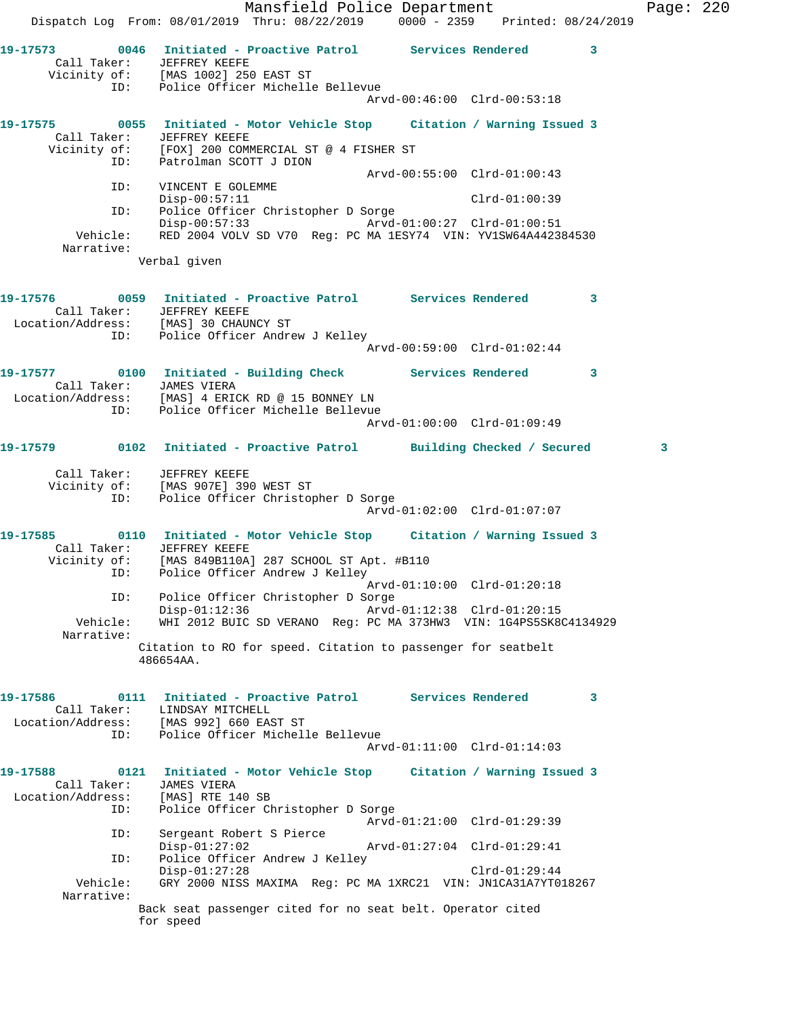Mansfield Police Department Fage: 220 Dispatch Log From: 08/01/2019 Thru: 08/22/2019 0000 - 2359 Printed: 08/24/2019 **19-17573 0046 Initiated - Proactive Patrol Services Rendered 3**  Call Taker: JEFFREY KEEFE Vicinity of: [MAS 1002] 250 EAST ST ID: Police Officer Michelle Bellevue Arvd-00:46:00 Clrd-00:53:18 **19-17575 0055 Initiated - Motor Vehicle Stop Citation / Warning Issued 3**  Call Taker: JEFFREY KEEFE Vicinity of: [FOX] 200 COMMERCIAL ST @ 4 FISHER ST ID: Patrolman SCOTT J DION Arvd-00:55:00 Clrd-01:00:43 ID: VINCENT E GOLEMME Disp-00:57:11 Clrd-01:00:39 ID: Police Officer Christopher D Sorge Disp-00:57:33 Arvd-01:00:27 Clrd-01:00:51 Vehicle: RED 2004 VOLV SD V70 Reg: PC MA 1ESY74 VIN: YV1SW64A442384530 Narrative: Verbal given **19-17576 0059 Initiated - Proactive Patrol Services Rendered 3**  Call Taker: JEFFREY KEEFE Location/Address: [MAS] 30 CHAUNCY ST ID: Police Officer Andrew J Kelley Arvd-00:59:00 Clrd-01:02:44 19-17577 0100 Initiated - Building Check Services Rendered 3 Call Taker: JAMES VIERA Location/Address: [MAS] 4 ERICK RD @ 15 BONNEY LN ID: Police Officer Michelle Bellevue Arvd-01:00:00 Clrd-01:09:49 **19-17579 0102 Initiated - Proactive Patrol Building Checked / Secured 3** Call Taker: JEFFREY KEEFE Vicinity of: [MAS 907E] 390 WEST ST ID: Police Officer Christopher D Sorge Arvd-01:02:00 Clrd-01:07:07 **19-17585 0110 Initiated - Motor Vehicle Stop Citation / Warning Issued 3**  Call Taker: JEFFREY KEEFE Vicinity of: [MAS 849B110A] 287 SCHOOL ST Apt. #B110 OI: المستعدد وحداته<br>ID: Police Officer Andrew J Kelley Arvd-01:10:00 Clrd-01:20:18 ID: Police Officer Christopher D Sorge Disp-01:12:36 Arvd-01:12:38 Clrd-01:20:15<br>Vehicle: WHI 2012 BUIC SD VERANO Reg: PC MA 373HW3 VIN: 1G4PS5SK80 WHI 2012 BUIC SD VERANO Reg: PC MA 373HW3 VIN: 1G4PS5SK8C4134929 Narrative: Citation to RO for speed. Citation to passenger for seatbelt 486654AA. **19-17586 0111 Initiated - Proactive Patrol Services Rendered 3**  Call Taker: LINDSAY MITCHELL Location/Address: [MAS 992] 660 EAST ST ID: Police Officer Michelle Bellevue Arvd-01:11:00 Clrd-01:14:03 **19-17588 0121 Initiated - Motor Vehicle Stop Citation / Warning Issued 3**  Call Taker: JAMES VIERA Location/Address: [MAS] RTE 140 SB ID: Police Officer Christopher D Sorge Arvd-01:21:00 Clrd-01:29:39 ID: Sergeant Robert S Pierce Disp-01:27:02 Arvd-01:27:04 Clrd-01:29:41 ID: Police Officer Andrew J Kelley Disp-01:27:28 Clrd-01:29:44<br>Vehicle: GRY 2000 NISS MAXIMA Reg: PC MA 1XRC21 VIN: JN1CA31A7YT0 GRY 2000 NISS MAXIMA Reg: PC MA 1XRC21 VIN: JN1CA31A7YT018267 Narrative: Back seat passenger cited for no seat belt. Operator cited for speed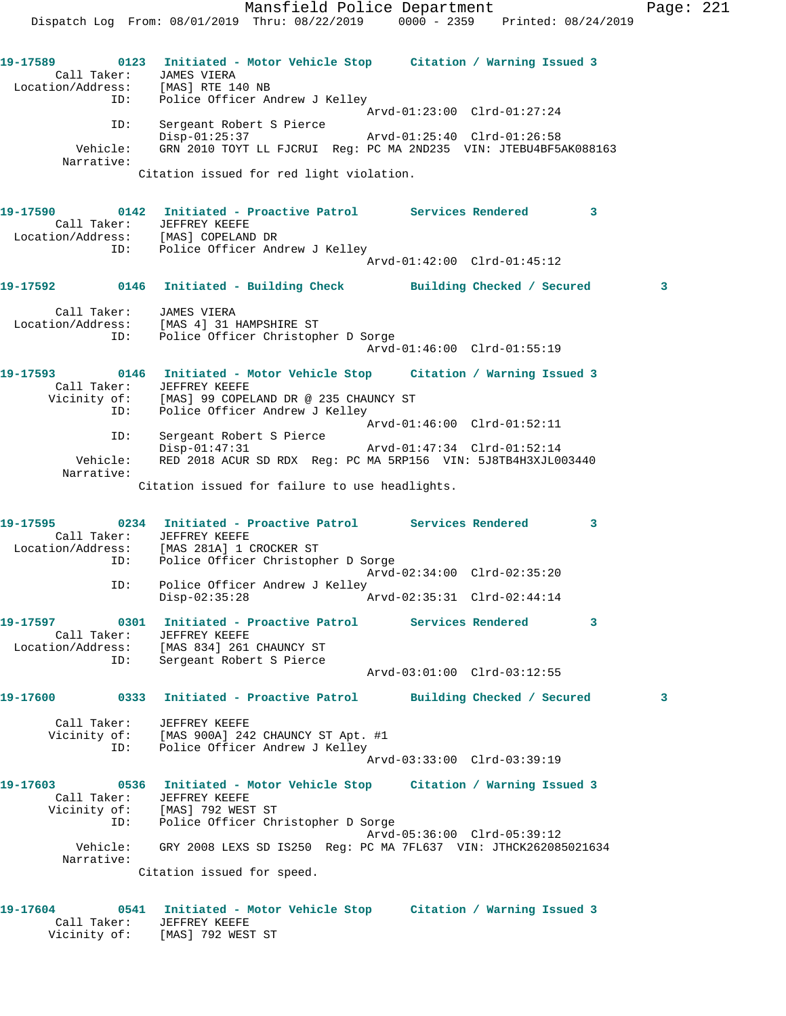Mansfield Police Department Page: 221 Dispatch Log From: 08/01/2019 Thru: 08/22/2019 0000 - 2359 Printed: 08/24/2019 **19-17589 0123 Initiated - Motor Vehicle Stop Citation / Warning Issued 3**  Call Taker: JAMES VIERA Location/Address: [MAS] RTE 140 NB ID: Police Officer Andrew J Kelley Arvd-01:23:00 Clrd-01:27:24 ID: Sergeant Robert S Pierce Disp-01:25:37 Arvd-01:25:40 Clrd-01:26:58 Vehicle: GRN 2010 TOYT LL FJCRUI Reg: PC MA 2ND235 VIN: JTEBU4BF5AK088163 Narrative: Citation issued for red light violation. **19-17590 0142 Initiated - Proactive Patrol Services Rendered 3**  Call Taker: JEFFREY KEEFE Location/Address: [MAS] COPELAND DR ID: Police Officer Andrew J Kelley Arvd-01:42:00 Clrd-01:45:12 **19-17592 0146 Initiated - Building Check Building Checked / Secured 3** Call Taker: JAMES VIERA Location/Address: [MAS 4] 31 HAMPSHIRE ST ID: Police Officer Christopher D Sorge Arvd-01:46:00 Clrd-01:55:19 **19-17593 0146 Initiated - Motor Vehicle Stop Citation / Warning Issued 3**  Call Taker: JEFFREY KEEFE Vicinity of: [MAS] 99 COPELAND DR @ 235 CHAUNCY ST ID: Police Officer Andrew J Kelley Arvd-01:46:00 Clrd-01:52:11 ID: Sergeant Robert S Pierce Disp-01:47:31 Arvd-01:47:34 Clrd-01:52:14 Vehicle: RED 2018 ACUR SD RDX Reg: PC MA 5RP156 VIN: 5J8TB4H3XJL003440 Narrative: Citation issued for failure to use headlights. **19-17595 0234 Initiated - Proactive Patrol Services Rendered 3**  Call Taker: JEFFREY KEEFE Location/Address: [MAS 281A] 1 CROCKER ST ID: Police Officer Christopher D Sorge Arvd-02:34:00 Clrd-02:35:20 ID: Police Officer Andrew J Kelley<br>Disp-02:35:28 A Disp-02:35:28 Arvd-02:35:31 Clrd-02:44:14 **19-17597 0301 Initiated - Proactive Patrol Services Rendered 3**  Call Taker: JEFFREY KEEFE Location/Address: [MAS 834] 261 CHAUNCY ST ID: Sergeant Robert S Pierce Arvd-03:01:00 Clrd-03:12:55 **19-17600 0333 Initiated - Proactive Patrol Building Checked / Secured 3** Call Taker: JEFFREY KEEFE Vicinity of: [MAS 900A] 242 CHAUNCY ST Apt. #1 ID: Police Officer Andrew J Kelley Arvd-03:33:00 Clrd-03:39:19 **19-17603 0536 Initiated - Motor Vehicle Stop Citation / Warning Issued 3**  Call Taker: JEFFREY KEEFE Vicinity of: [MAS] 792 WEST ST ID: Police Officer Christopher D Sorge Arvd-05:36:00 Clrd-05:39:12 Vehicle: GRY 2008 LEXS SD IS250 Reg: PC MA 7FL637 VIN: JTHCK262085021634 Narrative: Citation issued for speed. **19-17604 0541 Initiated - Motor Vehicle Stop Citation / Warning Issued 3** 

 Call Taker: JEFFREY KEEFE Vicinity of: [MAS] 792 WEST ST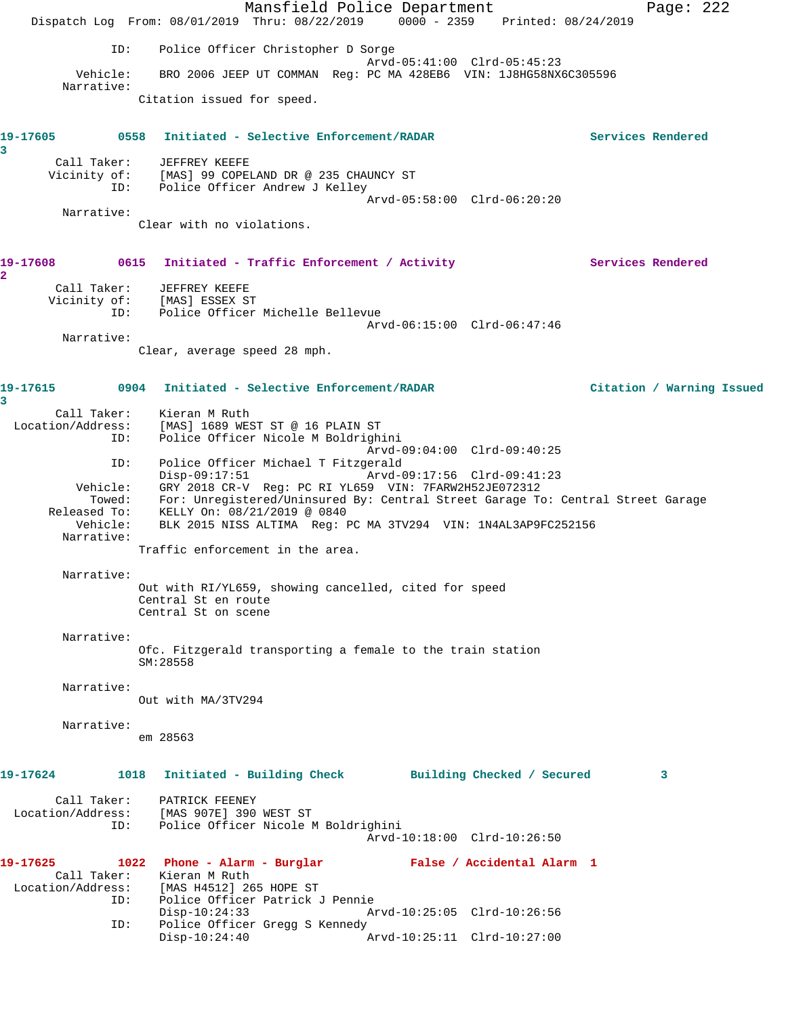Mansfield Police Department Page: 222 Dispatch Log From: 08/01/2019 Thru: 08/22/2019 0000 - 2359 Printed: 08/24/2019 ID: Police Officer Christopher D Sorge Arvd-05:41:00 Clrd-05:45:23 Vehicle: BRO 2006 JEEP UT COMMAN Reg: PC MA 428EB6 VIN: 1J8HG58NX6C305596 Narrative: Citation issued for speed. **19-17605 0558 Initiated - Selective Enforcement/RADAR Services Rendered 3**  Call Taker: JEFFREY KEEFE<br>Vicinity of: [MAS] 99 COPEI [MAS] 99 COPELAND DR @ 235 CHAUNCY ST ID: Police Officer Andrew J Kelley Arvd-05:58:00 Clrd-06:20:20 Narrative: Clear with no violations. 19-17608 0615 Initiated - Traffic Enforcement / Activity **Services Rendered 2**  Call Taker: JEFFREY KEEFE Vicinity of: [MAS] ESSEX ST ID: Police Officer Michelle Bellevue Arvd-06:15:00 Clrd-06:47:46 Narrative: Clear, average speed 28 mph. **19-17615 0904 Initiated - Selective Enforcement/RADAR Citation / Warning Issued 3**  Call Taker: Kieran M Ruth Location/Address: [MAS] 1689 WEST ST @ 16 PLAIN ST ID: Police Officer Nicole M Boldrighini Arvd-09:04:00 Clrd-09:40:25 ID: Police Officer Michael T Fitzgerald Disp-09:17:51 Arvd-09:17:56 Clrd-09:41:23 Vehicle: GRY 2018 CR-V Reg: PC RI YL659 VIN: 7FARW2H52JE072312 Towed: For: Unregistered/Uninsured By: Central Street Garage To: Central Street Garage Released To: KELLY On: 08/21/2019 @ 0840 Vehicle: BLK 2015 NISS ALTIMA Reg: PC MA 3TV294 VIN: 1N4AL3AP9FC252156 Narrative: Traffic enforcement in the area. Narrative: Out with RI/YL659, showing cancelled, cited for speed Central St en route Central St on scene Narrative: Ofc. Fitzgerald transporting a female to the train station SM:28558 Narrative: Out with MA/3TV294 Narrative: em 28563 **19-17624 1018 Initiated - Building Check Building Checked / Secured 3** Call Taker: PATRICK FEENEY Location/Address: [MAS 907E] 390 WEST ST ID: Police Officer Nicole M Boldrighini Arvd-10:18:00 Clrd-10:26:50 **19-17625 1022 Phone - Alarm - Burglar False / Accidental Alarm 1**  Call Taker: Kieran M Ruth Location/Address: [MAS H4512] 265 HOPE ST ID: Police Officer Patrick J Pennie Disp-10:24:33 Arvd-10:25:05 Clrd-10:26:56 ID: Police Officer Gregg S Kennedy<br>Disp-10:24:40 A Disp-10:24:40 Arvd-10:25:11 Clrd-10:27:00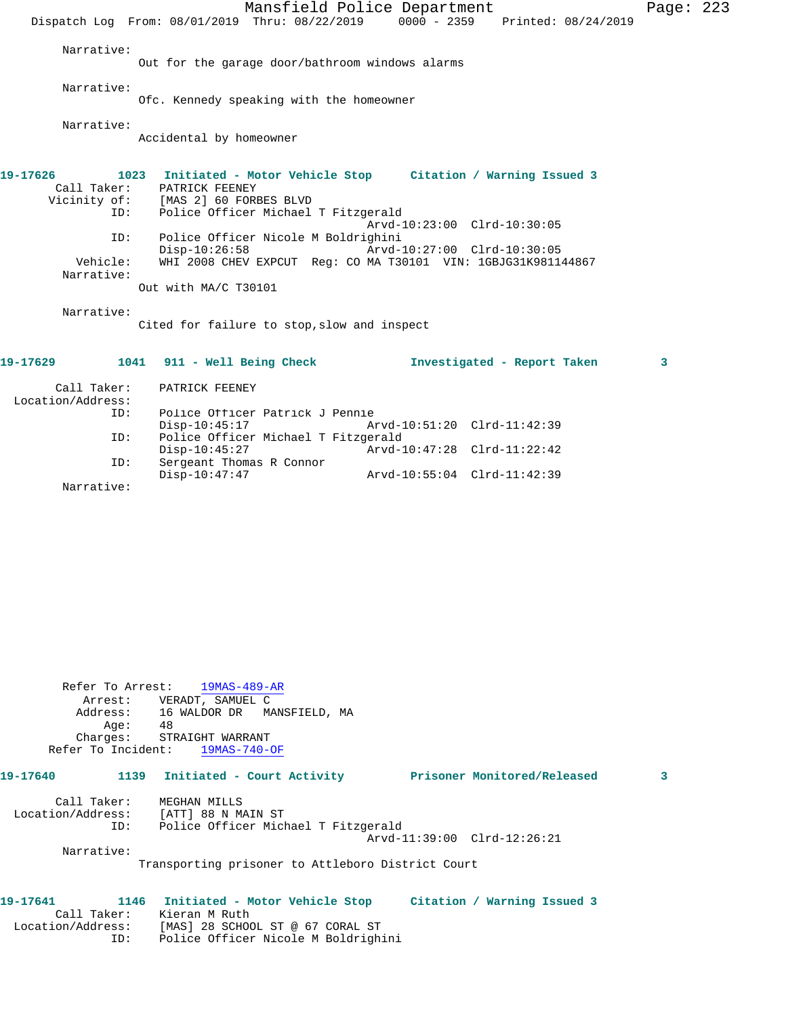Mansfield Police Department Page: 223 Dispatch Log From: 08/01/2019 Thru: 08/22/2019 0000 - 2359 Printed: 08/24/2019 Narrative: Out for the garage door/bathroom windows alarms Narrative: Ofc. Kennedy speaking with the homeowner Narrative: Accidental by homeowner **19-17626 1023 Initiated - Motor Vehicle Stop Citation / Warning Issued 3**  Call Taker: PATRICK FEENEY<br>Vicinity of: [MAS 2] 60 FORI [MAS 2] 60 FORBES BLVD ID: Police Officer Michael T Fitzgerald Arvd-10:23:00 Clrd-10:30:05 ID: Police Officer Nicole M Boldrighini Disp-10:26:58 Arvd-10:27:00 Clrd-10:30:05 Vehicle: WHI 2008 CHEV EXPCUT Reg: CO MA T30101 VIN: 1GBJG31K981144867 Narrative: Out with MA/C T30101 Narrative: Cited for failure to stop,slow and inspect **19-17629 1041 911 - Well Being Check Investigated - Report Taken 3** Call Taker: PATRICK FEENEY Location/Address: Police Officer Patrick J Pennie<br>Disp-10:45:17 A Disp-10:45:17 Arvd-10:51:20 Clrd-11:42:39<br>TD: Police Officer Michael T Fitzgerald Police Officer Michael T Fitzgerald<br>Disp-10:45:27 Arvd-1 Disp-10:45:27 Arvd-10:47:28 Clrd-11:22:42

Disp-10:47:47 Arvd-10:55:04 Clrd-11:42:39

 Refer To Arrest: 19MAS-489-AR Arrest: VERADT, SAMUEL C<br>Address: 16 WALDOR DR MA 16 WALDOR DR MANSFIELD, MA Age: 48 Charges: STRAIGHT WARRANT Refer To Incident: 19MAS-740-OF **19-17640 1139 Initiated - Court Activity Prisoner Monitored/Released 3** Call Taker: MEGHAN MILLS Location/Address: [ATT] 88 N MAIN ST<br>ID: Police Officer Mic Police Officer Michael T Fitzgerald Arvd-11:39:00 Clrd-12:26:21 Narrative: Transporting prisoner to Attleboro District Court

ID: Sergeant Thomas R Connor

Narrative:

| 19-17641          | 1146 Initiated - Motor Vehicle Stop | Citation / Warning Issued 3 |
|-------------------|-------------------------------------|-----------------------------|
| Call Taker:       | Kieran M Ruth                       |                             |
| Location/Address: | [MAS] 28 SCHOOL ST @ 67 CORAL ST    |                             |
| ID:               | Police Officer Nicole M Boldrighini |                             |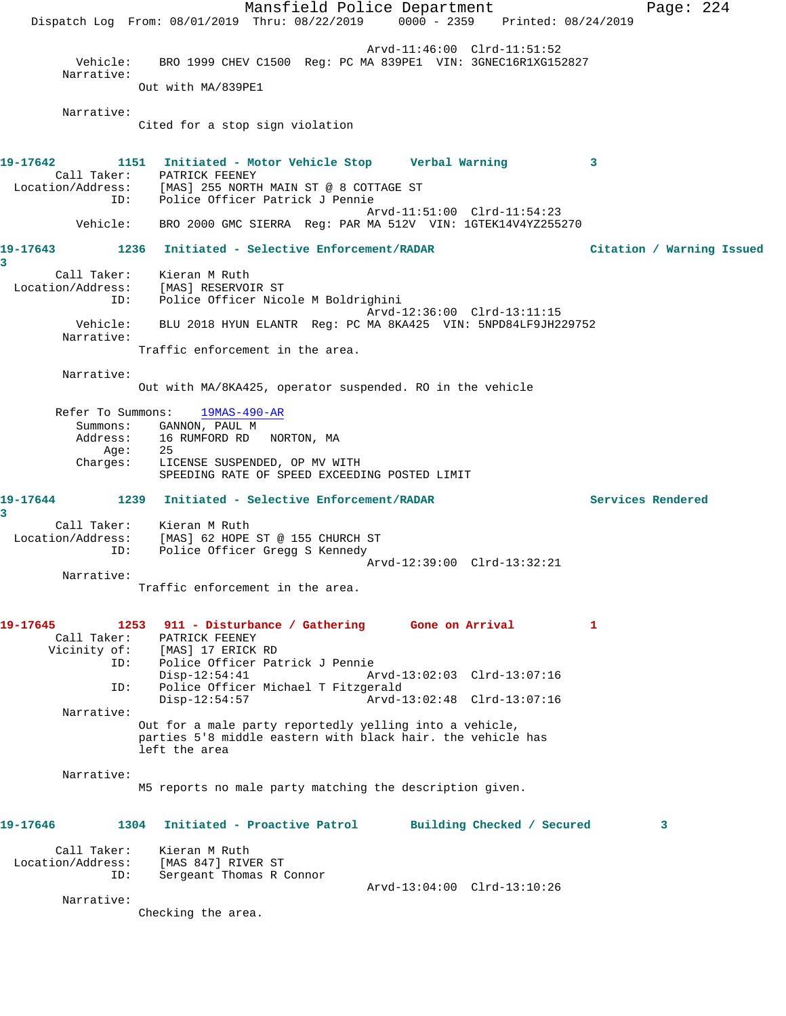Mansfield Police Department Page: 224 Dispatch Log From: 08/01/2019 Thru: 08/22/2019 0000 - 2359 Printed: 08/24/2019 Arvd-11:46:00 Clrd-11:51:52 Vehicle: BRO 1999 CHEV C1500 Reg: PC MA 839PE1 VIN: 3GNEC16R1XG152827 Narrative: Out with MA/839PE1 Narrative: Cited for a stop sign violation **19-17642 1151 Initiated - Motor Vehicle Stop Verbal Warning 3**  Call Taker:<br>Location/Address: [MAS] 255 NORTH MAIN ST @ 8 COTTAGE ST ID: Police Officer Patrick J Pennie Arvd-11:51:00 Clrd-11:54:23 Vehicle: BRO 2000 GMC SIERRA Reg: PAR MA 512V VIN: 1GTEK14V4YZ255270 **19-17643 1236 Initiated - Selective Enforcement/RADAR Citation / Warning Issued 3**  Call Taker: Kieran M Ruth Location/Address: [MAS] RESERVOIR ST ID: Police Officer Nicole M Boldrighini Arvd-12:36:00 Clrd-13:11:15<br>Vehicle: BLU 2018 HYUN ELANTR Req: PC MA 8KA425 VIN: 5NPD84LF9JH2 BLU 2018 HYUN ELANTR Reg: PC MA 8KA425 VIN: 5NPD84LF9JH229752 Narrative: Traffic enforcement in the area. Narrative: Out with MA/8KA425, operator suspended. RO in the vehicle Refer To Summons: 19MAS-490-AR Summons: GANNON, PAUL M Address: 16 RUMFORD RD NORTON, MA Age: 25 Charges: LICENSE SUSPENDED, OP MV WITH SPEEDING RATE OF SPEED EXCEEDING POSTED LIMIT **19-17644 1239 Initiated - Selective Enforcement/RADAR Services Rendered 3**  Call Taker: Kieran M Ruth Location/Address: [MAS] 62 HOPE ST @ 155 CHURCH ST ID: Police Officer Gregg S Kennedy Arvd-12:39:00 Clrd-13:32:21 Narrative: Traffic enforcement in the area. **19-17645 1253 911 - Disturbance / Gathering Gone on Arrival 1**  Call Taker: PATRICK FEENEY<br>Vicinity of: [MAS] 17 ERICK of: [MAS] 17 ERICK RD<br>ID: Police Officer Pat Police Officer Patrick J Pennie Disp-12:54:41 Arvd-13:02:03 Clrd-13:07:16 ID: Police Officer Michael T Fitzgerald Arvd-13:02:48 Clrd-13:07:16 Narrative: Out for a male party reportedly yelling into a vehicle, parties 5'8 middle eastern with black hair. the vehicle has left the area Narrative: M5 reports no male party matching the description given. **19-17646 1304 Initiated - Proactive Patrol Building Checked / Secured 3** Call Taker: Kieran M Ruth Location/Address: [MAS 847] RIVER ST ID: Sergeant Thomas R Connor Arvd-13:04:00 Clrd-13:10:26 Narrative: Checking the area.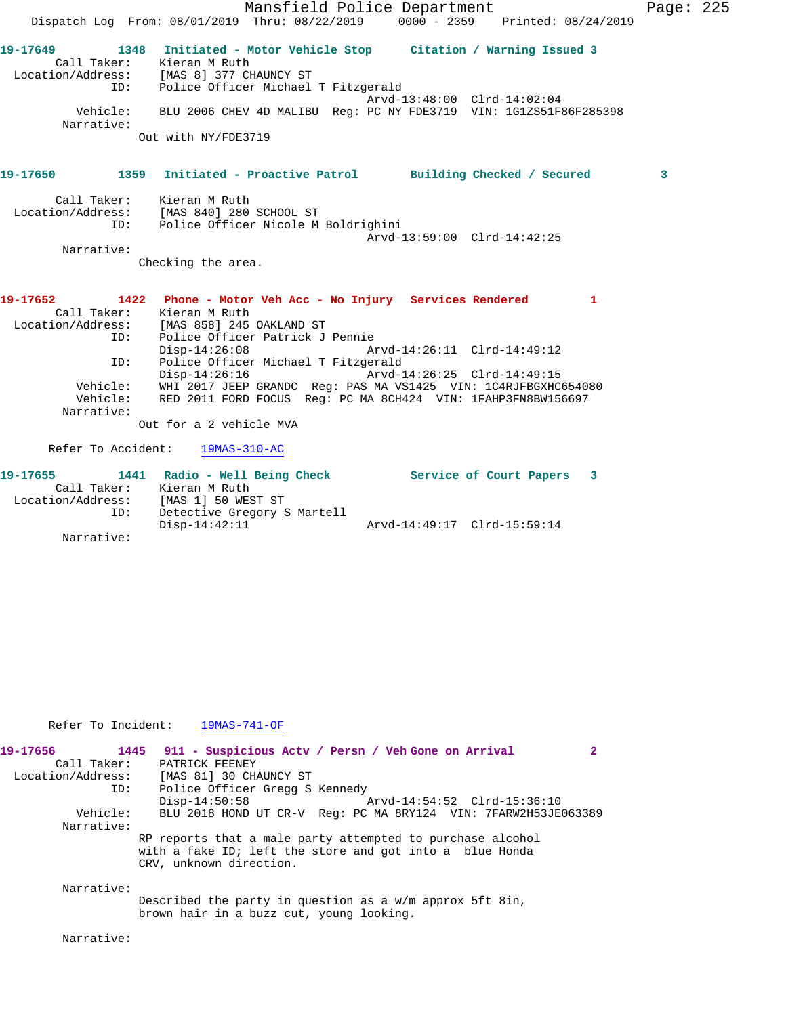|                               | Mansfield Police Department                                                                                                                                                                                                      | Page: 225 |  |
|-------------------------------|----------------------------------------------------------------------------------------------------------------------------------------------------------------------------------------------------------------------------------|-----------|--|
|                               | Dispatch Log From: 08/01/2019 Thru: 08/22/2019 0000 - 2359 Printed: 08/24/2019                                                                                                                                                   |           |  |
| ID:                           | 19-17649 1348 Initiated - Motor Vehicle Stop Citation / Warning Issued 3<br>Call Taker: Kieran M Ruth<br>Location/Address: [MAS 8] 377 CHAUNCY ST<br>Police Officer Michael T Fitzgerald                                         |           |  |
| Vehicle:<br>Narrative:        | Arvd-13:48:00 Clrd-14:02:04<br>BLU 2006 CHEV 4D MALIBU Reg: PC NY FDE3719 VIN: 1G1ZS51F86F285398                                                                                                                                 |           |  |
|                               | Out with NY/FDE3719                                                                                                                                                                                                              |           |  |
| 19-17650 2001                 | 1359 Initiated - Proactive Patrol Building Checked / Secured                                                                                                                                                                     | 3         |  |
| ID:                           | Call Taker: Kieran M Ruth<br>Location/Address: [MAS 840] 280 SCHOOL ST<br>Police Officer Nicole M Boldrighini<br>Arvd-13:59:00 Clrd-14:42:25                                                                                     |           |  |
| Narrative:                    |                                                                                                                                                                                                                                  |           |  |
|                               | Checking the area.                                                                                                                                                                                                               |           |  |
| 19-17652<br>ID:               | 1422 Phone - Motor Veh Acc - No Injury Services Rendered 1<br>Call Taker: Kieran M Ruth<br>Location/Address: [MAS 858] 245 OAKLAND ST<br>Police Officer Patrick J Pennie<br>$Disp-14:26:08$<br>Arvd-14:26:11 Clrd-14:49:12       |           |  |
| ID:<br>Vehicle:<br>Narrative: | Police Officer Michael T Fitzgerald<br>$Disp-14:26:16$<br>Arvd-14:26:25 Clrd-14:49:15<br>Vehicle: WHI 2017 JEEP GRANDC Req: PAS MA VS1425 VIN: 1C4RJFBGXHC654080<br>RED 2011 FORD FOCUS Reg: PC MA 8CH424 VIN: 1FAHP3FN8BW156697 |           |  |
|                               | Out for a 2 vehicle MVA                                                                                                                                                                                                          |           |  |
|                               | Refer To Accident: 19MAS-310-AC                                                                                                                                                                                                  |           |  |
| 19-17655<br>ID:               | 1441 Radio - Well Being Check Service of Court Papers 3<br>Call Taker: Kieran M Ruth<br>Location/Address: [MAS 1] 50 WEST ST<br>TD: Detective Gregory !<br>Detective Gregory S Martell                                           |           |  |
| Narrative:                    | $Disp-14:42:11$<br>Arvd-14:49:17 Clrd-15:59:14                                                                                                                                                                                   |           |  |

Refer To Incident: 19MAS-741-OF

| 19-17656          | 1445     | 911 - Suspicious Acty / Persn / Veh Gone on Arrival                                                                                               |  |
|-------------------|----------|---------------------------------------------------------------------------------------------------------------------------------------------------|--|
| Call Taker:       |          | PATRICK FEENEY                                                                                                                                    |  |
| Location/Address: |          | [MAS 81] 30 CHAUNCY ST                                                                                                                            |  |
|                   | ID:      | Police Officer Gregg S Kennedy                                                                                                                    |  |
|                   |          | $Disp-14:50:58$<br>Arvd-14:54:52 Clrd-15:36:10                                                                                                    |  |
|                   | Vehicle: | BLU 2018 HOND UT CR-V Req: PC MA 8RY124 VIN: 7FARW2H53JE063389                                                                                    |  |
| Narrative:        |          |                                                                                                                                                   |  |
|                   |          | RP reports that a male party attempted to purchase alcohol<br>with a fake ID; left the store and got into a blue Honda<br>CRV, unknown direction. |  |
| Narrative:        |          |                                                                                                                                                   |  |
|                   |          | Described the party in question as a $w/m$ approx 5ft 8in,<br>brown hair in a buzz cut, young looking.                                            |  |

Narrative: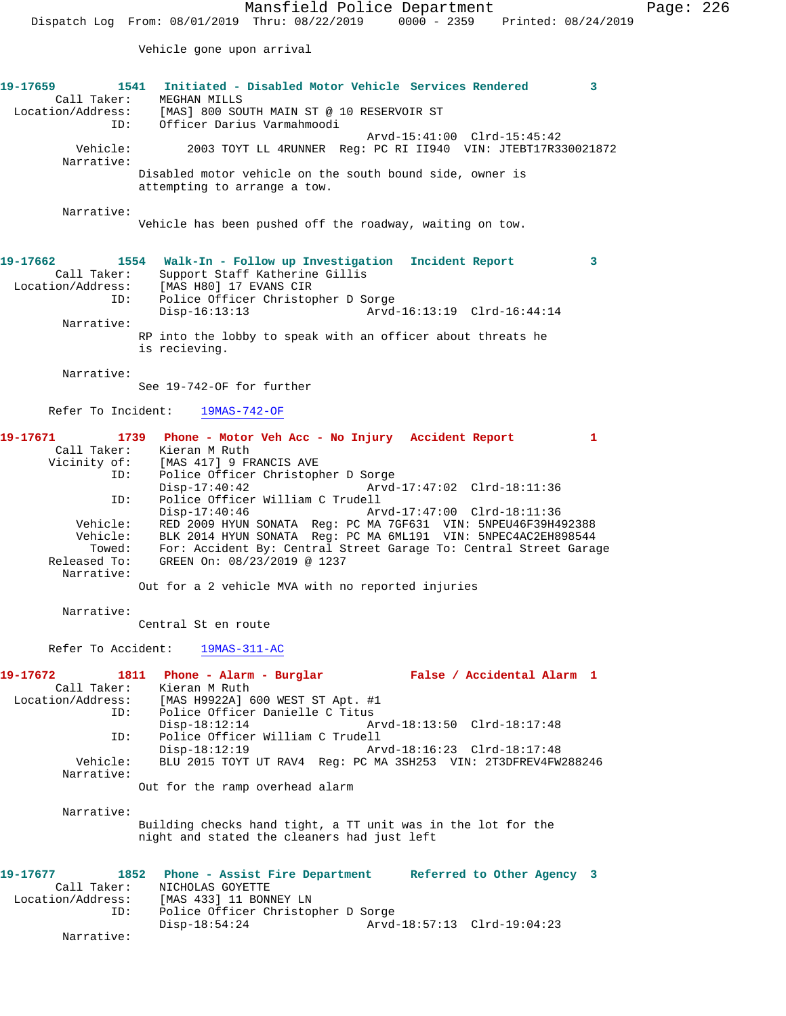Vehicle gone upon arrival

## **19-17659 1541 Initiated - Disabled Motor Vehicle Services Rendered 3**  Call Taker: MEGHAN MILLS Location/Address: [MAS] 800 SOUTH MAIN ST @ 10 RESERVOIR ST ID: Officer Darius Varmahmoodi Arvd-15:41:00 Clrd-15:42<br>Vehicle: 2003 TOYT LL 4RUNNER Reg: PC RI II940 VIN: JTEBT17R3 Vehicle: 2003 TOYT LL 4RUNNER Reg: PC RI II940 VIN: JTEBT17R330021872 Narrative: Disabled motor vehicle on the south bound side, owner is attempting to arrange a tow. Narrative: Vehicle has been pushed off the roadway, waiting on tow. **19-17662 1554 Walk-In - Follow up Investigation Incident Report 3**  Call Taker: Support Staff Katherine Gillis Location/Address: [MAS H80] 17 EVANS CIR ID: Police Officer Christopher D Sorge Disp-16:13:13 Arvd-16:13:19 Clrd-16:44:14 Narrative: RP into the lobby to speak with an officer about threats he is recieving. Narrative: See 19-742-OF for further Refer To Incident: 19MAS-742-OF **19-17671 1739 Phone - Motor Veh Acc - No Injury Accident Report 1**  Call Taker: Kieran M Ruth<br>Vicinity of: [MAS 417] 9 FI [MAS 417] 9 FRANCIS AVE ID: Police Officer Christopher D Sorge Disp-17:40:42 Arvd-17:47:02 Clrd-18:11:36 ID: Police Officer William C Trudell Disp-17:40:46 Arvd-17:47:00 Clrd-18:11:36 Vehicle: RED 2009 HYUN SONATA Reg: PC MA 7GF631 VIN: 5NPEU46F39H492388 Vehicle: BLK 2014 HYUN SONATA Reg: PC MA 6ML191 VIN: 5NPEC4AC2EH898544

 Towed: For: Accident By: Central Street Garage To: Central Street Garage Released To: GREEN On: 08/23/2019 @ 1237 Narrative:

Out for a 2 vehicle MVA with no reported injuries

Narrative:

Central St en route

Refer To Accident: 19MAS-311-AC

**19-17672 1811 Phone - Alarm - Burglar False / Accidental Alarm 1**  Call Taker: Kieran M Ruth<br>Location/Address: [MAS H9922A] 6 ess: [MAS H9922A] 600 WEST ST Apt. #1<br>ID: Police Officer Danielle C Titus Police Officer Danielle C Titus<br>Disp-18:12:14 Am Disp-18:12:14 Arvd-18:13:50 Clrd-18:17:48 ID: Police Officer William C Trudell Disp-18:12:19 Arvd-18:16:23 Clrd-18:17:48<br>Vehicle: BLU 2015 TOYT UT RAV4 Reg: PC MA 3SH253 VIN: 2T3DFREV4FW BLU 2015 TOYT UT RAV4 Reg: PC MA 3SH253 VIN: 2T3DFREV4FW288246 Narrative: Out for the ramp overhead alarm

Narrative:

Building checks hand tight, a TT unit was in the lot for the night and stated the cleaners had just left

**19-17677 1852 Phone - Assist Fire Department Referred to Other Agency 3**  Call Taker: NICHOLAS GOYETTE Location/Address: [MAS 433] 11 BONNEY LN ID: Police Officer Christopher D Sorge Disp-18:54:24 Arvd-18:57:13 Clrd-19:04:23 Narrative: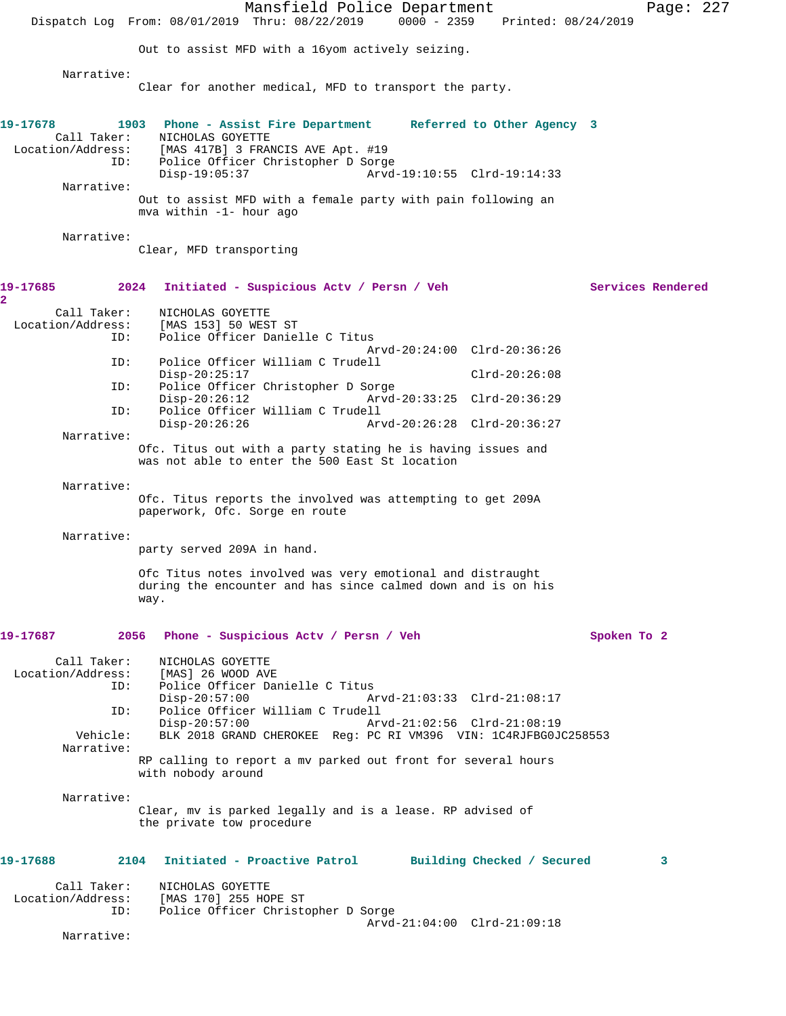|                                                | Dispatch Log From: 08/01/2019 Thru: 08/22/2019 0000 - 2359                                                                                | Mansfield Police Department                                         |                             | Printed: 08/24/2019        |                   | Page: 227 |  |
|------------------------------------------------|-------------------------------------------------------------------------------------------------------------------------------------------|---------------------------------------------------------------------|-----------------------------|----------------------------|-------------------|-----------|--|
|                                                | Out to assist MFD with a 16yom actively seizing.                                                                                          |                                                                     |                             |                            |                   |           |  |
|                                                |                                                                                                                                           |                                                                     |                             |                            |                   |           |  |
| Narrative:                                     | Clear for another medical, MFD to transport the party.                                                                                    |                                                                     |                             |                            |                   |           |  |
| 19-17678<br>Call Taker:<br>ID:                 | 1903 Phone - Assist Fire Department Referred to Other Agency 3<br>NICHOLAS GOYETTE<br>Location/Address: [MAS 417B] 3 FRANCIS AVE Apt. #19 | Police Officer Christopher D Sorge                                  |                             |                            |                   |           |  |
| Narrative:                                     | $Disp-19:05:37$                                                                                                                           |                                                                     | Arvd-19:10:55 Clrd-19:14:33 |                            |                   |           |  |
|                                                | Out to assist MFD with a female party with pain following an<br>mva within -1- hour ago                                                   |                                                                     |                             |                            |                   |           |  |
| Narrative:                                     |                                                                                                                                           |                                                                     |                             |                            |                   |           |  |
|                                                | Clear, MFD transporting                                                                                                                   |                                                                     |                             |                            |                   |           |  |
| 19-17685<br>2                                  | 2024                                                                                                                                      | Initiated - Suspicious Actv / Persn / Veh                           |                             |                            | Services Rendered |           |  |
| Call Taker:                                    | NICHOLAS GOYETTE                                                                                                                          |                                                                     |                             |                            |                   |           |  |
| Location/Address:<br>ID:                       | [MAS 153] 50 WEST ST                                                                                                                      | Police Officer Danielle C Titus                                     |                             |                            |                   |           |  |
| ID:                                            |                                                                                                                                           | Police Officer William C Trudell                                    | Arvd-20:24:00 Clrd-20:36:26 |                            |                   |           |  |
|                                                | $Disp-20:25:17$                                                                                                                           |                                                                     |                             | $Clrd-20:26:08$            |                   |           |  |
| ID:                                            | $Disp-20:26:12$                                                                                                                           | Police Officer Christopher D Sorge                                  | Arvd-20:33:25 Clrd-20:36:29 |                            |                   |           |  |
| ID:                                            | $Disp-20:26:26$                                                                                                                           | Police Officer William C Trudell                                    | Arvd-20:26:28 Clrd-20:36:27 |                            |                   |           |  |
| Narrative:                                     | Ofc. Titus out with a party stating he is having issues and                                                                               |                                                                     |                             |                            |                   |           |  |
|                                                | was not able to enter the 500 East St location                                                                                            |                                                                     |                             |                            |                   |           |  |
| Narrative:                                     | Ofc. Titus reports the involved was attempting to get 209A<br>paperwork, Ofc. Sorge en route                                              |                                                                     |                             |                            |                   |           |  |
| Narrative:                                     | party served 209A in hand.                                                                                                                |                                                                     |                             |                            |                   |           |  |
|                                                | Ofc Titus notes involved was very emotional and distraught<br>during the encounter and has since calmed down and is on his<br>way.        |                                                                     |                             |                            |                   |           |  |
| 19-17687                                       | 2056                                                                                                                                      | Phone - Suspicious Actv / Persn / Veh                               |                             |                            | Spoken To 2       |           |  |
| Call Taker:<br>Location/Address:<br>ID:<br>ID: | NICHOLAS GOYETTE<br>[MAS] 26 WOOD AVE<br>$Disp-20:57:00$                                                                                  | Police Officer Danielle C Titus<br>Police Officer William C Trudell | Arvd-21:03:33 Clrd-21:08:17 |                            |                   |           |  |
| Vehicle:<br>Narrative:                         | Disp-20:57:00                                                                                                                             | BLK 2018 GRAND CHEROKEE Reg: PC RI VM396 VIN: 1C4RJFBG0JC258553     | Arvd-21:02:56 Clrd-21:08:19 |                            |                   |           |  |
|                                                | RP calling to report a mv parked out front for several hours<br>with nobody around                                                        |                                                                     |                             |                            |                   |           |  |
| Narrative:                                     | Clear, mv is parked legally and is a lease. RP advised of<br>the private tow procedure                                                    |                                                                     |                             |                            |                   |           |  |
| 19-17688                                       | 2104                                                                                                                                      | Initiated - Proactive Patrol                                        |                             | Building Checked / Secured |                   | 3         |  |
| Call Taker:<br>Location/Address:<br>ID:        | NICHOLAS GOYETTE<br>[MAS 170] 255 HOPE ST                                                                                                 | Police Officer Christopher D Sorge                                  |                             |                            |                   |           |  |
| Narrative:                                     |                                                                                                                                           |                                                                     | Arvd-21:04:00 Clrd-21:09:18 |                            |                   |           |  |
|                                                |                                                                                                                                           |                                                                     |                             |                            |                   |           |  |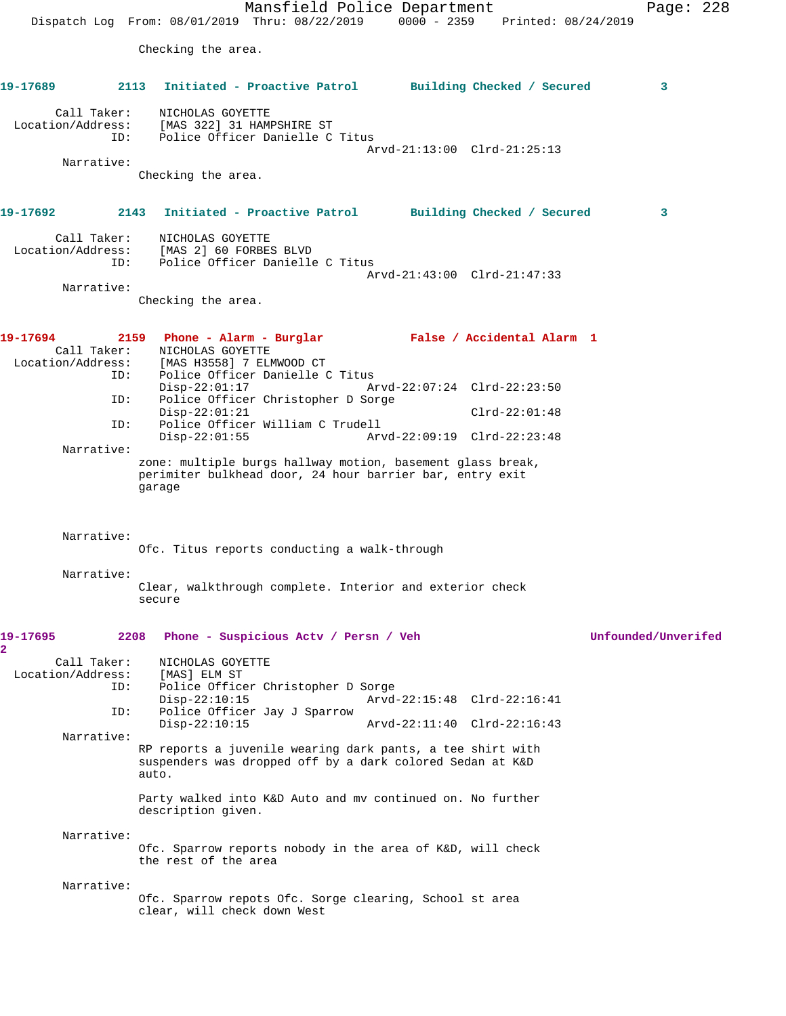Mansfield Police Department Page: 228 Dispatch Log From: 08/01/2019 Thru: 08/22/2019 0000 - 2359 Printed: 08/24/2019 Checking the area. **19-17689 2113 Initiated - Proactive Patrol Building Checked / Secured 3** Call Taker: NICHOLAS GOYETTE Location/Address: [MAS 322] 31 HAMPSHIRE ST ID: Police Officer Danielle C Titus Arvd-21:13:00 Clrd-21:25:13 Narrative: Checking the area. **19-17692 2143 Initiated - Proactive Patrol Building Checked / Secured 3** Call Taker: NICHOLAS GOYETTE Location/Address: [MAS 2] 60 FORBES BLVD ID: Police Officer Danielle C Titus Arvd-21:43:00 Clrd-21:47:33 Narrative: Checking the area. **19-17694 2159 Phone - Alarm - Burglar False / Accidental Alarm 1**  Call Taker: NICHOLAS GOYETTE Location/Address: [MAS H3558] 7 ELMWOOD CT ID: Police Officer Danielle C Titus Disp-22:01:17 Arvd-22:07:24 Clrd-22:23:50<br>ID: Police Officer Christopher D Sorge Police Officer Christopher D Sorge Disp-22:01:21 Clrd-22:01:48 ID: Police Officer William C Trudell Arvd-22:09:19 Clrd-22:23:48 Narrative: zone: multiple burgs hallway motion, basement glass break, perimiter bulkhead door, 24 hour barrier bar, entry exit garage Narrative: Ofc. Titus reports conducting a walk-through Narrative: Clear, walkthrough complete. Interior and exterior check secure **19-17695 2208 Phone - Suspicious Actv / Persn / Veh Unfounded/Unverifed 2**  Call Taker: NICHOLAS GOYETTE<br>.on/Address: [MAS] ELM ST Location/Address: ID: Police Officer Christopher D Sorge Disp-22:10:15 Arvd-22:15:48 Clrd-22:16:41 ID: Police Officer Jay J Sparrow Disp-22:10:15 Arvd-22:11:40 Clrd-22:16:43 Narrative: RP reports a juvenile wearing dark pants, a tee shirt with suspenders was dropped off by a dark colored Sedan at K&D auto. Party walked into K&D Auto and mv continued on. No further description given. Narrative: Ofc. Sparrow reports nobody in the area of K&D, will check the rest of the area Narrative: Ofc. Sparrow repots Ofc. Sorge clearing, School st area clear, will check down West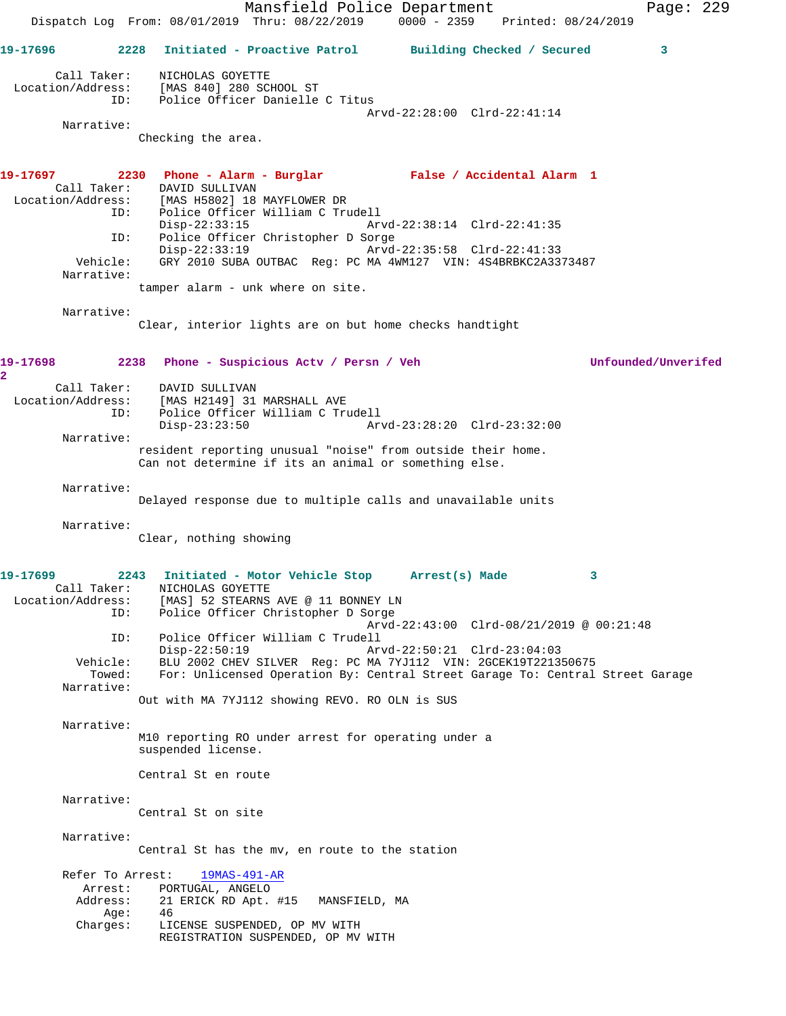Mansfield Police Department Page: 229 Dispatch Log From: 08/01/2019 Thru: 08/22/2019 0000 - 2359 Printed: 08/24/2019 **19-17696 2228 Initiated - Proactive Patrol Building Checked / Secured 3** Call Taker: NICHOLAS GOYETTE Location/Address: [MAS 840] 280 SCHOOL ST ID: Police Officer Danielle C Titus Arvd-22:28:00 Clrd-22:41:14 Narrative: Checking the area. **19-17697 2230 Phone - Alarm - Burglar False / Accidental Alarm 1**  Call Taker: DAVID SULLIVAN Location/Address: [MAS H5802] 18 MAYFLOWER DR ID: Police Officer William C Trudell Disp-22:33:15 Arvd-22:38:14 Clrd-22:41:35 ID: Police Officer Christopher D Sorge Disp-22:33:19 Arvd-22:35:58 Clrd-22:41:33 Vehicle: GRY 2010 SUBA OUTBAC Reg: PC MA 4WM127 VIN: 4S4BRBKC2A3373487 Narrative: tamper alarm - unk where on site. Narrative: Clear, interior lights are on but home checks handtight **19-17698 2238 Phone - Suspicious Actv / Persn / Veh Unfounded/Unverifed 2**  Call Taker: DAVID SULLIVAN<br>Location/Address: [MAS H2149] 31 [MAS H2149] 31 MARSHALL AVE ID: Police Officer William C Trudell Disp-23:23:50 Arvd-23:28:20 Clrd-23:32:00 Narrative: resident reporting unusual "noise" from outside their home. Can not determine if its an animal or something else. Narrative: Delayed response due to multiple calls and unavailable units Narrative: Clear, nothing showing **19-17699 2243 Initiated - Motor Vehicle Stop Arrest(s) Made 3**  Call Taker: NICHOLAS GOYETTE Location/Address: [MAS] 52 STEARNS AVE @ 11 BONNEY LN ID: Police Officer Christopher D Sorge Arvd-22:43:00 Clrd-08/21/2019 @ 00:21:48 ID: Police Officer William C Trudell Disp-22:50:19 Arvd-22:50:21 Clrd-23:04:03 Vehicle: BLU 2002 CHEV SILVER Reg: PC MA 7YJ112 VIN: 2GCEK19T221350675 Towed: For: Unlicensed Operation By: Central Street Garage To: Central Street Garage Narrative: Out with MA 7YJ112 showing REVO. RO OLN is SUS Narrative: M10 reporting RO under arrest for operating under a suspended license. Central St en route Narrative: Central St on site Narrative: Central St has the mv, en route to the station Refer To Arrest: 19MAS-491-AR Arrest: PORTUGAL, ANGELO<br>Address: 21 ERICK RD Apt. 21 ERICK RD Apt. #15 MANSFIELD, MA Age: 46 Charges: LICENSE SUSPENDED, OP MV WITH REGISTRATION SUSPENDED, OP MV WITH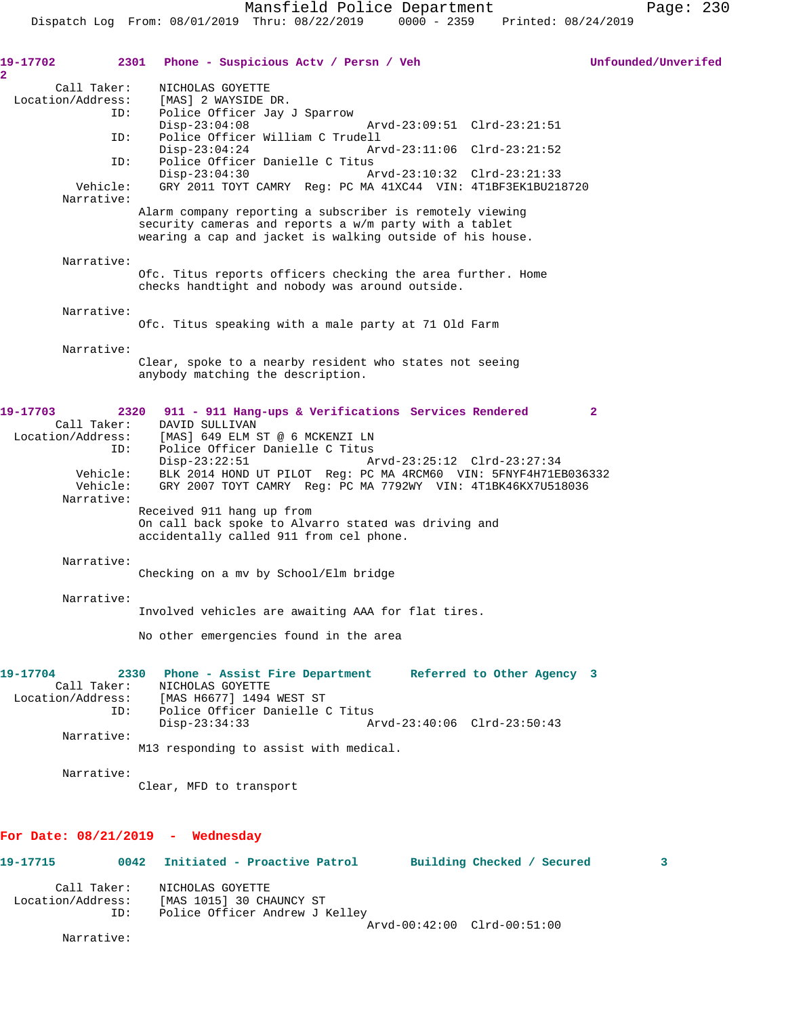| 19-17702                           | 2301 Phone - Suspicious Acty / Persn / Veh                                                                                                                                      | Unfounded/Unverifed |
|------------------------------------|---------------------------------------------------------------------------------------------------------------------------------------------------------------------------------|---------------------|
| $\overline{2}$<br>Call Taker:      | NICHOLAS GOYETTE                                                                                                                                                                |                     |
| Location/Address:<br>ID:           | [MAS] 2 WAYSIDE DR.<br>Police Officer Jay J Sparrow                                                                                                                             |                     |
|                                    | $Disp-23:04:08$<br>Arvd-23:09:51 Clrd-23:21:51                                                                                                                                  |                     |
| ID:                                | Police Officer William C Trudell<br>$Disp-23:04:24$<br>Arvd-23:11:06 Clrd-23:21:52                                                                                              |                     |
| ID:                                | Police Officer Danielle C Titus                                                                                                                                                 |                     |
| Vehicle:<br>Narrative:             | $Disp-23:04:30$<br>Arvd-23:10:32 Clrd-23:21:33<br>GRY 2011 TOYT CAMRY Req: PC MA 41XC44 VIN: 4T1BF3EK1BU218720                                                                  |                     |
|                                    | Alarm company reporting a subscriber is remotely viewing<br>security cameras and reports a w/m party with a tablet<br>wearing a cap and jacket is walking outside of his house. |                     |
| Narrative:                         |                                                                                                                                                                                 |                     |
|                                    | Ofc. Titus reports officers checking the area further. Home<br>checks handtight and nobody was around outside.                                                                  |                     |
| Narrative:                         |                                                                                                                                                                                 |                     |
|                                    | Ofc. Titus speaking with a male party at 71 Old Farm                                                                                                                            |                     |
| Narrative:                         | Clear, spoke to a nearby resident who states not seeing<br>anybody matching the description.                                                                                    |                     |
|                                    |                                                                                                                                                                                 |                     |
| 19-17703<br>Call Taker:            | 2320<br>911 - 911 Hang-ups & Verifications Services Rendered<br>DAVID SULLIVAN                                                                                                  | $\mathbf{2}$        |
| Location/Address:                  | [MAS] 649 ELM ST @ 6 MCKENZI LN                                                                                                                                                 |                     |
| ID:                                | Police Officer Danielle C Titus<br>$Disp-23:22:51$<br>Arvd-23:25:12 Clrd-23:27:34                                                                                               |                     |
| Vehicle:<br>Vehicle:<br>Narrative: | BLK 2014 HOND UT PILOT Req: PC MA 4RCM60 VIN: 5FNYF4H71EB036332<br>GRY 2007 TOYT CAMRY Reg: PC MA 7792WY VIN: 4T1BK46KX7U518036                                                 |                     |
|                                    | Received 911 hang up from<br>On call back spoke to Alvarro stated was driving and<br>accidentally called 911 from cel phone.                                                    |                     |
| Narrative:                         |                                                                                                                                                                                 |                     |
|                                    | Checking on a mv by School/Elm bridge                                                                                                                                           |                     |
| Narrative:                         |                                                                                                                                                                                 |                     |
|                                    | Involved vehicles are awaiting AAA for flat tires.                                                                                                                              |                     |
|                                    | No other emergencies found in the area                                                                                                                                          |                     |
| 19-17704                           | 2330 Phone - Assist Fire Department Referred to Other Agency 3<br>Call Taker: NICHOLAS GOYETTE                                                                                  |                     |
|                                    | Location/Address: [MAS H6677] 1494 WEST ST                                                                                                                                      |                     |
| ID:                                | Police Officer Danielle C Titus<br>$Disp-23:34:33$<br>Arvd-23:40:06 Clrd-23:50:43                                                                                               |                     |
| Narrative:                         |                                                                                                                                                                                 |                     |
|                                    | M13 responding to assist with medical.                                                                                                                                          |                     |
| Narrative:                         | Clear, MFD to transport                                                                                                                                                         |                     |
|                                    |                                                                                                                                                                                 |                     |
|                                    |                                                                                                                                                                                 |                     |
| For Date: $08/21/2019$ - Wednesday |                                                                                                                                                                                 |                     |

| 19-17715          | 0042        | Initiated - Proactive Patrol   |                             | Building Checked / Secured |  |
|-------------------|-------------|--------------------------------|-----------------------------|----------------------------|--|
|                   | Call Taker: | NICHOLAS GOYETTE               |                             |                            |  |
| Location/Address: |             | [MAS 1015] 30 CHAUNCY ST       |                             |                            |  |
|                   | ID:         | Police Officer Andrew J Kelley |                             |                            |  |
|                   |             |                                | Arvd-00:42:00 Clrd-00:51:00 |                            |  |

Narrative: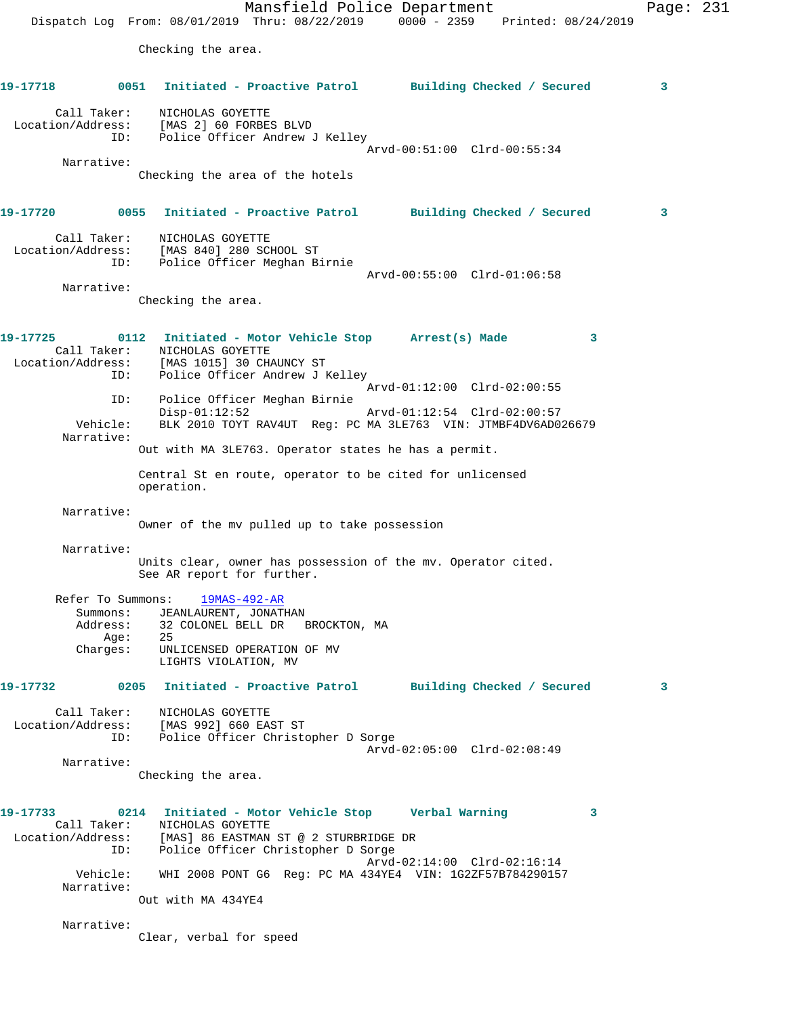Mansfield Police Department Page: 231 Dispatch Log From: 08/01/2019 Thru: 08/22/2019 0000 - 2359 Printed: 08/24/2019 Checking the area. **19-17718 0051 Initiated - Proactive Patrol Building Checked / Secured 3** Call Taker: NICHOLAS GOYETTE Location/Address: [MAS 2] 60 FORBES BLVD ID: Police Officer Andrew J Kelley Arvd-00:51:00 Clrd-00:55:34 Narrative: Checking the area of the hotels **19-17720 0055 Initiated - Proactive Patrol Building Checked / Secured 3** Call Taker: NICHOLAS GOYETTE Location/Address: [MAS 840] 280 SCHOOL ST ID: Police Officer Meghan Birnie Arvd-00:55:00 Clrd-01:06:58 Narrative: Checking the area. **19-17725 0112 Initiated - Motor Vehicle Stop Arrest(s) Made 3**  Call Taker: NICHOLAS GOYETTE Location/Address: [MAS 1015] 30 CHAUNCY ST ID: Police Officer Andrew J Kelley Arvd-01:12:00 Clrd-02:00:55 ID: Police Officer Meghan Birnie Disp-01:12:52 Arvd-01:12:54 Clrd-02:00:57 Vehicle: BLK 2010 TOYT RAV4UT Reg: PC MA 3LE763 VIN: JTMBF4DV6AD026679 Narrative: Out with MA 3LE763. Operator states he has a permit. Central St en route, operator to be cited for unlicensed operation. Narrative: Owner of the mv pulled up to take possession Narrative: Units clear, owner has possession of the mv. Operator cited. See AR report for further. Refer To Summons: 19MAS-492-AR Summons: JEANLAURENT, JONATHAN Address: 32 COLONEL BELL DR BROCKTON, MA Age:<br>Charges: UNLICENSED OPERATION OF MV LIGHTS VIOLATION, MV **19-17732 0205 Initiated - Proactive Patrol Building Checked / Secured 3** Call Taker: NICHOLAS GOYETTE Location/Address: [MAS 992] 660 EAST ST ID: Police Officer Christopher D Sorge Arvd-02:05:00 Clrd-02:08:49 Narrative: Checking the area. **19-17733 0214 Initiated - Motor Vehicle Stop Verbal Warning 3**  Call Taker: NICHOLAS GOYETTE Location/Address: [MAS] 86 EASTMAN ST @ 2 STURBRIDGE DR ID: Police Officer Christopher D Sorge Arvd-02:14:00 Clrd-02:16:14 Vehicle: WHI 2008 PONT G6 Reg: PC MA 434YE4 VIN: 1G2ZF57B784290157 Narrative: Out with MA 434YE4 Narrative:

Clear, verbal for speed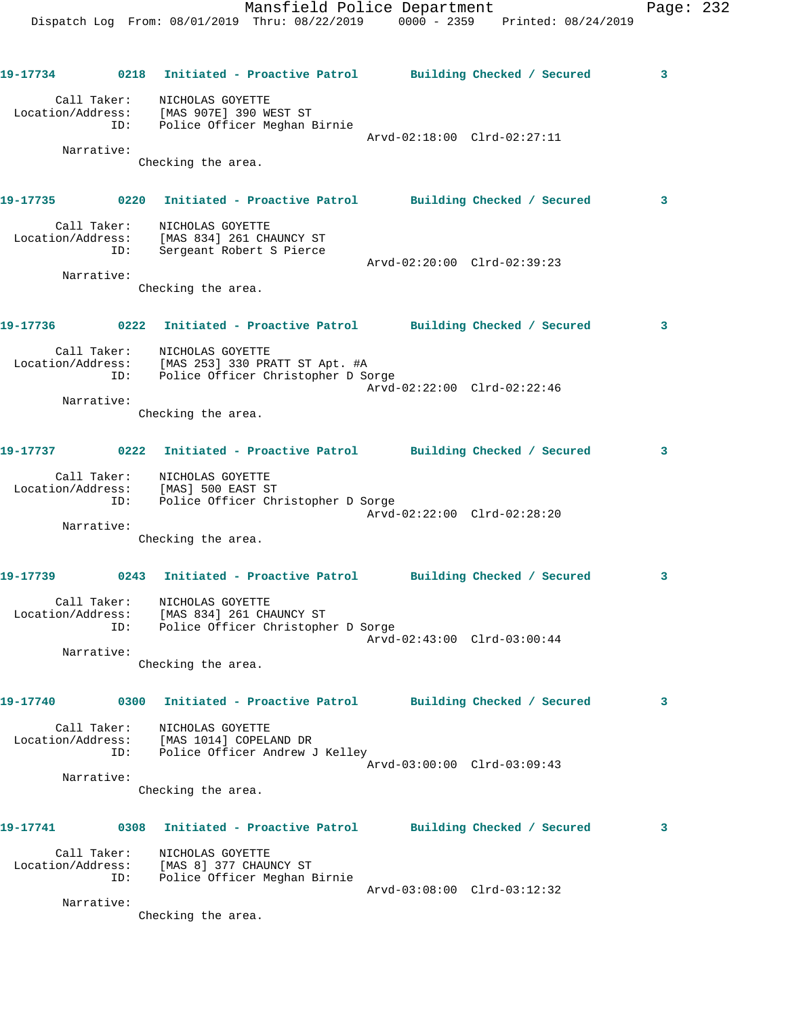| 19-17734    |      | 0218 Initiated - Proactive Patrol Building Checked / Secured                                                                          |                             | 3            |
|-------------|------|---------------------------------------------------------------------------------------------------------------------------------------|-----------------------------|--------------|
| Call Taker: |      | NICHOLAS GOYETTE<br>Location/Address: [MAS 907E] 390 WEST ST<br>ID: Police Officer Meghan Birnie                                      | Arvd-02:18:00 Clrd-02:27:11 |              |
| Narrative:  |      | Checking the area.                                                                                                                    |                             |              |
|             |      | 19-17735 0220 Initiated - Proactive Patrol Building Checked / Secured                                                                 |                             | $\mathbf{3}$ |
|             |      | Call Taker: NICHOLAS GOYETTE<br>Location/Address: [MAS 834] 261 CHAUNCY ST<br>ID: Sergeant Robert S Pierce                            | Arvd-02:20:00 Clrd-02:39:23 |              |
| Narrative:  |      | Checking the area.                                                                                                                    |                             |              |
|             |      | 19-17736 0222 Initiated - Proactive Patrol Building Checked / Secured                                                                 |                             | 3            |
| Call Taker: |      | NICHOLAS GOYETTE<br>Location/Address: [MAS 253] 330 PRATT ST Apt. #A<br>ID: Police Officer Christopher D Sorge                        |                             |              |
| Narrative:  |      | Checking the area.                                                                                                                    | Arvd-02:22:00 Clrd-02:22:46 |              |
|             |      | 19-17737 		 0222 Initiated - Proactive Patrol 		 Building Checked / Secured                                                           |                             | 3            |
|             | ID:  | Call Taker: NICHOLAS GOYETTE<br>Location/Address: [MAS] 500 EAST ST<br>Police Officer Christopher D Sorge                             |                             |              |
| Narrative:  |      | Checking the area.                                                                                                                    | Arvd-02:22:00 Clrd-02:28:20 |              |
| 19-17739    |      | 0243 Initiated - Proactive Patrol Building Checked / Secured                                                                          |                             | 3            |
| Call Taker: |      | NICHOLAS GOYETTE<br>Location/Address: [MAS 834] 261 CHAUNCY ST<br>ID: Police Officer Christophe<br>Police Officer Christopher D Sorge |                             |              |
| Narrative:  |      | Checking the area.                                                                                                                    | Arvd-02:43:00 Clrd-03:00:44 |              |
| 19-17740    | 0300 | Initiated - Proactive Patrol Building Checked / Secured                                                                               |                             | 3            |
| Call Taker: |      | NICHOLAS GOYETTE<br>Location/Address: [MAS 1014] COPELAND DR<br>ID: Police Officer Andrew J Kelley                                    | Arvd-03:00:00 Clrd-03:09:43 |              |
| Narrative:  |      | Checking the area.                                                                                                                    |                             |              |
| 19-17741    |      | 0308 Initiated - Proactive Patrol Building Checked / Secured                                                                          |                             | 3            |
| Call Taker: | ID:  | NICHOLAS GOYETTE<br>Location/Address: [MAS 8] 377 CHAUNCY ST<br>Police Officer Meghan Birnie                                          |                             |              |
| Narrative:  |      | Checking the area.                                                                                                                    | Arvd-03:08:00 Clrd-03:12:32 |              |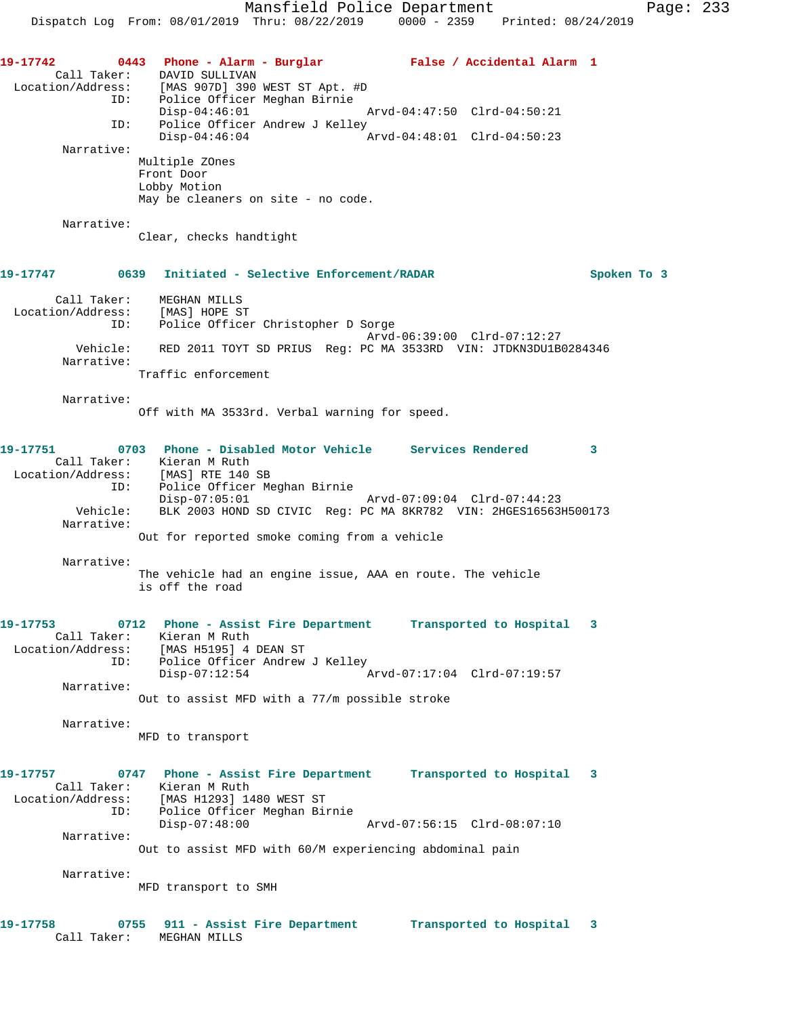Mansfield Police Department Page: 233 Dispatch Log From: 08/01/2019 Thru: 08/22/2019 0000 - 2359 Printed: 08/24/2019 **19-17742 0443 Phone - Alarm - Burglar False / Accidental Alarm 1**  Call Taker: DAVID SULLIVAN Location/Address: [MAS 907D] 390 WEST ST Apt. #D ID: Police Officer Meghan Birnie Disp-04:46:01 Arvd-04:47:50 Clrd-04:50:21 ID: Police Officer Andrew J Kelley<br>Disp-04:46:04 A Disp-04:46:04 Arvd-04:48:01 Clrd-04:50:23 Narrative: Multiple ZOnes Front Door Lobby Motion May be cleaners on site - no code. Narrative: Clear, checks handtight **19-17747 0639 Initiated - Selective Enforcement/RADAR Spoken To 3** Call Taker: MEGHAN MILLS Location/Address: [MAS] HOPE ST ID: Police Officer Christopher D Sorge Arvd-06:39:00 Clrd-07:12:27 Vehicle: RED 2011 TOYT SD PRIUS Reg: PC MA 3533RD VIN: JTDKN3DU1B0284346 Narrative: Traffic enforcement Narrative: Off with MA 3533rd. Verbal warning for speed. **19-17751 0703 Phone - Disabled Motor Vehicle Services Rendered 3**  Call Taker: Kieran M Ruth Location/Address: [MAS] RTE 140 SB ID: Police Officer Meghan Birnie Disp-07:05:01 Arvd-07:09:04 Clrd-07:44:23 Vehicle: BLK 2003 HOND SD CIVIC Reg: PC MA 8KR782 VIN: 2HGES16563H500173 Narrative: Out for reported smoke coming from a vehicle Narrative: The vehicle had an engine issue, AAA en route. The vehicle is off the road **19-17753 0712 Phone - Assist Fire Department Transported to Hospital 3**  Call Taker: Kieran M Ruth Location/Address: [MAS H5195] 4 DEAN ST ID: Police Officer Andrew J Kelley Disp-07:12:54 Arvd-07:17:04 Clrd-07:19:57 Narrative: Out to assist MFD with a 77/m possible stroke Narrative: MFD to transport **19-17757 0747 Phone - Assist Fire Department Transported to Hospital 3**  Call Taker: Kieran M Ruth Location/Address: [MAS H1293] 1480 WEST ST ID: Police Officer Meghan Birnie Disp-07:48:00 Arvd-07:56:15 Clrd-08:07:10 Narrative: Out to assist MFD with 60/M experiencing abdominal pain Narrative: MFD transport to SMH **19-17758 0755 911 - Assist Fire Department Transported to Hospital 3**  Call Taker: MEGHAN MILLS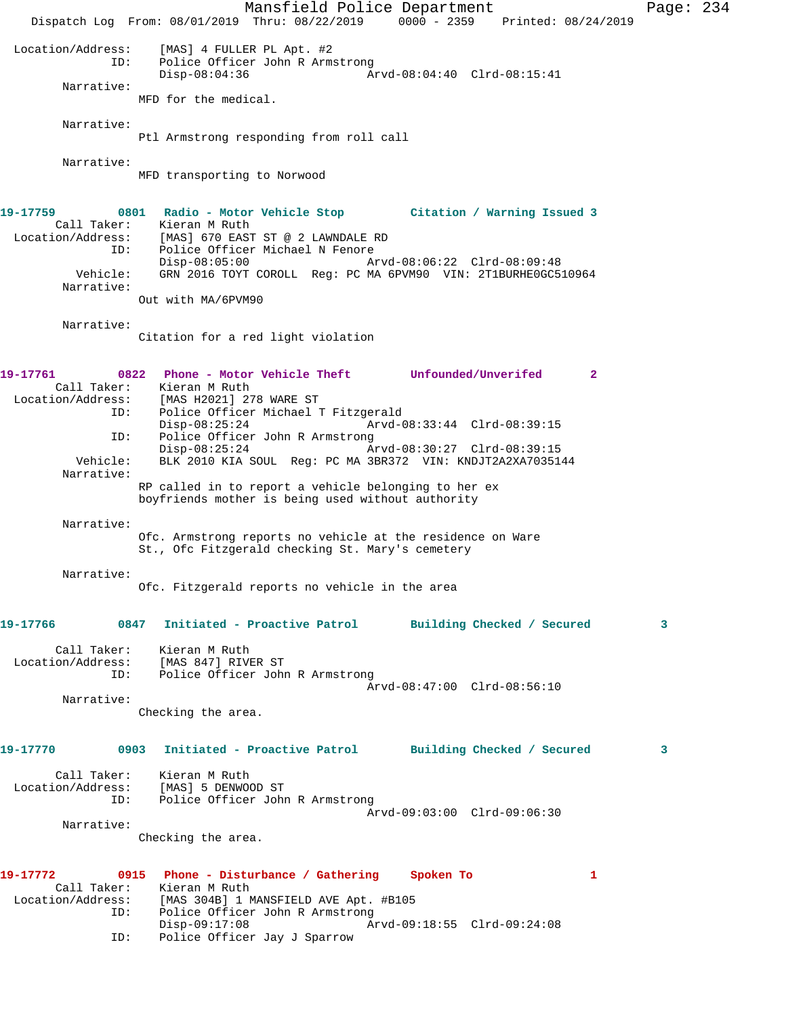Mansfield Police Department Page: 234 Dispatch Log From: 08/01/2019 Thru: 08/22/2019 0000 - 2359 Printed: 08/24/2019 Location/Address: [MAS] 4 FULLER PL Apt. #2 ID: Police Officer John R Armstrong<br>Disp-08:04:36 Ar Disp-08:04:36 Arvd-08:04:40 Clrd-08:15:41 Narrative: MFD for the medical. Narrative: Ptl Armstrong responding from roll call Narrative: MFD transporting to Norwood **19-17759 0801 Radio - Motor Vehicle Stop Citation / Warning Issued 3**  Call Taker: Kieran M Ruth Location/Address: [MAS] 670 EAST ST @ 2 LAWNDALE RD ID: Police Officer Michael N Fenore Disp-08:05:00 Arvd-08:06:22 Clrd-08:09:48 Vehicle: GRN 2016 TOYT COROLL Reg: PC MA 6PVM90 VIN: 2T1BURHE0GC510964 Narrative: Out with MA/6PVM90 Narrative: Citation for a red light violation **19-17761 0822 Phone - Motor Vehicle Theft Unfounded/Unverifed 2**  Call Taker: Kieran M Ruth<br>Location/Address: [MAS H2021] 27 اss: [MAS H2021] 278 WARE ST<br>ID: Police Officer Michael T Police Officer Michael T Fitzgerald<br>Disp-08:25:24 Arvd-0 Disp-08:25:24 Arvd-08:33:44 Clrd-08:39:15 ID: Police Officer John R Armstrong<br>Disp-08:25:24 A Disp-08:25:24 Arvd-08:30:27 Clrd-08:39:15 Vehicle: BLK 2010 KIA SOUL Reg: PC MA 3BR372 VIN: KNDJT2A2XA7035144 Narrative: RP called in to report a vehicle belonging to her ex boyfriends mother is being used without authority Narrative: Ofc. Armstrong reports no vehicle at the residence on Ware St., Ofc Fitzgerald checking St. Mary's cemetery Narrative: Ofc. Fitzgerald reports no vehicle in the area **19-17766 0847 Initiated - Proactive Patrol Building Checked / Secured 3** Call Taker: Kieran M Ruth Location/Address: [MAS 847] RIVER ST ID: Police Officer John R Armstrong Arvd-08:47:00 Clrd-08:56:10 Narrative: Checking the area. **19-17770 0903 Initiated - Proactive Patrol Building Checked / Secured 3** Call Taker: Kieran M Ruth Location/Address: [MAS] 5 DENWOOD ST ID: Police Officer John R Armstrong Arvd-09:03:00 Clrd-09:06:30 Narrative: Checking the area. **19-17772 0915 Phone - Disturbance / Gathering Spoken To 1**  Call Taker: Kieran M Ruth Location/Address: [MAS 304B] 1 MANSFIELD AVE Apt. #B105 Police Officer John R Armstrong<br>Disp-09:17:08 Ar Disp-09:17:08 Arvd-09:18:55 Clrd-09:24:08 ID: Police Officer Jay J Sparrow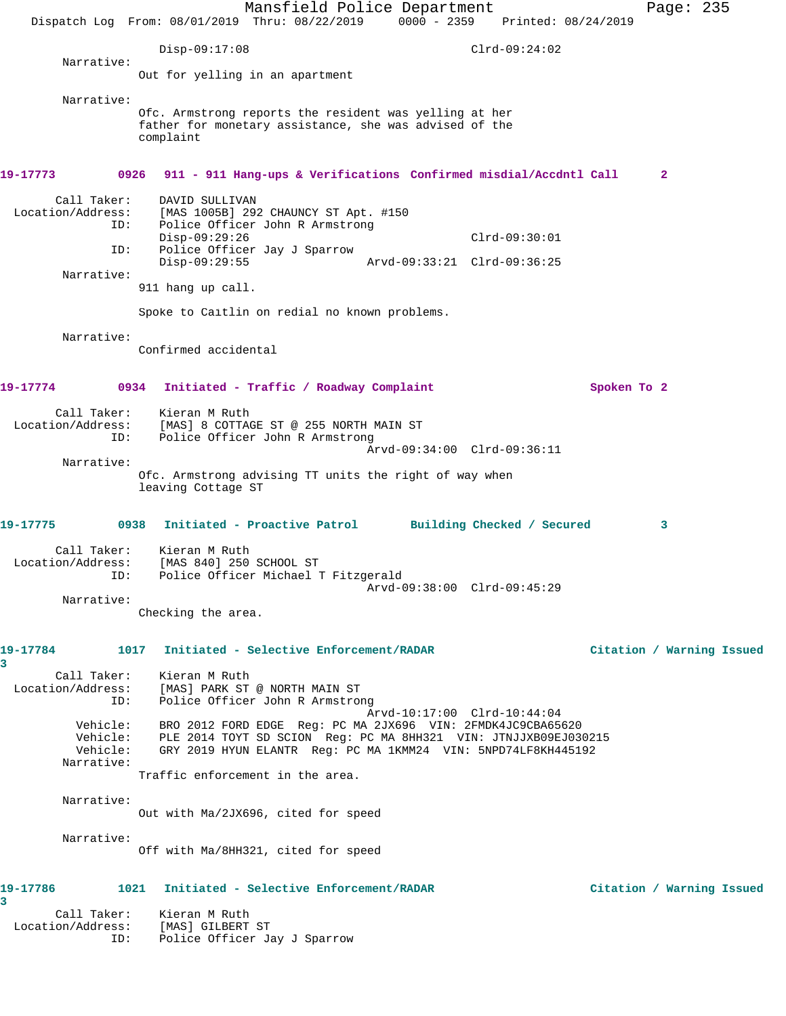Mansfield Police Department Fage: 235 Dispatch Log From: 08/01/2019 Thru: 08/22/2019 0000 - 2359 Printed: 08/24/2019 Disp-09:17:08 Clrd-09:24:02 Narrative: Out for yelling in an apartment Narrative: Ofc. Armstrong reports the resident was yelling at her father for monetary assistance, she was advised of the complaint **19-17773 0926 911 - 911 Hang-ups & Verifications Confirmed misdial/Accdntl Call 2** Call Taker: DAVID SULLIVAN Location/Address: [MAS 1005B] 292 CHAUNCY ST Apt. #150 ID: Police Officer John R Armstrong Disp-09:29:26 Clrd-09:30:01 ID: Police Officer Jay J Sparrow Disp-09:29:55 Arvd-09:33:21 Clrd-09:36:25 Narrative: 911 hang up call. Spoke to Caitlin on redial no known problems. Narrative: Confirmed accidental **19-17774 0934 Initiated - Traffic / Roadway Complaint Spoken To 2** Call Taker: Kieran M Ruth Location/Address: [MAS] 8 COTTAGE ST @ 255 NORTH MAIN ST ID: Police Officer John R Armstrong Arvd-09:34:00 Clrd-09:36:11 Narrative: Ofc. Armstrong advising TT units the right of way when leaving Cottage ST **19-17775 0938 Initiated - Proactive Patrol Building Checked / Secured 3** Call Taker: Kieran M Ruth Location/Address: [MAS 840] 250 SCHOOL ST ID: Police Officer Michael T Fitzgerald Arvd-09:38:00 Clrd-09:45:29 Narrative: Checking the area. **19-17784 1017 Initiated - Selective Enforcement/RADAR Citation / Warning Issued 3**  Call Taker: Kieran M Ruth Location/Address: [MAS] PARK ST @ NORTH MAIN ST ID: Police Officer John R Armstrong Arvd-10:17:00 Clrd-10:44:04 Vehicle: BRO 2012 FORD EDGE Reg: PC MA 2JX696 VIN: 2FMDK4JC9CBA65620 Vehicle: PLE 2014 TOYT SD SCION Reg: PC MA 8HH321 VIN: JTNJJXB09EJ030215 Vehicle: GRY 2019 HYUN ELANTR Reg: PC MA 1KMM24 VIN: 5NPD74LF8KH445192 Narrative: Traffic enforcement in the area. Narrative: Out with Ma/2JX696, cited for speed Narrative: Off with Ma/8HH321, cited for speed **19-17786 1021 Initiated - Selective Enforcement/RADAR Citation / Warning Issued 3**  Call Taker: Kieran M Ruth Location/Address: [MAS] GILBERT ST ID: Police Officer Jay J Sparrow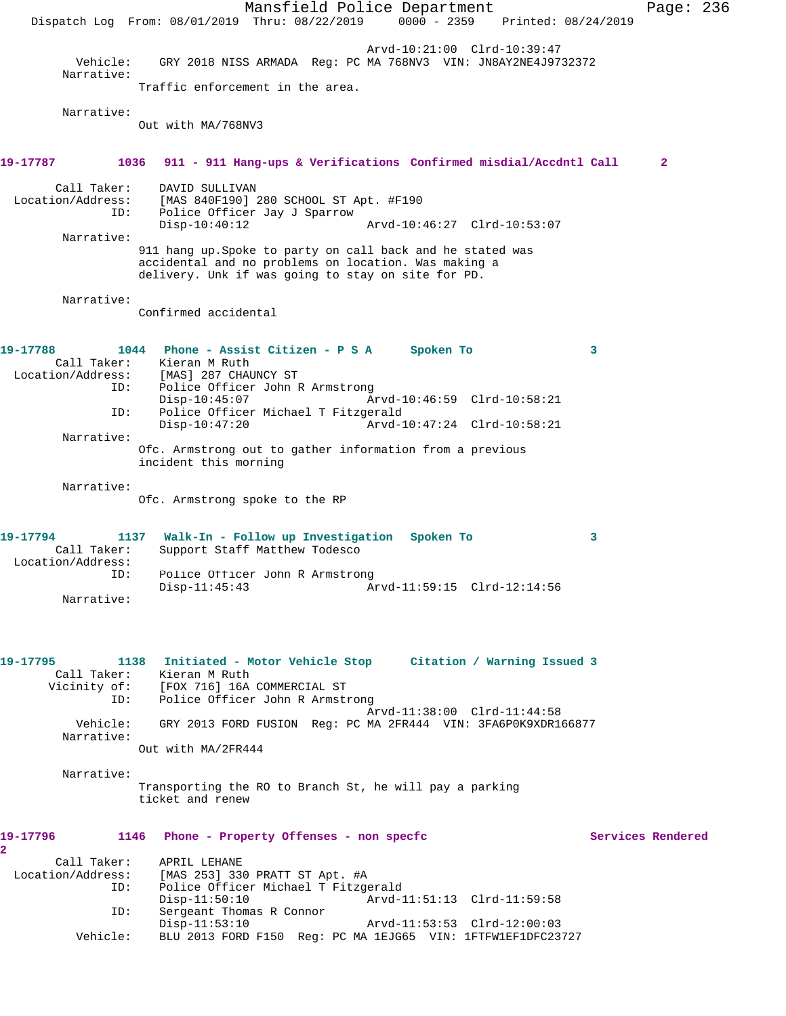Mansfield Police Department Page: 236 Dispatch Log From: 08/01/2019 Thru: 08/22/2019 0000 - 2359 Printed: 08/24/2019 Arvd-10:21:00 Clrd-10:39:47 Vehicle: GRY 2018 NISS ARMADA Reg: PC MA 768NV3 VIN: JN8AY2NE4J9732372 Narrative: Traffic enforcement in the area. Narrative: Out with MA/768NV3 **19-17787 1036 911 - 911 Hang-ups & Verifications Confirmed misdial/Accdntl Call 2** Call Taker: DAVID SULLIVAN Location/Address: [MAS 840F190] 280 SCHOOL ST Apt. #F190 ID: Police Officer Jay J Sparrow Disp-10:40:12 Arvd-10:46:27 Clrd-10:53:07 Narrative: 911 hang up.Spoke to party on call back and he stated was accidental and no problems on location. Was making a delivery. Unk if was going to stay on site for PD. Narrative: Confirmed accidental **19-17788 1044 Phone - Assist Citizen - P S A Spoken To 3**  Call Taker: Kieran M Ruth Location/Address: [MAS] 287 CHAUNCY ST ID: Police Officer John R Armstrong Disp-10:45:07 Arvd-10:46:59 Clrd-10:58:21 ID: Police Officer Michael T Fitzgerald Disp-10:47:20 Arvd-10:47:24 Clrd-10:58:21 Narrative: Ofc. Armstrong out to gather information from a previous incident this morning Narrative: Ofc. Armstrong spoke to the RP **19-17794 1137 Walk-In - Follow up Investigation Spoken To 3**  Call Taker: Support Staff Matthew Todesco Location/Address: ID: Police Officer John R Armstrong<br>Disp-11:45:43 A Arvd-11:59:15 Clrd-12:14:56 Narrative: **19-17795 1138 Initiated - Motor Vehicle Stop Citation / Warning Issued 3**  Call Taker: Kieran M Ruth Vicinity of: [FOX 716] 16A COMMERCIAL ST ID: Police Officer John R Armstrong Arvd-11:38:00 Clrd-11:44:58 Vehicle: GRY 2013 FORD FUSION Reg: PC MA 2FR444 VIN: 3FA6P0K9XDR166877 Narrative: Out with MA/2FR444 Narrative: Transporting the RO to Branch St, he will pay a parking ticket and renew **19-17796 1146 Phone - Property Offenses - non specfc Services Rendered 2**  Call Taker: APRIL LEHANE<br>Location/Address: [MAS 253] 330 SS: [MAS 253] 330 PRATT ST Apt. #A<br>ID: Police Officer Michael T Fitzge Police Officer Michael T Fitzgerald Disp-11:50:10 Arvd-11:51:13 Clrd-11:59:58 ID: Sergeant Thomas R Connor<br>Disp-11:53:10 Disp-11:53:10 Arvd-11:53:53 Clrd-12:00:03 Vehicle: BLU 2013 FORD F150 Reg: PC MA 1EJG65 VIN: 1FTFW1EF1DFC23727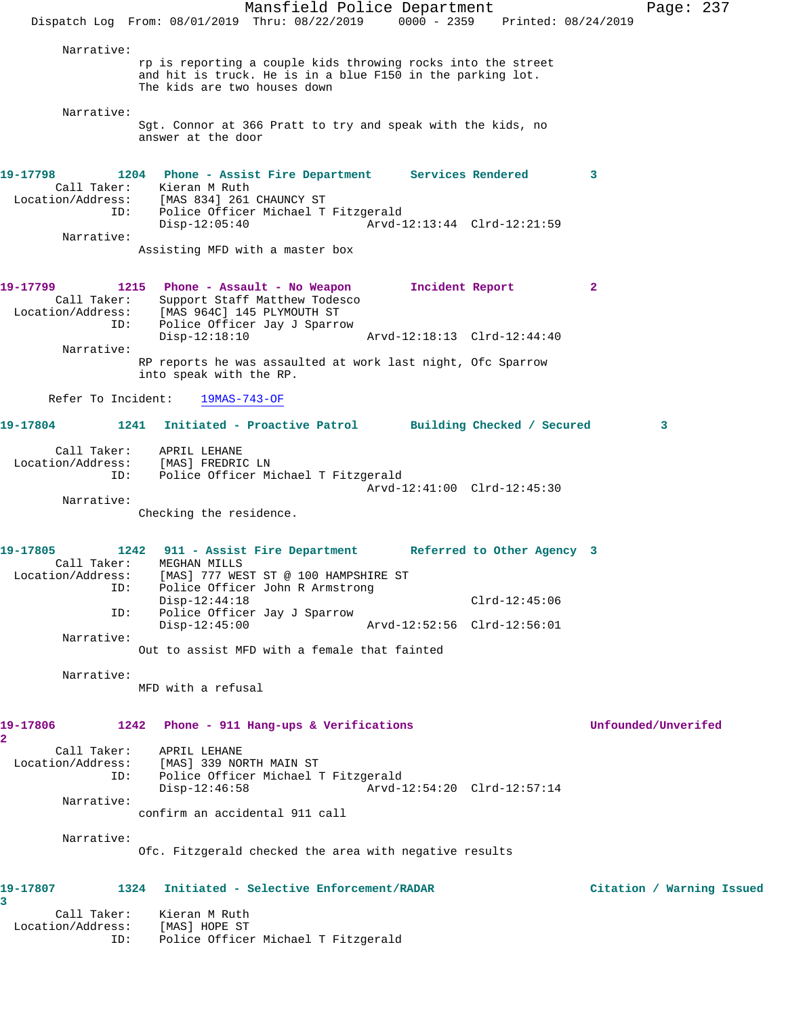Mansfield Police Department Page: 237 Dispatch Log From: 08/01/2019 Thru: 08/22/2019 0000 - 2359 Printed: 08/24/2019 Narrative: rp is reporting a couple kids throwing rocks into the street and hit is truck. He is in a blue F150 in the parking lot. The kids are two houses down Narrative: Sgt. Connor at 366 Pratt to try and speak with the kids, no answer at the door **19-17798 1204 Phone - Assist Fire Department Services Rendered 3**  Call Taker: Kieran M Ruth Location/Address: [MAS 834] 261 CHAUNCY ST ID: Police Officer Michael T Fitzgerald Disp-12:05:40 Arvd-12:13:44 Clrd-12:21:59 Narrative: Assisting MFD with a master box **19-17799 1215 Phone - Assault - No Weapon Incident Report 2**  Call Taker: Support Staff Matthew Todesco Location/Address: [MAS 964C] 145 PLYMOUTH ST ID: Police Officer Jay J Sparrow Disp-12:18:10 Arvd-12:18:13 Clrd-12:44:40 Narrative: RP reports he was assaulted at work last night, Ofc Sparrow into speak with the RP. Refer To Incident: 19MAS-743-OF **19-17804 1241 Initiated - Proactive Patrol Building Checked / Secured 3** Call Taker: APRIL LEHANE Location/Address: [MAS] FREDRIC LN ID: Police Officer Michael T Fitzgerald Arvd-12:41:00 Clrd-12:45:30 Narrative: Checking the residence. **19-17805 1242 911 - Assist Fire Department Referred to Other Agency 3**  Call Taker: MEGHAN MILLS<br>Location/Address: [MAS] 777 WES Location/Address: [MAS] 777 WEST ST @ 100 HAMPSHIRE ST ID: Police Officer John R Armstrong Disp-12:44:18 Clrd-12:45:06 ID: Police Officer Jay J Sparrow Disp-12:45:00 Arvd-12:52:56 Clrd-12:56:01 Narrative: Out to assist MFD with a female that fainted Narrative: MFD with a refusal **19-17806 1242 Phone - 911 Hang-ups & Verifications Unfounded/Unverifed 2**  Call Taker: APRIL LEHANE Location/Address: [MAS] 339 NORTH MAIN ST ID: Police Officer Michael T Fitzgerald Disp-12:46:58 Arvd-12:54:20 Clrd-12:57:14 Narrative: confirm an accidental 911 call Narrative: Ofc. Fitzgerald checked the area with negative results **19-17807 1324 Initiated - Selective Enforcement/RADAR Citation / Warning Issued 3**  Call Taker: Kieran M Ruth Location/Address: [MAS] HOPE ST

ID: Police Officer Michael T Fitzgerald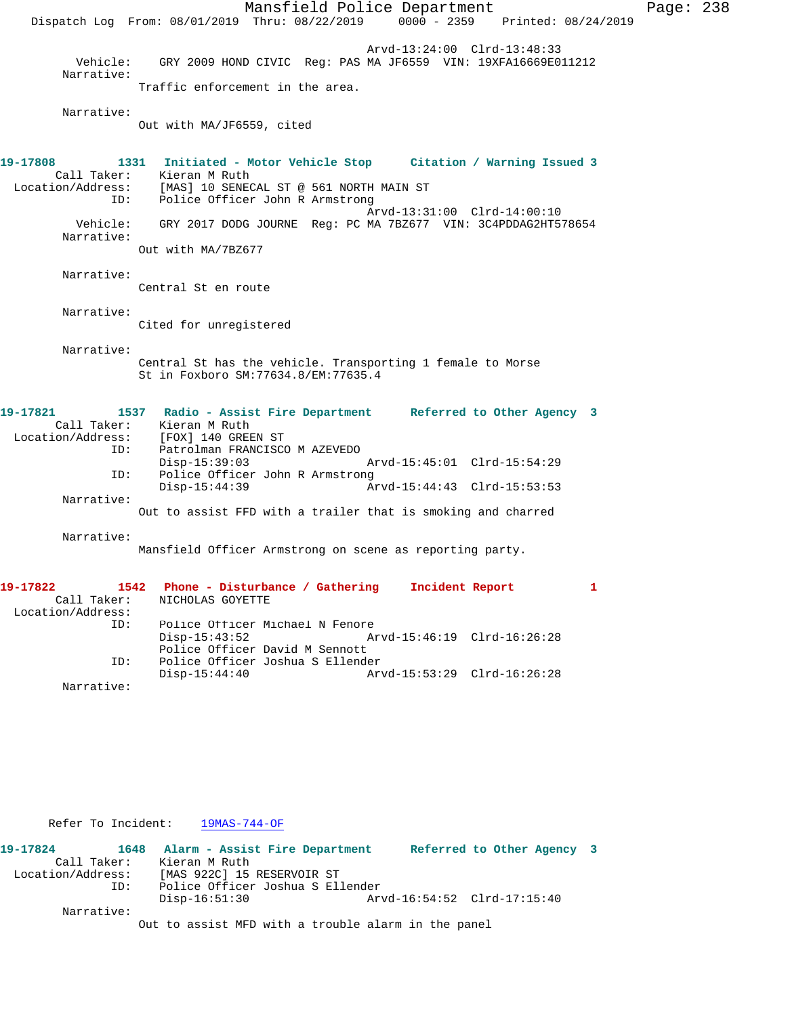Mansfield Police Department Page: 238 Dispatch Log From: 08/01/2019 Thru: 08/22/2019 0000 - 2359 Printed: 08/24/2019 Arvd-13:24:00 Clrd-13:48:33 Vehicle: GRY 2009 HOND CIVIC Reg: PAS MA JF6559 VIN: 19XFA16669E011212 Narrative: Traffic enforcement in the area. Narrative: Out with MA/JF6559, cited **19-17808 1331 Initiated - Motor Vehicle Stop Citation / Warning Issued 3**  Call Taker: Kieran M Ruth Location/Address: [MAS] 10 SENECAL ST @ 561 NORTH MAIN ST ID: Police Officer John R Armstrong Arvd-13:31:00 Clrd-14:00:10 Vehicle: GRY 2017 DODG JOURNE Reg: PC MA 7BZ677 VIN: 3C4PDDAG2HT578654 Narrative: Out with MA/7BZ677 Narrative: Central St en route Narrative: Cited for unregistered Narrative: Central St has the vehicle. Transporting 1 female to Morse St in Foxboro SM:77634.8/EM:77635.4 **19-17821 1537 Radio - Assist Fire Department Referred to Other Agency 3**  Call Taker: Kieran M Ruth Location/Address: [FOX] 140 GREEN ST ID: Patrolman FRANCISCO M AZEVEDO Disp-15:39:03 Arvd-15:45:01 Clrd-15:54:29<br>ID: Police Officer John R Armstrong Police Officer John R Armstrong<br>Disp-15:44:39 A Arvd-15:44:43 Clrd-15:53:53 Narrative: Out to assist FFD with a trailer that is smoking and charred Narrative: Mansfield Officer Armstrong on scene as reporting party. **19-17822 1542 Phone - Disturbance / Gathering Incident Report 1**  Call Taker: NICHOLAS GOYETTE Location/Address: ID: Police Officer Michael N Fenore Arvd-15:46:19 Clrd-16:26:28 Police Officer David M Sennott ID: Police Officer Joshua S Ellender Disp-15:44:40 Arvd-15:53:29 Clrd-16:26:28 Narrative:

Refer To Incident: 19MAS-744-OF

**19-17824 1648 Alarm - Assist Fire Department Referred to Other Agency 3**  Call Taker: Kieran M Ruth<br>Location/Address: [MAS 922C] 15 [MAS 922C] 15 RESERVOIR ST ID: Police Officer Joshua S Ellender Disp-16:51:30 Arvd-16:54:52 Clrd-17:15:40 Narrative: Out to assist MFD with a trouble alarm in the panel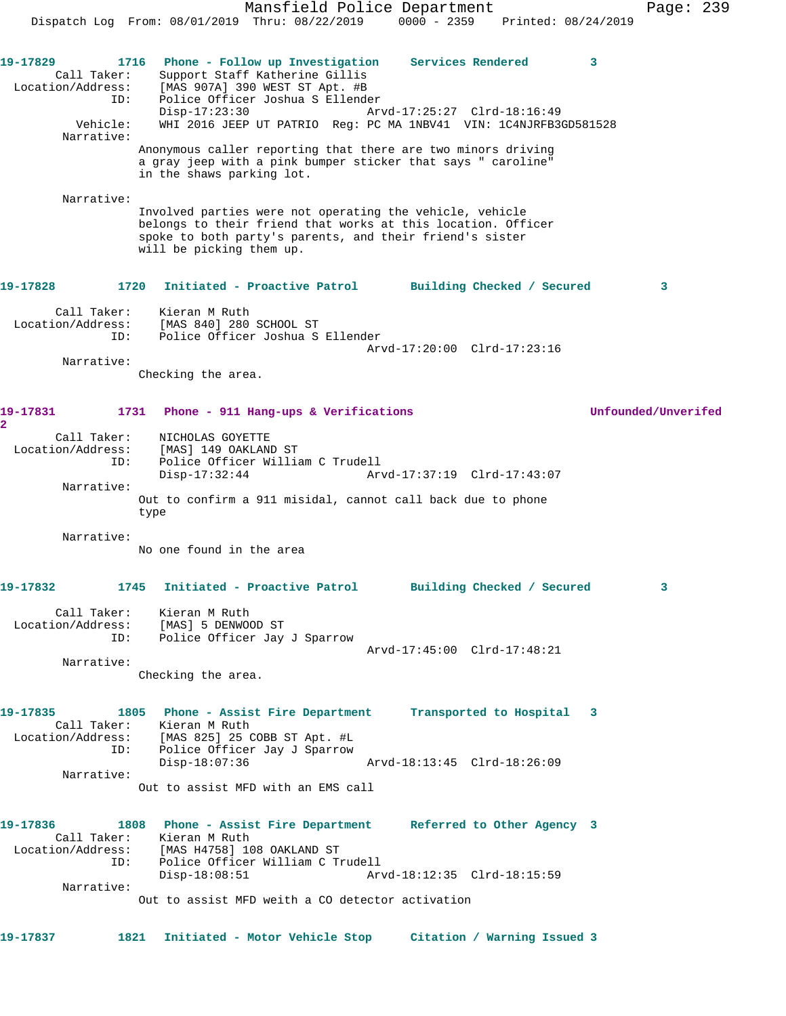Mansfield Police Department Page: 239 Dispatch Log From: 08/01/2019 Thru: 08/22/2019 0000 - 2359 Printed: 08/24/2019 **19-17829 1716 Phone - Follow up Investigation Services Rendered 3**  Call Taker: Support Staff Katherine Gillis Location/Address: [MAS 907A] 390 WEST ST Apt. #B ID: Police Officer Joshua S Ellender Disp-17:23:30 Arvd-17:25:27 Clrd-18:16:49<br>Vehicle: WHI 2016 JEEP UT PATRIO Req: PC MA 1NBV41 VIN: 1C4NJRFB30 WHI 2016 JEEP UT PATRIO Reg: PC MA 1NBV41 VIN: 1C4NJRFB3GD581528 Narrative: Anonymous caller reporting that there are two minors driving a gray jeep with a pink bumper sticker that says " caroline" in the shaws parking lot. Narrative: Involved parties were not operating the vehicle, vehicle belongs to their friend that works at this location. Officer spoke to both party's parents, and their friend's sister will be picking them up. **19-17828 1720 Initiated - Proactive Patrol Building Checked / Secured 3** Call Taker: Kieran M Ruth Location/Address: [MAS 840] 280 SCHOOL ST ID: Police Officer Joshua S Ellender Arvd-17:20:00 Clrd-17:23:16 Narrative: Checking the area. **19-17831 1731 Phone - 911 Hang-ups & Verifications Unfounded/Unverifed 2**  Call Taker: NICHOLAS GOYETTE Location/Address: [MAS] 149 OAKLAND ST ID: Police Officer William C Trudell Disp-17:32:44 Arvd-17:37:19 Clrd-17:43:07 Narrative: Out to confirm a 911 misidal, cannot call back due to phone type Narrative: No one found in the area **19-17832 1745 Initiated - Proactive Patrol Building Checked / Secured 3** Call Taker: Kieran M Ruth Location/Address: [MAS] 5 DENWOOD ST ID: Police Officer Jay J Sparrow Arvd-17:45:00 Clrd-17:48:21 Narrative: Checking the area. **19-17835 1805 Phone - Assist Fire Department Transported to Hospital 3**  Call Taker: Kieran M Ruth Location/Address: [MAS 825] 25 COBB ST Apt. #L ID: Police Officer Jay J Sparrow Disp-18:07:36 Arvd-18:13:45 Clrd-18:26:09 Narrative: Out to assist MFD with an EMS call **19-17836 1808 Phone - Assist Fire Department Referred to Other Agency 3**  Call Taker: Kieran M Ruth Location/Address: [MAS H4758] 108 OAKLAND ST ID: Police Officer William C Trudell Disp-18:08:51 Arvd-18:12:35 Clrd-18:15:59 Narrative: Out to assist MFD weith a CO detector activation **19-17837 1821 Initiated - Motor Vehicle Stop Citation / Warning Issued 3**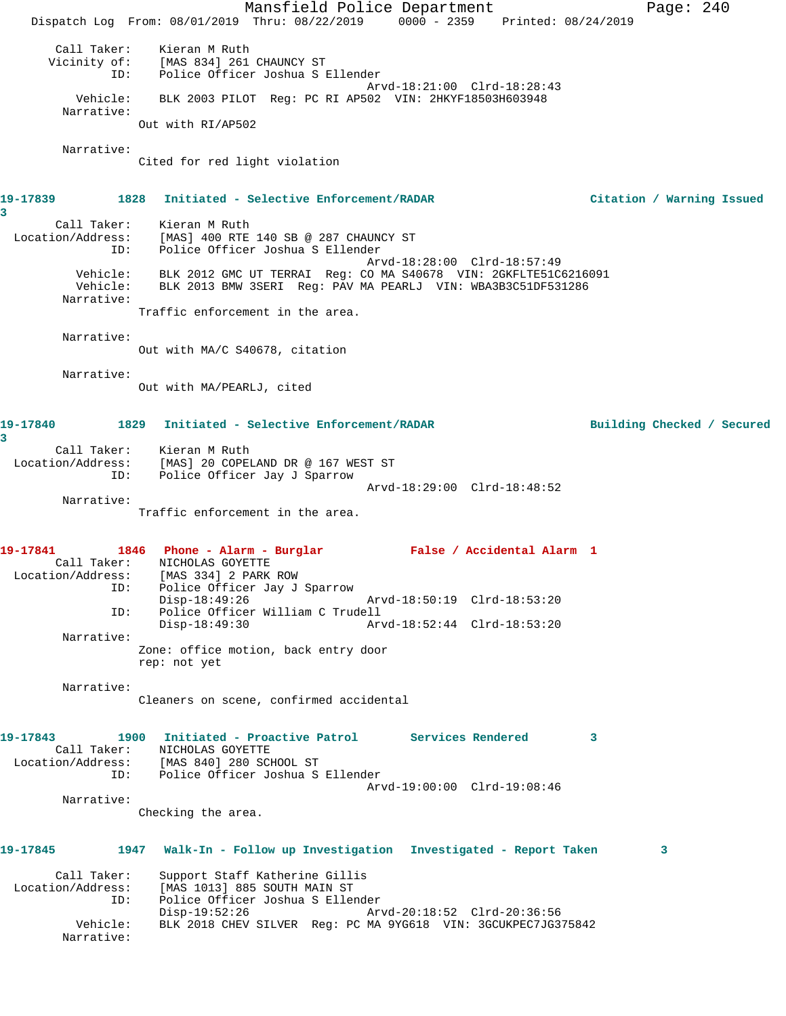Mansfield Police Department Page: 240 Dispatch Log From: 08/01/2019 Thru: 08/22/2019 0000 - 2359 Printed: 08/24/2019 Call Taker: Kieran M Ruth Vicinity of: [MAS 834] 261 CHAUNCY ST ID: Police Officer Joshua S Ellender Arvd-18:21:00 Clrd-18:28:43 Vehicle: BLK 2003 PILOT Reg: PC RI AP502 VIN: 2HKYF18503H603948 Narrative: Out with RI/AP502 Narrative: Cited for red light violation **19-17839 1828 Initiated - Selective Enforcement/RADAR Citation / Warning Issued 3**  Call Taker: Kieran M Ruth Location/Address: [MAS] 400 RTE 140 SB @ 287 CHAUNCY ST ID: Police Officer Joshua S Ellender Arvd-18:28:00 Clrd-18:57:49 Vehicle: BLK 2012 GMC UT TERRAI Reg: CO MA S40678 VIN: 2GKFLTE51C6216091 Vehicle: BLK 2013 BMW 3SERI Reg: PAV MA PEARLJ VIN: WBA3B3C51DF531286 Narrative: Traffic enforcement in the area. Narrative: Out with MA/C S40678, citation Narrative: Out with MA/PEARLJ, cited **19-17840 1829 Initiated - Selective Enforcement/RADAR Building Checked / Secured 3**  Call Taker: Kieran M Ruth Location/Address: [MAS] 20 COPELAND DR @ 167 WEST ST ID: Police Officer Jay J Sparrow Arvd-18:29:00 Clrd-18:48:52 Narrative: Traffic enforcement in the area. **19-17841 1846 Phone - Alarm - Burglar False / Accidental Alarm 1**  Call Taker: NICHOLAS GOYETTE Location/Address: [MAS 334] 2 PARK ROW ID: Police Officer Jay J Sparrow Disp-18:49:26 Arvd-18:50:19 Clrd-18:53:20 ID: Police Officer William C Trudell Disp-18:49:30 Arvd-18:52:44 Clrd-18:53:20 Narrative: Zone: office motion, back entry door rep: not yet Narrative: Cleaners on scene, confirmed accidental **19-17843 1900 Initiated - Proactive Patrol Services Rendered 3**  Call Taker: NICHOLAS GOYETTE Location/Address: [MAS 840] 280 SCHOOL ST ID: Police Officer Joshua S Ellender Arvd-19:00:00 Clrd-19:08:46 Narrative: Checking the area. **19-17845 1947 Walk-In - Follow up Investigation Investigated - Report Taken 3** Call Taker: Support Staff Katherine Gillis Location/Address: [MAS 1013] 885 SOUTH MAIN ST ID: Police Officer Joshua S Ellender Disp-19:52:26 Arvd-20:18:52 Clrd-20:36:56 Vehicle: BLK 2018 CHEV SILVER Reg: PC MA 9YG618 VIN: 3GCUKPEC7JG375842 Narrative: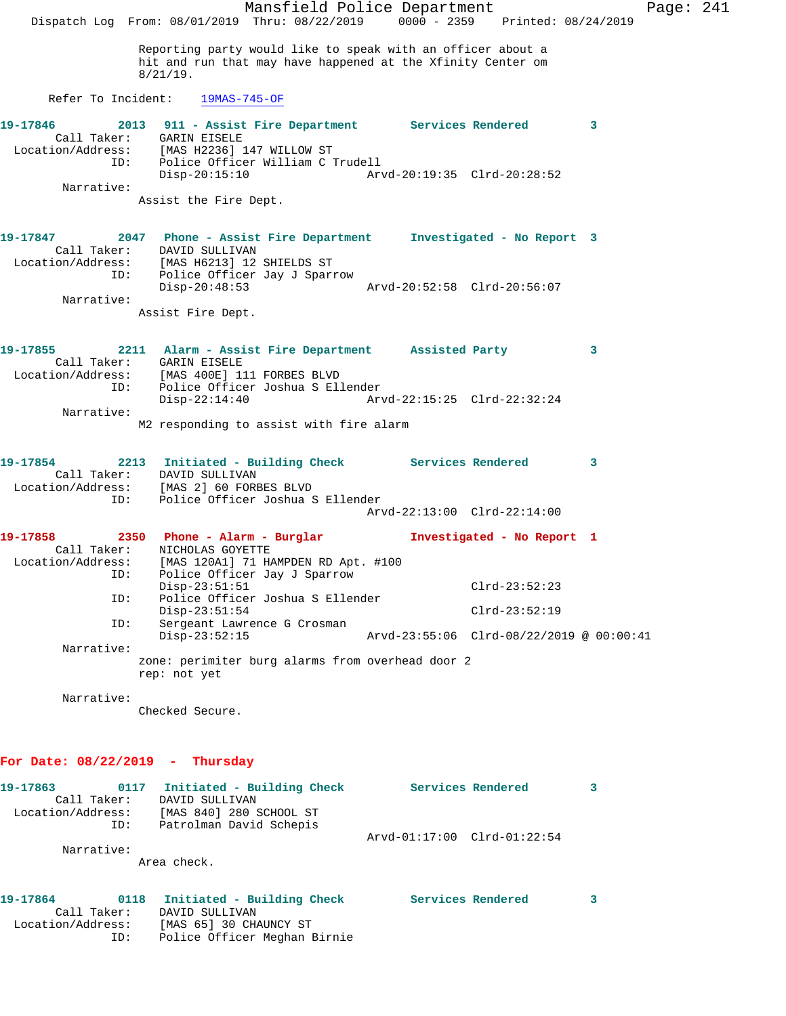Mansfield Police Department Page: 241 Dispatch Log From: 08/01/2019 Thru: 08/22/2019 0000 - 2359 Printed: 08/24/2019 Reporting party would like to speak with an officer about a hit and run that may have happened at the Xfinity Center om 8/21/19. Refer To Incident: 19MAS-745-OF **19-17846 2013 911 - Assist Fire Department Services Rendered 3**  Call Taker: GARIN EISELE Location/Address: [MAS H2236] 147 WILLOW ST ID: Police Officer William C Trudell Disp-20:15:10 Arvd-20:19:35 Clrd-20:28:52 Narrative: Assist the Fire Dept. **19-17847 2047 Phone - Assist Fire Department Investigated - No Report 3**  Call Taker: DAVID SULLIVAN Location/Address: [MAS H6213] 12 SHIELDS ST ID: Police Officer Jay J Sparrow<br>Disp-20:48:53 Disp-20:48:53 Arvd-20:52:58 Clrd-20:56:07 Narrative: Assist Fire Dept. **19-17855 2211 Alarm - Assist Fire Department Assisted Party 3**  Call Taker: GARIN EISELE Location/Address: [MAS 400E] 111 FORBES BLVD ID: Police Officer Joshua S Ellender Disp-22:14:40 Arvd-22:15:25 Clrd-22:32:24 Narrative: M2 responding to assist with fire alarm **19-17854 2213 Initiated - Building Check Services Rendered 3**  Call Taker: DAVID SULLIVAN Location/Address: [MAS 2] 60 FORBES BLVD ID: Police Officer Joshua S Ellender Arvd-22:13:00 Clrd-22:14:00 **19-17858 2350 Phone - Alarm - Burglar Investigated - No Report 1**  Call Taker: NICHOLAS GOYETTE Location/Address: [MAS 120A1] 71 HAMPDEN RD Apt. #100 ID: Police Officer Jay J Sparrow Disp-23:51:51 Clrd-23:52:23 ID: Police Officer Joshua S Ellender Disp-23:51:54 Clrd-23:52:19<br>ID: Sergeant Lawrence G Crosman Sergeant Lawrence G Crosman<br>Disp-23:52:15 Disp-23:52:15 Arvd-23:55:06 Clrd-08/22/2019 @ 00:00:41 Narrative: zone: perimiter burg alarms from overhead door 2 rep: not yet Narrative: Checked Secure. **For Date: 08/22/2019 - Thursday 19-17863 0117 Initiated - Building Check Services Rendered 3**  Call Taker: DAVID SULLIVAN Location/Address: [MAS 840] 280 SCHOOL ST ID: Patrolman David Schepis Arvd-01:17:00 Clrd-01:22:54 Narrative: Area check. **19-17864 0118 Initiated - Building Check Services Rendered 3**  Call Taker: DAVID SULLIVAN Location/Address: [MAS 65] 30 CHAUNCY ST

ID: Police Officer Meghan Birnie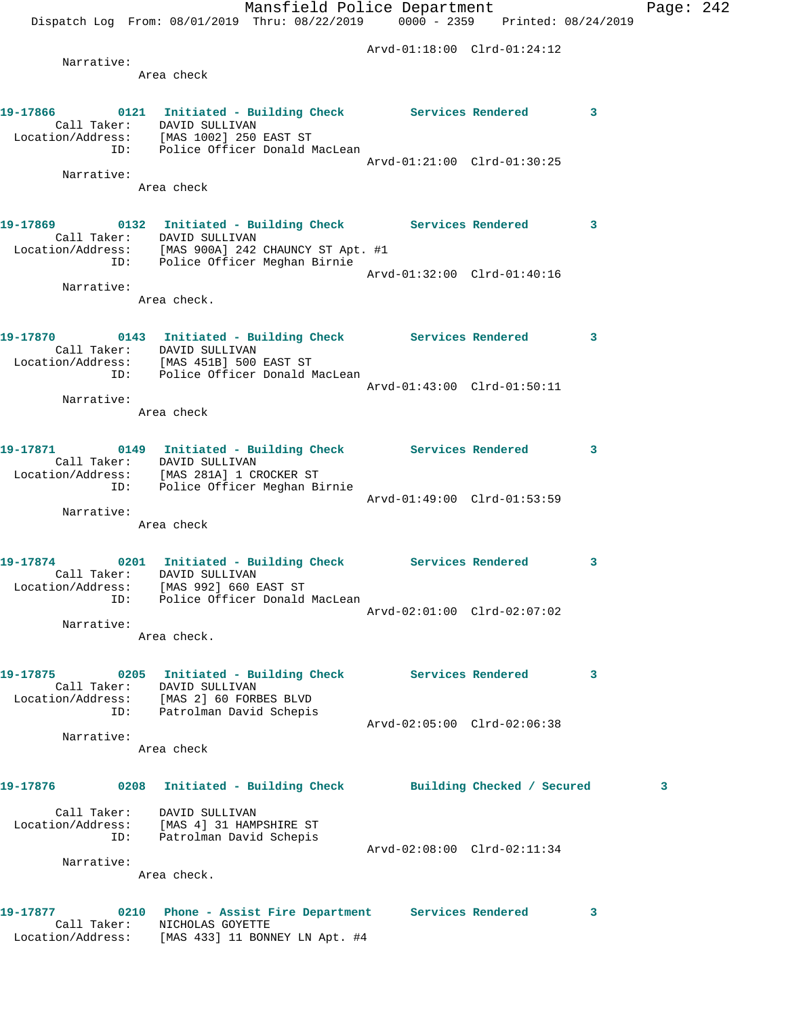Mansfield Police Department Page: 242 Dispatch Log From: 08/01/2019 Thru: 08/22/2019 0000 - 2359 Printed: 08/24/2019 Arvd-01:18:00 Clrd-01:24:12 Narrative: Area check **19-17866 0121 Initiated - Building Check Services Rendered 3**  Call Taker: DAVID SULLIVAN Location/Address: [MAS 1002] 250 EAST ST ID: Police Officer Donald MacLean Arvd-01:21:00 Clrd-01:30:25 Narrative: Area check **19-17869 0132 Initiated - Building Check Services Rendered 3**  Call Taker: DAVID SULLIVAN Location/Address: [MAS 900A] 242 CHAUNCY ST Apt. #1 ID: Police Officer Meghan Birnie Arvd-01:32:00 Clrd-01:40:16 Narrative: Area check. **19-17870 0143 Initiated - Building Check Services Rendered 3**  Call Taker: DAVID SULLIVAN Location/Address: [MAS 451B] 500 EAST ST ID: Police Officer Donald MacLean Arvd-01:43:00 Clrd-01:50:11 Narrative: Area check **19-17871 0149 Initiated - Building Check Services Rendered 3**  Call Taker: DAVID SULLIVAN Location/Address: [MAS 281A] 1 CROCKER ST ID: Police Officer Meghan Birnie Arvd-01:49:00 Clrd-01:53:59 Narrative: Area check **19-17874 0201 Initiated - Building Check Services Rendered 3**  Call Taker: DAVID SULLIVAN Location/Address: [MAS 992] 660 EAST ST ID: Police Officer Donald MacLean Arvd-02:01:00 Clrd-02:07:02 Narrative: Area check. **19-17875 0205 Initiated - Building Check Services Rendered 3**  Call Taker: DAVID SULLIVAN Location/Address: [MAS 2] 60 FORBES BLVD ID: Patrolman David Schepis Arvd-02:05:00 Clrd-02:06:38 Narrative: Area check **19-17876 0208 Initiated - Building Check Building Checked / Secured 3** Call Taker: DAVID SULLIVAN Location/Address: [MAS 4] 31 HAMPSHIRE ST ID: Patrolman David Schepis Arvd-02:08:00 Clrd-02:11:34 Narrative: Area check. **19-17877 0210 Phone - Assist Fire Department Services Rendered 3**  Call Taker: NICHOLAS GOYETTE

Location/Address: [MAS 433] 11 BONNEY LN Apt. #4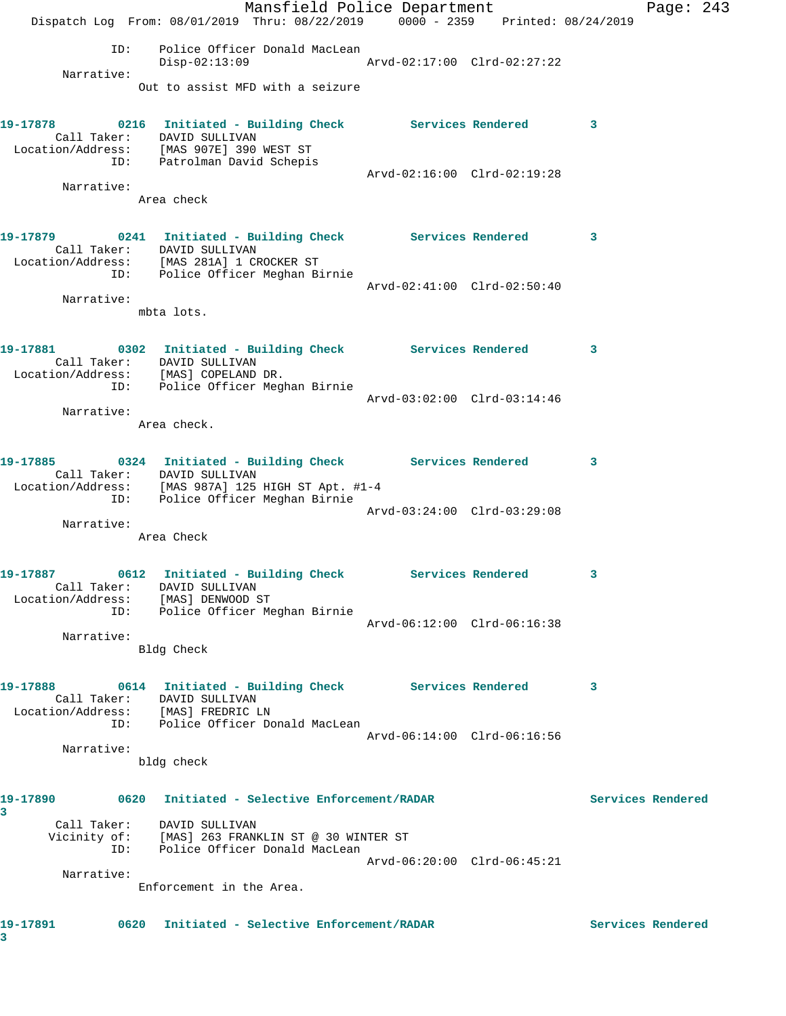|                                    | Mansfield Police Department                                                                |                             |   | Page: $243$       |  |
|------------------------------------|--------------------------------------------------------------------------------------------|-----------------------------|---|-------------------|--|
|                                    | Dispatch Log From: 08/01/2019 Thru: 08/22/2019 0000 - 2359 Printed: 08/24/2019             |                             |   |                   |  |
| ID:                                | Police Officer Donald MacLean<br>Disp-02:13:09                                             | Arvd-02:17:00 Clrd-02:27:22 |   |                   |  |
| Narrative:                         |                                                                                            |                             |   |                   |  |
|                                    | Out to assist MFD with a seizure                                                           |                             |   |                   |  |
|                                    | 19-17878 0216 Initiated - Building Check Services Rendered 3                               |                             |   |                   |  |
|                                    | Call Taker: DAVID SULLIVAN<br>Location/Address: [MAS 907E] 390 WEST ST                     |                             |   |                   |  |
|                                    | ID: Patrolman David Schepis                                                                |                             |   |                   |  |
| Narrative:                         |                                                                                            | Arvd-02:16:00 Clrd-02:19:28 |   |                   |  |
|                                    | Area check                                                                                 |                             |   |                   |  |
|                                    |                                                                                            |                             |   |                   |  |
|                                    | 19-17879 0241 Initiated - Building Check Services Rendered 3<br>Call Taker: DAVID SULLIVAN |                             |   |                   |  |
|                                    | Location/Address: [MAS 281A] 1 CROCKER ST<br>ID: Police Officer Meghan Birnie              |                             |   |                   |  |
|                                    |                                                                                            | Arvd-02:41:00 Clrd-02:50:40 |   |                   |  |
| Narrative:                         | mbta lots.                                                                                 |                             |   |                   |  |
|                                    |                                                                                            |                             |   |                   |  |
|                                    | 19-17881 0302 Initiated - Building Check Services Rendered 3                               |                             |   |                   |  |
|                                    | Call Taker: DAVID SULLIVAN<br>Location/Address: [MAS] COPELAND DR.                         |                             |   |                   |  |
|                                    | ID: Police Officer Meghan Birnie                                                           |                             |   |                   |  |
| Narrative:                         |                                                                                            | Arvd-03:02:00 Clrd-03:14:46 |   |                   |  |
|                                    | Area check.                                                                                |                             |   |                   |  |
|                                    |                                                                                            |                             |   |                   |  |
|                                    | 19-17885 0324 Initiated - Building Check Services Rendered 3<br>Call Taker: DAVID SULLIVAN |                             |   |                   |  |
|                                    | Location/Address: [MAS 987A] 125 HIGH ST Apt. #1-4<br>ID: Police Officer Meghan Birnie     |                             |   |                   |  |
|                                    |                                                                                            | Arvd-03:24:00 Clrd-03:29:08 |   |                   |  |
| Narrative:                         | Area Check                                                                                 |                             |   |                   |  |
|                                    |                                                                                            |                             |   |                   |  |
| 19-17887                           | 0612 Initiated - Building Check Services Rendered                                          |                             |   |                   |  |
| Location/Address: [MAS] DENWOOD ST | Call Taker: DAVID SULLIVAN                                                                 |                             |   |                   |  |
|                                    | ID: Police Officer Meghan Birnie                                                           |                             |   |                   |  |
| Narrative:                         |                                                                                            | Arvd-06:12:00 Clrd-06:16:38 |   |                   |  |
|                                    | Bldg Check                                                                                 |                             |   |                   |  |
|                                    |                                                                                            |                             |   |                   |  |
|                                    | Call Taker: DAVID SULLIVAN                                                                 |                             | 3 |                   |  |
| Location/Address: [MAS] FREDRIC LN | ID: Police Officer Donald MacLean                                                          |                             |   |                   |  |
|                                    |                                                                                            | Arvd-06:14:00 Clrd-06:16:56 |   |                   |  |
| Narrative:                         | bldg check                                                                                 |                             |   |                   |  |
|                                    |                                                                                            |                             |   |                   |  |
|                                    |                                                                                            |                             |   | Services Rendered |  |
| 3                                  | Call Taker: DAVID SULLIVAN                                                                 |                             |   |                   |  |
|                                    | Vicinity of: [MAS] 263 FRANKLIN ST @ 30 WINTER ST<br>ID: Police Officer Donald MacLean     |                             |   |                   |  |
|                                    |                                                                                            | Arvd-06:20:00 Clrd-06:45:21 |   |                   |  |
| Narrative:                         | Enforcement in the Area.                                                                   |                             |   |                   |  |
|                                    |                                                                                            |                             |   |                   |  |
| 19-17891                           | 0620 Initiated - Selective Enforcement/RADAR                                               |                             |   | Services Rendered |  |
| 3                                  |                                                                                            |                             |   |                   |  |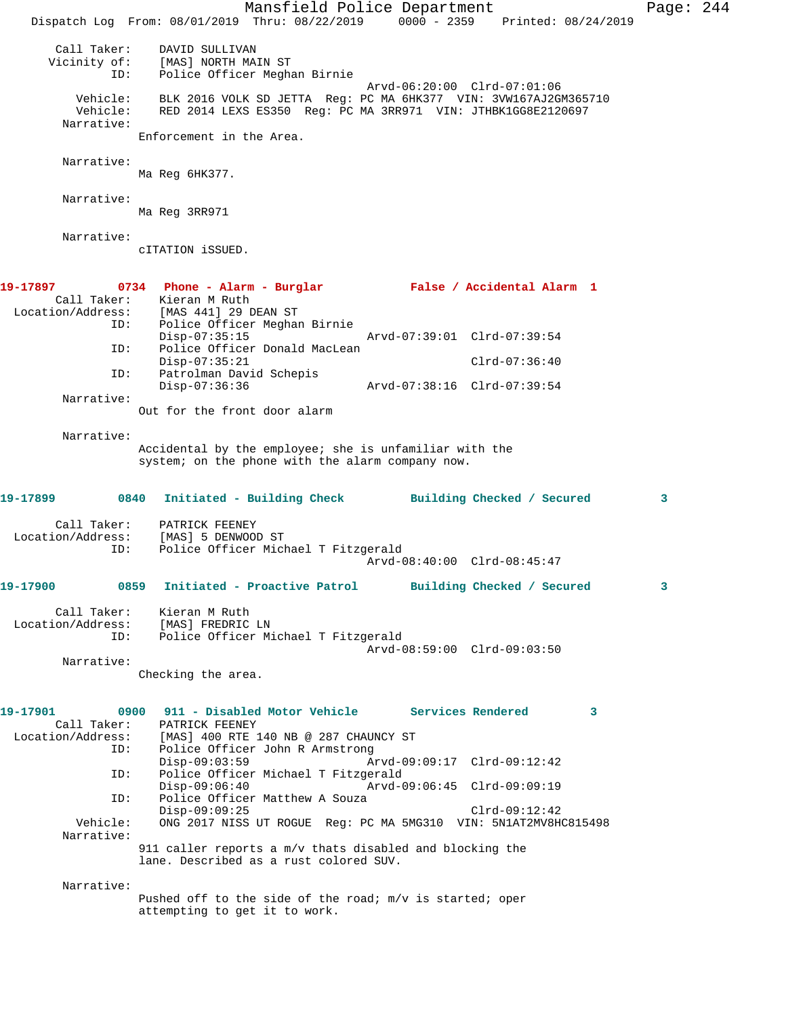Mansfield Police Department Page: 244 Dispatch Log From: 08/01/2019 Thru: 08/22/2019 0000 - 2359 Printed: 08/24/2019 Call Taker: DAVID SULLIVAN Vicinity of: [MAS] NORTH MAIN ST ID: Police Officer Meghan Birnie Arvd-06:20:00 Clrd-07:01:06 Vehicle: BLK 2016 VOLK SD JETTA Reg: PC MA 6HK377 VIN: 3VW167AJ2GM365710 Vehicle: RED 2014 LEXS ES350 Reg: PC MA 3RR971 VIN: JTHBK1GG8E2120697 Narrative: Enforcement in the Area. Narrative: Ma Reg 6HK377. Narrative: Ma Reg 3RR971 Narrative: cITATION iSSUED. **19-17897 0734 Phone - Alarm - Burglar False / Accidental Alarm 1**  Call Taker: Kieran M Ruth<br>Location/Address: [MAS 441] 29 I Location/Address: [MAS 441] 29 DEAN ST ID: Police Officer Meghan Birnie Disp-07:35:15 Arvd-07:39:01 Clrd-07:39:54 ID: Police Officer Donald MacLean Disp-07:35:21 Clrd-07:36:40 ID: Patrolman David Schepis Disp-07:36:36 Arvd-07:38:16 Clrd-07:39:54 Narrative: Out for the front door alarm Narrative: Accidental by the employee; she is unfamiliar with the system; on the phone with the alarm company now. **19-17899 0840 Initiated - Building Check Building Checked / Secured 3** Call Taker: PATRICK FEENEY Location/Address: [MAS] 5 DENWOOD ST ID: Police Officer Michael T Fitzgerald Arvd-08:40:00 Clrd-08:45:47 **19-17900 0859 Initiated - Proactive Patrol Building Checked / Secured 3** Call Taker: Kieran M Ruth Location/Address: [MAS] FREDRIC LN<br>ID: Police Officer Mi Police Officer Michael T Fitzgerald Arvd-08:59:00 Clrd-09:03:50 Narrative: Checking the area. **19-17901 0900 911 - Disabled Motor Vehicle Services Rendered 3**  Call Taker: PATRICK FEENEY Location/Address: [MAS] 400 RTE 140 NB @ 287 CHAUNCY ST ID: Police Officer John R Armstrong<br>Disp-09:03:59 Am Disp-09:03:59 Arvd-09:09:17 Clrd-09:12:42<br>TD: Police Officer Michael T Fitzgerald ID: Police Officer Michael T Fitzgerald Disp-09:06:40 Arvd-09:06:45 Clrd-09:09:19<br>ID: Police Officer Matthew A Souza Police Officer Matthew A Souza Disp-09:09:25 Clrd-09:12:42 Vehicle: ONG 2017 NISS UT ROGUE Reg: PC MA 5MG310 VIN: 5N1AT2MV8HC815498 Narrative: 911 caller reports a m/v thats disabled and blocking the lane. Described as a rust colored SUV. Narrative: Pushed off to the side of the road; m/v is started; oper attempting to get it to work.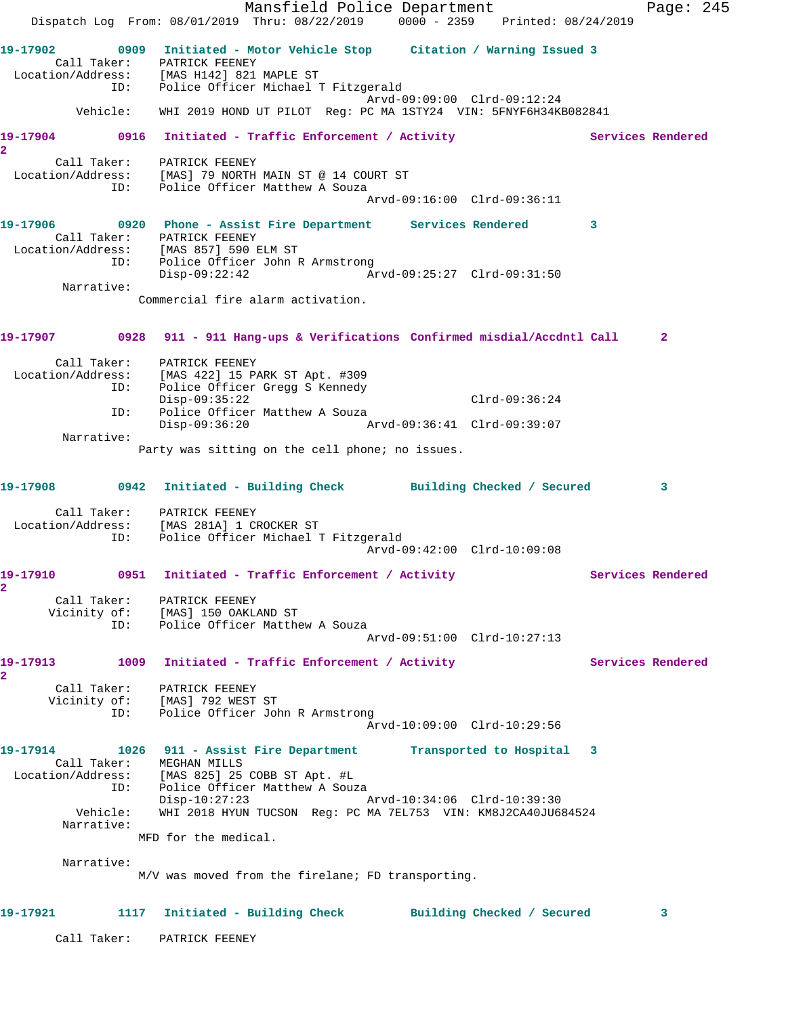Mansfield Police Department Fage: 245 Dispatch Log From: 08/01/2019 Thru: 08/22/2019 0000 - 2359 Printed: 08/24/2019 **19-17902 0909 Initiated - Motor Vehicle Stop Citation / Warning Issued 3**  Call Taker: PATRICK FEENEY Location/Address: [MAS H142] 821 MAPLE ST ID: Police Officer Michael T Fitzgerald Arvd-09:09:00 Clrd-09:12:24 Vehicle: WHI 2019 HOND UT PILOT Reg: PC MA 1STY24 VIN: 5FNYF6H34KB082841 19-17904 0916 Initiated - Traffic Enforcement / Activity **Services Rendered 2**  Call Taker: PATRICK FEENEY Location/Address: [MAS] 79 NORTH MAIN ST @ 14 COURT ST ID: Police Officer Matthew A Souza Arvd-09:16:00 Clrd-09:36:11 **19-17906 0920 Phone - Assist Fire Department Services Rendered 3**  Call Taker: PATRICK FEENEY Location/Address: [MAS 857] 590 ELM ST ID: Police Officer John R Armstrong Disp-09:22:42 Arvd-09:25:27 Clrd-09:31:50 Narrative: Commercial fire alarm activation. **19-17907 0928 911 - 911 Hang-ups & Verifications Confirmed misdial/Accdntl Call 2** Call Taker: PATRICK FEENEY Location/Address: [MAS 422] 15 PARK ST Apt. #309 ID: Police Officer Gregg S Kennedy Disp-09:35:22 Clrd-09:36:24 ID: Police Officer Matthew A Souza Disp-09:36:20 Arvd-09:36:41 Clrd-09:39:07 Narrative: Party was sitting on the cell phone; no issues. **19-17908 0942 Initiated - Building Check Building Checked / Secured 3** Call Taker: PATRICK FEENEY Location/Address: [MAS 281A] 1 CROCKER ST ID: Police Officer Michael T Fitzgerald Arvd-09:42:00 Clrd-10:09:08 19-17910 0951 Initiated - Traffic Enforcement / Activity **Services Rendered 2**  Call Taker: PATRICK FEENEY Vicinity of: [MAS] 150 OAKLAND ST ID: Police Officer Matthew A Souza Arvd-09:51:00 Clrd-10:27:13 19-17913 1009 Initiated - Traffic Enforcement / Activity **Services Rendered 2**  Call Taker: PATRICK FEENEY Vicinity of: [MAS] 792 WEST ST ID: Police Officer John R Armstrong Arvd-10:09:00 Clrd-10:29:56 **19-17914 1026 911 - Assist Fire Department Transported to Hospital 3**  Call Taker: MEGHAN MILLS Location/Address: [MAS 825] 25 COBB ST Apt. #L ID: Police Officer Matthew A Souza Disp-10:27:23 Arvd-10:34:06 Clrd-10:39:30 Vehicle: WHI 2018 HYUN TUCSON Reg: PC MA 7EL753 VIN: KM8J2CA40JU684524 Narrative: MFD for the medical. Narrative: M/V was moved from the firelane; FD transporting. **19-17921 1117 Initiated - Building Check Building Checked / Secured 3** Call Taker: PATRICK FEENEY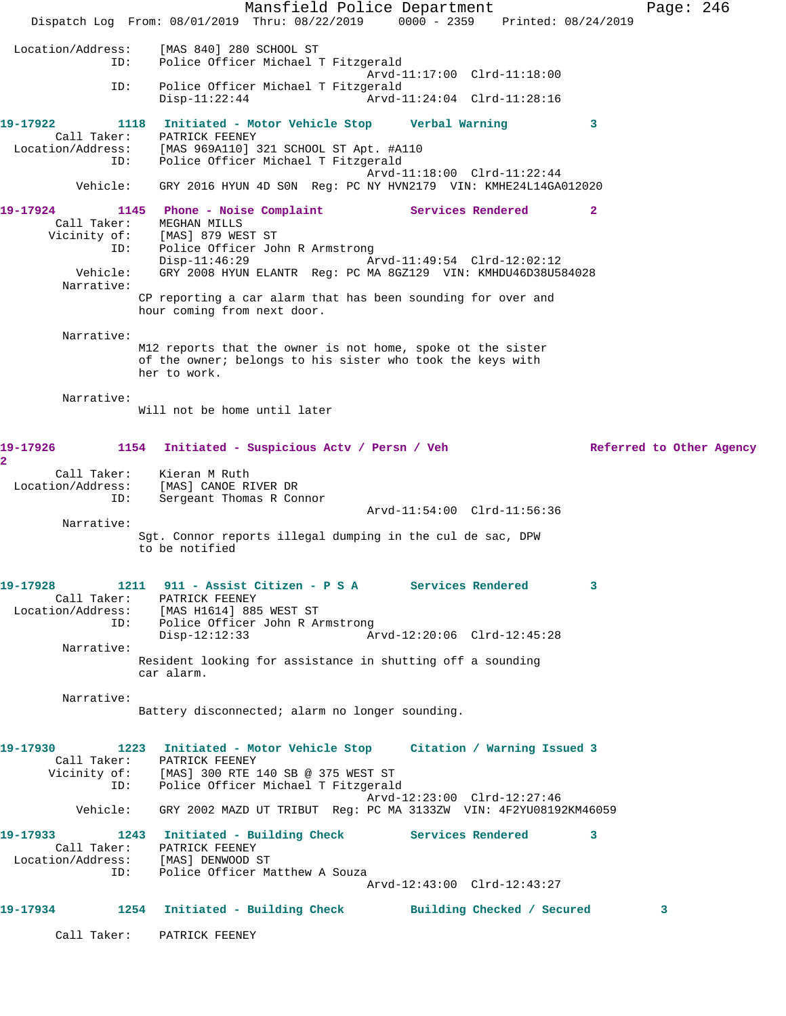Mansfield Police Department Fage: 246 Dispatch Log From: 08/01/2019 Thru: 08/22/2019 0000 - 2359 Printed: 08/24/2019 Location/Address: [MAS 840] 280 SCHOOL ST ID: Police Officer Michael T Fitzgerald Arvd-11:17:00 Clrd-11:18:00 ID: Police Officer Michael T Fitzgerald Disp-11:22:44 Arvd-11:24:04 Clrd-11:28:16 **19-17922 1118 Initiated - Motor Vehicle Stop Verbal Warning 3**  Call Taker: PATRICK FEENEY Location/Address: [MAS 969A110] 321 SCHOOL ST Apt. #A110 ID: Police Officer Michael T Fitzgerald Arvd-11:18:00 Clrd-11:22:44 Vehicle: GRY 2016 HYUN 4D S0N Reg: PC NY HVN2179 VIN: KMHE24L14GA012020 **19-17924 1145 Phone - Noise Complaint Services Rendered 2**  Call Taker: MEGHAN MILLS Vicinity of: [MAS] 879 WEST ST ID: Police Officer John R Armstrong<br>Disp-11:46:29 Ar Disp-11:46:29 Arvd-11:49:54 Clrd-12:02:12 Vehicle: GRY 2008 HYUN ELANTR Reg: PC MA 8GZ129 VIN: KMHDU46D38U584028 Narrative: CP reporting a car alarm that has been sounding for over and hour coming from next door. Narrative: M12 reports that the owner is not home, spoke ot the sister of the owner; belongs to his sister who took the keys with her to work. Narrative: Will not be home until later 19-17926 1154 Initiated - Suspicious Actv / Persn / Veh Referred to Other Agency **2**  Call Taker: Kieran M Ruth Location/Address: [MAS] CANOE RIVER DR ID: Sergeant Thomas R Connor Arvd-11:54:00 Clrd-11:56:36 Narrative: Sgt. Connor reports illegal dumping in the cul de sac, DPW to be notified **19-17928 1211 911 - Assist Citizen - P S A Services Rendered 3**  Call Taker: PATRICK FEENEY Location/Address: [MAS H1614] 885 WEST ST ID: Police Officer John R Armstrong Disp-12:12:33 Arvd-12:20:06 Clrd-12:45:28 Narrative: Resident looking for assistance in shutting off a sounding car alarm. Narrative: Battery disconnected; alarm no longer sounding. **19-17930 1223 Initiated - Motor Vehicle Stop Citation / Warning Issued 3**  Call Taker: PATRICK FEENEY Vicinity of: [MAS] 300 RTE 140 SB @ 375 WEST ST ID: Police Officer Michael T Fitzgerald Arvd-12:23:00 Clrd-12:27:46 Vehicle: GRY 2002 MAZD UT TRIBUT Reg: PC MA 3133ZW VIN: 4F2YU08192KM46059 **19-17933 1243 Initiated - Building Check Services Rendered 3**  Call Taker: PATRICK FEENEY Location/Address: [MAS] DENWOOD ST ID: Police Officer Matthew A Souza Arvd-12:43:00 Clrd-12:43:27 **19-17934 1254 Initiated - Building Check Building Checked / Secured 3** Call Taker: PATRICK FEENEY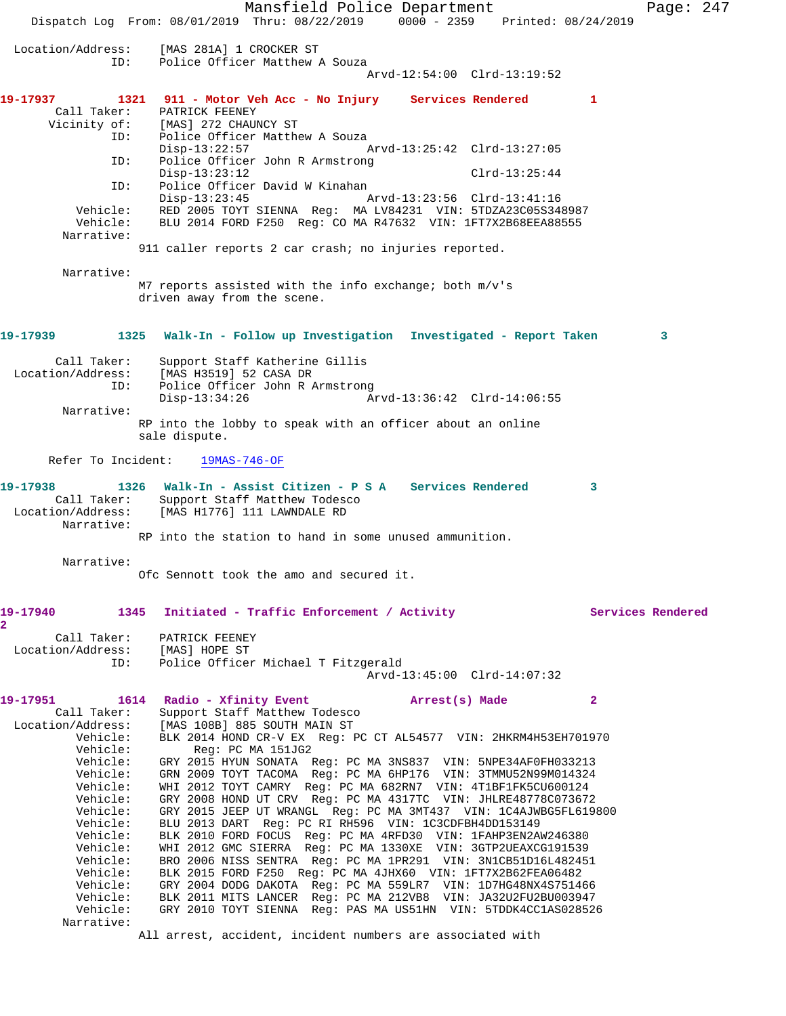Mansfield Police Department Page: 247 Dispatch Log From: 08/01/2019 Thru: 08/22/2019 0000 - 2359 Printed: 08/24/2019 Location/Address: [MAS 281A] 1 CROCKER ST ID: Police Officer Matthew A Souza Arvd-12:54:00 Clrd-13:19:52 **19-17937 1321 911 - Motor Veh Acc - No Injury Services Rendered 1**  Call Taker: PATRICK FEENEY<br>Vicinity of: [MAS] 272 CHAUI of: [MAS] 272 CHAUNCY ST<br>ID: Police Officer Matthe Police Officer Matthew A Souza<br>Disp-13:22:57 A Disp-13:22:57 Arvd-13:25:42 Clrd-13:27:05 ID: Police Officer John R Armstrong Disp-13:23:12 Clrd-13:25:44 ID: Police Officer David W Kinahan Disp-13:23:45 Arvd-13:23:56 Clrd-13:41:16 Vehicle: RED 2005 TOYT SIENNA Reg: MA LV84231 VIN: 5TDZA23C05S348987 Vehicle: BLU 2014 FORD F250 Reg: CO MA R47632 VIN: 1FT7X2B68EEA88555 Narrative: 911 caller reports 2 car crash; no injuries reported. Narrative: M7 reports assisted with the info exchange; both m/v's driven away from the scene. **19-17939 1325 Walk-In - Follow up Investigation Investigated - Report Taken 3** Call Taker: Support Staff Katherine Gillis<br>Location/Address: [MAS H3519] 52 CASA DR ess: [MAS H3519] 52 CASA DR<br>ID: Police Officer John R A Police Officer John R Armstrong Disp-13:34:26 Arvd-13:36:42 Clrd-14:06:55 Narrative: RP into the lobby to speak with an officer about an online sale dispute. Refer To Incident: 19MAS-746-OF **19-17938 1326 Walk-In - Assist Citizen - P S A Services Rendered 3**  Call Taker: Support Staff Matthew Todesco Location/Address: [MAS H1776] 111 LAWNDALE RD Narrative: RP into the station to hand in some unused ammunition. Narrative: Ofc Sennott took the amo and secured it. **19-17940 1345 Initiated - Traffic Enforcement / Activity Services Rendered 2**  Call Taker: PATRICK FEENEY Location/Address: [MAS] HOPE ST ID: Police Officer Michael T Fitzgerald Arvd-13:45:00 Clrd-14:07:32 **19-17951 1614 Radio - Xfinity Event Arrest(s) Made 2**  Call Taker: Support Staff Matthew Todesco Location/Address: [MAS 108B] 885 SOUTH MAIN ST Vehicle: BLK 2014 HOND CR-V EX Reg: PC CT AL54577 VIN: 2HKRM4H53EH701970 Vehicle: Reg: PC MA 151JG2 Vehicle: GRY 2015 HYUN SONATA Reg: PC MA 3NS837 VIN: 5NPE34AF0FH033213 Vehicle: GRN 2009 TOYT TACOMA Reg: PC MA 6HP176 VIN: 3TMMU52N99M014324 Vehicle: WHI 2012 TOYT CAMRY Reg: PC MA 682RN7 VIN: 4T1BF1FK5CU600124 Vehicle: GRY 2008 HOND UT CRV Reg: PC MA 4317TC VIN: JHLRE48778C073672 Vehicle: GRY 2015 JEEP UT WRANGL Reg: PC MA 3MT437 VIN: 1C4AJWBG5FL619800 Vehicle: BLU 2013 DART Reg: PC RI RH596 VIN: 1C3CDFBH4DD153149 Vehicle: BLK 2010 FORD FOCUS Reg: PC MA 4RFD30 VIN: 1FAHP3EN2AW246380 Vehicle: WHI 2012 GMC SIERRA Reg: PC MA 1330XE VIN: 3GTP2UEAXCG191539 Vehicle: BRO 2006 NISS SENTRA Reg: PC MA 1PR291 VIN: 3N1CB51D16L482451 Vehicle: BLK 2015 FORD F250 Reg: PC MA 4JHX60 VIN: 1FT7X2B62FEA06482 Vehicle: GRY 2004 DODG DAKOTA Reg: PC MA 559LR7 VIN: 1D7HG48NX4S751466 Vehicle: BLK 2011 MITS LANCER Reg: PC MA 212VB8 VIN: JA32U2FU2BU003947 Vehicle: GRY 2010 TOYT SIENNA Reg: PAS MA US51HN VIN: 5TDDK4CC1AS028526 Narrative: All arrest, accident, incident numbers are associated with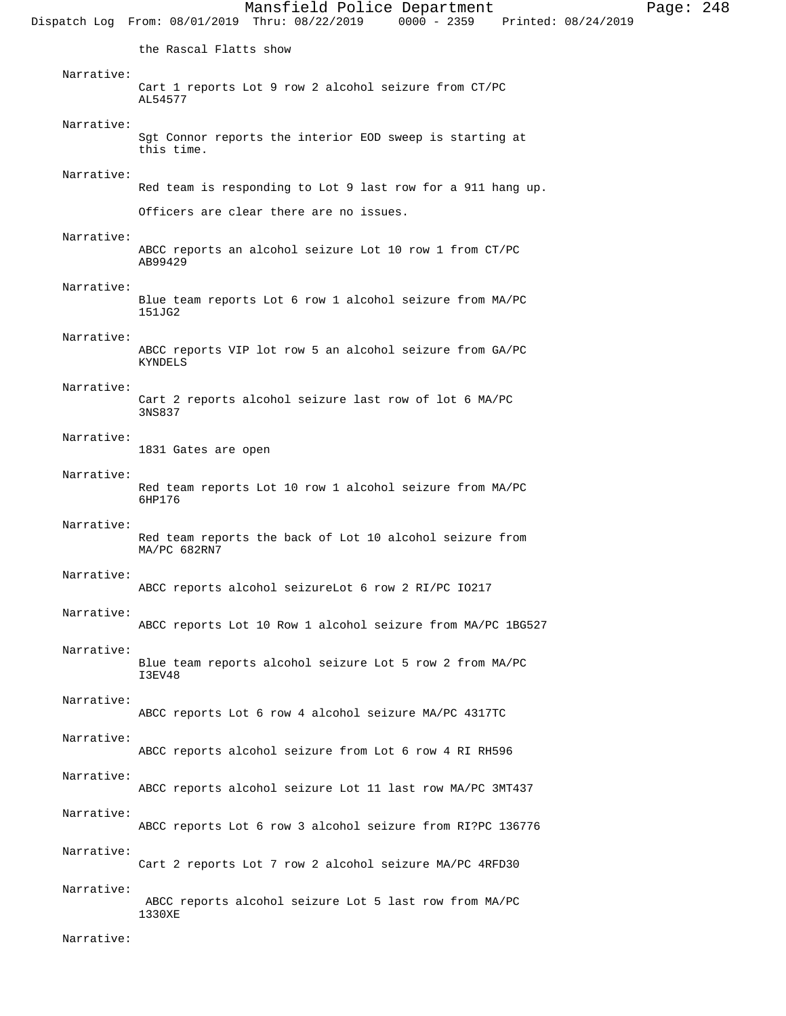Mansfield Police Department Page: 248 Dispatch Log From: 08/01/2019 Thru: 08/22/2019 the Rascal Flatts show Narrative: Cart 1 reports Lot 9 row 2 alcohol seizure from CT/PC AL54577 Narrative: Sgt Connor reports the interior EOD sweep is starting at this time. Narrative: Red team is responding to Lot 9 last row for a 911 hang up. Officers are clear there are no issues. Narrative: ABCC reports an alcohol seizure Lot 10 row 1 from CT/PC AB99429 Narrative: Blue team reports Lot 6 row 1 alcohol seizure from MA/PC 151JG2 Narrative: ABCC reports VIP lot row 5 an alcohol seizure from GA/PC KYNDELS Narrative: Cart 2 reports alcohol seizure last row of lot 6 MA/PC 3NS837 Narrative: 1831 Gates are open Narrative: Red team reports Lot 10 row 1 alcohol seizure from MA/PC 6HP176 Narrative: Red team reports the back of Lot 10 alcohol seizure from MA/PC 682RN7 Narrative: ABCC reports alcohol seizureLot 6 row 2 RI/PC IO217 Narrative: ABCC reports Lot 10 Row 1 alcohol seizure from MA/PC 1BG527 Narrative: Blue team reports alcohol seizure Lot 5 row 2 from MA/PC I3EV48 Narrative: ABCC reports Lot 6 row 4 alcohol seizure MA/PC 4317TC Narrative: ABCC reports alcohol seizure from Lot 6 row 4 RI RH596 Narrative: ABCC reports alcohol seizure Lot 11 last row MA/PC 3MT437 Narrative: ABCC reports Lot 6 row 3 alcohol seizure from RI?PC 136776 Narrative: Cart 2 reports Lot 7 row 2 alcohol seizure MA/PC 4RFD30 Narrative: ABCC reports alcohol seizure Lot 5 last row from MA/PC 1330XE

Narrative: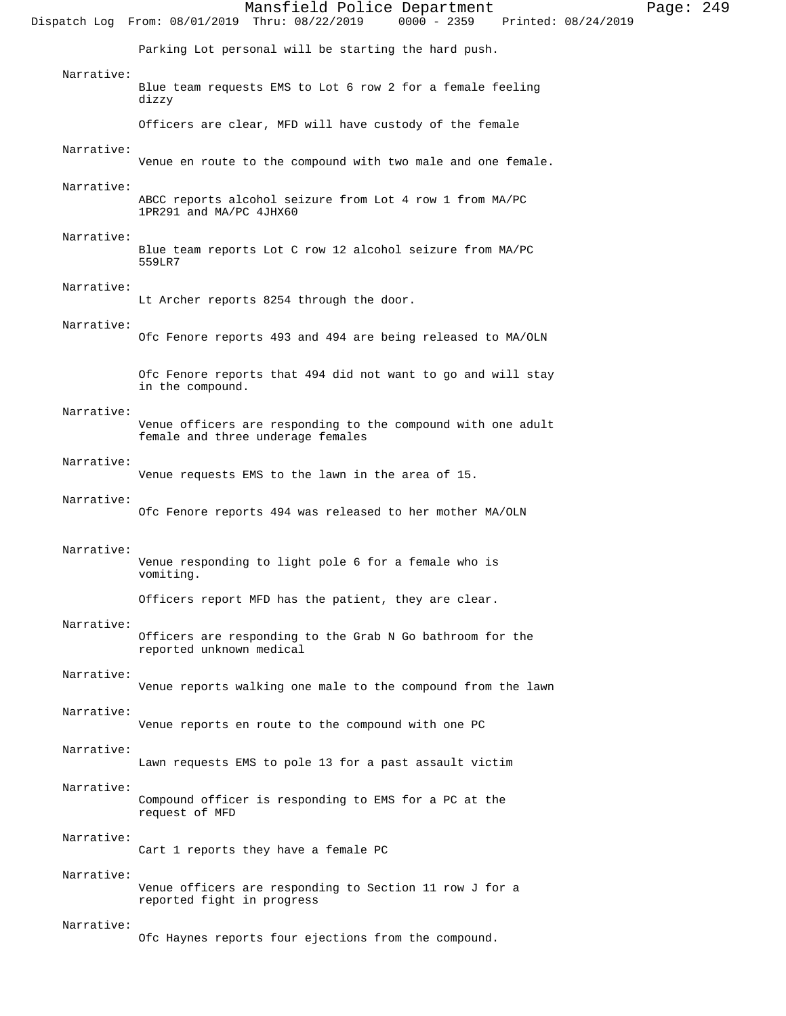|            | Mansfield Police Department<br>$0000 - 2359$<br>Dispatch Log From: 08/01/2019 Thru: 08/22/2019<br>Printed: 08/24/2019 | Page: $249$ |  |
|------------|-----------------------------------------------------------------------------------------------------------------------|-------------|--|
|            | Parking Lot personal will be starting the hard push.                                                                  |             |  |
| Narrative: | Blue team requests EMS to Lot 6 row 2 for a female feeling<br>dizzy                                                   |             |  |
|            | Officers are clear, MFD will have custody of the female                                                               |             |  |
| Narrative: | Venue en route to the compound with two male and one female.                                                          |             |  |
| Narrative: | ABCC reports alcohol seizure from Lot 4 row 1 from MA/PC<br>1PR291 and MA/PC 4JHX60                                   |             |  |
| Narrative: | Blue team reports Lot C row 12 alcohol seizure from MA/PC                                                             |             |  |
|            | 559LR7                                                                                                                |             |  |
| Narrative: | Lt Archer reports 8254 through the door.                                                                              |             |  |
| Narrative: | Ofc Fenore reports 493 and 494 are being released to MA/OLN                                                           |             |  |
|            | Ofc Fenore reports that 494 did not want to go and will stay<br>in the compound.                                      |             |  |
| Narrative: | Venue officers are responding to the compound with one adult<br>female and three underage females                     |             |  |
| Narrative: | Venue requests EMS to the lawn in the area of 15.                                                                     |             |  |
| Narrative: | Ofc Fenore reports 494 was released to her mother MA/OLN                                                              |             |  |
| Narrative: | Venue responding to light pole 6 for a female who is<br>vomiting.                                                     |             |  |
|            | Officers report MFD has the patient, they are clear.                                                                  |             |  |
| Narrative: | Officers are responding to the Grab N Go bathroom for the<br>reported unknown medical                                 |             |  |
| Narrative: | Venue reports walking one male to the compound from the lawn                                                          |             |  |
| Narrative: | Venue reports en route to the compound with one PC                                                                    |             |  |
| Narrative: | Lawn requests EMS to pole 13 for a past assault victim                                                                |             |  |
| Narrative: | Compound officer is responding to EMS for a PC at the<br>request of MFD                                               |             |  |
| Narrative: | Cart 1 reports they have a female PC                                                                                  |             |  |
| Narrative: | Venue officers are responding to Section 11 row J for a<br>reported fight in progress                                 |             |  |
| Narrative: | Ofc Haynes reports four ejections from the compound.                                                                  |             |  |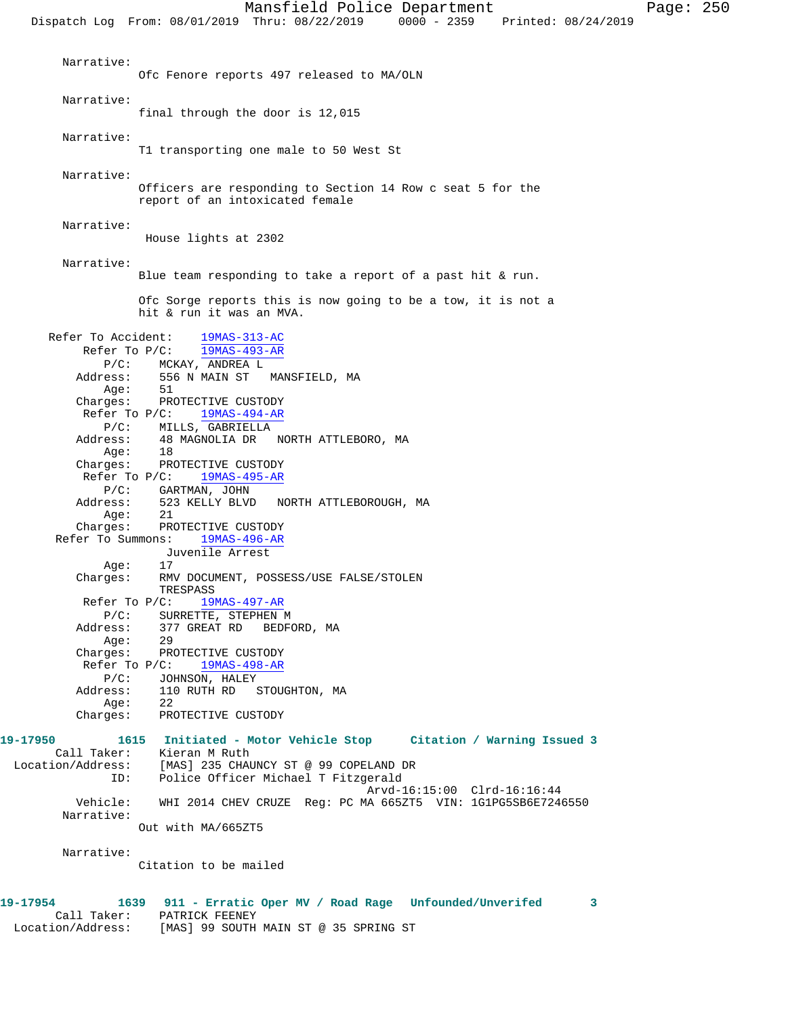Mansfield Police Department Page: 250 Dispatch Log From: 08/01/2019 Thru: 08/22/2019 0000 - 2359 Printed: 08/24/2019 Narrative: Ofc Fenore reports 497 released to MA/OLN Narrative: final through the door is 12,015 Narrative: T1 transporting one male to 50 West St Narrative: Officers are responding to Section 14 Row c seat 5 for the report of an intoxicated female Narrative: House lights at 2302 Narrative: Blue team responding to take a report of a past hit & run. Ofc Sorge reports this is now going to be a tow, it is not a hit & run it was an MVA. Refer To Accident: 19MAS-313-AC Refer To P/C: 19MAS-493-AR P/C: MCKAY, ANDREA L Address: 556 N MAIN ST MANSFIELD, MA Age: 51 Charges: PROTECTIVE CUSTODY Refer To P/C:  $\frac{19MAS-494-AR}{}$ P/C: MILLS, GABRIELLA<br>Address: 48 MAGNOLIA DR 48 MAGNOLIA DR NORTH ATTLEBORO, MA<br>18 Age: Charges: PROTECTIVE CUSTODY Refer To P/C: 19MAS-495-AR P/C: GARTMAN, JOHN<br>Address: 523 KELLY BLVD 523 KELLY BLVD NORTH ATTLEBOROUGH, MA Age: 21 Charges: PROTECTIVE CUSTODY Refer To Summons: 19MAS-496-AR Juvenile Arrest Age: 17 Charges: RMV DOCUMENT, POSSESS/USE FALSE/STOLEN TRESPASS Refer To P/C: 19MAS-497-AR P/C: SURRETTE, STEPHEN M Address: 377 GREAT RD BEDFORD, MA Age: 29 Charges: PROTECTIVE CUSTODY Refer To P/C: 19MAS-498-AR P/C: JOHNSON, HALEY<br>Address: 110 RUTH RD S 110 RUTH RD STOUGHTON, MA Age: Charges: PROTECTIVE CUSTODY **19-17950 1615 Initiated - Motor Vehicle Stop Citation / Warning Issued 3**  Call Taker: Kieran M Ruth<br>Location/Address: [MAS] 235 CHAT<br>ID: Police Office Location/Address: [MAS] 235 CHAUNCY ST @ 99 COPELAND DR ID: Police Officer Michael T Fitzgerald Arvd-16:15:00 Clrd-16:16:44<br>Vehicle: WHI 2014 CHEV CRUZE Reg: PC MA 665ZT5 VIN: 1G1PG5SB6E724 Vehicle: WHI 2014 CHEV CRUZE Reg: PC MA 665ZT5 VIN: 1G1PG5SB6E7246550 Narrative: Out with MA/665ZT5

Narrative:

Citation to be mailed

## **19-17954 1639 911 - Erratic Oper MV / Road Rage Unfounded/Unverifed 3**  Call Taker: PATRICK FEENEY Location/Address: [MAS] 99 SOUTH MAIN ST @ 35 SPRING ST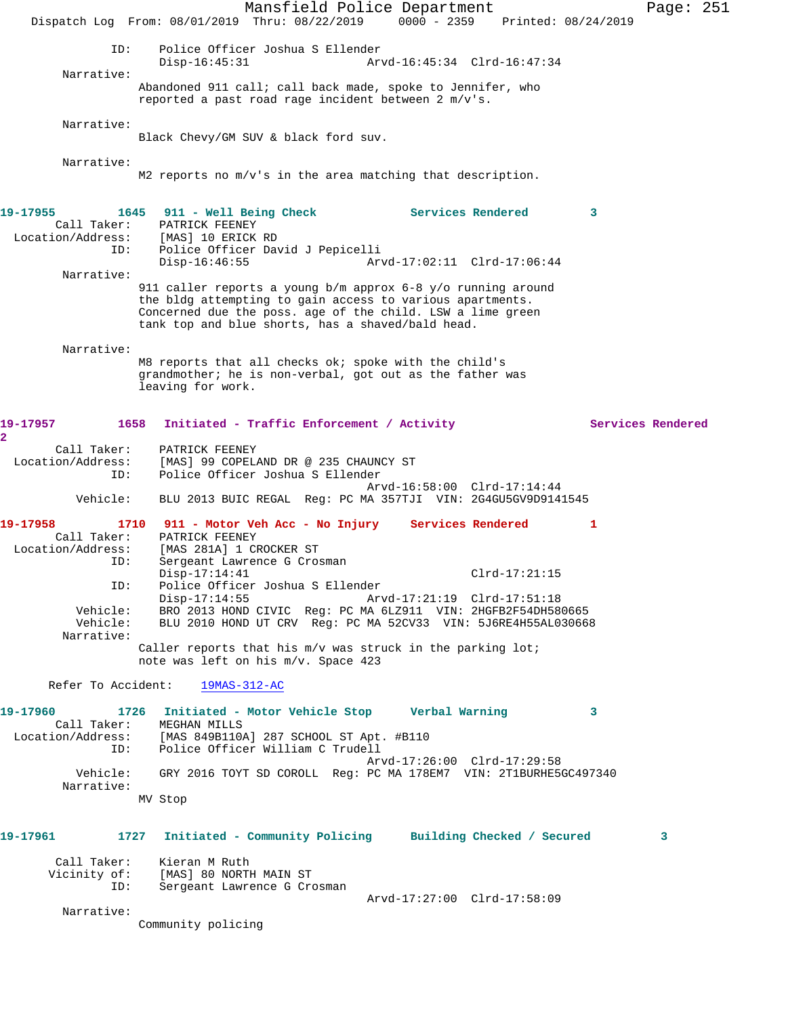Mansfield Police Department Page: 251 Dispatch Log From: 08/01/2019 Thru: 08/22/2019 0000 - 2359 Printed: 08/24/2019 ID: Police Officer Joshua S Ellender Disp-16:45:31 Arvd-16:45:34 Clrd-16:47:34 Narrative: Abandoned 911 call; call back made, spoke to Jennifer, who reported a past road rage incident between 2 m/v's. Narrative: Black Chevy/GM SUV & black ford suv. Narrative: M2 reports no m/v's in the area matching that description. **19-17955 1645 911 - Well Being Check Services Rendered 3**  Call Taker: PATRICK FEENEY<br>Location/Address: [MAS] 10 ERICK [MAS] 10 ERICK RD ID: Police Officer David J Pepicelli Disp-16:46:55 Arvd-17:02:11 Clrd-17:06:44 Narrative: 911 caller reports a young b/m approx 6-8 y/o running around the bldg attempting to gain access to various apartments. Concerned due the poss. age of the child. LSW a lime green tank top and blue shorts, has a shaved/bald head. Narrative: M8 reports that all checks ok; spoke with the child's grandmother; he is non-verbal, got out as the father was leaving for work. 19-17957 1658 Initiated - Traffic Enforcement / Activity **Services Rendered 2**  Call Taker: PATRICK FEENEY<br>Location/Address: [MAS] 99 COPEL ess: [MAS] 99 COPELAND DR @ 235 CHAUNCY ST<br>ID: Police Officer Joshua S Ellender Police Officer Joshua S Ellender Arvd-16:58:00 Clrd-17:14:44 Vehicle: BLU 2013 BUIC REGAL Reg: PC MA 357TJI VIN: 2G4GU5GV9D9141545 **19-17958 1710 911 - Motor Veh Acc - No Injury Services Rendered 1**  Call Taker: PATRICK FEENEY<br>Location/Address: [MAS 281A] 1 CH [MAS 281A] 1 CROCKER ST ID: Sergeant Lawrence G Crosman Disp-17:14:41 Clrd-17:21:15 ID: Police Officer Joshua S Ellender Arvd-17:21:19 Clrd-17:51:18 Vehicle: BRO 2013 HOND CIVIC Reg: PC MA 6LZ911 VIN: 2HGFB2F54DH580665 Vehicle: BLU 2010 HOND UT CRV Reg: PC MA 52CV33 VIN: 5J6RE4H55AL030668 Narrative: Caller reports that his m/v was struck in the parking lot; note was left on his m/v. Space 423 Refer To Accident: 19MAS-312-AC **19-17960 1726 Initiated - Motor Vehicle Stop Verbal Warning 3**  Call Taker: MEGHAN MILLS Location/Address: [MAS 849B110A] 287 SCHOOL ST Apt. #B110 ID: Police Officer William C Trudell Arvd-17:26:00 Clrd-17:29:58<br>Vehicle: GRY 2016 TOYT SD COROLL Reg: PC MA 178EM7 VIN: 2T1BURHE50 GRY 2016 TOYT SD COROLL Reg: PC MA 178EM7 VIN: 2T1BURHE5GC497340 Narrative: MV Stop **19-17961 1727 Initiated - Community Policing Building Checked / Secured 3** Call Taker: Kieran M Ruth Vicinity of: [MAS] 80 NORTH MAIN ST ID: Sergeant Lawrence G Crosman Arvd-17:27:00 Clrd-17:58:09 Narrative: Community policing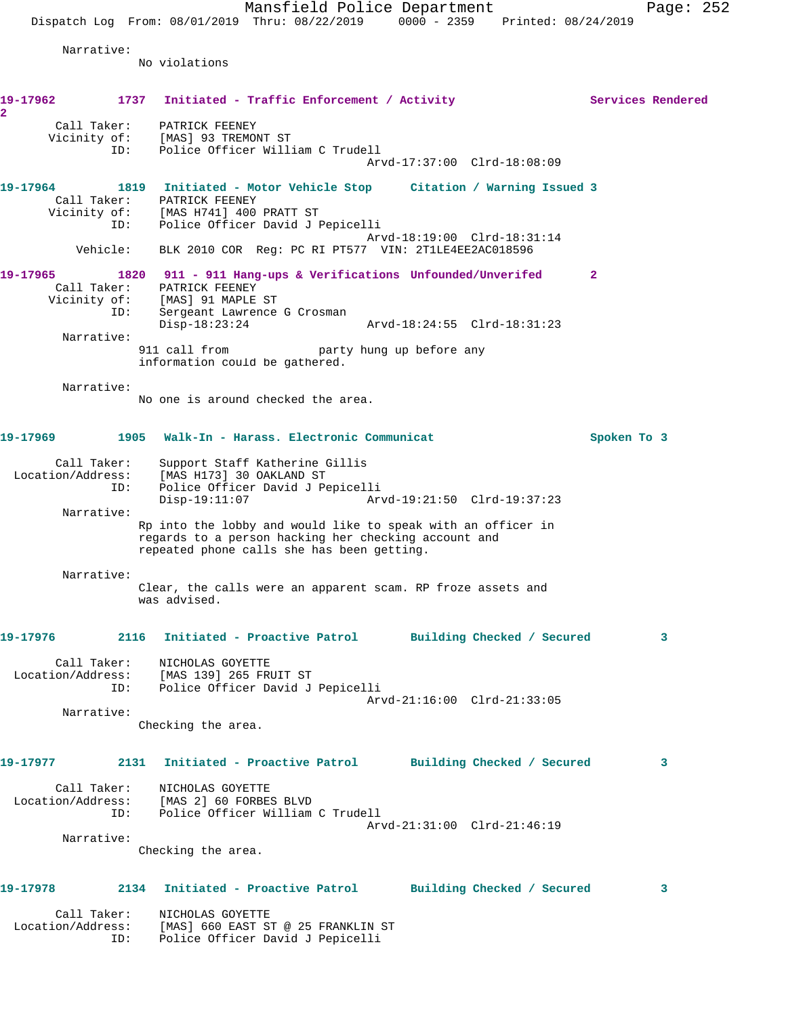Mansfield Police Department Page: 252 Dispatch Log From: 08/01/2019 Thru: 08/22/2019 0000 - 2359 Printed: 08/24/2019 Narrative: No violations 19-17962 1737 Initiated - Traffic Enforcement / Activity **Services Rendered 2**  Call Taker: PATRICK FEENEY Vicinity of: [MAS] 93 TREMONT ST ID: Police Officer William C Trudell Arvd-17:37:00 Clrd-18:08:09 **19-17964 1819 Initiated - Motor Vehicle Stop Citation / Warning Issued 3**  Call Taker: PATRICK FEENEY Vicinity of: [MAS H741] 400 PRATT ST ID: Police Officer David J Pepicelli Arvd-18:19:00 Clrd-18:31:14 Vehicle: BLK 2010 COR Reg: PC RI PT577 VIN: 2T1LE4EE2AC018596 **19-17965 1820 911 - 911 Hang-ups & Verifications Unfounded/Unverifed 2**  Call Taker: PATRICK FEENEY Vicinity of: [MAS] 91 MAPLE ST ID: Sergeant Lawrence G Crosman Disp-18:23:24 Arvd-18:24:55 Clrd-18:31:23 Narrative:<br>911 call from party hung up before any information could be gathered. Narrative: No one is around checked the area. **19-17969 1905 Walk-In - Harass. Electronic Communicat Spoken To 3** Call Taker: Support Staff Katherine Gillis Location/Address: [MAS H173] 30 OAKLAND ST<br>ID: Police Officer David J Pe Police Officer David J Pepicelli Disp-19:11:07 Arvd-19:21:50 Clrd-19:37:23 Narrative: Rp into the lobby and would like to speak with an officer in regards to a person hacking her checking account and repeated phone calls she has been getting. Narrative: Clear, the calls were an apparent scam. RP froze assets and was advised. **19-17976 2116 Initiated - Proactive Patrol Building Checked / Secured 3** Call Taker: NICHOLAS GOYETTE Location/Address: [MAS 139] 265 FRUIT ST ID: Police Officer David J Pepicelli Arvd-21:16:00 Clrd-21:33:05 Narrative: Checking the area. **19-17977 2131 Initiated - Proactive Patrol Building Checked / Secured 3** Call Taker: NICHOLAS GOYETTE Location/Address: [MAS 2] 60 FORBES BLVD ID: Police Officer William C Trudell Arvd-21:31:00 Clrd-21:46:19 Narrative: Checking the area. **19-17978 2134 Initiated - Proactive Patrol Building Checked / Secured 3** Call Taker: NICHOLAS GOYETTE Location/Address: [MAS] 660 EAST ST @ 25 FRANKLIN ST ID: Police Officer David J Pepicelli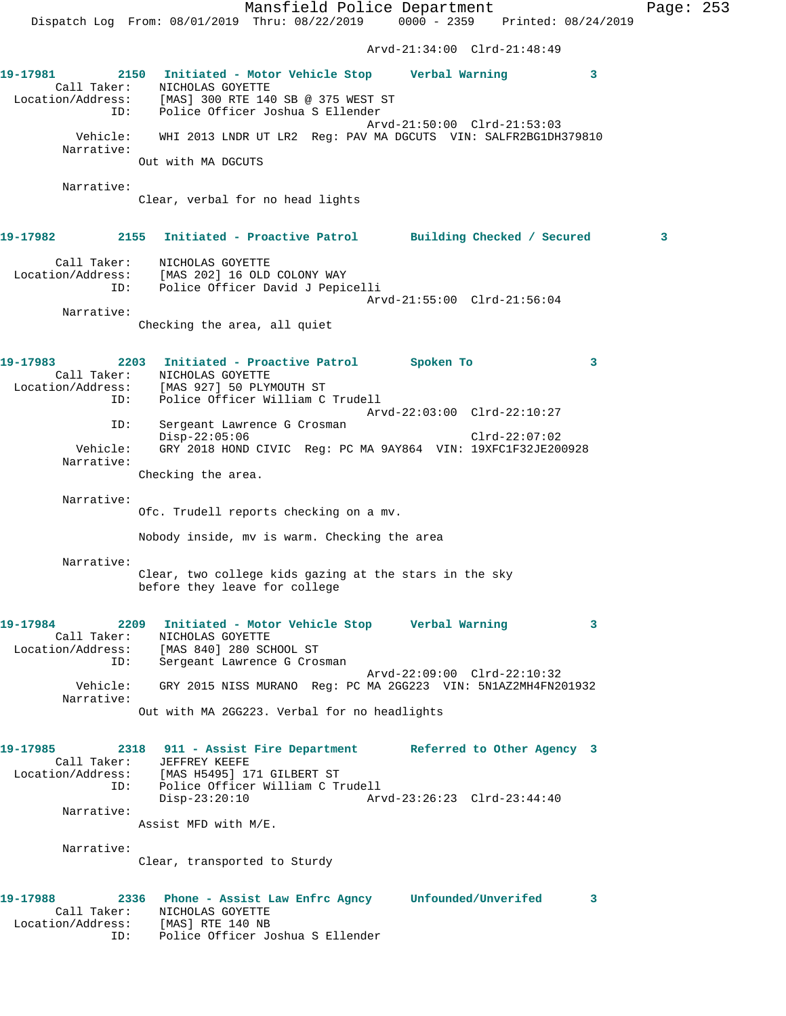Mansfield Police Department Page: 253 Dispatch Log From: 08/01/2019 Thru: 08/22/2019 0000 - 2359 Printed: 08/24/2019 Arvd-21:34:00 Clrd-21:48:49 **19-17981 2150 Initiated - Motor Vehicle Stop Verbal Warning 3**  Call Taker: NICHOLAS GOYETTE Location/Address: [MAS] 300 RTE 140 SB @ 375 WEST ST ID: Police Officer Joshua S Ellender Arvd-21:50:00 Clrd-21:53:03 Vehicle: WHI 2013 LNDR UT LR2 Reg: PAV MA DGCUTS VIN: SALFR2BG1DH379810 Narrative: Out with MA DGCUTS Narrative: Clear, verbal for no head lights **19-17982 2155 Initiated - Proactive Patrol Building Checked / Secured 3** Call Taker: NICHOLAS GOYETTE Location/Address: [MAS 202] 16 OLD COLONY WAY ID: Police Officer David J Pepicelli Arvd-21:55:00 Clrd-21:56:04 Narrative: Checking the area, all quiet **19-17983 2203 Initiated - Proactive Patrol Spoken To 3**  Call Taker: NICHOLAS GOYETTE Location/Address: [MAS 927] 50 PLYMOUTH ST ID: Police Officer William C Trudell Arvd-22:03:00 Clrd-22:10:27 ID: Sergeant Lawrence G Crosman Disp-22:05:06 Clrd-22:07:02 Vehicle: GRY 2018 HOND CIVIC Reg: PC MA 9AY864 VIN: 19XFC1F32JE200928 Narrative: Checking the area. Narrative: Ofc. Trudell reports checking on a mv. Nobody inside, mv is warm. Checking the area Narrative: Clear, two college kids gazing at the stars in the sky before they leave for college **19-17984 2209 Initiated - Motor Vehicle Stop Verbal Warning 3**  Call Taker: NICHOLAS GOYETTE Location/Address: [MAS 840] 280 SCHOOL ST ID: Sergeant Lawrence G Crosman Arvd-22:09:00 Clrd-22:10:32 Vehicle: GRY 2015 NISS MURANO Reg: PC MA 2GG223 VIN: 5N1AZ2MH4FN201932 Narrative: Out with MA 2GG223. Verbal for no headlights **19-17985 2318 911 - Assist Fire Department Referred to Other Agency 3**  Call Taker: JEFFREY KEEFE Location/Address: [MAS H5495] 171 GILBERT ST ID: Police Officer William C Trudell Disp-23:20:10 Arvd-23:26:23 Clrd-23:44:40 Narrative: Assist MFD with M/E. Narrative: Clear, transported to Sturdy **19-17988 2336 Phone - Assist Law Enfrc Agncy Unfounded/Unverifed 3**  Call Taker: NICHOLAS GOYETTE Location/Address: [MAS] RTE 140 NB ID: Police Officer Joshua S Ellender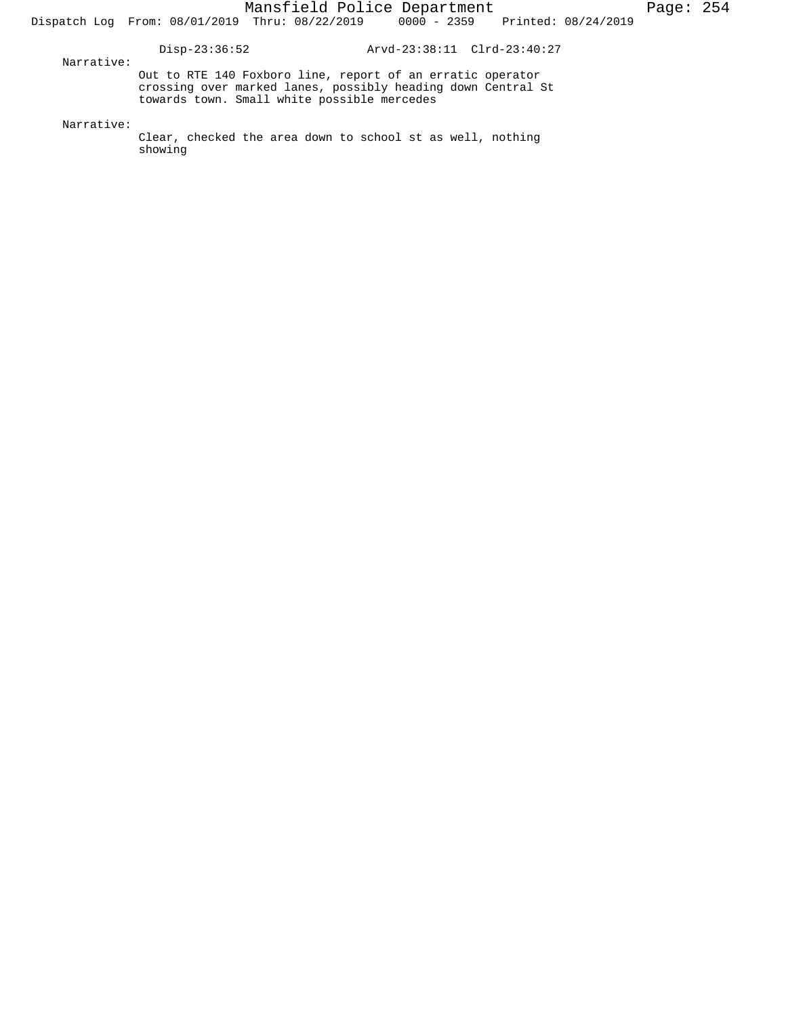Disp-23:36:52 Arvd-23:38:11 Clrd-23:40:27

 Narrative: Out to RTE 140 Foxboro line, report of an erratic operator crossing over marked lanes, possibly heading down Central St towards town. Small white possible mercedes

Narrative:

Clear, checked the area down to school st as well, nothing showing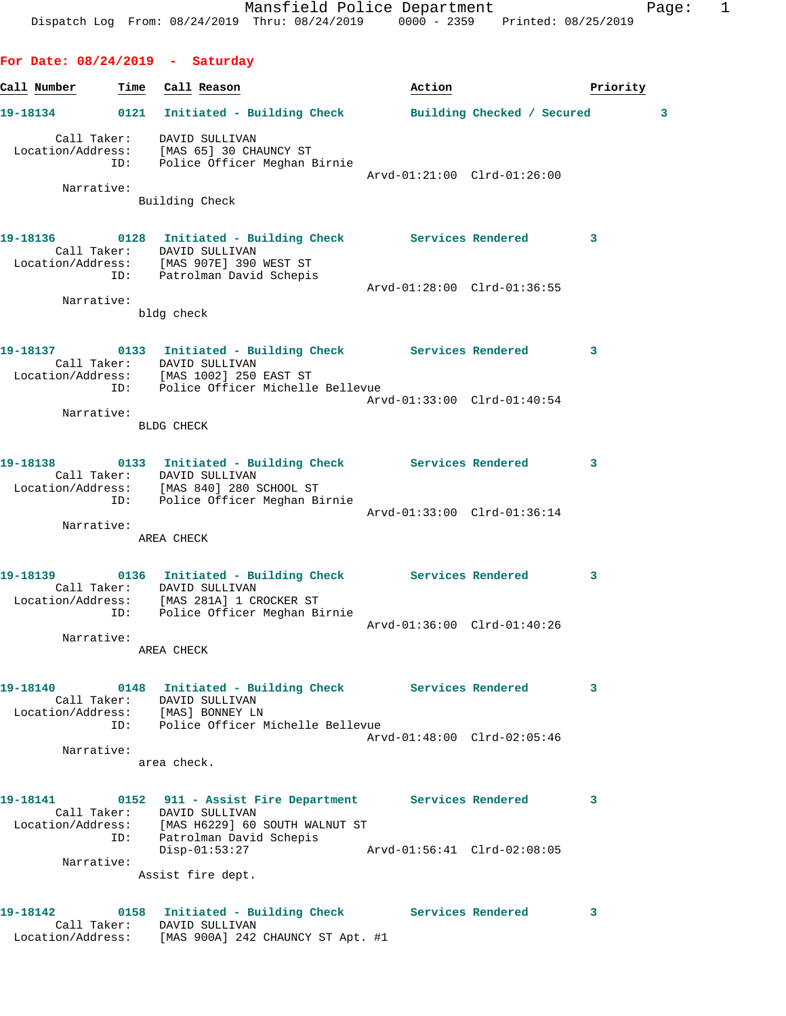**For Date: 08/24/2019 - Saturday Call Number Time Call Reason Action Action Priority 19-18134 0121 Initiated - Building Check Building Checked / Secured 3** Call Taker: DAVID SULLIVAN Location/Address: [MAS 65] 30 CHAUNCY ST ID: Police Officer Meghan Birnie Arvd-01:21:00 Clrd-01:26:00 Narrative: Building Check **19-18136 0128 Initiated - Building Check Services Rendered 3**  Call Taker: DAVID SULLIVAN Location/Address: [MAS 907E] 390 WEST ST ID: Patrolman David Schepis Arvd-01:28:00 Clrd-01:36:55 Narrative: bldg check **19-18137 0133 Initiated - Building Check Services Rendered 3**  Call Taker: DAVID SULLIVAN Location/Address: [MAS 1002] 250 EAST ST ID: Police Officer Michelle Bellevue Arvd-01:33:00 Clrd-01:40:54 Narrative: BLDG CHECK **19-18138 0133 Initiated - Building Check Services Rendered 3**  Call Taker: DAVID SULLIVAN Location/Address: [MAS 840] 280 SCHOOL ST ID: Police Officer Meghan Birnie Arvd-01:33:00 Clrd-01:36:14 Narrative: AREA CHECK **19-18139 0136 Initiated - Building Check Services Rendered 3**  Call Taker: DAVID SULLIVAN Location/Address: [MAS 281A] 1 CROCKER ST ID: Police Officer Meghan Birnie Arvd-01:36:00 Clrd-01:40:26 Narrative: AREA CHECK **19-18140 0148 Initiated - Building Check Services Rendered 3**  Call Taker: DAVID SULLIVAN Location/Address: [MAS] BONNEY LN ID: Police Officer Michelle Bellevue Arvd-01:48:00 Clrd-02:05:46 Narrative: area check. **19-18141 0152 911 - Assist Fire Department Services Rendered 3**  Call Taker: DAVID SULLIVAN Location/Address: [MAS H6229] 60 SOUTH WALNUT ST ID: Patrolman David Schepis Disp-01:53:27 Arvd-01:56:41 Clrd-02:08:05 Narrative: Assist fire dept. 19-18142 **0158** Initiated - Building Check Services Rendered 3

 Call Taker: DAVID SULLIVAN Location/Address: [MAS 900A] 242 CHAUNCY ST Apt. #1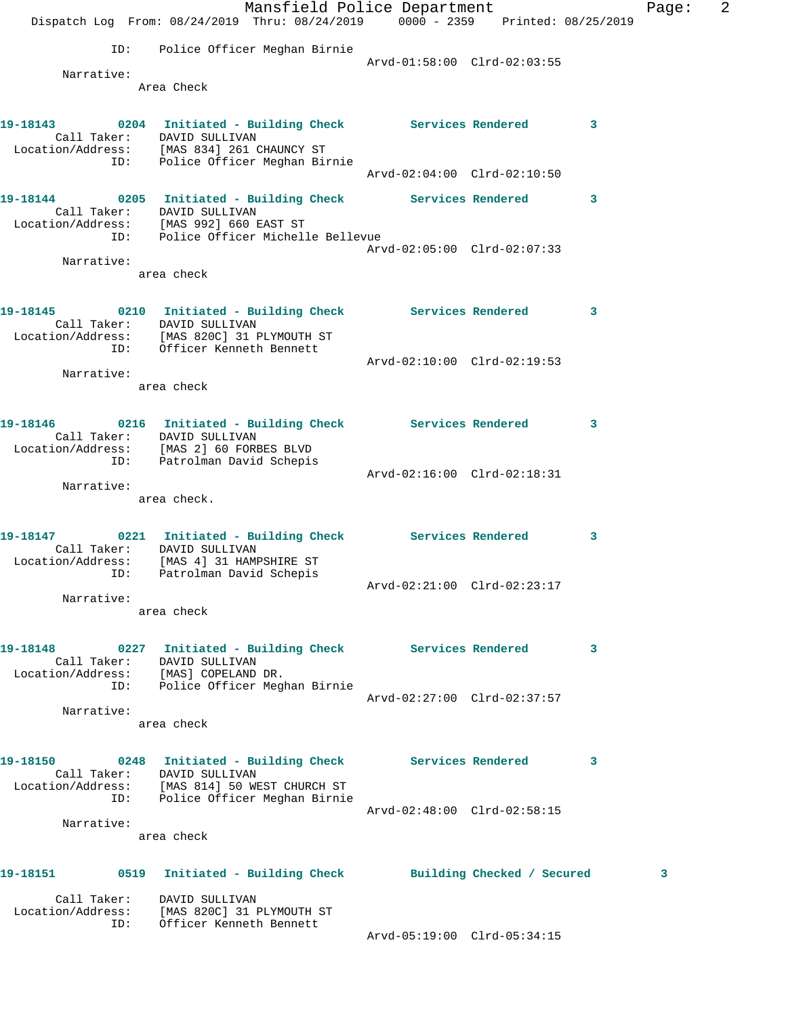|                                      |                                                                                                                                                                                                                                                                                                                                                                                                                                                                                                                                                                                                                   |                                                                                 |                                                                                                                                                                                                                                                                                                                                          | Page:                                                                                                                                                                                                                                                                                                                                                                                                                                              | 2 |
|--------------------------------------|-------------------------------------------------------------------------------------------------------------------------------------------------------------------------------------------------------------------------------------------------------------------------------------------------------------------------------------------------------------------------------------------------------------------------------------------------------------------------------------------------------------------------------------------------------------------------------------------------------------------|---------------------------------------------------------------------------------|------------------------------------------------------------------------------------------------------------------------------------------------------------------------------------------------------------------------------------------------------------------------------------------------------------------------------------------|----------------------------------------------------------------------------------------------------------------------------------------------------------------------------------------------------------------------------------------------------------------------------------------------------------------------------------------------------------------------------------------------------------------------------------------------------|---|
|                                      |                                                                                                                                                                                                                                                                                                                                                                                                                                                                                                                                                                                                                   |                                                                                 |                                                                                                                                                                                                                                                                                                                                          |                                                                                                                                                                                                                                                                                                                                                                                                                                                    |   |
| Police Officer Meghan Birnie         |                                                                                                                                                                                                                                                                                                                                                                                                                                                                                                                                                                                                                   |                                                                                 |                                                                                                                                                                                                                                                                                                                                          |                                                                                                                                                                                                                                                                                                                                                                                                                                                    |   |
|                                      |                                                                                                                                                                                                                                                                                                                                                                                                                                                                                                                                                                                                                   |                                                                                 |                                                                                                                                                                                                                                                                                                                                          |                                                                                                                                                                                                                                                                                                                                                                                                                                                    |   |
| Area Check                           |                                                                                                                                                                                                                                                                                                                                                                                                                                                                                                                                                                                                                   |                                                                                 |                                                                                                                                                                                                                                                                                                                                          |                                                                                                                                                                                                                                                                                                                                                                                                                                                    |   |
|                                      |                                                                                                                                                                                                                                                                                                                                                                                                                                                                                                                                                                                                                   |                                                                                 |                                                                                                                                                                                                                                                                                                                                          |                                                                                                                                                                                                                                                                                                                                                                                                                                                    |   |
|                                      |                                                                                                                                                                                                                                                                                                                                                                                                                                                                                                                                                                                                                   |                                                                                 | 3                                                                                                                                                                                                                                                                                                                                        |                                                                                                                                                                                                                                                                                                                                                                                                                                                    |   |
|                                      |                                                                                                                                                                                                                                                                                                                                                                                                                                                                                                                                                                                                                   |                                                                                 |                                                                                                                                                                                                                                                                                                                                          |                                                                                                                                                                                                                                                                                                                                                                                                                                                    |   |
| ID: Police Officer Meghan Birnie     |                                                                                                                                                                                                                                                                                                                                                                                                                                                                                                                                                                                                                   |                                                                                 |                                                                                                                                                                                                                                                                                                                                          |                                                                                                                                                                                                                                                                                                                                                                                                                                                    |   |
|                                      |                                                                                                                                                                                                                                                                                                                                                                                                                                                                                                                                                                                                                   |                                                                                 |                                                                                                                                                                                                                                                                                                                                          |                                                                                                                                                                                                                                                                                                                                                                                                                                                    |   |
|                                      |                                                                                                                                                                                                                                                                                                                                                                                                                                                                                                                                                                                                                   |                                                                                 | 3                                                                                                                                                                                                                                                                                                                                        |                                                                                                                                                                                                                                                                                                                                                                                                                                                    |   |
|                                      |                                                                                                                                                                                                                                                                                                                                                                                                                                                                                                                                                                                                                   |                                                                                 |                                                                                                                                                                                                                                                                                                                                          |                                                                                                                                                                                                                                                                                                                                                                                                                                                    |   |
|                                      |                                                                                                                                                                                                                                                                                                                                                                                                                                                                                                                                                                                                                   |                                                                                 |                                                                                                                                                                                                                                                                                                                                          |                                                                                                                                                                                                                                                                                                                                                                                                                                                    |   |
|                                      |                                                                                                                                                                                                                                                                                                                                                                                                                                                                                                                                                                                                                   |                                                                                 |                                                                                                                                                                                                                                                                                                                                          |                                                                                                                                                                                                                                                                                                                                                                                                                                                    |   |
|                                      |                                                                                                                                                                                                                                                                                                                                                                                                                                                                                                                                                                                                                   |                                                                                 |                                                                                                                                                                                                                                                                                                                                          |                                                                                                                                                                                                                                                                                                                                                                                                                                                    |   |
|                                      |                                                                                                                                                                                                                                                                                                                                                                                                                                                                                                                                                                                                                   |                                                                                 |                                                                                                                                                                                                                                                                                                                                          |                                                                                                                                                                                                                                                                                                                                                                                                                                                    |   |
|                                      |                                                                                                                                                                                                                                                                                                                                                                                                                                                                                                                                                                                                                   |                                                                                 |                                                                                                                                                                                                                                                                                                                                          |                                                                                                                                                                                                                                                                                                                                                                                                                                                    |   |
| ID: Officer Kenneth Bennett          |                                                                                                                                                                                                                                                                                                                                                                                                                                                                                                                                                                                                                   |                                                                                 |                                                                                                                                                                                                                                                                                                                                          |                                                                                                                                                                                                                                                                                                                                                                                                                                                    |   |
|                                      |                                                                                                                                                                                                                                                                                                                                                                                                                                                                                                                                                                                                                   |                                                                                 |                                                                                                                                                                                                                                                                                                                                          |                                                                                                                                                                                                                                                                                                                                                                                                                                                    |   |
| area check                           |                                                                                                                                                                                                                                                                                                                                                                                                                                                                                                                                                                                                                   |                                                                                 |                                                                                                                                                                                                                                                                                                                                          |                                                                                                                                                                                                                                                                                                                                                                                                                                                    |   |
|                                      |                                                                                                                                                                                                                                                                                                                                                                                                                                                                                                                                                                                                                   |                                                                                 |                                                                                                                                                                                                                                                                                                                                          |                                                                                                                                                                                                                                                                                                                                                                                                                                                    |   |
|                                      |                                                                                                                                                                                                                                                                                                                                                                                                                                                                                                                                                                                                                   |                                                                                 | 3                                                                                                                                                                                                                                                                                                                                        |                                                                                                                                                                                                                                                                                                                                                                                                                                                    |   |
|                                      |                                                                                                                                                                                                                                                                                                                                                                                                                                                                                                                                                                                                                   |                                                                                 |                                                                                                                                                                                                                                                                                                                                          |                                                                                                                                                                                                                                                                                                                                                                                                                                                    |   |
|                                      |                                                                                                                                                                                                                                                                                                                                                                                                                                                                                                                                                                                                                   |                                                                                 |                                                                                                                                                                                                                                                                                                                                          |                                                                                                                                                                                                                                                                                                                                                                                                                                                    |   |
|                                      |                                                                                                                                                                                                                                                                                                                                                                                                                                                                                                                                                                                                                   |                                                                                 |                                                                                                                                                                                                                                                                                                                                          |                                                                                                                                                                                                                                                                                                                                                                                                                                                    |   |
| area check.                          |                                                                                                                                                                                                                                                                                                                                                                                                                                                                                                                                                                                                                   |                                                                                 |                                                                                                                                                                                                                                                                                                                                          |                                                                                                                                                                                                                                                                                                                                                                                                                                                    |   |
|                                      |                                                                                                                                                                                                                                                                                                                                                                                                                                                                                                                                                                                                                   |                                                                                 |                                                                                                                                                                                                                                                                                                                                          |                                                                                                                                                                                                                                                                                                                                                                                                                                                    |   |
|                                      |                                                                                                                                                                                                                                                                                                                                                                                                                                                                                                                                                                                                                   |                                                                                 |                                                                                                                                                                                                                                                                                                                                          |                                                                                                                                                                                                                                                                                                                                                                                                                                                    |   |
|                                      |                                                                                                                                                                                                                                                                                                                                                                                                                                                                                                                                                                                                                   |                                                                                 |                                                                                                                                                                                                                                                                                                                                          |                                                                                                                                                                                                                                                                                                                                                                                                                                                    |   |
|                                      |                                                                                                                                                                                                                                                                                                                                                                                                                                                                                                                                                                                                                   |                                                                                 |                                                                                                                                                                                                                                                                                                                                          |                                                                                                                                                                                                                                                                                                                                                                                                                                                    |   |
| area check                           |                                                                                                                                                                                                                                                                                                                                                                                                                                                                                                                                                                                                                   |                                                                                 |                                                                                                                                                                                                                                                                                                                                          |                                                                                                                                                                                                                                                                                                                                                                                                                                                    |   |
|                                      |                                                                                                                                                                                                                                                                                                                                                                                                                                                                                                                                                                                                                   |                                                                                 |                                                                                                                                                                                                                                                                                                                                          |                                                                                                                                                                                                                                                                                                                                                                                                                                                    |   |
|                                      |                                                                                                                                                                                                                                                                                                                                                                                                                                                                                                                                                                                                                   |                                                                                 | 3                                                                                                                                                                                                                                                                                                                                        |                                                                                                                                                                                                                                                                                                                                                                                                                                                    |   |
| Location/Address: [MAS] COPELAND DR. |                                                                                                                                                                                                                                                                                                                                                                                                                                                                                                                                                                                                                   |                                                                                 |                                                                                                                                                                                                                                                                                                                                          |                                                                                                                                                                                                                                                                                                                                                                                                                                                    |   |
| ID: Police Officer Meghan Birnie     |                                                                                                                                                                                                                                                                                                                                                                                                                                                                                                                                                                                                                   |                                                                                 |                                                                                                                                                                                                                                                                                                                                          |                                                                                                                                                                                                                                                                                                                                                                                                                                                    |   |
|                                      |                                                                                                                                                                                                                                                                                                                                                                                                                                                                                                                                                                                                                   |                                                                                 |                                                                                                                                                                                                                                                                                                                                          |                                                                                                                                                                                                                                                                                                                                                                                                                                                    |   |
| area check                           |                                                                                                                                                                                                                                                                                                                                                                                                                                                                                                                                                                                                                   |                                                                                 |                                                                                                                                                                                                                                                                                                                                          |                                                                                                                                                                                                                                                                                                                                                                                                                                                    |   |
|                                      |                                                                                                                                                                                                                                                                                                                                                                                                                                                                                                                                                                                                                   |                                                                                 |                                                                                                                                                                                                                                                                                                                                          |                                                                                                                                                                                                                                                                                                                                                                                                                                                    |   |
| Call Taker: DAVID SULLIVAN           |                                                                                                                                                                                                                                                                                                                                                                                                                                                                                                                                                                                                                   |                                                                                 |                                                                                                                                                                                                                                                                                                                                          |                                                                                                                                                                                                                                                                                                                                                                                                                                                    |   |
|                                      |                                                                                                                                                                                                                                                                                                                                                                                                                                                                                                                                                                                                                   |                                                                                 |                                                                                                                                                                                                                                                                                                                                          |                                                                                                                                                                                                                                                                                                                                                                                                                                                    |   |
|                                      |                                                                                                                                                                                                                                                                                                                                                                                                                                                                                                                                                                                                                   |                                                                                 |                                                                                                                                                                                                                                                                                                                                          |                                                                                                                                                                                                                                                                                                                                                                                                                                                    |   |
| area check                           |                                                                                                                                                                                                                                                                                                                                                                                                                                                                                                                                                                                                                   |                                                                                 |                                                                                                                                                                                                                                                                                                                                          |                                                                                                                                                                                                                                                                                                                                                                                                                                                    |   |
|                                      |                                                                                                                                                                                                                                                                                                                                                                                                                                                                                                                                                                                                                   |                                                                                 |                                                                                                                                                                                                                                                                                                                                          |                                                                                                                                                                                                                                                                                                                                                                                                                                                    |   |
|                                      |                                                                                                                                                                                                                                                                                                                                                                                                                                                                                                                                                                                                                   |                                                                                 |                                                                                                                                                                                                                                                                                                                                          | 3                                                                                                                                                                                                                                                                                                                                                                                                                                                  |   |
| DAVID SULLIVAN                       |                                                                                                                                                                                                                                                                                                                                                                                                                                                                                                                                                                                                                   |                                                                                 |                                                                                                                                                                                                                                                                                                                                          |                                                                                                                                                                                                                                                                                                                                                                                                                                                    |   |
|                                      |                                                                                                                                                                                                                                                                                                                                                                                                                                                                                                                                                                                                                   |                                                                                 |                                                                                                                                                                                                                                                                                                                                          |                                                                                                                                                                                                                                                                                                                                                                                                                                                    |   |
|                                      |                                                                                                                                                                                                                                                                                                                                                                                                                                                                                                                                                                                                                   |                                                                                 |                                                                                                                                                                                                                                                                                                                                          |                                                                                                                                                                                                                                                                                                                                                                                                                                                    |   |
|                                      | Call Taker: DAVID SULLIVAN<br>Location/Address: [MAS 834] 261 CHAUNCY ST<br>Call Taker: DAVID SULLIVAN<br>area check<br>Call Taker: DAVID SULLIVAN<br>Location/Address: [MAS 820C] 31 PLYMOUTH ST<br>Call Taker: DAVID SULLIVAN<br>Location/Address: [MAS 2] 60 FORBES BLVD<br>ID: Patrolman David Schepis<br>Call Taker: DAVID SULLIVAN<br>Location/Address: [MAS 4] 31 HAMPSHIRE ST<br>ID: Patrolman David Schepis<br>Call Taker: DAVID SULLIVAN<br>Location/Address: [MAS 814] 50 WEST CHURCH ST<br>ID: Police Officer Meghan Birnie<br>Location/Address: [MAS 820C] 31 PLYMOUTH ST<br>Officer Kenneth Bennett | Location/Address: [MAS 992] 660 EAST ST<br>ID: Police Officer Michelle Bellevue | Mansfield Police Department<br>Arvd-01:58:00 Clrd-02:03:55<br>Arvd-02:05:00 Clrd-02:07:33<br>Arvd-02:10:00 Clrd-02:19:53<br>Arvd-02:16:00 Clrd-02:18:31<br>Arvd-02:21:00 Clrd-02:23:17<br>Arvd-02:27:00 Clrd-02:37:57<br>0248 Initiated - Building Check Services Rendered<br>Arvd-02:48:00 Clrd-02:58:15<br>Arvd-05:19:00 Clrd-05:34:15 | Dispatch Log From: 08/24/2019 Thru: 08/24/2019 0000 - 2359 Printed: 08/25/2019<br>Arvd-02:04:00 Clrd-02:10:50<br>19-18144 0205 Initiated - Building Check Services Rendered<br>19-18145 0210 Initiated - Building Check Services Rendered 3<br>19-18146  0216  Initiated - Building Check  Services Rendered<br>19-18147 0221 Initiated - Building Check Services Rendered<br>3<br>3<br>0519 Initiated - Building Check Building Checked / Secured |   |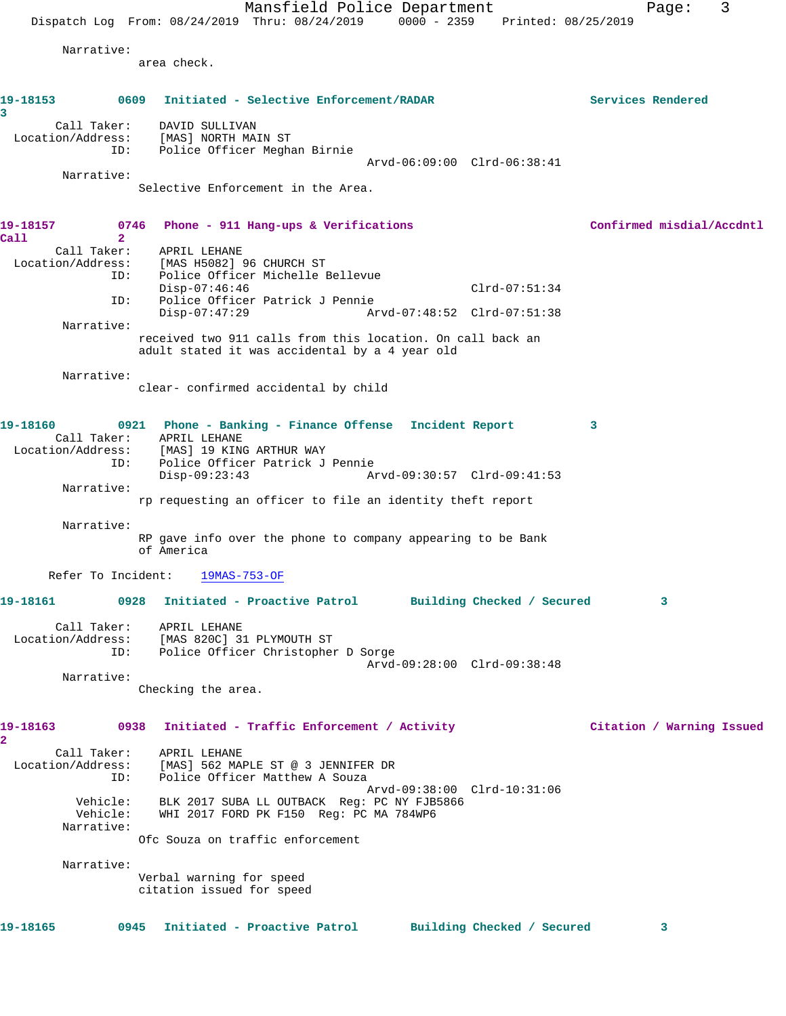Mansfield Police Department Fage: 3 Dispatch Log From: 08/24/2019 Thru: 08/24/2019 0000 - 2359 Printed: 08/25/2019 Narrative: area check. **19-18153 0609 Initiated - Selective Enforcement/RADAR Services Rendered 3**  Call Taker: DAVID SULLIVAN Location/Address: [MAS] NORTH MAIN ST ID: Police Officer Meghan Birnie Arvd-06:09:00 Clrd-06:38:41 Narrative: Selective Enforcement in the Area. **19-18157 0746 Phone - 911 Hang-ups & Verifications Confirmed misdial/Accdntl Call 2**  Call Taker: APRIL LEHANE Location/Address: [MAS H5082] 96 CHURCH ST ID: Police Officer Michelle Bellevue Disp-07:46:46 Clrd-07:51:34 ID: Police Officer Patrick J Pennie Disp-07:47:29 Arvd-07:48:52 Clrd-07:51:38 Narrative: received two 911 calls from this location. On call back an adult stated it was accidental by a 4 year old Narrative: clear- confirmed accidental by child **19-18160 0921 Phone - Banking - Finance Offense Incident Report 3**  Call Taker: APRIL LEHANE Location/Address: [MAS] 19 KING ARTHUR WAY ID: Police Officer Patrick J Pennie Disp-09:23:43 Arvd-09:30:57 Clrd-09:41:53 Narrative: rp requesting an officer to file an identity theft report Narrative: RP gave info over the phone to company appearing to be Bank of America Refer To Incident: 19MAS-753-OF **19-18161 0928 Initiated - Proactive Patrol Building Checked / Secured 3** Call Taker: APRIL LEHANE Location/Address: [MAS 820C] 31 PLYMOUTH ST ID: Police Officer Christopher D Sorge Arvd-09:28:00 Clrd-09:38:48 Narrative: Checking the area. **19-18163 0938 Initiated - Traffic Enforcement / Activity Citation / Warning Issued 2**  Call Taker: APRIL LEHANE Location/Address: [MAS] 562 MAPLE ST @ 3 JENNIFER DR ID: Police Officer Matthew A Souza Arvd-09:38:00 Clrd-10:31:06 Vehicle: BLK 2017 SUBA LL OUTBACK Reg: PC NY FJB5866 Vehicle: WHI 2017 FORD PK F150 Reg: PC MA 784WP6 Narrative: Ofc Souza on traffic enforcement Narrative: Verbal warning for speed citation issued for speed **19-18165 0945 Initiated - Proactive Patrol Building Checked / Secured 3**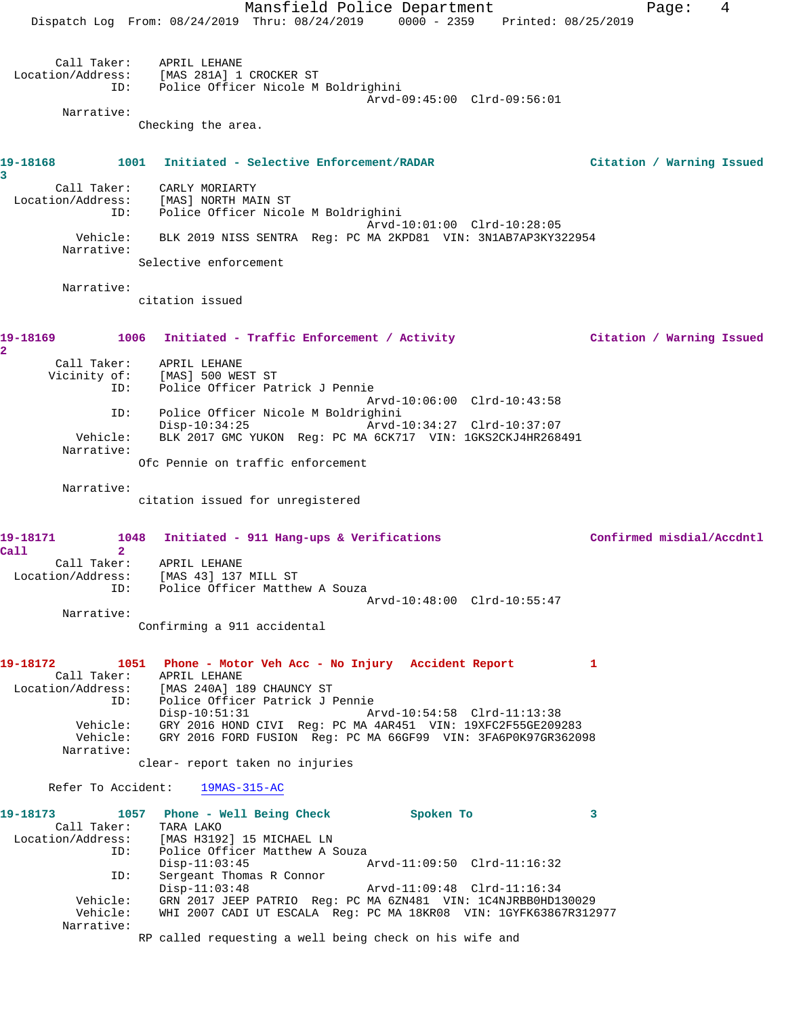Mansfield Police Department Fage: 4 Dispatch Log From: 08/24/2019 Thru: 08/24/2019 0000 - 2359 Printed: 08/25/2019 Call Taker: APRIL LEHANE Location/Address: [MAS 281A] 1 CROCKER ST ID: Police Officer Nicole M Boldrighini Arvd-09:45:00 Clrd-09:56:01 Narrative: Checking the area. **19-18168 1001 Initiated - Selective Enforcement/RADAR Citation / Warning Issued 3**  Call Taker: CARLY MORIARTY Location/Address: [MAS] NORTH MAIN ST ID: Police Officer Nicole M Boldrighini Arvd-10:01:00 Clrd-10:28:05 Vehicle: BLK 2019 NISS SENTRA Reg: PC MA 2KPD81 VIN: 3N1AB7AP3KY322954 Narrative: Selective enforcement Narrative: citation issued **19-18169 1006 Initiated - Traffic Enforcement / Activity Citation / Warning Issued 2**  Call Taker: APRIL LEHANE Vicinity of: [MAS] 500 WEST ST ID: Police Officer Patrick J Pennie Arvd-10:06:00 Clrd-10:43:58 ID: Police Officer Nicole M Boldrighini Disp-10:34:25 Arvd-10:34:27 Clrd-10:37:07 Vehicle: BLK 2017 GMC YUKON Reg: PC MA 6CK717 VIN: 1GKS2CKJ4HR268491 Narrative: Ofc Pennie on traffic enforcement Narrative: citation issued for unregistered **19-18171 1048 Initiated - 911 Hang-ups & Verifications Confirmed misdial/Accdntl Call 2**  Call Taker: APRIL LEHANE Location/Address: [MAS 43] 137 MILL ST ID: Police Officer Matthew A Souza Arvd-10:48:00 Clrd-10:55:47 Narrative: Confirming a 911 accidental **19-18172 1051 Phone - Motor Veh Acc - No Injury Accident Report 1**  Call Taker: APRIL LEHANE Location/Address: [MAS 240A] 189 CHAUNCY ST ID: Police Officer Patrick J Pennie Disp-10:51:31 Arvd-10:54:58 Clrd-11:13:38 Vehicle: GRY 2016 HOND CIVI Reg: PC MA 4AR451 VIN: 19XFC2F55GE209283 Vehicle: GRY 2016 FORD FUSION Reg: PC MA 66GF99 VIN: 3FA6P0K97GR362098 Narrative: clear- report taken no injuries Refer To Accident: 19MAS-315-AC **19-18173 1057 Phone - Well Being Check Spoken To 3**  Call Taker: TARA LAKO Location/Address: [MAS H3192] 15 MICHAEL LN ID: Police Officer Matthew A Souza Disp-11:03:45 Arvd-11:09:50 Clrd-11:16:32 ID: Sergeant Thomas R Connor Disp-11:03:48 Arvd-11:09:48 Clrd-11:16:34 Vehicle: GRN 2017 JEEP PATRIO Reg: PC MA 6ZN481 VIN: 1C4NJRBB0HD130029 Vehicle: WHI 2007 CADI UT ESCALA Reg: PC MA 18KR08 VIN: 1GYFK63867R312977 Narrative: RP called requesting a well being check on his wife and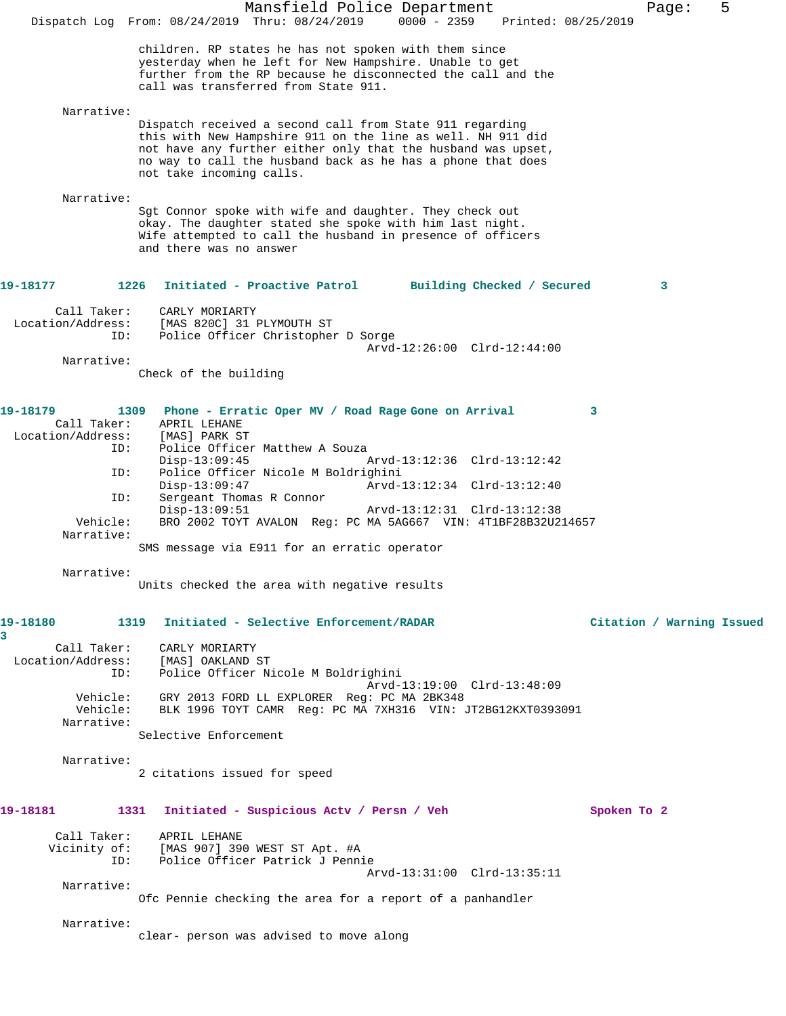|                                                                   | Mansfield Police Department<br>Dispatch Log From: 08/24/2019 Thru: 08/24/2019<br>$0000 - 2359$<br>Printed: 08/25/2019                                                                                                                                                                                 | 5<br>Page:                |
|-------------------------------------------------------------------|-------------------------------------------------------------------------------------------------------------------------------------------------------------------------------------------------------------------------------------------------------------------------------------------------------|---------------------------|
|                                                                   | children. RP states he has not spoken with them since<br>yesterday when he left for New Hampshire. Unable to get<br>further from the RP because he disconnected the call and the<br>call was transferred from State 911.                                                                              |                           |
| Narrative:                                                        | Dispatch received a second call from State 911 regarding<br>this with New Hampshire 911 on the line as well. NH 911 did<br>not have any further either only that the husband was upset,<br>no way to call the husband back as he has a phone that does<br>not take incoming calls.                    |                           |
| Narrative:                                                        | Sgt Connor spoke with wife and daughter. They check out<br>okay. The daughter stated she spoke with him last night.<br>Wife attempted to call the husband in presence of officers<br>and there was no answer                                                                                          |                           |
| 19-18177                                                          | 1226<br>Initiated - Proactive Patrol<br>Building Checked / Secured                                                                                                                                                                                                                                    | 3                         |
| Call Taker:<br>Location/Address:<br>ID:                           | CARLY MORIARTY<br>[MAS 820C] 31 PLYMOUTH ST<br>Police Officer Christopher D Sorge<br>$Arvd-12:26:00$ $Clrd-12:44:00$                                                                                                                                                                                  |                           |
| Narrative:                                                        |                                                                                                                                                                                                                                                                                                       |                           |
|                                                                   | Check of the building                                                                                                                                                                                                                                                                                 |                           |
| 19-18179<br>Call Taker:<br>Location/Address:<br>ID:<br>ID:<br>ID: | 1309<br>Phone - Erratic Oper MV / Road Rage Gone on Arrival<br>APRIL LEHANE<br>[MAS] PARK ST<br>Police Officer Matthew A Souza<br>$Disp-13:09:45$<br>Arvd-13:12:36 Clrd-13:12:42<br>Police Officer Nicole M Boldrighini<br>$Disp-13:09:47$<br>Arvd-13:12:34 Clrd-13:12:40<br>Sergeant Thomas R Connor | 3                         |
| Vehicle:<br>Narrative:                                            | $Disp-13:09:51$<br>Arvd-13:12:31 Clrd-13:12:38<br>BRO 2002 TOYT AVALON Reg: PC MA 5AG667 VIN: 4T1BF28B32U214657<br>SMS message via E911 for an erratic operator                                                                                                                                       |                           |
| Narrative:                                                        | Units checked the area with negative results                                                                                                                                                                                                                                                          |                           |
| 19-18180<br>3                                                     | 1319 Initiated - Selective Enforcement/RADAR                                                                                                                                                                                                                                                          | Citation / Warning Issued |
| Call Taker:                                                       | CARLY MORIARTY<br>Location/Address: [MAS] OAKLAND ST<br>Police Officer Nicole M Boldrighini<br>ID:<br>Arvd-13:19:00 Clrd-13:48:09                                                                                                                                                                     |                           |
| Vehicle:<br>Narrative:                                            | Vehicle: GRY 2013 FORD LL EXPLORER Reg: PC MA 2BK348<br>BLK 1996 TOYT CAMR Reg: PC MA 7XH316 VIN: JT2BG12KXT0393091<br>Selective Enforcement                                                                                                                                                          |                           |
| Narrative:                                                        | 2 citations issued for speed                                                                                                                                                                                                                                                                          |                           |
| 19–18181                                                          | 1331<br>Initiated - Suspicious Actv / Persn / Veh                                                                                                                                                                                                                                                     | Spoken To 2               |
|                                                                   | Call Taker: APRIL LEHANE<br>Vicinity of: [MAS 907] 390 WEST ST Apt. #A<br>ID: Police Officer Patrick J Pennie<br>Arvd-13:31:00 Clrd-13:35:11                                                                                                                                                          |                           |
| Narrative:                                                        | Ofc Pennie checking the area for a report of a panhandler                                                                                                                                                                                                                                             |                           |
| Narrative:                                                        | clear- person was advised to move along                                                                                                                                                                                                                                                               |                           |
|                                                                   |                                                                                                                                                                                                                                                                                                       |                           |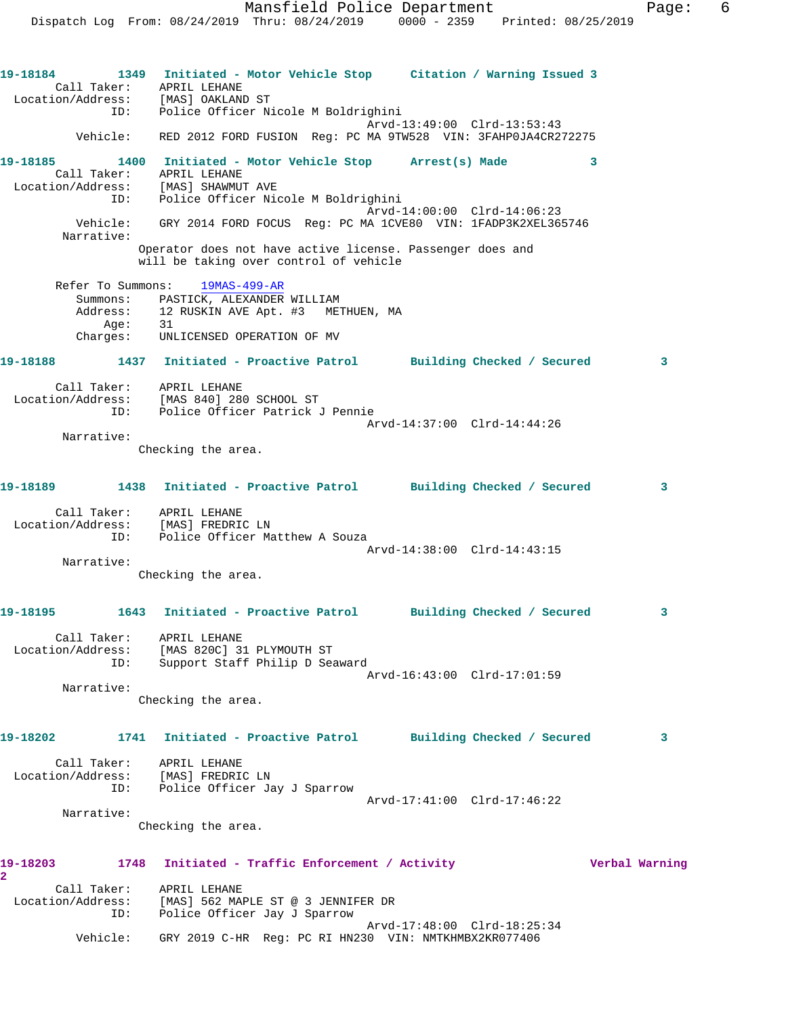**19-18184 1349 Initiated - Motor Vehicle Stop Citation / Warning Issued 3**  Call Taker: APRIL LEHANE Location/Address: [MAS] OAKLAND ST ID: Police Officer Nicole M Boldrighini Arvd-13:49:00 Clrd-13:53:43 Vehicle: RED 2012 FORD FUSION Reg: PC MA 9TW528 VIN: 3FAHP0JA4CR272275 **19-18185 1400 Initiated - Motor Vehicle Stop Arrest(s) Made 3**  Call Taker: APRIL LEHANE Location/Address: [MAS] SHAWMUT AVE ID: Police Officer Nicole M Boldrighini Arvd-14:00:00 Clrd-14:06:23 Vehicle: GRY 2014 FORD FOCUS Reg: PC MA 1CVE80 VIN: 1FADP3K2XEL365746 Narrative: Operator does not have active license. Passenger does and will be taking over control of vehicle Refer To Summons: 19MAS-499-AR Summons: PASTICK, ALEXANDER WILLIAM Address: 12 RUSKIN AVE Apt. #3 METHUEN, MA Age: 31 Charges: UNLICENSED OPERATION OF MV **19-18188 1437 Initiated - Proactive Patrol Building Checked / Secured 3** Call Taker: APRIL LEHANE Location/Address: [MAS 840] 280 SCHOOL ST ID: Police Officer Patrick J Pennie Arvd-14:37:00 Clrd-14:44:26 Narrative: Checking the area. **19-18189 1438 Initiated - Proactive Patrol Building Checked / Secured 3** Call Taker: APRIL LEHANE Location/Address: [MAS] FREDRIC LN ID: Police Officer Matthew A Souza Arvd-14:38:00 Clrd-14:43:15 Narrative: Checking the area. **19-18195 1643 Initiated - Proactive Patrol Building Checked / Secured 3** Call Taker: APRIL LEHANE Location/Address: [MAS 820C] 31 PLYMOUTH ST ID: Support Staff Philip D Seaward Arvd-16:43:00 Clrd-17:01:59 Narrative: Checking the area. **19-18202 1741 Initiated - Proactive Patrol Building Checked / Secured 3** Call Taker: APRIL LEHANE Location/Address: [MAS] FREDRIC LN ID: Police Officer Jay J Sparrow Arvd-17:41:00 Clrd-17:46:22 Narrative: Checking the area. **19-18203 1748 Initiated - Traffic Enforcement / Activity Verbal Warning 2**  Call Taker: APRIL LEHANE Location/Address: [MAS] 562 MAPLE ST @ 3 JENNIFER DR ID: Police Officer Jay J Sparrow Arvd-17:48:00 Clrd-18:25:34 Vehicle: GRY 2019 C-HR Reg: PC RI HN230 VIN: NMTKHMBX2KR077406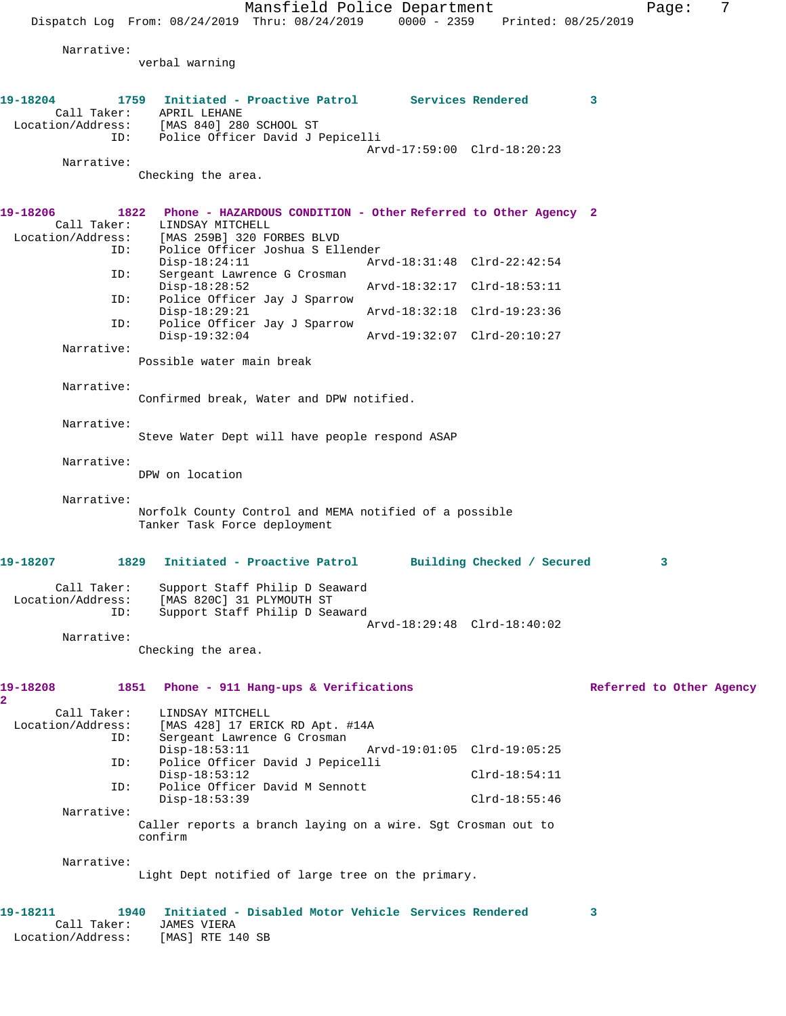Mansfield Police Department Fage: 7 Dispatch Log From: 08/24/2019 Thru: 08/24/2019 0000 - 2359 Printed: 08/25/2019 Narrative: verbal warning **19-18204 1759 Initiated - Proactive Patrol Services Rendered 3**  Call Taker: APRIL LEHANE Location/Address: [MAS 840] 280 SCHOOL ST ID: Police Officer David J Pepicelli Arvd-17:59:00 Clrd-18:20:23 Narrative: Checking the area. **19-18206 1822 Phone - HAZARDOUS CONDITION - Other Referred to Other Agency 2**  Call Taker: LINDSAY MITCHELL<br>Location/Address: [MAS 259B] 320 F [MAS 259B] 320 FORBES BLVD ID: Police Officer Joshua S Ellender Disp-18:24:11 Arvd-18:31:48 Clrd-22:42:54<br>ID: Sergeant Lawrence G Crosman Sergeant Lawrence G Crosman<br>Disp-18:28:52 Disp-18:28:52 Arvd-18:32:17 Clrd-18:53:11 ID: Police Officer Jay J Sparrow Disp-18:29:21 Arvd-18:32:18 Clrd-19:23:36<br>ID: Police Officer Jay J Sparrow Police Officer Jay J Sparrow<br>Disp-19:32:04 Disp-19:32:04 Arvd-19:32:07 Clrd-20:10:27 Narrative: Possible water main break Narrative: Confirmed break, Water and DPW notified. Narrative: Steve Water Dept will have people respond ASAP Narrative: DPW on location Narrative: Norfolk County Control and MEMA notified of a possible Tanker Task Force deployment **19-18207 1829 Initiated - Proactive Patrol Building Checked / Secured 3** Call Taker: Support Staff Philip D Seaward Location/Address: [MAS 820C] 31 PLYMOUTH ST ID: Support Staff Philip D Seaward Arvd-18:29:48 Clrd-18:40:02 Narrative: Checking the area. **19-18208 1851 Phone - 911 Hang-ups & Verifications Referred to Other Agency 2**  Call Taker: LINDSAY MITCHELL<br>Location/Address: [MAS 428] 17 ERIO ess: [MAS 428] 17 ERICK RD Apt. #14A<br>ID: Sergeant Lawrence G Crosman Sergeant Lawrence G Crosman Disp-18:53:11 Arvd-19:01:05 Clrd-19:05:25<br>ID: Police Officer David J Pepicelli Police Officer David J Pepicelli Disp-18:53:12 Clrd-18:54:11 ID: Police Officer David M Sennott Disp-18:53:39 Clrd-18:55:46 Narrative: Caller reports a branch laying on a wire. Sgt Crosman out to confirm Narrative: Light Dept notified of large tree on the primary. **19-18211 1940 Initiated - Disabled Motor Vehicle Services Rendered 3** 

 Call Taker: JAMES VIERA Location/Address: [MAS] RTE 140 SB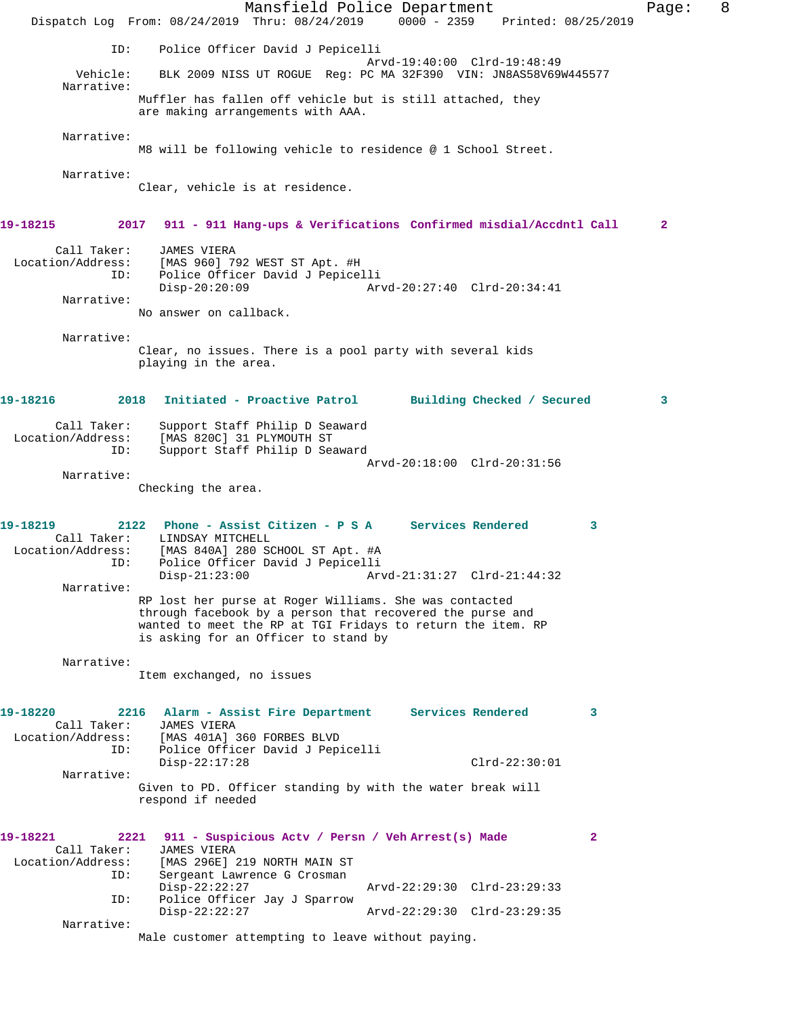Mansfield Police Department Fage: 8 Dispatch Log From: 08/24/2019 Thru: 08/24/2019 0000 - 2359 Printed: 08/25/2019 ID: Police Officer David J Pepicelli Arvd-19:40:00 Clrd-19:48:49 Vehicle: BLK 2009 NISS UT ROGUE Reg: PC MA 32F390 VIN: JN8AS58V69W445577 Narrative: Muffler has fallen off vehicle but is still attached, they are making arrangements with AAA. Narrative: M8 will be following vehicle to residence @ 1 School Street. Narrative: Clear, vehicle is at residence. **19-18215 2017 911 - 911 Hang-ups & Verifications Confirmed misdial/Accdntl Call 2** Call Taker: JAMES VIERA Location/Address: [MAS 960] 792 WEST ST Apt. #H ID: Police Officer David J Pepicelli Disp-20:20:09 Arvd-20:27:40 Clrd-20:34:41 Narrative: No answer on callback. Narrative: Clear, no issues. There is a pool party with several kids playing in the area. **19-18216 2018 Initiated - Proactive Patrol Building Checked / Secured 3** Call Taker: Support Staff Philip D Seaward Location/Address: [MAS 820C] 31 PLYMOUTH ST ID: Support Staff Philip D Seaward Arvd-20:18:00 Clrd-20:31:56 Narrative: Checking the area. **19-18219 2122 Phone - Assist Citizen - P S A Services Rendered 3**  Call Taker: LINDSAY MITCHELL Location/Address: [MAS 840A] 280 SCHOOL ST Apt. #A ID: Police Officer David J Pepicelli<br>Disp-21:23:00 Ar Disp-21:23:00 Arvd-21:31:27 Clrd-21:44:32 Narrative: RP lost her purse at Roger Williams. She was contacted through facebook by a person that recovered the purse and wanted to meet the RP at TGI Fridays to return the item. RP is asking for an Officer to stand by Narrative: Item exchanged, no issues **19-18220 2216 Alarm - Assist Fire Department Services Rendered 3**  Call Taker: JAMES VIERA<br>Location/Address: [MAS 401A] [MAS 401A] 360 FORBES BLVD ID: Police Officer David J Pepicelli Disp-22:17:28 Clrd-22:30:01 Narrative: Given to PD. Officer standing by with the water break will respond if needed **19-18221 2221 911 - Suspicious Actv / Persn / Veh Arrest(s) Made 2**  Call Taker: JAMES VIERA Location/Address: [MAS 296E] 219 NORTH MAIN ST Sergeant Lawrence G Crosman<br>Disp-22:22:27 Disp-22:22:27 Arvd-22:29:30 Clrd-23:29:33 ID: Police Officer Jay J Sparrow Disp-22:22:27 Arvd-22:29:30 Clrd-23:29:35 Narrative: Male customer attempting to leave without paying.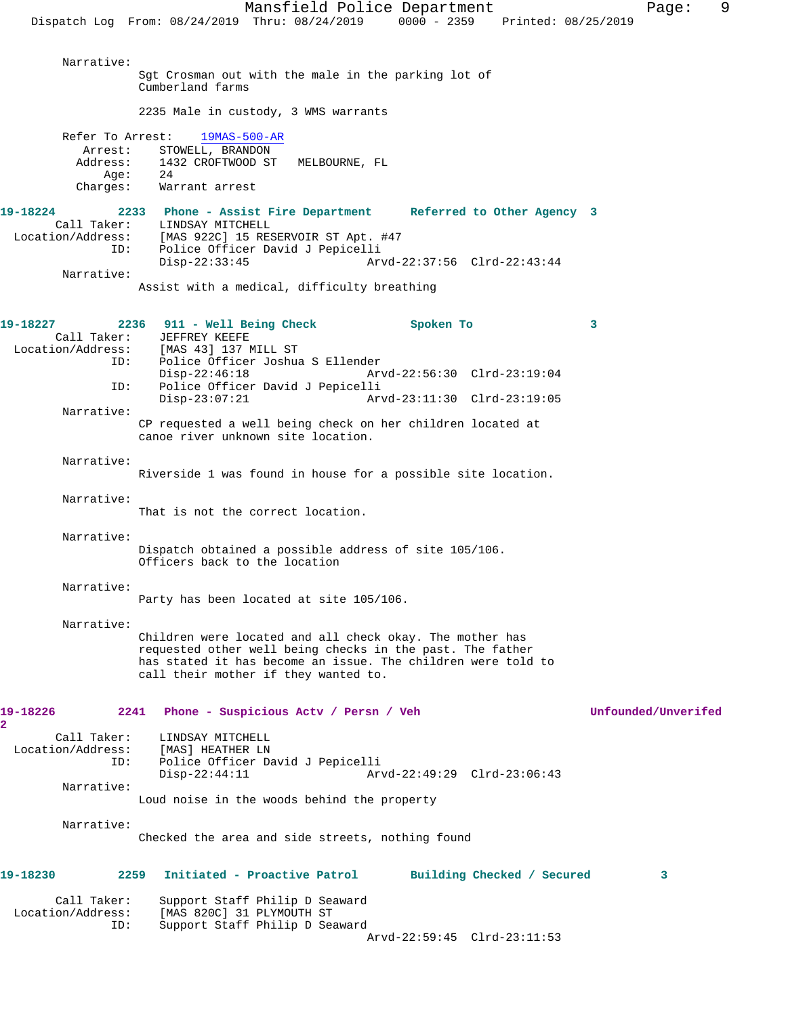Mansfield Police Department Fage: 9 Dispatch Log From: 08/24/2019 Thru: 08/24/2019 0000 - 2359 Printed: 08/25/2019 Narrative: Sgt Crosman out with the male in the parking lot of Cumberland farms 2235 Male in custody, 3 WMS warrants Refer To Arrest: 19MAS-500-AR Arrest: STOWELL, BRANDON<br>Address: 1432 CROFTWOOD ST Address: 1432 CROFTWOOD ST MELBOURNE, FL Age: 24 Charges: Warrant arrest **19-18224 2233 Phone - Assist Fire Department Referred to Other Agency 3**  Call Taker: LINDSAY MITCHELL<br>Location/Address: [MAS 922C] 15 RE ess: [MAS 922C] 15 RESERVOIR ST Apt. #47<br>ID: Police Officer David J Pepicelli ID: Police Officer David J Pepicelli Disp-22:33:45 Arvd-22:37:56 Clrd-22:43:44 Narrative: Assist with a medical, difficulty breathing **19-18227 2236 911 - Well Being Check Spoken To 3**  Call Taker: JEFFREY KEEFE<br>ion/Address: [MAS 43] 137 MILL ST Location/Address: ID: Police Officer Joshua S Ellender Disp-22:46:18 Arvd-22:56:30 Clrd-23:19:04 ID: Police Officer David J Pepicelli Disp-23:07:21 Arvd-23:11:30 Clrd-23:19:05 Narrative: CP requested a well being check on her children located at canoe river unknown site location. Narrative: Riverside 1 was found in house for a possible site location. Narrative: That is not the correct location. Narrative: Dispatch obtained a possible address of site 105/106. Officers back to the location Narrative: Party has been located at site 105/106. Narrative: Children were located and all check okay. The mother has requested other well being checks in the past. The father has stated it has become an issue. The children were told to call their mother if they wanted to. **19-18226 2241 Phone - Suspicious Actv / Persn / Veh Unfounded/Unverifed 2**  Call Taker: LINDSAY MITCHELL<br>ion/Address: [MAS] HEATHER LN Location/Address:<br>ID: ID: Police Officer David J Pepicelli Arvd-22:49:29 Clrd-23:06:43 Narrative: Loud noise in the woods behind the property Narrative: Checked the area and side streets, nothing found **19-18230 2259 Initiated - Proactive Patrol Building Checked / Secured 3** Call Taker: Support Staff Philip D Seaward Location/Address: [MAS 820C] 31 PLYMOUTH ST ID: Support Staff Philip D Seaward Arvd-22:59:45 Clrd-23:11:53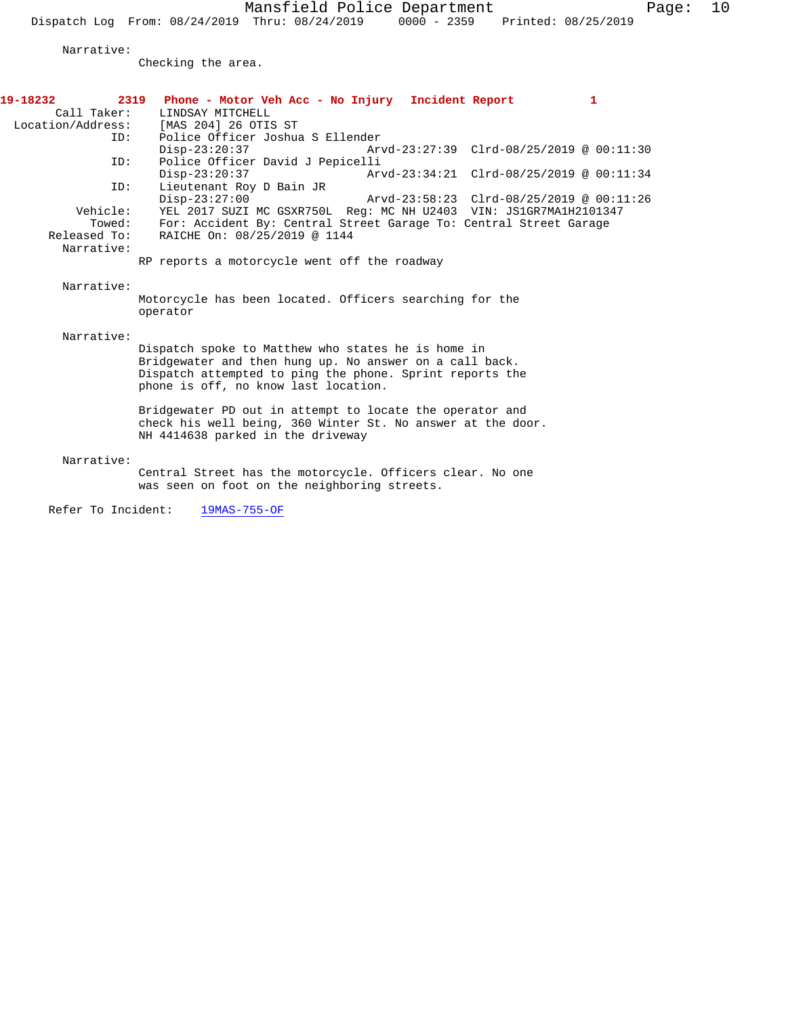Mansfield Police Department Fage: 10

Dispatch Log From: 08/24/2019 Thru: 08/24/2019 0000 - 2359 Printed: 08/25/2019

Narrative:

Checking the area.

| 19-18232<br>Call Taker:<br>Location/Address: | 2319<br>Phone - Motor Veh Acc - No Injury Incident Report<br>$\mathbf{1}$<br>LINDSAY MITCHELL<br>[MAS 204] 26 OTIS ST                                                                                             |
|----------------------------------------------|-------------------------------------------------------------------------------------------------------------------------------------------------------------------------------------------------------------------|
| ID:                                          | Police Officer Joshua S Ellender                                                                                                                                                                                  |
| ID:                                          | $Disp-23:20:37$<br>Arvd-23:27:39 Clrd-08/25/2019 @ 00:11:30<br>Police Officer David J Pepicelli                                                                                                                   |
|                                              | $Disp-23:20:37$<br>Arvd-23:34:21 Clrd-08/25/2019 @ 00:11:34                                                                                                                                                       |
| ID:                                          | Lieutenant Roy D Bain JR                                                                                                                                                                                          |
| Vehicle:                                     | $Disp-23:27:00$<br>Arvd-23:58:23 Clrd-08/25/2019 @ 00:11:26                                                                                                                                                       |
| Towed:                                       | YEL 2017 SUZI MC GSXR750L Req: MC NH U2403 VIN: JS1GR7MA1H2101347<br>For: Accident By: Central Street Garage To: Central Street Garage                                                                            |
| Released To:                                 | RAICHE On: 08/25/2019 @ 1144                                                                                                                                                                                      |
| Narrative:                                   |                                                                                                                                                                                                                   |
|                                              | RP reports a motorcycle went off the roadway                                                                                                                                                                      |
| Narrative:                                   | Motorcycle has been located. Officers searching for the<br>operator                                                                                                                                               |
| Narrative:                                   |                                                                                                                                                                                                                   |
|                                              | Dispatch spoke to Matthew who states he is home in<br>Bridgewater and then hung up. No answer on a call back.<br>Dispatch attempted to ping the phone. Sprint reports the<br>phone is off, no know last location. |
|                                              | Bridgewater PD out in attempt to locate the operator and<br>check his well being, 360 Winter St. No answer at the door.<br>NH 4414638 parked in the driveway                                                      |
| Narrative:                                   |                                                                                                                                                                                                                   |
|                                              | Central Street has the motorcycle. Officers clear. No one<br>was seen on foot on the neighboring streets.                                                                                                         |
| Refer To Incident:                           | 19MAS-755-OF                                                                                                                                                                                                      |
|                                              |                                                                                                                                                                                                                   |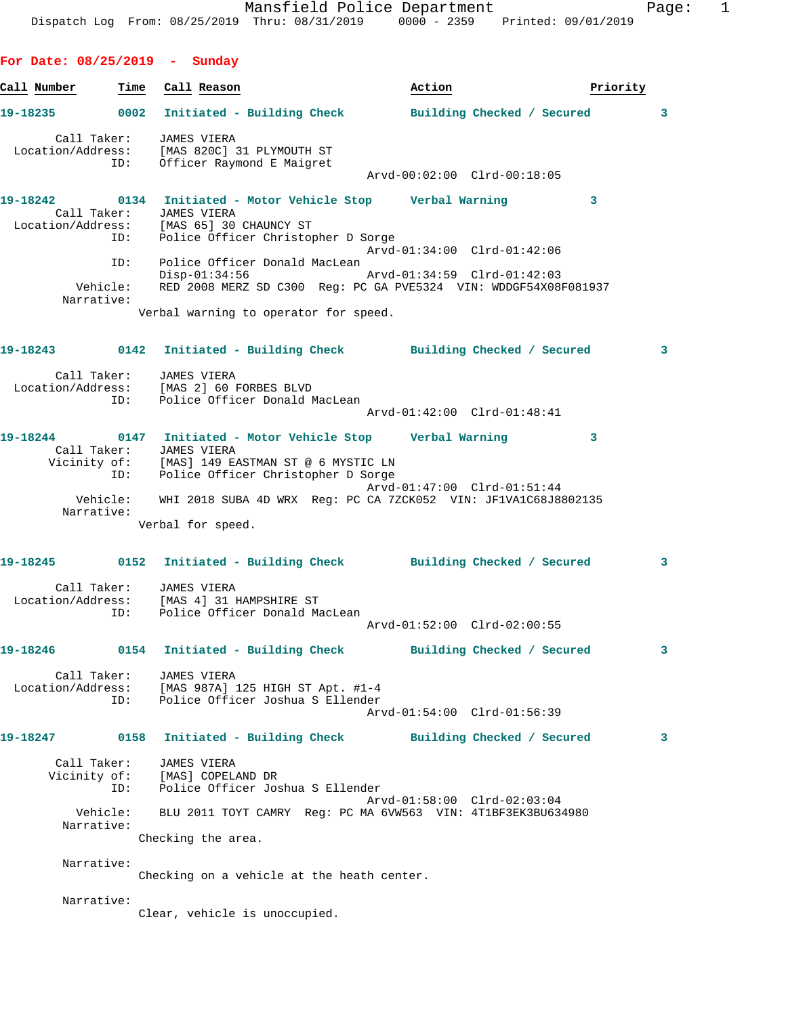Mansfield Police Department Fage: 1 Dispatch Log From: 08/25/2019 Thru: 08/31/2019 0000 - 2359 Printed: 09/01/2019 **For Date: 08/25/2019 - Sunday Call Number Time Call Reason Action Action Priority 19-18235 0002 Initiated - Building Check Building Checked / Secured 3** Call Taker: JAMES VIERA Location/Address: [MAS 820C] 31 PLYMOUTH ST ID: Officer Raymond E Maigret Arvd-00:02:00 Clrd-00:18:05 **19-18242 0134 Initiated - Motor Vehicle Stop Verbal Warning 3**  Call Taker: JAMES VIERA Location/Address: [MAS 65] 30 CHAUNCY ST ID: Police Officer Christopher D Sorge Arvd-01:34:00 Clrd-01:42:06 ID: Police Officer Donald MacLean Disp-01:34:56 Arvd-01:34:59 Clrd-01:42:03 Vehicle: RED 2008 MERZ SD C300 Reg: PC GA PVE5324 VIN: WDDGF54X08F081937 Narrative: Verbal warning to operator for speed. **19-18243 0142 Initiated - Building Check Building Checked / Secured 3** Call Taker: JAMES VIERA Location/Address: [MAS 2] 60 FORBES BLVD ID: Police Officer Donald MacLean Arvd-01:42:00 Clrd-01:48:41 **19-18244 0147 Initiated - Motor Vehicle Stop Verbal Warning 3**  Call Taker: JAMES VIERA Vicinity of: [MAS] 149 EASTMAN ST @ 6 MYSTIC LN ID: Police Officer Christopher D Sorge Arvd-01:47:00 Clrd-01:51:44 Vehicle: WHI 2018 SUBA 4D WRX Reg: PC CA 7ZCK052 VIN: JF1VA1C68J8802135 Narrative: Verbal for speed. **19-18245 0152 Initiated - Building Check Building Checked / Secured 3** Call Taker: JAMES VIERA Location/Address: [MAS 4] 31 HAMPSHIRE ST ID: Police Officer Donald MacLean Arvd-01:52:00 Clrd-02:00:55 **19-18246 0154 Initiated - Building Check Building Checked / Secured 3** Call Taker: JAMES VIERA Location/Address: [MAS 987A] 125 HIGH ST Apt. #1-4 ID: Police Officer Joshua S Ellender Arvd-01:54:00 Clrd-01:56:39 **19-18247 0158 Initiated - Building Check Building Checked / Secured 3** Call Taker: JAMES VIERA Vicinity of: [MAS] COPELAND DR ID: Police Officer Joshua S Ellender Arvd-01:58:00 Clrd-02:03:04 Vehicle: BLU 2011 TOYT CAMRY Reg: PC MA 6VW563 VIN: 4T1BF3EK3BU634980 Narrative: Checking the area. Narrative: Checking on a vehicle at the heath center. Narrative: Clear, vehicle is unoccupied.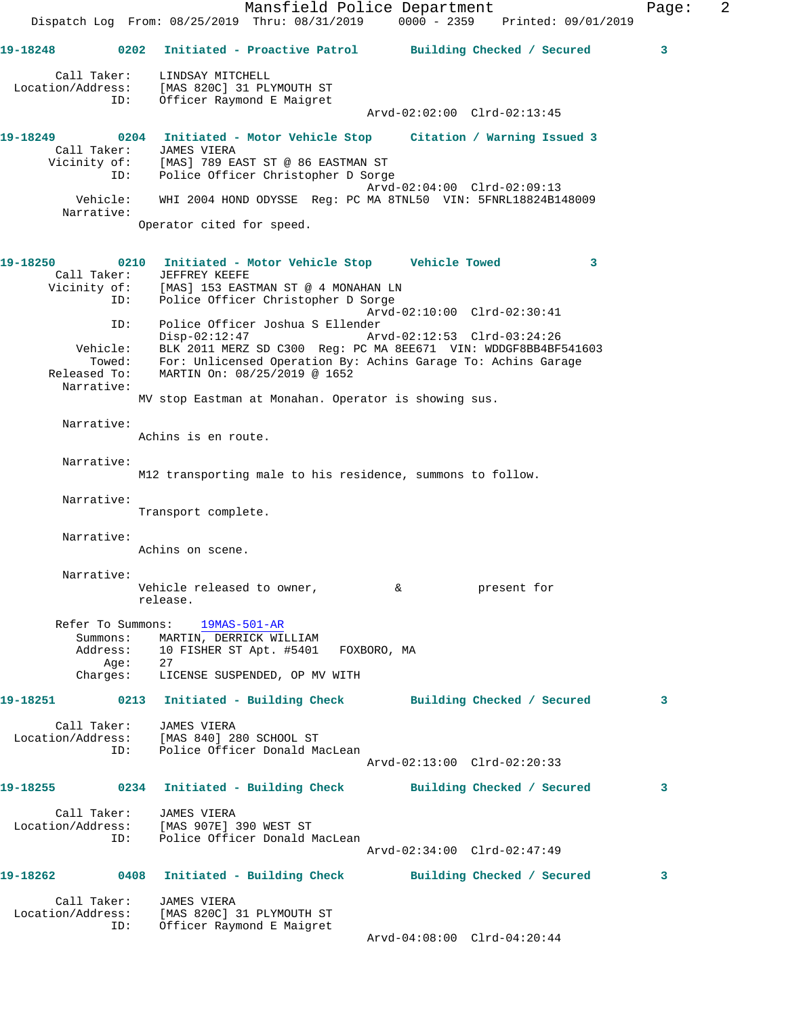Mansfield Police Department Fage: 2 Dispatch Log From: 08/25/2019 Thru: 08/31/2019 0000 - 2359 Printed: 09/01/2019 **19-18248 0202 Initiated - Proactive Patrol Building Checked / Secured 3** Call Taker: LINDSAY MITCHELL Location/Address: [MAS 820C] 31 PLYMOUTH ST ID: Officer Raymond E Maigret Arvd-02:02:00 Clrd-02:13:45 **19-18249 0204 Initiated - Motor Vehicle Stop Citation / Warning Issued 3**  Call Taker: JAMES VIERA Vicinity of: [MAS] 789 EAST ST @ 86 EASTMAN ST ID: Police Officer Christopher D Sorge Arvd-02:04:00 Clrd-02:09:13 Vehicle: WHI 2004 HOND ODYSSE Reg: PC MA 8TNL50 VIN: 5FNRL18824B148009 Narrative: Operator cited for speed. **19-18250 0210 Initiated - Motor Vehicle Stop Vehicle Towed 3**  Call Taker: JEFFREY KEEFE Vicinity of: [MAS] 153 EASTMAN ST @ 4 MONAHAN LN ID: Police Officer Christopher D Sorge Arvd-02:10:00 Clrd-02:30:41 ID: Police Officer Joshua S Ellender Disp-02:12:47 Arvd-02:12:53 Clrd-03:24:26 Vehicle: BLK 2011 MERZ SD C300 Reg: PC MA 8EE671 VIN: WDDGF8BB4BF541603 Towed: For: Unlicensed Operation By: Achins Garage To: Achins Garage Released To: MARTIN On: 08/25/2019 @ 1652 Narrative: MV stop Eastman at Monahan. Operator is showing sus. Narrative: Achins is en route. Narrative: M12 transporting male to his residence, summons to follow. Narrative: Transport complete. Narrative: Achins on scene. Narrative: Vehicle released to owner,  $\&$  by present for release. Refer To Summons: 19MAS-501-AR Summons: MARTIN, DERRICK WILLIAM Address: 10 FISHER ST Apt. #5401 FOXBORO, MA<br>Aqe: 27 Age: Charges: LICENSE SUSPENDED, OP MV WITH **19-18251 0213 Initiated - Building Check Building Checked / Secured 3** Call Taker: JAMES VIERA Location/Address: [MAS 840] 280 SCHOOL ST ID: Police Officer Donald MacLean Arvd-02:13:00 Clrd-02:20:33 **19-18255 0234 Initiated - Building Check Building Checked / Secured 3** Call Taker: JAMES VIERA Location/Address: [MAS 907E] 390 WEST ST ID: Police Officer Donald MacLean Arvd-02:34:00 Clrd-02:47:49 **19-18262 0408 Initiated - Building Check Building Checked / Secured 3** Call Taker: JAMES VIERA Location/Address: [MAS 820C] 31 PLYMOUTH ST ID: Officer Raymond E Maigret Arvd-04:08:00 Clrd-04:20:44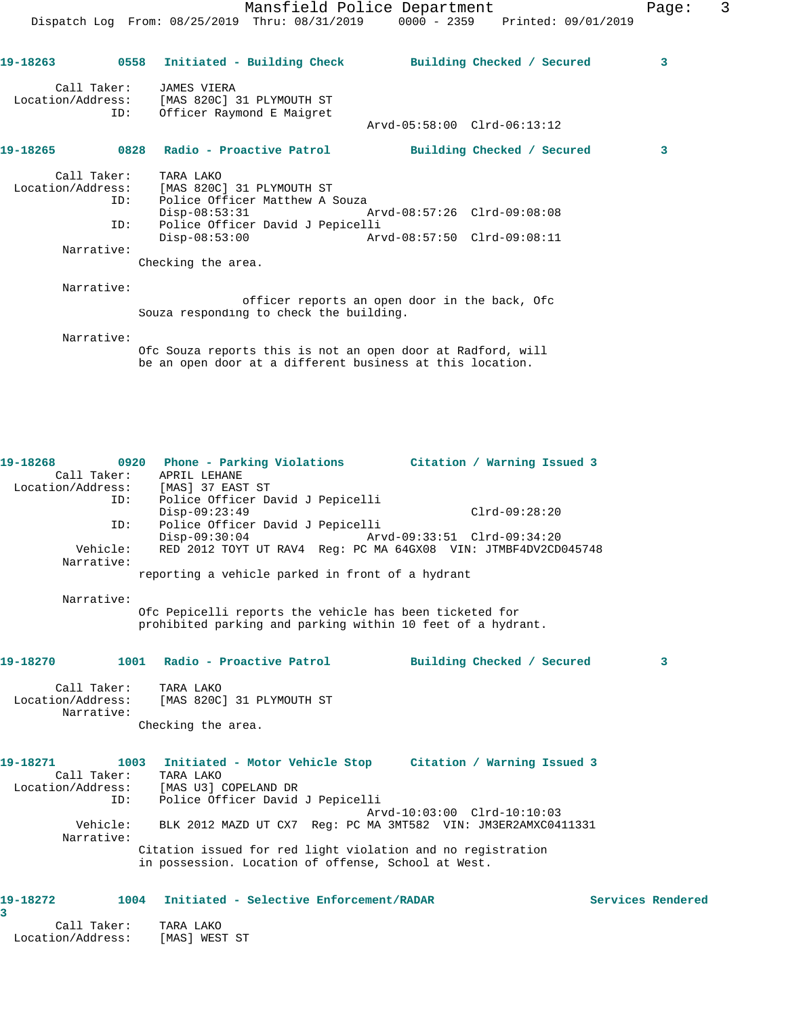Mansfield Police Department Fage: 3 Dispatch Log From: 08/25/2019 Thru: 08/31/2019 0000 - 2359 Printed: 09/01/2019 **19-18263 0558 Initiated - Building Check Building Checked / Secured 3** Call Taker: JAMES VIERA Location/Address: [MAS 820C] 31 PLYMOUTH ST ID: Officer Raymond E Maigret Arvd-05:58:00 Clrd-06:13:12 **19-18265 0828 Radio - Proactive Patrol Building Checked / Secured 3** Call Taker: TARA LAKO Location/Address: [MAS 820C] 31 PLYMOUTH ST ID: Police Officer Matthew A Souza Disp-08:53:31 Arvd-08:57:26 Clrd-09:08:08 ID: Police Officer David J Pepicelli Disp-08:53:00 Arvd-08:57:50 Clrd-09:08:11 Narrative: Checking the area. Narrative:

 officer reports an open door in the back, Ofc Souza responding to check the building.

Narrative:

Ofc Souza reports this is not an open door at Radford, will be an open door at a different business at this location.

| 19-18268                  | 0920 Phone - Parking Violations Citation / Warning Issued 3<br>Call Taker: APRIL LEHANE<br>Location/Address: [MAS] 37 EAST ST |                   |
|---------------------------|-------------------------------------------------------------------------------------------------------------------------------|-------------------|
| ID:<br>ID:                | Police Officer David J Pepicelli<br>$Disp-09:23:49$<br>$Clrd-09:28:20$<br>Police Officer David J Pepicelli                    |                   |
|                           | $Disp-09:30:04$<br>Arvd-09:33:51 Clrd-09:34:20                                                                                |                   |
| Vehicle:<br>Narrative:    | RED 2012 TOYT UT RAV4 Reg: PC MA 64GX08 VIN: JTMBF4DV2CD045748                                                                |                   |
|                           | reporting a vehicle parked in front of a hydrant                                                                              |                   |
| Narrative:                |                                                                                                                               |                   |
|                           | Ofc Pepicelli reports the vehicle has been ticketed for<br>prohibited parking and parking within 10 feet of a hydrant.        |                   |
| 19-18270                  | 1001 Radio - Proactive Patrol<br>Building Checked / Secured                                                                   | 3                 |
| Call Taker:<br>Narrative: | TARA LAKO<br>Location/Address: [MAS 820C] 31 PLYMOUTH ST                                                                      |                   |
|                           | Checking the area.                                                                                                            |                   |
| 19-18271<br>Call Taker:   | 1003 Initiated - Motor Vehicle Stop Citation / Warning Issued 3<br>TARA LAKO                                                  |                   |
| ID:                       | Location/Address: [MAS U3] COPELAND DR<br>Police Officer David J Pepicelli                                                    |                   |
| Vehicle:                  | Arvd-10:03:00 Clrd-10:10:03<br>BLK 2012 MAZD UT CX7 Req: PC MA 3MT582 VIN: JM3ER2AMXC0411331                                  |                   |
| Narrative:                |                                                                                                                               |                   |
|                           | Citation issued for red light violation and no registration<br>in possession. Location of offense, School at West.            |                   |
| 19-18272<br>3             | Initiated - Selective Enforcement/RADAR<br>1004                                                                               | Services Rendered |

 Call Taker: TARA LAKO Location/Address: [MAS] WEST ST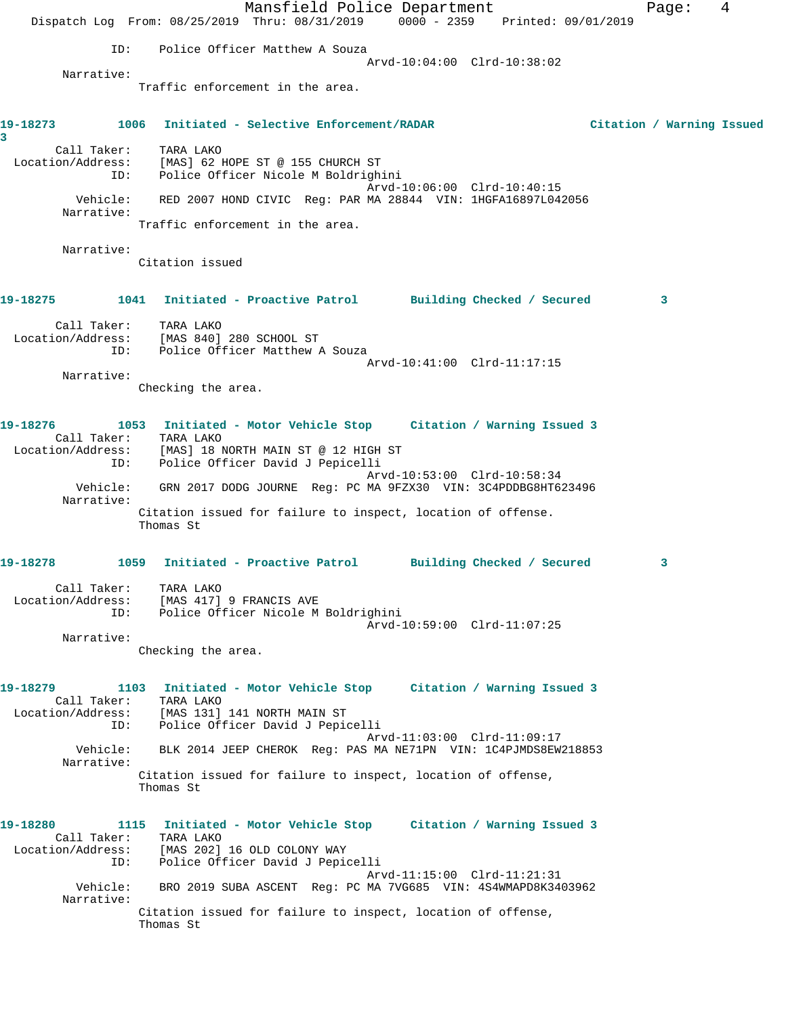Mansfield Police Department Fage: 4 Dispatch Log From: 08/25/2019 Thru: 08/31/2019 0000 - 2359 Printed: 09/01/2019 ID: Police Officer Matthew A Souza Arvd-10:04:00 Clrd-10:38:02 Narrative: Traffic enforcement in the area. **19-18273 1006 Initiated - Selective Enforcement/RADAR Citation / Warning Issued 3**  Call Taker: TARA LAKO Location/Address: [MAS] 62 HOPE ST @ 155 CHURCH ST ID: Police Officer Nicole M Boldrighini Arvd-10:06:00 Clrd-10:40:15 Vehicle: RED 2007 HOND CIVIC Reg: PAR MA 28844 VIN: 1HGFA16897L042056 Narrative: Traffic enforcement in the area. Narrative: Citation issued **19-18275 1041 Initiated - Proactive Patrol Building Checked / Secured 3** Call Taker: TARA LAKO Location/Address: [MAS 840] 280 SCHOOL ST ID: Police Officer Matthew A Souza Arvd-10:41:00 Clrd-11:17:15 Narrative: Checking the area. **19-18276 1053 Initiated - Motor Vehicle Stop Citation / Warning Issued 3**  Call Taker: TARA LAKO Location/Address: [MAS] 18 NORTH MAIN ST @ 12 HIGH ST ID: Police Officer David J Pepicelli Arvd-10:53:00 Clrd-10:58:34<br>Vehicle: GRN 2017 DODG JOURNE Reg: PC MA 9FZX30 VIN: 3C4PDDBG8HT62 GRN 2017 DODG JOURNE Reg: PC MA 9FZX30 VIN: 3C4PDDBG8HT623496 Narrative: Citation issued for failure to inspect, location of offense. Thomas St **19-18278 1059 Initiated - Proactive Patrol Building Checked / Secured 3** Call Taker: TARA LAKO Location/Address: [MAS 417] 9 FRANCIS AVE ID: Police Officer Nicole M Boldrighini Arvd-10:59:00 Clrd-11:07:25 Narrative: Checking the area. **19-18279 1103 Initiated - Motor Vehicle Stop Citation / Warning Issued 3**  Call Taker: TARA LAKO Location/Address: [MAS 131] 141 NORTH MAIN ST ID: Police Officer David J Pepicelli Arvd-11:03:00 Clrd-11:09:17 Vehicle: BLK 2014 JEEP CHEROK Reg: PAS MA NE71PN VIN: 1C4PJMDS8EW218853 Narrative: Citation issued for failure to inspect, location of offense, Thomas St **19-18280 1115 Initiated - Motor Vehicle Stop Citation / Warning Issued 3**  Call Taker: TARA LAKO Location/Address: [MAS 202] 16 OLD COLONY WAY ID: Police Officer David J Pepicelli Arvd-11:15:00 Clrd-11:21:31 Vehicle: BRO 2019 SUBA ASCENT Reg: PC MA 7VG685 VIN: 4S4WMAPD8K3403962 Narrative: Citation issued for failure to inspect, location of offense, Thomas St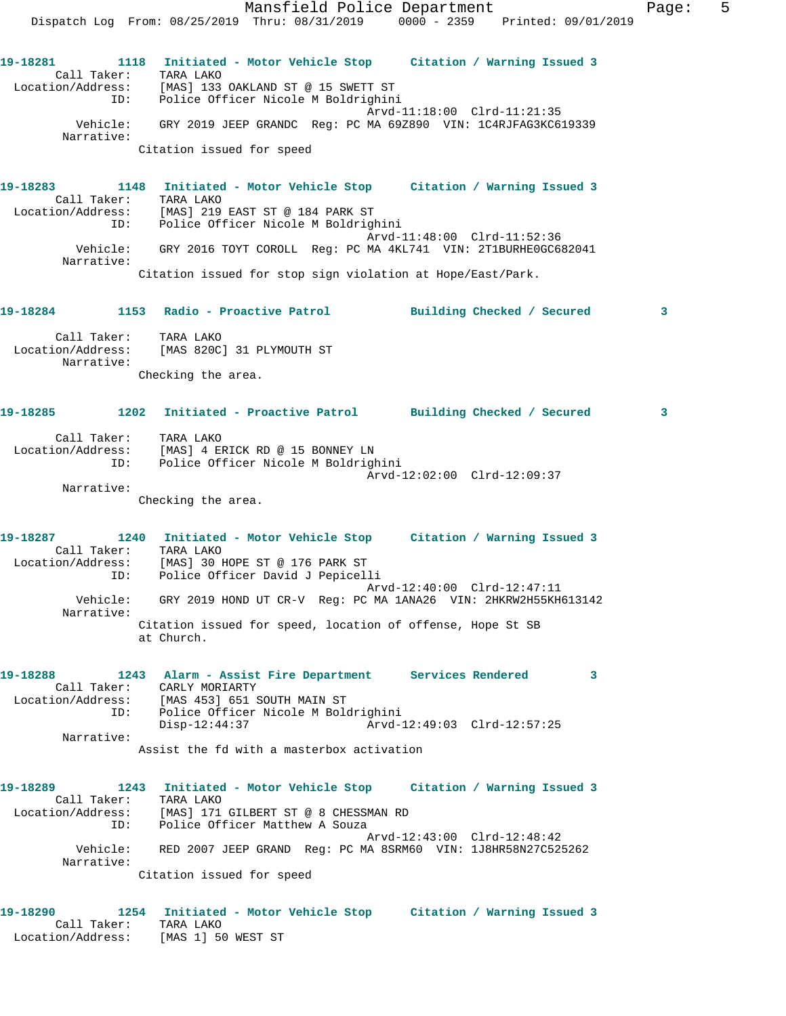Mansfield Police Department Fage: 5 Dispatch Log From: 08/25/2019 Thru: 08/31/2019 0000 - 2359 Printed: 09/01/2019 **19-18281 1118 Initiated - Motor Vehicle Stop Citation / Warning Issued 3**  Call Taker: TARA LAKO Location/Address: [MAS] 133 OAKLAND ST @ 15 SWETT ST ID: Police Officer Nicole M Boldrighini Arvd-11:18:00 Clrd-11:21:35 Vehicle: GRY 2019 JEEP GRANDC Reg: PC MA 69Z890 VIN: 1C4RJFAG3KC619339 Narrative: Citation issued for speed **19-18283 1148 Initiated - Motor Vehicle Stop Citation / Warning Issued 3**  Call Taker: TARA LAKO Location/Address: [MAS] 219 EAST ST @ 184 PARK ST ID: Police Officer Nicole M Boldrighini Arvd-11:48:00 Clrd-11:52:36 Vehicle: GRY 2016 TOYT COROLL Reg: PC MA 4KL741 VIN: 2T1BURHE0GC682041 Narrative: Citation issued for stop sign violation at Hope/East/Park. **19-18284 1153 Radio - Proactive Patrol Building Checked / Secured 3** Call Taker: TARA LAKO Location/Address: [MAS 820C] 31 PLYMOUTH ST Narrative: Checking the area. **19-18285 1202 Initiated - Proactive Patrol Building Checked / Secured 3** Call Taker: TARA LAKO Location/Address: [MAS] 4 ERICK RD @ 15 BONNEY LN ID: Police Officer Nicole M Boldrighini Arvd-12:02:00 Clrd-12:09:37 Narrative: Checking the area. **19-18287 1240 Initiated - Motor Vehicle Stop Citation / Warning Issued 3**  Call Taker: TARA LAKO Location/Address: [MAS] 30 HOPE ST @ 176 PARK ST ID: Police Officer David J Pepicelli Arvd-12:40:00 Clrd-12:47:11 Vehicle: GRY 2019 HOND UT CR-V Reg: PC MA 1ANA26 VIN: 2HKRW2H55KH613142 Narrative: Citation issued for speed, location of offense, Hope St SB at Church. **19-18288 1243 Alarm - Assist Fire Department Services Rendered 3**  Call Taker: CARLY MORIARTY Location/Address: [MAS 453] 651 SOUTH MAIN ST ID: Police Officer Nicole M Boldrighini Disp-12:44:37 Arvd-12:49:03 Clrd-12:57:25 Narrative: Assist the fd with a masterbox activation **19-18289 1243 Initiated - Motor Vehicle Stop Citation / Warning Issued 3**  Call Taker: TARA LAKO Location/Address: [MAS] 171 GILBERT ST @ 8 CHESSMAN RD ID: Police Officer Matthew A Souza Arvd-12:43:00 Clrd-12:48:42 Vehicle: RED 2007 JEEP GRAND Reg: PC MA 8SRM60 VIN: 1J8HR58N27C525262 Narrative: Citation issued for speed

**19-18290 1254 Initiated - Motor Vehicle Stop Citation / Warning Issued 3**  Call Taker: TARA LAKO Location/Address: [MAS 1] 50 WEST ST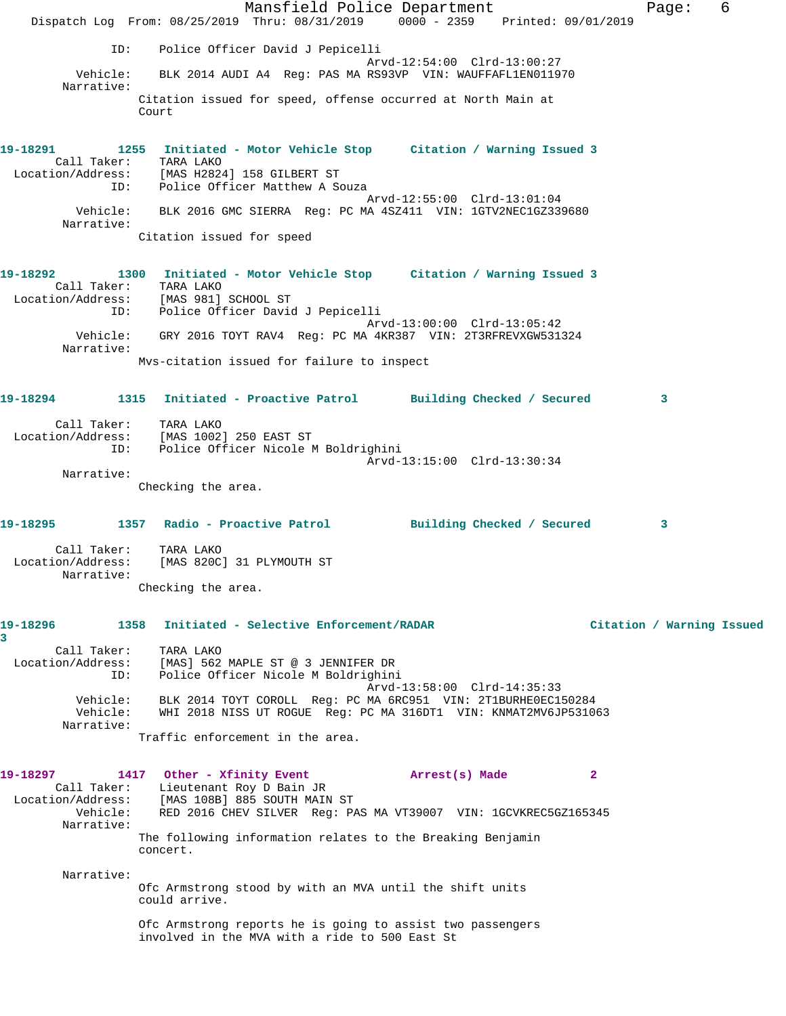Mansfield Police Department Fage: 6 Dispatch Log From: 08/25/2019 Thru: 08/31/2019 0000 - 2359 Printed: 09/01/2019 ID: Police Officer David J Pepicelli Arvd-12:54:00 Clrd-13:00:27 Vehicle: BLK 2014 AUDI A4 Reg: PAS MA RS93VP VIN: WAUFFAFL1EN011970 Narrative: Citation issued for speed, offense occurred at North Main at Court **19-18291 1255 Initiated - Motor Vehicle Stop Citation / Warning Issued 3**  Call Taker: TARA LAKO Location/Address: [MAS H2824] 158 GILBERT ST ID: Police Officer Matthew A Souza Arvd-12:55:00 Clrd-13:01:04 Vehicle: BLK 2016 GMC SIERRA Reg: PC MA 4SZ411 VIN: 1GTV2NEC1GZ339680 Narrative: Citation issued for speed **19-18292 1300 Initiated - Motor Vehicle Stop Citation / Warning Issued 3**  Call Taker: TARA LAKO Location/Address: [MAS 981] SCHOOL ST ID: Police Officer David J Pepicelli Arvd-13:00:00 Clrd-13:05:42 Vehicle: GRY 2016 TOYT RAV4 Reg: PC MA 4KR387 VIN: 2T3RFREVXGW531324 Narrative: Mvs-citation issued for failure to inspect **19-18294 1315 Initiated - Proactive Patrol Building Checked / Secured 3** Call Taker: TARA LAKO Location/Address: [MAS 1002] 250 EAST ST ID: Police Officer Nicole M Boldrighini Arvd-13:15:00 Clrd-13:30:34 Narrative: Checking the area. **19-18295 1357 Radio - Proactive Patrol Building Checked / Secured 3** Call Taker: TARA LAKO Location/Address: [MAS 820C] 31 PLYMOUTH ST Narrative: Checking the area. **19-18296 1358 Initiated - Selective Enforcement/RADAR Citation / Warning Issued 3**  Call Taker: TARA LAKO Location/Address: [MAS] 562 MAPLE ST @ 3 JENNIFER DR ID: Police Officer Nicole M Boldrighini Arvd-13:58:00 Clrd-14:35:33 Vehicle: BLK 2014 TOYT COROLL Reg: PC MA 6RC951 VIN: 2T1BURHE0EC150284 Vehicle: WHI 2018 NISS UT ROGUE Reg: PC MA 316DT1 VIN: KNMAT2MV6JP531063 Narrative: Traffic enforcement in the area. **19-18297 1417 Other - Xfinity Event Arrest(s) Made 2**  Call Taker: Lieutenant Roy D Bain JR Location/Address: [MAS 108B] 885 SOUTH MAIN ST Vehicle: RED 2016 CHEV SILVER Reg: PAS MA VT39007 VIN: 1GCVKREC5GZ165345 Narrative: The following information relates to the Breaking Benjamin concert. Narrative: Ofc Armstrong stood by with an MVA until the shift units could arrive. Ofc Armstrong reports he is going to assist two passengers involved in the MVA with a ride to 500 East St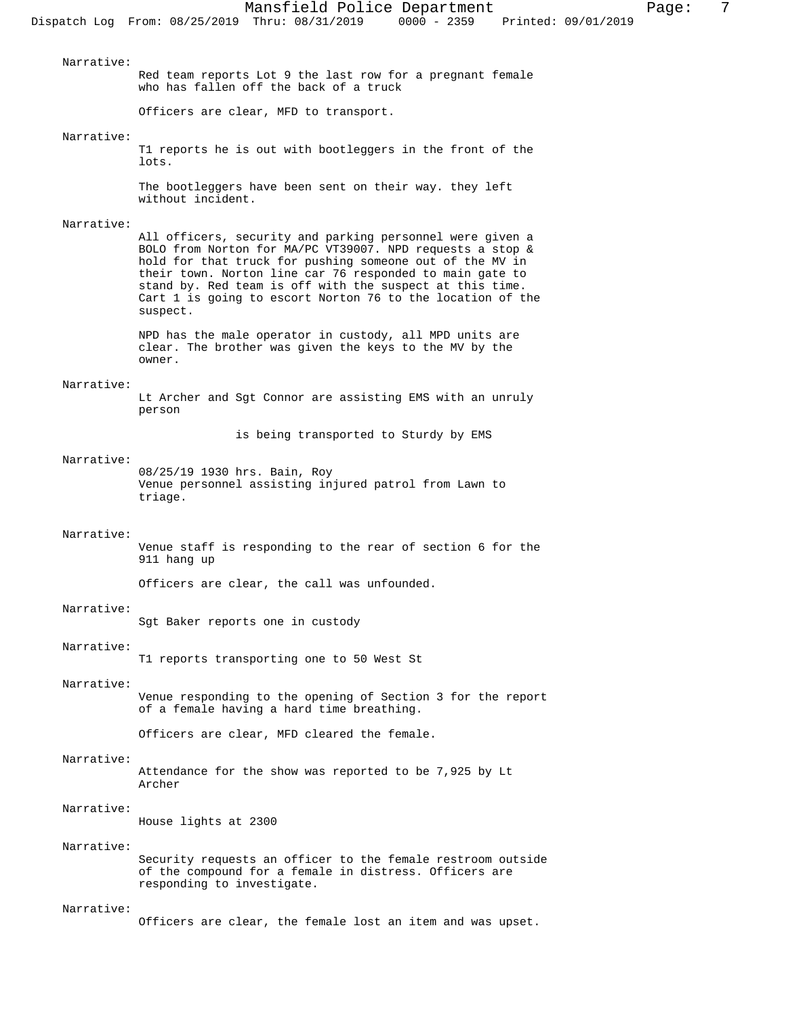Narrative: Red team reports Lot 9 the last row for a pregnant female who has fallen off the back of a truck Officers are clear, MFD to transport.

#### Narrative:

T1 reports he is out with bootleggers in the front of the lots.

The bootleggers have been sent on their way. they left without incident.

# Narrative:

All officers, security and parking personnel were given a BOLO from Norton for MA/PC VT39007. NPD requests a stop & hold for that truck for pushing someone out of the MV in their town. Norton line car 76 responded to main gate to stand by. Red team is off with the suspect at this time. Cart 1 is going to escort Norton 76 to the location of the suspect.

NPD has the male operator in custody, all MPD units are clear. The brother was given the keys to the MV by the owner.

#### Narrative:

Lt Archer and Sgt Connor are assisting EMS with an unruly person

is being transported to Sturdy by EMS

#### Narrative:

08/25/19 1930 hrs. Bain, Roy Venue personnel assisting injured patrol from Lawn to triage.

## Narrative:

Venue staff is responding to the rear of section 6 for the 911 hang up

Officers are clear, the call was unfounded.

#### Narrative:

Sgt Baker reports one in custody

## Narrative:

T1 reports transporting one to 50 West St

## Narrative:

Venue responding to the opening of Section 3 for the report of a female having a hard time breathing.

Officers are clear, MFD cleared the female.

#### Narrative:

Attendance for the show was reported to be 7,925 by Lt Archer

## Narrative:

House lights at 2300

# Narrative:

Security requests an officer to the female restroom outside of the compound for a female in distress. Officers are responding to investigate.

#### Narrative:

Officers are clear, the female lost an item and was upset.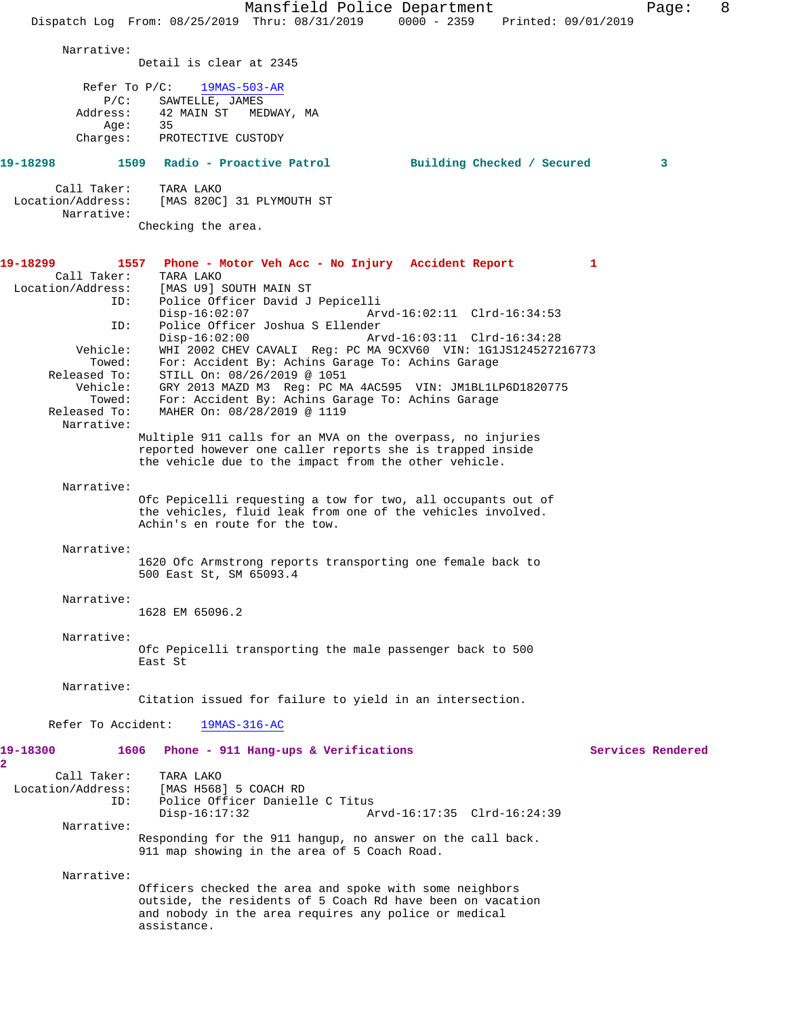|                                 | Mansfield Police Department                                                                                             |                   | Page: | 8 |
|---------------------------------|-------------------------------------------------------------------------------------------------------------------------|-------------------|-------|---|
|                                 | Dispatch Log From: 08/25/2019 Thru: 08/31/2019 0000 - 2359 Printed: 09/01/2019                                          |                   |       |   |
| Narrative:                      |                                                                                                                         |                   |       |   |
|                                 | Detail is clear at 2345                                                                                                 |                   |       |   |
| Refer To $P/C$ :                | $19MAS-503-AR$                                                                                                          |                   |       |   |
| $P/C$ :                         | SAWTELLE, JAMES                                                                                                         |                   |       |   |
| Address:<br>Age:                | 42 MAIN ST<br>MEDWAY, MA<br>35                                                                                          |                   |       |   |
| Charges:                        | PROTECTIVE CUSTODY                                                                                                      |                   |       |   |
| 19-18298                        | 1509 Radio - Proactive Patrol<br>Building Checked / Secured                                                             |                   | 3     |   |
| Call Taker:                     | TARA LAKO                                                                                                               |                   |       |   |
| Location/Address:<br>Narrative: | [MAS 820C] 31 PLYMOUTH ST                                                                                               |                   |       |   |
|                                 | Checking the area.                                                                                                      |                   |       |   |
|                                 |                                                                                                                         |                   |       |   |
| 19-18299<br>Call Taker:         | 1557 Phone - Motor Veh Acc - No Injury Accident Report<br>TARA LAKO                                                     | $\mathbf{1}$      |       |   |
| Location/Address:               | [MAS U9] SOUTH MAIN ST                                                                                                  |                   |       |   |
| ID:                             | Police Officer David J Pepicelli<br>$Disp-16:02:07$<br>Arvd-16:02:11 Clrd-16:34:53                                      |                   |       |   |
| ID:                             | Police Officer Joshua S Ellender                                                                                        |                   |       |   |
| Vehicle:                        | Arvd-16:03:11 Clrd-16:34:28<br>$Disp-16:02:00$<br>WHI 2002 CHEV CAVALI Req: PC MA 9CXV60 VIN: 1G1JS124527216773         |                   |       |   |
| Towed:                          | For: Accident By: Achins Garage To: Achins Garage                                                                       |                   |       |   |
| Released To:<br>Vehicle:        | STILL On: 08/26/2019 @ 1051<br>GRY 2013 MAZD M3 Req: PC MA 4AC595 VIN: JM1BL1LP6D1820775                                |                   |       |   |
| Towed:<br>Released To:          | For: Accident By: Achins Garage To: Achins Garage<br>MAHER On: 08/28/2019 @ 1119                                        |                   |       |   |
| Narrative:                      |                                                                                                                         |                   |       |   |
|                                 | Multiple 911 calls for an MVA on the overpass, no injuries<br>reported however one caller reports she is trapped inside |                   |       |   |
|                                 | the vehicle due to the impact from the other vehicle.                                                                   |                   |       |   |
| Narrative:                      |                                                                                                                         |                   |       |   |
|                                 | Ofc Pepicelli requesting a tow for two, all occupants out of                                                            |                   |       |   |
|                                 | the vehicles, fluid leak from one of the vehicles involved.<br>Achin's en route for the tow.                            |                   |       |   |
| Narrative:                      |                                                                                                                         |                   |       |   |
|                                 | 1620 Ofc Armstrong reports transporting one female back to                                                              |                   |       |   |
|                                 | 500 East St, SM 65093.4                                                                                                 |                   |       |   |
| Narrative:                      |                                                                                                                         |                   |       |   |
|                                 | 1628 EM 65096.2                                                                                                         |                   |       |   |
| Narrative:                      |                                                                                                                         |                   |       |   |
|                                 | Ofc Pepicelli transporting the male passenger back to 500<br>East St                                                    |                   |       |   |
| Narrative:                      |                                                                                                                         |                   |       |   |
|                                 | Citation issued for failure to yield in an intersection.                                                                |                   |       |   |
| Refer To Accident:              | 19MAS-316-AC                                                                                                            |                   |       |   |
| 19-18300<br>2                   | 1606 Phone - 911 Hang-ups & Verifications                                                                               | Services Rendered |       |   |
| Call Taker:                     | TARA LAKO                                                                                                               |                   |       |   |
| Location/Address:<br>ID:        | [MAS H568] 5 COACH RD<br>Police Officer Danielle C Titus                                                                |                   |       |   |
|                                 | $Disp-16:17:32$<br>Arvd-16:17:35 Clrd-16:24:39                                                                          |                   |       |   |
| Narrative:                      | Responding for the 911 hangup, no answer on the call back.                                                              |                   |       |   |
|                                 | 911 map showing in the area of 5 Coach Road.                                                                            |                   |       |   |
| Narrative:                      |                                                                                                                         |                   |       |   |
|                                 | Officers checked the area and spoke with some neighbors<br>outside, the residents of 5 Coach Rd have been on vacation   |                   |       |   |
|                                 | and nobody in the area requires any police or medical                                                                   |                   |       |   |
|                                 | assistance.                                                                                                             |                   |       |   |
|                                 |                                                                                                                         |                   |       |   |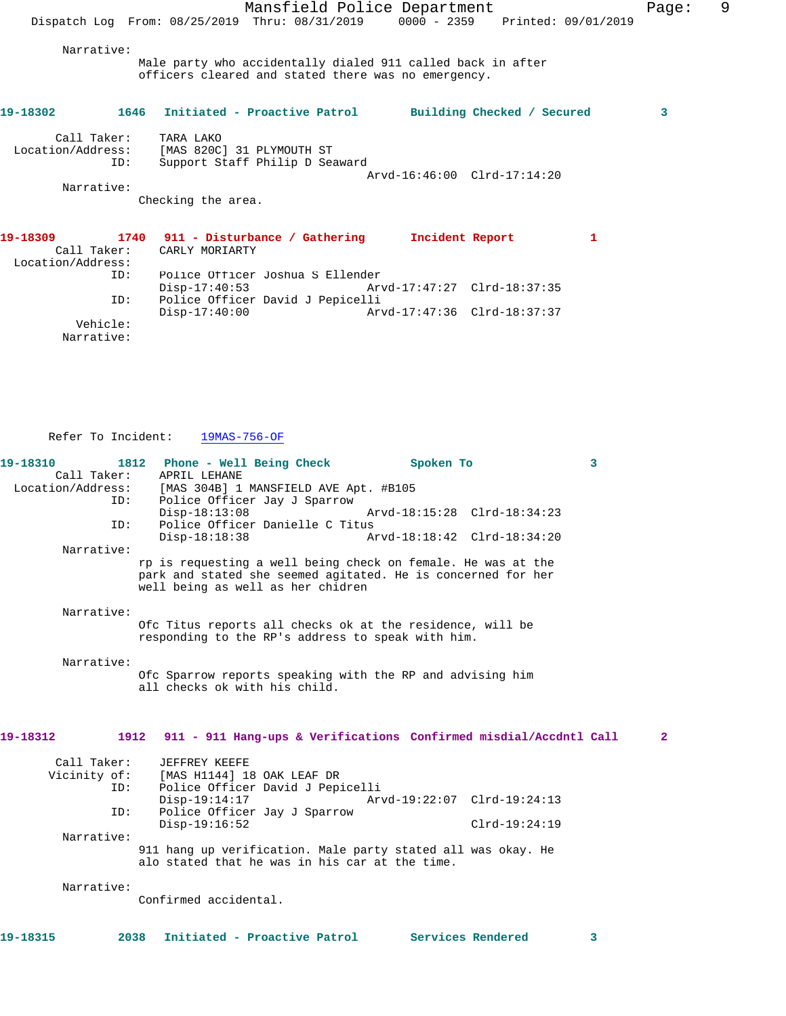Mansfield Police Department Fage: 9 Dispatch Log From: 08/25/2019 Thru: 08/31/2019 0000 - 2359 Printed: 09/01/2019 Narrative: Male party who accidentally dialed 911 called back in after officers cleared and stated there was no emergency. **19-18302 1646 Initiated - Proactive Patrol Building Checked / Secured 3** Call Taker: TARA LAKO Location/Address: [MAS 820C] 31 PLYMOUTH ST ID: Support Staff Philip D Seaward Arvd-16:46:00 Clrd-17:14:20 Narrative: Checking the area. **19-18309 1740 911 - Disturbance / Gathering Incident Report 1**  Call Taker: CARLY MORIARTY Location/Address: ID: Police Officer Joshua S Ellender Disp-17:40:53 Arvd-17:47:27 Clrd-18:37:35

 Vehicle: Narrative:

Refer To Incident: 19MAS-756-OF

ID: Police Officer David J Pepicelli

Disp-17:40:00 Arvd-17:47:36 Clrd-18:37:37

| 19-18310                         | 1812<br>Phone - Well Being Check                                                                               | Spoken To                   | $\overline{\mathbf{3}}$ |
|----------------------------------|----------------------------------------------------------------------------------------------------------------|-----------------------------|-------------------------|
| Call Taker:<br>Location/Address: | APRIL LEHANE<br>[MAS 304B] 1 MANSFIELD AVE Apt. #B105                                                          |                             |                         |
| ID:                              | Police Officer Jay J Sparrow                                                                                   |                             |                         |
|                                  | $Disp-18:13:08$                                                                                                | Arvd-18:15:28 Clrd-18:34:23 |                         |
| ID:                              | Police Officer Danielle C Titus                                                                                |                             |                         |
| Narrative:                       | $Disp-18:18:38$                                                                                                | Arvd-18:18:42 Clrd-18:34:20 |                         |
|                                  | rp is requesting a well being check on female. He was at the                                                   |                             |                         |
|                                  | park and stated she seemed agitated. He is concerned for her<br>well being as well as her chidren              |                             |                         |
| Narrative:                       |                                                                                                                |                             |                         |
|                                  | Ofc Titus reports all checks ok at the residence, will be<br>responding to the RP's address to speak with him. |                             |                         |
| Narrative:                       |                                                                                                                |                             |                         |
|                                  | Ofc Sparrow reports speaking with the RP and advising him<br>all checks ok with his child.                     |                             |                         |
|                                  |                                                                                                                |                             |                         |
| 19-18312                         | 1912 911 - 911 Hang-ups & Verifications Confirmed misdial/Accdntl Call                                         |                             | $\overline{2}$          |
| Call Taker:                      | JEFFREY KEEFE                                                                                                  |                             |                         |
| Vicinity of:                     | [MAS H1144] 18 OAK LEAF DR                                                                                     |                             |                         |
| ID:                              | Police Officer David J Pepicelli                                                                               |                             |                         |
| ID:                              | $Disp-19:14:17$<br>Police Officer Jay J Sparrow                                                                | Arvd-19:22:07 Clrd-19:24:13 |                         |
|                                  | $Disp-19:16:52$                                                                                                |                             | $Clrd-19:24:19$         |
| Narrative:                       |                                                                                                                |                             |                         |
|                                  | 911 hang up verification. Male party stated all was okay. He<br>alo stated that he was in his car at the time. |                             |                         |
| Narrative:                       |                                                                                                                |                             |                         |
|                                  | Confirmed accidental.                                                                                          |                             |                         |
|                                  |                                                                                                                |                             |                         |
| 19-18315<br>2038                 | Initiated - Proactive Patrol                                                                                   | Services Rendered           | 3                       |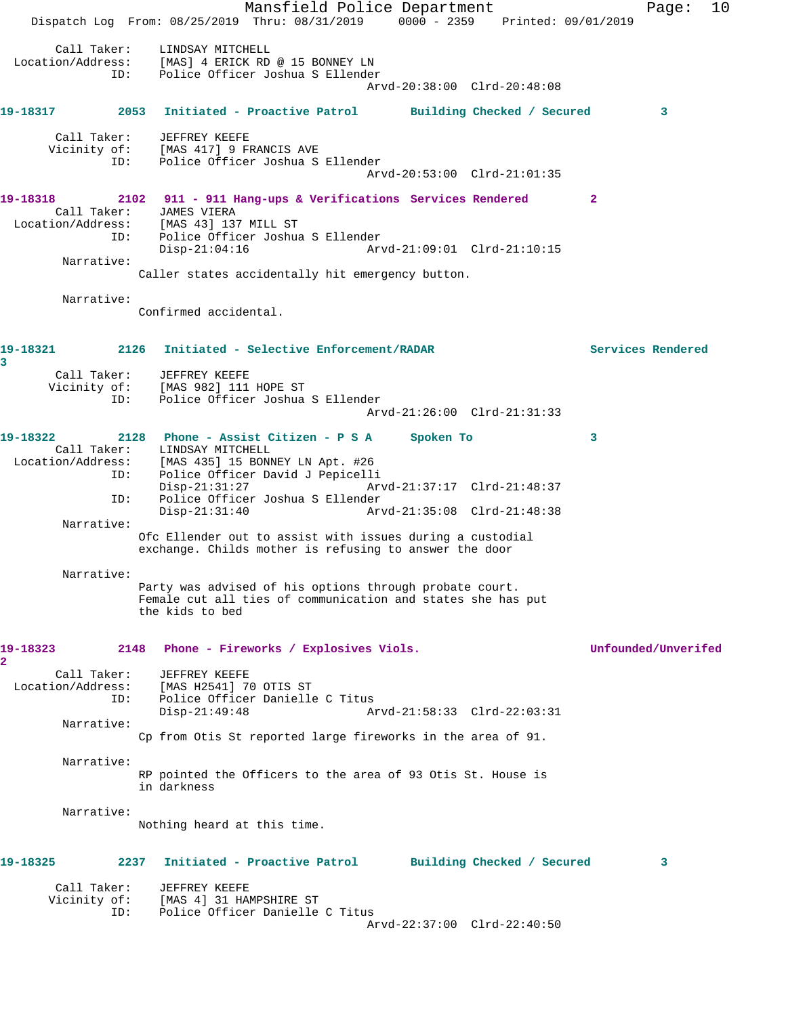Mansfield Police Department Page: 10 Dispatch Log From: 08/25/2019 Thru: 08/31/2019 0000 - 2359 Printed: 09/01/2019 Call Taker: LINDSAY MITCHELL Location/Address: [MAS] 4 ERICK RD @ 15 BONNEY LN ID: Police Officer Joshua S Ellender Arvd-20:38:00 Clrd-20:48:08 **19-18317 2053 Initiated - Proactive Patrol Building Checked / Secured 3** Call Taker: JEFFREY KEEFE Vicinity of: [MAS 417] 9 FRANCIS AVE<br>ID: Police Officer Joshua S Police Officer Joshua S Ellender Arvd-20:53:00 Clrd-21:01:35 **19-18318 2102 911 - 911 Hang-ups & Verifications Services Rendered 2**  Call Taker: JAMES VIERA Location/Address: [MAS 43] 137 MILL ST ID: Police Officer Joshua S Ellender Disp-21:04:16 Arvd-21:09:01 Clrd-21:10:15 Narrative: Caller states accidentally hit emergency button. Narrative: Confirmed accidental. **19-18321 2126 Initiated - Selective Enforcement/RADAR Services Rendered 3**  Call Taker: JEFFREY KEEFE Vicinity of: [MAS 982] 111 HOPE ST ID: Police Officer Joshua S Ellender Arvd-21:26:00 Clrd-21:31:33 **19-18322 2128 Phone - Assist Citizen - P S A Spoken To 3**  Call Taker: LINDSAY MITCHELL Location/Address: [MAS 435] 15 BONNEY LN Apt. #26 Police Officer David J Pepicelli<br>Disp-21:31:27 Ar Disp-21:31:27 Arvd-21:37:17 Clrd-21:48:37<br>ID: Police Officer Joshua S Ellender Police Officer Joshua S Ellender Disp-21:31:40 Arvd-21:35:08 Clrd-21:48:38 Narrative: Ofc Ellender out to assist with issues during a custodial exchange. Childs mother is refusing to answer the door Narrative: Party was advised of his options through probate court. Female cut all ties of communication and states she has put the kids to bed **19-18323 2148 Phone - Fireworks / Explosives Viols. Unfounded/Unverifed 2**  Call Taker: JEFFREY KEEFE Location/Address: [MAS H2541] 70 OTIS ST ID: Police Officer Danielle C Titus<br>Disp-21:49:48 A Arvd-21:58:33 Clrd-22:03:31 Narrative: Cp from Otis St reported large fireworks in the area of 91. Narrative: RP pointed the Officers to the area of 93 Otis St. House is in darkness Narrative: Nothing heard at this time. **19-18325 2237 Initiated - Proactive Patrol Building Checked / Secured 3** Call Taker: JEFFREY KEEFE Vicinity of: [MAS 4] 31 HAMPSHIRE ST<br>ID: Police Officer Danielle Police Officer Danielle C Titus Arvd-22:37:00 Clrd-22:40:50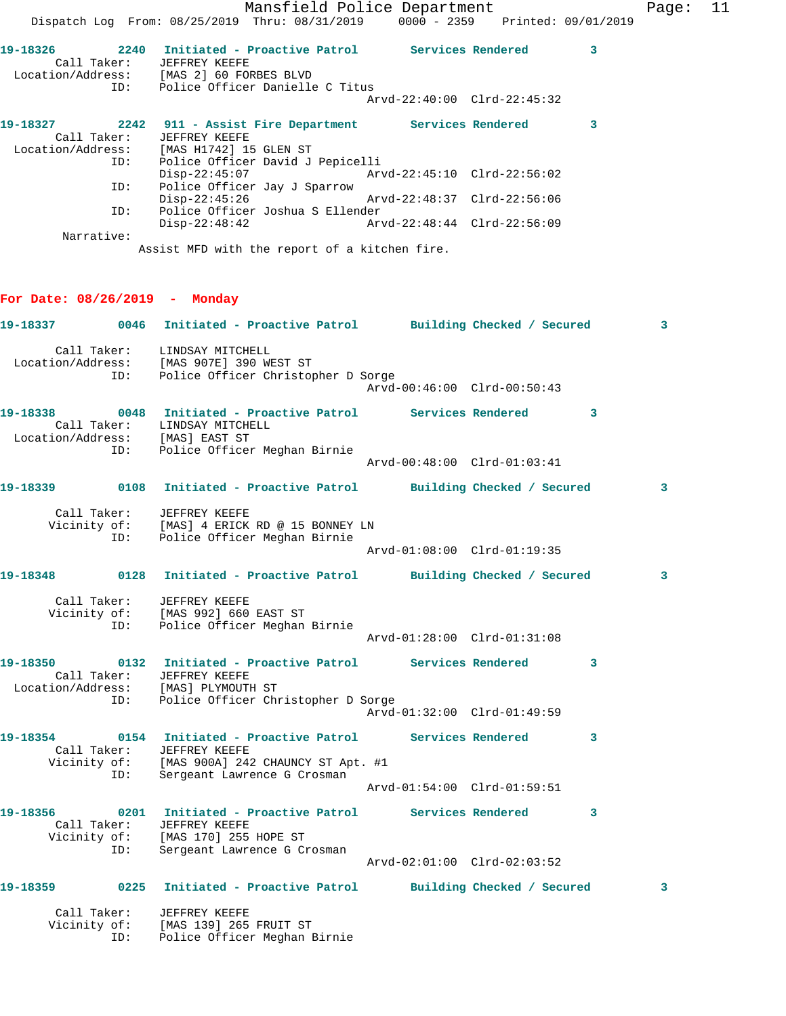Mansfield Police Department Fage: 11 Dispatch Log From: 08/25/2019 Thru: 08/31/2019 0000 - 2359 Printed: 09/01/2019 **19-18326 2240 Initiated - Proactive Patrol Services Rendered 3**  Call Taker: JEFFREY KEEFE Location/Address: [MAS 2] 60 FORBES BLVD ID: Police Officer Danielle C Titus Arvd-22:40:00 Clrd-22:45:32 **19-18327 2242 911 - Assist Fire Department Services Rendered 3**  Call Taker: JEFFREY KEEFE Location/Address: [MAS H1742] 15 GLEN ST ID: Police Officer David J Pepicelli Disp-22:45:07 Arvd-22:45:10 Clrd-22:56:02 ID: Police Officer Jay J Sparrow Disp-22:45:26 Arvd-22:48:37 Clrd-22:56:06 ID: Police Officer Joshua S Ellender  $Disp-22:48:42$  Narrative: Assist MFD with the report of a kitchen fire. **For Date: 08/26/2019 - Monday 19-18337 0046 Initiated - Proactive Patrol Building Checked / Secured 3** Call Taker: LINDSAY MITCHELL Location/Address: [MAS 907E] 390 WEST ST ID: Police Officer Christopher D Sorge Arvd-00:46:00 Clrd-00:50:43 **19-18338 0048 Initiated - Proactive Patrol Services Rendered 3**  Call Taker: LINDSAY MITCHELL Location/Address: [MAS] EAST ST ID: Police Officer Meghan Birnie Arvd-00:48:00 Clrd-01:03:41 **19-18339 0108 Initiated - Proactive Patrol Building Checked / Secured 3** Call Taker: JEFFREY KEEFE Vicinity of: [MAS] 4 ERICK RD @ 15 BONNEY LN ID: Police Officer Meghan Birnie Arvd-01:08:00 Clrd-01:19:35 **19-18348 0128 Initiated - Proactive Patrol Building Checked / Secured 3** Call Taker: JEFFREY KEEFE Vicinity of: [MAS 992] 660 EAST ST ID: Police Officer Meghan Birnie Arvd-01:28:00 Clrd-01:31:08 **19-18350 0132 Initiated - Proactive Patrol Services Rendered 3**  Call Taker: JEFFREY KEEFE Location/Address: [MAS] PLYMOUTH ST ID: Police Officer Christopher D Sorge Arvd-01:32:00 Clrd-01:49:59 **19-18354 0154 Initiated - Proactive Patrol Services Rendered 3**  Call Taker: JEFFREY KEEFE Vicinity of: [MAS 900A] 242 CHAUNCY ST Apt. #1 ID: Sergeant Lawrence G Crosman Arvd-01:54:00 Clrd-01:59:51 **19-18356 0201 Initiated - Proactive Patrol Services Rendered 3**  Call Taker: JEFFREY KEEFE Vicinity of: [MAS 170] 255 HOPE ST ID: Sergeant Lawrence G Crosman Arvd-02:01:00 Clrd-02:03:52 **19-18359 0225 Initiated - Proactive Patrol Building Checked / Secured 3** Call Taker: JEFFREY KEEFE Vicinity of: [MAS 139] 265 FRUIT ST ID: Police Officer Meghan Birnie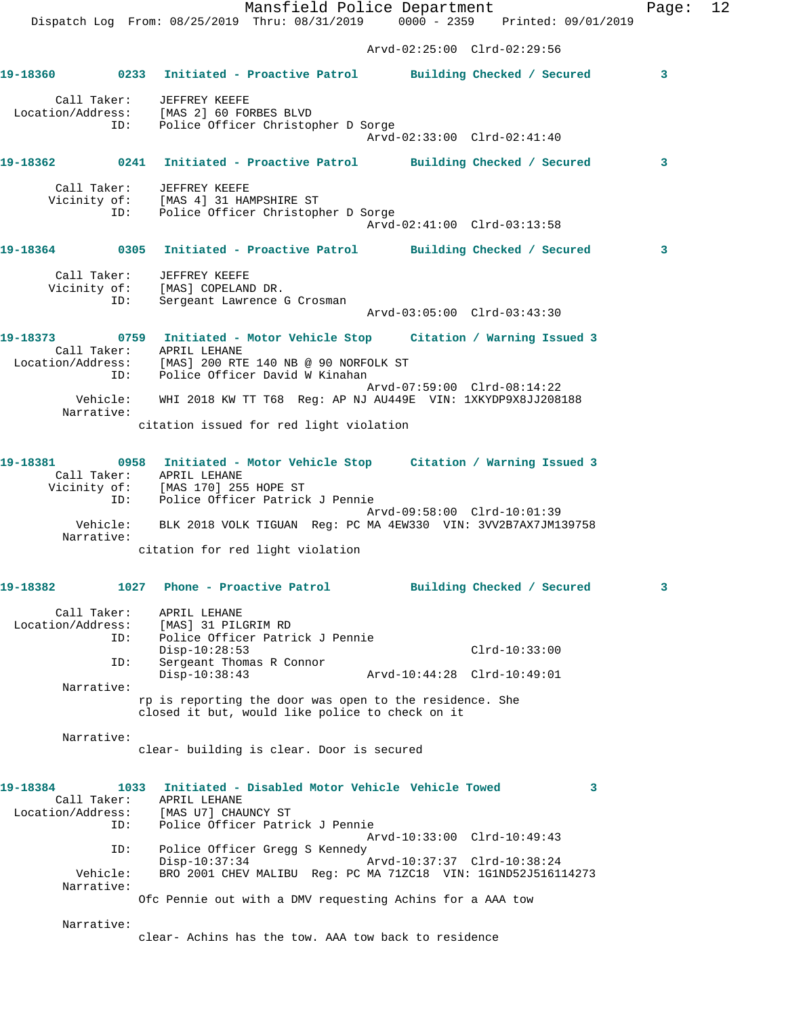Mansfield Police Department Fage: 12 Dispatch Log From: 08/25/2019 Thru: 08/31/2019 0000 - 2359 Printed: 09/01/2019 Arvd-02:25:00 Clrd-02:29:56 **19-18360 0233 Initiated - Proactive Patrol Building Checked / Secured 3** Call Taker: JEFFREY KEEFE Location/Address: [MAS 2] 60 FORBES BLVD ID: Police Officer Christopher D Sorge Arvd-02:33:00 Clrd-02:41:40 **19-18362 0241 Initiated - Proactive Patrol Building Checked / Secured 3** Call Taker: JEFFREY KEEFE Vicinity of: [MAS 4] 31 HAMPSHIRE ST ID: Police Officer Christopher D Sorge Arvd-02:41:00 Clrd-03:13:58 **19-18364 0305 Initiated - Proactive Patrol Building Checked / Secured 3** Call Taker: JEFFREY KEEFE Vicinity of: [MAS] COPELAND DR. ID: Sergeant Lawrence G Crosman Arvd-03:05:00 Clrd-03:43:30 **19-18373 0759 Initiated - Motor Vehicle Stop Citation / Warning Issued 3** 

 Call Taker: APRIL LEHANE Location/Address: [MAS] 200 RTE 140 NB @ 90 NORFOLK ST ID: Police Officer David W Kinahan Arvd-07:59:00 Clrd-08:14:22 Vehicle: WHI 2018 KW TT T68 Reg: AP NJ AU449E VIN: 1XKYDP9X8JJ208188 Narrative: citation issued for red light violation

**19-18381 0958 Initiated - Motor Vehicle Stop Citation / Warning Issued 3**  Call Taker: APRIL LEHANE Vicinity of: [MAS 170] 255 HOPE ST ID: Police Officer Patrick J Pennie Arvd-09:58:00 Clrd-10:01:39 Vehicle: BLK 2018 VOLK TIGUAN Reg: PC MA 4EW330 VIN: 3VV2B7AX7JM139758 Narrative: citation for red light violation

**19-18382 1027 Phone - Proactive Patrol Building Checked / Secured 3** Call Taker: APRIL LEHANE Location/Address: [MAS] 31 PILGRIM RD ID: Police Officer Patrick J Pennie Disp-10:28:53 Clrd-10:33:00 ID: Sergeant Thomas R Connor Disp-10:38:43 Arvd-10:44:28 Clrd-10:49:01 Narrative: rp is reporting the door was open to the residence. She closed it but, would like police to check on it

Narrative:

clear- building is clear. Door is secured

| 19-18384               | 1033 | Initiated - Disabled Motor Vehicle Vehicle Towed              |  |
|------------------------|------|---------------------------------------------------------------|--|
| Call Taker:            |      | APRIL LEHANE                                                  |  |
| Location/Address:      |      | [MAS U7] CHAUNCY ST                                           |  |
|                        | ID:  | Police Officer Patrick J Pennie                               |  |
|                        |      | Arvd-10:33:00 Clrd-10:49:43                                   |  |
|                        | ID:  | Police Officer Gregg S Kennedy                                |  |
|                        |      | Arvd-10:37:37 Clrd-10:38:24<br>$Disp-10:37:34$                |  |
| Vehicle:<br>Narrative: |      | BRO 2001 CHEV MALIBU Req: PC MA 71ZC18 VIN: 1G1ND52J516114273 |  |
|                        |      | Ofc Pennie out with a DMV requesting Achins for a AAA tow     |  |

Narrative:

clear- Achins has the tow. AAA tow back to residence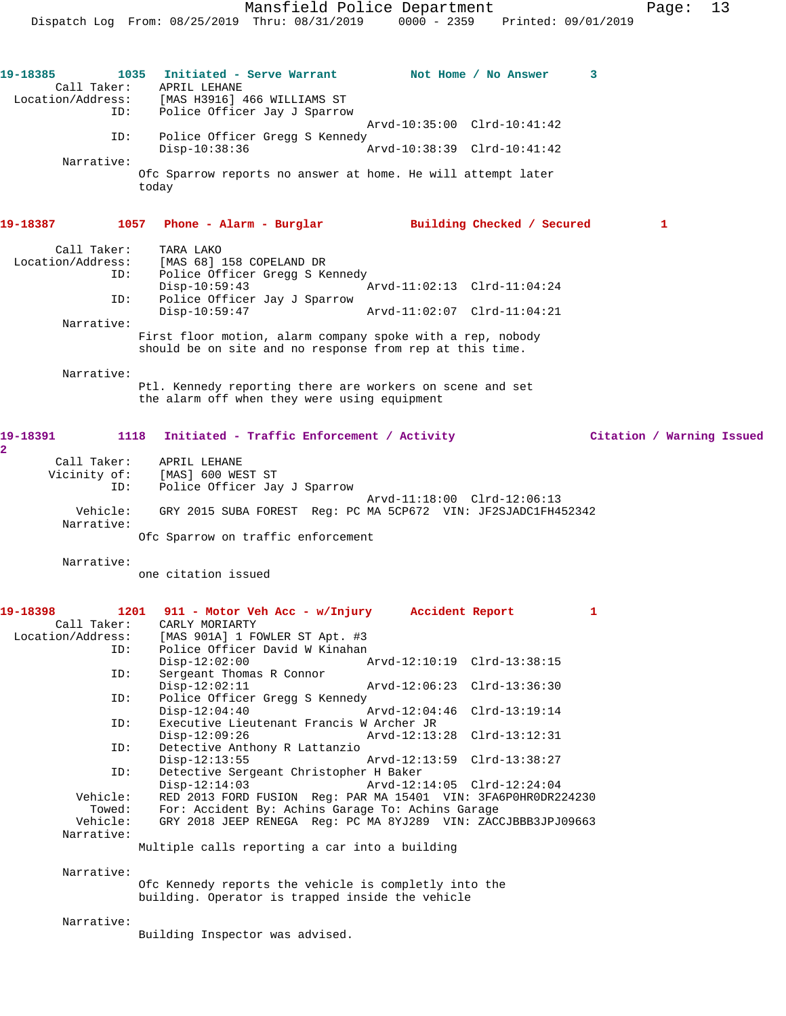**19-18385 1035 Initiated - Serve Warrant Not Home / No Answer 3**  Call Taker: APRIL LEHANE Location/Address: [MAS H3916] 466 WILLIAMS ST ID: Police Officer Jay J Sparrow Arvd-10:35:00 Clrd-10:41:42 ID: Police Officer Gregg S Kennedy<br>Disp-10:38:36 7 Disp-10:38:36 Arvd-10:38:39 Clrd-10:41:42 Narrative: Ofc Sparrow reports no answer at home. He will attempt later today **19-18387 1057 Phone - Alarm - Burglar Building Checked / Secured 1** Call Taker: TARA LAKO Location/Address: [MAS 68] 158 COPELAND DR ID: Police Officer Gregg S Kennedy<br>Disp-10:59:43 Disp-10:59:43 Arvd-11:02:13 Clrd-11:04:24 ID: Police Officer Jay J Sparrow Disp-10:59:47 Arvd-11:02:07 Clrd-11:04:21 Narrative: First floor motion, alarm company spoke with a rep, nobody should be on site and no response from rep at this time. Narrative: Ptl. Kennedy reporting there are workers on scene and set the alarm off when they were using equipment **19-18391 1118 Initiated - Traffic Enforcement / Activity Citation / Warning Issued** Call Taker: APRIL LEHANE<br>Vicinity of: [MAS] 600 WES of: [MAS] 600 WEST ST<br>ID: Police Officer Jay Police Officer Jay J Sparrow Arvd-11:18:00 Clrd-12:06:13 Vehicle: GRY 2015 SUBA FOREST Reg: PC MA 5CP672 VIN: JF2SJADC1FH452342 Narrative: Ofc Sparrow on traffic enforcement Narrative: one citation issued **19-18398 1201 911 - Motor Veh Acc - w/Injury Accident Report 1**  Call Taker: CARLY MORIARTY<br>Location/Address: [MAS 901A] 1 FO ess: [MAS 901A] 1 FOWLER ST Apt. #3<br>ID: Police Officer David W Kinahan Police Officer David W Kinahan Disp-12:02:00 Arvd-12:10:19 Clrd-13:38:15 ID: Sergeant Thomas R Connor Disp-12:02:11 Arvd-12:06:23 Clrd-13:36:30<br>TD: Police Officer Gread S Kennedy Police Officer Gregg S Kennedy<br>Disp-12:04:40 Disp-12:04:40 Arvd-12:04:46 Clrd-13:19:14 ID: Executive Lieutenant Francis W Archer JR Disp-12:09:26 Arvd-12:13:28 Clrd-13:12:31<br>ID: Detective Anthony R Lattanzio Detective Anthony R Lattanzio<br>Disp-12:13:55 Disp-12:13:55 Arvd-12:13:59 Clrd-13:38:27<br>ID: Detective Sergeant Christopher H Baker Detective Sergeant Christopher H Baker Disp-12:14:03 Arvd-12:14:05 Clrd-12:24:04<br>Vehicle: RED 2013 FORD FUSION Req: PAR MA 15401 VIN: 3FA6P0HR0DR2 RED 2013 FORD FUSION Reg: PAR MA 15401 VIN: 3FA6P0HR0DR224230 Towed: For: Accident By: Achins Garage To: Achins Garage Vehicle: GRY 2018 JEEP RENEGA Reg: PC MA 8YJ289 VIN: ZACCJBBB3JPJ09663 Narrative: Multiple calls reporting a car into a building Narrative: Ofc Kennedy reports the vehicle is completly into the building. Operator is trapped inside the vehicle Narrative: Building Inspector was advised.

**2** 

Dispatch Log From: 08/25/2019 Thru: 08/31/2019 0000 - 2359 Printed: 09/01/2019

Mansfield Police Department Page: 13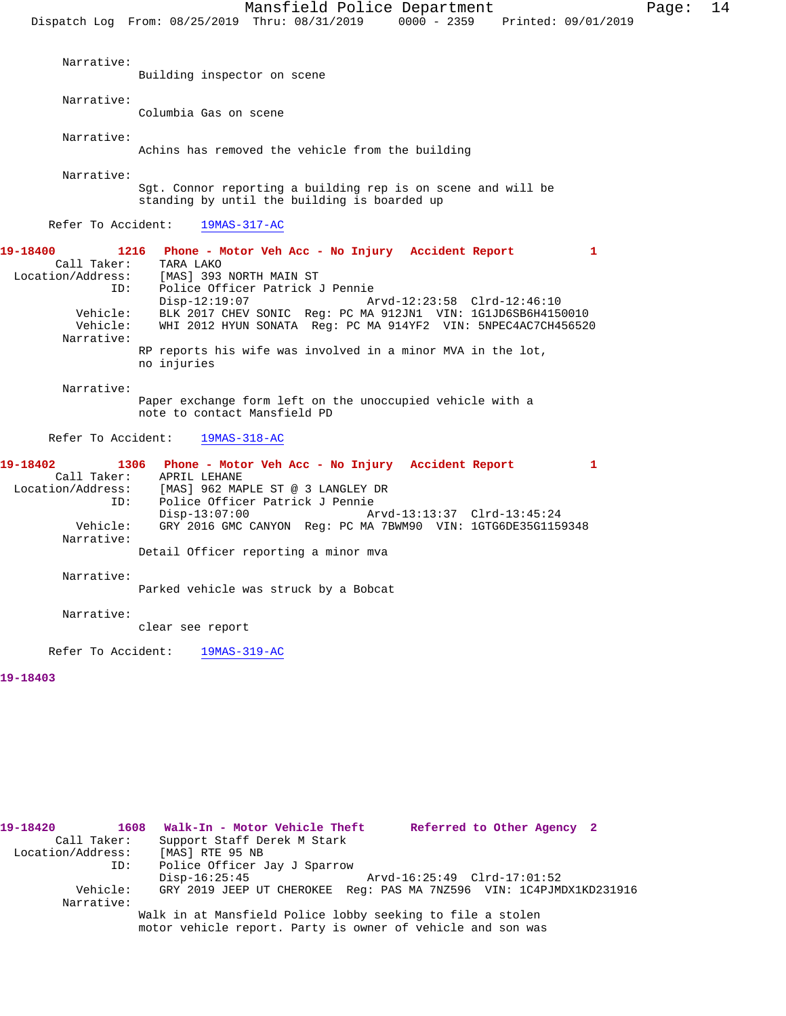Mansfield Police Department Page: 14 Dispatch Log From: 08/25/2019 Thru: 08/31/2019 0000 - 2359 Printed: 09/01/2019 Narrative: Building inspector on scene Narrative: Columbia Gas on scene Narrative: Achins has removed the vehicle from the building Narrative: Sgt. Connor reporting a building rep is on scene and will be standing by until the building is boarded up Refer To Accident: 19MAS-317-AC **19-18400 1216 Phone - Motor Veh Acc - No Injury Accident Report 1**  Call Taker: TARA LAKO Location/Address: [MAS] 393 NORTH MAIN ST

ID: Police Officer Patrick J Pennie<br>Disp-12:19:07 Disp-12:19:07 Arvd-12:23:58 Clrd-12:46:10 Vehicle: BLK 2017 CHEV SONIC Reg: PC MA 912JN1 VIN: 1G1JD6SB6H4150010<br>Vehicle: WHI 2012 HYUN SONATA Reg: PC MA 914YF2 VIN: 5NPEC4AC7CH456520 WHI 2012 HYUN SONATA Reg: PC MA 914YF2 VIN: 5NPEC4AC7CH456520 Narrative: RP reports his wife was involved in a minor MVA in the lot, no injuries

Narrative:

Paper exchange form left on the unoccupied vehicle with a note to contact Mansfield PD

Refer To Accident: 19MAS-318-AC

**19-18402 1306 Phone - Motor Veh Acc - No Injury Accident Report 1**  Call Taker: APRIL LEHANE Location/Address: [MAS] 962 MAPLE ST @ 3 LANGLEY DR<br>ID: Police Officer Patrick J Pennie Police Officer Patrick J Pennie<br>Disp-13:07:00 A Disp-13:07:00 Arvd-13:13:37 Clrd-13:45:24<br>Vehicle: GRY 2016 GMC CANYON Req: PC MA 7BWM90 VIN: 1GTG6DE35G115 GRY 2016 GMC CANYON Reg: PC MA 7BWM90 VIN: 1GTG6DE35G1159348 Narrative: Detail Officer reporting a minor mva

Narrative:

Parked vehicle was struck by a Bobcat

Narrative:

clear see report

Refer To Accident: 19MAS-319-AC

# **19-18403**

**19-18420 1608 Walk-In - Motor Vehicle Theft Referred to Other Agency 2**  Call Taker: Support Staff Derek M Stark<br>.on/Address: [MAS] RTE 95 NB Location/Address: ID: Police Officer Jay J Sparrow Disp-16:25:45 Arvd-16:25:49 Clrd-17:01:52<br>Vehicle: GRY 2019 JEEP UT CHEROKEE Req: PAS MA 7NZ596 VIN: 1C4PJM GRY 2019 JEEP UT CHEROKEE Reg: PAS MA 7NZ596 VIN: 1C4PJMDX1KD231916 Narrative: Walk in at Mansfield Police lobby seeking to file a stolen motor vehicle report. Party is owner of vehicle and son was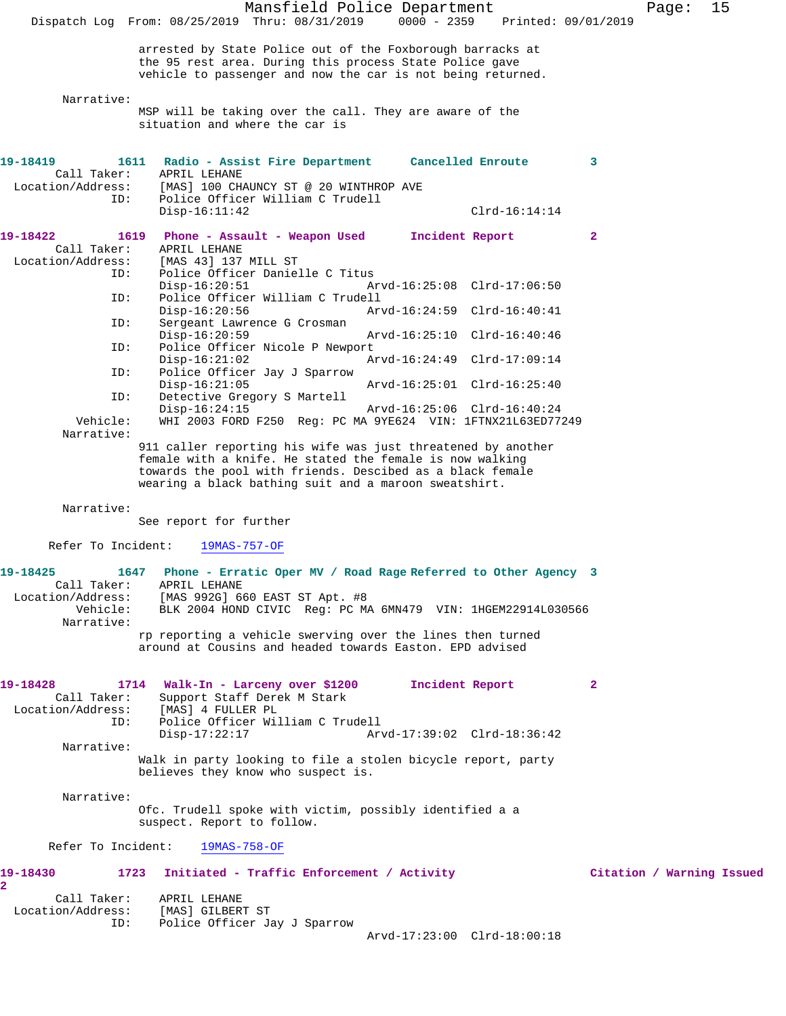Mansfield Police Department Fage: 15 Dispatch Log From: 08/25/2019 Thru: 08/31/2019 0000 - 2359 Printed: 09/01/2019 arrested by State Police out of the Foxborough barracks at the 95 rest area. During this process State Police gave vehicle to passenger and now the car is not being returned. Narrative: MSP will be taking over the call. They are aware of the situation and where the car is **19-18419 1611 Radio - Assist Fire Department Cancelled Enroute 3**  Call Taker: APRIL LEHANE Location/Address: [MAS] 100 CHAUNCY ST @ 20 WINTHROP AVE ID: Police Officer William C Trudell Disp-16:11:42 Clrd-16:14:14 **19-18422 1619 Phone - Assault - Weapon Used Incident Report 2**  Call Taker: APRIL LEHANE Location/Address: [MAS 43] 137 MILL ST ID: Police Officer Danielle C Titus<br>Disp-16:20:51 A Disp-16:20:51 Arvd-16:25:08 Clrd-17:06:50<br>ID: Police Officer William C Trudell Police Officer William C Trudell<br>Disp-16:20:56 Art Disp-16:20:56 Arvd-16:24:59 Clrd-16:40:41 ID: Sergeant Lawrence G Crosman Disp-16:20:59 Arvd-16:25:10 Clrd-16:40:46 ID: Police Officer Nicole P Newport<br>Disp-16:21:02 A Disp-16:21:02 <br>
D: Police Officer Jay J Sparrow <br>
D: Police Officer Jay J Sparrow Police Officer Jay J Sparrow Disp-16:21:05 Arvd-16:25:01 Clrd-16:25:40<br>ID: Detective Gregory S Martell Detective Gregory S Martell<br>Disp-16:24:15 Disp-16:24:15 Arvd-16:25:06 Clrd-16:40:24<br>Vehicle: WHI 2003 FORD F250 Reg: PC MA 9YE624 VIN: 1FTNX21L63ED77 WHI 2003 FORD F250 Reg: PC MA 9YE624 VIN: 1FTNX21L63ED77249 Narrative: 911 caller reporting his wife was just threatened by another female with a knife. He stated the female is now walking towards the pool with friends. Descibed as a black female wearing a black bathing suit and a maroon sweatshirt. Narrative: See report for further Refer To Incident: 19MAS-757-OF **19-18425 1647 Phone - Erratic Oper MV / Road Rage Referred to Other Agency 3**  Call Taker: APRIL LEHANE Location/Address: [MAS 992G] 660 EAST ST Apt. #8 BLK 2004 HOND CIVIC Reg: PC MA 6MN479 VIN: 1HGEM22914L030566 Narrative: rp reporting a vehicle swerving over the lines then turned around at Cousins and headed towards Easton. EPD advised **19-18428 1714 Walk-In - Larceny over \$1200 Incident Report 2**  Call Taker: Support Staff Derek M Stark Location/Address: [MAS] 4 FULLER PL ID: Police Officer William C Trudell Disp-17:22:17 Arvd-17:39:02 Clrd-18:36:42 Narrative: Walk in party looking to file a stolen bicycle report, party believes they know who suspect is. Narrative: Ofc. Trudell spoke with victim, possibly identified a a suspect. Report to follow. Refer To Incident: 19MAS-758-OF **19-18430 1723 Initiated - Traffic Enforcement / Activity Citation / Warning Issued 2**  Call Taker: APRIL LEHANE Location/Address: [MAS] GILBERT ST ID: Police Officer Jay J Sparrow Arvd-17:23:00 Clrd-18:00:18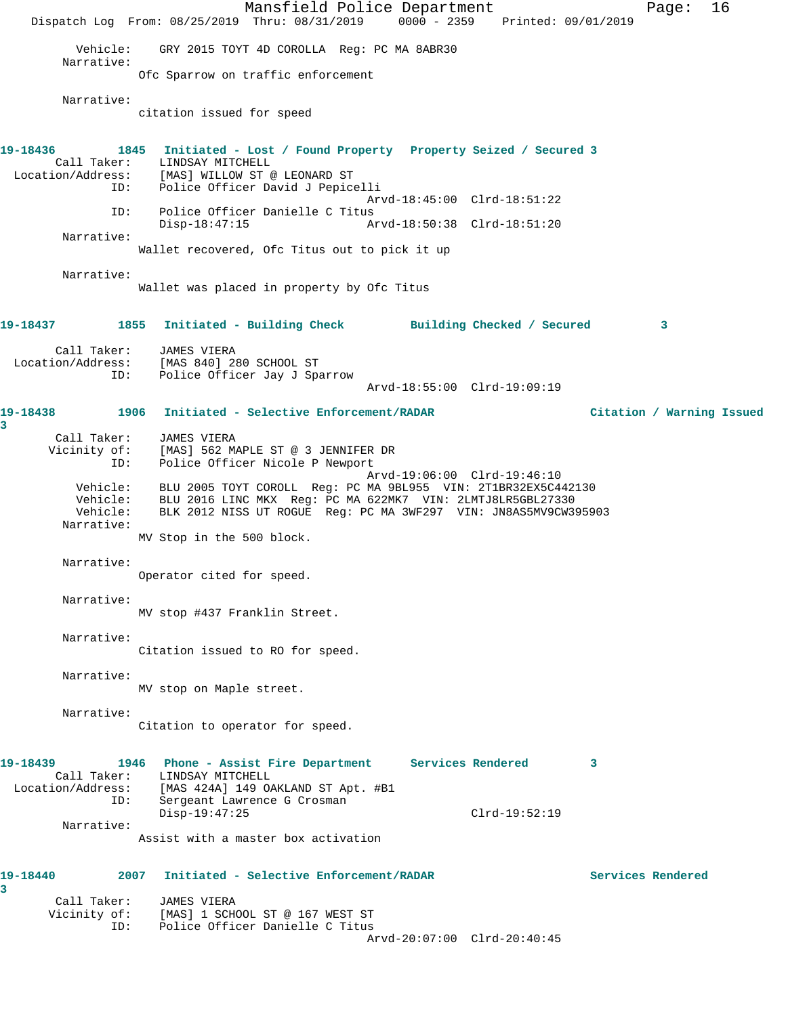Mansfield Police Department Page: 16 Dispatch Log From: 08/25/2019 Thru: 08/31/2019 0000 - 2359 Printed: 09/01/2019 Vehicle: GRY 2015 TOYT 4D COROLLA Reg: PC MA 8ABR30 Narrative: Ofc Sparrow on traffic enforcement Narrative: citation issued for speed **19-18436 1845 Initiated - Lost / Found Property Property Seized / Secured 3**  Call Taker: LINDSAY MITCHELL<br>Location/Address: [MAS] WILLOW ST @ [MAS] WILLOW ST @ LEONARD ST ID: Police Officer David J Pepicelli Arvd-18:45:00 Clrd-18:51:22 ID: Police Officer Danielle C Titus Disp-18:47:15 Arvd-18:50:38 Clrd-18:51:20 Narrative: Wallet recovered, Ofc Titus out to pick it up Narrative: Wallet was placed in property by Ofc Titus **19-18437 1855 Initiated - Building Check Building Checked / Secured 3** Call Taker: JAMES VIERA Location/Address: [MAS 840] 280 SCHOOL ST ID: Police Officer Jay J Sparrow Arvd-18:55:00 Clrd-19:09:19 **19-18438 1906 Initiated - Selective Enforcement/RADAR Citation / Warning Issued 3**  Call Taker: JAMES VIERA Vicinity of: [MAS] 562 MAPLE ST @ 3 JENNIFER DR ID: Police Officer Nicole P Newport Arvd-19:06:00 Clrd-19:46:10 Vehicle: BLU 2005 TOYT COROLL Reg: PC MA 9BL955 VIN: 2T1BR32EX5C442130 Vehicle: BLU 2016 LINC MKX Reg: PC MA 622MK7 VIN: 2LMTJ8LR5GBL27330 Vehicle: BLK 2012 NISS UT ROGUE Reg: PC MA 3WF297 VIN: JN8AS5MV9CW395903 Narrative: MV Stop in the 500 block. Narrative: Operator cited for speed. Narrative: MV stop #437 Franklin Street. Narrative: Citation issued to RO for speed. Narrative: MV stop on Maple street. Narrative: Citation to operator for speed. **19-18439 1946 Phone - Assist Fire Department Services Rendered 3**  Call Taker: LINDSAY MITCHELL Location/Address: [MAS 424A] 149 OAKLAND ST Apt. #B1 ID: Sergeant Lawrence G Crosman Disp-19:47:25 Clrd-19:52:19 Narrative: Assist with a master box activation **19-18440 2007 Initiated - Selective Enforcement/RADAR Services Rendered 3**  Call Taker: JAMES VIERA Vicinity of: [MAS] 1 SCHOOL ST @ 167 WEST ST ID: Police Officer Danielle C Titus Arvd-20:07:00 Clrd-20:40:45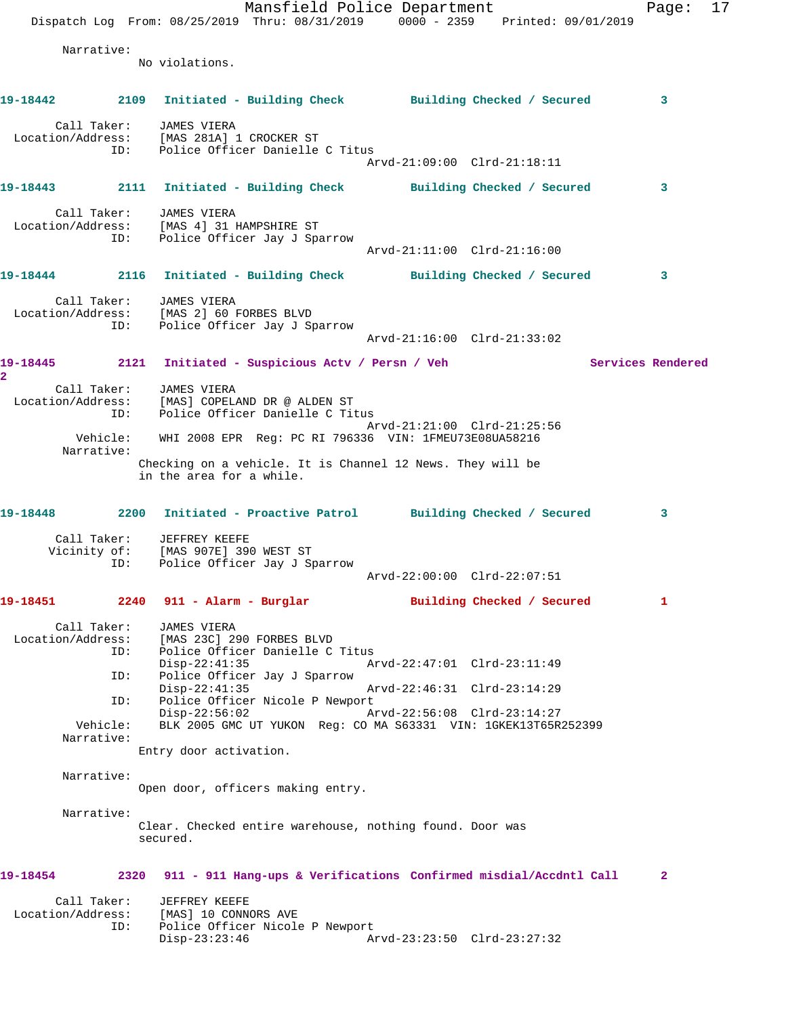Mansfield Police Department Fage: 17 Dispatch Log From: 08/25/2019 Thru: 08/31/2019 0000 - 2359 Printed: 09/01/2019 Narrative: No violations. **19-18442 2109 Initiated - Building Check Building Checked / Secured 3** Call Taker: JAMES VIERA Location/Address: [MAS 281A] 1 CROCKER ST ID: Police Officer Danielle C Titus Arvd-21:09:00 Clrd-21:18:11 **19-18443 2111 Initiated - Building Check Building Checked / Secured 3** Call Taker: JAMES VIERA Location/Address: [MAS 4] 31 HAMPSHIRE ST ID: Police Officer Jay J Sparrow Arvd-21:11:00 Clrd-21:16:00 **19-18444 2116 Initiated - Building Check Building Checked / Secured 3** Call Taker: JAMES VIERA Location/Address: [MAS 2] 60 FORBES BLVD ID: Police Officer Jay J Sparrow Arvd-21:16:00 Clrd-21:33:02 19-18445 2121 Initiated - Suspicious Actv / Persn / Veh Services Rendered **2**  Call Taker: JAMES VIERA Location/Address: [MAS] COPELAND DR @ ALDEN ST ID: Police Officer Danielle C Titus Arvd-21:21:00 Clrd-21:25:56 Vehicle: WHI 2008 EPR Reg: PC RI 796336 VIN: 1FMEU73E08UA58216 Narrative: Checking on a vehicle. It is Channel 12 News. They will be in the area for a while. **19-18448 2200 Initiated - Proactive Patrol Building Checked / Secured 3** Call Taker: JEFFREY KEEFE Vicinity of: [MAS 907E] 390 WEST ST ID: Police Officer Jay J Sparrow Arvd-22:00:00 Clrd-22:07:51 **19-18451 2240 911 - Alarm - Burglar Building Checked / Secured 1** Call Taker: JAMES VIERA Location/Address: [MAS 23C] 290 FORBES BLVD ID: Police Officer Danielle C Titus<br>Disp-22:41:35 Ar Disp-22:41:35 Arvd-22:47:01 Clrd-23:11:49<br>ID: Police Officer Jay J Sparrow Police Officer Jay J Sparrow<br>Disp-22:41:35 Disp-22:41:35 Arvd-22:46:31 Clrd-23:14:29 ID: Police Officer Nicole P Newport<br>Disp-22:56:02 Arvd-22:56:08 Clrd-23:14:27 Disp-22:56:02<br>Vehicle: BLK 2005 GMC UT YUKON Req: BLK 2005 GMC UT YUKON Reg: CO MA S63331 VIN: 1GKEK13T65R252399 Narrative: Entry door activation. Narrative: Open door, officers making entry. Narrative: Clear. Checked entire warehouse, nothing found. Door was secured. **19-18454 2320 911 - 911 Hang-ups & Verifications Confirmed misdial/Accdntl Call 2** Call Taker: JEFFREY KEEFE Location/Address: [MAS] 10 CONNORS AVE ID: Police Officer Nicole P Newport Disp-23:23:46 Arvd-23:23:50 Clrd-23:27:32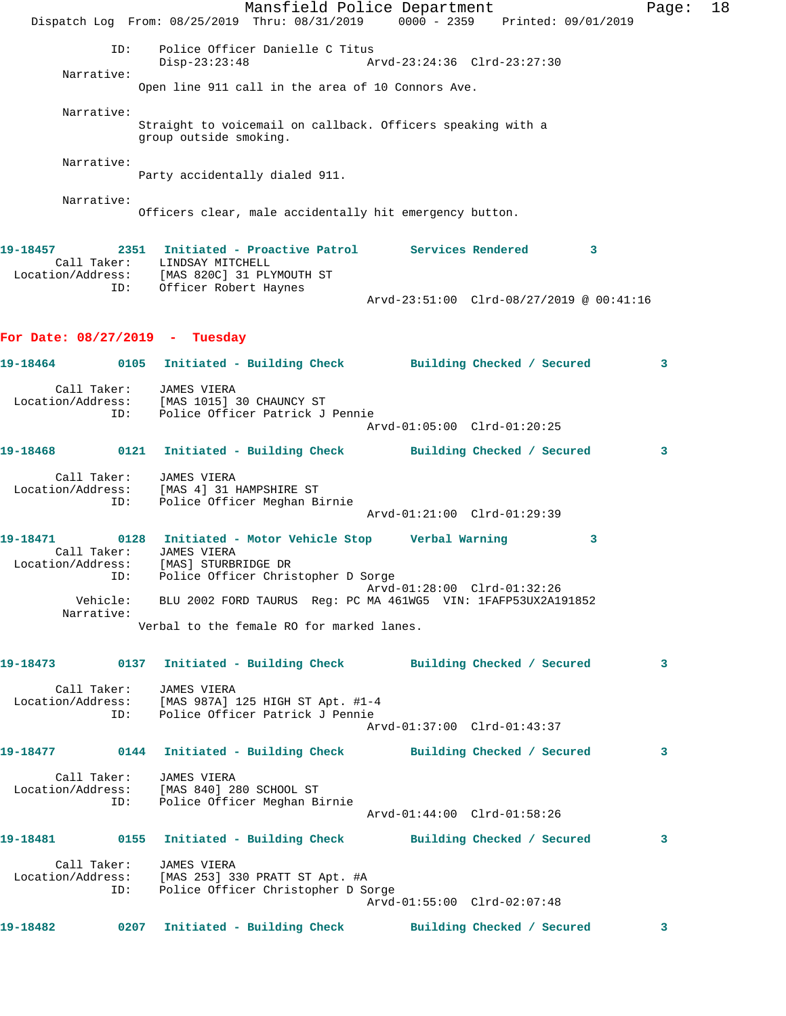Mansfield Police Department Fage: 18 Dispatch Log From: 08/25/2019 Thru: 08/31/2019 0000 - 2359 Printed: 09/01/2019 ID: Police Officer Danielle C Titus Disp-23:23:48 Arvd-23:24:36 Clrd-23:27:30 Narrative: Open line 911 call in the area of 10 Connors Ave. Narrative: Straight to voicemail on callback. Officers speaking with a group outside smoking. Narrative: Party accidentally dialed 911. Narrative: Officers clear, male accidentally hit emergency button. **19-18457 2351 Initiated - Proactive Patrol Services Rendered 3**  Call Taker: LINDSAY MITCHELL Location/Address: [MAS 820C] 31 PLYMOUTH ST ID: Officer Robert Haynes Arvd-23:51:00 Clrd-08/27/2019 @ 00:41:16 **For Date: 08/27/2019 - Tuesday 19-18464 0105 Initiated - Building Check Building Checked / Secured 3** Call Taker: JAMES VIERA Location/Address: [MAS 1015] 30 CHAUNCY ST ID: Police Officer Patrick J Pennie Arvd-01:05:00 Clrd-01:20:25 **19-18468 0121 Initiated - Building Check Building Checked / Secured 3** Call Taker: JAMES VIERA Location/Address: [MAS 4] 31 HAMPSHIRE ST ID: Police Officer Meghan Birnie Arvd-01:21:00 Clrd-01:29:39 **19-18471 0128 Initiated - Motor Vehicle Stop Verbal Warning 3**  Call Taker: JAMES VIERA Location/Address: [MAS] STURBRIDGE DR ID: Police Officer Christopher D Sorge Arvd-01:28:00 Clrd-01:32:26 Vehicle: BLU 2002 FORD TAURUS Reg: PC MA 461WG5 VIN: 1FAFP53UX2A191852 Narrative: Verbal to the female RO for marked lanes. **19-18473 0137 Initiated - Building Check Building Checked / Secured 3** Call Taker: JAMES VIERA Location/Address: [MAS 987A] 125 HIGH ST Apt. #1-4 ID: Police Officer Patrick J Pennie Arvd-01:37:00 Clrd-01:43:37 **19-18477 0144 Initiated - Building Check Building Checked / Secured 3** Call Taker: JAMES VIERA Location/Address: [MAS 840] 280 SCHOOL ST ID: Police Officer Meghan Birnie Arvd-01:44:00 Clrd-01:58:26 **19-18481 0155 Initiated - Building Check Building Checked / Secured 3** Call Taker: JAMES VIERA Location/Address: [MAS 253] 330 PRATT ST Apt. #A ID: Police Officer Christopher D Sorge Arvd-01:55:00 Clrd-02:07:48 **19-18482 0207 Initiated - Building Check Building Checked / Secured 3**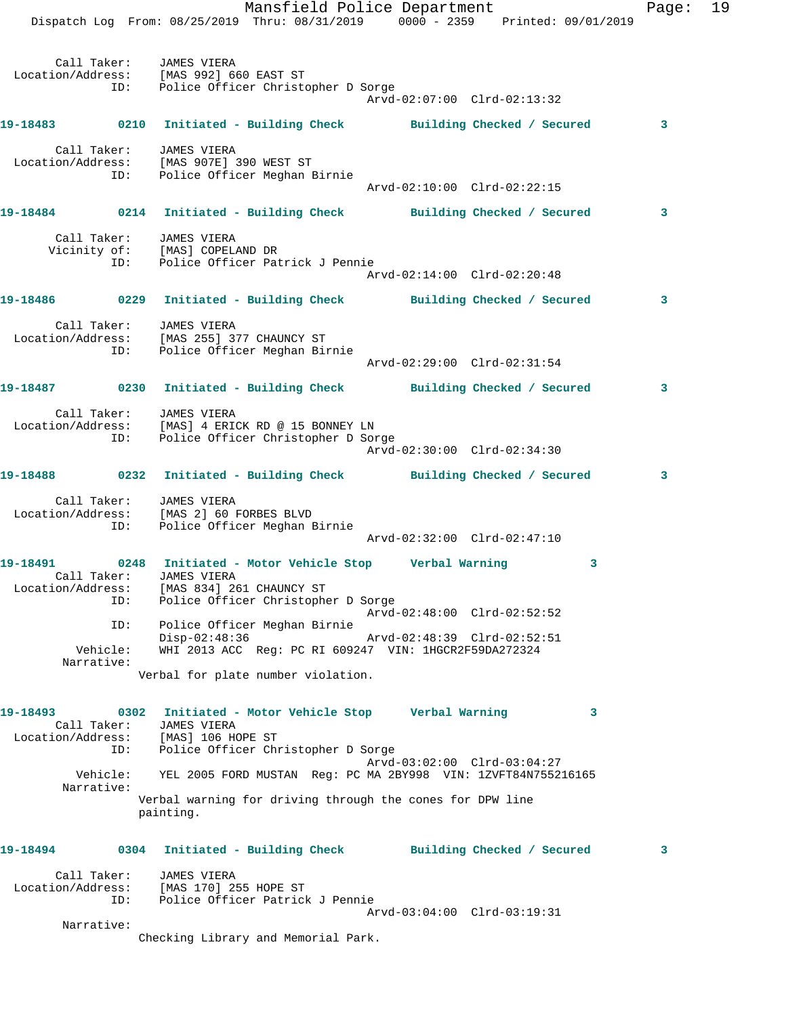Dispatch Log From: 08/25/2019 Thru: 08/31/2019 0000 - 2359 Printed: 09/01/2019 Call Taker: JAMES VIERA Location/Address: [MAS 992] 660 EAST ST ID: Police Officer Christopher D Sorge Arvd-02:07:00 Clrd-02:13:32 **19-18483 0210 Initiated - Building Check Building Checked / Secured 3** Call Taker: JAMES VIERA Location/Address: [MAS 907E] 390 WEST ST ID: Police Officer Meghan Birnie Arvd-02:10:00 Clrd-02:22:15 **19-18484 0214 Initiated - Building Check Building Checked / Secured 3** Call Taker: JAMES VIERA Vicinity of: [MAS] COPELAND DR ID: Police Officer Patrick J Pennie Arvd-02:14:00 Clrd-02:20:48 **19-18486 0229 Initiated - Building Check Building Checked / Secured 3** Call Taker: JAMES VIERA Location/Address: [MAS 255] 377 CHAUNCY ST ID: Police Officer Meghan Birnie Arvd-02:29:00 Clrd-02:31:54 **19-18487 0230 Initiated - Building Check Building Checked / Secured 3** Call Taker: JAMES VIERA Location/Address: [MAS] 4 ERICK RD @ 15 BONNEY LN ID: Police Officer Christopher D Sorge Arvd-02:30:00 Clrd-02:34:30 **19-18488 0232 Initiated - Building Check Building Checked / Secured 3** Call Taker: JAMES VIERA Location/Address: [MAS 2] 60 FORBES BLVD ID: Police Officer Meghan Birnie Arvd-02:32:00 Clrd-02:47:10 **19-18491 0248 Initiated - Motor Vehicle Stop Verbal Warning 3**  Call Taker: JAMES VIERA Location/Address: [MAS 834] 261 CHAUNCY ST ID: Police Officer Christopher D Sorge Arvd-02:48:00 Clrd-02:52:52 ID: Police Officer Meghan Birnie Disp-02:48:36 Arvd-02:48:39 Clrd-02:52:51 Vehicle: WHI 2013 ACC Reg: PC RI 609247 VIN: 1HGCR2F59DA272324 Narrative: Verbal for plate number violation. **19-18493 0302 Initiated - Motor Vehicle Stop Verbal Warning 3**  Call Taker: JAMES VIERA Location/Address: [MAS] 106 HOPE ST ID: Police Officer Christopher D Sorge Arvd-03:02:00 Clrd-03:04:27 Vehicle: YEL 2005 FORD MUSTAN Reg: PC MA 2BY998 VIN: 1ZVFT84N755216165 Narrative: Verbal warning for driving through the cones for DPW line painting. **19-18494 0304 Initiated - Building Check Building Checked / Secured 3** Call Taker: JAMES VIERA Location/Address: [MAS 170] 255 HOPE ST ID: Police Officer Patrick J Pennie Arvd-03:04:00 Clrd-03:19:31 Narrative: Checking Library and Memorial Park.

Mansfield Police Department Fage: 19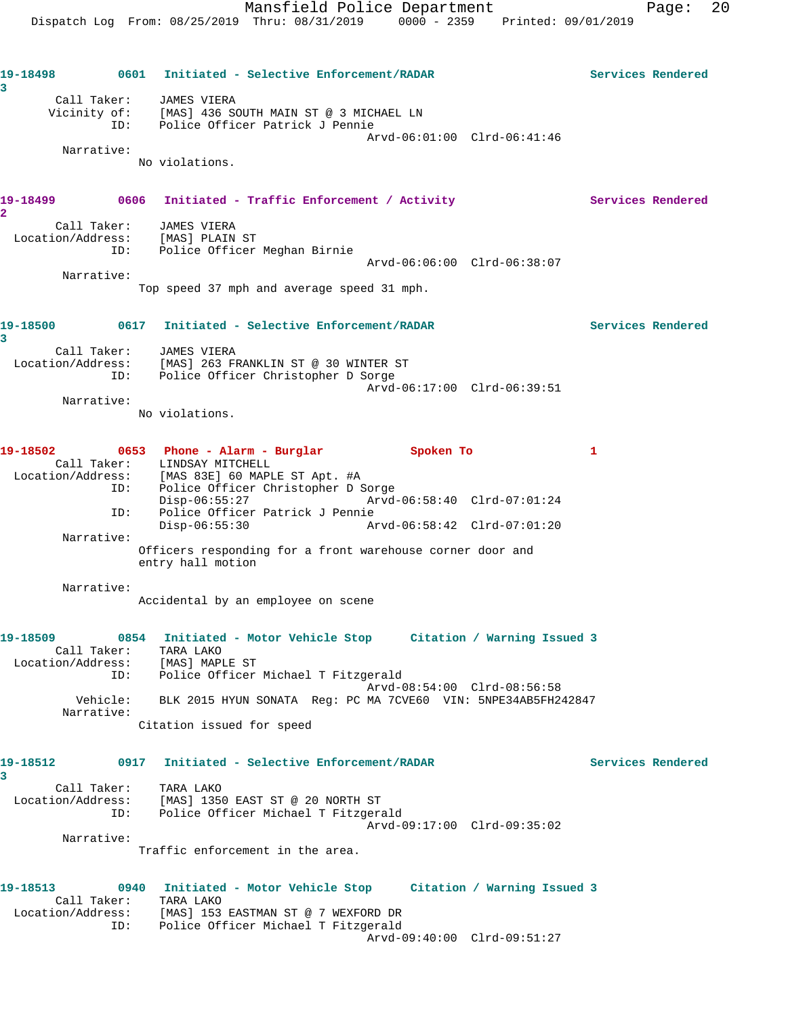**19-18498 0601 Initiated - Selective Enforcement/RADAR Services Rendered 3**  Call Taker: JAMES VIERA Vicinity of: [MAS] 436 SOUTH MAIN ST @ 3 MICHAEL LN ID: Police Officer Patrick J Pennie Arvd-06:01:00 Clrd-06:41:46 Narrative: No violations. 19-18499 **0606** Initiated - Traffic Enforcement / Activity **Services Rendered 2**  Call Taker: JAMES VIERA Location/Address: [MAS] PLAIN ST ID: Police Officer Meghan Birnie Arvd-06:06:00 Clrd-06:38:07 Narrative: Top speed 37 mph and average speed 31 mph. **19-18500 0617 Initiated - Selective Enforcement/RADAR Services Rendered 3**  Call Taker: JAMES VIERA Location/Address: [MAS] 263 FRANKLIN ST @ 30 WINTER ST ID: Police Officer Christopher D Sorge Arvd-06:17:00 Clrd-06:39:51 Narrative: No violations. **19-18502 0653 Phone - Alarm - Burglar Spoken To 1**  Call Taker: LINDSAY MITCHELL Location/Address: [MAS 83E] 60 MAPLE ST Apt. #A ID: Police Officer Christopher D Sorge Disp-06:55:27 Arvd-06:58:40 Clrd-07:01:24 ID: Police Officer Patrick J Pennie Disp-06:55:30 Arvd-06:58:42 Clrd-07:01:20 Narrative: Officers responding for a front warehouse corner door and entry hall motion Narrative: Accidental by an employee on scene **19-18509 0854 Initiated - Motor Vehicle Stop Citation / Warning Issued 3**  Call Taker: TARA LAKO Location/Address: [MAS] MAPLE ST ID: Police Officer Michael T Fitzgerald Arvd-08:54:00 Clrd-08:56:58 Vehicle: BLK 2015 HYUN SONATA Reg: PC MA 7CVE60 VIN: 5NPE34AB5FH242847 Narrative: Citation issued for speed **19-18512 0917 Initiated - Selective Enforcement/RADAR Services Rendered 3**  Call Taker: TARA LAKO Location/Address: [MAS] 1350 EAST ST @ 20 NORTH ST ID: Police Officer Michael T Fitzgerald Arvd-09:17:00 Clrd-09:35:02 Narrative: Traffic enforcement in the area. **19-18513 0940 Initiated - Motor Vehicle Stop Citation / Warning Issued 3**  Call Taker: TARA LAKO Location/Address: [MAS] 153 EASTMAN ST @ 7 WEXFORD DR ID: Police Officer Michael T Fitzgerald Arvd-09:40:00 Clrd-09:51:27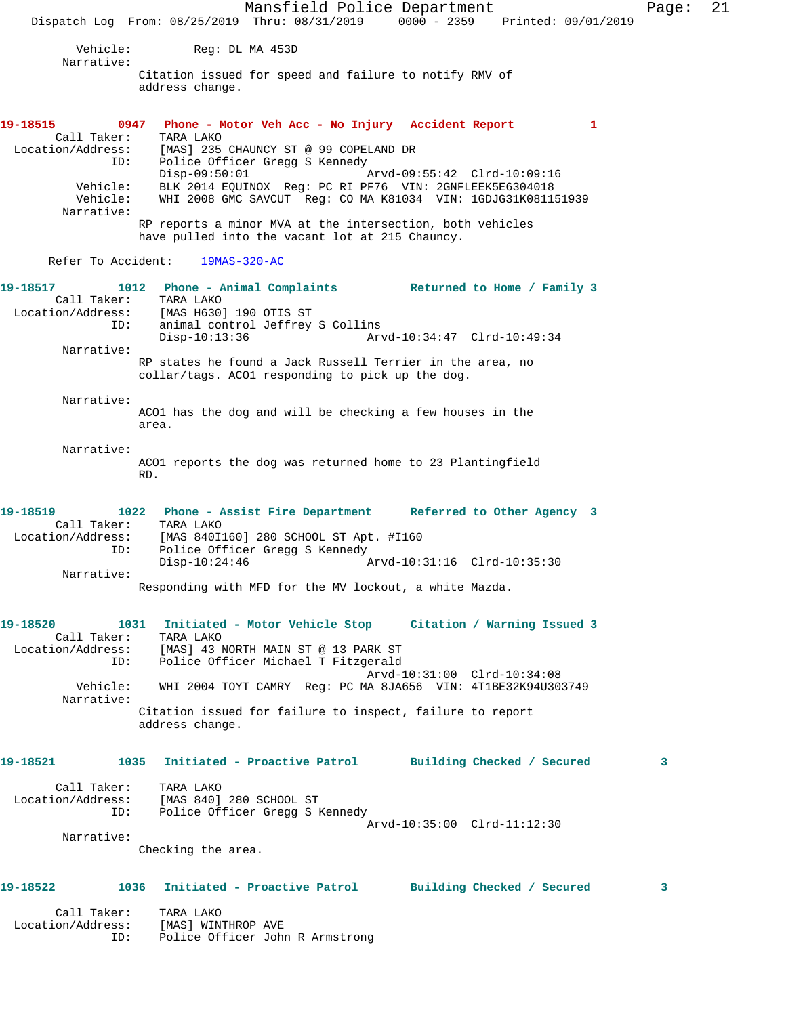Mansfield Police Department Page: 21 Dispatch Log From: 08/25/2019 Thru: 08/31/2019 0000 - 2359 Printed: 09/01/2019 Vehicle: Reg: DL MA 453D Narrative: Citation issued for speed and failure to notify RMV of address change. **19-18515 0947 Phone - Motor Veh Acc - No Injury Accident Report 1**  Call Taker: TARA LAKO Location/Address: [MAS] 235 CHAUNCY ST @ 99 COPELAND DR ID: Police Officer Gregg S Kennedy Disp-09:50:01 Arvd-09:55:42 Clrd-10:09:16 Vehicle: BLK 2014 EQUINOX Reg: PC RI PF76 VIN: 2GNFLEEK5E6304018 Vehicle: WHI 2008 GMC SAVCUT Reg: CO MA K81034 VIN: 1GDJG31K081151939 Narrative: RP reports a minor MVA at the intersection, both vehicles have pulled into the vacant lot at 215 Chauncy. Refer To Accident: 19MAS-320-AC **19-18517 1012 Phone - Animal Complaints Returned to Home / Family 3**  Call Taker: TARA LAKO Location/Address: [MAS H630] 190 OTIS ST ID: animal control Jeffrey S Collins Disp-10:13:36 Arvd-10:34:47 Clrd-10:49:34 Narrative: RP states he found a Jack Russell Terrier in the area, no collar/tags. ACO1 responding to pick up the dog. Narrative: ACO1 has the dog and will be checking a few houses in the area. Narrative: ACO1 reports the dog was returned home to 23 Plantingfield RD. **19-18519 1022 Phone - Assist Fire Department Referred to Other Agency 3**  Call Taker: TARA LAKO Location/Address: [MAS 840I160] 280 SCHOOL ST Apt. #I160 ID: Police Officer Gregg S Kennedy<br>Disp-10:24:46 Disp-10:24:46 Arvd-10:31:16 Clrd-10:35:30 Narrative: Responding with MFD for the MV lockout, a white Mazda. **19-18520 1031 Initiated - Motor Vehicle Stop Citation / Warning Issued 3**  Call Taker: TARA LAKO Location/Address: [MAS] 43 NORTH MAIN ST @ 13 PARK ST ID: Police Officer Michael T Fitzgerald Arvd-10:31:00 Clrd-10:34:08 Vehicle: WHI 2004 TOYT CAMRY Reg: PC MA 8JA656 VIN: 4T1BE32K94U303749 Narrative: Citation issued for failure to inspect, failure to report address change. **19-18521 1035 Initiated - Proactive Patrol Building Checked / Secured 3** Call Taker: TARA LAKO Location/Address: [MAS 840] 280 SCHOOL ST ID: Police Officer Gregg S Kennedy Arvd-10:35:00 Clrd-11:12:30 Narrative: Checking the area. **19-18522 1036 Initiated - Proactive Patrol Building Checked / Secured 3** Call Taker: TARA LAKO Location/Address: [MAS] WINTHROP AVE ID: Police Officer John R Armstrong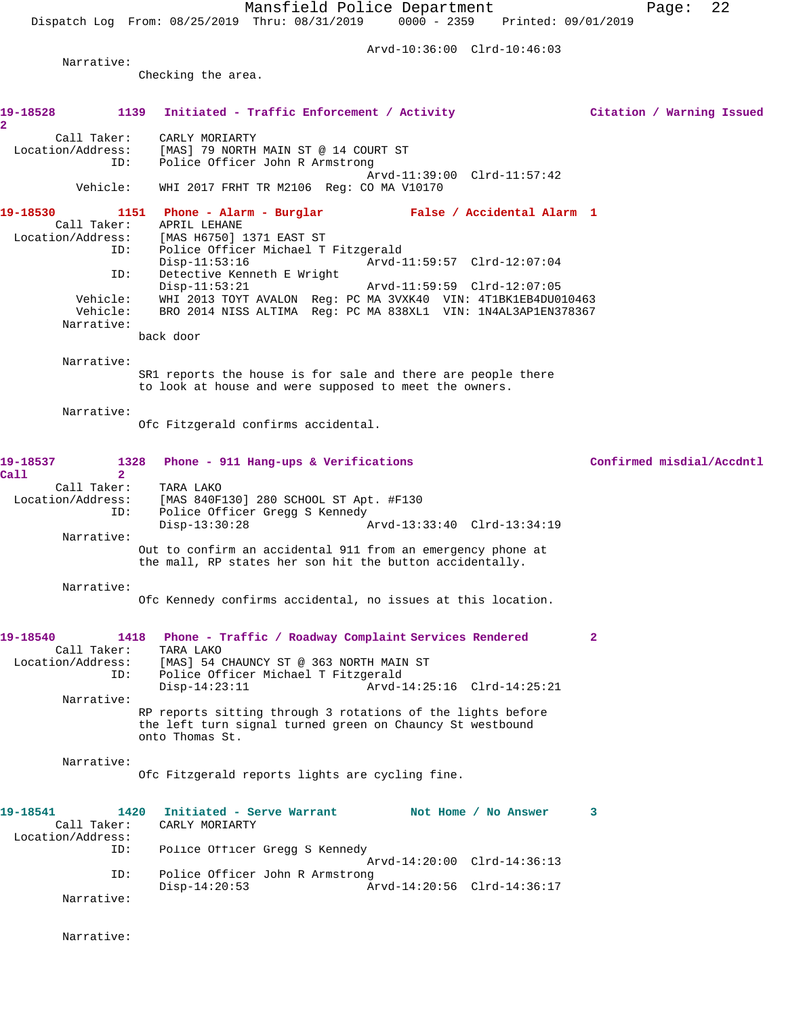Dispatch Log From: 08/25/2019 Thru: 08/31/2019 0000 - 2359 Printed: 09/01/2019

Arvd-10:36:00 Clrd-10:46:03

Narrative:

Checking the area.

| 19-18528                                           | 1139 Initiated - Traffic Enforcement / Activity                                                                                             | Citation / Warning Issued |
|----------------------------------------------------|---------------------------------------------------------------------------------------------------------------------------------------------|---------------------------|
| $\overline{2}$<br>Call Taker:<br>Location/Address: | CARLY MORIARTY<br>[MAS] 79 NORTH MAIN ST @ 14 COURT ST                                                                                      |                           |
| ID:                                                | Police Officer John R Armstrong                                                                                                             |                           |
| Vehicle:                                           | Arvd-11:39:00 Clrd-11:57:42<br>WHI 2017 FRHT TR M2106 Reg: CO MA V10170                                                                     |                           |
| 19-18530<br>Call Taker:                            | 1151 Phone - Alarm - Burglar Malse / Accidental Alarm 1<br>APRIL LEHANE                                                                     |                           |
| Location/Address:<br>ID:                           | [MAS H6750] 1371 EAST ST<br>Police Officer Michael T Fitzgerald<br>$Disp-11:53:16$<br>Arvd-11:59:57 Clrd-12:07:04                           |                           |
| ID:                                                | Detective Kenneth E Wright<br>$Disp-11:53:21$<br>Arvd-11:59:59 Clrd-12:07:05                                                                |                           |
| Vehicle:<br>Vehicle:<br>Narrative:                 | WHI 2013 TOYT AVALON Reg: PC MA 3VXK40 VIN: 4T1BK1EB4DU010463<br>BRO 2014 NISS ALTIMA Reg: PC MA 838XL1 VIN: 1N4AL3AP1EN378367              |                           |
|                                                    | back door                                                                                                                                   |                           |
| Narrative:                                         | SR1 reports the house is for sale and there are people there<br>to look at house and were supposed to meet the owners.                      |                           |
| Narrative:                                         | Ofc Fitzgerald confirms accidental.                                                                                                         |                           |
| 19-18537<br>Call<br>$\mathbf{2}$                   | 1328<br>Phone - 911 Hang-ups & Verifications                                                                                                | Confirmed misdial/Accdntl |
| Call Taker:<br>ID:                                 | TARA LAKO<br>Location/Address: [MAS 840F130] 280 SCHOOL ST Apt. #F130<br>Police Officer Gregg S Kennedy                                     |                           |
| Narrative:                                         | $Disp-13:30:28$<br>Arvd-13:33:40 Clrd-13:34:19                                                                                              |                           |
|                                                    | Out to confirm an accidental 911 from an emergency phone at<br>the mall, RP states her son hit the button accidentally.                     |                           |
| Narrative:                                         | Ofc Kennedy confirms accidental, no issues at this location.                                                                                |                           |
| 19-18540                                           | 1418 Phone - Traffic / Roadway Complaint Services Rendered                                                                                  | $\mathbf{2}$              |
| Call Taker:<br>Location/Address:                   | TARA LAKO<br>[MAS] 54 CHAUNCY ST @ 363 NORTH MAIN ST<br>ID: Police Officer Michael T Fitzgerald                                             |                           |
| Narrative:                                         | Arvd-14:25:16 Clrd-14:25:21<br>$Disp-14:23:11$                                                                                              |                           |
|                                                    | RP reports sitting through 3 rotations of the lights before<br>the left turn signal turned green on Chauncy St westbound<br>onto Thomas St. |                           |
| Narrative:                                         | Ofc Fitzgerald reports lights are cycling fine.                                                                                             |                           |
| 19-18541<br>Call Taker:                            | 1420<br>Initiated - Serve Warrant<br>Not Home / No Answer<br>CARLY MORIARTY                                                                 | 3                         |
| Location/Address:<br>ID:                           | Police Officer Gregg S Kennedy<br>Arvd-14:20:00 Clrd-14:36:13                                                                               |                           |
| ID:                                                | Police Officer John R Armstrong<br>$Disp-14:20:53$<br>Arvd-14:20:56 Clrd-14:36:17                                                           |                           |
| Narrative:                                         |                                                                                                                                             |                           |

Narrative: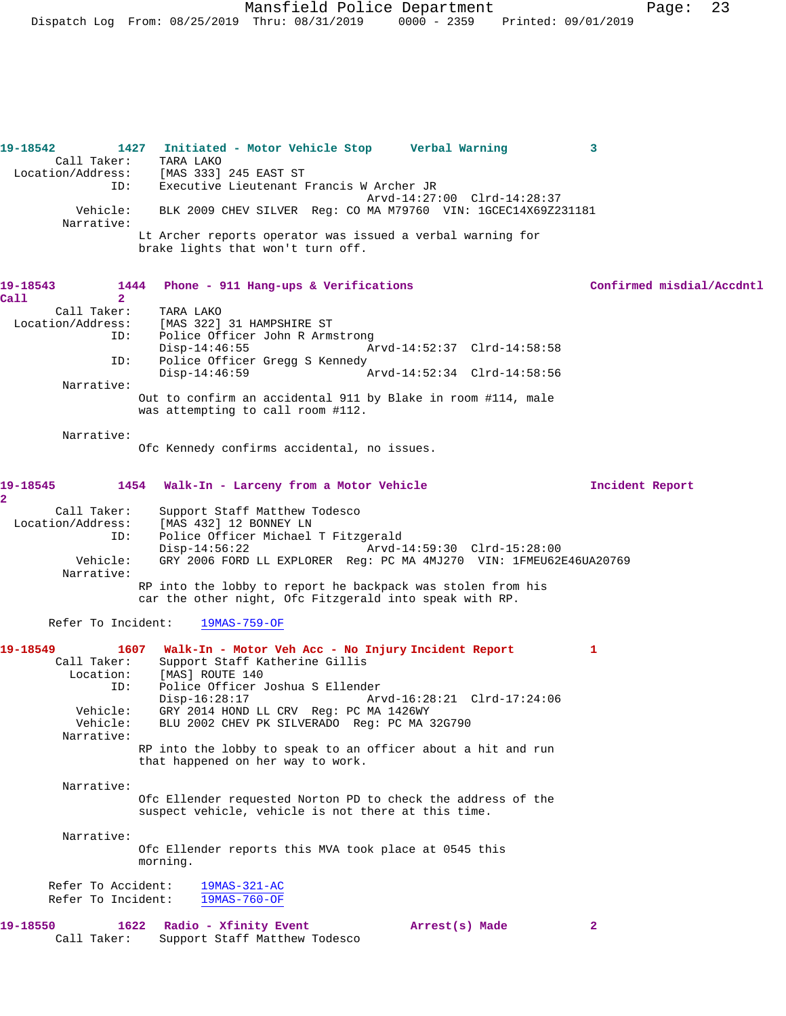**19-18542 1427 Initiated - Motor Vehicle Stop Verbal Warning 3**  Call Taker: TARA LAKO<br>Location/Address: [MAS 333] [MAS 333] 245 EAST ST ID: Executive Lieutenant Francis W Archer JR Arvd-14:27:00 Clrd-14:28:37<br>Vebicle: BLK 2009 CHEV SILVER Reg: CO MA M79760 VIN: 1GCEC14X69Z2 BLK 2009 CHEV SILVER Reg: CO MA M79760 VIN: 1GCEC14X69Z231181 Narrative: Lt Archer reports operator was issued a verbal warning for brake lights that won't turn off. **19-18543 1444 Phone - 911 Hang-ups & Verifications Confirmed misdial/Accdntl Call 2**  Call Taker: TARA LAKO Location/Address: [MAS 322] 31 HAMPSHIRE ST ID: Police Officer John R Armstrong<br>Disp-14:46:55 Disp-14:46:55 Arvd-14:52:37 Clrd-14:58:58<br>TD: Police Officer Gread S Kennedy ID: Police Officer Gregg S Kennedy Arvd-14:52:34 Clrd-14:58:56 Narrative: Out to confirm an accidental 911 by Blake in room #114, male was attempting to call room #112. Narrative: Ofc Kennedy confirms accidental, no issues. **19-18545 1454 Walk-In - Larceny from a Motor Vehicle Incident Report 2**  Call Taker: Support Staff Matthew Todesco Location/Address: [MAS 432] 12 BONNEY LN Police Officer Michael T Fitzgerald<br>Disp-14:56:22 Arvd- Disp-14:56:22 Arvd-14:59:30 Clrd-15:28:00 Vehicle: GRY 2006 FORD LL EXPLORER Reg: PC MA 4MJ270 VIN: 1FMEU62E46UA20769 Narrative: RP into the lobby to report he backpack was stolen from his car the other night, Ofc Fitzgerald into speak with RP. Refer To Incident: 19MAS-759-OF **19-18549 1607 Walk-In - Motor Veh Acc - No Injury Incident Report 1**  Call Taker: Support Staff Katherine Gillis<br>Location: [MAS] ROUTE 140 [MAS] ROUTE 140 ID: Police Officer Joshua S Ellender Disp-16:28:17 Arvd-16:28:21 Clrd-17:24:06<br>Vehicle: GRY 2014 HOND LL CRV Reg: PC MA 1426WY GRY 2014 HOND LL CRV Reg: PC MA 1426WY Vehicle: BLU 2002 CHEV PK SILVERADO Reg: PC MA 32G790 Narrative: RP into the lobby to speak to an officer about a hit and run that happened on her way to work. Narrative: Ofc Ellender requested Norton PD to check the address of the suspect vehicle, vehicle is not there at this time. Narrative: Ofc Ellender reports this MVA took place at 0545 this morning. Refer To Accident:  $\frac{19MAS-321-AC}{19MAS-760-OF}$ Refer To Incident: **19-18550 1622 Radio - Xfinity Event Arrest(s) Made 2**  Call Taker: Support Staff Matthew Todesco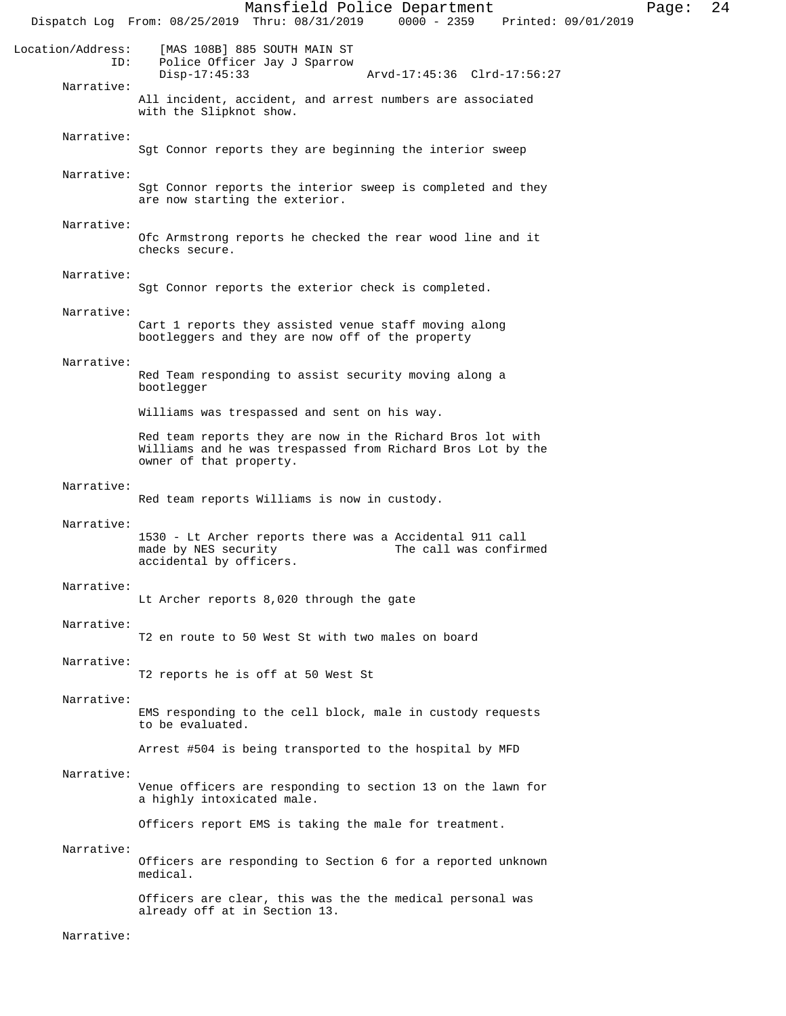Mansfield Police Department Page: 24 Dispatch Log From: 08/25/2019 Thru: 08/31/2019 Location/Address: [MAS 108B] 885 SOUTH MAIN ST Police Officer Jay J Sparrow<br>Disp-17:45:33 Disp-17:45:33 Arvd-17:45:36 Clrd-17:56:27 Narrative: All incident, accident, and arrest numbers are associated with the Slipknot show. Narrative: Sgt Connor reports they are beginning the interior sweep Narrative: Sgt Connor reports the interior sweep is completed and they are now starting the exterior. Narrative: Ofc Armstrong reports he checked the rear wood line and it checks secure. Narrative: Sgt Connor reports the exterior check is completed. Narrative: Cart 1 reports they assisted venue staff moving along bootleggers and they are now off of the property Narrative: Red Team responding to assist security moving along a bootlegger Williams was trespassed and sent on his way. Red team reports they are now in the Richard Bros lot with Williams and he was trespassed from Richard Bros Lot by the owner of that property. Narrative: Red team reports Williams is now in custody. Narrative: 1530 - Lt Archer reports there was a Accidental 911 call The call was confirmed accidental by officers. Narrative: Lt Archer reports 8,020 through the gate Narrative: T2 en route to 50 West St with two males on board Narrative: T2 reports he is off at 50 West St Narrative: EMS responding to the cell block, male in custody requests to be evaluated. Arrest #504 is being transported to the hospital by MFD Narrative: Venue officers are responding to section 13 on the lawn for a highly intoxicated male. Officers report EMS is taking the male for treatment. Narrative: Officers are responding to Section 6 for a reported unknown medical. Officers are clear, this was the the medical personal was already off at in Section 13. Narrative: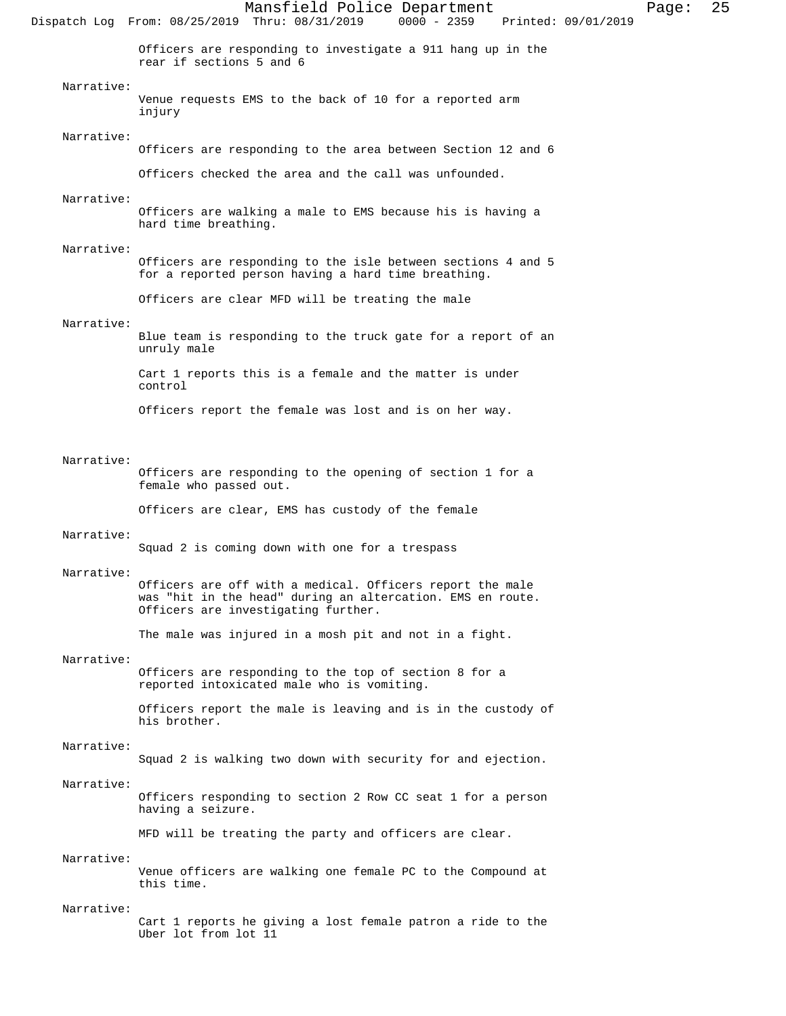Mansfield Police Department Page: 25 Dispatch Log From: 08/25/2019 Thru: 08/31/2019 Officers are responding to investigate a 911 hang up in the rear if sections 5 and 6 Narrative: Venue requests EMS to the back of 10 for a reported arm injury Narrative: Officers are responding to the area between Section 12 and 6 Officers checked the area and the call was unfounded. Narrative: Officers are walking a male to EMS because his is having a hard time breathing. Narrative: Officers are responding to the isle between sections 4 and 5 for a reported person having a hard time breathing. Officers are clear MFD will be treating the male Narrative: Blue team is responding to the truck gate for a report of an unruly male Cart 1 reports this is a female and the matter is under control Officers report the female was lost and is on her way. Narrative: Officers are responding to the opening of section 1 for a female who passed out.

Officers are clear, EMS has custody of the female

# Narrative:

Squad 2 is coming down with one for a trespass

### Narrative:

Officers are off with a medical. Officers report the male was "hit in the head" during an altercation. EMS en route. Officers are investigating further.

The male was injured in a mosh pit and not in a fight.

# Narrative:

Officers are responding to the top of section 8 for a reported intoxicated male who is vomiting.

Officers report the male is leaving and is in the custody of his brother.

# Narrative:

Squad 2 is walking two down with security for and ejection.

### Narrative:

Officers responding to section 2 Row CC seat 1 for a person having a seizure.

MFD will be treating the party and officers are clear.

# Narrative:

Venue officers are walking one female PC to the Compound at this time.

#### Narrative:

Cart 1 reports he giving a lost female patron a ride to the Uber lot from lot 11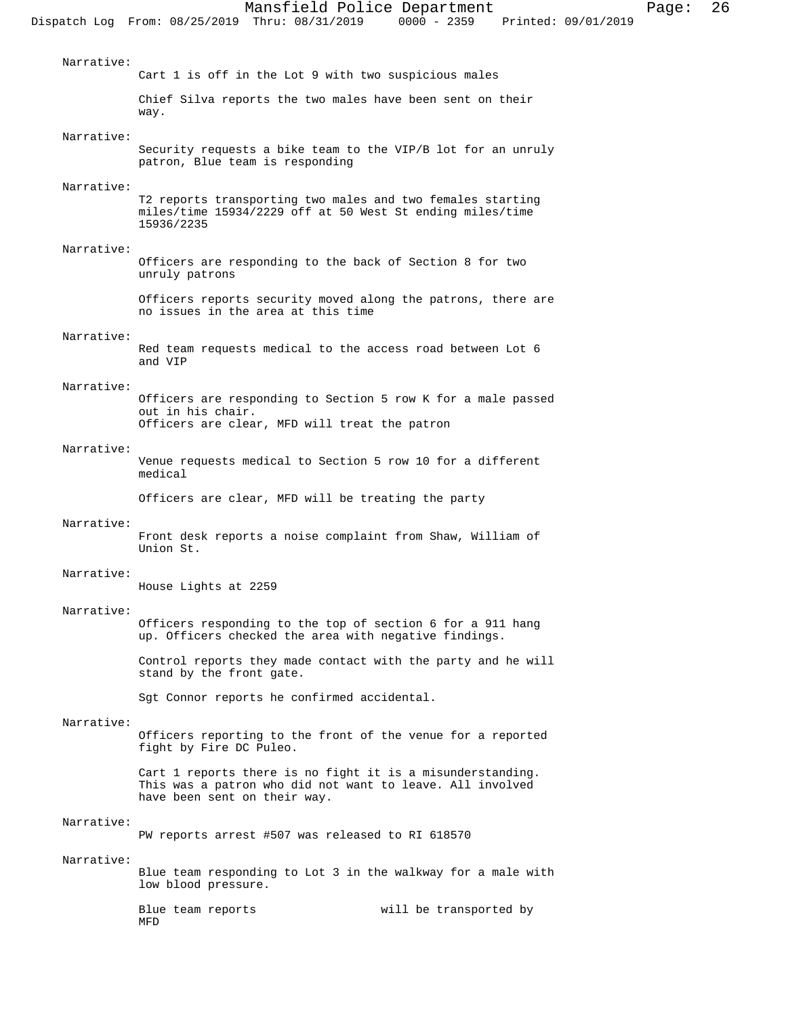Narrative: Cart 1 is off in the Lot 9 with two suspicious males Chief Silva reports the two males have been sent on their way. Narrative: Security requests a bike team to the VIP/B lot for an unruly patron, Blue team is responding Narrative: T2 reports transporting two males and two females starting miles/time 15934/2229 off at 50 West St ending miles/time 15936/2235 Narrative:

Officers are responding to the back of Section 8 for two unruly patrons

Officers reports security moved along the patrons, there are no issues in the area at this time

# Narrative:

Red team requests medical to the access road between Lot 6 and VIP

# Narrative:

Officers are responding to Section 5 row K for a male passed out in his chair. Officers are clear, MFD will treat the patron

## Narrative:

Venue requests medical to Section 5 row 10 for a different medical

Officers are clear, MFD will be treating the party

#### Narrative:

Front desk reports a noise complaint from Shaw, William of Union St.

#### Narrative:

House Lights at 2259

### Narrative:

Officers responding to the top of section 6 for a 911 hang up. Officers checked the area with negative findings.

Control reports they made contact with the party and he will stand by the front gate.

Sgt Connor reports he confirmed accidental.

#### Narrative:

Officers reporting to the front of the venue for a reported fight by Fire DC Puleo.

Cart 1 reports there is no fight it is a misunderstanding. This was a patron who did not want to leave. All involved have been sent on their way.

### Narrative:

PW reports arrest #507 was released to RI 618570

# Narrative:

Blue team responding to Lot 3 in the walkway for a male with low blood pressure.

Blue team reports will be transported by MFD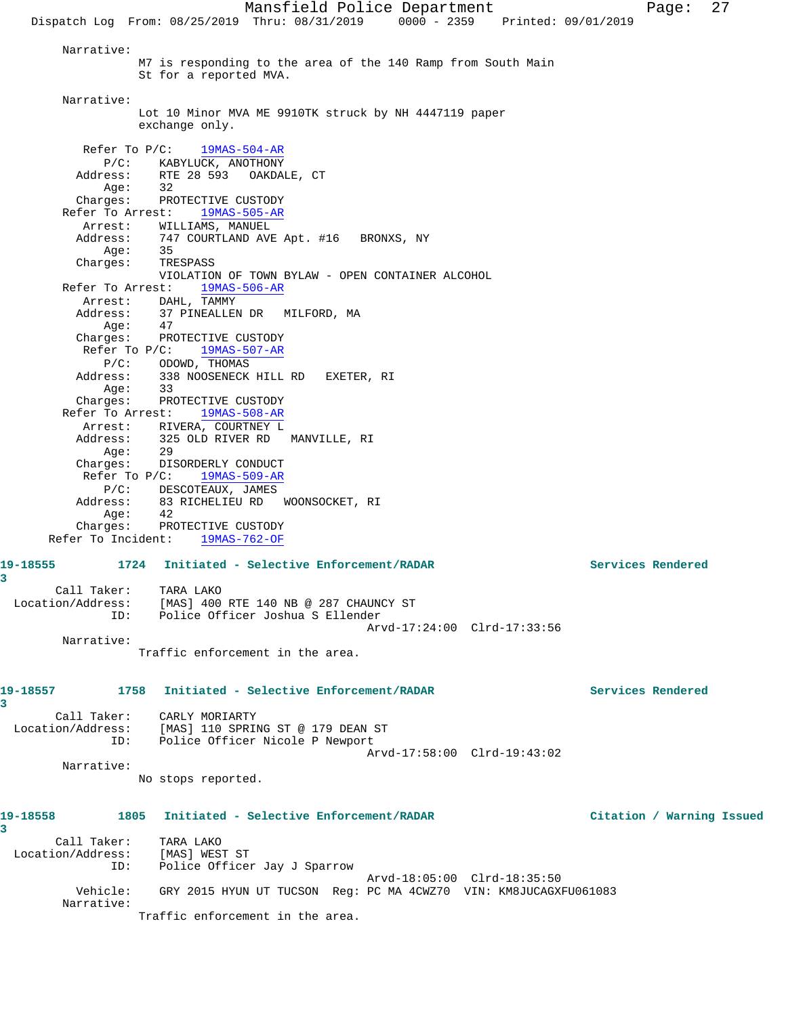Narrative: M7 is responding to the area of the 140 Ramp from South Main St for a reported MVA. Narrative: Lot 10 Minor MVA ME 9910TK struck by NH 4447119 paper exchange only. Refer To P/C: 19MAS-504-AR P/C: KABYLUCK, ANOTHONY Address: RTE 28 593 OAKDALE, CT<br>Aqe: 32 Age: Charges: PROTECTIVE CUSTODY Refer To Arrest: 19MAS-505-AR Arrest: WILLIAMS, MANUEL Address: 747 COURTLAND AVE Apt. #16 BRONXS, NY Age: 35 Charges: TRESPASS VIOLATION OF TOWN BYLAW - OPEN CONTAINER ALCOHOL Refer To Arrest: 19MAS-506-AR Arrest: DAHL, TAMMY Address: 37 PINEALLEN DR MILFORD, MA Age: 47 Charges: PROTECTIVE CUSTODY Refer To P/C: 19MAS-507-AR P/C: ODOWD, THOMAS Address: 338 NOOSENECK HILL RD EXETER, RI Age: 33 Charges: PROTECTIVE CUSTODY Refer To Arrest: 19MAS-508-AR Arrest: RIVERA, COURTNEY L Address: 325 OLD RIVER RD MANVILLE, RI Age: 29 Charges: DISORDERLY CONDUCT Refer To P/C: 19MAS-509-AR P/C: DESCOTEAUX, JAMES Address: 83 RICHELIEU RD WOONSOCKET, RI Age: 42 Charges: PROTECTIVE CUSTODY Refer To Incident: 19MAS-762-OF **19-18555 1724 Initiated - Selective Enforcement/RADAR Services Rendered** Call Taker: TARA LAKO Location/Address: [MAS] 400 RTE 140 NB @ 287 CHAUNCY ST ID: Police Officer Joshua S Ellender Arvd-17:24:00 Clrd-17:33:56 Narrative: Traffic enforcement in the area. **19-18557 1758 Initiated - Selective Enforcement/RADAR Services Rendered 3**  Call Taker: CARLY MORIARTY Location/Address: [MAS] 110 SPRING ST @ 179 DEAN ST ID: Police Officer Nicole P Newport Arvd-17:58:00 Clrd-19:43:02 Narrative: No stops reported. **19-18558 1805 Initiated - Selective Enforcement/RADAR Citation / Warning Issued** Call Taker: TARA LAKO Location/Address: [MAS] WEST ST ID: Police Officer Jay J Sparrow Arvd-18:05:00 Clrd-18:35:50 Vehicle: GRY 2015 HYUN UT TUCSON Reg: PC MA 4CWZ70 VIN: KM8JUCAGXFU061083 Narrative: Traffic enforcement in the area.

**3** 

**3**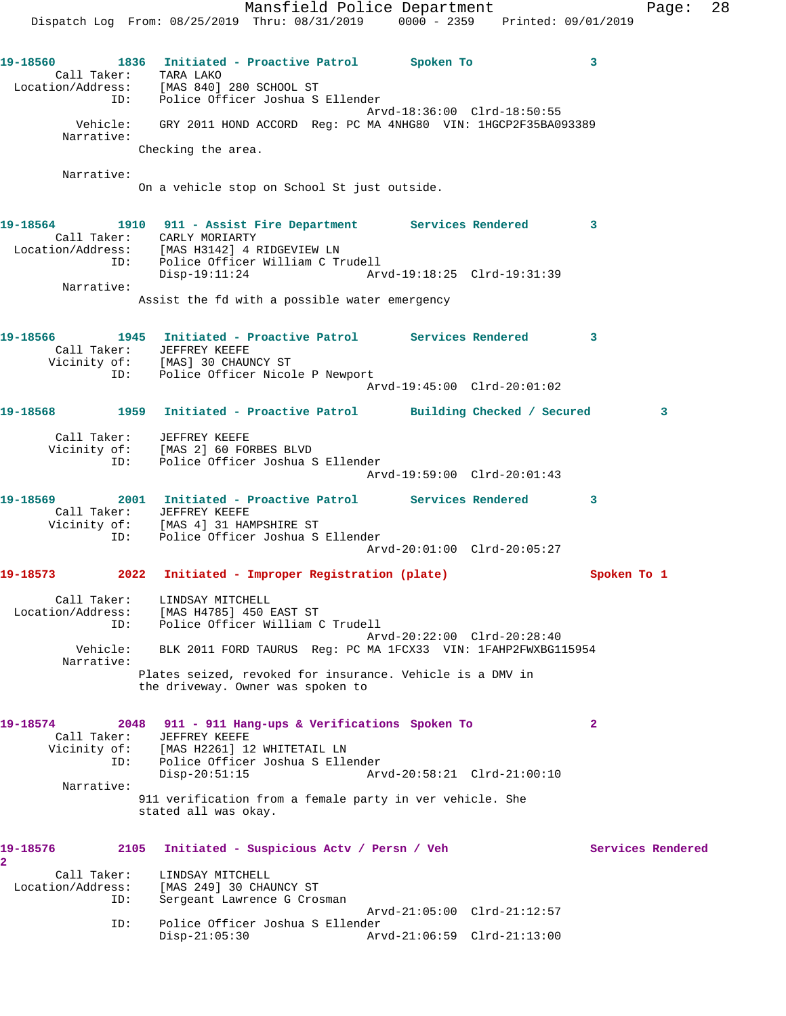Mansfield Police Department Fage: 28 Dispatch Log From: 08/25/2019 Thru: 08/31/2019 0000 - 2359 Printed: 09/01/2019 **19-18560 1836 Initiated - Proactive Patrol Spoken To 3**  Call Taker: TARA LAKO Location/Address: [MAS 840] 280 SCHOOL ST ID: Police Officer Joshua S Ellender Arvd-18:36:00 Clrd-18:50:55 Vehicle: GRY 2011 HOND ACCORD Reg: PC MA 4NHG80 VIN: 1HGCP2F35BA093389 Narrative: Checking the area. Narrative: On a vehicle stop on School St just outside. **19-18564 1910 911 - Assist Fire Department Services Rendered 3**  Call Taker: CARLY MORIARTY Location/Address: [MAS H3142] 4 RIDGEVIEW LN ID: Police Officer William C Trudell Disp-19:11:24 Arvd-19:18:25 Clrd-19:31:39 Narrative: Assist the fd with a possible water emergency **19-18566 1945 Initiated - Proactive Patrol Services Rendered 3**  Call Taker: JEFFREY KEEFE Vicinity of: [MAS] 30 CHAUNCY ST ID: Police Officer Nicole P Newport Arvd-19:45:00 Clrd-20:01:02 **19-18568 1959 Initiated - Proactive Patrol Building Checked / Secured 3** Call Taker: JEFFREY KEEFE Vicinity of: [MAS 2] 60 FORBES BLVD ID: Police Officer Joshua S Ellender Arvd-19:59:00 Clrd-20:01:43 **19-18569 2001 Initiated - Proactive Patrol Services Rendered 3**  Call Taker: JEFFREY KEEFE Vicinity of: [MAS 4] 31 HAMPSHIRE ST ID: Police Officer Joshua S Ellender Arvd-20:01:00 Clrd-20:05:27 **19-18573 2022 Initiated - Improper Registration (plate) Spoken To 1** Call Taker: LINDSAY MITCHELL Location/Address: [MAS H4785] 450 EAST ST ID: Police Officer William C Trudell Arvd-20:22:00 Clrd-20:28:40<br>Vehicle: BLK 2011 FORD TAURUS Reg: PC MA 1FCX33 VIN: 1FAHP2FWXBG1 BLK 2011 FORD TAURUS Reg: PC MA 1FCX33 VIN: 1FAHP2FWXBG115954 Narrative: Plates seized, revoked for insurance. Vehicle is a DMV in the driveway. Owner was spoken to **19-18574 2048 911 - 911 Hang-ups & Verifications Spoken To 2**  Call Taker: JEFFREY KEEFE Vicinity of: [MAS H2261] 12 WHITETAIL LN ID: Police Officer Joshua S Ellender Arvd-20:58:21 Clrd-21:00:10 Narrative: 911 verification from a female party in ver vehicle. She stated all was okay. 19-18576 2105 Initiated - Suspicious Actv / Persn / Veh Services Rendered **2**  Call Taker: LINDSAY MITCHELL Location/Address: [MAS 249] 30 CHAUNCY ST ID: Sergeant Lawrence G Crosman Arvd-21:05:00 Clrd-21:12:57 ID: Police Officer Joshua S Ellender Disp-21:05:30 Arvd-21:06:59 Clrd-21:13:00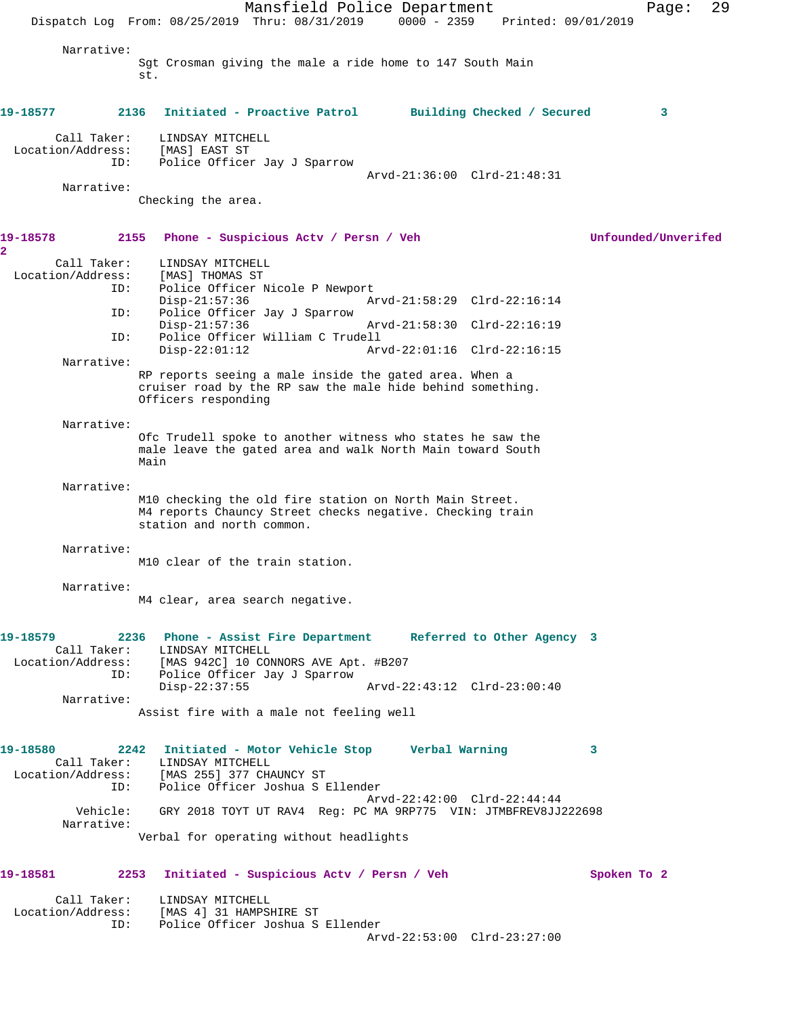Mansfield Police Department Fage: 29 Dispatch Log From: 08/25/2019 Thru: 08/31/2019 0000 - 2359 Printed: 09/01/2019 Narrative: Sgt Crosman giving the male a ride home to 147 South Main st. **19-18577 2136 Initiated - Proactive Patrol Building Checked / Secured 3** Call Taker: LINDSAY MITCHELL Location/Address: [MAS] EAST ST ID: Police Officer Jay J Sparrow Arvd-21:36:00 Clrd-21:48:31 Narrative: Checking the area. **19-18578 2155 Phone - Suspicious Actv / Persn / Veh Unfounded/Unverifed 2**  Call Taker: LINDSAY MITCHELL Location/Address: [MAS] THOMAS ST ID: Police Officer Nicole P Newport Disp-21:57:36 Arvd-21:58:29 Clrd-22:16:14 ID: Police Officer Jay J Sparrow Disp-21:57:36 Arvd-21:58:30 Clrd-22:16:19<br>ID: Police Officer William C Trudell ID: Police Officer William C Trudell Disp-22:01:12 Arvd-22:01:16 Clrd-22:16:15 Narrative: RP reports seeing a male inside the gated area. When a cruiser road by the RP saw the male hide behind something. Officers responding Narrative: Ofc Trudell spoke to another witness who states he saw the male leave the gated area and walk North Main toward South Main Narrative: M10 checking the old fire station on North Main Street. M4 reports Chauncy Street checks negative. Checking train station and north common. Narrative: M10 clear of the train station. Narrative: M4 clear, area search negative. **19-18579 2236 Phone - Assist Fire Department Referred to Other Agency 3**  Call Taker: LINDSAY MITCHELL Location/Address: [MAS 942C] 10 CONNORS AVE Apt. #B207 ID: Police Officer Jay J Sparrow<br>Disp-22:37:55 Disp-22:37:55 Arvd-22:43:12 Clrd-23:00:40 Narrative: Assist fire with a male not feeling well **19-18580 2242 Initiated - Motor Vehicle Stop Verbal Warning 3**  Call Taker: LINDSAY MITCHELL Location/Address: [MAS 255] 377 CHAUNCY ST ID: Police Officer Joshua S Ellender Arvd-22:42:00 Clrd-22:44:44 Vehicle: GRY 2018 TOYT UT RAV4 Reg: PC MA 9RP775 VIN: JTMBFREV8JJ222698 Narrative: Verbal for operating without headlights **19-18581 2253 Initiated - Suspicious Actv / Persn / Veh Spoken To 2** Call Taker: LINDSAY MITCHELL Location/Address: [MAS 4] 31 HAMPSHIRE ST ID: Police Officer Joshua S Ellender Arvd-22:53:00 Clrd-23:27:00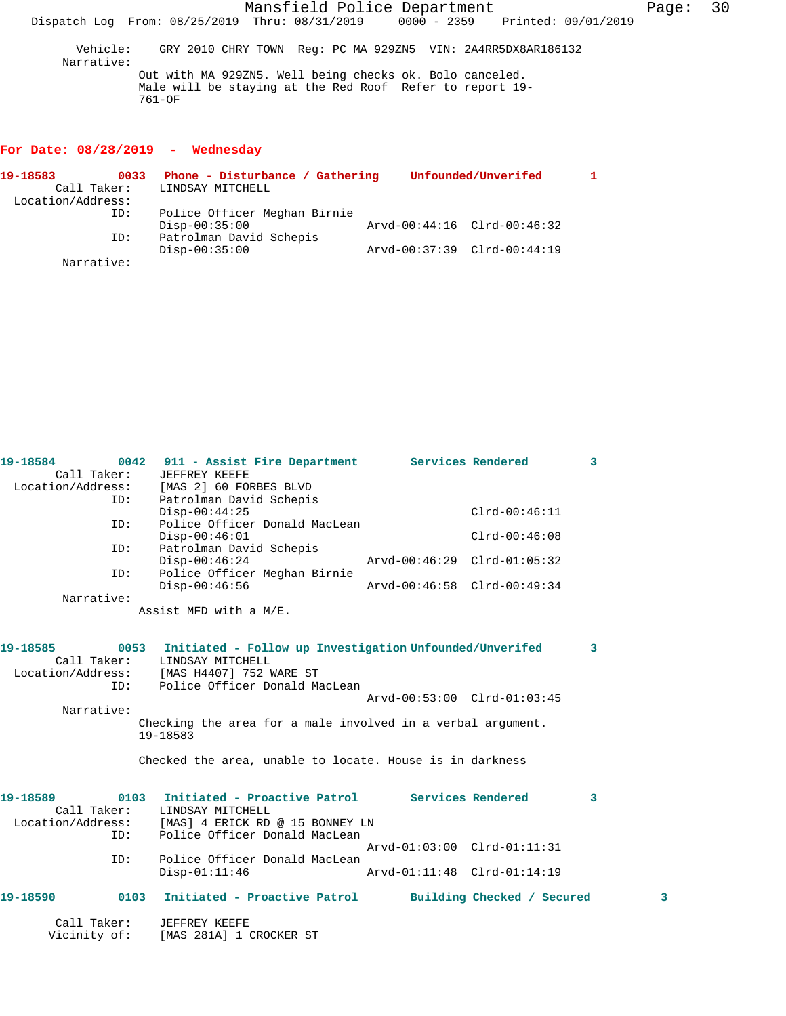Mansfield Police Department Fage: 30 Dispatch Log From: 08/25/2019 Thru: 08/31/2019 0000 - 2359 Printed: 09/01/2019 Vehicle: GRY 2010 CHRY TOWN Reg: PC MA 929ZN5 VIN: 2A4RR5DX8AR186132 Narrative:

Out with MA 929ZN5. Well being checks ok. Bolo canceled. Male will be staying at the Red Roof Refer to report 19- 761-OF

# **For Date: 08/28/2019 - Wednesday**

| 19-18583          | 0033 | Phone - Disturbance / Gathering |                             | Unfounded/Unverifed         |  |
|-------------------|------|---------------------------------|-----------------------------|-----------------------------|--|
| Call Taker:       |      | LINDSAY MITCHELL                |                             |                             |  |
| Location/Address: |      |                                 |                             |                             |  |
|                   | ID:  | Police Officer Meghan Birnie    |                             |                             |  |
|                   |      | $Disp-00:35:00$                 |                             | Arvd-00:44:16 Clrd-00:46:32 |  |
|                   | ID:  | Patrolman David Schepis         |                             |                             |  |
|                   |      | $Disp-00:35:00$                 | Arvd-00:37:39 Clrd-00:44:19 |                             |  |
| Narrative:        |      |                                 |                             |                             |  |

**19-18584 0042 911 - Assist Fire Department Services Rendered 3** 

| Call Taker:  |      | JEFFREY KEEFE                                                                    |                             |                            |   |
|--------------|------|----------------------------------------------------------------------------------|-----------------------------|----------------------------|---|
|              |      | Location/Address: [MAS 2] 60 FORBES BLVD                                         |                             |                            |   |
|              | ID:  | Patrolman David Schepis                                                          |                             |                            |   |
|              |      | $Disp-00:44:25$                                                                  |                             | $Clrd-00:46:11$            |   |
| ID:          |      | Police Officer Donald MacLean                                                    |                             |                            |   |
|              |      | $Disp-00:46:01$                                                                  |                             | $Clrd-00:46:08$            |   |
| ID:          |      | Patrolman David Schepis                                                          |                             |                            |   |
|              |      | $Disp-00:46:24$                                                                  | Arvd-00:46:29 Clrd-01:05:32 |                            |   |
| ID:          |      | Police Officer Meghan Birnie                                                     |                             |                            |   |
|              |      | $Disp-00:46:56$                                                                  | Arvd-00:46:58 Clrd-00:49:34 |                            |   |
| Narrative:   |      |                                                                                  |                             |                            |   |
|              |      | Assist MFD with a M/E.                                                           |                             |                            |   |
|              |      |                                                                                  |                             |                            |   |
| 19-18585     |      |                                                                                  |                             |                            |   |
| Call Taker:  |      | 0053 Initiated - Follow up Investigation Unfounded/Unverifed<br>LINDSAY MITCHELL |                             |                            | 3 |
|              |      | Location/Address: [MAS H4407] 752 WARE ST                                        |                             |                            |   |
| ID:          |      | Police Officer Donald MacLean                                                    |                             |                            |   |
|              |      |                                                                                  | Arvd-00:53:00 Clrd-01:03:45 |                            |   |
| Narrative:   |      |                                                                                  |                             |                            |   |
|              |      | Checking the area for a male involved in a verbal argument.                      |                             |                            |   |
|              |      | 19-18583                                                                         |                             |                            |   |
|              |      |                                                                                  |                             |                            |   |
|              |      | Checked the area, unable to locate. House is in darkness                         |                             |                            |   |
|              |      |                                                                                  |                             |                            |   |
|              |      |                                                                                  |                             |                            |   |
| 19-18589     |      | 0103 Initiated - Proactive Patrol Services Rendered                              |                             |                            | 3 |
| Call Taker:  |      | LINDSAY MITCHELL                                                                 |                             |                            |   |
|              |      | Location/Address: [MAS] 4 ERICK RD @ 15 BONNEY LN                                |                             |                            |   |
| ID:          |      | Police Officer Donald MacLean                                                    |                             |                            |   |
|              |      |                                                                                  | Arvd-01:03:00 Clrd-01:11:31 |                            |   |
| ID:          |      | Police Officer Donald MacLean                                                    |                             |                            |   |
|              |      | $Disp-01:11:46$                                                                  | Arvd-01:11:48 Clrd-01:14:19 |                            |   |
|              |      |                                                                                  |                             |                            |   |
| 19-18590     | 0103 | Initiated - Proactive Patrol                                                     |                             | Building Checked / Secured | 3 |
|              |      |                                                                                  |                             |                            |   |
| Call Taker:  |      | JEFFREY KEEFE                                                                    |                             |                            |   |
| Vicinity of: |      | [MAS 281A] 1 CROCKER ST                                                          |                             |                            |   |
|              |      |                                                                                  |                             |                            |   |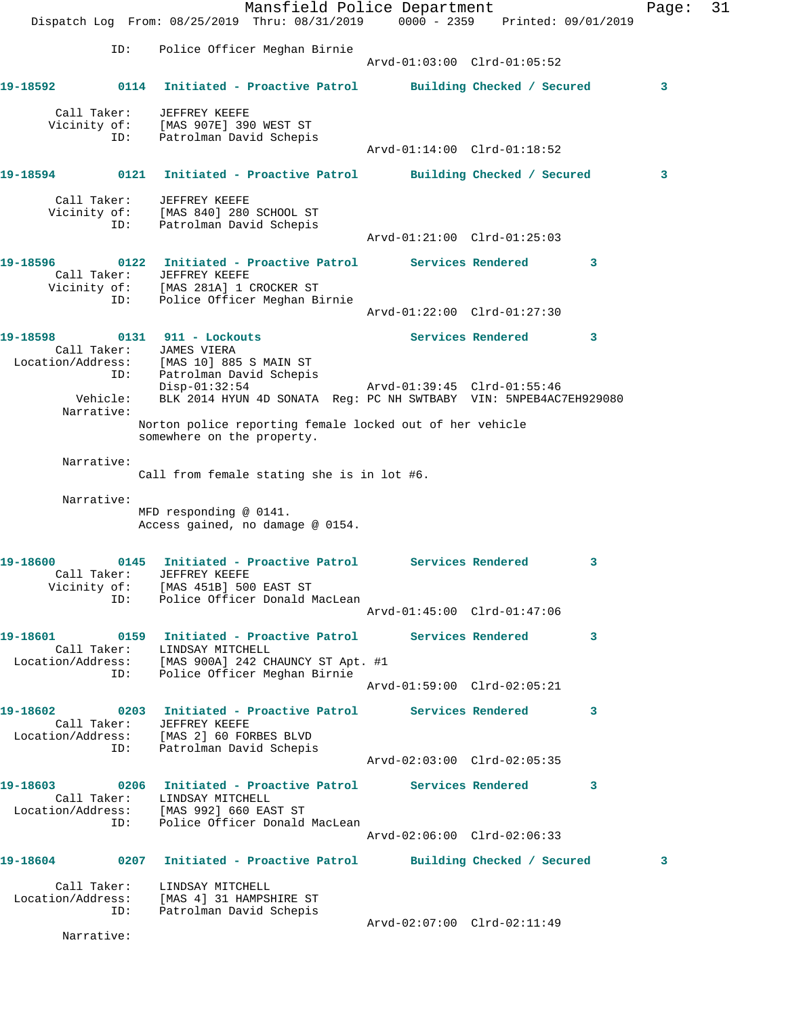|          |                                    | Mansfield Police Department<br>Dispatch Log From: 08/25/2019 Thru: 08/31/2019 0000 - 2359 Printed: 09/01/2019                                                    |                             |                            | Page: | 31 |
|----------|------------------------------------|------------------------------------------------------------------------------------------------------------------------------------------------------------------|-----------------------------|----------------------------|-------|----|
|          | ID:                                | Police Officer Meghan Birnie                                                                                                                                     | Arvd-01:03:00 Clrd-01:05:52 |                            |       |    |
| 19-18592 |                                    | 0114 Initiated - Proactive Patrol Building Checked / Secured                                                                                                     |                             |                            | 3     |    |
|          | Call Taker:<br>ID:                 | JEFFREY KEEFE<br>Vicinity of: [MAS 907E] 390 WEST ST<br>Patrolman David Schepis                                                                                  |                             |                            |       |    |
|          |                                    |                                                                                                                                                                  | Arvd-01:14:00 Clrd-01:18:52 |                            |       |    |
| 19-18594 |                                    | 0121 Initiated - Proactive Patrol                                                                                                                                |                             | Building Checked / Secured | 3     |    |
|          | Call Taker:<br>Vicinity of:<br>ID: | JEFFREY KEEFE<br>[MAS 840] 280 SCHOOL ST<br>Patrolman David Schepis                                                                                              | Arvd-01:21:00 Clrd-01:25:03 |                            |       |    |
| 19–18596 |                                    | 0122 Initiated - Proactive Patrol Services Rendered                                                                                                              |                             | 3                          |       |    |
|          | ID:                                | Call Taker: JEFFREY KEEFE<br>Vicinity of: [MAS 281A] 1 CROCKER ST<br>Police Officer Meghan Birnie                                                                |                             |                            |       |    |
|          |                                    |                                                                                                                                                                  | Arvd-01:22:00 Clrd-01:27:30 |                            |       |    |
| 19-18598 |                                    | 0131 911 - Lockouts<br>Call Taker: JAMES VIERA<br>Location/Address: [MAS 10] 885 S MAIN ST                                                                       |                             | Services Rendered<br>3     |       |    |
|          | ID:<br>Vehicle:<br>Narrative:      | Patrolman David Schepis<br>$Disp-01:32:54$<br>BLK 2014 HYUN 4D SONATA Reg: PC NH SWTBABY VIN: 5NPEB4AC7EH929080                                                  | Arvd-01:39:45 Clrd-01:55:46 |                            |       |    |
|          |                                    | Norton police reporting female locked out of her vehicle<br>somewhere on the property.                                                                           |                             |                            |       |    |
|          | Narrative:                         | Call from female stating she is in lot #6.                                                                                                                       |                             |                            |       |    |
|          | Narrative:                         | MFD responding @ 0141.<br>Access gained, no damage @ 0154.                                                                                                       |                             |                            |       |    |
| 19-18600 | 0145<br>ID:                        | Initiated - Proactive Patrol<br>Call Taker: JEFFREY KEEFE<br>Vicinity of: [MAS 451B] 500 EAST ST<br>Police Officer Donald MacLean                                | Services Rendered           | 3                          |       |    |
|          |                                    |                                                                                                                                                                  | Arvd-01:45:00 Clrd-01:47:06 |                            |       |    |
|          |                                    | Call Taker: LINDSAY MITCHELL<br>Location/Address: [MAS 900A] 242 CHAUNCY ST Apt. #1                                                                              |                             | 3                          |       |    |
|          | ID:                                | Police Officer Meghan Birnie                                                                                                                                     | Arvd-01:59:00 Clrd-02:05:21 |                            |       |    |
|          |                                    | Call Taker: JEFFREY KEEFE<br>Location/Address: [MAS 2] 60 FORBES BLVD                                                                                            |                             | 3                          |       |    |
|          |                                    | ID: Patrolman David Schepis                                                                                                                                      | Arvd-02:03:00 Clrd-02:05:35 |                            |       |    |
|          |                                    | 19-18603              0206   Initiated - Proactive Patrol           Services Rendered<br>Call Taker: LINDSAY MITCHELL<br>Location/Address: [MAS 992] 660 EAST ST |                             | $\mathbf{3}$               |       |    |
|          |                                    | ID: Police Officer Donald MacLean                                                                                                                                | Arvd-02:06:00 Clrd-02:06:33 |                            |       |    |
|          |                                    | 19-18604 0207 Initiated - Proactive Patrol Building Checked / Secured                                                                                            |                             |                            | 3     |    |
|          | Call Taker:<br>ID:                 | LINDSAY MITCHELL<br>Location/Address: [MAS 4] 31 HAMPSHIRE ST<br>Patrolman David Schepis                                                                         |                             |                            |       |    |
|          | Narrative:                         |                                                                                                                                                                  | Arvd-02:07:00 Clrd-02:11:49 |                            |       |    |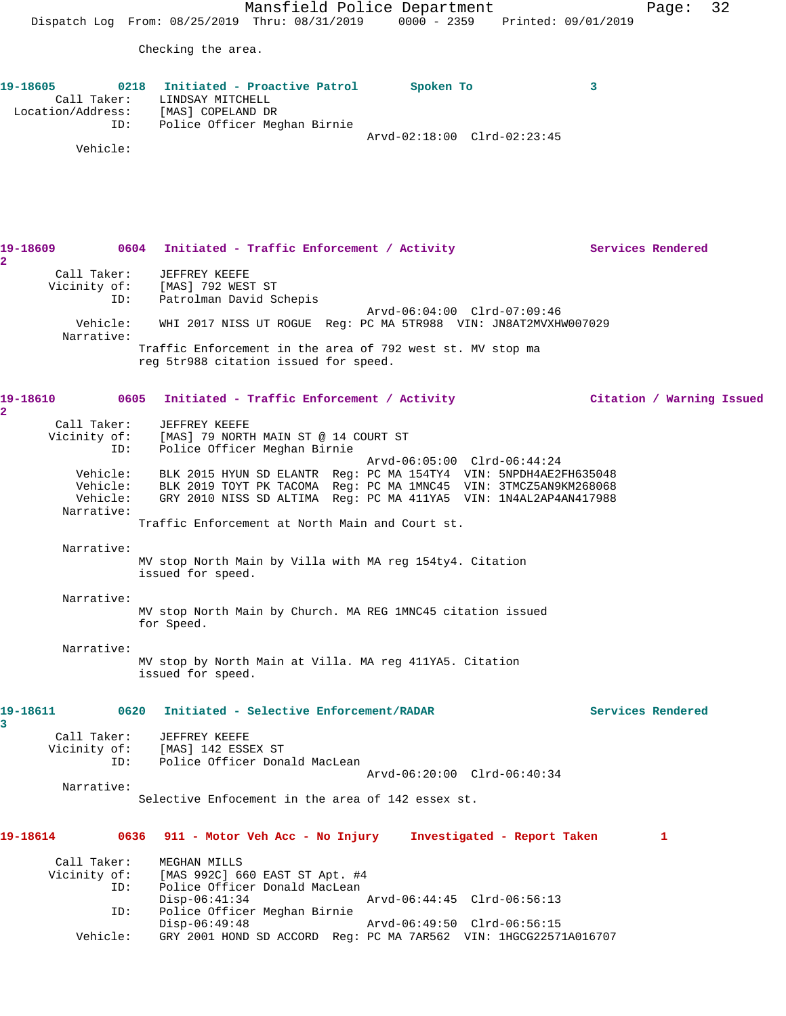Mansfield Police Department Fage: 32 Dispatch Log From: 08/25/2019 Thru: 08/31/2019 0000 - 2359 Printed: 09/01/2019 Checking the area. **19-18605 0218 Initiated - Proactive Patrol Spoken To 3**  Call Taker: LINDSAY MITCHELL Location/Address: [MAS] COPELAND DR ID: Police Officer Meghan Birnie Arvd-02:18:00 Clrd-02:23:45 Vehicle: 19-18609 0604 Initiated - Traffic Enforcement / Activity **Services Rendered 2**  Call Taker: JEFFREY KEEFE Vicinity of: [MAS] 792 WEST ST ID: Patrolman David Schepis Arvd-06:04:00 Clrd-07:09:46 Vehicle: WHI 2017 NISS UT ROGUE Reg: PC MA 5TR988 VIN: JN8AT2MVXHW007029 Narrative: Traffic Enforcement in the area of 792 west st. MV stop ma reg 5tr988 citation issued for speed. **19-18610 0605 Initiated - Traffic Enforcement / Activity Citation / Warning Issued 2**  Call Taker: JEFFREY KEEFE Vicinity of: [MAS] 79 NORTH MAIN ST @ 14 COURT ST ID: Police Officer Meghan Birnie Arvd-06:05:00 Clrd-06:44:24 Vehicle: BLK 2015 HYUN SD ELANTR Reg: PC MA 154TY4 VIN: 5NPDH4AE2FH635048 Vehicle: BLK 2019 TOYT PK TACOMA Reg: PC MA 1MNC45 VIN: 3TMCZ5AN9KM268068 Vehicle: GRY 2010 NISS SD ALTIMA Reg: PC MA 411YA5 VIN: 1N4AL2AP4AN417988 Narrative: Traffic Enforcement at North Main and Court st. Narrative: MV stop North Main by Villa with MA reg 154ty4. Citation issued for speed. Narrative: MV stop North Main by Church. MA REG 1MNC45 citation issued for Speed. Narrative: MV stop by North Main at Villa. MA reg 411YA5. Citation issued for speed. **19-18611 0620 Initiated - Selective Enforcement/RADAR Services Rendered 3**  Call Taker: JEFFREY KEEFE Vicinity of: [MAS] 142 ESSEX ST ID: Police Officer Donald MacLean Arvd-06:20:00 Clrd-06:40:34 Narrative: Selective Enfocement in the area of 142 essex st. **19-18614 0636 911 - Motor Veh Acc - No Injury Investigated - Report Taken 1** Call Taker: MEGHAN MILLS<br>Vicinity of: [MAS 992C] 66 of: [MAS 992C] 660 EAST ST Apt. #4<br>ID: Police Officer Donald MacLean Police Officer Donald MacLean Disp-06:41:34 Arvd-06:44:45 Clrd-06:56:13 ID: Police Officer Meghan Birnie Arvd-06:49:50 Clrd-06:56:15 Vehicle: GRY 2001 HOND SD ACCORD Reg: PC MA 7AR562 VIN: 1HGCG22571A016707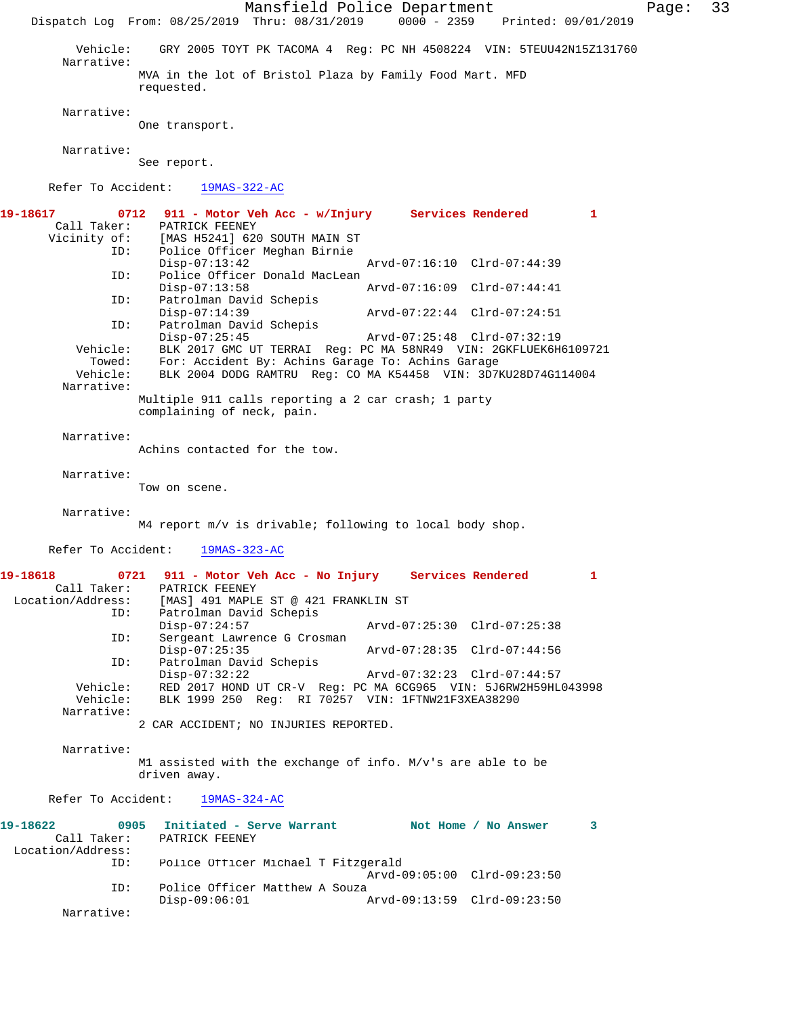Mansfield Police Department Page: 33 Dispatch Log From: 08/25/2019 Thru: 08/31/2019 0000 - 2359 Printed: 09/01/2019 Vehicle: GRY 2005 TOYT PK TACOMA 4 Reg: PC NH 4508224 VIN: 5TEUU42N15Z131760 Narrative: MVA in the lot of Bristol Plaza by Family Food Mart. MFD requested. Narrative: One transport. Narrative: See report. Refer To Accident: 19MAS-322-AC **19-18617 0712 911 - Motor Veh Acc - w/Injury Services Rendered 1**  PATRICK FEENEY Vicinity of: [MAS H5241] 620 SOUTH MAIN ST<br>ID: Police Officer Meghan Birnie Police Officer Meghan Birnie Disp-07:13:42 Arvd-07:16:10 Clrd-07:44:39<br>TD: Police Officer Donald MacLean Police Officer Donald MacLean<br>Disp-07:13:58 Disp-07:13:58 Arvd-07:16:09 Clrd-07:44:41 ID: Patrolman David Schepis<br>Disp-07:14:39 Disp-07:14:39 Arvd-07:22:44 Clrd-07:24:51<br>ID: Patrolman David Schepis Patrolman David Schepis<br>Disp-07:25:45 Disp-07:25:45 Arvd-07:25:48 Clrd-07:32:19 Vehicle: BLK 2017 GMC UT TERRAI Reg: PC MA 58NR49 VIN: 2GKFLUEK6H6109721 Towed: For: Accident By: Achins Garage To: Achins Garage BLK 2004 DODG RAMTRU Reg: CO MA K54458 VIN: 3D7KU28D74G114004 Narrative: Multiple 911 calls reporting a 2 car crash; 1 party complaining of neck, pain. Narrative: Achins contacted for the tow. Narrative: Tow on scene. Narrative: M4 report m/v is drivable; following to local body shop. Refer To Accident: 19MAS-323-AC **19-18618 0721 911 - Motor Veh Acc - No Injury Services Rendered 1**  Call Taker: PATRICK FEENEY<br>Location/Address: [MAS] 491 MAPLI ess: [MAS] 491 MAPLE ST @ 421 FRANKLIN ST<br>ID: Patrolman David Schepis Patrolman David Schepis<br>Disp-07:24:57 Disp-07:24:57 Arvd-07:25:30 Clrd-07:25:38 ID: Sergeant Lawrence G Crosman<br>Disp-07:25:35 Disp-07:25:35 Arvd-07:28:35 Clrd-07:44:56 ID: Patrolman David Schepis Disp-07:32:22 Arvd-07:32:23 Clrd-07:44:57<br>Vehicle: RED 2017 HOND UT CR-V Req: PC MA 6CG965 VIN: 5J6RW2H59HL Vehicle: RED 2017 HOND UT CR-V Reg: PC MA 6CG965 VIN: 5J6RW2H59HL043998<br>Vehicle: BLK 1999 250 Reg: RI 70257 VIN: 1FTNW21F3XEA38290 BLK 1999 250 Reg: RI 70257 VIN: 1FTNW21F3XEA38290 Narrative: 2 CAR ACCIDENT; NO INJURIES REPORTED. Narrative: M1 assisted with the exchange of info. M/v's are able to be driven away. Refer To Accident: 19MAS-324-AC **19-18622 0905 Initiated - Serve Warrant Not Home / No Answer 3**  PATRICK FEENEY Location/Address: ID: Police Officer Michael T Fitzgerald Arvd-09:05:00 Clrd-09:23:50 ID: Police Officer Matthew A Souza Disp-09:06:01 Arvd-09:13:59 Clrd-09:23:50 Narrative: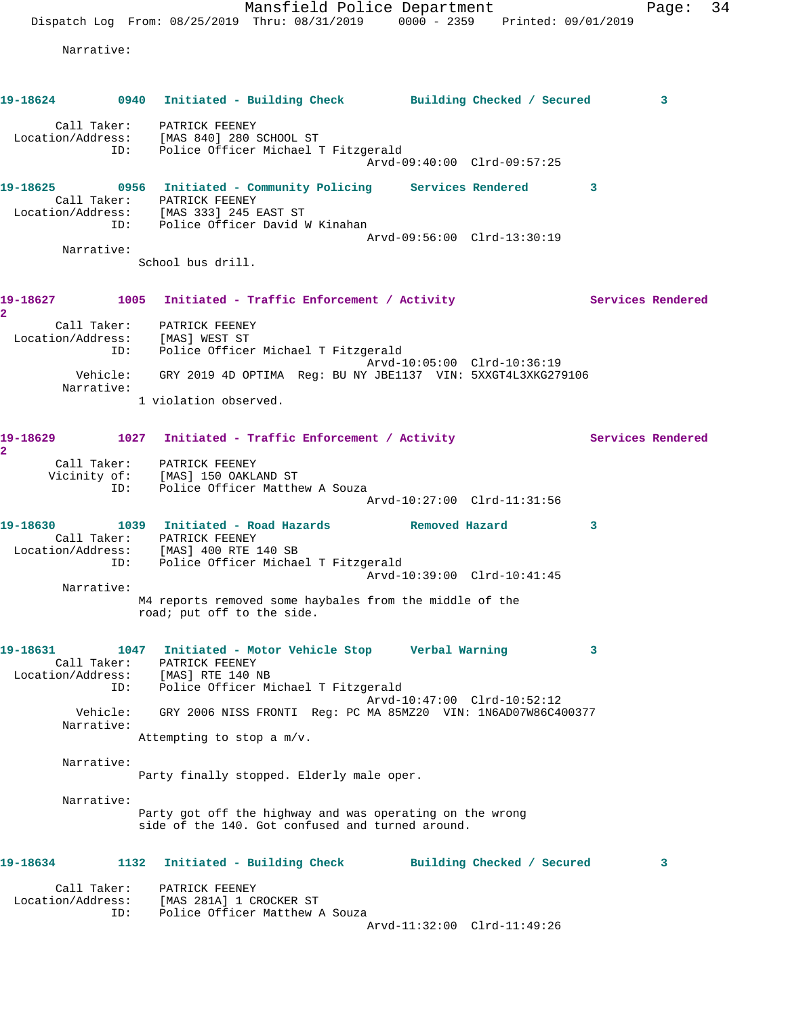Mansfield Police Department Fage: 34 Dispatch Log From: 08/25/2019 Thru: 08/31/2019 0000 - 2359 Printed: 09/01/2019 Narrative: **19-18624 0940 Initiated - Building Check Building Checked / Secured 3** Call Taker: PATRICK FEENEY Location/Address: [MAS 840] 280 SCHOOL ST ID: Police Officer Michael T Fitzgerald Arvd-09:40:00 Clrd-09:57:25 **19-18625 0956 Initiated - Community Policing Services Rendered 3**  Call Taker: PATRICK FEENEY Location/Address: [MAS 333] 245 EAST ST ID: Police Officer David W Kinahan Arvd-09:56:00 Clrd-13:30:19 Narrative: School bus drill. 19-18627 1005 Initiated - Traffic Enforcement / Activity **Services Rendered 2**  Call Taker: PATRICK FEENEY Location/Address: [MAS] WEST ST ID: Police Officer Michael T Fitzgerald Arvd-10:05:00 Clrd-10:36:19 Vehicle: GRY 2019 4D OPTIMA Reg: BU NY JBE1137 VIN: 5XXGT4L3XKG279106 Narrative: 1 violation observed. 19-18629 1027 Initiated - Traffic Enforcement / Activity Services Rendered **2**  Call Taker: PATRICK FEENEY Vicinity of: [MAS] 150 OAKLAND ST ID: Police Officer Matthew A Souza Arvd-10:27:00 Clrd-11:31:56 **19-18630 1039 Initiated - Road Hazards Removed Hazard 3**  Call Taker: PATRICK FEENEY Location/Address: [MAS] 400 RTE 140 SB ID: Police Officer Michael T Fitzgerald Arvd-10:39:00 Clrd-10:41:45 Narrative: M4 reports removed some haybales from the middle of the road; put off to the side. **19-18631 1047 Initiated - Motor Vehicle Stop Verbal Warning 3**  Call Taker: PATRICK FEENEY Location/Address: [MAS] RTE 140 NB ID: Police Officer Michael T Fitzgerald Arvd-10:47:00 Clrd-10:52:12 Vehicle: GRY 2006 NISS FRONTI Reg: PC MA 85MZ20 VIN: 1N6AD07W86C400377 Narrative: Attempting to stop a m/v. Narrative: Party finally stopped. Elderly male oper. Narrative: Party got off the highway and was operating on the wrong side of the 140. Got confused and turned around. **19-18634 1132 Initiated - Building Check Building Checked / Secured 3** Call Taker: PATRICK FEENEY Location/Address: [MAS 281A] 1 CROCKER ST ID: Police Officer Matthew A Souza Arvd-11:32:00 Clrd-11:49:26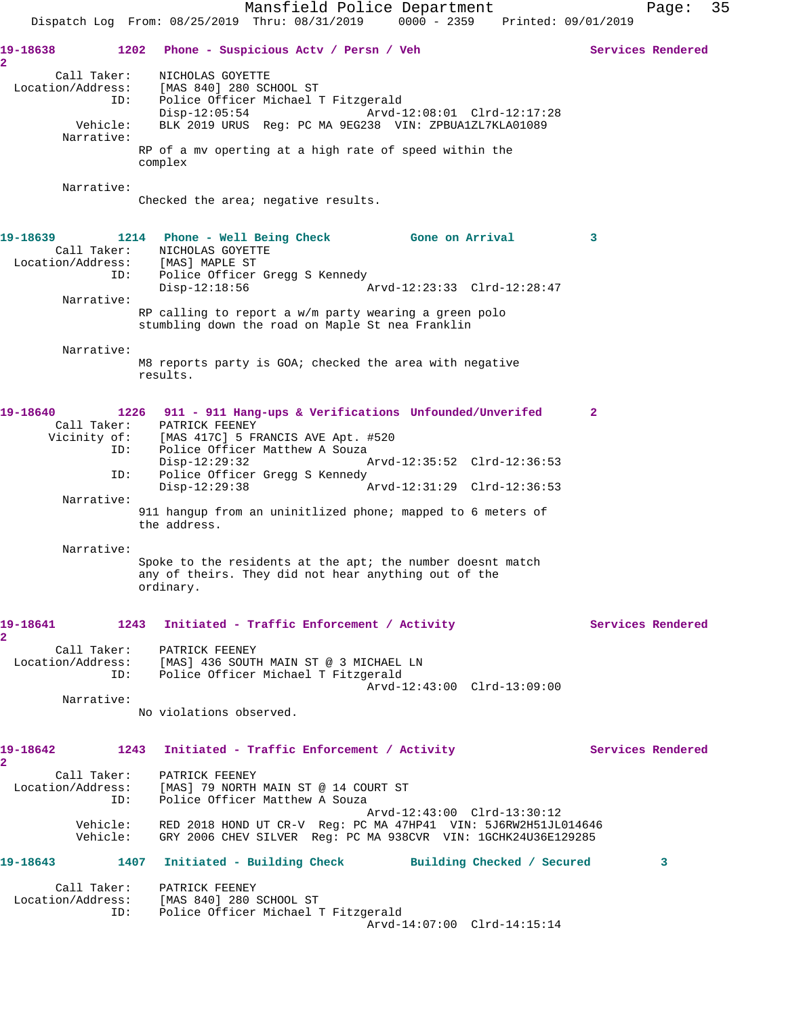Mansfield Police Department Fage: 35 Dispatch Log From: 08/25/2019 Thru: 08/31/2019 0000 - 2359 Printed: 09/01/2019 **19-18638 1202 Phone - Suspicious Actv / Persn / Veh Services Rendered 2**  Call Taker: NICHOLAS GOYETTE Location/Address: [MAS 840] 280 SCHOOL ST ID: Police Officer Michael T Fitzgerald Disp-12:05:54 Arvd-12:08:01 Clrd-12:17:28 Vehicle: BLK 2019 URUS Reg: PC MA 9EG238 VIN: ZPBUA1ZL7KLA01089 Narrative: RP of a mv operting at a high rate of speed within the complex Narrative: Checked the area; negative results. **19-18639 1214 Phone - Well Being Check Gone on Arrival 3**  Call Taker: NICHOLAS GOYETTE Location/Address: [MAS] MAPLE ST ID: Police Officer Gregg S Kennedy Disp-12:18:56 Arvd-12:23:33 Clrd-12:28:47 Narrative: RP calling to report a w/m party wearing a green polo stumbling down the road on Maple St nea Franklin Narrative: M8 reports party is GOA; checked the area with negative results. **19-18640 1226 911 - 911 Hang-ups & Verifications Unfounded/Unverifed 2**  Call Taker: PATRICK FEENEY Vicinity of: [MAS 417C] 5 FRANCIS AVE Apt. #520 ID: Police Officer Matthew A Souza Disp-12:29:32 Arvd-12:35:52 Clrd-12:36:53<br>ID: Police Officer Gregg S Kennedy Police Officer Gregg S Kennedy<br>Disp-12:29:38 Arvd-12:31:29 Clrd-12:36:53 Narrative: 911 hangup from an uninitlized phone; mapped to 6 meters of the address. Narrative: Spoke to the residents at the apt; the number doesnt match any of theirs. They did not hear anything out of the ordinary. 19-18641 1243 Initiated - Traffic Enforcement / Activity **Services Rendered 2**  Call Taker: PATRICK FEENEY Location/Address: [MAS] 436 SOUTH MAIN ST @ 3 MICHAEL LN ID: Police Officer Michael T Fitzgerald Arvd-12:43:00 Clrd-13:09:00 Narrative: No violations observed. 19-18642 1243 Initiated - Traffic Enforcement / Activity **Services Rendered 2**  Call Taker: PATRICK FEENEY Location/Address: [MAS] 79 NORTH MAIN ST @ 14 COURT ST ID: Police Officer Matthew A Souza Arvd-12:43:00 Clrd-13:30:12 Vehicle: RED 2018 HOND UT CR-V Reg: PC MA 47HP41 VIN: 5J6RW2H51JL014646 Vehicle: GRY 2006 CHEV SILVER Reg: PC MA 938CVR VIN: 1GCHK24U36E129285 **19-18643 1407 Initiated - Building Check Building Checked / Secured 3** Call Taker: PATRICK FEENEY Location/Address: [MAS 840] 280 SCHOOL ST ID: Police Officer Michael T Fitzgerald Arvd-14:07:00 Clrd-14:15:14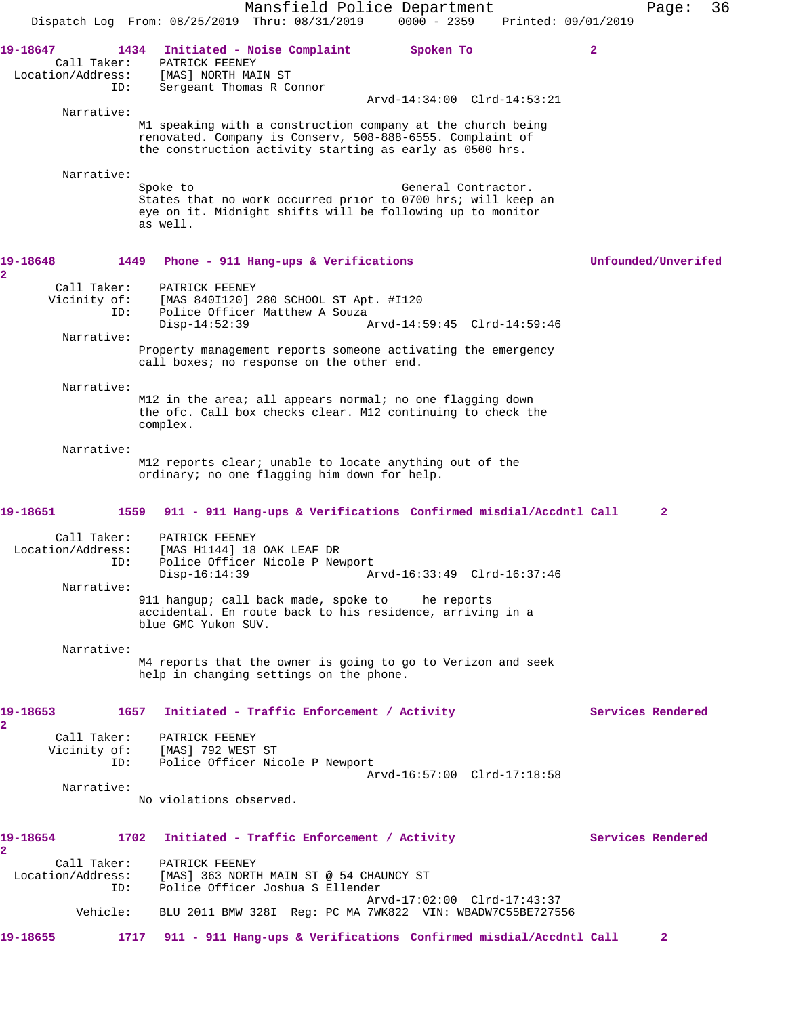Mansfield Police Department Page: 36 Dispatch Log From: 08/25/2019 Thru: 08/31/2019 0000 - 2359 Printed: 09/01/2019 **19-18647 1434 Initiated - Noise Complaint Spoken To 2**  Call Taker: PATRICK FEENEY Location/Address: [MAS] NORTH MAIN ST ID: Sergeant Thomas R Connor Arvd-14:34:00 Clrd-14:53:21 Narrative: M1 speaking with a construction company at the church being renovated. Company is Conserv, 508-888-6555. Complaint of the construction activity starting as early as 0500 hrs. Narrative: Spoke to General Contractor. States that no work occurred prior to 0700 hrs; will keep an eye on it. Midnight shifts will be following up to monitor as well. **19-18648 1449 Phone - 911 Hang-ups & Verifications Unfounded/Unverifed 2**  Call Taker: PATRICK FEENEY Vicinity of: [MAS 840I120] 280 SCHOOL ST Apt. #I120<br>ID: Police Officer Matthew A Souza Police Officer Matthew A Souza<br>Disp-14:52:39 / Disp-14:52:39 Arvd-14:59:45 Clrd-14:59:46 Narrative: Property management reports someone activating the emergency call boxes; no response on the other end. Narrative: M12 in the area; all appears normal; no one flagging down the ofc. Call box checks clear. M12 continuing to check the complex. Narrative: M12 reports clear; unable to locate anything out of the ordinary; no one flagging him down for help. **19-18651 1559 911 - 911 Hang-ups & Verifications Confirmed misdial/Accdntl Call 2** Call Taker: PATRICK FEENEY Location/Address: [MAS H1144] 18 OAK LEAF DR Police Officer Nicole P Newport Disp-16:14:39 Arvd-16:33:49 Clrd-16:37:46 Narrative: 911 hangup; call back made, spoke to he reports accidental. En route back to his residence, arriving in a blue GMC Yukon SUV. Narrative: M4 reports that the owner is going to go to Verizon and seek help in changing settings on the phone. 19-18653 1657 Initiated - Traffic Enforcement / Activity **Services Rendered 2**  Call Taker: PATRICK FEENEY Vicinity of: [MAS] 792 WEST ST ID: Police Officer Nicole P Newport Arvd-16:57:00 Clrd-17:18:58 Narrative: No violations observed. 19-18654 1702 Initiated - Traffic Enforcement / Activity **Services Rendered 2**  Call Taker: PATRICK FEENEY<br>Location/Address: [MAS] 363 NORTI ess: [MAS] 363 NORTH MAIN ST @ 54 CHAUNCY ST<br>ID: Police Officer Joshua S Ellender Police Officer Joshua S Ellender Arvd-17:02:00 Clrd-17:43:37 Vehicle: BLU 2011 BMW 328I Reg: PC MA 7WK822 VIN: WBADW7C55BE727556 **19-18655 1717 911 - 911 Hang-ups & Verifications Confirmed misdial/Accdntl Call 2**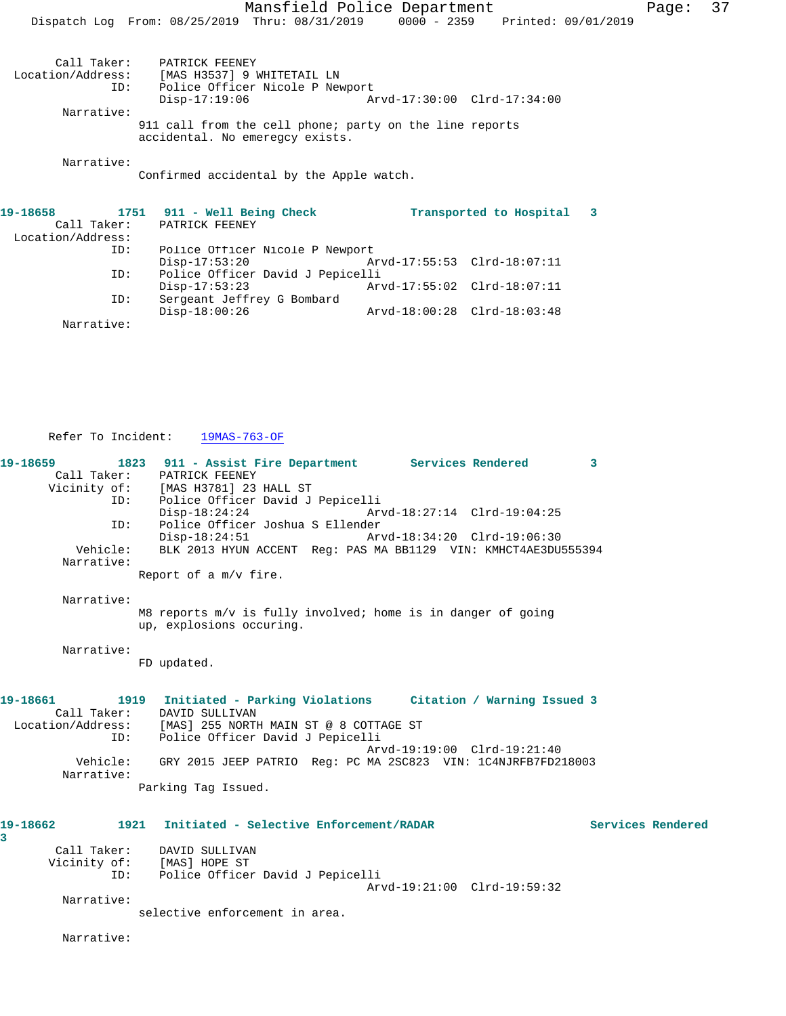Mansfield Police Department Page: 37 Dispatch Log From: 08/25/2019 Thru: 08/31/2019 0000 - 2359 Printed: 09/01/2019

Call Taker: PATRICK FEENEY<br>Location/Address: [MAS H3537] 9 W Location/Address: [MAS H3537] 9 WHITETAIL LN Police Officer Nicole P Newport Disp-17:19:06 Arvd-17:30:00 Clrd-17:34:00 Narrative: 911 call from the cell phone; party on the line reports

accidental. No emeregcy exists.

Narrative:

Confirmed accidental by the Apple watch.

| 19-18658          |     | 1751 911 - Well Being Check      |                             | Transported to Hospital |  |  |
|-------------------|-----|----------------------------------|-----------------------------|-------------------------|--|--|
| Call Taker:       |     | PATRICK FEENEY                   |                             |                         |  |  |
| Location/Address: |     |                                  |                             |                         |  |  |
|                   | ID: | Police Officer Nicole P Newport  |                             |                         |  |  |
|                   |     | $Disp-17:53:20$                  | Arvd-17:55:53 Clrd-18:07:11 |                         |  |  |
| ID:               |     | Police Officer David J Pepicelli |                             |                         |  |  |
|                   |     | $Disp-17:53:23$                  | Arvd-17:55:02 Clrd-18:07:11 |                         |  |  |
|                   | ID: | Sergeant Jeffrey G Bombard       |                             |                         |  |  |
|                   |     | $Disp-18:00:26$                  | Arvd-18:00:28 Clrd-18:03:48 |                         |  |  |
| Narrative:        |     |                                  |                             |                         |  |  |

Refer To Incident: 19MAS-763-OF

**19-18659 1823 911 - Assist Fire Department Services Rendered 3**  Call Taker: PATRICK FEENEY<br>Vicinity of: [MAS H3781] 23 of: [MAS H3781] 23 HALL ST<br>ID: Police Officer David J Police Officer David J Pepicelli<br>Disp-18:24:24 Arv Disp-18:24:24 Arvd-18:27:14 Clrd-19:04:25 ID: Police Officer Joshua S Ellender Disp-18:24:51 Arvd-18:34:20 Clrd-19:06:30<br>Vehicle: BLK 2013 HYUN ACCENT Reg: PAS MA BB1129 VIN: KMHCT4AE3DU! BLK 2013 HYUN ACCENT Reg: PAS MA BB1129 VIN: KMHCT4AE3DU555394 Narrative: Report of a m/v fire. Narrative: M8 reports m/v is fully involved; home is in danger of going up, explosions occuring. Narrative: FD updated. **19-18661 1919 Initiated - Parking Violations Citation / Warning Issued 3**  Call Taker: DAVID SULLIVAN Location/Address: [MAS] 255 NORTH MAIN ST @ 8 COTTAGE ST ID: Police Officer David J Pepicelli Arvd-19:19:00 Clrd-19:21:40 Vehicle: GRY 2015 JEEP PATRIO Reg: PC MA 2SC823 VIN: 1C4NJRFB7FD218003 Narrative: Parking Tag Issued. **19-18662 1921 Initiated - Selective Enforcement/RADAR Services Rendered 3**  Call Taker: DAVID SULLIVAN Vicinity of: [MAS] HOPE ST ID: Police Officer David J Pepicelli Arvd-19:21:00 Clrd-19:59:32 Narrative:

selective enforcement in area.

Narrative: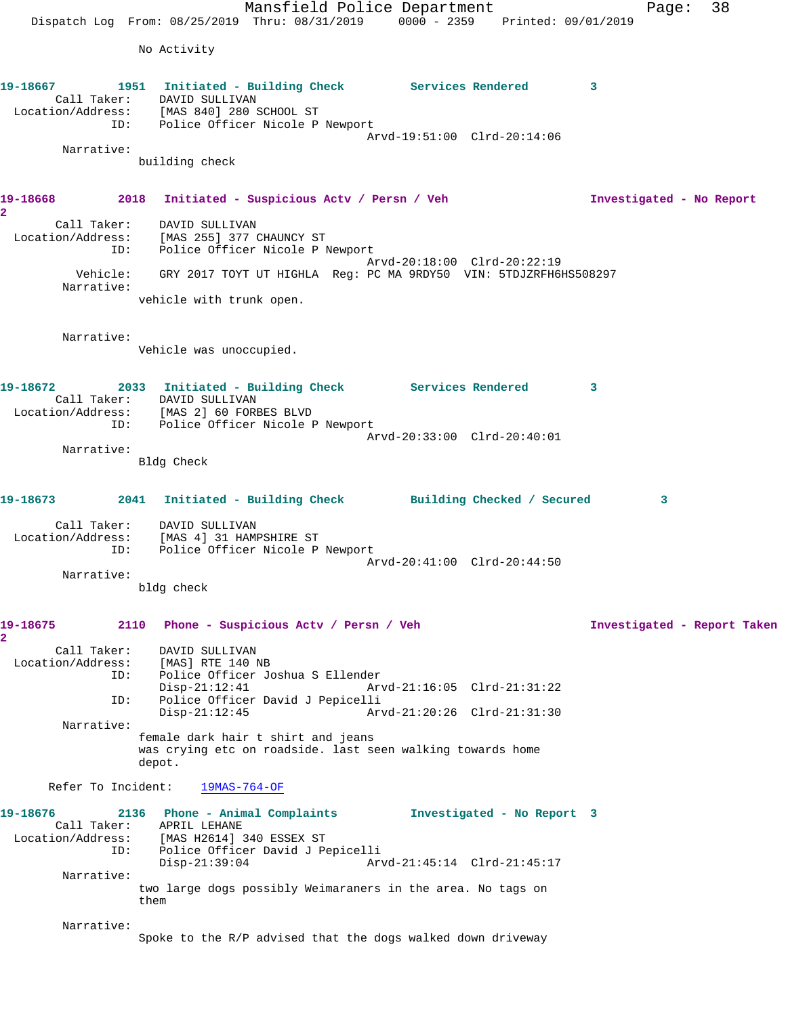Mansfield Police Department Fage: 38 Dispatch Log From: 08/25/2019 Thru: 08/31/2019 0000 - 2359 Printed: 09/01/2019 No Activity **19-18667 1951 Initiated - Building Check Services Rendered 3**  Call Taker: DAVID SULLIVAN Location/Address: [MAS 840] 280 SCHOOL ST ID: Police Officer Nicole P Newport Arvd-19:51:00 Clrd-20:14:06 Narrative: building check **19-18668 2018 Initiated - Suspicious Actv / Persn / Veh Investigated - No Report 2**  Call Taker: DAVID SULLIVAN Location/Address: [MAS 255] 377 CHAUNCY ST ID: Police Officer Nicole P Newport Arvd-20:18:00 Clrd-20:22:19 Vehicle: GRY 2017 TOYT UT HIGHLA Reg: PC MA 9RDY50 VIN: 5TDJZRFH6HS508297 Narrative: vehicle with trunk open. Narrative: Vehicle was unoccupied. **19-18672 2033 Initiated - Building Check Services Rendered 3**  Call Taker: DAVID SULLIVAN Location/Address: [MAS 2] 60 FORBES BLVD ID: Police Officer Nicole P Newport Arvd-20:33:00 Clrd-20:40:01 Narrative: Bldg Check **19-18673 2041 Initiated - Building Check Building Checked / Secured 3** Call Taker: DAVID SULLIVAN Location/Address: [MAS 4] 31 HAMPSHIRE ST ID: Police Officer Nicole P Newport Arvd-20:41:00 Clrd-20:44:50 Narrative: bldg check **19-18675 2110 Phone - Suspicious Actv / Persn / Veh Investigated - Report Taken 2**  Call Taker: DAVID SULLIVAN Location/Address: [MAS] RTE 140 NB ID: Police Officer Joshua S Ellender<br>Disp-21:12:41 Arv Disp-21:12:41 Arvd-21:16:05 Clrd-21:31:22 ID: Police Officer David J Pepicelli Disp-21:12:45 Arvd-21:20:26 Clrd-21:31:30 Narrative: female dark hair t shirt and jeans was crying etc on roadside. last seen walking towards home depot. Refer To Incident: 19MAS-764-OF **19-18676 2136 Phone - Animal Complaints Investigated - No Report 3**  Call Taker: APRIL LEHANE Location/Address: [MAS H2614] 340 ESSEX ST ID: Police Officer David J Pepicelli Disp-21:39:04 Arvd-21:45:14 Clrd-21:45:17 Narrative: two large dogs possibly Weimaraners in the area. No tags on them Narrative: Spoke to the R/P advised that the dogs walked down driveway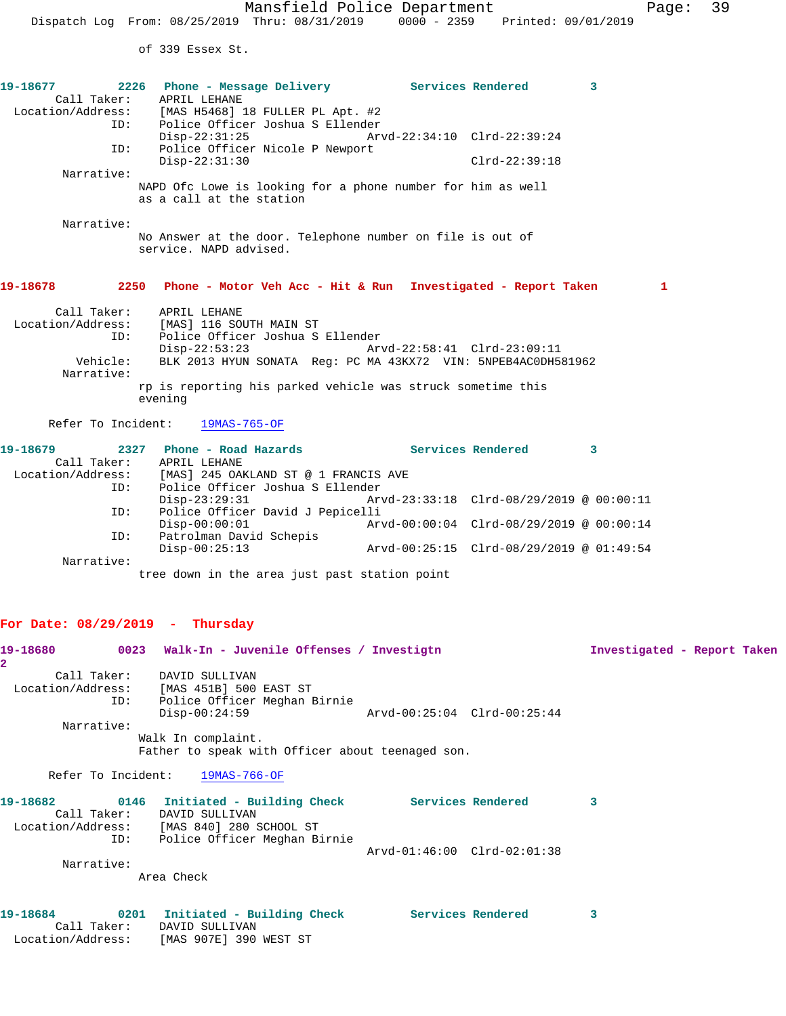of 339 Essex St.

|            | 19-18677 2226 Phone - Message Delivery Services Rendered                            |                                          |                                          | $\mathbf{3}$ |  |
|------------|-------------------------------------------------------------------------------------|------------------------------------------|------------------------------------------|--------------|--|
|            | Call Taker: APRIL LEHANE                                                            |                                          |                                          |              |  |
|            | Location/Address: [MAS H5468] 18 FULLER PL Apt. #2                                  |                                          |                                          |              |  |
|            | ID: Police Officer Joshua S Ellender                                                |                                          |                                          |              |  |
|            | $Disp-22:31:25$                                                                     | Arvd-22:34:10 Clrd-22:39:24              |                                          |              |  |
| ID:        | Police Officer Nicole P Newport                                                     |                                          |                                          |              |  |
|            | $Disp-22:31:30$                                                                     |                                          | $Clrd-22:39:18$                          |              |  |
| Narrative: |                                                                                     |                                          |                                          |              |  |
|            | NAPD Ofc Lowe is looking for a phone number for him as well                         |                                          |                                          |              |  |
|            | as a call at the station                                                            |                                          |                                          |              |  |
|            |                                                                                     |                                          |                                          |              |  |
| Narrative: |                                                                                     |                                          |                                          |              |  |
|            | No Answer at the door. Telephone number on file is out of<br>service. NAPD advised. |                                          |                                          |              |  |
|            |                                                                                     |                                          |                                          |              |  |
|            |                                                                                     |                                          |                                          |              |  |
|            | 19-18678 2250 Phone - Motor Veh Acc - Hit & Run Investigated - Report Taken         |                                          |                                          | $\mathbf{1}$ |  |
|            | Call Taker: APRIL LEHANE                                                            |                                          |                                          |              |  |
|            | Location/Address: [MAS] 116 SOUTH MAIN ST                                           |                                          |                                          |              |  |
|            | ID: Police Officer Joshua S Ellender                                                |                                          |                                          |              |  |
|            | $Disp-22:53:23$ $Arvd-22:58:41$ $Clrd-23:09:11$                                     |                                          |                                          |              |  |
|            | Vehicle: BLK 2013 HYUN SONATA Reg: PC MA 43KX72 VIN: 5NPEB4ACODH581962              |                                          |                                          |              |  |
| Narrative: |                                                                                     |                                          |                                          |              |  |
|            | rp is reporting his parked vehicle was struck sometime this                         |                                          |                                          |              |  |
|            | evening                                                                             |                                          |                                          |              |  |
|            | Refer To Incident: 19MAS-765-OF                                                     |                                          |                                          |              |  |
|            |                                                                                     |                                          |                                          |              |  |
| 19-18679   | 2327 Phone - Road Hazards                                                           | Services Rendered 3                      |                                          |              |  |
|            | Call Taker: APRIL LEHANE                                                            |                                          |                                          |              |  |
|            | Location/Address: [MAS] 245 OAKLAND ST @ 1 FRANCIS AVE                              |                                          |                                          |              |  |
| ID:        | Police Officer Joshua S Ellender                                                    |                                          |                                          |              |  |
|            | Disp-23:29:31                                                                       | Arvd-23:33:18 Clrd-08/29/2019 @ 00:00:11 |                                          |              |  |
| ID:        | Police Officer David J Pepicelli                                                    |                                          |                                          |              |  |
|            | $Disp-00:00:01$                                                                     |                                          | Arvd-00:00:04 Clrd-08/29/2019 @ 00:00:14 |              |  |

 Disp-00:25:13 Arvd-00:25:15 Clrd-08/29/2019 @ 01:49:54 Narrative:

tree down in the area just past station point

# **For Date: 08/29/2019 - Thursday**

ID: Patrolman David Schepis

| 19-18680<br>2.                   | 0023 | Walk-In - Juvenile Offenses / Investigtn         |                             |                   | Investigated - Report Taken |  |
|----------------------------------|------|--------------------------------------------------|-----------------------------|-------------------|-----------------------------|--|
| Call Taker:<br>Location/Address: |      | DAVID SULLIVAN<br>[MAS 451B] 500 EAST ST         |                             |                   |                             |  |
|                                  | ID:  | Police Officer Meghan Birnie<br>$Disp-00:24:59$  | Arvd-00:25:04 Clrd-00:25:44 |                   |                             |  |
| Narrative:                       |      |                                                  |                             |                   |                             |  |
|                                  |      | Walk In complaint.                               |                             |                   |                             |  |
|                                  |      | Father to speak with Officer about teenaged son. |                             |                   |                             |  |
| Refer To Incident:               |      | 19MAS-766-OF                                     |                             |                   |                             |  |
| 19-18682                         | 0146 | Initiated - Building Check                       |                             | Services Rendered | 3                           |  |
| Call Taker:                      |      | DAVID SULLIVAN                                   |                             |                   |                             |  |
| Location/Address:                |      | [MAS 840] 280 SCHOOL ST                          |                             |                   |                             |  |
|                                  | ID:  | Police Officer Meghan Birnie                     |                             |                   |                             |  |
|                                  |      |                                                  | Arvd-01:46:00 Clrd-02:01:38 |                   |                             |  |
| Narrative:                       |      |                                                  |                             |                   |                             |  |
|                                  |      | Area Check                                       |                             |                   |                             |  |
| 19-18684                         | 0201 | Initiated - Building Check                       |                             | Services Rendered | 3                           |  |

 Call Taker: DAVID SULLIVAN Location/Address: [MAS 907E] 390 WEST ST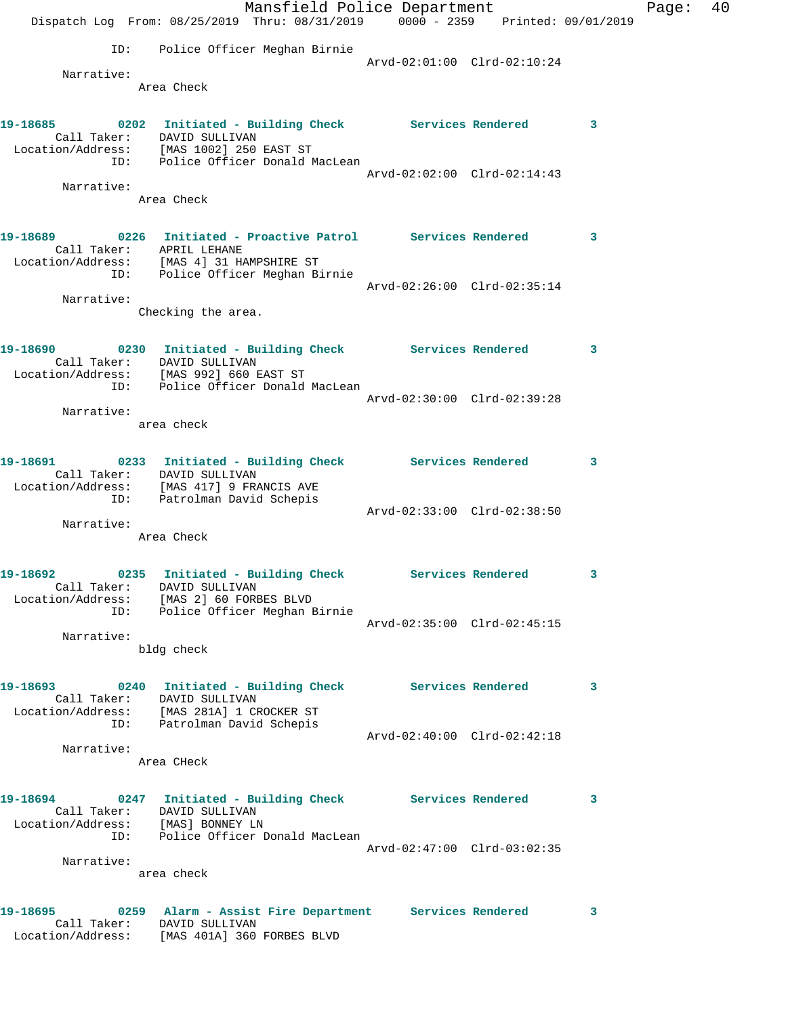|                          | Mansfield Police Department                                                                                |                             |              | Page: | 40 |
|--------------------------|------------------------------------------------------------------------------------------------------------|-----------------------------|--------------|-------|----|
|                          | Dispatch Log From: 08/25/2019 Thru: 08/31/2019 0000 - 2359 Printed: 09/01/2019                             |                             |              |       |    |
|                          | ID: Police Officer Meghan Birnie                                                                           |                             |              |       |    |
|                          |                                                                                                            | Arvd-02:01:00 Clrd-02:10:24 |              |       |    |
| Narrative:               | Area Check                                                                                                 |                             |              |       |    |
|                          |                                                                                                            |                             |              |       |    |
|                          | 19-18685 0202 Initiated - Building Check Services Rendered 3                                               |                             |              |       |    |
|                          | Call Taker: DAVID SULLIVAN<br>Location/Address: [MAS 1002] 250 EAST ST                                     |                             |              |       |    |
|                          | ID: Police Officer Donald MacLean                                                                          |                             |              |       |    |
| Narrative:               |                                                                                                            | Arvd-02:02:00 Clrd-02:14:43 |              |       |    |
|                          | Area Check                                                                                                 |                             |              |       |    |
|                          |                                                                                                            |                             |              |       |    |
|                          | 19-18689 0226 Initiated - Proactive Patrol Services Rendered 3                                             |                             |              |       |    |
| Call Taker: APRIL LEHANE |                                                                                                            |                             |              |       |    |
|                          | Location/Address: [MAS 4] 31 HAMPSHIRE ST<br>ID: Police Officer Meghan Birnie                              |                             |              |       |    |
| Narrative:               |                                                                                                            | Arvd-02:26:00 Clrd-02:35:14 |              |       |    |
|                          | Checking the area.                                                                                         |                             |              |       |    |
|                          |                                                                                                            |                             |              |       |    |
|                          | 19-18690 0230 Initiated - Building Check Services Rendered 3                                               |                             |              |       |    |
|                          | Call Taker: DAVID SULLIVAN<br>Location/Address: [MAS 992] 660 EAST ST                                      |                             |              |       |    |
|                          | ID: Police Officer Donald MacLean                                                                          |                             |              |       |    |
| Narrative:               |                                                                                                            | Arvd-02:30:00 Clrd-02:39:28 |              |       |    |
|                          | area check                                                                                                 |                             |              |       |    |
|                          |                                                                                                            |                             |              |       |    |
|                          | 19-18691 		 0233 Initiated - Building Check Services Rendered 3<br>Call Taker: DAVID SULLIVAN              |                             |              |       |    |
|                          | Location/Address: [MAS 417] 9 FRANCIS AVE<br>ID: Patrolman David Schepis                                   |                             |              |       |    |
|                          |                                                                                                            | Arvd-02:33:00 Clrd-02:38:50 |              |       |    |
| Narrative:               |                                                                                                            |                             |              |       |    |
|                          | Area Check                                                                                                 |                             |              |       |    |
| 19–18692                 |                                                                                                            |                             |              |       |    |
|                          | 0235 Initiated - Building Check Services Rendered                                                          |                             |              |       |    |
|                          | Call Taker: DAVID SULLIVAN<br>Location/Address: [MAS 2] 60 FORBES BLVD<br>ID: Police Officer Meghan Birnie |                             |              |       |    |
|                          |                                                                                                            | Arvd-02:35:00 Clrd-02:45:15 |              |       |    |
| Narrative:               | bldg check                                                                                                 |                             |              |       |    |
|                          |                                                                                                            |                             |              |       |    |
|                          | 19-18693 0240 Initiated - Building Check Services Rendered 3                                               |                             |              |       |    |
|                          | Call Taker: DAVID SULLIVAN                                                                                 |                             |              |       |    |
|                          | Location/Address: [MAS 281A] 1 CROCKER ST<br>ID: Patrolman David Schepis                                   |                             |              |       |    |
|                          |                                                                                                            | Arvd-02:40:00 Clrd-02:42:18 |              |       |    |
| Narrative:               | Area CHeck                                                                                                 |                             |              |       |    |
|                          |                                                                                                            |                             |              |       |    |
|                          | 19-18694 0247 Initiated - Building Check Services Rendered 3                                               |                             |              |       |    |
|                          | Call Taker: DAVID SULLIVAN                                                                                 |                             |              |       |    |
|                          | Location/Address: [MAS] BONNEY LN<br>ID: Police Officer Donald MacLean                                     |                             |              |       |    |
| Narrative:               |                                                                                                            | Arvd-02:47:00 Clrd-03:02:35 |              |       |    |
|                          | area check                                                                                                 |                             |              |       |    |
|                          |                                                                                                            |                             |              |       |    |
|                          | 19-18695 		 0259 Alarm - Assist Fire Department Services Rendered                                          |                             | $\mathbf{3}$ |       |    |
|                          | Call Taker: DAVID SULLIVAN<br>Location/Address: [MAS 401A] 360 FORBES BLVD                                 |                             |              |       |    |
|                          |                                                                                                            |                             |              |       |    |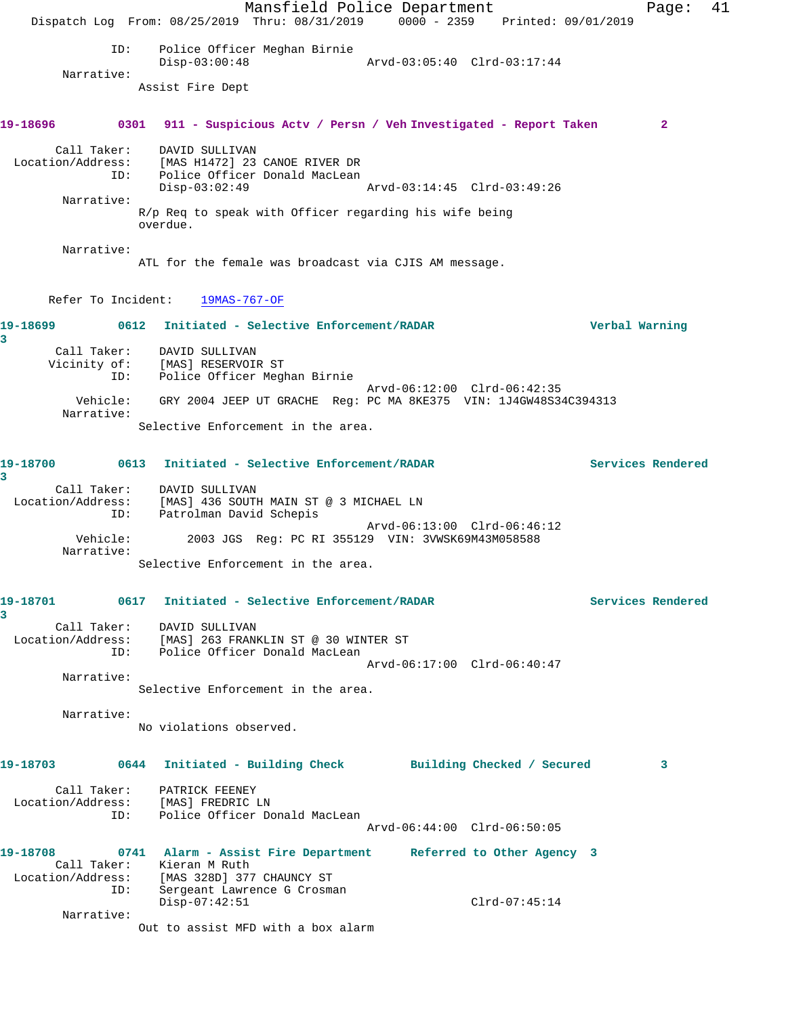Mansfield Police Department Fage: 41 Dispatch Log From: 08/25/2019 Thru: 08/31/2019 0000 - 2359 Printed: 09/01/2019 ID: Police Officer Meghan Birnie Disp-03:00:48 Arvd-03:05:40 Clrd-03:17:44 Narrative: Assist Fire Dept **19-18696 0301 911 - Suspicious Actv / Persn / Veh Investigated - Report Taken 2** Call Taker: DAVID SULLIVAN Location/Address: [MAS H1472] 23 CANOE RIVER DR ID: Police Officer Donald MacLean Disp-03:02:49 Arvd-03:14:45 Clrd-03:49:26 Narrative: R/p Req to speak with Officer regarding his wife being overdue. Narrative: ATL for the female was broadcast via CJIS AM message. Refer To Incident: 19MAS-767-OF **19-18699 0612 Initiated - Selective Enforcement/RADAR Verbal Warning 3**  Call Taker: DAVID SULLIVAN Vicinity of: [MAS] RESERVOIR ST ID: Police Officer Meghan Birnie Arvd-06:12:00 Clrd-06:42:35 Vehicle: GRY 2004 JEEP UT GRACHE Reg: PC MA 8KE375 VIN: 1J4GW48S34C394313 Narrative: Selective Enforcement in the area. **19-18700 0613 Initiated - Selective Enforcement/RADAR Services Rendered 3**  Call Taker: DAVID SULLIVAN Location/Address: [MAS] 436 SOUTH MAIN ST @ 3 MICHAEL LN ID: Patrolman David Schepis TD: Patrolman David Schepis<br>TD: Patrolman David Schepis<br>Vehicle: 2003 JGS Reg: PC RI 355129 VIN: 3VWSK69M43M058588 2003 JGS Reg: PC RI 355129 VIN: 3VWSK69M43M058588 Narrative: Selective Enforcement in the area. **19-18701 0617 Initiated - Selective Enforcement/RADAR Services Rendered 3**  Call Taker: DAVID SULLIVAN Location/Address: [MAS] 263 FRANKLIN ST @ 30 WINTER ST ID: Police Officer Donald MacLean Arvd-06:17:00 Clrd-06:40:47 Narrative: Selective Enforcement in the area. Narrative: No violations observed. **19-18703 0644 Initiated - Building Check Building Checked / Secured 3** Call Taker: PATRICK FEENEY Location/Address: [MAS] FREDRIC LN ID: Police Officer Donald MacLean Arvd-06:44:00 Clrd-06:50:05 **19-18708 0741 Alarm - Assist Fire Department Referred to Other Agency 3**  Call Taker: Kieran M Ruth Location/Address: [MAS 328D] 377 CHAUNCY ST ID: Sergeant Lawrence G Crosman Disp-07:42:51 Clrd-07:45:14 Narrative: Out to assist MFD with a box alarm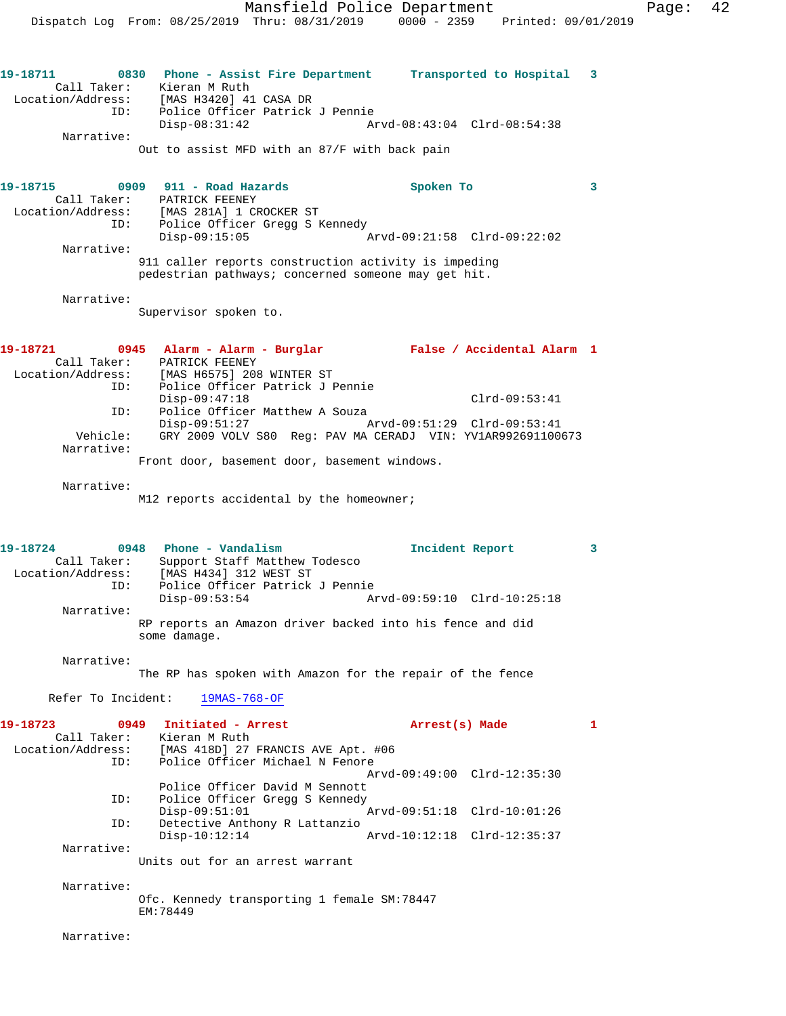Mansfield Police Department Fage: 42 Dispatch Log From: 08/25/2019 Thru: 08/31/2019 0000 - 2359 Printed: 09/01/2019 **19-18711 0830 Phone - Assist Fire Department Transported to Hospital 3**  Call Taker: Kieran M Ruth Location/Address: [MAS H3420] 41 CASA DR ID: Police Officer Patrick J Pennie Disp-08:31:42 Arvd-08:43:04 Clrd-08:54:38 Narrative: Out to assist MFD with an 87/F with back pain **19-18715 0909 911 - Road Hazards Spoken To 3**  Call Taker: PATRICK FEENEY Location/Address: [MAS 281A] 1 CROCKER ST ID: Police Officer Gregg S Kennedy Disp-09:15:05 Arvd-09:21:58 Clrd-09:22:02 Narrative: 911 caller reports construction activity is impeding pedestrian pathways; concerned someone may get hit. Narrative: Supervisor spoken to. **19-18721 0945 Alarm - Alarm - Burglar False / Accidental Alarm 1**  Call Taker: PATRICK FEENEY Location/Address: [MAS H6575] 208 WINTER ST<br>ID: Police Officer Patrick J P Police Officer Patrick J Pennie Disp-09:47:18 Clrd-09:53:41 ID: Police Officer Matthew A Souza<br>Disp-09:51:27 Disp-09:51:27 Arvd-09:51:29 Clrd-09:53:41<br>Vehicle: GRY 2009 VOLV S80 Req: PAV MA CERADJ VIN: YV1AR992691100 GRY 2009 VOLV S80 Reg: PAV MA CERADJ VIN: YV1AR992691100673 Narrative: Front door, basement door, basement windows. Narrative: M12 reports accidental by the homeowner; **19-18724 0948 Phone - Vandalism Incident Report 3**  Call Taker: Support Staff Matthew Todesco Location/Address: [MAS H434] 312 WEST ST ID: Police Officer Patrick J Pennie<br>Disp-09:53:54 Disp-09:53:54 Arvd-09:59:10 Clrd-10:25:18 Narrative: RP reports an Amazon driver backed into his fence and did some damage. Narrative: The RP has spoken with Amazon for the repair of the fence Refer To Incident: 19MAS-768-OF **19-18723 0949 Initiated - Arrest Arrest(s) Made 1**  Call Taker: Kieran M Ruth Location/Address: [MAS 418D] 27 FRANCIS AVE Apt. #06 ID: Police Officer Michael N Fenore Arvd-09:49:00 Clrd-12:35:30 Police Officer David M Sennott<br>ID: Police Officer Gregg S Kennedy Police Officer Gregg S Kennedy Disp-09:51:01 Arvd-09:51:18 Clrd-10:01:26<br>TD: Detective Anthony R Lattanzio Detective Anthony R Lattanzio<br>Disp-10:12:14 Disp-10:12:14 Arvd-10:12:18 Clrd-12:35:37 Narrative: Units out for an arrest warrant Narrative: Ofc. Kennedy transporting 1 female SM:78447 EM:78449

Narrative: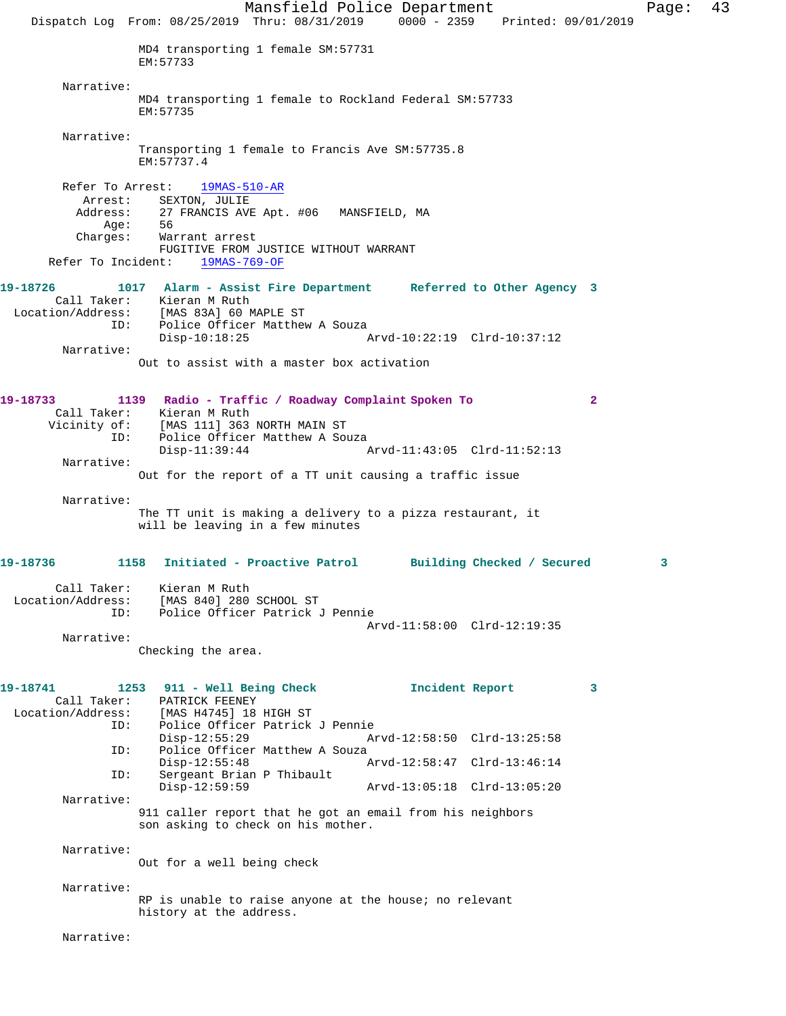Dispatch Log From: 08/25/2019 Thru: 08/31/2019 0000 - 2359 Printed: 09/01/2019 MD4 transporting 1 female SM:57731 EM:57733 Narrative: MD4 transporting 1 female to Rockland Federal SM:57733 EM:57735 Narrative: Transporting 1 female to Francis Ave SM:57735.8 EM:57737.4 Refer To Arrest: 19MAS-510-AR Arrest: SEXTON, JULIE Address: 27 FRANCIS AVE Apt. #06 MANSFIELD, MA Age: Charges: Warrant arrest FUGITIVE FROM JUSTICE WITHOUT WARRANT Refer To Incident: 19MAS-769-OF **19-18726 1017 Alarm - Assist Fire Department Referred to Other Agency 3**  Call Taker: Kieran M Ruth Location/Address: [MAS 83A] 60 MAPLE ST<br>ID: Police Officer Matthew Police Officer Matthew A Souza<br>Disp-10:18:25 Disp-10:18:25 Arvd-10:22:19 Clrd-10:37:12 Narrative: Out to assist with a master box activation **19-18733 1139 Radio - Traffic / Roadway Complaint Spoken To 2**  Call Taker:<br>Vicinity of: [MAS 111] 363 NORTH MAIN ST ID: Police Officer Matthew A Souza<br>Disp-11:39:44 Disp-11:39:44 Arvd-11:43:05 Clrd-11:52:13 Narrative: Out for the report of a TT unit causing a traffic issue Narrative: The TT unit is making a delivery to a pizza restaurant, it will be leaving in a few minutes **19-18736 1158 Initiated - Proactive Patrol Building Checked / Secured 3** Call Taker: Kieran M Ruth Location/Address: [MAS 840] 280 SCHOOL ST ID: Police Officer Patrick J Pennie Arvd-11:58:00 Clrd-12:19:35 Narrative: Checking the area. **19-18741 1253 911 - Well Being Check Incident Report 3**  Call Taker: PATRICK FEENEY<br>Location/Address: [MAS H4745] 18 ess: [MAS H4745] 18 HIGH ST<br>ID: Police Officer Patrick Police Officer Patrick J Pennie<br>Disp-12:55:29 Ar Disp-12:55:29 Arvd-12:58:50 Clrd-13:25:58 ID: Police Officer Matthew A Souza<br>Disp-12:55:48 Disp-12:55:48 Arvd-12:58:47 Clrd-13:46:14<br>ID: Sergeant Brian P Thibault Sergeant Brian P Thibault<br>Disp-12:59:59 Disp-12:59:59 Arvd-13:05:18 Clrd-13:05:20 Narrative: 911 caller report that he got an email from his neighbors son asking to check on his mother. Narrative: Out for a well being check Narrative: RP is unable to raise anyone at the house; no relevant history at the address. Narrative:

Mansfield Police Department Fage: 43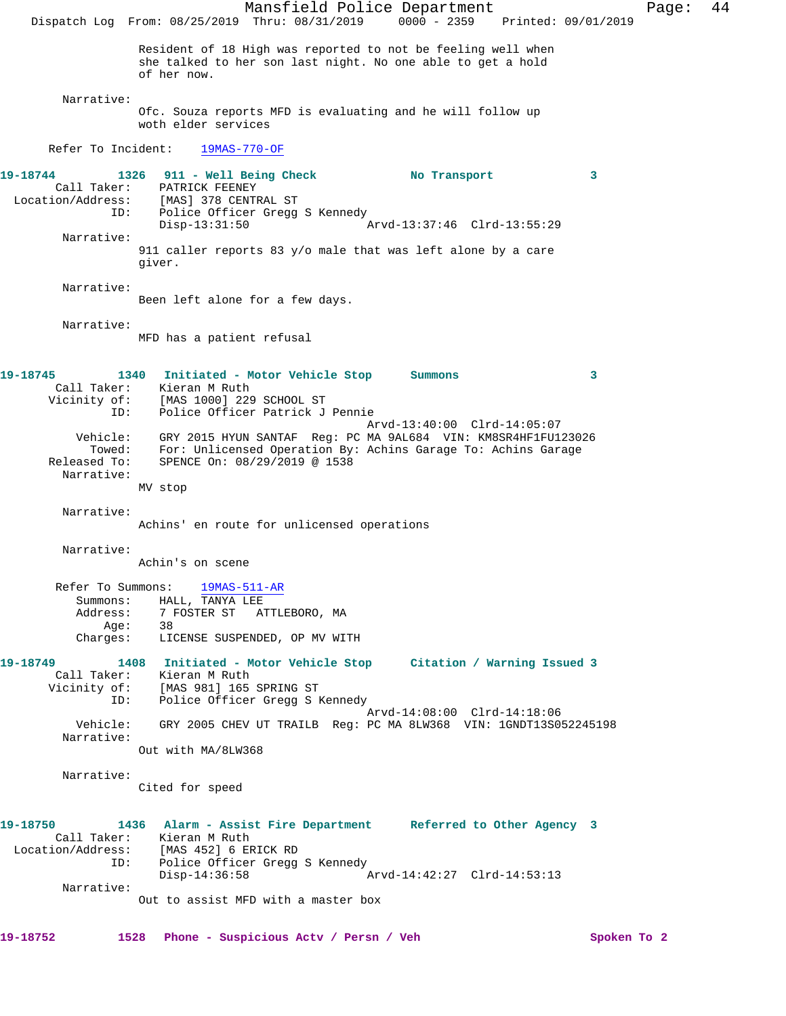Mansfield Police Department Fage: 44 Dispatch Log From: 08/25/2019 Thru: 08/31/2019 0000 - 2359 Printed: 09/01/2019 Resident of 18 High was reported to not be feeling well when she talked to her son last night. No one able to get a hold of her now. Narrative: Ofc. Souza reports MFD is evaluating and he will follow up woth elder services Refer To Incident: 19MAS-770-OF **19-18744 1326 911 - Well Being Check No Transport 3**  Call Taker: PATRICK FEENEY Location/Address: [MAS] 378 CENTRAL ST ID: Police Officer Gregg S Kennedy<br>Disp-13:31:50 Mrvd-13:37:46 Clrd-13:55:29  $Disp-13:31:50$  Narrative: 911 caller reports 83 y/o male that was left alone by a care giver. Narrative: Been left alone for a few days. Narrative: MFD has a patient refusal **19-18745 1340 Initiated - Motor Vehicle Stop Summons 3**  Call Taker: Kieran M Ruth Vicinity of: [MAS 1000] 229 SCHOOL ST ID: The Albert Albert Constant Of: Patrick J Pennie<br>ID: Police Officer Patrick J Pennie Arvd-13:40:00 Clrd-14:05:07 Vehicle: GRY 2015 HYUN SANTAF Reg: PC MA 9AL684 VIN: KM8SR4HF1FU123026 Towed: For: Unlicensed Operation By: Achins Garage To: Achins Garage Released To: SPENCE On: 08/29/2019 @ 1538 Narrative: MV stop Narrative: Achins' en route for unlicensed operations Narrative: Achin's on scene Refer To Summons: 19MAS-511-AR Summons: HALL, TANYA LEE<br>Address: 7 FOSTER ST ATT 7 FOSTER ST ATTLEBORO, MA Age: 38 Charges: LICENSE SUSPENDED, OP MV WITH **19-18749 1408 Initiated - Motor Vehicle Stop Citation / Warning Issued 3**  Call Taker: Kieran M Ruth Vicinity of: [MAS 981] 165 SPRING ST ID: Police Officer Gregg S Kennedy Arvd-14:08:00 Clrd-14:18:06 Vehicle: GRY 2005 CHEV UT TRAILB Reg: PC MA 8LW368 VIN: 1GNDT13S052245198 Narrative: Out with MA/8LW368 Narrative: Cited for speed **19-18750 1436 Alarm - Assist Fire Department Referred to Other Agency 3**  Call Taker: Kieran M Ruth<br>ion/Address: [MAS 452] 6 ERICK RD Location/Address: ID: Police Officer Gregg S Kennedy<br>Disp-14:36:58  $Nrvd-14:42:27$  Clrd-14:53:13 Narrative: Out to assist MFD with a master box

**19-18752 1528 Phone - Suspicious Actv / Persn / Veh Spoken To 2**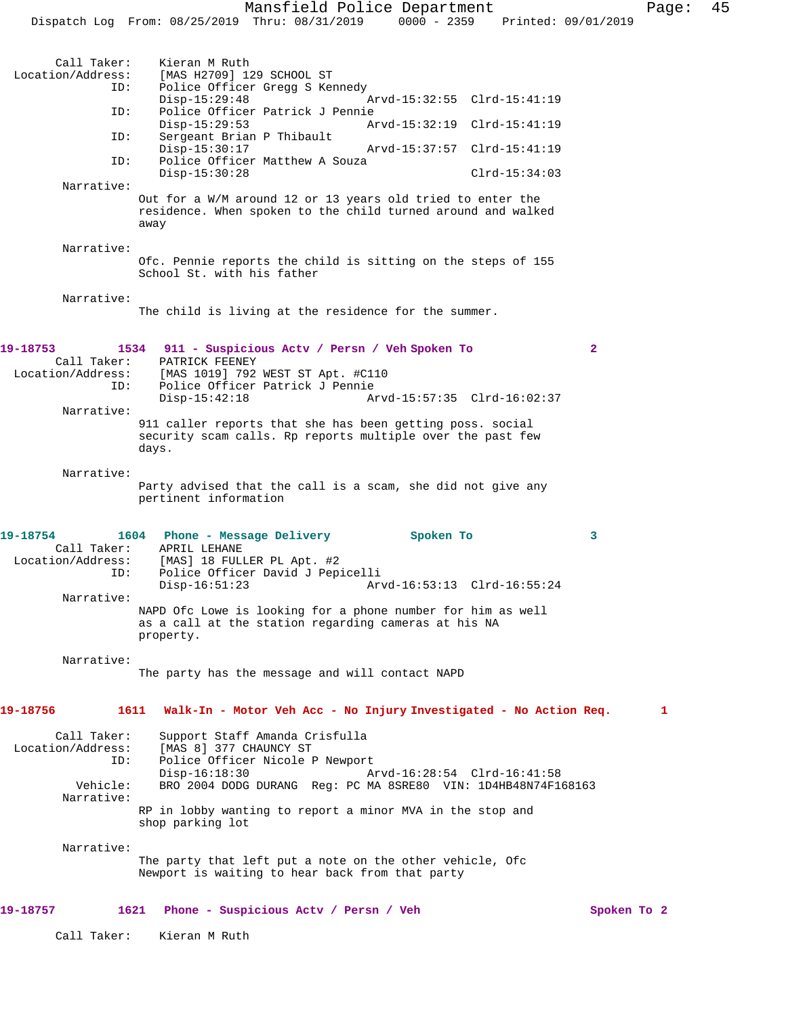Dispatch Log From: 08/25/2019 Thru: 08/31/2019 0000 - 2359 Printed: 09/01/2019 Call Taker: Kieran M Ruth<br>Location/Address: [MAS H2709] 12 [MAS H2709] 129 SCHOOL ST ID: Police Officer Gregg S Kennedy Disp-15:29:48 Arvd-15:32:55 Clrd-15:41:19<br>ID: Police Officer Patrick J Pennie Police Officer Patrick J Pennie<br>Disp-15:29:53 Ar Arvd-15:32:19 Clrd-15:41:19 ID: Sergeant Brian P Thibault<br>Disp-15:30:17 Disp-15:30:17 Arvd-15:37:57 Clrd-15:41:19 ID: Police Officer Matthew A Souza Disp-15:30:28 Clrd-15:34:03 Narrative: Out for a W/M around 12 or 13 years old tried to enter the residence. When spoken to the child turned around and walked away Narrative: Ofc. Pennie reports the child is sitting on the steps of 155 School St. with his father Narrative: The child is living at the residence for the summer. **19-18753 1534 911 - Suspicious Actv / Persn / Veh Spoken To 2**  Call Taker: PATRICK FEENEY<br>Location/Address: [MAS 1019] 792 ess: [MAS 1019] 792 WEST ST Apt. #C110<br>ID: Police Officer Patrick J Pennie Police Officer Patrick J Pennie Disp-15:42:18 Arvd-15:57:35 Clrd-16:02:37 Narrative: 911 caller reports that she has been getting poss. social security scam calls. Rp reports multiple over the past few days. Narrative: Party advised that the call is a scam, she did not give any pertinent information **19-18754 1604 Phone - Message Delivery Spoken To 3**  Call Taker: APRIL LEHANE<br>Location/Address: [MAS] 18 FUL [MAS] 18 FULLER PL Apt. #2 ID: Police Officer David J Pepicelli Disp-16:51:23 Arvd-16:53:13 Clrd-16:55:24 Narrative: NAPD Ofc Lowe is looking for a phone number for him as well as a call at the station regarding cameras at his NA property. Narrative: The party has the message and will contact NAPD **19-18756 1611 Walk-In - Motor Veh Acc - No Injury Investigated - No Action Req. 1** Call Taker: Support Staff Amanda Crisfulla<br>Location/Address: [MAS 8] 377 CHAUNCY ST ess: [MAS 8] 377 CHAUNCY ST<br>ID: Police Officer Nicole P Police Officer Nicole P Newport<br>Disp-16:18:30 A Disp-16:18:30 Arvd-16:28:54 Clrd-16:41:58<br>Vehicle: BRO 2004 DODG DURANG Req: PC MA 8SRE80 VIN: 1D4HB48N74F1 BRO 2004 DODG DURANG Reg: PC MA 8SRE80 VIN: 1D4HB48N74F168163 Narrative: RP in lobby wanting to report a minor MVA in the stop and shop parking lot Narrative: The party that left put a note on the other vehicle, Ofc Newport is waiting to hear back from that party **19-18757 1621 Phone - Suspicious Actv / Persn / Veh Spoken To 2** Call Taker: Kieran M Ruth

Mansfield Police Department Fage: 45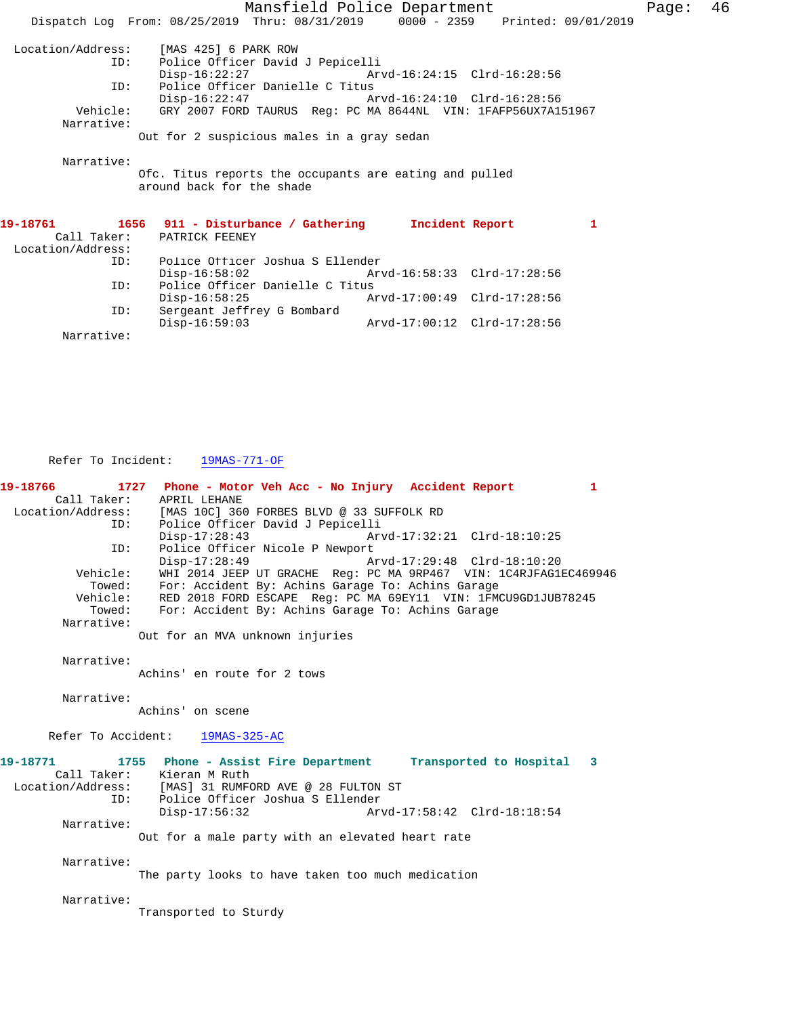Mansfield Police Department Page: 46 Dispatch Log From: 08/25/2019 Thru: 08/31/2019 0000 - 2359 Printed: 09/01/2019 Location/Address: [MAS 425] 6 PARK ROW Police Officer David J Pepicelli<br>Disp-16:22:27 Arv Arvd-16:24:15 Clrd-16:28:56 ID: Police Officer Danielle C Titus Disp-16:22:47 Arvd-16:24:10 Clrd-16:28:56 Vehicle: GRY 2007 FORD TAURUS Reg: PC MA 8644NL VIN: 1FAFP56UX7A151967 Narrative: Out for 2 suspicious males in a gray sedan Narrative: Ofc. Titus reports the occupants are eating and pulled around back for the shade **19-18761 1656 911 - Disturbance / Gathering Incident Report 1**  Call Taker: PATRICK FEENEY Location/Address: ID: Police Officer Joshua S Ellender Disp-16:58:02 Arvd-16:58:33 Clrd-17:28:56 ID: Police Officer Danielle C Titus Disp-16:58:25 Arvd-17:00:49 Clrd-17:28:56<br>ID: Sergeant Jeffrey G Bombard Sergeant Jeffrey G Bombard<br>Disp-16:59:03 Disp-16:59:03 Arvd-17:00:12 Clrd-17:28:56 Narrative:

Refer To Incident: 19MAS-771-OF

**19-18766 1727 Phone - Motor Veh Acc - No Injury Accident Report 1**  Call Taker: APRIL LEHANE<br>Location/Address: [MAS 10C] 360 [MAS 10C] 360 FORBES BLVD @ 33 SUFFOLK RD ID: Police Officer David J Pepicelli Disp-17:28:43 Arvd-17:32:21 Clrd-18:10:25<br>TD: Police Officer Nicole P Newport Police Officer Nicole P Newport Disp-17:28:49 Arvd-17:29:48 Clrd-18:10:20 Vehicle: WHI 2014 JEEP UT GRACHE Reg: PC MA 9RP467 VIN: 1C4RJFAG1EC469946 Towed: For: Accident By: Achins Garage To: Achins Garage Vehicle: RED 2018 FORD ESCAPE Reg: PC MA 69EY11 VIN: 1FMCU9GD1JUB78245 Towed: For: Accident By: Achins Garage To: Achins Garage Narrative: Out for an MVA unknown injuries Narrative: Achins' en route for 2 tows Narrative: Achins' on scene Refer To Accident: 19MAS-325-AC **19-18771 1755 Phone - Assist Fire Department Transported to Hospital 3**  Call Taker: Kieran M Ruth Location/Address: [MAS] 31 RUMFORD AVE @ 28 FULTON ST<br>ID: Police Officer Joshua S Ellender Police Officer Joshua S Ellender<br>Disp-17:56:32 Ar Disp-17:56:32 Arvd-17:58:42 Clrd-18:18:54 Narrative: Out for a male party with an elevated heart rate Narrative: The party looks to have taken too much medication Narrative: Transported to Sturdy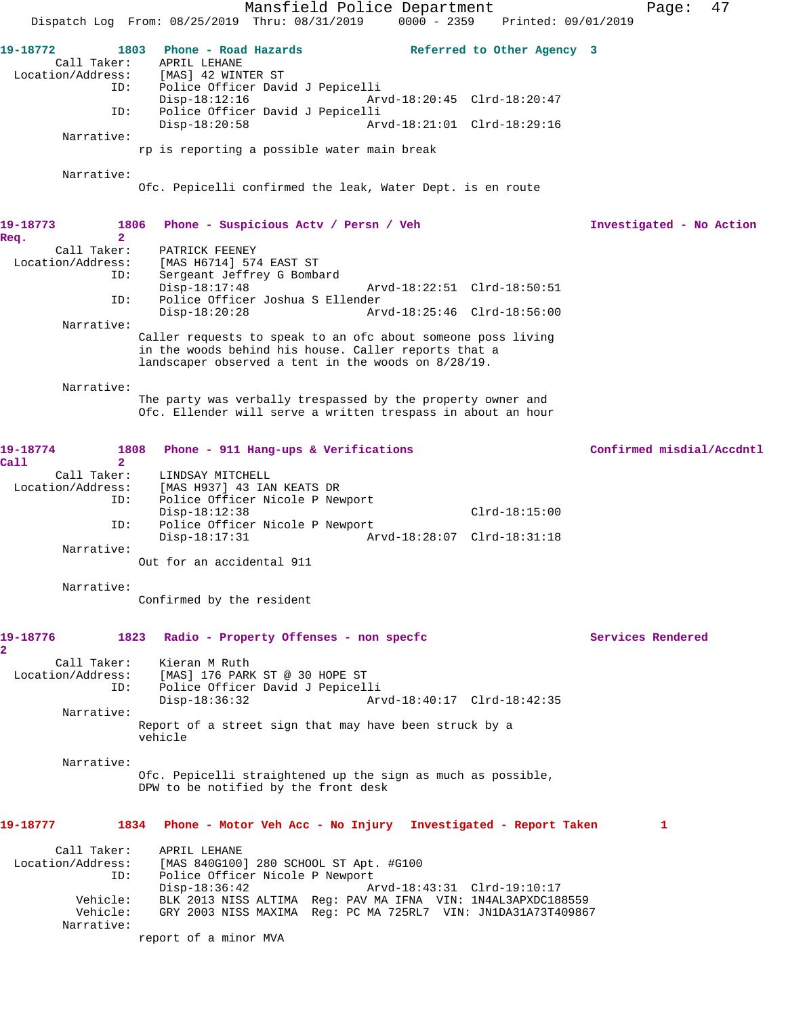Mansfield Police Department Fage: 47 Dispatch Log From: 08/25/2019 Thru: 08/31/2019 0000 - 2359 Printed: 09/01/2019 **19-18772 1803 Phone - Road Hazards Referred to Other Agency 3**  Call Taker: APRIL LEHANE<br>Location/Address: [MAS] 42 WINT [MAS] 42 WINTER ST ID: Police Officer David J Pepicelli Disp-18:12:16 Arvd-18:20:45 Clrd-18:20:47<br>TD: Police Officer David J Pepicelli Police Officer David J Pepicelli<br>Disp-18:20:58 Arv Arvd-18:21:01 Clrd-18:29:16 Narrative: rp is reporting a possible water main break Narrative: Ofc. Pepicelli confirmed the leak, Water Dept. is en route **19-18773 1806 Phone - Suspicious Actv / Persn / Veh Investigated - No Action Req. 2**  PATRICK FEENEY Location/Address: [MAS H6714] 574 EAST ST ID: Sergeant Jeffrey G Bombard<br>Disp-18:17:48 Arvd-18:22:51 Clrd-18:50:51 ID: Police Officer Joshua S Ellender Disp-18:20:28 Arvd-18:25:46 Clrd-18:56:00 Narrative: Caller requests to speak to an ofc about someone poss living in the woods behind his house. Caller reports that a landscaper observed a tent in the woods on 8/28/19. Narrative: The party was verbally trespassed by the property owner and Ofc. Ellender will serve a written trespass in about an hour **19-18774 1808 Phone - 911 Hang-ups & Verifications Confirmed misdial/Accdntl Call 2**  Call Taker: LINDSAY MITCHELL<br>Location/Address: [MAS H937] 43 IAN [MAS H937] 43 IAN KEATS DR ID: Police Officer Nicole P Newport Disp-18:12:38 Clrd-18:15:00 ID: Police Officer Nicole P Newport Disp-18:17:31 Arvd-18:28:07 Clrd-18:31:18 Narrative: Out for an accidental 911 Narrative: Confirmed by the resident **19-18776 1823 Radio - Property Offenses - non specfc Services Rendered 2**  Call Taker: Kieran M Ruth<br>Location/Address: [MAS] 176 PARI [MAS] 176 PARK ST @ 30 HOPE ST ID: Police Officer David J Pepicelli Disp-18:36:32 Arvd-18:40:17 Clrd-18:42:35 Narrative: Report of a street sign that may have been struck by a vehicle Narrative: Ofc. Pepicelli straightened up the sign as much as possible, DPW to be notified by the front desk **19-18777 1834 Phone - Motor Veh Acc - No Injury Investigated - Report Taken 1** Call Taker: APRIL LEHANE Location/Address: [MAS 840G100] 280 SCHOOL ST Apt. #G100 ID: Police Officer Nicole P Newport<br>Disp-18:36:42 A Disp-18:36:42 Arvd-18:43:31 Clrd-19:10:17 Vehicle: BLK 2013 NISS ALTIMA Reg: PAV MA IFNA VIN: 1N4AL3APXDC188559 Vehicle: GRY 2003 NISS MAXIMA Reg: PC MA 725RL7 VIN: JN1DA31A73T409867 Narrative: report of a minor MVA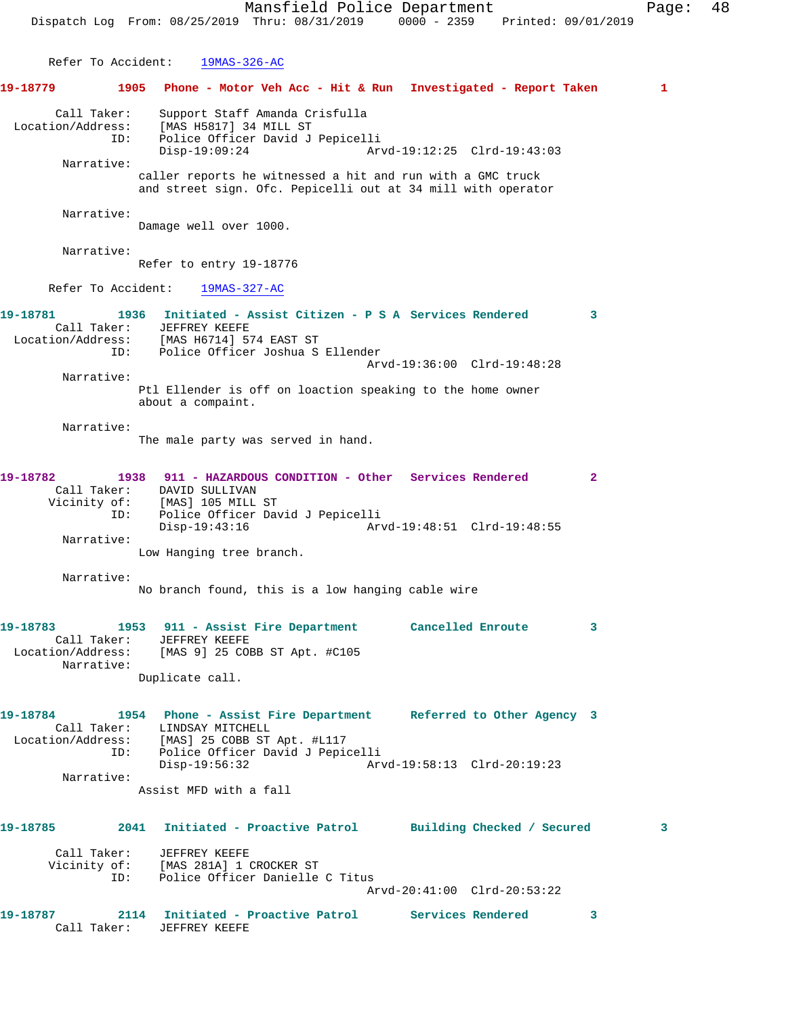Mansfield Police Department Fage: 48 Dispatch Log From: 08/25/2019 Thru: 08/31/2019 0000 - 2359 Printed: 09/01/2019 Refer To Accident: 19MAS-326-AC **19-18779 1905 Phone - Motor Veh Acc - Hit & Run Investigated - Report Taken 1** Call Taker: Support Staff Amanda Crisfulla Location/Address: [MAS H5817] 34 MILL ST ID: Police Officer David J Pepicelli Disp-19:09:24 Arvd-19:12:25 Clrd-19:43:03 Narrative: caller reports he witnessed a hit and run with a GMC truck and street sign. Ofc. Pepicelli out at 34 mill with operator Narrative: Damage well over 1000. Narrative: Refer to entry 19-18776 Refer To Accident: 19MAS-327-AC **19-18781 1936 Initiated - Assist Citizen - P S A Services Rendered 3**  Call Taker: JEFFREY KEEFE Location/Address: [MAS H6714] 574 EAST ST ID: Police Officer Joshua S Ellender Arvd-19:36:00 Clrd-19:48:28 Narrative: Ptl Ellender is off on loaction speaking to the home owner about a compaint. Narrative: The male party was served in hand. **19-18782 1938 911 - HAZARDOUS CONDITION - Other Services Rendered 2**  Call Taker: DAVID SULLIVAN Vicinity of: [MAS] 105 MILL ST ID: Police Officer David J Pepicelli Disp-19:43:16 Arvd-19:48:51 Clrd-19:48:55 Narrative: Low Hanging tree branch. Narrative: No branch found, this is a low hanging cable wire **19-18783 1953 911 - Assist Fire Department Cancelled Enroute 3**  Call Taker: JEFFREY KEEFE Location/Address: [MAS 9] 25 COBB ST Apt. #C105 Narrative: Duplicate call. **19-18784 1954 Phone - Assist Fire Department Referred to Other Agency 3**  Call Taker: LINDSAY MITCHELL Location/Address: [MAS] 25 COBB ST Apt. #L117 ID: Police Officer David J Pepicelli Disp-19:56:32 Arvd-19:58:13 Clrd-20:19:23 Narrative: Assist MFD with a fall **19-18785 2041 Initiated - Proactive Patrol Building Checked / Secured 3** Call Taker: JEFFREY KEEFE Vicinity of: [MAS 281A] 1 CROCKER ST ID: Police Officer Danielle C Titus Arvd-20:41:00 Clrd-20:53:22 **19-18787 2114 Initiated - Proactive Patrol Services Rendered 3**  Call Taker: JEFFREY KEEFE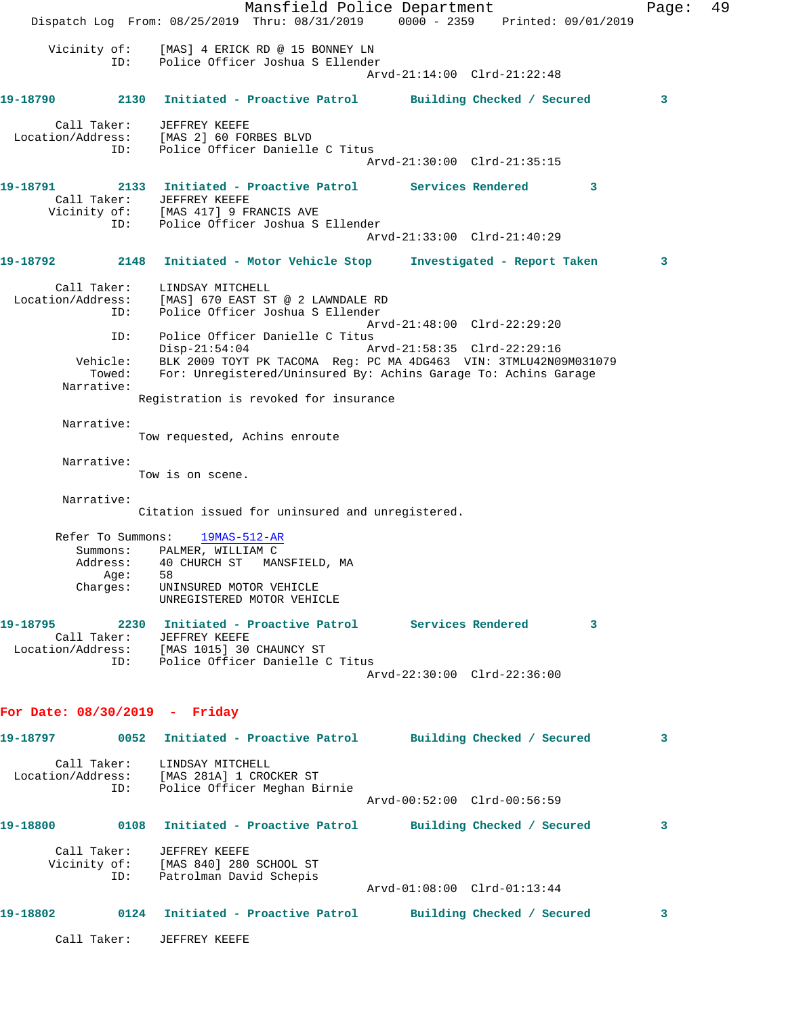Mansfield Police Department Fage: 49 Dispatch Log From: 08/25/2019 Thru: 08/31/2019 0000 - 2359 Printed: 09/01/2019 Vicinity of: [MAS] 4 ERICK RD @ 15 BONNEY LN ID: Police Officer Joshua S Ellender Arvd-21:14:00 Clrd-21:22:48 **19-18790 2130 Initiated - Proactive Patrol Building Checked / Secured 3** Call Taker: JEFFREY KEEFE Location/Address: [MAS 2] 60 FORBES BLVD ID: Police Officer Danielle C Titus Arvd-21:30:00 Clrd-21:35:15 **19-18791 2133 Initiated - Proactive Patrol Services Rendered 3**  Call Taker: JEFFREY KEEFE Vicinity of: [MAS 417] 9 FRANCIS AVE ID: Police Officer Joshua S Ellender Arvd-21:33:00 Clrd-21:40:29 **19-18792 2148 Initiated - Motor Vehicle Stop Investigated - Report Taken 3** Call Taker: LINDSAY MITCHELL Location/Address: [MAS] 670 EAST ST @ 2 LAWNDALE RD ID: Police Officer Joshua S Ellender Arvd-21:48:00 Clrd-22:29:20 ID: Police Officer Danielle C Titus<br>Disp-21:54:04 A: Disp-21:54:04 Arvd-21:58:35 Clrd-22:29:16 Vehicle: BLK 2009 TOYT PK TACOMA Reg: PC MA 4DG463 VIN: 3TMLU42N09M031079 Towed: For: Unregistered/Uninsured By: Achins Garage To: Achins Garage Narrative: Registration is revoked for insurance Narrative: Tow requested, Achins enroute Narrative: Tow is on scene. Narrative: Citation issued for uninsured and unregistered. Refer To Summons: 19MAS-512-AR Summons: PALMER, WILLIAM C Address: 40 CHURCH ST MANSFIELD, MA Age: 58 Charges: UNINSURED MOTOR VEHICLE UNREGISTERED MOTOR VEHICLE **19-18795 2230 Initiated - Proactive Patrol Services Rendered 3**  Call Taker: JEFFREY KEEFE Location/Address: [MAS 1015] 30 CHAUNCY ST ID: Police Officer Danielle C Titus Arvd-22:30:00 Clrd-22:36:00 **For Date: 08/30/2019 - Friday 19-18797 0052 Initiated - Proactive Patrol Building Checked / Secured 3** Call Taker: LINDSAY MITCHELL Location/Address: [MAS 281A] 1 CROCKER ST ID: Police Officer Meghan Birnie Arvd-00:52:00 Clrd-00:56:59 **19-18800 0108 Initiated - Proactive Patrol Building Checked / Secured 3** Call Taker: JEFFREY KEEFE Vicinity of: [MAS 840] 280 SCHOOL ST ID: Patrolman David Schepis Arvd-01:08:00 Clrd-01:13:44 **19-18802 0124 Initiated - Proactive Patrol Building Checked / Secured 3** Call Taker: JEFFREY KEEFE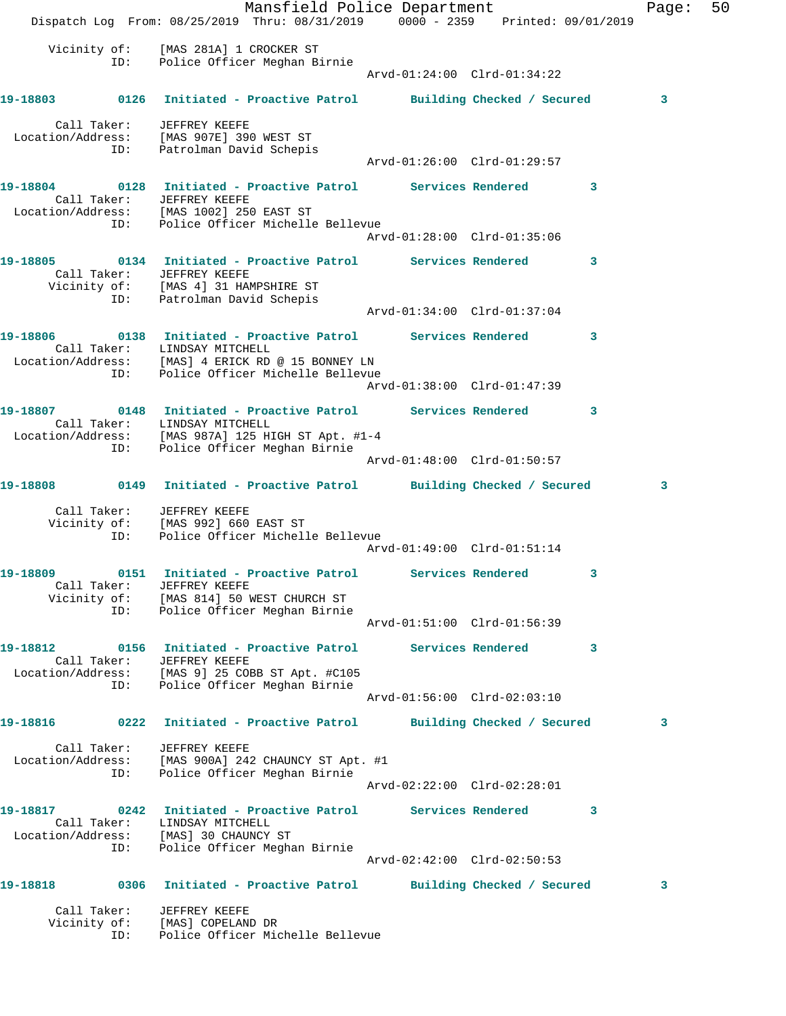Mansfield Police Department Fage: 50 Dispatch Log From: 08/25/2019 Thru: 08/31/2019 0000 - 2359 Printed: 09/01/2019 Vicinity of: [MAS 281A] 1 CROCKER ST ID: Police Officer Meghan Birnie Arvd-01:24:00 Clrd-01:34:22 **19-18803 0126 Initiated - Proactive Patrol Building Checked / Secured 3** Call Taker: JEFFREY KEEFE Location/Address: [MAS 907E] 390 WEST ST ID: Patrolman David Schepis Arvd-01:26:00 Clrd-01:29:57 **19-18804 0128 Initiated - Proactive Patrol Services Rendered 3**  Call Taker: JEFFREY KEEFE Location/Address: [MAS 1002] 250 EAST ST ID: Police Officer Michelle Bellevue Arvd-01:28:00 Clrd-01:35:06 **19-18805 0134 Initiated - Proactive Patrol Services Rendered 3**  Call Taker: JEFFREY KEEFE Vicinity of: [MAS 4] 31 HAMPSHIRE ST ID: Patrolman David Schepis Arvd-01:34:00 Clrd-01:37:04 **19-18806 0138 Initiated - Proactive Patrol Services Rendered 3**  Call Taker: LINDSAY MITCHELL Location/Address: [MAS] 4 ERICK RD @ 15 BONNEY LN ID: Police Officer Michelle Bellevue Arvd-01:38:00 Clrd-01:47:39 **19-18807 0148 Initiated - Proactive Patrol Services Rendered 3**  Call Taker: LINDSAY MITCHELL Location/Address: [MAS 987A] 125 HIGH ST Apt. #1-4 ID: Police Officer Meghan Birnie Arvd-01:48:00 Clrd-01:50:57 **19-18808 0149 Initiated - Proactive Patrol Building Checked / Secured 3** Call Taker: JEFFREY KEEFE Vicinity of: [MAS 992] 660 EAST ST ID: Police Officer Michelle Bellevue Arvd-01:49:00 Clrd-01:51:14 **19-18809 0151 Initiated - Proactive Patrol Services Rendered 3**  Call Taker: JEFFREY KEEFE Vicinity of: [MAS 814] 50 WEST CHURCH ST ID: Police Officer Meghan Birnie Arvd-01:51:00 Clrd-01:56:39 **19-18812 0156 Initiated - Proactive Patrol Services Rendered 3**  Call Taker: JEFFREY KEEFE Location/Address: [MAS 9] 25 COBB ST Apt. #C105 ID: Police Officer Meghan Birnie Arvd-01:56:00 Clrd-02:03:10 **19-18816 0222 Initiated - Proactive Patrol Building Checked / Secured 3** Call Taker: JEFFREY KEEFE Location/Address: [MAS 900A] 242 CHAUNCY ST Apt. #1 ID: Police Officer Meghan Birnie Arvd-02:22:00 Clrd-02:28:01 **19-18817 0242 Initiated - Proactive Patrol Services Rendered 3**  Call Taker: LINDSAY MITCHELL Location/Address: [MAS] 30 CHAUNCY ST ID: Police Officer Meghan Birnie Arvd-02:42:00 Clrd-02:50:53 **19-18818 0306 Initiated - Proactive Patrol Building Checked / Secured 3** Call Taker: JEFFREY KEEFE Vicinity of: [MAS] COPELAND DR ID: Police Officer Michelle Bellevue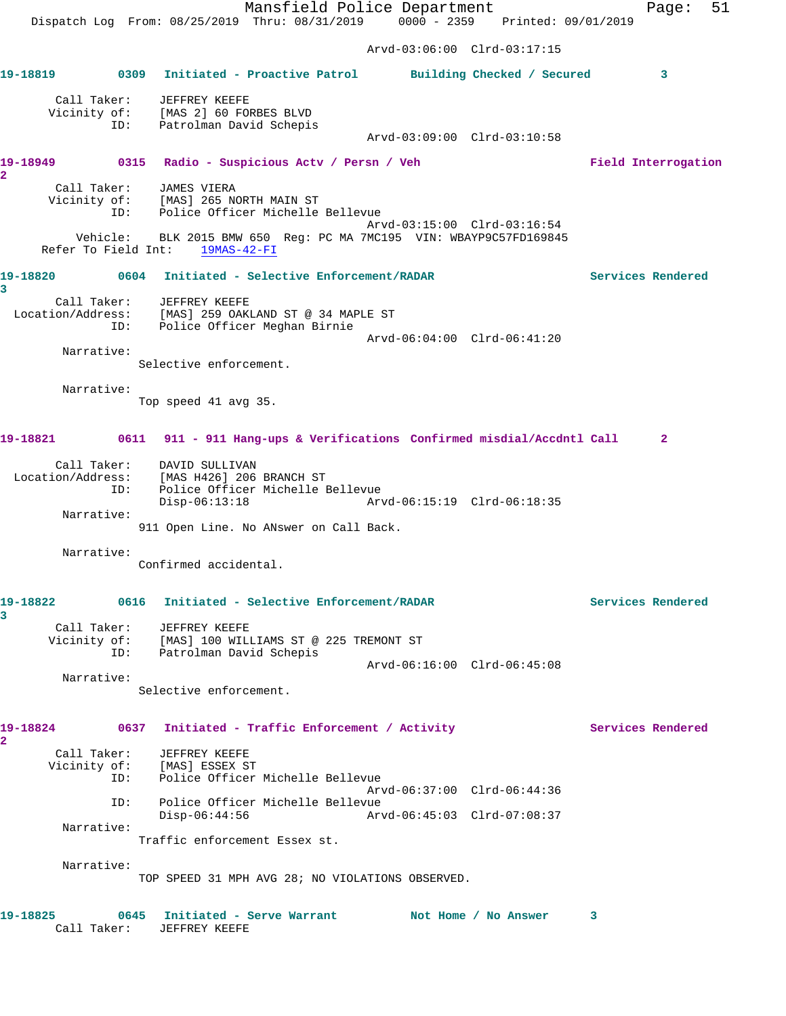Mansfield Police Department Fage: 51 Dispatch Log From: 08/25/2019 Thru: 08/31/2019 0000 - 2359 Printed: 09/01/2019 Arvd-03:06:00 Clrd-03:17:15 **19-18819 0309 Initiated - Proactive Patrol Building Checked / Secured 3** Call Taker: JEFFREY KEEFE Vicinity of: [MAS 2] 60 FORBES BLVD ID: Patrolman David Schepis Arvd-03:09:00 Clrd-03:10:58 **19-18949 0315 Radio - Suspicious Actv / Persn / Veh Field Interrogation 2**  Call Taker: JAMES VIERA Vicinity of: [MAS] 265 NORTH MAIN ST ID: Police Officer Michelle Bellevue Arvd-03:15:00 Clrd-03:16:54 Vehicle: BLK 2015 BMW 650 Reg: PC MA 7MC195 VIN: WBAYP9C57FD169845 Refer To Field Int: 19MAS-42-FI **19-18820 0604 Initiated - Selective Enforcement/RADAR Services Rendered 3**  Call Taker: JEFFREY KEEFE Location/Address: [MAS] 259 OAKLAND ST @ 34 MAPLE ST ID: Police Officer Meghan Birnie Arvd-06:04:00 Clrd-06:41:20 Narrative: Selective enforcement. Narrative: Top speed 41 avg 35. **19-18821 0611 911 - 911 Hang-ups & Verifications Confirmed misdial/Accdntl Call 2** Call Taker: DAVID SULLIVAN Location/Address: [MAS H426] 206 BRANCH ST ID: Police Officer Michelle Bellevue Disp-06:13:18 Arvd-06:15:19 Clrd-06:18:35 Narrative: 911 Open Line. No ANswer on Call Back. Narrative: Confirmed accidental. **19-18822 0616 Initiated - Selective Enforcement/RADAR Services Rendered 3**  Call Taker: JEFFREY KEEFE Vicinity of: [MAS] 100 WILLIAMS ST @ 225 TREMONT ST ID: Patrolman David Schepis Arvd-06:16:00 Clrd-06:45:08 Narrative: Selective enforcement. 19-18824 0637 Initiated - Traffic Enforcement / Activity **Services Rendered 2**  Call Taker: JEFFREY KEEFE Vicinity of: [MAS] ESSEX ST ID: Police Officer Michelle Bellevue Arvd-06:37:00 Clrd-06:44:36 ID: Police Officer Michelle Bellevue Disp-06:44:56 Arvd-06:45:03 Clrd-07:08:37 Narrative: Traffic enforcement Essex st. Narrative: TOP SPEED 31 MPH AVG 28; NO VIOLATIONS OBSERVED. **19-18825 0645 Initiated - Serve Warrant Not Home / No Answer 3**  Call Taker: JEFFREY KEEFE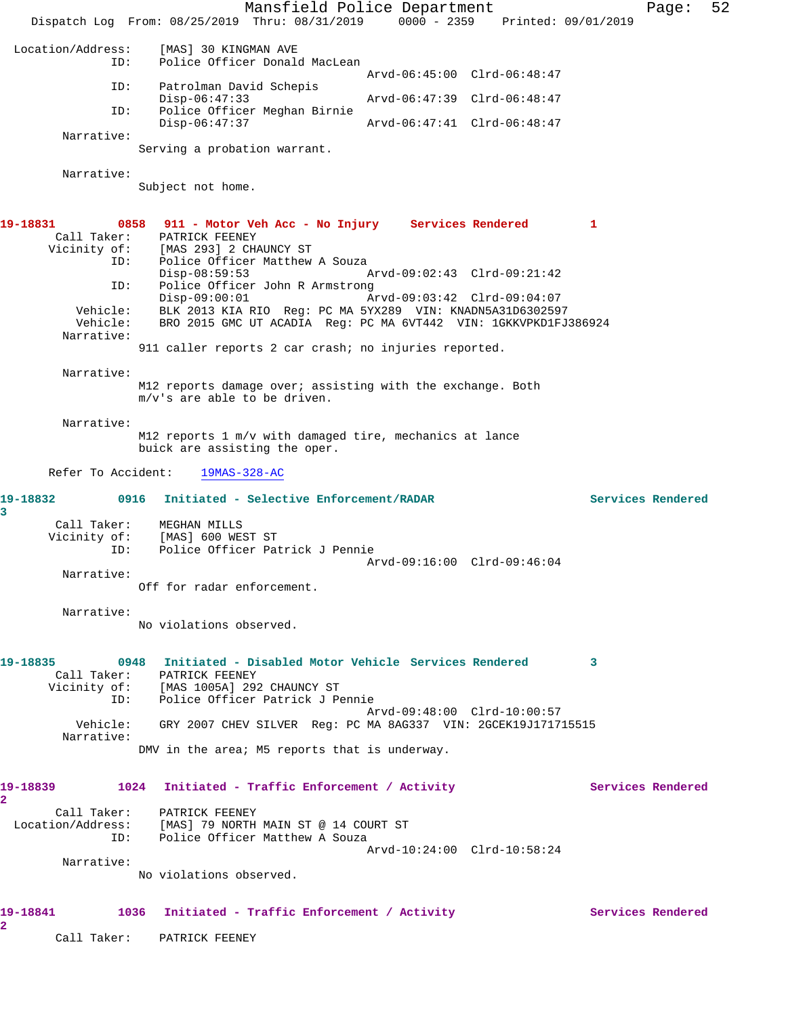Mansfield Police Department Page: 52 Dispatch Log From: 08/25/2019 Thru: 08/31/2019 0000 - 2359 Printed: 09/01/2019 Location/Address: [MAS] 30 KINGMAN AVE ID: Police Officer Donald MacLean Arvd-06:45:00 Clrd-06:48:47 ID: Patrolman David Schepis<br>Disp-06:47:33 Disp-06:47:33 Arvd-06:47:39 Clrd-06:48:47 ID: Police Officer Meghan Birnie Disp-06:47:37 Arvd-06:47:41 Clrd-06:48:47 Narrative: Serving a probation warrant. Narrative: Subject not home. **19-18831 0858 911 - Motor Veh Acc - No Injury Services Rendered 1**  Call Taker: PATRICK FEENEY Vicinity of: [MAS 293] 2 CHAUNCY ST ID: Police Officer Matthew A Souza<br>Disp-08:59:53 Disp-08:59:53 Arvd-09:02:43 Clrd-09:21:42 ID: Police Officer John R Armstrong<br>Disp-09:00:01 Mrvd-09:03:42 Clrd-09:04:07 Disp-09:00:01 Arvd-09:03:42 Clrd-09:04:07 Vehicle: BLK 2013 KIA RIO Reg: PC MA 5YX289 VIN: KNADN5A31D6302597 Vehicle: BRO 2015 GMC UT ACADIA Reg: PC MA 6VT442 VIN: 1GKKVPKD1FJ386924 Narrative: 911 caller reports 2 car crash; no injuries reported. Narrative: M12 reports damage over; assisting with the exchange. Both m/v's are able to be driven. Narrative: M12 reports 1 m/v with damaged tire, mechanics at lance buick are assisting the oper. Refer To Accident: 19MAS-328-AC **19-18832 0916 Initiated - Selective Enforcement/RADAR Services Rendered 3**  Call Taker: MEGHAN MILLS Vicinity of: [MAS] 600 WEST ST ID: Police Officer Patrick J Pennie Arvd-09:16:00 Clrd-09:46:04 Narrative: Off for radar enforcement. Narrative: No violations observed. **19-18835 0948 Initiated - Disabled Motor Vehicle Services Rendered 3**  Call Taker: PATRICK FEENEY Vicinity of: [MAS 1005A] 292 CHAUNCY ST ID: Police Officer Patrick J Pennie Arvd-09:48:00 Clrd-10:00:57 Vehicle: GRY 2007 CHEV SILVER Reg: PC MA 8AG337 VIN: 2GCEK19J171715515 Narrative: DMV in the area; M5 reports that is underway. 19-18839 1024 Initiated - Traffic Enforcement / Activity **Services Rendered 2**  Call Taker: PATRICK FEENEY Location/Address: [MAS] 79 NORTH MAIN ST @ 14 COURT ST ESS: ITAN IS NOTTED THE TERM A SOUZA Arvd-10:24:00 Clrd-10:58:24 Narrative: No violations observed. 19-18841 1036 Initiated - Traffic Enforcement / Activity **Services Rendered 2**  Call Taker: PATRICK FEENEY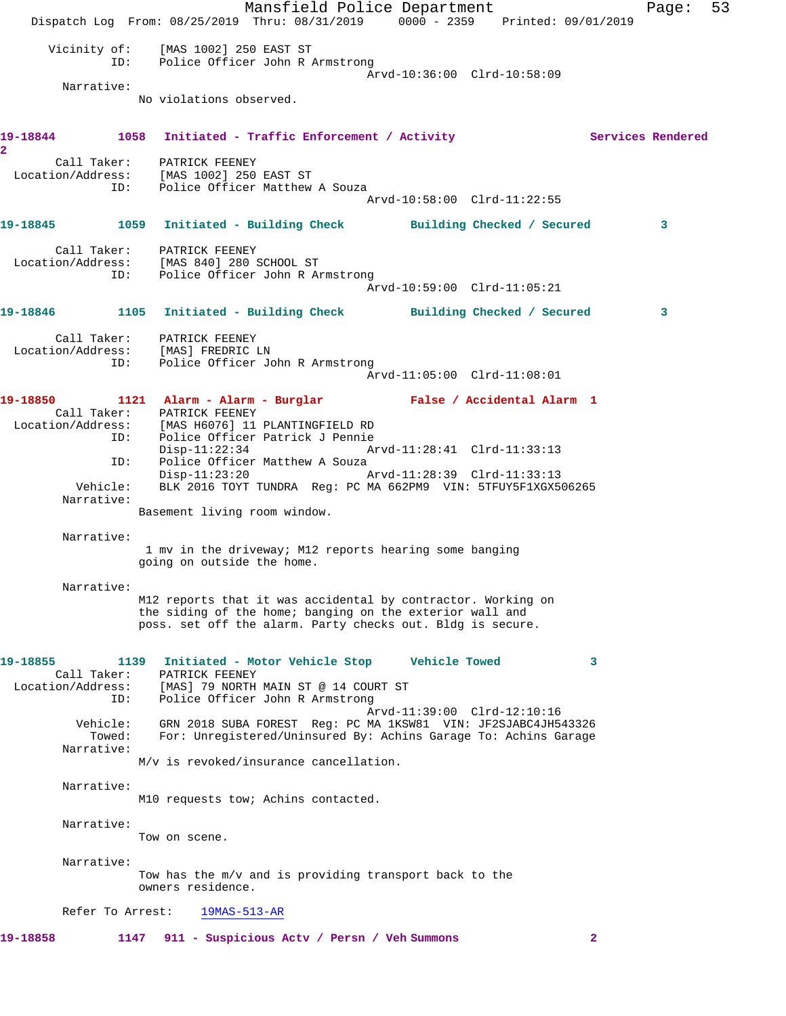Mansfield Police Department Fage: 53 Dispatch Log From: 08/25/2019 Thru: 08/31/2019 0000 - 2359 Printed: 09/01/2019 Vicinity of: [MAS 1002] 250 EAST ST ID: Police Officer John R Armstrong Arvd-10:36:00 Clrd-10:58:09 Narrative: No violations observed. 19-18844 1058 Initiated - Traffic Enforcement / Activity **Services Rendered 2**  Call Taker: PATRICK FEENEY Location/Address: [MAS 1002] 250 EAST ST ID: Police Officer Matthew A Souza Arvd-10:58:00 Clrd-11:22:55 **19-18845 1059 Initiated - Building Check Building Checked / Secured 3** Call Taker: PATRICK FEENEY Location/Address: [MAS 840] 280 SCHOOL ST ID: Police Officer John R Armstrong Arvd-10:59:00 Clrd-11:05:21 **19-18846 1105 Initiated - Building Check Building Checked / Secured 3** Call Taker: PATRICK FEENEY Location/Address: [MAS] FREDRIC LN ID: Police Officer John R Armstrong Arvd-11:05:00 Clrd-11:08:01 **19-18850 1121 Alarm - Alarm - Burglar False / Accidental Alarm 1**  Call Taker: PATRICK FEENEY Location/Address: [MAS H6076] 11 PLANTINGFIELD RD ID: Police Officer Patrick J Pennie Disp-11:22:34 Arvd-11:28:41 Clrd-11:33:13 ID: Police Officer Matthew A Souza<br>Disp-11:23:20 Disp-11:23:20 Arvd-11:28:39 Clrd-11:33:13 Vehicle: BLK 2016 TOYT TUNDRA Reg: PC MA 662PM9 VIN: 5TFUY5F1XGX506265 Narrative: Basement living room window. Narrative: 1 mv in the driveway; M12 reports hearing some banging going on outside the home. Narrative: M12 reports that it was accidental by contractor. Working on the siding of the home; banging on the exterior wall and poss. set off the alarm. Party checks out. Bldg is secure. **19-18855 1139 Initiated - Motor Vehicle Stop Vehicle Towed 3**  Call Taker: PATRICK FEENEY Location/Address: [MAS] 79 NORTH MAIN ST @ 14 COURT ST ID: Police Officer John R Armstrong Arvd-11:39:00 Clrd-12:10:16 Vehicle: GRN 2018 SUBA FOREST Reg: PC MA 1KSW81 VIN: JF2SJABC4JH543326 Towed: For: Unregistered/Uninsured By: Achins Garage To: Achins Garage Narrative: M/v is revoked/insurance cancellation. Narrative: M10 requests tow; Achins contacted. Narrative: Tow on scene. Narrative: Tow has the m/v and is providing transport back to the owners residence. Refer To Arrest: 19MAS-513-AR **19-18858 1147 911 - Suspicious Actv / Persn / Veh Summons 2**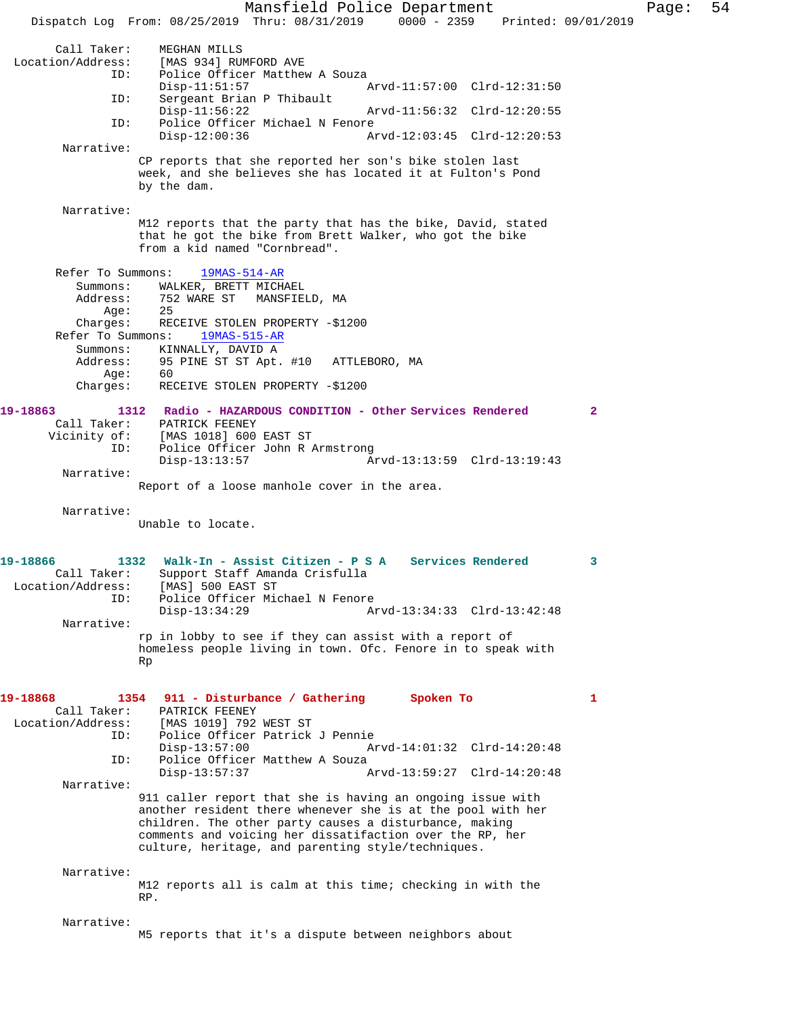Mansfield Police Department Fage: 54 Dispatch Log From: 08/25/2019 Thru: 08/31/2019 0000 - 2359 Printed: 09/01/2019 Call Taker: MEGHAN MILLS<br>Location/Address: [MAS 934] RUI [MAS 934] RUMFORD AVE ID: Police Officer Matthew A Souza Disp-11:51:57 Arvd-11:57:00 Clrd-12:31:50<br>ID: Sergeant Brian P Thibault Sergeant Brian P Thibault Disp-11:56:22 Arvd-11:56:32 Clrd-12:20:55 ID: Police Officer Michael N Fenore<br>Disp-12:00:36 Az Disp-12:00:36 Arvd-12:03:45 Clrd-12:20:53 Narrative: CP reports that she reported her son's bike stolen last week, and she believes she has located it at Fulton's Pond by the dam. Narrative: M12 reports that the party that has the bike, David, stated that he got the bike from Brett Walker, who got the bike from a kid named "Cornbread". Refer To Summons: 19MAS-514-AR Summons: WALKER, BRETT MICHAEL<br>Address: 752 WARE ST MANSFIE 752 WARE ST MANSFIELD, MA<br>25 Age: Charges: RECEIVE STOLEN PROPERTY -\$1200 Refer To Summons: 19MAS-515-AR Summons: KINNALLY, DAVID A Address: 95 PINE ST ST Apt. #10 ATTLEBORO, MA Age:<br>:Charges RECEIVE STOLEN PROPERTY -\$1200 **19-18863 1312 Radio - HAZARDOUS CONDITION - Other Services Rendered 2**  Call Taker: PATRICK FEENEY<br>Vicinity of: [MAS 1018] 600 of: [MAS 1018] 600 EAST ST<br>ID: Police Officer John R 2 Police Officer John R Armstrong<br>Disp-13:13:57 A Disp-13:13:57 Arvd-13:13:59 Clrd-13:19:43 Narrative: Report of a loose manhole cover in the area. Narrative: Unable to locate. **19-18866 1332 Walk-In - Assist Citizen - P S A Services Rendered 3**  Call Taker: Support Staff Amanda Crisfulla<br>Location/Address: [MAS] 500 EAST ST ess: [MAS] 500 EAST ST<br>ID: Police Officer Mic Police Officer Michael N Fenore<br>Disp-13:34:29 A Disp-13:34:29 Arvd-13:34:33 Clrd-13:42:48 Narrative: rp in lobby to see if they can assist with a report of homeless people living in town. Ofc. Fenore in to speak with Rp **19-18868 1354 911 - Disturbance / Gathering Spoken To 1**  PATRICK FEENEY Location/Address: [MAS 1019] 792 WEST ST Police Officer Patrick J Pennie<br>Disp-13:57:00 A Disp-13:57:00 Arvd-14:01:32 Clrd-14:20:48<br>TD: Police Officer Matthew A Souza Police Officer Matthew A Souza<br>Disp-13:57:37 / Disp-13:57:37 Arvd-13:59:27 Clrd-14:20:48 Narrative: 911 caller report that she is having an ongoing issue with another resident there whenever she is at the pool with her children. The other party causes a disturbance, making comments and voicing her dissatifaction over the RP, her culture, heritage, and parenting style/techniques. Narrative: M12 reports all is calm at this time; checking in with the RP. Narrative: M5 reports that it's a dispute between neighbors about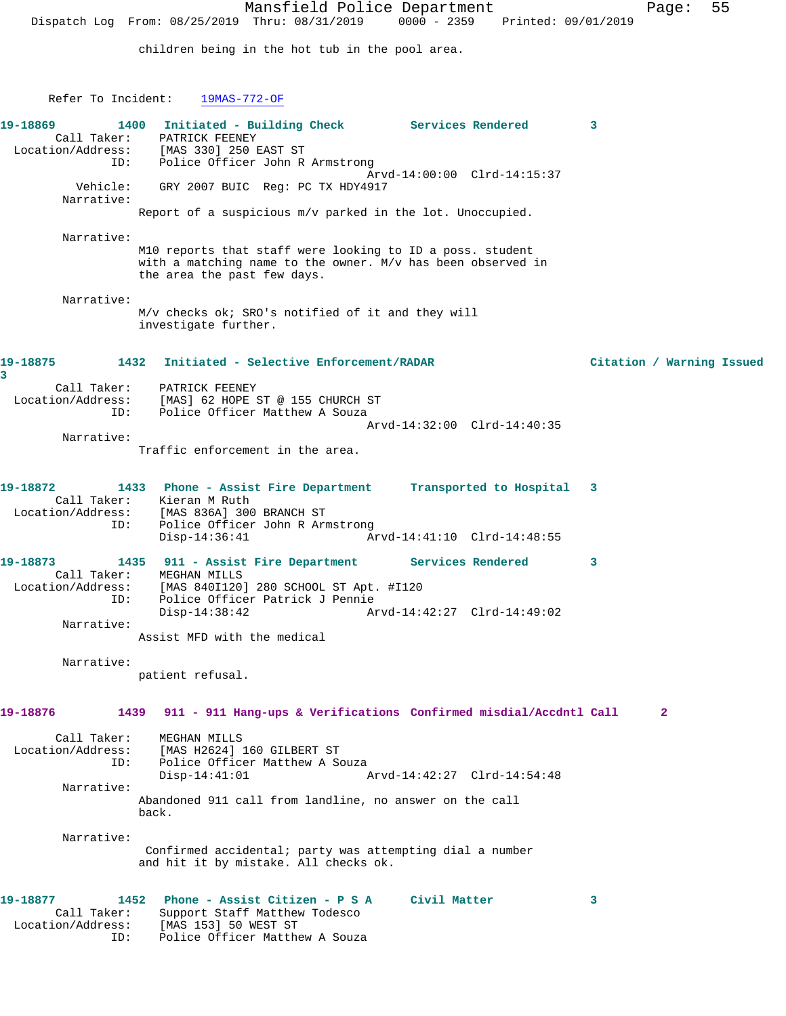children being in the hot tub in the pool area.

Refer To Incident: 19MAS-772-OF

| 19-18869<br>Call Taker:<br>ID:                                    | Initiated - Building Check Services Rendered<br>1400<br>PATRICK FEENEY<br>Location/Address: [MAS 330] 250 EAST ST<br>Police Officer John R Armstrong                                               |                             | 3 |                           |
|-------------------------------------------------------------------|----------------------------------------------------------------------------------------------------------------------------------------------------------------------------------------------------|-----------------------------|---|---------------------------|
| Vehicle:                                                          | GRY 2007 BUIC Reg: PC TX HDY4917                                                                                                                                                                   | Arvd-14:00:00 Clrd-14:15:37 |   |                           |
| Narrative:                                                        | Report of a suspicious m/v parked in the lot. Unoccupied.                                                                                                                                          |                             |   |                           |
| Narrative:                                                        | M10 reports that staff were looking to ID a poss. student<br>with a matching name to the owner. M/v has been observed in<br>the area the past few days.                                            |                             |   |                           |
| Narrative:                                                        | M/v checks ok; SRO's notified of it and they will<br>investigate further.                                                                                                                          |                             |   |                           |
| 19-18875<br>3                                                     | 1432 Initiated - Selective Enforcement/RADAR                                                                                                                                                       |                             |   | Citation / Warning Issued |
| Call Taker:<br>ID:                                                | PATRICK FEENEY<br>Location/Address: [MAS] 62 HOPE ST @ 155 CHURCH ST<br>Police Officer Matthew A Souza                                                                                             |                             |   |                           |
| Narrative:                                                        | Traffic enforcement in the area.                                                                                                                                                                   | Arvd-14:32:00 Clrd-14:40:35 |   |                           |
| 19-18872<br>Location/Address:<br>ID:                              | 1433 Phone - Assist Fire Department Transported to Hospital<br>Call Taker: Kieran M Ruth<br>[MAS 836A] 300 BRANCH ST<br>Police Officer John R Armstrong<br>$Disp-14:36:41$                         | Arvd-14:41:10 Clrd-14:48:55 | 3 |                           |
| 19-18873<br>Call Taker:<br>Location/Address:<br>ID:<br>Narrative: | 1435 911 - Assist Fire Department Services Rendered<br>MEGHAN MILLS<br>[MAS 840I120] 280 SCHOOL ST Apt. #I120<br>Police Officer Patrick J Pennie<br>$Disp-14:38:42$<br>Assist MFD with the medical | Arvd-14:42:27 Clrd-14:49:02 | 3 |                           |
| Narrative:                                                        | patient refusal.                                                                                                                                                                                   |                             |   |                           |
| 19-18876                                                          | 911 - 911 Hang-ups & Verifications Confirmed misdial/Accdntl Call<br>1439                                                                                                                          |                             |   | $\mathbf{2}$              |
| Call Taker:<br>Location/Address:<br>ID:                           | MEGHAN MILLS<br>[MAS H2624] 160 GILBERT ST<br>Police Officer Matthew A Souza<br>$Disp-14:41:01$                                                                                                    | Arvd-14:42:27 Clrd-14:54:48 |   |                           |
| Narrative:                                                        | Abandoned 911 call from landline, no answer on the call<br>back.                                                                                                                                   |                             |   |                           |
| Narrative:                                                        | Confirmed accidental; party was attempting dial a number<br>and hit it by mistake. All checks ok.                                                                                                  |                             |   |                           |
| 19-18877<br>Call Taker:<br>Location/Address:<br>ID:               | Phone - Assist Citizen - P S A<br>1452<br>Support Staff Matthew Todesco<br>[MAS 153] 50 WEST ST<br>Police Officer Matthew A Souza                                                                  | Civil Matter                | 3 |                           |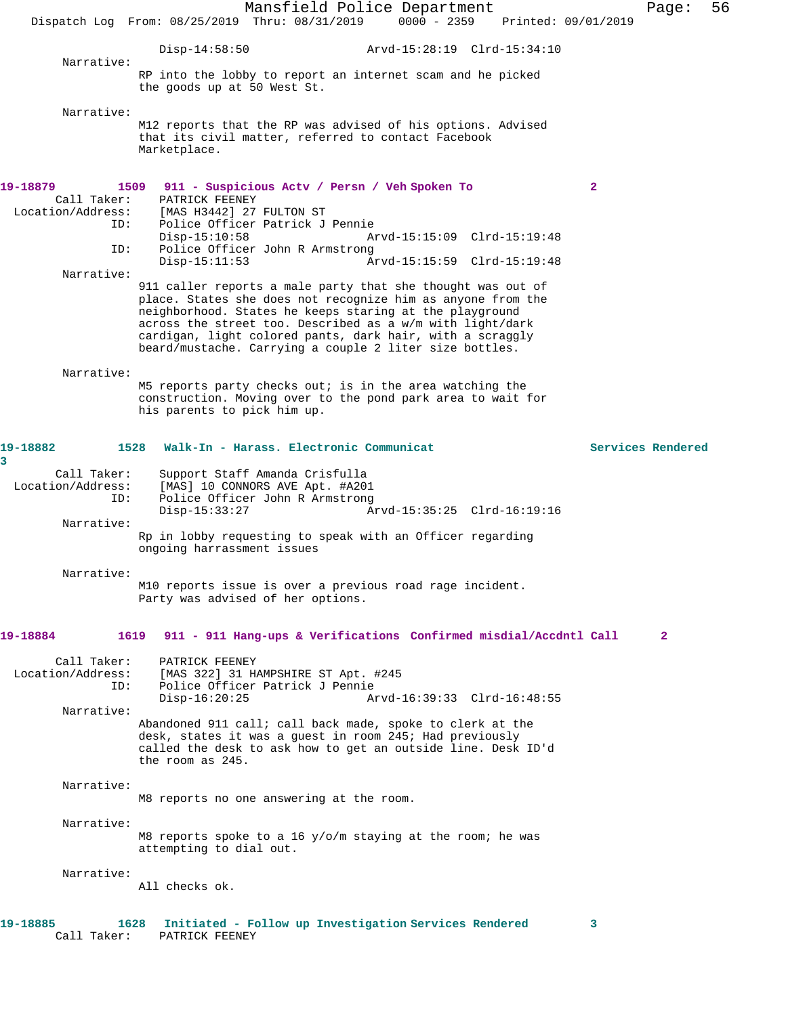Mansfield Police Department Page: 56 Dispatch Log From: 08/25/2019 Thru: 08/31/2019 0000 - 2359 Disp-14:58:50 Arvd-15:28:19 Clrd-15:34:10 Narrative: RP into the lobby to report an internet scam and he picked the goods up at 50 West St. Narrative: M12 reports that the RP was advised of his options. Advised that its civil matter, referred to contact Facebook Marketplace. **19-18879 1509 911 - Suspicious Actv / Persn / Veh Spoken To 2**  Call Taker: PATRICK FEENEY Location/Address: [MAS H3442] 27 FULTON ST Police Officer Patrick J Pennie<br>Disp-15:10:58 A Disp-15:10:58 Arvd-15:15:09 Clrd-15:19:48 ID: Police Officer John R Armstrong Disp-15:11:53 Arvd-15:15:59 Clrd-15:19:48 Narrative: 911 caller reports a male party that she thought was out of place. States she does not recognize him as anyone from the neighborhood. States he keeps staring at the playground across the street too. Described as a w/m with light/dark cardigan, light colored pants, dark hair, with a scraggly beard/mustache. Carrying a couple 2 liter size bottles. Narrative: M5 reports party checks out; is in the area watching the construction. Moving over to the pond park area to wait for his parents to pick him up. **19-18882 1528 Walk-In - Harass. Electronic Communicat Services Rendered 3**  Call Taker: Support Staff Amanda Crisfulla<br>Location/Address: [MAS] 10 CONNORS AVE Apt. #A20 ess: [MAS] 10 CONNORS AVE Apt. #A201<br>ID: Police Officer John R Armstrong Police Officer John R Armstrong<br>Disp-15:33:27 A Disp-15:33:27 Arvd-15:35:25 Clrd-16:19:16 Narrative: Rp in lobby requesting to speak with an Officer regarding ongoing harrassment issues Narrative: M10 reports issue is over a previous road rage incident. Party was advised of her options. **19-18884 1619 911 - 911 Hang-ups & Verifications Confirmed misdial/Accdntl Call 2** Call Taker: PATRICK FEENEY Location/Address: [MAS 322] 31 HAMPSHIRE ST Apt. #245 ID: Police Officer Patrick J Pennie Disp-16:20:25 Arvd-16:39:33 Clrd-16:48:55 Narrative: Abandoned 911 call; call back made, spoke to clerk at the desk, states it was a guest in room 245; Had previously called the desk to ask how to get an outside line. Desk ID'd the room as 245. Narrative: M8 reports no one answering at the room. Narrative: M8 reports spoke to a 16 y/o/m staying at the room; he was attempting to dial out. Narrative: All checks ok. **19-18885 1628 Initiated - Follow up Investigation Services Rendered 3** 

Call Taker: PATRICK FEENEY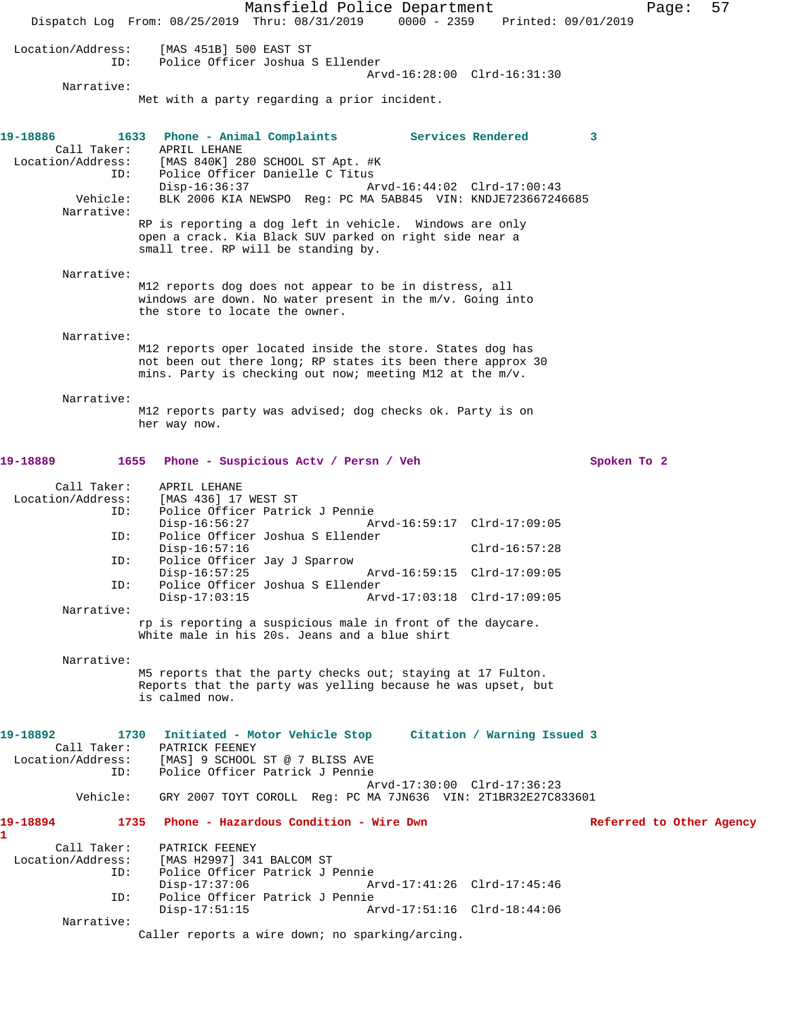Mansfield Police Department Fage: 57 Dispatch Log From: 08/25/2019 Thru: 08/31/2019 0000 - 2359 Printed: 09/01/2019 Location/Address: [MAS 451B] 500 EAST ST ID: Police Officer Joshua S Ellender Arvd-16:28:00 Clrd-16:31:30 Narrative: Met with a party regarding a prior incident. **19-18886 1633 Phone - Animal Complaints Services Rendered 3**  Call Taker: APRIL LEHANE<br>Location/Address: [MAS 840K] 280 SCHOOL ST Apt. #K Location/Address: [MAS 840K] 280 SCHOOL ST Apt. #K ID: Police Officer Danielle C Titus Disp-16:36:37 Arvd-16:44:02 Clrd-17:00:43 Vehicle: BLK 2006 KIA NEWSPO Reg: PC MA 5AB845 VIN: KNDJE723667246685 Narrative: RP is reporting a dog left in vehicle. Windows are only open a crack. Kia Black SUV parked on right side near a small tree. RP will be standing by. Narrative: M12 reports dog does not appear to be in distress, all windows are down. No water present in the m/v. Going into the store to locate the owner. Narrative: M12 reports oper located inside the store. States dog has not been out there long; RP states its been there approx 30 mins. Party is checking out now; meeting M12 at the m/v. Narrative: M12 reports party was advised; dog checks ok. Party is on her way now. **19-18889 1655 Phone - Suspicious Actv / Persn / Veh Spoken To 2** Call Taker: APRIL LEHANE Location/Address: [MAS 436] 17 WEST ST ID: Police Officer Patrick J Pennie Disp-16:56:27 Arvd-16:59:17 Clrd-17:09:05<br>TD: Police Officer Joshua S Ellender Police Officer Joshua S Ellender Disp-16:57:16 Clrd-16:57:28 ID: Police Officer Jay J Sparrow Disp-16:57:25 Arvd-16:59:15 Clrd-17:09:05<br>ID: Police Officer Joshua S Ellender ID: Police Officer Joshua S Ellender Disp-17:03:15 Arvd-17:03:18 Clrd-17:09:05 Narrative: rp is reporting a suspicious male in front of the daycare. White male in his 20s. Jeans and a blue shirt Narrative: M5 reports that the party checks out; staying at 17 Fulton. Reports that the party was yelling because he was upset, but is calmed now. **19-18892 1730 Initiated - Motor Vehicle Stop Citation / Warning Issued 3**  Call Taker: PATRICK FEENEY Location/Address: [MAS] 9 SCHOOL ST @ 7 BLISS AVE ID: Police Officer Patrick J Pennie Arvd-17:30:00 Clrd-17:36:23 Vehicle: GRY 2007 TOYT COROLL Reg: PC MA 7JN636 VIN: 2T1BR32E27C833601 **19-18894 1735 Phone - Hazardous Condition - Wire Dwn Referred to Other Agency 1**  Call Taker: PATRICK FEENEY<br>Location/Address: [MAS H2997] 34 ess: [MAS H2997] 341 BALCOM ST<br>ID: Police Officer Patrick J I Police Officer Patrick J Pennie<br>Disp-17:37:06 A Disp-17:37:06 Arvd-17:41:26 Clrd-17:45:46<br>ID: Police Officer Patrick J Pennie Police Officer Patrick J Pennie<br>Disp-17:51:15 Ar Disp-17:51:15 Arvd-17:51:16 Clrd-18:44:06 Narrative: Caller reports a wire down; no sparking/arcing.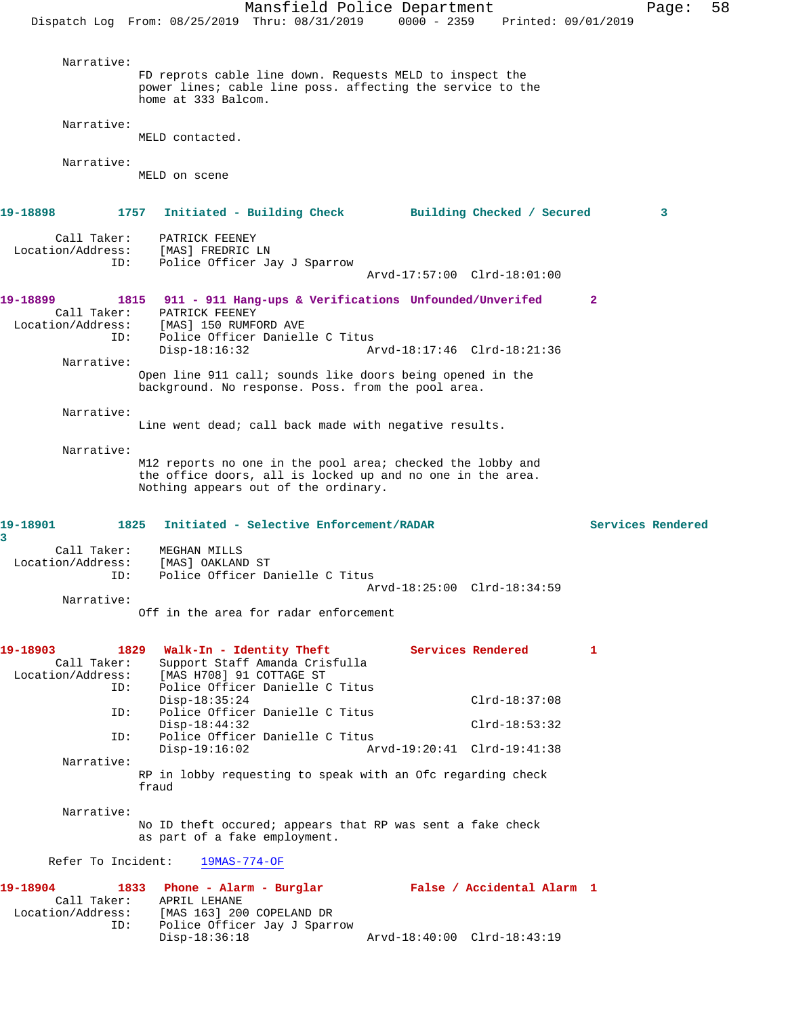Mansfield Police Department Page: 58 Dispatch Log From: 08/25/2019 Thru: 08/31/2019 0000 - 2359 Printed: 09/01/2019 Narrative: FD reprots cable line down. Requests MELD to inspect the power lines; cable line poss. affecting the service to the home at 333 Balcom. Narrative: MELD contacted. Narrative: MELD on scene **19-18898 1757 Initiated - Building Check Building Checked / Secured 3** Call Taker: PATRICK FEENEY<br>.on/Address: [MAS] FREDRIC LN Location/Address:<br>ID: Police Officer Jay J Sparrow Arvd-17:57:00 Clrd-18:01:00 **19-18899 1815 911 - 911 Hang-ups & Verifications Unfounded/Unverifed 2**  Call Taker: PATRICK FEENEY<br>Location/Address: [MAS] 150 RUMF ess: [MAS] 150 RUMFORD AVE<br>ID: Police Officer Daniel Police Officer Danielle C Titus Disp-18:16:32 Arvd-18:17:46 Clrd-18:21:36 Narrative: Open line 911 call; sounds like doors being opened in the background. No response. Poss. from the pool area. Narrative: Line went dead; call back made with negative results. Narrative: M12 reports no one in the pool area; checked the lobby and the office doors, all is locked up and no one in the area. Nothing appears out of the ordinary. **19-18901 1825 Initiated - Selective Enforcement/RADAR Services Rendered 3**  Call Taker: MEGHAN MILLS<br>Location/Address: [MAS] OAKLAN ــــــــ<br>Ess: [MAS] OAKLAND ST:<br>ID: Police Officer Da Police Officer Danielle C Titus Arvd-18:25:00 Clrd-18:34:59 Narrative: Off in the area for radar enforcement **19-18903 1829 Walk-In - Identity Theft Services Rendered 1**  Call Taker: Support Staff Amanda Crisfulla<br>Location/Address: [MAS H708] 91 COTTAGE ST ess: [MAS H708] 91 COTTAGE ST<br>ID: Police Officer Danielle ( Police Officer Danielle C Titus Disp-18:35:24 Clrd-18:37:08<br>ID: Police Officer Danielle C Titus Police Officer Danielle C Titus Disp-18:44:32 Clrd-18:53:32 ID: Police Officer Danielle C Titus Disp-19:16:02 Arvd-19:20:41 Clrd-19:41:38 Narrative: RP in lobby requesting to speak with an Ofc regarding check fraud Narrative: No ID theft occured; appears that RP was sent a fake check as part of a fake employment. Refer To Incident: 19MAS-774-OF **19-18904 1833 Phone - Alarm - Burglar False / Accidental Alarm 1**  Call Taker: APRIL LEHANE Location/Address: [MAS 163] 200 COPELAND DR ID: Police Officer Jay J Sparrow Disp-18:36:18 Arvd-18:40:00 Clrd-18:43:19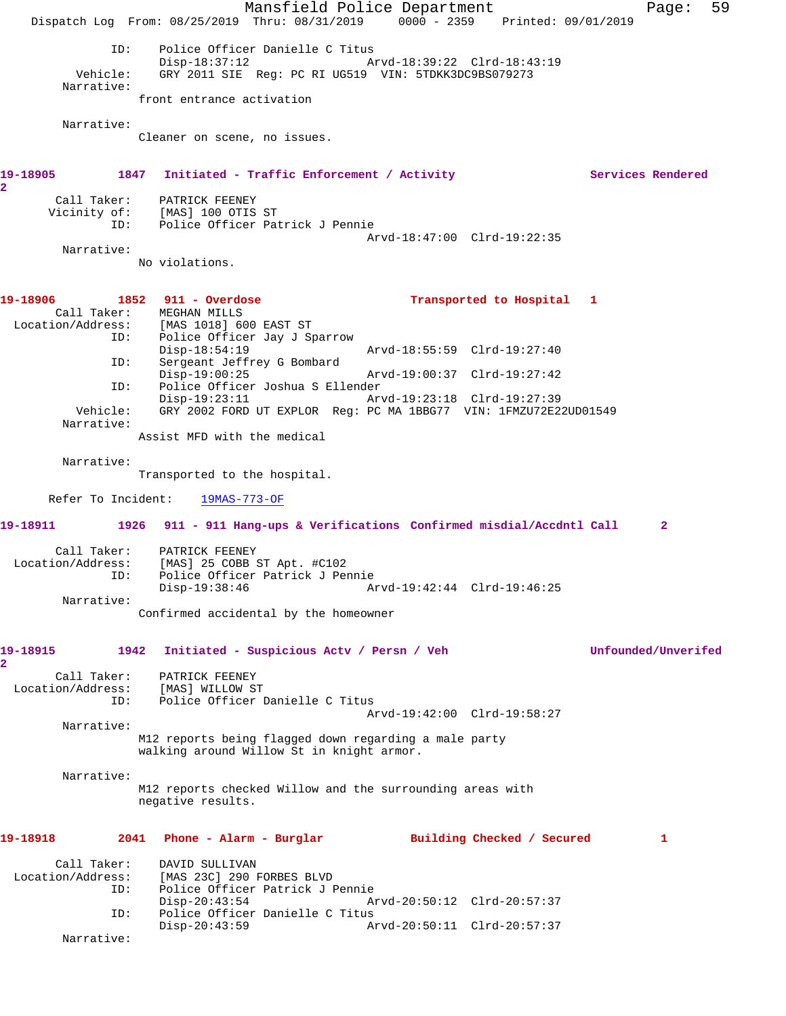Mansfield Police Department Fage: 59 Dispatch Log From: 08/25/2019 Thru: 08/31/2019 0000 - 2359 Printed: 09/01/2019 ID: Police Officer Danielle C Titus<br>Disp-18:37:12 Ar Disp-18:37:12 <br>Vehicle: GRY 2011 SIE Reg: PC RI UG519 VIN: 5TDKK3DC9BS079273 GRY 2011 SIE Reg: PC RI UG519 VIN: 5TDKK3DC9BS079273 Narrative: front entrance activation Narrative: Cleaner on scene, no issues. 19-18905 1847 Initiated - Traffic Enforcement / Activity **Services Rendered 2**  Call Taker: PATRICK FEENEY Vicinity of: [MAS] 100 OTIS ST ID: Police Officer Patrick J Pennie Arvd-18:47:00 Clrd-19:22:35 Narrative: No violations. **19-18906 1852 911 - Overdose Transported to Hospital 1**  Call Taker: MEGHAN MILLS<br>Location/Address: [MAS 1018] 60 ess: [MAS 1018] 600 EAST ST<br>ID: Police Officer Jay J Sp Police Officer Jay J Sparrow Disp-18:54:19 Arvd-18:55:59 Clrd-19:27:40<br>ID: Sergeant Jeffrey G Bombard Sergeant Jeffrey G Bombard<br>Disp-19:00:25 Disp-19:00:25 Arvd-19:00:37 Clrd-19:27:42 ID: Police Officer Joshua S Ellender Arvd-19:23:18 Clrd-19:27:39 Vehicle: GRY 2002 FORD UT EXPLOR Reg: PC MA 1BBG77 VIN: 1FMZU72E22UD01549 Narrative: Assist MFD with the medical Narrative: Transported to the hospital. Refer To Incident: 19MAS-773-OF **19-18911 1926 911 - 911 Hang-ups & Verifications Confirmed misdial/Accdntl Call 2** Call Taker: PATRICK FEENEY Location/Address: [MAS] 25 COBB ST Apt. #C102 ID: Police Officer Patrick J Pennie Arvd-19:42:44 Clrd-19:46:25 Narrative: Confirmed accidental by the homeowner **19-18915 1942 Initiated - Suspicious Actv / Persn / Veh Unfounded/Unverifed 2**  Call Taker: PATRICK FEENEY Location/Address: [MAS] WILLOW ST ID: Police Officer Danielle C Titus Arvd-19:42:00 Clrd-19:58:27 Narrative: M12 reports being flagged down regarding a male party walking around Willow St in knight armor. Narrative: M12 reports checked Willow and the surrounding areas with negative results. **19-18918 2041 Phone - Alarm - Burglar Building Checked / Secured 1** Call Taker: DAVID SULLIVAN Location/Address: [MAS 23C] 290 FORBES BLVD ID: Police Officer Patrick J Pennie Disp-20:43:54 Arvd-20:50:12 Clrd-20:57:37 ID: Police Officer Danielle C Titus Disp-20:43:59 Arvd-20:50:11 Clrd-20:57:37 Narrative: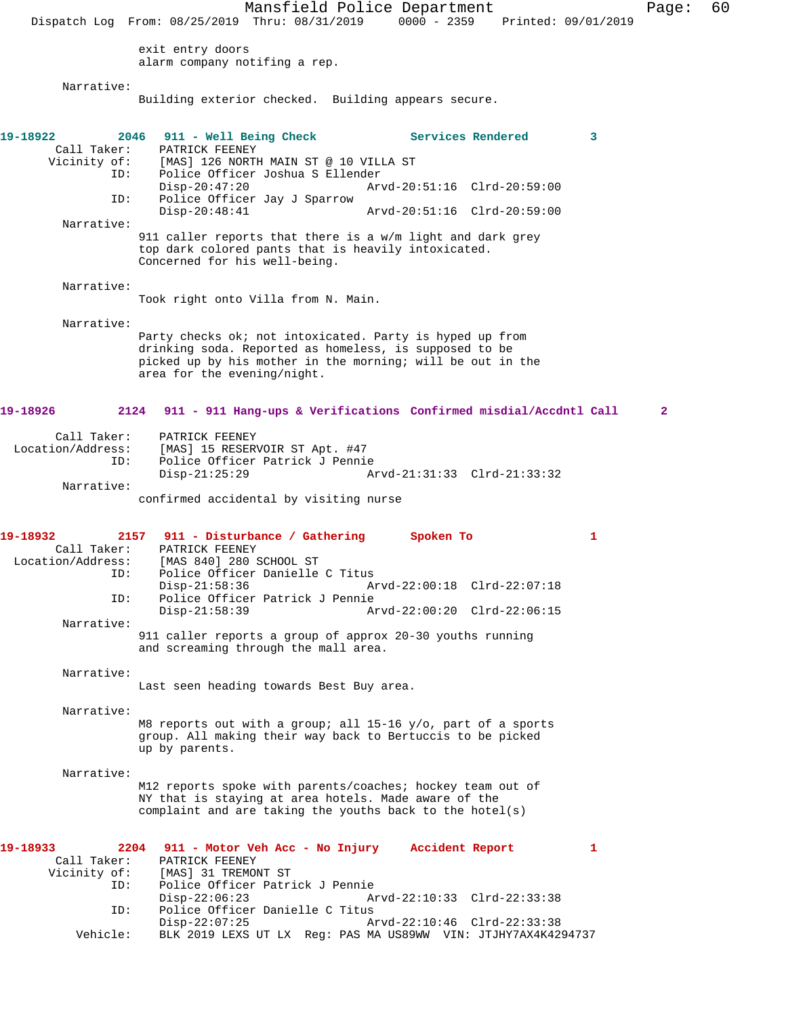Mansfield Police Department Page: 60 Dispatch Log From: 08/25/2019 Thru: 08/31/2019 0000 - 2359 Printed: 09/01/2019 exit entry doors alarm company notifing a rep. Narrative: Building exterior checked. Building appears secure. **19-18922 2046 911 - Well Being Check Services Rendered 3**  Call Taker: PATRICK FEENEY<br>Vicinity of: [MAS] 126 NORTH of: [MAS] 126 NORTH MAIN ST @ 10 VILLA ST<br>ID: Police Officer Joshua S Ellender Police Officer Joshua S Ellender<br>Disp-20:47:20 Ar Disp-20:47:20 Arvd-20:51:16 Clrd-20:59:00 ID: Police Officer Jay J Sparrow Disp-20:48:41 Arvd-20:51:16 Clrd-20:59:00 Narrative: 911 caller reports that there is a w/m light and dark grey top dark colored pants that is heavily intoxicated. Concerned for his well-being. Narrative: Took right onto Villa from N. Main. Narrative: Party checks ok; not intoxicated. Party is hyped up from drinking soda. Reported as homeless, is supposed to be picked up by his mother in the morning; will be out in the area for the evening/night. **19-18926 2124 911 - 911 Hang-ups & Verifications Confirmed misdial/Accdntl Call 2** Call Taker: PATRICK FEENEY Location/Address: [MAS] 15 RESERVOIR ST Apt. #47 ID: Police Officer Patrick J Pennie Disp-21:25:29 Arvd-21:31:33 Clrd-21:33:32 Narrative: confirmed accidental by visiting nurse **19-18932 2157 911 - Disturbance / Gathering Spoken To 1**  Call Taker: PATRICK FEENEY Location/Address: [MAS 840] 280 SCHOOL ST ID: Police Officer Danielle C Titus<br>Disp-21:58:36 A Disp-21:58:36 Arvd-22:00:18 Clrd-22:07:18<br>ID: Police Officer Patrick J Pennie Police Officer Patrick J Pennie<br>Disp-21:58:39 A Arvd-22:00:20 Clrd-22:06:15 Narrative: 911 caller reports a group of approx 20-30 youths running and screaming through the mall area. Narrative: Last seen heading towards Best Buy area. Narrative: M8 reports out with a group; all 15-16 y/o, part of a sports group. All making their way back to Bertuccis to be picked up by parents. Narrative: M12 reports spoke with parents/coaches; hockey team out of NY that is staying at area hotels. Made aware of the complaint and are taking the youths back to the hotel(s) **19-18933 2204 911 - Motor Veh Acc - No Injury Accident Report 1**  Call Taker: PATRICK FEENEY Vicinity of: [MAS] 31 TREMONT ST ID: Police Officer Patrick J Pennie Disp-22:06:23 Arvd-22:10:33 Clrd-22:33:38 ID: Police Officer Danielle C Titus Disp-22:07:25 Arvd-22:10:46 Clrd-22:33:38 Vehicle: BLK 2019 LEXS UT LX Reg: PAS MA US89WW VIN: JTJHY7AX4K4294737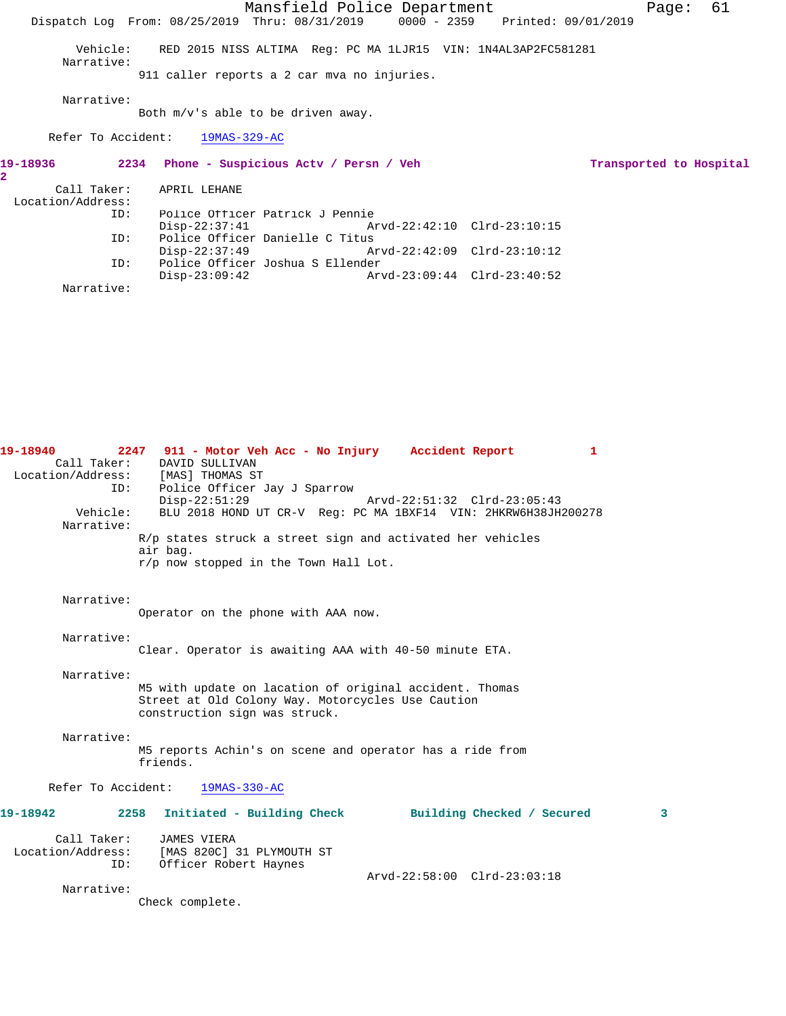|                        | 61<br>Mansfield Police Department<br>Page:<br>Dispatch Log From: 08/25/2019 Thru: 08/31/2019 0000 - 2359 Printed: 09/01/2019 |  |
|------------------------|------------------------------------------------------------------------------------------------------------------------------|--|
| Vehicle:<br>Narrative: | RED 2015 NISS ALTIMA Reg: PC MA 1LJR15 VIN: 1N4AL3AP2FC581281<br>911 caller reports a 2 car mva no injuries.                 |  |
| Narrative:             | Both $m/v$ 's able to be driven away.                                                                                        |  |
|                        | Refer To Accident: 19MAS-329-AC                                                                                              |  |
| 19-18936               | 2234 Phone - Suspicious Actv / Persn / Veh<br>Transported to Hospital                                                        |  |
| 2.                     |                                                                                                                              |  |
| Location/Address:      | Call Taker: APRIL LEHANE                                                                                                     |  |
| TD:                    | Police Officer Patrick J Pennie<br>Arvd-22:42:10 Clrd-23:10:15<br>Disp-22:37:41                                              |  |
| TD:                    | Police Officer Danielle C Titus<br>$Disp-22:37:49$                                                                           |  |
| TD:<br>Narrative:      | Police Officer Joshua S Ellender<br>$Disp-23:09:42$<br>Arvd-23:09:44 Clrd-23:40:52                                           |  |

| Call Taker:        | DAVID SULLIVAN                                                        |
|--------------------|-----------------------------------------------------------------------|
|                    | Location/Address: [MAS] THOMAS ST                                     |
| ID:                | Police Officer Jay J Sparrow                                          |
|                    | $Disp-22:51:29$<br>Arvd-22:51:32 Clrd-23:05:43                        |
| Vehicle:           | BLU 2018 HOND UT CR-V Req: PC MA 1BXF14 VIN: 2HKRW6H38JH200278        |
| Narrative:         |                                                                       |
|                    | R/p states struck a street sign and activated her vehicles            |
|                    | air bag.                                                              |
|                    | r/p now stopped in the Town Hall Lot.                                 |
|                    |                                                                       |
|                    |                                                                       |
| Narrative:         |                                                                       |
|                    | Operator on the phone with AAA now.                                   |
| Narrative:         |                                                                       |
|                    | Clear. Operator is awaiting AAA with 40-50 minute ETA.                |
|                    |                                                                       |
| Narrative:         |                                                                       |
|                    | M5 with update on lacation of original accident. Thomas               |
|                    | Street at Old Colony Way. Motorcycles Use Caution                     |
|                    | construction sign was struck.                                         |
|                    |                                                                       |
| Narrative:         |                                                                       |
|                    | M5 reports Achin's on scene and operator has a ride from<br>friends.  |
|                    |                                                                       |
| Refer To Accident: | $19MAS-330-AC$                                                        |
|                    |                                                                       |
| 19-18942           | 2258<br>Initiated - Building Check<br>Building Checked / Secured<br>3 |
|                    |                                                                       |
| Call Taker:        | JAMES VIERA                                                           |
| Location/Address:  | [MAS 820C] 31 PLYMOUTH ST                                             |
| ID:                | Officer Robert Haynes                                                 |
|                    | Arvd-22:58:00 Clrd-23:03:18                                           |
| Narrative:         |                                                                       |
|                    | Check complete.                                                       |

**19-18940 2247 911 - Motor Veh Acc - No Injury Accident Report 1**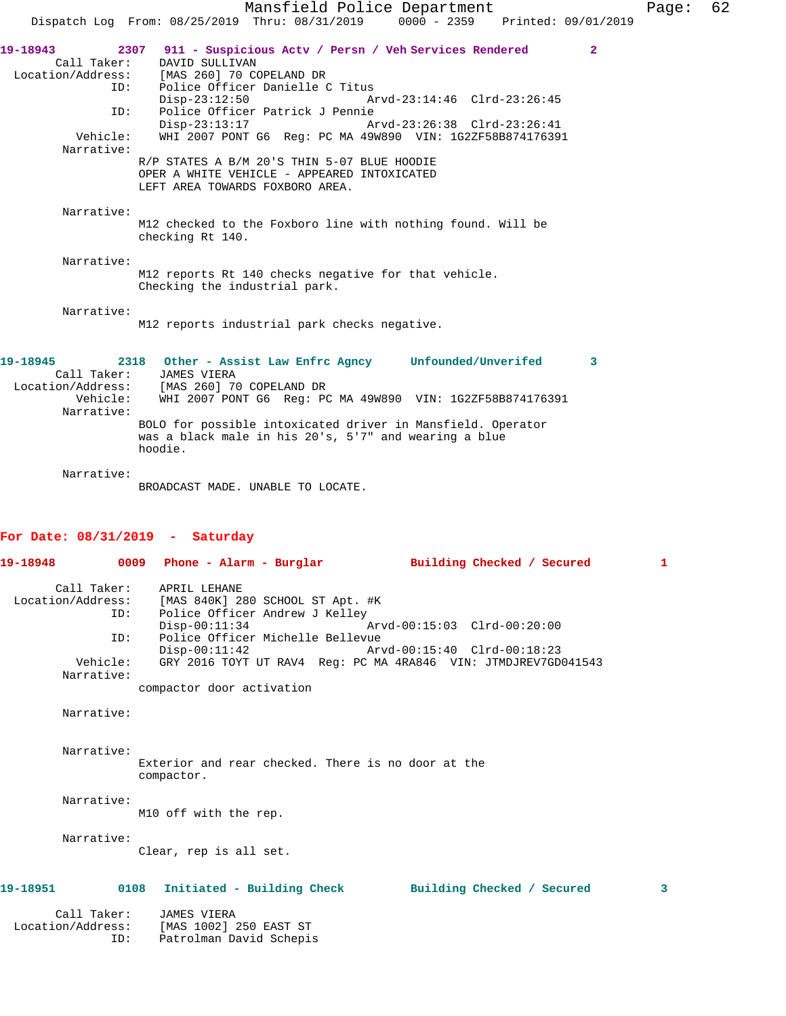|                                 | Mansfield Police Department<br>0000 - 2359 Printed: 09/01/2019<br>Dispatch Log From: 08/25/2019 Thru: 08/31/2019     | Page: | 62 |
|---------------------------------|----------------------------------------------------------------------------------------------------------------------|-------|----|
|                                 |                                                                                                                      |       |    |
| 19-18943<br>2307<br>Call Taker: | 911 - Suspicious Actv / Persn / Veh Services Rendered<br>$\mathbf{2}$<br>DAVID SULLIVAN                              |       |    |
| Location/Address:               | [MAS 260] 70 COPELAND DR                                                                                             |       |    |
| ID:                             | Police Officer Danielle C Titus                                                                                      |       |    |
|                                 | $Disp-23:12:50$<br>Arvd-23:14:46 Clrd-23:26:45                                                                       |       |    |
| ID:                             | Police Officer Patrick J Pennie<br>$Disp-23:13:17$<br>Arvd-23:26:38 Clrd-23:26:41                                    |       |    |
| Vehicle:                        | WHI 2007 PONT G6 Reg: PC MA 49W890 VIN: 1G2ZF58B874176391                                                            |       |    |
| Narrative:                      |                                                                                                                      |       |    |
|                                 | R/P STATES A B/M 20'S THIN 5-07 BLUE HOODIE                                                                          |       |    |
|                                 | OPER A WHITE VEHICLE - APPEARED INTOXICATED                                                                          |       |    |
|                                 | LEFT AREA TOWARDS FOXBORO AREA.                                                                                      |       |    |
| Narrative:                      |                                                                                                                      |       |    |
|                                 | M12 checked to the Foxboro line with nothing found. Will be                                                          |       |    |
|                                 | checking Rt 140.                                                                                                     |       |    |
| Narrative:                      |                                                                                                                      |       |    |
|                                 | M12 reports Rt 140 checks negative for that vehicle.                                                                 |       |    |
|                                 | Checking the industrial park.                                                                                        |       |    |
| Narrative:                      |                                                                                                                      |       |    |
|                                 | M12 reports industrial park checks negative.                                                                         |       |    |
|                                 |                                                                                                                      |       |    |
|                                 |                                                                                                                      |       |    |
| 19-18945<br>Call Taker:         | 2318 Other - Assist Law Enfrc Agncy Unfounded/Unverifed<br>3<br>JAMES VIERA                                          |       |    |
|                                 | Location/Address: [MAS 260] 70 COPELAND DR                                                                           |       |    |
| Vehicle:                        | WHI 2007 PONT G6 Req: PC MA 49W890 VIN: 1G2ZF58B874176391                                                            |       |    |
| Narrative:                      |                                                                                                                      |       |    |
|                                 | BOLO for possible intoxicated driver in Mansfield. Operator<br>was a black male in his 20's, 5'7" and wearing a blue |       |    |
|                                 | hoodie.                                                                                                              |       |    |
|                                 |                                                                                                                      |       |    |
| Narrative:                      |                                                                                                                      |       |    |
|                                 | BROADCAST MADE. UNABLE TO LOCATE.                                                                                    |       |    |
|                                 |                                                                                                                      |       |    |

## **For Date: 08/31/2019 - Saturday**

ID: Patrolman David Schepis

|                                  |                                                                                                      | 19-18948      0009  Phone - Alarm - Burglar        Building Checked / Secured                               | $\mathbf{1}$            |
|----------------------------------|------------------------------------------------------------------------------------------------------|-------------------------------------------------------------------------------------------------------------|-------------------------|
| Call Taker:<br>ID:               | APRIL LEHANE<br>Location/Address: [MAS 840K] 280 SCHOOL ST Apt. #K<br>Police Officer Andrew J Kelley |                                                                                                             |                         |
| TD:                              | $Disp-00:11:34$<br>Police Officer Michelle Bellevue                                                  |                                                                                                             |                         |
| Vehicle:<br>Narrative:           |                                                                                                      | Disp-00:11:42 Arvd-00:15:40 Clrd-00:18:23<br>GRY 2016 TOYT UT RAV4 Req: PC MA 4RA846 VIN: JTMDJREV7GD041543 |                         |
|                                  | compactor door activation                                                                            |                                                                                                             |                         |
| Narrative:                       |                                                                                                      |                                                                                                             |                         |
| Narrative:                       | Exterior and rear checked. There is no door at the<br>compactor.                                     |                                                                                                             |                         |
| Narrative:                       | M10 off with the rep.                                                                                |                                                                                                             |                         |
| Narrative:                       | Clear, rep is all set.                                                                               |                                                                                                             |                         |
|                                  |                                                                                                      | 19-18951      0108   Initiated - Building Check      Building Checked / Secured                             | $\overline{\mathbf{3}}$ |
| Call Taker:<br>Location/Address: | JAMES VIERA<br>[MAS 1002] 250 EAST ST                                                                |                                                                                                             |                         |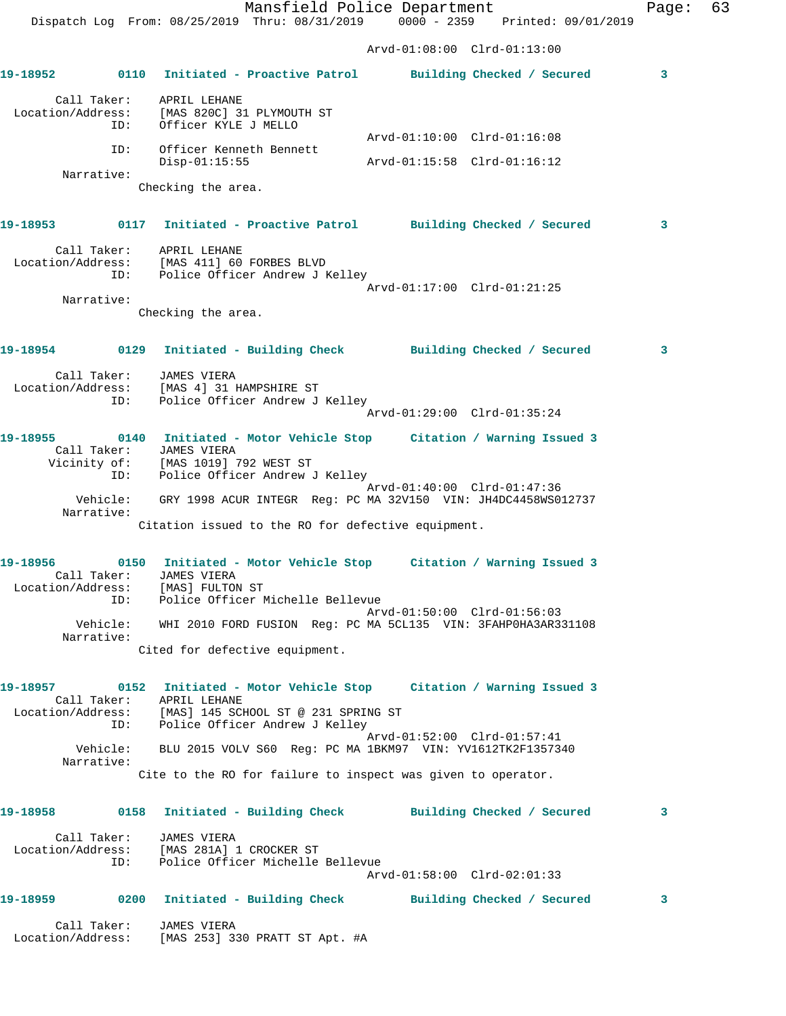Mansfield Police Department Fage: 63 Dispatch Log From: 08/25/2019 Thru: 08/31/2019 0000 - 2359 Printed: 09/01/2019 Arvd-01:08:00 Clrd-01:13:00 **19-18952 0110 Initiated - Proactive Patrol Building Checked / Secured 3** Call Taker: APRIL LEHANE Location/Address: [MAS 820C] 31 PLYMOUTH ST ID: Officer KYLE J MELLO Arvd-01:10:00 Clrd-01:16:08 ID: Officer Kenneth Bennett Disp-01:15:55 Arvd-01:15:58 Clrd-01:16:12 Narrative: Checking the area. **19-18953 0117 Initiated - Proactive Patrol Building Checked / Secured 3** Call Taker: APRIL LEHANE Location/Address: [MAS 411] 60 FORBES BLVD ID: Police Officer Andrew J Kelley Arvd-01:17:00 Clrd-01:21:25 Narrative: Checking the area. **19-18954 0129 Initiated - Building Check Building Checked / Secured 3** Call Taker: JAMES VIERA Location/Address: [MAS 4] 31 HAMPSHIRE ST ID: Police Officer Andrew J Kelley Arvd-01:29:00 Clrd-01:35:24 **19-18955 0140 Initiated - Motor Vehicle Stop Citation / Warning Issued 3**  Call Taker: JAMES VIERA Vicinity of: [MAS 1019] 792 WEST ST ID: Police Officer Andrew J Kelley Arvd-01:40:00 Clrd-01:47:36 Vehicle: GRY 1998 ACUR INTEGR Reg: PC MA 32V150 VIN: JH4DC4458WS012737 Narrative: Citation issued to the RO for defective equipment. **19-18956 0150 Initiated - Motor Vehicle Stop Citation / Warning Issued 3**  Call Taker: JAMES VIERA Location/Address: [MAS] FULTON ST ID: Police Officer Michelle Bellevue Arvd-01:50:00 Clrd-01:56:03 Vehicle: WHI 2010 FORD FUSION Reg: PC MA 5CL135 VIN: 3FAHP0HA3AR331108 Narrative: Cited for defective equipment. **19-18957 0152 Initiated - Motor Vehicle Stop Citation / Warning Issued 3**  Call Taker: APRIL LEHANE Location/Address: [MAS] 145 SCHOOL ST @ 231 SPRING ST ID: Police Officer Andrew J Kelley Arvd-01:52:00 Clrd-01:57:41 Vehicle: BLU 2015 VOLV S60 Reg: PC MA 1BKM97 VIN: YV1612TK2F1357340 Narrative: Cite to the RO for failure to inspect was given to operator. **19-18958 0158 Initiated - Building Check Building Checked / Secured 3** Call Taker: JAMES VIERA Location/Address: [MAS 281A] 1 CROCKER ST ID: Police Officer Michelle Bellevue Arvd-01:58:00 Clrd-02:01:33 **19-18959 0200 Initiated - Building Check Building Checked / Secured 3** Call Taker: JAMES VIERA Location/Address: [MAS 253] 330 PRATT ST Apt. #A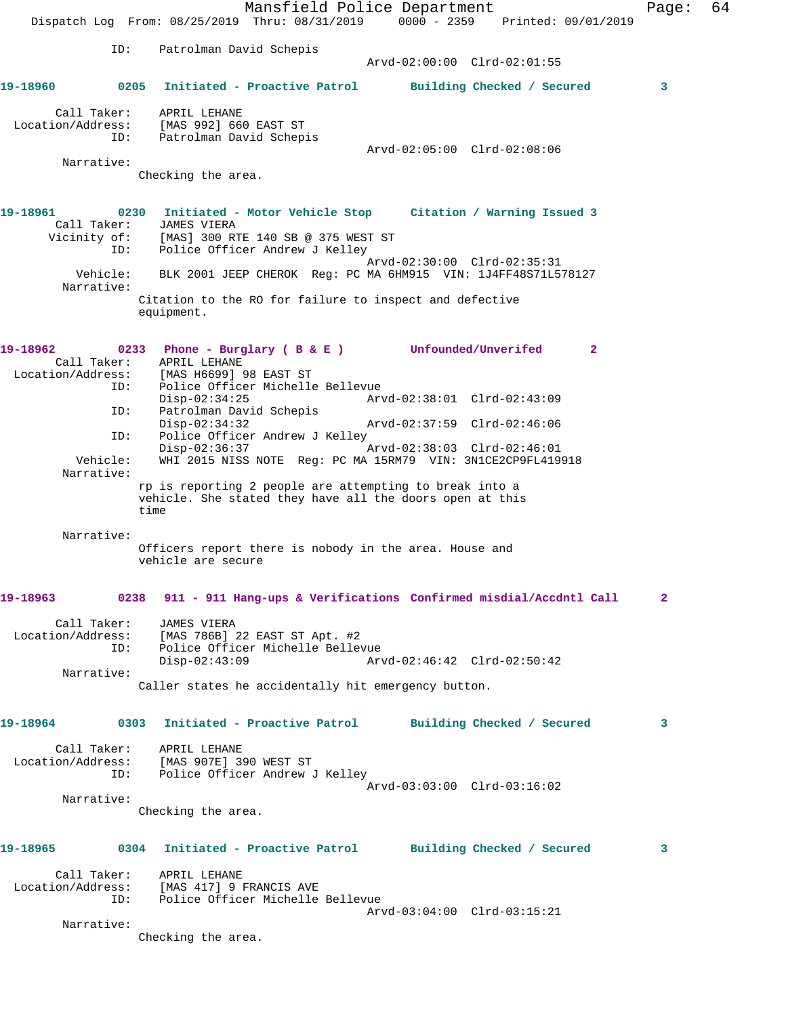|                                  |                        | Mansfield Police Department<br>Dispatch Log From: 08/25/2019 Thru: 08/31/2019 0000 - 2359 Printed: 09/01/2019                                                       | Page: | 64 |
|----------------------------------|------------------------|---------------------------------------------------------------------------------------------------------------------------------------------------------------------|-------|----|
|                                  |                        |                                                                                                                                                                     |       |    |
|                                  | ID:                    | Patrolman David Schepis<br>Arvd-02:00:00 Clrd-02:01:55                                                                                                              |       |    |
| 19-18960                         |                        | 0205 Initiated - Proactive Patrol<br>Building Checked / Secured                                                                                                     | 3     |    |
| Call Taker:<br>Location/Address: |                        | APRIL LEHANE<br>[MAS 992] 660 EAST ST                                                                                                                               |       |    |
|                                  | ID:                    | Patrolman David Schepis<br>Arvd-02:05:00 Clrd-02:08:06                                                                                                              |       |    |
| Narrative:                       |                        |                                                                                                                                                                     |       |    |
|                                  |                        | Checking the area.                                                                                                                                                  |       |    |
| 19-18961                         | Call Taker:<br>ID:     | 0230 Initiated - Motor Vehicle Stop Citation / Warning Issued 3<br>JAMES VIERA<br>Vicinity of: [MAS] 300 RTE 140 SB @ 375 WEST ST<br>Police Officer Andrew J Kelley |       |    |
| Narrative:                       | Vehicle:               | Arvd-02:30:00 Clrd-02:35:31<br>BLK 2001 JEEP CHEROK Req: PC MA 6HM915 VIN: 1J4FF48S71L578127                                                                        |       |    |
|                                  |                        | Citation to the RO for failure to inspect and defective<br>equipment.                                                                                               |       |    |
| 19-18962                         | Call Taker:<br>ID:     | 0233 Phone - Burglary ( B & E ) Unfounded/Unverifed<br>$\mathbf{2}$<br>APRIL LEHANE<br>Location/Address: [MAS H6699] 98 EAST ST<br>Police Officer Michelle Bellevue |       |    |
|                                  | ID:                    | $Disp-02:34:25$<br>Arvd-02:38:01 Clrd-02:43:09<br>Patrolman David Schepis                                                                                           |       |    |
|                                  | ID:                    | $Disp-02:34:32$<br>Arvd-02:37:59 Clrd-02:46:06<br>Police Officer Andrew J Kelley                                                                                    |       |    |
|                                  | Vehicle:<br>Narrative: | $Disp-02:36:37$<br>Arvd-02:38:03 Clrd-02:46:01<br>WHI 2015 NISS NOTE Reg: PC MA 15RM79 VIN: 3N1CE2CP9FL419918                                                       |       |    |
|                                  |                        | rp is reporting 2 people are attempting to break into a<br>vehicle. She stated they have all the doors open at this<br>time                                         |       |    |
| Narrative:                       |                        | Officers report there is nobody in the area. House and<br>vehicle are secure                                                                                        |       |    |
| 19-18963                         |                        | 0238 911 - 911 Hang-ups & Verifications Confirmed misdial/Accdntl Call                                                                                              | 2     |    |
| Call Taker:                      | ID:                    | <b>JAMES VIERA</b><br>Location/Address: [MAS 786B] 22 EAST ST Apt. #2<br>Police Officer Michelle Bellevue<br>$Disp-02:43:09$<br>Arvd-02:46:42 Clrd-02:50:42         |       |    |
| Narrative:                       |                        | Caller states he accidentally hit emergency button.                                                                                                                 |       |    |
|                                  |                        |                                                                                                                                                                     |       |    |
| 19-18964                         |                        | 0303 Initiated - Proactive Patrol<br>Building Checked / Secured                                                                                                     | 3     |    |
| Call Taker:<br>Location/Address: | ID:                    | APRIL LEHANE<br>[MAS 907E] 390 WEST ST<br>Police Officer Andrew J Kelley                                                                                            |       |    |
| Narrative:                       |                        | Arvd-03:03:00 Clrd-03:16:02                                                                                                                                         |       |    |
|                                  |                        | Checking the area.                                                                                                                                                  |       |    |
| 19-18965                         |                        | 0304 Initiated - Proactive Patrol<br>Building Checked / Secured                                                                                                     | 3     |    |
| Location/Address:                | ID:                    | Call Taker: APRIL LEHANE<br>[MAS 417] 9 FRANCIS AVE<br>Police Officer Michelle Bellevue                                                                             |       |    |
| Narrative:                       |                        | Arvd-03:04:00 Clrd-03:15:21                                                                                                                                         |       |    |
|                                  |                        | Checking the area.                                                                                                                                                  |       |    |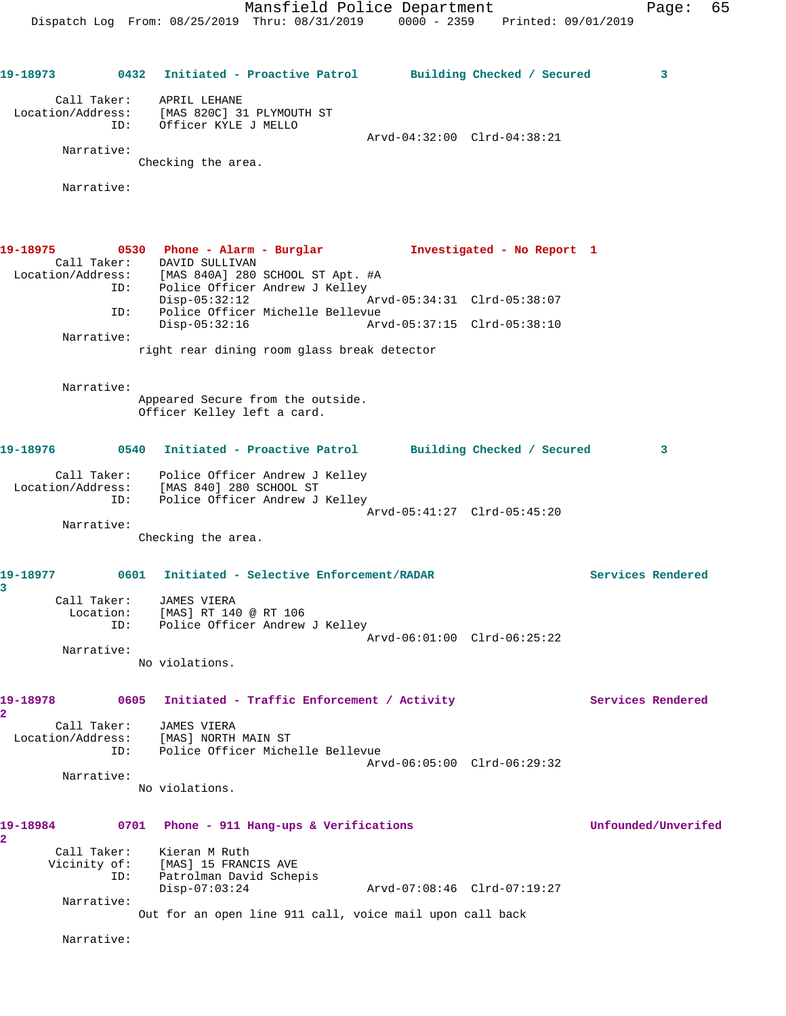Mansfield Police Department Fage: 65 Dispatch Log From: 08/25/2019 Thru: 08/31/2019 0000 - 2359 Printed: 09/01/2019 **19-18973 0432 Initiated - Proactive Patrol Building Checked / Secured 3** Call Taker: APRIL LEHANE Location/Address: [MAS 820C] 31 PLYMOUTH ST ID: Officer KYLE J MELLO Arvd-04:32:00 Clrd-04:38:21 Narrative: Checking the area. Narrative: **19-18975 0530 Phone - Alarm - Burglar Investigated - No Report 1**  Call Taker: DAVID SULLIVAN Location/Address: [MAS 840A] 280 SCHOOL ST Apt. #A ID: Police Officer Andrew J Kelley Disp-05:32:12 Arvd-05:34:31 Clrd-05:38:07<br>ID: Police Officer Michelle Bellevue Police Officer Michelle Bellevue<br>Disp-05:32:16 Arv Disp-05:32:16 Arvd-05:37:15 Clrd-05:38:10 Narrative: right rear dining room glass break detector Narrative: Appeared Secure from the outside. Officer Kelley left a card. **19-18976 0540 Initiated - Proactive Patrol Building Checked / Secured 3** Call Taker: Police Officer Andrew J Kelley Location/Address: [MAS 840] 280 SCHOOL ST ID: Police Officer Andrew J Kelley Arvd-05:41:27 Clrd-05:45:20 Narrative: Checking the area. **19-18977 0601 Initiated - Selective Enforcement/RADAR Services Rendered 3**  Call Taker: JAMES VIERA Location: [MAS] RT 140 @ RT 106 ID: Police Officer Andrew J Kelley Arvd-06:01:00 Clrd-06:25:22 Narrative: No violations. 19-18978 0605 Initiated - Traffic Enforcement / Activity **Services Rendered 2**  Call Taker: JAMES VIERA Location/Address: [MAS] NORTH MAIN ST ID: Police Officer Michelle Bellevue Arvd-06:05:00 Clrd-06:29:32 Narrative: No violations. **19-18984 0701 Phone - 911 Hang-ups & Verifications Unfounded/Unverifed 2**  Call Taker: Kieran M Ruth Vicinity of: [MAS] 15 FRANCIS AVE ID: Patrolman David Schepis Disp-07:03:24 Arvd-07:08:46 Clrd-07:19:27 Narrative: Out for an open line 911 call, voice mail upon call back Narrative: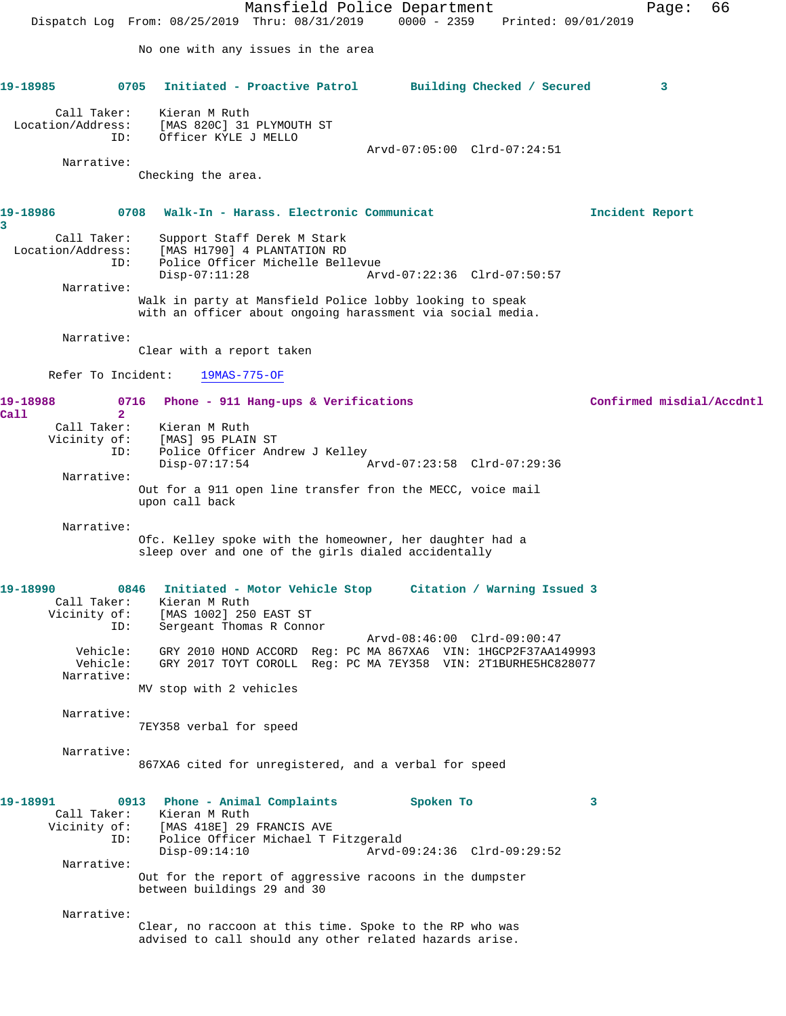Mansfield Police Department Fage: 66 Dispatch Log From: 08/25/2019 Thru: 08/31/2019 0000 - 2359 Printed: 09/01/2019 No one with any issues in the area **19-18985 0705 Initiated - Proactive Patrol Building Checked / Secured 3** Call Taker: Kieran M Ruth Location/Address: [MAS 820C] 31 PLYMOUTH ST ID: Officer KYLE J MELLO Arvd-07:05:00 Clrd-07:24:51 Narrative: Checking the area. **19-18986 0708 Walk-In - Harass. Electronic Communicat Incident Report 3**  Call Taker: Support Staff Derek M Stark Location/Address: [MAS H1790] 4 PLANTATION RD ID: Police Officer Michelle Bellevue Disp-07:11:28 Arvd-07:22:36 Clrd-07:50:57 Narrative: Walk in party at Mansfield Police lobby looking to speak with an officer about ongoing harassment via social media. Narrative: Clear with a report taken Refer To Incident: 19MAS-775-OF **19-18988 0716 Phone - 911 Hang-ups & Verifications Confirmed misdial/Accdntl Call 2**  Call Taker: Kieran M Ruth Vicinity of: [MAS] 95 PLAIN ST ID: Police Officer Andrew J Kelley Disp-07:17:54 Arvd-07:23:58 Clrd-07:29:36 Narrative: Out for a 911 open line transfer fron the MECC, voice mail upon call back Narrative: Ofc. Kelley spoke with the homeowner, her daughter had a sleep over and one of the girls dialed accidentally **19-18990 0846 Initiated - Motor Vehicle Stop Citation / Warning Issued 3**  Call Taker: Kieran M Ruth Vicinity of: [MAS 1002] 250 EAST ST ID: Sergeant Thomas R Connor Arvd-08:46:00 Clrd-09:00:47 Vehicle: GRY 2010 HOND ACCORD Reg: PC MA 867XA6 VIN: 1HGCP2F37AA149993 Vehicle: GRY 2017 TOYT COROLL Reg: PC MA 7EY358 VIN: 2T1BURHE5HC828077 Narrative: MV stop with 2 vehicles Narrative: 7EY358 verbal for speed Narrative: 867XA6 cited for unregistered, and a verbal for speed **19-18991 0913 Phone - Animal Complaints Spoken To 3**  Call Taker: Kieran M Ruth<br>Vicinity of: [MAS 418E] 29 Vicinity of: [MAS 418E] 29 FRANCIS AVE ID: Police Officer Michael T Fitzgerald Disp-09:14:10 Arvd-09:24:36 Clrd-09:29:52 Narrative: Out for the report of aggressive racoons in the dumpster between buildings 29 and 30 Narrative: Clear, no raccoon at this time. Spoke to the RP who was advised to call should any other related hazards arise.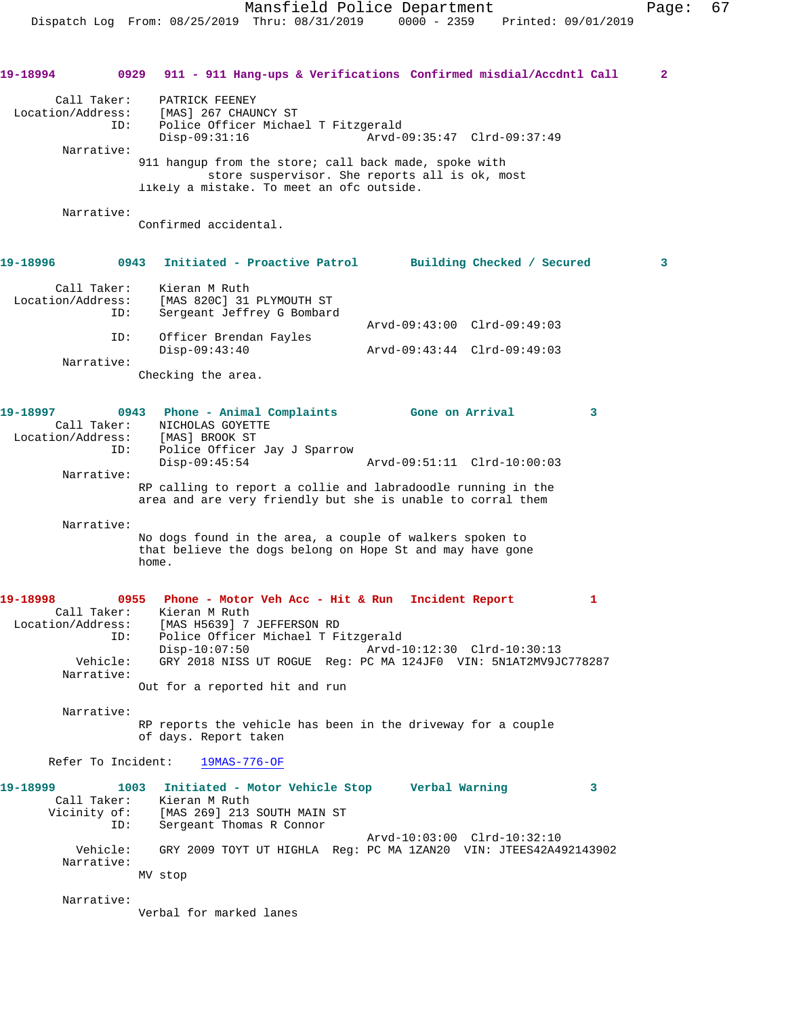**19-18994 0929 911 - 911 Hang-ups & Verifications Confirmed misdial/Accdntl Call 2** Call Taker: PATRICK FEENEY Location/Address: [MAS] 267 CHAUNCY ST ID: Police Officer Michael T Fitzgerald Disp-09:31:16 Arvd-09:35:47 Clrd-09:37:49 Narrative: 911 hangup from the store; call back made, spoke with store suspervisor. She reports all is ok, most likely a mistake. To meet an ofc outside. Narrative: Confirmed accidental. **19-18996 0943 Initiated - Proactive Patrol Building Checked / Secured 3** Call Taker: Kieran M Ruth Location/Address: [MAS 820C] 31 PLYMOUTH ST<br>ID: Sergeant Jeffrey G Bombard Sergeant Jeffrey G Bombard Arvd-09:43:00 Clrd-09:49:03 ID: Officer Brendan Fayles Disp-09:43:40 Arvd-09:43:44 Clrd-09:49:03 Narrative: Checking the area. **19-18997 0943 Phone - Animal Complaints Gone on Arrival 3**  Call Taker: NICHOLAS GOYETTE Location/Address: [MAS] BROOK ST ID: Police Officer Jay J Sparrow Disp-09:45:54 Arvd-09:51:11 Clrd-10:00:03 Narrative: RP calling to report a collie and labradoodle running in the area and are very friendly but she is unable to corral them Narrative: No dogs found in the area, a couple of walkers spoken to that believe the dogs belong on Hope St and may have gone home. **19-18998 0955 Phone - Motor Veh Acc - Hit & Run Incident Report 1**  Call Taker: Kieran M Ruth Location/Address: [MAS H5639] 7 JEFFERSON RD ID: Police Officer Michael T Fitzgerald Disp-10:07:50 Arvd-10:12:30 Clrd-10:30:13 Vehicle: GRY 2018 NISS UT ROGUE Reg: PC MA 124JF0 VIN: 5N1AT2MV9JC778287 Narrative: Out for a reported hit and run Narrative: RP reports the vehicle has been in the driveway for a couple of days. Report taken Refer To Incident: 19MAS-776-OF **19-18999 1003 Initiated - Motor Vehicle Stop Verbal Warning 3**  Call Taker: Kieran M Ruth Vicinity of: [MAS 269] 213 SOUTH MAIN ST ID: Sergeant Thomas R Connor Arvd-10:03:00 Clrd-10:32:10 Vehicle: GRY 2009 TOYT UT HIGHLA Reg: PC MA 1ZAN20 VIN: JTEES42A492143902 Narrative: MV stop Narrative: Verbal for marked lanes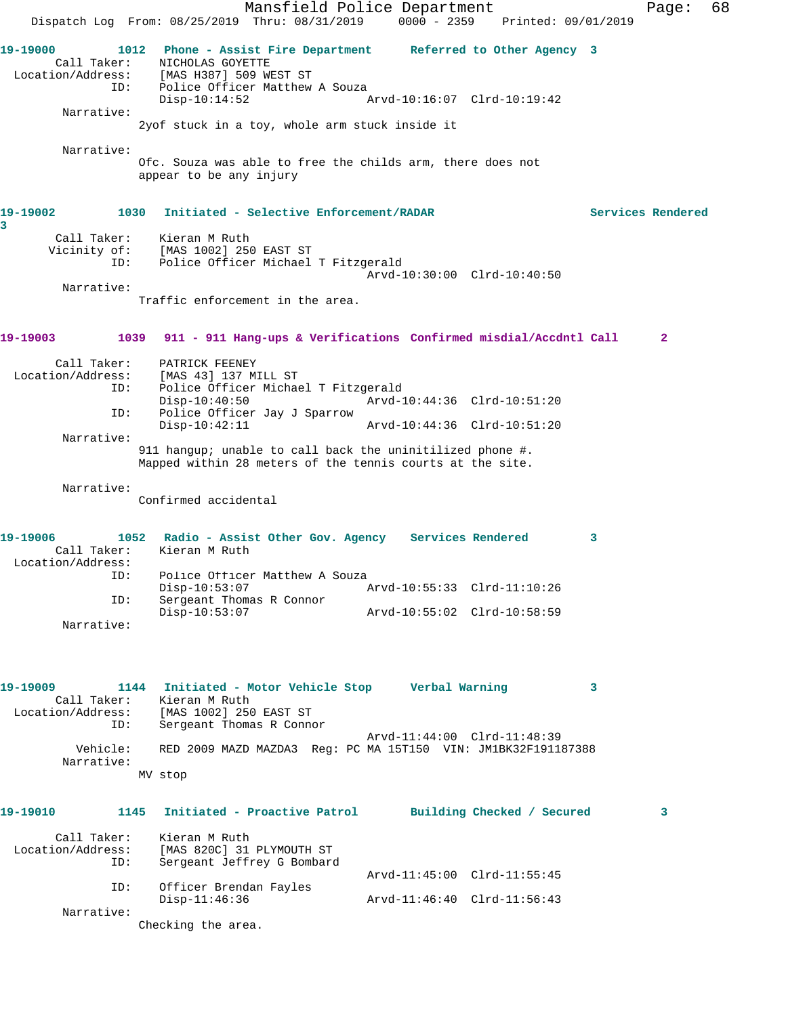Mansfield Police Department Fage: 68 Dispatch Log From: 08/25/2019 Thru: 08/31/2019 0000 - 2359 Printed: 09/01/2019 **19-19000 1012 Phone - Assist Fire Department Referred to Other Agency 3**  Call Taker: NICHOLAS GOYETTE Location/Address: [MAS H387] 509 WEST ST ID: Police Officer Matthew A Souza Disp-10:14:52 Arvd-10:16:07 Clrd-10:19:42 Narrative: 2yof stuck in a toy, whole arm stuck inside it Narrative: Ofc. Souza was able to free the childs arm, there does not appear to be any injury **19-19002 1030 Initiated - Selective Enforcement/RADAR Services Rendered 3**  Call Taker: Kieran M Ruth Vicinity of: [MAS 1002] 250 EAST ST ID: Police Officer Michael T Fitzgerald Arvd-10:30:00 Clrd-10:40:50 Narrative: Traffic enforcement in the area. **19-19003 1039 911 - 911 Hang-ups & Verifications Confirmed misdial/Accdntl Call 2** Call Taker: PATRICK FEENEY Location/Address: [MAS 43] 137 MILL ST ID: Police Officer Michael T Fitzgerald Disp-10:40:50 Arvd-10:44:36 Clrd-10:51:20 ID: Police Officer Jay J Sparrow Disp-10:42:11 Arvd-10:44:36 Clrd-10:51:20 Narrative: 911 hangup; unable to call back the uninitilized phone #. Mapped within 28 meters of the tennis courts at the site. Narrative: Confirmed accidental **19-19006 1052 Radio - Assist Other Gov. Agency Services Rendered 3**  Call Taker: Kieran M Ruth Location/Address: ID: Police Officer Matthew A Souza Disp-10:53:07 Arvd-10:55:33 Clrd-11:10:26 ID: Sergeant Thomas R Connor Disp-10:53:07 Arvd-10:55:02 Clrd-10:58:59 Narrative: **19-19009 1144 Initiated - Motor Vehicle Stop Verbal Warning 3**  Call Taker: Kieran M Ruth Location/Address: [MAS 1002] 250 EAST ST ID: Sergeant Thomas R Connor Arvd-11:44:00 Clrd-11:48:39 Vehicle: RED 2009 MAZD MAZDA3 Reg: PC MA 15T150 VIN: JM1BK32F191187388 Narrative: MV stop **19-19010 1145 Initiated - Proactive Patrol Building Checked / Secured 3** Call Taker: Kieran M Ruth Location/Address: [MAS 820C] 31 PLYMOUTH ST ID: Sergeant Jeffrey G Bombard Arvd-11:45:00 Clrd-11:55:45 ID: Officer Brendan Fayles Disp-11:46:36 Arvd-11:46:40 Clrd-11:56:43 Narrative: Checking the area.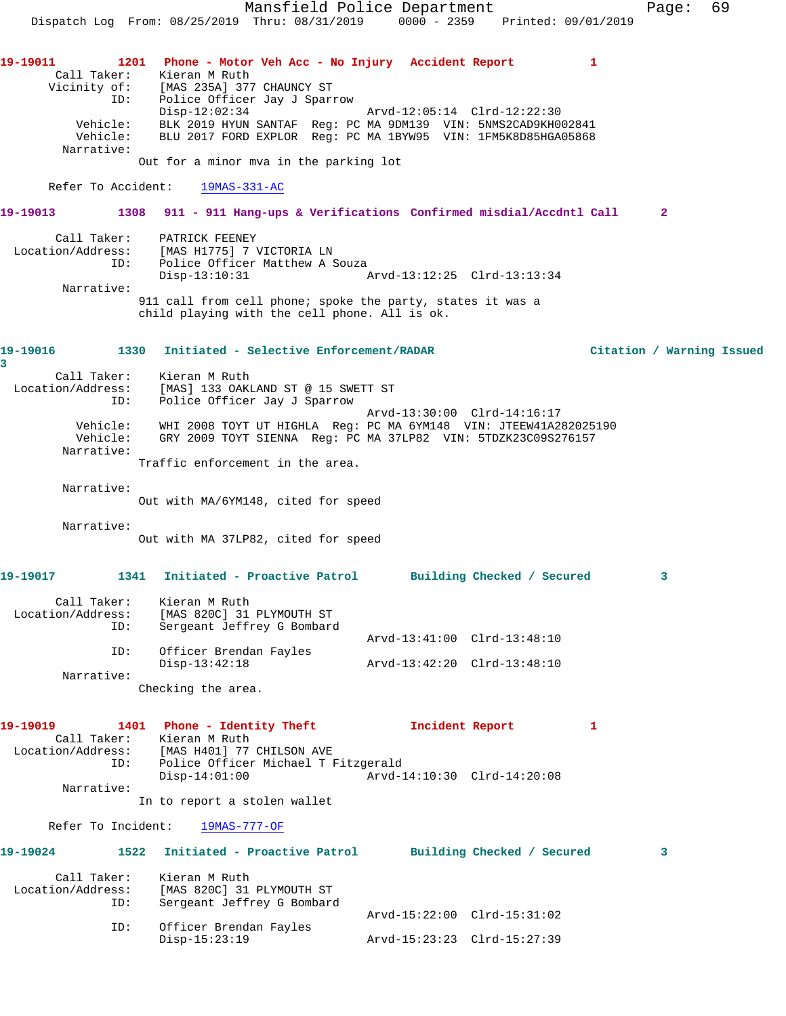Mansfield Police Department Fage: 69 Dispatch Log From: 08/25/2019 Thru: 08/31/2019 0000 - 2359 Printed: 09/01/2019 **19-19011 1201 Phone - Motor Veh Acc - No Injury Accident Report 1**  Call Taker: Kieran M Ruth<br>Vicinity of: [MAS 235A] 377 Vicinity of: [MAS 235A] 377 CHAUNCY ST ID: Police Officer Jay J Sparrow Disp-12:02:34 Arvd-12:05:14 Clrd-12:22:30 Vehicle: BLK 2019 HYUN SANTAF Reg: PC MA 9DM139 VIN: 5NMS2CAD9KH002841 Vehicle: BLU 2017 FORD EXPLOR Reg: PC MA 1BYW95 VIN: 1FM5K8D85HGA05868 Narrative: Out for a minor mva in the parking lot Refer To Accident: 19MAS-331-AC **19-19013 1308 911 - 911 Hang-ups & Verifications Confirmed misdial/Accdntl Call 2** Call Taker: PATRICK FEENEY Location/Address: [MAS H1775] 7 VICTORIA LN ID: Police Officer Matthew A Souza Disp-13:10:31 Arvd-13:12:25 Clrd-13:13:34 Narrative: 911 call from cell phone; spoke the party, states it was a child playing with the cell phone. All is ok. **19-19016 1330 Initiated - Selective Enforcement/RADAR Citation / Warning Issued 3**  Call Taker: Kieran M Ruth Location/Address: [MAS] 133 OAKLAND ST @ 15 SWETT ST ID: Police Officer Jay J Sparrow Arvd-13:30:00 Clrd-14:16:17 Vehicle: WHI 2008 TOYT UT HIGHLA Reg: PC MA 6YM148 VIN: JTEEW41A282025190 Vehicle: GRY 2009 TOYT SIENNA Reg: PC MA 37LP82 VIN: 5TDZK23C09S276157 Narrative: Traffic enforcement in the area. Narrative: Out with MA/6YM148, cited for speed Narrative: Out with MA 37LP82, cited for speed **19-19017 1341 Initiated - Proactive Patrol Building Checked / Secured 3** Call Taker: Kieran M Ruth Location/Address: [MAS 820C] 31 PLYMOUTH ST ID: Sergeant Jeffrey G Bombard Arvd-13:41:00 Clrd-13:48:10 ID: Officer Brendan Fayles Disp-13:42:18 Arvd-13:42:20 Clrd-13:48:10 Narrative: Checking the area. **19-19019 1401 Phone - Identity Theft Incident Report 1**  Call Taker: Kieran M Ruth Location/Address: [MAS H401] 77 CHILSON AVE ess: [MAS H401] 77 CHILSON AVE<br>ID: Police Officer Michael T Fitzgerald<br>Disp-14:01:00 Arvd-1 Disp-14:01:00 Arvd-14:10:30 Clrd-14:20:08 Narrative: In to report a stolen wallet Refer To Incident: 19MAS-777-OF **19-19024 1522 Initiated - Proactive Patrol Building Checked / Secured 3** Call Taker: Kieran M Ruth Location/Address: [MAS 820C] 31 PLYMOUTH ST ID: Sergeant Jeffrey G Bombard Arvd-15:22:00 Clrd-15:31:02 ID: Officer Brendan Fayles Disp-15:23:19 Arvd-15:23:23 Clrd-15:27:39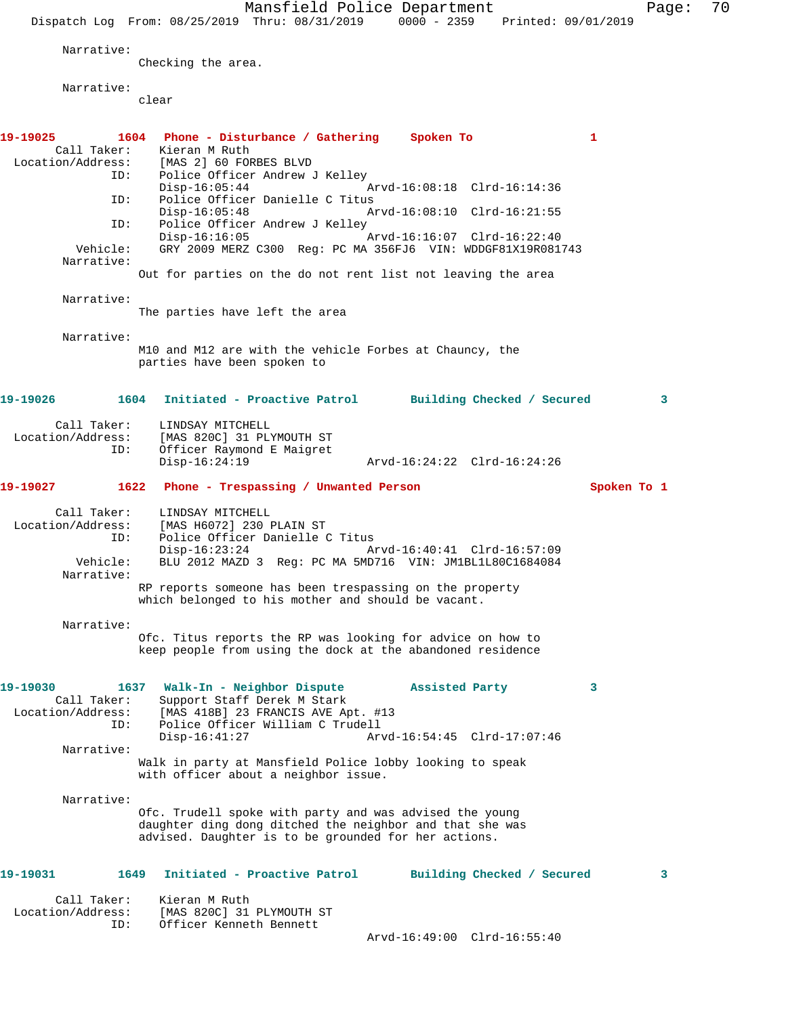Mansfield Police Department Page: 70 Dispatch Log From: 08/25/2019 Thru: 08/31/2019 0000 - 2359 Printed: 09/01/2019 Narrative: Checking the area. Narrative: clear **19-19025 1604 Phone - Disturbance / Gathering Spoken To 1**  Call Taker: Kieran M Ruth<br>Location/Address: [MAS 2] 60 FOR ess: [MAS 2] 60 FORBES BLVD<br>ID: Police Officer Andrew Police Officer Andrew J Kelley<br>Disp-16:05:44 Disp-16:05:44 Arvd-16:08:18 Clrd-16:14:36 ID: Police Officer Danielle C Titus Disp-16:05:48 Arvd-16:08:10 Clrd-16:21:55<br>TD: Police Officer Andrew J Kelley Police Officer Andrew J Kelley<br>Disp-16:16:05 Disp-16:16:05 Arvd-16:16:07 Clrd-16:22:40 Vehicle: GRY 2009 MERZ C300 Reg: PC MA 356FJ6 VIN: WDDGF81X19R081743 Narrative: Out for parties on the do not rent list not leaving the area Narrative: The parties have left the area Narrative: M10 and M12 are with the vehicle Forbes at Chauncy, the parties have been spoken to **19-19026 1604 Initiated - Proactive Patrol Building Checked / Secured 3** Call Taker: LINDSAY MITCHELL Location/Address: [MAS 820C] 31 PLYMOUTH ST ID: Officer Raymond E Maigret Disp-16:24:19 Arvd-16:24:22 Clrd-16:24:26 **19-19027 1622 Phone - Trespassing / Unwanted Person Spoken To 1** Call Taker: LINDSAY MITCHELL Location/Address: [MAS H6072] 230 PLAIN ST ID: Police Officer Danielle C Titus Disp-16:23:24 Arvd-16:40:41 Clrd-16:57:09<br>Vehicle: BLU 2012 MAZD 3 Req: PC MA 5MD716 VIN: JM1BL1L80C1684084 BLU 2012 MAZD 3 Reg: PC MA 5MD716 VIN: JM1BL1L80C1684084 Narrative: RP reports someone has been trespassing on the property which belonged to his mother and should be vacant. Narrative: Ofc. Titus reports the RP was looking for advice on how to keep people from using the dock at the abandoned residence **19-19030 1637 Walk-In - Neighbor Dispute Assisted Party 3**  Call Taker: Support Staff Derek M Stark<br>Location/Address: [MAS 418B] 23 FRANCIS AVE Ap ess: [MAS 418B] 23 FRANCIS AVE Apt. #13<br>ID: Police Officer William C Trudell Police Officer William C Trudell Disp-16:41:27 Arvd-16:54:45 Clrd-17:07:46 Narrative: Walk in party at Mansfield Police lobby looking to speak with officer about a neighbor issue. Narrative: Ofc. Trudell spoke with party and was advised the young daughter ding dong ditched the neighbor and that she was advised. Daughter is to be grounded for her actions. **19-19031 1649 Initiated - Proactive Patrol Building Checked / Secured 3** Call Taker: Kieran M Ruth Location/Address: [MAS 820C] 31 PLYMOUTH ST ID: Officer Kenneth Bennett Arvd-16:49:00 Clrd-16:55:40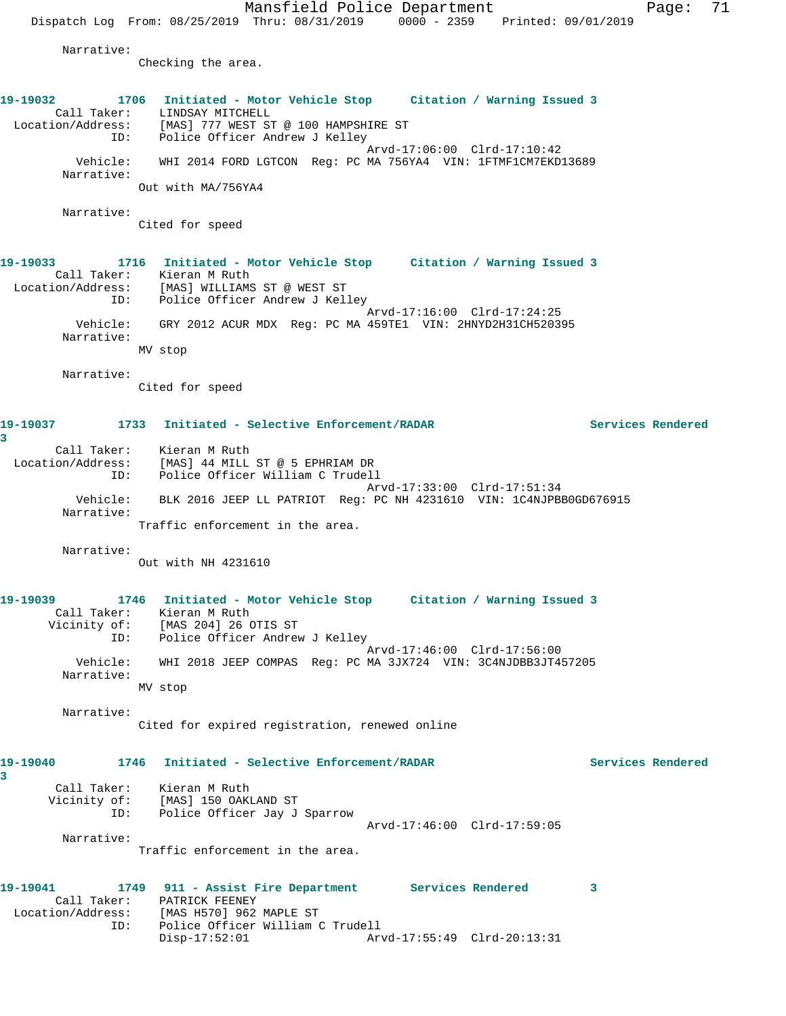Mansfield Police Department Page: 71 Dispatch Log From:  $08/25/2019$  Thru:  $08/31/2019$  0000 - 2359 Printed: 09/01/2019 Narrative: Checking the area. **19-19032 1706 Initiated - Motor Vehicle Stop Citation / Warning Issued 3**  Call Taker: LINDSAY MITCHELL Location/Address: [MAS] 777 WEST ST @ 100 HAMPSHIRE ST ID: Police Officer Andrew J Kelley Arvd-17:06:00 Clrd-17:10:42 Vehicle: WHI 2014 FORD LGTCON Reg: PC MA 756YA4 VIN: 1FTMF1CM7EKD13689 Narrative: Out with MA/756YA4 Narrative: Cited for speed **19-19033 1716 Initiated - Motor Vehicle Stop Citation / Warning Issued 3**  Call Taker: Kieran M Ruth Location/Address: [MAS] WILLIAMS ST @ WEST ST ID: Police Officer Andrew J Kelley Arvd-17:16:00 Clrd-17:24:25 Vehicle: GRY 2012 ACUR MDX Reg: PC MA 459TE1 VIN: 2HNYD2H31CH520395 Narrative: MV stop Narrative: Cited for speed **19-19037 1733 Initiated - Selective Enforcement/RADAR Services Rendered 3**  Call Taker: Kieran M Ruth Location/Address: [MAS] 44 MILL ST @ 5 EPHRIAM DR ID: Police Officer William C Trudell Arvd-17:33:00 Clrd-17:51:34 Vehicle: BLK 2016 JEEP LL PATRIOT Reg: PC NH 4231610 VIN: 1C4NJPBB0GD676915 Narrative: Traffic enforcement in the area. Narrative: Out with NH 4231610 **19-19039 1746 Initiated - Motor Vehicle Stop Citation / Warning Issued 3**  Call Taker: Kieran M Ruth Vicinity of: [MAS 204] 26 OTIS ST ID: Police Officer Andrew J Kelley Arvd-17:46:00 Clrd-17:56:00 Vehicle: WHI 2018 JEEP COMPAS Reg: PC MA 3JX724 VIN: 3C4NJDBB3JT457205 Narrative: MV stop Narrative: Cited for expired registration, renewed online **19-19040 1746 Initiated - Selective Enforcement/RADAR Services Rendered 3**  Call Taker: Kieran M Ruth Vicinity of: [MAS] 150 OAKLAND ST<br>TD: Police Officer Jav J Police Officer Jay J Sparrow Arvd-17:46:00 Clrd-17:59:05 Narrative: Traffic enforcement in the area. **19-19041 1749 911 - Assist Fire Department Services Rendered 3**  Call Taker: PATRICK FEENEY Location/Address: [MAS H570] 962 MAPLE ST ID: Police Officer William C Trudell

Disp-17:52:01 Arvd-17:55:49 Clrd-20:13:31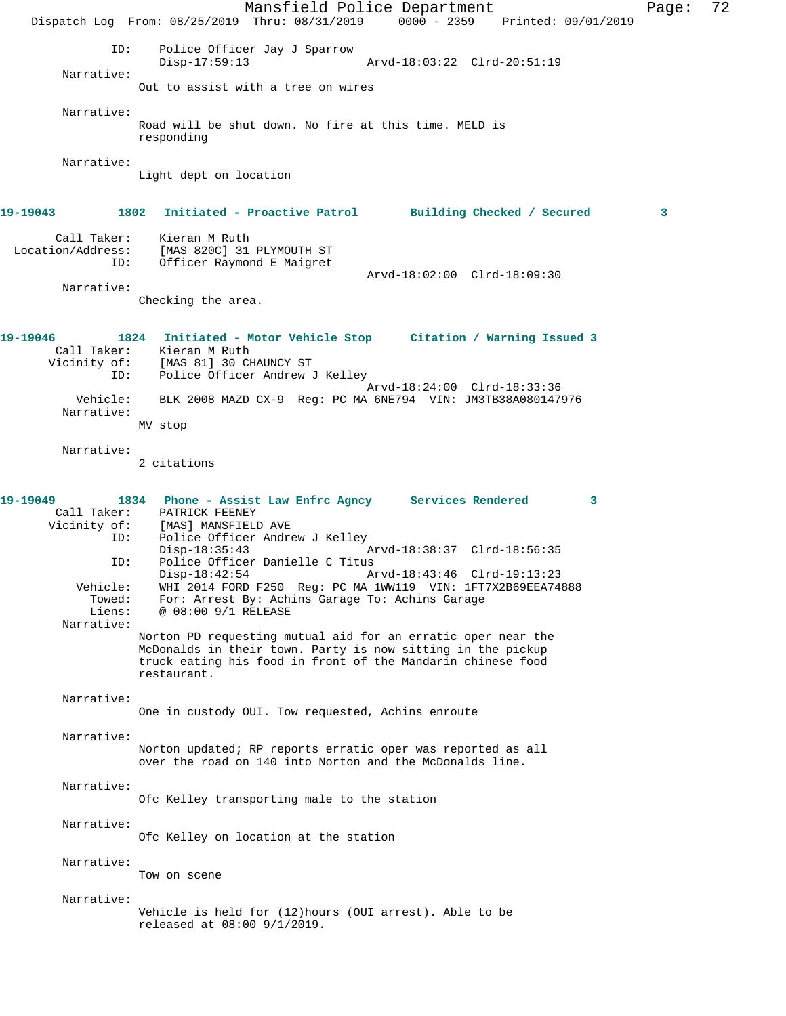Mansfield Police Department Page: 72 Dispatch Log From: 08/25/2019 Thru: 08/31/2019 0000 - 2359 Printed: 09/01/2019 ID: Police Officer Jay J Sparrow Disp-17:59:13 Arvd-18:03:22 Clrd-20:51:19 Narrative: Out to assist with a tree on wires Narrative: Road will be shut down. No fire at this time. MELD is responding Narrative: Light dept on location **19-19043 1802 Initiated - Proactive Patrol Building Checked / Secured 3** Call Taker: Kieran M Ruth<br>Location/Address: [MAS 820C] 31 ESS: [MAS 820C] 31 PLYMOUTH ST<br>ID: Officer Raymond E Maicrot Officer Raymond E Maigret Arvd-18:02:00 Clrd-18:09:30 Narrative: Checking the area. **19-19046 1824 Initiated - Motor Vehicle Stop Citation / Warning Issued 3**  Call Taker: Kieran M Ruth<br>Vicinity of: [MAS 81] 30 CH [MAS 81] 30 CHAUNCY ST ID: Police Officer Andrew J Kelley Arvd-18:24:00 Clrd-18:33:36 Vehicle: BLK 2008 MAZD CX-9 Reg: PC MA 6NE794 VIN: JM3TB38A080147976 Narrative: MV stop Narrative: 2 citations **19-19049 1834 Phone - Assist Law Enfrc Agncy Services Rendered 3**  Call Taker: PATRICK FEENEY<br>Vicinity of: [MAS] MANSFIELD [MAS] MANSFIELD AVE ID: Police Officer Andrew J Kelley Disp-18:35:43 Arvd-18:38:37 Clrd-18:56:35<br>ID: Police Officer Danielle C Titus Police Officer Danielle C Titus Disp-18:42:54 Arvd-18:43:46 Clrd-19:13:23<br>Vehicle: WHI 2014 FORD F250 Req: PC MA 1WW119 VIN: 1FT7X2B69EEA74 WHI 2014 FORD F250 Reg: PC MA 1WW119 VIN: 1FT7X2B69EEA74888 Towed: For: Arrest By: Achins Garage To: Achins Garage Liens: @ 08:00 9/1 RELEASE Narrative: Norton PD requesting mutual aid for an erratic oper near the McDonalds in their town. Party is now sitting in the pickup truck eating his food in front of the Mandarin chinese food restaurant. Narrative: One in custody OUI. Tow requested, Achins enroute Narrative: Norton updated; RP reports erratic oper was reported as all over the road on 140 into Norton and the McDonalds line. Narrative: Ofc Kelley transporting male to the station Narrative: Ofc Kelley on location at the station Narrative: Tow on scene Narrative: Vehicle is held for (12)hours (OUI arrest). Able to be released at 08:00 9/1/2019.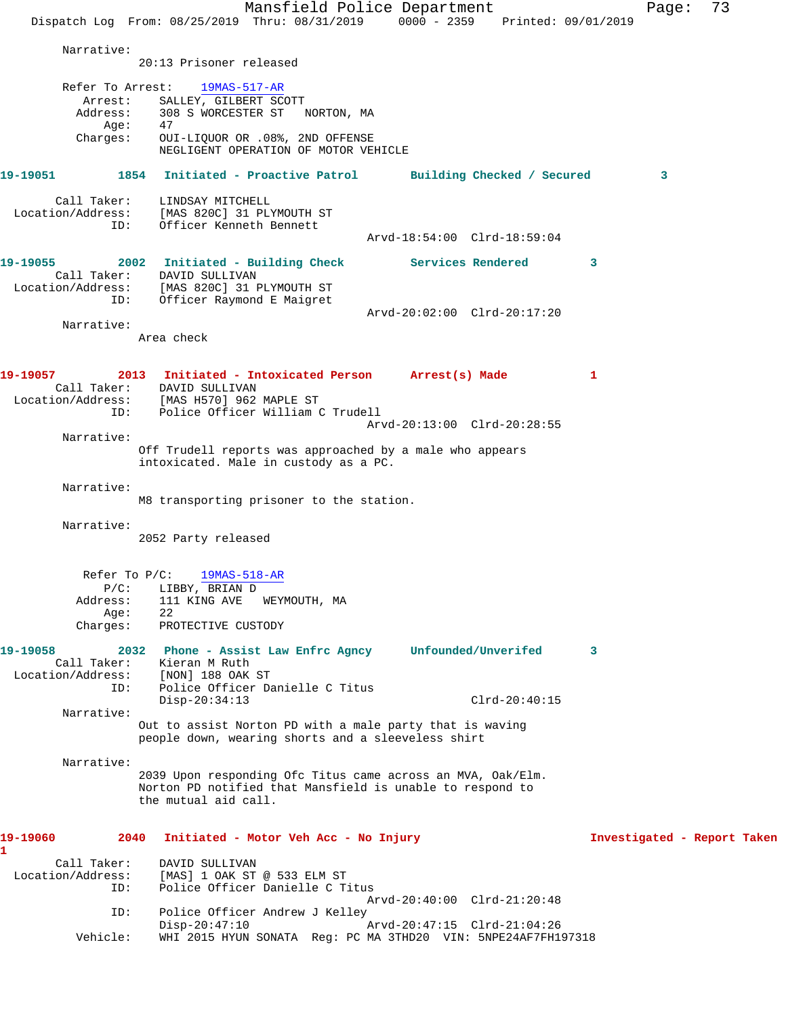Mansfield Police Department Page: 73 Dispatch Log From: 08/25/2019 Thru: 08/31/2019 0000 - 2359 Printed: 09/01/2019 Narrative: 20:13 Prisoner released Refer To Arrest: 19MAS-517-AR Arrest: SALLEY, GILBERT SCOTT Address: 308 S WORCESTER ST NORTON, MA Address: 308<br>Age: 47 Charges: OUI-LIQUOR OR .08%, 2ND OFFENSE NEGLIGENT OPERATION OF MOTOR VEHICLE **19-19051 1854 Initiated - Proactive Patrol Building Checked / Secured 3** Call Taker: LINDSAY MITCHELL Location/Address: [MAS 820C] 31 PLYMOUTH ST ID: Officer Kenneth Bennett Arvd-18:54:00 Clrd-18:59:04 **19-19055 2002 Initiated - Building Check Services Rendered 3**  Call Taker: DAVID SULLIVAN Location/Address: [MAS 820C] 31 PLYMOUTH ST ID: Officer Raymond E Maigret Arvd-20:02:00 Clrd-20:17:20 Narrative: Area check **19-19057 2013 Initiated - Intoxicated Person Arrest(s) Made 1**  Call Taker: DAVID SULLIVAN Location/Address: [MAS H570] 962 MAPLE ST ID: Police Officer William C Trudell Arvd-20:13:00 Clrd-20:28:55 Narrative: Off Trudell reports was approached by a male who appears intoxicated. Male in custody as a PC. Narrative: M8 transporting prisoner to the station. Narrative: 2052 Party released Refer To P/C: 19MAS-518-AR P/C: LIBBY, BRIAN D Address: 111 KING AVE WEYMOUTH, MA Age: 22 Charges: PROTECTIVE CUSTODY **19-19058 2032 Phone - Assist Law Enfrc Agncy Unfounded/Unverifed 3**  Call Taker: Kieran M Ruth Location/Address: [NON] 188 OAK ST ID: Police Officer Danielle C Titus Disp-20:34:13 Clrd-20:40:15 Narrative: Out to assist Norton PD with a male party that is waving people down, wearing shorts and a sleeveless shirt Narrative: 2039 Upon responding Ofc Titus came across an MVA, Oak/Elm. Norton PD notified that Mansfield is unable to respond to the mutual aid call. **19-19060 2040 Initiated - Motor Veh Acc - No Injury Investigated - Report Taken 1**  Call Taker: DAVID SULLIVAN Location/Address: [MAS] 1 OAK ST @ 533 ELM ST<br>TD: Police Officer Danielle C T Police Officer Danielle C Titus Arvd-20:40:00 Clrd-21:20:48 ID: Police Officer Andrew J Kelley<br>Disp-20:47:10 Disp-20:47:10 Arvd-20:47:15 Clrd-21:04:26 Vehicle: WHI 2015 HYUN SONATA Reg: PC MA 3THD20 VIN: 5NPE24AF7FH197318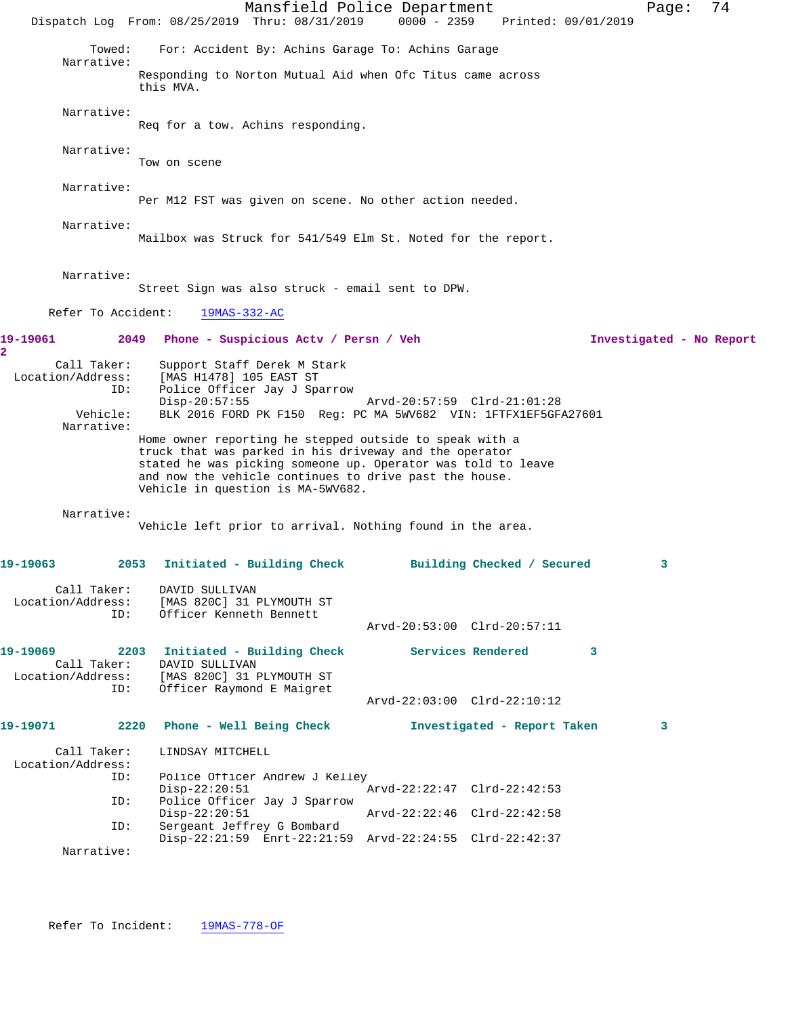Mansfield Police Department Page: 74 Dispatch Log From: 08/25/2019 Thru: 08/31/2019 0000 - 2359 Printed: 09/01/2019 Towed: For: Accident By: Achins Garage To: Achins Garage Narrative: Responding to Norton Mutual Aid when Ofc Titus came across this MVA. Narrative: Req for a tow. Achins responding. Narrative: Tow on scene Narrative: Per M12 FST was given on scene. No other action needed. Narrative: Mailbox was Struck for 541/549 Elm St. Noted for the report. Narrative: Street Sign was also struck - email sent to DPW. Refer To Accident: 19MAS-332-AC **19-19061 2049 Phone - Suspicious Actv / Persn / Veh Investigated - No Report 2**  Call Taker: Support Staff Derek M Stark Location/Address: [MAS H1478] 105 EAST ST ID: Police Officer Jay J Sparrow Disp-20:57:55 Arvd-20:57:59 Clrd-21:01:28 Vehicle: BLK 2016 FORD PK F150 Reg: PC MA 5WV682 VIN: 1FTFX1EF5GFA27601 Narrative: Home owner reporting he stepped outside to speak with a truck that was parked in his driveway and the operator stated he was picking someone up. Operator was told to leave and now the vehicle continues to drive past the house. Vehicle in question is MA-5WV682. Narrative: Vehicle left prior to arrival. Nothing found in the area. **19-19063 2053 Initiated - Building Check Building Checked / Secured 3** Call Taker: DAVID SULLIVAN Location/Address: [MAS 820C] 31 PLYMOUTH ST ID: Officer Kenneth Bennett Arvd-20:53:00 Clrd-20:57:11 **19-19069 2203 Initiated - Building Check Services Rendered 3**  Call Taker: DAVID SULLIVAN Location/Address: [MAS 820C] 31 PLYMOUTH ST ID: Officer Raymond E Maigret Arvd-22:03:00 Clrd-22:10:12 **19-19071 2220 Phone - Well Being Check Investigated - Report Taken 3** Call Taker: LINDSAY MITCHELL Location/Address:<br>ID: Police Officer Andrew J Kelley<br>Disp-22:20:51 Disp-22:20:51 Arvd-22:22:47 Clrd-22:42:53<br>ID: Police Officer Jay J Sparrow Police Officer Jay J Sparrow<br>Disp-22:20:51 Disp-22:20:51 Arvd-22:22:46 Clrd-22:42:58<br>ID: Sergeant Jeffrey G Bombard Sergeant Jeffrey G Bombard Disp-22:21:59 Enrt-22:21:59 Arvd-22:24:55 Clrd-22:42:37 Narrative: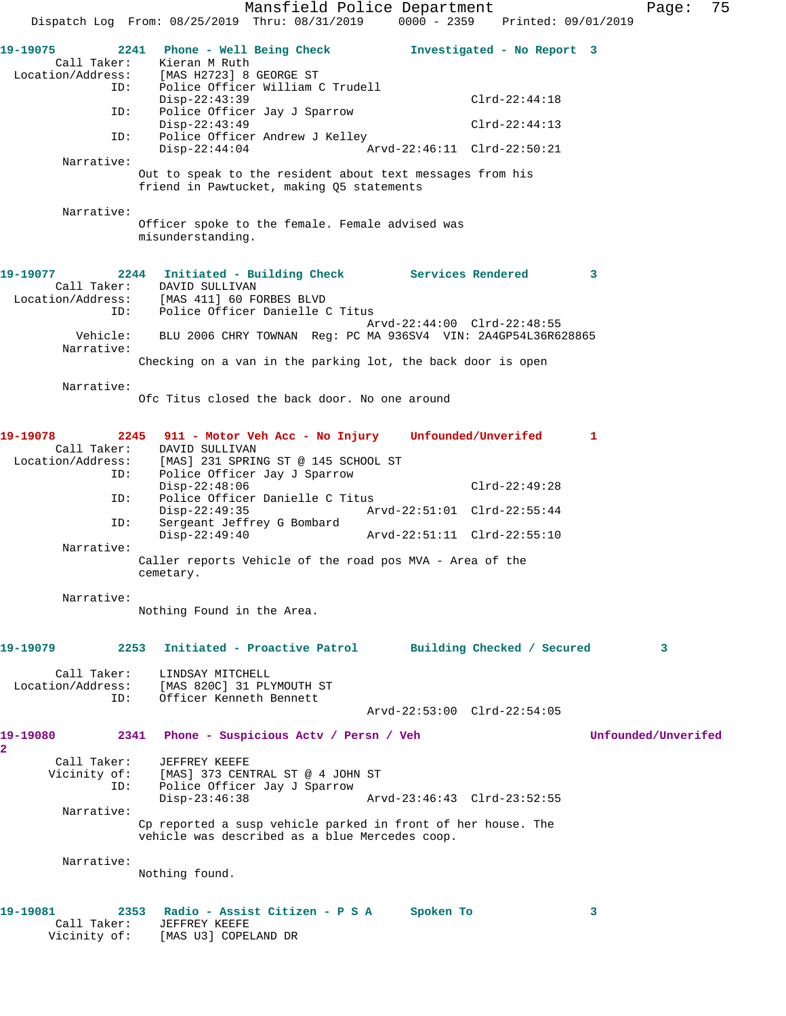Mansfield Police Department Fage: 75 Dispatch Log From: 08/25/2019 Thru: 08/31/2019 0000 - 2359 Printed: 09/01/2019 **19-19075 2241 Phone - Well Being Check Investigated - No Report 3**  Call Taker: Kieran M Ruth Location/Address: [MAS H2723] 8 GEORGE ST ID: Police Officer William C Trudell Disp-22:43:39 Clrd-22:44:18 ID: Police Officer Jay J Sparrow Disp-22:43:49 Clrd-22:44:13 ID: Police Officer Andrew J Kelley Disp-22:44:04 Arvd-22:46:11 Clrd-22:50:21 Narrative: Out to speak to the resident about text messages from his friend in Pawtucket, making Q5 statements Narrative: Officer spoke to the female. Female advised was misunderstanding. **19-19077 2244 Initiated - Building Check Services Rendered 3**  Call Taker: DAVID SULLIVAN Location/Address: [MAS 411] 60 FORBES BLVD ID: Police Officer Danielle C Titus Arvd-22:44:00 Clrd-22:48:55 Vehicle: BLU 2006 CHRY TOWNAN Reg: PC MA 936SV4 VIN: 2A4GP54L36R628865 Narrative: Checking on a van in the parking lot, the back door is open Narrative: Ofc Titus closed the back door. No one around **19-19078 2245 911 - Motor Veh Acc - No Injury Unfounded/Unverifed 1**  Call Taker: DAVID SULLIVAN Location/Address: [MAS] 231 SPRING ST @ 145 SCHOOL ST ID: Police Officer Jay J Sparrow Disp-22:48:06 Clrd-22:49:28<br>ID: Police Officer Danielle C Titus Police Officer Danielle C Titus<br>Disp-22:49:35 Ary Disp-22:49:35 Arvd-22:51:01 Clrd-22:55:44 ID: Sergeant Jeffrey G Bombard Arvd-22:51:11 Clrd-22:55:10 Narrative: Caller reports Vehicle of the road pos MVA - Area of the cemetary. Narrative: Nothing Found in the Area. **19-19079 2253 Initiated - Proactive Patrol Building Checked / Secured 3** Call Taker: LINDSAY MITCHELL Location/Address: [MAS 820C] 31 PLYMOUTH ST ID: Officer Kenneth Bennett Arvd-22:53:00 Clrd-22:54:05 **19-19080 2341 Phone - Suspicious Actv / Persn / Veh Unfounded/Unverifed 2**  Call Taker: JEFFREY KEEFE Vicinity of: [MAS] 373 CENTRAL ST @ 4 JOHN ST ID: Police Officer Jay J Sparrow Arvd-23:46:43 Clrd-23:52:55 Narrative: Cp reported a susp vehicle parked in front of her house. The vehicle was described as a blue Mercedes coop. Narrative: Nothing found. **19-19081 2353 Radio - Assist Citizen - P S A Spoken To 3**  Call Taker: JEFFREY KEEFE Vicinity of: [MAS U3] COPELAND DR